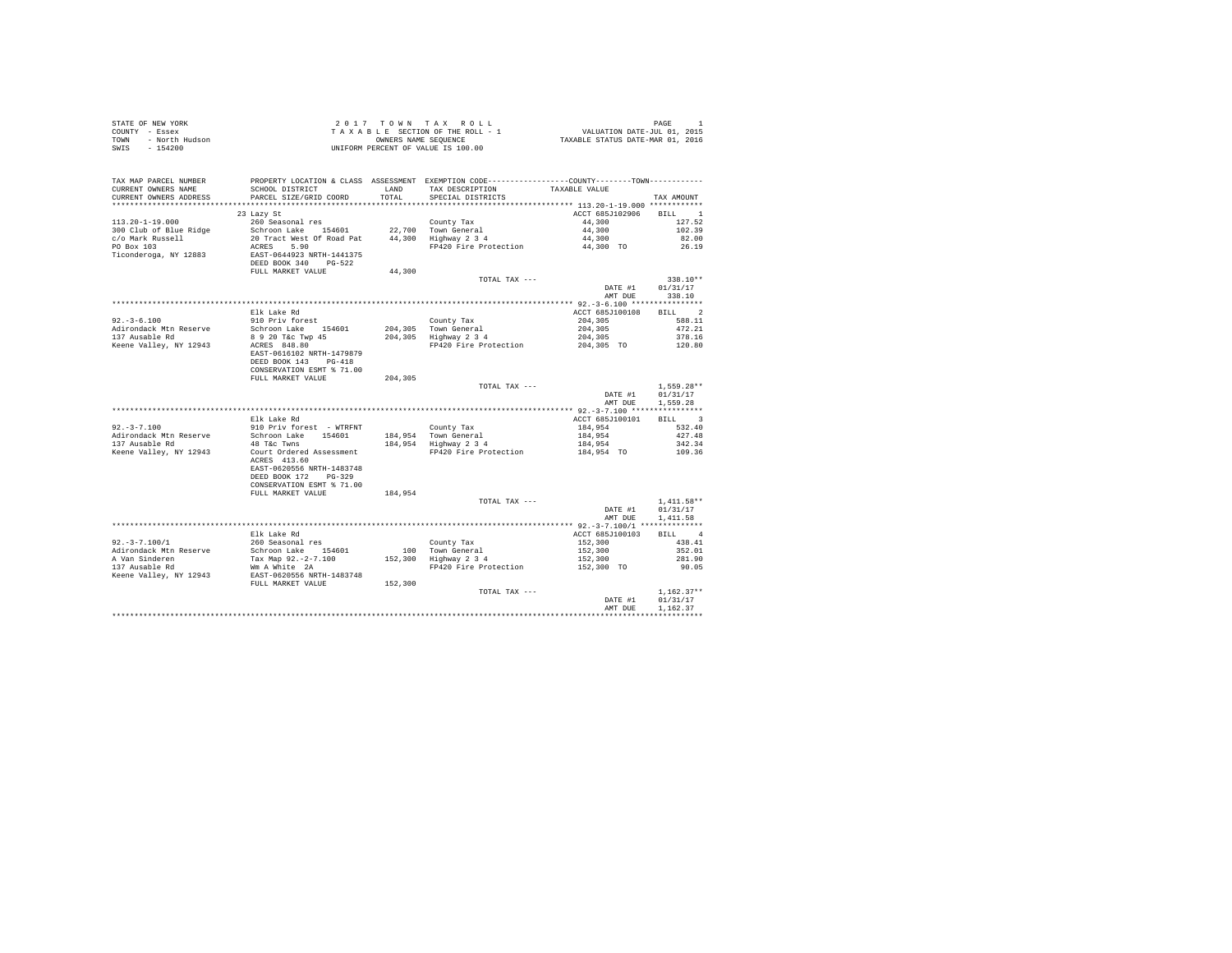| STATE OF NEW YORK<br>COUNTY - Essex<br>r - Essex<br>- North Hudson<br><b>TOWN</b><br>SWIS - 154200 |                                                                                               |                | 2017 TOWN TAX ROLL<br>TAXABLE SECTION OF THE ROLL - 1<br>OWNERS NAME SEQUENCE<br>UNIFORM PERCENT OF VALUE IS 100.00 | PAGE 1<br>VALUATION DATE-JUL 01, 2015<br>TAXABLE STATUS DATE-MAR 01, 2016 |                          |
|----------------------------------------------------------------------------------------------------|-----------------------------------------------------------------------------------------------|----------------|---------------------------------------------------------------------------------------------------------------------|---------------------------------------------------------------------------|--------------------------|
| TAX MAP PARCEL NUMBER                                                                              |                                                                                               |                | PROPERTY LOCATION & CLASS ASSESSMENT EXEMPTION CODE----------------COUNTY--------TOWN----------                     |                                                                           |                          |
| CURRENT OWNERS NAME<br>CURRENT OWNERS ADDRESS                                                      | SCHOOL DISTRICT<br>PARCEL SIZE/GRID COORD                                                     | LAND<br>TOTAL. | TAX DESCRIPTION<br>SPECIAL DISTRICTS                                                                                | TAXABLE VALUE                                                             | TAX AMOUNT               |
|                                                                                                    | 23 Lazy St                                                                                    |                |                                                                                                                     | ACCT 685J102906 BILL 1                                                    |                          |
| $113.20 - 1 - 19.000$                                                                              | 260 Seasonal res                                                                              |                | County Tax                                                                                                          | 44,300                                                                    | 127.52                   |
| 300 Club of Blue Ridge                                                                             | Schroon Lake 154601                                                                           |                | 22.700 Town General                                                                                                 | 44,300                                                                    | 102.39                   |
| c/o Mark Russell                                                                                   | 20 Tract West Of Road Pat                                                                     |                | 44,300 Highway 2 3 4                                                                                                | 44,300                                                                    | 82.00                    |
| PO Box 103                                                                                         | ACRES 5.90                                                                                    |                | FP420 Fire Protection                                                                                               | 44,300 TO                                                                 | 26.19                    |
| Ticonderoga, NY 12883                                                                              | EAST-0644923 NRTH-1441375<br>DEED BOOK 340 PG-522                                             |                |                                                                                                                     |                                                                           |                          |
|                                                                                                    | FULL MARKET VALUE                                                                             | 44,300         |                                                                                                                     |                                                                           |                          |
|                                                                                                    |                                                                                               |                | TOTAL TAX ---                                                                                                       |                                                                           | 338.10**                 |
|                                                                                                    |                                                                                               |                |                                                                                                                     | DATE #1<br>AMT DUE                                                        | 01/31/17<br>338.10       |
|                                                                                                    |                                                                                               |                |                                                                                                                     |                                                                           |                          |
|                                                                                                    | Elk Lake Rd                                                                                   |                |                                                                                                                     | ACCT 685J100108                                                           | BILL 2                   |
| $92. -3 - 6.100$                                                                                   | 910 Priv forest                                                                               |                | County Tax                                                                                                          | 204,305                                                                   | 588.11                   |
| Adirondack Mtn Reserve                                                                             | Schroon Lake 154601                                                                           |                | 204.305 Town General                                                                                                | 204,305                                                                   | 472.21                   |
| 137 Ausable Rd                                                                                     |                                                                                               |                | 204,305 Highway 2 3 4                                                                                               | 204,305                                                                   | 378.16                   |
| Keene Valley, NY 12943                                                                             | 8 9 20 T&C Twp 45<br>ACRES 848.80<br>EAST-0616102 NRTH-1479879<br>DEED BOOK 143 PG-418        |                | FP420 Fire Protection                                                                                               | 204,305 TO                                                                | 120.80                   |
|                                                                                                    | CONSERVATION ESMT % 71.00                                                                     |                |                                                                                                                     |                                                                           |                          |
|                                                                                                    | FULL MARKET VALUE                                                                             | 204,305        |                                                                                                                     |                                                                           |                          |
|                                                                                                    |                                                                                               |                | TOTAL TAX ---                                                                                                       | DATE #1                                                                   | $1,559.28**$<br>01/31/17 |
|                                                                                                    |                                                                                               |                |                                                                                                                     | AMT DUE                                                                   | 1,559.28                 |
|                                                                                                    |                                                                                               |                |                                                                                                                     |                                                                           |                          |
|                                                                                                    | Elk Lake Rd                                                                                   |                |                                                                                                                     | ACCT 685J100101                                                           | BILL 3                   |
| $92, -3 - 7, 100$                                                                                  | 910 Priv forest - WTRFNT                                                                      |                | County Tax                                                                                                          | 184,954                                                                   | 532.40                   |
| Adirondack Mtn Reserve                                                                             | Schroon Lake 154601                                                                           |                | 184,954 Town General                                                                                                | 184,954                                                                   | 427.48                   |
| 137 Ausable Rd                                                                                     | 48 T&C Twns                                                                                   |                | 184,954 Highway 2 3 4                                                                                               | 184,954                                                                   | 342.34                   |
| Keene Valley, NY 12943                                                                             | Court Ordered Assessment<br>ACRES 413.60<br>EAST-0620556 NRTH-1483748<br>DEED BOOK 172 PG-329 |                | FP420 Fire Protection                                                                                               | 184,954 TO                                                                | 109.36                   |
|                                                                                                    | CONSERVATION ESMT % 71.00                                                                     |                |                                                                                                                     |                                                                           |                          |
|                                                                                                    | FULL MARKET VALUE                                                                             | 184.954        |                                                                                                                     |                                                                           |                          |
|                                                                                                    |                                                                                               |                | TOTAL TAX ---                                                                                                       |                                                                           | $1.411.58**$             |
|                                                                                                    |                                                                                               |                |                                                                                                                     | DATE #1                                                                   | 01/31/17                 |
|                                                                                                    |                                                                                               |                |                                                                                                                     | AMT DUE                                                                   | 1,411.58                 |
|                                                                                                    | Elk Lake Rd                                                                                   |                |                                                                                                                     | ACCT 685J100103                                                           | RTT.T. 4                 |
| $92. -3 - 7.100/1$                                                                                 | 260 Seasonal res                                                                              |                | County Tax                                                                                                          | 152,300                                                                   | 438.41                   |
| Adirondack Mtn Reserve                                                                             | Schroon Lake 154601                                                                           |                | 100 Town General                                                                                                    | 152,300                                                                   | 352.01                   |
| A Van Sinderen                                                                                     | Tax Map 92.-2-7.100                                                                           |                | 152,300 Highway 2 3 4                                                                                               | 152,300                                                                   | 281.90                   |
| 137 Ausable Rd                                                                                     | Wm A White 2A                                                                                 |                | FP420 Fire Protection                                                                                               | 152,300 TO                                                                | 90.05                    |
| Keene Valley, NY 12943                                                                             | EAST-0620556 NRTH-1483748                                                                     |                |                                                                                                                     |                                                                           |                          |
|                                                                                                    | FULL MARKET VALUE                                                                             | 152,300        |                                                                                                                     |                                                                           |                          |
|                                                                                                    |                                                                                               |                | TOTAL TAX ---                                                                                                       |                                                                           | $1.162.37**$             |
|                                                                                                    |                                                                                               |                |                                                                                                                     | DATE #1                                                                   | 01/31/17<br>1,162.37     |
|                                                                                                    |                                                                                               |                |                                                                                                                     | AMT DUE                                                                   |                          |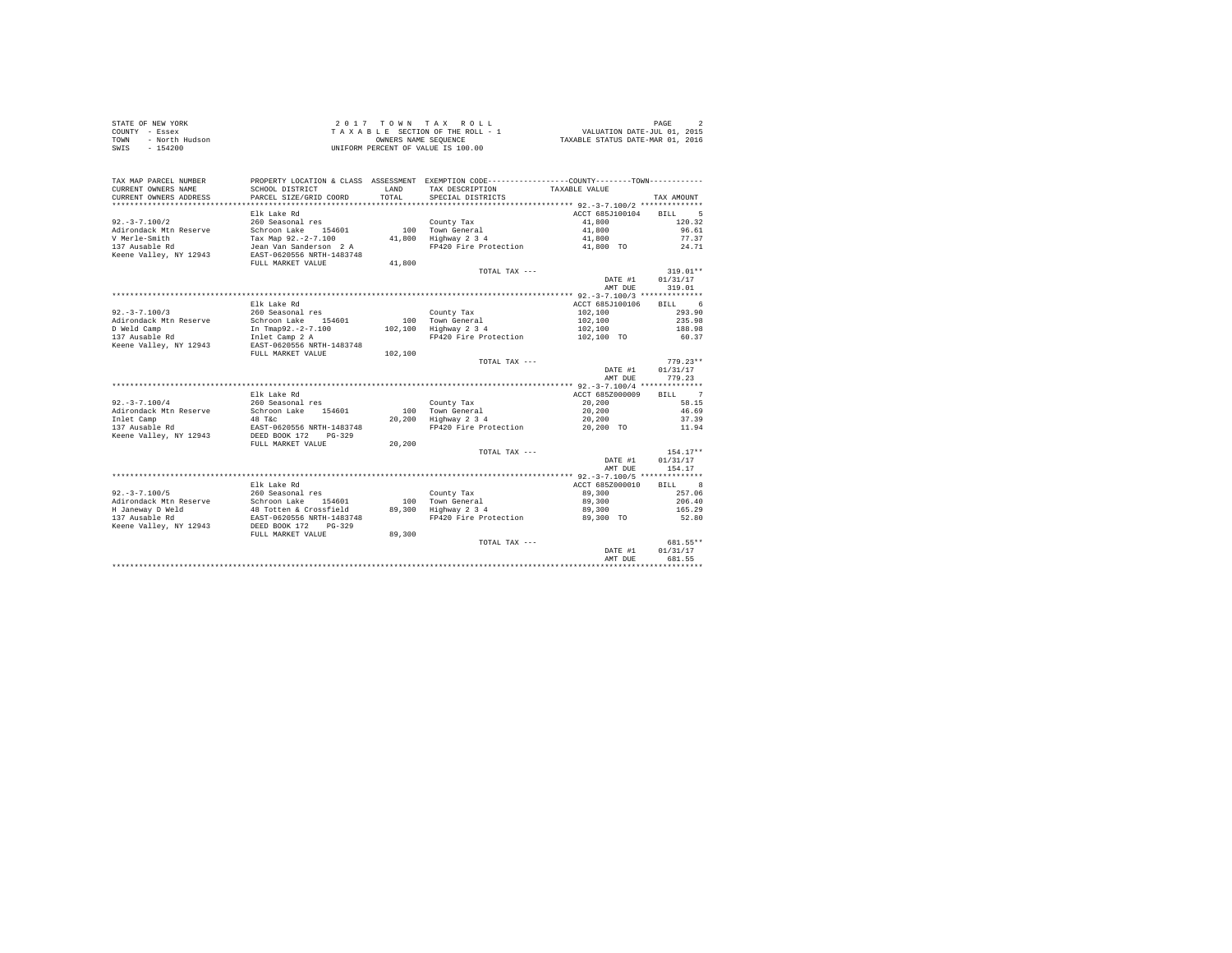| STATE OF NEW YORK      | $2.017$ TOWN TAX ROLL              | PAGE                             |
|------------------------|------------------------------------|----------------------------------|
| COUNTY - Essex         | TAXABLE SECTION OF THE ROLL - 1    | VALUATION DATE-JUL 01, 2015      |
| TOWN<br>- North Hudson | OWNERS NAME SEOUENCE               | TAXABLE STATUS DATE-MAR 01, 2016 |
| - 154200<br>SWIS       | UNIFORM PERCENT OF VALUE IS 100.00 |                                  |

| TAX MAP PARCEL NUMBER<br>CURRENT OWNERS NAME | PROPERTY LOCATION & CLASS ASSESSMENT<br>SCHOOL DISTRICT | LAND    | EXEMPTION CODE----------------COUNTY-------TOWN-----------<br>TAX DESCRIPTION | TAXABLE VALUE                             |                               |
|----------------------------------------------|---------------------------------------------------------|---------|-------------------------------------------------------------------------------|-------------------------------------------|-------------------------------|
| CURRENT OWNERS ADDRESS                       | PARCEL SIZE/GRID COORD                                  | TOTAL   | SPECIAL DISTRICTS                                                             |                                           | TAX AMOUNT                    |
|                                              | Elk Lake Rd                                             |         |                                                                               | ACCT 685J100104                           | 5<br><b>BILL</b>              |
| $92. - 3 - 7.100/2$                          | 260 Seasonal res                                        |         | County Tax                                                                    | 41,800                                    | 120.32                        |
| Adirondack Mtn Reserve                       | 154601<br>Schroon Lake                                  | 100     | Town General                                                                  | 41,800                                    | 96.61                         |
| V Merle-Smith                                | Tax Map 92.-2-7.100                                     | 41,800  | Highway 2 3 4                                                                 | 41,800                                    | 77.37                         |
| 137 Ausable Rd<br>Keene Valley, NY 12943     | Jean Van Sanderson 2 A<br>EAST-0620556 NRTH-1483748     |         | FP420 Fire Protection                                                         | 41,800 TO                                 | 24.71                         |
|                                              | FULL MARKET VALUE                                       | 41,800  |                                                                               |                                           |                               |
|                                              |                                                         |         | TOTAL TAX ---                                                                 |                                           | $319.01**$<br>01/31/17        |
|                                              |                                                         |         |                                                                               | DATE #1<br>AMT DUE                        | 319.01                        |
|                                              |                                                         |         |                                                                               |                                           |                               |
|                                              | Elk Lake Rd                                             |         |                                                                               | ACCT 685J100106                           | 6<br><b>BILL</b>              |
| $92. - 3 - 7.100/3$                          | 260 Seasonal res                                        |         | County Tax                                                                    | 102,100                                   | 293.90                        |
| Adirondack Mtn Reserve                       | Schroon Lake<br>154601                                  | 100     | Town General                                                                  | 102,100                                   | 235.98                        |
| D Weld Camp                                  | In Tmap92.-2-7.100                                      | 102,100 | Highway 2 3 4                                                                 | 102,100                                   | 188.98                        |
| 137 Ausable Rd                               | Inlet Camp 2 A                                          |         | FP420 Fire Protection                                                         | 102,100 TO                                | 60.37                         |
| Keene Valley, NY 12943                       | EAST-0620556 NRTH-1483748                               |         |                                                                               |                                           |                               |
|                                              | FULL MARKET VALUE                                       | 102,100 |                                                                               |                                           |                               |
|                                              |                                                         |         | TOTAL TAX ---                                                                 |                                           | $779.23**$                    |
|                                              |                                                         |         |                                                                               | DATE #1                                   | 01/31/17                      |
|                                              |                                                         |         |                                                                               | AMT DUE                                   | 779.23                        |
|                                              |                                                         |         |                                                                               | ************ 92.-3-7.100/4 ************** |                               |
|                                              | Elk Lake Rd                                             |         |                                                                               | ACCT 685Z000009                           | $\overline{7}$<br><b>BILL</b> |
| $92. - 3 - 7.100/4$                          | 260 Seasonal res<br>154601                              | 100     | County Tax                                                                    | 20,200                                    | 58.15<br>46.69                |
| Adirondack Mtn Reserve                       | Schroon Lake                                            |         | Town General                                                                  | 20,200                                    |                               |
| Inlet Camp<br>137 Ausable Rd                 | 48 T&C<br>EAST-0620556 NRTH-1483748                     | 20,200  | Highway 2 3 4<br>FP420 Fire Protection                                        | 20,200<br>20,200 TO                       | 37.39<br>11.94                |
| Keene Valley, NY 12943                       | DEED BOOK 172<br>$PG-329$                               |         |                                                                               |                                           |                               |
|                                              | FULL MARKET VALUE                                       | 20,200  | TOTAL TAX ---                                                                 |                                           | $154.17**$                    |
|                                              |                                                         |         |                                                                               | DATE #1                                   | 01/31/17                      |
|                                              |                                                         |         |                                                                               | AMT DUE                                   | 154.17                        |
|                                              |                                                         |         |                                                                               |                                           |                               |
|                                              | Elk Lake Rd                                             |         |                                                                               | ACCT 685Z000010                           | <b>BILL</b><br>8              |
| $92. - 3 - 7.100/5$                          | 260 Seasonal res                                        |         | County Tax                                                                    | 89,300                                    | 257.06                        |
| Adirondack Mtn Reserve                       | Schroon Lake 154601                                     | 100     | Town General                                                                  | 89,300                                    | 206.40                        |
| H Janeway D Weld                             | 48 Totten & Crossfield                                  | 89,300  | Highway 2 3 4                                                                 | 89,300                                    | 165.29                        |
| 137 Ausable Rd                               | EAST-0620556 NRTH-1483748                               |         | FP420 Fire Protection                                                         | 89,300 TO                                 | 52.80                         |
| Keene Valley, NY 12943                       | DEED BOOK 172<br>$PG-329$                               |         |                                                                               |                                           |                               |
|                                              | FULL MARKET VALUE                                       | 89,300  |                                                                               |                                           |                               |
|                                              |                                                         |         | TOTAL TAX ---                                                                 |                                           | 681.55**                      |
|                                              |                                                         |         |                                                                               | DATE #1                                   | 01/31/17                      |
|                                              |                                                         |         |                                                                               | AMT DUE                                   | 681.55                        |
|                                              |                                                         |         |                                                                               |                                           |                               |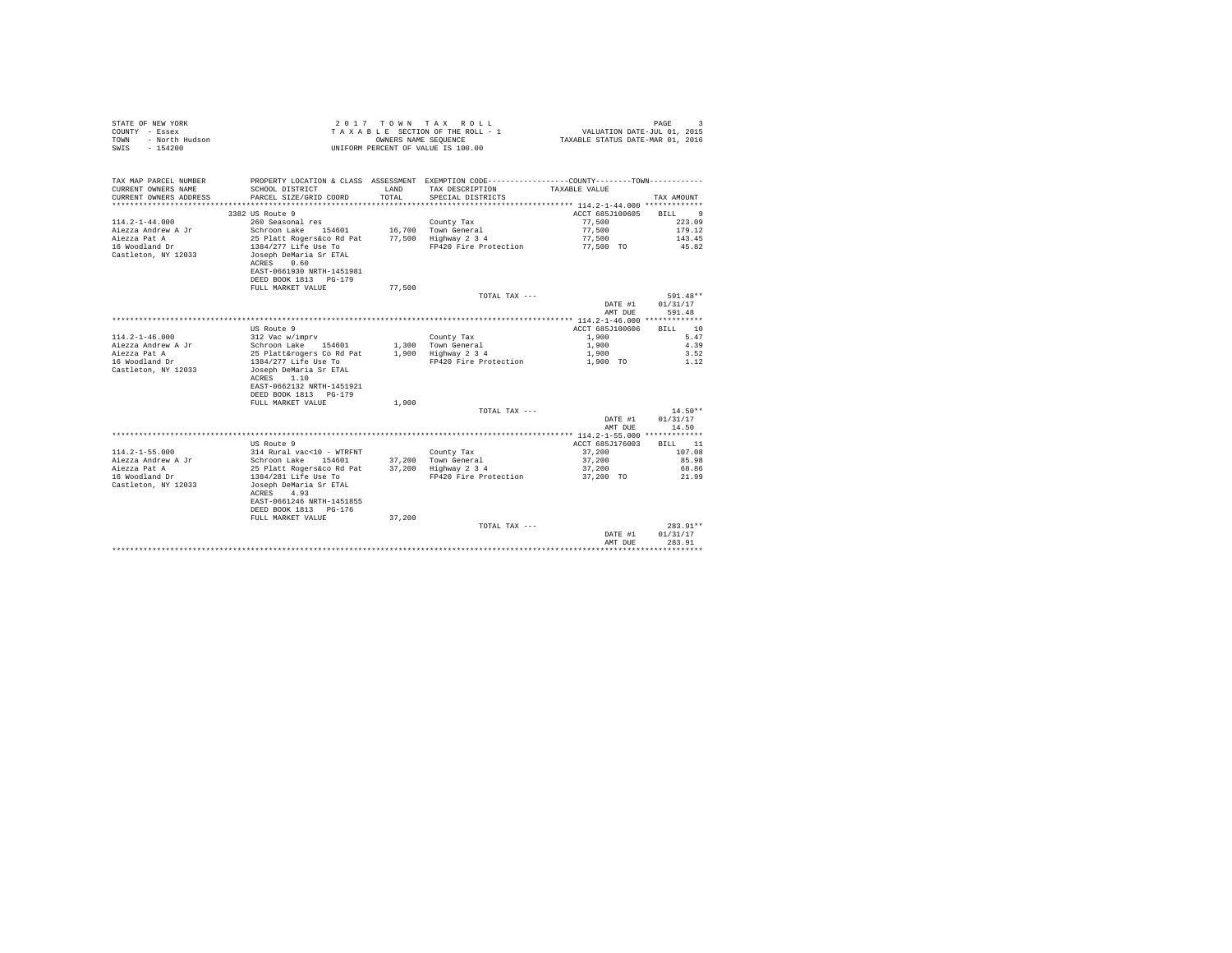| PROPERTY LOCATION & CLASS ASSESSMENT EXEMPTION CODE---------------COUNTY-------TOWN----------<br>CURRENT OWNERS NAME<br>SCHOOL DISTRICT<br>LAND<br>TAX DESCRIPTION<br>TAXABLE VALUE<br>CURRENT OWNERS ADDRESS<br>PARCEL SIZE/GRID COORD<br>TOTAL.<br>SPECIAL DISTRICTS<br>TAX AMOUNT<br>*************************<br>3382 US Route 9<br>ACCT 685J100605<br>BILL<br>-9<br>260 Seasonal res<br>77.500<br>223.09<br>County Tax<br>Schroon Lake 154601<br>16,700 Town General<br>77.500<br>179.12<br>25 Platt Rogers&co Rd Pat<br>77.500 Highway 2 3 4<br>77.500<br>143.45<br>1384/277 Life Use To<br>FP420 Fire Protection<br>77.500 TO<br>45.82<br>Joseph DeMaria Sr ETAL<br>ACRES 0.60<br>EAST-0661930 NRTH-1451981<br>DEED BOOK 1813 PG-179<br>77,500<br>FULL MARKET VALUE<br>591.48**<br>TOTAL TAX ---<br>DATE #1<br>01/31/17<br>AMT DUE<br>591.48<br>US Route 9<br>ACCT 685J100606<br>10<br>RTLL.<br>$114.2 - 1 - 46.000$<br>312 Vac w/imprv<br>1,900<br>5.47<br>County Tax<br>Aiezza Andrew A Jr<br>Schroon Lake 154601<br>4.39<br>1,300 Town General<br>1,900<br>Aiezza Pat A<br>25 Platt&rogers Co Rd Pat<br>1,900 Highway 2 3 4<br>1,900<br>3.52<br>16 Woodland Dr<br>1384/277 Life Use To<br>FP420 Fire Protection<br>1,900 TO<br>1.12<br>Castleton, NY 12033<br>Joseph DeMaria Sr ETAL<br>ACRES 1.10<br>EAST-0662132 NRTH-1451921<br>DEED BOOK 1813 PG-179<br>FULL MARKET VALUE<br>1,900<br>$14.50**$<br>TOTAL TAX ---<br>01/31/17<br>DATE #1<br>AMT DUE<br>14.50<br>US Route 9<br>ACCT 685J176003<br>BILL 11<br>$114.2 - 1 - 55.000$<br>314 Rural vac<10 - WTRFNT<br>37,200<br>107.08<br>County Tax<br>Aiezza Andrew A Jr<br>Schroon Lake 154601<br>37.200 Town General<br>37,200<br>85.98<br>Aiezza Pat A<br>25 Platt Rogers&co Rd Pat<br>37,200 Highway 2 3 4<br>37,200<br>68.86<br>16 Woodland Dr<br>1384/281 Life Use To<br>FP420 Fire Protection<br>21.99<br>37.200 TO<br>Castleton, NY 12033<br>Joseph DeMaria Sr ETAL<br>ACRES<br>4.93<br>EAST-0661246 NRTH-1451855<br>DEED BOOK 1813 PG-176<br>FULL MARKET VALUE<br>37,200<br>283.91**<br>TOTAL TAX ---<br>01/31/17<br>DATE #1<br>AMT DUE<br>283.91<br>******** | STATE OF NEW YORK<br>COUNTY - Essex<br>- North Hudson<br>TOWN<br>$-154200$<br>SWTS | OWNERS NAME SEQUENCE | 2017 TOWN TAX ROLL<br>TAXABLE SECTION OF THE ROLL - 1<br>UNIFORM PERCENT OF VALUE IS 100.00 | VALUATION DATE-JUL 01, 2015<br>TAXABLE STATUS DATE-MAR 01, 2016 | PAGE<br>$\mathbf{R}$ |
|----------------------------------------------------------------------------------------------------------------------------------------------------------------------------------------------------------------------------------------------------------------------------------------------------------------------------------------------------------------------------------------------------------------------------------------------------------------------------------------------------------------------------------------------------------------------------------------------------------------------------------------------------------------------------------------------------------------------------------------------------------------------------------------------------------------------------------------------------------------------------------------------------------------------------------------------------------------------------------------------------------------------------------------------------------------------------------------------------------------------------------------------------------------------------------------------------------------------------------------------------------------------------------------------------------------------------------------------------------------------------------------------------------------------------------------------------------------------------------------------------------------------------------------------------------------------------------------------------------------------------------------------------------------------------------------------------------------------------------------------------------------------------------------------------------------------------------------------------------------------------------------------------------------------------------------------------------------------------------------------------------------------------------------------------------------------------------------------------------------------------------|------------------------------------------------------------------------------------|----------------------|---------------------------------------------------------------------------------------------|-----------------------------------------------------------------|----------------------|
|                                                                                                                                                                                                                                                                                                                                                                                                                                                                                                                                                                                                                                                                                                                                                                                                                                                                                                                                                                                                                                                                                                                                                                                                                                                                                                                                                                                                                                                                                                                                                                                                                                                                                                                                                                                                                                                                                                                                                                                                                                                                                                                                  | TAX MAP PARCEL NUMBER                                                              |                      |                                                                                             |                                                                 |                      |
|                                                                                                                                                                                                                                                                                                                                                                                                                                                                                                                                                                                                                                                                                                                                                                                                                                                                                                                                                                                                                                                                                                                                                                                                                                                                                                                                                                                                                                                                                                                                                                                                                                                                                                                                                                                                                                                                                                                                                                                                                                                                                                                                  |                                                                                    |                      |                                                                                             |                                                                 |                      |
|                                                                                                                                                                                                                                                                                                                                                                                                                                                                                                                                                                                                                                                                                                                                                                                                                                                                                                                                                                                                                                                                                                                                                                                                                                                                                                                                                                                                                                                                                                                                                                                                                                                                                                                                                                                                                                                                                                                                                                                                                                                                                                                                  |                                                                                    |                      |                                                                                             |                                                                 |                      |
|                                                                                                                                                                                                                                                                                                                                                                                                                                                                                                                                                                                                                                                                                                                                                                                                                                                                                                                                                                                                                                                                                                                                                                                                                                                                                                                                                                                                                                                                                                                                                                                                                                                                                                                                                                                                                                                                                                                                                                                                                                                                                                                                  |                                                                                    |                      |                                                                                             |                                                                 |                      |
|                                                                                                                                                                                                                                                                                                                                                                                                                                                                                                                                                                                                                                                                                                                                                                                                                                                                                                                                                                                                                                                                                                                                                                                                                                                                                                                                                                                                                                                                                                                                                                                                                                                                                                                                                                                                                                                                                                                                                                                                                                                                                                                                  |                                                                                    |                      |                                                                                             |                                                                 |                      |
|                                                                                                                                                                                                                                                                                                                                                                                                                                                                                                                                                                                                                                                                                                                                                                                                                                                                                                                                                                                                                                                                                                                                                                                                                                                                                                                                                                                                                                                                                                                                                                                                                                                                                                                                                                                                                                                                                                                                                                                                                                                                                                                                  | $114.2 - 1 - 44.000$                                                               |                      |                                                                                             |                                                                 |                      |
|                                                                                                                                                                                                                                                                                                                                                                                                                                                                                                                                                                                                                                                                                                                                                                                                                                                                                                                                                                                                                                                                                                                                                                                                                                                                                                                                                                                                                                                                                                                                                                                                                                                                                                                                                                                                                                                                                                                                                                                                                                                                                                                                  | Aiezza Andrew A Jr                                                                 |                      |                                                                                             |                                                                 |                      |
|                                                                                                                                                                                                                                                                                                                                                                                                                                                                                                                                                                                                                                                                                                                                                                                                                                                                                                                                                                                                                                                                                                                                                                                                                                                                                                                                                                                                                                                                                                                                                                                                                                                                                                                                                                                                                                                                                                                                                                                                                                                                                                                                  | Aiezza Pat A                                                                       |                      |                                                                                             |                                                                 |                      |
|                                                                                                                                                                                                                                                                                                                                                                                                                                                                                                                                                                                                                                                                                                                                                                                                                                                                                                                                                                                                                                                                                                                                                                                                                                                                                                                                                                                                                                                                                                                                                                                                                                                                                                                                                                                                                                                                                                                                                                                                                                                                                                                                  | 16 Woodland Dr                                                                     |                      |                                                                                             |                                                                 |                      |
|                                                                                                                                                                                                                                                                                                                                                                                                                                                                                                                                                                                                                                                                                                                                                                                                                                                                                                                                                                                                                                                                                                                                                                                                                                                                                                                                                                                                                                                                                                                                                                                                                                                                                                                                                                                                                                                                                                                                                                                                                                                                                                                                  | Castleton, NY 12033                                                                |                      |                                                                                             |                                                                 |                      |
|                                                                                                                                                                                                                                                                                                                                                                                                                                                                                                                                                                                                                                                                                                                                                                                                                                                                                                                                                                                                                                                                                                                                                                                                                                                                                                                                                                                                                                                                                                                                                                                                                                                                                                                                                                                                                                                                                                                                                                                                                                                                                                                                  |                                                                                    |                      |                                                                                             |                                                                 |                      |
|                                                                                                                                                                                                                                                                                                                                                                                                                                                                                                                                                                                                                                                                                                                                                                                                                                                                                                                                                                                                                                                                                                                                                                                                                                                                                                                                                                                                                                                                                                                                                                                                                                                                                                                                                                                                                                                                                                                                                                                                                                                                                                                                  |                                                                                    |                      |                                                                                             |                                                                 |                      |
|                                                                                                                                                                                                                                                                                                                                                                                                                                                                                                                                                                                                                                                                                                                                                                                                                                                                                                                                                                                                                                                                                                                                                                                                                                                                                                                                                                                                                                                                                                                                                                                                                                                                                                                                                                                                                                                                                                                                                                                                                                                                                                                                  |                                                                                    |                      |                                                                                             |                                                                 |                      |
|                                                                                                                                                                                                                                                                                                                                                                                                                                                                                                                                                                                                                                                                                                                                                                                                                                                                                                                                                                                                                                                                                                                                                                                                                                                                                                                                                                                                                                                                                                                                                                                                                                                                                                                                                                                                                                                                                                                                                                                                                                                                                                                                  |                                                                                    |                      |                                                                                             |                                                                 |                      |
|                                                                                                                                                                                                                                                                                                                                                                                                                                                                                                                                                                                                                                                                                                                                                                                                                                                                                                                                                                                                                                                                                                                                                                                                                                                                                                                                                                                                                                                                                                                                                                                                                                                                                                                                                                                                                                                                                                                                                                                                                                                                                                                                  |                                                                                    |                      |                                                                                             |                                                                 |                      |
|                                                                                                                                                                                                                                                                                                                                                                                                                                                                                                                                                                                                                                                                                                                                                                                                                                                                                                                                                                                                                                                                                                                                                                                                                                                                                                                                                                                                                                                                                                                                                                                                                                                                                                                                                                                                                                                                                                                                                                                                                                                                                                                                  |                                                                                    |                      |                                                                                             |                                                                 |                      |
|                                                                                                                                                                                                                                                                                                                                                                                                                                                                                                                                                                                                                                                                                                                                                                                                                                                                                                                                                                                                                                                                                                                                                                                                                                                                                                                                                                                                                                                                                                                                                                                                                                                                                                                                                                                                                                                                                                                                                                                                                                                                                                                                  |                                                                                    |                      |                                                                                             |                                                                 |                      |
|                                                                                                                                                                                                                                                                                                                                                                                                                                                                                                                                                                                                                                                                                                                                                                                                                                                                                                                                                                                                                                                                                                                                                                                                                                                                                                                                                                                                                                                                                                                                                                                                                                                                                                                                                                                                                                                                                                                                                                                                                                                                                                                                  |                                                                                    |                      |                                                                                             |                                                                 |                      |
|                                                                                                                                                                                                                                                                                                                                                                                                                                                                                                                                                                                                                                                                                                                                                                                                                                                                                                                                                                                                                                                                                                                                                                                                                                                                                                                                                                                                                                                                                                                                                                                                                                                                                                                                                                                                                                                                                                                                                                                                                                                                                                                                  |                                                                                    |                      |                                                                                             |                                                                 |                      |
|                                                                                                                                                                                                                                                                                                                                                                                                                                                                                                                                                                                                                                                                                                                                                                                                                                                                                                                                                                                                                                                                                                                                                                                                                                                                                                                                                                                                                                                                                                                                                                                                                                                                                                                                                                                                                                                                                                                                                                                                                                                                                                                                  |                                                                                    |                      |                                                                                             |                                                                 |                      |
|                                                                                                                                                                                                                                                                                                                                                                                                                                                                                                                                                                                                                                                                                                                                                                                                                                                                                                                                                                                                                                                                                                                                                                                                                                                                                                                                                                                                                                                                                                                                                                                                                                                                                                                                                                                                                                                                                                                                                                                                                                                                                                                                  |                                                                                    |                      |                                                                                             |                                                                 |                      |
|                                                                                                                                                                                                                                                                                                                                                                                                                                                                                                                                                                                                                                                                                                                                                                                                                                                                                                                                                                                                                                                                                                                                                                                                                                                                                                                                                                                                                                                                                                                                                                                                                                                                                                                                                                                                                                                                                                                                                                                                                                                                                                                                  |                                                                                    |                      |                                                                                             |                                                                 |                      |
|                                                                                                                                                                                                                                                                                                                                                                                                                                                                                                                                                                                                                                                                                                                                                                                                                                                                                                                                                                                                                                                                                                                                                                                                                                                                                                                                                                                                                                                                                                                                                                                                                                                                                                                                                                                                                                                                                                                                                                                                                                                                                                                                  |                                                                                    |                      |                                                                                             |                                                                 |                      |
|                                                                                                                                                                                                                                                                                                                                                                                                                                                                                                                                                                                                                                                                                                                                                                                                                                                                                                                                                                                                                                                                                                                                                                                                                                                                                                                                                                                                                                                                                                                                                                                                                                                                                                                                                                                                                                                                                                                                                                                                                                                                                                                                  |                                                                                    |                      |                                                                                             |                                                                 |                      |
|                                                                                                                                                                                                                                                                                                                                                                                                                                                                                                                                                                                                                                                                                                                                                                                                                                                                                                                                                                                                                                                                                                                                                                                                                                                                                                                                                                                                                                                                                                                                                                                                                                                                                                                                                                                                                                                                                                                                                                                                                                                                                                                                  |                                                                                    |                      |                                                                                             |                                                                 |                      |
|                                                                                                                                                                                                                                                                                                                                                                                                                                                                                                                                                                                                                                                                                                                                                                                                                                                                                                                                                                                                                                                                                                                                                                                                                                                                                                                                                                                                                                                                                                                                                                                                                                                                                                                                                                                                                                                                                                                                                                                                                                                                                                                                  |                                                                                    |                      |                                                                                             |                                                                 |                      |
|                                                                                                                                                                                                                                                                                                                                                                                                                                                                                                                                                                                                                                                                                                                                                                                                                                                                                                                                                                                                                                                                                                                                                                                                                                                                                                                                                                                                                                                                                                                                                                                                                                                                                                                                                                                                                                                                                                                                                                                                                                                                                                                                  |                                                                                    |                      |                                                                                             |                                                                 |                      |
|                                                                                                                                                                                                                                                                                                                                                                                                                                                                                                                                                                                                                                                                                                                                                                                                                                                                                                                                                                                                                                                                                                                                                                                                                                                                                                                                                                                                                                                                                                                                                                                                                                                                                                                                                                                                                                                                                                                                                                                                                                                                                                                                  |                                                                                    |                      |                                                                                             |                                                                 |                      |
|                                                                                                                                                                                                                                                                                                                                                                                                                                                                                                                                                                                                                                                                                                                                                                                                                                                                                                                                                                                                                                                                                                                                                                                                                                                                                                                                                                                                                                                                                                                                                                                                                                                                                                                                                                                                                                                                                                                                                                                                                                                                                                                                  |                                                                                    |                      |                                                                                             |                                                                 |                      |
|                                                                                                                                                                                                                                                                                                                                                                                                                                                                                                                                                                                                                                                                                                                                                                                                                                                                                                                                                                                                                                                                                                                                                                                                                                                                                                                                                                                                                                                                                                                                                                                                                                                                                                                                                                                                                                                                                                                                                                                                                                                                                                                                  |                                                                                    |                      |                                                                                             |                                                                 |                      |
|                                                                                                                                                                                                                                                                                                                                                                                                                                                                                                                                                                                                                                                                                                                                                                                                                                                                                                                                                                                                                                                                                                                                                                                                                                                                                                                                                                                                                                                                                                                                                                                                                                                                                                                                                                                                                                                                                                                                                                                                                                                                                                                                  |                                                                                    |                      |                                                                                             |                                                                 |                      |
|                                                                                                                                                                                                                                                                                                                                                                                                                                                                                                                                                                                                                                                                                                                                                                                                                                                                                                                                                                                                                                                                                                                                                                                                                                                                                                                                                                                                                                                                                                                                                                                                                                                                                                                                                                                                                                                                                                                                                                                                                                                                                                                                  |                                                                                    |                      |                                                                                             |                                                                 |                      |
|                                                                                                                                                                                                                                                                                                                                                                                                                                                                                                                                                                                                                                                                                                                                                                                                                                                                                                                                                                                                                                                                                                                                                                                                                                                                                                                                                                                                                                                                                                                                                                                                                                                                                                                                                                                                                                                                                                                                                                                                                                                                                                                                  |                                                                                    |                      |                                                                                             |                                                                 |                      |
|                                                                                                                                                                                                                                                                                                                                                                                                                                                                                                                                                                                                                                                                                                                                                                                                                                                                                                                                                                                                                                                                                                                                                                                                                                                                                                                                                                                                                                                                                                                                                                                                                                                                                                                                                                                                                                                                                                                                                                                                                                                                                                                                  |                                                                                    |                      |                                                                                             |                                                                 |                      |
|                                                                                                                                                                                                                                                                                                                                                                                                                                                                                                                                                                                                                                                                                                                                                                                                                                                                                                                                                                                                                                                                                                                                                                                                                                                                                                                                                                                                                                                                                                                                                                                                                                                                                                                                                                                                                                                                                                                                                                                                                                                                                                                                  |                                                                                    |                      |                                                                                             |                                                                 |                      |
|                                                                                                                                                                                                                                                                                                                                                                                                                                                                                                                                                                                                                                                                                                                                                                                                                                                                                                                                                                                                                                                                                                                                                                                                                                                                                                                                                                                                                                                                                                                                                                                                                                                                                                                                                                                                                                                                                                                                                                                                                                                                                                                                  |                                                                                    |                      |                                                                                             |                                                                 |                      |
|                                                                                                                                                                                                                                                                                                                                                                                                                                                                                                                                                                                                                                                                                                                                                                                                                                                                                                                                                                                                                                                                                                                                                                                                                                                                                                                                                                                                                                                                                                                                                                                                                                                                                                                                                                                                                                                                                                                                                                                                                                                                                                                                  |                                                                                    |                      |                                                                                             |                                                                 |                      |
|                                                                                                                                                                                                                                                                                                                                                                                                                                                                                                                                                                                                                                                                                                                                                                                                                                                                                                                                                                                                                                                                                                                                                                                                                                                                                                                                                                                                                                                                                                                                                                                                                                                                                                                                                                                                                                                                                                                                                                                                                                                                                                                                  |                                                                                    |                      |                                                                                             |                                                                 |                      |
|                                                                                                                                                                                                                                                                                                                                                                                                                                                                                                                                                                                                                                                                                                                                                                                                                                                                                                                                                                                                                                                                                                                                                                                                                                                                                                                                                                                                                                                                                                                                                                                                                                                                                                                                                                                                                                                                                                                                                                                                                                                                                                                                  |                                                                                    |                      |                                                                                             |                                                                 |                      |
|                                                                                                                                                                                                                                                                                                                                                                                                                                                                                                                                                                                                                                                                                                                                                                                                                                                                                                                                                                                                                                                                                                                                                                                                                                                                                                                                                                                                                                                                                                                                                                                                                                                                                                                                                                                                                                                                                                                                                                                                                                                                                                                                  |                                                                                    |                      |                                                                                             |                                                                 |                      |
|                                                                                                                                                                                                                                                                                                                                                                                                                                                                                                                                                                                                                                                                                                                                                                                                                                                                                                                                                                                                                                                                                                                                                                                                                                                                                                                                                                                                                                                                                                                                                                                                                                                                                                                                                                                                                                                                                                                                                                                                                                                                                                                                  |                                                                                    |                      |                                                                                             |                                                                 |                      |
|                                                                                                                                                                                                                                                                                                                                                                                                                                                                                                                                                                                                                                                                                                                                                                                                                                                                                                                                                                                                                                                                                                                                                                                                                                                                                                                                                                                                                                                                                                                                                                                                                                                                                                                                                                                                                                                                                                                                                                                                                                                                                                                                  |                                                                                    |                      |                                                                                             |                                                                 |                      |
|                                                                                                                                                                                                                                                                                                                                                                                                                                                                                                                                                                                                                                                                                                                                                                                                                                                                                                                                                                                                                                                                                                                                                                                                                                                                                                                                                                                                                                                                                                                                                                                                                                                                                                                                                                                                                                                                                                                                                                                                                                                                                                                                  |                                                                                    |                      |                                                                                             |                                                                 |                      |
|                                                                                                                                                                                                                                                                                                                                                                                                                                                                                                                                                                                                                                                                                                                                                                                                                                                                                                                                                                                                                                                                                                                                                                                                                                                                                                                                                                                                                                                                                                                                                                                                                                                                                                                                                                                                                                                                                                                                                                                                                                                                                                                                  |                                                                                    |                      |                                                                                             |                                                                 |                      |
|                                                                                                                                                                                                                                                                                                                                                                                                                                                                                                                                                                                                                                                                                                                                                                                                                                                                                                                                                                                                                                                                                                                                                                                                                                                                                                                                                                                                                                                                                                                                                                                                                                                                                                                                                                                                                                                                                                                                                                                                                                                                                                                                  |                                                                                    |                      |                                                                                             |                                                                 |                      |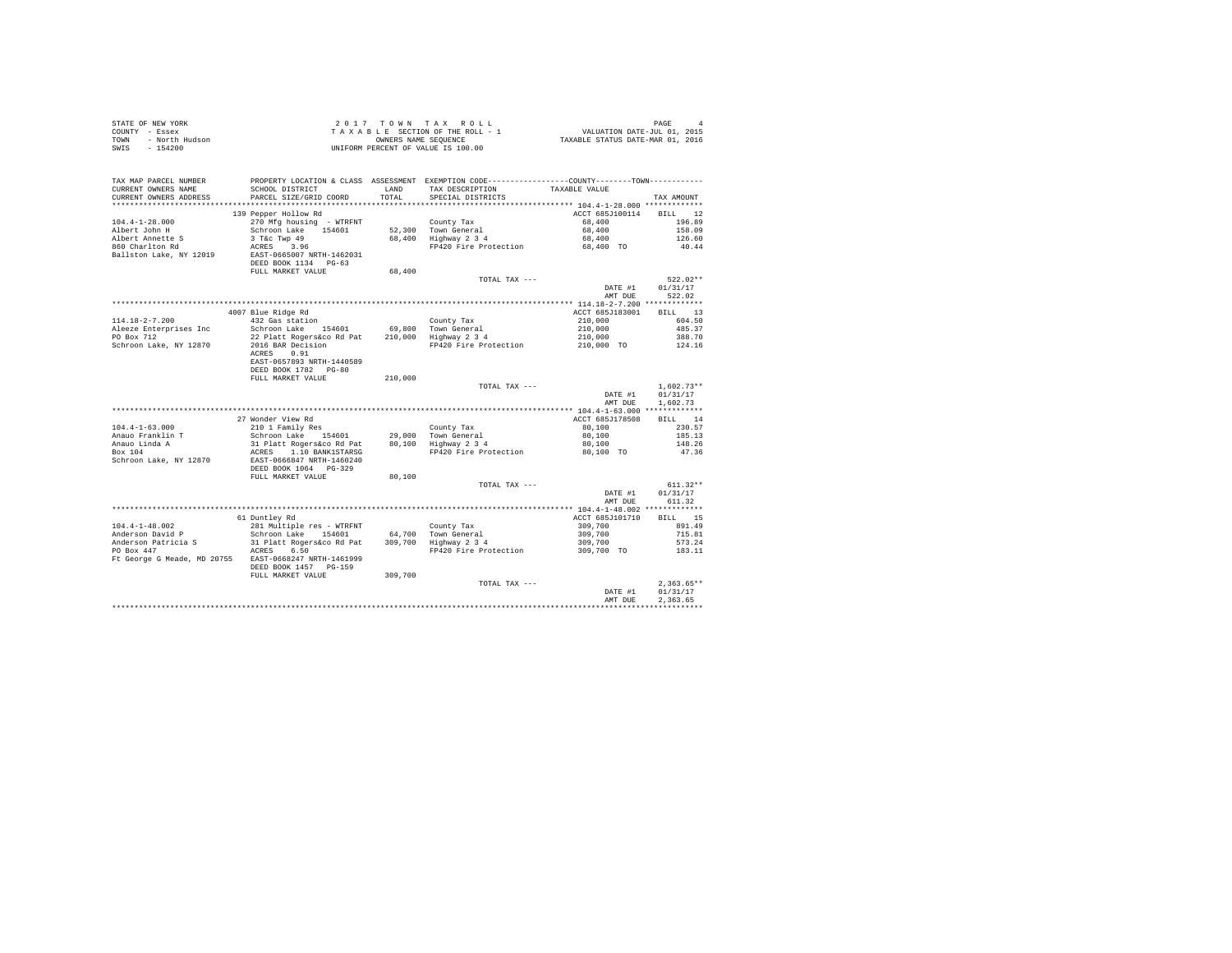| STATE OF NEW YORK<br>COUNTY - Essex<br>- North Hudson<br>TOWN<br>$-154200$<br>SWIS |                                                                 | OWNERS NAME SEQUENCE | 2017 TOWN TAX ROLL<br>TAXABLE SECTION OF THE ROLL - 1<br>UNIFORM PERCENT OF VALUE IS 100.00                                           | 4<br>701, VALUATION DATE-JUL 01, 2015<br>712XABLE STATUS DATE-MAR 01, 2016 | PAGE<br>$\overline{4}$ |
|------------------------------------------------------------------------------------|-----------------------------------------------------------------|----------------------|---------------------------------------------------------------------------------------------------------------------------------------|----------------------------------------------------------------------------|------------------------|
| TAX MAP PARCEL NUMBER<br>CURRENT OWNERS NAME<br>CURRENT OWNERS ADDRESS             | SCHOOL DISTRICT<br>PARCEL SIZE/GRID COORD                       | LAND<br>TOTAL        | PROPERTY LOCATION & CLASS ASSESSMENT EXEMPTION CODE---------------COUNTY-------TOWN----------<br>TAX DESCRIPTION<br>SPECIAL DISTRICTS | TAXABLE VALUE                                                              | TAX AMOUNT             |
|                                                                                    |                                                                 |                      |                                                                                                                                       |                                                                            |                        |
|                                                                                    | 139 Pepper Hollow Rd                                            |                      |                                                                                                                                       | ACCT 685J100114                                                            | RTLL 12                |
| $104.4 - 1 - 28.000$                                                               | 270 Mfg housing - WTRFNT                                        |                      | County Tax                                                                                                                            | 68,400                                                                     | 196.89                 |
| Albert John H                                                                      | Schroon Lake 154601                                             |                      | 52,300 Town General                                                                                                                   | 68,400                                                                     | 158.09                 |
| Albert Annette S                                                                   | 3 T&c Twp 49                                                    |                      | 52,500 Iown General<br>68,400 Highway 234                                                                                             | 68,400                                                                     | 126.60                 |
| 860 Charlton Rd                                                                    | ACRES 3.96                                                      |                      | FP420 Fire Protection                                                                                                                 | 68,400 TO                                                                  | 40.44                  |
| Ballston Lake, NY 12019                                                            | EAST-0665007 NRTH-1462031<br>DEED BOOK 1134 PG-63               |                      |                                                                                                                                       |                                                                            |                        |
|                                                                                    | FULL MARKET VALUE                                               | 68,400               |                                                                                                                                       |                                                                            |                        |
|                                                                                    |                                                                 |                      | TOTAL TAX ---                                                                                                                         | DATE #1                                                                    | $522.02**$             |
|                                                                                    |                                                                 |                      |                                                                                                                                       | AMT DUE                                                                    | 01/31/17<br>522.02     |
|                                                                                    |                                                                 |                      |                                                                                                                                       |                                                                            |                        |
|                                                                                    | 4007 Blue Ridge Rd                                              |                      |                                                                                                                                       | ACCT 685J183001                                                            | BILL 13                |
| $114.18 - 2 - 7.200$                                                               | 432 Gas station                                                 |                      | County Tax                                                                                                                            | 210,000                                                                    | 604.50                 |
| Aleeze Enterprises Inc                                                             | Schroon Lake 154601                                             | 69,800               | Town General                                                                                                                          | 210,000                                                                    | 485.37                 |
| PO Box 712                                                                         | 22 Platt Rogers&co Rd Pat                                       |                      | 210,000 Highway 2 3 4                                                                                                                 | 210,000                                                                    | 388.70                 |
| Schroon Lake, NY 12870                                                             | 2016 BAR Decision                                               |                      | FP420 Fire Protection                                                                                                                 | 210,000 TO                                                                 | 124.16                 |
|                                                                                    | ACRES 0.91<br>EAST-0657893 NRTH-1440589<br>DEED BOOK 1782 PG-80 |                      |                                                                                                                                       |                                                                            |                        |
|                                                                                    | FULL MARKET VALUE                                               | 210,000              |                                                                                                                                       |                                                                            |                        |
|                                                                                    |                                                                 |                      | TOTAL TAX ---                                                                                                                         |                                                                            | $1.602.73**$           |
|                                                                                    |                                                                 |                      |                                                                                                                                       | DATE #1                                                                    | 01/31/17               |
|                                                                                    |                                                                 |                      |                                                                                                                                       | AMT DUE                                                                    | 1,602.73               |
|                                                                                    | 27 Wonder View Rd                                               |                      |                                                                                                                                       | ACCT 685J178508                                                            | BILL 14                |
| $104.4 - 1 - 63.000$                                                               | 210 1 Family Res                                                |                      | County Tax                                                                                                                            | 80,100                                                                     | 230.57                 |
| Anauo Franklin T                                                                   | Schroon Lake 154601                                             | 29,000               |                                                                                                                                       | 80,100                                                                     | 185.13                 |
| Anauo Linda A                                                                      | 31 Platt Rogers&co Rd Pat                                       | 80,100               | Town General<br>Highway 2 3 4                                                                                                         | 80,100                                                                     | 148.26                 |
| Box 104                                                                            | ACRES 1.10 BANK1STARSG                                          |                      | FP420 Fire Protection                                                                                                                 | 80,100 TO                                                                  | 47.36                  |
| Schroon Lake, NY 12870                                                             | EAST-0666847 NRTH-1460240<br>DEED BOOK 1064 PG-329              |                      |                                                                                                                                       |                                                                            |                        |
|                                                                                    | FULL MARKET VALUE                                               | 80,100               |                                                                                                                                       |                                                                            |                        |
|                                                                                    |                                                                 |                      | TOTAL TAX ---                                                                                                                         |                                                                            | $611.32**$             |
|                                                                                    |                                                                 |                      |                                                                                                                                       | DATE #1                                                                    | 01/31/17               |
|                                                                                    |                                                                 |                      |                                                                                                                                       | AMT DUE                                                                    | 611.32                 |
|                                                                                    | 61 Duntley Rd                                                   |                      |                                                                                                                                       | ACCT 685J101710                                                            | BILL 15                |
| $104.4 - 1 - 48.002$                                                               | 281 Multiple res - WTRFNT                                       |                      | County Tax                                                                                                                            | 309,700                                                                    | 891.49                 |
| Anderson David P                                                                   | Schroon Lake 154601                                             |                      | 64,700 Town General<br>309,700 Highway 2 3 4                                                                                          | 309,700                                                                    | 715.81                 |
| Anderson Patricia S<br>PO Box 447                                                  | 31 Platt Rogers&co Rd Pat<br>ACRES 6.50                         |                      | FP420 Fire Protection                                                                                                                 | 309,700                                                                    | 573.24<br>183.11       |
| Ft George G Meade, MD 20755 EAST-0668247 NRTH-1461999                              | DEED BOOK 1457 PG-159                                           |                      |                                                                                                                                       | 309,700 TO                                                                 |                        |
|                                                                                    | FULL MARKET VALUE                                               | 309,700              |                                                                                                                                       |                                                                            |                        |
|                                                                                    |                                                                 |                      | TOTAL TAX ---                                                                                                                         |                                                                            | $2.363.65**$           |
|                                                                                    |                                                                 |                      |                                                                                                                                       | DATE #1                                                                    | 01/31/17               |
|                                                                                    |                                                                 |                      |                                                                                                                                       | AMT DUE                                                                    | 2.363.65               |
|                                                                                    |                                                                 |                      |                                                                                                                                       |                                                                            |                        |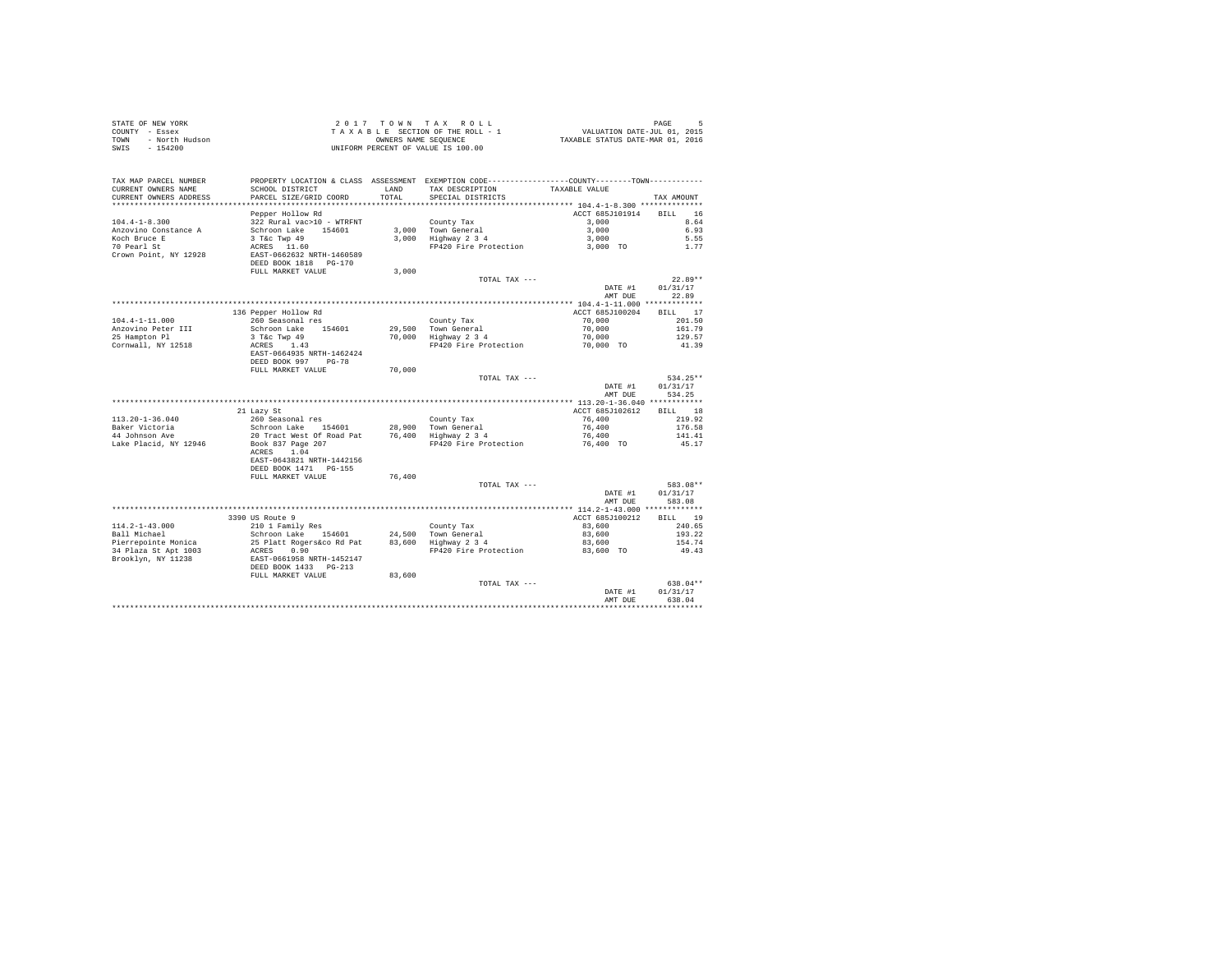| COUNTY - Essex<br>TOWN<br>- North Hudson |                                               | OWNERS NAME SEQUENCE | TAXABLE SECTION OF THE ROLL - 1                                                                | VALUATION DATE-JUL 01, 2015<br>TAXABLE STATUS DATE-MAR 01, 2016 |                      |
|------------------------------------------|-----------------------------------------------|----------------------|------------------------------------------------------------------------------------------------|-----------------------------------------------------------------|----------------------|
| $-154200$<br>SWIS                        |                                               |                      | UNIFORM PERCENT OF VALUE IS 100.00                                                             |                                                                 |                      |
|                                          |                                               |                      |                                                                                                |                                                                 |                      |
| TAX MAP PARCEL NUMBER                    |                                               |                      | PROPERTY LOCATION & CLASS ASSESSMENT EXEMPTION CODE----------------COUNTY-------TOWN---------- |                                                                 |                      |
| CURRENT OWNERS NAME                      | SCHOOL DISTRICT                               | LAND                 | TAX DESCRIPTION                                                                                | TAXABLE VALUE                                                   |                      |
| CURRENT OWNERS ADDRESS                   | PARCEL SIZE/GRID COORD                        | TOTAL                | SPECIAL DISTRICTS                                                                              |                                                                 | TAX AMOUNT           |
|                                          |                                               |                      |                                                                                                |                                                                 |                      |
|                                          | Pepper Hollow Rd                              |                      |                                                                                                | ACCT 685J101914                                                 | 16<br>BILL           |
| $104.4 - 1 - 8.300$                      | 322 Rural vac>10 - WTRFNT                     |                      | County Tax                                                                                     | 3,000                                                           | 8.64                 |
| Anzovino Constance A                     | Schroon Lake 154601                           |                      | 3,000 Town General                                                                             | 3,000                                                           | 6.93                 |
| Koch Bruce E                             | 3 T&c Twp 49                                  |                      | 3,000 Highway 2 3 4                                                                            | 3,000                                                           | 5.55                 |
| 70 Pearl St<br>Crown Point, NY 12928     | ACRES 11.60<br>EAST-0662632 NRTH-1460589      |                      | FP420 Fire Protection                                                                          | 3,000 TO                                                        | 1.77                 |
|                                          | DEED BOOK 1818 PG-170                         |                      |                                                                                                |                                                                 |                      |
|                                          | FULL MARKET VALUE                             | 3,000                |                                                                                                |                                                                 |                      |
|                                          |                                               |                      | TOTAL TAX ---                                                                                  |                                                                 | $22.89**$            |
|                                          |                                               |                      |                                                                                                | DATE #1                                                         | 01/31/17             |
|                                          |                                               |                      |                                                                                                | AMT DUE                                                         | 22.89                |
|                                          |                                               |                      |                                                                                                | ACCT 685J100204                                                 |                      |
| 104.4-1-11.000                           | 136 Pepper Hollow Rd<br>260 Seasonal res      |                      | County Tax                                                                                     | 70,000                                                          | BILL 17<br>201.50    |
| Anzovino Peter III                       | Schroon Lake 154601                           |                      | 29.500 Town General                                                                            | 70,000                                                          | 161.79               |
| 25 Hampton Pl                            | 3 T&c Twp 49                                  |                      | 70,000 Highway 2 3 4                                                                           | 70,000                                                          | 129.57               |
| Cornwall, NY 12518                       | ACRES 1.43                                    |                      | FP420 Fire Protection                                                                          | 70,000 TO                                                       | 41.39                |
|                                          | EAST-0664935 NRTH-1462424                     |                      |                                                                                                |                                                                 |                      |
|                                          | DEED BOOK 997 PG-78                           |                      |                                                                                                |                                                                 |                      |
|                                          | FULL MARKET VALUE                             | 70,000               |                                                                                                |                                                                 |                      |
|                                          |                                               |                      |                                                                                                |                                                                 |                      |
|                                          |                                               |                      | TOTAL TAX ---                                                                                  |                                                                 | 534.25**             |
|                                          |                                               |                      |                                                                                                | DATE #1                                                         | 01/31/17             |
|                                          |                                               |                      |                                                                                                | AMT DUE                                                         | 534.25               |
|                                          |                                               |                      |                                                                                                |                                                                 |                      |
|                                          | 21 Lazy St                                    |                      |                                                                                                | ACCT 685J102612                                                 | BILL 18              |
| $113.20 - 1 - 36.040$                    | 260 Seasonal res                              |                      | County Tax                                                                                     | 76,400                                                          | 219.92               |
|                                          | Schroon Lake 154601                           |                      |                                                                                                | 76,400                                                          | 176.58               |
| Baker Victoria<br>44 Johnson Ave         | 20 Tract West Of Road Pat                     |                      | 28,900 Town General<br>76,400 Highway 2 3 4                                                    | 76,400                                                          | 141.41               |
| Lake Placid, NY 12946                    | Book 837 Page 207                             |                      | FP420 Fire Protection                                                                          | 76,400 TO                                                       | 45.17                |
|                                          | ACRES 1.04                                    |                      |                                                                                                |                                                                 |                      |
|                                          | EAST-0643821 NRTH-1442156                     |                      |                                                                                                |                                                                 |                      |
|                                          | DEED BOOK 1471    PG-155<br>FULL MARKET VALUE |                      |                                                                                                |                                                                 |                      |
|                                          |                                               | 76,400               | TOTAL TAX ---                                                                                  |                                                                 | 583.08**             |
|                                          |                                               |                      |                                                                                                | DATE #1                                                         | 01/31/17             |
|                                          |                                               |                      |                                                                                                | AMT DUE                                                         | 583.08               |
|                                          |                                               |                      |                                                                                                |                                                                 |                      |
|                                          | 3390 US Route 9                               |                      |                                                                                                | ACCT 685J100212                                                 | BILL 19              |
| $114.2 - 1 - 43.000$                     | 210 1 Family Res                              |                      | County Tax                                                                                     | 83,600                                                          | 240.65               |
| Ball Michael                             | Schroon Lake 154601                           |                      |                                                                                                | 83,600                                                          | 193.22               |
| Pierrepointe Monica                      | 25 Platt Rogers&co Rd Pat                     |                      | 24,500 Town General<br>83,600 Highway 2 3 4                                                    | 83,600                                                          | 154.74               |
| 34 Plaza St Apt 1003                     | ACRES<br>0.90                                 |                      | FP420 Fire Protection 83,600 TO                                                                |                                                                 | 49.43                |
| Brooklyn, NY 11238                       | EAST-0661958 NRTH-1452147                     |                      |                                                                                                |                                                                 |                      |
|                                          | DEED BOOK 1433 PG-213                         |                      |                                                                                                |                                                                 |                      |
|                                          | FULL MARKET VALUE                             | 83,600               |                                                                                                |                                                                 |                      |
|                                          |                                               |                      | TOTAL TAX ---                                                                                  |                                                                 | 638.04**<br>01/31/17 |
|                                          |                                               |                      |                                                                                                | DATE #1<br>AMT DUE                                              | 638.04               |

STATE OF NEW YORK  $2017$   $70$  w N  $7$  A X R O L L PAGE 5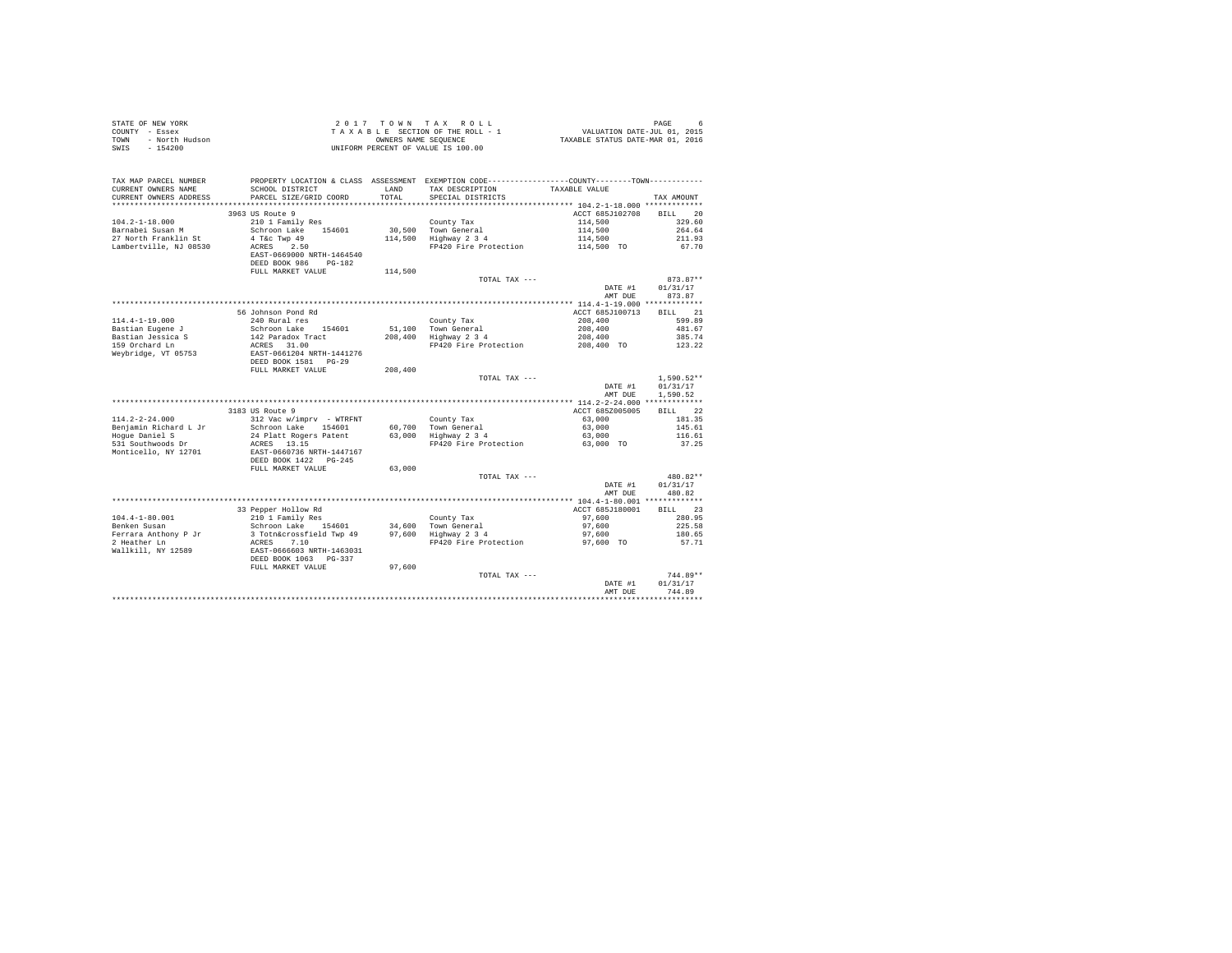| STATE OF NEW YORK<br>COUNTY - Essex<br>TOWN<br>- North Hudson<br>$-154200$<br>SWIS |                                                                   |               | 2017 TOWN TAX ROLL<br>$\begin{array}{lllllll} & \angle & \cup & \bot & \bot & \bot & \bot & \bot & \bot \\ & \top & \text{A} & \text{A} & \text{B} & \text{A} & \text{B} & \text{A} & \text{B} & \text{A} & \text{B} \\ \end{array} \quad \begin{array}{lllllllll} & \text{A} & \text{A} & \text{A} & \text{A} & \text{A} & \text{B} & \text{A} & \text{B} & \text{B} \\ & \text{A} & \text{A} & \text{A} & \text{A} & \text{B} & \text{B} & \text{A} & \text{B} \\ & \text{B$<br>UNIFORM PERCENT OF VALUE IS 100.00 |                    | PAGE<br>6                            |
|------------------------------------------------------------------------------------|-------------------------------------------------------------------|---------------|----------------------------------------------------------------------------------------------------------------------------------------------------------------------------------------------------------------------------------------------------------------------------------------------------------------------------------------------------------------------------------------------------------------------------------------------------------------------------------------------------------------------|--------------------|--------------------------------------|
| TAX MAP PARCEL NUMBER<br>CURRENT OWNERS NAME<br>CURRENT OWNERS ADDRESS             | SCHOOL DISTRICT<br>PARCEL SIZE/GRID COORD                         | LAND<br>TOTAL | PROPERTY LOCATION & CLASS ASSESSMENT EXEMPTION CODE----------------COUNTY-------TOWN----------<br>TAX DESCRIPTION<br>SPECIAL DISTRICTS                                                                                                                                                                                                                                                                                                                                                                               | TAXABLE VALUE      | TAX AMOUNT                           |
|                                                                                    |                                                                   |               |                                                                                                                                                                                                                                                                                                                                                                                                                                                                                                                      |                    |                                      |
|                                                                                    | 3963 US Route 9                                                   |               |                                                                                                                                                                                                                                                                                                                                                                                                                                                                                                                      | ACCT 685J102708    | BILL 20                              |
| $104.2 - 1 - 18.000$                                                               | 210 1 Family Res                                                  |               | County Tax                                                                                                                                                                                                                                                                                                                                                                                                                                                                                                           | 114,500            | 329.60                               |
| Barnabei Susan M                                                                   | Schroon Lake 154601                                               |               | 30,500 Town General                                                                                                                                                                                                                                                                                                                                                                                                                                                                                                  | 114,500<br>114,500 | 264.64                               |
| 27 North Franklin St                                                               | 4 T&C Twp 49<br>ACRES 2.50                                        |               | 114,500 Highway 2 3 4                                                                                                                                                                                                                                                                                                                                                                                                                                                                                                |                    | 211.93                               |
| Lambertville, NJ 08530                                                             | EAST-0669000 NRTH-1464540<br>DEED BOOK 986 PG-182                 |               | FP420 Fire Protection                                                                                                                                                                                                                                                                                                                                                                                                                                                                                                | 114,500 TO         | 67.70                                |
|                                                                                    | FULL MARKET VALUE                                                 | 114,500       |                                                                                                                                                                                                                                                                                                                                                                                                                                                                                                                      |                    |                                      |
|                                                                                    |                                                                   |               | TOTAL TAX ---                                                                                                                                                                                                                                                                                                                                                                                                                                                                                                        |                    | $873.87**$                           |
|                                                                                    |                                                                   |               |                                                                                                                                                                                                                                                                                                                                                                                                                                                                                                                      | DATE #1<br>AMT DUE | 01/31/17<br>873.87                   |
|                                                                                    |                                                                   |               |                                                                                                                                                                                                                                                                                                                                                                                                                                                                                                                      |                    |                                      |
|                                                                                    | 56 Johnson Pond Rd                                                |               |                                                                                                                                                                                                                                                                                                                                                                                                                                                                                                                      | ACCT 685J100713    | BILL 21                              |
| $114.4 - 1 - 19.000$                                                               | 240 Rural res                                                     |               | County Tax                                                                                                                                                                                                                                                                                                                                                                                                                                                                                                           | 208,400            | 599.89                               |
| Bastian Eugene J<br>Bastian Jessica S                                              | Schroon Lake 154601<br>142 Paradox Tract                          |               | 51,100 Town General<br>208,400 Highway 2 3 4                                                                                                                                                                                                                                                                                                                                                                                                                                                                         | 208,400<br>208,400 | 481.67<br>385.74                     |
| 159 Orchard Ln                                                                     |                                                                   |               | FP420 Fire Protection 208,400 TO                                                                                                                                                                                                                                                                                                                                                                                                                                                                                     |                    | 123.22                               |
| Weybridge, VT 05753                                                                | ACRES 31.00<br>EAST-0661204 NRTH-1441276<br>DEED BOOK 1581 PG-29  |               |                                                                                                                                                                                                                                                                                                                                                                                                                                                                                                                      |                    |                                      |
|                                                                                    | FULL MARKET VALUE                                                 | 208,400       |                                                                                                                                                                                                                                                                                                                                                                                                                                                                                                                      |                    |                                      |
|                                                                                    |                                                                   |               | TOTAL TAX ---                                                                                                                                                                                                                                                                                                                                                                                                                                                                                                        | DATE #1<br>AMT DUE | $1.590.52**$<br>01/31/17<br>1,590.52 |
|                                                                                    |                                                                   |               |                                                                                                                                                                                                                                                                                                                                                                                                                                                                                                                      |                    |                                      |
|                                                                                    | 3183 US Route 9                                                   |               |                                                                                                                                                                                                                                                                                                                                                                                                                                                                                                                      | ACCT 685Z005005    | BILL 22                              |
| $114.2 - 2 - 24.000$                                                               | 312 Vac w/imprv - WTRFNT                                          |               | County Tax                                                                                                                                                                                                                                                                                                                                                                                                                                                                                                           | 63,000             | 181.35                               |
| Benjamin Richard L Jr                                                              | Schroon Lake 154601                                               |               |                                                                                                                                                                                                                                                                                                                                                                                                                                                                                                                      | 63,000             | 145.61                               |
|                                                                                    | 24 Platt Rogers Patent                                            |               | 60,700 Town General<br>63,000 Highway 2 3 4                                                                                                                                                                                                                                                                                                                                                                                                                                                                          | 63,000             | 116.61                               |
| Hogue Daniel S<br>531 Southwoods Dr<br>Monticello, NY 12701                        | ACRES 13.15<br>EAST-0660736 NRTH-1447167<br>DEED BOOK 1422 PG-245 |               | FP420 Fire Protection                                                                                                                                                                                                                                                                                                                                                                                                                                                                                                | 63,000 TO          | 37.25                                |
|                                                                                    |                                                                   |               |                                                                                                                                                                                                                                                                                                                                                                                                                                                                                                                      |                    |                                      |
|                                                                                    | FULL MARKET VALUE                                                 | 63,000        | TOTAL TAX ---                                                                                                                                                                                                                                                                                                                                                                                                                                                                                                        |                    | 480.82**                             |
|                                                                                    |                                                                   |               |                                                                                                                                                                                                                                                                                                                                                                                                                                                                                                                      | DATE #1            | 01/31/17                             |
|                                                                                    |                                                                   |               |                                                                                                                                                                                                                                                                                                                                                                                                                                                                                                                      | AMT DUE            | 480.82                               |
|                                                                                    |                                                                   |               |                                                                                                                                                                                                                                                                                                                                                                                                                                                                                                                      |                    |                                      |
|                                                                                    | 33 Pepper Hollow Rd                                               |               |                                                                                                                                                                                                                                                                                                                                                                                                                                                                                                                      | ACCT 685J180001    | BILL 23                              |
| $104.4 - 1 - 80.001$                                                               | 210 1 Family Res                                                  |               | County Tax                                                                                                                                                                                                                                                                                                                                                                                                                                                                                                           | 97,600             | 280.95                               |
|                                                                                    |                                                                   |               |                                                                                                                                                                                                                                                                                                                                                                                                                                                                                                                      | 97,600             | 225.58                               |
|                                                                                    |                                                                   |               |                                                                                                                                                                                                                                                                                                                                                                                                                                                                                                                      | 97,600             | 180.65                               |
| 2 Heather Ln<br>Wallkill, NY 12589                                                 | ACRES 7.10                                                        |               | FP420 Fire Protection                                                                                                                                                                                                                                                                                                                                                                                                                                                                                                | 97,600 TO          | 57.71                                |
|                                                                                    | EAST-0666603 NRTH-1463031<br>DEED BOOK 1063 PG-337                |               |                                                                                                                                                                                                                                                                                                                                                                                                                                                                                                                      |                    |                                      |
|                                                                                    | FULL MARKET VALUE                                                 | 97,600        |                                                                                                                                                                                                                                                                                                                                                                                                                                                                                                                      |                    |                                      |
|                                                                                    |                                                                   |               | TOTAL TAX ---                                                                                                                                                                                                                                                                                                                                                                                                                                                                                                        |                    | $744.89**$                           |
|                                                                                    |                                                                   |               |                                                                                                                                                                                                                                                                                                                                                                                                                                                                                                                      | DATE #1            | 01/31/17                             |
|                                                                                    |                                                                   |               |                                                                                                                                                                                                                                                                                                                                                                                                                                                                                                                      | AMT DUE            | 744.89                               |
|                                                                                    |                                                                   |               |                                                                                                                                                                                                                                                                                                                                                                                                                                                                                                                      |                    |                                      |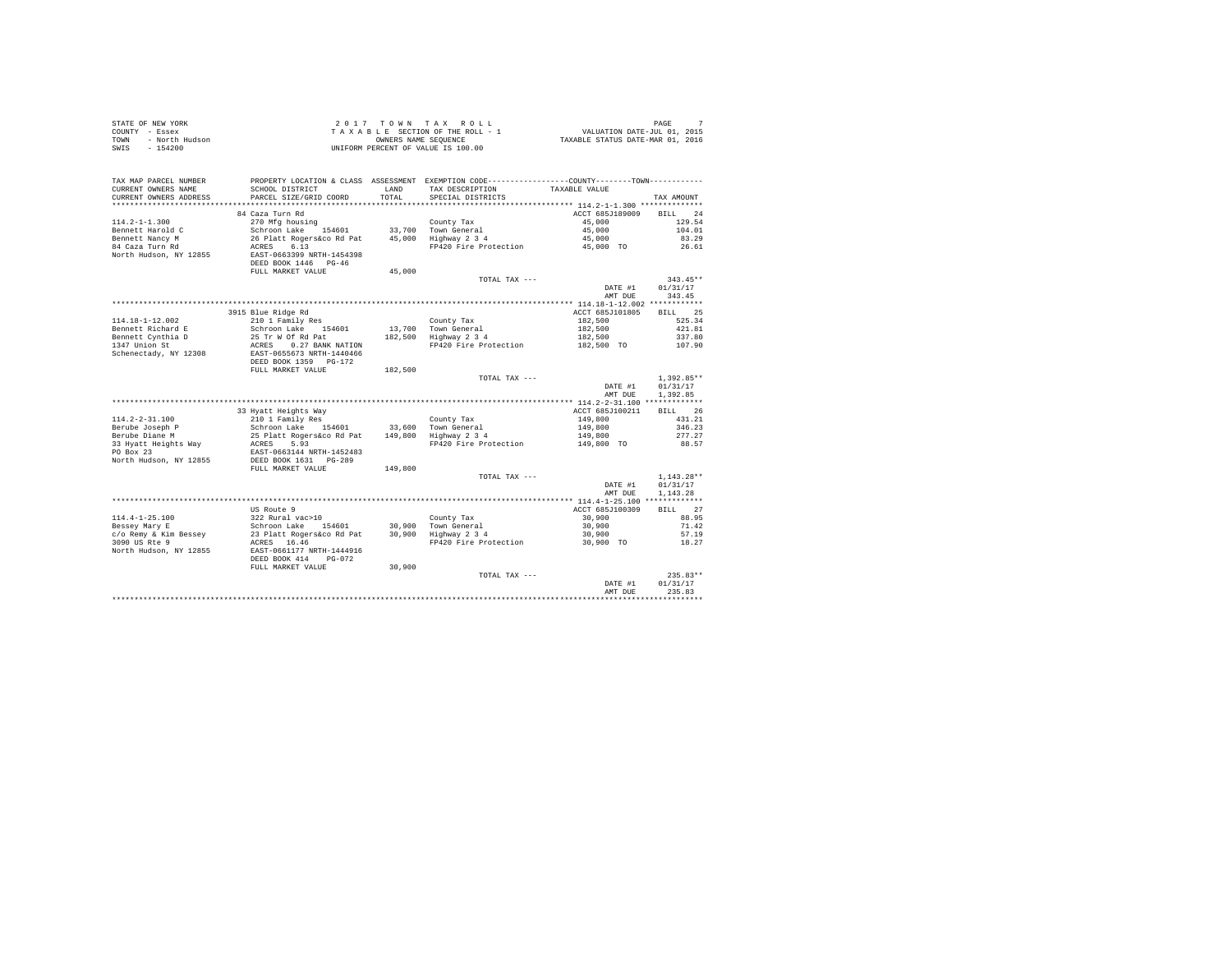| PROPERTY LOCATION & CLASS ASSESSMENT EXEMPTION CODE---------------COUNTY-------TOWN----------<br>TAX MAP PARCEL NUMBER<br>TAX DESCRIPTION TAXABLE VALUE<br>CURRENT OWNERS NAME<br>SCHOOL DISTRICT<br>LAND<br>PARCEL SIZE/GRID COORD<br>TOTAL<br>CURRENT OWNERS ADDRESS<br>SPECIAL DISTRICTS<br>TAX AMOUNT<br>84 Caza Turn Rd<br>ACCT 685J189009<br>BILL 24<br>$114.2 - 1 - 1.300$<br>45,000<br>129.54<br>45,000<br>Bennett Harold C<br>104.01<br>45,000<br>Bennett Nancy M<br>84 Caza Turn Rd<br>83.29<br>FP420 Fire Protection 45,000 TO<br>26.61<br>North Hudson, NY 12855<br>DEED BOOK 1446 PG-46<br>FULL MARKET VALUE<br>45,000<br>TOTAL TAX ---<br>$343.45**$<br>DATE #1<br>01/31/17<br>AMT DUE<br>343.45<br>BILL 25<br>3915 Blue Ridge Rd<br>ACCT 685J101805<br>210 1 Family Res<br>114.18-1-12.002<br>County Tax<br>182,500<br>525.34<br>13,700 Town General<br>182,500 Highway 2 3 4<br>Bennett Richard E<br>Schroon Lake 154601<br>182,500<br>421.81<br>25 Tr W Of Rd Pat<br>ACRES 0.27 BANK NATION<br>182,500<br>Bennett Cynthia D<br>337.80<br>1347 Union St<br>$FP\overline{420}$ Fire Protection $182,500$ TO $107.90$<br>EAST-0655673 NRTH-1440466<br>Schenectady, NY 12308<br>DEED BOOK 1359 PG-172<br>FULL MARKET VALUE<br>182,500<br>$1.392.85**$<br>TOTAL TAX ---<br>01/31/17<br>DATE #1<br>1.392.85<br>AMT DUE<br>BILL 26<br>33 Hyatt Heights Way<br>210 1 Family Res<br>Schroon Lake 154601 33,600 Town General<br>25 Platt Rogers&co Rd Pat 149,800 Highway 234<br>ACCT 685J100211<br>$114.2 - 2 - 31.100$<br>149,800<br>431.21<br>149,800<br>Berube Joseph P<br>Berube Diane M<br>33 Hyatt Heights Way<br>346.23<br>277.27<br>149,800<br>ACRES 5.93<br>FP420 Fire Protection 149,800 TO<br>88.57<br>PO Box 23<br>EAST-0663144 NRTH-1452483<br>DEED BOOK 1631 PG-289<br>North Hudson, NY 12855<br>FULL MARKET VALUE<br>149,800<br>$1.143.28**$<br>TOTAL TAX ---<br>01/31/17<br>DATE #1<br>AMT DUE<br>1.143.28<br>BILL 27<br>ACCT 685J100309<br>US Route 9<br>114.4-1-25.100<br>Bessey Mary E<br>Schroon Lake 154601 30,900 Town General<br>$\frac{2}{2}$<br>23 Pural vac>10 30,900 Town General<br>2000 TC Respublic Reserved Contract 2000 TC Respublic 2.000 TC Respublic 2.000 TC Respublic 2.30<br>200<br>30,900<br>88.95<br>30,900<br>71.42<br>30,900<br>57.19<br>FP420 Fire Protection 30,900 TO<br>3090 US Rte 9<br>18.27<br>ACRES 16.46<br>North Hudson, NY 12855<br>EAST-0661177 NRTH-1444916<br>DEED BOOK 414 PG-072<br>FULL MARKET VALUE<br>30,900<br>$235.83**$<br>TOTAL TAX ---<br>01/31/17<br>DATE #1<br>235.83<br>AMT DUE | STATE OF NEW YORK<br>COUNTY - Essex<br>- North Hudson<br>TOWN<br>$-154200$<br>SWIS |  | 2017 TOWN TAX ROLL<br>$\begin{array}{ccccccccc} 2&0&1&7&7&0&\text{W} &\text{R} &\text{X} &\text{R} &0&L&L\\ T&\text{A} &X&\text{A} &B&L&E&\text{SIC} &T\text{RIC} &0&T\text{HIC} &0&T\text{SIC} &0&T\text{SIC} &0&T\text{SIC} &0&T\text{SIC} &0&T\text{SIC} &0&T\text{SIC} &0&T\text{SIC} &0&T\text{SIC} &0&T\text{SIC} &0&T\text{SIC} &0&T\text{SIC} &0&T\text{SIC} &0$<br>UNIFORM PERCENT OF VALUE IS 100.00 | PAGE |
|---------------------------------------------------------------------------------------------------------------------------------------------------------------------------------------------------------------------------------------------------------------------------------------------------------------------------------------------------------------------------------------------------------------------------------------------------------------------------------------------------------------------------------------------------------------------------------------------------------------------------------------------------------------------------------------------------------------------------------------------------------------------------------------------------------------------------------------------------------------------------------------------------------------------------------------------------------------------------------------------------------------------------------------------------------------------------------------------------------------------------------------------------------------------------------------------------------------------------------------------------------------------------------------------------------------------------------------------------------------------------------------------------------------------------------------------------------------------------------------------------------------------------------------------------------------------------------------------------------------------------------------------------------------------------------------------------------------------------------------------------------------------------------------------------------------------------------------------------------------------------------------------------------------------------------------------------------------------------------------------------------------------------------------------------------------------------------------------------------------------------------------------------------------------------------------------------------------------------------------------------------------------------------------------------------------------------------------------------------------------------------------------------------------------------------------------------------------------------------------------------------------------------------------------------------------|------------------------------------------------------------------------------------|--|----------------------------------------------------------------------------------------------------------------------------------------------------------------------------------------------------------------------------------------------------------------------------------------------------------------------------------------------------------------------------------------------------------------|------|
|                                                                                                                                                                                                                                                                                                                                                                                                                                                                                                                                                                                                                                                                                                                                                                                                                                                                                                                                                                                                                                                                                                                                                                                                                                                                                                                                                                                                                                                                                                                                                                                                                                                                                                                                                                                                                                                                                                                                                                                                                                                                                                                                                                                                                                                                                                                                                                                                                                                                                                                                                               |                                                                                    |  |                                                                                                                                                                                                                                                                                                                                                                                                                |      |
|                                                                                                                                                                                                                                                                                                                                                                                                                                                                                                                                                                                                                                                                                                                                                                                                                                                                                                                                                                                                                                                                                                                                                                                                                                                                                                                                                                                                                                                                                                                                                                                                                                                                                                                                                                                                                                                                                                                                                                                                                                                                                                                                                                                                                                                                                                                                                                                                                                                                                                                                                               |                                                                                    |  |                                                                                                                                                                                                                                                                                                                                                                                                                |      |
|                                                                                                                                                                                                                                                                                                                                                                                                                                                                                                                                                                                                                                                                                                                                                                                                                                                                                                                                                                                                                                                                                                                                                                                                                                                                                                                                                                                                                                                                                                                                                                                                                                                                                                                                                                                                                                                                                                                                                                                                                                                                                                                                                                                                                                                                                                                                                                                                                                                                                                                                                               |                                                                                    |  |                                                                                                                                                                                                                                                                                                                                                                                                                |      |
|                                                                                                                                                                                                                                                                                                                                                                                                                                                                                                                                                                                                                                                                                                                                                                                                                                                                                                                                                                                                                                                                                                                                                                                                                                                                                                                                                                                                                                                                                                                                                                                                                                                                                                                                                                                                                                                                                                                                                                                                                                                                                                                                                                                                                                                                                                                                                                                                                                                                                                                                                               |                                                                                    |  |                                                                                                                                                                                                                                                                                                                                                                                                                |      |
|                                                                                                                                                                                                                                                                                                                                                                                                                                                                                                                                                                                                                                                                                                                                                                                                                                                                                                                                                                                                                                                                                                                                                                                                                                                                                                                                                                                                                                                                                                                                                                                                                                                                                                                                                                                                                                                                                                                                                                                                                                                                                                                                                                                                                                                                                                                                                                                                                                                                                                                                                               |                                                                                    |  |                                                                                                                                                                                                                                                                                                                                                                                                                |      |
|                                                                                                                                                                                                                                                                                                                                                                                                                                                                                                                                                                                                                                                                                                                                                                                                                                                                                                                                                                                                                                                                                                                                                                                                                                                                                                                                                                                                                                                                                                                                                                                                                                                                                                                                                                                                                                                                                                                                                                                                                                                                                                                                                                                                                                                                                                                                                                                                                                                                                                                                                               |                                                                                    |  |                                                                                                                                                                                                                                                                                                                                                                                                                |      |
|                                                                                                                                                                                                                                                                                                                                                                                                                                                                                                                                                                                                                                                                                                                                                                                                                                                                                                                                                                                                                                                                                                                                                                                                                                                                                                                                                                                                                                                                                                                                                                                                                                                                                                                                                                                                                                                                                                                                                                                                                                                                                                                                                                                                                                                                                                                                                                                                                                                                                                                                                               |                                                                                    |  |                                                                                                                                                                                                                                                                                                                                                                                                                |      |
|                                                                                                                                                                                                                                                                                                                                                                                                                                                                                                                                                                                                                                                                                                                                                                                                                                                                                                                                                                                                                                                                                                                                                                                                                                                                                                                                                                                                                                                                                                                                                                                                                                                                                                                                                                                                                                                                                                                                                                                                                                                                                                                                                                                                                                                                                                                                                                                                                                                                                                                                                               |                                                                                    |  |                                                                                                                                                                                                                                                                                                                                                                                                                |      |
|                                                                                                                                                                                                                                                                                                                                                                                                                                                                                                                                                                                                                                                                                                                                                                                                                                                                                                                                                                                                                                                                                                                                                                                                                                                                                                                                                                                                                                                                                                                                                                                                                                                                                                                                                                                                                                                                                                                                                                                                                                                                                                                                                                                                                                                                                                                                                                                                                                                                                                                                                               |                                                                                    |  |                                                                                                                                                                                                                                                                                                                                                                                                                |      |
|                                                                                                                                                                                                                                                                                                                                                                                                                                                                                                                                                                                                                                                                                                                                                                                                                                                                                                                                                                                                                                                                                                                                                                                                                                                                                                                                                                                                                                                                                                                                                                                                                                                                                                                                                                                                                                                                                                                                                                                                                                                                                                                                                                                                                                                                                                                                                                                                                                                                                                                                                               |                                                                                    |  |                                                                                                                                                                                                                                                                                                                                                                                                                |      |
|                                                                                                                                                                                                                                                                                                                                                                                                                                                                                                                                                                                                                                                                                                                                                                                                                                                                                                                                                                                                                                                                                                                                                                                                                                                                                                                                                                                                                                                                                                                                                                                                                                                                                                                                                                                                                                                                                                                                                                                                                                                                                                                                                                                                                                                                                                                                                                                                                                                                                                                                                               |                                                                                    |  |                                                                                                                                                                                                                                                                                                                                                                                                                |      |
|                                                                                                                                                                                                                                                                                                                                                                                                                                                                                                                                                                                                                                                                                                                                                                                                                                                                                                                                                                                                                                                                                                                                                                                                                                                                                                                                                                                                                                                                                                                                                                                                                                                                                                                                                                                                                                                                                                                                                                                                                                                                                                                                                                                                                                                                                                                                                                                                                                                                                                                                                               |                                                                                    |  |                                                                                                                                                                                                                                                                                                                                                                                                                |      |
|                                                                                                                                                                                                                                                                                                                                                                                                                                                                                                                                                                                                                                                                                                                                                                                                                                                                                                                                                                                                                                                                                                                                                                                                                                                                                                                                                                                                                                                                                                                                                                                                                                                                                                                                                                                                                                                                                                                                                                                                                                                                                                                                                                                                                                                                                                                                                                                                                                                                                                                                                               |                                                                                    |  |                                                                                                                                                                                                                                                                                                                                                                                                                |      |
|                                                                                                                                                                                                                                                                                                                                                                                                                                                                                                                                                                                                                                                                                                                                                                                                                                                                                                                                                                                                                                                                                                                                                                                                                                                                                                                                                                                                                                                                                                                                                                                                                                                                                                                                                                                                                                                                                                                                                                                                                                                                                                                                                                                                                                                                                                                                                                                                                                                                                                                                                               |                                                                                    |  |                                                                                                                                                                                                                                                                                                                                                                                                                |      |
|                                                                                                                                                                                                                                                                                                                                                                                                                                                                                                                                                                                                                                                                                                                                                                                                                                                                                                                                                                                                                                                                                                                                                                                                                                                                                                                                                                                                                                                                                                                                                                                                                                                                                                                                                                                                                                                                                                                                                                                                                                                                                                                                                                                                                                                                                                                                                                                                                                                                                                                                                               |                                                                                    |  |                                                                                                                                                                                                                                                                                                                                                                                                                |      |
|                                                                                                                                                                                                                                                                                                                                                                                                                                                                                                                                                                                                                                                                                                                                                                                                                                                                                                                                                                                                                                                                                                                                                                                                                                                                                                                                                                                                                                                                                                                                                                                                                                                                                                                                                                                                                                                                                                                                                                                                                                                                                                                                                                                                                                                                                                                                                                                                                                                                                                                                                               |                                                                                    |  |                                                                                                                                                                                                                                                                                                                                                                                                                |      |
|                                                                                                                                                                                                                                                                                                                                                                                                                                                                                                                                                                                                                                                                                                                                                                                                                                                                                                                                                                                                                                                                                                                                                                                                                                                                                                                                                                                                                                                                                                                                                                                                                                                                                                                                                                                                                                                                                                                                                                                                                                                                                                                                                                                                                                                                                                                                                                                                                                                                                                                                                               |                                                                                    |  |                                                                                                                                                                                                                                                                                                                                                                                                                |      |
|                                                                                                                                                                                                                                                                                                                                                                                                                                                                                                                                                                                                                                                                                                                                                                                                                                                                                                                                                                                                                                                                                                                                                                                                                                                                                                                                                                                                                                                                                                                                                                                                                                                                                                                                                                                                                                                                                                                                                                                                                                                                                                                                                                                                                                                                                                                                                                                                                                                                                                                                                               |                                                                                    |  |                                                                                                                                                                                                                                                                                                                                                                                                                |      |
|                                                                                                                                                                                                                                                                                                                                                                                                                                                                                                                                                                                                                                                                                                                                                                                                                                                                                                                                                                                                                                                                                                                                                                                                                                                                                                                                                                                                                                                                                                                                                                                                                                                                                                                                                                                                                                                                                                                                                                                                                                                                                                                                                                                                                                                                                                                                                                                                                                                                                                                                                               |                                                                                    |  |                                                                                                                                                                                                                                                                                                                                                                                                                |      |
|                                                                                                                                                                                                                                                                                                                                                                                                                                                                                                                                                                                                                                                                                                                                                                                                                                                                                                                                                                                                                                                                                                                                                                                                                                                                                                                                                                                                                                                                                                                                                                                                                                                                                                                                                                                                                                                                                                                                                                                                                                                                                                                                                                                                                                                                                                                                                                                                                                                                                                                                                               |                                                                                    |  |                                                                                                                                                                                                                                                                                                                                                                                                                |      |
|                                                                                                                                                                                                                                                                                                                                                                                                                                                                                                                                                                                                                                                                                                                                                                                                                                                                                                                                                                                                                                                                                                                                                                                                                                                                                                                                                                                                                                                                                                                                                                                                                                                                                                                                                                                                                                                                                                                                                                                                                                                                                                                                                                                                                                                                                                                                                                                                                                                                                                                                                               |                                                                                    |  |                                                                                                                                                                                                                                                                                                                                                                                                                |      |
|                                                                                                                                                                                                                                                                                                                                                                                                                                                                                                                                                                                                                                                                                                                                                                                                                                                                                                                                                                                                                                                                                                                                                                                                                                                                                                                                                                                                                                                                                                                                                                                                                                                                                                                                                                                                                                                                                                                                                                                                                                                                                                                                                                                                                                                                                                                                                                                                                                                                                                                                                               |                                                                                    |  |                                                                                                                                                                                                                                                                                                                                                                                                                |      |
|                                                                                                                                                                                                                                                                                                                                                                                                                                                                                                                                                                                                                                                                                                                                                                                                                                                                                                                                                                                                                                                                                                                                                                                                                                                                                                                                                                                                                                                                                                                                                                                                                                                                                                                                                                                                                                                                                                                                                                                                                                                                                                                                                                                                                                                                                                                                                                                                                                                                                                                                                               |                                                                                    |  |                                                                                                                                                                                                                                                                                                                                                                                                                |      |
|                                                                                                                                                                                                                                                                                                                                                                                                                                                                                                                                                                                                                                                                                                                                                                                                                                                                                                                                                                                                                                                                                                                                                                                                                                                                                                                                                                                                                                                                                                                                                                                                                                                                                                                                                                                                                                                                                                                                                                                                                                                                                                                                                                                                                                                                                                                                                                                                                                                                                                                                                               |                                                                                    |  |                                                                                                                                                                                                                                                                                                                                                                                                                |      |
|                                                                                                                                                                                                                                                                                                                                                                                                                                                                                                                                                                                                                                                                                                                                                                                                                                                                                                                                                                                                                                                                                                                                                                                                                                                                                                                                                                                                                                                                                                                                                                                                                                                                                                                                                                                                                                                                                                                                                                                                                                                                                                                                                                                                                                                                                                                                                                                                                                                                                                                                                               |                                                                                    |  |                                                                                                                                                                                                                                                                                                                                                                                                                |      |
|                                                                                                                                                                                                                                                                                                                                                                                                                                                                                                                                                                                                                                                                                                                                                                                                                                                                                                                                                                                                                                                                                                                                                                                                                                                                                                                                                                                                                                                                                                                                                                                                                                                                                                                                                                                                                                                                                                                                                                                                                                                                                                                                                                                                                                                                                                                                                                                                                                                                                                                                                               |                                                                                    |  |                                                                                                                                                                                                                                                                                                                                                                                                                |      |
|                                                                                                                                                                                                                                                                                                                                                                                                                                                                                                                                                                                                                                                                                                                                                                                                                                                                                                                                                                                                                                                                                                                                                                                                                                                                                                                                                                                                                                                                                                                                                                                                                                                                                                                                                                                                                                                                                                                                                                                                                                                                                                                                                                                                                                                                                                                                                                                                                                                                                                                                                               |                                                                                    |  |                                                                                                                                                                                                                                                                                                                                                                                                                |      |
|                                                                                                                                                                                                                                                                                                                                                                                                                                                                                                                                                                                                                                                                                                                                                                                                                                                                                                                                                                                                                                                                                                                                                                                                                                                                                                                                                                                                                                                                                                                                                                                                                                                                                                                                                                                                                                                                                                                                                                                                                                                                                                                                                                                                                                                                                                                                                                                                                                                                                                                                                               |                                                                                    |  |                                                                                                                                                                                                                                                                                                                                                                                                                |      |
|                                                                                                                                                                                                                                                                                                                                                                                                                                                                                                                                                                                                                                                                                                                                                                                                                                                                                                                                                                                                                                                                                                                                                                                                                                                                                                                                                                                                                                                                                                                                                                                                                                                                                                                                                                                                                                                                                                                                                                                                                                                                                                                                                                                                                                                                                                                                                                                                                                                                                                                                                               |                                                                                    |  |                                                                                                                                                                                                                                                                                                                                                                                                                |      |
|                                                                                                                                                                                                                                                                                                                                                                                                                                                                                                                                                                                                                                                                                                                                                                                                                                                                                                                                                                                                                                                                                                                                                                                                                                                                                                                                                                                                                                                                                                                                                                                                                                                                                                                                                                                                                                                                                                                                                                                                                                                                                                                                                                                                                                                                                                                                                                                                                                                                                                                                                               |                                                                                    |  |                                                                                                                                                                                                                                                                                                                                                                                                                |      |
|                                                                                                                                                                                                                                                                                                                                                                                                                                                                                                                                                                                                                                                                                                                                                                                                                                                                                                                                                                                                                                                                                                                                                                                                                                                                                                                                                                                                                                                                                                                                                                                                                                                                                                                                                                                                                                                                                                                                                                                                                                                                                                                                                                                                                                                                                                                                                                                                                                                                                                                                                               |                                                                                    |  |                                                                                                                                                                                                                                                                                                                                                                                                                |      |
|                                                                                                                                                                                                                                                                                                                                                                                                                                                                                                                                                                                                                                                                                                                                                                                                                                                                                                                                                                                                                                                                                                                                                                                                                                                                                                                                                                                                                                                                                                                                                                                                                                                                                                                                                                                                                                                                                                                                                                                                                                                                                                                                                                                                                                                                                                                                                                                                                                                                                                                                                               |                                                                                    |  |                                                                                                                                                                                                                                                                                                                                                                                                                |      |
|                                                                                                                                                                                                                                                                                                                                                                                                                                                                                                                                                                                                                                                                                                                                                                                                                                                                                                                                                                                                                                                                                                                                                                                                                                                                                                                                                                                                                                                                                                                                                                                                                                                                                                                                                                                                                                                                                                                                                                                                                                                                                                                                                                                                                                                                                                                                                                                                                                                                                                                                                               |                                                                                    |  |                                                                                                                                                                                                                                                                                                                                                                                                                |      |
|                                                                                                                                                                                                                                                                                                                                                                                                                                                                                                                                                                                                                                                                                                                                                                                                                                                                                                                                                                                                                                                                                                                                                                                                                                                                                                                                                                                                                                                                                                                                                                                                                                                                                                                                                                                                                                                                                                                                                                                                                                                                                                                                                                                                                                                                                                                                                                                                                                                                                                                                                               |                                                                                    |  |                                                                                                                                                                                                                                                                                                                                                                                                                |      |
|                                                                                                                                                                                                                                                                                                                                                                                                                                                                                                                                                                                                                                                                                                                                                                                                                                                                                                                                                                                                                                                                                                                                                                                                                                                                                                                                                                                                                                                                                                                                                                                                                                                                                                                                                                                                                                                                                                                                                                                                                                                                                                                                                                                                                                                                                                                                                                                                                                                                                                                                                               |                                                                                    |  |                                                                                                                                                                                                                                                                                                                                                                                                                |      |
|                                                                                                                                                                                                                                                                                                                                                                                                                                                                                                                                                                                                                                                                                                                                                                                                                                                                                                                                                                                                                                                                                                                                                                                                                                                                                                                                                                                                                                                                                                                                                                                                                                                                                                                                                                                                                                                                                                                                                                                                                                                                                                                                                                                                                                                                                                                                                                                                                                                                                                                                                               |                                                                                    |  |                                                                                                                                                                                                                                                                                                                                                                                                                |      |
|                                                                                                                                                                                                                                                                                                                                                                                                                                                                                                                                                                                                                                                                                                                                                                                                                                                                                                                                                                                                                                                                                                                                                                                                                                                                                                                                                                                                                                                                                                                                                                                                                                                                                                                                                                                                                                                                                                                                                                                                                                                                                                                                                                                                                                                                                                                                                                                                                                                                                                                                                               |                                                                                    |  |                                                                                                                                                                                                                                                                                                                                                                                                                |      |
|                                                                                                                                                                                                                                                                                                                                                                                                                                                                                                                                                                                                                                                                                                                                                                                                                                                                                                                                                                                                                                                                                                                                                                                                                                                                                                                                                                                                                                                                                                                                                                                                                                                                                                                                                                                                                                                                                                                                                                                                                                                                                                                                                                                                                                                                                                                                                                                                                                                                                                                                                               |                                                                                    |  |                                                                                                                                                                                                                                                                                                                                                                                                                |      |
|                                                                                                                                                                                                                                                                                                                                                                                                                                                                                                                                                                                                                                                                                                                                                                                                                                                                                                                                                                                                                                                                                                                                                                                                                                                                                                                                                                                                                                                                                                                                                                                                                                                                                                                                                                                                                                                                                                                                                                                                                                                                                                                                                                                                                                                                                                                                                                                                                                                                                                                                                               |                                                                                    |  |                                                                                                                                                                                                                                                                                                                                                                                                                |      |
|                                                                                                                                                                                                                                                                                                                                                                                                                                                                                                                                                                                                                                                                                                                                                                                                                                                                                                                                                                                                                                                                                                                                                                                                                                                                                                                                                                                                                                                                                                                                                                                                                                                                                                                                                                                                                                                                                                                                                                                                                                                                                                                                                                                                                                                                                                                                                                                                                                                                                                                                                               |                                                                                    |  |                                                                                                                                                                                                                                                                                                                                                                                                                |      |
|                                                                                                                                                                                                                                                                                                                                                                                                                                                                                                                                                                                                                                                                                                                                                                                                                                                                                                                                                                                                                                                                                                                                                                                                                                                                                                                                                                                                                                                                                                                                                                                                                                                                                                                                                                                                                                                                                                                                                                                                                                                                                                                                                                                                                                                                                                                                                                                                                                                                                                                                                               |                                                                                    |  |                                                                                                                                                                                                                                                                                                                                                                                                                |      |
|                                                                                                                                                                                                                                                                                                                                                                                                                                                                                                                                                                                                                                                                                                                                                                                                                                                                                                                                                                                                                                                                                                                                                                                                                                                                                                                                                                                                                                                                                                                                                                                                                                                                                                                                                                                                                                                                                                                                                                                                                                                                                                                                                                                                                                                                                                                                                                                                                                                                                                                                                               |                                                                                    |  |                                                                                                                                                                                                                                                                                                                                                                                                                |      |
|                                                                                                                                                                                                                                                                                                                                                                                                                                                                                                                                                                                                                                                                                                                                                                                                                                                                                                                                                                                                                                                                                                                                                                                                                                                                                                                                                                                                                                                                                                                                                                                                                                                                                                                                                                                                                                                                                                                                                                                                                                                                                                                                                                                                                                                                                                                                                                                                                                                                                                                                                               |                                                                                    |  |                                                                                                                                                                                                                                                                                                                                                                                                                |      |
|                                                                                                                                                                                                                                                                                                                                                                                                                                                                                                                                                                                                                                                                                                                                                                                                                                                                                                                                                                                                                                                                                                                                                                                                                                                                                                                                                                                                                                                                                                                                                                                                                                                                                                                                                                                                                                                                                                                                                                                                                                                                                                                                                                                                                                                                                                                                                                                                                                                                                                                                                               |                                                                                    |  |                                                                                                                                                                                                                                                                                                                                                                                                                |      |
|                                                                                                                                                                                                                                                                                                                                                                                                                                                                                                                                                                                                                                                                                                                                                                                                                                                                                                                                                                                                                                                                                                                                                                                                                                                                                                                                                                                                                                                                                                                                                                                                                                                                                                                                                                                                                                                                                                                                                                                                                                                                                                                                                                                                                                                                                                                                                                                                                                                                                                                                                               |                                                                                    |  |                                                                                                                                                                                                                                                                                                                                                                                                                |      |
|                                                                                                                                                                                                                                                                                                                                                                                                                                                                                                                                                                                                                                                                                                                                                                                                                                                                                                                                                                                                                                                                                                                                                                                                                                                                                                                                                                                                                                                                                                                                                                                                                                                                                                                                                                                                                                                                                                                                                                                                                                                                                                                                                                                                                                                                                                                                                                                                                                                                                                                                                               |                                                                                    |  |                                                                                                                                                                                                                                                                                                                                                                                                                |      |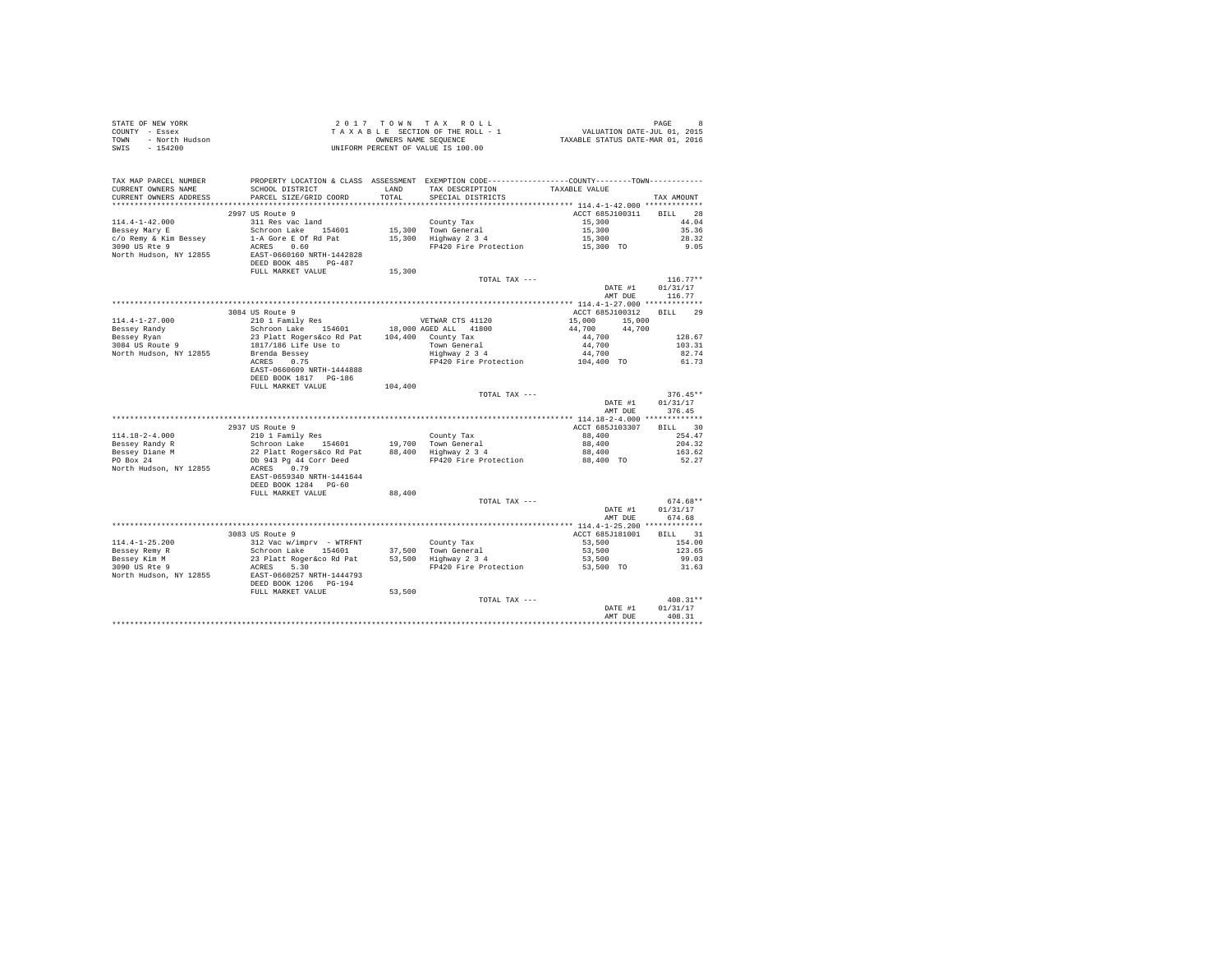|                | STATE OF NEW YORK | 2017 TOWN TAX ROLL                 | - 8<br>PAGE                      |
|----------------|-------------------|------------------------------------|----------------------------------|
| COUNTY - Essex |                   | TAXABLE SECTION OF THE ROLL - 1    | VALUATION DATE-JUL 01, 2015      |
| TOWN           | - North Hudson    | OWNERS NAME SEOUENCE               | TAXABLE STATUS DATE-MAR 01, 2016 |
| SWIS           | $-154200$         | UNIFORM PERCENT OF VALUE IS 100.00 |                                  |

| TAX MAP PARCEL NUMBER  | PROPERTY LOCATION & CLASS ASSESSMENT EXEMPTION CODE-----------------COUNTY--------TOWN----------                                      |         |                                             |                         |                   |
|------------------------|---------------------------------------------------------------------------------------------------------------------------------------|---------|---------------------------------------------|-------------------------|-------------------|
| CURRENT OWNERS NAME    | SCHOOL DISTRICT                                                                                                                       | LAND    | TAX DESCRIPTION                             | TAXABLE VALUE           |                   |
| CURRENT OWNERS ADDRESS | PARCEL SIZE/GRID COORD                                                                                                                | TOTAL   | SPECIAL DISTRICTS                           |                         | TAX AMOUNT        |
|                        |                                                                                                                                       |         |                                             |                         |                   |
|                        | 2997 US Route 9                                                                                                                       |         |                                             | ACCT 685J100311 BILL 28 |                   |
| $114.4 - 1 - 42.000$   | 311 Res vac land                                                                                                                      |         | County Tax                                  | 15,300                  | 44.04             |
| Bessey Mary E          | Schroon Lake 154601<br>1-A Gore E Of Rd Pat                                                                                           |         | 15,300 Town General<br>15,300 Highway 2 3 4 | 15,300                  | 35.36             |
| c/o Remy & Kim Bessey  |                                                                                                                                       |         |                                             | 15,300                  | 28.32             |
| 3090 US Rte 9          | ACRES 0.60                                                                                                                            |         | FP420 Fire Protection                       | 15,300 TO               | 9.05              |
| North Hudson, NY 12855 | EAST-0660160 NRTH-1442828                                                                                                             |         |                                             |                         |                   |
|                        | DEED BOOK 485 PG-487                                                                                                                  |         |                                             |                         |                   |
|                        | FULL MARKET VALUE                                                                                                                     | 15,300  |                                             |                         |                   |
|                        |                                                                                                                                       |         | TOTAL TAX ---                               |                         | $116.77**$        |
|                        |                                                                                                                                       |         |                                             | DATE #1                 | 01/31/17          |
|                        |                                                                                                                                       |         |                                             | AMT DUE                 | 116.77            |
|                        |                                                                                                                                       |         |                                             |                         |                   |
|                        | 3084 US Route 9                                                                                                                       |         |                                             | ACCT 685J100312         | <b>BILL</b><br>29 |
| $114.4 - 1 - 27.000$   | 210 1 Family Res                                                                                                                      |         | VETWAR CTS 41120                            | 15,000 15,000           |                   |
| Bessey Randy           | Schroon Lake 154601<br>23 Platt Rogers&co Rd Pat<br>1817/186 Life Use to<br>Brenda Bessey                                             |         | 18,000 AGED ALL 41800                       | 44,700 44,700           |                   |
| Bessey Ryan            |                                                                                                                                       |         | 104,400 County Tax                          | 44,700                  | 128.67            |
| 3084 US Route 9        |                                                                                                                                       |         | Town General                                | 44,700                  | 103.31            |
| North Hudson, NY 12855 | prenda Bessey<br>ACRES 0.75                                                                                                           |         | Highway 2 3 4                               | 44,700                  | 82.74             |
|                        |                                                                                                                                       |         | FP420 Fire Protection                       | $104,400$ TO            | 61.73             |
|                        | EAST-0660609 NRTH-1444888                                                                                                             |         |                                             |                         |                   |
|                        | DEED BOOK 1817 PG-186                                                                                                                 |         |                                             |                         |                   |
|                        | FULL MARKET VALUE                                                                                                                     | 104,400 |                                             |                         |                   |
|                        |                                                                                                                                       |         | TOTAL TAX ---                               |                         | $376.45**$        |
|                        |                                                                                                                                       |         |                                             | DATE #1                 | 01/31/17          |
|                        |                                                                                                                                       |         |                                             | AMT DUE                 | 376.45            |
|                        |                                                                                                                                       |         |                                             |                         |                   |
|                        | 2937 US Route 9                                                                                                                       |         |                                             | ACCT 685J103307         | BILL 30           |
| $114.18 - 2 - 4.000$   | 210 1 Family Res                                                                                                                      |         | County Tax                                  | 88,400                  | 254.47            |
| Bessey Randy R         |                                                                                                                                       |         |                                             | 88,400                  | 204.32            |
| Bessey Diane M         |                                                                                                                                       |         | 88,400 Highway 2 3 4                        | 88,400                  | 163.62            |
| PO Box 24              | Schroon Lake 154601 19,700 Town General<br>22 Platt Rogers&co Rd Pat 88,400 Highway 234<br>Db 943 Pg 44 Corr Deed 188,400 Highway 234 |         | FP420 Fire Protection 88,400 TO             |                         | 52.27             |
| North Hudson, NY 12855 | ACRES 0.79                                                                                                                            |         |                                             |                         |                   |
|                        | EAST-0659340 NRTH-1441644                                                                                                             |         |                                             |                         |                   |
|                        | DEED BOOK 1284 PG-60                                                                                                                  |         |                                             |                         |                   |
|                        | FULL MARKET VALUE                                                                                                                     | 88,400  |                                             |                         |                   |
|                        |                                                                                                                                       |         | TOTAL TAX ---                               |                         | $674.68**$        |
|                        |                                                                                                                                       |         |                                             | DATE #1                 | 01/31/17          |
|                        |                                                                                                                                       |         |                                             | AMT DUE                 | 674.68            |
|                        |                                                                                                                                       |         |                                             |                         |                   |
|                        | 3083 US Route 9                                                                                                                       |         |                                             | ACCT 685J181001         | BILL 31           |
| $114.4 - 1 - 25.200$   | 312 Vac w/imprv - WTRFNT                                                                                                              |         | County Tax                                  | 53,500                  | 154.00            |
| Bessey Remy R          | Schroon Lake 154601 37,500 Town General<br>23 Platt Roger&co Rd Pat 53,500 Highway 2 3 4                                              |         |                                             | 53,500                  | 123.65            |
| Bessey Kim M           |                                                                                                                                       |         |                                             | 53,500                  | 99.03             |
| 3090 US Rte 9          | ACRES 5.30                                                                                                                            |         | FP420 Fire Protection                       | 53,500 TO               | 31.63             |
|                        | North Hudson, NY 12855 EAST-0660257 NRTH-1444793                                                                                      |         |                                             |                         |                   |
|                        | DEED BOOK 1206 PG-194                                                                                                                 |         |                                             |                         |                   |
|                        | FULL MARKET VALUE                                                                                                                     | 53,500  |                                             |                         |                   |
|                        |                                                                                                                                       |         | TOTAL TAX ---                               |                         | $408.31**$        |
|                        |                                                                                                                                       |         |                                             | DATE #1                 | 01/31/17          |
|                        |                                                                                                                                       |         |                                             | AMT DUE                 | 408.31            |
|                        |                                                                                                                                       |         |                                             |                         |                   |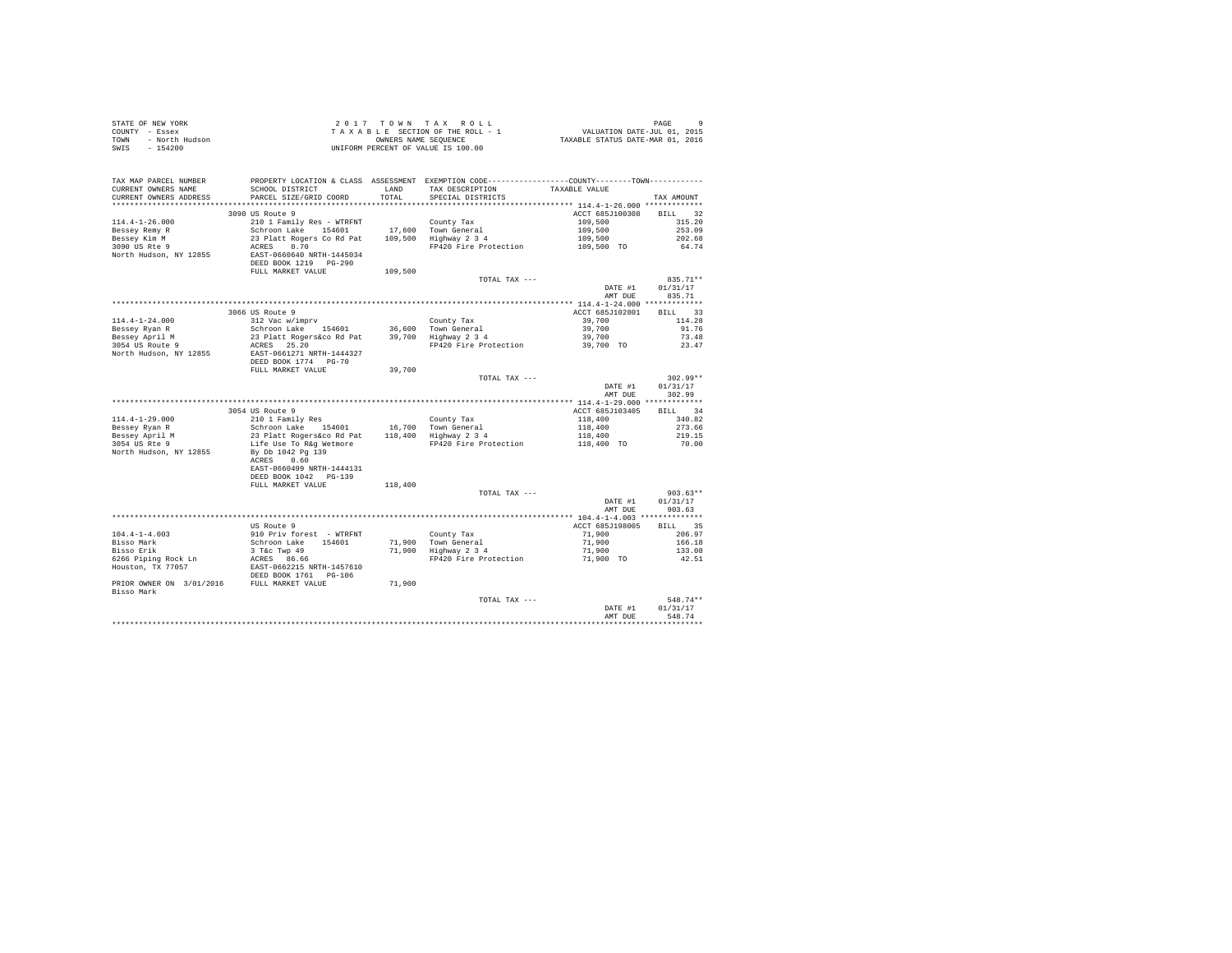| STATE OF NEW YORK      | 2017 TOWN TAX ROLL                 | PAGE                             |
|------------------------|------------------------------------|----------------------------------|
| COUNTY - Essex         | TAXABLE SECTION OF THE ROLL - 1    | VALUATION DATE-JUL 01, 2015      |
| TOWN<br>- North Hudson | OWNERS NAME SEOUENCE               | TAXABLE STATUS DATE-MAR 01, 2016 |
| SWIS<br>$-154200$      | UNIFORM PERCENT OF VALUE IS 100.00 |                                  |

| TAX MAP PARCEL NUMBER<br>CURRENT OWNERS NAME<br>CURRENT OWNERS ADDRESS | SCHOOL DISTRICT<br>PARCEL SIZE/GRID COORD | <b>T.AND</b><br>TOTAL | PROPERTY LOCATION & CLASS ASSESSMENT EXEMPTION CODE----------------COUNTY-------TOWN----------<br>TAX DESCRIPTION<br>SPECIAL DISTRICTS | TAXABLE VALUE                               | TAX AMOUNT   |
|------------------------------------------------------------------------|-------------------------------------------|-----------------------|----------------------------------------------------------------------------------------------------------------------------------------|---------------------------------------------|--------------|
| ******************                                                     |                                           | ********              |                                                                                                                                        | *********** 114.4-1-26.000 *************    |              |
|                                                                        | 3090 US Route 9                           |                       |                                                                                                                                        | ACCT 685J100308                             | 32<br>BTLL.  |
| $114.4 - 1 - 26.000$                                                   | 210 1 Family Res - WTRFNT                 |                       | County Tax                                                                                                                             | 109,500                                     | 315.20       |
| Bessey Remy R                                                          | Schroon Lake<br>154601                    | 17,600                | Town General                                                                                                                           | 109,500                                     | 253.09       |
| Bessey Kim M                                                           | 23 Platt Rogers Co Rd Pat                 | 109,500               | Highway 2 3 4                                                                                                                          | 109,500                                     | 202.68       |
| 3090 US Rte 9                                                          | ACRES<br>0.70                             |                       | FP420 Fire Protection                                                                                                                  | 109,500 TO                                  | 64.74        |
| North Hudson, NY 12855                                                 | EAST-0660640 NRTH-1445034                 |                       |                                                                                                                                        |                                             |              |
|                                                                        | DEED BOOK 1219 PG-290                     |                       |                                                                                                                                        |                                             |              |
|                                                                        | FULL MARKET VALUE                         | 109,500               |                                                                                                                                        |                                             |              |
|                                                                        |                                           |                       | TOTAL TAX ---                                                                                                                          |                                             | 835.71**     |
|                                                                        |                                           |                       |                                                                                                                                        | DATE #1                                     | 01/31/17     |
|                                                                        |                                           |                       |                                                                                                                                        | AMT DUE                                     | 835.71       |
|                                                                        |                                           |                       |                                                                                                                                        |                                             |              |
|                                                                        | 3066 US Route 9                           |                       |                                                                                                                                        | ACCT 685J102801                             | 33<br>RTT.T. |
| $114.4 - 1 - 24.000$                                                   | 312 Vac w/imprv                           |                       | County Tax                                                                                                                             | 39,700                                      | 114.28       |
| Bessey Ryan R                                                          | Schroon Lake 154601                       | 36,600                | Town General                                                                                                                           | 39,700                                      | 91.76        |
| Bessey April M                                                         | 23 Platt Rogers&co Rd Pat                 | 39,700                | Highway 2 3 4                                                                                                                          | 39,700                                      | 73.48        |
| 3054 US Route 9                                                        | 25.20<br>ACRES                            |                       | FP420 Fire Protection                                                                                                                  | 39,700 TO                                   | 23.47        |
| North Hudson, NY 12855                                                 | EAST-0661271 NRTH-1444327                 |                       |                                                                                                                                        |                                             |              |
|                                                                        | DEED BOOK 1774 PG-70                      |                       |                                                                                                                                        |                                             |              |
|                                                                        | FULL MARKET VALUE                         | 39,700                |                                                                                                                                        |                                             |              |
|                                                                        |                                           |                       | TOTAL TAX ---                                                                                                                          |                                             | 302.99**     |
|                                                                        |                                           |                       |                                                                                                                                        | DATE #1                                     | 01/31/17     |
|                                                                        |                                           |                       |                                                                                                                                        | AMT DUE                                     | 302.99       |
|                                                                        |                                           |                       |                                                                                                                                        | ************** 114.4-1-29.000 ************* |              |
|                                                                        | 3054 US Route 9                           |                       |                                                                                                                                        | ACCT 685J103405                             | 34<br>BILL   |
| $114.4 - 1 - 29.000$                                                   | 210 1 Family Res                          |                       |                                                                                                                                        | 118,400                                     | 340.82       |
|                                                                        |                                           |                       | County Tax                                                                                                                             |                                             |              |
| Bessey Ryan R                                                          | Schroon Lake 154601                       |                       | 16,700 Town General                                                                                                                    | 118,400                                     | 273.66       |
| Bessey April M                                                         | 23 Platt Rogers&co Rd Pat                 | 118,400               | Highway 2 3 4                                                                                                                          | 118,400                                     | 219.15       |
| 3054 US Rte 9                                                          | Life Use To R&q Wetmore                   |                       | FP420 Fire Protection                                                                                                                  | 118,400 TO                                  | 70.00        |
| North Hudson, NY 12855                                                 | By Db 1042 Pg 139                         |                       |                                                                                                                                        |                                             |              |
|                                                                        | 0.60<br>ACRES                             |                       |                                                                                                                                        |                                             |              |
|                                                                        | EAST-0660499 NRTH-1444131                 |                       |                                                                                                                                        |                                             |              |
|                                                                        | DEED BOOK 1042 PG-139                     |                       |                                                                                                                                        |                                             |              |
|                                                                        | FULL MARKET VALUE                         | 118,400               |                                                                                                                                        |                                             |              |
|                                                                        |                                           |                       | TOTAL TAX ---                                                                                                                          |                                             | $903.63**$   |
|                                                                        |                                           |                       |                                                                                                                                        | DATE #1                                     | 01/31/17     |
|                                                                        |                                           |                       |                                                                                                                                        | AMT DUE                                     | 903.63       |
|                                                                        |                                           |                       |                                                                                                                                        |                                             |              |
|                                                                        | US Route 9                                |                       |                                                                                                                                        | ACCT 685J198005                             | 35<br>BILL   |
| $104.4 - 1 - 4.003$                                                    | 910 Priv forest - WTRFNT                  |                       | County Tax                                                                                                                             | 71,900                                      | 206.97       |
| Bisso Mark                                                             | Schroon Lake<br>154601                    | 71,900                | Town General                                                                                                                           | 71,900                                      | 166.18       |
| Bisso Erik                                                             | 3 T&c Twp 49                              | 71,900                | Highway 2 3 4                                                                                                                          | 71,900                                      | 133.08       |
| 6266 Piping Rock Ln                                                    | ACRES 86.66                               |                       | FP420 Fire Protection                                                                                                                  | 71,900 TO                                   | 42.51        |
| Houston, TX 77057                                                      | EAST-0662215 NRTH-1457610                 |                       |                                                                                                                                        |                                             |              |
|                                                                        | DEED BOOK 1761 PG-106                     |                       |                                                                                                                                        |                                             |              |
| PRIOR OWNER ON 3/01/2016                                               | FULL MARKET VALUE                         | 71,900                |                                                                                                                                        |                                             |              |
| Bisso Mark                                                             |                                           |                       |                                                                                                                                        |                                             |              |
|                                                                        |                                           |                       | TOTAL TAX ---                                                                                                                          |                                             | 548.74**     |
|                                                                        |                                           |                       |                                                                                                                                        | DATE #1                                     | 01/31/17     |
|                                                                        |                                           |                       |                                                                                                                                        | AMT DUE                                     | 548.74       |
|                                                                        |                                           |                       |                                                                                                                                        |                                             | *******      |
|                                                                        |                                           |                       |                                                                                                                                        |                                             |              |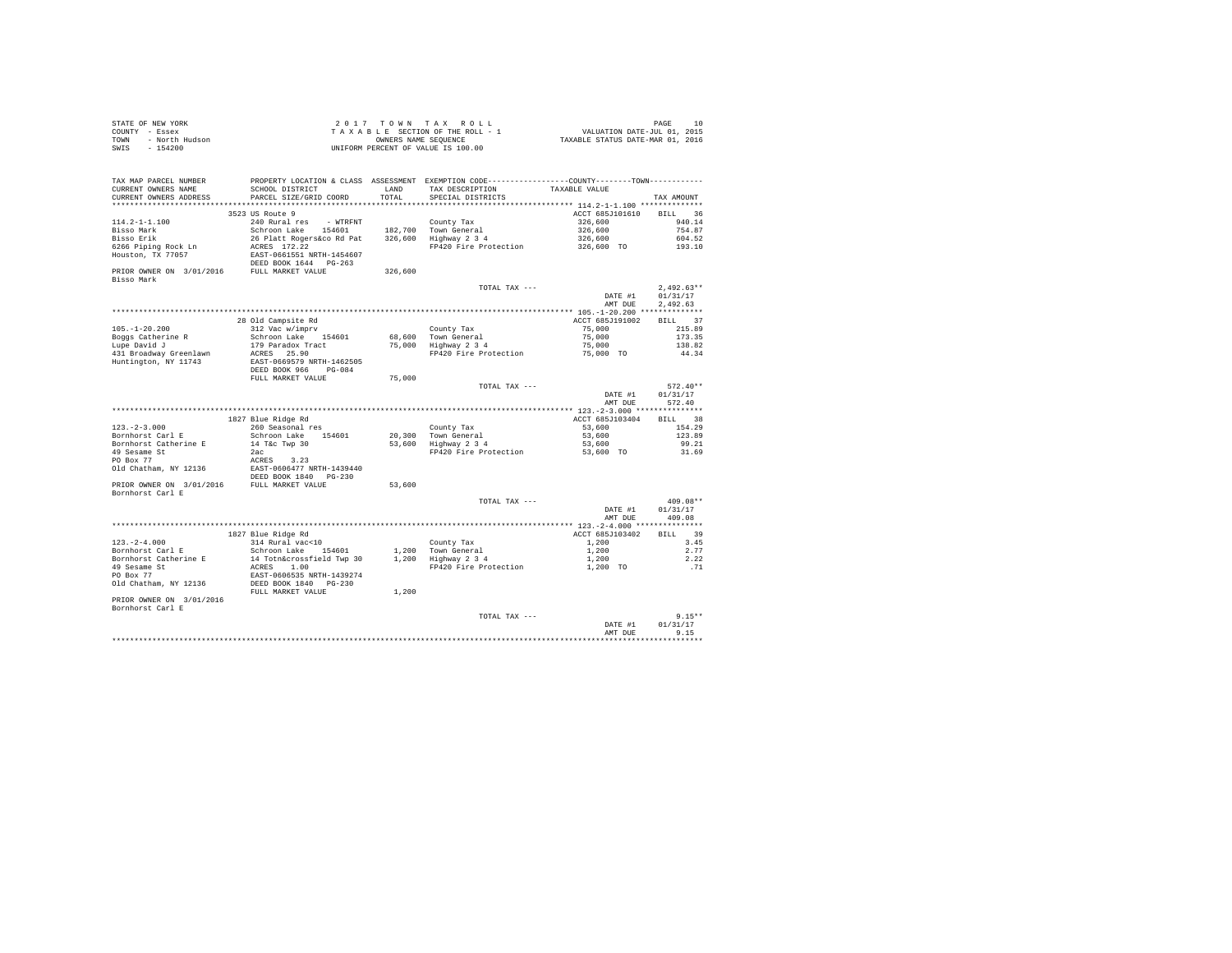| STATE OF NEW YORK      | 2017 TOWN TAX ROLL                 | 10<br>PAGE                       |
|------------------------|------------------------------------|----------------------------------|
| COUNTY - Essex         | TAXABLE SECTION OF THE ROLL - 1    | VALUATION DATE-JUL 01, 2015      |
| TOWN<br>- North Hudson | OWNERS NAME SEOUENCE               | TAXABLE STATUS DATE-MAR 01, 2016 |
| SWIS - 154200          | UNIFORM PERCENT OF VALUE IS 100.00 |                                  |

| TAX MAP PARCEL NUMBER    |                           |         | PROPERTY LOCATION & CLASS ASSESSMENT EXEMPTION CODE---------------COUNTY-------TOWN--------- |                 |                  |
|--------------------------|---------------------------|---------|----------------------------------------------------------------------------------------------|-----------------|------------------|
| CURRENT OWNERS NAME      | SCHOOL DISTRICT           | LAND    | TAX DESCRIPTION                                                                              | TAXABLE VALUE   |                  |
| CURRENT OWNERS ADDRESS   | PARCEL SIZE/GRID COORD    | TOTAL   | SPECIAL DISTRICTS                                                                            |                 | TAX AMOUNT       |
|                          |                           |         |                                                                                              |                 |                  |
|                          | 3523 US Route 9           |         |                                                                                              | ACCT 685J101610 | BILL 36          |
| 114.2-1-1.100            | 240 Rural res<br>- WTRFNT |         | County Tax                                                                                   | 326,600         | 940.14           |
| Bisso Mark               | Schroon Lake<br>154601    |         | 182.700 Town General                                                                         | 326,600         | 754.87           |
| Bisso Erik               | 26 Platt Rogers&co Rd Pat |         | 326,600 Highway 2 3 4                                                                        | 326,600         | 604.52           |
| 6266 Piping Rock Ln      | ACRES 172.22              |         | FP420 Fire Protection                                                                        | 326,600 TO      | 193.10           |
| Houston, TX 77057        | EAST-0661551 NRTH-1454607 |         |                                                                                              |                 |                  |
|                          | DEED BOOK 1644 PG-263     |         |                                                                                              |                 |                  |
| PRIOR OWNER ON 3/01/2016 | FULL MARKET VALUE         | 326,600 |                                                                                              |                 |                  |
| Bisso Mark               |                           |         |                                                                                              |                 |                  |
|                          |                           |         | TOTAL TAX ---                                                                                |                 | $2,492.63**$     |
|                          |                           |         |                                                                                              | DATE #1         | 01/31/17         |
|                          |                           |         |                                                                                              | AMT DUE         | 2,492.63         |
|                          |                           |         |                                                                                              |                 |                  |
|                          | 28 Old Campsite Rd        |         |                                                                                              | ACCT 685J191002 | BILL 37          |
| $105. - 1 - 20.200$      | 312 Vac w/imprv           |         | County Tax                                                                                   | 75,000          | 215.89           |
| Boggs Catherine R        | Schroon Lake 154601       |         | 68,600 Town General                                                                          | 75,000          | 173.35           |
| Lupe David J             | 179 Paradox Tract         |         | 75,000 Highway 2 3 4                                                                         | 75,000          | 138.82           |
| 431 Broadway Greenlawn   | ACRES 25.90               |         | FP420 Fire Protection                                                                        | 75,000 TO       | 44.34            |
| Huntington, NY 11743     | EAST-0669579 NRTH-1462505 |         |                                                                                              |                 |                  |
|                          | DEED BOOK 966 PG-084      |         |                                                                                              |                 |                  |
|                          | FULL MARKET VALUE         | 75,000  |                                                                                              |                 |                  |
|                          |                           |         | TOTAL TAX ---                                                                                |                 | $572.40**$       |
|                          |                           |         |                                                                                              | DATE #1         | 01/31/17         |
|                          |                           |         |                                                                                              | AMT DUE         | 572.40           |
|                          | 1827 Blue Ridge Rd        |         |                                                                                              | ACCT 685J103404 | BILL 38          |
| $123. - 2 - 3.000$       | 260 Seasonal res          |         | County Tax                                                                                   | 53,600          | 154.29           |
| Bornhorst Carl E         | Schroon Lake<br>154601    |         | 20,300 Town General                                                                          | 53,600          | 123.89           |
| Bornhorst Catherine E    | 14 T&c Twp 30             |         | 53,600 Highway 2 3 4                                                                         | 53,600          | 99.21            |
| 49 Sesame St             | 2ac                       |         | FP420 Fire Protection                                                                        | 53,600 TO       | 31.69            |
| PO Box 77                | ACRES<br>3.23             |         |                                                                                              |                 |                  |
| Old Chatham, NY 12136    | EAST-0606477 NRTH-1439440 |         |                                                                                              |                 |                  |
|                          | DEED BOOK 1840 PG-230     |         |                                                                                              |                 |                  |
| PRIOR OWNER ON 3/01/2016 | FULL MARKET VALUE         | 53,600  |                                                                                              |                 |                  |
| Bornhorst Carl E         |                           |         |                                                                                              |                 |                  |
|                          |                           |         | TOTAL TAX ---                                                                                |                 | $409.08**$       |
|                          |                           |         |                                                                                              | DATE #1         | 01/31/17         |
|                          |                           |         |                                                                                              | AMT DUE         | 409.08           |
|                          |                           |         |                                                                                              |                 |                  |
|                          | 1827 Blue Ridge Rd        |         |                                                                                              | ACCT 685J103402 | 39<br>BILL       |
| $123. - 2 - 4.000$       | 314 Rural vac<10          |         | County Tax                                                                                   | 1,200           | 3.45             |
| Bornhorst Carl E         | Schroon Lake 154601       |         | 1,200 Town General                                                                           | 1,200           | 2.77             |
| Bornhorst Catherine E    | 14 Totn&crossfield Twp 30 |         | 1,200 Highway 2 3 4                                                                          | 1,200           | 2.22             |
| 49 Sesame St             | 1.00<br>ACRES             |         | FP420 Fire Protection                                                                        | 1,200 TO        | .71              |
| PO Box 77                | EAST-0606535 NRTH-1439274 |         |                                                                                              |                 |                  |
| Old Chatham, NY 12136    | DEED BOOK 1840 PG-230     |         |                                                                                              |                 |                  |
|                          | FULL MARKET VALUE         | 1,200   |                                                                                              |                 |                  |
| PRIOR OWNER ON 3/01/2016 |                           |         |                                                                                              |                 |                  |
| Bornhorst Carl E         |                           |         |                                                                                              |                 |                  |
|                          |                           |         | TOTAL TAX ---                                                                                |                 | $9.15**$         |
|                          |                           |         |                                                                                              | DATE #1         | 01/31/17         |
|                          |                           |         |                                                                                              | AMT DUE         | 9.15<br>******** |
|                          |                           |         |                                                                                              |                 |                  |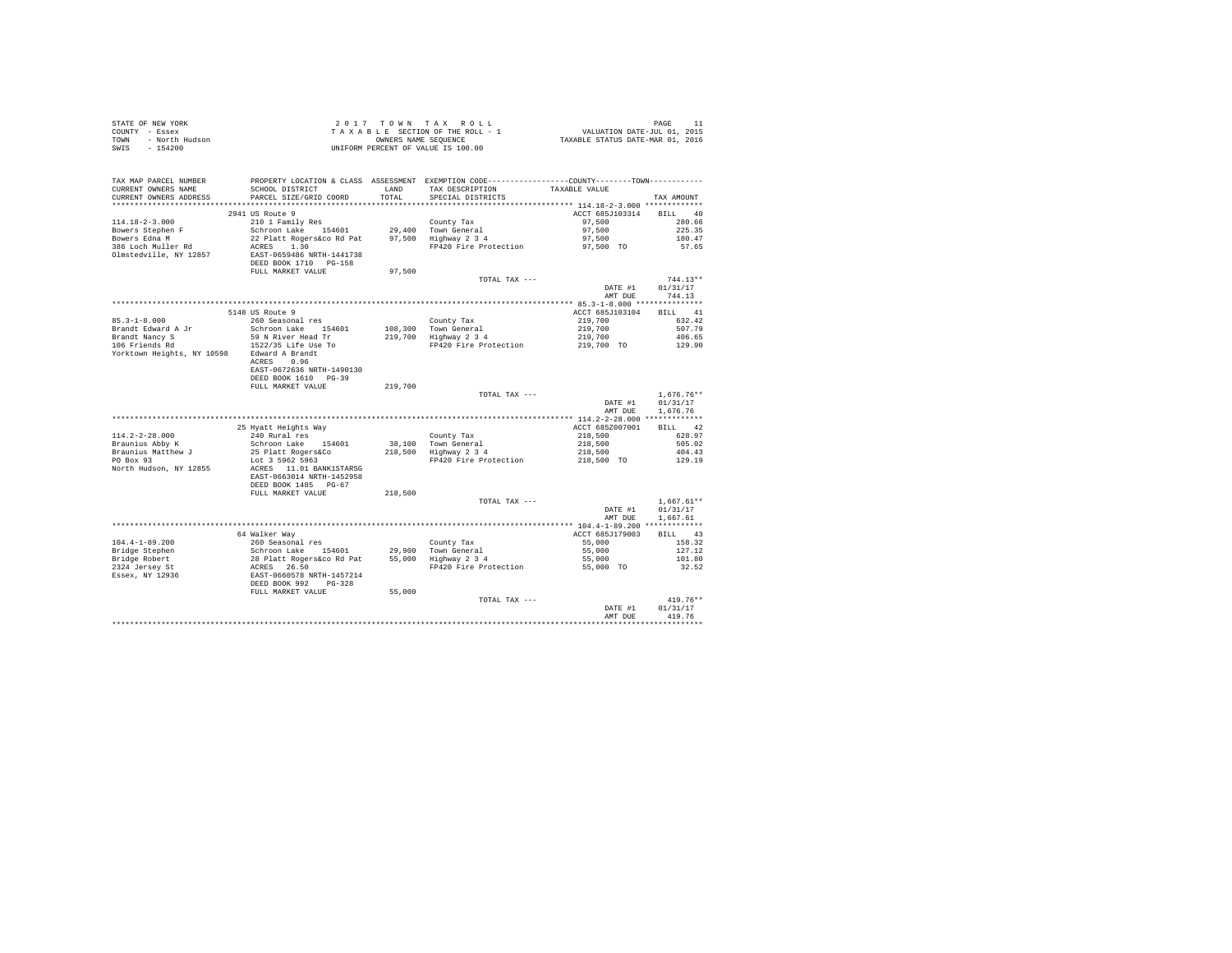| STATE OF NEW YORK<br>COUNTY - Essex<br>- North Hudson<br>TOWN<br>$-154200$<br>SWIS                        |                                                                                                                                                                       |               | 2017 TOWN TAX ROLL<br>$\begin{array}{cccccc} 2&0&1&7&7&0&\text{W} &\text{R} &\text{X} &\text{R} &0&\text{L} &\text{L} \\ T&\text{A} &X&\text{A} &B&L&\text{E} &S &C\text{T} &I\text{W} &O\text{W} &\text{M} &\text{M} &\text{M} &\text{M} &\text{M} &\text{M} &\text{M} &\text{M} &\text{M} &\text{M} &\text{M} &\text{M} &\text{M} &\text{M} &\text{M} &\text{M} &\text{M} &\text{M} &\text{M}$<br>UNIFORM PERCENT OF VALUE IS 100.00 |                                               | PAGE<br>11                                     |
|-----------------------------------------------------------------------------------------------------------|-----------------------------------------------------------------------------------------------------------------------------------------------------------------------|---------------|----------------------------------------------------------------------------------------------------------------------------------------------------------------------------------------------------------------------------------------------------------------------------------------------------------------------------------------------------------------------------------------------------------------------------------------|-----------------------------------------------|------------------------------------------------|
| TAX MAP PARCEL NUMBER<br>CURRENT OWNERS NAME<br>CURRENT OWNERS ADDRESS                                    | SCHOOL DISTRICT<br>PARCEL SIZE/GRID COORD                                                                                                                             | LAND<br>TOTAL | PROPERTY LOCATION & CLASS ASSESSMENT EXEMPTION CODE----------------COUNTY-------TOWN---------<br>TAX DESCRIPTION<br>SPECIAL DISTRICTS                                                                                                                                                                                                                                                                                                  | TAXABLE VALUE                                 | TAX AMOUNT                                     |
|                                                                                                           |                                                                                                                                                                       |               |                                                                                                                                                                                                                                                                                                                                                                                                                                        |                                               |                                                |
| $114.18 - 2 - 3.000$<br>Bowers Stephen F<br>Bowers Edna M<br>386 Loch Muller Rd<br>Olmstedville, NY 12857 | 2941 US Route 9<br>210 1 Family Res<br>Schroon Lake 154601<br>22 Platt Rogers&co Rd Pat 97,500 Highway 2 3 4<br>ACRES 1 20<br>ACRES 1.30<br>EAST-0659486 NRTH-1441738 |               | County Tax<br>29,400 Town General<br>FP420 Fire Protection 97,500 TO                                                                                                                                                                                                                                                                                                                                                                   | ACCT 685J103314<br>97,500<br>97,500<br>97,500 | BILL 40<br>280.66<br>225.35<br>180.47<br>57.65 |
|                                                                                                           | DEED BOOK 1710 PG-158<br>FULL MARKET VALUE                                                                                                                            | 97,500        |                                                                                                                                                                                                                                                                                                                                                                                                                                        |                                               |                                                |
|                                                                                                           |                                                                                                                                                                       |               | TOTAL TAX ---                                                                                                                                                                                                                                                                                                                                                                                                                          | DATE #1<br>AMT DUE                            | $744.13**$<br>01/31/17<br>744.13               |
|                                                                                                           |                                                                                                                                                                       |               |                                                                                                                                                                                                                                                                                                                                                                                                                                        |                                               |                                                |
| $85.3 - 1 - 8.000$                                                                                        | 5148 US Route 9<br>260 Seasonal res                                                                                                                                   |               |                                                                                                                                                                                                                                                                                                                                                                                                                                        | ACCT 685J103104<br>219,700                    | BILL 41<br>632.42                              |
| Brandt Edward A Jr<br>Brandt Nancy S<br>106 Friends Rd                                                    | Schroon Lake 154601<br>59 N River Head Tr                                                                                                                             |               | County Tax<br>108,300 Town General<br>219,700 Highway 2 3 4                                                                                                                                                                                                                                                                                                                                                                            | 219,700<br>219,700<br>219,700 TO              | 507.79<br>406.65                               |
| Yorktown Heights, NY 10598                                                                                | 1522/35 Life Use To<br>Edward A Brandt<br>ACRES 0.96<br>EAST-0672636 NRTH-1490130<br>DEED BOOK 1610 PG-39                                                             |               | FP420 Fire Protection                                                                                                                                                                                                                                                                                                                                                                                                                  |                                               | 129.90                                         |
|                                                                                                           | FULL MARKET VALUE                                                                                                                                                     | 219,700       |                                                                                                                                                                                                                                                                                                                                                                                                                                        |                                               |                                                |
|                                                                                                           |                                                                                                                                                                       |               | TOTAL TAX ---                                                                                                                                                                                                                                                                                                                                                                                                                          | DATE #1<br>AMT DUE                            | $1,676.76**$<br>01/31/17<br>1.676.76           |
|                                                                                                           |                                                                                                                                                                       |               |                                                                                                                                                                                                                                                                                                                                                                                                                                        |                                               |                                                |
|                                                                                                           | 25 Hyatt Heights Way                                                                                                                                                  |               |                                                                                                                                                                                                                                                                                                                                                                                                                                        | ACCT 685Z007001                               | BILL 42                                        |
| $114.2 - 2 - 28.000$                                                                                      | 240 Rural res                                                                                                                                                         |               | County Tax                                                                                                                                                                                                                                                                                                                                                                                                                             | 218,500                                       | 628.97                                         |
|                                                                                                           | Schroon Lake 154601<br>25 Platt Rogers&Co                                                                                                                             |               | 38,100 Town General<br>218,500 Highway 2 3 4                                                                                                                                                                                                                                                                                                                                                                                           | 218,500<br>218,500                            | 505.02<br>404.43                               |
| Braunius Abby K<br>Braunius Matthew J<br>PO Box 93<br>North Hudson, NY 12855                              | Lot 3 5962 5963<br>ACRES 11.01 BANK1STARSG<br>EAST-0663014 NRTH-1452958<br>DEED BOOK 1485 PG-67                                                                       |               | FP420 Fire Protection                                                                                                                                                                                                                                                                                                                                                                                                                  | 218,500 TO                                    | 129.19                                         |
|                                                                                                           | FULL MARKET VALUE                                                                                                                                                     | 218,500       |                                                                                                                                                                                                                                                                                                                                                                                                                                        |                                               |                                                |
|                                                                                                           |                                                                                                                                                                       |               | TOTAL TAX ---                                                                                                                                                                                                                                                                                                                                                                                                                          | DATE #1<br>AMT DUE                            | $1,667.61**$<br>01/31/17<br>1,667.61           |
|                                                                                                           |                                                                                                                                                                       |               |                                                                                                                                                                                                                                                                                                                                                                                                                                        |                                               |                                                |
|                                                                                                           | 64 Walker Way                                                                                                                                                         |               |                                                                                                                                                                                                                                                                                                                                                                                                                                        | ACCT 685J179003<br>55,000                     | BILL 43<br>158.32                              |
|                                                                                                           |                                                                                                                                                                       |               |                                                                                                                                                                                                                                                                                                                                                                                                                                        | 55,000<br>55,000                              | 127.12<br>101.80                               |
|                                                                                                           |                                                                                                                                                                       |               | FP420 Fire Protection                                                                                                                                                                                                                                                                                                                                                                                                                  | 55,000 TO                                     | 32.52                                          |
|                                                                                                           |                                                                                                                                                                       |               | TOTAL TAX ---                                                                                                                                                                                                                                                                                                                                                                                                                          |                                               | $419.76**$                                     |
|                                                                                                           |                                                                                                                                                                       |               |                                                                                                                                                                                                                                                                                                                                                                                                                                        | DATE #1<br>AMT DUE                            | 01/31/17<br>419.76                             |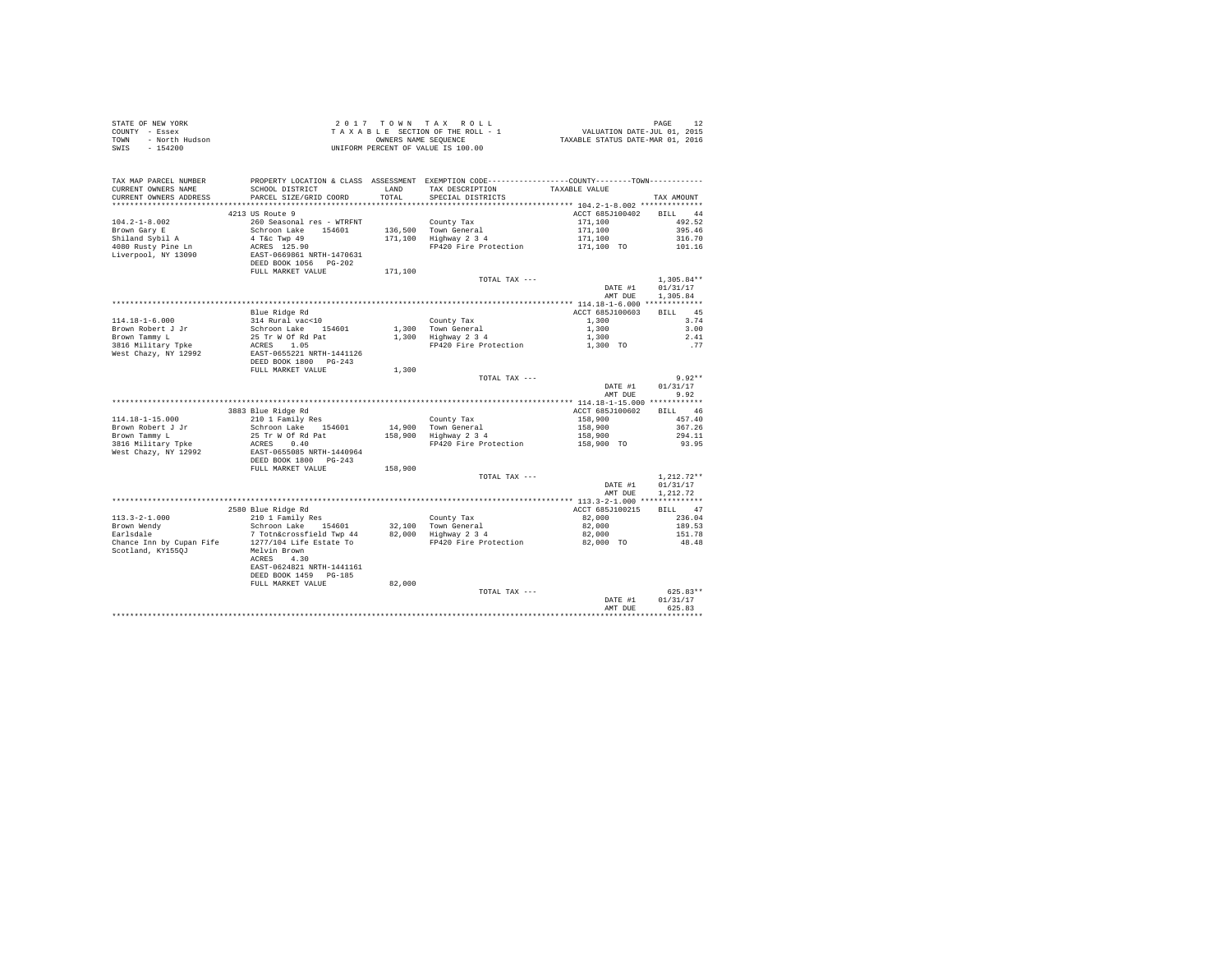| STATE OF NEW YORK      | 2017 TOWN TAX ROLL                 | PAGE                             |
|------------------------|------------------------------------|----------------------------------|
| COUNTY - Essex         | TAXABLE SECTION OF THE ROLL - 1    | VALUATION DATE-JUL 01, 2015      |
| TOWN<br>- North Hudson | OWNERS NAME SEOUENCE               | TAXABLE STATUS DATE-MAR 01, 2016 |
| SWIS<br>- 154200       | UNIFORM PERCENT OF VALUE IS 100.00 |                                  |

| TAX MAP PARCEL NUMBER<br>CURRENT OWNERS NAME<br>CURRENT OWNERS ADDRESS | SCHOOL DISTRICT<br>PARCEL SIZE/GRID COORD | LAND<br>TOTAL | PROPERTY LOCATION & CLASS ASSESSMENT EXEMPTION CODE---------------COUNTY-------TOWN----------<br>TAX DESCRIPTION<br>SPECIAL DISTRICTS | TAXABLE VALUE                                         | TAX AMOUNT        |
|------------------------------------------------------------------------|-------------------------------------------|---------------|---------------------------------------------------------------------------------------------------------------------------------------|-------------------------------------------------------|-------------------|
|                                                                        |                                           |               |                                                                                                                                       |                                                       |                   |
|                                                                        | 4213 US Route 9                           |               |                                                                                                                                       | ACCT 685J100402                                       | BILL 44           |
| $104.2 - 1 - 8.002$                                                    | 260 Seasonal res - WTRFNT                 |               | County Tax                                                                                                                            | 171,100                                               | 492.52            |
| Brown Gary E                                                           | Schroon Lake<br>154601                    |               | 136,500 Town General                                                                                                                  | 171,100                                               | 395.46            |
| Shiland Sybil A                                                        | 4 T&c Twp 49                              |               | 171,100 Highway 2 3 4                                                                                                                 | 171,100                                               | 316.70            |
| 4080 Rusty Pine Ln                                                     | ACRES 125.90                              |               | FP420 Fire Protection                                                                                                                 | 171,100 TO                                            | 101.16            |
| Liverpool, NY 13090                                                    | EAST-0669861 NRTH-1470631                 |               |                                                                                                                                       |                                                       |                   |
|                                                                        | DEED BOOK 1056 PG-202                     |               |                                                                                                                                       |                                                       |                   |
|                                                                        | FULL MARKET VALUE                         | 171,100       |                                                                                                                                       |                                                       |                   |
|                                                                        |                                           |               | TOTAL TAX ---                                                                                                                         |                                                       | $1,305.84**$      |
|                                                                        |                                           |               |                                                                                                                                       | DATE #1                                               | 01/31/17          |
|                                                                        |                                           |               |                                                                                                                                       | AMT DUE                                               | 1,305.84          |
|                                                                        |                                           |               |                                                                                                                                       |                                                       |                   |
|                                                                        | Blue Ridge Rd                             |               |                                                                                                                                       | ACCT 685J100603                                       | 45<br><b>BILL</b> |
| $114.18 - 1 - 6.000$                                                   | 314 Rural vac<10                          |               | County Tax                                                                                                                            | 1,300                                                 | 3.74              |
| Brown Robert J Jr                                                      | Schroon Lake 154601                       |               | 1,300 Town General                                                                                                                    | 1,300                                                 | 3.00              |
| Brown Tammy L                                                          | 25 Tr W Of Rd Pat                         |               | 1,300 Highway 2 3 4                                                                                                                   | 1,300                                                 | 2.41              |
| 3816 Military Tpke                                                     | ACRES 1.05                                |               | FP420 Fire Protection                                                                                                                 | 1,300 TO                                              | . 77              |
| West Chazy, NY 12992                                                   | EAST-0655221 NRTH-1441126                 |               |                                                                                                                                       |                                                       |                   |
|                                                                        | DEED BOOK 1800 PG-243                     |               |                                                                                                                                       |                                                       |                   |
|                                                                        | FULL MARKET VALUE                         | 1,300         |                                                                                                                                       |                                                       |                   |
|                                                                        |                                           |               | TOTAL TAX ---                                                                                                                         |                                                       | $9.92**$          |
|                                                                        |                                           |               |                                                                                                                                       | DATE #1                                               | 01/31/17          |
|                                                                        |                                           |               |                                                                                                                                       | AMT DUE<br>************* 114.18-1-15.000 ************ | 9.92              |
|                                                                        |                                           |               |                                                                                                                                       |                                                       |                   |
|                                                                        | 3883 Blue Ridge Rd                        |               |                                                                                                                                       | ACCT 685J100602                                       | <b>BILL</b><br>46 |
| $114.18 - 1 - 15.000$                                                  | 210 1 Family Res                          |               | County Tax                                                                                                                            | 158,900                                               | 457.40            |
| Brown Robert J Jr                                                      | Schroon Lake 154601<br>25 Tr W Of Rd Pat  |               | 14,900 Town General                                                                                                                   | 158,900<br>158,900                                    | 367.26<br>294.11  |
| Brown Tammy L<br>3816 Military Tpke                                    | 0.40<br>ACRES                             |               | 158,900 Highway 2 3 4<br>FP420 Fire Protection                                                                                        | 158,900 TO                                            | 93.95             |
| West Chazy, NY 12992                                                   | EAST-0655085 NRTH-1440964                 |               |                                                                                                                                       |                                                       |                   |
|                                                                        | DEED BOOK 1800 PG-243                     |               |                                                                                                                                       |                                                       |                   |
|                                                                        | FULL MARKET VALUE                         | 158,900       |                                                                                                                                       |                                                       |                   |
|                                                                        |                                           |               | TOTAL TAX ---                                                                                                                         |                                                       | $1.212.72**$      |
|                                                                        |                                           |               |                                                                                                                                       | DATE #1                                               | 01/31/17          |
|                                                                        |                                           |               |                                                                                                                                       | AMT DUE                                               | 1,212.72          |
|                                                                        |                                           |               |                                                                                                                                       |                                                       |                   |
|                                                                        | 2580 Blue Ridge Rd                        |               |                                                                                                                                       | ACCT 685J100215                                       | 47<br><b>BILL</b> |
| $113.3 - 2 - 1.000$                                                    | 210 1 Family Res                          |               | County Tax                                                                                                                            | 82,000                                                | 236.04            |
| Brown Wendy                                                            | Schroon Lake 154601                       |               | 32,100 Town General                                                                                                                   | 82,000                                                | 189.53            |
| Earlsdale                                                              | 7 Totn&crossfield Twp 44                  |               | $82,000$ Highway $2\overline{3}4$                                                                                                     | 82,000                                                | 151.78            |
| Chance Inn by Cupan Fife                                               | 1277/104 Life Estate To                   |               | FP420 Fire Protection                                                                                                                 | 82,000 TO                                             | 48.48             |
| Scotland, KY1550J                                                      | Melvin Brown                              |               |                                                                                                                                       |                                                       |                   |
|                                                                        | 4.30<br>ACRES                             |               |                                                                                                                                       |                                                       |                   |
|                                                                        | EAST-0624821 NRTH-1441161                 |               |                                                                                                                                       |                                                       |                   |
|                                                                        | DEED BOOK 1459 PG-185                     |               |                                                                                                                                       |                                                       |                   |
|                                                                        | FULL MARKET VALUE                         | 82,000        |                                                                                                                                       |                                                       |                   |
|                                                                        |                                           |               | TOTAL TAX ---                                                                                                                         |                                                       | $625.83**$        |
|                                                                        |                                           |               |                                                                                                                                       | DATE #1                                               | 01/31/17          |
|                                                                        |                                           |               |                                                                                                                                       | AMT DUE                                               | 625.83            |
|                                                                        |                                           |               |                                                                                                                                       |                                                       |                   |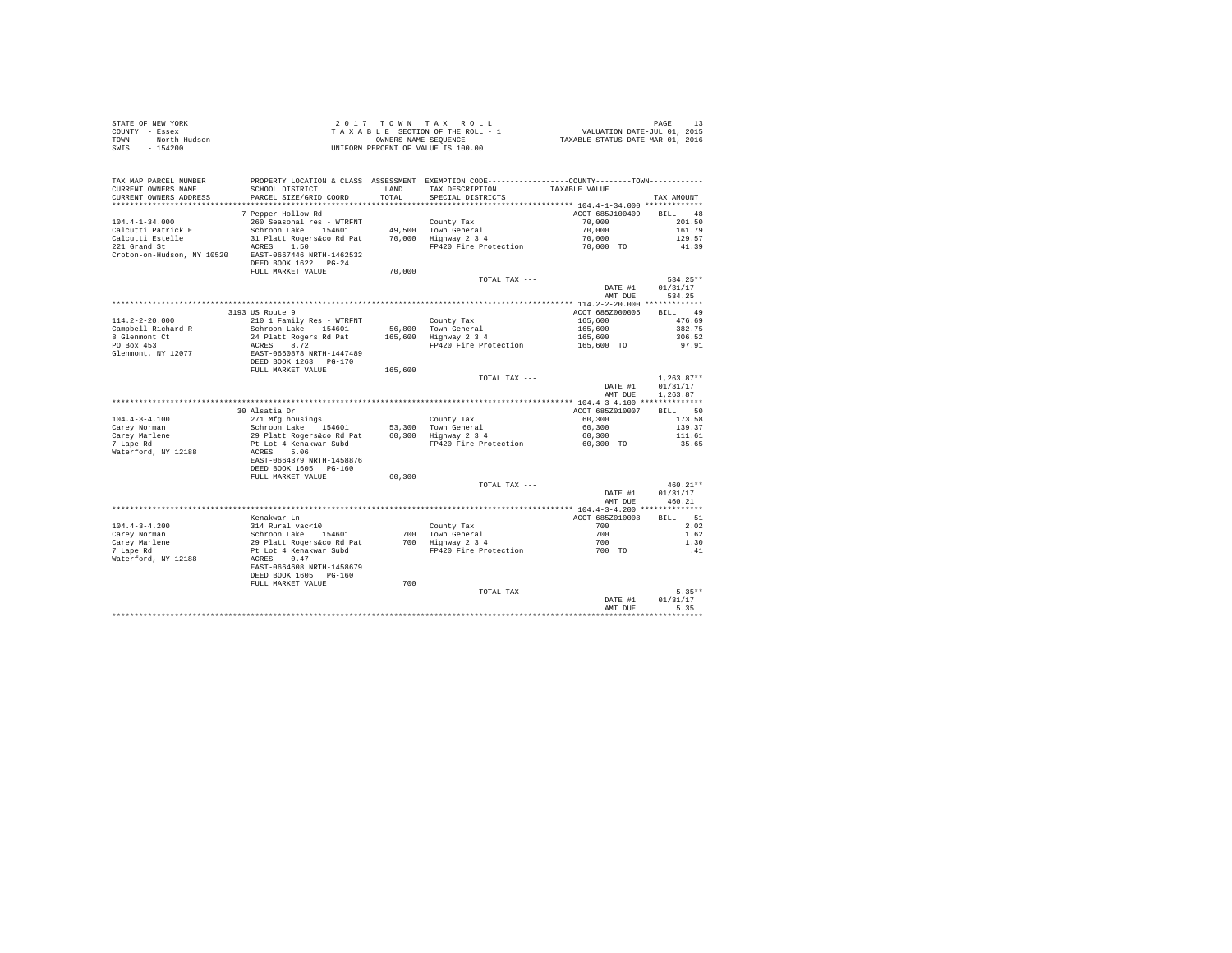| STATE OF NEW YORK      | $2.017$ TOWN TAX ROLL              | PAGE                             |
|------------------------|------------------------------------|----------------------------------|
| COUNTY - Essex         | TAXABLE SECTION OF THE ROLL - 1    | VALUATION DATE-JUL 01, 2015      |
| TOWN<br>- North Hudson | OWNERS NAME SEOUENCE               | TAXABLE STATUS DATE-MAR 01, 2016 |
| - 154200<br>SWIS       | UNIFORM PERCENT OF VALUE IS 100.00 |                                  |

| TAX MAP PARCEL NUMBER<br>CURRENT OWNERS NAME | PROPERTY LOCATION & CLASS ASSESSMENT EXEMPTION CODE---------------COUNTY-------TOWN----------<br>SCHOOL DISTRICT | <b>T.AND</b> | TAX DESCRIPTION            | TAXABLE VALUE                            |                   |
|----------------------------------------------|------------------------------------------------------------------------------------------------------------------|--------------|----------------------------|------------------------------------------|-------------------|
| CURRENT OWNERS ADDRESS                       | PARCEL SIZE/GRID COORD                                                                                           | TOTAL        | SPECIAL DISTRICTS          |                                          | TAX AMOUNT        |
| **********************                       |                                                                                                                  |              |                            |                                          |                   |
|                                              | 7 Pepper Hollow Rd                                                                                               |              |                            | ACCT 685J100409                          | 48<br><b>BILL</b> |
| $104.4 - 1 - 34.000$                         | 260 Seasonal res - WTRFNT                                                                                        |              | County Tax                 | 70,000                                   | 201.50            |
| Calcutti Patrick E                           | Schroon Lake<br>154601                                                                                           | 49,500       | Town General               | 70,000                                   | 161.79            |
| Calcutti Estelle                             | 31 Platt Rogers&co Rd Pat                                                                                        | 70,000       | Highway 2 3 4              | 70,000                                   | 129.57            |
| 221 Grand St                                 | ACRES<br>1.50                                                                                                    |              | FP420 Fire Protection      | 70,000 TO                                | 41.39             |
| Croton-on-Hudson, NY 10520                   | EAST-0667446 NRTH-1462532                                                                                        |              |                            |                                          |                   |
|                                              | DEED BOOK 1622 PG-24                                                                                             |              |                            |                                          |                   |
|                                              | FULL MARKET VALUE                                                                                                | 70,000       |                            |                                          |                   |
|                                              |                                                                                                                  |              | TOTAL TAX ---              |                                          | 534.25**          |
|                                              |                                                                                                                  |              |                            | DATE #1                                  | 01/31/17          |
|                                              |                                                                                                                  |              |                            | AMT DUE                                  | 534.25            |
|                                              |                                                                                                                  |              |                            |                                          |                   |
|                                              | 3193 US Route 9                                                                                                  |              |                            | ACCT 685Z000005                          | 49<br><b>BILL</b> |
| $114.2 - 2 - 20.000$                         | 210 1 Family Res - WTRFNT                                                                                        |              | County Tax                 | 165,600                                  | 476.69            |
| Campbell Richard R                           | Schroon Lake 154601                                                                                              | 56,800       | Town General               | 165,600                                  | 382.75            |
| 8 Glenmont Ct                                | 24 Platt Rogers Rd Pat                                                                                           | 165,600      | Highway 2 3 4              | 165,600                                  | 306.52            |
| PO Box 453                                   | 8.72<br>ACRES                                                                                                    |              | FP420 Fire Protection      | 165,600 TO                               | 97.91             |
| Glenmont, NY 12077                           | EAST-0660878 NRTH-1447489                                                                                        |              |                            |                                          |                   |
|                                              | DEED BOOK 1263 PG-170                                                                                            |              |                            |                                          |                   |
|                                              | FULL MARKET VALUE                                                                                                | 165,600      |                            |                                          |                   |
|                                              |                                                                                                                  |              | TOTAL TAX ---              |                                          | $1.263.87**$      |
|                                              |                                                                                                                  |              |                            | DATE #1                                  | 01/31/17          |
|                                              |                                                                                                                  |              |                            | AMT DUE                                  | 1.263.87          |
|                                              |                                                                                                                  |              |                            | ************ 104.4-3-4.100 *******       |                   |
|                                              | 30 Alsatia Dr                                                                                                    |              |                            | ACCT 685Z010007                          | 50<br><b>BILL</b> |
| $104.4 - 3 - 4.100$                          | 271 Mfg housings                                                                                                 |              | County Tax                 | 60,300                                   | 173.58            |
| Carey Norman                                 | Schroon Lake<br>154601                                                                                           | 53,300       | Town General               | 60,300                                   | 139.37            |
| Carey Marlene                                | 29 Platt Rogers&co Rd Pat                                                                                        | 60,300       | Highway 2 3 4              | 60,300                                   | 111.61            |
| 7 Lape Rd                                    | Pt Lot 4 Kenakwar Subd                                                                                           |              | FP420 Fire Protection      | 60.300 TO                                | 35.65             |
| Waterford, NY 12188                          | ACRES<br>5.06                                                                                                    |              |                            |                                          |                   |
|                                              | EAST-0664379 NRTH-1458876                                                                                        |              |                            |                                          |                   |
|                                              | DEED BOOK 1605 PG-160                                                                                            |              |                            |                                          |                   |
|                                              | FULL MARKET VALUE                                                                                                |              |                            |                                          |                   |
|                                              |                                                                                                                  | 60,300       |                            |                                          | $460.21**$        |
|                                              |                                                                                                                  |              | TOTAL TAX ---              | DATE #1                                  | 01/31/17          |
|                                              |                                                                                                                  |              |                            | AMT DUE                                  | 460.21            |
|                                              |                                                                                                                  |              |                            | *********** 104.4-3-4.200 ************** |                   |
|                                              | Kenakwar Ln                                                                                                      |              |                            | ACCT 685Z010008                          | 51<br><b>BILL</b> |
| $104.4 - 3 - 4.200$                          | 314 Rural vac<10                                                                                                 |              |                            | 700                                      | 2.02              |
|                                              | Schroon Lake<br>154601                                                                                           | 700          | County Tax<br>Town General | 700                                      | 1.62              |
| Carey Norman<br>Carey Marlene                | 29 Platt Rogers&co Rd Pat                                                                                        | 700          | Highway 2 3 4              | 700                                      | 1.30              |
| 7 Lape Rd                                    | Pt Lot 4 Kenakwar Subd                                                                                           |              | FP420 Fire Protection      | 700 TO                                   | .41               |
|                                              | ACRES<br>0.47                                                                                                    |              |                            |                                          |                   |
| Waterford, NY 12188                          | EAST-0664608 NRTH-1458679                                                                                        |              |                            |                                          |                   |
|                                              |                                                                                                                  |              |                            |                                          |                   |
|                                              | DEED BOOK 1605<br>$PG-160$<br>FULL MARKET VALUE                                                                  | 700          |                            |                                          |                   |
|                                              |                                                                                                                  |              |                            |                                          | $5.35**$          |
|                                              |                                                                                                                  |              | TOTAL TAX ---              |                                          |                   |
|                                              |                                                                                                                  |              |                            | DATE #1                                  | 01/31/17          |
|                                              |                                                                                                                  |              |                            | AMT DUE                                  | 5.35              |
|                                              |                                                                                                                  |              |                            |                                          |                   |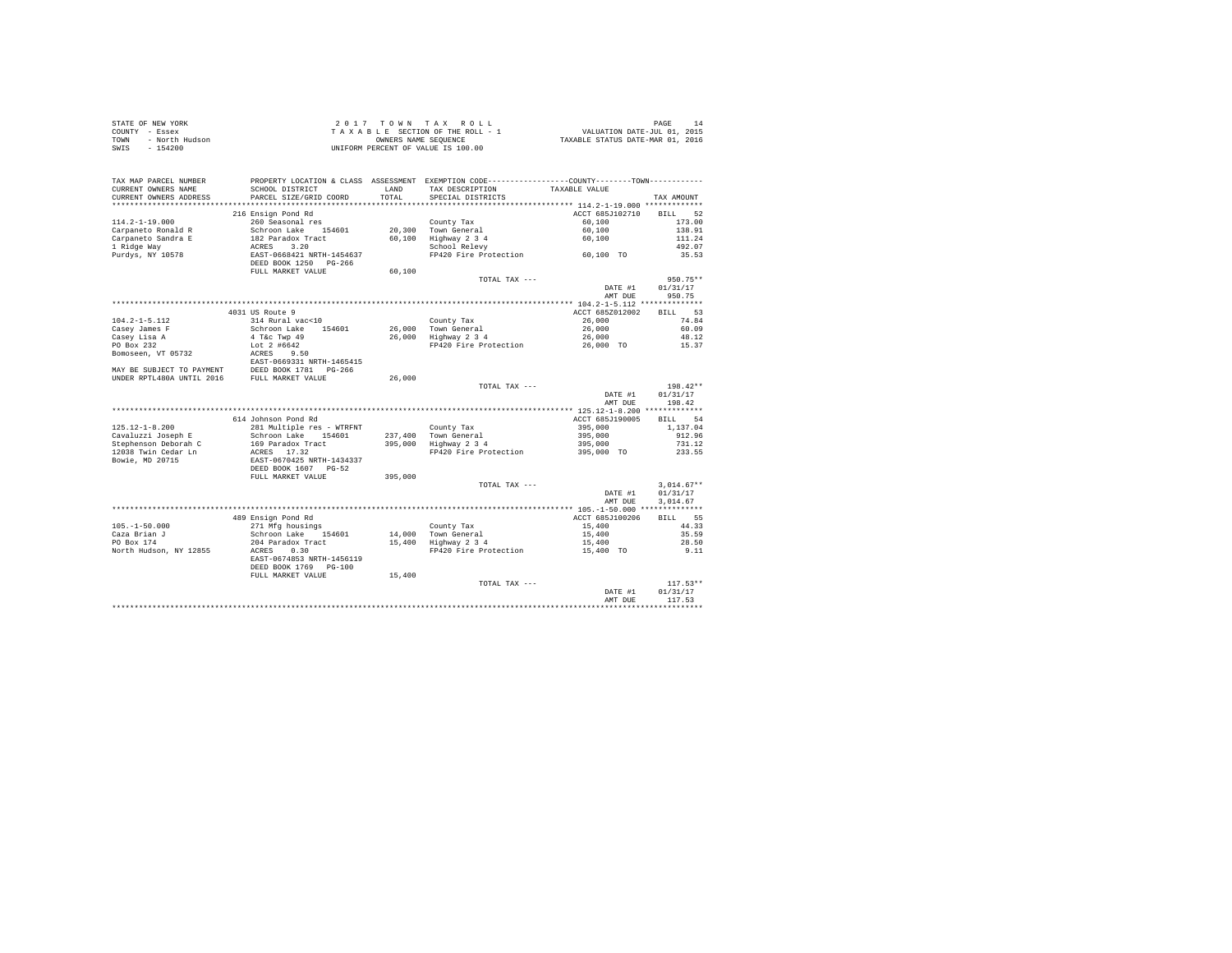| STATE OF NEW YORK         |                            | 2017 TOWN            | TAX ROLL                                                                                     |                                  | PAGE<br>14        |
|---------------------------|----------------------------|----------------------|----------------------------------------------------------------------------------------------|----------------------------------|-------------------|
| COUNTY - Essex            |                            |                      | TAXABLE SECTION OF THE ROLL - 1                                                              | VALUATION DATE-JUL 01, 2015      |                   |
| - North Hudson<br>TOWN    |                            | OWNERS NAME SEQUENCE |                                                                                              | TAXABLE STATUS DATE-MAR 01, 2016 |                   |
| $-154200$<br>SWIS         |                            |                      | UNIFORM PERCENT OF VALUE IS 100.00                                                           |                                  |                   |
|                           |                            |                      |                                                                                              |                                  |                   |
|                           |                            |                      |                                                                                              |                                  |                   |
|                           |                            |                      |                                                                                              |                                  |                   |
| TAX MAP PARCEL NUMBER     |                            |                      | PROPERTY LOCATION & CLASS ASSESSMENT EXEMPTION CODE---------------COUNTY-------TOWN--------- |                                  |                   |
| CURRENT OWNERS NAME       | SCHOOL DISTRICT            | LAND                 | TAX DESCRIPTION                                                                              | TAXABLE VALUE                    |                   |
| CURRENT OWNERS ADDRESS    | PARCEL SIZE/GRID COORD     | TOTAL                | SPECIAL DISTRICTS                                                                            |                                  | TAX AMOUNT        |
| ***********************   |                            |                      |                                                                                              |                                  |                   |
|                           | 216 Ensign Pond Rd         |                      |                                                                                              | ACCT 685J102710                  | <b>BILL</b><br>52 |
| $114.2 - 1 - 19.000$      | 260 Seasonal res           |                      | County Tax                                                                                   | 60,100                           | 173.00            |
| Carpaneto Ronald R        | Schroon Lake 154601        | 20,300               | Town General                                                                                 | 60,100                           | 138.91            |
| Carpaneto Sandra E        | 182 Paradox Tract          | 60.100               | Highway 2 3 4                                                                                | 60,100                           | 111.24            |
| 1 Ridge Way               | ACRES<br>3.20              |                      | School Relevy                                                                                |                                  | 492.07            |
|                           | EAST-0668421 NRTH-1454637  |                      | FP420 Fire Protection                                                                        |                                  | 35.53             |
| Purdys, NY 10578          |                            |                      |                                                                                              | 60,100 TO                        |                   |
|                           | DEED BOOK 1250 PG-266      | 60,100               |                                                                                              |                                  |                   |
|                           | FULL MARKET VALUE          |                      |                                                                                              |                                  |                   |
|                           |                            |                      | TOTAL TAX ---                                                                                |                                  | $950.75**$        |
|                           |                            |                      |                                                                                              | DATE #1                          | 01/31/17          |
|                           |                            |                      |                                                                                              | AMT DUE                          | 950.75            |
|                           |                            |                      |                                                                                              |                                  |                   |
|                           | 4031 US Route 9            |                      |                                                                                              | ACCT 685Z012002                  | 53<br>BILL        |
| $104.2 - 1 - 5.112$       | 314 Rural vac<10           |                      | County Tax                                                                                   | 26,000                           | 74.84             |
| Casey James F             | Schroon Lake<br>154601     | 26,000               | Town General                                                                                 | 26,000                           | 60.09             |
| Casey Lisa A              | 4 T&c Twp 49               | 26,000               | Highway 2 3 4                                                                                | 26,000                           | 48.12             |
| PO Box 232                | Lot $2$ #6642              |                      | FP420 Fire Protection                                                                        | 26,000 TO                        | 15.37             |
| Bomoseen, VT 05732        | ACRES<br>9.50              |                      |                                                                                              |                                  |                   |
|                           | EAST-0669331 NRTH-1465415  |                      |                                                                                              |                                  |                   |
| MAY BE SUBJECT TO PAYMENT | DEED BOOK 1781 PG-266      |                      |                                                                                              |                                  |                   |
| UNDER RPTL480A UNTIL 2016 | FULL MARKET VALUE          | 26,000               |                                                                                              |                                  |                   |
|                           |                            |                      | TOTAL TAX ---                                                                                |                                  | 198.42**          |
|                           |                            |                      |                                                                                              | DATE #1                          | 01/31/17          |
|                           |                            |                      |                                                                                              | AMT DUE                          | 198.42            |
|                           |                            |                      |                                                                                              |                                  |                   |
|                           | 614 Johnson Pond Rd        |                      |                                                                                              | ACCT 685J190005                  | 54<br><b>BILL</b> |
| $125.12 - 1 - 8.200$      | 281 Multiple res - WTRFNT  |                      | County Tax                                                                                   | 395,000                          | 1,137.04          |
| Cavaluzzi Joseph E        | Schroon Lake<br>154601     | 237,400              | Town General                                                                                 | 395,000                          | 912.96            |
| Stephenson Deborah C      | 169 Paradox Tract          | 395,000              | Highway 2 3 4                                                                                | 395,000                          | 731.12            |
| 12038 Twin Cedar Ln       | ACRES 17.32                |                      | FP420 Fire Protection                                                                        | 395,000 TO                       | 233.55            |
| Bowie, MD 20715           | EAST-0670425 NRTH-1434337  |                      |                                                                                              |                                  |                   |
|                           | DEED BOOK 1607 PG-52       |                      |                                                                                              |                                  |                   |
|                           |                            |                      |                                                                                              |                                  |                   |
|                           | FULL MARKET VALUE          | 395,000              |                                                                                              |                                  |                   |
|                           |                            |                      | TOTAL TAX ---                                                                                |                                  | $3,014.67**$      |
|                           |                            |                      |                                                                                              | DATE #1                          | 01/31/17          |
|                           |                            |                      |                                                                                              | AMT DUE                          | 3.014.67          |
|                           |                            |                      |                                                                                              |                                  |                   |
|                           | 489 Ensign Pond Rd         |                      |                                                                                              | ACCT 685J100206                  | 55<br>BILL        |
| $105. - 1 - 50.000$       | 271 Mfg housings           |                      | County Tax                                                                                   | 15,400                           | 44.33             |
| Caza Brian J              | Schroon Lake<br>154601     | 14,000               | Town General                                                                                 | 15,400                           | 35.59             |
| PO Box 174                | 204 Paradox Tract          | 15,400               | Highway 2 3 4                                                                                | 15,400                           | 28.50             |
| North Hudson, NY 12855    | 0.30<br>ACRES              |                      | FP420 Fire Protection                                                                        | 15,400 TO                        | 9.11              |
|                           | EAST-0674853 NRTH-1456119  |                      |                                                                                              |                                  |                   |
|                           | DEED BOOK 1769<br>$PG-100$ |                      |                                                                                              |                                  |                   |
|                           | FULL MARKET VALUE          | 15,400               |                                                                                              |                                  |                   |
|                           |                            |                      | TOTAL TAX ---                                                                                |                                  | $117.53**$        |
|                           |                            |                      |                                                                                              | DATE #1                          | 01/31/17          |
|                           |                            |                      |                                                                                              | AMT DUE                          | 117.53            |
|                           |                            |                      |                                                                                              | <b></b>                          | *********         |
|                           |                            |                      |                                                                                              |                                  |                   |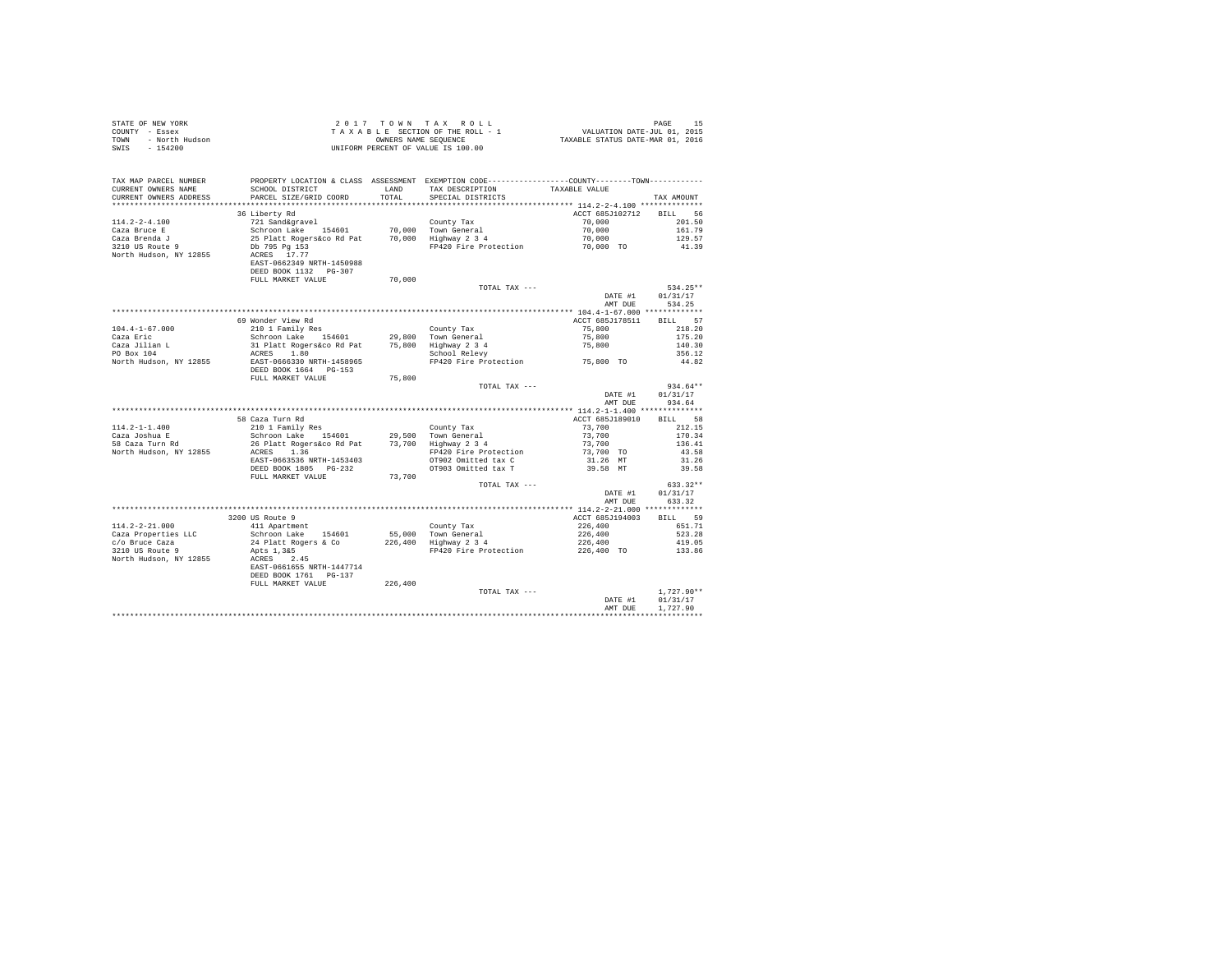| STATE OF NEW YORK      | 2017 TOWN TAX ROLL                 | 15<br>PAGE                       |
|------------------------|------------------------------------|----------------------------------|
| COUNTY - Essex         | TAXABLE SECTION OF THE ROLL - 1    | VALUATION DATE-JUL 01, 2015      |
| TOWN<br>- North Hudson | OWNERS NAME SEOUENCE               | TAXABLE STATUS DATE-MAR 01, 2016 |
| SWIS<br>- 154200       | UNIFORM PERCENT OF VALUE IS 100.00 |                                  |

| TAX MAP PARCEL NUMBER<br>CURRENT OWNERS NAME | PROPERTY LOCATION & CLASS ASSESSMENT EXEMPTION CODE----------------COUNTY--------TOWN----------<br>SCHOOL DISTRICT | LAND    | TAX DESCRIPTION                          | TAXABLE VALUE   |              |
|----------------------------------------------|--------------------------------------------------------------------------------------------------------------------|---------|------------------------------------------|-----------------|--------------|
| CURRENT OWNERS ADDRESS                       | PARCEL SIZE/GRID COORD                                                                                             | TOTAL   | SPECIAL DISTRICTS                        |                 | TAX AMOUNT   |
|                                              |                                                                                                                    |         |                                          |                 |              |
|                                              | 36 Liberty Rd                                                                                                      |         |                                          | ACCT 685J102712 | BILL 56      |
| $114.2 - 2 - 4.100$                          |                                                                                                                    |         |                                          | 70,000          | 201.50       |
| Caza Bruce E                                 |                                                                                                                    |         |                                          | 70,000          | 161.79       |
| Caza Brenda J                                |                                                                                                                    |         |                                          | 70,000          | 129.57       |
| 3210 US Route 9                              |                                                                                                                    |         | FP420 Fire Protection                    | 70,000 TO       | 41.39        |
| North Hudson, NY 12855                       | ACRES 17.77                                                                                                        |         |                                          |                 |              |
|                                              | EAST-0662349 NRTH-1450988                                                                                          |         |                                          |                 |              |
|                                              | DEED BOOK 1132 PG-307                                                                                              |         |                                          |                 |              |
|                                              | FULL MARKET VALUE                                                                                                  | 70,000  |                                          |                 |              |
|                                              |                                                                                                                    |         | TOTAL TAX ---                            |                 | 534.25**     |
|                                              |                                                                                                                    |         |                                          | DATE #1         | 01/31/17     |
|                                              |                                                                                                                    |         |                                          | AMT DUE         | 534.25       |
|                                              |                                                                                                                    |         |                                          |                 |              |
|                                              | 69 Wonder View Rd                                                                                                  |         |                                          | ACCT 685J178511 | BILL 57      |
| $104.4 - 1 - 67.000$                         | 210 1 Family Res                                                                                                   |         | County Tax                               | 75,800          | 218.20       |
| Caza Eric                                    |                                                                                                                    |         | 29,800 Town General                      | 75,800          | 175.20       |
| Caza Jilian L                                |                                                                                                                    |         | 75,800 Highway 2 3 4                     | 75,800          | 140.30       |
| PO Box 104                                   |                                                                                                                    |         | School Relevy                            |                 | 356.12       |
| North Hudson, NY 12855                       | Schroon Lake 154601<br>31 Platt Rogerskoo Rd Pat<br>ACRES 1.80<br>EAST-0666330 NRTH-1458965                        |         | FP420 Fire Protection 75,800 TO          |                 | 44.82        |
|                                              | DEED BOOK 1664 PG-153                                                                                              |         |                                          |                 |              |
|                                              | FULL MARKET VALUE                                                                                                  | 75,800  |                                          |                 |              |
|                                              |                                                                                                                    |         | TOTAL TAX ---                            |                 | $934.64**$   |
|                                              |                                                                                                                    |         |                                          | DATE #1         | 01/31/17     |
|                                              |                                                                                                                    |         |                                          | AMT DUE         | 934.64       |
|                                              |                                                                                                                    |         |                                          |                 |              |
|                                              | 58 Caza Turn Rd                                                                                                    |         |                                          | ACCT 685J189010 | BILL 58      |
| $114.2 - 1 - 1.400$                          | 210 1 Family Res                                                                                                   |         | County Tax                               | 73,700          | 212.15       |
| Caza Joshua E                                | Schroon Lake 154601                                                                                                |         | 29,500 Town General                      | 73,700          | 170.34       |
| 58 Caza Turn Rd                              | 26 Platt Rogers&co Rd Pat 73,700 Highway 2 3 4<br>20 NOPE 1 26 1 26                                                |         |                                          | 73,700          | 136.41       |
| North Hudson, NY 12855                       | ACRES 1.36                                                                                                         |         | FP420 Fire Protection                    | 73,700 TO       | 43.58        |
|                                              | EAST-0663536 NRTH-1453403                                                                                          |         | OT902 Omitted tax C                      | 31.26 MT        | 31.26        |
|                                              | DEED BOOK 1805 PG-232                                                                                              |         | OT903 Omitted tax T 39.58 MT             |                 | 39.58        |
|                                              | FULL MARKET VALUE                                                                                                  | 73,700  |                                          |                 |              |
|                                              |                                                                                                                    |         | TOTAL TAX ---                            |                 | 633.32**     |
|                                              |                                                                                                                    |         |                                          | DATE #1         | 01/31/17     |
|                                              |                                                                                                                    |         |                                          | AMT DUE         | 633.32       |
|                                              |                                                                                                                    |         |                                          |                 |              |
|                                              | 3200 US Route 9                                                                                                    |         |                                          | ACCT 685J194003 | BILL 59      |
| $114.2 - 2 - 21.000$                         | 411 Apartment                                                                                                      |         | County Tax                               | 226,400         | 651.71       |
| Caza Properties LLC                          | Schroon Lake 154601                                                                                                |         | 55,000 Town General                      | 226,400         | 523.28       |
| c/o Bruce Caza                               | 24 Platt Rogers & Co                                                                                               |         | 226,400 Highway 2 3 4                    | 226,400         | 419.05       |
| 3210 US Route 9                              | Apts 1,3&5                                                                                                         |         | FP420 Fire Protection 226, 400 TO 133.86 |                 |              |
| North Hudson, NY 12855                       | ACRES 2.45                                                                                                         |         |                                          |                 |              |
|                                              | EAST-0661655 NRTH-1447714                                                                                          |         |                                          |                 |              |
|                                              | DEED BOOK 1761 PG-137                                                                                              |         |                                          |                 |              |
|                                              | FULL MARKET VALUE                                                                                                  | 226,400 |                                          |                 |              |
|                                              |                                                                                                                    |         | TOTAL TAX ---                            |                 | $1,727.90**$ |
|                                              |                                                                                                                    |         |                                          | DATE #1         | 01/31/17     |
|                                              |                                                                                                                    |         |                                          | AMT DUE         | 1,727.90     |
|                                              |                                                                                                                    |         |                                          |                 |              |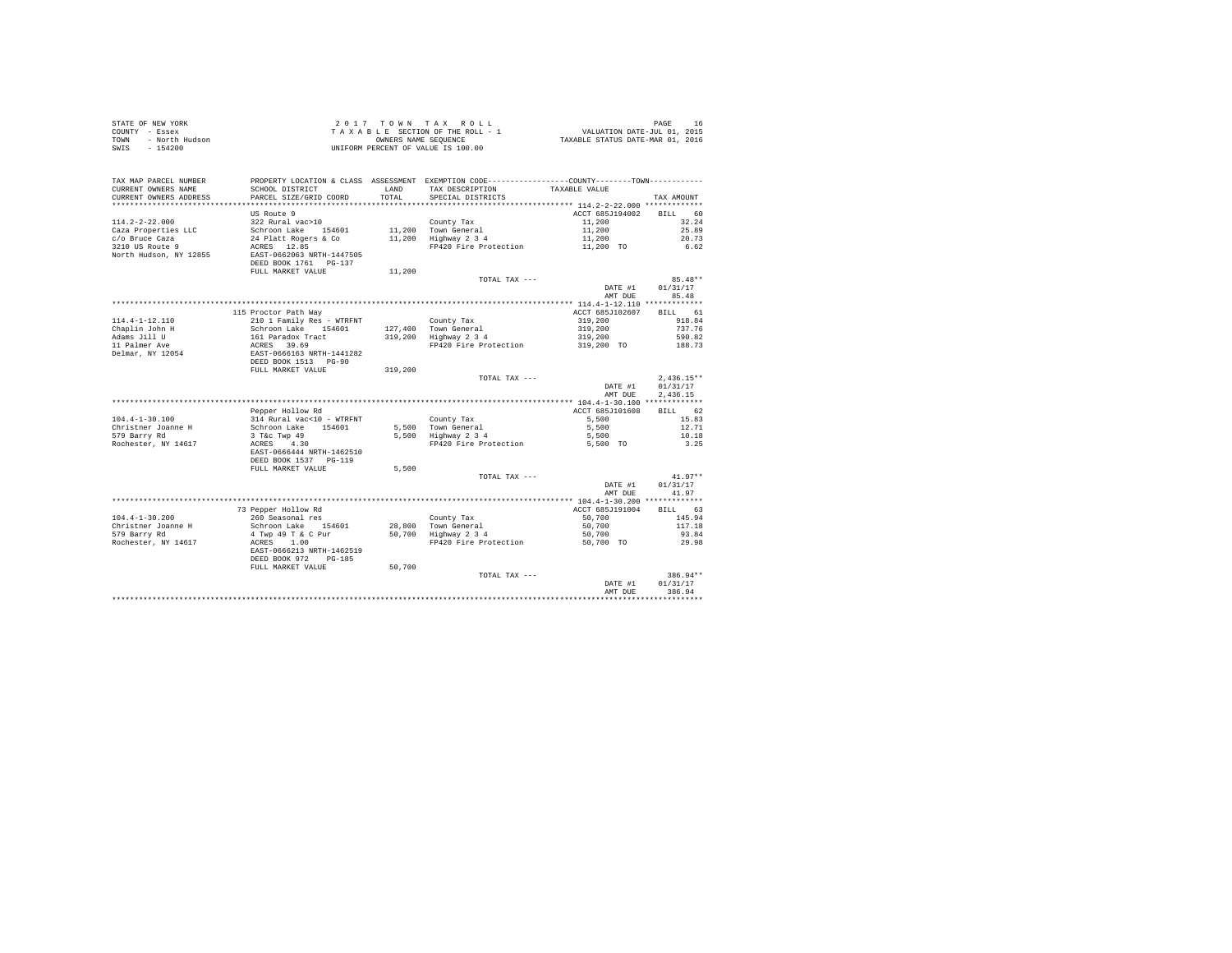| STATE OF NEW YORK |                | $2.017$ TOWN TAX ROLL              |                      |  |                                  | PAGE                        | 16 |
|-------------------|----------------|------------------------------------|----------------------|--|----------------------------------|-----------------------------|----|
| COUNTY - Essex    |                | TAXABLE SECTION OF THE ROLL - 1    |                      |  |                                  | VALUATION DATE-JUL 01, 2015 |    |
| TOWN              | - North Hudson |                                    | OWNERS NAME SEOUENCE |  | TAXABLE STATUS DATE-MAR 01, 2016 |                             |    |
| - 154200<br>SWIS  |                | UNIFORM PERCENT OF VALUE IS 100.00 |                      |  |                                  |                             |    |

| TAX MAP PARCEL NUMBER<br>CURRENT OWNERS NAME<br>CURRENT OWNERS ADDRESS<br>************************         | PROPERTY LOCATION & CLASS ASSESSMENT EXEMPTION CODE---------------COUNTY-------TOWN----------<br>SCHOOL DISTRICT<br>PARCEL SIZE/GRID COORD<br>*************************** | <b>T.AND</b><br>TOTAL | TAX DESCRIPTION<br>SPECIAL DISTRICTS                                               | TAXABLE VALUE                                                  | TAX AMOUNT                                           |
|------------------------------------------------------------------------------------------------------------|---------------------------------------------------------------------------------------------------------------------------------------------------------------------------|-----------------------|------------------------------------------------------------------------------------|----------------------------------------------------------------|------------------------------------------------------|
| $114.2 - 2 - 22.000$<br>Caza Properties LLC<br>c/o Bruce Caza<br>3210 US Route 9<br>North Hudson, NY 12855 | US Route 9<br>322 Rural vac>10<br>Schroon Lake 154601<br>24 Platt Rogers & Co<br>ACRES 12.85<br>EAST-0662063 NRTH-1447505<br>DEED BOOK 1761 PG-137                        | 11,200                | County Tax<br>11.200 Town General<br>Highway 2 3 4<br>FP420 Fire Protection        | ACCT 685J194002<br>11,200<br>11,200<br>11,200<br>11,200 TO     | 60<br><b>BILL</b><br>32.24<br>25.89<br>20.73<br>6.62 |
|                                                                                                            | FULL MARKET VALUE                                                                                                                                                         | 11,200                | TOTAL TAX ---                                                                      | DATE #1<br>AMT DUE                                             | $85.48**$<br>01/31/17<br>85.48                       |
|                                                                                                            |                                                                                                                                                                           |                       |                                                                                    |                                                                |                                                      |
| $114.4 - 1 - 12.110$<br>Chaplin John H<br>Adams Jill U<br>11 Palmer Ave<br>Delmar, NY 12054                | 115 Proctor Path Way<br>210 1 Family Res - WTRFNT<br>Schroon Lake 154601<br>161 Paradox Tract<br>ACRES 39.69<br>EAST-0666163 NRTH-1441282                                 | 319,200               | County Tax<br>127.400 Town General<br>Highway 2 3 4<br>FP420 Fire Protection       | ACCT 685J102607<br>319,200<br>319,200<br>319,200<br>319,200 TO | BILL 61<br>918.84<br>737.76<br>590.82<br>188.73      |
|                                                                                                            | DEED BOOK 1513 PG-90<br>FULL MARKET VALUE                                                                                                                                 | 319,200               | TOTAL TAX ---                                                                      | DATE #1<br>AMT DUE                                             | $2,436.15**$<br>01/31/17<br>2.436.15                 |
|                                                                                                            |                                                                                                                                                                           |                       |                                                                                    |                                                                |                                                      |
| $104.4 - 1 - 30.100$<br>Christner Joanne H<br>579 Barry Rd                                                 | Pepper Hollow Rd<br>314 Rural vac<10 - WTRFNT<br>Schroon Lake<br>154601<br>3 T&c Twp 49                                                                                   |                       | County Tax<br>5.500 Town General<br>5,500 Highway 2 3 4                            | ACCT 685J101608<br>5,500<br>5,500<br>5,500                     | BILL 62<br>15.83<br>12.71<br>10.18                   |
| Rochester, NY 14617                                                                                        | ACRES 4.30<br>EAST-0666444 NRTH-1462510<br>DEED BOOK 1537 PG-119<br>FULL MARKET VALUE                                                                                     | 5,500                 | FP420 Fire Protection                                                              | 5,500 TO                                                       | 3.25                                                 |
|                                                                                                            |                                                                                                                                                                           |                       | TOTAL TAX ---                                                                      | DATE #1<br>AMT DUE                                             | $41.97**$<br>01/31/17<br>41.97                       |
| $104.4 - 1 - 30.200$<br>Christner Joanne H<br>579 Barry Rd<br>Rochester, NY 14617                          | 73 Pepper Hollow Rd<br>260 Seasonal res<br>Schroon Lake 154601<br>4 Twp 49 T & C Pur<br>ACRES<br>1.00<br>EAST-0666213 NRTH-1462519<br>DEED BOOK 972<br>$PG-185$           |                       | County Tax<br>28,800 Town General<br>50,700 Highway 2 3 4<br>FP420 Fire Protection | ACCT 685J191004<br>50,700<br>50,700<br>50,700<br>50,700 TO     | BTLL.<br>63<br>145.94<br>117.18<br>93.84<br>29.98    |
|                                                                                                            | FULL MARKET VALUE                                                                                                                                                         | 50,700                | TOTAL TAX ---                                                                      | DATE #1<br>AMT DUE                                             | $386.94**$<br>01/31/17<br>386.94                     |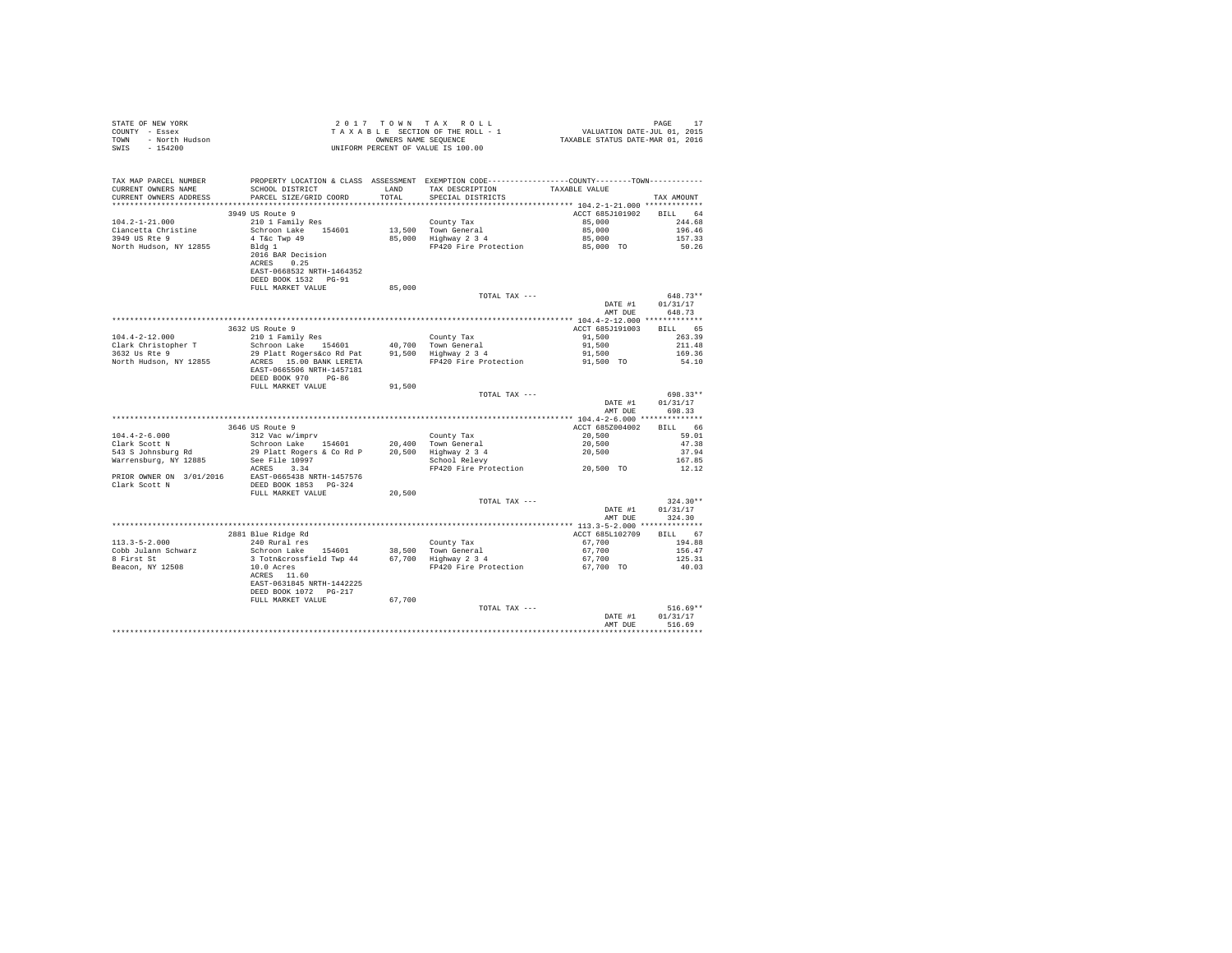| STATE OF NEW YORK      | 2017 TOWN TAX ROLL                 | PAGE                             |
|------------------------|------------------------------------|----------------------------------|
| COUNTY - Essex         | TAXABLE SECTION OF THE ROLL - 1    | VALUATION DATE-JUL 01, 2015      |
| TOWN<br>- North Hudson | OWNERS NAME SEOUENCE               | TAXABLE STATUS DATE-MAR 01, 2016 |
| SWIS<br>- 154200       | UNIFORM PERCENT OF VALUE IS 100.00 |                                  |

| TAX MAP PARCEL NUMBER<br>CURRENT OWNERS NAME | PROPERTY LOCATION & CLASS ASSESSMENT EXEMPTION CODE----------------COUNTY-------TOWN---------<br>SCHOOL DISTRICT | LAND   | TAX DESCRIPTION                 | TAXABLE VALUE   |            |
|----------------------------------------------|------------------------------------------------------------------------------------------------------------------|--------|---------------------------------|-----------------|------------|
| CURRENT OWNERS ADDRESS                       | PARCEL SIZE/GRID COORD<br>******************************                                                         | TOTAL  | SPECIAL DISTRICTS               |                 | TAX AMOUNT |
|                                              |                                                                                                                  |        |                                 |                 | RTLL 64    |
|                                              | 3949 US Route 9                                                                                                  |        |                                 | ACCT 685J101902 |            |
| $104.2 - 1 - 21.000$                         | 210 1 Family Res                                                                                                 |        | County Tax                      | 85,000          | 244.68     |
| Ciancetta Christine                          | 154601<br>Schroon Lake                                                                                           |        | 13,500 Town General             | 85,000          | 196.46     |
| 3949 US Rte 9                                | 4 T&c Twp 49                                                                                                     |        | 85,000 Highway 2 3 4            | 85,000          | 157.33     |
| North Hudson, NY 12855                       | Bldg 1                                                                                                           |        | FP420 Fire Protection           | 85,000 TO       | 50.26      |
|                                              | 2016 BAR Decision                                                                                                |        |                                 |                 |            |
|                                              | 0.25<br>ACRES                                                                                                    |        |                                 |                 |            |
|                                              | EAST-0668532 NRTH-1464352                                                                                        |        |                                 |                 |            |
|                                              | DEED BOOK 1532 PG-91                                                                                             |        |                                 |                 |            |
|                                              | FULL MARKET VALUE                                                                                                | 85,000 |                                 |                 |            |
|                                              |                                                                                                                  |        | TOTAL TAX ---                   |                 | 648.73**   |
|                                              |                                                                                                                  |        |                                 | DATE #1         | 01/31/17   |
|                                              |                                                                                                                  |        |                                 | AMT DUE         | 648.73     |
|                                              |                                                                                                                  |        |                                 |                 |            |
|                                              | 3632 US Route 9                                                                                                  |        |                                 | ACCT 685J191003 | BILL 65    |
| $104.4 - 2 - 12.000$                         | 210 1 Family Res                                                                                                 |        | County Tax                      | 91,500          | 263.39     |
| Clark Christopher T                          | Schroon Lake 154601                                                                                              |        | 40.700 Town General             | 91,500          | 211.48     |
| 3632 Us Rte 9                                | 29 Platt Rogers&co Rd Pat                                                                                        |        | 91,500 Highway 2 3 4            | 91,500          | 169.36     |
| North Hudson, NY 12855                       | ACRES 15.00 BANK LERETA                                                                                          |        | FP420 Fire Protection           | 91,500 TO       | 54.10      |
|                                              | EAST-0665506 NRTH-1457181                                                                                        |        |                                 |                 |            |
|                                              | DEED BOOK 970 PG-86                                                                                              |        |                                 |                 |            |
|                                              | FULL MARKET VALUE                                                                                                | 91,500 |                                 |                 |            |
|                                              |                                                                                                                  |        | TOTAL TAX ---                   |                 | 698.33**   |
|                                              |                                                                                                                  |        |                                 | DATE #1         | 01/31/17   |
|                                              |                                                                                                                  |        |                                 | AMT DUE         | 698.33     |
|                                              |                                                                                                                  |        |                                 |                 |            |
|                                              | 3646 US Route 9                                                                                                  |        |                                 | ACCT 685Z004002 | BILL 66    |
| $104.4 - 2 - 6.000$                          | 312 Vac w/imprv                                                                                                  |        | County Tax                      | 20,500          | 59.01      |
| Clark Scott N                                | Schroon Lake 154601                                                                                              |        | 20,400 Town General             | 20,500          | 47.38      |
| 543 S Johnsburg Rd                           | 29 Platt Rogers & Co Rd P                                                                                        |        | 20,500 Highway 2 3 4            | 20,500          | 37.94      |
| Warrensburg, NY 12885                        | See File 10997                                                                                                   |        | School Relevy                   |                 | 167.85     |
|                                              | ACRES 3.34                                                                                                       |        | FP420 Fire Protection 20,500 TO |                 | 12.12      |
| PRIOR OWNER ON 3/01/2016                     | EAST-0665438 NRTH-1457576                                                                                        |        |                                 |                 |            |
| Clark Scott N                                | DEED BOOK 1853 PG-324                                                                                            | 20,500 |                                 |                 |            |
|                                              | FULL MARKET VALUE                                                                                                |        |                                 |                 | $324.30**$ |
|                                              |                                                                                                                  |        | TOTAL TAX ---                   |                 |            |
|                                              |                                                                                                                  |        |                                 | DATE #1         | 01/31/17   |
|                                              |                                                                                                                  |        |                                 | AMT DUE         | 324.30     |
|                                              |                                                                                                                  |        |                                 |                 |            |
| $113.3 - 5 - 2.000$                          | 2881 Blue Ridge Rd                                                                                               |        |                                 | ACCT 685L102709 | BILL 67    |
|                                              | 240 Rural res                                                                                                    |        | County Tax                      | 67,700          | 194.88     |
| Cobb Julann Schwarz                          | Schroon Lake 154601                                                                                              |        | 38,500 Town General             | 67,700          | 156.47     |
| 8 First St                                   | 3 Totn&crossfield Twp 44                                                                                         |        | 67,700 Highway 2 3 4            | 67,700          | 125.31     |
| Beacon, NY 12508                             | 10.0 Acres                                                                                                       |        | FP420 Fire Protection           | 67,700 TO       | 40.03      |
|                                              | ACRES 11.60<br>EAST-0631845 NRTH-1442225                                                                         |        |                                 |                 |            |
|                                              | DEED BOOK 1072 PG-217                                                                                            |        |                                 |                 |            |
|                                              | FULL MARKET VALUE                                                                                                | 67,700 |                                 |                 |            |
|                                              |                                                                                                                  |        | TOTAL TAX ---                   |                 | $516.69**$ |
|                                              |                                                                                                                  |        |                                 | DATE #1         | 01/31/17   |
|                                              |                                                                                                                  |        |                                 | AMT DUE         | 516.69     |
|                                              |                                                                                                                  |        |                                 |                 |            |
|                                              |                                                                                                                  |        |                                 |                 |            |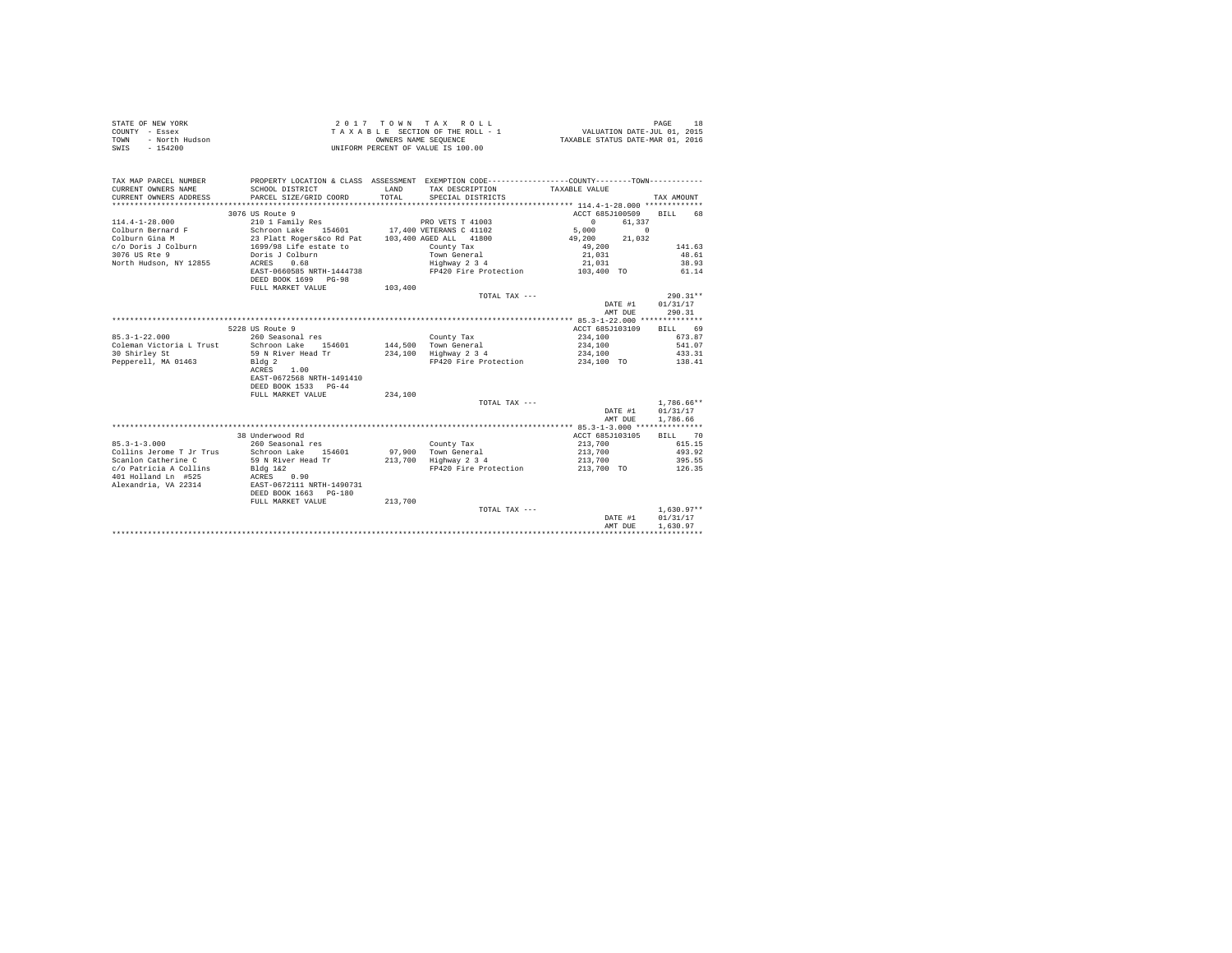| STATE OF NEW YORK      | $2.017$ TOWN TAX ROLL              | PAGE                             |
|------------------------|------------------------------------|----------------------------------|
| COUNTY - Essex         | TAXABLE SECTION OF THE ROLL - 1    | VALUATION DATE-JUL 01, 2015      |
| TOWN<br>- North Hudson | OWNERS NAME SEOUENCE               | TAXABLE STATUS DATE-MAR 01, 2016 |
| SWIS<br>$-154200$      | UNIFORM PERCENT OF VALUE IS 100.00 |                                  |

| TAX MAP PARCEL NUMBER<br>CURRENT OWNERS NAME | PROPERTY LOCATION & CLASS ASSESSMENT EXEMPTION CODE---------------COUNTY-------TOWN---------<br>SCHOOL DISTRICT              | LAND    | TAX DESCRIPTION                               | TAXABLE VALUE           |                |
|----------------------------------------------|------------------------------------------------------------------------------------------------------------------------------|---------|-----------------------------------------------|-------------------------|----------------|
| CURRENT OWNERS ADDRESS                       | PARCEL SIZE/GRID COORD                                                                                                       | TOTAL.  | SPECIAL DISTRICTS                             |                         | TAX AMOUNT     |
|                                              |                                                                                                                              |         |                                               |                         |                |
|                                              | 3076 US Route 9                                                                                                              |         |                                               | ACCT 685J100509         | <b>BTLL</b> 68 |
| $114.4 - 1 - 28.000$                         | 210 1 Family Res                                                                                                             |         | PRO VETS T 41003                              | $\sim$ 0<br>61,337      |                |
|                                              |                                                                                                                              |         |                                               | 5,000                   | $\Omega$       |
| Colburn Gina M                               |                                                                                                                              |         |                                               | 49,200 21,032           |                |
| c/o Doris J Colburn                          | 23 Platt Rogers&co Rd Pat 103,400 AGED ALL 41800<br>1699/98 Life estate to the county Tax<br>Doris J Colburn to Town General |         |                                               | 49,200                  | 141.63         |
| 3076 US Rte 9                                |                                                                                                                              |         |                                               | 21,031                  | 48.61          |
| North Hudson, NY 12855                       | ACRES<br>0.68                                                                                                                |         | Highway 2 3 4                                 | 21,031                  | 38.93          |
|                                              | EAST-0660585 NRTH-1444738                                                                                                    |         | FP420 Fire Protection                         | 103,400 TO              | 61.14          |
|                                              | DEED BOOK 1699 PG-98                                                                                                         |         |                                               |                         |                |
|                                              | FULL MARKET VALUE                                                                                                            | 103,400 |                                               |                         |                |
|                                              |                                                                                                                              |         | TOTAL TAX ---                                 |                         | $290.31**$     |
|                                              |                                                                                                                              |         |                                               | DATE #1                 | 01/31/17       |
|                                              |                                                                                                                              |         |                                               | AMT DUE                 | 290.31         |
|                                              |                                                                                                                              |         |                                               |                         |                |
|                                              |                                                                                                                              |         |                                               |                         |                |
|                                              | 5228 US Route 9                                                                                                              |         |                                               | ACCT 685J103109 BILL 69 |                |
| $85.3 - 1 - 22.000$                          | 260 Seasonal res                                                                                                             |         | County Tax                                    | 234,100                 | 673.87         |
|                                              | Coleman Victoria L Trust Schroon Lake 154601                                                                                 |         | 144,500 Town General<br>234,100 Highway 2 3 4 | 234,100                 | 541.07         |
| 30 Shirley St                                | 59 N River Head Tr                                                                                                           |         |                                               | 234,100                 | 433.31         |
| Pepperell, MA 01463                          | Bldg <sub>2</sub>                                                                                                            |         | FP420 Fire Protection 234,100 TO 138.41       |                         |                |
|                                              | 1.00<br>ACRES                                                                                                                |         |                                               |                         |                |
|                                              | EAST-0672568 NRTH-1491410                                                                                                    |         |                                               |                         |                |
|                                              | DEED BOOK 1533 PG-44                                                                                                         |         |                                               |                         |                |
|                                              | FULL MARKET VALUE                                                                                                            | 234,100 |                                               |                         |                |
|                                              |                                                                                                                              |         | TOTAL TAX ---                                 |                         | $1.786.66**$   |
|                                              |                                                                                                                              |         |                                               | DATE #1                 | 01/31/17       |
|                                              |                                                                                                                              |         |                                               | AMT DUE                 | 1.786.66       |
|                                              |                                                                                                                              |         |                                               |                         |                |
|                                              | 38 Underwood Rd                                                                                                              |         |                                               | ACCT 685J103105 BILL 70 |                |
| $85.3 - 1 - 3.000$                           | 260 Seasonal res                                                                                                             |         | County Tax                                    | 213,700                 | 615.15         |
| Collins Jerome T Jr Trus                     | Schroon Lake 154601                                                                                                          |         | 97,900 Town General                           | 213,700                 | 493.92         |
| Scanlon Catherine C                          | 59 N River Head Tr                                                                                                           |         | 213,700 Highway 2 3 4                         | 213,700                 | 395.55         |
| c/o Patricia A Collins Bldg 1&2              |                                                                                                                              |         | FP420 Fire Protection 213,700 TO 126.35       |                         |                |
| 401 Holland Ln #525                          | ACRES 0.90                                                                                                                   |         |                                               |                         |                |
| Alexandria, VA 22314                         | EAST-0672111 NRTH-1490731                                                                                                    |         |                                               |                         |                |
|                                              | DEED BOOK 1663 PG-180                                                                                                        |         |                                               |                         |                |
|                                              | FULL MARKET VALUE                                                                                                            | 213,700 |                                               |                         |                |
|                                              |                                                                                                                              |         | TOTAL TAX ---                                 |                         | $1.630.97**$   |
|                                              |                                                                                                                              |         |                                               | DATE #1                 | 01/31/17       |
|                                              |                                                                                                                              |         |                                               | AMT DUE                 | 1,630.97       |
|                                              |                                                                                                                              |         |                                               |                         |                |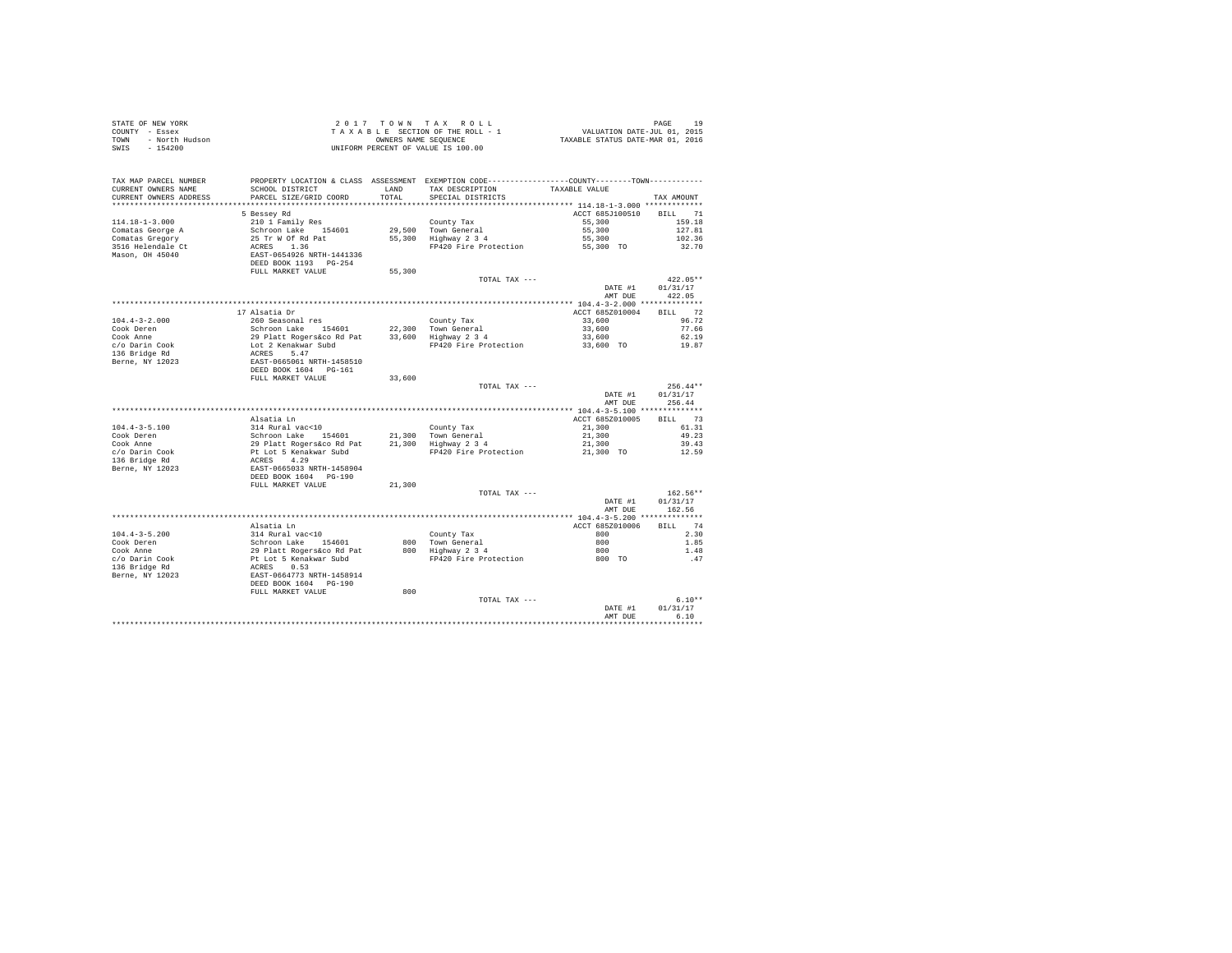|      | STATE OF NEW YORK | 2017 TOWN TAX ROLL                 | 1 Q<br>PAGE                      |
|------|-------------------|------------------------------------|----------------------------------|
|      | COUNTY - Essex    | TAXABLE SECTION OF THE ROLL - 1    | VALUATION DATE-JUL 01, 2015      |
| TOWN | - North Hudson    | OWNERS NAME SEOUENCE               | TAXABLE STATUS DATE-MAR 01, 2016 |
|      | SWIS - 154200     | UNIFORM PERCENT OF VALUE IS 100.00 |                                  |

| TAX MAP PARCEL NUMBER<br>CURRENT OWNERS NAME<br>CURRENT OWNERS ADDRESS<br>******************* | SCHOOL DISTRICT<br>PARCEL SIZE/GRID COORD                                                      | <b>T.AND</b><br>TOTAL<br>********* | PROPERTY LOCATION & CLASS ASSESSMENT EXEMPTION CODE----------------COUNTY-------TOWN----------<br>TAX DESCRIPTION<br>SPECIAL DISTRICTS | TAXABLE VALUE   | TAX AMOUNT |
|-----------------------------------------------------------------------------------------------|------------------------------------------------------------------------------------------------|------------------------------------|----------------------------------------------------------------------------------------------------------------------------------------|-----------------|------------|
|                                                                                               |                                                                                                |                                    |                                                                                                                                        |                 |            |
|                                                                                               | 5 Bessey Rd                                                                                    |                                    |                                                                                                                                        | ACCT 685J100510 | BILL 71    |
| $114.18 - 1 - 3.000$                                                                          | 210 1 Family Res                                                                               |                                    | County Tax                                                                                                                             | 55,300          | 159.18     |
| Comatas George A                                                                              | Schroon Lake 154601                                                                            |                                    | 29,500 Town General                                                                                                                    | 55,300          | 127.81     |
| Comatas Gregory                                                                               | 25 Tr W Of Rd Pat                                                                              |                                    | 55,300 Highway 2 3 4                                                                                                                   | 55,300          | 102.36     |
| 3516 Helendale Ct                                                                             | ACRES 1.36                                                                                     |                                    | FP420 Fire Protection                                                                                                                  | 55,300 TO       | 32.70      |
| Mason, OH 45040                                                                               | EAST-0654926 NRTH-1441336                                                                      |                                    |                                                                                                                                        |                 |            |
|                                                                                               | DEED BOOK 1193    PG-254                                                                       |                                    |                                                                                                                                        |                 |            |
|                                                                                               | FULL MARKET VALUE                                                                              | 55,300                             |                                                                                                                                        |                 |            |
|                                                                                               |                                                                                                |                                    | TOTAL TAX ---                                                                                                                          |                 | $422.05**$ |
|                                                                                               |                                                                                                |                                    |                                                                                                                                        | DATE #1         | 01/31/17   |
|                                                                                               |                                                                                                |                                    |                                                                                                                                        | AMT DUE         | 422.05     |
|                                                                                               |                                                                                                |                                    |                                                                                                                                        |                 |            |
|                                                                                               |                                                                                                |                                    |                                                                                                                                        |                 | BILL 72    |
|                                                                                               | 17 Alsatia Dr                                                                                  |                                    |                                                                                                                                        | ACCT 685Z010004 |            |
| $104.4 - 3 - 2.000$                                                                           | 260 Seasonal res                                                                               |                                    | County Tax                                                                                                                             | 33,600          | 96.72      |
| Cook Deren                                                                                    | Schroon Lake 154601                                                                            |                                    | 22.300 Town General                                                                                                                    | 33,600          | 77.66      |
| Cook Anne                                                                                     | 29 Platt Rogers&co Rd Pat                                                                      |                                    | 33,600 Highway 2 3 4                                                                                                                   | 33,600          | 62.19      |
| c/o Darin Cook                                                                                | Lot 2 Kenakwar Subd                                                                            |                                    | FP420 Fire Protection                                                                                                                  | 33,600 TO       | 19.87      |
| 136 Bridge Rd                                                                                 | ACRES 5.47<br>EAST-0665061 NRTH-1458510                                                        |                                    |                                                                                                                                        |                 |            |
| Berne, NY 12023                                                                               |                                                                                                |                                    |                                                                                                                                        |                 |            |
|                                                                                               | DEED BOOK 1604 PG-161                                                                          |                                    |                                                                                                                                        |                 |            |
|                                                                                               | FULL MARKET VALUE                                                                              | 33,600                             |                                                                                                                                        |                 |            |
|                                                                                               |                                                                                                |                                    | TOTAL TAX ---                                                                                                                          |                 | $256.44**$ |
|                                                                                               |                                                                                                |                                    |                                                                                                                                        | DATE #1         | 01/31/17   |
|                                                                                               |                                                                                                |                                    |                                                                                                                                        | AMT DUE         | 256.44     |
|                                                                                               |                                                                                                |                                    |                                                                                                                                        |                 |            |
|                                                                                               | Alsatia Ln                                                                                     |                                    |                                                                                                                                        | ACCT 685Z010005 | BILL 73    |
| $104.4 - 3 - 5.100$                                                                           | 314 Rural vac<10                                                                               |                                    | County Tax                                                                                                                             | 21,300          | 61.31      |
| Cook Deren                                                                                    | Schroon Lake 154601                                                                            |                                    | 21,300 Town General                                                                                                                    | 21,300          | 49.23      |
| Cook Anne                                                                                     |                                                                                                |                                    | 21,300 Highway 2 3 4                                                                                                                   | 21,300          | 39.43      |
|                                                                                               | 29 Platt Rogers&co Rd Pat<br>Pt Lot 5 Kenakwar Subd<br>ACRES 4.29<br>EAST-0665033 NRTH-1458904 |                                    |                                                                                                                                        |                 |            |
| c/o Darin Cook                                                                                |                                                                                                |                                    | FP420 Fire Protection                                                                                                                  | 21,300 TO       | 12.59      |
| 136 Bridge Rd                                                                                 |                                                                                                |                                    |                                                                                                                                        |                 |            |
| Berne, NY 12023                                                                               |                                                                                                |                                    |                                                                                                                                        |                 |            |
|                                                                                               | DEED BOOK 1604 PG-190                                                                          |                                    |                                                                                                                                        |                 |            |
|                                                                                               | FULL MARKET VALUE                                                                              | 21,300                             |                                                                                                                                        |                 |            |
|                                                                                               |                                                                                                |                                    | TOTAL TAX ---                                                                                                                          |                 | $162.56**$ |
|                                                                                               |                                                                                                |                                    |                                                                                                                                        | DATE #1         | 01/31/17   |
|                                                                                               |                                                                                                |                                    |                                                                                                                                        | AMT DUE         | 162.56     |
|                                                                                               |                                                                                                |                                    |                                                                                                                                        |                 |            |
|                                                                                               | Alsatia Ln                                                                                     |                                    |                                                                                                                                        | ACCT 685Z010006 | BILL 74    |
| $104.4 - 3 - 5.200$                                                                           | 314 Rural vac<10                                                                               |                                    | County Tax                                                                                                                             | 800             | 2.30       |
| Cook Deren                                                                                    | Schroon Lake 154601                                                                            |                                    | 800 Town General                                                                                                                       | 800             | 1.85       |
| Cook Anne                                                                                     |                                                                                                |                                    | 800 Highway 2 3 4                                                                                                                      | 800             | 1.48       |
| c/o Darin Cook                                                                                | 29 Platt Rogers&co Rd Pat<br>Pt Lot 5 Kenakwar Subd                                            |                                    | FP420 Fire Protection                                                                                                                  | 800 TO          | .47        |
| 136 Bridge Rd                                                                                 | ACRES 0.53                                                                                     |                                    |                                                                                                                                        |                 |            |
| Berne, NY 12023                                                                               | EAST-0664773 NRTH-1458914                                                                      |                                    |                                                                                                                                        |                 |            |
|                                                                                               | DEED BOOK 1604 PG-190                                                                          |                                    |                                                                                                                                        |                 |            |
|                                                                                               | FULL MARKET VALUE                                                                              | 800                                |                                                                                                                                        |                 |            |
|                                                                                               |                                                                                                |                                    | TOTAL TAX ---                                                                                                                          |                 | $6.10**$   |
|                                                                                               |                                                                                                |                                    |                                                                                                                                        | DATE #1         | 01/31/17   |
|                                                                                               |                                                                                                |                                    |                                                                                                                                        | AMT DUE         | 6.10       |
|                                                                                               |                                                                                                |                                    |                                                                                                                                        |                 |            |
|                                                                                               |                                                                                                |                                    |                                                                                                                                        |                 |            |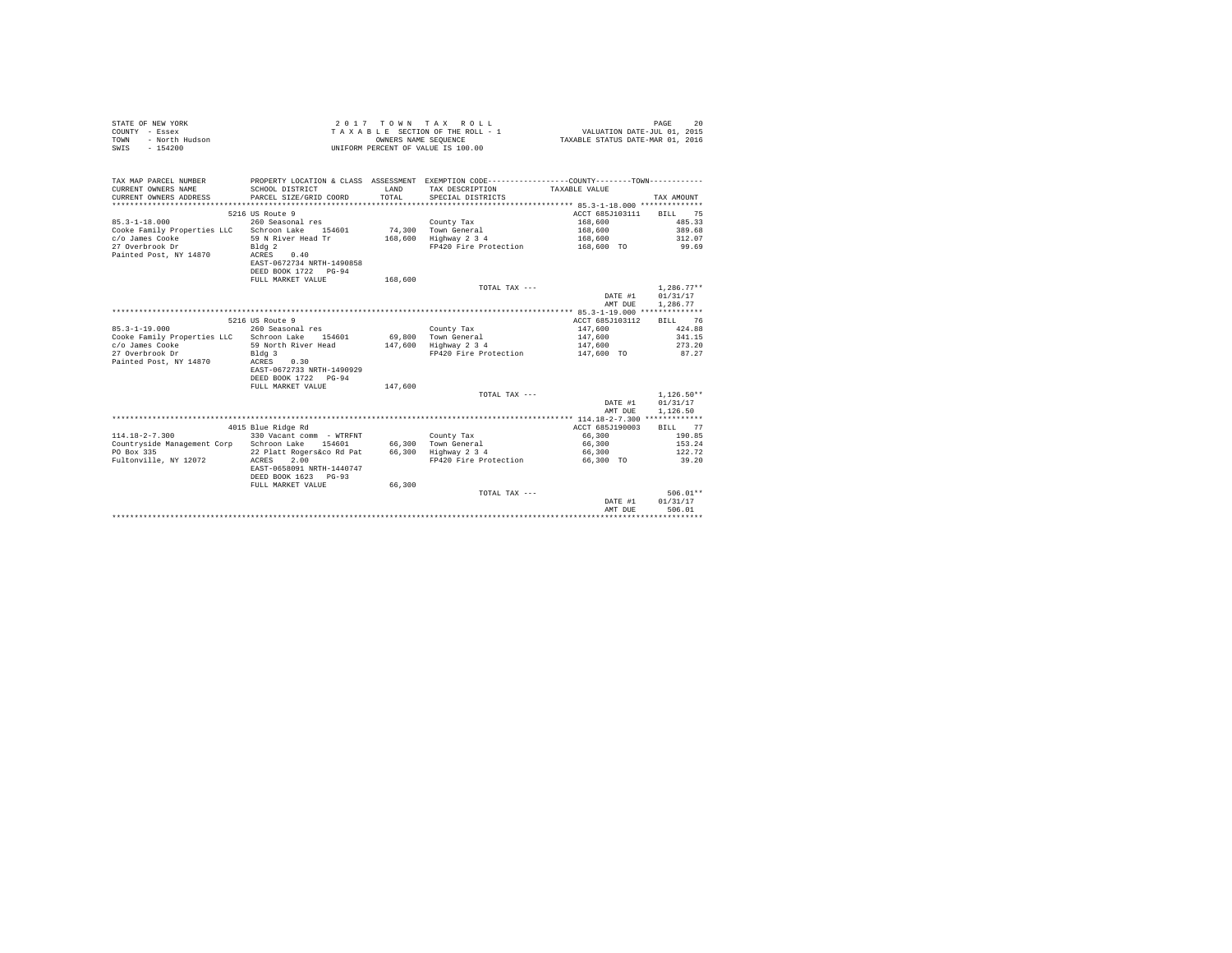| STATE OF NEW YORK      | $2.017$ TOWN TAX ROLL              | 20<br>PAGE                       |
|------------------------|------------------------------------|----------------------------------|
| COUNTY - Essex         | TAXABLE SECTION OF THE ROLL - 1    | VALUATION DATE-JUL 01, 2015      |
| TOWN<br>- North Hudson | OWNERS NAME SEOUENCE               | TAXABLE STATUS DATE-MAR 01, 2016 |
| SWIS<br>- 154200       | UNIFORM PERCENT OF VALUE IS 100.00 |                                  |

| 5216 US Route 9<br>ACCT 685J103111<br>BILL 75<br>$85.3 - 1 - 18.000$<br>260 Seasonal res<br>168,600<br>485.33<br>County Tax<br>Cooke Family Properties LLC Schroon Lake<br>74.300 Town General<br>389.68<br>154601<br>168,600 |  |
|-------------------------------------------------------------------------------------------------------------------------------------------------------------------------------------------------------------------------------|--|
|                                                                                                                                                                                                                               |  |
|                                                                                                                                                                                                                               |  |
|                                                                                                                                                                                                                               |  |
|                                                                                                                                                                                                                               |  |
| c/o James Cooke<br>59 N River Head Tr<br>168,600 Highway 2 3 4<br>312.07<br>168,600<br>27 Overbrook Dr<br>99.69<br>FP420 Fire Protection<br>168,600 TO                                                                        |  |
| Bldg <sub>2</sub><br>Painted Post, NY 14870<br>0.40<br>ACRES                                                                                                                                                                  |  |
| EAST-0672734 NRTH-1490858                                                                                                                                                                                                     |  |
| DEED BOOK 1722 PG-94                                                                                                                                                                                                          |  |
| FULL MARKET VALUE<br>168,600                                                                                                                                                                                                  |  |
| $1.286.77**$<br>TOTAL TAX ---                                                                                                                                                                                                 |  |
| DATE #1<br>01/31/17                                                                                                                                                                                                           |  |
| 1,286.77<br>AMT DUE                                                                                                                                                                                                           |  |
|                                                                                                                                                                                                                               |  |
| 5216 US Route 9<br>ACCT 685J103112<br>BILL 76                                                                                                                                                                                 |  |
| $85.3 - 1 - 19.000$<br>147,600<br>424.88<br>260 Seasonal res<br>County Tax                                                                                                                                                    |  |
| Cooke Family Properties LLC<br>69,800 Town General<br>341.15<br>Schroon Lake<br>154601<br>147.600                                                                                                                             |  |
| c/o James Cooke<br>59 North River Head<br>Highway 2 3 4<br>273.20<br>147.600<br>147.600                                                                                                                                       |  |
| 27 Overbrook Dr<br>FP420 Fire Protection<br>87.27<br>Bldg 3<br>147,600 TO                                                                                                                                                     |  |
| 0.30                                                                                                                                                                                                                          |  |
| Painted Post, NY 14870<br>ACRES<br>EAST-0672733 NRTH-1490929                                                                                                                                                                  |  |
| DEED BOOK 1722 PG-94                                                                                                                                                                                                          |  |
| FULL MARKET VALUE<br>147,600                                                                                                                                                                                                  |  |
| $1.126.50**$<br>TOTAL TAX ---                                                                                                                                                                                                 |  |
| DATE #1<br>01/31/17                                                                                                                                                                                                           |  |
| 1,126.50<br>AMT DUE                                                                                                                                                                                                           |  |
|                                                                                                                                                                                                                               |  |
| 4015 Blue Ridge Rd<br>ACCT 685J190003<br>BILL 77                                                                                                                                                                              |  |
| $114.18 - 2 - 7.300$<br>330 Vacant comm - WTRFNT<br>66,300<br>190.85<br>County Tax                                                                                                                                            |  |
| Countryside Management Corp Schroon Lake<br>66,300 Town General<br>153.24<br>154601<br>66,300                                                                                                                                 |  |
| 122.72<br>22 Platt Rogers&co Rd Pat 66,300 Highway 2 3 4<br>PO Box 335<br>66,300                                                                                                                                              |  |
| Fultonville, NY 12072<br>2.00<br>FP420 Fire Protection<br>39.20<br>ACRES<br>66,300 TO                                                                                                                                         |  |
| EAST-0658091 NRTH-1440747                                                                                                                                                                                                     |  |
| DEED BOOK 1623 PG-93                                                                                                                                                                                                          |  |
| 66,300<br>FULL MARKET VALUE                                                                                                                                                                                                   |  |
| $506.01**$<br>TOTAL TAX ---                                                                                                                                                                                                   |  |
| 01/31/17<br>DATE #1                                                                                                                                                                                                           |  |
| AMT DUE<br>506.01                                                                                                                                                                                                             |  |
|                                                                                                                                                                                                                               |  |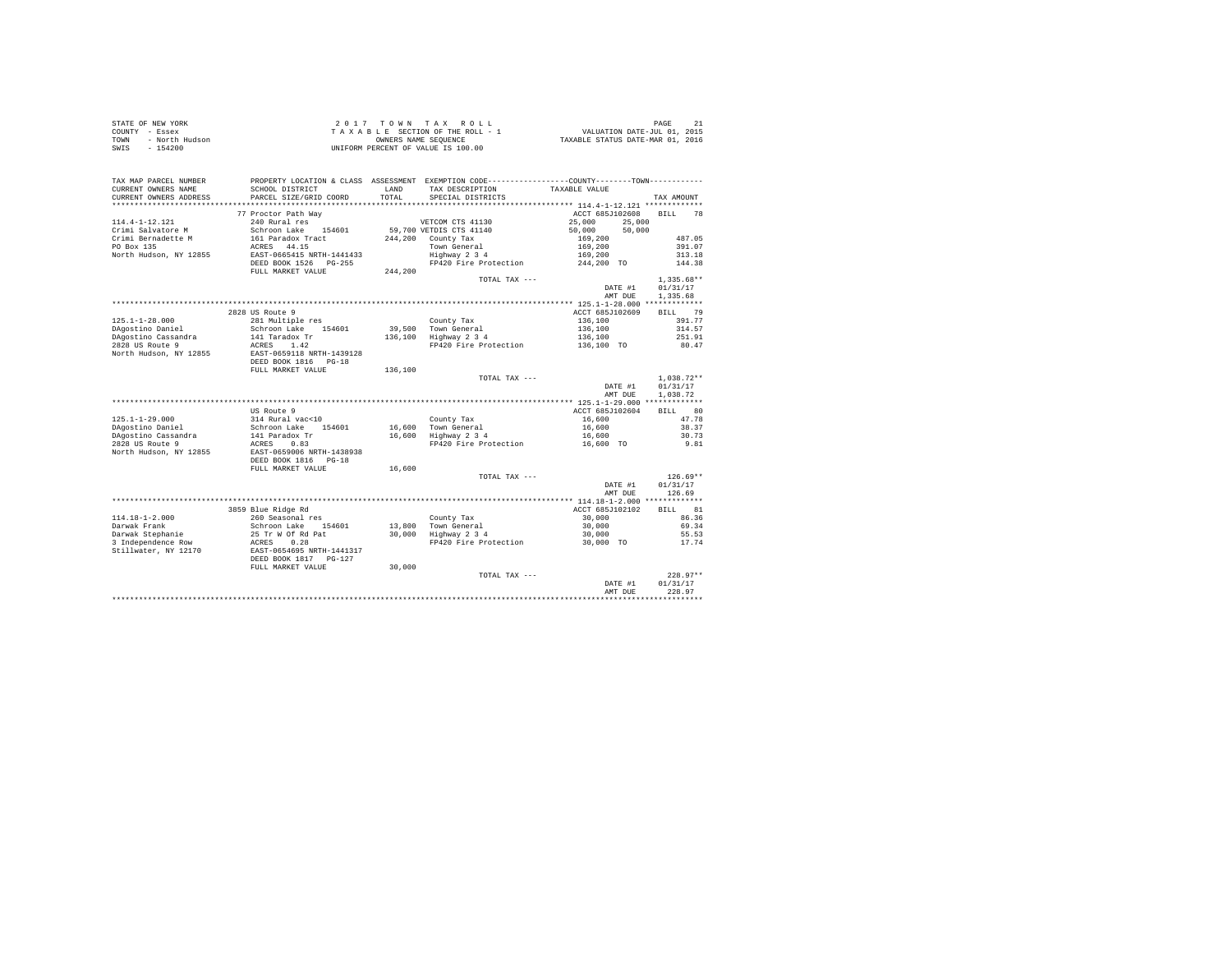| TAX MAP PARCEL NUMBER<br>CURRENT OWNERS NAME<br>CURRENT OWNERS ADDRESS | PROPERTY LOCATION & CLASS ASSESSMENT EXEMPTION CODE-----------------COUNTY--------TOWN----------<br>SCHOOL DISTRICT<br>PARCEL SIZE/GRID COORD | LAND<br>TOTAL | TAX DESCRIPTION<br>SPECIAL DISTRICTS            | TAXABLE VALUE         | TAX AMOUNT               |
|------------------------------------------------------------------------|-----------------------------------------------------------------------------------------------------------------------------------------------|---------------|-------------------------------------------------|-----------------------|--------------------------|
|                                                                        |                                                                                                                                               |               |                                                 |                       |                          |
|                                                                        | 77 Proctor Path Way                                                                                                                           |               |                                                 | ACCT 685J102608       | <b>BILL</b><br>78        |
| 114.4-1-12.121                                                         | 240 Rural res                                                                                                                                 |               | VETCOM CTS 41130                                | 25,000 25,000         |                          |
| Crimi Salvatore M                                                      | Schroon Lake 154601                                                                                                                           |               | 59,700 VETDIS CTS 41140                         | 50.000<br>50,000      |                          |
| Crimi Bernadette M                                                     | 161 Paradox Tract                                                                                                                             |               | 244,200 County Tax                              | 169,200               | 487.05                   |
| PO Box 135                                                             | ACRES 44.15<br>EAST-0665415 NRTH-1441433                                                                                                      |               | Town General<br>Highway 2 3 4                   | 169,200               | 391.07<br>313.18         |
| North Hudson, NY 12855                                                 | DEED BOOK 1526    PG-255                                                                                                                      |               | FP420 Fire Protection                           | 169,200<br>244,200 TO | 144.38                   |
|                                                                        | FULL MARKET VALUE                                                                                                                             | 244,200       |                                                 |                       |                          |
|                                                                        |                                                                                                                                               |               | TOTAL TAX $---$                                 | DATE #1               | $1.335.68**$<br>01/31/17 |
|                                                                        |                                                                                                                                               |               |                                                 | AMT DUE               | 1.335.68                 |
|                                                                        | 2828 US Route 9                                                                                                                               |               |                                                 | ACCT 685J102609       | BILL 79                  |
| $125.1 - 1 - 28.000$                                                   | 281 Multiple res                                                                                                                              |               | County Tax                                      | 136,100               | 391.77                   |
| DAgostino Daniel                                                       | Schroon Lake 154601                                                                                                                           |               | 39,500 Town General                             | 136,100               | 314.57                   |
| DAgostino Cassandra                                                    | 141 Taradox Tr                                                                                                                                |               | 136,100 Highway 2 3 4                           | 136,100               | 251.91                   |
| 2828 US Route 9                                                        | ACRES 1.42                                                                                                                                    |               | FP420 Fire Protection                           | 136,100 TO            | 80.47                    |
| North Hudson, NY 12855                                                 | EAST-0659118 NRTH-1439128<br>DEED BOOK 1816 PG-18                                                                                             |               |                                                 |                       |                          |
|                                                                        | FULL MARKET VALUE                                                                                                                             | 136,100       |                                                 |                       |                          |
|                                                                        |                                                                                                                                               |               | TOTAL TAX ---                                   |                       | $1.038.72**$             |
|                                                                        |                                                                                                                                               |               |                                                 | DATE #1<br>AMT DUE    | 01/31/17<br>1,038.72     |
|                                                                        |                                                                                                                                               |               |                                                 |                       |                          |
|                                                                        | US Route 9                                                                                                                                    |               |                                                 | ACCT 685J102604       | BILL 80                  |
| $125.1 - 1 - 29.000$                                                   | 314 Rural vac<10                                                                                                                              |               | County Tax                                      | 16,600                | 47.78                    |
| DAgostino Daniel                                                       | Schroon Lake 154601                                                                                                                           |               | 16,600 Town General                             | 16,600                | 38.37                    |
| DAgostino Cassandra                                                    | 141 Paradox Tr<br>ACRES 0.83                                                                                                                  |               | 16,600 Highway 2 3 4                            | 16,600                | 30.73                    |
| 2828 US Route 9                                                        |                                                                                                                                               |               | FP420 Fire Protection                           | 16,600 TO             | 9.81                     |
| North Hudson, NY 12855                                                 | EAST-0659006 NRTH-1438938                                                                                                                     |               |                                                 |                       |                          |
|                                                                        | DEED BOOK 1816 PG-18                                                                                                                          |               |                                                 |                       |                          |
|                                                                        | FULL MARKET VALUE                                                                                                                             | 16,600        |                                                 |                       | $126.69**$               |
|                                                                        |                                                                                                                                               |               | TOTAL TAX ---                                   | DATE #1               | 01/31/17                 |
|                                                                        |                                                                                                                                               |               |                                                 | AMT DUE               | 126.69                   |
|                                                                        |                                                                                                                                               |               |                                                 |                       |                          |
|                                                                        | 3859 Blue Ridge Rd                                                                                                                            |               |                                                 | ACCT 685J102102       | <b>BTT.T.</b> 81         |
| $114.18 - 1 - 2.000$                                                   | 260 Seasonal res                                                                                                                              |               | County Tax                                      | 30,000                | 86.36                    |
| Darwak Frank                                                           | Schroon Lake 154601                                                                                                                           |               | $13,800$ Town General<br>$30,000$ Highway 2 3 4 | 30,000                | 69.34                    |
| Darwak Stephanie                                                       | 25 Tr W Of Rd Pat                                                                                                                             |               |                                                 | 30,000                | 55.53                    |
| 3 Independence Row                                                     | ACRES 0.28                                                                                                                                    |               | FP420 Fire Protection                           | 30,000 TO             | 17.74                    |
| Stillwater, NY 12170                                                   | EAST-0654695 NRTH-1441317<br>DEED BOOK 1817 PG-127                                                                                            |               |                                                 |                       |                          |
|                                                                        | FULL MARKET VALUE                                                                                                                             | 30,000        |                                                 |                       |                          |
|                                                                        |                                                                                                                                               |               | TOTAL TAX ---                                   |                       | $228.97**$               |
|                                                                        |                                                                                                                                               |               |                                                 | DATE #1               | 01/31/17                 |
|                                                                        |                                                                                                                                               |               |                                                 | AMT DUE               | 228.97                   |
|                                                                        |                                                                                                                                               |               |                                                 |                       |                          |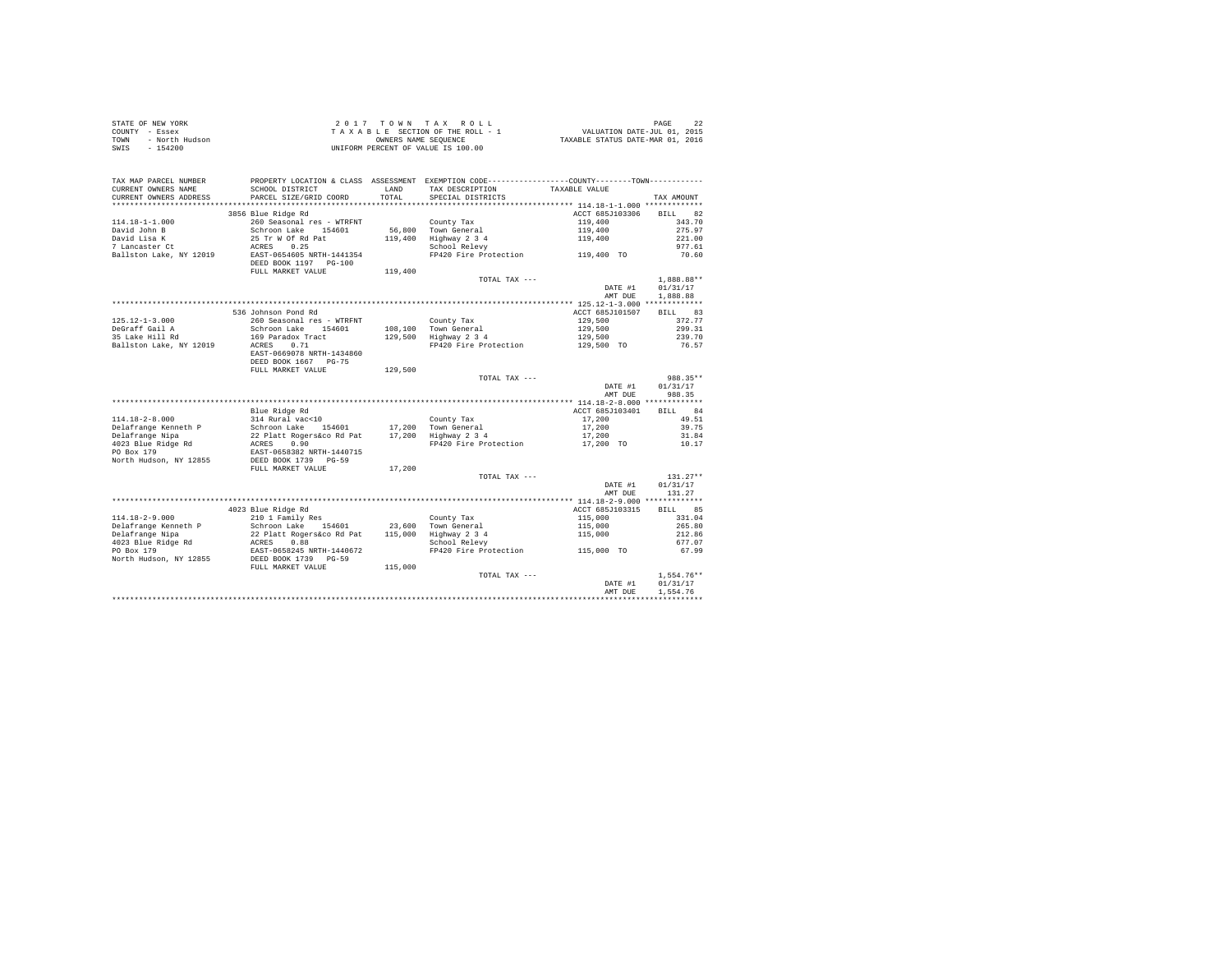| STATE OF NEW YORK      | 2017 TOWN TAX ROLL                 | PAGE                             |
|------------------------|------------------------------------|----------------------------------|
| COUNTY - Essex         | TAXABLE SECTION OF THE ROLL - 1    | VALUATION DATE-JUL 01, 2015      |
| TOWN<br>- North Hudson | OWNERS NAME SEOUENCE               | TAXABLE STATUS DATE-MAR 01, 2016 |
| - 154200<br>SWIS       | UNIFORM PERCENT OF VALUE IS 100.00 |                                  |

| TAX MAP PARCEL NUMBER<br>CURRENT OWNERS NAME<br>CURRENT OWNERS ADDRESS        | PROPERTY LOCATION & CLASS ASSESSMENT EXEMPTION CODE----------------COUNTY--------TOWN----------<br>SCHOOL DISTRICT<br>PARCEL SIZE/GRID COORD                                                   | LAND<br>TOTAL. | TAX DESCRIPTION<br>SPECIAL DISTRICTS                          | TAXABLE VALUE                      | TAX AMOUNT                     |
|-------------------------------------------------------------------------------|------------------------------------------------------------------------------------------------------------------------------------------------------------------------------------------------|----------------|---------------------------------------------------------------|------------------------------------|--------------------------------|
| *************************                                                     |                                                                                                                                                                                                |                |                                                               |                                    |                                |
| $114.18 - 1 - 1.000$                                                          | 3856 Blue Ridge Rd<br>260 Seasonal res - WTRFNT                                                                                                                                                |                | County Tax                                                    | ACCT 685J103306 BILL 82<br>119,400 | 343.70                         |
| David John B<br>David Lisa K<br><i>Duri</i> u <i>misa w</i><br>7 Lancaster Ct | Schroon Lake 154<br>25 Tr W Of Rd Pat<br>ACRES 0.25<br>Schroon Lake 154601                                                                                                                     |                | 56,800 Town General<br>119,400 Highway 2 3 4<br>School Relevy | 119,400<br>119,400                 | 275.97<br>221.00               |
| Ballston Lake, NY 12019                                                       | EAST-0654605 NRTH-1441354<br>DEED BOOK 1197 PG-100<br>FULL MARKET VALUE                                                                                                                        | 119,400        | FP420 Fire Protection 119,400 TO                              |                                    | 977.61<br>70.60                |
|                                                                               |                                                                                                                                                                                                |                | TOTAL TAX ---                                                 |                                    | 1,888.88**                     |
|                                                                               |                                                                                                                                                                                                |                |                                                               | DATE #1<br>AMT DUE                 | 01/31/17<br>1,888.88           |
|                                                                               |                                                                                                                                                                                                |                |                                                               |                                    |                                |
|                                                                               | 536 Johnson Pond Rd                                                                                                                                                                            |                |                                                               | ACCT 685J101507                    | BILL 83                        |
| $125.12 - 1 - 3.000$                                                          | 260 Seasonal res - WTRFNT                                                                                                                                                                      |                | County Tax                                                    | 129,500                            | 372.77                         |
| DeGraff Gail A                                                                | Schroon Lake 154601                                                                                                                                                                            |                | 108.100 Town General                                          | 129,500                            | 299.31                         |
| 35 Lake Hill Rd                                                               | 169 Paradox Tract                                                                                                                                                                              |                | 108,100 Town General<br>129,500 Highway 2 3 4                 | 129,500                            | 239.70                         |
| Ballston Lake, NY 12019                                                       | ACRES<br>0.71<br>EAST-0669078 NRTH-1434860                                                                                                                                                     |                | FP420 Fire Protection                                         | 129,500 TO                         | 76.57                          |
|                                                                               | DEED BOOK 1667 PG-75                                                                                                                                                                           |                |                                                               |                                    |                                |
|                                                                               | FULL MARKET VALUE                                                                                                                                                                              | 129,500        |                                                               |                                    |                                |
|                                                                               |                                                                                                                                                                                                |                | TOTAL TAX ---                                                 | DATE #1<br>AMT DUE                 | 988.35**<br>01/31/17<br>988.35 |
|                                                                               |                                                                                                                                                                                                |                |                                                               |                                    |                                |
|                                                                               | Blue Ridge Rd                                                                                                                                                                                  |                |                                                               | ACCT 685J103401                    | BILL 84                        |
| 114.18-2-8.000                                                                | 314 Rural vac<10                                                                                                                                                                               |                | County Tax                                                    | 17,200                             | 49.51                          |
| Delafrange Kenneth P                                                          |                                                                                                                                                                                                |                |                                                               | 17,200                             | 39.75                          |
| Delafrange Nipa                                                               |                                                                                                                                                                                                |                |                                                               | 17,200                             | 31.84                          |
| 4023 Blue Ridge Rd                                                            |                                                                                                                                                                                                |                | FP420 Fire Protection                                         | 17,200 TO                          | 10.17                          |
| PO Box 179<br>North Hudson, NY 12855                                          | Schroon Lake 154601 17,200 Town General<br>22 Platt Rogerskoo Rd Pat 17,200 Highway 2 3 4<br>ACRES 0.90 Town Person PP420 Fire Protection<br>ERST-0658382 NRTH-1440715<br>DEED BOOK 1739 PG-59 |                |                                                               |                                    |                                |
|                                                                               | FULL MARKET VALUE                                                                                                                                                                              | 17,200         |                                                               |                                    |                                |
|                                                                               |                                                                                                                                                                                                |                | TOTAL TAX ---                                                 | DATE #1                            | $131.27**$<br>01/31/17         |
|                                                                               |                                                                                                                                                                                                |                |                                                               | AMT DUE                            | 131.27                         |
|                                                                               |                                                                                                                                                                                                |                |                                                               |                                    |                                |
|                                                                               | 4023 Blue Ridge Rd                                                                                                                                                                             |                |                                                               | ACCT 685J103315                    | 85<br><b>BILL</b>              |
| $114.18 - 2 - 9.000$                                                          | 210 1 Family Res                                                                                                                                                                               |                | County Tax                                                    | 115,000                            | 331.04                         |
| Delafrange Kenneth P                                                          |                                                                                                                                                                                                |                | 23.600 Town General                                           | 115,000<br>115,000                 | 265.80                         |
| Delafrange Nipa                                                               |                                                                                                                                                                                                |                | 115,000 Highway 2 3 4                                         |                                    | 212.86                         |
| 4023 Blue Ridge Rd                                                            |                                                                                                                                                                                                |                | School Relevy                                                 |                                    | 677.07                         |
| PO Box 179<br>North Hudson, NY 12855                                          | 210 1 raming Research 154601<br>22 Platt Rogers&co Rd Pat<br>ACRES 0.88<br>EAST-0658245 NRTH-1440672<br>DEED BOOK 1739 PG-59<br>RULL MARKET NATHER<br>FULL MARKET VALUE                        | 115,000        | FP420 Fire Protection 115,000 TO                              |                                    | 67.99                          |
|                                                                               |                                                                                                                                                                                                |                | TOTAL TAX ---                                                 |                                    | $1,554.76**$                   |
|                                                                               |                                                                                                                                                                                                |                |                                                               | DATE #1<br>AMT DUE                 | 01/31/17<br>1,554.76           |
|                                                                               |                                                                                                                                                                                                |                |                                                               |                                    |                                |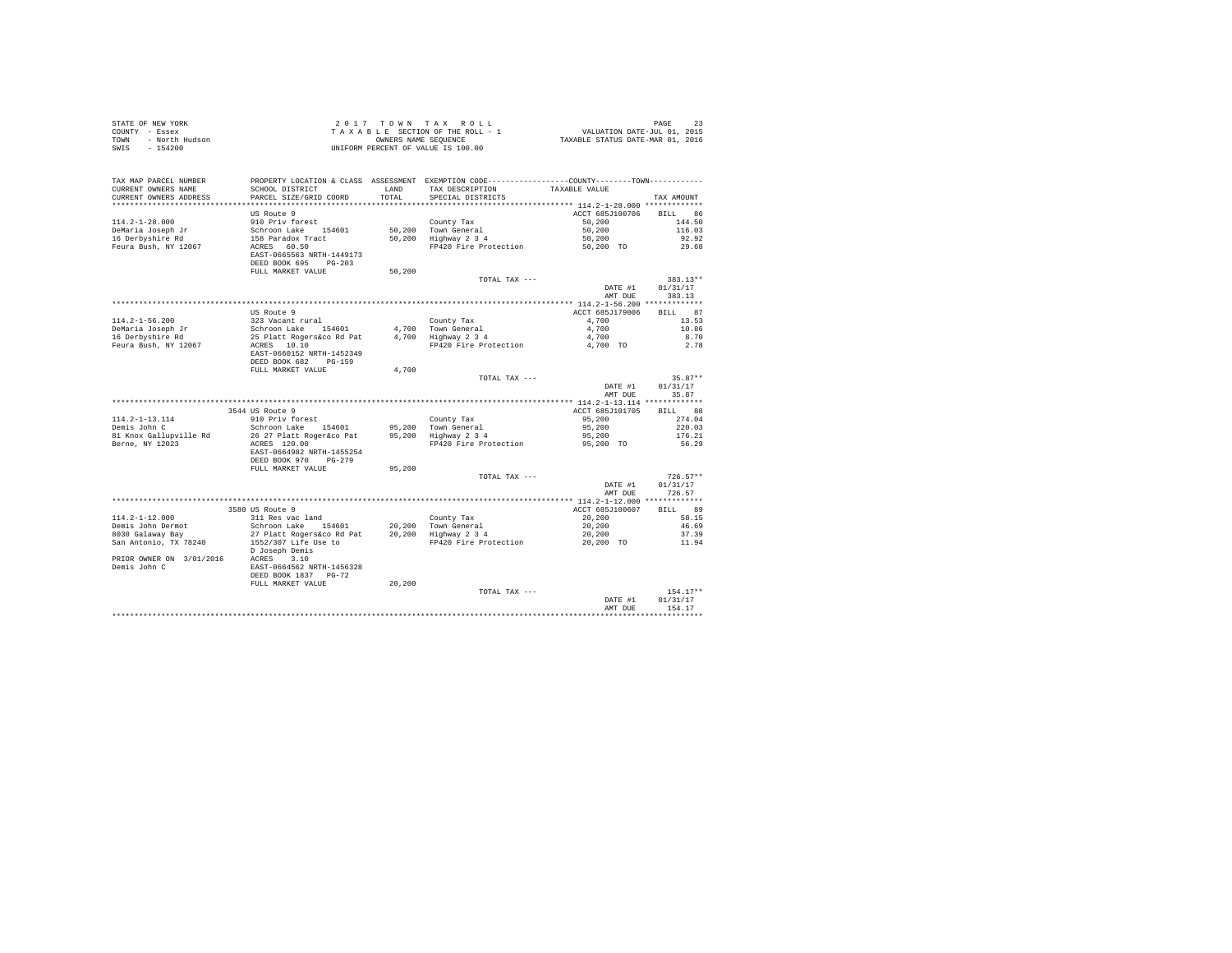| STATE OF NEW YORK<br>COUNTY - Essex<br>- North Hudson<br>TOWN<br>SWIS<br>$-154200$      |                                                                                                                                                                                                                                            |        |                                                                                                                  |                         |                    |
|-----------------------------------------------------------------------------------------|--------------------------------------------------------------------------------------------------------------------------------------------------------------------------------------------------------------------------------------------|--------|------------------------------------------------------------------------------------------------------------------|-------------------------|--------------------|
| TAX MAP PARCEL NUMBER<br>CURRENT OWNERS NAME                                            | SCHOOL DISTRICT                                                                                                                                                                                                                            | LAND   | PROPERTY LOCATION & CLASS ASSESSMENT EXEMPTION CODE---------------COUNTY-------TOWN----------<br>TAX DESCRIPTION | TAXABLE VALUE           |                    |
| CURRENT OWNERS ADDRESS                                                                  | PARCEL SIZE/GRID COORD                                                                                                                                                                                                                     | TOTAL  | SPECIAL DISTRICTS                                                                                                |                         | TAX AMOUNT         |
|                                                                                         |                                                                                                                                                                                                                                            |        |                                                                                                                  |                         |                    |
|                                                                                         | US Route 9                                                                                                                                                                                                                                 |        |                                                                                                                  | ACCT 685J100706 BILL 86 |                    |
| $114.2 - 1 - 28.000$                                                                    |                                                                                                                                                                                                                                            |        | County Tax<br>50,200 Town General<br>50,200 Highway 2 3 4                                                        | 50,200                  | 144.50             |
| DeMaria Joseph Jr                                                                       |                                                                                                                                                                                                                                            |        |                                                                                                                  | 50,200                  | 116.03             |
| 16 Derbyshire Rd                                                                        |                                                                                                                                                                                                                                            |        |                                                                                                                  | 50,200<br>50,200 TO     | 92.92              |
| Feura Bush, NY 12067                                                                    | 910 Priv forest<br>Schroon Lake 154601<br>158 Paradox Tract<br>ACRES 60.50<br>EAST-0665563 NRTH-1449173                                                                                                                                    |        | FP420 Fire Protection                                                                                            |                         | 29.68              |
|                                                                                         | DEED BOOK 695 PG-203<br>FULL MARKET VALUE                                                                                                                                                                                                  | 50,200 |                                                                                                                  |                         |                    |
|                                                                                         |                                                                                                                                                                                                                                            |        | TOTAL TAX ---                                                                                                    |                         | $383.13**$         |
|                                                                                         |                                                                                                                                                                                                                                            |        |                                                                                                                  | DATE #1<br>AMT DUE      | 01/31/17<br>383.13 |
|                                                                                         |                                                                                                                                                                                                                                            |        |                                                                                                                  |                         |                    |
|                                                                                         |                                                                                                                                                                                                                                            |        |                                                                                                                  | ACCT 685J179006         | BILL 87            |
| 114.2-1-56.200                                                                          | 232 Vacant rural<br>Schroon Lake 154601 4,700 Town General<br>25 Platt Rogerskoo Rd Pat 4,700 Highway 2 3 4<br>ACRES 10.10<br>ERAN FURAN FRANCER RESERVED RESERVED RESERVED RESERVED RESERVED RESERVED RESERVED RESERVED RESERVED RESERVED |        |                                                                                                                  | 4,700                   | 13.53              |
|                                                                                         |                                                                                                                                                                                                                                            |        |                                                                                                                  | 4,700                   | 10.86              |
| DeMaria Joseph Jr<br>16 Derbyshire Rd                                                   |                                                                                                                                                                                                                                            |        |                                                                                                                  | 4,700                   | 8.70               |
| Feura Bush, NY 12067                                                                    |                                                                                                                                                                                                                                            |        | FP420 Fire Protection 4,700 TO                                                                                   |                         | 2.78               |
|                                                                                         | EAST-0660152 NRTH-1452349<br>DEED BOOK 682 PG-159                                                                                                                                                                                          |        |                                                                                                                  |                         |                    |
|                                                                                         | FULL MARKET VALUE                                                                                                                                                                                                                          | 4,700  |                                                                                                                  |                         |                    |
|                                                                                         |                                                                                                                                                                                                                                            |        | TOTAL TAX ---                                                                                                    |                         | $35.87**$          |
|                                                                                         |                                                                                                                                                                                                                                            |        |                                                                                                                  | DATE #1                 | 01/31/17           |
|                                                                                         |                                                                                                                                                                                                                                            |        |                                                                                                                  | AMT DUE                 | 35.87              |
|                                                                                         |                                                                                                                                                                                                                                            |        |                                                                                                                  |                         |                    |
|                                                                                         | 3544 US Route 9                                                                                                                                                                                                                            |        |                                                                                                                  | ACCT 685J101705         | BILL 88            |
|                                                                                         | 910 Priv forest                                                                                                                                                                                                                            |        |                                                                                                                  | 95,200                  | 274.04             |
| 114.2-1-13.114<br>Demis John C                                                          | 910 Priv forest<br>Schroon Lake 154601 95,200 Town General<br>26 27 Platt Roger&co Pat 95,200 Highway 2 3 4                                                                                                                                |        |                                                                                                                  | 95,200                  | 220.03             |
| 81 Knox Gallupville Rd                                                                  | 26 27 Platt Roger&co Pat                                                                                                                                                                                                                   |        |                                                                                                                  | 95,200                  | 176.21             |
| Berne, NY 12023                                                                         | ACRES 120.00                                                                                                                                                                                                                               |        | FP420 Fire Protection                                                                                            | 95,200 TO               | 56.29              |
|                                                                                         | EAST-0664982 NRTH-1455254                                                                                                                                                                                                                  |        |                                                                                                                  |                         |                    |
|                                                                                         | DEED BOOK 970 PG-279                                                                                                                                                                                                                       |        |                                                                                                                  |                         |                    |
|                                                                                         | FULL MARKET VALUE                                                                                                                                                                                                                          | 95,200 |                                                                                                                  |                         |                    |
|                                                                                         |                                                                                                                                                                                                                                            |        | TOTAL TAX ---                                                                                                    |                         | $726.57**$         |
|                                                                                         |                                                                                                                                                                                                                                            |        |                                                                                                                  | DATE #1                 | 01/31/17           |
|                                                                                         |                                                                                                                                                                                                                                            |        |                                                                                                                  | AMT DUE                 | 726.57             |
|                                                                                         |                                                                                                                                                                                                                                            |        |                                                                                                                  |                         |                    |
|                                                                                         | 3580 US Route 9                                                                                                                                                                                                                            |        |                                                                                                                  | ACCT 685J100607         | BILL 89            |
|                                                                                         |                                                                                                                                                                                                                                            |        |                                                                                                                  |                         | 58.15              |
|                                                                                         |                                                                                                                                                                                                                                            |        |                                                                                                                  |                         | 46.69              |
|                                                                                         |                                                                                                                                                                                                                                            |        |                                                                                                                  |                         | 37.39              |
| D Joseph Demis<br>PRIOR OWNER ON 3/01/2016<br>Demis John C<br>EAST-0664562 NRTH-1456328 |                                                                                                                                                                                                                                            |        |                                                                                                                  |                         | 11.94              |
|                                                                                         |                                                                                                                                                                                                                                            |        |                                                                                                                  |                         |                    |
|                                                                                         | DEED BOOK 1837 PG-72<br>FULL MARKET VALUE                                                                                                                                                                                                  |        |                                                                                                                  |                         |                    |
|                                                                                         |                                                                                                                                                                                                                                            | 20,200 |                                                                                                                  |                         |                    |
|                                                                                         |                                                                                                                                                                                                                                            |        | TOTAL TAX ---                                                                                                    |                         | $154.17**$         |
|                                                                                         |                                                                                                                                                                                                                                            |        |                                                                                                                  | DATE #1                 | 01/31/17           |
|                                                                                         |                                                                                                                                                                                                                                            |        |                                                                                                                  | AMT DUE                 | 154.17             |
|                                                                                         |                                                                                                                                                                                                                                            |        |                                                                                                                  |                         |                    |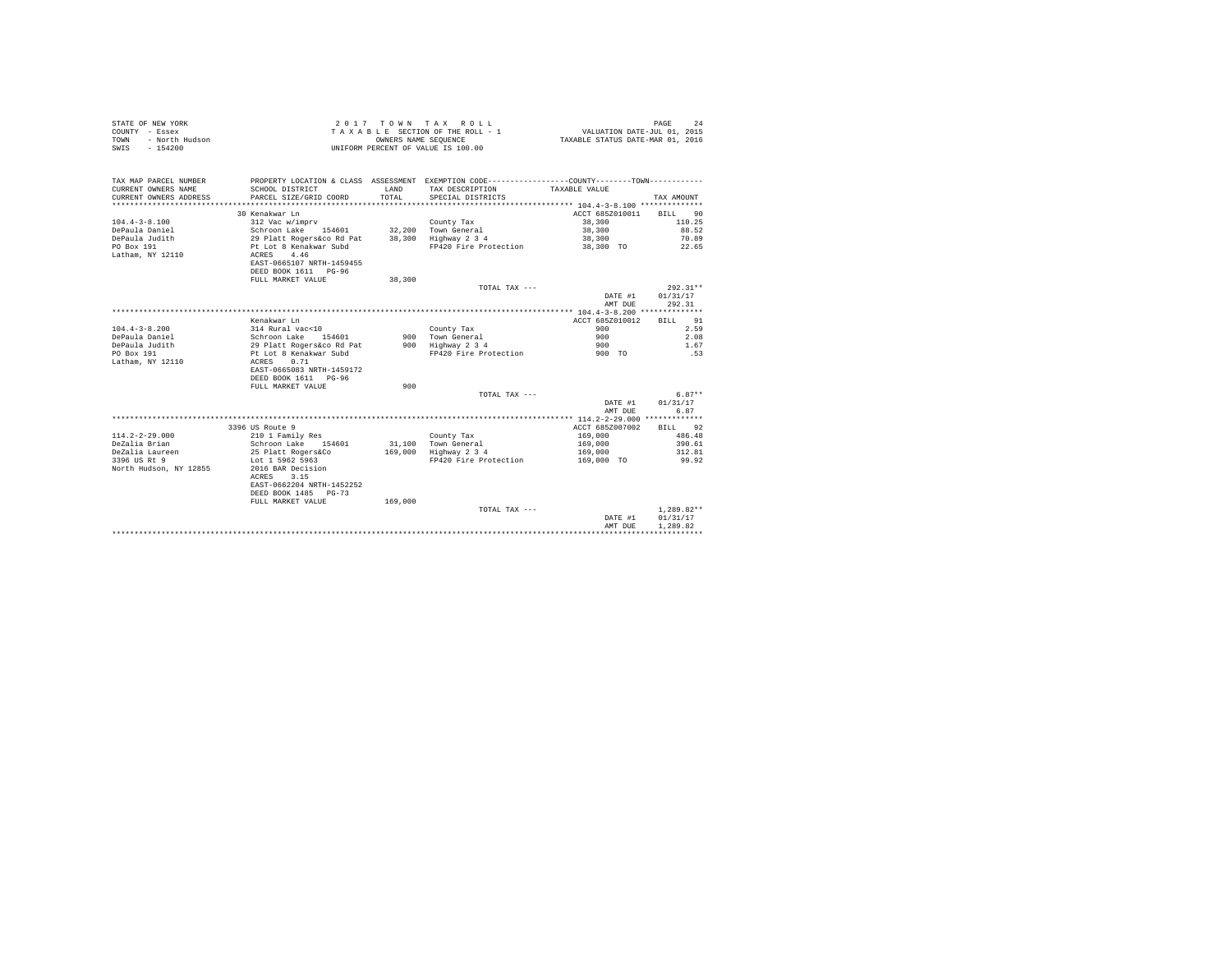| STATE OF NEW YORK<br>COUNTY - Essex<br>- North Hudson<br><b>TOWN</b><br>$-154200$<br>SWIS |                                                  |         | 2017 TOWN TAX ROLL<br>TAXABLE SECTION OF THE ROLL - 1<br>OWNERS NAME SEQUENCE<br>UNIFORM PERCENT OF VALUE IS 100.00 | FAGE 24<br>VALUATION DATE-JUL 01, 2015<br>TAXABLE STATUS DATE-MAR 01, 2016 | PAGE<br>2.4  |
|-------------------------------------------------------------------------------------------|--------------------------------------------------|---------|---------------------------------------------------------------------------------------------------------------------|----------------------------------------------------------------------------|--------------|
| TAX MAP PARCEL NUMBER                                                                     |                                                  |         | PROPERTY LOCATION & CLASS ASSESSMENT EXEMPTION CODE---------------COUNTY-------TOWN----------                       |                                                                            |              |
| CURRENT OWNERS NAME                                                                       | SCHOOL DISTRICT                                  | LAND    | TAX DESCRIPTION                                                                                                     | TAXABLE VALUE                                                              |              |
| CURRENT OWNERS ADDRESS                                                                    | PARCEL SIZE/GRID COORD                           | TOTAL   | SPECIAL DISTRICTS                                                                                                   |                                                                            | TAX AMOUNT   |
|                                                                                           |                                                  |         |                                                                                                                     |                                                                            |              |
|                                                                                           | 30 Kenakwar Ln                                   |         |                                                                                                                     | ACCT 685Z010011                                                            | BILL 90      |
| $104.4 - 3 - 8.100$                                                                       | 312 Vac w/imprv                                  |         | County Tax                                                                                                          | 38,300                                                                     | 110.25       |
| DePaula Daniel                                                                            | Schroon Lake 154601                              |         | 32.200 Town General                                                                                                 | 38,300                                                                     | 88.52        |
| DePaula Judith                                                                            | 29 Platt Rogers&co Rd Pat 38,300 Highway 2 3 4   |         |                                                                                                                     | 38,300                                                                     | 70.89        |
| PO Box 191                                                                                | Pt Lot 8 Kenakwar Subd                           |         | FP420 Fire Protection                                                                                               | 38,300 TO                                                                  | 22.65        |
| Latham, NY 12110                                                                          | ACRES 4.46                                       |         |                                                                                                                     |                                                                            |              |
|                                                                                           | EAST-0665107 NRTH-1459455                        |         |                                                                                                                     |                                                                            |              |
|                                                                                           | DEED BOOK 1611 PG-96                             |         |                                                                                                                     |                                                                            |              |
|                                                                                           | FULL MARKET VALUE                                | 38,300  |                                                                                                                     |                                                                            |              |
|                                                                                           |                                                  |         | TOTAL TAX ---                                                                                                       |                                                                            | $292.31**$   |
|                                                                                           |                                                  |         |                                                                                                                     | DATE #1                                                                    | 01/31/17     |
|                                                                                           |                                                  |         |                                                                                                                     | AMT DUE                                                                    | 292.31       |
|                                                                                           |                                                  |         |                                                                                                                     |                                                                            |              |
|                                                                                           | Kenakwar Ln                                      |         |                                                                                                                     | ACCT 685Z010012                                                            | BILL 91      |
| $104.4 - 3 - 8.200$                                                                       | 314 Rural vac<10                                 |         | County Tax                                                                                                          | 900<br>900                                                                 | 2.59         |
| DePaula Daniel<br>DePaula Judith                                                          | Schroon Lake 154601<br>29 Platt Rogers&co Rd Pat |         | 900 Town General<br>900 Highway 2 3 4                                                                               | 900                                                                        | 2.08<br>1.67 |
| PO Box 191                                                                                | Pt Lot 8 Kenakwar Subd                           |         | FP420 Fire Protection                                                                                               | 900 TO                                                                     | .53          |
| Latham, NY 12110                                                                          | ACRES 0.71                                       |         |                                                                                                                     |                                                                            |              |
|                                                                                           | EAST-0665083 NRTH-1459172                        |         |                                                                                                                     |                                                                            |              |
|                                                                                           | DEED BOOK 1611 PG-96                             |         |                                                                                                                     |                                                                            |              |
|                                                                                           | FULL MARKET VALUE                                | 900     |                                                                                                                     |                                                                            |              |
|                                                                                           |                                                  |         | TOTAL TAX ---                                                                                                       |                                                                            | $6.87**$     |
|                                                                                           |                                                  |         |                                                                                                                     | DATE #1                                                                    | 01/31/17     |
|                                                                                           |                                                  |         |                                                                                                                     | AMT DUE                                                                    | 6.87         |
|                                                                                           |                                                  |         |                                                                                                                     |                                                                            |              |
|                                                                                           | 3396 US Route 9                                  |         |                                                                                                                     | ACCT 685Z007002                                                            | BILL 92      |
| $114.2 - 2 - 29.000$                                                                      | 210 1 Family Res                                 |         | County Tax                                                                                                          | 169,000                                                                    | 486.48       |
| DeZalia Brian                                                                             | Schroon Lake 154601                              |         | 31.100 Town General                                                                                                 | 169,000                                                                    | 390.61       |
| DeZalia Laureen                                                                           | 25 Platt Rogers&Co                               |         | 169,000 Highway 2 3 4                                                                                               | 169,000                                                                    | 312.81       |
| 3396 US Rt 9                                                                              | Lot 1 5962 5963                                  |         | FP420 Fire Protection                                                                                               | 169,000 TO                                                                 | 99.92        |
| North Hudson, NY 12855                                                                    | 2016 BAR Decision                                |         |                                                                                                                     |                                                                            |              |
|                                                                                           | ACRES 3.15                                       |         |                                                                                                                     |                                                                            |              |
|                                                                                           | EAST-0662204 NRTH-1452252                        |         |                                                                                                                     |                                                                            |              |
|                                                                                           | DEED BOOK 1485 PG-73                             |         |                                                                                                                     |                                                                            |              |
|                                                                                           | FULL MARKET VALUE                                | 169,000 |                                                                                                                     |                                                                            |              |
|                                                                                           |                                                  |         | TOTAL TAX ---                                                                                                       |                                                                            | $1,289.82**$ |
|                                                                                           |                                                  |         |                                                                                                                     | DATE #1                                                                    | 01/31/17     |
|                                                                                           |                                                  |         |                                                                                                                     | AMT DUR                                                                    | 1,289.82     |
|                                                                                           |                                                  |         |                                                                                                                     |                                                                            |              |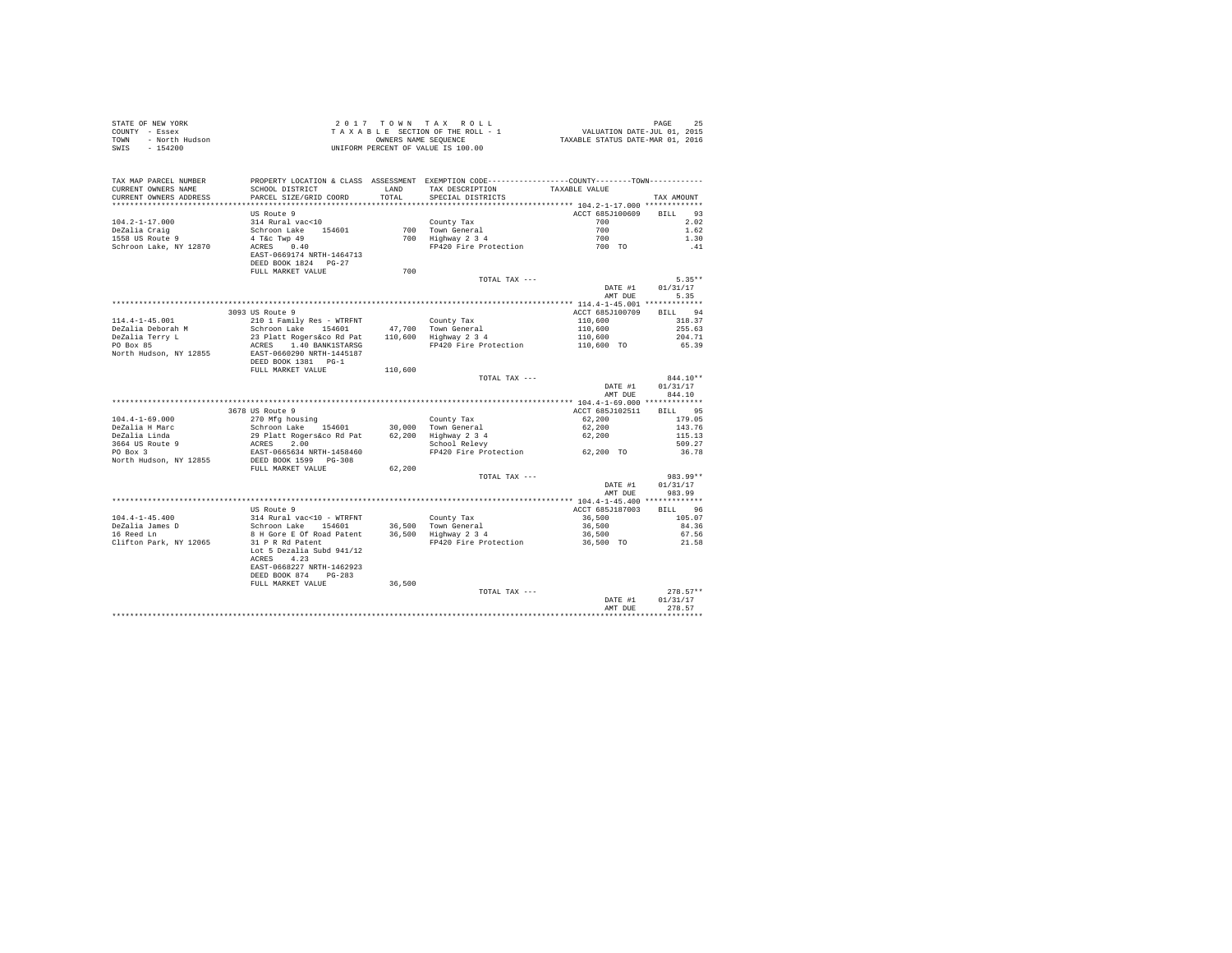| STATE OF NEW YORK      |                              |            | 2017 TOWN TAX ROLL                                        |                                  | 25<br>PAGE                  |
|------------------------|------------------------------|------------|-----------------------------------------------------------|----------------------------------|-----------------------------|
| COUNTY<br>- Essex      |                              |            | TAXABLE SECTION OF THE ROLL - 1                           |                                  | VALUATION DATE-JUL 01, 2015 |
| - North Hudson<br>TOWN |                              |            | OWNERS NAME SEQUENCE                                      | TAXABLE STATUS DATE-MAR 01, 2016 |                             |
| $-154200$<br>SWIS      |                              |            | UNIFORM PERCENT OF VALUE IS 100.00                        |                                  |                             |
|                        |                              |            |                                                           |                                  |                             |
|                        |                              |            |                                                           |                                  |                             |
|                        |                              |            |                                                           |                                  |                             |
| TAX MAP PARCEL NUMBER  | PROPERTY LOCATION & CLASS    | ASSESSMENT | EXEMPTION CODE----------------COUNTY-------TOWN---------- |                                  |                             |
| CURRENT OWNERS NAME    | SCHOOL DISTRICT              | LAND       | TAX DESCRIPTION                                           | TAXABLE VALUE                    |                             |
| CURRENT OWNERS ADDRESS | PARCEL SIZE/GRID COORD TOTAL |            | SPECIAL DISTRICTS                                         |                                  | TAX AMOUNT                  |
|                        |                              |            |                                                           |                                  |                             |
|                        | US Route 9                   |            |                                                           | ACCT 685J100609                  | 93<br><b>BILL</b>           |
| 104.2-1-17.000         | 314 Rural vac<10             |            | County Tax                                                | 700                              | 2.02                        |
| DeZalia Craig          | Schroon Lake 154601          | 700        | Town General                                              | 700                              | 1.62                        |
| 1558 US Route 9        | 4 T&c Twp 49                 | 700        | Highway 2 3 4                                             | 700                              | 1.30                        |
| Schroon Lake, NY 12870 | 0.40<br>ACRES                |            | FP420 Fire Protection                                     | 700 TO                           | .41                         |
|                        | EAST-0669174 NRTH-1464713    |            |                                                           |                                  |                             |
|                        | DEED BOOK 1824 PG-27         |            |                                                           |                                  |                             |
|                        | meet to acknowledge that the | 700        |                                                           |                                  |                             |

|                        | FULL MARKET VALUE         | 700     |                       |                 |                   |
|------------------------|---------------------------|---------|-----------------------|-----------------|-------------------|
|                        |                           |         | TOTAL TAX ---         |                 | $5.35**$          |
|                        |                           |         |                       | DATE #1         | 01/31/17          |
|                        |                           |         |                       | AMT DUE         | 5.35              |
|                        |                           |         |                       |                 |                   |
|                        | 3093 US Route 9           |         |                       |                 |                   |
|                        |                           |         |                       | ACCT 685J100709 | 94<br><b>BILL</b> |
| $114.4 - 1 - 45.001$   | 210 1 Family Res - WTRFNT |         | County Tax            | 110,600         | 318.37            |
| DeZalia Deborah M      | Schroon Lake 154601       |         | 47,700 Town General   | 110,600         | 255.63            |
| DeZalia Terry L        | 23 Platt Rogers&co Rd Pat |         | 110,600 Highway 2 3 4 | 110,600         | 204.71            |
| PO Box 85              | ACRES 1.40 BANK1STARSG    |         | FP420 Fire Protection | 110,600 TO      | 65.39             |
| North Hudson, NY 12855 | EAST-0660290 NRTH-1445187 |         |                       |                 |                   |
|                        | DEED BOOK 1381 PG-1       |         |                       |                 |                   |
|                        | FULL MARKET VALUE         | 110,600 |                       |                 |                   |
|                        |                           |         | TOTAL TAX ---         |                 | 844.10**          |
|                        |                           |         |                       | DATE #1         | 01/31/17          |
|                        |                           |         |                       | AMT DUE         | 844.10            |
|                        |                           |         |                       |                 |                   |
|                        | 3678 US Route 9           |         |                       | ACCT 685J102511 | 95<br>BILL        |
| $104.4 - 1 - 69.000$   | 270 Mfg housing           |         | County Tax            | 62,200          | 179.05            |
| DeZalia H Marc         | Schroon Lake 154601       |         | 30,000 Town General   | 62,200          | 143.76            |
| DeZalia Linda          | 29 Platt Rogers&co Rd Pat |         | 62,200 Highway 2 3 4  | 62,200          | 115.13            |
| 3664 US Route 9        | ACRES<br>2.00             |         | School Relevy         |                 | 509.27            |
|                        |                           |         | FP420 Fire Protection |                 | 36.78             |
| PO Box 3               | EAST-0665634 NRTH-1458460 |         |                       | 62.200 TO       |                   |
| North Hudson, NY 12855 | DEED BOOK 1599 PG-308     |         |                       |                 |                   |
|                        | FULL MARKET VALUE         | 62,200  |                       |                 |                   |
|                        |                           |         | TOTAL TAX ---         |                 | 983.99**          |
|                        |                           |         |                       | DATE #1         | 01/31/17          |
|                        |                           |         |                       | AMT DUE         | 983.99            |
|                        |                           |         |                       |                 |                   |
|                        | US Route 9                |         |                       | ACCT 685J187003 | 96<br><b>BILL</b> |
| $104.4 - 1 - 45.400$   | 314 Rural vac<10 - WTRFNT |         | County Tax            | 36,500          | 105.07            |
| DeZalia James D        | 154601<br>Schroon Lake    |         | 36,500 Town General   | 36,500          | 84.36             |
| 16 Reed Ln             | 8 H Gore E Of Road Patent |         | 36,500 Highway 2 3 4  | 36,500          | 67.56             |
| Clifton Park, NY 12065 | 31 P R Rd Patent          |         | FP420 Fire Protection | 36,500 TO       | 21.58             |
|                        | Lot 5 Dezalia Subd 941/12 |         |                       |                 |                   |
|                        | ACRES<br>4.23             |         |                       |                 |                   |
|                        | EAST-0668227 NRTH-1462923 |         |                       |                 |                   |
|                        | DEED BOOK 874<br>$PG-283$ |         |                       |                 |                   |
|                        | FULL MARKET VALUE         | 36,500  |                       |                 |                   |
|                        |                           |         | TOTAL TAX ---         |                 | $278.57**$        |
|                        |                           |         |                       | DATE #1         | 01/31/17          |
|                        |                           |         |                       | AMT DUE         | 278.57            |
|                        |                           |         |                       |                 |                   |
|                        |                           |         |                       |                 |                   |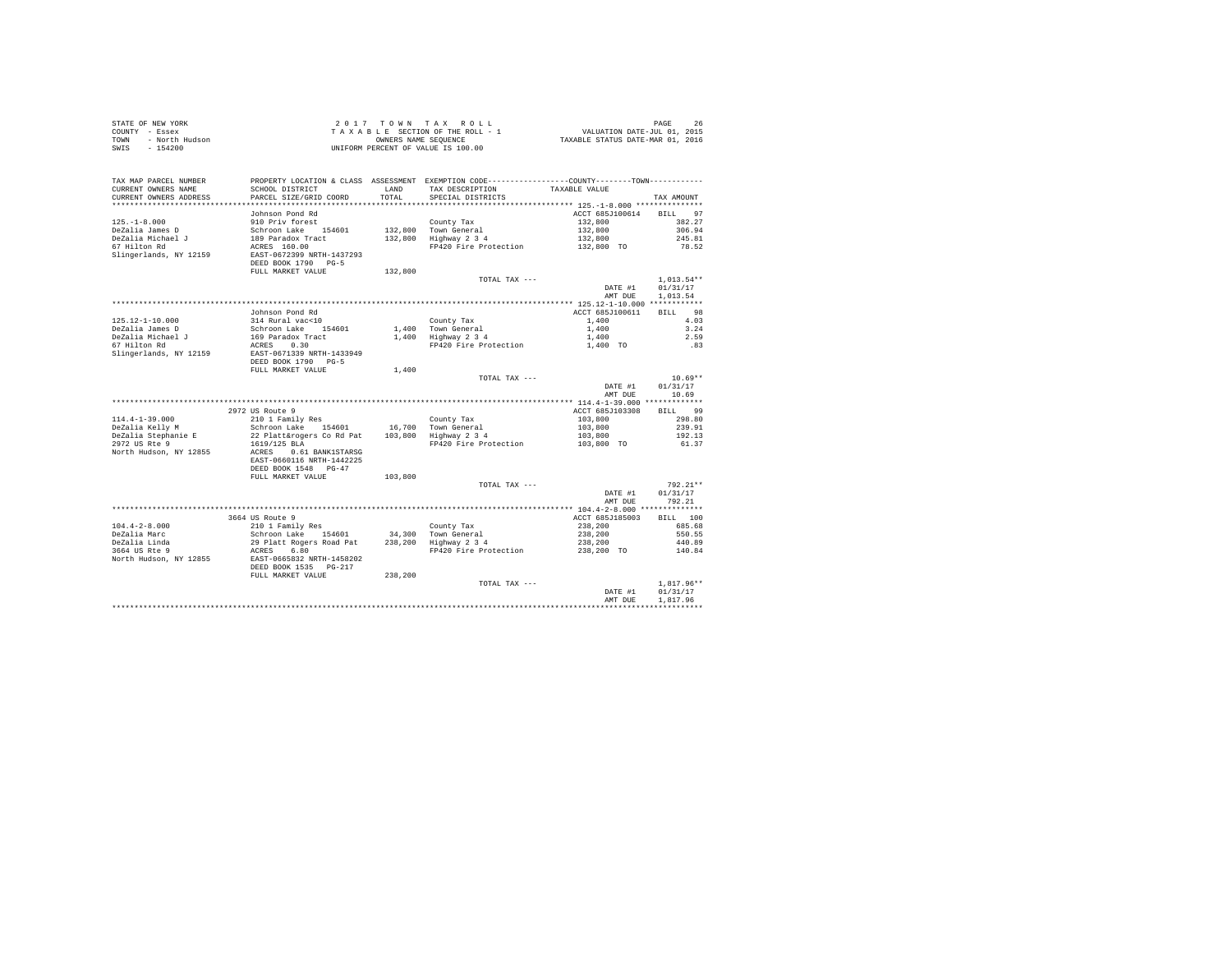| SWIS - 154200                                                          |                                                                                             |               | 2017 TOWN TAX ROLL<br>$\begin{array}{cccccc} 2&0&1&7&7&0&\text{W} &\text{N} &\text{R} &\text{R} &\text{S} &\text{R} &\text{R} &\text{S} &\text{R} &\text{R} \\ \text{T} & \text{A} & \text{A} & \text{B} & \text{E} & \text{C} & \text{T} & \text{B} & \text{R} & \text{D} & \text{A} & \text{D} & \text{A} & \text{D} & \text{M} & \text{D} & \text{M} & \text{D} & \text{M} & \text{D} & \text{M} & \text{D} & \text{M} & \text{$<br>UNIFORM PERCENT OF VALUE IS 100.00 |                                                     |                      |
|------------------------------------------------------------------------|---------------------------------------------------------------------------------------------|---------------|---------------------------------------------------------------------------------------------------------------------------------------------------------------------------------------------------------------------------------------------------------------------------------------------------------------------------------------------------------------------------------------------------------------------------------------------------------------------------|-----------------------------------------------------|----------------------|
| TAX MAP PARCEL NUMBER<br>CURRENT OWNERS NAME<br>CURRENT OWNERS ADDRESS | SCHOOL DISTRICT<br>PARCEL SIZE/GRID COORD                                                   | LAND<br>TOTAL | PROPERTY LOCATION & CLASS ASSESSMENT EXEMPTION CODE---------------COUNTY-------TOWN---------<br>TAX DESCRIPTION<br>SPECIAL DISTRICTS                                                                                                                                                                                                                                                                                                                                      | TAXABLE VALUE                                       | TAX AMOUNT           |
|                                                                        |                                                                                             |               |                                                                                                                                                                                                                                                                                                                                                                                                                                                                           |                                                     |                      |
| $125. - 1 - 8.000$                                                     | Johnson Pond Rd<br>910 Priv forest                                                          |               |                                                                                                                                                                                                                                                                                                                                                                                                                                                                           | ACCT 685J100614 BILL 97<br>132,800                  | 382.27               |
| DeZalia James D                                                        |                                                                                             |               | County Tax<br>County Tax<br>132,800 Town General<br>132,800 Highway 2 3 4                                                                                                                                                                                                                                                                                                                                                                                                 | 132,800                                             | 306.94               |
| DeZalia Michael J                                                      |                                                                                             |               |                                                                                                                                                                                                                                                                                                                                                                                                                                                                           | 132,800                                             | 245.81               |
| 67 Hilton Rd                                                           | Schroon Lake 154601<br>189 Paradox Tract<br>ACRES 160.00                                    |               | FP420 Fire Protection                                                                                                                                                                                                                                                                                                                                                                                                                                                     | 132,800 TO                                          | 78.52                |
| Slingerlands, NY 12159                                                 | EAST-0672399 NRTH-1437293<br>DEED BOOK 1790 PG-5<br>FULL MARKET VALUE                       | 132,800       |                                                                                                                                                                                                                                                                                                                                                                                                                                                                           |                                                     |                      |
|                                                                        |                                                                                             |               | TOTAL TAX ---                                                                                                                                                                                                                                                                                                                                                                                                                                                             |                                                     | $1.013.54**$         |
|                                                                        |                                                                                             |               |                                                                                                                                                                                                                                                                                                                                                                                                                                                                           | DATE #1<br>AMT DUE                                  | 01/31/17<br>1,013.54 |
|                                                                        |                                                                                             |               |                                                                                                                                                                                                                                                                                                                                                                                                                                                                           |                                                     |                      |
|                                                                        | Johnson Pond Rd                                                                             |               |                                                                                                                                                                                                                                                                                                                                                                                                                                                                           | ACCT 685J100611                                     | BILL 98              |
| $125.12 - 1 - 10.000$                                                  | 314 Rural vacc10<br>Schroon Lake 154601<br>169 Paradox Tract<br>ACRES 0.30                  |               | County Tax<br>1,400 Town General<br>1,400 Highway 2 3 4                                                                                                                                                                                                                                                                                                                                                                                                                   | 1,400<br>1,400                                      | 4.03<br>3.24         |
| DeZalia James D<br>DeZalia Michael J<br>67 Hilton Rd                   |                                                                                             |               |                                                                                                                                                                                                                                                                                                                                                                                                                                                                           | 1,400                                               | 2.59                 |
|                                                                        |                                                                                             |               | FP420 Fire Protection                                                                                                                                                                                                                                                                                                                                                                                                                                                     | 1,400 TO                                            | .83                  |
| Slingerlands, NY 12159                                                 | EAST-0671339 NRTH-1433949<br>DEED BOOK 1790 PG-5<br>FULL MARKET VALUE                       | 1,400         |                                                                                                                                                                                                                                                                                                                                                                                                                                                                           |                                                     |                      |
|                                                                        |                                                                                             |               | TOTAL TAX ---                                                                                                                                                                                                                                                                                                                                                                                                                                                             |                                                     | $10.69**$            |
|                                                                        |                                                                                             |               |                                                                                                                                                                                                                                                                                                                                                                                                                                                                           | DATE #1                                             | 01/31/17             |
|                                                                        |                                                                                             |               |                                                                                                                                                                                                                                                                                                                                                                                                                                                                           | AMT DUE                                             | 10.69                |
|                                                                        | 2972 US Route 9                                                                             |               |                                                                                                                                                                                                                                                                                                                                                                                                                                                                           | ACCT 685J103308                                     | BILL 99              |
| $114.4 - 1 - 39.000$                                                   | 210 1 Family Res                                                                            |               | County Tax<br>16,700 Town General<br>103,800 Highway 2 3 4                                                                                                                                                                                                                                                                                                                                                                                                                |                                                     | 298.80               |
| DeZalia Kelly M                                                        | Schroon Lake 154601                                                                         |               |                                                                                                                                                                                                                                                                                                                                                                                                                                                                           |                                                     | 239.91               |
| DeZalia Stephanie E                                                    | 22 Platt&rogers Co Rd Pat                                                                   |               |                                                                                                                                                                                                                                                                                                                                                                                                                                                                           | $103,800$<br>$103,800$<br>$103,800$<br>$103,800$ TO | 192.13               |
| 2972 US Rte 9<br>North Hudson, NY 12855                                | 1619/125 BLA<br>ACRES 0.61 BANK1STARSG<br>EAST-0660116 NRTH-1442225<br>DEED BOOK 1548 PG-47 |               | FP420 Fire Protection                                                                                                                                                                                                                                                                                                                                                                                                                                                     |                                                     | 61.37                |
|                                                                        | FULL MARKET VALUE                                                                           | 103,800       |                                                                                                                                                                                                                                                                                                                                                                                                                                                                           |                                                     |                      |
|                                                                        |                                                                                             |               | TOTAL TAX ---                                                                                                                                                                                                                                                                                                                                                                                                                                                             |                                                     | 792.21**             |
|                                                                        |                                                                                             |               |                                                                                                                                                                                                                                                                                                                                                                                                                                                                           | DATE #1<br>AMT DUE                                  | 01/31/17<br>792.21   |
|                                                                        | 3664 US Route 9                                                                             |               |                                                                                                                                                                                                                                                                                                                                                                                                                                                                           | ACCT 685J185003                                     | BILL 100             |
| $104.4 - 2 - 8.000$                                                    | 210 1 Family Res                                                                            |               |                                                                                                                                                                                                                                                                                                                                                                                                                                                                           | 238,200                                             | 685.68               |
|                                                                        |                                                                                             |               |                                                                                                                                                                                                                                                                                                                                                                                                                                                                           |                                                     | 550.55               |
| DeZalia Marc<br>DeZalia Linda<br>3664 US Rte 9                         |                                                                                             |               |                                                                                                                                                                                                                                                                                                                                                                                                                                                                           |                                                     | 440.89               |
|                                                                        | ACRES 6.80                                                                                  |               | FP420 Fire Protection                                                                                                                                                                                                                                                                                                                                                                                                                                                     | $238, 200$<br>$238, 200$<br>$238, 200$ TO           | 140.84               |
| North Hudson, NY 12855                                                 | EAST-0665832 NRTH-1458202<br>DEED BOOK 1535 PG-217                                          |               |                                                                                                                                                                                                                                                                                                                                                                                                                                                                           |                                                     |                      |
|                                                                        | FULL MARKET VALUE                                                                           | 238,200       |                                                                                                                                                                                                                                                                                                                                                                                                                                                                           |                                                     | $1.817.96**$         |
|                                                                        |                                                                                             |               | TOTAL TAX ---                                                                                                                                                                                                                                                                                                                                                                                                                                                             | DATE #1                                             | 01/31/17             |
|                                                                        |                                                                                             |               |                                                                                                                                                                                                                                                                                                                                                                                                                                                                           | AMT DUE                                             | 1.817.96             |
|                                                                        |                                                                                             |               |                                                                                                                                                                                                                                                                                                                                                                                                                                                                           |                                                     |                      |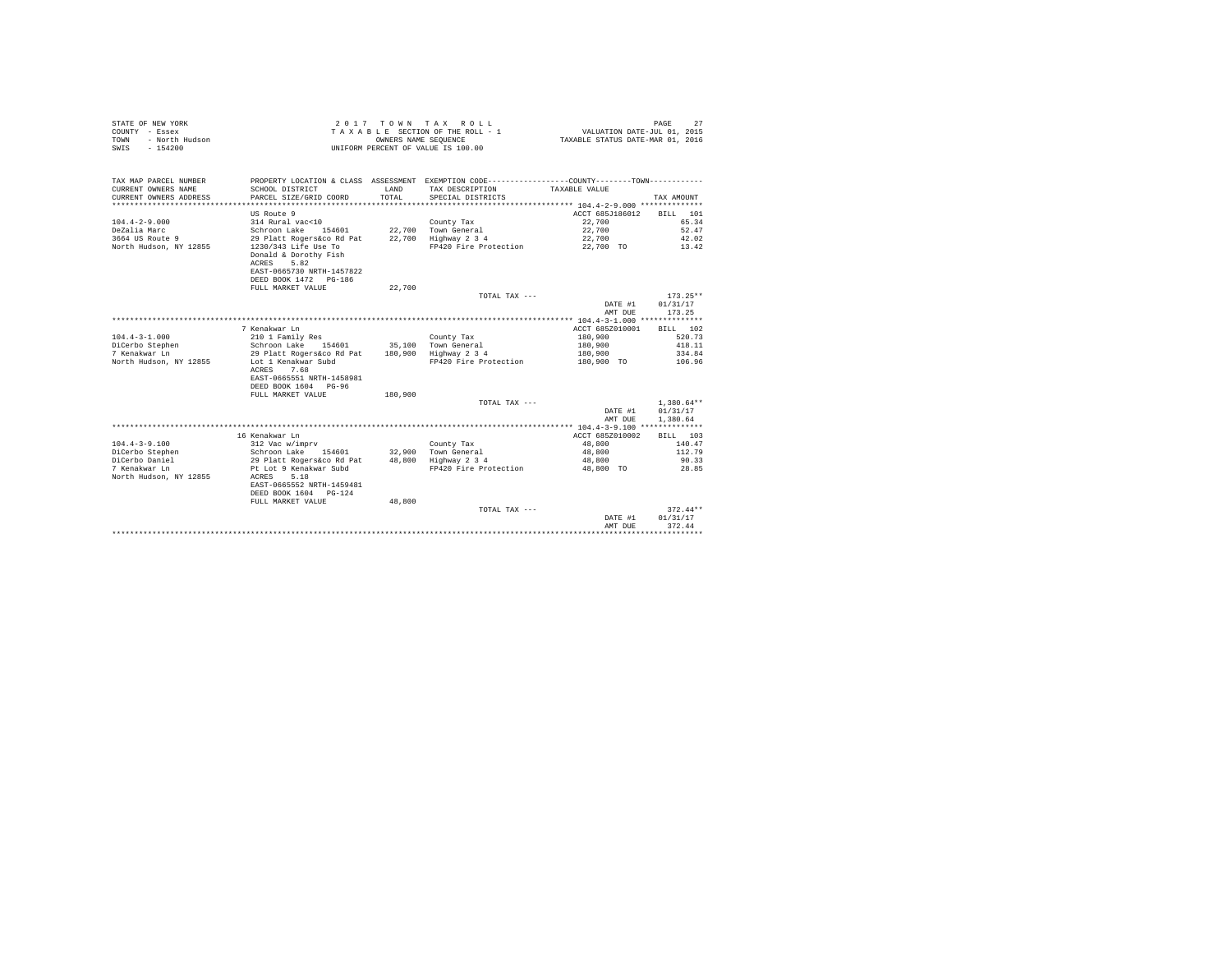|                | STATE OF NEW YORK | 2017 TOWN TAX ROLL                 |                      |  |                                  | PAGE                        |  |
|----------------|-------------------|------------------------------------|----------------------|--|----------------------------------|-----------------------------|--|
| COUNTY - Essex |                   | TAXABLE SECTION OF THE ROLL - 1    |                      |  |                                  | VALUATION DATE-JUL 01, 2015 |  |
| TOWN           | - North Hudson    |                                    | OWNERS NAME SEOUENCE |  | TAXABLE STATUS DATE-MAR 01, 2016 |                             |  |
| SWIS           | $-154200$         | UNIFORM PERCENT OF VALUE IS 100.00 |                      |  |                                  |                             |  |

| TAX MAP PARCEL NUMBER<br>CURRENT OWNERS NAME<br>CURRENT OWNERS ADDRESS | PROPERTY LOCATION & CLASS ASSESSMENT EXEMPTION CODE---------------COUNTY-------TOWN---------<br>SCHOOL DISTRICT<br>PARCEL SIZE/GRID COORD | <b>T.AND</b><br>TOTAL. | TAX DESCRIPTION<br>SPECIAL DISTRICTS | TAXABLE VALUE   | TAX AMOUNT   |
|------------------------------------------------------------------------|-------------------------------------------------------------------------------------------------------------------------------------------|------------------------|--------------------------------------|-----------------|--------------|
|                                                                        | US Route 9                                                                                                                                |                        |                                      | ACCT 685J186012 | BILL<br>101  |
| $104.4 - 2 - 9.000$                                                    | 314 Rural vac<10                                                                                                                          |                        | County Tax                           | 22,700          | 65.34        |
| DeZalia Marc                                                           | Schroon Lake<br>154601                                                                                                                    |                        | 22.700 Town General                  | 22,700          | 52.47        |
| 3664 US Route 9                                                        | 29 Platt Rogers&co Rd Pat                                                                                                                 | 22,700                 | Highway 2 3 4                        | 22,700          | 42.02        |
| North Hudson, NY 12855                                                 | 1230/343 Life Use To                                                                                                                      |                        | FP420 Fire Protection                | 22.700 TO       | 13.42        |
|                                                                        | Donald & Dorothy Fish<br>5.82<br>ACRES<br>EAST-0665730 NRTH-1457822                                                                       |                        |                                      |                 |              |
|                                                                        |                                                                                                                                           |                        |                                      |                 |              |
|                                                                        | DEED BOOK 1472 PG-186                                                                                                                     | 22,700                 |                                      |                 |              |
|                                                                        | FULL MARKET VALUE                                                                                                                         |                        |                                      |                 | $173.25**$   |
|                                                                        |                                                                                                                                           |                        | TOTAL TAX ---                        |                 |              |
|                                                                        |                                                                                                                                           |                        |                                      | DATE #1         | 01/31/17     |
|                                                                        |                                                                                                                                           |                        |                                      | AMT DUE         | 173.25       |
|                                                                        |                                                                                                                                           |                        |                                      |                 |              |
|                                                                        | 7 Kenakwar Ln                                                                                                                             |                        |                                      | ACCT 685Z010001 | BILL 102     |
| $104.4 - 3 - 1.000$                                                    | 210 1 Family Res                                                                                                                          |                        | County Tax                           | 180,900         | 520.73       |
| DiCerbo Stephen                                                        | Schroon Lake<br>154601                                                                                                                    |                        | 35.100 Town General                  | 180,900         | 418.11       |
| 7 Kenakwar Ln                                                          | 29 Platt Rogers&co Rd Pat                                                                                                                 |                        | 180,900 Highway 2 3 4                | 180,900         | 334.84       |
| North Hudson, NY 12855                                                 | Lot 1 Kenakwar Subd<br>ACRES<br>7.68<br>EAST-0665551 NRTH-1458981                                                                         |                        | FP420 Fire Protection                | 180,900 TO      | 106.96       |
|                                                                        | DEED BOOK 1604 PG-96                                                                                                                      |                        |                                      |                 |              |
|                                                                        | FULL MARKET VALUE                                                                                                                         | 180,900                |                                      |                 |              |
|                                                                        |                                                                                                                                           |                        | TOTAL TAX ---                        |                 | $1,380.64**$ |
|                                                                        |                                                                                                                                           |                        |                                      | DATE #1         | 01/31/17     |
|                                                                        |                                                                                                                                           |                        |                                      | AMT DUE         | 1,380.64     |
|                                                                        |                                                                                                                                           |                        |                                      |                 |              |
|                                                                        | 16 Kenakwar Ln                                                                                                                            |                        |                                      | ACCT 685Z010002 | BTLL 103     |
| $104.4 - 3 - 9.100$                                                    | 312 Vac w/imprv                                                                                                                           |                        | County Tax                           | 48,800          | 140.47       |
| DiCerbo Stephen                                                        | Schroon Lake<br>154601                                                                                                                    | 32,900                 | Town General                         | 48,800          | 112.79       |
| DiCerbo Daniel                                                         | 29 Platt Rogers&co Rd Pat                                                                                                                 | 48,800                 | Highway 2 3 4                        | 48,800          | 90.33        |
| 7 Kenakwar Ln                                                          | Pt Lot 9 Kenakwar Subd                                                                                                                    |                        | FP420 Fire Protection                | 48,800 TO       | 28.85        |
| North Hudson, NY 12855                                                 | ACRES<br>5.18                                                                                                                             |                        |                                      |                 |              |
|                                                                        | EAST-0665552 NRTH-1459481                                                                                                                 |                        |                                      |                 |              |
|                                                                        | DEED BOOK 1604 PG-124                                                                                                                     |                        |                                      |                 |              |
|                                                                        | FULL MARKET VALUE                                                                                                                         | 48,800                 |                                      |                 |              |
|                                                                        |                                                                                                                                           |                        | TOTAL TAX ---                        |                 | $372.44**$   |
|                                                                        |                                                                                                                                           |                        |                                      | DATE #1         | 01/31/17     |
|                                                                        |                                                                                                                                           |                        |                                      | AMT DUE         | 372.44       |
|                                                                        |                                                                                                                                           |                        |                                      |                 |              |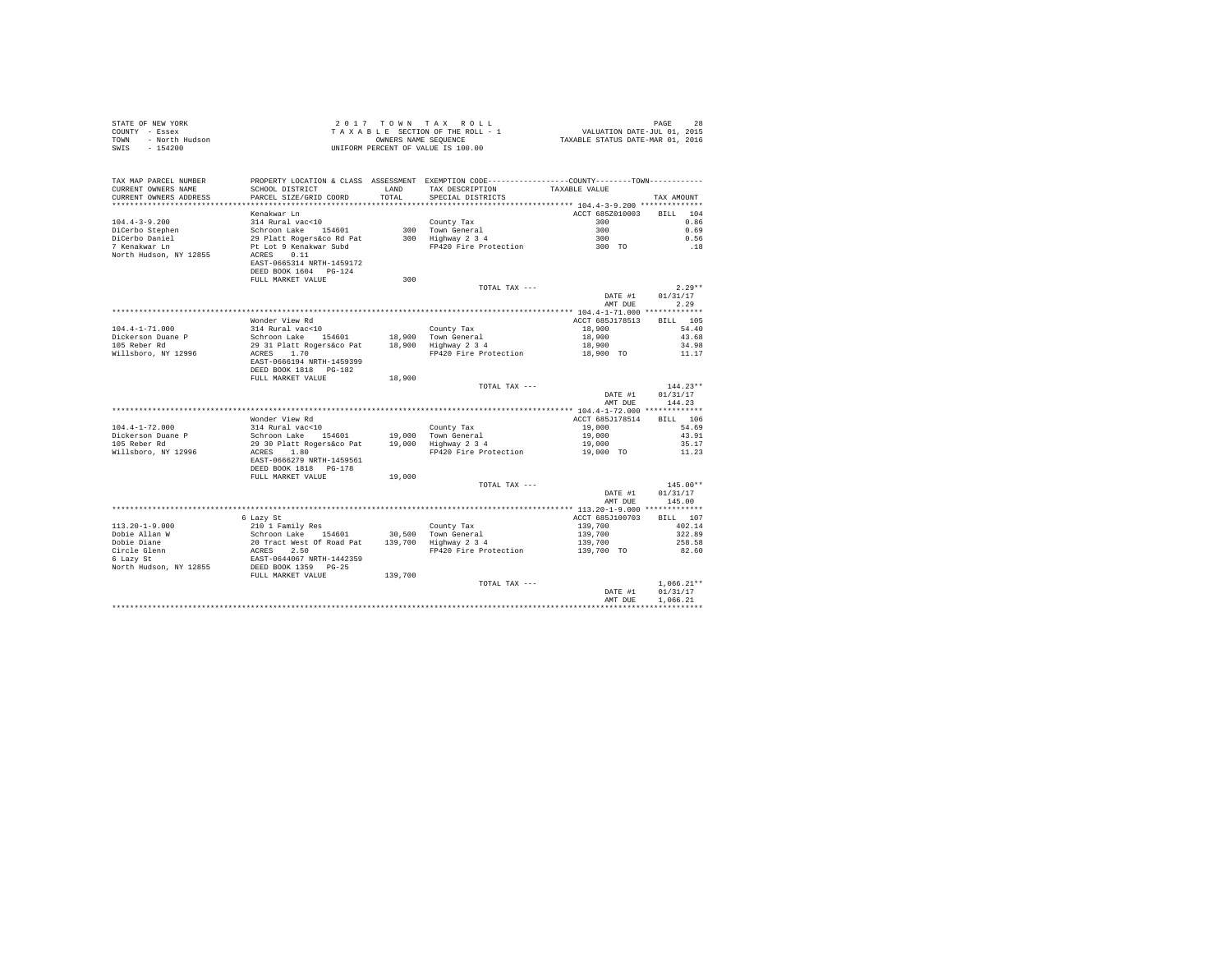| COUNTY - Essex<br>TOWN<br>- North Hudson<br>$-154200$<br>SWIS                                                                                                                                                                          | T A X A B L E SECTION OF THE ROLL - 1<br>OWNERS NAME SENGER SEQUENCE<br>UNIFORM PERCENT OF VALUE IS 100.00                                                                                                                                  |               |                                                                                                 |                    |                  |
|----------------------------------------------------------------------------------------------------------------------------------------------------------------------------------------------------------------------------------------|---------------------------------------------------------------------------------------------------------------------------------------------------------------------------------------------------------------------------------------------|---------------|-------------------------------------------------------------------------------------------------|--------------------|------------------|
|                                                                                                                                                                                                                                        |                                                                                                                                                                                                                                             |               |                                                                                                 |                    |                  |
|                                                                                                                                                                                                                                        |                                                                                                                                                                                                                                             |               |                                                                                                 |                    |                  |
| TAX MAP PARCEL NUMBER                                                                                                                                                                                                                  |                                                                                                                                                                                                                                             |               | PROPERTY LOCATION & CLASS ASSESSMENT EXEMPTION CODE----------------COUNTY--------TOWN---------- |                    |                  |
| CURRENT OWNERS NAME<br>CURRENT OWNERS ADDRESS                                                                                                                                                                                          | SCHOOL DISTRICT<br>PARCEL SIZE/GRID COORD                                                                                                                                                                                                   | LAND<br>TOTAL | TAX DESCRIPTION TAXABLE VALUE<br>SPECIAL DISTRICTS                                              |                    | TAX AMOUNT       |
|                                                                                                                                                                                                                                        |                                                                                                                                                                                                                                             |               |                                                                                                 |                    |                  |
|                                                                                                                                                                                                                                        | Kenakwar Ln                                                                                                                                                                                                                                 |               |                                                                                                 | ACCT 685Z010003    | BILL 104         |
| $104.4 - 3 - 9.200$                                                                                                                                                                                                                    | 314 Rural vac<10                                                                                                                                                                                                                            |               |                                                                                                 |                    | 0.86             |
|                                                                                                                                                                                                                                        |                                                                                                                                                                                                                                             |               | County Tax 300<br>300 Town General 300<br>300 Highway 2 3 4 300<br>PP420 Fire Protection 300 TO |                    | 0.69             |
|                                                                                                                                                                                                                                        |                                                                                                                                                                                                                                             |               |                                                                                                 |                    | 0.56             |
| DiCerbo Stephen<br>DiCerbo Daniel<br>7 Kenakwar Ln                                                                                                                                                                                     |                                                                                                                                                                                                                                             |               |                                                                                                 |                    | .18              |
| North Hudson, NY 12855                                                                                                                                                                                                                 |                                                                                                                                                                                                                                             |               |                                                                                                 |                    |                  |
|                                                                                                                                                                                                                                        | EAST-0665314 NRTH-1459172                                                                                                                                                                                                                   |               |                                                                                                 |                    |                  |
|                                                                                                                                                                                                                                        | DEED BOOK 1604 PG-124                                                                                                                                                                                                                       |               |                                                                                                 |                    |                  |
|                                                                                                                                                                                                                                        | FULL MARKET VALUE                                                                                                                                                                                                                           | 300           |                                                                                                 |                    |                  |
|                                                                                                                                                                                                                                        |                                                                                                                                                                                                                                             |               | TOTAL TAX ---                                                                                   |                    | $2.29**$         |
|                                                                                                                                                                                                                                        |                                                                                                                                                                                                                                             |               |                                                                                                 | DATE #1<br>AMT DUE | 01/31/17<br>2.29 |
|                                                                                                                                                                                                                                        |                                                                                                                                                                                                                                             |               |                                                                                                 |                    |                  |
|                                                                                                                                                                                                                                        | Wonder View Rd                                                                                                                                                                                                                              |               |                                                                                                 | ACCT 685J178513    | BILL 105         |
| $104.4 - 1 - 71.000$                                                                                                                                                                                                                   | 314 Rural vac<10                                                                                                                                                                                                                            |               | County Tax                                                                                      | 18,900             | 54.40            |
| Dickerson Duane P                                                                                                                                                                                                                      |                                                                                                                                                                                                                                             |               |                                                                                                 | 18,900             | 43.68            |
| 105 Reber Rd                                                                                                                                                                                                                           |                                                                                                                                                                                                                                             |               |                                                                                                 | 18,900             | 34.98            |
| Willsboro, NY 12996                                                                                                                                                                                                                    | 314 Kurai Vaccio<br>Schroon Lake 154601 18,900 Town General<br>29 31 Platt Rogers&co Pat 18,900 Highway 2 3 4<br>ACRES 1.70<br>EAST-0666194 NRTH-1459399                                                                                    |               | FP420 Fire Protection                                                                           | 18,900 TO          | 11.17            |
|                                                                                                                                                                                                                                        |                                                                                                                                                                                                                                             |               |                                                                                                 |                    |                  |
|                                                                                                                                                                                                                                        | DEED BOOK 1818 PG-182                                                                                                                                                                                                                       |               |                                                                                                 |                    |                  |
|                                                                                                                                                                                                                                        | FULL MARKET VALUE                                                                                                                                                                                                                           | 18,900        | TOTAL TAX ---                                                                                   |                    | $144.23**$       |
|                                                                                                                                                                                                                                        |                                                                                                                                                                                                                                             |               |                                                                                                 | DATE #1            | 01/31/17         |
|                                                                                                                                                                                                                                        |                                                                                                                                                                                                                                             |               |                                                                                                 | AMT DUE            | 144.23           |
|                                                                                                                                                                                                                                        |                                                                                                                                                                                                                                             |               |                                                                                                 |                    |                  |
|                                                                                                                                                                                                                                        | Wonder View Rd                                                                                                                                                                                                                              |               |                                                                                                 | ACCT 685J178514    | BILL 106         |
| $104.4 - 1 - 72.000$                                                                                                                                                                                                                   |                                                                                                                                                                                                                                             |               |                                                                                                 | 19,000             | 54.69            |
| Dickerson Duane P                                                                                                                                                                                                                      |                                                                                                                                                                                                                                             |               |                                                                                                 | 19,000             | 43.91            |
| 105 Reber Rd                                                                                                                                                                                                                           |                                                                                                                                                                                                                                             |               |                                                                                                 | 19,000             | 35.17            |
| Willsboro, NY 12996                                                                                                                                                                                                                    |                                                                                                                                                                                                                                             |               | FP420 Fire Protection 19,000 TO                                                                 |                    | 11.23            |
|                                                                                                                                                                                                                                        | 314 Rural vac<10 County Tax<br>Schroon Lake 154601 19,000 Town General<br>29 30 Platt Rogerskoo Pat<br>ACRES 1.80 FP420 Fire Protection<br>RATE-0666279 RRTH-1459561<br>RET-0666279 RRTH-1459561<br>PP420 Fire Protection<br>PP420 Fire Pro |               |                                                                                                 |                    |                  |
|                                                                                                                                                                                                                                        | DEED BOOK 1818 PG-178<br>FULL MARKET VALUE                                                                                                                                                                                                  | 19,000        |                                                                                                 |                    |                  |
|                                                                                                                                                                                                                                        |                                                                                                                                                                                                                                             |               | TOTAL TAX ---                                                                                   |                    | $145.00**$       |
|                                                                                                                                                                                                                                        |                                                                                                                                                                                                                                             |               |                                                                                                 | DATE #1            | 01/31/17         |
|                                                                                                                                                                                                                                        |                                                                                                                                                                                                                                             |               |                                                                                                 | AMT DUE            | 145.00           |
|                                                                                                                                                                                                                                        |                                                                                                                                                                                                                                             |               |                                                                                                 |                    |                  |
|                                                                                                                                                                                                                                        | 6 Lazy St                                                                                                                                                                                                                                   |               |                                                                                                 | ACCT 685J100703    | BILL 107         |
|                                                                                                                                                                                                                                        |                                                                                                                                                                                                                                             |               |                                                                                                 |                    | 402.14           |
|                                                                                                                                                                                                                                        |                                                                                                                                                                                                                                             |               |                                                                                                 |                    | 322.89           |
|                                                                                                                                                                                                                                        |                                                                                                                                                                                                                                             |               |                                                                                                 |                    | 258.58           |
|                                                                                                                                                                                                                                        |                                                                                                                                                                                                                                             |               |                                                                                                 |                    | 82.60            |
|                                                                                                                                                                                                                                        |                                                                                                                                                                                                                                             |               |                                                                                                 |                    |                  |
| 113.20-1-9.000 $\mu$ and y Schroon Lake 154601 30,500 Town General<br>Dobie Dim 8 Schroon Lake 154601 30,500 Town General<br>Circle Glenn 20 Tract West Of Road Pat 139,700 Highway 2 3 4<br>Circle Glenn 2CES 2.50<br>Schroom Schroen |                                                                                                                                                                                                                                             |               |                                                                                                 |                    |                  |
|                                                                                                                                                                                                                                        |                                                                                                                                                                                                                                             |               | TOTAL TAX ---                                                                                   |                    | $1.066.21**$     |
|                                                                                                                                                                                                                                        |                                                                                                                                                                                                                                             |               |                                                                                                 | DATE #1            | 01/31/17         |
|                                                                                                                                                                                                                                        |                                                                                                                                                                                                                                             |               |                                                                                                 | AMT DUE            | 1.066.21         |
|                                                                                                                                                                                                                                        |                                                                                                                                                                                                                                             |               |                                                                                                 |                    |                  |

STATE OF NEW YORK  $2017$   $70$   $W$   $T$  A X R O L L  $20$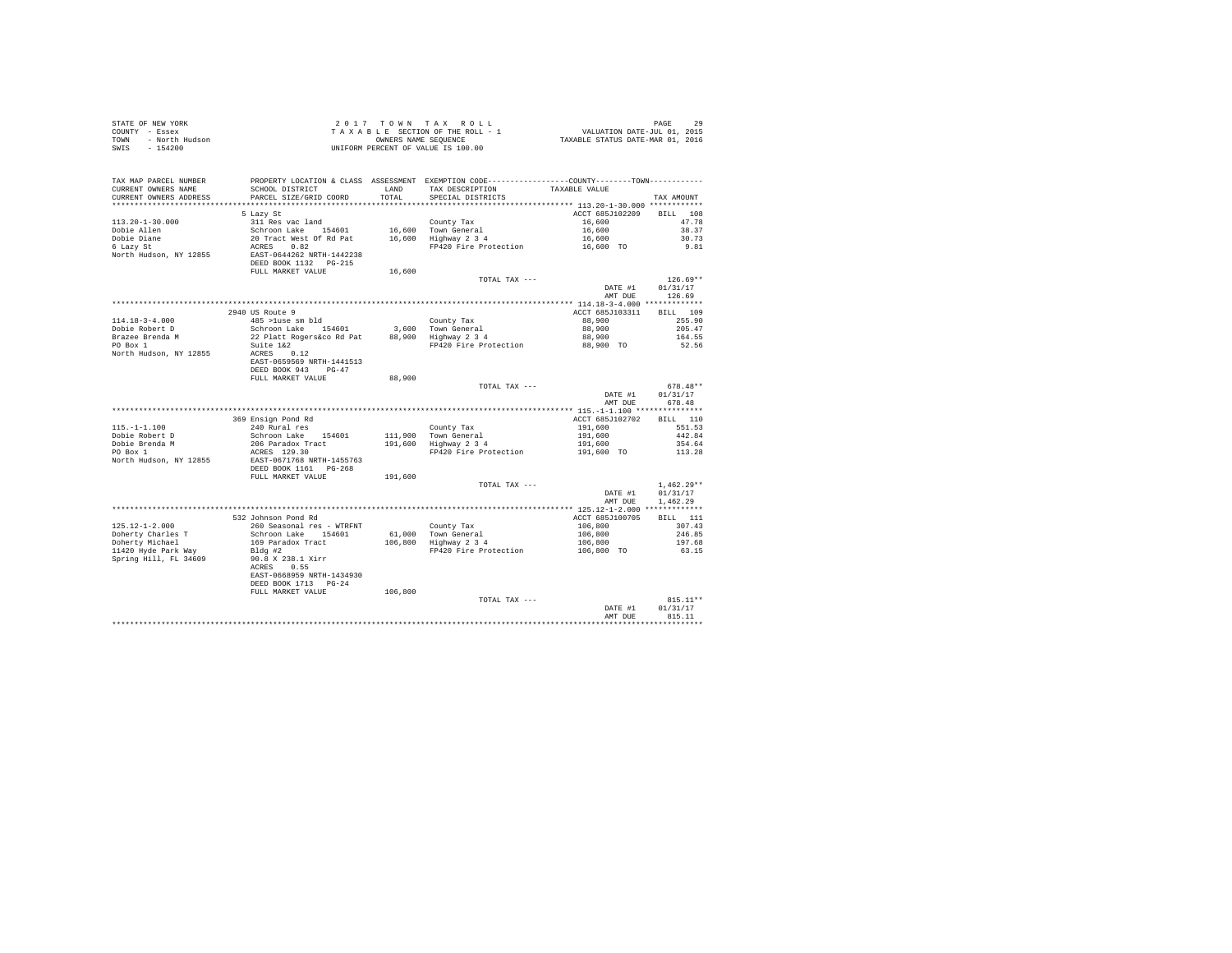|      | STATE OF NEW YORK | 2017 TOWN TAX ROLL                 | 29<br>PAGE                       |  |
|------|-------------------|------------------------------------|----------------------------------|--|
|      | COUNTY - Essex    | TAXABLE SECTION OF THE ROLL - 1    | VALUATION DATE-JUL 01, 2015      |  |
| TOWN | - North Hudson    | OWNERS NAME SEOUENCE               | TAXABLE STATUS DATE-MAR 01, 2016 |  |
| SWIS | - 154200          | UNIFORM PERCENT OF VALUE IS 100.00 |                                  |  |

| TAX MAP PARCEL NUMBER<br>CURRENT OWNERS NAME<br>CURRENT OWNERS ADDRESS | SCHOOL DISTRICT<br>PARCEL SIZE/GRID COORD                                                                                         | LAND<br>TOTAL | PROPERTY LOCATION & CLASS ASSESSMENT EXEMPTION CODE---------------COUNTY-------TOWN---------<br>TAX DESCRIPTION<br>SPECIAL DISTRICTS | TAXABLE VALUE      | TAX AMOUNT         |
|------------------------------------------------------------------------|-----------------------------------------------------------------------------------------------------------------------------------|---------------|--------------------------------------------------------------------------------------------------------------------------------------|--------------------|--------------------|
| ************************                                               |                                                                                                                                   |               |                                                                                                                                      |                    |                    |
|                                                                        | 5 Lazy St                                                                                                                         |               |                                                                                                                                      | ACCT 685J102209    | 108<br><b>BILL</b> |
| $113.20 - 1 - 30.000$                                                  |                                                                                                                                   |               | County Tax                                                                                                                           | 16,600             | 47.78              |
| Dobie Allen                                                            |                                                                                                                                   |               |                                                                                                                                      | 16,600             | 38.37              |
| Dobie Diane                                                            | 311 Res vac land<br>20 Tract West of Rd Pat<br>20 Tract West of Rd Pat<br>20 Tract West of Rd Pat<br>20 EAST-0644262 NRTH-1442238 |               | 16,600 Town General<br>16,600 Highway 2 3 4                                                                                          | 16,600             | 30.73              |
| 6 Lazy St                                                              |                                                                                                                                   |               | FP420 Fire Protection                                                                                                                | 16,600 TO          | 9.81               |
| North Hudson, NY 12855                                                 |                                                                                                                                   |               |                                                                                                                                      |                    |                    |
|                                                                        |                                                                                                                                   |               |                                                                                                                                      |                    |                    |
|                                                                        | DEED BOOK 1132 PG-215                                                                                                             |               |                                                                                                                                      |                    |                    |
|                                                                        | FULL MARKET VALUE                                                                                                                 | 16,600        |                                                                                                                                      |                    |                    |
|                                                                        |                                                                                                                                   |               | TOTAL TAX ---                                                                                                                        |                    | $126.69**$         |
|                                                                        |                                                                                                                                   |               |                                                                                                                                      | DATE #1            | 01/31/17           |
|                                                                        |                                                                                                                                   |               |                                                                                                                                      | AMT DUE            | 126.69             |
|                                                                        |                                                                                                                                   |               |                                                                                                                                      |                    |                    |
|                                                                        | 2940 US Route 9                                                                                                                   |               |                                                                                                                                      | ACCT 685J103311    | BILL 109           |
| $114.18 - 3 - 4.000$                                                   | $485$ >luse sm bld                                                                                                                |               | County Tax                                                                                                                           | 88,900             | 255.90             |
| Dobie Robert D                                                         |                                                                                                                                   |               | 3,600 Town General                                                                                                                   | 88,900             | 205.47             |
| Brazee Brenda M                                                        | Schroon Lake 154601<br>22 Platt Rogers&co Rd Pat                                                                                  |               | 3,600 Town General<br>88,900 Highway 2 3 4                                                                                           | 88,900             | 164.55             |
| PO Box 1                                                               | Suite 1&2                                                                                                                         |               | FP420 Fire Protection                                                                                                                | 88,900 TO          | 52.56              |
|                                                                        |                                                                                                                                   |               |                                                                                                                                      |                    |                    |
| North Hudson, NY 12855                                                 | ACRES 0.12                                                                                                                        |               |                                                                                                                                      |                    |                    |
|                                                                        | EAST-0659569 NRTH-1441513                                                                                                         |               |                                                                                                                                      |                    |                    |
|                                                                        | DEED BOOK 943<br>$PG-47$                                                                                                          |               |                                                                                                                                      |                    |                    |
|                                                                        | FULL MARKET VALUE                                                                                                                 | 88,900        |                                                                                                                                      |                    |                    |
|                                                                        |                                                                                                                                   |               | TOTAL TAX ---                                                                                                                        |                    | $678.48**$         |
|                                                                        |                                                                                                                                   |               |                                                                                                                                      | DATE #1            | 01/31/17           |
|                                                                        |                                                                                                                                   |               |                                                                                                                                      | AMT DUE            | 678.48             |
|                                                                        |                                                                                                                                   |               |                                                                                                                                      |                    |                    |
|                                                                        | 369 Ensign Pond Rd                                                                                                                |               |                                                                                                                                      | ACCT 685J102702    | BILL 110           |
| $115. - 1 - 1.100$                                                     | 240 Rural res                                                                                                                     |               | County Tax                                                                                                                           | 191,600            | 551.53             |
| Dobie Robert D                                                         | Schroon Lake 154601                                                                                                               |               |                                                                                                                                      |                    | 442.84             |
| Dobie Brenda M                                                         | 206 Paradox Tract                                                                                                                 |               | 111,900 Town General<br>191,600 Highway 2 3 4                                                                                        | 191,600<br>191,600 | 354.64             |
| PO Box 1                                                               | ACRES 129.30                                                                                                                      |               | FP420 Fire Protection                                                                                                                | 191,600 TO         | 113.28             |
| North Hudson, NY 12855                                                 | EAST-0671768 NRTH-1455763                                                                                                         |               |                                                                                                                                      |                    |                    |
|                                                                        |                                                                                                                                   |               |                                                                                                                                      |                    |                    |
|                                                                        |                                                                                                                                   |               |                                                                                                                                      |                    |                    |
|                                                                        | DEED BOOK 1161 PG-268                                                                                                             |               |                                                                                                                                      |                    |                    |
|                                                                        | FULL MARKET VALUE                                                                                                                 | 191,600       |                                                                                                                                      |                    |                    |
|                                                                        |                                                                                                                                   |               | TOTAL TAX ---                                                                                                                        |                    | $1.462.29**$       |
|                                                                        |                                                                                                                                   |               |                                                                                                                                      | DATE #1            | 01/31/17           |
|                                                                        |                                                                                                                                   |               |                                                                                                                                      | AMT DUE            | 1.462.29           |
|                                                                        |                                                                                                                                   |               |                                                                                                                                      |                    |                    |
|                                                                        | 532 Johnson Pond Rd                                                                                                               |               |                                                                                                                                      | ACCT 685J100705    | BILL 111           |
| $125.12 - 1 - 2.000$                                                   | 260 Seasonal res - WTRFNT                                                                                                         |               | County Tax                                                                                                                           | 106,800            | 307.43             |
| Doherty Charles T                                                      |                                                                                                                                   |               |                                                                                                                                      | 106,800            | 246.85             |
| Doherty Michael                                                        | Schroon Lake 154601                                                                                                               |               |                                                                                                                                      |                    | 197.68             |
|                                                                        | 169 Paradox Tract                                                                                                                 |               | 61,000 Town General<br>106,800 Highway 2 3 4                                                                                         | 106,800            |                    |
| 11420 Hyde Park Way                                                    | Bldg #2                                                                                                                           |               | FP420 Fire Protection                                                                                                                | 106,800 TO         | 63.15              |
| Spring Hill, FL 34609                                                  | 90.8 X 238.1 Xirr                                                                                                                 |               |                                                                                                                                      |                    |                    |
|                                                                        | ACRES<br>0.55                                                                                                                     |               |                                                                                                                                      |                    |                    |
|                                                                        | EAST-0668959 NRTH-1434930                                                                                                         |               |                                                                                                                                      |                    |                    |
|                                                                        | DEED BOOK 1713 PG-24                                                                                                              |               |                                                                                                                                      |                    |                    |
|                                                                        | FULL MARKET VALUE                                                                                                                 | 106,800       |                                                                                                                                      |                    |                    |
|                                                                        |                                                                                                                                   |               | TOTAL TAX ---                                                                                                                        |                    | $815.11**$         |
|                                                                        |                                                                                                                                   |               |                                                                                                                                      | DATE #1            | 01/31/17           |
|                                                                        |                                                                                                                                   |               |                                                                                                                                      | AMT DUE            | 815.11             |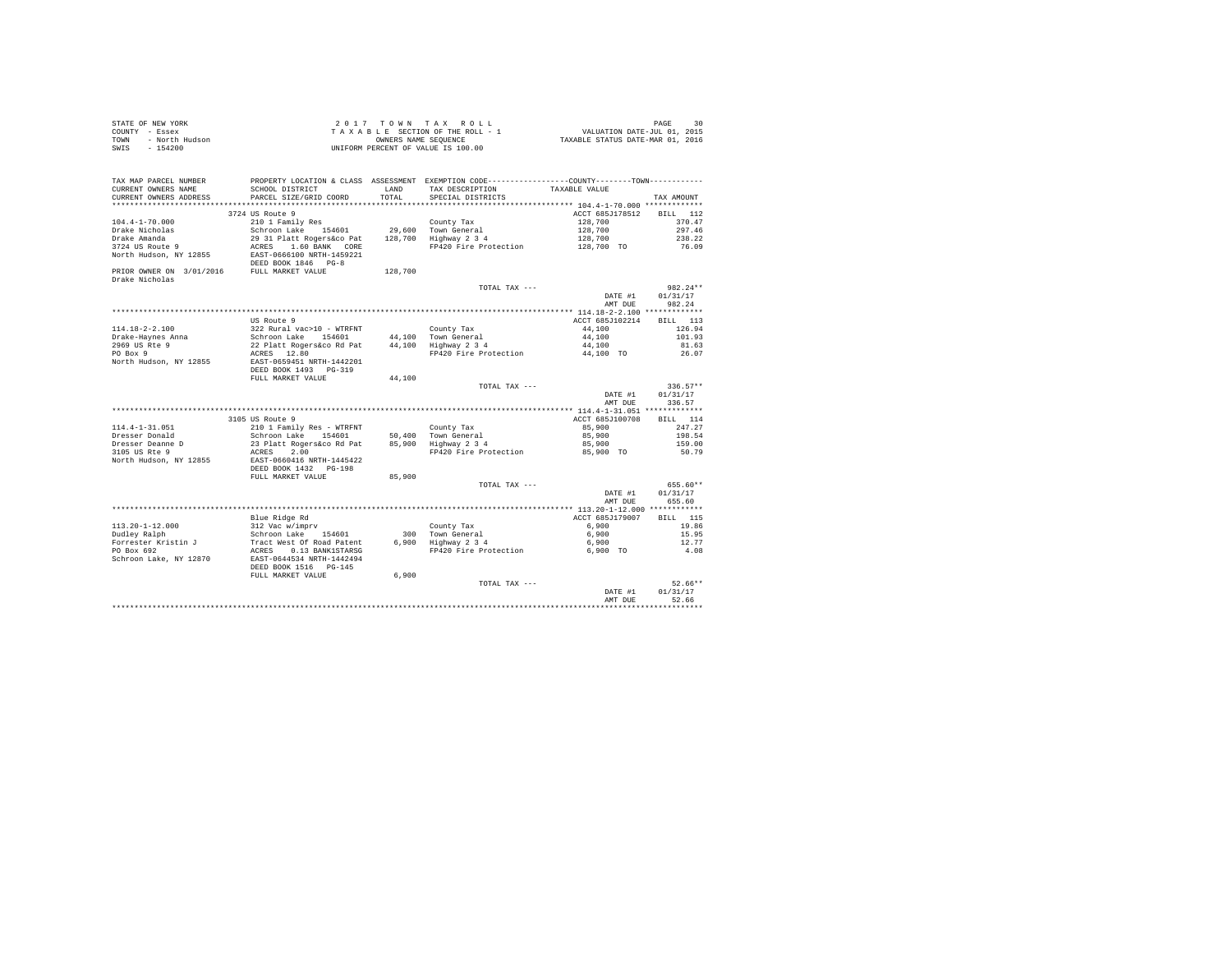| STATE OF NEW YORK      | 2017 TOWN TAX ROLL                 | 30<br>PAGE                       |
|------------------------|------------------------------------|----------------------------------|
| COUNTY - Essex         | TAXABLE SECTION OF THE ROLL - 1    | VALUATION DATE-JUL 01, 2015      |
| TOWN<br>- North Hudson | OWNERS NAME SEOUENCE               | TAXABLE STATUS DATE-MAR 01, 2016 |
| $-154200$<br>SWIS      | UNIFORM PERCENT OF VALUE IS 100.00 |                                  |

| TAX MAP PARCEL NUMBER<br>CURRENT OWNERS NAME                 | SCHOOL DISTRICT                                     | LAND    | PROPERTY LOCATION & CLASS ASSESSMENT EXEMPTION CODE----------------COUNTY-------TOWN----------<br>TAX DESCRIPTION | TAXABLE VALUE      |                    |
|--------------------------------------------------------------|-----------------------------------------------------|---------|-------------------------------------------------------------------------------------------------------------------|--------------------|--------------------|
| CURRENT OWNERS ADDRESS                                       | PARCEL SIZE/GRID COORD                              | TOTAL   | SPECIAL DISTRICTS                                                                                                 |                    | TAX AMOUNT         |
|                                                              |                                                     |         |                                                                                                                   |                    |                    |
|                                                              | 3724 US Route 9                                     |         |                                                                                                                   | ACCT 685J178512    | BILL 112           |
| $104.4 - 1 - 70.000$                                         | 210 1 Family Res                                    |         | County Tax                                                                                                        | 128,700            | 370.47             |
| Drake Nicholas                                               | Schroon Lake 154601 29,600 Town General             |         |                                                                                                                   | 128,700            | 297.46             |
| Drake Amanda                                                 | 29 31 Platt Rogers&co Pat 128,700 Highway 2 3 4     |         |                                                                                                                   | 128,700            | 238.22             |
| 3724 US Route 9                                              | ACRES 1.60 BANK CORE                                |         | FP420 Fire Protection                                                                                             | 128,700 TO         | 76.09              |
| North Hudson, NY 12855                                       | EAST-0666100 NRTH-1459221<br>DEED BOOK 1846 PG-8    |         |                                                                                                                   |                    |                    |
| PRIOR OWNER ON 3/01/2016 FULL MARKET VALUE<br>Drake Nicholas |                                                     | 128,700 |                                                                                                                   |                    |                    |
|                                                              |                                                     |         | TOTAL TAX ---                                                                                                     |                    | $982.24**$         |
|                                                              |                                                     |         |                                                                                                                   | DATE #1<br>AMT DUE | 01/31/17<br>982.24 |
|                                                              |                                                     |         |                                                                                                                   |                    |                    |
|                                                              | US Route 9                                          |         |                                                                                                                   | ACCT 685J102214    | BILL 113           |
| 114.18-2-2.100                                               |                                                     |         | County Tax                                                                                                        | 44,100             | 126.94             |
|                                                              | 322 Rural vac>10 - WTRFNT<br>Schroon Lake 154601    |         | 44,100 Town General                                                                                               | 44,100             | 101.93             |
| Drake-Haynes Anna<br>2969 US Rte 9                           | 22 Platt Rogers&co Rd Pat 44,100 Highway 2 3 4      |         |                                                                                                                   | 44,100             | 81.63              |
| PO Box 9                                                     | ACRES 12.80                                         |         | FP420 Fire Protection                                                                                             | 44,100 TO          | 26.07              |
| North Hudson, NY 12855                                       | EAST-0659451 NRTH-1442201<br>DEED BOOK 1493 PG-319  |         |                                                                                                                   |                    |                    |
|                                                              | FULL MARKET VALUE                                   | 44,100  |                                                                                                                   |                    |                    |
|                                                              |                                                     |         | TOTAL TAX ---                                                                                                     |                    | $336.57**$         |
|                                                              |                                                     |         |                                                                                                                   |                    | DATE #1 $01/31/17$ |
|                                                              |                                                     |         |                                                                                                                   | AMT DUE            | 336.57             |
|                                                              |                                                     |         |                                                                                                                   |                    |                    |
|                                                              | 3105 US Route 9                                     |         |                                                                                                                   | ACCT 685J100708    | BILL 114           |
| $114.4 - 1 - 31.051$                                         | 210 1 Family Res - WTRFNT                           |         | County Tax                                                                                                        | 85,900             | 247.27             |
| Dresser Donald                                               | Schroon Lake 154601                                 |         | 50.400 Town General                                                                                               | 85,900             | 198.54             |
| Dresser Deanne D                                             | 23 Platt Rogers&co Rd Pat 85,900 Highway 2 3 4      |         |                                                                                                                   | 85,900             | 159.00             |
| 3105 US Rte 9                                                | ACRES<br>2.00                                       |         | FP420 Fire Protection                                                                                             | 85,900 TO          | 50.79              |
| North Hudson, NY 12855                                       | EAST-0660416 NRTH-1445422                           |         |                                                                                                                   |                    |                    |
|                                                              | DEED BOOK 1432 PG-198                               |         |                                                                                                                   |                    |                    |
|                                                              | FULL MARKET VALUE                                   | 85,900  |                                                                                                                   |                    |                    |
|                                                              |                                                     |         | TOTAL TAX ---                                                                                                     |                    | 655.60**           |
|                                                              |                                                     |         |                                                                                                                   | DATE #1            | 01/31/17           |
|                                                              |                                                     |         |                                                                                                                   | AMT DUE            | 655.60             |
|                                                              |                                                     |         |                                                                                                                   |                    |                    |
|                                                              | Blue Ridge Rd                                       |         |                                                                                                                   | ACCT 685J179007    | BILL 115           |
| $113.20 - 1 - 12.000$                                        | 312 Vac w/imprv<br>Schroon Lake 154601              |         |                                                                                                                   | 6,900              | 19.86<br>15.95     |
| Dudley Ralph                                                 |                                                     |         | County Tax<br>300 Town General<br>6,900 Highway 2 3 4                                                             | 6,900<br>6,900     | 12.77              |
| Forrester Kristin J<br>PO Box 692                            | Tract West Of Road Patent<br>ACRES 0.13 BANK1STARSG |         | FP420 Fire Protection 6,900 TO                                                                                    |                    | 4.08               |
| Schroon Lake, NY 12870                                       | EAST-0644534 NRTH-1442494<br>DEED BOOK 1516 PG-145  |         |                                                                                                                   |                    |                    |
|                                                              | FULL MARKET VALUE                                   | 6,900   |                                                                                                                   |                    |                    |
|                                                              |                                                     |         | TOTAL TAX ---                                                                                                     |                    | $52.66**$          |
|                                                              |                                                     |         |                                                                                                                   | DATE #1            | 01/31/17           |
|                                                              |                                                     |         |                                                                                                                   | AMT DUE            | 52.66              |
|                                                              |                                                     |         |                                                                                                                   |                    |                    |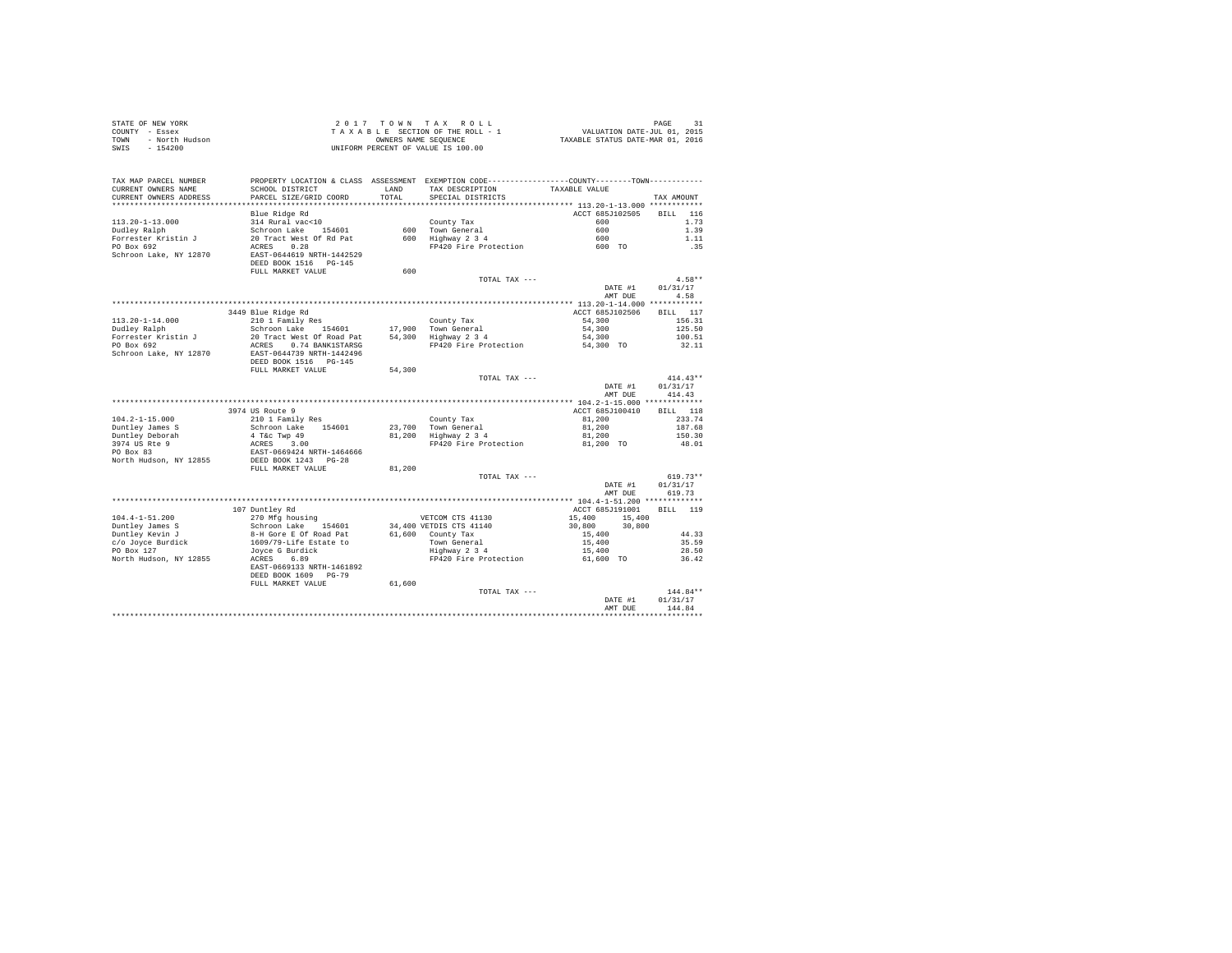|                | STATE OF NEW YORK | 2017 TOWN TAX ROLL                 | PAGE                             | 31 |
|----------------|-------------------|------------------------------------|----------------------------------|----|
| COUNTY - Essex |                   | TAXABLE SECTION OF THE ROLL - 1    | VALUATION DATE-JUL 01, 2015      |    |
| TOWN           | - North Hudson    | OWNERS NAME SEOUENCE               | TAXABLE STATUS DATE-MAR 01, 2016 |    |
| SWIS           | - 154200          | UNIFORM PERCENT OF VALUE IS 100.00 |                                  |    |
|                |                   |                                    |                                  |    |
|                |                   |                                    |                                  |    |

| ***********************<br>*********** 113.20-1-13.000 *******<br>Blue Ridge Rd<br>ACCT 685J102505<br>116<br><b>BILL</b><br>$113.20 - 1 - 13.000$<br>314 Rural vac<10<br>600<br>1.73<br>County Tax<br>1.39<br>Schroon Lake 154601<br>600 Town General<br>600<br>Dudley Ralph<br>Forrester Kristin J<br>20 Tract West Of Rd Pat<br>600 Highway 2 3 4<br>600<br>1.11<br>PO Box 692<br>0.28<br>FP420 Fire Protection<br>ACRES<br>.35<br>600 TO<br>Schroon Lake, NY 12870<br>EAST-0644619 NRTH-1442529<br>DEED BOOK 1516 PG-145<br>FULL MARKET VALUE<br>600<br>$4.58**$<br>TOTAL TAX ---<br>DATE #1<br>01/31/17<br>4.58<br>AMT DUE<br>************ 113.20-1-14.000 ************<br>ACCT 685J102506<br>3449 Blue Ridge Rd<br>117<br>BILL<br>$113.20 - 1 - 14.000$<br>210 1 Family Res<br>54,300<br>156.31<br>County Tax<br>Dudley Ralph<br>Schroon Lake<br>17,900 Town General<br>54,300<br>125.50<br>154601<br>Forrester Kristin J<br>20 Tract West Of Road Pat<br>54,300 Highway 2 3 4<br>54,300<br>100.51<br>PO Box 692<br>ACRES 0.74 BANK1STARSG<br>FP420 Fire Protection<br>54,300 TO<br>32.11<br>Schroon Lake, NY 12870<br>EAST-0644739 NRTH-1442496<br>DEED BOOK 1516 PG-145<br>FULL MARKET VALUE<br>54,300<br>$414.43**$<br>TOTAL TAX ---<br>01/31/17<br>DATE #1<br>AMT DUE<br>414.43<br>3974 US Route 9<br>ACCT 685J100410<br>118<br><b>BILL</b><br>233.74<br>$104.2 - 1 - 15.000$<br>210 1 Family Res<br>County Tax<br>81,200<br>Duntley James S<br>Schroon Lake<br>23.700 Town General<br>81,200<br>187.68<br>154601<br>Duntley Deborah<br>4 T&c Twp 49<br>81,200 Highway 2 3 4<br>81,200<br>150.30<br>3974 US Rte 9<br>3.00<br>ACRES<br>FP420 Fire Protection<br>81,200 TO<br>48.01<br>PO Box 83<br>EAST-0669424 NRTH-1464666<br>North Hudson, NY 12855<br>DEED BOOK 1243 PG-28<br>81,200<br>FULL MARKET VALUE<br>$619.73**$<br>TOTAL TAX ---<br>01/31/17<br>DATE #1<br>AMT DUE<br>619.73<br>ACCT 685J191001<br>119<br>107 Duntley Rd<br>RTT.T.<br>$104.4 - 1 - 51.200$<br>270 Mfg housing<br>VETCOM CTS 41130<br>15,400<br>15,400<br>Duntley James S<br>Schroon Lake<br>34,400 VETDIS CTS 41140<br>30,800<br>30,800<br>154601<br>Duntley Kevin J<br>8-H Gore E Of Road Pat<br>61,600 County Tax<br>44.33<br>15,400<br>c/o Joyce Burdick<br>1609/79-Life Estate to<br>Town General<br>15,400<br>35.59<br>PO Box 127<br>28.50<br>Joyce G Burdick<br>Highway 2 3 4<br>15,400<br>North Hudson, NY 12855<br>6.89<br>FP420 Fire Protection<br>ACRES<br>61,600 TO<br>36.42<br>EAST-0669133 NRTH-1461892<br>DEED BOOK 1609 PG-79<br>FULL MARKET VALUE<br>61,600<br>144.84**<br>TOTAL TAX ---<br>01/31/17<br>DATE #1<br>144.84<br>AMT DUE | TAX MAP PARCEL NUMBER<br>CURRENT OWNERS NAME<br>CURRENT OWNERS ADDRESS | SCHOOL DISTRICT<br>PARCEL SIZE/GRID COORD<br>. | LAND<br>TOTAL | PROPERTY LOCATION & CLASS ASSESSMENT EXEMPTION CODE---------------COUNTY-------TOWN---------<br>TAX DESCRIPTION<br>SPECIAL DISTRICTS | TAXABLE VALUE | TAX AMOUNT |
|------------------------------------------------------------------------------------------------------------------------------------------------------------------------------------------------------------------------------------------------------------------------------------------------------------------------------------------------------------------------------------------------------------------------------------------------------------------------------------------------------------------------------------------------------------------------------------------------------------------------------------------------------------------------------------------------------------------------------------------------------------------------------------------------------------------------------------------------------------------------------------------------------------------------------------------------------------------------------------------------------------------------------------------------------------------------------------------------------------------------------------------------------------------------------------------------------------------------------------------------------------------------------------------------------------------------------------------------------------------------------------------------------------------------------------------------------------------------------------------------------------------------------------------------------------------------------------------------------------------------------------------------------------------------------------------------------------------------------------------------------------------------------------------------------------------------------------------------------------------------------------------------------------------------------------------------------------------------------------------------------------------------------------------------------------------------------------------------------------------------------------------------------------------------------------------------------------------------------------------------------------------------------------------------------------------------------------------------------------------------------------------------------------------------------------------------------------------------------------------------------------------------------------------------------------------------------------------------------------------------------------------|------------------------------------------------------------------------|------------------------------------------------|---------------|--------------------------------------------------------------------------------------------------------------------------------------|---------------|------------|
|                                                                                                                                                                                                                                                                                                                                                                                                                                                                                                                                                                                                                                                                                                                                                                                                                                                                                                                                                                                                                                                                                                                                                                                                                                                                                                                                                                                                                                                                                                                                                                                                                                                                                                                                                                                                                                                                                                                                                                                                                                                                                                                                                                                                                                                                                                                                                                                                                                                                                                                                                                                                                                          |                                                                        |                                                |               |                                                                                                                                      |               |            |
|                                                                                                                                                                                                                                                                                                                                                                                                                                                                                                                                                                                                                                                                                                                                                                                                                                                                                                                                                                                                                                                                                                                                                                                                                                                                                                                                                                                                                                                                                                                                                                                                                                                                                                                                                                                                                                                                                                                                                                                                                                                                                                                                                                                                                                                                                                                                                                                                                                                                                                                                                                                                                                          |                                                                        |                                                |               |                                                                                                                                      |               |            |
|                                                                                                                                                                                                                                                                                                                                                                                                                                                                                                                                                                                                                                                                                                                                                                                                                                                                                                                                                                                                                                                                                                                                                                                                                                                                                                                                                                                                                                                                                                                                                                                                                                                                                                                                                                                                                                                                                                                                                                                                                                                                                                                                                                                                                                                                                                                                                                                                                                                                                                                                                                                                                                          |                                                                        |                                                |               |                                                                                                                                      |               |            |
|                                                                                                                                                                                                                                                                                                                                                                                                                                                                                                                                                                                                                                                                                                                                                                                                                                                                                                                                                                                                                                                                                                                                                                                                                                                                                                                                                                                                                                                                                                                                                                                                                                                                                                                                                                                                                                                                                                                                                                                                                                                                                                                                                                                                                                                                                                                                                                                                                                                                                                                                                                                                                                          |                                                                        |                                                |               |                                                                                                                                      |               |            |
|                                                                                                                                                                                                                                                                                                                                                                                                                                                                                                                                                                                                                                                                                                                                                                                                                                                                                                                                                                                                                                                                                                                                                                                                                                                                                                                                                                                                                                                                                                                                                                                                                                                                                                                                                                                                                                                                                                                                                                                                                                                                                                                                                                                                                                                                                                                                                                                                                                                                                                                                                                                                                                          |                                                                        |                                                |               |                                                                                                                                      |               |            |
|                                                                                                                                                                                                                                                                                                                                                                                                                                                                                                                                                                                                                                                                                                                                                                                                                                                                                                                                                                                                                                                                                                                                                                                                                                                                                                                                                                                                                                                                                                                                                                                                                                                                                                                                                                                                                                                                                                                                                                                                                                                                                                                                                                                                                                                                                                                                                                                                                                                                                                                                                                                                                                          |                                                                        |                                                |               |                                                                                                                                      |               |            |
|                                                                                                                                                                                                                                                                                                                                                                                                                                                                                                                                                                                                                                                                                                                                                                                                                                                                                                                                                                                                                                                                                                                                                                                                                                                                                                                                                                                                                                                                                                                                                                                                                                                                                                                                                                                                                                                                                                                                                                                                                                                                                                                                                                                                                                                                                                                                                                                                                                                                                                                                                                                                                                          |                                                                        |                                                |               |                                                                                                                                      |               |            |
|                                                                                                                                                                                                                                                                                                                                                                                                                                                                                                                                                                                                                                                                                                                                                                                                                                                                                                                                                                                                                                                                                                                                                                                                                                                                                                                                                                                                                                                                                                                                                                                                                                                                                                                                                                                                                                                                                                                                                                                                                                                                                                                                                                                                                                                                                                                                                                                                                                                                                                                                                                                                                                          |                                                                        |                                                |               |                                                                                                                                      |               |            |
|                                                                                                                                                                                                                                                                                                                                                                                                                                                                                                                                                                                                                                                                                                                                                                                                                                                                                                                                                                                                                                                                                                                                                                                                                                                                                                                                                                                                                                                                                                                                                                                                                                                                                                                                                                                                                                                                                                                                                                                                                                                                                                                                                                                                                                                                                                                                                                                                                                                                                                                                                                                                                                          |                                                                        |                                                |               |                                                                                                                                      |               |            |
|                                                                                                                                                                                                                                                                                                                                                                                                                                                                                                                                                                                                                                                                                                                                                                                                                                                                                                                                                                                                                                                                                                                                                                                                                                                                                                                                                                                                                                                                                                                                                                                                                                                                                                                                                                                                                                                                                                                                                                                                                                                                                                                                                                                                                                                                                                                                                                                                                                                                                                                                                                                                                                          |                                                                        |                                                |               |                                                                                                                                      |               |            |
|                                                                                                                                                                                                                                                                                                                                                                                                                                                                                                                                                                                                                                                                                                                                                                                                                                                                                                                                                                                                                                                                                                                                                                                                                                                                                                                                                                                                                                                                                                                                                                                                                                                                                                                                                                                                                                                                                                                                                                                                                                                                                                                                                                                                                                                                                                                                                                                                                                                                                                                                                                                                                                          |                                                                        |                                                |               |                                                                                                                                      |               |            |
|                                                                                                                                                                                                                                                                                                                                                                                                                                                                                                                                                                                                                                                                                                                                                                                                                                                                                                                                                                                                                                                                                                                                                                                                                                                                                                                                                                                                                                                                                                                                                                                                                                                                                                                                                                                                                                                                                                                                                                                                                                                                                                                                                                                                                                                                                                                                                                                                                                                                                                                                                                                                                                          |                                                                        |                                                |               |                                                                                                                                      |               |            |
|                                                                                                                                                                                                                                                                                                                                                                                                                                                                                                                                                                                                                                                                                                                                                                                                                                                                                                                                                                                                                                                                                                                                                                                                                                                                                                                                                                                                                                                                                                                                                                                                                                                                                                                                                                                                                                                                                                                                                                                                                                                                                                                                                                                                                                                                                                                                                                                                                                                                                                                                                                                                                                          |                                                                        |                                                |               |                                                                                                                                      |               |            |
|                                                                                                                                                                                                                                                                                                                                                                                                                                                                                                                                                                                                                                                                                                                                                                                                                                                                                                                                                                                                                                                                                                                                                                                                                                                                                                                                                                                                                                                                                                                                                                                                                                                                                                                                                                                                                                                                                                                                                                                                                                                                                                                                                                                                                                                                                                                                                                                                                                                                                                                                                                                                                                          |                                                                        |                                                |               |                                                                                                                                      |               |            |
|                                                                                                                                                                                                                                                                                                                                                                                                                                                                                                                                                                                                                                                                                                                                                                                                                                                                                                                                                                                                                                                                                                                                                                                                                                                                                                                                                                                                                                                                                                                                                                                                                                                                                                                                                                                                                                                                                                                                                                                                                                                                                                                                                                                                                                                                                                                                                                                                                                                                                                                                                                                                                                          |                                                                        |                                                |               |                                                                                                                                      |               |            |
|                                                                                                                                                                                                                                                                                                                                                                                                                                                                                                                                                                                                                                                                                                                                                                                                                                                                                                                                                                                                                                                                                                                                                                                                                                                                                                                                                                                                                                                                                                                                                                                                                                                                                                                                                                                                                                                                                                                                                                                                                                                                                                                                                                                                                                                                                                                                                                                                                                                                                                                                                                                                                                          |                                                                        |                                                |               |                                                                                                                                      |               |            |
|                                                                                                                                                                                                                                                                                                                                                                                                                                                                                                                                                                                                                                                                                                                                                                                                                                                                                                                                                                                                                                                                                                                                                                                                                                                                                                                                                                                                                                                                                                                                                                                                                                                                                                                                                                                                                                                                                                                                                                                                                                                                                                                                                                                                                                                                                                                                                                                                                                                                                                                                                                                                                                          |                                                                        |                                                |               |                                                                                                                                      |               |            |
|                                                                                                                                                                                                                                                                                                                                                                                                                                                                                                                                                                                                                                                                                                                                                                                                                                                                                                                                                                                                                                                                                                                                                                                                                                                                                                                                                                                                                                                                                                                                                                                                                                                                                                                                                                                                                                                                                                                                                                                                                                                                                                                                                                                                                                                                                                                                                                                                                                                                                                                                                                                                                                          |                                                                        |                                                |               |                                                                                                                                      |               |            |
|                                                                                                                                                                                                                                                                                                                                                                                                                                                                                                                                                                                                                                                                                                                                                                                                                                                                                                                                                                                                                                                                                                                                                                                                                                                                                                                                                                                                                                                                                                                                                                                                                                                                                                                                                                                                                                                                                                                                                                                                                                                                                                                                                                                                                                                                                                                                                                                                                                                                                                                                                                                                                                          |                                                                        |                                                |               |                                                                                                                                      |               |            |
|                                                                                                                                                                                                                                                                                                                                                                                                                                                                                                                                                                                                                                                                                                                                                                                                                                                                                                                                                                                                                                                                                                                                                                                                                                                                                                                                                                                                                                                                                                                                                                                                                                                                                                                                                                                                                                                                                                                                                                                                                                                                                                                                                                                                                                                                                                                                                                                                                                                                                                                                                                                                                                          |                                                                        |                                                |               |                                                                                                                                      |               |            |
|                                                                                                                                                                                                                                                                                                                                                                                                                                                                                                                                                                                                                                                                                                                                                                                                                                                                                                                                                                                                                                                                                                                                                                                                                                                                                                                                                                                                                                                                                                                                                                                                                                                                                                                                                                                                                                                                                                                                                                                                                                                                                                                                                                                                                                                                                                                                                                                                                                                                                                                                                                                                                                          |                                                                        |                                                |               |                                                                                                                                      |               |            |
|                                                                                                                                                                                                                                                                                                                                                                                                                                                                                                                                                                                                                                                                                                                                                                                                                                                                                                                                                                                                                                                                                                                                                                                                                                                                                                                                                                                                                                                                                                                                                                                                                                                                                                                                                                                                                                                                                                                                                                                                                                                                                                                                                                                                                                                                                                                                                                                                                                                                                                                                                                                                                                          |                                                                        |                                                |               |                                                                                                                                      |               |            |
|                                                                                                                                                                                                                                                                                                                                                                                                                                                                                                                                                                                                                                                                                                                                                                                                                                                                                                                                                                                                                                                                                                                                                                                                                                                                                                                                                                                                                                                                                                                                                                                                                                                                                                                                                                                                                                                                                                                                                                                                                                                                                                                                                                                                                                                                                                                                                                                                                                                                                                                                                                                                                                          |                                                                        |                                                |               |                                                                                                                                      |               |            |
|                                                                                                                                                                                                                                                                                                                                                                                                                                                                                                                                                                                                                                                                                                                                                                                                                                                                                                                                                                                                                                                                                                                                                                                                                                                                                                                                                                                                                                                                                                                                                                                                                                                                                                                                                                                                                                                                                                                                                                                                                                                                                                                                                                                                                                                                                                                                                                                                                                                                                                                                                                                                                                          |                                                                        |                                                |               |                                                                                                                                      |               |            |
|                                                                                                                                                                                                                                                                                                                                                                                                                                                                                                                                                                                                                                                                                                                                                                                                                                                                                                                                                                                                                                                                                                                                                                                                                                                                                                                                                                                                                                                                                                                                                                                                                                                                                                                                                                                                                                                                                                                                                                                                                                                                                                                                                                                                                                                                                                                                                                                                                                                                                                                                                                                                                                          |                                                                        |                                                |               |                                                                                                                                      |               |            |
|                                                                                                                                                                                                                                                                                                                                                                                                                                                                                                                                                                                                                                                                                                                                                                                                                                                                                                                                                                                                                                                                                                                                                                                                                                                                                                                                                                                                                                                                                                                                                                                                                                                                                                                                                                                                                                                                                                                                                                                                                                                                                                                                                                                                                                                                                                                                                                                                                                                                                                                                                                                                                                          |                                                                        |                                                |               |                                                                                                                                      |               |            |
|                                                                                                                                                                                                                                                                                                                                                                                                                                                                                                                                                                                                                                                                                                                                                                                                                                                                                                                                                                                                                                                                                                                                                                                                                                                                                                                                                                                                                                                                                                                                                                                                                                                                                                                                                                                                                                                                                                                                                                                                                                                                                                                                                                                                                                                                                                                                                                                                                                                                                                                                                                                                                                          |                                                                        |                                                |               |                                                                                                                                      |               |            |
|                                                                                                                                                                                                                                                                                                                                                                                                                                                                                                                                                                                                                                                                                                                                                                                                                                                                                                                                                                                                                                                                                                                                                                                                                                                                                                                                                                                                                                                                                                                                                                                                                                                                                                                                                                                                                                                                                                                                                                                                                                                                                                                                                                                                                                                                                                                                                                                                                                                                                                                                                                                                                                          |                                                                        |                                                |               |                                                                                                                                      |               |            |
|                                                                                                                                                                                                                                                                                                                                                                                                                                                                                                                                                                                                                                                                                                                                                                                                                                                                                                                                                                                                                                                                                                                                                                                                                                                                                                                                                                                                                                                                                                                                                                                                                                                                                                                                                                                                                                                                                                                                                                                                                                                                                                                                                                                                                                                                                                                                                                                                                                                                                                                                                                                                                                          |                                                                        |                                                |               |                                                                                                                                      |               |            |
|                                                                                                                                                                                                                                                                                                                                                                                                                                                                                                                                                                                                                                                                                                                                                                                                                                                                                                                                                                                                                                                                                                                                                                                                                                                                                                                                                                                                                                                                                                                                                                                                                                                                                                                                                                                                                                                                                                                                                                                                                                                                                                                                                                                                                                                                                                                                                                                                                                                                                                                                                                                                                                          |                                                                        |                                                |               |                                                                                                                                      |               |            |
|                                                                                                                                                                                                                                                                                                                                                                                                                                                                                                                                                                                                                                                                                                                                                                                                                                                                                                                                                                                                                                                                                                                                                                                                                                                                                                                                                                                                                                                                                                                                                                                                                                                                                                                                                                                                                                                                                                                                                                                                                                                                                                                                                                                                                                                                                                                                                                                                                                                                                                                                                                                                                                          |                                                                        |                                                |               |                                                                                                                                      |               |            |
|                                                                                                                                                                                                                                                                                                                                                                                                                                                                                                                                                                                                                                                                                                                                                                                                                                                                                                                                                                                                                                                                                                                                                                                                                                                                                                                                                                                                                                                                                                                                                                                                                                                                                                                                                                                                                                                                                                                                                                                                                                                                                                                                                                                                                                                                                                                                                                                                                                                                                                                                                                                                                                          |                                                                        |                                                |               |                                                                                                                                      |               |            |
|                                                                                                                                                                                                                                                                                                                                                                                                                                                                                                                                                                                                                                                                                                                                                                                                                                                                                                                                                                                                                                                                                                                                                                                                                                                                                                                                                                                                                                                                                                                                                                                                                                                                                                                                                                                                                                                                                                                                                                                                                                                                                                                                                                                                                                                                                                                                                                                                                                                                                                                                                                                                                                          |                                                                        |                                                |               |                                                                                                                                      |               |            |
|                                                                                                                                                                                                                                                                                                                                                                                                                                                                                                                                                                                                                                                                                                                                                                                                                                                                                                                                                                                                                                                                                                                                                                                                                                                                                                                                                                                                                                                                                                                                                                                                                                                                                                                                                                                                                                                                                                                                                                                                                                                                                                                                                                                                                                                                                                                                                                                                                                                                                                                                                                                                                                          |                                                                        |                                                |               |                                                                                                                                      |               |            |
|                                                                                                                                                                                                                                                                                                                                                                                                                                                                                                                                                                                                                                                                                                                                                                                                                                                                                                                                                                                                                                                                                                                                                                                                                                                                                                                                                                                                                                                                                                                                                                                                                                                                                                                                                                                                                                                                                                                                                                                                                                                                                                                                                                                                                                                                                                                                                                                                                                                                                                                                                                                                                                          |                                                                        |                                                |               |                                                                                                                                      |               |            |
|                                                                                                                                                                                                                                                                                                                                                                                                                                                                                                                                                                                                                                                                                                                                                                                                                                                                                                                                                                                                                                                                                                                                                                                                                                                                                                                                                                                                                                                                                                                                                                                                                                                                                                                                                                                                                                                                                                                                                                                                                                                                                                                                                                                                                                                                                                                                                                                                                                                                                                                                                                                                                                          |                                                                        |                                                |               |                                                                                                                                      |               |            |
|                                                                                                                                                                                                                                                                                                                                                                                                                                                                                                                                                                                                                                                                                                                                                                                                                                                                                                                                                                                                                                                                                                                                                                                                                                                                                                                                                                                                                                                                                                                                                                                                                                                                                                                                                                                                                                                                                                                                                                                                                                                                                                                                                                                                                                                                                                                                                                                                                                                                                                                                                                                                                                          |                                                                        |                                                |               |                                                                                                                                      |               |            |
|                                                                                                                                                                                                                                                                                                                                                                                                                                                                                                                                                                                                                                                                                                                                                                                                                                                                                                                                                                                                                                                                                                                                                                                                                                                                                                                                                                                                                                                                                                                                                                                                                                                                                                                                                                                                                                                                                                                                                                                                                                                                                                                                                                                                                                                                                                                                                                                                                                                                                                                                                                                                                                          |                                                                        |                                                |               |                                                                                                                                      |               |            |
|                                                                                                                                                                                                                                                                                                                                                                                                                                                                                                                                                                                                                                                                                                                                                                                                                                                                                                                                                                                                                                                                                                                                                                                                                                                                                                                                                                                                                                                                                                                                                                                                                                                                                                                                                                                                                                                                                                                                                                                                                                                                                                                                                                                                                                                                                                                                                                                                                                                                                                                                                                                                                                          |                                                                        |                                                |               |                                                                                                                                      |               |            |
|                                                                                                                                                                                                                                                                                                                                                                                                                                                                                                                                                                                                                                                                                                                                                                                                                                                                                                                                                                                                                                                                                                                                                                                                                                                                                                                                                                                                                                                                                                                                                                                                                                                                                                                                                                                                                                                                                                                                                                                                                                                                                                                                                                                                                                                                                                                                                                                                                                                                                                                                                                                                                                          |                                                                        |                                                |               |                                                                                                                                      |               |            |
|                                                                                                                                                                                                                                                                                                                                                                                                                                                                                                                                                                                                                                                                                                                                                                                                                                                                                                                                                                                                                                                                                                                                                                                                                                                                                                                                                                                                                                                                                                                                                                                                                                                                                                                                                                                                                                                                                                                                                                                                                                                                                                                                                                                                                                                                                                                                                                                                                                                                                                                                                                                                                                          |                                                                        |                                                |               |                                                                                                                                      |               |            |
|                                                                                                                                                                                                                                                                                                                                                                                                                                                                                                                                                                                                                                                                                                                                                                                                                                                                                                                                                                                                                                                                                                                                                                                                                                                                                                                                                                                                                                                                                                                                                                                                                                                                                                                                                                                                                                                                                                                                                                                                                                                                                                                                                                                                                                                                                                                                                                                                                                                                                                                                                                                                                                          |                                                                        |                                                |               |                                                                                                                                      |               |            |
|                                                                                                                                                                                                                                                                                                                                                                                                                                                                                                                                                                                                                                                                                                                                                                                                                                                                                                                                                                                                                                                                                                                                                                                                                                                                                                                                                                                                                                                                                                                                                                                                                                                                                                                                                                                                                                                                                                                                                                                                                                                                                                                                                                                                                                                                                                                                                                                                                                                                                                                                                                                                                                          |                                                                        |                                                |               |                                                                                                                                      |               |            |
|                                                                                                                                                                                                                                                                                                                                                                                                                                                                                                                                                                                                                                                                                                                                                                                                                                                                                                                                                                                                                                                                                                                                                                                                                                                                                                                                                                                                                                                                                                                                                                                                                                                                                                                                                                                                                                                                                                                                                                                                                                                                                                                                                                                                                                                                                                                                                                                                                                                                                                                                                                                                                                          |                                                                        |                                                |               |                                                                                                                                      |               |            |
|                                                                                                                                                                                                                                                                                                                                                                                                                                                                                                                                                                                                                                                                                                                                                                                                                                                                                                                                                                                                                                                                                                                                                                                                                                                                                                                                                                                                                                                                                                                                                                                                                                                                                                                                                                                                                                                                                                                                                                                                                                                                                                                                                                                                                                                                                                                                                                                                                                                                                                                                                                                                                                          |                                                                        |                                                |               |                                                                                                                                      |               |            |
|                                                                                                                                                                                                                                                                                                                                                                                                                                                                                                                                                                                                                                                                                                                                                                                                                                                                                                                                                                                                                                                                                                                                                                                                                                                                                                                                                                                                                                                                                                                                                                                                                                                                                                                                                                                                                                                                                                                                                                                                                                                                                                                                                                                                                                                                                                                                                                                                                                                                                                                                                                                                                                          |                                                                        |                                                |               |                                                                                                                                      |               |            |
|                                                                                                                                                                                                                                                                                                                                                                                                                                                                                                                                                                                                                                                                                                                                                                                                                                                                                                                                                                                                                                                                                                                                                                                                                                                                                                                                                                                                                                                                                                                                                                                                                                                                                                                                                                                                                                                                                                                                                                                                                                                                                                                                                                                                                                                                                                                                                                                                                                                                                                                                                                                                                                          |                                                                        |                                                |               |                                                                                                                                      |               |            |
|                                                                                                                                                                                                                                                                                                                                                                                                                                                                                                                                                                                                                                                                                                                                                                                                                                                                                                                                                                                                                                                                                                                                                                                                                                                                                                                                                                                                                                                                                                                                                                                                                                                                                                                                                                                                                                                                                                                                                                                                                                                                                                                                                                                                                                                                                                                                                                                                                                                                                                                                                                                                                                          |                                                                        |                                                |               |                                                                                                                                      |               |            |
|                                                                                                                                                                                                                                                                                                                                                                                                                                                                                                                                                                                                                                                                                                                                                                                                                                                                                                                                                                                                                                                                                                                                                                                                                                                                                                                                                                                                                                                                                                                                                                                                                                                                                                                                                                                                                                                                                                                                                                                                                                                                                                                                                                                                                                                                                                                                                                                                                                                                                                                                                                                                                                          |                                                                        |                                                |               |                                                                                                                                      |               |            |
|                                                                                                                                                                                                                                                                                                                                                                                                                                                                                                                                                                                                                                                                                                                                                                                                                                                                                                                                                                                                                                                                                                                                                                                                                                                                                                                                                                                                                                                                                                                                                                                                                                                                                                                                                                                                                                                                                                                                                                                                                                                                                                                                                                                                                                                                                                                                                                                                                                                                                                                                                                                                                                          |                                                                        |                                                |               |                                                                                                                                      |               |            |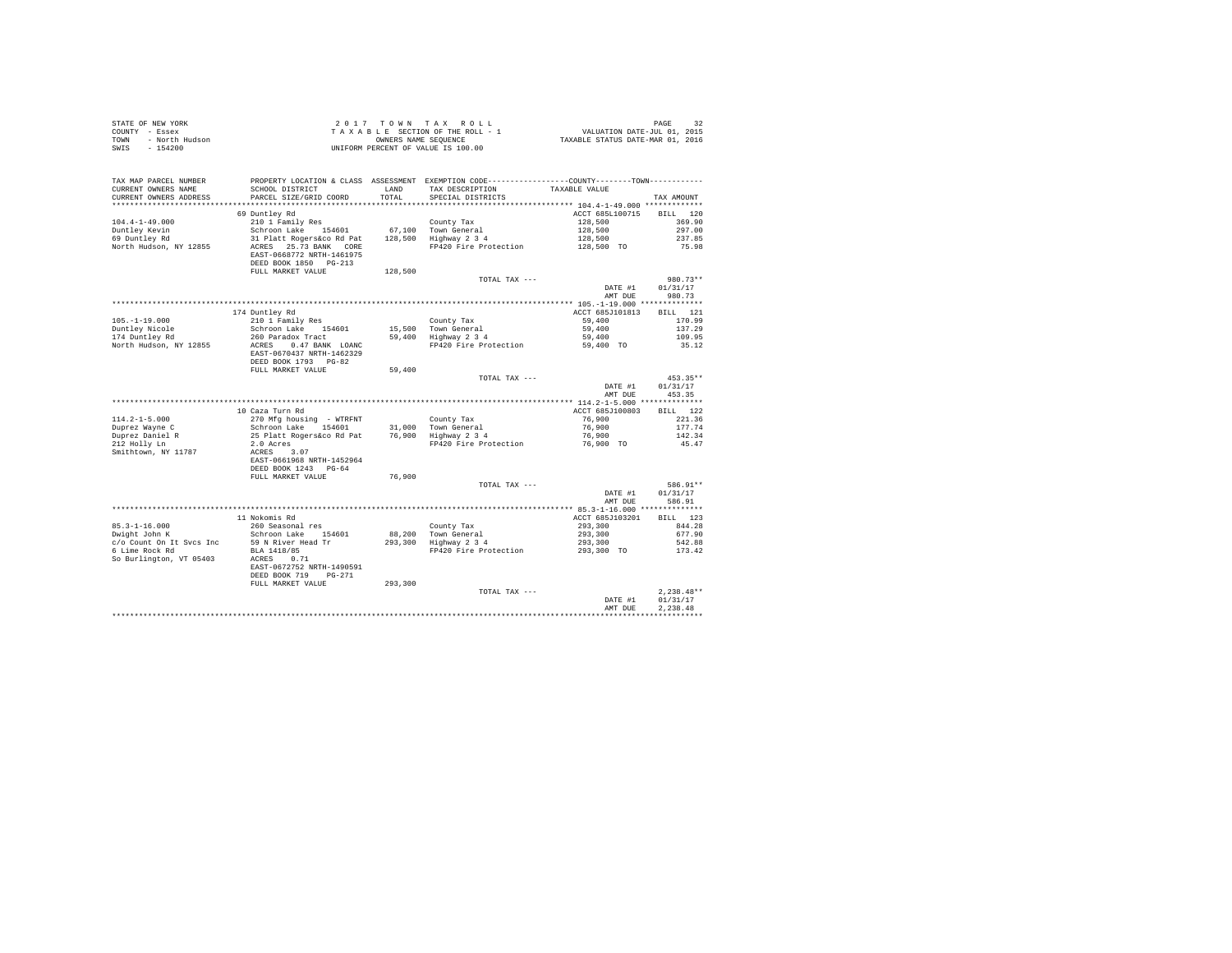| STATE OF NEW YORK<br>COUNTY - Essex<br>- North Hudson<br>TOWN<br>SWIS<br>$-154200$ |                                                                                            |                | UNIFORM PERCENT OF VALUE IS 100.00                                                                                                   |                                        |                          |
|------------------------------------------------------------------------------------|--------------------------------------------------------------------------------------------|----------------|--------------------------------------------------------------------------------------------------------------------------------------|----------------------------------------|--------------------------|
| TAX MAP PARCEL NUMBER<br>CURRENT OWNERS NAME<br>CURRENT OWNERS ADDRESS             | SCHOOL DISTRICT<br>PARCEL SIZE/GRID COORD                                                  | LAND<br>TOTAL. | PROPERTY LOCATION & CLASS ASSESSMENT EXEMPTION CODE---------------COUNTY-------TOWN---------<br>TAX DESCRIPTION<br>SPECIAL DISTRICTS | TAXABLE VALUE                          | TAX AMOUNT               |
|                                                                                    |                                                                                            |                |                                                                                                                                      |                                        |                          |
|                                                                                    | 69 Duntley Rd                                                                              |                |                                                                                                                                      | ACCT 685L100715                        | BILL 120                 |
| $104.4 - 1 - 49.000$                                                               | 210 1 Family Res                                                                           |                | County Tax                                                                                                                           | 128,500                                | 369.90                   |
| Duntley Kevin<br>sunciey Nevin<br>69 Duntley Rd                                    | Schroon Lake 154601 67,100 Town General<br>31 Platt Rogers&co Rd Pat 128,500 Highway 2 3 4 |                |                                                                                                                                      |                                        | 297.00<br>237.85         |
| North Hudson, NY 12855                                                             | ACRES 25.73 BANK CORE<br>EAST-0668772 NRTH-1461975<br>DEED BOOK 1850 PG-213                |                | FP420 Fire Protection                                                                                                                | $128,500$<br>$128,500$<br>$128,500$ TO | 75.98                    |
|                                                                                    | FULL MARKET VALUE                                                                          | 128,500        |                                                                                                                                      |                                        |                          |
|                                                                                    |                                                                                            |                | TOTAL TAX ---                                                                                                                        |                                        | 980.73**                 |
|                                                                                    |                                                                                            |                |                                                                                                                                      | DATE #1<br>AMT DUE                     | 01/31/17<br>980.73       |
|                                                                                    |                                                                                            |                |                                                                                                                                      |                                        |                          |
|                                                                                    | 174 Duntley Rd                                                                             |                |                                                                                                                                      | ACCT 685J101813                        | BILL 121                 |
| $105. - 1 - 19.000$                                                                | 210 1 Family Res                                                                           |                | County Tax<br>15,500 Town General<br>59,400 Highway 2 3 4                                                                            | 59,400                                 | 170.99                   |
| Duntley Nicole<br>174 Duntley Rd                                                   | Schroon Lake 154601                                                                        |                |                                                                                                                                      | 59,400                                 | 137.29                   |
| North Hudson, NY 12855                                                             | 260 Paradox Tract<br>ACRES 0.47 BANK LOANC                                                 |                | FP420 Fire Protection                                                                                                                | 59,400<br>59,400 TO                    | 109.95<br>35.12          |
|                                                                                    | EAST-0670437 NRTH-1462329<br>DEED BOOK 1793 PG-82                                          |                |                                                                                                                                      |                                        |                          |
|                                                                                    | FULL MARKET VALUE                                                                          | 59,400         |                                                                                                                                      |                                        |                          |
|                                                                                    |                                                                                            |                | TOTAL TAX ---                                                                                                                        |                                        | 453.35**                 |
|                                                                                    |                                                                                            |                |                                                                                                                                      | DATE #1                                | 01/31/17                 |
|                                                                                    |                                                                                            |                |                                                                                                                                      | AMT DUE                                | 453.35                   |
|                                                                                    | 10 Caza Turn Rd                                                                            |                |                                                                                                                                      | ACCT 685J100803                        | BILL 122                 |
| $114.2 - 1 - 5.000$                                                                | 270 Mfg housing - WTRFNT                                                                   |                |                                                                                                                                      | 76,900                                 | 221.36                   |
| Duprez Wayne C<br>Duprez Wayne C<br>Duprez Daniel R                                | Schroon Lake 154601                                                                        |                | County Tax<br>31,000 Town General<br>76,900 Highway 2 3 4                                                                            | 76,900                                 | 177.74                   |
|                                                                                    | 25 Platt Rogers&co Rd Pat                                                                  |                |                                                                                                                                      | 76,900                                 | 142.34                   |
| 212 Holly Ln<br>Smithtown, NY 11787                                                | 2.0 Acres<br>ACRES 3.07<br>EAST-0661968 NRTH-1452964<br>DEED BOOK 1243 PG-64               |                | FP420 Fire Protection                                                                                                                | 76,900 TO                              | 45.47                    |
|                                                                                    | FULL MARKET VALUE                                                                          | 76,900         |                                                                                                                                      |                                        |                          |
|                                                                                    |                                                                                            |                | TOTAL TAX ---                                                                                                                        |                                        | 586.91**                 |
|                                                                                    |                                                                                            |                |                                                                                                                                      | DATE #1<br>AMT DUE                     | 01/31/17<br>586.91       |
|                                                                                    |                                                                                            |                |                                                                                                                                      |                                        |                          |
| $85.3 - 1 - 16.000$                                                                | 11 Nokomis Rd<br>260 Seasonal res                                                          |                |                                                                                                                                      | ACCT 685J103201                        | BILL 123<br>844.28       |
| Dwight John K                                                                      | Schroon Lake 154601                                                                        | 88,200         | County Tax<br>Town General<br>Highway 2 3 4                                                                                          | 293,300<br>293,300                     | 677.90                   |
| c/o Count On It Svcs Inc                                                           | 59 N River Head Tr                                                                         | 293,300        |                                                                                                                                      | 293,300                                | 542.88                   |
| 6 Lime Rock Rd                                                                     | BLA 1418/85                                                                                |                | FP420 Fire Protection                                                                                                                | 293,300 TO                             | 173.42                   |
| So Burlington, VT 05403                                                            | ACRES 0.71<br>EAST-0672752 NRTH-1490591                                                    |                |                                                                                                                                      |                                        |                          |
|                                                                                    | DEED BOOK 719 PG-271                                                                       |                |                                                                                                                                      |                                        |                          |
|                                                                                    | FULL MARKET VALUE                                                                          | 293,300        |                                                                                                                                      |                                        |                          |
|                                                                                    |                                                                                            |                | TOTAL TAX ---                                                                                                                        | DATE #1                                | $2.238.48**$<br>01/31/17 |
|                                                                                    |                                                                                            |                |                                                                                                                                      | AMT DUE                                | 2.238.48                 |
|                                                                                    |                                                                                            |                |                                                                                                                                      |                                        |                          |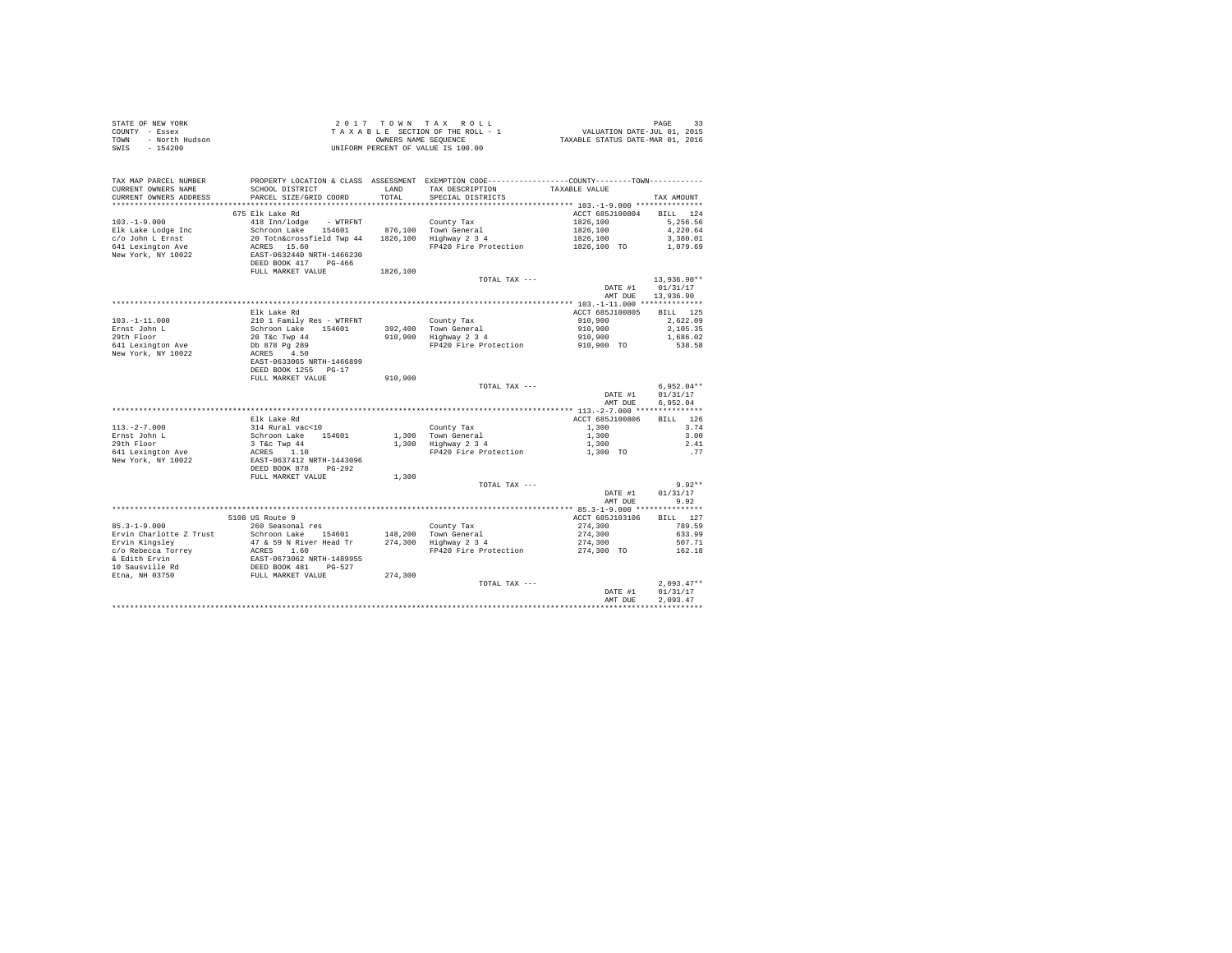| COUNTY - Essex<br>TOWN - North Hudson                                                                                                                                                                                                                                                                                                                                                             | T A X A B L E SECTION OF THE ROLL - 1<br>UNIFORM PONNERS NAME SEQUENCE<br>UNIFORM PERCENT OF VALUE IS 100.00                                                                                                                                                                                                                                                                                                                                                                       |               |                                                                                                                                                                                                                      |                      |                    |
|---------------------------------------------------------------------------------------------------------------------------------------------------------------------------------------------------------------------------------------------------------------------------------------------------------------------------------------------------------------------------------------------------|------------------------------------------------------------------------------------------------------------------------------------------------------------------------------------------------------------------------------------------------------------------------------------------------------------------------------------------------------------------------------------------------------------------------------------------------------------------------------------|---------------|----------------------------------------------------------------------------------------------------------------------------------------------------------------------------------------------------------------------|----------------------|--------------------|
| $-154200$<br>SWIS                                                                                                                                                                                                                                                                                                                                                                                 |                                                                                                                                                                                                                                                                                                                                                                                                                                                                                    |               |                                                                                                                                                                                                                      |                      |                    |
|                                                                                                                                                                                                                                                                                                                                                                                                   |                                                                                                                                                                                                                                                                                                                                                                                                                                                                                    |               |                                                                                                                                                                                                                      |                      |                    |
|                                                                                                                                                                                                                                                                                                                                                                                                   |                                                                                                                                                                                                                                                                                                                                                                                                                                                                                    |               |                                                                                                                                                                                                                      |                      |                    |
| TAX MAP PARCEL NUMBER                                                                                                                                                                                                                                                                                                                                                                             |                                                                                                                                                                                                                                                                                                                                                                                                                                                                                    |               | PROPERTY LOCATION & CLASS ASSESSMENT EXEMPTION CODE----------------COUNTY--------TOWN----------                                                                                                                      |                      |                    |
| CURRENT OWNERS NAME<br>CURRENT OWNERS ADDRESS                                                                                                                                                                                                                                                                                                                                                     | SCHOOL DISTRICT<br>PARCEL SIZE/GRID COORD                                                                                                                                                                                                                                                                                                                                                                                                                                          | LAND<br>TOTAL | TAX DESCRIPTION TAXABLE VALUE<br>SPECIAL DISTRICTS                                                                                                                                                                   |                      | TAX AMOUNT         |
|                                                                                                                                                                                                                                                                                                                                                                                                   |                                                                                                                                                                                                                                                                                                                                                                                                                                                                                    |               |                                                                                                                                                                                                                      |                      |                    |
|                                                                                                                                                                                                                                                                                                                                                                                                   | $\begin{tabular}{lllllllll} \multicolumn{4}{c}{418\;Imn/1odge} & - \text{ WTRENT} & & \multicolumn{4}{c}{\quad} & - \multicolumn{4}{c}{\quad} & - \multicolumn{4}{c}{\quad} & - \multicolumn{4}{c}{\quad} & - \multicolumn{4}{c}{\quad} & - \multicolumn{4}{c}{\quad} & - \multicolumn{4}{c}{\quad} & - \multicolumn{4}{c}{\quad} & - \multicolumn{4}{c}{\quad} & - \multicolumn{4}{c}{\quad} & - \multicolumn{4}{c}{\quad} & - \multicolumn{4}{c}{\quad} & - \multicolumn{4}{c}{$ |               |                                                                                                                                                                                                                      | ACCT 685J100804      | BILL 124           |
| $103. - 1 - 9.000$                                                                                                                                                                                                                                                                                                                                                                                |                                                                                                                                                                                                                                                                                                                                                                                                                                                                                    |               |                                                                                                                                                                                                                      | 1826,100             | 5,256.56           |
| Elk Lake Lodge Inc                                                                                                                                                                                                                                                                                                                                                                                |                                                                                                                                                                                                                                                                                                                                                                                                                                                                                    |               |                                                                                                                                                                                                                      | 1826,100<br>1826,100 | 4,220.64           |
| c/o John L Ernst                                                                                                                                                                                                                                                                                                                                                                                  |                                                                                                                                                                                                                                                                                                                                                                                                                                                                                    |               |                                                                                                                                                                                                                      |                      | 3,380.01           |
| 641 Lexington Ave<br>New York, NY 10022                                                                                                                                                                                                                                                                                                                                                           |                                                                                                                                                                                                                                                                                                                                                                                                                                                                                    |               | FP420 Fire Protection 1826,100 TO 1,079.69                                                                                                                                                                           |                      |                    |
|                                                                                                                                                                                                                                                                                                                                                                                                   |                                                                                                                                                                                                                                                                                                                                                                                                                                                                                    |               |                                                                                                                                                                                                                      |                      |                    |
|                                                                                                                                                                                                                                                                                                                                                                                                   |                                                                                                                                                                                                                                                                                                                                                                                                                                                                                    |               |                                                                                                                                                                                                                      |                      |                    |
|                                                                                                                                                                                                                                                                                                                                                                                                   | FULL MARKET VALUE 1826,100                                                                                                                                                                                                                                                                                                                                                                                                                                                         |               | TOTAL TAX ---                                                                                                                                                                                                        |                      | $13.936.90**$      |
|                                                                                                                                                                                                                                                                                                                                                                                                   |                                                                                                                                                                                                                                                                                                                                                                                                                                                                                    |               |                                                                                                                                                                                                                      | DATE #1              | 01/31/17           |
|                                                                                                                                                                                                                                                                                                                                                                                                   |                                                                                                                                                                                                                                                                                                                                                                                                                                                                                    |               |                                                                                                                                                                                                                      | AMT DUE              | 13,936.90          |
|                                                                                                                                                                                                                                                                                                                                                                                                   |                                                                                                                                                                                                                                                                                                                                                                                                                                                                                    |               |                                                                                                                                                                                                                      |                      |                    |
|                                                                                                                                                                                                                                                                                                                                                                                                   | Elk Lake Rd                                                                                                                                                                                                                                                                                                                                                                                                                                                                        |               |                                                                                                                                                                                                                      | ACCT 685J100805      | BILL 125           |
| $103. - 1 - 11.000$                                                                                                                                                                                                                                                                                                                                                                               |                                                                                                                                                                                                                                                                                                                                                                                                                                                                                    |               |                                                                                                                                                                                                                      |                      | 2,622.09           |
| Ernst John L<br>29th Floor                                                                                                                                                                                                                                                                                                                                                                        |                                                                                                                                                                                                                                                                                                                                                                                                                                                                                    |               | County Tax<br>392,400 Town General<br>910,900 Highway 2 3 4                                                                                                                                                          |                      | 2,105.35           |
|                                                                                                                                                                                                                                                                                                                                                                                                   |                                                                                                                                                                                                                                                                                                                                                                                                                                                                                    |               | $\begin{array}{llll} \text{Country Tax} & \text{ $ 910,900$} \\ 392,400 & \text{Tomeneral} & 910,900 \\ 910,900 & \text{Highway 2 3 4} & 910,900 \\ 910,900 & \text{FP420 Fire Protection} & 910,900 \\ \end{array}$ |                      | 1,686.02<br>538.58 |
| 641 Lexington Ave<br>New York, NY 10022                                                                                                                                                                                                                                                                                                                                                           |                                                                                                                                                                                                                                                                                                                                                                                                                                                                                    |               |                                                                                                                                                                                                                      |                      |                    |
|                                                                                                                                                                                                                                                                                                                                                                                                   | 210 1 Family Res - WTRFNT<br>200 1 Family Res - WTRFNT<br>20 T&C Twp 44<br>Db 878 Pg 289<br>ACRES 4.50<br>RAST-0633065 NRTH-1466899                                                                                                                                                                                                                                                                                                                                                |               |                                                                                                                                                                                                                      |                      |                    |
|                                                                                                                                                                                                                                                                                                                                                                                                   | DEED BOOK 1255 PG-17                                                                                                                                                                                                                                                                                                                                                                                                                                                               |               |                                                                                                                                                                                                                      |                      |                    |
|                                                                                                                                                                                                                                                                                                                                                                                                   | FULL MARKET VALUE                                                                                                                                                                                                                                                                                                                                                                                                                                                                  | 910,900       |                                                                                                                                                                                                                      |                      |                    |
|                                                                                                                                                                                                                                                                                                                                                                                                   |                                                                                                                                                                                                                                                                                                                                                                                                                                                                                    |               | TOTAL TAX ---                                                                                                                                                                                                        |                      | $6.952.04**$       |
|                                                                                                                                                                                                                                                                                                                                                                                                   |                                                                                                                                                                                                                                                                                                                                                                                                                                                                                    |               |                                                                                                                                                                                                                      | DATE #1              | 01/31/17           |
|                                                                                                                                                                                                                                                                                                                                                                                                   |                                                                                                                                                                                                                                                                                                                                                                                                                                                                                    |               |                                                                                                                                                                                                                      | AMT DUE              | 6.952.04           |
|                                                                                                                                                                                                                                                                                                                                                                                                   | Elk Lake Rd                                                                                                                                                                                                                                                                                                                                                                                                                                                                        |               |                                                                                                                                                                                                                      | ACCT 685J100806      | BILL 126           |
|                                                                                                                                                                                                                                                                                                                                                                                                   |                                                                                                                                                                                                                                                                                                                                                                                                                                                                                    |               |                                                                                                                                                                                                                      | 1,300                | 3.74               |
| 113.-2-7.000<br>Ernst John L                                                                                                                                                                                                                                                                                                                                                                      |                                                                                                                                                                                                                                                                                                                                                                                                                                                                                    |               |                                                                                                                                                                                                                      | 1,300                | 3.00               |
| 29th Floor                                                                                                                                                                                                                                                                                                                                                                                        |                                                                                                                                                                                                                                                                                                                                                                                                                                                                                    |               | County Tax<br>1,300 Town General<br>1,300 Highway 2 3 4                                                                                                                                                              | 1,300                | 2.41               |
| 641 Lexington Ave<br>New York, NY 10022                                                                                                                                                                                                                                                                                                                                                           |                                                                                                                                                                                                                                                                                                                                                                                                                                                                                    |               | FP420 Fire Protection 1,300 TO                                                                                                                                                                                       |                      | . 77               |
| New York, NY 10022                                                                                                                                                                                                                                                                                                                                                                                |                                                                                                                                                                                                                                                                                                                                                                                                                                                                                    |               |                                                                                                                                                                                                                      |                      |                    |
|                                                                                                                                                                                                                                                                                                                                                                                                   | EIK Lake Rd<br>314 Rural vac<10<br>5chroon Lake<br>3 Tic Twp 44<br>2CERS<br>2CERS<br>ERST-0637412 RRTH-1443096<br>ERST-0637412 RRTH-1443096<br>DEED BOOK 878                                                                                                                                                                                                                                                                                                                       |               |                                                                                                                                                                                                                      |                      |                    |
|                                                                                                                                                                                                                                                                                                                                                                                                   | FULL MARKET VALUE                                                                                                                                                                                                                                                                                                                                                                                                                                                                  | 1,300         | TOTAL TAX ---                                                                                                                                                                                                        |                      | $9.92**$           |
|                                                                                                                                                                                                                                                                                                                                                                                                   |                                                                                                                                                                                                                                                                                                                                                                                                                                                                                    |               |                                                                                                                                                                                                                      | DATE #1              | 01/31/17           |
|                                                                                                                                                                                                                                                                                                                                                                                                   |                                                                                                                                                                                                                                                                                                                                                                                                                                                                                    |               |                                                                                                                                                                                                                      | AMT DUE              | 9.92               |
|                                                                                                                                                                                                                                                                                                                                                                                                   |                                                                                                                                                                                                                                                                                                                                                                                                                                                                                    |               |                                                                                                                                                                                                                      |                      |                    |
|                                                                                                                                                                                                                                                                                                                                                                                                   | 5108 US Route 9                                                                                                                                                                                                                                                                                                                                                                                                                                                                    |               |                                                                                                                                                                                                                      | ACCT 685J103106      | BILL 127           |
|                                                                                                                                                                                                                                                                                                                                                                                                   |                                                                                                                                                                                                                                                                                                                                                                                                                                                                                    |               |                                                                                                                                                                                                                      |                      |                    |
|                                                                                                                                                                                                                                                                                                                                                                                                   |                                                                                                                                                                                                                                                                                                                                                                                                                                                                                    |               |                                                                                                                                                                                                                      |                      |                    |
|                                                                                                                                                                                                                                                                                                                                                                                                   |                                                                                                                                                                                                                                                                                                                                                                                                                                                                                    |               |                                                                                                                                                                                                                      |                      |                    |
| $\begin{tabular}{l c c c c c c c} \multicolumn{3}{c}{\textbf{51.1.12}} & \multicolumn{3}{c}{\textbf{52.1.13}} & \multicolumn{3}{c}{\textbf{53.1.14}} & \multicolumn{3}{c}{\textbf{54.1.15}} & \multicolumn{3}{c}{\textbf{55.1.15}} & \multicolumn{3}{c}{\textbf{56.1.15}} & \multicolumn{3}{c}{\textbf{57.1.15}} & \multicolumn{3}{c}{\textbf{58.1.15}} & \multicolumn{3}{c}{\textbf{59.1.15}} &$ |                                                                                                                                                                                                                                                                                                                                                                                                                                                                                    |               |                                                                                                                                                                                                                      |                      |                    |
|                                                                                                                                                                                                                                                                                                                                                                                                   |                                                                                                                                                                                                                                                                                                                                                                                                                                                                                    |               |                                                                                                                                                                                                                      |                      |                    |
|                                                                                                                                                                                                                                                                                                                                                                                                   |                                                                                                                                                                                                                                                                                                                                                                                                                                                                                    |               |                                                                                                                                                                                                                      |                      |                    |
|                                                                                                                                                                                                                                                                                                                                                                                                   |                                                                                                                                                                                                                                                                                                                                                                                                                                                                                    |               |                                                                                                                                                                                                                      |                      |                    |
|                                                                                                                                                                                                                                                                                                                                                                                                   |                                                                                                                                                                                                                                                                                                                                                                                                                                                                                    |               |                                                                                                                                                                                                                      | DATE #1              | 01/31/17           |
|                                                                                                                                                                                                                                                                                                                                                                                                   |                                                                                                                                                                                                                                                                                                                                                                                                                                                                                    |               |                                                                                                                                                                                                                      | AMT DUE              | 2.093.47           |
|                                                                                                                                                                                                                                                                                                                                                                                                   |                                                                                                                                                                                                                                                                                                                                                                                                                                                                                    |               |                                                                                                                                                                                                                      |                      |                    |

STATE OF NEW YORK  $2017$   $70$   $W$   $T$  A X  $R$  O  $L$  L  $L$  PAGE 33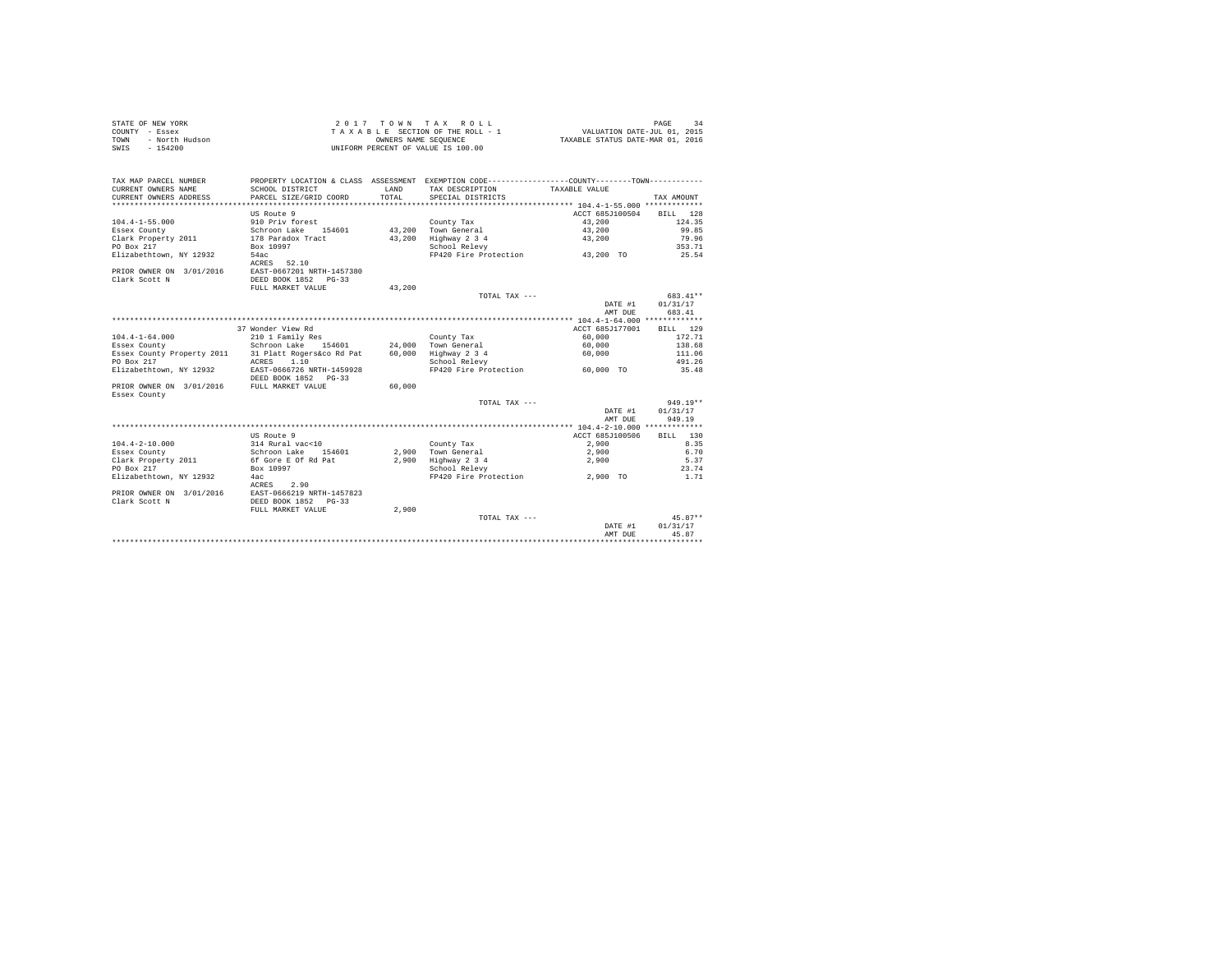| STATE OF NEW YORK      | 2017 TOWN TAX ROLL                 | PAGE<br>34                       |
|------------------------|------------------------------------|----------------------------------|
| COUNTY - Essex         | TAXABLE SECTION OF THE ROLL - 1    | VALUATION DATE-JUL 01, 2015      |
| TOWN<br>- North Hudson | OWNERS NAME SEOUENCE               | TAXABLE STATUS DATE-MAR 01, 2016 |
| - 154200<br>SWIS       | UNIFORM PERCENT OF VALUE IS 100.00 |                                  |

| TAX MAP PARCEL NUMBER<br>CURRENT OWNERS NAME<br>CURRENT OWNERS ADDRESS | PROPERTY LOCATION & CLASS ASSESSMENT EXEMPTION CODE---------------COUNTY-------TOWN---------<br>SCHOOL DISTRICT<br>PARCEL SIZE/GRID COORD | <b>T.AND</b><br>TOTAL. | TAX DESCRIPTION<br>SPECIAL DISTRICTS | TAXABLE VALUE   | TAX AMOUNT  |
|------------------------------------------------------------------------|-------------------------------------------------------------------------------------------------------------------------------------------|------------------------|--------------------------------------|-----------------|-------------|
|                                                                        |                                                                                                                                           |                        |                                      |                 |             |
|                                                                        | US Route 9                                                                                                                                |                        |                                      | ACCT 685J100504 | BILL<br>128 |
| $104.4 - 1 - 55.000$                                                   | 910 Priv forest                                                                                                                           |                        | County Tax                           | 43,200          | 124.35      |
| Essex County                                                           | Schroon Lake<br>154601                                                                                                                    | 43,200                 | Town General                         | 43,200          | 99.85       |
| Clark Property 2011                                                    | 178 Paradox Tract                                                                                                                         | 43,200                 | Highway 2 3 4                        | 43,200          | 79.96       |
| PO Box 217                                                             | Box 10997                                                                                                                                 |                        | School Relevy                        |                 | 353.71      |
| Elizabethtown, NY 12932                                                | 54ac<br>52.10<br>ACRES                                                                                                                    |                        | FP420 Fire Protection 43,200 TO      |                 | 25.54       |
| PRIOR OWNER ON 3/01/2016                                               | EAST-0667201 NRTH-1457380                                                                                                                 |                        |                                      |                 |             |
| Clark Scott N                                                          | DEED BOOK 1852 PG-33                                                                                                                      |                        |                                      |                 |             |
|                                                                        | FULL MARKET VALUE                                                                                                                         | 43,200                 |                                      |                 |             |
|                                                                        |                                                                                                                                           |                        | TOTAL TAX ---                        |                 | 683.41**    |
|                                                                        |                                                                                                                                           |                        |                                      | DATE #1         | 01/31/17    |
|                                                                        |                                                                                                                                           |                        |                                      | AMT DUE         | 683.41      |
|                                                                        |                                                                                                                                           |                        |                                      |                 |             |
|                                                                        | 37 Wonder View Rd                                                                                                                         |                        |                                      | ACCT 685J177001 | 129<br>BILL |
| $104.4 - 1 - 64.000$                                                   | 210 1 Family Res                                                                                                                          |                        | County Tax                           | 60,000          | 172.71      |
| Essex County                                                           | Schroon Lake<br>154601                                                                                                                    |                        | 24,000 Town General                  | 60,000          | 138.68      |
| Essex County Property 2011                                             | 31 Platt Rogers&co Rd Pat                                                                                                                 | 60,000                 | Highway 2 3 4                        | 60,000          | 111.06      |
| PO Box 217                                                             | 1.10<br>ACRES                                                                                                                             |                        | School Relevy                        |                 | 491.26      |
| Elizabethtown, NY 12932                                                | EAST-0666726 NRTH-1459928                                                                                                                 |                        | FP420 Fire Protection                | 60,000 TO       | 35.48       |
|                                                                        | DEED BOOK 1852 PG-33                                                                                                                      |                        |                                      |                 |             |
| PRIOR OWNER ON 3/01/2016                                               | FULL MARKET VALUE                                                                                                                         | 60,000                 |                                      |                 |             |
| Essex County                                                           |                                                                                                                                           |                        |                                      |                 |             |
|                                                                        |                                                                                                                                           |                        | TOTAL TAX ---                        |                 | $949.19**$  |
|                                                                        |                                                                                                                                           |                        |                                      | DATE #1         | 01/31/17    |
|                                                                        |                                                                                                                                           |                        |                                      | AMT DUE         | 949.19      |
|                                                                        |                                                                                                                                           |                        |                                      |                 |             |
|                                                                        | US Route 9                                                                                                                                |                        |                                      | ACCT 685J100506 | BTLL 130    |
| $104.4 - 2 - 10.000$                                                   | 314 Rural vac<10                                                                                                                          |                        | County Tax                           | 2,900           | 8.35        |
| Essex County                                                           | Schroon Lake 154601                                                                                                                       |                        | 2.900 Town General                   | 2,900           | 6.70        |
| Clark Property 2011                                                    | 6f Gore E Of Rd Pat                                                                                                                       | 2,900                  | Highway 2 3 4                        | 2,900           | 5.37        |
| PO Box 217                                                             | Box 10997                                                                                                                                 |                        | School Relevy                        |                 | 23.74       |
| Elizabethtown, NY 12932                                                | 4ac                                                                                                                                       |                        | FP420 Fire Protection                | 2.900 TO        | 1.71        |
|                                                                        | 2.90<br>ACRES                                                                                                                             |                        |                                      |                 |             |
| PRIOR OWNER ON 3/01/2016                                               | EAST-0666219 NRTH-1457823                                                                                                                 |                        |                                      |                 |             |
| Clark Scott N                                                          | DEED BOOK 1852 PG-33                                                                                                                      |                        |                                      |                 |             |
|                                                                        | FULL MARKET VALUE                                                                                                                         | 2,900                  |                                      |                 |             |
|                                                                        |                                                                                                                                           |                        | TOTAL TAX ---                        |                 | $45.87**$   |
|                                                                        |                                                                                                                                           |                        |                                      | DATE #1         | 01/31/17    |
|                                                                        |                                                                                                                                           |                        |                                      | AMT DUE         | 45.87       |
|                                                                        |                                                                                                                                           |                        |                                      |                 |             |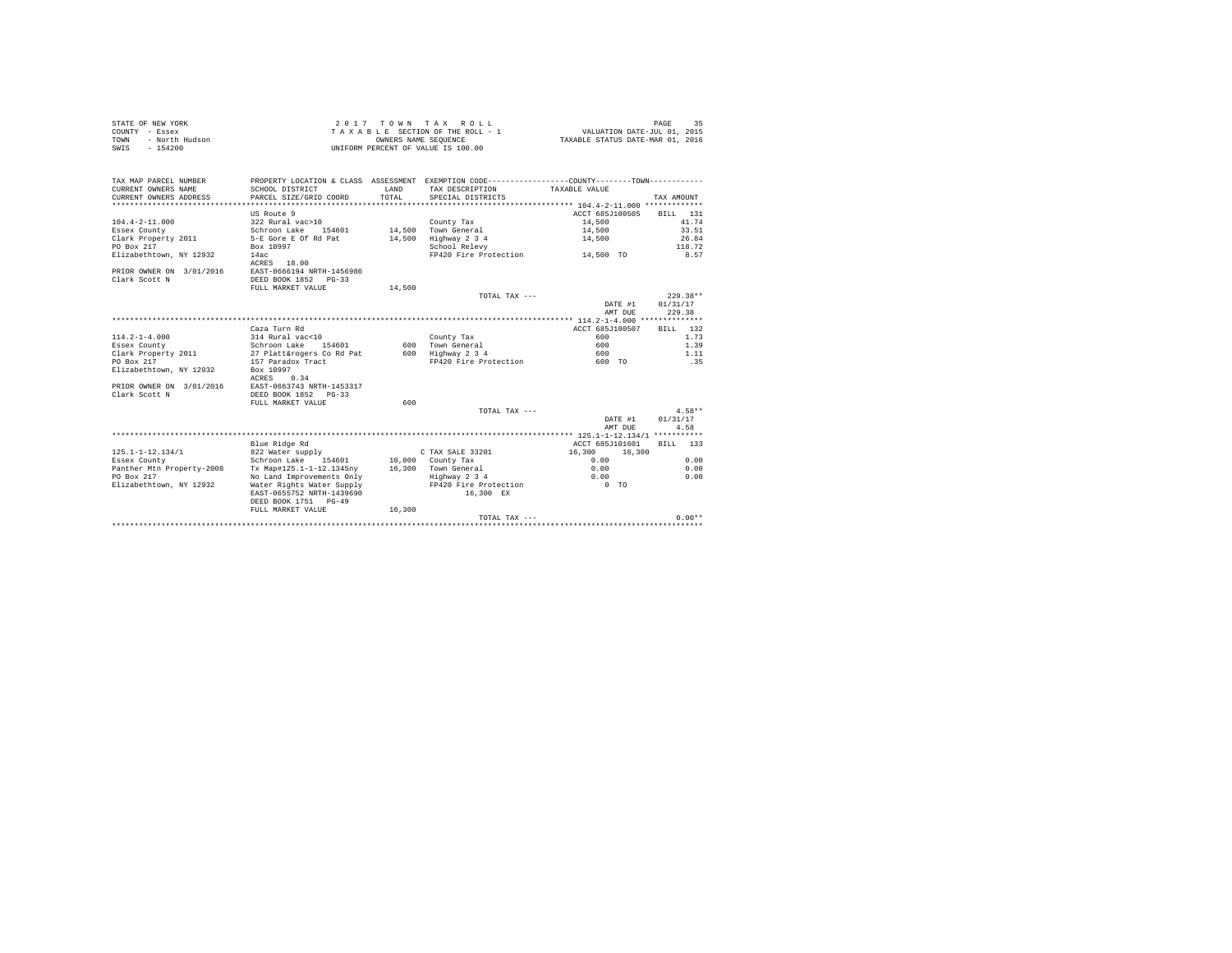| STATE OF NEW YORK      | 2017 TOWN TAX ROLL                 | PAGE                             |
|------------------------|------------------------------------|----------------------------------|
| COUNTY - Essex         | TAXABLE SECTION OF THE ROLL - 1    | VALUATION DATE-JUL 01, 2015      |
| TOWN<br>- North Hudson | OWNERS NAME SEOUENCE               | TAXABLE STATUS DATE-MAR 01, 2016 |
| - 154200<br>SWIS       | UNIFORM PERCENT OF VALUE IS 100.00 |                                  |

| TAX MAP PARCEL NUMBER<br>CURRENT OWNERS NAME<br>CURRENT OWNERS ADDRESS | PROPERTY LOCATION & CLASS ASSESSMENT EXEMPTION CODE---------------COUNTY-------TOWN----------<br>SCHOOL DISTRICT<br>PARCEL SIZE/GRID COORD | LAND<br>TOTAL. | TAX DESCRIPTION<br>SPECIAL DISTRICTS | TAXABLE VALUE    | TAX AMOUNT   |
|------------------------------------------------------------------------|--------------------------------------------------------------------------------------------------------------------------------------------|----------------|--------------------------------------|------------------|--------------|
|                                                                        | US Route 9                                                                                                                                 |                |                                      | ACCT 685J100505  | 131<br>RTLL. |
| $104.4 - 2 - 11.000$                                                   | 322 Rural vac>10                                                                                                                           |                | County Tax                           | 14,500           | 41.74        |
| Essex County                                                           | Schroon Lake 154601                                                                                                                        |                | 14.500 Town General                  | 14,500           | 33.51        |
| Clark Property 2011                                                    | 5-E Gore E Of Rd Pat                                                                                                                       | 14,500         | Highway 2 3 4                        | 14,500           | 26.84        |
| PO Box 217                                                             | Box 10997                                                                                                                                  |                | School Relevy                        |                  | 118.72       |
| Elizabethtown, NY 12932                                                | 14ac<br>ACRES 18.00                                                                                                                        |                | FP420 Fire Protection                | 14,500 TO        | 8.57         |
| PRIOR OWNER ON 3/01/2016                                               | EAST-0666194 NRTH-1456986                                                                                                                  |                |                                      |                  |              |
| Clark Scott N                                                          | DEED BOOK 1852 PG-33                                                                                                                       |                |                                      |                  |              |
|                                                                        | FULL MARKET VALUE                                                                                                                          | 14,500         |                                      |                  |              |
|                                                                        |                                                                                                                                            |                | TOTAL TAX ---                        |                  | $229.38**$   |
|                                                                        |                                                                                                                                            |                |                                      | DATE #1          | 01/31/17     |
|                                                                        |                                                                                                                                            |                |                                      | AMT DUE          | 229.38       |
|                                                                        |                                                                                                                                            |                |                                      |                  |              |
|                                                                        | Caza Turn Rd                                                                                                                               |                |                                      | ACCT 685J100507  | 132<br>BTLL. |
| $114.2 - 1 - 4.000$                                                    | 314 Rural vac<10                                                                                                                           |                | County Tax                           | 600              | 1.73         |
| Essex County                                                           | Schroon Lake<br>154601                                                                                                                     |                | 600 Town General                     | 600              | 1.39         |
| Clark Property 2011                                                    | 27 Platt&rogers Co Rd Pat                                                                                                                  |                | 600 Highway 2 3 4                    | 600              | 1.11         |
| PO Box 217                                                             | 157 Paradox Tract                                                                                                                          |                | FP420 Fire Protection                | 600 TO           | .35          |
| Elizabethtown, NY 12932                                                | Box 10997                                                                                                                                  |                |                                      |                  |              |
|                                                                        | 0.34<br>ACRES                                                                                                                              |                |                                      |                  |              |
| PRIOR OWNER ON 3/01/2016                                               | EAST-0663743 NRTH-1453317                                                                                                                  |                |                                      |                  |              |
| Clark Scott N                                                          | DEED BOOK 1852 PG-33                                                                                                                       |                |                                      |                  |              |
|                                                                        | FULL MARKET VALUE                                                                                                                          | 600            |                                      |                  |              |
|                                                                        |                                                                                                                                            |                | TOTAL TAX ---                        |                  | $4.58**$     |
|                                                                        |                                                                                                                                            |                |                                      | DATE #1          | 01/31/17     |
|                                                                        |                                                                                                                                            |                |                                      | AMT DUE          | 4.58         |
|                                                                        |                                                                                                                                            |                |                                      |                  |              |
|                                                                        | Blue Ridge Rd                                                                                                                              |                |                                      | ACCT 685J101601  | BILL 133     |
| $125.1 - 1 - 12.134/1$                                                 | 822 Water supply                                                                                                                           |                | C TAX SALE 33201                     | 16,300<br>16,300 |              |
| Essex County                                                           | Schroon Lake<br>154601                                                                                                                     |                | 10,000 County Tax                    | 0.00             | 0.00         |
| Panther Mtn Property-2008                                              | Tx Map#125.1-1-12.134Sny                                                                                                                   |                | 16,300 Town General                  | 0.00             | 0.00         |
| PO Box 217                                                             | No Land Improvements Only                                                                                                                  |                | Highway 2 3 4                        | 0.00             | 0.00         |
| Elizabethtown, NY 12932                                                | Water Rights Water Supply                                                                                                                  |                | FP420 Fire Protection                | $0$ TO           |              |
|                                                                        | EAST-0655752 NRTH-1439690<br>DEED BOOK 1751 PG-49                                                                                          |                | 16,300 EX                            |                  |              |
|                                                                        | FULL MARKET VALUE                                                                                                                          | 16,300         |                                      |                  |              |
|                                                                        |                                                                                                                                            |                | TOTAL TAX $---$                      |                  | $0.00**$     |
|                                                                        |                                                                                                                                            |                |                                      |                  |              |
|                                                                        |                                                                                                                                            |                |                                      |                  |              |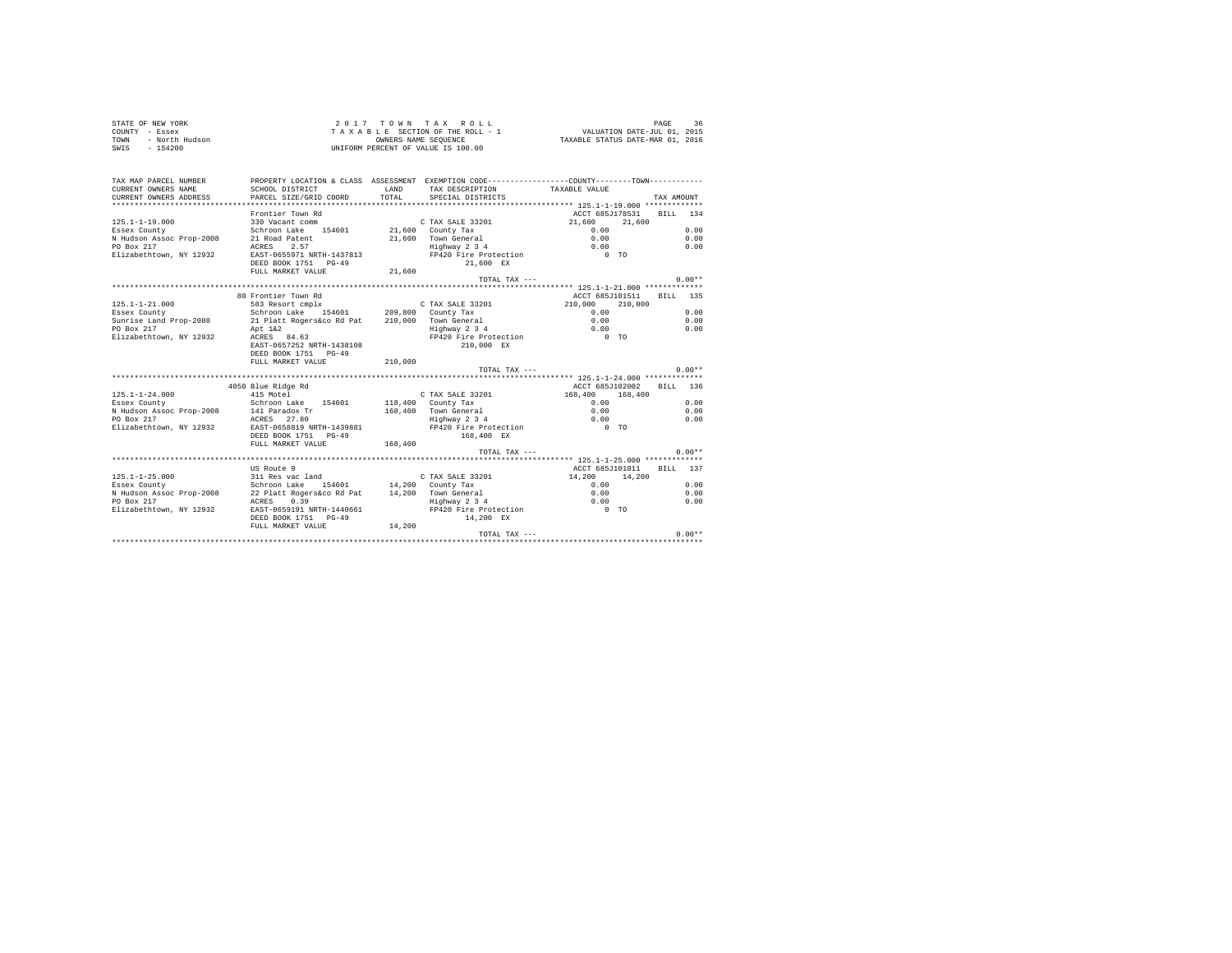| STATE OF NEW YORK      | 2017 TOWN TAX ROLL                 | 36<br>PAGE                       |
|------------------------|------------------------------------|----------------------------------|
| COUNTY - Essex         | TAXABLE SECTION OF THE ROLL - 1    | VALUATION DATE-JUL 01, 2015      |
| - North Hudson<br>TOWN | OWNERS NAME SEOUENCE               | TAXABLE STATUS DATE-MAR 01, 2016 |
| $-154200$<br>SWIS      | UNIFORM PERCENT OF VALUE IS 100.00 |                                  |

| TAX MAP PARCEL NUMBER<br>CURRENT OWNERS NAME | PROPERTY LOCATION & CLASS ASSESSMENT EXEMPTION CODE---------------COUNTY-------TOWN---------<br>SCHOOL DISTRICT | LAND    | TAX DESCRIPTION TAXABLE VALUE          |                                                     |            |
|----------------------------------------------|-----------------------------------------------------------------------------------------------------------------|---------|----------------------------------------|-----------------------------------------------------|------------|
| CURRENT OWNERS ADDRESS                       | PARCEL SIZE/GRID COORD                                                                                          | TOTAL.  | SPECIAL DISTRICTS                      |                                                     | TAX AMOUNT |
|                                              |                                                                                                                 |         |                                        |                                                     |            |
|                                              | Frontier Town Rd                                                                                                |         |                                        | ACCT 685J178531 BILL 134                            |            |
| $125.1 - 1 - 19.000$                         | 330 Vacant comm                                                                                                 |         | C TAX SALE 33201                       | 21,600 21,600                                       |            |
| Essex County                                 | Schroon Lake 154601 21,600 County Tax                                                                           |         |                                        | 0.00                                                | 0.00       |
| N Hudson Assoc Prop-2008                     | 21 Road Patent                                                                                                  |         |                                        | 0.00                                                | 0.00       |
| PO Box 217                                   | ACRES 2.57                                                                                                      |         | 21,600 Town General<br>Highway 2 3 4   | 0.00                                                | 0.00       |
| Elizabethtown, NY 12932                      | EAST-0655971 NRTH-1437813                                                                                       |         | FP420 Fire Protection 0 TO             |                                                     |            |
|                                              | DEED BOOK 1751 PG-49                                                                                            |         | 21,600 EX                              |                                                     |            |
|                                              | FULL MARKET VALUE                                                                                               | 21,600  |                                        |                                                     |            |
|                                              |                                                                                                                 |         | TOTAL TAX ---                          |                                                     | $0.00**$   |
|                                              |                                                                                                                 |         |                                        |                                                     |            |
|                                              | 80 Frontier Town Rd                                                                                             |         |                                        | ACCT 685J101511                                     | BILL 135   |
| $125.1 - 1 - 21.000$                         | 583 Resort cmplx                                                                                                |         |                                        | 210,000 210,000                                     |            |
| Essex County                                 |                                                                                                                 |         |                                        | 0.00                                                | 0.00       |
| Sunrise Land Prop-2008                       | 21 Platt Rogers&co Rd Pat 210,000 Town General                                                                  |         |                                        | 0.00                                                | 0.00       |
| PO Box 217                                   | Apt 1&2                                                                                                         |         | Highway 2 3 4<br>FP420 Fire Protection | $\begin{matrix} 0.00 \\ 0 & \text{TO} \end{matrix}$ | 0.00       |
| Elizabethtown, NY 12932                      | ACRES 84.63                                                                                                     |         |                                        |                                                     |            |
|                                              | EAST-0657252 NRTH-1438108                                                                                       |         | 210,000 EX                             |                                                     |            |
|                                              | DEED BOOK 1751 PG-49                                                                                            | 210,000 |                                        |                                                     |            |
|                                              | FULL MARKET VALUE                                                                                               |         |                                        |                                                     | $0.00**$   |
|                                              |                                                                                                                 |         | TOTAL TAX ---                          |                                                     |            |
|                                              | 4050 Blue Ridge Rd                                                                                              |         |                                        | ACCT 685J102002                                     | BTLL 136   |
| $125.1 - 1 - 24.000$                         | 415 Motel                                                                                                       |         | C TAX SALE 33201 168,400 168,400       |                                                     |            |
| Essex County                                 | Schroon Lake 154601                                                                                             |         | 118,400 County Tax                     | 0.00                                                | 0.00       |
| N Hudson Assoc Prop-2008                     | 141 Paradox Tr                                                                                                  |         | 168,400 Town General                   | 0.00                                                | 0.00       |
| PO Box 217                                   | ACRES 27.80                                                                                                     |         | Highway 2 3 4                          |                                                     | 0.00       |
| Elizabethtown, NY 12932                      | EAST-0658819 NRTH-1439881                                                                                       |         | FP420 Fire Protection                  | $\begin{matrix} 0.00 \\ 0 & \text{TO} \end{matrix}$ |            |
|                                              | DEED BOOK 1751 PG-49                                                                                            |         | 168,400 EX                             |                                                     |            |
|                                              | FULL MARKET VALUE                                                                                               | 168,400 |                                        |                                                     |            |
|                                              |                                                                                                                 |         | TOTAL TAX $---$                        |                                                     | $0.00**$   |
|                                              |                                                                                                                 |         |                                        |                                                     |            |
|                                              | US Route 9                                                                                                      |         |                                        | ACCT 685J101811 BILL 137                            |            |
| $125.1 - 1 - 25.000$                         | 311 Res vac land                                                                                                |         | C TAX SALE 33201                       | 14,200 14,200                                       |            |
| Essex County                                 | Schroon Lake 154601 14,200 County Tax                                                                           |         |                                        | 0.00                                                | 0.00       |
| N Hudson Assoc Prop-2008                     |                                                                                                                 |         |                                        |                                                     | 0.00       |
| PO Box 217                                   |                                                                                                                 |         |                                        |                                                     | 0.00       |
| Elizabethtown, NY 12932                      | EAST-0659191 NRTH-1440661                                                                                       |         |                                        |                                                     |            |
|                                              | DEED BOOK 1751 PG-49                                                                                            |         | 14,200 EX                              |                                                     |            |
|                                              | FULL MARKET VALUE                                                                                               | 14,200  |                                        |                                                     |            |
|                                              |                                                                                                                 |         | TOTAL TAX ---                          |                                                     | $0.00**$   |
|                                              |                                                                                                                 |         |                                        |                                                     |            |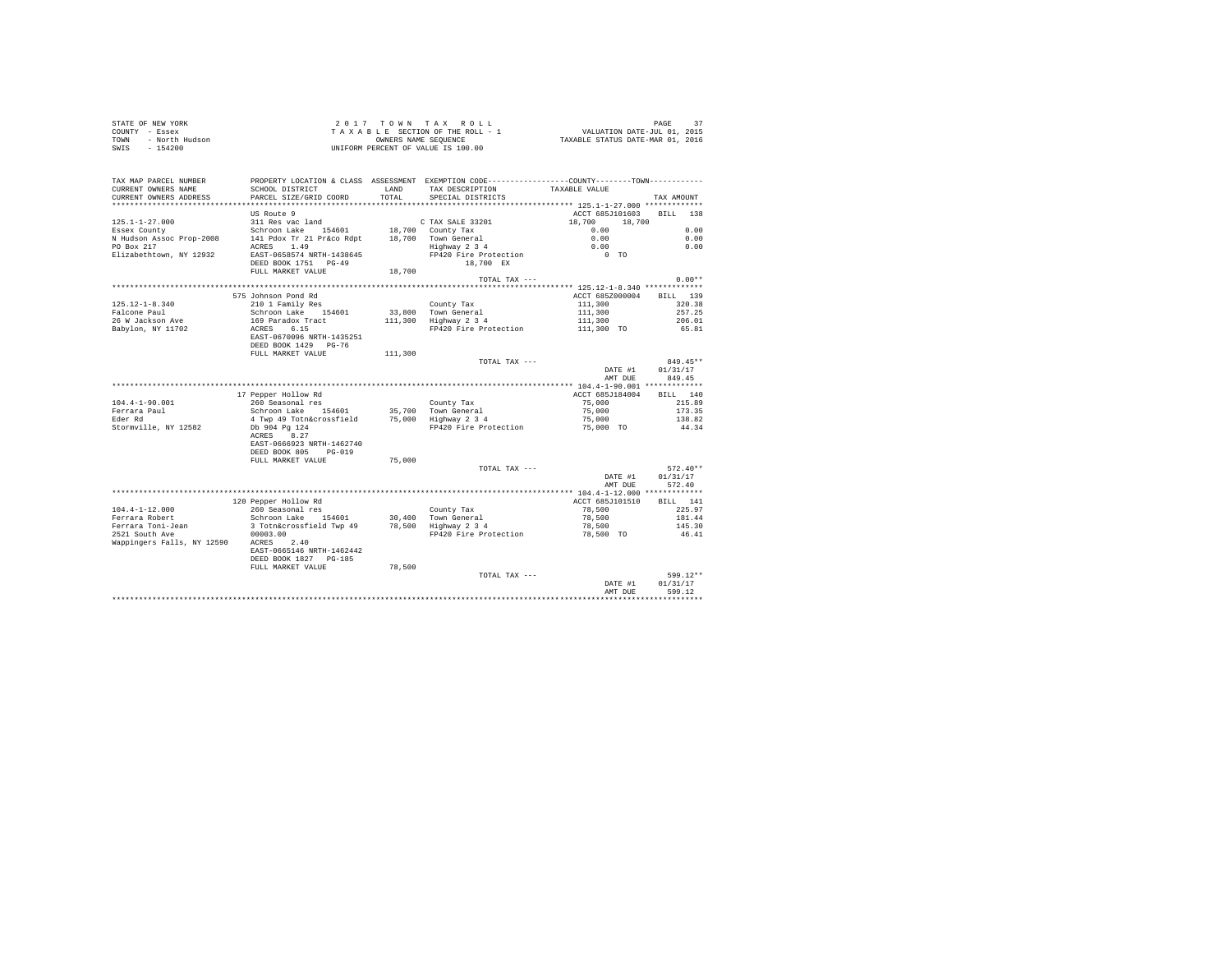| STATE OF NEW YORK      | 2017 TOWN TAX ROLL                 | PAGE                             |
|------------------------|------------------------------------|----------------------------------|
| COUNTY - Essex         | TAXABLE SECTION OF THE ROLL - 1    | VALUATION DATE-JUL 01, 2015      |
| TOWN<br>- North Hudson | OWNERS NAME SEOUENCE               | TAXABLE STATUS DATE-MAR 01, 2016 |
| $-154200$<br>SWIS      | UNIFORM PERCENT OF VALUE IS 100.00 |                                  |

|                                               |                                                                             |               |                                                                                              | AMT DUE                                 | 599.12               |
|-----------------------------------------------|-----------------------------------------------------------------------------|---------------|----------------------------------------------------------------------------------------------|-----------------------------------------|----------------------|
|                                               | EAST-0665146 NRTH-1462442<br>DEED BOOK 1827 PG-185<br>FULL MARKET VALUE     | 78,500        | TOTAL TAX ---                                                                                | DATE #1                                 | 599.12**<br>01/31/17 |
| 2521 South Ave<br>Wappingers Falls, NY 12590  | 00003.00<br>ACRES 2.40                                                      |               | FP420 Fire Protection                                                                        | 78,500 TO                               | 46.41                |
| Ferrara Toni-Jean                             | 3 Totn&crossfield Twp 49                                                    | 78,500        | Highway 2 3 4                                                                                | 78,500                                  | 145.30               |
| Ferrara Robert                                | Schroon Lake 154601                                                         |               | 30,400 Town General                                                                          | 78,500                                  | 181.44               |
| $104.4 - 1 - 12.000$                          | 120 Pepper Hollow Rd<br>260 Seasonal res                                    |               | County Tax                                                                                   | ACCT 685J101510<br>78,500               | BILL 141<br>225.97   |
|                                               |                                                                             |               |                                                                                              |                                         |                      |
|                                               |                                                                             |               |                                                                                              | DATE #1<br>AMT DUE                      | 01/31/17<br>572.40   |
|                                               | EAST-0666923 NRTH-1462740<br>DEED BOOK 805<br>$PG-019$<br>FULL MARKET VALUE | 75,000        | TOTAL TAX ---                                                                                |                                         | $572.40**$           |
| Stormville, NY 12582                          | Db 904 Pg 124<br>ACRES 8.27                                                 |               | FP420 Fire Protection                                                                        | 75,000 TO                               | 44.34                |
| Eder Rd                                       | 4 Twp 49 Totn&crossfield                                                    |               | 75,000 Highway 2 3 4                                                                         | 75,000                                  | 138.82               |
| Ferrara Paul                                  | Schroon Lake 154601                                                         |               | 35,700 Town General                                                                          | 75,000                                  | 173.35               |
| $104.4 - 1 - 90.001$                          | 260 Seasonal res                                                            |               | County Tax                                                                                   | 75,000                                  | 215.89               |
|                                               | 17 Pepper Hollow Rd                                                         |               |                                                                                              | ACCT 685J184004                         | BILL 140             |
|                                               |                                                                             |               |                                                                                              | AMT DUE                                 | 849.45               |
|                                               |                                                                             |               |                                                                                              | DATE #1                                 | 01/31/17             |
|                                               | FULL MARKET VALUE                                                           | 111,300       | TOTAL TAX ---                                                                                |                                         | 849.45**             |
|                                               | EAST-0670096 NRTH-1435251<br>DEED BOOK 1429 PG-76                           |               |                                                                                              |                                         |                      |
| Babylon, NY 11702                             | ACRES 6.15                                                                  |               | FP420 Fire Protection                                                                        | 111,300 TO                              | 65.81                |
| 26 W Jackson Ave                              | 169 Paradox Tract                                                           | 111,300       | Highway 2 3 4                                                                                | 111,300                                 | 206.01               |
| Falcone Paul                                  | Schroon Lake 154601                                                         | 33,800        | Town General                                                                                 | 111,300                                 | 257.25               |
| $125.12 - 1 - 8.340$                          | 575 Johnson Pond Rd<br>210 1 Family Res                                     |               | County Tax                                                                                   | ACCT 685Z000004<br>111,300              | BILL 139<br>320.38   |
|                                               |                                                                             |               |                                                                                              | ********** 125.12-1-8.340 ************* |                      |
|                                               | DEED BOOK 1751 PG-49<br>FULL MARKET VALUE                                   | 18,700        | 18,700 EX<br>TOTAL TAX ---                                                                   |                                         | $0.00**$             |
| Elizabethtown, NY 12932                       | EAST-0658574 NRTH-1438645                                                   |               | FP420 Fire Protection                                                                        | $0$ TO                                  |                      |
| N Hudson Assoc Prop-2008<br>PO Box 217        | 141 Pdox Tr 21 Pr&co Rdpt<br>1.49<br>ACRES                                  |               | 18,700 Town General<br>Highway 2 3 4                                                         | 0.00<br>0.00                            | 0.00<br>0.00         |
| Essex County                                  | Schroon Lake 154601                                                         |               | 18,700 County Tax                                                                            | 0.00                                    | 0.00                 |
| $125.1 - 1 - 27.000$                          | 311 Res vac land                                                            |               | C TAX SALE 33201                                                                             | 18,700<br>18,700                        |                      |
|                                               | US Route 9                                                                  |               |                                                                                              | ACCT 685J101603                         | <b>BILL</b><br>138   |
| **************************                    |                                                                             |               |                                                                                              |                                         |                      |
| CURRENT OWNERS NAME<br>CURRENT OWNERS ADDRESS | SCHOOL DISTRICT<br>PARCEL SIZE/GRID COORD                                   | LAND<br>TOTAL | TAX DESCRIPTION<br>SPECIAL DISTRICTS                                                         | TAXABLE VALUE                           | TAX AMOUNT           |
| TAX MAP PARCEL NUMBER                         |                                                                             |               | PROPERTY LOCATION & CLASS ASSESSMENT EXEMPTION CODE---------------COUNTY-------TOWN--------- |                                         |                      |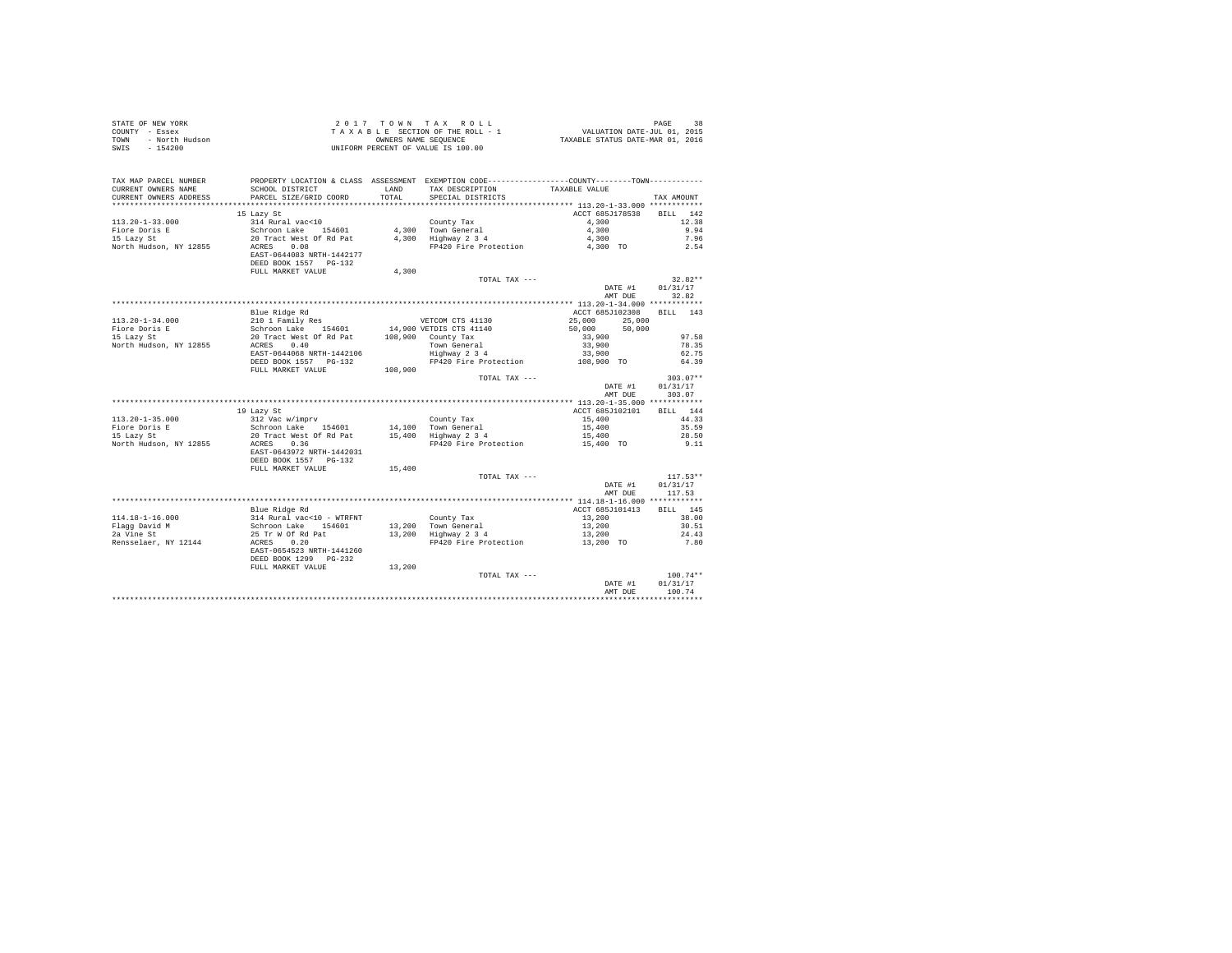| STATE OF NEW YORK<br>COUNTY - Essex<br>TOWN<br>- North Hudson<br>$-154200$<br>SWIS |                                                                                                                                         |               | UNIFORM PERCENT OF VALUE IS 100.00                                                                                                    |                    |                                  |
|------------------------------------------------------------------------------------|-----------------------------------------------------------------------------------------------------------------------------------------|---------------|---------------------------------------------------------------------------------------------------------------------------------------|--------------------|----------------------------------|
| TAX MAP PARCEL NUMBER<br>CURRENT OWNERS NAME<br>CURRENT OWNERS ADDRESS             | SCHOOL DISTRICT<br>PARCEL SIZE/GRID COORD                                                                                               | LAND<br>TOTAL | PROPERTY LOCATION & CLASS ASSESSMENT EXEMPTION CODE---------------COUNTY-------TOWN----------<br>TAX DESCRIPTION<br>SPECIAL DISTRICTS | TAXABLE VALUE      | TAX AMOUNT                       |
|                                                                                    |                                                                                                                                         |               |                                                                                                                                       |                    |                                  |
|                                                                                    | 15 Lazy St                                                                                                                              |               |                                                                                                                                       | ACCT 685J178538    | BILL 142                         |
| 113.20-1-33.000                                                                    | 314 Rural vac<10                                                                                                                        |               | County Tax                                                                                                                            | 4,300              | 12.38                            |
| Fiore Doris E                                                                      | Schroon Lake 154601<br>20 Tract West Of Rd Pat                                                                                          |               | County $\frac{1}{4}$ , 300 Town General<br>4,300 Town General<br>4,300 Highway 2 3 4                                                  | 4,300              | 9.94                             |
| 15 Lazy St<br>North Hudson, NY 12855 ACRES 0.08                                    |                                                                                                                                         |               | FP420 Fire Protection 4,300 TO                                                                                                        | 4,300              | 7.96<br>2.54                     |
|                                                                                    | EAST-0644083 NRTH-1442177<br>DEED BOOK 1557 PG-132                                                                                      |               |                                                                                                                                       |                    |                                  |
|                                                                                    | FULL MARKET VALUE                                                                                                                       | 4,300         |                                                                                                                                       |                    |                                  |
|                                                                                    |                                                                                                                                         |               | TOTAL TAX ---                                                                                                                         |                    | $32.82**$                        |
|                                                                                    |                                                                                                                                         |               |                                                                                                                                       | DATE #1<br>AMT DUE | 01/31/17<br>32.82                |
|                                                                                    | Blue Ridge Rd                                                                                                                           |               |                                                                                                                                       | ACCT 685J102308    | BILL 143                         |
| $113.20 - 1 - 34.000$                                                              | % 11130<br>210 1 Family Res<br>Schroon Lake 154601 14,900 VETDIS CTS 41140<br>20 Tract West Of Rd Pat 108,900 County Tax<br>ACRES  0.40 |               |                                                                                                                                       | 25,000<br>25,000   |                                  |
|                                                                                    |                                                                                                                                         |               |                                                                                                                                       | 50,000<br>50,000   |                                  |
| Fiore Doris E<br>15 Lazy St                                                        |                                                                                                                                         |               |                                                                                                                                       | 33,900             | 97.58                            |
| North Hudson, NY 12855                                                             |                                                                                                                                         |               |                                                                                                                                       |                    | 78.35                            |
|                                                                                    | EAST-0644068 NRTH-1442106                                                                                                               |               | Town General<br>Highway 2 3 4                                                                                                         | 33,900<br>33,900   | 62.75                            |
|                                                                                    | DEED BOOK 1557 PG-132                                                                                                                   |               | FP420 Fire Protection                                                                                                                 | 108,900 TO         | 64.39                            |
|                                                                                    | FULL MARKET VALUE                                                                                                                       | 108,900       |                                                                                                                                       |                    |                                  |
|                                                                                    |                                                                                                                                         |               | TOTAL TAX ---                                                                                                                         | DATE #1<br>AMT DUE | $303.07**$<br>01/31/17<br>303.07 |
|                                                                                    |                                                                                                                                         |               |                                                                                                                                       |                    |                                  |
|                                                                                    | 19 Lazy St                                                                                                                              |               |                                                                                                                                       | ACCT 685J102101    | BILL 144                         |
|                                                                                    |                                                                                                                                         |               | County Tax                                                                                                                            | 15,400             | 44.33                            |
|                                                                                    |                                                                                                                                         |               |                                                                                                                                       | 15,400             | 35.59                            |
|                                                                                    | Schroon Lake $154601$ $14,100$ Town General<br>20 Tract West of Rd Pat $15,400$ Highway 2 3 4                                           |               | FP420 Fire Protection 15,400 TO                                                                                                       | 15,400             | 28.50                            |
| North Hudson, NY 12855 ACRES 0.36                                                  | EAST-0643972 NRTH-1442031<br>DEED BOOK 1557 PG-132                                                                                      |               |                                                                                                                                       |                    | 9.11                             |
|                                                                                    | FULL MARKET VALUE                                                                                                                       | 15,400        |                                                                                                                                       |                    |                                  |
|                                                                                    |                                                                                                                                         |               | TOTAL TAX ---                                                                                                                         |                    | $117.53**$                       |
|                                                                                    |                                                                                                                                         |               |                                                                                                                                       | DATE #1<br>AMT DUE | 01/31/17<br>117.53               |
|                                                                                    |                                                                                                                                         |               |                                                                                                                                       |                    |                                  |
|                                                                                    | Blue Ridge Rd                                                                                                                           |               |                                                                                                                                       | ACCT 685J101413    | BTLL 145                         |
| 114.18-1-16.000                                                                    | 314 Rural vac<10 - WTRFNT<br>Schroon Lake 154601                                                                                        |               | County Tax                                                                                                                            |                    | 38.00                            |
| Flagg David M<br>2a Vine St                                                        |                                                                                                                                         |               | County Tax<br>13,200 Town General<br>13,200 Highway 2 3 4                                                                             |                    | 30.51                            |
|                                                                                    | 25 Tr W Of Rd Pat<br>ACRES 0.20                                                                                                         |               |                                                                                                                                       |                    | 24.43                            |
| Rensselaer, NY 12144                                                               | EAST-0654523 NRTH-1441260<br>DEED BOOK 1299 PG-232                                                                                      |               |                                                                                                                                       |                    | 7.80                             |
|                                                                                    | FULL MARKET VALUE                                                                                                                       | 13,200        |                                                                                                                                       |                    |                                  |
|                                                                                    |                                                                                                                                         |               | TOTAL TAX ---                                                                                                                         |                    | $100.74**$                       |
|                                                                                    |                                                                                                                                         |               |                                                                                                                                       | DATE #1<br>AMT DUE | 01/31/17<br>100.74               |
|                                                                                    |                                                                                                                                         |               |                                                                                                                                       |                    |                                  |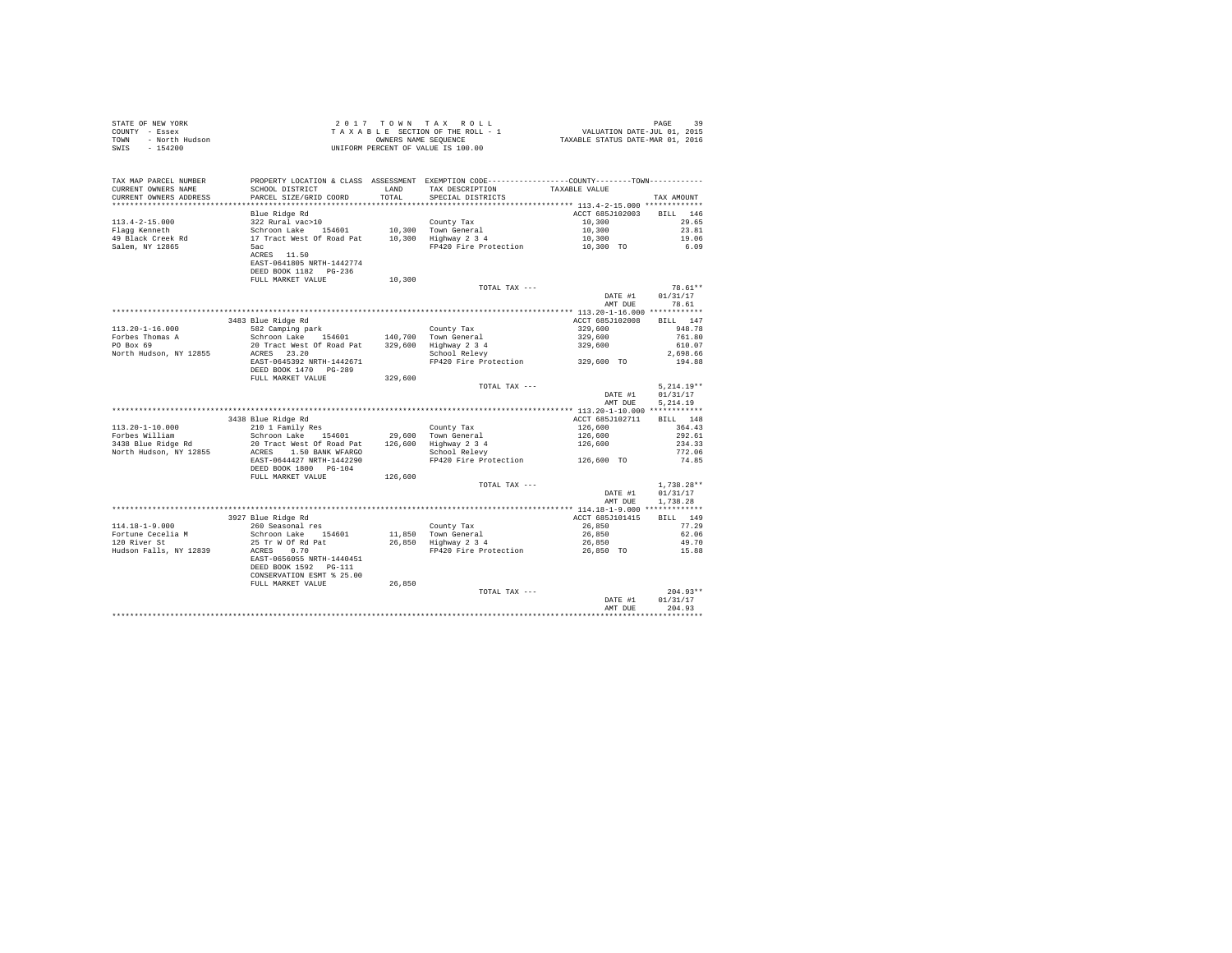| STATE OF NEW YORK<br>COUNTY - Essex<br>- North Hudson<br>TOWN<br>$-154200$<br>SWIS |                                                                                                                                                                                                         |         |                                                                                                                                                                                                                                                          |                                     |                                      |
|------------------------------------------------------------------------------------|---------------------------------------------------------------------------------------------------------------------------------------------------------------------------------------------------------|---------|----------------------------------------------------------------------------------------------------------------------------------------------------------------------------------------------------------------------------------------------------------|-------------------------------------|--------------------------------------|
| TAX MAP PARCEL NUMBER<br>CURRENT OWNERS NAME<br>CURRENT OWNERS ADDRESS             | SCHOOL DISTRICT LAND<br>PARCEL SIZE/GRID COORD                                                                                                                                                          | TOTAL   | PROPERTY LOCATION & CLASS ASSESSMENT EXEMPTION CODE---------------COUNTY-------TOWN---------<br>TAX DESCRIPTION<br>SPECIAL DISTRICTS                                                                                                                     | TAXABLE VALUE                       | TAX AMOUNT                           |
|                                                                                    | Blue Ridge Rd                                                                                                                                                                                           |         |                                                                                                                                                                                                                                                          | ACCT 685J102003 BILL 146            |                                      |
| $113.4 - 2 - 15.000$                                                               |                                                                                                                                                                                                         |         |                                                                                                                                                                                                                                                          | 10,300                              | 29.65                                |
| Flagg Kenneth                                                                      |                                                                                                                                                                                                         |         |                                                                                                                                                                                                                                                          |                                     | 23.81                                |
|                                                                                    |                                                                                                                                                                                                         |         |                                                                                                                                                                                                                                                          | $10,300$<br>$10,300$<br>$10,300$ TO | 19.06                                |
| 49 Black Creek Rd<br>Salem, NY 12865                                               | Elue Kinge Ka<br>S22 Rural vac>10<br>Schronn Lake 154601 10,300 Town General<br>17 Tract West of Road Pat 10,300 Tighway 2 3 4<br>5ac<br>ACRES 11.50 FP420 Fire Protection<br>RATE-0641805 NRTH-1442774 |         | FP420 Fire Protection                                                                                                                                                                                                                                    |                                     | 6.09                                 |
|                                                                                    | FULL MARKET VALUE                                                                                                                                                                                       | 10,300  |                                                                                                                                                                                                                                                          |                                     |                                      |
|                                                                                    |                                                                                                                                                                                                         |         | TOTAL TAX ---                                                                                                                                                                                                                                            |                                     | 78.61**                              |
|                                                                                    |                                                                                                                                                                                                         |         |                                                                                                                                                                                                                                                          | DATE #1                             | 01/31/17                             |
|                                                                                    |                                                                                                                                                                                                         |         |                                                                                                                                                                                                                                                          | AMT DUE                             | 78.61                                |
|                                                                                    |                                                                                                                                                                                                         |         |                                                                                                                                                                                                                                                          |                                     |                                      |
| $113.20 - 1 - 16.000$                                                              | 3483 Blue Ridge Rd<br>582 Camping park                                                                                                                                                                  |         |                                                                                                                                                                                                                                                          | ACCT 685J102008                     | BILL 147<br>948.78                   |
|                                                                                    |                                                                                                                                                                                                         |         |                                                                                                                                                                                                                                                          |                                     | 761.80                               |
| Forbes Thomas A<br>PO Box 69                                                       |                                                                                                                                                                                                         |         |                                                                                                                                                                                                                                                          | 329,600<br>329,600<br>329,600       | 610.07                               |
| North Hudson, NY 12855                                                             | 3483 Blue Ridge Rd<br>582 Camping park<br>Schroon Lake 154601 140,700 Town General<br>20 Tract West of Road Pat 329,600 Highway 234<br>ACRES 23.20<br>ACRES 23.20<br>ACRES 23.20                        |         |                                                                                                                                                                                                                                                          |                                     | 2.698.66                             |
|                                                                                    | EAST-0645392 NRTH-1442671<br>DEED BOOK 1470 PG-289                                                                                                                                                      |         | school Relevy<br>FP420 Fire Protection 529,600 TO                                                                                                                                                                                                        |                                     | 194.88                               |
|                                                                                    | FULL MARKET VALUE                                                                                                                                                                                       | 329,600 |                                                                                                                                                                                                                                                          |                                     |                                      |
|                                                                                    |                                                                                                                                                                                                         |         | TOTAL TAX ---                                                                                                                                                                                                                                            | DATE #1<br>AMT DUE                  | $5,214.19**$<br>01/31/17<br>5.214.19 |
|                                                                                    |                                                                                                                                                                                                         |         |                                                                                                                                                                                                                                                          |                                     |                                      |
|                                                                                    | 3438 Blue Ridge Rd                                                                                                                                                                                      |         |                                                                                                                                                                                                                                                          | ACCT 685J102711                     | BILL 148                             |
| $113.20 - 1 - 10.000$<br>Forbes William                                            | 210 1 Family Res                                                                                                                                                                                        |         |                                                                                                                                                                                                                                                          |                                     |                                      |
| 3438 Blue Ridge Rd                                                                 |                                                                                                                                                                                                         |         |                                                                                                                                                                                                                                                          |                                     |                                      |
| North Hudson, NY 12855                                                             |                                                                                                                                                                                                         |         |                                                                                                                                                                                                                                                          |                                     |                                      |
|                                                                                    | DEED BOOK 1800 PG-104                                                                                                                                                                                   |         | 438 Blue Range Rd<br>2010 I Family Res<br>2010 I Family Res<br>2010 I Family Res<br>2010 I Translate 154601<br>29,600 Town General<br>202.61 Translate 126,600<br>292.61<br>29.61 229.64.33<br>292.61<br>29.61 229.64.33<br>292.61<br>29.64437<br>29.71- |                                     |                                      |
|                                                                                    | FULL MARKET VALUE                                                                                                                                                                                       | 126,600 |                                                                                                                                                                                                                                                          |                                     |                                      |
|                                                                                    |                                                                                                                                                                                                         |         | TOTAL TAX ---                                                                                                                                                                                                                                            | DATE #1<br>AMT DUE                  | $1,738.28**$<br>01/31/17<br>1.738.28 |
|                                                                                    |                                                                                                                                                                                                         |         |                                                                                                                                                                                                                                                          |                                     |                                      |
|                                                                                    | 3927 Blue Ridge Rd                                                                                                                                                                                      |         |                                                                                                                                                                                                                                                          | ACCT 685J101415                     | BILL 149                             |
| 114.18-1-9.000                                                                     | 260 Seasonal res                                                                                                                                                                                        |         |                                                                                                                                                                                                                                                          | 26,850                              | 77.29                                |
| Fortune Cecelia M<br>120 River St                                                  | Schroon Lake 154601                                                                                                                                                                                     |         | County Tax<br>11,850 Town General<br>26,850 Highway 2 3 4<br>FP420 Fire Protection                                                                                                                                                                       | 26,850<br>26,850                    | 62.06                                |
| Hudson Falls, NY 12839                                                             | 25 Tr W Of Rd Pat<br>ACRES 0.70                                                                                                                                                                         |         |                                                                                                                                                                                                                                                          | 26,850 TO                           | 49.70<br>15.88                       |
|                                                                                    | EAST-0656055 NRTH-1440451<br>DEED BOOK 1592 PG-111<br>CONSERVATION ESMT % 25.00                                                                                                                         |         |                                                                                                                                                                                                                                                          |                                     |                                      |
|                                                                                    | FULL MARKET VALUE                                                                                                                                                                                       | 26,850  |                                                                                                                                                                                                                                                          |                                     |                                      |
|                                                                                    |                                                                                                                                                                                                         |         | TOTAL TAX ---                                                                                                                                                                                                                                            | DATE #1<br>AMT DUE                  | $204.93**$<br>01/31/17<br>204.93     |
|                                                                                    |                                                                                                                                                                                                         |         |                                                                                                                                                                                                                                                          |                                     |                                      |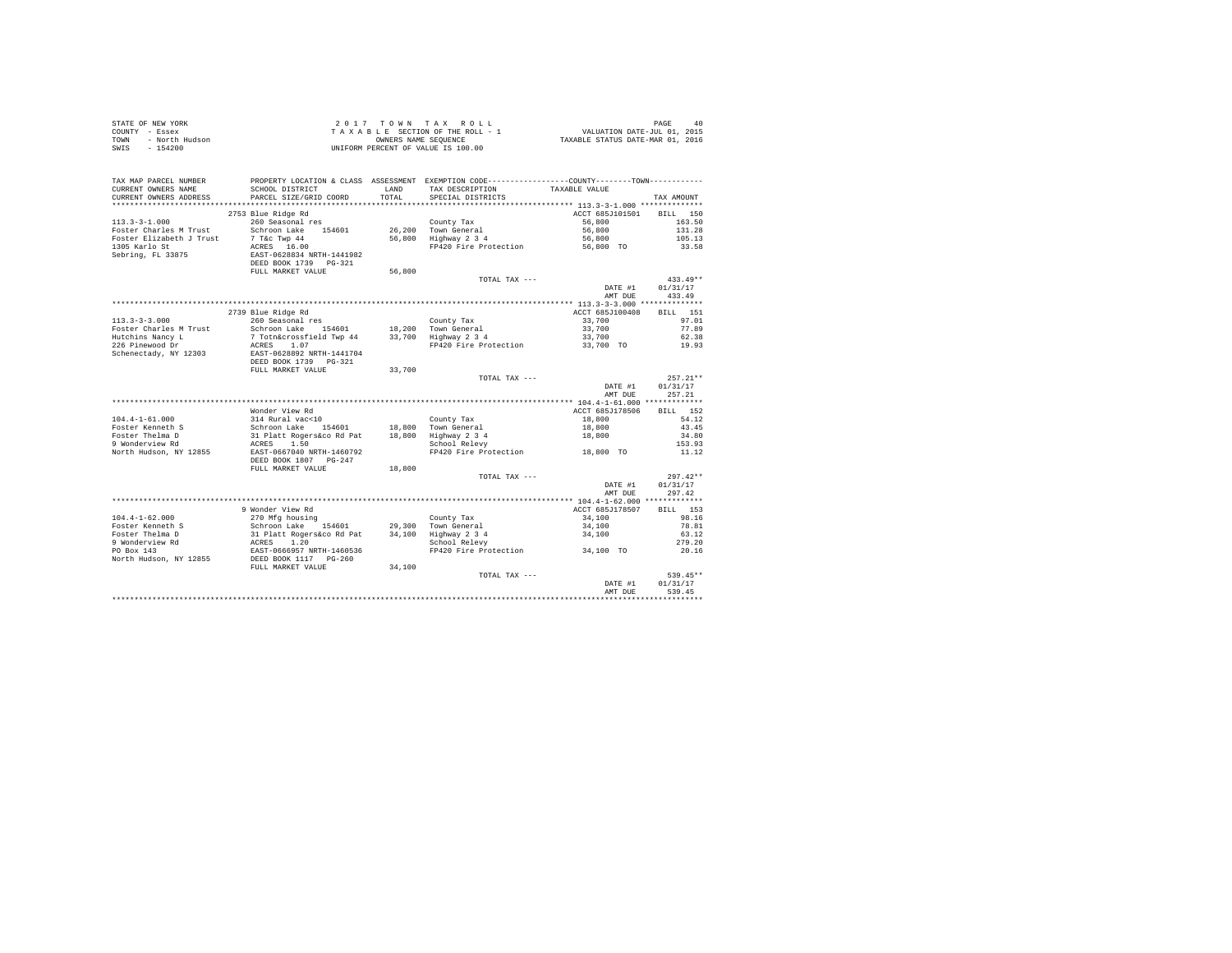|        | STATE OF NEW YORK     |                           |            | 2017 TOWN TAX ROLL                                            |                                  | 40<br>PAGE |
|--------|-----------------------|---------------------------|------------|---------------------------------------------------------------|----------------------------------|------------|
| COUNTY | - Essex               |                           |            | TAXABLE SECTION OF THE ROLL - 1                               | VALUATION DATE-JUL 01, 2015      |            |
| TOWN   | - North Hudson        |                           |            | OWNERS NAME SEOUENCE                                          | TAXABLE STATUS DATE-MAR 01, 2016 |            |
| SWIS   | $-154200$             |                           |            | UNIFORM PERCENT OF VALUE IS 100.00                            |                                  |            |
|        |                       |                           |            |                                                               |                                  |            |
|        |                       |                           |            |                                                               |                                  |            |
|        |                       |                           |            |                                                               |                                  |            |
|        | TAX MAP PARCEL NUMBER | PROPERTY LOCATION & CLASS | ASSESSMENT | EXEMPTION CODE-----------------COUNTY--------TOWN------------ |                                  |            |
|        | CURRENT OWNERS NAME   | SCHOOL DISTRICT           | LAND       | TAX DESCRIPTION                                               | TAXABLE VALUE                    |            |

| CURRENT OWNERS NAME      | SCHOOT DISIRICI            | LAND   | IAA DESCRIPTION       | TAAABLE VALUE                                 |                    |
|--------------------------|----------------------------|--------|-----------------------|-----------------------------------------------|--------------------|
| CURRENT OWNERS ADDRESS   | PARCEL SIZE/GRID COORD     | TOTAL  | SPECIAL DISTRICTS     |                                               | TAX AMOUNT         |
| .                        |                            |        |                       | **************** 113.3-3-1.000 ************** |                    |
|                          | 2753 Blue Ridge Rd         |        |                       | ACCT 685J101501                               | 150<br><b>BILL</b> |
| $113.3 - 3 - 1.000$      | 260 Seasonal res           |        | County Tax            | 56,800                                        | 163.50             |
| Foster Charles M Trust   | Schroon Lake<br>154601     | 26,200 | Town General          | 56,800                                        | 131.28             |
| Foster Elizabeth J Trust | 7 T&C Twp 44               | 56,800 | Highway 2 3 4         | 56,800                                        | 105.13             |
| 1305 Karlo St            | 16.00<br>ACRES             |        | FP420 Fire Protection | 56,800 TO                                     | 33.58              |
| Sebring, FL 33875        | EAST-0628834 NRTH-1441982  |        |                       |                                               |                    |
|                          |                            |        |                       |                                               |                    |
|                          | DEED BOOK 1739<br>$PG-321$ |        |                       |                                               |                    |
|                          | FULL MARKET VALUE          | 56,800 |                       |                                               |                    |
|                          |                            |        | TOTAL TAX ---         |                                               | $433.49**$         |
|                          |                            |        |                       | DATE #1                                       | 01/31/17           |
|                          |                            |        |                       | AMT DUE                                       | 433.49             |
|                          |                            |        |                       | ************ 113.3-3-3.000 **************     |                    |
|                          | 2739 Blue Ridge Rd         |        |                       | ACCT 685J100408                               | 151<br><b>BILL</b> |
| $113.3 - 3 - 3.000$      | 260 Seasonal res           |        | County Tax            | 33,700                                        | 97.01              |
| Foster Charles M Trust   | Schroon Lake<br>154601     | 18,200 | Town General          | 33,700                                        | 77.89              |
| Hutchins Nancy L         | 7 Totn&crossfield Twp 44   | 33,700 | Highway 2 3 4         | 33,700                                        | 62.38              |
| 226 Pinewood Dr          | ACRES<br>1.07              |        | FP420 Fire Protection | 33,700 TO                                     | 19.93              |
| Schenectady, NY 12303    | EAST-0628892 NRTH-1441704  |        |                       |                                               |                    |
|                          |                            |        |                       |                                               |                    |
|                          | DEED BOOK 1739<br>$PG-321$ |        |                       |                                               |                    |
|                          | FULL MARKET VALUE          | 33,700 |                       |                                               |                    |
|                          |                            |        | TOTAL TAX ---         |                                               | $257.21**$         |
|                          |                            |        |                       | DATE #1                                       | 01/31/17           |
|                          |                            |        |                       | AMT DUE                                       | 257.21             |
|                          |                            |        |                       |                                               |                    |
|                          | Wonder View Rd             |        |                       | ACCT 685J178506                               | 152<br>BILL        |
| $104.4 - 1 - 61.000$     | 314 Rural vac<10           |        | County Tax            | 18,800                                        | 54.12              |
| Foster Kenneth S         | Schroon Lake<br>154601     | 18,800 | Town General          | 18,800                                        | 43.45              |
| Foster Thelma D          | 31 Platt Rogers&co Rd Pat  | 18,800 | Highway 2 3 4         | 18,800                                        | 34.80              |
| 9 Wonderview Rd          | 1.50<br>ACRES              |        | School Relevy         |                                               | 153.93             |
| North Hudson, NY 12855   | EAST-0667040 NRTH-1460792  |        | FP420 Fire Protection | 18,800 TO                                     | 11.12              |
|                          | DEED BOOK 1807<br>$PG-247$ |        |                       |                                               |                    |
|                          | FULL MARKET VALUE          | 18,800 |                       |                                               |                    |
|                          |                            |        |                       |                                               | $297.42**$         |
|                          |                            |        | TOTAL TAX ---         |                                               |                    |
|                          |                            |        |                       | DATE #1                                       | 01/31/17           |
|                          |                            |        |                       | AMT DUE                                       | 297.42             |
|                          |                            |        |                       |                                               |                    |
|                          | 9 Wonder View Rd           |        |                       | ACCT 685J178507                               | <b>BILL</b><br>153 |
| $104.4 - 1 - 62.000$     | 270 Mfg housing            |        | County Tax            | 34,100                                        | 98.16              |
| Foster Kenneth S         | Schroon Lake<br>154601     | 29,300 | Town General          | 34,100                                        | 78.81              |
| Foster Thelma D          | 31 Platt Rogers&co Rd Pat  | 34,100 | Highway 2 3 4         | 34,100                                        | 63.12              |
| 9 Wonderview Rd          | 1.20<br>ACRES              |        | School Relevy         |                                               | 279.20             |
| PO Box 143               | EAST-0666957 NRTH-1460536  |        | FP420 Fire Protection | 34,100 TO                                     | 20.16              |
| North Hudson, NY 12855   | DEED BOOK 1117 PG-260      |        |                       |                                               |                    |
|                          | FULL MARKET VALUE          | 34,100 |                       |                                               |                    |
|                          |                            |        | TOTAL TAX ---         |                                               | 539.45**           |
|                          |                            |        |                       | DATE #1                                       | 01/31/17           |
|                          |                            |        |                       | AMT DUE                                       |                    |
|                          |                            |        |                       |                                               | 539.45             |
|                          |                            |        |                       |                                               |                    |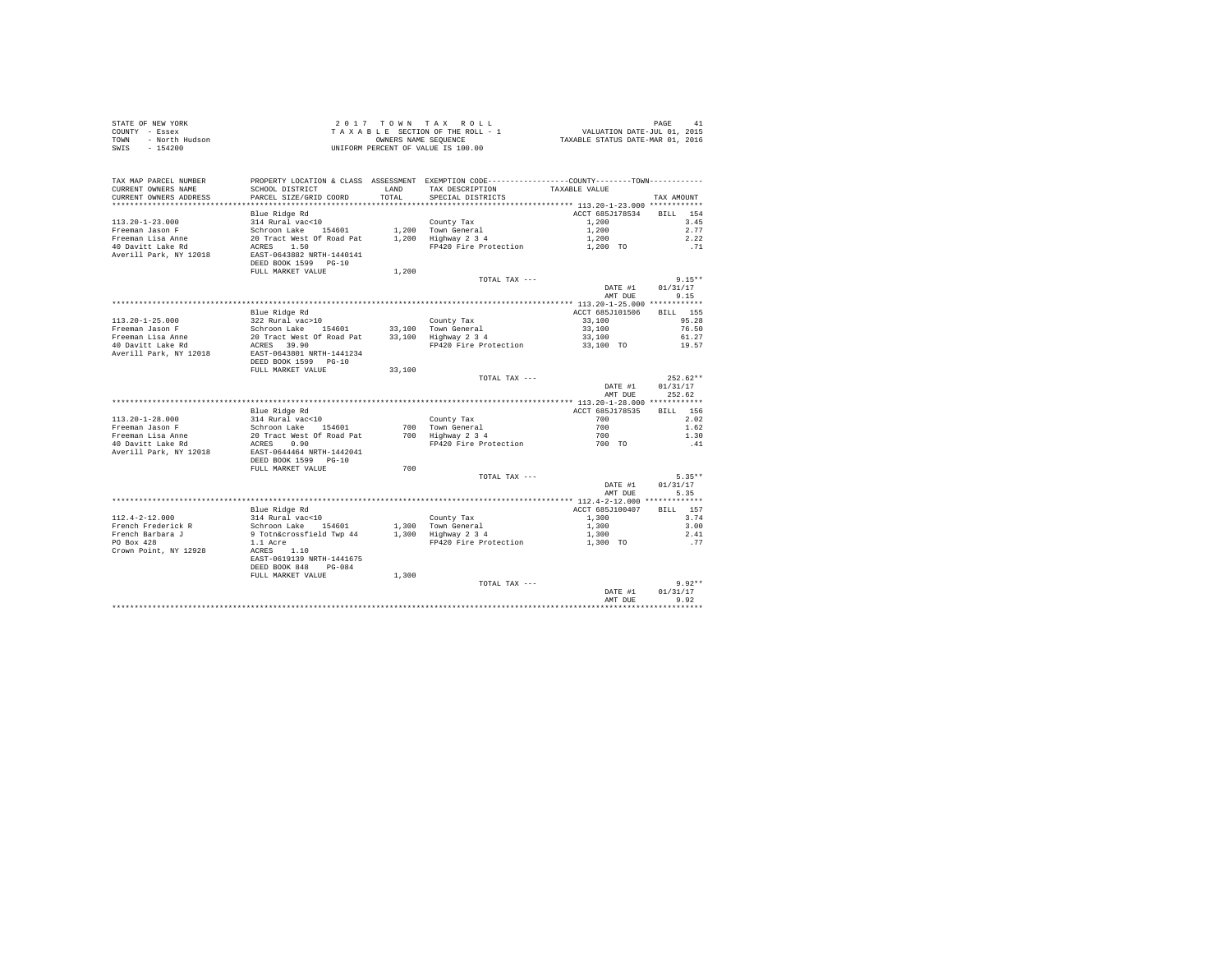| STATE OF NEW YORK             |                           |        | 2017 TOWN TAX ROLL                                                                            |                                  | PAGE<br>41       |
|-------------------------------|---------------------------|--------|-----------------------------------------------------------------------------------------------|----------------------------------|------------------|
| COUNTY - Essex                |                           |        | TAXABLE SECTION OF THE ROLL - 1                                                               | VALUATION DATE-JUL 01, 2015      |                  |
| - North Hudson<br><b>TOWN</b> |                           |        | OWNERS NAME SEQUENCE                                                                          | TAXABLE STATUS DATE-MAR 01, 2016 |                  |
| $-154200$<br>SWTS             |                           |        | UNIFORM PERCENT OF VALUE IS 100.00                                                            |                                  |                  |
|                               |                           |        |                                                                                               |                                  |                  |
|                               |                           |        |                                                                                               |                                  |                  |
| TAX MAP PARCEL NUMBER         |                           |        | PROPERTY LOCATION & CLASS ASSESSMENT EXEMPTION CODE---------------COUNTY-------TOWN---------- |                                  |                  |
| CURRENT OWNERS NAME           | SCHOOL DISTRICT           | LAND   | TAX DESCRIPTION                                                                               | TAXABLE VALUE                    |                  |
| CURRENT OWNERS ADDRESS        | PARCEL SIZE/GRID COORD    | TOTAL  | SPECIAL DISTRICTS                                                                             |                                  | TAX AMOUNT       |
|                               |                           |        |                                                                                               |                                  |                  |
|                               | Blue Ridge Rd             |        |                                                                                               | ACCT 685J178534                  | BILL 154         |
| $113.20 - 1 - 23.000$         | 314 Rural vac<10          |        | County Tax                                                                                    | 1,200                            | 3.45             |
| Freeman Jason F               | Schroon Lake 154601       |        | 1,200 Town General                                                                            | 1,200                            | 2.77             |
| Freeman Lisa Anne             | 20 Tract West Of Road Pat |        | 1,200 Highway 2 3 4                                                                           | 1,200                            | 2.22             |
| 40 Davitt Lake Rd             | ACRES 1.50                |        | FP420 Fire Protection                                                                         | 1,200 TO                         | .71              |
| Averill Park, NY 12018        | EAST-0643882 NRTH-1440141 |        |                                                                                               |                                  |                  |
|                               | DEED BOOK 1599 PG-10      |        |                                                                                               |                                  |                  |
|                               | FULL MARKET VALUE         | 1,200  |                                                                                               |                                  |                  |
|                               |                           |        | TOTAL TAX ---                                                                                 |                                  | $9.15**$         |
|                               |                           |        |                                                                                               |                                  |                  |
|                               |                           |        |                                                                                               | DATE #1                          | 01/31/17<br>9.15 |
|                               |                           |        |                                                                                               | AMT DUE                          |                  |
|                               |                           |        |                                                                                               |                                  |                  |
|                               | Blue Ridge Rd             |        |                                                                                               | ACCT 685J101506                  | BILL 155         |
| 113.20-1-25.000               | 322 Rural vac>10          |        | County Tax                                                                                    | 33,100                           | 95.28            |
| Freeman Jason F               | Schroon Lake 154601       |        | 33,100 Town General                                                                           | 33,100                           | 76.50            |
| Freeman Lisa Anne             | 20 Tract West Of Road Pat |        | 33,100 Highway 2 3 4                                                                          | 33,100                           | 61.27            |
| 40 Davitt Lake Rd             | ACRES 39.90               |        | FP420 Fire Protection                                                                         | 33,100 TO                        | 19.57            |
| Averill Park, NY 12018        | EAST-0643801 NRTH-1441234 |        |                                                                                               |                                  |                  |
|                               | DEED BOOK 1599 PG-10      |        |                                                                                               |                                  |                  |
|                               | FULL MARKET VALUE         | 33,100 |                                                                                               |                                  |                  |
|                               |                           |        | TOTAL TAX ---                                                                                 |                                  | $252.62**$       |
|                               |                           |        |                                                                                               | DATE #1                          | 01/31/17         |
|                               |                           |        |                                                                                               | AMT DUE                          | 252.62           |
|                               |                           |        |                                                                                               |                                  |                  |
|                               | Blue Ridge Rd             |        |                                                                                               | ACCT 685J178535                  | BILL 156         |
| $113.20 - 1 - 28.000$         | 314 Rural vac<10          |        | County Tax                                                                                    | 700                              | 2.02             |
| Freeman Jason F               | Schroon Lake 154601       |        | 700 Town General                                                                              | 700                              | 1.62             |
| Freeman Lisa Anne             | 20 Tract West Of Road Pat |        | 700 Highway 2 3 4                                                                             | 700                              | 1.30             |
| 40 Davitt Lake Rd             | ACRES 0.90                |        | FP420 Fire Protection                                                                         | 700 TO                           | .41              |
| Averill Park, NY 12018        | EAST-0644464 NRTH-1442041 |        |                                                                                               |                                  |                  |
|                               |                           |        |                                                                                               |                                  |                  |
|                               | DEED BOOK 1599 PG-10      |        |                                                                                               |                                  |                  |
|                               | FULL MARKET VALUE         | 700    |                                                                                               |                                  |                  |
|                               |                           |        | TOTAL TAX ---                                                                                 |                                  | $5.35**$         |
|                               |                           |        |                                                                                               | DATE #1                          | 01/31/17         |
|                               |                           |        |                                                                                               | AMT DUE                          | 5.35             |
|                               |                           |        |                                                                                               |                                  |                  |
|                               | Blue Ridge Rd             |        |                                                                                               | ACCT 685J100407                  | BILL 157         |
| 112.4-2-12.000                | 314 Rural vac<10          |        | County Tax                                                                                    | 1,300                            | 3.74             |
| French Frederick R            | Schroon Lake 154601       | 1,300  | Town General                                                                                  | 1,300                            | 3.00             |
| French Barbara J              | 9 Totn&crossfield Twp 44  |        | 1,300 Highway 2 3 4                                                                           | 1,300                            | 2.41             |
| PO Box 428                    | 1.1 Acre                  |        | FP420 Fire Protection                                                                         | 1,300 TO                         | .77              |
| Crown Point, NY 12928         | ACRES 1.10                |        |                                                                                               |                                  |                  |
|                               | EAST-0619139 NRTH-1441675 |        |                                                                                               |                                  |                  |
|                               | DEED BOOK 848<br>$PG-084$ |        |                                                                                               |                                  |                  |
|                               | FULL MARKET VALUE         | 1,300  |                                                                                               |                                  |                  |
|                               |                           |        | TOTAL TAX ---                                                                                 |                                  | $9.92**$         |
|                               |                           |        |                                                                                               | DATE #1                          | 01/31/17         |
|                               |                           |        |                                                                                               | AMT DUE                          | 9.92             |
|                               |                           |        |                                                                                               |                                  |                  |
|                               |                           |        |                                                                                               |                                  |                  |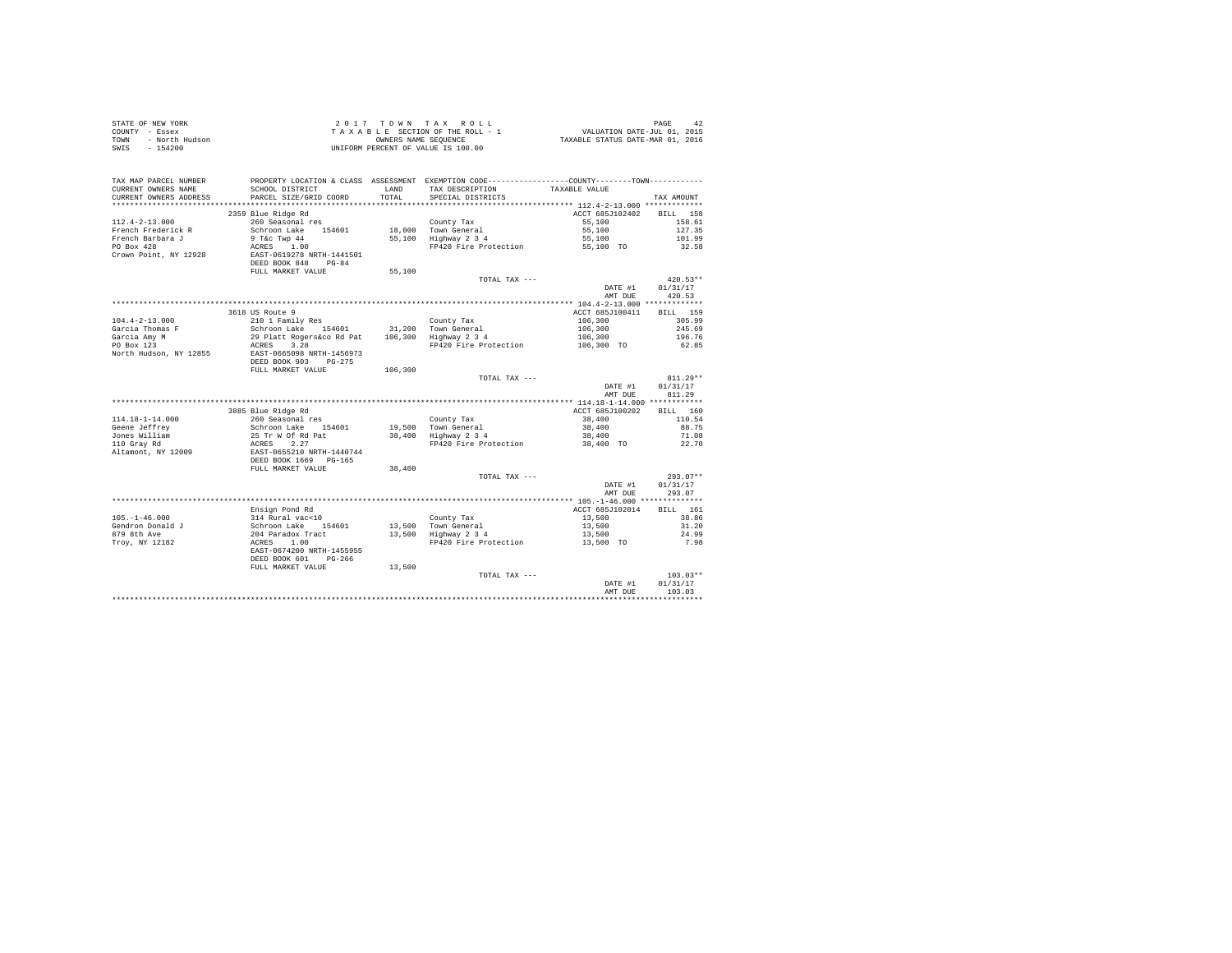| STATE OF NEW YORK |                | 2017 TOWN TAX ROLL                 | 42<br>PAGE                       |
|-------------------|----------------|------------------------------------|----------------------------------|
| COUNTY - Essex    |                | TAXABLE SECTION OF THE ROLL - 1    | VALUATION DATE-JUL 01, 2015      |
| TOWN              | - North Hudson | OWNERS NAME SEOUENCE               | TAXABLE STATUS DATE-MAR 01, 2016 |
| SWIS              | - 154200       | UNIFORM PERCENT OF VALUE IS 100.00 |                                  |

|                                 |                                                                                                         |         |                                             | AMT DUE                                                 | 103.03                 |
|---------------------------------|---------------------------------------------------------------------------------------------------------|---------|---------------------------------------------|---------------------------------------------------------|------------------------|
|                                 |                                                                                                         |         | TOTAL TAX ---                               | DATE #1                                                 | $103.03**$<br>01/31/17 |
|                                 | FULL MARKET VALUE                                                                                       | 13,500  |                                             |                                                         |                        |
|                                 | DEED BOOK 601<br>PG-266                                                                                 |         |                                             |                                                         |                        |
| Troy, NY 12182                  | 314 Rural vac<10<br>Schroon Lake 154601<br>204 Paradox Tract<br>ACRES 1.00<br>EAST-0674200 NRTH-1455955 |         | FP420 Fire Protection 13,500 TO             |                                                         | 7.98                   |
| 879 8th Ave                     |                                                                                                         |         | 13,500 Town General<br>13,500 Highway 2 3 4 | 13,500                                                  | 24.99                  |
| Gendron Donald J                |                                                                                                         |         |                                             | 13,500                                                  | 31.20                  |
| $105. - 1 - 46.000$             |                                                                                                         |         | County Tax                                  | 13,500                                                  | 38.86                  |
|                                 | Ensign Pond Rd                                                                                          |         |                                             | ACCT 685J102014                                         | BILL 161               |
|                                 |                                                                                                         |         |                                             |                                                         |                        |
|                                 |                                                                                                         |         |                                             | AMT DUE                                                 | 293.07                 |
|                                 |                                                                                                         |         | TOTAL TAX ---                               |                                                         | DATE #1 01/31/17       |
|                                 | FULL MARKET VALUE                                                                                       | 38,400  |                                             |                                                         | $293.07**$             |
|                                 | DEED BOOK 1669 PG-165                                                                                   |         |                                             |                                                         |                        |
| Altamont, NY 12009              |                                                                                                         |         |                                             |                                                         |                        |
| 110 Gray Rd                     |                                                                                                         |         | FP420 Fire Protection                       | 38,400 TO                                               | 22.70                  |
| Jones William                   |                                                                                                         |         |                                             | 38,400                                                  | 71.08                  |
| Geene Jeffrey                   |                                                                                                         |         | 19,500 Town General<br>38,400 Highway 2 3 4 | 38,400                                                  | 88.75                  |
| $114.18 - 1 - 14.000$           |                                                                                                         |         | County Tax                                  | 38,400                                                  | 110.54                 |
|                                 | 3885 Blue Ridge Rd                                                                                      |         |                                             | ACCT 685J100202                                         | BILL 160               |
|                                 |                                                                                                         |         |                                             |                                                         |                        |
|                                 |                                                                                                         |         |                                             | AMT DUE                                                 | 811.29                 |
|                                 |                                                                                                         |         |                                             | DATE #1                                                 | 01/31/17               |
|                                 |                                                                                                         |         | TOTAL TAX ---                               |                                                         | $811.29**$             |
|                                 | FULL MARKET VALUE                                                                                       | 106,300 |                                             |                                                         |                        |
|                                 | EAST-0665098 NRTH-1456973<br>DEED BOOK 903 PG-275                                                       |         |                                             |                                                         |                        |
| North Hudson, NY 12855          |                                                                                                         |         |                                             |                                                         |                        |
| PO Box 123                      |                                                                                                         |         | FP420 Fire Protection                       |                                                         | 62.85                  |
| Garcia Thomas F<br>Garcia Amy M |                                                                                                         |         |                                             |                                                         | 245.69<br>196.76       |
| $104.4 - 2 - 13.000$            |                                                                                                         |         |                                             | $106, 300$<br>$106, 300$<br>$106, 300$<br>$106, 300$ TO | 305.99                 |
|                                 | 3618 US Route 9                                                                                         |         |                                             | ACCT 685J100411                                         | <b>BILL</b> 159        |
|                                 |                                                                                                         |         |                                             |                                                         |                        |
|                                 |                                                                                                         |         |                                             | AMT DUE                                                 | 420.53                 |
|                                 |                                                                                                         |         |                                             |                                                         | DATE #1 01/31/17       |
|                                 |                                                                                                         |         | TOTAL TAX ---                               |                                                         | $420.53**$             |
|                                 | FULL MARKET VALUE                                                                                       | 55,100  |                                             |                                                         |                        |
|                                 | DEED BOOK 848<br>$PG-84$                                                                                |         |                                             |                                                         |                        |
| Crown Point, NY 12928           | EAST-0619278 NRTH-1441501                                                                               |         |                                             |                                                         |                        |
| PO Box 428                      | 9 T&C Twp 44<br>ACRES 1.00<br>1.00                                                                      |         | FP420 Fire Protection                       | 55,100 TO                                               | 32.58                  |
| French Barbara J                |                                                                                                         |         | 55,100 Highway 2 3 4                        | 55,100                                                  | 101.99                 |
| French Frederick R              | Schroon Lake 154601                                                                                     |         | 18,000 Town General                         | 55,100                                                  | 127.35                 |
| $112.4 - 2 - 13.000$            | 260 Seasonal res                                                                                        |         | County Tax                                  | 55,100                                                  | 158.61                 |
|                                 | 2359 Blue Ridge Rd                                                                                      |         |                                             | ACCT 685J102402                                         | BILL 158               |
| ********************            | **************************                                                                              |         |                                             |                                                         |                        |
| CURRENT OWNERS ADDRESS          | PARCEL SIZE/GRID COORD                                                                                  | TOTAL   | SPECIAL DISTRICTS                           |                                                         | TAX AMOUNT             |
| CURRENT OWNERS NAME             | SCHOOL DISTRICT                                                                                         | LAND    | TAX DESCRIPTION                             | TAXABLE VALUE                                           |                        |
| TAX MAP PARCEL NUMBER           | PROPERTY LOCATION & CLASS ASSESSMENT EXEMPTION CODE---------------COUNTY-------TOWN----------           |         |                                             |                                                         |                        |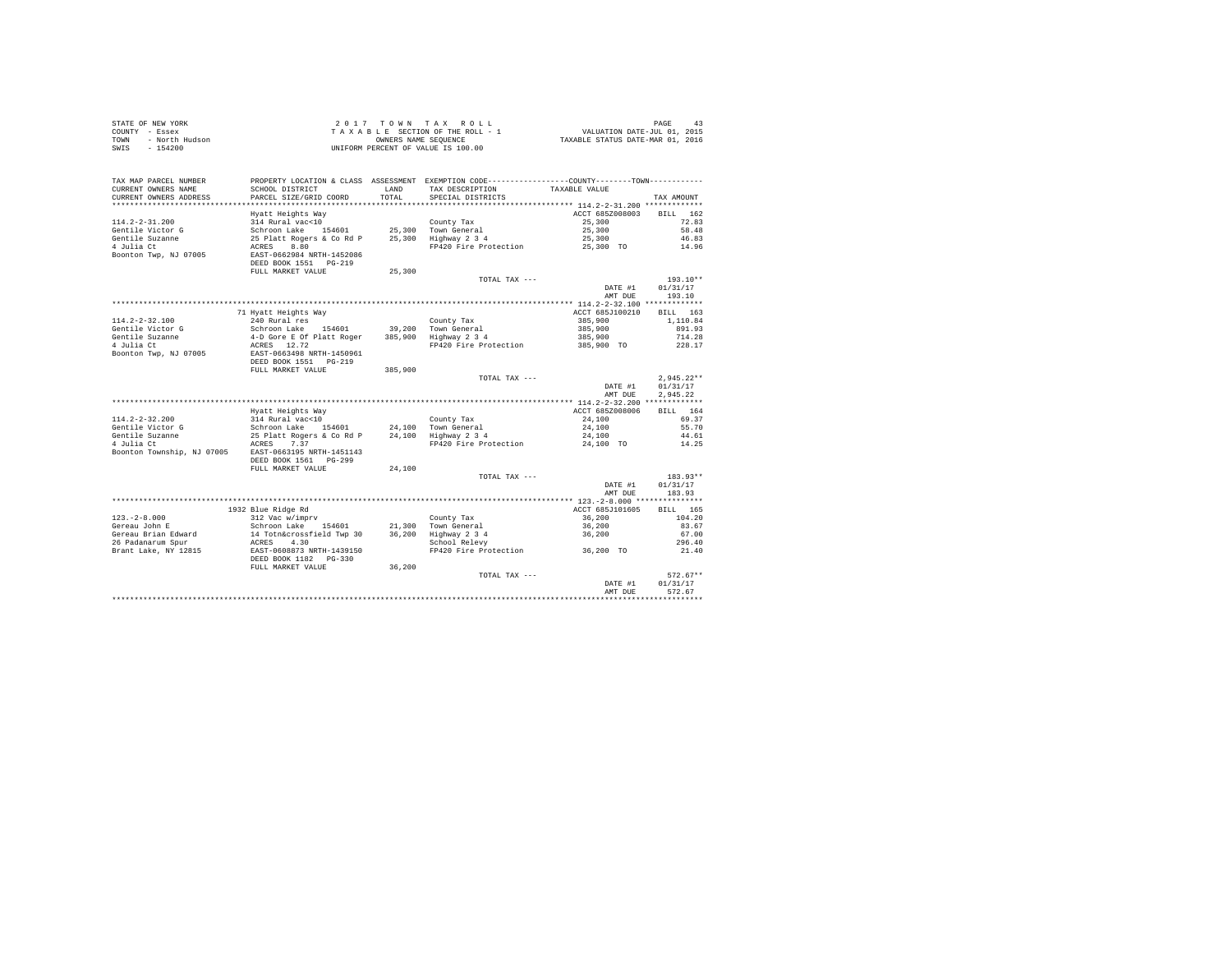| STATE OF NEW YORK<br>OF NEW YORK<br>$Y =$ Basex<br>- North Hudson<br>$Y = 0.00$<br>COUNTY - Essex<br>TOWN<br>SWIS<br>$-154200$                                                                                                                     |                                                                                                                                                                          |         | 2017 TOWN TAX ROLL<br>UNIFORM PERCENT OF VALUE IS 100.00                                     |                     | PAGE                     |
|----------------------------------------------------------------------------------------------------------------------------------------------------------------------------------------------------------------------------------------------------|--------------------------------------------------------------------------------------------------------------------------------------------------------------------------|---------|----------------------------------------------------------------------------------------------|---------------------|--------------------------|
| TAX MAP PARCEL NUMBER                                                                                                                                                                                                                              |                                                                                                                                                                          |         | PROPERTY LOCATION & CLASS ASSESSMENT EXEMPTION CODE---------------COUNTY-------TOWN--------- |                     |                          |
| CURRENT OWNERS NAME                                                                                                                                                                                                                                | SCHOOL DISTRICT                                                                                                                                                          | LAND    | TAX DESCRIPTION                                                                              | TAXABLE VALUE       |                          |
| CURRENT OWNERS ADDRESS                                                                                                                                                                                                                             | PARCEL SIZE/GRID COORD                                                                                                                                                   | TOTAL.  | SPECIAL DISTRICTS                                                                            |                     | TAX AMOUNT               |
|                                                                                                                                                                                                                                                    |                                                                                                                                                                          |         |                                                                                              |                     |                          |
|                                                                                                                                                                                                                                                    | Hyatt Heights Way                                                                                                                                                        |         |                                                                                              | ACCT 685Z008003     | BILL 162                 |
| $114.2 - 2 - 31.200$                                                                                                                                                                                                                               | 314 Rural vac<10                                                                                                                                                         |         | County Tax                                                                                   | 25,300              | 72.83                    |
| Gentile Victor G                                                                                                                                                                                                                                   | Schroon Lake 154601<br>25 Platt Rogers & Co Rd P 25,300 Highway 2 3 4                                                                                                    |         | 25,300 Town General                                                                          | 25,300              | 58.48                    |
| Gentile Suzanne<br>4 Julia Ct                                                                                                                                                                                                                      |                                                                                                                                                                          |         | FP420 Fire Protection                                                                        | 25,300<br>25,300 TO | 46.83<br>14.96           |
| Boonton Twp, NJ 07005                                                                                                                                                                                                                              | ACRES 8.80<br>EAST-0662984 NRTH-1452086                                                                                                                                  |         |                                                                                              |                     |                          |
|                                                                                                                                                                                                                                                    | DEED BOOK 1551 PG-219                                                                                                                                                    |         |                                                                                              |                     |                          |
|                                                                                                                                                                                                                                                    | FULL MARKET VALUE                                                                                                                                                        | 25,300  |                                                                                              |                     |                          |
|                                                                                                                                                                                                                                                    |                                                                                                                                                                          |         | TOTAL TAX ---                                                                                |                     | $193.10**$               |
|                                                                                                                                                                                                                                                    |                                                                                                                                                                          |         |                                                                                              | DATE #1             | 01/31/17                 |
|                                                                                                                                                                                                                                                    |                                                                                                                                                                          |         |                                                                                              | AMT DUE             | 193.10                   |
|                                                                                                                                                                                                                                                    |                                                                                                                                                                          |         |                                                                                              |                     |                          |
|                                                                                                                                                                                                                                                    | 71 Hyatt Heights Way                                                                                                                                                     |         |                                                                                              | ACCT 685J100210     | BILL 163                 |
| $114.2 - 2 - 32.100$                                                                                                                                                                                                                               | 240 Rural res                                                                                                                                                            |         | County Tax                                                                                   | 385,900             | 1,110.84                 |
| Gentile Victor G                                                                                                                                                                                                                                   | Schroon Lake 154601 39,200 Town General                                                                                                                                  |         |                                                                                              | 385,900             | 891.93                   |
| Gentile Suzanne<br>4 Julia Ct                                                                                                                                                                                                                      | 4-D Gore E Of Platt Roger                                                                                                                                                |         | 39,200 IOWN General<br>385,900 Highway 2 3 4                                                 | 385,900             | 714.28                   |
|                                                                                                                                                                                                                                                    | ACRES 12.72                                                                                                                                                              |         | FP420 Fire Protection                                                                        | 385,900 TO          | 228.17                   |
| Boonton Twp, NJ 07005                                                                                                                                                                                                                              | EAST-0663498 NRTH-1450961                                                                                                                                                |         |                                                                                              |                     |                          |
|                                                                                                                                                                                                                                                    | DEED BOOK 1551    PG-219                                                                                                                                                 |         |                                                                                              |                     |                          |
|                                                                                                                                                                                                                                                    | FULL MARKET VALUE                                                                                                                                                        | 385,900 |                                                                                              |                     |                          |
|                                                                                                                                                                                                                                                    |                                                                                                                                                                          |         | TOTAL TAX ---                                                                                | DATE #1             | $2.945.22**$<br>01/31/17 |
|                                                                                                                                                                                                                                                    |                                                                                                                                                                          |         |                                                                                              | AMT DUE             | 2.945.22                 |
|                                                                                                                                                                                                                                                    |                                                                                                                                                                          |         |                                                                                              |                     |                          |
|                                                                                                                                                                                                                                                    | Hyatt Heights Way                                                                                                                                                        |         |                                                                                              | ACCT 685Z008006     | BILL 164                 |
| $114.2 - 2 - 32.200$                                                                                                                                                                                                                               | $314$ Rural $vac<10$                                                                                                                                                     |         | County Tax                                                                                   | 24,100              | 69.37                    |
|                                                                                                                                                                                                                                                    |                                                                                                                                                                          |         |                                                                                              | 24,100              | 55.70                    |
|                                                                                                                                                                                                                                                    |                                                                                                                                                                          |         | 24,100 Town General<br>24,100 Highway 2 3 4                                                  | 24,100              | 44.61                    |
| Gentile Victor G<br>Schroon Lake 154601<br>1991 - Siplatt Rogers & Cord P<br>4 Julia Ct<br>1992 - ACRES 1992 - ACRES 2002<br>1994 - ACRES 2002<br>1994 - ACRES 2002<br>1994 - ACRES 2002<br>1994 - ACRES 2002<br>1994 - ACRES 2002<br>1994 - ACRES |                                                                                                                                                                          |         | FP420 Fire Protection                                                                        | 24,100 TO           | 14.25                    |
| Boonton Township, NJ 07005 EAST-0663195 NRTH-1451143                                                                                                                                                                                               |                                                                                                                                                                          |         |                                                                                              |                     |                          |
|                                                                                                                                                                                                                                                    | DEED BOOK 1561    PG-299                                                                                                                                                 |         |                                                                                              |                     |                          |
|                                                                                                                                                                                                                                                    | FULL MARKET VALUE                                                                                                                                                        | 24,100  |                                                                                              |                     |                          |
|                                                                                                                                                                                                                                                    |                                                                                                                                                                          |         | TOTAL TAX ---                                                                                |                     | $183.93**$               |
|                                                                                                                                                                                                                                                    |                                                                                                                                                                          |         |                                                                                              | DATE #1             | 01/31/17                 |
|                                                                                                                                                                                                                                                    |                                                                                                                                                                          |         |                                                                                              | AMT DUE             | 183.93                   |
|                                                                                                                                                                                                                                                    | 1932 Blue Ridge Rd                                                                                                                                                       |         |                                                                                              | ACCT 685J101605     | BILL 165                 |
| $123. - 2 - 8.000$                                                                                                                                                                                                                                 | 312 Vac w/imprv                                                                                                                                                          |         | County Tax                                                                                   | 36,200              | 104.20                   |
| Gereau John E                                                                                                                                                                                                                                      |                                                                                                                                                                          |         |                                                                                              | 36,200              | 83.67                    |
| Gereau Brian Edward                                                                                                                                                                                                                                | Schroom Lake 154601 21,300 Tounty Tax<br>14 Toth&crossfield Twp 30 36,200 Town General<br>24 ACRES 4.30 36,200 Highway 2 34<br>2008 2010 ACRES 4.300 Total School Relevy |         |                                                                                              | 36,200              | 67.00                    |
| 26 Padanarum Spur                                                                                                                                                                                                                                  |                                                                                                                                                                          |         |                                                                                              |                     | 296.40                   |
| Brant Lake, NY 12815                                                                                                                                                                                                                               | EAST-0608873 NRTH-1439150                                                                                                                                                |         | FP420 Fire Protection                                                                        | 36,200 TO           | 21.40                    |
|                                                                                                                                                                                                                                                    |                                                                                                                                                                          |         |                                                                                              |                     |                          |
|                                                                                                                                                                                                                                                    | FULL MARKET VALUE                                                                                                                                                        | 36,200  |                                                                                              |                     |                          |
|                                                                                                                                                                                                                                                    |                                                                                                                                                                          |         | TOTAL TAX ---                                                                                |                     | $572.67**$               |
|                                                                                                                                                                                                                                                    |                                                                                                                                                                          |         |                                                                                              | DATE #1             | 01/31/17                 |
|                                                                                                                                                                                                                                                    |                                                                                                                                                                          |         |                                                                                              | AMT DUE             | 572.67                   |
|                                                                                                                                                                                                                                                    |                                                                                                                                                                          |         |                                                                                              |                     |                          |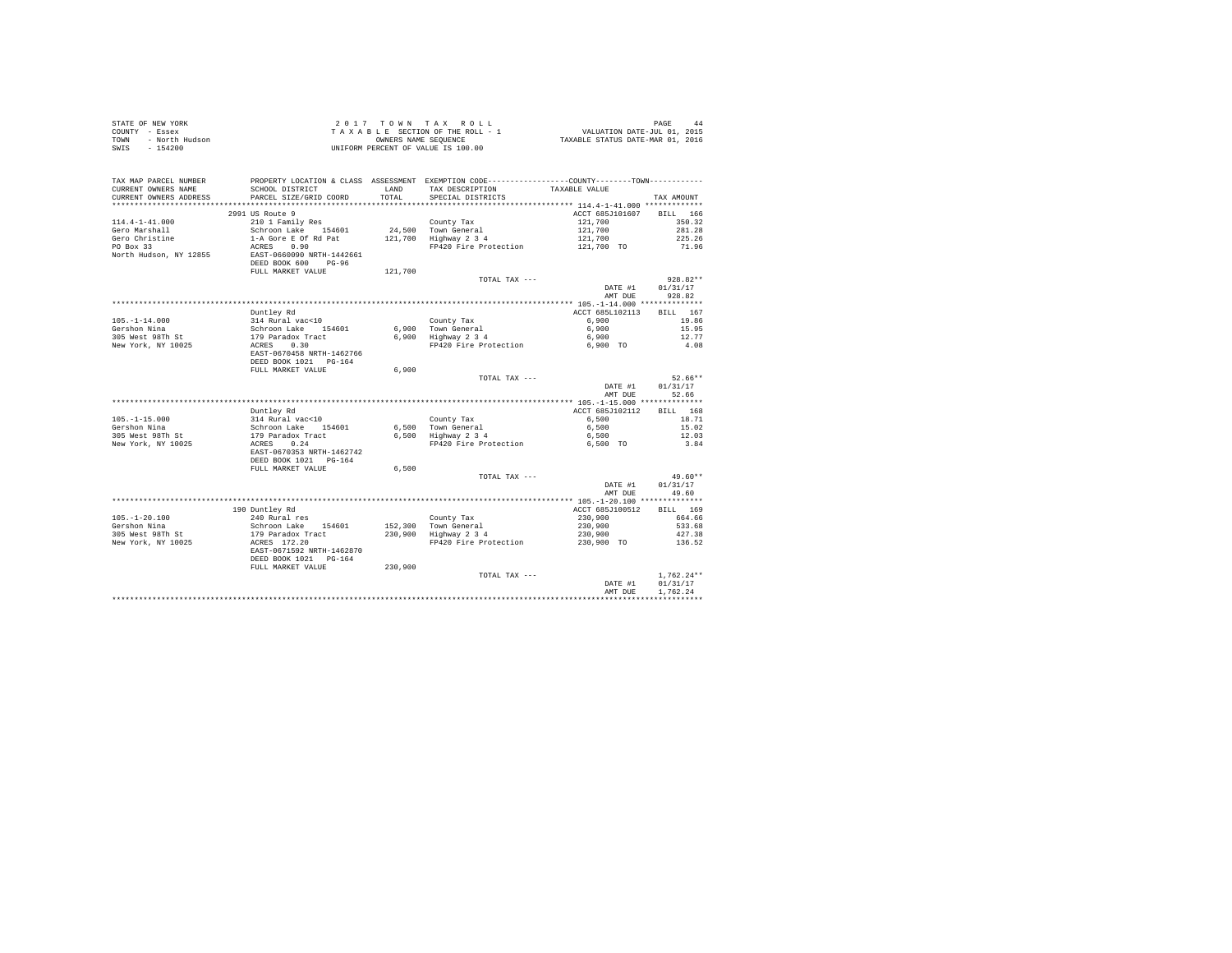| STATE OF NEW YORK      | 2017 TOWN TAX ROLL                 | PAGE<br>44                       |
|------------------------|------------------------------------|----------------------------------|
| COUNTY - Essex         | TAXABLE SECTION OF THE ROLL - 1    | VALUATION DATE-JUL 01, 2015      |
| TOWN<br>- North Hudson | OWNERS NAME SEOUENCE               | TAXABLE STATUS DATE-MAR 01, 2016 |
| - 154200<br>SWIS       | UNIFORM PERCENT OF VALUE IS 100.00 |                                  |

| TAX MAP PARCEL NUMBER<br>CURRENT OWNERS NAME<br>CURRENT OWNERS ADDRESS | SCHOOL DISTRICT<br>PARCEL SIZE/GRID COORD                                  | <b>T.AND</b><br>TOTAL | PROPERTY LOCATION & CLASS ASSESSMENT EXEMPTION CODE---------------COUNTY-------TOWN----------<br>TAX DESCRIPTION<br>SPECIAL DISTRICTS | TAXABLE VALUE   | TAX AMOUNT         |
|------------------------------------------------------------------------|----------------------------------------------------------------------------|-----------------------|---------------------------------------------------------------------------------------------------------------------------------------|-----------------|--------------------|
| ************************                                               | *****************************                                              |                       |                                                                                                                                       |                 |                    |
|                                                                        | 2991 US Route 9                                                            |                       |                                                                                                                                       | ACCT 685J101607 | <b>BILL</b><br>166 |
| $114.4 - 1 - 41.000$                                                   | 210 1 Family Res                                                           |                       | County Tax                                                                                                                            | 121,700         | 350.32             |
| Gero Marshall                                                          | Schroon Lake 154601                                                        |                       | 24.500 Town General                                                                                                                   | 121,700         | 281.28             |
| Gero Christine                                                         | 1-A Gore E Of Rd Pat                                                       |                       | 121,700 Highway 2 3 4                                                                                                                 | 121,700         | 225.26             |
| PO Box 33                                                              | ACRES<br>0.90                                                              |                       | FP420 Fire Protection                                                                                                                 | 121,700 TO      | 71.96              |
| North Hudson, NY 12855                                                 | EAST-0660090 NRTH-1442661<br>DEED BOOK 600<br>$PG-96$<br>FULL MARKET VALUE | 121,700               |                                                                                                                                       |                 |                    |
|                                                                        |                                                                            |                       | TOTAL TAX ---                                                                                                                         |                 | $928.82**$         |
|                                                                        |                                                                            |                       |                                                                                                                                       | DATE #1         | 01/31/17           |
|                                                                        |                                                                            |                       |                                                                                                                                       | AMT DUE         | 928.82             |
|                                                                        |                                                                            |                       |                                                                                                                                       |                 |                    |
|                                                                        |                                                                            |                       |                                                                                                                                       | ACCT 685L102113 | BILL 167           |
|                                                                        | Duntley Rd                                                                 |                       |                                                                                                                                       |                 |                    |
| $105. - 1 - 14.000$                                                    | 314 Rural vac<10<br>Schroon Lake 154601                                    |                       | County Tax                                                                                                                            | 6,900           | 19.86              |
| Gershon Nina                                                           | 179 Paradox Tract                                                          |                       | 6.900 Town General<br>$6,900$ Highway $2\,3\,4$                                                                                       | 6,900           | 15.95              |
| 305 West 98Th St                                                       |                                                                            |                       |                                                                                                                                       | 6,900           | 12.77              |
| New York, NY 10025                                                     | 0.30<br>ACRES<br>EAST-0670458 NRTH-1462766<br>DEED BOOK 1021 PG-164        |                       | FP420 Fire Protection                                                                                                                 | 6,900 TO        | 4.08               |
|                                                                        | FULL MARKET VALUE                                                          | 6,900                 |                                                                                                                                       |                 |                    |
|                                                                        |                                                                            |                       | TOTAL TAX ---                                                                                                                         |                 | $52.66**$          |
|                                                                        |                                                                            |                       |                                                                                                                                       | DATE #1         | 01/31/17           |
|                                                                        |                                                                            |                       |                                                                                                                                       | AMT DUE         | 52.66              |
|                                                                        |                                                                            |                       |                                                                                                                                       |                 |                    |
|                                                                        | Duntley Rd                                                                 |                       |                                                                                                                                       | ACCT 685J102112 | BILL 168           |
| $105. - 1 - 15.000$                                                    | 314 Rural vac<10                                                           |                       | County Tax                                                                                                                            | 6.500           | 18.71              |
| Gershon Nina                                                           | 154601                                                                     |                       | 6.500 Town General                                                                                                                    | 6.500           | 15.02              |
|                                                                        | Schroon Lake 15<br>179 Paradox Tract                                       |                       |                                                                                                                                       |                 |                    |
| 305 West 98Th St                                                       |                                                                            |                       | 6,500 Highway 2 3 4                                                                                                                   | 6,500           | 12.03              |
| New York, NY 10025                                                     | ACRES<br>0.24<br>EAST-0670353 NRTH-1462742<br>DEED BOOK 1021 PG-164        |                       | FP420 Fire Protection                                                                                                                 | 6,500 TO        | 3.84               |
|                                                                        | FULL MARKET VALUE                                                          | 6.500                 |                                                                                                                                       |                 |                    |
|                                                                        |                                                                            |                       | TOTAL TAX ---                                                                                                                         |                 | $49.60**$          |
|                                                                        |                                                                            |                       |                                                                                                                                       | DATE #1         | 01/31/17           |
|                                                                        |                                                                            |                       |                                                                                                                                       | AMT DUE         | 49.60              |
|                                                                        |                                                                            |                       |                                                                                                                                       |                 |                    |
|                                                                        | 190 Duntley Rd                                                             |                       |                                                                                                                                       | ACCT 685J100512 | BTT.T. 169         |
| $105. - 1 - 20.100$                                                    | 240 Rural res                                                              |                       | County Tax                                                                                                                            | 230,900         | 664.66             |
| Gershon Nina                                                           |                                                                            |                       | 152,300 Town General                                                                                                                  | 230,900         | 533.68             |
| 305 West 98Th St                                                       | Schroon Lake 154601<br>179 Paradox Tract                                   |                       | 230,900 Highway 2 3 4                                                                                                                 | 230,900         | 427.38             |
| New York, NY 10025                                                     | ACRES 172.20                                                               |                       | FP420 Fire Protection                                                                                                                 | 230,900 TO      | 136.52             |
|                                                                        | EAST-0671592 NRTH-1462870<br>DEED BOOK 1021 PG-164                         |                       |                                                                                                                                       |                 |                    |
|                                                                        | FULL MARKET VALUE                                                          | 230,900               |                                                                                                                                       |                 |                    |
|                                                                        |                                                                            |                       | TOTAL TAX ---                                                                                                                         |                 | $1.762.24**$       |
|                                                                        |                                                                            |                       |                                                                                                                                       | DATE #1         | 01/31/17           |
|                                                                        |                                                                            |                       |                                                                                                                                       | AMT DUE         | 1,762.24           |
|                                                                        |                                                                            |                       |                                                                                                                                       |                 |                    |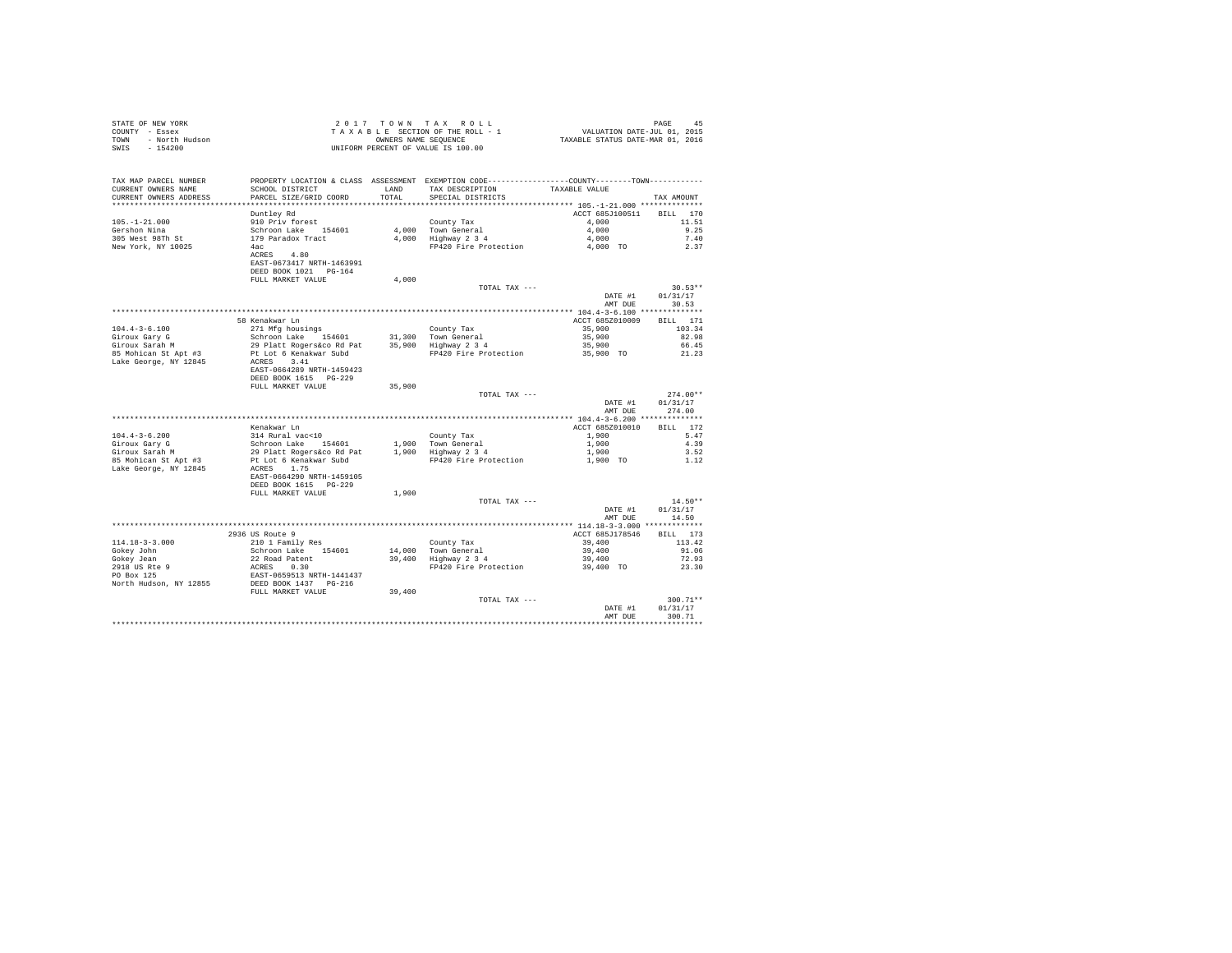| TAX MAP PARCEL NUMBER<br>CURRENT OWNERS NAME<br>CURRENT OWNERS ADDRESS | PROPERTY LOCATION & CLASS ASSESSMENT EXEMPTION CODE----------------COUNTY--------TOWN---------- |        | ${\tt SCHOOL\,\,DISTRICT}\qquad\qquad {\tt LAND}\qquad\qquad {\tt TAX\,\,DESCRIPTION}\qquad\qquad {\tt TAXABLE\,\,VALUE}\qquad\qquad {\tt PARCEL\,\,SIZE/GRID\,\,COORD}\qquad\qquad {\tt TOTAL}\qquad\qquad {\tt SPECIAL\,\,DISTRICTS}\qquad\qquad$ |                            |                  |
|------------------------------------------------------------------------|-------------------------------------------------------------------------------------------------|--------|-----------------------------------------------------------------------------------------------------------------------------------------------------------------------------------------------------------------------------------------------------|----------------------------|------------------|
|                                                                        |                                                                                                 |        |                                                                                                                                                                                                                                                     |                            | TAX AMOUNT       |
|                                                                        |                                                                                                 |        |                                                                                                                                                                                                                                                     |                            |                  |
|                                                                        |                                                                                                 |        |                                                                                                                                                                                                                                                     |                            |                  |
|                                                                        |                                                                                                 |        |                                                                                                                                                                                                                                                     |                            |                  |
|                                                                        |                                                                                                 |        |                                                                                                                                                                                                                                                     |                            |                  |
|                                                                        |                                                                                                 |        |                                                                                                                                                                                                                                                     |                            |                  |
|                                                                        |                                                                                                 |        |                                                                                                                                                                                                                                                     |                            |                  |
|                                                                        | EAST-0673417 NRTH-1463991                                                                       |        |                                                                                                                                                                                                                                                     |                            |                  |
|                                                                        | DEED BOOK 1021 PG-164                                                                           |        |                                                                                                                                                                                                                                                     |                            |                  |
|                                                                        | FULL MARKET VALUE                                                                               | 4,000  |                                                                                                                                                                                                                                                     |                            |                  |
|                                                                        |                                                                                                 |        | TOTAL TAX ---                                                                                                                                                                                                                                       |                            | $30.53**$        |
|                                                                        |                                                                                                 |        |                                                                                                                                                                                                                                                     |                            | DATE #1 01/31/17 |
|                                                                        |                                                                                                 |        |                                                                                                                                                                                                                                                     |                            | AMT DUE 30.53    |
|                                                                        |                                                                                                 |        |                                                                                                                                                                                                                                                     |                            |                  |
|                                                                        |                                                                                                 |        |                                                                                                                                                                                                                                                     |                            |                  |
|                                                                        |                                                                                                 |        |                                                                                                                                                                                                                                                     |                            |                  |
|                                                                        |                                                                                                 |        |                                                                                                                                                                                                                                                     |                            |                  |
|                                                                        |                                                                                                 |        |                                                                                                                                                                                                                                                     |                            |                  |
|                                                                        |                                                                                                 |        |                                                                                                                                                                                                                                                     |                            |                  |
|                                                                        | EAST-0664289 NRTH-1459423                                                                       |        |                                                                                                                                                                                                                                                     |                            |                  |
|                                                                        | DEED BOOK 1615 PG-229                                                                           |        |                                                                                                                                                                                                                                                     |                            |                  |
|                                                                        | FULL MARKET VALUE                                                                               | 35,900 |                                                                                                                                                                                                                                                     |                            |                  |
|                                                                        |                                                                                                 |        | TOTAL TAX ---                                                                                                                                                                                                                                       |                            | $274.00**$       |
|                                                                        |                                                                                                 |        |                                                                                                                                                                                                                                                     | DATE #1                    | 01/31/17         |
|                                                                        |                                                                                                 |        |                                                                                                                                                                                                                                                     |                            | AMT DUE 274.00   |
|                                                                        |                                                                                                 |        |                                                                                                                                                                                                                                                     |                            |                  |
|                                                                        |                                                                                                 |        |                                                                                                                                                                                                                                                     | ACCT 685Z010010 BILL 172   |                  |
|                                                                        |                                                                                                 |        |                                                                                                                                                                                                                                                     | 1,900 5.47                 | 4.39             |
|                                                                        |                                                                                                 |        |                                                                                                                                                                                                                                                     |                            | 3.52             |
|                                                                        |                                                                                                 |        |                                                                                                                                                                                                                                                     | 1,900<br>1,900<br>1,900 TO | 1.12             |
|                                                                        |                                                                                                 |        |                                                                                                                                                                                                                                                     |                            |                  |
|                                                                        | EAST-0664290 NRTH-1459105                                                                       |        |                                                                                                                                                                                                                                                     |                            |                  |
|                                                                        | DEED BOOK 1615 PG-229                                                                           |        |                                                                                                                                                                                                                                                     |                            |                  |
|                                                                        | FULL MARKET VALUE $1,900$                                                                       |        |                                                                                                                                                                                                                                                     |                            |                  |
|                                                                        |                                                                                                 |        | TOTAL TAX ---                                                                                                                                                                                                                                       |                            | $14.50**$        |
|                                                                        |                                                                                                 |        |                                                                                                                                                                                                                                                     | DATE #1 01/31/17           |                  |
|                                                                        |                                                                                                 |        |                                                                                                                                                                                                                                                     |                            | AMT DUE 14.50    |
|                                                                        |                                                                                                 |        |                                                                                                                                                                                                                                                     | ACCT 685J178546 BILL 173   |                  |
|                                                                        |                                                                                                 |        |                                                                                                                                                                                                                                                     | 39,400 113.42              |                  |
|                                                                        |                                                                                                 |        |                                                                                                                                                                                                                                                     |                            | 91.06            |
|                                                                        |                                                                                                 |        |                                                                                                                                                                                                                                                     | $39,400$<br>$39,400$       | 72.93            |
|                                                                        |                                                                                                 |        | FP420 Fire Protection 39,400 TO                                                                                                                                                                                                                     |                            | 23.30            |
|                                                                        |                                                                                                 |        |                                                                                                                                                                                                                                                     |                            |                  |
|                                                                        |                                                                                                 |        |                                                                                                                                                                                                                                                     |                            |                  |
|                                                                        | FULL MARKET VALUE                                                                               | 39,400 |                                                                                                                                                                                                                                                     |                            |                  |
|                                                                        |                                                                                                 |        | TOTAL TAX ---                                                                                                                                                                                                                                       |                            | $300.71**$       |
|                                                                        |                                                                                                 |        |                                                                                                                                                                                                                                                     |                            | DATE #1 01/31/17 |
|                                                                        |                                                                                                 |        |                                                                                                                                                                                                                                                     | AMT DUR                    | 300.71           |
|                                                                        |                                                                                                 |        |                                                                                                                                                                                                                                                     |                            |                  |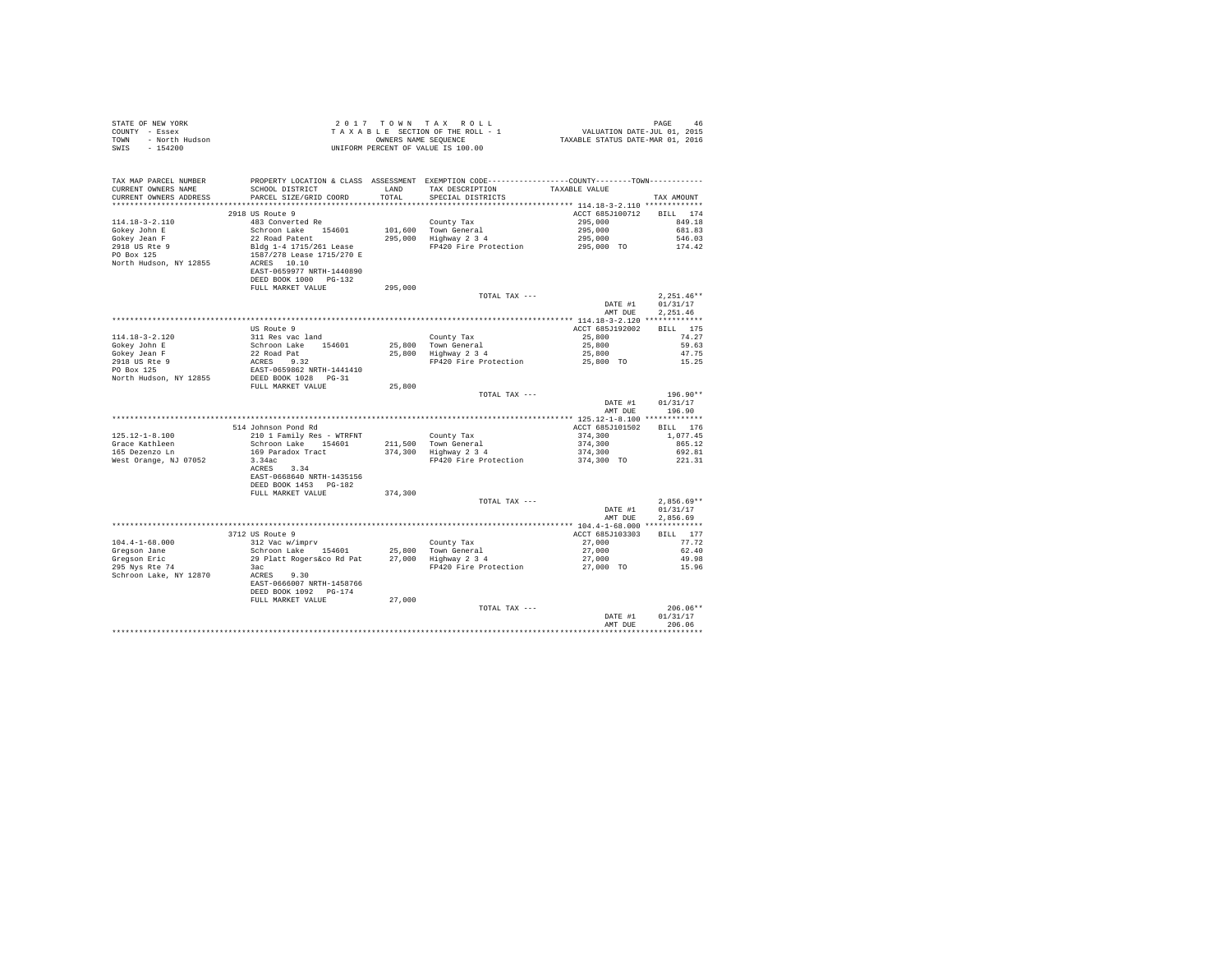| STATE OF NEW YORK      | 2017 TOWN TAX ROLL                 | PAGE<br>46                       |
|------------------------|------------------------------------|----------------------------------|
| COUNTY - Essex         | TAXABLE SECTION OF THE ROLL - 1    | VALUATION DATE-JUL 01, 2015      |
| TOWN<br>- North Hudson | OWNERS NAME SEOUENCE               | TAXABLE STATUS DATE-MAR 01, 2016 |
| - 154200<br>SWIS       | UNIFORM PERCENT OF VALUE IS 100.00 |                                  |

| TAX MAP PARCEL NUMBER<br>CURRENT OWNERS NAME   | SCHOOL DISTRICT                                    | LAND    | PROPERTY LOCATION & CLASS ASSESSMENT EXEMPTION CODE---------------COUNTY-------TOWN---------<br>TAX DESCRIPTION | TAXABLE VALUE                            |                    |
|------------------------------------------------|----------------------------------------------------|---------|-----------------------------------------------------------------------------------------------------------------|------------------------------------------|--------------------|
| CURRENT OWNERS ADDRESS<br>******************** | PARCEL SIZE/GRID COORD<br>************************ | TOTAL   | SPECIAL DISTRICTS                                                                                               |                                          | TAX AMOUNT         |
|                                                | 2918 US Route 9                                    |         |                                                                                                                 | ACCT 685J100712                          |                    |
| $114.18 - 3 - 2.110$                           | 483 Converted Re                                   |         |                                                                                                                 | 295,000                                  | BILL 174<br>849.18 |
|                                                |                                                    |         | County Tax                                                                                                      |                                          | 681.83             |
| Gokey John E<br>Gokey Jean F                   | Schroon Lake 154601<br>22 Road Patent              | 295,000 | 101,600 Town General<br>Highway 2 3 4                                                                           | 295,000<br>295,000                       | 546.03             |
| 2918 US Rte 9                                  | Bldg 1-4 1715/261 Lease                            |         | FP420 Fire Protection                                                                                           | 295,000 TO                               | 174.42             |
| PO Box 125                                     | 1587/278 Lease 1715/270 E                          |         |                                                                                                                 |                                          |                    |
| North Hudson, NY 12855                         | ACRES 10.10                                        |         |                                                                                                                 |                                          |                    |
|                                                | EAST-0659977 NRTH-1440890                          |         |                                                                                                                 |                                          |                    |
|                                                | DEED BOOK 1000 PG-132                              |         |                                                                                                                 |                                          |                    |
|                                                | FULL MARKET VALUE                                  | 295,000 |                                                                                                                 |                                          |                    |
|                                                |                                                    |         | TOTAL TAX ---                                                                                                   |                                          | $2.251.46**$       |
|                                                |                                                    |         |                                                                                                                 | DATE #1                                  | 01/31/17           |
|                                                |                                                    |         |                                                                                                                 | AMT DUE                                  | 2,251.46           |
|                                                |                                                    |         |                                                                                                                 |                                          |                    |
|                                                | US Route 9                                         |         |                                                                                                                 | ACCT 685J192002                          | BILL 175           |
| $114.18 - 3 - 2.120$                           | 311 Res vac land                                   |         | County Tax                                                                                                      | 25,800                                   | 74.27              |
| Gokey John E                                   | Schroon Lake 154601                                |         | 25,800 Town General                                                                                             | 25,800                                   | 59.63              |
| Gokey Jean F                                   | 22 Road Pat                                        |         | 25,800 Highway 2 3 4                                                                                            | 25,800                                   | 47.75              |
| 2918 US Rte 9                                  | ACRES 9.32                                         |         | FP420 Fire Protection                                                                                           | 25,800 TO                                | 15.25              |
| PO Box 125                                     | EAST-0659862 NRTH-1441410                          |         |                                                                                                                 |                                          |                    |
| North Hudson, NY 12855                         | DEED BOOK 1028 PG-31                               |         |                                                                                                                 |                                          |                    |
|                                                | FULL MARKET VALUE                                  | 25,800  |                                                                                                                 |                                          |                    |
|                                                |                                                    |         | TOTAL TAX ---                                                                                                   |                                          | 196.90**           |
|                                                |                                                    |         |                                                                                                                 | DATE #1                                  | 01/31/17           |
|                                                |                                                    |         |                                                                                                                 | AMT DUE                                  | 196.90             |
|                                                | *********************************                  |         | ********************                                                                                            | *********** 125.12-1-8.100 ************* |                    |
|                                                | 514 Johnson Pond Rd                                |         |                                                                                                                 | ACCT 685J101502                          | BILL 176           |
| $125.12 - 1 - 8.100$                           | 210 1 Family Res - WTRFNT                          |         | County Tax                                                                                                      | 374,300                                  | 1,077.45           |
| Grace Kathleen                                 | Schroon Lake 154601                                |         | 211,500 Town General                                                                                            | 374,300                                  | 865.12             |
| 165 Dezenzo Ln                                 | 169 Paradox Tract                                  |         | 374,300 Highway 2 3 4                                                                                           | 374,300                                  | 692.81             |
| West Orange, NJ 07052                          | 3.34ac                                             |         | FP420 Fire Protection                                                                                           | 374,300 TO                               | 221.31             |
|                                                | 3.34<br>ACRES                                      |         |                                                                                                                 |                                          |                    |
|                                                | EAST-0668640 NRTH-1435156                          |         |                                                                                                                 |                                          |                    |
|                                                | DEED BOOK 1453 PG-182                              |         |                                                                                                                 |                                          |                    |
|                                                | FULL MARKET VALUE                                  | 374,300 |                                                                                                                 |                                          |                    |
|                                                |                                                    |         | TOTAL TAX ---                                                                                                   |                                          | $2.856.69**$       |
|                                                |                                                    |         |                                                                                                                 | DATE #1                                  | 01/31/17           |
|                                                |                                                    |         |                                                                                                                 | AMT DUE                                  | 2.856.69           |
|                                                | 3712 US Route 9                                    |         |                                                                                                                 | ACCT 685J103303                          | BILL 177           |
| $104.4 - 1 - 68.000$                           | 312 Vac w/imprv                                    |         | County Tax                                                                                                      | 27,000                                   | 77.72              |
| Gregson Jane                                   | Schroon Lake 154601                                |         | 25.800 Town General                                                                                             | 27,000                                   | 62.40              |
| Gregson Eric                                   | 29 Platt Rogers&co Rd Pat                          |         | 27,000 Highway 2 3 4                                                                                            | 27,000                                   | 49.98              |
| 295 Nys Rte 74                                 | 3ac                                                |         | FP420 Fire Protection                                                                                           | 27,000 TO                                | 15.96              |
| Schroon Lake, NY 12870                         | ACRES 9.30                                         |         |                                                                                                                 |                                          |                    |
|                                                | EAST-0666007 NRTH-1458766                          |         |                                                                                                                 |                                          |                    |
|                                                | DEED BOOK 1092 PG-174                              |         |                                                                                                                 |                                          |                    |
|                                                | FULL MARKET VALUE                                  | 27,000  |                                                                                                                 |                                          |                    |
|                                                |                                                    |         | TOTAL TAX ---                                                                                                   |                                          | $206.06**$         |
|                                                |                                                    |         |                                                                                                                 | DATE #1                                  | 01/31/17           |
|                                                |                                                    |         |                                                                                                                 | AMT DUE                                  | 206.06             |
|                                                |                                                    |         |                                                                                                                 |                                          |                    |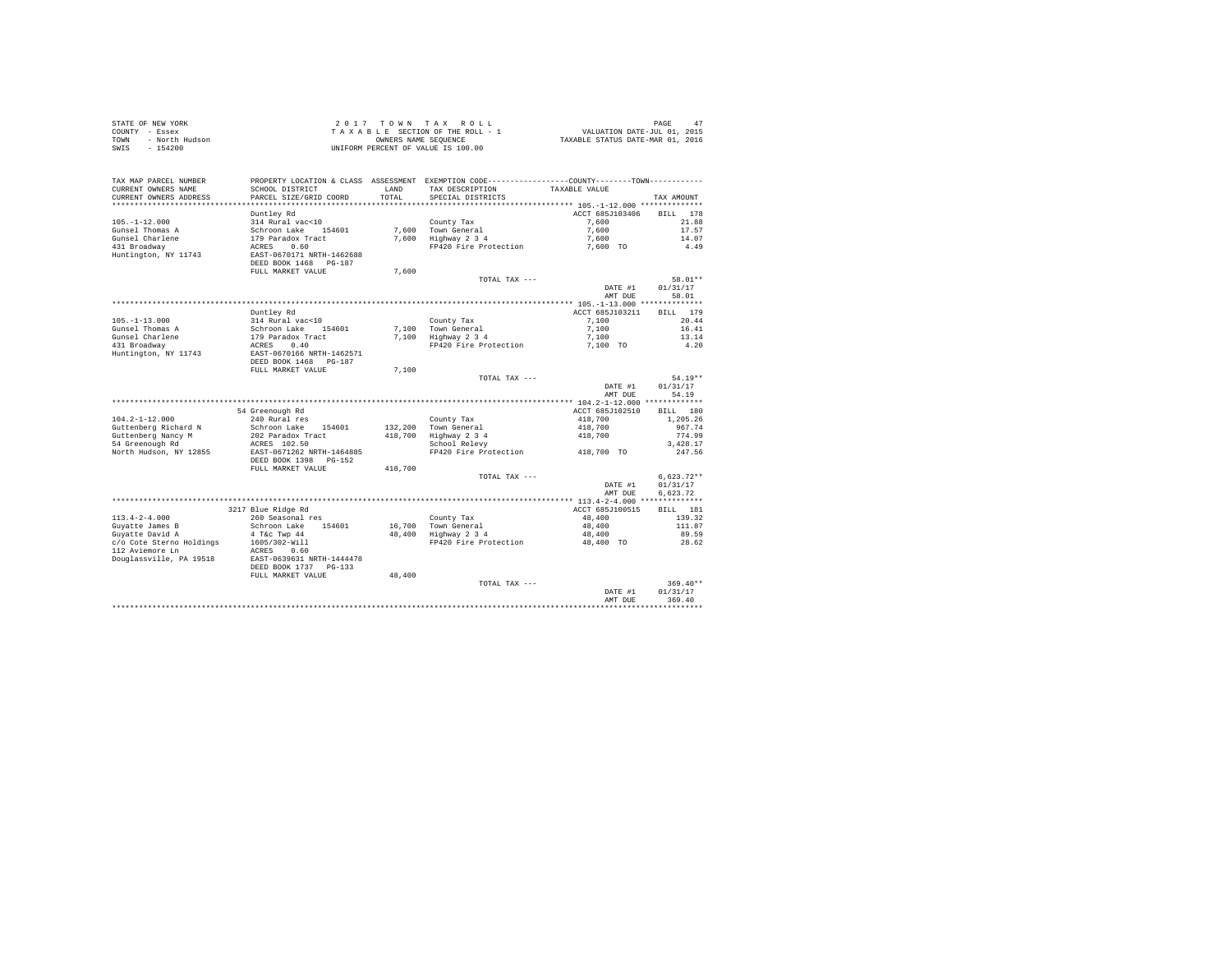|      | STATE OF NEW YORK | 2017 TOWN TAX ROLL                 | PAGE                             |  |
|------|-------------------|------------------------------------|----------------------------------|--|
|      | COUNTY - Essex    | TAXABLE SECTION OF THE ROLL - 1    | VALUATION DATE-JUL 01, 2015      |  |
| TOWN | - North Hudson    | OWNERS NAME SEOUENCE               | TAXABLE STATUS DATE-MAR 01, 2016 |  |
| SWIS | $-154200$         | UNIFORM PERCENT OF VALUE IS 100.00 |                                  |  |

|                          |                                                         |         |                                                              | DATE #1<br>AMT DUE                      | 369.40                 |
|--------------------------|---------------------------------------------------------|---------|--------------------------------------------------------------|-----------------------------------------|------------------------|
|                          |                                                         |         | TOTAL TAX ---                                                |                                         | $369.40**$<br>01/31/17 |
|                          | FULL MARKET VALUE                                       | 48,400  |                                                              |                                         |                        |
| Douglassville, PA 19518  | EAST-0639631 NRTH-1444478<br>DEED BOOK 1737<br>$PG-133$ |         |                                                              |                                         |                        |
| 112 Aviemore Ln          | ACRES<br>0.60                                           |         |                                                              |                                         |                        |
| c/o Cote Sterno Holdings | 1605/302-Will                                           |         | FP420 Fire Protection                                        | 48,400 TO                               | 28.62                  |
| Guyatte David A          | 4 T&c Twp 44                                            | 48,400  | Highway 2 3 4                                                | 48,400                                  | 89.59                  |
| Guyatte James B          | Schroon Lake<br>154601                                  | 16,700  | Town General                                                 | 48,400                                  | 111.87                 |
| $113.4 - 2 - 4.000$      | 260 Seasonal res                                        |         | County Tax                                                   | 48,400                                  | 139.32                 |
|                          | 3217 Blue Ridge Rd                                      |         |                                                              | ACCT 685J100515                         | <b>BILL</b><br>181     |
|                          |                                                         |         |                                                              | ****** 113.4-2-4.000                    |                        |
|                          |                                                         |         |                                                              | AMT DUE                                 | 6,623.72               |
|                          |                                                         |         |                                                              | DATE #1                                 | 01/31/17               |
|                          |                                                         |         | TOTAL TAX ---                                                |                                         | $6.623.72**$           |
|                          | FULL MARKET VALUE                                       | 418,700 |                                                              |                                         |                        |
|                          | DEED BOOK 1398<br>$PG-152$                              |         |                                                              |                                         |                        |
| North Hudson, NY 12855   | EAST-0671262 NRTH-1464885                               |         | FP420 Fire Protection                                        | 418,700 TO                              | 247.56                 |
| 54 Greenough Rd          | ACRES 102.50                                            |         | School Relevy                                                |                                         | 3,428,17               |
| Guttenberg Nancy M       | 202 Paradox Tract                                       | 418,700 | Highway 2 3 4                                                | 418,700                                 | 774.99                 |
| Guttenberg Richard N     | Schroon Lake<br>154601                                  | 132,200 | Town General                                                 | 418,700                                 | 967.74                 |
| $104.2 - 1 - 12.000$     | 240 Rural res                                           |         | County Tax                                                   | 418,700                                 | 1,205.26               |
|                          | 54 Greenough Rd                                         |         |                                                              | ACCT 685J102510                         | 180<br><b>BILL</b>     |
|                          |                                                         |         |                                                              |                                         |                        |
|                          |                                                         |         |                                                              | AMT DUE                                 | 54.19                  |
|                          |                                                         |         |                                                              | DATE #1                                 | 01/31/17               |
|                          |                                                         |         | TOTAL TAX ---                                                |                                         | $54.19**$              |
|                          | FULL MARKET VALUE                                       | 7.100   |                                                              |                                         |                        |
|                          | DEED BOOK 1468<br>$PG-187$                              |         |                                                              |                                         |                        |
| Huntington, NY 11743     | EAST-0670166 NRTH-1462571                               |         |                                                              |                                         |                        |
| 431 Broadway             | 0.40<br>ACRES                                           |         | FP420 Fire Protection                                        | 7,100 TO                                | 4.20                   |
| Gunsel Charlene          | 179 Paradox Tract                                       | 7.100   | Highway 2 3 4                                                | 7,100                                   | 13.14                  |
| Gunsel Thomas A          | Schroon Lake<br>154601                                  | 7.100   | Town General                                                 | 7.100                                   | 16.41                  |
| $105. - 1 - 13.000$      | 314 Rural vac<10                                        |         | County Tax                                                   | 7,100                                   | 20.44                  |
|                          | Duntley Rd                                              |         |                                                              | ACCT 685J103211                         | <b>BILL</b><br>179     |
|                          |                                                         |         |                                                              | ********** 105.-1-13.000 ************** |                        |
|                          |                                                         |         |                                                              | AMT DUE                                 | 58.01                  |
|                          |                                                         |         |                                                              | DATE #1                                 | 01/31/17               |
|                          |                                                         |         | $TOTAI. TAX - - -$                                           |                                         | 58.01**                |
|                          | FULL MARKET VALUE                                       | 7.600   |                                                              |                                         |                        |
|                          | DEED BOOK 1468<br>$PG-187$                              |         |                                                              |                                         |                        |
| Huntington, NY 11743     | EAST-0670171 NRTH-1462688                               |         |                                                              |                                         |                        |
| 431 Broadway             | 0.60<br>ACRES                                           |         | FP420 Fire Protection                                        | 7,600 TO                                | 4.49                   |
| Gunsel Charlene          | 179 Paradox Tract                                       | 7.600   | Highway 2 3 4                                                | 7.600                                   | 14.07                  |
| Gunsel Thomas A          | Schroon Lake<br>154601                                  | 7.600   | Town General                                                 | 7,600                                   | 17.57                  |
| $105. - 1 - 12.000$      | 314 Rural vac<10                                        |         | County Tax                                                   | 7.600                                   | 21.88                  |
|                          | Duntley Rd                                              |         |                                                              | ACCT 685J103406                         | 178<br><b>BILL</b>     |
| ********************     | *********************                                   |         | ************************************ 105.-1-12.000 ********* |                                         |                        |
| CURRENT OWNERS ADDRESS   | PARCEL SIZE/GRID COORD                                  | TOTAL   | SPECIAL DISTRICTS                                            |                                         | TAX AMOUNT             |
| CURRENT OWNERS NAME      | SCHOOL DISTRICT                                         | LAND    | TAX DESCRIPTION                                              | TAXABLE VALUE                           |                        |
| TAX MAP PARCEL NUMBER    | PROPERTY LOCATION & CLASS ASSESSMENT                    |         | EXEMPTION CODE----------------COUNTY-------TOWN-----------   |                                         |                        |
|                          |                                                         |         |                                                              |                                         |                        |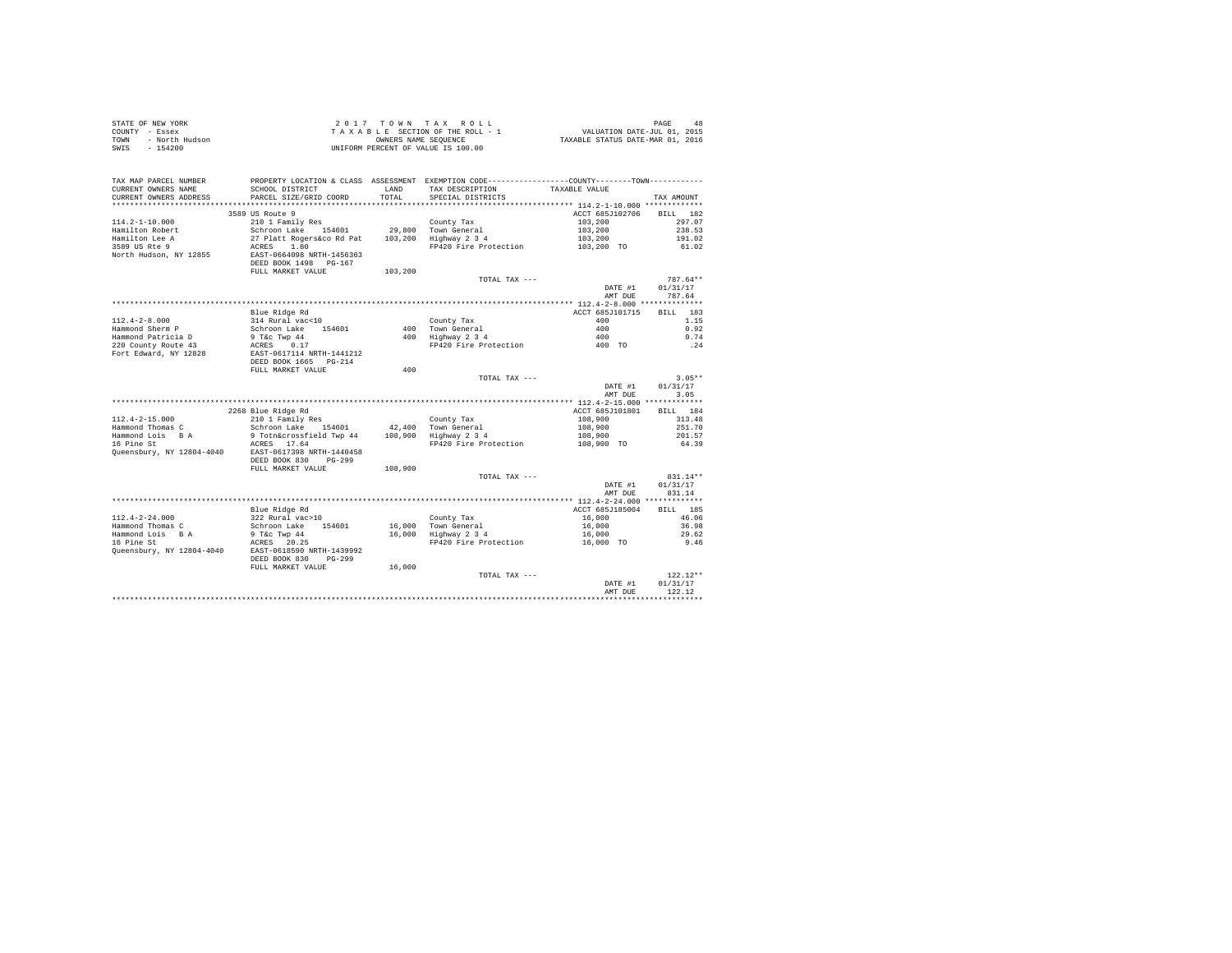|                | STATE OF NEW YORK | $2.017$ TOWN TAX ROLL              | 48<br>PAGE                       |
|----------------|-------------------|------------------------------------|----------------------------------|
| COUNTY - Essex |                   | TAXABLE SECTION OF THE ROLL - 1    | VALUATION DATE-JUL 01, 2015      |
| TOWN           | - North Hudson    | OWNERS NAME SEOUENCE               | TAXABLE STATUS DATE-MAR 01, 2016 |
| SWIS           | - 154200          | UNIFORM PERCENT OF VALUE IS 100.00 |                                  |

| TAX MAP PARCEL NUMBER<br>CURRENT OWNERS NAME<br>CURRENT OWNERS ADDRESS | PROPERTY LOCATION & CLASS ASSESSMENT EXEMPTION CODE---------------COUNTY-------TOWN----------<br>SCHOOL DISTRICT<br>PARCEL SIZE/GRID COORD | <b>T.AND</b><br>TOTAL | TAX DESCRIPTION<br>SPECIAL DISTRICTS | TAXABLE VALUE              | TAX AMOUNT                     |
|------------------------------------------------------------------------|--------------------------------------------------------------------------------------------------------------------------------------------|-----------------------|--------------------------------------|----------------------------|--------------------------------|
| ********************                                                   | ***************************                                                                                                                |                       |                                      |                            |                                |
| $114.2 - 1 - 10.000$                                                   | 3589 US Route 9<br>210 1 Family Res                                                                                                        |                       | County Tax                           | ACCT 685J102706<br>103,200 | 182<br><b>BILL</b><br>297.07   |
| Hamilton Robert<br>Hamilton Lee A                                      | Schroon Lake 154601<br>27 Platt Rogers&co Rd Pat                                                                                           | 29,800<br>103,200     | Town General<br>Highway 2 3 4        | 103,200<br>103,200         | 238.53<br>191.02               |
| 3589 US Rte 9<br>North Hudson, NY 12855                                | ACRES<br>1.80<br>EAST-0664098 NRTH-1456363<br>DEED BOOK 1498 PG-167<br>FULL MARKET VALUE                                                   | 103,200               | FP420 Fire Protection                | 103,200 TO                 | 61.02                          |
|                                                                        |                                                                                                                                            |                       | TOTAL TAX ---                        | DATE #1<br>AMT DUE         | 787.64**<br>01/31/17<br>787.64 |
|                                                                        |                                                                                                                                            |                       |                                      |                            |                                |
|                                                                        | Blue Ridge Rd                                                                                                                              |                       |                                      | ACCT 685J101715            | BTLL.<br>183                   |
| $112.4 - 2 - 8.000$                                                    | 314 Rural vac<10                                                                                                                           |                       | County Tax                           | 400                        | 1.15                           |
| Hammond Sherm P                                                        | Schroon Lake<br>154601                                                                                                                     | 400                   | Town General                         | 400                        | 0.92                           |
| Hammond Patricia D                                                     | 9 T&c Twp 44                                                                                                                               | 400                   | Highway 2 3 4                        | 400                        | 0.74                           |
| 220 County Route 43                                                    | ACRES<br>0.17                                                                                                                              |                       | FP420 Fire Protection                | 400 TO                     | .24                            |
| Fort Edward, NY 12828                                                  | EAST-0617114 NRTH-1441212<br>DEED BOOK 1665 PG-214                                                                                         |                       |                                      |                            |                                |
|                                                                        | FULL MARKET VALUE                                                                                                                          | 400                   |                                      |                            |                                |
|                                                                        |                                                                                                                                            |                       | TOTAL TAX ---                        |                            | $3.05**$                       |
|                                                                        |                                                                                                                                            |                       |                                      | DATE #1                    | 01/31/17                       |
|                                                                        |                                                                                                                                            |                       |                                      | AMT DUE                    | 3.05                           |
|                                                                        |                                                                                                                                            |                       |                                      |                            |                                |
|                                                                        | 2268 Blue Ridge Rd                                                                                                                         |                       |                                      | ACCT 685J101801            | 184<br><b>BILL</b>             |
| $112.4 - 2 - 15.000$                                                   | 210 1 Family Res                                                                                                                           |                       | County Tax                           | 108,900                    | 313.48                         |
| Hammond Thomas C                                                       | Schroon Lake<br>154601                                                                                                                     | 42,400                | Town General                         | 108,900                    | 251.70                         |
| Hammond Lois B A                                                       | 9 Totn&crossfield Twp 44                                                                                                                   | 108,900               | Highway 2 3 4                        | 108,900                    | 201.57                         |
| 16 Pine St<br>Queensbury, NY 12804-4040                                | ACRES 17.64<br>EAST-0617398 NRTH-1440458<br>DEED BOOK 830<br>$PG-299$                                                                      |                       | FP420 Fire Protection                | 108,900 TO                 | 64.39                          |
|                                                                        | FULL MARKET VALUE                                                                                                                          | 108,900               |                                      |                            |                                |
|                                                                        |                                                                                                                                            |                       | TOTAL TAX ---                        | DATE #1<br>AMT DUE         | 831.14**<br>01/31/17<br>831.14 |
|                                                                        |                                                                                                                                            |                       |                                      |                            |                                |
|                                                                        | Blue Ridge Rd                                                                                                                              |                       |                                      | ACCT 685J185004            | BTLL.<br>185                   |
| $112.4 - 2 - 24.000$                                                   | 322 Rural vac>10                                                                                                                           |                       | County Tax                           | 16,000                     | 46.06                          |
| Hammond Thomas C                                                       | Schroon Lake<br>154601                                                                                                                     | 16,000                | Town General                         | 16,000                     | 36.98                          |
| Hammond Lois B A                                                       | 9 T&c Twp 44                                                                                                                               | 16,000                | Highway 2 3 4                        | 16,000                     | 29.62                          |
| 16 Pine St                                                             | ACRES<br>20.25                                                                                                                             |                       | FP420 Fire Protection                | 16,000 TO                  | 9.46                           |
| Queensbury, NY 12804-4040                                              | EAST-0618590 NRTH-1439992<br>DEED BOOK 830<br>$PG - 299$                                                                                   |                       |                                      |                            |                                |
|                                                                        | FULL MARKET VALUE                                                                                                                          | 16,000                |                                      |                            |                                |
|                                                                        |                                                                                                                                            |                       | TOTAL TAX ---                        | DATE #1                    | $122.12**$<br>01/31/17         |
|                                                                        |                                                                                                                                            |                       |                                      | AMT DUE                    | 122.12                         |
|                                                                        |                                                                                                                                            |                       |                                      |                            |                                |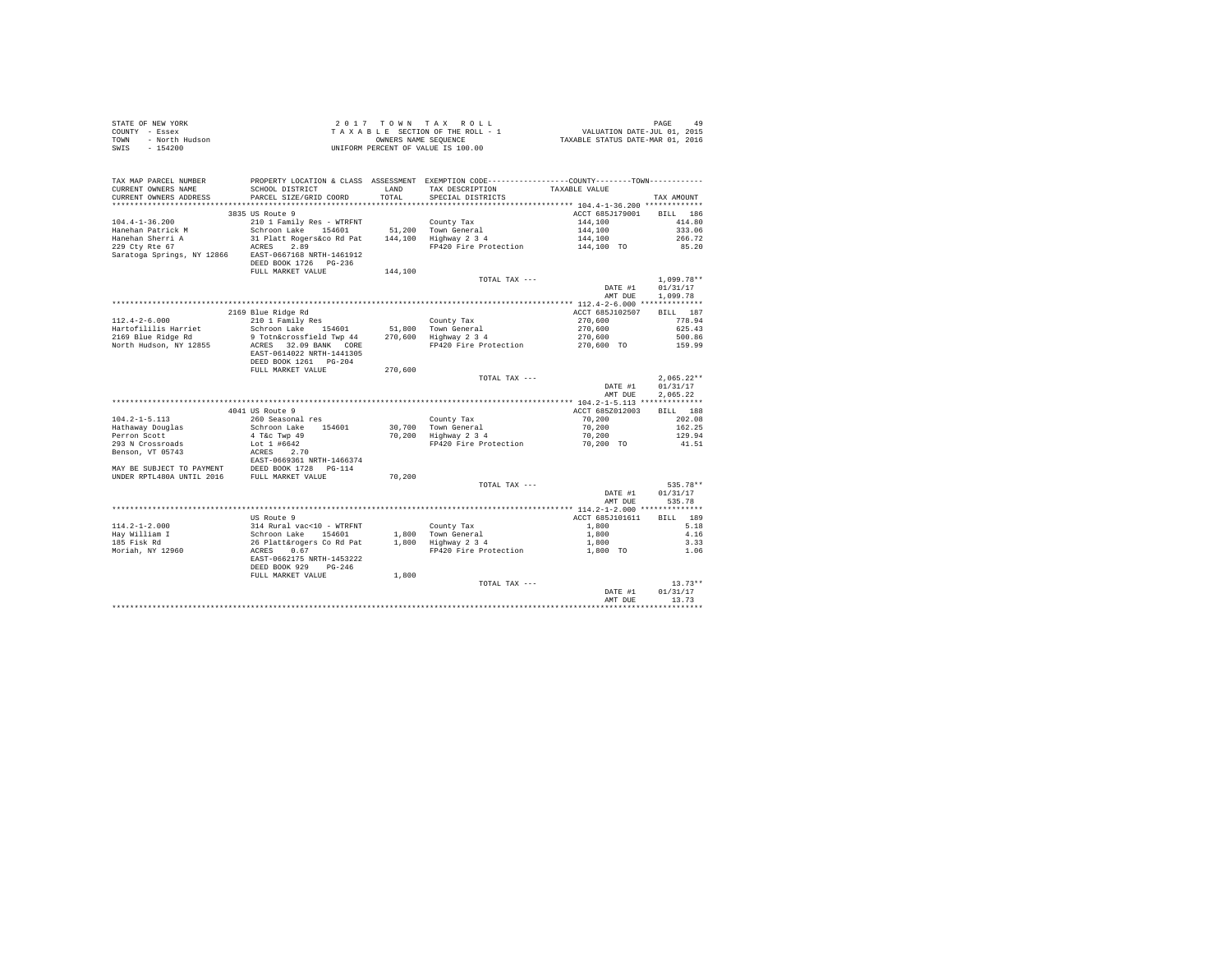|                | STATE OF NEW YORK |  |  | 2017 TOWN TAX ROLL                 |  |  |  | 49<br>PAGE                       |
|----------------|-------------------|--|--|------------------------------------|--|--|--|----------------------------------|
| COUNTY - Essex |                   |  |  | TAXABLE SECTION OF THE ROLL - 1    |  |  |  | VALUATION DATE-JUL 01, 2015      |
| TOWN           | - North Hudson    |  |  | OWNERS NAME SEOUENCE               |  |  |  | TAXABLE STATUS DATE-MAR 01, 2016 |
| SWIS           | $-154200$         |  |  | UNIFORM PERCENT OF VALUE IS 100.00 |  |  |  |                                  |

| CURRENT OWNERS ADDRESS<br>PARCEL SIZE/GRID COORD<br>TOTAL<br>SPECIAL DISTRICTS<br>TAX AMOUNT<br>3835 US Route 9<br>ACCT 685J179001<br>BILL 186<br>$104.4 - 1 - 36.200$<br>210 1 Family Res - WTRFNT<br>144,100<br>County Tax<br>414.80<br>Hanehan Patrick M<br>Schroon Lake 154601<br>51,200 Town General<br>144,100 Highway 2 3 4<br>144,100<br>144,100<br>333.06<br>Hanehan Sherri A<br>31 Platt Rogers&co Rd Pat<br>266.72<br>ACRES<br>229 Ctv Rte 67<br>2.89<br>FP420 Fire Protection<br>85.20<br>144,100 TO<br>Saratoga Springs, NY 12866 EAST-0667168 NRTH-1461912<br>DEED BOOK 1726 PG-236<br>FULL MARKET VALUE<br>144,100<br>$1,099.78**$<br>TOTAL TAX ---<br>DATE #1<br>01/31/17<br>AMT DUE<br>1,099.78<br>2169 Blue Ridge Rd<br>ACCT 685J102507<br>BILL 187<br>$112.4 - 2 - 6.000$<br>778.94<br>210 1 Family Res<br>County Tax<br>270,600<br>Schroon Lake 154601<br>51,800 Town General<br>270,600<br>625.43<br>9 Totn&crossfield Twp 44<br>270,600 Highway 2 3 4<br>270,600<br>500.86<br>ACRES 32.09 BANK CORE<br>FP420 Fire Protection<br>270,600 TO<br>159.99<br>EAST-0614022 NRTH-1441305<br>DEED BOOK 1261 PG-204<br>FULL MARKET VALUE<br>270,600<br>$2,065.22**$<br>TOTAL TAX ---<br>DATE #1<br>01/31/17<br>AMT DUE<br>2,065.22<br>4041 US Route 9<br>ACCT 685Z012003<br>BILL 188<br>260 Seasonal res<br>70,200<br>202.08<br>County Tax<br>Schroon Lake 154601<br>4 T&c Twp 49<br>30,700 Town General<br>70,200 Highway 2 3 4<br>70,200<br>162.25<br>Hathaway Douglas<br>70,200<br>129.94<br>Lot 1 #6642<br>70,200 TO<br>FP420 Fire Protection<br>41.51<br>ACRES 2.70<br>ACRES 2.70<br>EAST-0669361 NRTH-1466374<br>Benson, VT 05743<br>MAY BE SUBJECT TO PAYMENT DEED BOOK 1728 PG-114<br>UNDER RPTL480A UNTIL 2016 FULL MARKET VALUE<br>70,200<br>535.78**<br>TOTAL TAX ---<br>DATE #1<br>01/31/17<br>AMT DUE<br>535.78<br>US Route 9<br>ACCT 685J101611<br>BILL 189<br>$114.2 - 1 - 2.000$<br>314 Rural vac<10 - WTRFNT<br>Schroon Lake 154601<br>26 Platt&rogers Co Rd Pat<br>5.18<br>County Tax<br>1,800<br>1,800 Town General<br>1,800 Highway 2 3 4<br>Hav William I<br>1,800<br>4.16<br>185 Fisk Rd<br>1,800<br>3.33<br>ACRES<br>FP420 Fire Protection<br>Moriah, NY 12960<br>0.67<br>1,800 TO<br>1.06<br>EAST-0662175 NRTH-1453222<br>DEED BOOK 929<br>$PG-246$<br>1,800<br>FULL MARKET VALUE<br>$13.73**$<br>TOTAL TAX ---<br>01/31/17<br>DATE #1<br>AMT DUE<br>13.73<br>****************************** | TAX MAP PARCEL NUMBER  | PROPERTY LOCATION & CLASS ASSESSMENT EXEMPTION CODE---------------COUNTY-------TOWN--------- |      |                 |               |  |
|-----------------------------------------------------------------------------------------------------------------------------------------------------------------------------------------------------------------------------------------------------------------------------------------------------------------------------------------------------------------------------------------------------------------------------------------------------------------------------------------------------------------------------------------------------------------------------------------------------------------------------------------------------------------------------------------------------------------------------------------------------------------------------------------------------------------------------------------------------------------------------------------------------------------------------------------------------------------------------------------------------------------------------------------------------------------------------------------------------------------------------------------------------------------------------------------------------------------------------------------------------------------------------------------------------------------------------------------------------------------------------------------------------------------------------------------------------------------------------------------------------------------------------------------------------------------------------------------------------------------------------------------------------------------------------------------------------------------------------------------------------------------------------------------------------------------------------------------------------------------------------------------------------------------------------------------------------------------------------------------------------------------------------------------------------------------------------------------------------------------------------------------------------------------------------------------------------------------------------------------------------------------------------------------------------------------------------------------------------------------------------------------------------------------------------------|------------------------|----------------------------------------------------------------------------------------------|------|-----------------|---------------|--|
|                                                                                                                                                                                                                                                                                                                                                                                                                                                                                                                                                                                                                                                                                                                                                                                                                                                                                                                                                                                                                                                                                                                                                                                                                                                                                                                                                                                                                                                                                                                                                                                                                                                                                                                                                                                                                                                                                                                                                                                                                                                                                                                                                                                                                                                                                                                                                                                                                                   | CURRENT OWNERS NAME    | SCHOOL DISTRICT                                                                              | LAND | TAX DESCRIPTION | TAXABLE VALUE |  |
|                                                                                                                                                                                                                                                                                                                                                                                                                                                                                                                                                                                                                                                                                                                                                                                                                                                                                                                                                                                                                                                                                                                                                                                                                                                                                                                                                                                                                                                                                                                                                                                                                                                                                                                                                                                                                                                                                                                                                                                                                                                                                                                                                                                                                                                                                                                                                                                                                                   |                        |                                                                                              |      |                 |               |  |
|                                                                                                                                                                                                                                                                                                                                                                                                                                                                                                                                                                                                                                                                                                                                                                                                                                                                                                                                                                                                                                                                                                                                                                                                                                                                                                                                                                                                                                                                                                                                                                                                                                                                                                                                                                                                                                                                                                                                                                                                                                                                                                                                                                                                                                                                                                                                                                                                                                   |                        |                                                                                              |      |                 |               |  |
|                                                                                                                                                                                                                                                                                                                                                                                                                                                                                                                                                                                                                                                                                                                                                                                                                                                                                                                                                                                                                                                                                                                                                                                                                                                                                                                                                                                                                                                                                                                                                                                                                                                                                                                                                                                                                                                                                                                                                                                                                                                                                                                                                                                                                                                                                                                                                                                                                                   |                        |                                                                                              |      |                 |               |  |
|                                                                                                                                                                                                                                                                                                                                                                                                                                                                                                                                                                                                                                                                                                                                                                                                                                                                                                                                                                                                                                                                                                                                                                                                                                                                                                                                                                                                                                                                                                                                                                                                                                                                                                                                                                                                                                                                                                                                                                                                                                                                                                                                                                                                                                                                                                                                                                                                                                   |                        |                                                                                              |      |                 |               |  |
|                                                                                                                                                                                                                                                                                                                                                                                                                                                                                                                                                                                                                                                                                                                                                                                                                                                                                                                                                                                                                                                                                                                                                                                                                                                                                                                                                                                                                                                                                                                                                                                                                                                                                                                                                                                                                                                                                                                                                                                                                                                                                                                                                                                                                                                                                                                                                                                                                                   |                        |                                                                                              |      |                 |               |  |
|                                                                                                                                                                                                                                                                                                                                                                                                                                                                                                                                                                                                                                                                                                                                                                                                                                                                                                                                                                                                                                                                                                                                                                                                                                                                                                                                                                                                                                                                                                                                                                                                                                                                                                                                                                                                                                                                                                                                                                                                                                                                                                                                                                                                                                                                                                                                                                                                                                   |                        |                                                                                              |      |                 |               |  |
|                                                                                                                                                                                                                                                                                                                                                                                                                                                                                                                                                                                                                                                                                                                                                                                                                                                                                                                                                                                                                                                                                                                                                                                                                                                                                                                                                                                                                                                                                                                                                                                                                                                                                                                                                                                                                                                                                                                                                                                                                                                                                                                                                                                                                                                                                                                                                                                                                                   |                        |                                                                                              |      |                 |               |  |
|                                                                                                                                                                                                                                                                                                                                                                                                                                                                                                                                                                                                                                                                                                                                                                                                                                                                                                                                                                                                                                                                                                                                                                                                                                                                                                                                                                                                                                                                                                                                                                                                                                                                                                                                                                                                                                                                                                                                                                                                                                                                                                                                                                                                                                                                                                                                                                                                                                   |                        |                                                                                              |      |                 |               |  |
|                                                                                                                                                                                                                                                                                                                                                                                                                                                                                                                                                                                                                                                                                                                                                                                                                                                                                                                                                                                                                                                                                                                                                                                                                                                                                                                                                                                                                                                                                                                                                                                                                                                                                                                                                                                                                                                                                                                                                                                                                                                                                                                                                                                                                                                                                                                                                                                                                                   |                        |                                                                                              |      |                 |               |  |
|                                                                                                                                                                                                                                                                                                                                                                                                                                                                                                                                                                                                                                                                                                                                                                                                                                                                                                                                                                                                                                                                                                                                                                                                                                                                                                                                                                                                                                                                                                                                                                                                                                                                                                                                                                                                                                                                                                                                                                                                                                                                                                                                                                                                                                                                                                                                                                                                                                   |                        |                                                                                              |      |                 |               |  |
|                                                                                                                                                                                                                                                                                                                                                                                                                                                                                                                                                                                                                                                                                                                                                                                                                                                                                                                                                                                                                                                                                                                                                                                                                                                                                                                                                                                                                                                                                                                                                                                                                                                                                                                                                                                                                                                                                                                                                                                                                                                                                                                                                                                                                                                                                                                                                                                                                                   |                        |                                                                                              |      |                 |               |  |
|                                                                                                                                                                                                                                                                                                                                                                                                                                                                                                                                                                                                                                                                                                                                                                                                                                                                                                                                                                                                                                                                                                                                                                                                                                                                                                                                                                                                                                                                                                                                                                                                                                                                                                                                                                                                                                                                                                                                                                                                                                                                                                                                                                                                                                                                                                                                                                                                                                   |                        |                                                                                              |      |                 |               |  |
|                                                                                                                                                                                                                                                                                                                                                                                                                                                                                                                                                                                                                                                                                                                                                                                                                                                                                                                                                                                                                                                                                                                                                                                                                                                                                                                                                                                                                                                                                                                                                                                                                                                                                                                                                                                                                                                                                                                                                                                                                                                                                                                                                                                                                                                                                                                                                                                                                                   |                        |                                                                                              |      |                 |               |  |
|                                                                                                                                                                                                                                                                                                                                                                                                                                                                                                                                                                                                                                                                                                                                                                                                                                                                                                                                                                                                                                                                                                                                                                                                                                                                                                                                                                                                                                                                                                                                                                                                                                                                                                                                                                                                                                                                                                                                                                                                                                                                                                                                                                                                                                                                                                                                                                                                                                   |                        |                                                                                              |      |                 |               |  |
|                                                                                                                                                                                                                                                                                                                                                                                                                                                                                                                                                                                                                                                                                                                                                                                                                                                                                                                                                                                                                                                                                                                                                                                                                                                                                                                                                                                                                                                                                                                                                                                                                                                                                                                                                                                                                                                                                                                                                                                                                                                                                                                                                                                                                                                                                                                                                                                                                                   |                        |                                                                                              |      |                 |               |  |
|                                                                                                                                                                                                                                                                                                                                                                                                                                                                                                                                                                                                                                                                                                                                                                                                                                                                                                                                                                                                                                                                                                                                                                                                                                                                                                                                                                                                                                                                                                                                                                                                                                                                                                                                                                                                                                                                                                                                                                                                                                                                                                                                                                                                                                                                                                                                                                                                                                   |                        |                                                                                              |      |                 |               |  |
|                                                                                                                                                                                                                                                                                                                                                                                                                                                                                                                                                                                                                                                                                                                                                                                                                                                                                                                                                                                                                                                                                                                                                                                                                                                                                                                                                                                                                                                                                                                                                                                                                                                                                                                                                                                                                                                                                                                                                                                                                                                                                                                                                                                                                                                                                                                                                                                                                                   | Hartofililis Harriet   |                                                                                              |      |                 |               |  |
|                                                                                                                                                                                                                                                                                                                                                                                                                                                                                                                                                                                                                                                                                                                                                                                                                                                                                                                                                                                                                                                                                                                                                                                                                                                                                                                                                                                                                                                                                                                                                                                                                                                                                                                                                                                                                                                                                                                                                                                                                                                                                                                                                                                                                                                                                                                                                                                                                                   | 2169 Blue Ridge Rd     |                                                                                              |      |                 |               |  |
|                                                                                                                                                                                                                                                                                                                                                                                                                                                                                                                                                                                                                                                                                                                                                                                                                                                                                                                                                                                                                                                                                                                                                                                                                                                                                                                                                                                                                                                                                                                                                                                                                                                                                                                                                                                                                                                                                                                                                                                                                                                                                                                                                                                                                                                                                                                                                                                                                                   | North Hudson, NY 12855 |                                                                                              |      |                 |               |  |
|                                                                                                                                                                                                                                                                                                                                                                                                                                                                                                                                                                                                                                                                                                                                                                                                                                                                                                                                                                                                                                                                                                                                                                                                                                                                                                                                                                                                                                                                                                                                                                                                                                                                                                                                                                                                                                                                                                                                                                                                                                                                                                                                                                                                                                                                                                                                                                                                                                   |                        |                                                                                              |      |                 |               |  |
|                                                                                                                                                                                                                                                                                                                                                                                                                                                                                                                                                                                                                                                                                                                                                                                                                                                                                                                                                                                                                                                                                                                                                                                                                                                                                                                                                                                                                                                                                                                                                                                                                                                                                                                                                                                                                                                                                                                                                                                                                                                                                                                                                                                                                                                                                                                                                                                                                                   |                        |                                                                                              |      |                 |               |  |
|                                                                                                                                                                                                                                                                                                                                                                                                                                                                                                                                                                                                                                                                                                                                                                                                                                                                                                                                                                                                                                                                                                                                                                                                                                                                                                                                                                                                                                                                                                                                                                                                                                                                                                                                                                                                                                                                                                                                                                                                                                                                                                                                                                                                                                                                                                                                                                                                                                   |                        |                                                                                              |      |                 |               |  |
|                                                                                                                                                                                                                                                                                                                                                                                                                                                                                                                                                                                                                                                                                                                                                                                                                                                                                                                                                                                                                                                                                                                                                                                                                                                                                                                                                                                                                                                                                                                                                                                                                                                                                                                                                                                                                                                                                                                                                                                                                                                                                                                                                                                                                                                                                                                                                                                                                                   |                        |                                                                                              |      |                 |               |  |
|                                                                                                                                                                                                                                                                                                                                                                                                                                                                                                                                                                                                                                                                                                                                                                                                                                                                                                                                                                                                                                                                                                                                                                                                                                                                                                                                                                                                                                                                                                                                                                                                                                                                                                                                                                                                                                                                                                                                                                                                                                                                                                                                                                                                                                                                                                                                                                                                                                   |                        |                                                                                              |      |                 |               |  |
|                                                                                                                                                                                                                                                                                                                                                                                                                                                                                                                                                                                                                                                                                                                                                                                                                                                                                                                                                                                                                                                                                                                                                                                                                                                                                                                                                                                                                                                                                                                                                                                                                                                                                                                                                                                                                                                                                                                                                                                                                                                                                                                                                                                                                                                                                                                                                                                                                                   |                        |                                                                                              |      |                 |               |  |
|                                                                                                                                                                                                                                                                                                                                                                                                                                                                                                                                                                                                                                                                                                                                                                                                                                                                                                                                                                                                                                                                                                                                                                                                                                                                                                                                                                                                                                                                                                                                                                                                                                                                                                                                                                                                                                                                                                                                                                                                                                                                                                                                                                                                                                                                                                                                                                                                                                   |                        |                                                                                              |      |                 |               |  |
|                                                                                                                                                                                                                                                                                                                                                                                                                                                                                                                                                                                                                                                                                                                                                                                                                                                                                                                                                                                                                                                                                                                                                                                                                                                                                                                                                                                                                                                                                                                                                                                                                                                                                                                                                                                                                                                                                                                                                                                                                                                                                                                                                                                                                                                                                                                                                                                                                                   |                        |                                                                                              |      |                 |               |  |
|                                                                                                                                                                                                                                                                                                                                                                                                                                                                                                                                                                                                                                                                                                                                                                                                                                                                                                                                                                                                                                                                                                                                                                                                                                                                                                                                                                                                                                                                                                                                                                                                                                                                                                                                                                                                                                                                                                                                                                                                                                                                                                                                                                                                                                                                                                                                                                                                                                   | $104.2 - 1 - 5.113$    |                                                                                              |      |                 |               |  |
|                                                                                                                                                                                                                                                                                                                                                                                                                                                                                                                                                                                                                                                                                                                                                                                                                                                                                                                                                                                                                                                                                                                                                                                                                                                                                                                                                                                                                                                                                                                                                                                                                                                                                                                                                                                                                                                                                                                                                                                                                                                                                                                                                                                                                                                                                                                                                                                                                                   |                        |                                                                                              |      |                 |               |  |
|                                                                                                                                                                                                                                                                                                                                                                                                                                                                                                                                                                                                                                                                                                                                                                                                                                                                                                                                                                                                                                                                                                                                                                                                                                                                                                                                                                                                                                                                                                                                                                                                                                                                                                                                                                                                                                                                                                                                                                                                                                                                                                                                                                                                                                                                                                                                                                                                                                   | Perron Scott           |                                                                                              |      |                 |               |  |
|                                                                                                                                                                                                                                                                                                                                                                                                                                                                                                                                                                                                                                                                                                                                                                                                                                                                                                                                                                                                                                                                                                                                                                                                                                                                                                                                                                                                                                                                                                                                                                                                                                                                                                                                                                                                                                                                                                                                                                                                                                                                                                                                                                                                                                                                                                                                                                                                                                   | 293 N Crossroads       |                                                                                              |      |                 |               |  |
|                                                                                                                                                                                                                                                                                                                                                                                                                                                                                                                                                                                                                                                                                                                                                                                                                                                                                                                                                                                                                                                                                                                                                                                                                                                                                                                                                                                                                                                                                                                                                                                                                                                                                                                                                                                                                                                                                                                                                                                                                                                                                                                                                                                                                                                                                                                                                                                                                                   |                        |                                                                                              |      |                 |               |  |
|                                                                                                                                                                                                                                                                                                                                                                                                                                                                                                                                                                                                                                                                                                                                                                                                                                                                                                                                                                                                                                                                                                                                                                                                                                                                                                                                                                                                                                                                                                                                                                                                                                                                                                                                                                                                                                                                                                                                                                                                                                                                                                                                                                                                                                                                                                                                                                                                                                   |                        |                                                                                              |      |                 |               |  |
|                                                                                                                                                                                                                                                                                                                                                                                                                                                                                                                                                                                                                                                                                                                                                                                                                                                                                                                                                                                                                                                                                                                                                                                                                                                                                                                                                                                                                                                                                                                                                                                                                                                                                                                                                                                                                                                                                                                                                                                                                                                                                                                                                                                                                                                                                                                                                                                                                                   |                        |                                                                                              |      |                 |               |  |
|                                                                                                                                                                                                                                                                                                                                                                                                                                                                                                                                                                                                                                                                                                                                                                                                                                                                                                                                                                                                                                                                                                                                                                                                                                                                                                                                                                                                                                                                                                                                                                                                                                                                                                                                                                                                                                                                                                                                                                                                                                                                                                                                                                                                                                                                                                                                                                                                                                   |                        |                                                                                              |      |                 |               |  |
|                                                                                                                                                                                                                                                                                                                                                                                                                                                                                                                                                                                                                                                                                                                                                                                                                                                                                                                                                                                                                                                                                                                                                                                                                                                                                                                                                                                                                                                                                                                                                                                                                                                                                                                                                                                                                                                                                                                                                                                                                                                                                                                                                                                                                                                                                                                                                                                                                                   |                        |                                                                                              |      |                 |               |  |
|                                                                                                                                                                                                                                                                                                                                                                                                                                                                                                                                                                                                                                                                                                                                                                                                                                                                                                                                                                                                                                                                                                                                                                                                                                                                                                                                                                                                                                                                                                                                                                                                                                                                                                                                                                                                                                                                                                                                                                                                                                                                                                                                                                                                                                                                                                                                                                                                                                   |                        |                                                                                              |      |                 |               |  |
|                                                                                                                                                                                                                                                                                                                                                                                                                                                                                                                                                                                                                                                                                                                                                                                                                                                                                                                                                                                                                                                                                                                                                                                                                                                                                                                                                                                                                                                                                                                                                                                                                                                                                                                                                                                                                                                                                                                                                                                                                                                                                                                                                                                                                                                                                                                                                                                                                                   |                        |                                                                                              |      |                 |               |  |
|                                                                                                                                                                                                                                                                                                                                                                                                                                                                                                                                                                                                                                                                                                                                                                                                                                                                                                                                                                                                                                                                                                                                                                                                                                                                                                                                                                                                                                                                                                                                                                                                                                                                                                                                                                                                                                                                                                                                                                                                                                                                                                                                                                                                                                                                                                                                                                                                                                   |                        |                                                                                              |      |                 |               |  |
|                                                                                                                                                                                                                                                                                                                                                                                                                                                                                                                                                                                                                                                                                                                                                                                                                                                                                                                                                                                                                                                                                                                                                                                                                                                                                                                                                                                                                                                                                                                                                                                                                                                                                                                                                                                                                                                                                                                                                                                                                                                                                                                                                                                                                                                                                                                                                                                                                                   |                        |                                                                                              |      |                 |               |  |
|                                                                                                                                                                                                                                                                                                                                                                                                                                                                                                                                                                                                                                                                                                                                                                                                                                                                                                                                                                                                                                                                                                                                                                                                                                                                                                                                                                                                                                                                                                                                                                                                                                                                                                                                                                                                                                                                                                                                                                                                                                                                                                                                                                                                                                                                                                                                                                                                                                   |                        |                                                                                              |      |                 |               |  |
|                                                                                                                                                                                                                                                                                                                                                                                                                                                                                                                                                                                                                                                                                                                                                                                                                                                                                                                                                                                                                                                                                                                                                                                                                                                                                                                                                                                                                                                                                                                                                                                                                                                                                                                                                                                                                                                                                                                                                                                                                                                                                                                                                                                                                                                                                                                                                                                                                                   |                        |                                                                                              |      |                 |               |  |
|                                                                                                                                                                                                                                                                                                                                                                                                                                                                                                                                                                                                                                                                                                                                                                                                                                                                                                                                                                                                                                                                                                                                                                                                                                                                                                                                                                                                                                                                                                                                                                                                                                                                                                                                                                                                                                                                                                                                                                                                                                                                                                                                                                                                                                                                                                                                                                                                                                   |                        |                                                                                              |      |                 |               |  |
|                                                                                                                                                                                                                                                                                                                                                                                                                                                                                                                                                                                                                                                                                                                                                                                                                                                                                                                                                                                                                                                                                                                                                                                                                                                                                                                                                                                                                                                                                                                                                                                                                                                                                                                                                                                                                                                                                                                                                                                                                                                                                                                                                                                                                                                                                                                                                                                                                                   |                        |                                                                                              |      |                 |               |  |
|                                                                                                                                                                                                                                                                                                                                                                                                                                                                                                                                                                                                                                                                                                                                                                                                                                                                                                                                                                                                                                                                                                                                                                                                                                                                                                                                                                                                                                                                                                                                                                                                                                                                                                                                                                                                                                                                                                                                                                                                                                                                                                                                                                                                                                                                                                                                                                                                                                   |                        |                                                                                              |      |                 |               |  |
|                                                                                                                                                                                                                                                                                                                                                                                                                                                                                                                                                                                                                                                                                                                                                                                                                                                                                                                                                                                                                                                                                                                                                                                                                                                                                                                                                                                                                                                                                                                                                                                                                                                                                                                                                                                                                                                                                                                                                                                                                                                                                                                                                                                                                                                                                                                                                                                                                                   |                        |                                                                                              |      |                 |               |  |
|                                                                                                                                                                                                                                                                                                                                                                                                                                                                                                                                                                                                                                                                                                                                                                                                                                                                                                                                                                                                                                                                                                                                                                                                                                                                                                                                                                                                                                                                                                                                                                                                                                                                                                                                                                                                                                                                                                                                                                                                                                                                                                                                                                                                                                                                                                                                                                                                                                   |                        |                                                                                              |      |                 |               |  |
|                                                                                                                                                                                                                                                                                                                                                                                                                                                                                                                                                                                                                                                                                                                                                                                                                                                                                                                                                                                                                                                                                                                                                                                                                                                                                                                                                                                                                                                                                                                                                                                                                                                                                                                                                                                                                                                                                                                                                                                                                                                                                                                                                                                                                                                                                                                                                                                                                                   |                        |                                                                                              |      |                 |               |  |
|                                                                                                                                                                                                                                                                                                                                                                                                                                                                                                                                                                                                                                                                                                                                                                                                                                                                                                                                                                                                                                                                                                                                                                                                                                                                                                                                                                                                                                                                                                                                                                                                                                                                                                                                                                                                                                                                                                                                                                                                                                                                                                                                                                                                                                                                                                                                                                                                                                   |                        |                                                                                              |      |                 |               |  |
|                                                                                                                                                                                                                                                                                                                                                                                                                                                                                                                                                                                                                                                                                                                                                                                                                                                                                                                                                                                                                                                                                                                                                                                                                                                                                                                                                                                                                                                                                                                                                                                                                                                                                                                                                                                                                                                                                                                                                                                                                                                                                                                                                                                                                                                                                                                                                                                                                                   |                        |                                                                                              |      |                 |               |  |
|                                                                                                                                                                                                                                                                                                                                                                                                                                                                                                                                                                                                                                                                                                                                                                                                                                                                                                                                                                                                                                                                                                                                                                                                                                                                                                                                                                                                                                                                                                                                                                                                                                                                                                                                                                                                                                                                                                                                                                                                                                                                                                                                                                                                                                                                                                                                                                                                                                   |                        |                                                                                              |      |                 |               |  |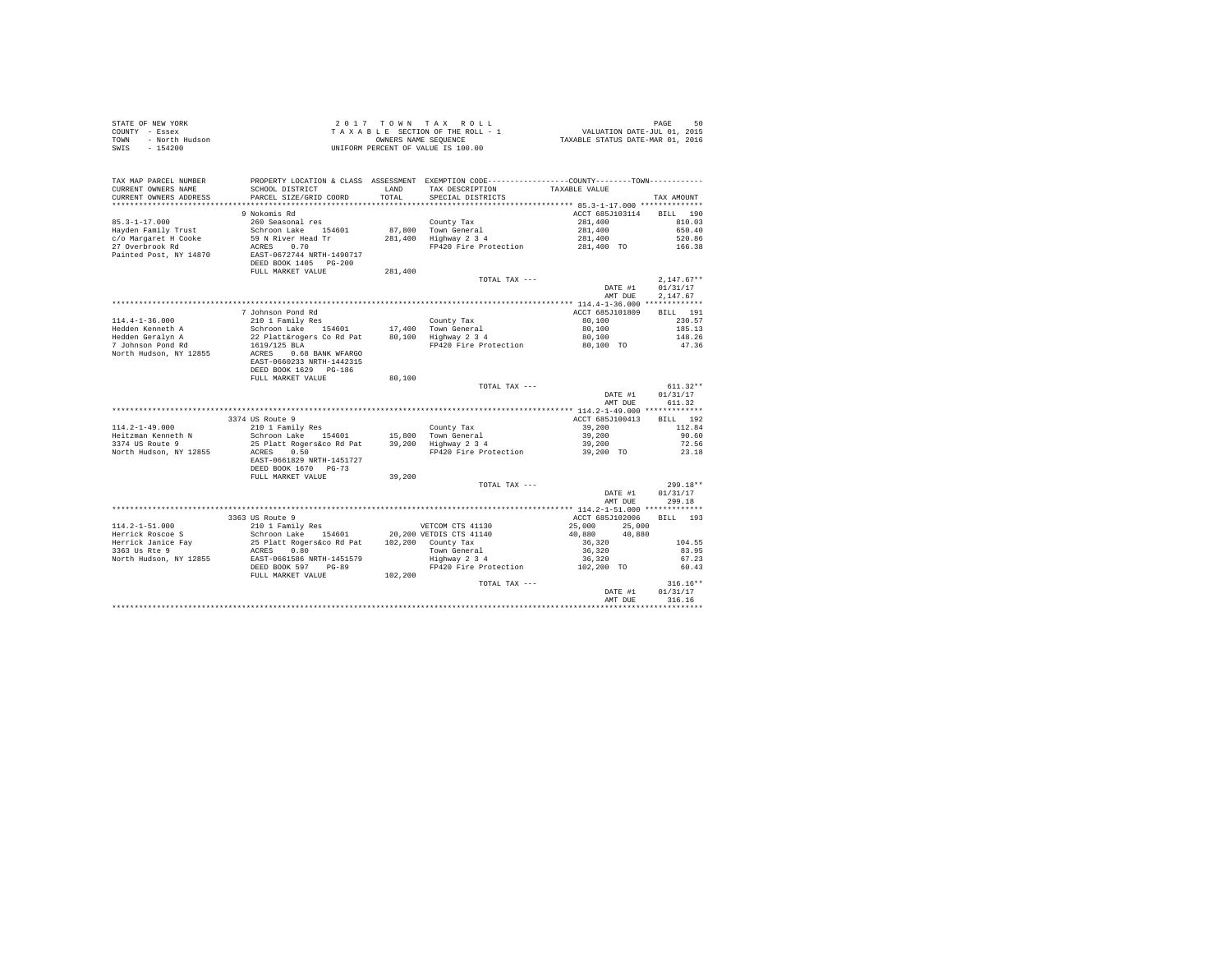| STATE OF NEW YORK<br>COUNTY - Essex<br>- North Hudson<br>TOWN<br>$-154200$<br>SWIS |                                                                              |               | 2017 TOWN TAX ROLL<br>TAXABLE SECTION OF THE ROLL - 1<br>OWNERS NAME SEQUENCE<br>UNIFORM PERCENT OF VALUE IS 100.00                    | ں 14HJE<br>7015 ,2015 VALUATION DATE-JUL<br>7016 ,2016 TAXABLE STATUS DATE-MAR | PAGE<br>50           |
|------------------------------------------------------------------------------------|------------------------------------------------------------------------------|---------------|----------------------------------------------------------------------------------------------------------------------------------------|--------------------------------------------------------------------------------|----------------------|
| TAX MAP PARCEL NUMBER<br>CURRENT OWNERS NAME<br>CURRENT OWNERS ADDRESS             | SCHOOL DISTRICT<br>PARCEL SIZE/GRID COORD                                    | LAND<br>TOTAL | PROPERTY LOCATION & CLASS ASSESSMENT EXEMPTION CODE----------------COUNTY-------TOWN----------<br>TAX DESCRIPTION<br>SPECIAL DISTRICTS | TAXABLE VALUE                                                                  | TAX AMOUNT           |
|                                                                                    | 9 Nokomis Rd                                                                 |               |                                                                                                                                        | ACCT 685J103114                                                                | RTT.T. 190           |
| $85.3 - 1 - 17.000$                                                                | 260 Seasonal res                                                             |               | County Tax                                                                                                                             | 281,400                                                                        | 810.03               |
| Hayden Family Trust                                                                | Schroon Lake 154601                                                          | 87.800        | Town General                                                                                                                           | 281,400                                                                        | 650.40               |
| c/o Margaret H Cooke                                                               | 59 N River Head Tr                                                           | 281,400       | Highway 2 3 4                                                                                                                          | 281,400                                                                        | 520.86               |
| 27 Overbrook Rd                                                                    | ACRES 0.70                                                                   |               | FP420 Fire Protection                                                                                                                  | 281,400 TO                                                                     | 166.38               |
| Painted Post, NY 14870                                                             | EAST-0672744 NRTH-1490717<br>DEED BOOK 1405 PG-200<br>FULL MARKET VALUE      |               |                                                                                                                                        |                                                                                |                      |
|                                                                                    |                                                                              | 281,400       | TOTAL TAX ---                                                                                                                          |                                                                                | $2.147.67**$         |
|                                                                                    |                                                                              |               |                                                                                                                                        | DATE #1<br>AMT DUE                                                             | 01/31/17<br>2.147.67 |
|                                                                                    |                                                                              |               |                                                                                                                                        |                                                                                |                      |
|                                                                                    | 7 Johnson Pond Rd                                                            |               |                                                                                                                                        | ACCT 685J101809                                                                | BILL 191             |
| $114.4 - 1 - 36.000$                                                               | 210 1 Family Res                                                             |               | County Tax                                                                                                                             | 80,100                                                                         | 230.57               |
| Hedden Kenneth A<br>Hedden Geralyn A                                               | Schroon Lake 154601<br>22 Platt&rogers Co Rd Pat                             | 17,400        | 17,400 Town General<br>80,100 Highway 2 3 4                                                                                            | 80,100<br>80,100                                                               | 185.13<br>148.26     |
| 7 Johnson Pond Rd                                                                  | 1619/125 BLA                                                                 |               | FP420 Fire Protection                                                                                                                  | 80,100 TO                                                                      | 47.36                |
| North Hudson, NY 12855                                                             | ACRES 0.68 BANK WFARGO<br>EAST-0660233 NRTH-1442315<br>DEED BOOK 1629 PG-186 |               |                                                                                                                                        |                                                                                |                      |
|                                                                                    | FULL MARKET VALUE                                                            | 80,100        |                                                                                                                                        |                                                                                |                      |
|                                                                                    |                                                                              |               | TOTAL TAX ---                                                                                                                          |                                                                                | $611.32**$           |
|                                                                                    |                                                                              |               |                                                                                                                                        | DATE #1<br>AMT DUE                                                             | 01/31/17<br>611.32   |
|                                                                                    |                                                                              |               |                                                                                                                                        |                                                                                |                      |
| $114.2 - 1 - 49.000$                                                               | 3374 US Route 9<br>210 1 Family Res                                          |               | County Tax                                                                                                                             | ACCT 685J100413<br>39,200                                                      | BILL 192<br>112.84   |
| Heitzman Kenneth N                                                                 | Schroon Lake 154601                                                          | 15,800        |                                                                                                                                        | 39,200                                                                         | 90.60                |
| 3374 US Route 9                                                                    | 25 Platt Rogers&co Rd Pat                                                    | 39,200        | Town General<br>Highway 2 3 4                                                                                                          | 39,200                                                                         | 72.56                |
| North Hudson, NY 12855                                                             | ACRES 0.50<br>EAST-0661829 NRTH-1451727                                      |               | FP420 Fire Protection                                                                                                                  | 39,200 TO                                                                      | 23.18                |
|                                                                                    | DEED BOOK 1670 PG-73                                                         |               |                                                                                                                                        |                                                                                |                      |
|                                                                                    | FULL MARKET VALUE                                                            | 39,200        | TOTAL TAX ---                                                                                                                          |                                                                                | 299.18**             |
|                                                                                    |                                                                              |               |                                                                                                                                        | DATE #1<br>AMT DUE                                                             | 01/31/17<br>299.18   |
|                                                                                    |                                                                              |               |                                                                                                                                        |                                                                                |                      |
|                                                                                    | 3363 US Route 9                                                              |               |                                                                                                                                        | ACCT 685J102006                                                                | BILL 193             |
| $114.2 - 1 - 51.000$                                                               | 210 1 Family Res                                                             |               | VETCOM CTS 41130                                                                                                                       | 25,000<br>25,000                                                               |                      |
| Herrick Roscoe S                                                                   | Schroon Lake 154601                                                          |               | 20,200 VETDIS CTS 41140                                                                                                                | 40,880<br>40,880                                                               |                      |
| Herrick Janice Fay<br>3363 Us Rte 9                                                | 25 Platt Rogers&co Rd Pat<br>ACRES 0.80                                      |               | 102,200 County Tax<br>Town General                                                                                                     | 36,320<br>36,320                                                               | 104.55<br>83.95      |
| North Hudson, NY 12855                                                             | EAST-0661586 NRTH-1451579                                                    |               | $\frac{1}{2}$ Highway 2 3 4                                                                                                            | 36,320                                                                         | 67.23                |
|                                                                                    | DEED BOOK 597 PG-89                                                          |               | FP420 Fire Protection                                                                                                                  | 102,200 TO                                                                     | 60.43                |
|                                                                                    | FULL MARKET VALUE                                                            | 102,200       |                                                                                                                                        |                                                                                |                      |
|                                                                                    |                                                                              |               | TOTAL TAX ---                                                                                                                          |                                                                                | $316.16**$           |
|                                                                                    |                                                                              |               |                                                                                                                                        | DATE #1                                                                        | 01/31/17             |
|                                                                                    |                                                                              |               |                                                                                                                                        | AMT DUE                                                                        | 316.16               |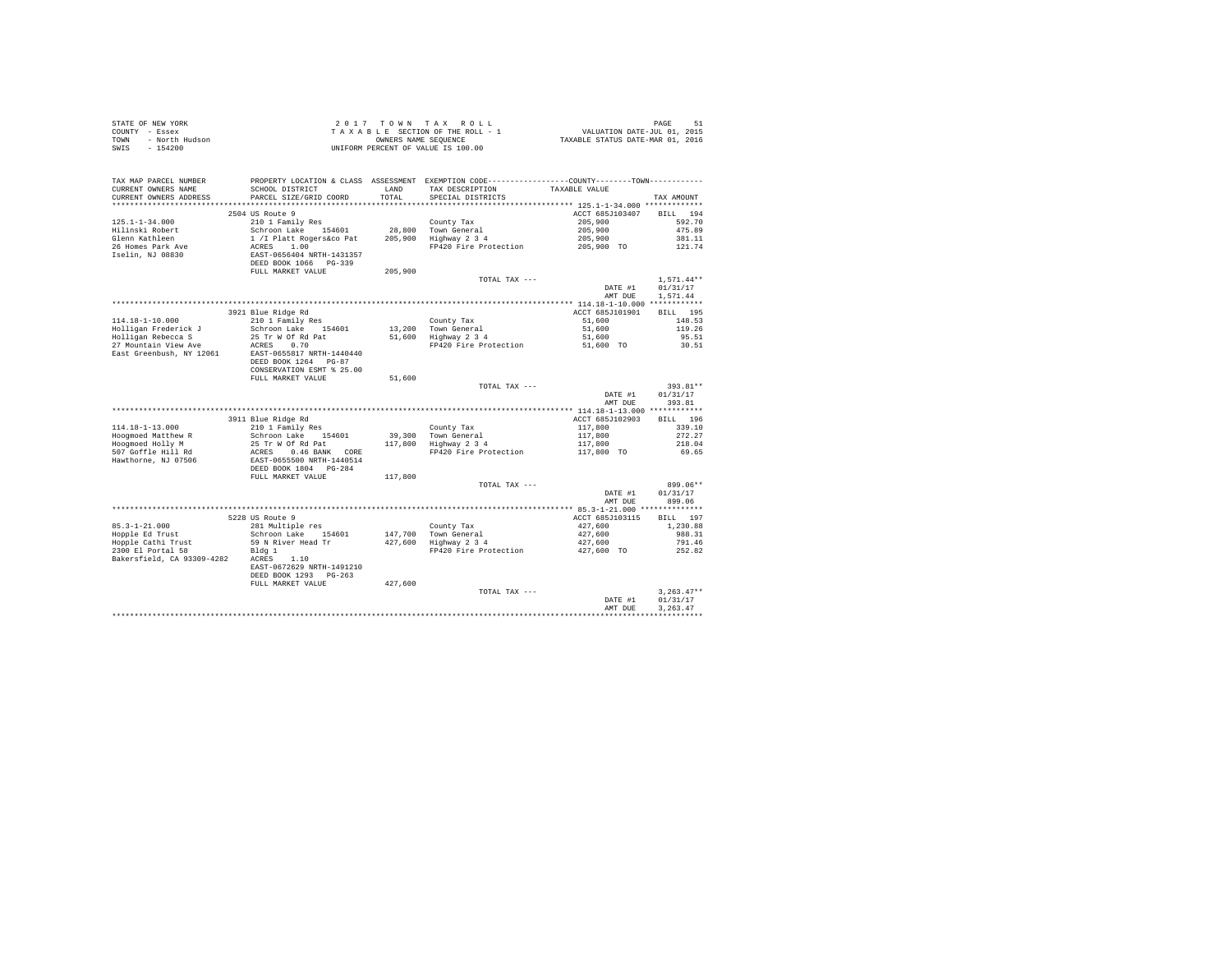|                                                                                                                                                                                                                              |                                                                                                                    |         |                                                            | PAGE 51<br>VALUATION DATE-JUL 01, 2015<br>TAXABLE STATUS DATE-MAR 01, 2016         |                 |
|------------------------------------------------------------------------------------------------------------------------------------------------------------------------------------------------------------------------------|--------------------------------------------------------------------------------------------------------------------|---------|------------------------------------------------------------|------------------------------------------------------------------------------------|-----------------|
|                                                                                                                                                                                                                              |                                                                                                                    |         |                                                            |                                                                                    |                 |
| STATE OF EMEW YORK A REPORT OF THE ROLL - 1<br>COUNTY - ESSEX<br>TOWN - NOTH Hudson<br>TAXABLE SECTION OF THE ROLL - 1<br>TOWN - NOTH Hudson<br>TAXABLE SECTION OF THE ROLL - 1<br>OWNERS NAME SEQUENCE<br>TAXABLE IS 100.00 |                                                                                                                    |         |                                                            |                                                                                    |                 |
|                                                                                                                                                                                                                              |                                                                                                                    |         |                                                            |                                                                                    |                 |
|                                                                                                                                                                                                                              |                                                                                                                    |         |                                                            |                                                                                    |                 |
| TAX MAP PARCEL NUMBER                                                                                                                                                                                                        | PROPERTY LOCATION & CLASS ASSESSMENT EXEMPTION CODE---------------COUNTY-------TOWN---------                       |         |                                                            |                                                                                    |                 |
| CURRENT OWNERS NAME                                                                                                                                                                                                          | SCHOOL DISTRICT                                                                                                    | LAND    | TAX DESCRIPTION                                            | TAXABLE VALUE                                                                      |                 |
| CURRENT OWNERS ADDRESS                                                                                                                                                                                                       | PARCEL SIZE/GRID COORD                                                                                             | TOTAL   | SPECIAL DISTRICTS                                          |                                                                                    | TAX AMOUNT      |
|                                                                                                                                                                                                                              |                                                                                                                    |         |                                                            |                                                                                    |                 |
|                                                                                                                                                                                                                              | 2504 US Route 9                                                                                                    |         |                                                            | ACCT 685J103407                                                                    | <b>BILL</b> 194 |
| $125.1 - 1 - 34.000$                                                                                                                                                                                                         | 210 1 Family Res                                                                                                   |         | County Tax                                                 | 205,900                                                                            | 592.70          |
| Hilinski Robert                                                                                                                                                                                                              | Schroon Lake 154601                                                                                                |         |                                                            | 205,900                                                                            | 475.89          |
| Glenn Kathleen                                                                                                                                                                                                               | 1 / I Platt Rogers&co Pat                                                                                          |         | County Tax<br>28,800 Town General<br>205,900 Highway 2 3 4 | 205,900                                                                            | 381.11          |
| 26 Homes Park Ave                                                                                                                                                                                                            |                                                                                                                    |         | FP420 Fire Protection                                      | 205,900 TO                                                                         | 121.74          |
| Iselin, NJ 08830                                                                                                                                                                                                             | ACRES 1.00<br>EAST-0656404 NRTH-1431357<br>DEED BOOK 1066 PG-339<br>FULL MARKET VALUE                              |         |                                                            |                                                                                    |                 |
|                                                                                                                                                                                                                              |                                                                                                                    |         |                                                            |                                                                                    |                 |
|                                                                                                                                                                                                                              |                                                                                                                    |         |                                                            |                                                                                    |                 |
|                                                                                                                                                                                                                              |                                                                                                                    | 205,900 |                                                            |                                                                                    | $1.571.44**$    |
|                                                                                                                                                                                                                              |                                                                                                                    |         | TOTAL TAX ---                                              |                                                                                    |                 |
|                                                                                                                                                                                                                              |                                                                                                                    |         |                                                            | DATE #1                                                                            | 01/31/17        |
|                                                                                                                                                                                                                              |                                                                                                                    |         |                                                            | AMT DUE                                                                            | 1,571,44        |
|                                                                                                                                                                                                                              |                                                                                                                    |         |                                                            |                                                                                    |                 |
|                                                                                                                                                                                                                              | 3921 Blue Ridge Rd                                                                                                 |         |                                                            | ACCT 685J101901                                                                    | BILL 195        |
| 114.18-1-10.000                                                                                                                                                                                                              | 210 1 Family Res                                                                                                   |         |                                                            | 51,600                                                                             | 148.53          |
| Holligan Frederick J                                                                                                                                                                                                         | Schroon Lake 154601                                                                                                |         |                                                            | 51,600                                                                             | 119.26          |
| Holligan Rebecca S                                                                                                                                                                                                           | 25 Tr W Of Rd Pat                                                                                                  |         | County Tax<br>13,200 Town General<br>51,600 Highway 2 3 4  | 51,600                                                                             | 95.51           |
| 27 Mountain View Ave                                                                                                                                                                                                         | ACRES 0.70                                                                                                         |         | FP420 Fire Protection                                      | 51,600 TO                                                                          | 30.51           |
| East Greenbush, NY 12061                                                                                                                                                                                                     | EAST-0655817 NRTH-1440440                                                                                          |         |                                                            |                                                                                    |                 |
|                                                                                                                                                                                                                              | DEED BOOK 1264 PG-87                                                                                               |         |                                                            |                                                                                    |                 |
|                                                                                                                                                                                                                              | CONSERVATION ESMT % 25.00                                                                                          |         |                                                            |                                                                                    |                 |
|                                                                                                                                                                                                                              | FULL MARKET VALUE                                                                                                  | 51,600  |                                                            |                                                                                    |                 |
|                                                                                                                                                                                                                              |                                                                                                                    |         | TOTAL TAX ---                                              |                                                                                    | 393.81**        |
|                                                                                                                                                                                                                              |                                                                                                                    |         |                                                            | DATE #1                                                                            | 01/31/17        |
|                                                                                                                                                                                                                              |                                                                                                                    |         |                                                            | AMT DUE                                                                            | 393.81          |
|                                                                                                                                                                                                                              |                                                                                                                    |         |                                                            |                                                                                    |                 |
|                                                                                                                                                                                                                              | 3911 Blue Ridge Rd                                                                                                 |         |                                                            | ACCT 685J102903                                                                    | BILL 196        |
| 114.18-1-13.000                                                                                                                                                                                                              | 210 1 Family Res                                                                                                   |         |                                                            |                                                                                    | 339.10          |
| Hoogmoed Matthew R                                                                                                                                                                                                           | Schroon Lake 154601                                                                                                |         |                                                            |                                                                                    | 272.27          |
| Hoogmoed Holly M                                                                                                                                                                                                             | 25 Tr W Of Rd Pat                                                                                                  |         | County Tax<br>39,300 Town General<br>117,800 Highway 2 3 4 |                                                                                    | 218.04          |
| 507 Goffle Hill Rd                                                                                                                                                                                                           |                                                                                                                    |         | FP420 Fire Protection                                      | $\begin{array}{r} 117,800 \\ 117,800 \\ 117,800 \\ 117,800 \\ 117,800 \end{array}$ | 69.65           |
|                                                                                                                                                                                                                              |                                                                                                                    |         |                                                            |                                                                                    |                 |
| Hawthorne, NJ 07506                                                                                                                                                                                                          |                                                                                                                    |         |                                                            |                                                                                    |                 |
|                                                                                                                                                                                                                              | ACRES 0.46 BANK CORE<br>EAST-0655500 NRTH-1440514<br>DEED BOOK 1804 PG-284<br>FULL MARKET VALUE                    |         |                                                            |                                                                                    |                 |
|                                                                                                                                                                                                                              |                                                                                                                    | 117,800 |                                                            |                                                                                    |                 |
|                                                                                                                                                                                                                              |                                                                                                                    |         | TOTAL TAX ---                                              |                                                                                    | 899.06**        |
|                                                                                                                                                                                                                              |                                                                                                                    |         |                                                            | DATE #1                                                                            | 01/31/17        |
|                                                                                                                                                                                                                              |                                                                                                                    |         |                                                            | AMT DUE                                                                            | 899.06          |
|                                                                                                                                                                                                                              |                                                                                                                    |         |                                                            |                                                                                    |                 |
|                                                                                                                                                                                                                              | 5228 US Route 9                                                                                                    |         |                                                            | ACCT 685J103115                                                                    | BILL 197        |
| $85.3 - 1 - 21.000$                                                                                                                                                                                                          | 281 Multiple res                                                                                                   |         |                                                            |                                                                                    | 1,230.88        |
| Hopple Ed Trust                                                                                                                                                                                                              | 281 Multiple res<br>Schroon Lake 154601 147,700 Town General<br>59 N River Head Tr 427,600 Highway 2 3 4<br>Bldg 1 |         |                                                            | 427,600<br>427,600                                                                 | 988.31          |
|                                                                                                                                                                                                                              |                                                                                                                    |         |                                                            | 427,600                                                                            | 791.46          |
| Hopple Cathi Trust<br>2300 El Portal 58<br>2300 El Portal 58 Bldg 1<br>Bakersfield, CA 93309-4282 ACRES 1.10                                                                                                                 |                                                                                                                    |         | FP420 Fire Protection                                      | $427,600$ TO                                                                       | 252.82          |
|                                                                                                                                                                                                                              |                                                                                                                    |         |                                                            |                                                                                    |                 |
|                                                                                                                                                                                                                              | EAST-0672629 NRTH-1491210                                                                                          |         |                                                            |                                                                                    |                 |
|                                                                                                                                                                                                                              | DEED BOOK 1293 PG-263                                                                                              |         |                                                            |                                                                                    |                 |
|                                                                                                                                                                                                                              | FULL MARKET VALUE                                                                                                  | 427,600 |                                                            |                                                                                    |                 |
|                                                                                                                                                                                                                              |                                                                                                                    |         | TOTAL TAX ---                                              |                                                                                    | $3.263.47**$    |
|                                                                                                                                                                                                                              |                                                                                                                    |         |                                                            | DATE #1                                                                            | 01/31/17        |
|                                                                                                                                                                                                                              |                                                                                                                    |         |                                                            | AMT DUE                                                                            | 3.263.47        |
|                                                                                                                                                                                                                              |                                                                                                                    |         |                                                            |                                                                                    | ***********     |
|                                                                                                                                                                                                                              |                                                                                                                    |         |                                                            |                                                                                    |                 |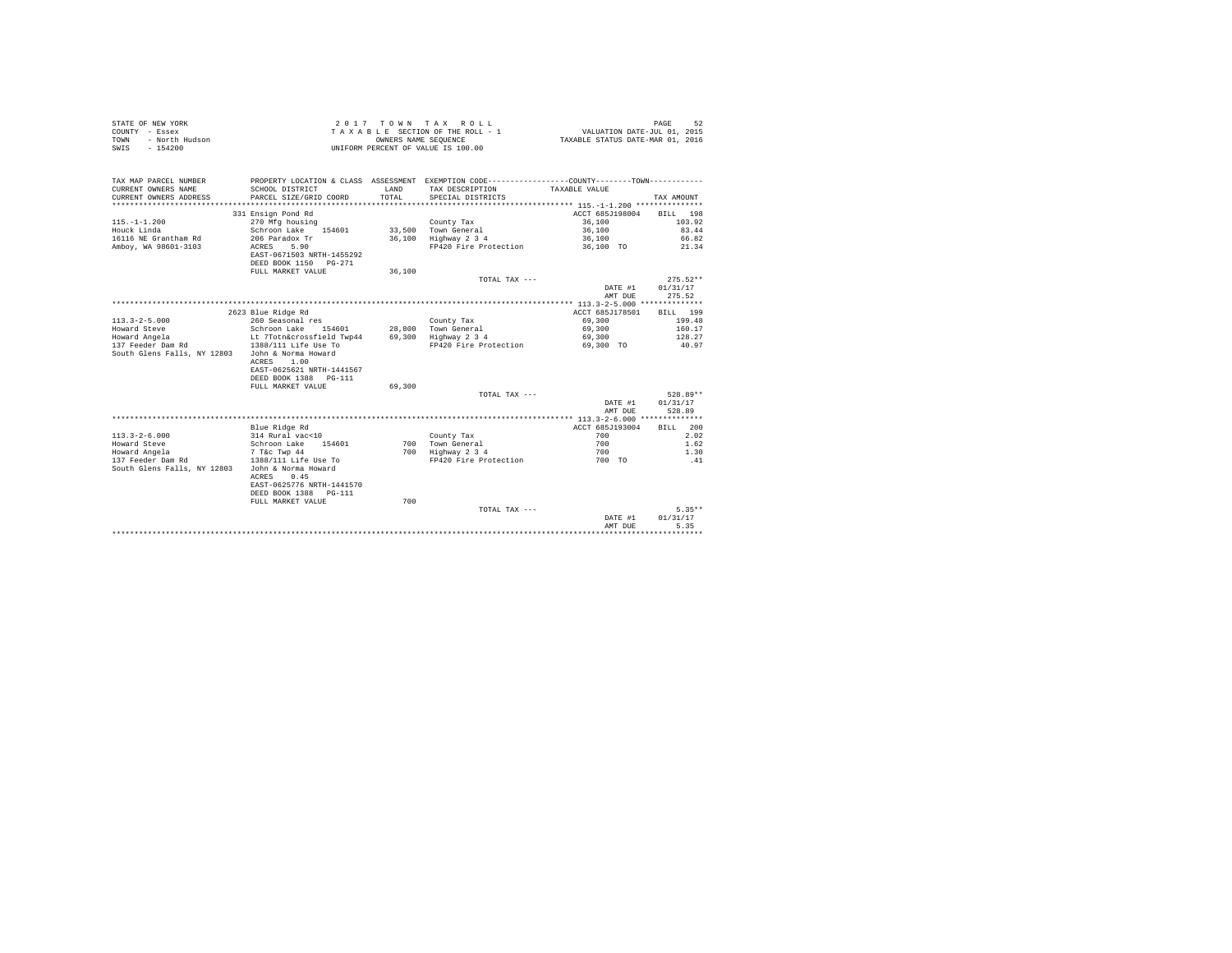| STATE OF NEW YORK<br>COUNTY - Essex<br>- North Hudson<br><b>TOWN</b><br>$-154200$<br>SWIS |                                   | OWNERS NAME SEQUENCE | 2017 TOWN TAX ROLL<br>TAXABLE SECTION OF THE ROLL - 1<br>UNIFORM PERCENT OF VALUE IS 100.00     | VALUATION DATE-JUL 01, 2015<br>TAXABLE STATUS DATE-MAR 01, 2016 | PAGE<br>52 |
|-------------------------------------------------------------------------------------------|-----------------------------------|----------------------|-------------------------------------------------------------------------------------------------|-----------------------------------------------------------------|------------|
| TAX MAP PARCEL NUMBER                                                                     |                                   |                      | PROPERTY LOCATION & CLASS ASSESSMENT EXEMPTION CODE----------------COUNTY--------TOWN---------- |                                                                 |            |
| CURRENT OWNERS NAME                                                                       | SCHOOL DISTRICT                   | LAND                 | TAX DESCRIPTION                                                                                 | TAXABLE VALUE                                                   |            |
| CURRENT OWNERS ADDRESS                                                                    | PARCEL SIZE/GRID COORD            | TOTAL.               | SPECIAL DISTRICTS                                                                               |                                                                 | TAX AMOUNT |
|                                                                                           |                                   |                      |                                                                                                 |                                                                 |            |
|                                                                                           | 331 Ensign Pond Rd                |                      |                                                                                                 | ACCT 685J198004                                                 | RTT.T. 198 |
| $115. - 1 - 1.200$                                                                        | 270 Mfg housing                   |                      | County Tax                                                                                      | 36,100                                                          | 103.92     |
| Houck Linda                                                                               | Schroon Lake 154601               |                      | 33,500 Town General                                                                             | 36,100                                                          | 83.44      |
| 16116 NE Grantham Rd                                                                      | 206 Paradox Tr                    |                      | 36.100 Highway 2 3 4                                                                            | 36,100                                                          | 66.82      |
| Ambov, WA 98601-3103                                                                      | 5.90<br>ACRES                     |                      | FP420 Fire Protection                                                                           | 36,100 TO                                                       | 21.34      |
|                                                                                           | EAST-0671503 NRTH-1455292         |                      |                                                                                                 |                                                                 |            |
|                                                                                           | DEED BOOK 1150 PG-271             |                      |                                                                                                 |                                                                 |            |
|                                                                                           | FULL MARKET VALUE                 | 36,100               |                                                                                                 |                                                                 |            |
|                                                                                           |                                   |                      | TOTAL TAX ---                                                                                   |                                                                 | $275.52**$ |
|                                                                                           |                                   |                      |                                                                                                 | DATE #1                                                         | 01/31/17   |
|                                                                                           |                                   |                      |                                                                                                 | AMT DUE                                                         | 275.52     |
|                                                                                           |                                   |                      |                                                                                                 |                                                                 |            |
|                                                                                           | 2623 Blue Ridge Rd                |                      |                                                                                                 | ACCT 685J178501                                                 | BILL 199   |
| $113.3 - 2 - 5.000$                                                                       | 260 Seasonal res                  |                      | County Tax                                                                                      | 69,300                                                          | 199.48     |
| Howard Steve                                                                              | Schroon Lake 154601               |                      | 28,800 Town General                                                                             | 69,300                                                          | 160.17     |
| Howard Angela                                                                             | Lt 7Totn&crossfield Twp44         |                      | 69,300 Highway 2 3 4                                                                            | 69,300                                                          | 128.27     |
| 137 Feeder Dam Rd                                                                         | 1388/111 Life Use To              |                      | FP420 Fire Protection                                                                           | 69,300 TO                                                       | 40.97      |
| South Glens Falls, NY 12803                                                               | John & Norma Howard<br>ACRES 1.00 |                      |                                                                                                 |                                                                 |            |
|                                                                                           | EAST-0625621 NRTH-1441567         |                      |                                                                                                 |                                                                 |            |
|                                                                                           | DEED BOOK 1388 PG-111             |                      |                                                                                                 |                                                                 |            |
|                                                                                           | FULL MARKET VALUE                 | 69,300               |                                                                                                 |                                                                 |            |
|                                                                                           |                                   |                      | TOTAL TAX ---                                                                                   |                                                                 | 528.89**   |
|                                                                                           |                                   |                      |                                                                                                 | DATE #1                                                         | 01/31/17   |
|                                                                                           |                                   |                      |                                                                                                 | AMT DUE                                                         | 528.89     |
|                                                                                           |                                   |                      |                                                                                                 |                                                                 |            |
|                                                                                           | Blue Ridge Rd                     |                      |                                                                                                 | ACCT 685J193004                                                 | BILL 200   |
| $113.3 - 2 - 6.000$                                                                       | 314 Rural vac<10                  |                      | County Tax                                                                                      | 700                                                             | 2.02       |
| Howard Steve                                                                              | Schroon Lake 154601               |                      | 700 Town General                                                                                | 700                                                             | 1.62       |
| Howard Angela                                                                             | 7 T&c Twp 44                      |                      | 700 Highway 2 3 4                                                                               | 700                                                             | 1.30       |
| 137 Feeder Dam Rd                                                                         | 1388/111 Life Use To              |                      | FP420 Fire Protection                                                                           | 700 TO                                                          | .41        |
| South Glens Falls, NY 12803                                                               | John & Norma Howard               |                      |                                                                                                 |                                                                 |            |
|                                                                                           | 0.45<br>ACRES                     |                      |                                                                                                 |                                                                 |            |
|                                                                                           | EAST-0625776 NRTH-1441570         |                      |                                                                                                 |                                                                 |            |
|                                                                                           | DEED BOOK 1388 PG-111             |                      |                                                                                                 |                                                                 |            |
|                                                                                           | FULL MARKET VALUE                 | 700                  |                                                                                                 |                                                                 |            |
|                                                                                           |                                   |                      | TOTAL TAX ---                                                                                   |                                                                 | $5.35**$   |
|                                                                                           |                                   |                      |                                                                                                 | DATE #1                                                         | 01/31/17   |
|                                                                                           |                                   |                      |                                                                                                 | AMT DUE                                                         | 5.35       |
|                                                                                           |                                   |                      |                                                                                                 |                                                                 | .          |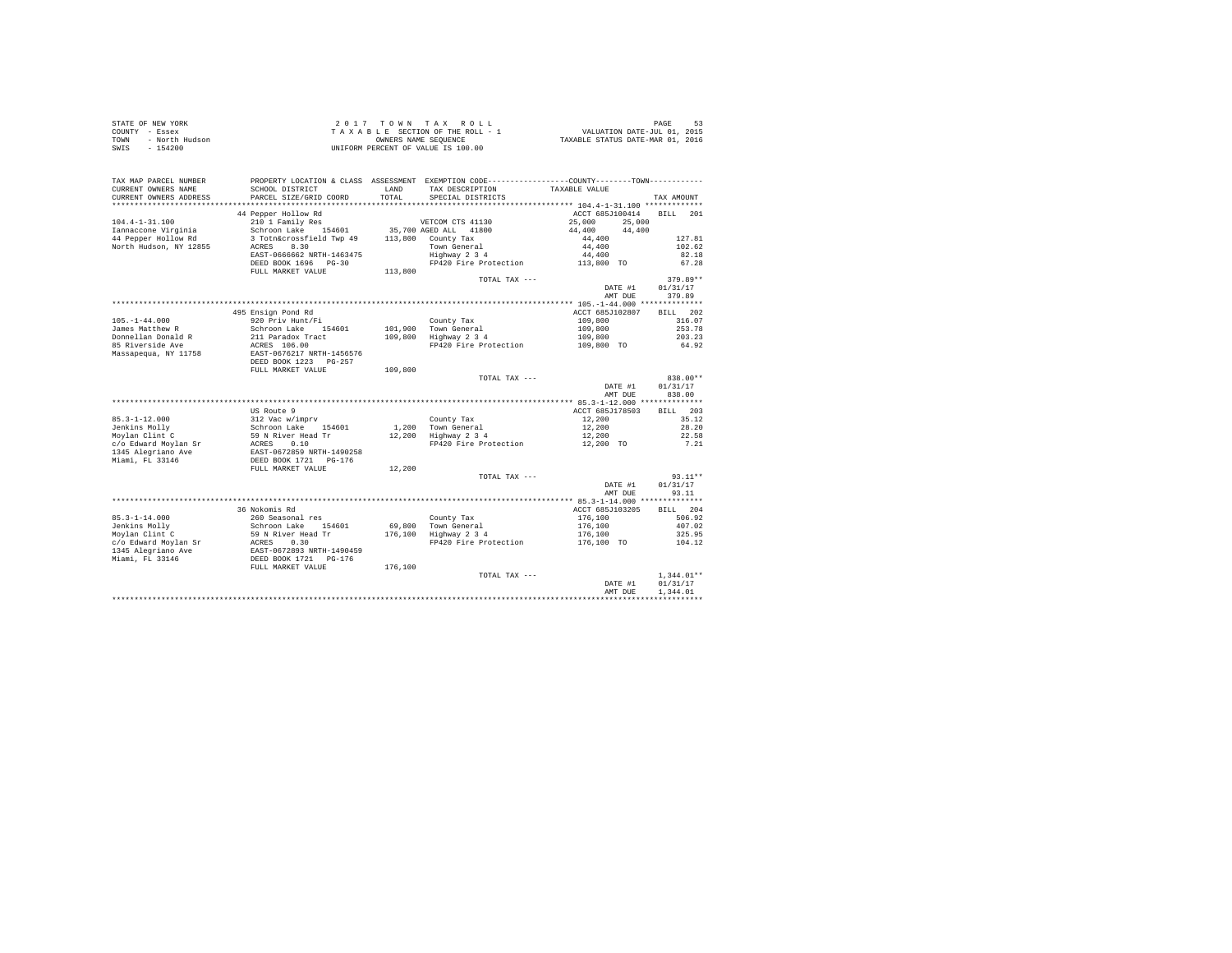| STATE OF NEW YORK<br>COUNTY - Essex<br>- North Hudson<br>TOWN<br>$-154200$<br>SWIS |                                                                                                                                                              |               | 2017 TOWN TAX ROLL<br>UNIFORM PERCENT OF VALUE IS 100.00 |                  | PAGE<br>53               |
|------------------------------------------------------------------------------------|--------------------------------------------------------------------------------------------------------------------------------------------------------------|---------------|----------------------------------------------------------|------------------|--------------------------|
| TAX MAP PARCEL NUMBER<br>CURRENT OWNERS NAME<br>CURRENT OWNERS ADDRESS             | PROPERTY LOCATION & CLASS ASSESSMENT EXEMPTION CODE----------------COUNTY-------TOWN----------<br>SCHOOL DISTRICT<br>PARCEL SIZE/GRID COORD                  | LAND<br>TOTAL | TAX DESCRIPTION<br>SPECIAL DISTRICTS                     | TAXABLE VALUE    | TAX AMOUNT               |
|                                                                                    |                                                                                                                                                              |               |                                                          |                  |                          |
|                                                                                    | 44 Pepper Hollow Rd                                                                                                                                          |               |                                                          | ACCT 685J100414  | <b>BILL</b><br>201       |
| $104.4 - 1 - 31.100$                                                               | 210 1 Family Res                                                                                                                                             |               | VETCOM CTS 41130                                         | 25,000<br>25,000 |                          |
| Iannaccone Virginia                                                                | Schroon Lake 154601                                                                                                                                          |               | 35,700 AGED ALL 41800                                    | 44,400<br>44,400 |                          |
| 44 Pepper Hollow Rd                                                                | 3 Totn&crossfield Twp 49                                                                                                                                     |               | 113,800 County Tax                                       | 44,400           | 127.81                   |
| North Hudson, NY 12855                                                             | ACRES 8.30                                                                                                                                                   |               | Town General<br>Highway 2 3 4                            | 44,400           | 102.62                   |
|                                                                                    | EAST-0666662 NRTH-1463475                                                                                                                                    |               |                                                          | 44,400           | 82.18                    |
|                                                                                    | DEED BOOK 1696 PG-30                                                                                                                                         |               | FP420 Fire Protection                                    | 113,800 TO       | 67.28                    |
|                                                                                    | FULL MARKET VALUE                                                                                                                                            | 113,800       | TOTAL TAX ---                                            |                  | $379.89**$               |
|                                                                                    |                                                                                                                                                              |               |                                                          | DATE #1          | 01/31/17                 |
|                                                                                    |                                                                                                                                                              |               |                                                          | AMT DUE          | 379.89                   |
|                                                                                    |                                                                                                                                                              |               |                                                          |                  |                          |
|                                                                                    | 495 Ensign Pond Rd                                                                                                                                           |               |                                                          | ACCT 685J102807  | BILL 202                 |
| $105. - 1 - 44.000$                                                                | 920 Priv Hunt/Fi                                                                                                                                             |               | County Tax                                               | 109,800          | 316.07                   |
| James Matthew R                                                                    | Schroon Lake 154601                                                                                                                                          |               | 101,900 Town General                                     | 109,800          | 253.78                   |
| Donnellan Donald R                                                                 | 211 Paradox Tract                                                                                                                                            |               | 109,800 Highway 2 3 4                                    | 109,800          | 203.23                   |
| 85 Riverside Ave                                                                   | ACRES 106.00<br>EAST-0676217 NRTH-1456576                                                                                                                    |               | FP420 Fire Protection 109,800 TO                         |                  | 64.92                    |
| Massapequa, NY 11758                                                               | DEED BOOK 1223 PG-257                                                                                                                                        |               |                                                          |                  |                          |
|                                                                                    | FULL MARKET VALUE                                                                                                                                            | 109,800       |                                                          |                  |                          |
|                                                                                    |                                                                                                                                                              |               | TOTAL TAX ---                                            |                  | 838.00**                 |
|                                                                                    |                                                                                                                                                              |               |                                                          | DATE #1          | 01/31/17                 |
|                                                                                    |                                                                                                                                                              |               |                                                          | AMT DUE          | 838.00                   |
|                                                                                    |                                                                                                                                                              |               |                                                          |                  |                          |
|                                                                                    | US Route 9                                                                                                                                                   |               |                                                          | ACCT 685J178503  | BILL 203                 |
| $85.3 - 1 - 12.000$                                                                |                                                                                                                                                              |               | County Tax                                               | 12,200           | 35.12                    |
| Jenkins Molly                                                                      |                                                                                                                                                              |               | 1.200 Town General                                       | 12,200           | 28.20                    |
| Movlan Clint C                                                                     |                                                                                                                                                              |               | $12.200$ $10$ $m$ $9$ $m$ $4$                            | 12,200           | 22.58                    |
| c/o Edward Moylan Sr                                                               | 05 Noute 9<br>312 Vac W/imprv<br>Schroon Lake<br>59 N River Head Tr<br>ACRES 0.10<br>EAST-0672859 NRTH-1490258<br>DEED BOOK 1721 PG-176<br>FULL MARKET VALUE |               | FP420 Fire Protection                                    | 12,200 TO        | 7.21                     |
| 1345 Alegriano Ave                                                                 |                                                                                                                                                              |               |                                                          |                  |                          |
| Miami, FL 33146                                                                    |                                                                                                                                                              | 12,200        |                                                          |                  |                          |
|                                                                                    |                                                                                                                                                              |               | TOTAL TAX ---                                            |                  | $93.11**$                |
|                                                                                    |                                                                                                                                                              |               |                                                          | DATE #1          | 01/31/17                 |
|                                                                                    |                                                                                                                                                              |               |                                                          | AMT DUE          | 93.11                    |
|                                                                                    |                                                                                                                                                              |               |                                                          |                  |                          |
|                                                                                    | 36 Nokomis Rd                                                                                                                                                |               |                                                          | ACCT 685J103205  | RTT.T. 204               |
| $85.3 - 1 - 14.000$                                                                | 260 Seasonal res                                                                                                                                             |               | County Tax                                               | 176,100          | 506.92                   |
| Jenkins Molly                                                                      | Schroon Lake 154601                                                                                                                                          |               | 69,800 Town General                                      | 176,100          | 407.02                   |
| Moylan Clint C                                                                     | 59 N River Head Tr<br>ACRES 0.30<br>EAST-0672893 NRTH-1490459<br>DEED BOOK 1721 PG-176<br>FULL MARKET VALUE                                                  |               | $176,100$ Highway $2\frac{3}{4}$                         | 176,100          | 325.95                   |
| c/o Edward Moylan Sr                                                               |                                                                                                                                                              |               | FP420 Fire Protection                                    | 176,100 TO       | 104.12                   |
| 1345 Alegriano Ave                                                                 |                                                                                                                                                              |               |                                                          |                  |                          |
| Miami, FL 33146                                                                    |                                                                                                                                                              |               |                                                          |                  |                          |
|                                                                                    |                                                                                                                                                              | 176,100       |                                                          |                  |                          |
|                                                                                    |                                                                                                                                                              |               | TOTAL TAX ---                                            | DATE #1          | $1.344.01**$<br>01/31/17 |
|                                                                                    |                                                                                                                                                              |               |                                                          | AMT DUE          | 1.344.01                 |
|                                                                                    |                                                                                                                                                              |               |                                                          |                  |                          |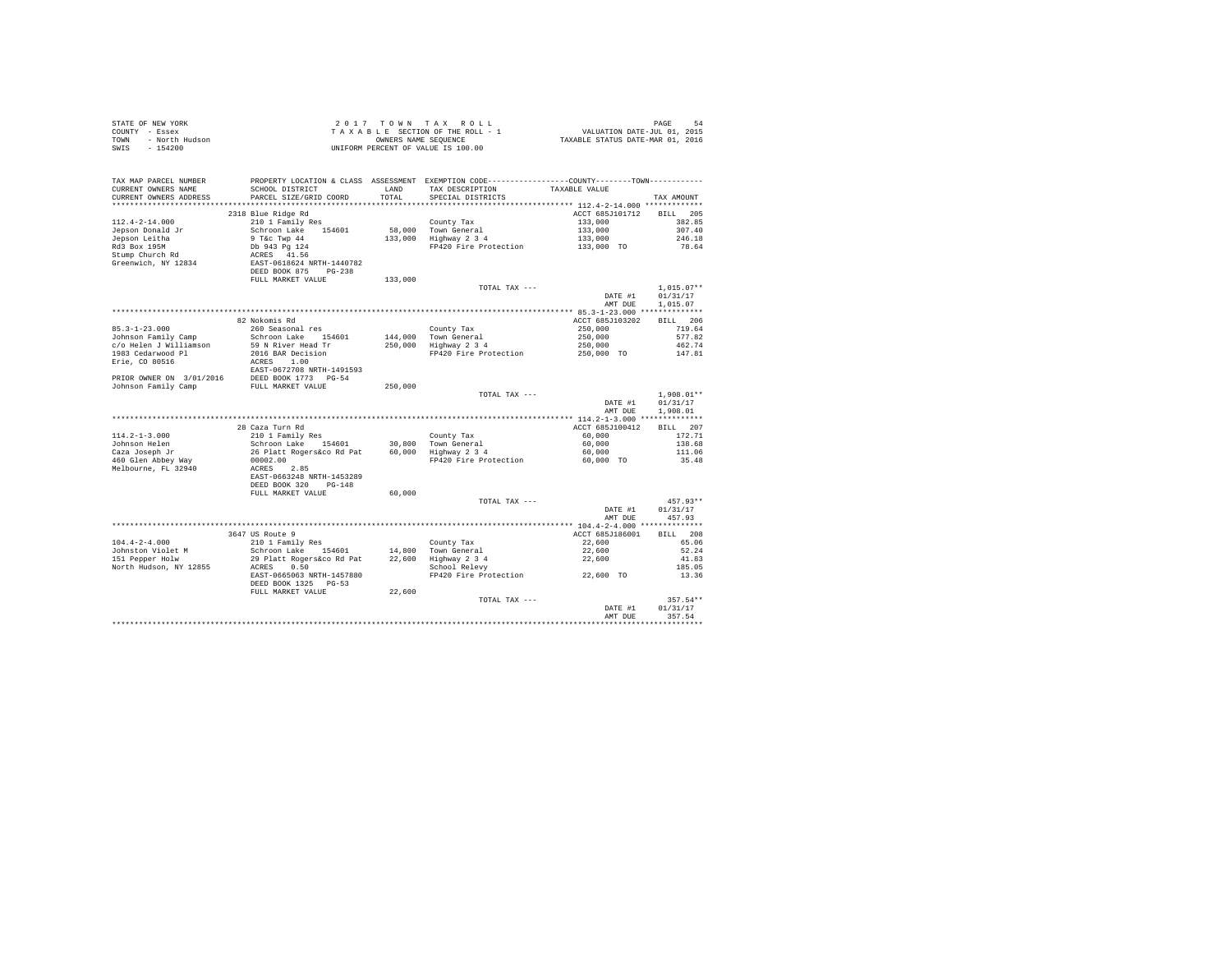| STATE OF NEW YORK      | 2017 TOWN TAX ROLL                 | 54<br>PAGE                       |
|------------------------|------------------------------------|----------------------------------|
| COUNTY - Essex         | TAXABLE SECTION OF THE ROLL - 1    | VALUATION DATE-JUL 01, 2015      |
| TOWN<br>- North Hudson | OWNERS NAME SEOUENCE               | TAXABLE STATUS DATE-MAR 01, 2016 |
| SWIS<br>- 154200       | UNIFORM PERCENT OF VALUE IS 100.00 |                                  |

| TAX MAP PARCEL NUMBER<br>CURRENT OWNERS NAME<br>CURRENT OWNERS ADDRESS | SCHOOL DISTRICT<br>PARCEL SIZE/GRID COORD | LAND<br>TOTAL | PROPERTY LOCATION & CLASS ASSESSMENT EXEMPTION CODE----------------COUNTY-------TOWN----------<br>TAX DESCRIPTION<br>SPECIAL DISTRICTS | TAXABLE VALUE   | TAX AMOUNT         |
|------------------------------------------------------------------------|-------------------------------------------|---------------|----------------------------------------------------------------------------------------------------------------------------------------|-----------------|--------------------|
|                                                                        |                                           |               |                                                                                                                                        |                 |                    |
|                                                                        | 2318 Blue Ridge Rd                        |               |                                                                                                                                        | ACCT 685J101712 | 205<br><b>BILL</b> |
| $112.4 - 2 - 14.000$                                                   | 210 1 Family Res                          |               | County Tax                                                                                                                             | 133,000         | 382.85             |
| Jepson Donald Jr                                                       | Schroon Lake<br>154601                    | 58,000        | Town General                                                                                                                           | 133,000         | 307.40             |
| Jepson Leitha                                                          | 9 T&c Twp 44                              | 133,000       | Highway 2 3 4                                                                                                                          | 133,000         | 246.18             |
| Rd3 Box 195M                                                           | Db 943 Pg 124                             |               | FP420 Fire Protection                                                                                                                  | 133,000 TO      | 78.64              |
| Stump Church Rd                                                        | ACRES 41.56                               |               |                                                                                                                                        |                 |                    |
| Greenwich, NY 12834                                                    | EAST-0618624 NRTH-1440782                 |               |                                                                                                                                        |                 |                    |
|                                                                        | DEED BOOK 875<br>$PG-238$                 |               |                                                                                                                                        |                 |                    |
|                                                                        | FULL MARKET VALUE                         | 133,000       |                                                                                                                                        |                 |                    |
|                                                                        |                                           |               | TOTAL TAX ---                                                                                                                          |                 | $1,015.07**$       |
|                                                                        |                                           |               |                                                                                                                                        | DATE #1         | 01/31/17           |
|                                                                        |                                           |               |                                                                                                                                        | AMT DUE         | 1.015.07           |
|                                                                        |                                           |               |                                                                                                                                        |                 |                    |
|                                                                        | 82 Nokomis Rd                             |               |                                                                                                                                        | ACCT 685J103202 | 206<br>BTLL        |
| $85.3 - 1 - 23.000$                                                    | 260 Seasonal res                          |               | County Tax                                                                                                                             | 250,000         | 719.64             |
| Johnson Family Camp                                                    | Schroon Lake 154601                       | 144,000       | Town General                                                                                                                           | 250,000         | 577.82             |
| c/o Helen J Williamson                                                 | 59 N River Head Tr                        |               | 250,000 Highway 2 3 4                                                                                                                  | 250,000         | 462.74             |
| 1983 Cedarwood Pl                                                      | 2016 BAR Decision                         |               | FP420 Fire Protection                                                                                                                  | 250,000 TO      | 147.81             |
| Erie, CO 80516                                                         | ACRES 1.00                                |               |                                                                                                                                        |                 |                    |
|                                                                        | EAST-0672708 NRTH-1491593                 |               |                                                                                                                                        |                 |                    |
| PRIOR OWNER ON 3/01/2016                                               | DEED BOOK 1773 PG-54                      |               |                                                                                                                                        |                 |                    |
| Johnson Family Camp                                                    | FULL MARKET VALUE                         | 250,000       |                                                                                                                                        |                 |                    |
|                                                                        |                                           |               | TOTAL TAX ---                                                                                                                          |                 | $1,908.01**$       |
|                                                                        |                                           |               |                                                                                                                                        | DATE #1         | 01/31/17           |
|                                                                        |                                           |               |                                                                                                                                        | AMT DUE         | 1,908.01           |
|                                                                        |                                           |               |                                                                                                                                        |                 |                    |
|                                                                        | 28 Caza Turn Rd                           |               |                                                                                                                                        | ACCT 685J100412 | BILL 207           |
| $114.2 - 1 - 3.000$                                                    | 210 1 Family Res                          |               | County Tax                                                                                                                             | 60,000          | 172.71             |
| Johnson Helen                                                          | Schroon Lake<br>154601                    | 30,800        | Town General                                                                                                                           | 60,000          | 138.68             |
| Caza Joseph Jr                                                         | 26 Platt Rogers&co Rd Pat                 | 60,000        | Highway 2 3 4                                                                                                                          | 60,000          | 111.06             |
| 460 Glen Abbey Way                                                     | 00002.00                                  |               | FP420 Fire Protection                                                                                                                  | 60,000 TO       | 35.48              |
| Melbourne, FL 32940                                                    | ACRES<br>2.85                             |               |                                                                                                                                        |                 |                    |
|                                                                        | EAST-0663248 NRTH-1453289                 |               |                                                                                                                                        |                 |                    |
|                                                                        | DEED BOOK 320<br>$PG-148$                 |               |                                                                                                                                        |                 |                    |
|                                                                        | FULL MARKET VALUE                         | 60,000        |                                                                                                                                        |                 |                    |
|                                                                        |                                           |               | TOTAL TAX ---                                                                                                                          |                 | $457.93**$         |
|                                                                        |                                           |               |                                                                                                                                        | DATE #1         | 01/31/17           |
|                                                                        |                                           |               |                                                                                                                                        | AMT DUE         | 457.93             |
|                                                                        |                                           |               |                                                                                                                                        |                 |                    |
|                                                                        | 3647 US Route 9                           |               |                                                                                                                                        | ACCT 685J186001 | 208<br>BTLL.       |
| $104.4 - 2 - 4.000$                                                    | 210 1 Family Res                          |               | County Tax                                                                                                                             | 22,600          | 65.06              |
| Johnston Violet M                                                      | Schroon Lake 154601                       | 14,800        | Town General                                                                                                                           | 22,600          | 52.24              |
| 151 Pepper Holw                                                        | 29 Platt Rogers&co Rd Pat                 | 22,600        | Highway 2 3 4                                                                                                                          | 22,600          | 41.83              |
| North Hudson, NY 12855                                                 | 0.50<br>ACRES                             |               | School Relevy                                                                                                                          |                 | 185.05             |
|                                                                        | EAST-0665063 NRTH-1457880                 |               | FP420 Fire Protection                                                                                                                  | 22,600 TO       | 13.36              |
|                                                                        |                                           |               |                                                                                                                                        |                 |                    |
|                                                                        | DEED BOOK 1325 PG-53                      | 22,600        |                                                                                                                                        |                 |                    |
|                                                                        | FULL MARKET VALUE                         |               | TOTAL TAX ---                                                                                                                          |                 | $357.54**$         |
|                                                                        |                                           |               |                                                                                                                                        | DATE #1         | 01/31/17           |
|                                                                        |                                           |               |                                                                                                                                        | AMT DUE         | 357.54             |
|                                                                        |                                           |               |                                                                                                                                        |                 |                    |
|                                                                        |                                           |               |                                                                                                                                        |                 |                    |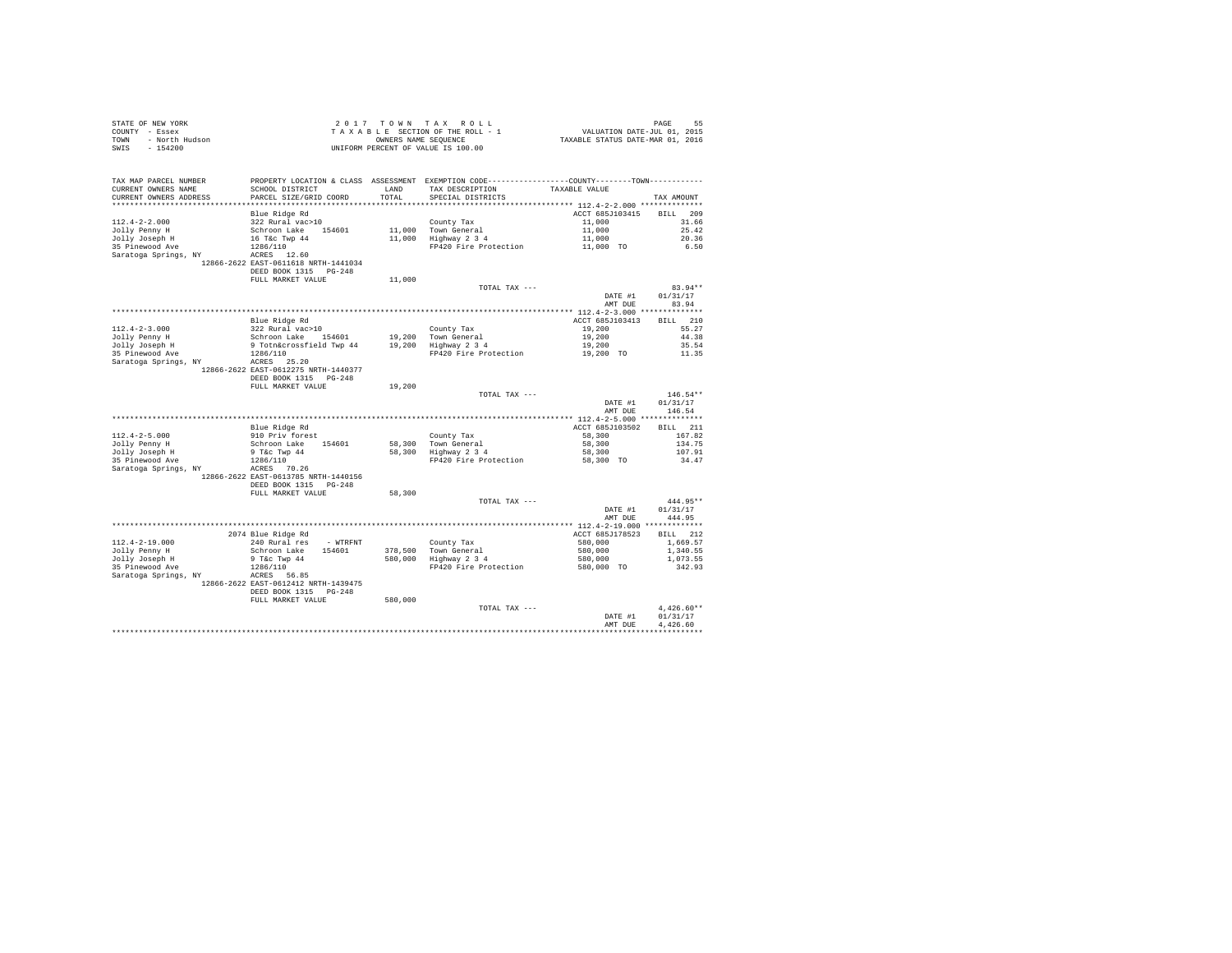| STATE OF NEW YORK      | 2017 TOWN TAX ROLL                 | PAGE                             |
|------------------------|------------------------------------|----------------------------------|
| COUNTY - Essex         | TAXABLE SECTION OF THE ROLL - 1    | VALUATION DATE-JUL 01, 2015      |
| TOWN<br>- North Hudson | OWNERS NAME SEOUENCE               | TAXABLE STATUS DATE-MAR 01, 2016 |
| SWIS - 154200          | UNIFORM PERCENT OF VALUE IS 100.00 |                                  |

| TAX MAP PARCEL NUMBER<br>CURRENT OWNERS NAME | PROPERTY LOCATION & CLASS ASSESSMENT EXEMPTION CODE---------------COUNTY-------TOWN----------<br>SCHOOL DISTRICT | LAND    | TAX DESCRIPTION       | TAXABLE VALUE                            |                    |
|----------------------------------------------|------------------------------------------------------------------------------------------------------------------|---------|-----------------------|------------------------------------------|--------------------|
| CURRENT OWNERS ADDRESS                       | PARCEL SIZE/GRID COORD                                                                                           | TOTAL   | SPECIAL DISTRICTS     |                                          | TAX AMOUNT         |
| ********************                         |                                                                                                                  |         |                       | ********** 112.4-2-2.000 *************** |                    |
|                                              | Blue Ridge Rd                                                                                                    |         |                       | ACCT 685J103415                          | 209<br>RTLL.       |
| $112.4 - 2 - 2.000$                          | 322 Rural vac>10                                                                                                 |         | County Tax            | 11,000                                   | 31.66              |
| Jolly Penny H                                | Schroon Lake<br>154601                                                                                           | 11,000  | Town General          | 11,000                                   | 25.42              |
|                                              | 16 T&C Twp 44                                                                                                    | 11,000  |                       | 11,000                                   | 20.36              |
| Jolly Joseph H                               |                                                                                                                  |         | Highway 2 3 4         |                                          |                    |
| 35 Pinewood Ave                              | 1286/110                                                                                                         |         | FP420 Fire Protection | 11,000 TO                                | 6.50               |
| Saratoga Springs, NY                         | ACRES 12.60                                                                                                      |         |                       |                                          |                    |
|                                              | 12866-2622 EAST-0611618 NRTH-1441034                                                                             |         |                       |                                          |                    |
|                                              | DEED BOOK 1315 PG-248                                                                                            |         |                       |                                          |                    |
|                                              | FULL MARKET VALUE                                                                                                | 11,000  |                       |                                          |                    |
|                                              |                                                                                                                  |         | TOTAL TAX ---         |                                          | $83.94**$          |
|                                              |                                                                                                                  |         |                       | DATE #1                                  | 01/31/17           |
|                                              |                                                                                                                  |         |                       | AMT DUE                                  | 83.94              |
|                                              |                                                                                                                  |         |                       |                                          |                    |
|                                              | Blue Ridge Rd                                                                                                    |         |                       | ACCT 685J103413                          | 210<br><b>BILL</b> |
| $112.4 - 2 - 3.000$                          | 322 Rural vac>10                                                                                                 |         | County Tax            | 19,200                                   | 55.27              |
|                                              | Schroon Lake<br>154601                                                                                           |         | Town General          |                                          | 44.38              |
| Jolly Penny H                                |                                                                                                                  | 19,200  |                       | 19,200                                   |                    |
| Jolly Joseph H                               | 9 Totn&crossfield Twp 44                                                                                         | 19,200  | Highway 2 3 4         | 19,200                                   | 35.54              |
| 35 Pinewood Ave                              | 1286/110                                                                                                         |         | FP420 Fire Protection | 19,200 TO                                | 11.35              |
| Saratoga Springs, NY                         | ACRES 25.20                                                                                                      |         |                       |                                          |                    |
|                                              | 12866-2622 EAST-0612275 NRTH-1440377                                                                             |         |                       |                                          |                    |
|                                              | DEED BOOK 1315 PG-248                                                                                            |         |                       |                                          |                    |
|                                              | FULL MARKET VALUE                                                                                                | 19,200  |                       |                                          |                    |
|                                              |                                                                                                                  |         | TOTAL TAX ---         |                                          | $146.54**$         |
|                                              |                                                                                                                  |         |                       | DATE #1                                  | 01/31/17           |
|                                              |                                                                                                                  |         |                       | AMT DUE                                  | 146.54             |
|                                              |                                                                                                                  |         |                       |                                          |                    |
|                                              | Blue Ridge Rd                                                                                                    |         |                       | ACCT 685J103502                          | BILL 211           |
| $112.4 - 2 - 5.000$                          | 910 Priv forest                                                                                                  |         | County Tax            | 58,300                                   | 167.82             |
|                                              | Schroon Lake                                                                                                     |         | 58,300 Town General   | 58,300                                   | 134.75             |
| Jolly Penny H                                | 154601                                                                                                           |         |                       |                                          |                    |
| Jolly Joseph H                               | 9 T&c Twp 44                                                                                                     | 58,300  | Highway 2 3 4         | 58,300                                   | 107.91             |
| 35 Pinewood Ave                              | 1286/110                                                                                                         |         | FP420 Fire Protection | 58,300 TO                                | 34.47              |
| Saratoga Springs, NY                         | ACRES 70.26                                                                                                      |         |                       |                                          |                    |
|                                              | 12866-2622 EAST-0613785 NRTH-1440156                                                                             |         |                       |                                          |                    |
|                                              | DEED BOOK 1315 PG-248                                                                                            |         |                       |                                          |                    |
|                                              | FULL MARKET VALUE                                                                                                | 58,300  |                       |                                          |                    |
|                                              |                                                                                                                  |         | TOTAL TAX ---         |                                          | 444.95**           |
|                                              |                                                                                                                  |         |                       | DATE #1                                  | 01/31/17           |
|                                              |                                                                                                                  |         |                       | AMT DUE                                  | 444.95             |
|                                              |                                                                                                                  |         |                       |                                          |                    |
|                                              | 2074 Blue Ridge Rd                                                                                               |         |                       | ACCT 685J178523                          | BILL 212           |
| $112.4 - 2 - 19.000$                         | 240 Rural res<br>- WTRFNT                                                                                        |         | County Tax            | 580,000                                  | 1,669.57           |
| Jolly Penny H                                | Schroon Lake<br>154601                                                                                           | 378,500 | Town General          | 580,000                                  | 1,340.55           |
|                                              |                                                                                                                  |         |                       |                                          |                    |
| Jolly Joseph H                               | 9 T&c Twp 44                                                                                                     | 580,000 | Highway 2 3 4         | 580,000                                  | 1,073.55           |
| 35 Pinewood Ave                              | 1286/110                                                                                                         |         | FP420 Fire Protection | 580,000 TO                               | 342.93             |
| Saratoga Springs, NY                         | ACRES 56.85                                                                                                      |         |                       |                                          |                    |
|                                              | 12866-2622 EAST-0612412 NRTH-1439475                                                                             |         |                       |                                          |                    |
|                                              | DEED BOOK 1315<br>$PG-248$                                                                                       |         |                       |                                          |                    |
|                                              | FULL MARKET VALUE                                                                                                | 580,000 |                       |                                          |                    |
|                                              |                                                                                                                  |         | TOTAL TAX ---         |                                          | $4.426.60**$       |
|                                              |                                                                                                                  |         |                       | DATE #1                                  | 01/31/17           |
|                                              |                                                                                                                  |         |                       | AMT DUE                                  | 4.426.60           |
|                                              |                                                                                                                  |         |                       |                                          |                    |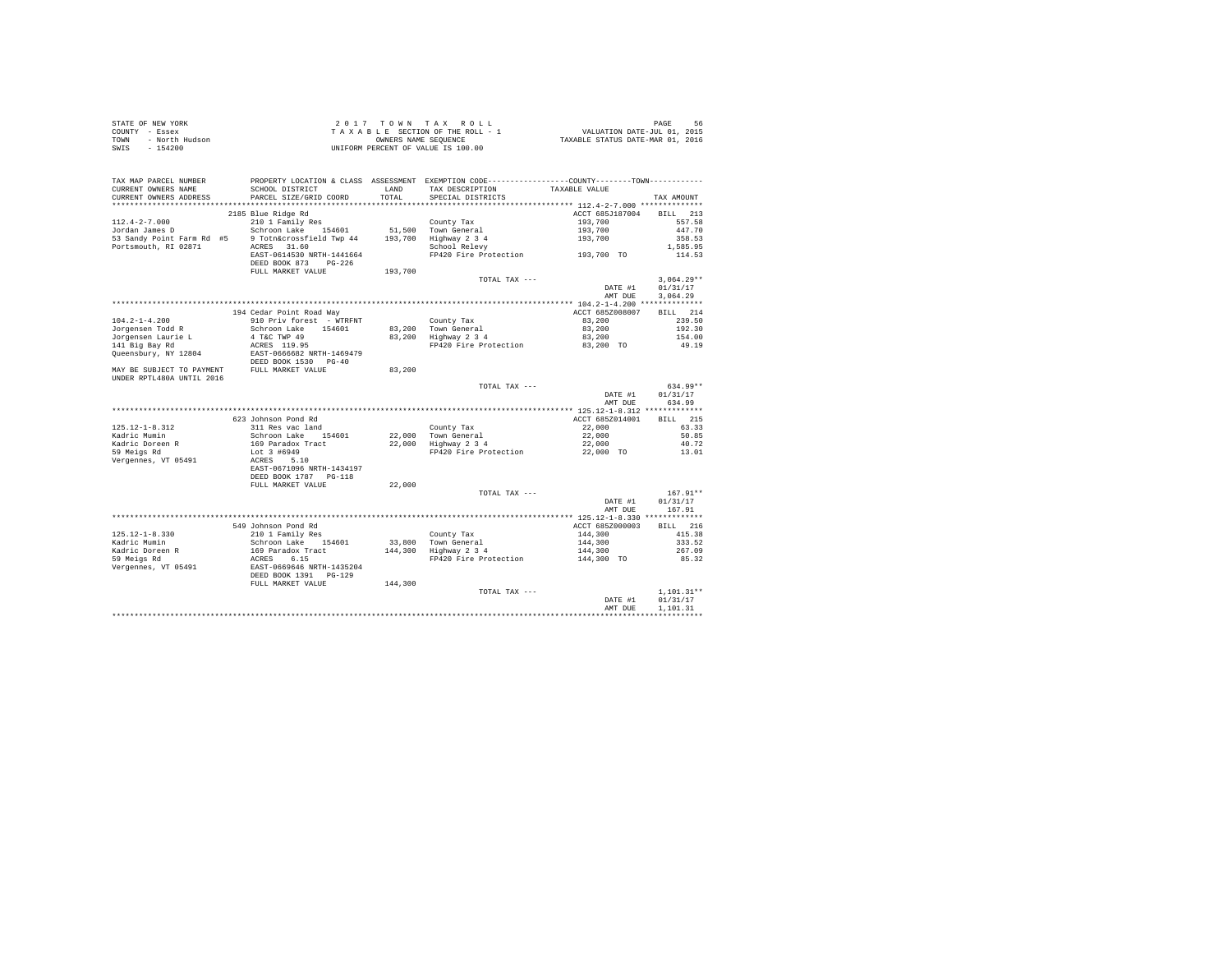| STATE OF NEW YORK      | 2017 TOWN TAX ROLL                 | 56<br>PAGE                       |
|------------------------|------------------------------------|----------------------------------|
| COUNTY - Essex         | TAXABLE SECTION OF THE ROLL - 1    | VALUATION DATE-JUL 01, 2015      |
| TOWN<br>- North Hudson | OWNERS NAME SEOUENCE               | TAXABLE STATUS DATE-MAR 01, 2016 |
| - 154200<br>SWIS       | UNIFORM PERCENT OF VALUE IS 100.00 |                                  |

| *********<br>****************<br>************************************** 112.4-2-7.000 ***************<br>2185 Blue Ridge Rd<br>ACCT 685J187004<br><b>BILL</b><br>213<br>210 1 Family Res<br>County Tax<br>193,700<br>557.58<br>Schroon Lake<br>51,500<br>Town General<br>193,700<br>447.70<br>Jordan James D<br>154601<br>53 Sandy Point Farm Rd #5<br>9 Totn&crossfield Twp 44<br>Highway 2 3 4<br>358.53<br>193,700<br>193,700<br>Portsmouth, RI 02871<br>ACRES 31.60<br>School Relevy<br>1,585.95<br>EAST-0614530 NRTH-1441664<br>FP420 Fire Protection<br>193,700 TO<br>114.53<br>DEED BOOK 873<br>$PG-226$<br>FULL MARKET VALUE<br>193,700<br>$3,064.29**$<br>TOTAL TAX ---<br>01/31/17<br>DATE #1<br>3,064.29<br>AMT DUE<br>194 Cedar Point Road Way<br>ACCT 685Z008007<br>214<br>BILL<br>$104.2 - 1 - 4.200$<br>910 Priv forest - WTRFNT<br>83,200<br>239.50<br>County Tax<br>Jorgensen Todd R<br>Schroon Lake<br>154601<br>83,200<br>Town General<br>83,200<br>192.30<br>Jorgensen Laurie L<br>4 T&C TWP 49<br>83,200<br>Highway 2 3 4<br>83,200<br>154.00<br>141 Big Bay Rd<br>ACRES 119.95<br>FP420 Fire Protection<br>83,200 TO<br>49.19<br>EAST-0666682 NRTH-1469479<br>DEED BOOK 1530 PG-40<br>83,200<br>FULL MARKET VALUE<br>UNDER RPTL480A UNTIL 2016<br>634.99**<br>TOTAL TAX ---<br>DATE #1<br>01/31/17<br>AMT DUE<br>634.99<br>** 125.12-1-8.312 *************<br>623 Johnson Pond Rd<br>ACCT 685Z014001<br>215<br><b>BILL</b><br>311 Res vac land<br>22,000<br>63.33<br>County Tax<br>Schroon Lake 154601<br>22,000<br>Town General<br>22,000<br>50.85<br>40.72<br>169 Paradox Tract<br>22,000<br>Highway 2 3 4<br>22,000<br>59 Meigs Rd<br>Lot 3 #6949<br>FP420 Fire Protection<br>22,000 TO<br>13.01<br>ACRES<br>5.10<br>EAST-0671096 NRTH-1434197<br>DEED BOOK 1787 PG-118<br>FULL MARKET VALUE<br>22,000<br>$167.91**$<br>TOTAL TAX ---<br>DATE #1<br>01/31/17<br>AMT DUE<br>167.91<br>****************************<br>************************<br>** 125.12-1-8.330 *************<br>549 Johnson Pond Rd<br>216<br>ACCT 685Z000003<br>BTLL.<br>$125.12 - 1 - 8.330$<br>144,300<br>415.38<br>210 1 Family Res<br>County Tax<br>Kadric Mumin<br>Schroon Lake 154601<br>33,800<br>Town General<br>144,300<br>333.52<br>Kadric Doreen R<br>169 Paradox Tract<br>144,300<br>Highway 2 3 4<br>144,300<br>267.09<br>59 Meigs Rd<br>6.15<br>FP420 Fire Protection<br>ACRES<br>144,300 TO<br>85.32<br>EAST-0669646 NRTH-1435204<br>DEED BOOK 1391 PG-129<br>FULL MARKET VALUE<br>144,300<br>$1.101.31**$<br>TOTAL TAX ---<br>01/31/17<br>DATE #1<br>1,101.31<br>AMT DUE | TAX MAP PARCEL NUMBER<br>CURRENT OWNERS NAME<br>CURRENT OWNERS ADDRESS | PROPERTY LOCATION & CLASS ASSESSMENT EXEMPTION CODE----------<br>SCHOOL DISTRICT<br>PARCEL SIZE/GRID COORD | LAND<br>TOTAL | TAX DESCRIPTION<br>SPECIAL DISTRICTS | TAXABLE VALUE | -------COUNTY-------TOWN------------<br>TAX AMOUNT |
|----------------------------------------------------------------------------------------------------------------------------------------------------------------------------------------------------------------------------------------------------------------------------------------------------------------------------------------------------------------------------------------------------------------------------------------------------------------------------------------------------------------------------------------------------------------------------------------------------------------------------------------------------------------------------------------------------------------------------------------------------------------------------------------------------------------------------------------------------------------------------------------------------------------------------------------------------------------------------------------------------------------------------------------------------------------------------------------------------------------------------------------------------------------------------------------------------------------------------------------------------------------------------------------------------------------------------------------------------------------------------------------------------------------------------------------------------------------------------------------------------------------------------------------------------------------------------------------------------------------------------------------------------------------------------------------------------------------------------------------------------------------------------------------------------------------------------------------------------------------------------------------------------------------------------------------------------------------------------------------------------------------------------------------------------------------------------------------------------------------------------------------------------------------------------------------------------------------------------------------------------------------------------------------------------------------------------------------------------------------------------------------------------------------------------------------------------------------------------------------------------------------------------------------------------------------------------------------|------------------------------------------------------------------------|------------------------------------------------------------------------------------------------------------|---------------|--------------------------------------|---------------|----------------------------------------------------|
|                                                                                                                                                                                                                                                                                                                                                                                                                                                                                                                                                                                                                                                                                                                                                                                                                                                                                                                                                                                                                                                                                                                                                                                                                                                                                                                                                                                                                                                                                                                                                                                                                                                                                                                                                                                                                                                                                                                                                                                                                                                                                                                                                                                                                                                                                                                                                                                                                                                                                                                                                                                        |                                                                        |                                                                                                            |               |                                      |               |                                                    |
|                                                                                                                                                                                                                                                                                                                                                                                                                                                                                                                                                                                                                                                                                                                                                                                                                                                                                                                                                                                                                                                                                                                                                                                                                                                                                                                                                                                                                                                                                                                                                                                                                                                                                                                                                                                                                                                                                                                                                                                                                                                                                                                                                                                                                                                                                                                                                                                                                                                                                                                                                                                        | $112.4 - 2 - 7.000$                                                    |                                                                                                            |               |                                      |               |                                                    |
|                                                                                                                                                                                                                                                                                                                                                                                                                                                                                                                                                                                                                                                                                                                                                                                                                                                                                                                                                                                                                                                                                                                                                                                                                                                                                                                                                                                                                                                                                                                                                                                                                                                                                                                                                                                                                                                                                                                                                                                                                                                                                                                                                                                                                                                                                                                                                                                                                                                                                                                                                                                        |                                                                        |                                                                                                            |               |                                      |               |                                                    |
|                                                                                                                                                                                                                                                                                                                                                                                                                                                                                                                                                                                                                                                                                                                                                                                                                                                                                                                                                                                                                                                                                                                                                                                                                                                                                                                                                                                                                                                                                                                                                                                                                                                                                                                                                                                                                                                                                                                                                                                                                                                                                                                                                                                                                                                                                                                                                                                                                                                                                                                                                                                        |                                                                        |                                                                                                            |               |                                      |               |                                                    |
|                                                                                                                                                                                                                                                                                                                                                                                                                                                                                                                                                                                                                                                                                                                                                                                                                                                                                                                                                                                                                                                                                                                                                                                                                                                                                                                                                                                                                                                                                                                                                                                                                                                                                                                                                                                                                                                                                                                                                                                                                                                                                                                                                                                                                                                                                                                                                                                                                                                                                                                                                                                        |                                                                        |                                                                                                            |               |                                      |               |                                                    |
|                                                                                                                                                                                                                                                                                                                                                                                                                                                                                                                                                                                                                                                                                                                                                                                                                                                                                                                                                                                                                                                                                                                                                                                                                                                                                                                                                                                                                                                                                                                                                                                                                                                                                                                                                                                                                                                                                                                                                                                                                                                                                                                                                                                                                                                                                                                                                                                                                                                                                                                                                                                        |                                                                        |                                                                                                            |               |                                      |               |                                                    |
|                                                                                                                                                                                                                                                                                                                                                                                                                                                                                                                                                                                                                                                                                                                                                                                                                                                                                                                                                                                                                                                                                                                                                                                                                                                                                                                                                                                                                                                                                                                                                                                                                                                                                                                                                                                                                                                                                                                                                                                                                                                                                                                                                                                                                                                                                                                                                                                                                                                                                                                                                                                        |                                                                        |                                                                                                            |               |                                      |               |                                                    |
|                                                                                                                                                                                                                                                                                                                                                                                                                                                                                                                                                                                                                                                                                                                                                                                                                                                                                                                                                                                                                                                                                                                                                                                                                                                                                                                                                                                                                                                                                                                                                                                                                                                                                                                                                                                                                                                                                                                                                                                                                                                                                                                                                                                                                                                                                                                                                                                                                                                                                                                                                                                        |                                                                        |                                                                                                            |               |                                      |               |                                                    |
|                                                                                                                                                                                                                                                                                                                                                                                                                                                                                                                                                                                                                                                                                                                                                                                                                                                                                                                                                                                                                                                                                                                                                                                                                                                                                                                                                                                                                                                                                                                                                                                                                                                                                                                                                                                                                                                                                                                                                                                                                                                                                                                                                                                                                                                                                                                                                                                                                                                                                                                                                                                        |                                                                        |                                                                                                            |               |                                      |               |                                                    |
|                                                                                                                                                                                                                                                                                                                                                                                                                                                                                                                                                                                                                                                                                                                                                                                                                                                                                                                                                                                                                                                                                                                                                                                                                                                                                                                                                                                                                                                                                                                                                                                                                                                                                                                                                                                                                                                                                                                                                                                                                                                                                                                                                                                                                                                                                                                                                                                                                                                                                                                                                                                        |                                                                        |                                                                                                            |               |                                      |               |                                                    |
|                                                                                                                                                                                                                                                                                                                                                                                                                                                                                                                                                                                                                                                                                                                                                                                                                                                                                                                                                                                                                                                                                                                                                                                                                                                                                                                                                                                                                                                                                                                                                                                                                                                                                                                                                                                                                                                                                                                                                                                                                                                                                                                                                                                                                                                                                                                                                                                                                                                                                                                                                                                        |                                                                        |                                                                                                            |               |                                      |               |                                                    |
|                                                                                                                                                                                                                                                                                                                                                                                                                                                                                                                                                                                                                                                                                                                                                                                                                                                                                                                                                                                                                                                                                                                                                                                                                                                                                                                                                                                                                                                                                                                                                                                                                                                                                                                                                                                                                                                                                                                                                                                                                                                                                                                                                                                                                                                                                                                                                                                                                                                                                                                                                                                        | Queensbury, NY 12804                                                   |                                                                                                            |               |                                      |               |                                                    |
|                                                                                                                                                                                                                                                                                                                                                                                                                                                                                                                                                                                                                                                                                                                                                                                                                                                                                                                                                                                                                                                                                                                                                                                                                                                                                                                                                                                                                                                                                                                                                                                                                                                                                                                                                                                                                                                                                                                                                                                                                                                                                                                                                                                                                                                                                                                                                                                                                                                                                                                                                                                        | MAY BE SUBJECT TO PAYMENT                                              |                                                                                                            |               |                                      |               |                                                    |
|                                                                                                                                                                                                                                                                                                                                                                                                                                                                                                                                                                                                                                                                                                                                                                                                                                                                                                                                                                                                                                                                                                                                                                                                                                                                                                                                                                                                                                                                                                                                                                                                                                                                                                                                                                                                                                                                                                                                                                                                                                                                                                                                                                                                                                                                                                                                                                                                                                                                                                                                                                                        |                                                                        |                                                                                                            |               |                                      |               |                                                    |
|                                                                                                                                                                                                                                                                                                                                                                                                                                                                                                                                                                                                                                                                                                                                                                                                                                                                                                                                                                                                                                                                                                                                                                                                                                                                                                                                                                                                                                                                                                                                                                                                                                                                                                                                                                                                                                                                                                                                                                                                                                                                                                                                                                                                                                                                                                                                                                                                                                                                                                                                                                                        |                                                                        |                                                                                                            |               |                                      |               |                                                    |
|                                                                                                                                                                                                                                                                                                                                                                                                                                                                                                                                                                                                                                                                                                                                                                                                                                                                                                                                                                                                                                                                                                                                                                                                                                                                                                                                                                                                                                                                                                                                                                                                                                                                                                                                                                                                                                                                                                                                                                                                                                                                                                                                                                                                                                                                                                                                                                                                                                                                                                                                                                                        |                                                                        |                                                                                                            |               |                                      |               |                                                    |
|                                                                                                                                                                                                                                                                                                                                                                                                                                                                                                                                                                                                                                                                                                                                                                                                                                                                                                                                                                                                                                                                                                                                                                                                                                                                                                                                                                                                                                                                                                                                                                                                                                                                                                                                                                                                                                                                                                                                                                                                                                                                                                                                                                                                                                                                                                                                                                                                                                                                                                                                                                                        |                                                                        |                                                                                                            |               |                                      |               |                                                    |
|                                                                                                                                                                                                                                                                                                                                                                                                                                                                                                                                                                                                                                                                                                                                                                                                                                                                                                                                                                                                                                                                                                                                                                                                                                                                                                                                                                                                                                                                                                                                                                                                                                                                                                                                                                                                                                                                                                                                                                                                                                                                                                                                                                                                                                                                                                                                                                                                                                                                                                                                                                                        |                                                                        |                                                                                                            |               |                                      |               |                                                    |
|                                                                                                                                                                                                                                                                                                                                                                                                                                                                                                                                                                                                                                                                                                                                                                                                                                                                                                                                                                                                                                                                                                                                                                                                                                                                                                                                                                                                                                                                                                                                                                                                                                                                                                                                                                                                                                                                                                                                                                                                                                                                                                                                                                                                                                                                                                                                                                                                                                                                                                                                                                                        | $125.12 - 1 - 8.312$                                                   |                                                                                                            |               |                                      |               |                                                    |
|                                                                                                                                                                                                                                                                                                                                                                                                                                                                                                                                                                                                                                                                                                                                                                                                                                                                                                                                                                                                                                                                                                                                                                                                                                                                                                                                                                                                                                                                                                                                                                                                                                                                                                                                                                                                                                                                                                                                                                                                                                                                                                                                                                                                                                                                                                                                                                                                                                                                                                                                                                                        | Kadric Mumin                                                           |                                                                                                            |               |                                      |               |                                                    |
|                                                                                                                                                                                                                                                                                                                                                                                                                                                                                                                                                                                                                                                                                                                                                                                                                                                                                                                                                                                                                                                                                                                                                                                                                                                                                                                                                                                                                                                                                                                                                                                                                                                                                                                                                                                                                                                                                                                                                                                                                                                                                                                                                                                                                                                                                                                                                                                                                                                                                                                                                                                        | Kadric Doreen R                                                        |                                                                                                            |               |                                      |               |                                                    |
|                                                                                                                                                                                                                                                                                                                                                                                                                                                                                                                                                                                                                                                                                                                                                                                                                                                                                                                                                                                                                                                                                                                                                                                                                                                                                                                                                                                                                                                                                                                                                                                                                                                                                                                                                                                                                                                                                                                                                                                                                                                                                                                                                                                                                                                                                                                                                                                                                                                                                                                                                                                        |                                                                        |                                                                                                            |               |                                      |               |                                                    |
|                                                                                                                                                                                                                                                                                                                                                                                                                                                                                                                                                                                                                                                                                                                                                                                                                                                                                                                                                                                                                                                                                                                                                                                                                                                                                                                                                                                                                                                                                                                                                                                                                                                                                                                                                                                                                                                                                                                                                                                                                                                                                                                                                                                                                                                                                                                                                                                                                                                                                                                                                                                        | Vergennes, VT 05491                                                    |                                                                                                            |               |                                      |               |                                                    |
|                                                                                                                                                                                                                                                                                                                                                                                                                                                                                                                                                                                                                                                                                                                                                                                                                                                                                                                                                                                                                                                                                                                                                                                                                                                                                                                                                                                                                                                                                                                                                                                                                                                                                                                                                                                                                                                                                                                                                                                                                                                                                                                                                                                                                                                                                                                                                                                                                                                                                                                                                                                        |                                                                        |                                                                                                            |               |                                      |               |                                                    |
|                                                                                                                                                                                                                                                                                                                                                                                                                                                                                                                                                                                                                                                                                                                                                                                                                                                                                                                                                                                                                                                                                                                                                                                                                                                                                                                                                                                                                                                                                                                                                                                                                                                                                                                                                                                                                                                                                                                                                                                                                                                                                                                                                                                                                                                                                                                                                                                                                                                                                                                                                                                        |                                                                        |                                                                                                            |               |                                      |               |                                                    |
|                                                                                                                                                                                                                                                                                                                                                                                                                                                                                                                                                                                                                                                                                                                                                                                                                                                                                                                                                                                                                                                                                                                                                                                                                                                                                                                                                                                                                                                                                                                                                                                                                                                                                                                                                                                                                                                                                                                                                                                                                                                                                                                                                                                                                                                                                                                                                                                                                                                                                                                                                                                        |                                                                        |                                                                                                            |               |                                      |               |                                                    |
|                                                                                                                                                                                                                                                                                                                                                                                                                                                                                                                                                                                                                                                                                                                                                                                                                                                                                                                                                                                                                                                                                                                                                                                                                                                                                                                                                                                                                                                                                                                                                                                                                                                                                                                                                                                                                                                                                                                                                                                                                                                                                                                                                                                                                                                                                                                                                                                                                                                                                                                                                                                        |                                                                        |                                                                                                            |               |                                      |               |                                                    |
|                                                                                                                                                                                                                                                                                                                                                                                                                                                                                                                                                                                                                                                                                                                                                                                                                                                                                                                                                                                                                                                                                                                                                                                                                                                                                                                                                                                                                                                                                                                                                                                                                                                                                                                                                                                                                                                                                                                                                                                                                                                                                                                                                                                                                                                                                                                                                                                                                                                                                                                                                                                        |                                                                        |                                                                                                            |               |                                      |               |                                                    |
|                                                                                                                                                                                                                                                                                                                                                                                                                                                                                                                                                                                                                                                                                                                                                                                                                                                                                                                                                                                                                                                                                                                                                                                                                                                                                                                                                                                                                                                                                                                                                                                                                                                                                                                                                                                                                                                                                                                                                                                                                                                                                                                                                                                                                                                                                                                                                                                                                                                                                                                                                                                        |                                                                        |                                                                                                            |               |                                      |               |                                                    |
|                                                                                                                                                                                                                                                                                                                                                                                                                                                                                                                                                                                                                                                                                                                                                                                                                                                                                                                                                                                                                                                                                                                                                                                                                                                                                                                                                                                                                                                                                                                                                                                                                                                                                                                                                                                                                                                                                                                                                                                                                                                                                                                                                                                                                                                                                                                                                                                                                                                                                                                                                                                        |                                                                        |                                                                                                            |               |                                      |               |                                                    |
|                                                                                                                                                                                                                                                                                                                                                                                                                                                                                                                                                                                                                                                                                                                                                                                                                                                                                                                                                                                                                                                                                                                                                                                                                                                                                                                                                                                                                                                                                                                                                                                                                                                                                                                                                                                                                                                                                                                                                                                                                                                                                                                                                                                                                                                                                                                                                                                                                                                                                                                                                                                        |                                                                        |                                                                                                            |               |                                      |               |                                                    |
|                                                                                                                                                                                                                                                                                                                                                                                                                                                                                                                                                                                                                                                                                                                                                                                                                                                                                                                                                                                                                                                                                                                                                                                                                                                                                                                                                                                                                                                                                                                                                                                                                                                                                                                                                                                                                                                                                                                                                                                                                                                                                                                                                                                                                                                                                                                                                                                                                                                                                                                                                                                        |                                                                        |                                                                                                            |               |                                      |               |                                                    |
|                                                                                                                                                                                                                                                                                                                                                                                                                                                                                                                                                                                                                                                                                                                                                                                                                                                                                                                                                                                                                                                                                                                                                                                                                                                                                                                                                                                                                                                                                                                                                                                                                                                                                                                                                                                                                                                                                                                                                                                                                                                                                                                                                                                                                                                                                                                                                                                                                                                                                                                                                                                        | Vergennes, VT 05491                                                    |                                                                                                            |               |                                      |               |                                                    |
|                                                                                                                                                                                                                                                                                                                                                                                                                                                                                                                                                                                                                                                                                                                                                                                                                                                                                                                                                                                                                                                                                                                                                                                                                                                                                                                                                                                                                                                                                                                                                                                                                                                                                                                                                                                                                                                                                                                                                                                                                                                                                                                                                                                                                                                                                                                                                                                                                                                                                                                                                                                        |                                                                        |                                                                                                            |               |                                      |               |                                                    |
|                                                                                                                                                                                                                                                                                                                                                                                                                                                                                                                                                                                                                                                                                                                                                                                                                                                                                                                                                                                                                                                                                                                                                                                                                                                                                                                                                                                                                                                                                                                                                                                                                                                                                                                                                                                                                                                                                                                                                                                                                                                                                                                                                                                                                                                                                                                                                                                                                                                                                                                                                                                        |                                                                        |                                                                                                            |               |                                      |               |                                                    |
|                                                                                                                                                                                                                                                                                                                                                                                                                                                                                                                                                                                                                                                                                                                                                                                                                                                                                                                                                                                                                                                                                                                                                                                                                                                                                                                                                                                                                                                                                                                                                                                                                                                                                                                                                                                                                                                                                                                                                                                                                                                                                                                                                                                                                                                                                                                                                                                                                                                                                                                                                                                        |                                                                        |                                                                                                            |               |                                      |               |                                                    |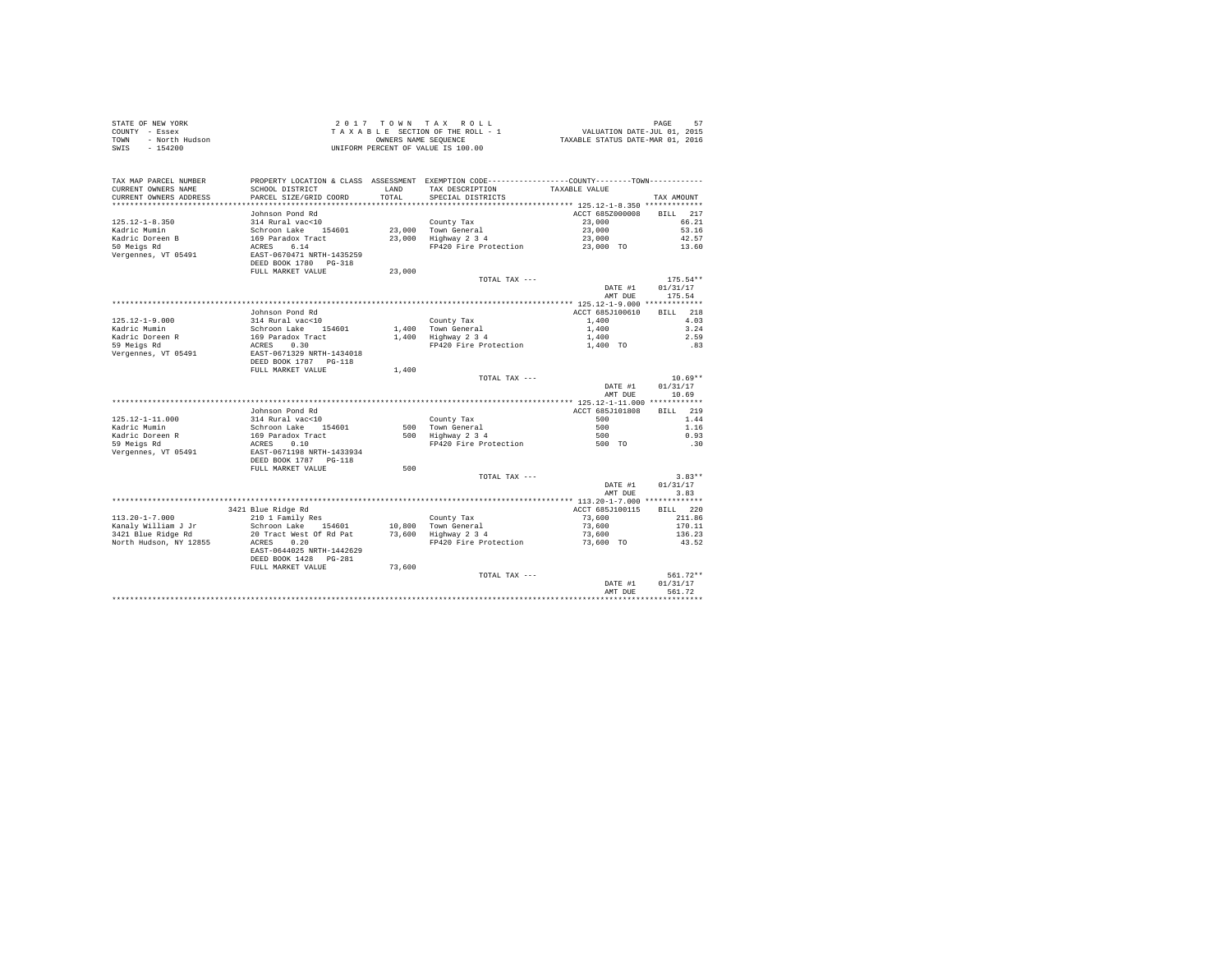| STATE OF NEW YORK      | $2.017$ TOWN TAX ROLL              | 57<br>PAGE                       |
|------------------------|------------------------------------|----------------------------------|
| COUNTY - Essex         | TAXABLE SECTION OF THE ROLL - 1    | VALUATION DATE-JUL 01, 2015      |
| TOWN<br>- North Hudson | OWNERS NAME SEOUENCE               | TAXABLE STATUS DATE-MAR 01, 2016 |
| SWIS<br>$-154200$      | UNIFORM PERCENT OF VALUE IS 100.00 |                                  |

|                                               |                                                                               |                  | TOTAL TAX ---                                                                                 | DATE #1<br>AMT DUE                           | $561.72**$<br>01/31/17<br>561.72 |
|-----------------------------------------------|-------------------------------------------------------------------------------|------------------|-----------------------------------------------------------------------------------------------|----------------------------------------------|----------------------------------|
|                                               | EAST-0644025 NRTH-1442629<br>DEED BOOK 1428<br>$PG-2.81$<br>FULL MARKET VALUE | 73,600           |                                                                                               |                                              |                                  |
| North Hudson, NY 12855                        | ACRES<br>0.20                                                                 |                  | FP420 Fire Protection                                                                         | 73,600 TO                                    | 43.52                            |
| Kanaly William J Jr<br>3421 Blue Ridge Rd     | Schroon Lake<br>154601<br>20 Tract West Of Rd Pat                             | 10,800<br>73,600 | Town General<br>Highway 2 3 4                                                                 | 73,600<br>73,600                             | 170.11<br>136.23                 |
| $113.20 - 1 - 7.000$                          | 210 1 Family Res                                                              |                  | County Tax                                                                                    | 73,600                                       | 211.86                           |
|                                               | 3421 Blue Ridge Rd                                                            |                  |                                                                                               | ACCT 685J100115                              | 220<br><b>BILL</b>               |
|                                               |                                                                               |                  |                                                                                               | *************** 113.20-1-7.000 ************* |                                  |
|                                               |                                                                               |                  |                                                                                               | AMT DUE                                      | 3.83                             |
|                                               |                                                                               |                  |                                                                                               | DATE #1                                      | 01/31/17                         |
|                                               |                                                                               |                  | TOTAL TAX ---                                                                                 |                                              | $3.83**$                         |
|                                               | DEED BOOK 1787 PG-118<br>FULL MARKET VALUE                                    | 500              |                                                                                               |                                              |                                  |
| Vergennes, VT 05491                           | EAST-0671198 NRTH-1433934                                                     |                  |                                                                                               |                                              |                                  |
| 59 Meigs Rd                                   | ACRES<br>0.10                                                                 |                  | Highway 2 3 4<br>FP420 Fire Protection                                                        | 500 TO                                       | .30                              |
| Kadric Mumin<br>Kadric Doreen R               | Schroon Lake<br>154601<br>169 Paradox Tract                                   | 500<br>500       | Town General                                                                                  | 500<br>500                                   | 1.16<br>0.93                     |
| $125.12 - 1 - 11.000$                         | 314 Rural vac<10                                                              |                  | County Tax                                                                                    | 500                                          | 1.44                             |
|                                               | Johnson Pond Rd                                                               |                  |                                                                                               | ACCT 685J101808                              | 219<br>BILL                      |
|                                               |                                                                               |                  |                                                                                               | ************* 125.12-1-11.000 ************   |                                  |
|                                               |                                                                               |                  |                                                                                               | AMT DUE                                      | 10.69                            |
|                                               |                                                                               |                  |                                                                                               | DATE #1                                      | 01/31/17                         |
|                                               |                                                                               |                  | TOTAL TAX ---                                                                                 |                                              | $10.69**$                        |
|                                               | FULL MARKET VALUE                                                             | 1,400            |                                                                                               |                                              |                                  |
|                                               | DEED BOOK 1787 PG-118                                                         |                  |                                                                                               |                                              |                                  |
| Vergennes, VT 05491                           | EAST-0671329 NRTH-1434018                                                     |                  |                                                                                               |                                              |                                  |
| Kadric Doreen R<br>59 Meigs Rd                | 169 Paradox Tract<br>ACRES<br>0.30                                            | 1,400            | Highway 2 3 4<br>FP420 Fire Protection                                                        | 1,400<br>1,400 TO                            | 2.59<br>.83                      |
| Kadric Mumin                                  | Schroon Lake<br>154601                                                        |                  | 1.400 Town General                                                                            | 1,400                                        | 3.24                             |
| $125.12 - 1 - 9.000$                          | 314 Rural vac<10                                                              |                  | County Tax                                                                                    | 1,400                                        | 4.03                             |
|                                               | Johnson Pond Rd                                                               |                  |                                                                                               | ACCT 685J100610                              | 218<br>RTLL.                     |
|                                               |                                                                               |                  |                                                                                               |                                              |                                  |
|                                               |                                                                               |                  |                                                                                               | AMT DUE                                      | 175.54                           |
|                                               |                                                                               |                  |                                                                                               | DATE #1                                      | 01/31/17                         |
|                                               | FULL MARKET VALUE                                                             | 23,000           | TOTAL TAX ---                                                                                 |                                              | $175.54**$                       |
|                                               | DEED BOOK 1780 PG-318                                                         |                  |                                                                                               |                                              |                                  |
| Vergennes, VT 05491                           | EAST-0670471 NRTH-1435259                                                     |                  |                                                                                               |                                              |                                  |
| 50 Meigs Rd                                   | 6.14<br>ACRES                                                                 |                  | FP420 Fire Protection                                                                         | 23,000 TO                                    | 13.60                            |
| Kadric Doreen B                               | 169 Paradox Tract                                                             | 23,000           | Highway 2 3 4                                                                                 | 23,000                                       | 42.57                            |
| Kadric Mumin                                  | Schroon Lake<br>154601                                                        | 23,000           | Town General                                                                                  | 23,000                                       | 53.16                            |
| $125.12 - 1 - 8.350$                          | 314 Rural vac<10                                                              |                  | County Tax                                                                                    | 23,000                                       | 66.21                            |
|                                               | Johnson Pond Rd                                                               |                  |                                                                                               | ACCT 685Z000008                              | 217<br><b>BILL</b>               |
| **********************                        |                                                                               |                  |                                                                                               |                                              |                                  |
| CURRENT OWNERS NAME<br>CURRENT OWNERS ADDRESS | SCHOOL DISTRICT<br>PARCEL SIZE/GRID COORD                                     | LAND<br>TOTAL    | TAX DESCRIPTION<br>SPECIAL DISTRICTS                                                          | TAXABLE VALUE                                | TAX AMOUNT                       |
| TAX MAP PARCEL NUMBER                         |                                                                               |                  | PROPERTY LOCATION & CLASS ASSESSMENT EXEMPTION CODE---------------COUNTY-------TOWN---------- |                                              |                                  |
|                                               |                                                                               |                  |                                                                                               |                                              |                                  |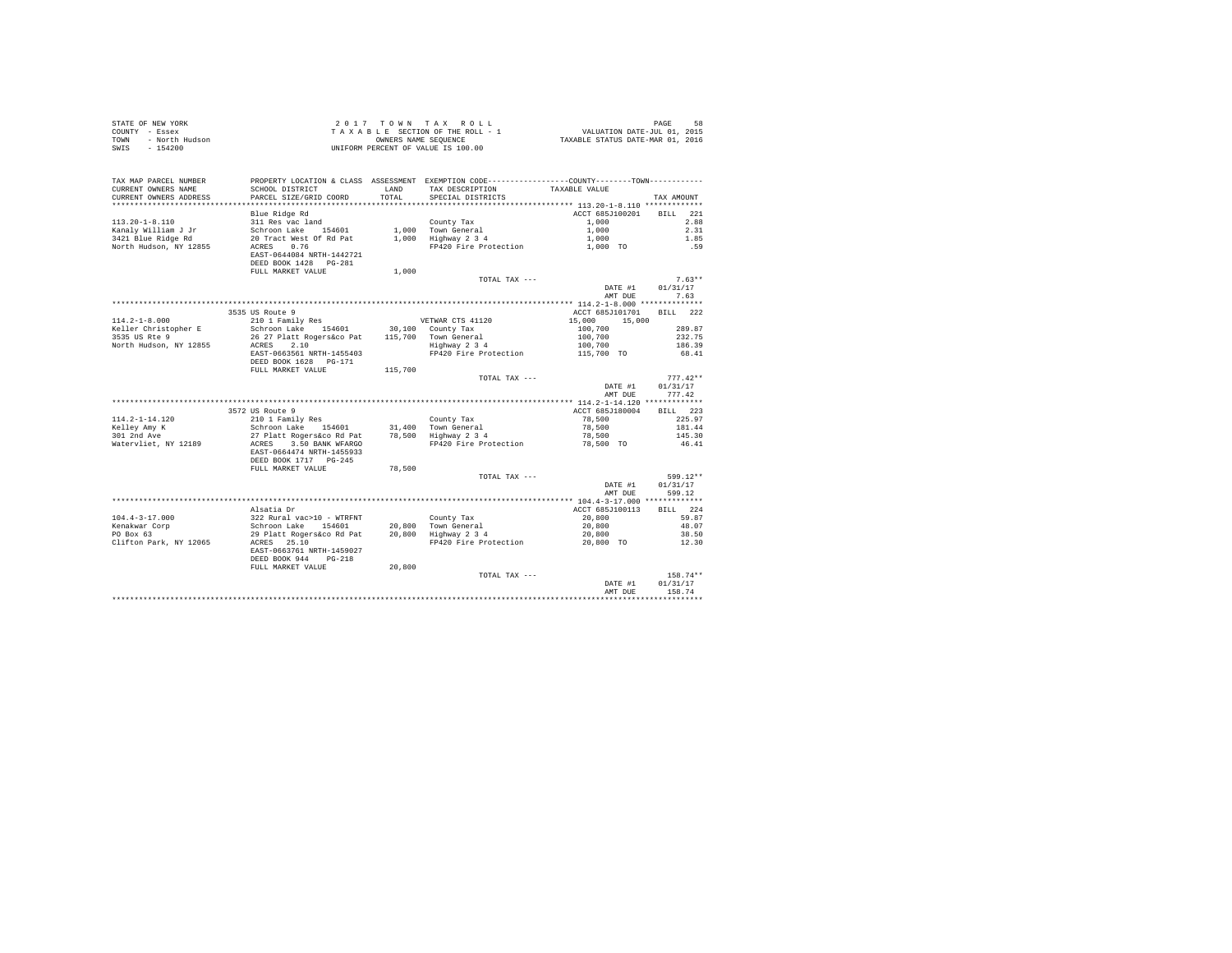| COUNTY - Essex<br>- North Hudson<br>TOWN<br>SWIS - 154200 |                                                                                                 |              | TAXABLE SECTION OF THE ROLL - 1<br>OWNERS NAME SEQUENCE<br>UNIFORM PERCENT OF VALUE IS 100.00 | VALUATION DATE-JUL 01, 2015<br>TAXABLE STATUS DATE-MAR 01, 2016 |                    |
|-----------------------------------------------------------|-------------------------------------------------------------------------------------------------|--------------|-----------------------------------------------------------------------------------------------|-----------------------------------------------------------------|--------------------|
|                                                           |                                                                                                 |              |                                                                                               |                                                                 |                    |
| TAX MAP PARCEL NUMBER                                     | PROPERTY LOCATION & CLASS ASSESSMENT EXEMPTION CODE----------------COUNTY--------TOWN---------- |              |                                                                                               |                                                                 |                    |
| CURRENT OWNERS NAME                                       | SCHOOL DISTRICT                                                                                 | <b>T.AND</b> | TAX DESCRIPTION TAXABLE VALUE                                                                 |                                                                 |                    |
| CURRENT OWNERS ADDRESS                                    | PARCEL SIZE/GRID COORD                                                                          | TOTAL        | SPECIAL DISTRICTS                                                                             |                                                                 | TAX AMOUNT         |
|                                                           | Blue Ridge Rd                                                                                   |              |                                                                                               | ACCT 685J100201                                                 | BILL 221           |
| $113.20 - 1 - 8.110$                                      | 311 Res vac land                                                                                |              | County Tax                                                                                    | 1,000                                                           | 2.88               |
| Kanaly William J Jr                                       | Schroon Lake 154601 1,000 Town General                                                          |              |                                                                                               | 1,000                                                           | 2.31               |
| 3421 Blue Ridge Rd                                        | 20 Tract West Of Rd Pat                                                                         |              | 1,000 Highway 2 3 4                                                                           | 1,000                                                           | 1.85               |
| North Hudson, NY 12855                                    | ACRES 0.76                                                                                      |              | FP420 Fire Protection                                                                         | 1,000 TO                                                        | .59                |
|                                                           | EAST-0644084 NRTH-1442721                                                                       |              |                                                                                               |                                                                 |                    |
|                                                           | DEED BOOK 1428 PG-281                                                                           |              |                                                                                               |                                                                 |                    |
|                                                           | FULL MARKET VALUE                                                                               | 1,000        |                                                                                               |                                                                 |                    |
|                                                           |                                                                                                 |              | TOTAL TAX ---                                                                                 |                                                                 | $7.63**$           |
|                                                           |                                                                                                 |              |                                                                                               | DATE #1                                                         | 01/31/17           |
|                                                           |                                                                                                 |              |                                                                                               | AMT DUE                                                         | 7.63               |
|                                                           |                                                                                                 |              |                                                                                               |                                                                 |                    |
|                                                           | 3535 US Route 9                                                                                 |              |                                                                                               | ACCT 685J101701                                                 | BILL 222           |
| $114.2 - 1 - 8.000$                                       | 210 1 Family Res                                                                                |              | VETWAR CTS 41120                                                                              | 15,000 15,000                                                   |                    |
|                                                           | Keller Christopher E Schroon Lake 154601 30,100 County Tax                                      |              |                                                                                               | 100,700                                                         | 289.87             |
| 3535 US Rte 9                                             | 26 27 Platt Rogers&co Pat 115,700 Town General                                                  |              |                                                                                               | 100,700                                                         | 232.75             |
| North Hudson, NY 12855                                    | ACRES 2.10                                                                                      |              | Highway 2 3 4                                                                                 | 100.700                                                         | 186.39             |
|                                                           | EAST-0663561 NRTH-1455403                                                                       |              | FP420 Fire Protection                                                                         | 115,700 TO                                                      | 68.41              |
|                                                           | DEED BOOK 1628 PG-171                                                                           |              |                                                                                               |                                                                 |                    |
|                                                           | FULL MARKET VALUE                                                                               | 115,700      |                                                                                               |                                                                 |                    |
|                                                           |                                                                                                 |              | TOTAL TAX ---                                                                                 |                                                                 | $777.42**$         |
|                                                           |                                                                                                 |              |                                                                                               | DATE #1<br>AMT DUE                                              | 01/31/17<br>777.42 |
|                                                           |                                                                                                 |              |                                                                                               |                                                                 |                    |
|                                                           | 3572 US Route 9                                                                                 |              |                                                                                               | ACCT 685J180004                                                 | BILL 223           |
| $114.2 - 1 - 14.120$                                      | 210 1 Family Res                                                                                |              | County Tax                                                                                    | 78,500                                                          | 225.97             |
| Kelley Amy K                                              | Schroon Lake 154601 31,400 Town General                                                         |              |                                                                                               | 78,500                                                          | 181.44             |
| 301 2nd Ave                                               | 27 Platt Rogers&co Rd Pat 78,500 Highway 2 3 4                                                  |              |                                                                                               | 78,500                                                          | 145.30             |
| Watervliet, NY 12189                                      | ACRES 3.50 BANK WFARGO                                                                          |              | FP420 Fire Protection 78,500 TO                                                               |                                                                 | 46.41              |
|                                                           | EAST-0664474 NRTH-1455933                                                                       |              |                                                                                               |                                                                 |                    |
|                                                           | DEED BOOK 1717 PG-245                                                                           |              |                                                                                               |                                                                 |                    |
|                                                           | FULL MARKET VALUE                                                                               | 78,500       |                                                                                               |                                                                 |                    |

STATE OF NEW YORK STATE OF THE RESERVE OF A X R O L L PAGE AND TAX R O L L PAGE ASSESSED ASSESSED ASSESSED AND TRACKLE OF THE RESERVE OF THE PAGE OF THE RESERVE OF THE PAGE OF THE PAGE OF THE PAGE OF THE PAGE OF THE PAGE O

|                        |                                                                          |        | TOTAL TAX ---         |                      | 599.12**      |
|------------------------|--------------------------------------------------------------------------|--------|-----------------------|----------------------|---------------|
|                        |                                                                          |        |                       | DATE #1              | 01/31/17      |
|                        |                                                                          |        |                       | AMT DUE              | 599.12        |
|                        |                                                                          |        |                       | $104.4 - 3 - 17.000$ | ************* |
|                        | Alsatia Dr                                                               |        |                       | ACCT 685J100113      | 224<br>BILL   |
| $104.4 - 3 - 17.000$   | 322 Rural vac>10 - WTRFNT                                                |        | County Tax            | 20,800               | 59.87         |
| Kenakwar Corp          | 154601<br>Schroon Lake                                                   | 20,800 | Town General          | 20,800               | 48.07         |
| PO Box 63              | 29 Platt Rogers&co Rd Pat                                                | 20,800 | Highway 2 3 4         | 20,800               | 38.50         |
| Clifton Park, NY 12065 | 25.10<br>ACRES<br>EAST-0663761 NRTH-1459027<br>DEED BOOK 944<br>$PG-218$ |        | FP420 Fire Protection | 20,800<br><b>TO</b>  | 12.30         |
|                        | FULL MARKET VALUE                                                        | 20,800 |                       |                      |               |
|                        |                                                                          |        | TOTAL TAX ---         |                      | $158.74**$    |
|                        |                                                                          |        |                       | DATE #1              | 01/31/17      |
|                        |                                                                          |        |                       | AMT DUR              | 158.74        |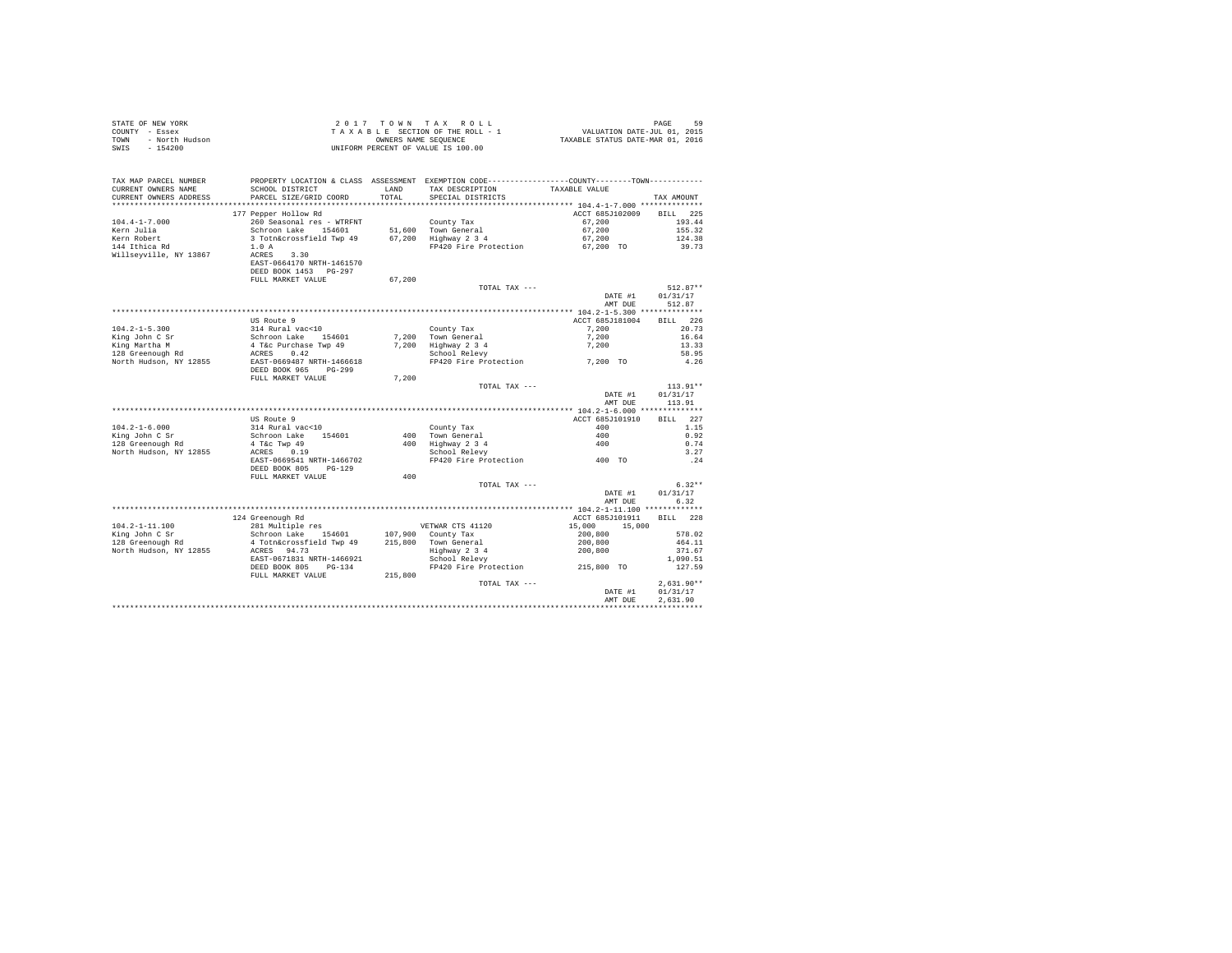| THE MENT YORK<br>TY - Essex<br>- North Hudson<br>-<br>STATE OF NEW YORK<br>COUNTY - Essex<br>TOWN<br>SWTS |                                          |         | 2017 TOWN TAX ROLL<br>TAXABLE SECTION OF THE ROLL - 1<br>OWNERS NAME SEQUENCE<br>UNIFORM PERCENT OF VALUE IS 100.00                                                   | PAGE 59<br>VALUATION DATE-JUL 01, 2015<br>TAXABLE STATUS DATE-MAR 01, 2016 |                      |
|-----------------------------------------------------------------------------------------------------------|------------------------------------------|---------|-----------------------------------------------------------------------------------------------------------------------------------------------------------------------|----------------------------------------------------------------------------|----------------------|
|                                                                                                           |                                          |         |                                                                                                                                                                       |                                                                            |                      |
| TAX MAP PARCEL NUMBER                                                                                     |                                          |         | PROPERTY LOCATION & CLASS ASSESSMENT EXEMPTION CODE---------------COUNTY--------TOWN----------                                                                        |                                                                            |                      |
| CURRENT OWNERS NAME                                                                                       | SCHOOL DISTRICT                          | LAND    | TAX DESCRIPTION                                                                                                                                                       | TAXABLE VALUE                                                              |                      |
| CURRENT OWNERS ADDRESS                                                                                    | PARCEL SIZE/GRID COORD                   | TOTAL   | SPECIAL DISTRICTS                                                                                                                                                     |                                                                            | TAX AMOUNT           |
|                                                                                                           | 177 Pepper Hollow Rd                     |         |                                                                                                                                                                       | ACCT 685J102009                                                            | BILL 225             |
| $104.4 - 1 - 7.000$                                                                                       | 260 Seasonal res - WTRFNT                |         | County Tax                                                                                                                                                            | 67,200                                                                     | 193.44               |
| Kern Julia                                                                                                | Schroon Lake 154601                      |         | 51,600 Town General                                                                                                                                                   | 67,200                                                                     | 155.32               |
| Kern Robert                                                                                               | 3 Totn&crossfield Twp 49                 |         | 67,200 Highway 2 3 4                                                                                                                                                  | 67,200                                                                     | 124.38               |
| 144 Ithica Rd                                                                                             | 1.0A                                     |         | FP420 Fire Protection 67,200 TO                                                                                                                                       |                                                                            | 39.73                |
| Willseyville, NY 13867                                                                                    | ACRES<br>3.30                            |         |                                                                                                                                                                       |                                                                            |                      |
|                                                                                                           | EAST-0664170 NRTH-1461570                |         |                                                                                                                                                                       |                                                                            |                      |
|                                                                                                           | DEED BOOK 1453 PG-297                    |         |                                                                                                                                                                       |                                                                            |                      |
|                                                                                                           | FULL MARKET VALUE                        | 67,200  | TOTAL TAX ---                                                                                                                                                         |                                                                            | $512.87**$           |
|                                                                                                           |                                          |         |                                                                                                                                                                       | DATE #1                                                                    | 01/31/17             |
|                                                                                                           |                                          |         |                                                                                                                                                                       | AMT DUE                                                                    | 512.87               |
|                                                                                                           |                                          |         |                                                                                                                                                                       |                                                                            |                      |
|                                                                                                           | US Route 9                               |         |                                                                                                                                                                       | ACCT 685J181004                                                            | BILL 226             |
| $104.2 - 1 - 5.300$                                                                                       | 314 Rural vac<10                         |         | County Tax                                                                                                                                                            | 7,200                                                                      | 20.73                |
| King John C Sr                                                                                            | Schroon Lake 154601                      |         | 7,200 Town General                                                                                                                                                    | 7,200                                                                      | 16.64                |
| King Martha M<br>$128$ Greenough Rd                                                                       | 4 T&c Purchase Twp 49                    |         | 7,200 Highway 2 3 4<br>School Relevy                                                                                                                                  | 7,200                                                                      | 13.33                |
| North Hudson, NY 12855                                                                                    | ACRES 0.42<br>EAST-0669487 NRTH-1466618  |         | FP420 Fire Protection 7,200 TO                                                                                                                                        |                                                                            | 58.95<br>4.26        |
|                                                                                                           | DEED BOOK 965 PG-299                     |         |                                                                                                                                                                       |                                                                            |                      |
|                                                                                                           | FULL MARKET VALUE                        | 7,200   |                                                                                                                                                                       |                                                                            |                      |
|                                                                                                           |                                          |         | TOTAL TAX ---                                                                                                                                                         |                                                                            | $113.91**$           |
|                                                                                                           |                                          |         |                                                                                                                                                                       | DATE #1                                                                    | 01/31/17             |
|                                                                                                           |                                          |         |                                                                                                                                                                       | AMT DUE                                                                    | 113.91               |
|                                                                                                           | US Route 9                               |         |                                                                                                                                                                       | ACCT 685J101910                                                            | BILL 227             |
| $104.2 - 1 - 6.000$                                                                                       | 314 Rural vac<10                         |         | County Tax                                                                                                                                                            | 400                                                                        | 1.15                 |
| King John C Sr                                                                                            | Schroon Lake 154601                      |         | 400 Town General                                                                                                                                                      | 400                                                                        | 0.92                 |
| 128 Greenough Rd                                                                                          |                                          |         |                                                                                                                                                                       |                                                                            | 0.74                 |
| North Hudson, NY 12855                                                                                    | 4 T&C Twp 49<br>ACRES 0.19               |         | 400 Town General<br>400 Highway 2 3 4<br>School Relevy<br>10 und deneral and the material of the Shock School Relevy<br>School Relevy<br>FP420 Fire Protection 400 TO |                                                                            | 3.27                 |
|                                                                                                           | EAST-0669541 NRTH-1466702                |         |                                                                                                                                                                       |                                                                            | .24                  |
|                                                                                                           | DEED BOOK 805 PG-129                     |         |                                                                                                                                                                       |                                                                            |                      |
|                                                                                                           | FULL MARKET VALUE                        | 400     |                                                                                                                                                                       |                                                                            |                      |
|                                                                                                           |                                          |         | TOTAL TAX ---                                                                                                                                                         | DATE #1                                                                    | $6.32**$<br>01/31/17 |
|                                                                                                           |                                          |         |                                                                                                                                                                       | AMT DUE                                                                    | 6.32                 |
|                                                                                                           |                                          |         | ***********************************                                                                                                                                   | ******* 104.2-1-11.100 *************                                       |                      |
|                                                                                                           | 124 Greenough Rd                         |         |                                                                                                                                                                       | ACCT 685J101911                                                            | BILL 228             |
| $104.2 - 1 - 11.100$                                                                                      | 281 Multiple res                         |         | VETWAR CTS 41120                                                                                                                                                      | 15,000<br>15,000                                                           |                      |
| King John C Sr                                                                                            | Schroon Lake 154601                      |         | 107,900 County Tax                                                                                                                                                    | 200,800                                                                    | 578.02               |
| $128$ Greenough Rd                                                                                        | 4 Totn&crossfield Twp 49                 |         | 215,800 Town General<br>Highway 2 3 4<br>School Relevy                                                                                                                | 200,800<br>200,800                                                         | 464.11               |
| North Hudson, NY 12855                                                                                    | ACRES 94.73<br>EAST-0671831 NRTH-1466921 |         |                                                                                                                                                                       |                                                                            | 371.67<br>1,090.51   |
|                                                                                                           | DEED BOOK 805 PG-134                     |         | FP420 Fire Protection 215,800 TO                                                                                                                                      |                                                                            | 127.59               |
|                                                                                                           | FULL MARKET VALUE                        | 215,800 |                                                                                                                                                                       |                                                                            |                      |
|                                                                                                           |                                          |         | TOTAL TAX ---                                                                                                                                                         |                                                                            | $2.631.90**$         |
|                                                                                                           |                                          |         |                                                                                                                                                                       | DATE #1                                                                    | 01/31/17             |
|                                                                                                           |                                          |         |                                                                                                                                                                       | AMT DUE                                                                    | 2,631.90             |
|                                                                                                           |                                          |         |                                                                                                                                                                       |                                                                            |                      |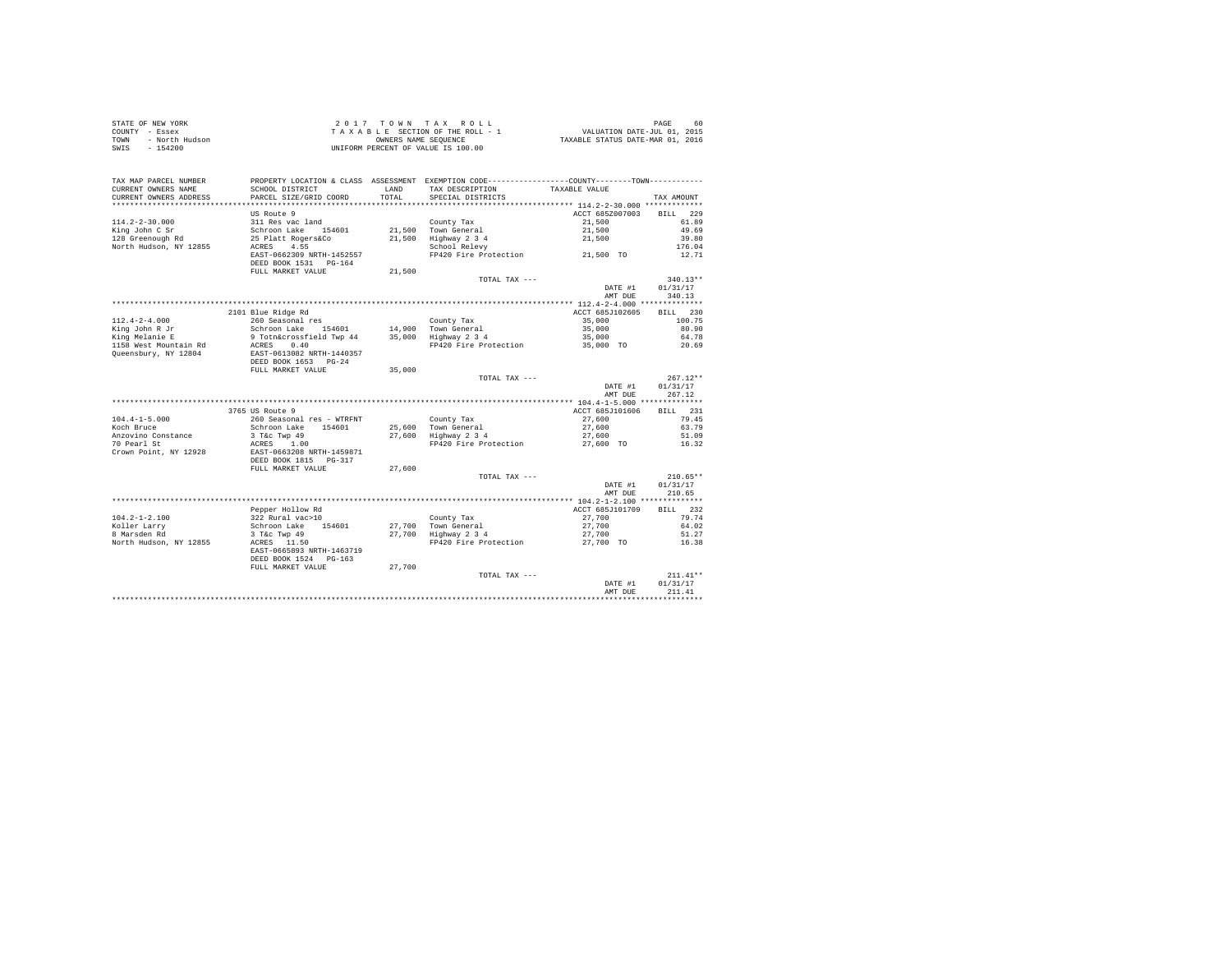| STATE OF NEW YORK      | 2017 TOWN TAX ROLL                 | 60<br>PAGE                       |
|------------------------|------------------------------------|----------------------------------|
| COUNTY - Essex         | TAXABLE SECTION OF THE ROLL - 1    | VALUATION DATE-JUL 01, 2015      |
| TOWN<br>- North Hudson | OWNERS NAME SEOUENCE               | TAXABLE STATUS DATE-MAR 01, 2016 |
| - 154200<br>SWIS       | UNIFORM PERCENT OF VALUE IS 100.00 |                                  |

| TAX MAP PARCEL NUMBER<br>CURRENT OWNERS NAME<br>CURRENT OWNERS ADDRESS | PROPERTY LOCATION & CLASS ASSESSMENT EXEMPTION CODE----------------COUNTY-------TOWN----------<br>SCHOOL DISTRICT<br>PARCEL SIZE/GRID COORD | LAND<br>TOTAL | TAX DESCRIPTION<br>SPECIAL DISTRICTS | TAXABLE VALUE   | TAX AMOUNT         |
|------------------------------------------------------------------------|---------------------------------------------------------------------------------------------------------------------------------------------|---------------|--------------------------------------|-----------------|--------------------|
|                                                                        |                                                                                                                                             |               |                                      |                 |                    |
|                                                                        | US Route 9                                                                                                                                  |               |                                      | ACCT 685Z007003 | 229<br><b>BILL</b> |
| $114.2 - 2 - 30.000$                                                   | 311 Res vac land                                                                                                                            |               | County Tax                           | 21,500          | 61.89              |
| King John C Sr                                                         | Schroon Lake 154601                                                                                                                         |               | 21.500 Town General                  | 21,500          | 49.69              |
| 128 Greenough Rd                                                       | 25 Platt Rogers&Co                                                                                                                          | 21,500        | Highway 2 3 4                        | 21,500          | 39.80              |
| North Hudson, NY 12855                                                 | 4.55<br>ACRES                                                                                                                               |               | School Relevy                        |                 | 176.04             |
|                                                                        |                                                                                                                                             |               |                                      | 21,500 TO       |                    |
|                                                                        | EAST-0662309 NRTH-1452557<br>DEED BOOK 1531 PG-164<br>FULL MARKET VALUE                                                                     | 21,500        | FP420 Fire Protection                |                 | 12.71              |
|                                                                        |                                                                                                                                             |               |                                      |                 |                    |
|                                                                        |                                                                                                                                             |               | TOTAL TAX ---                        |                 | $340.13**$         |
|                                                                        |                                                                                                                                             |               |                                      | DATE #1         | 01/31/17           |
|                                                                        |                                                                                                                                             |               |                                      | AMT DUE         | 340.13             |
|                                                                        |                                                                                                                                             |               |                                      |                 |                    |
|                                                                        | 2101 Blue Ridge Rd                                                                                                                          |               |                                      | ACCT 685J102605 | BILL 230           |
| $112.4 - 2 - 4.000$                                                    | 260 Seasonal res                                                                                                                            |               | County Tax                           | 35,000          | 100.75             |
| King John R Jr                                                         | Schroon Lake 154601                                                                                                                         |               | 14,900 Town General                  | 35,000          | 80.90              |
| King Melanie E                                                         | 9 Totn&crossfield Twp 44                                                                                                                    |               | 35,000 Highway 2 3 4                 | 35,000          | 64.78              |
| 1158 West Mountain Rd                                                  | ACRES<br>0.40                                                                                                                               |               | FP420 Fire Protection                | 35,000 TO       | 20.69              |
| Queensbury, NY 12804                                                   | EAST-0613082 NRTH-1440357<br>DEED BOOK 1653 PG-24                                                                                           |               |                                      |                 |                    |
|                                                                        | FULL MARKET VALUE                                                                                                                           | 35,000        |                                      |                 |                    |
|                                                                        |                                                                                                                                             |               | TOTAL TAX ---                        |                 | $267.12**$         |
|                                                                        |                                                                                                                                             |               |                                      | DATE #1         | 01/31/17           |
|                                                                        |                                                                                                                                             |               |                                      | AMT DUE         | 267.12             |
|                                                                        |                                                                                                                                             |               |                                      |                 |                    |
|                                                                        | 3765 US Route 9                                                                                                                             |               |                                      | ACCT 685J101606 | BILL 231           |
| $104.4 - 1 - 5.000$                                                    | 260 Seasonal res - WTRFNT                                                                                                                   |               | County Tax                           | 27,600          | 79.45              |
| Koch Bruce                                                             | Schroon Lake 154601                                                                                                                         |               | 25,600 Town General                  | 27,600          | 63.79              |
| Anzovino Constance                                                     | 3 T&c Twp 49                                                                                                                                |               | 27,600 Highway 2 3 4                 | 27,600          | 51.09              |
|                                                                        |                                                                                                                                             |               |                                      |                 |                    |
| 70 Pearl St<br>Crown Point, NY 12928                                   | ACRES 1.00<br>EAST-0663208 NRTH-1459871<br>DEED BOOK 1815 PG-317                                                                            |               | FP420 Fire Protection                | 27,600 TO       | 16.32              |
|                                                                        | FULL MARKET VALUE                                                                                                                           | 27,600        |                                      |                 |                    |
|                                                                        |                                                                                                                                             |               | TOTAL TAX ---                        |                 | $210.65**$         |
|                                                                        |                                                                                                                                             |               |                                      | DATE #1         | 01/31/17           |
|                                                                        |                                                                                                                                             |               |                                      | AMT DUE         | 210.65             |
|                                                                        |                                                                                                                                             |               |                                      |                 |                    |
|                                                                        | Pepper Hollow Rd                                                                                                                            |               |                                      | ACCT 685J101709 | 232<br><b>BILL</b> |
| $104.2 - 1 - 2.100$                                                    | 322 Rural vac>10                                                                                                                            |               | County Tax                           | 27,700          | 79.74              |
| Koller Larry                                                           | Schroon Lake<br>154601                                                                                                                      |               | 27.700 Town General                  | 27,700          | 64.02              |
| 8 Marsden Rd                                                           | 3 T&c Twp 49                                                                                                                                |               | 27,700 Highway 2 3 4                 | 27,700          | 51.27              |
| North Hudson, NY 12855                                                 | ACRES 11.50                                                                                                                                 |               | FP420 Fire Protection                | 27,700 TO       | 16.38              |
|                                                                        | EAST-0665893 NRTH-1463719<br>DEED BOOK 1524 PG-163                                                                                          |               |                                      |                 |                    |
|                                                                        | FULL MARKET VALUE                                                                                                                           | 27,700        |                                      |                 |                    |
|                                                                        |                                                                                                                                             |               | TOTAL TAX ---                        |                 | $211.41**$         |
|                                                                        |                                                                                                                                             |               |                                      | DATE #1         | 01/31/17           |
|                                                                        |                                                                                                                                             |               |                                      | AMT DUE         | 211.41             |
|                                                                        |                                                                                                                                             |               |                                      |                 |                    |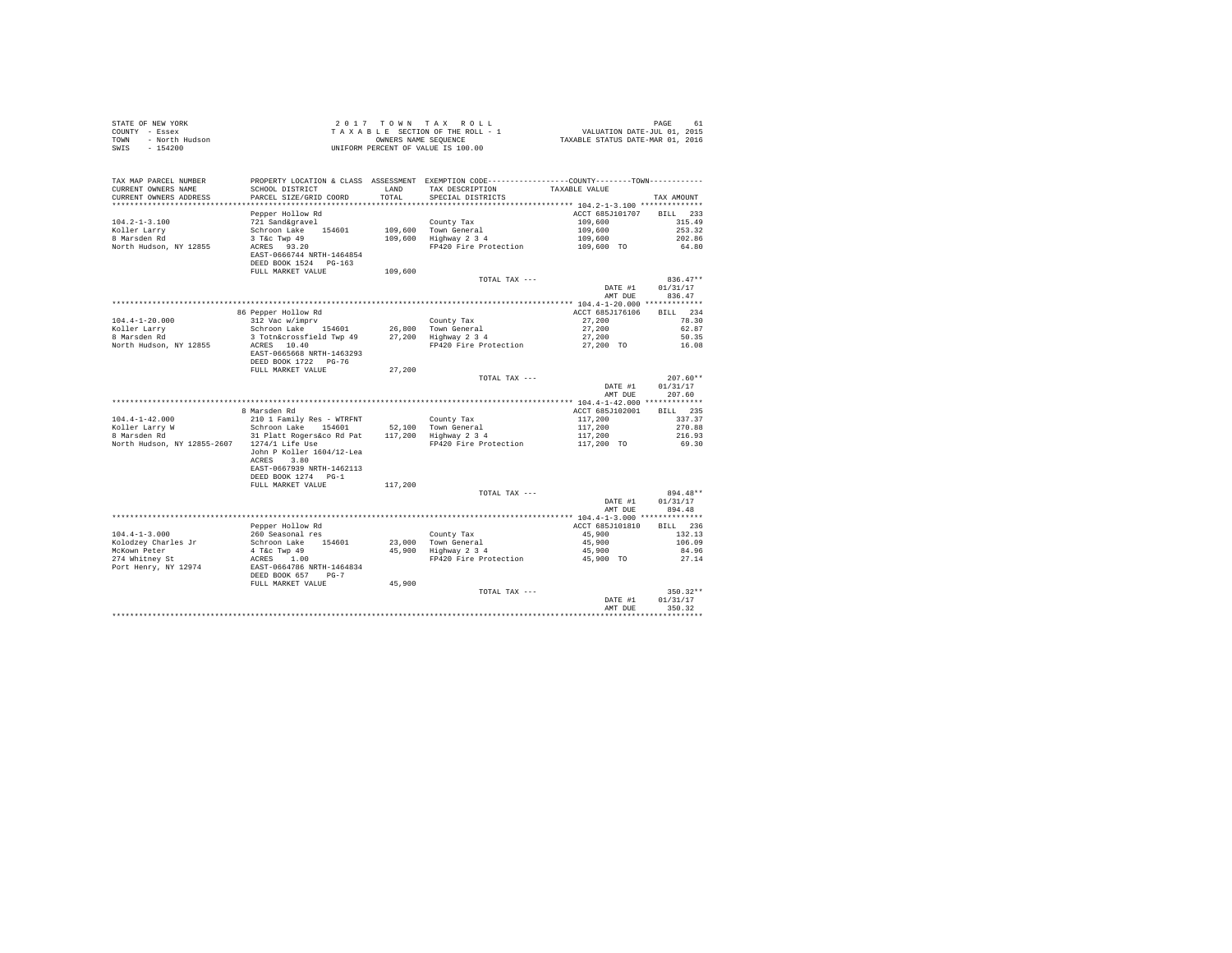| STATE OF NEW YORK<br>COUNTY - Essex<br>- North Hudson<br>TOWN<br>SWIS<br>$-154200$ |                                                                                                                 |                | 2017 TOWN TAX ROLL<br>UNIFORM PERCENT OF VALUE IS 100.00                                                                             |                                     | PAGE<br>61                     |
|------------------------------------------------------------------------------------|-----------------------------------------------------------------------------------------------------------------|----------------|--------------------------------------------------------------------------------------------------------------------------------------|-------------------------------------|--------------------------------|
| TAX MAP PARCEL NUMBER<br>CURRENT OWNERS NAME<br>CURRENT OWNERS ADDRESS             | SCHOOL DISTRICT<br>PARCEL SIZE/GRID COORD                                                                       | LAND<br>TOTAL. | PROPERTY LOCATION & CLASS ASSESSMENT EXEMPTION CODE---------------COUNTY-------TOWN---------<br>TAX DESCRIPTION<br>SPECIAL DISTRICTS | TAXABLE VALUE                       | TAX AMOUNT                     |
|                                                                                    |                                                                                                                 |                |                                                                                                                                      |                                     |                                |
| $104.2 - 1 - 3.100$                                                                | Pepper Hollow Rd<br>721 Sand&gravel                                                                             |                |                                                                                                                                      | ACCT 685J101707 BILL 233<br>109,600 | 315.49                         |
| Koller Larry                                                                       | Schroon Lake 154601                                                                                             |                | County Tax                                                                                                                           | 109,600                             | 253.32                         |
| 8 Marsden Rd                                                                       |                                                                                                                 |                | 109,600 Town General<br>109,600 Highway 2 3 4                                                                                        |                                     | 202.86                         |
| North Hudson, NY 12855                                                             | $3$ T&C Twp $49$<br>ACRES $93.20$<br>ACRES 93.20<br>EAST-0666744 NRTH-1464854<br>DEED BOOK 1524 PG-163          |                | FP420 Fire Protection                                                                                                                | 109,600<br>109,600 TO               | 64.80                          |
|                                                                                    | FULL MARKET VALUE                                                                                               | 109,600        |                                                                                                                                      |                                     |                                |
|                                                                                    |                                                                                                                 |                | TOTAL TAX ---                                                                                                                        |                                     | $836.47**$                     |
|                                                                                    |                                                                                                                 |                |                                                                                                                                      | DATE #1<br>AMT DUE                  | 01/31/17<br>836.47             |
|                                                                                    |                                                                                                                 |                |                                                                                                                                      |                                     |                                |
|                                                                                    | 86 Pepper Hollow Rd                                                                                             |                |                                                                                                                                      | ACCT 685J176106                     | BILL 234                       |
| $104.4 - 1 - 20.000$                                                               | 312 Vac w/imprv                                                                                                 |                | County Tax                                                                                                                           | 27,200                              | 78.30                          |
| Koller Larry<br>8 Marsden Rd                                                       | Schroon Lake 154601 26,800 Town General<br>3 Tothacrossfield Twp 49 27,200 Highway 2 3 4<br>Schroon Lake 154601 |                |                                                                                                                                      | 27,200                              | 62.87                          |
|                                                                                    |                                                                                                                 |                |                                                                                                                                      | 27,200                              | 50.35                          |
| North Hudson, NY 12855                                                             | ACRES 10.40<br>EAST-0665668 NRTH-1463293<br>DEED BOOK 1722 PG-76                                                |                | FP420 Fire Protection                                                                                                                | 27,200 TO                           | 16.08                          |
|                                                                                    | FULL MARKET VALUE                                                                                               | 27,200         |                                                                                                                                      |                                     |                                |
|                                                                                    |                                                                                                                 |                | TOTAL TAX ---                                                                                                                        | DATE #1                             | $207.60**$<br>01/31/17         |
|                                                                                    |                                                                                                                 |                |                                                                                                                                      | AMT DUE                             | 207.60                         |
|                                                                                    | 8 Marsden Rd                                                                                                    |                |                                                                                                                                      | ACCT 685J102001                     | BILL 235                       |
| $104.4 - 1 - 42.000$                                                               | 210 1 Family Res - WTRFNT                                                                                       |                | County Tax                                                                                                                           |                                     | 337.37                         |
|                                                                                    | Schroon Lake 154601                                                                                             |                | County Tax<br>52,100 Town General<br>117,200 Highway 2 3 4                                                                           | 117,200<br>117,200                  | 270.88                         |
| Koller Larry W<br>8 Marsden Rd                                                     | 31 Platt Rogers&co Rd Pat                                                                                       |                |                                                                                                                                      | 117,200                             | 216.93                         |
| North Hudson, NY 12855-2607 1274/1 Life Use                                        | John P Koller 1604/12-Lea<br>ACRES 3.80                                                                         |                | FP420 Fire Protection                                                                                                                | 117,200 TO                          | 69.30                          |
|                                                                                    | EAST-0667939 NRTH-1462113<br>DEED BOOK 1274 PG-1                                                                |                |                                                                                                                                      |                                     |                                |
|                                                                                    | FULL MARKET VALUE                                                                                               | 117,200        |                                                                                                                                      |                                     |                                |
|                                                                                    |                                                                                                                 |                | TOTAL TAX ---                                                                                                                        | DATE #1<br>AMT DUE                  | 894.48**<br>01/31/17<br>894.48 |
|                                                                                    |                                                                                                                 |                |                                                                                                                                      |                                     |                                |
|                                                                                    | Pepper Hollow Rd                                                                                                |                |                                                                                                                                      | ACCT 685J101810                     | BILL 236                       |
| $104.4 - 1 - 3.000$                                                                | 260 Seasonal res                                                                                                |                |                                                                                                                                      | 45,900                              | 132.13                         |
| Kolodzey Charles Jr                                                                | Schroon Lake 154601                                                                                             |                | County Tax<br>23,000 Town General<br>45,900 Highway 2 3 4                                                                            | 45,900                              | 106.09                         |
| McKown Peter<br>274 Whitney St                                                     | 4 T&C Twp 49<br>ACRES 1.00                                                                                      |                |                                                                                                                                      | 45,900                              | 84.96                          |
| Port Henry, NY 12974                                                               | EAST-0664786 NRTH-1464834                                                                                       |                | FP420 Fire Protection                                                                                                                | 45,900 TO                           | 27.14                          |
|                                                                                    | DEED BOOK 657 PG-7                                                                                              |                |                                                                                                                                      |                                     |                                |
|                                                                                    | FULL MARKET VALUE                                                                                               | 45,900         | TOTAL TAX ---                                                                                                                        |                                     | $350.32**$                     |
|                                                                                    |                                                                                                                 |                |                                                                                                                                      | DATE #1<br>AMT DUE                  | 01/31/17<br>350.32             |
|                                                                                    |                                                                                                                 |                |                                                                                                                                      |                                     |                                |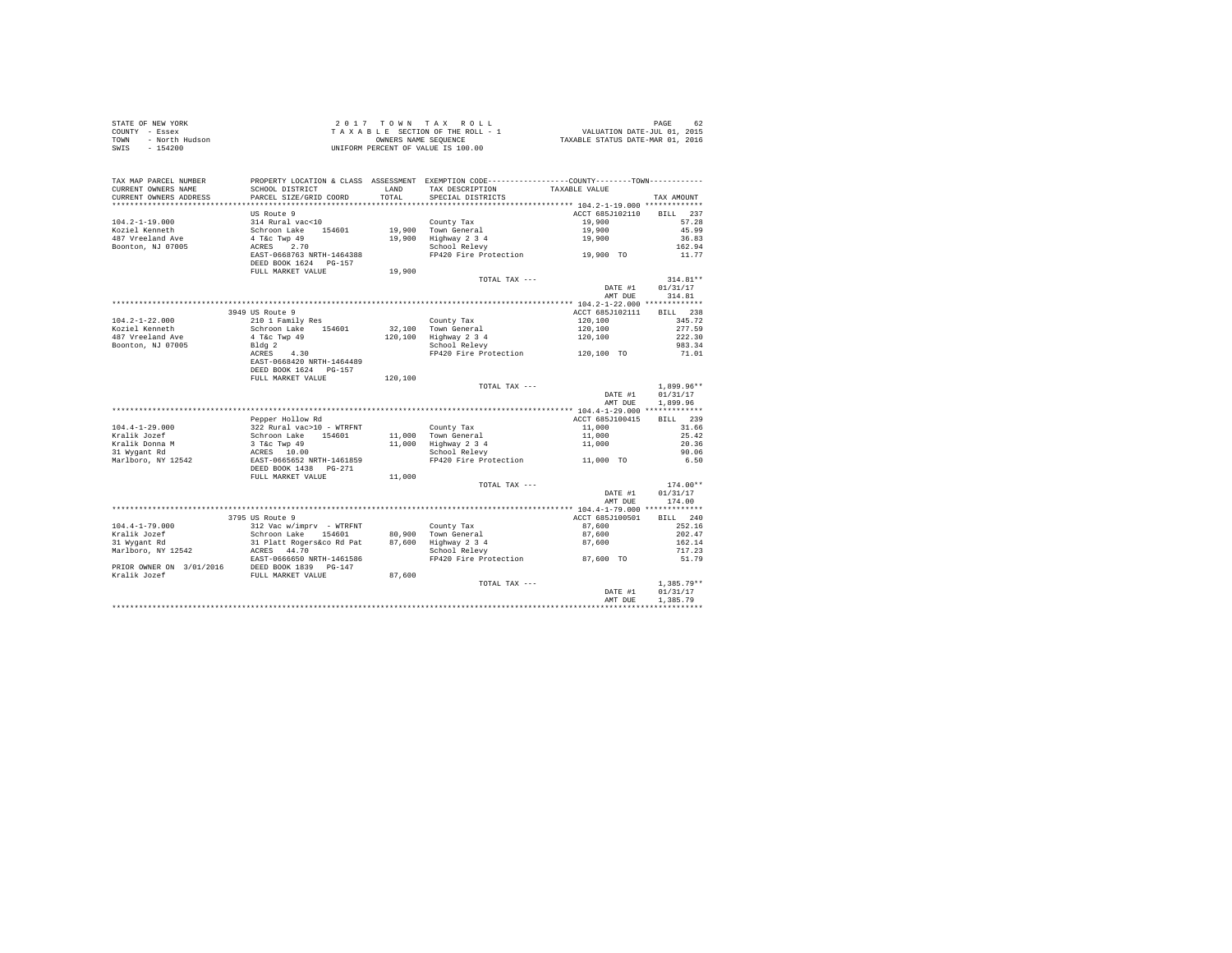| STATE OF NEW YORK      | 2017 TOWN TAX ROLL                 | 62<br>PAGE                       |
|------------------------|------------------------------------|----------------------------------|
| COUNTY - Essex         | TAXABLE SECTION OF THE ROLL - 1    | VALUATION DATE-JUL 01, 2015      |
| TOWN<br>- North Hudson | OWNERS NAME SEOUENCE               | TAXABLE STATUS DATE-MAR 01, 2016 |
| $-154200$<br>SWIS      | UNIFORM PERCENT OF VALUE IS 100.00 |                                  |

| TAX MAP PARCEL NUMBER<br>CURRENT OWNERS NAME<br>CURRENT OWNERS ADDRESS | PROPERTY LOCATION & CLASS ASSESSMENT EXEMPTION CODE---------------COUNTY-------TOWN---------<br>SCHOOL DISTRICT<br>PARCEL SIZE/GRID COORD | LAND<br>TOTAL | TAX DESCRIPTION<br>SPECIAL DISTRICTS             | TAXABLE VALUE                      | TAX AMOUNT   |
|------------------------------------------------------------------------|-------------------------------------------------------------------------------------------------------------------------------------------|---------------|--------------------------------------------------|------------------------------------|--------------|
| *************************                                              |                                                                                                                                           |               |                                                  |                                    |              |
|                                                                        | <b>US Route 9</b>                                                                                                                         |               |                                                  | ACCT 685J102110                    | BTLL.<br>237 |
| $104.2 - 1 - 19.000$                                                   | 314 Rural vac<10                                                                                                                          |               | County Tax                                       | 19,900                             | 57.28        |
| Koziel Kenneth                                                         | Schroon Lake 154601                                                                                                                       |               | 19,900 Town General                              | 19,900                             | 45.99        |
| 487 Vreeland Ave                                                       | 4 T&c Twp 49                                                                                                                              | 19,900        | Highway 2 3 4                                    | 19,900                             | 36.83        |
| Boonton, NJ 07005                                                      | 2.70<br>ACRES                                                                                                                             |               | School Relevy                                    |                                    | 162.94       |
|                                                                        | EAST-0668763 NRTH-1464388<br>DEED BOOK 1624 PG-157                                                                                        |               | school Relevy<br>FP420 Fire Protection 19,900 TO |                                    | 11.77        |
|                                                                        | FULL MARKET VALUE                                                                                                                         | 19,900        |                                                  |                                    |              |
|                                                                        |                                                                                                                                           |               | TOTAL TAX ---                                    |                                    | $314.81**$   |
|                                                                        |                                                                                                                                           |               |                                                  | DATE #1                            | 01/31/17     |
|                                                                        |                                                                                                                                           |               |                                                  | AMT DUE                            | 314.81       |
|                                                                        |                                                                                                                                           |               |                                                  | ***** 104.2-1-22.000 ************* |              |
|                                                                        | 3949 US Route 9                                                                                                                           |               |                                                  | ACCT 685J102111                    | BILL 238     |
| $104.2 - 1 - 22.000$                                                   | 210 1 Family Res                                                                                                                          |               | County Tax                                       | 120,100                            | 345.72       |
| Koziel Kenneth                                                         | Schroon Lake 154601                                                                                                                       |               | 32.100 Town General                              | 120,100                            | 277.59       |
| 487 Vreeland Ave                                                       | 4 T&c Twp 49                                                                                                                              |               | 120,100 Highway 2 3 4                            | 120,100                            | 222.30       |
| Boonton, NJ 07005                                                      | Bldg <sub>2</sub>                                                                                                                         |               | School Relevy                                    |                                    | 983.34       |
|                                                                        | ACRES<br>4.30                                                                                                                             |               | FP420 Fire Protection                            | 120,100 TO                         | 71.01        |
|                                                                        | EAST-0668420 NRTH-1464489                                                                                                                 |               |                                                  |                                    |              |
|                                                                        | DEED BOOK 1624 PG-157                                                                                                                     |               |                                                  |                                    |              |
|                                                                        | FULL MARKET VALUE                                                                                                                         | 120,100       |                                                  |                                    | $1.899.96**$ |
|                                                                        |                                                                                                                                           |               | TOTAL TAX ---                                    | DATE #1                            | 01/31/17     |
|                                                                        |                                                                                                                                           |               |                                                  | AMT DUE                            | 1,899.96     |
|                                                                        |                                                                                                                                           |               |                                                  |                                    |              |
|                                                                        | Pepper Hollow Rd                                                                                                                          |               |                                                  | ACCT 685J100415                    | BILL 239     |
| $104.4 - 1 - 29.000$                                                   | 322 Rural vac>10 - WTRFNT                                                                                                                 |               | County Tax                                       | 11,000                             | 31.66        |
| Kralik Jozef                                                           | Schroon Lake 154601                                                                                                                       |               | 11,000 Town General                              | 11,000                             | 25.42        |
| Kralik Donna M                                                         | 3 T&c Twp 49                                                                                                                              |               | 11,000 Highway 2 3 4                             | 11,000                             | 20.36        |
| 31 Wygant Rd                                                           | ACRES 10.00                                                                                                                               |               | School Relevy                                    |                                    | 90.06        |
| Marlboro, NY 12542                                                     | EAST-0665652 NRTH-1461859                                                                                                                 |               | FP420 Fire Protection                            | 11,000 TO                          | 6.50         |
|                                                                        | DEED BOOK 1438 PG-271                                                                                                                     |               |                                                  |                                    |              |
|                                                                        | FULL MARKET VALUE                                                                                                                         | 11,000        |                                                  |                                    |              |
|                                                                        |                                                                                                                                           |               | TOTAL TAX ---                                    |                                    | $174.00**$   |
|                                                                        |                                                                                                                                           |               |                                                  | DATE #1                            | 01/31/17     |
|                                                                        |                                                                                                                                           |               |                                                  | AMT DUE                            | 174.00       |
|                                                                        |                                                                                                                                           |               |                                                  |                                    |              |
|                                                                        | 3795 US Route 9                                                                                                                           |               |                                                  | ACCT 685J100501                    | BILL 240     |
| $104.4 - 1 - 79.000$                                                   | 312 Vac w/imprv - WTRFNT                                                                                                                  |               | County Tax                                       | 87,600                             | 252.16       |
| Kralik Jozef                                                           | Schroon Lake 154601                                                                                                                       |               | 80.900 Town General                              | 87,600                             | 202.47       |
| 31 Wygant Rd                                                           | 31 Platt Rogers&co Rd Pat                                                                                                                 |               | 87.600 Highway 2 3 4                             | 87,600                             | 162.14       |
| Marlboro, NY 12542                                                     | ACRES 44.70                                                                                                                               |               | School Relevy                                    |                                    | 717.23       |
|                                                                        | EAST-0666650 NRTH-1461586                                                                                                                 |               | FP420 Fire Protection                            | 87,600 TO                          | 51.79        |
| PRIOR OWNER ON 3/01/2016                                               | DEED BOOK 1839 PG-147                                                                                                                     |               |                                                  |                                    |              |
| Kralik Jozef                                                           | FULL MARKET VALUE                                                                                                                         | 87,600        |                                                  |                                    |              |
|                                                                        |                                                                                                                                           |               | TOTAL TAX ---                                    |                                    | $1,385.79**$ |
|                                                                        |                                                                                                                                           |               |                                                  | DATE #1                            | 01/31/17     |
|                                                                        |                                                                                                                                           |               |                                                  | AMT DUE                            | 1,385.79     |
|                                                                        |                                                                                                                                           |               |                                                  |                                    |              |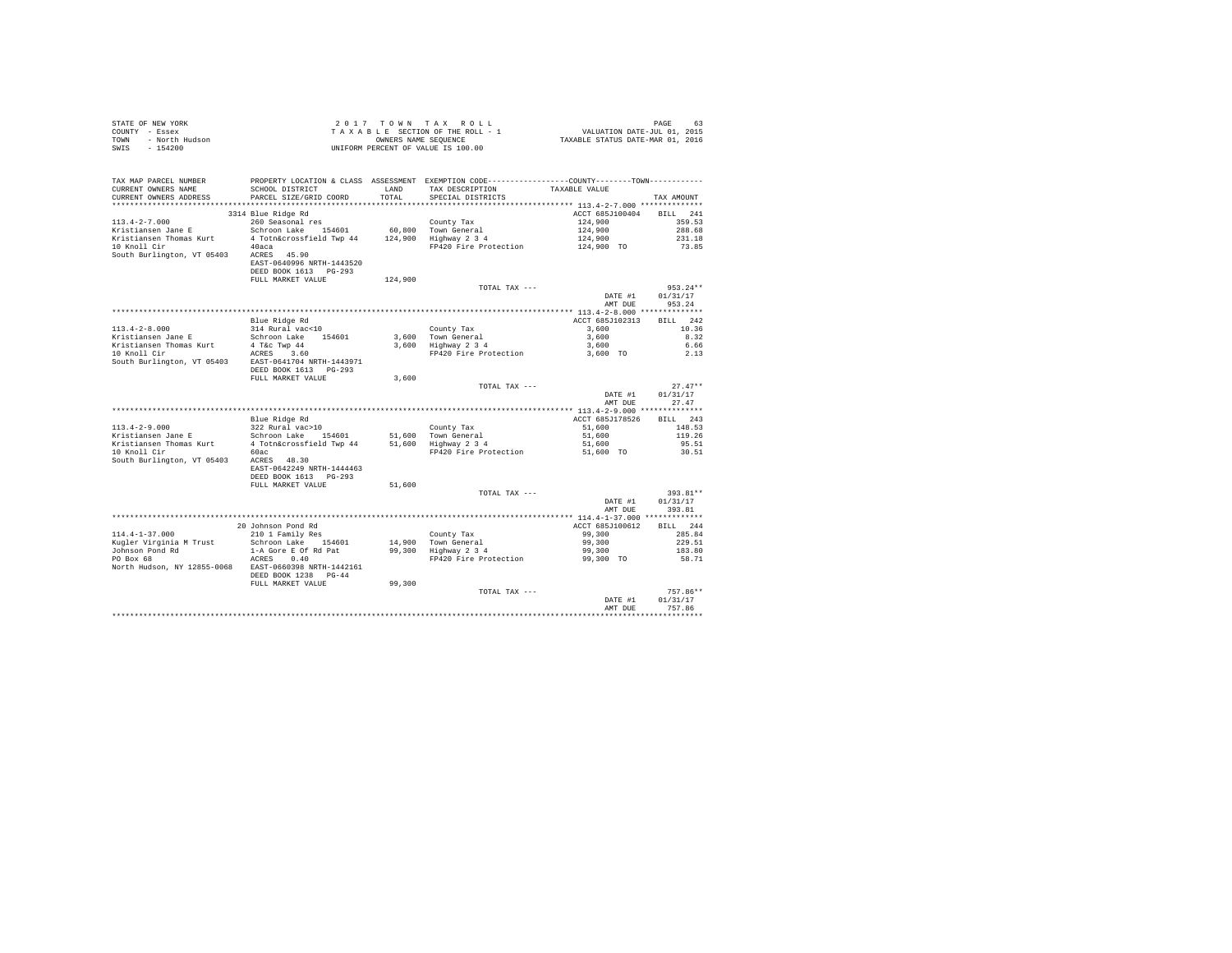| TAX MAP PARCEL NUMBER<br>CURRENT OWNERS NAME                  | PROPERTY LOCATION & CLASS ASSESSMENT EXEMPTION CODE---------------COUNTY-------TOWN---------<br>SCHOOL DISTRICT |         | LAND TAX DESCRIPTION TAXABLE VALUE          |                                   |                           |
|---------------------------------------------------------------|-----------------------------------------------------------------------------------------------------------------|---------|---------------------------------------------|-----------------------------------|---------------------------|
| CURRENT OWNERS ADDRESS                                        | PARCEL SIZE/GRID COORD                                                                                          | TOTAL   | SPECIAL DISTRICTS                           |                                   | TAX AMOUNT                |
|                                                               |                                                                                                                 |         |                                             |                                   |                           |
|                                                               | 3314 Blue Ridge Rd                                                                                              |         |                                             | ACCT 685J100404 BILL 241          |                           |
| $113.4 - 2 - 7.000$                                           |                                                                                                                 |         |                                             | 124,900                           | 359.53                    |
| Kristiansen Jane E                                            |                                                                                                                 |         |                                             | 124,900                           | 288.68                    |
|                                                               |                                                                                                                 |         |                                             | 124,900                           | 231.18                    |
|                                                               |                                                                                                                 |         | FP420 Fire Protection 124,900 TO            |                                   | 73.85                     |
|                                                               | EAST-0640996 NRTH-1443520                                                                                       |         |                                             |                                   |                           |
|                                                               | DEED BOOK 1613 PG-293                                                                                           |         |                                             |                                   |                           |
|                                                               | FULL MARKET VALUE                                                                                               | 124,900 |                                             |                                   |                           |
|                                                               |                                                                                                                 |         | TOTAL TAX ---                               |                                   | $953.24**$                |
|                                                               |                                                                                                                 |         |                                             | DATE #1                           | 01/31/17                  |
|                                                               |                                                                                                                 |         |                                             | AMT DUE                           | 953.24                    |
|                                                               |                                                                                                                 |         |                                             |                                   |                           |
| $113.4 - 2 - 8.000$                                           | Blue Ridge Rd<br>314 Rural vac<10                                                                               |         | County Tax                                  | ACCT 685J102313 BILL 242<br>3,600 | 10.36                     |
| Kristiansen Jane E                                            | Schroon Lake 154601                                                                                             |         |                                             | 3,600                             | 8.32                      |
| Kristiansen Thomas Kurt                                       |                                                                                                                 |         | 3,600 Town General<br>3,600 Highway 2 3 4   | 3,600                             | 6.66                      |
| 10 Knoll Cir                                                  | $4$ T&C Twp $44$<br>ACRES $3.60$                                                                                |         | FP420 Fire Protection                       | 3,600 TO                          | 2.13                      |
| South Burlington, VT 05403 EAST-0641704 NRTH-1443971          | DEED BOOK 1613 PG-293                                                                                           |         |                                             |                                   |                           |
|                                                               | FULL MARKET VALUE 3,600                                                                                         |         |                                             |                                   |                           |
|                                                               |                                                                                                                 |         | TOTAL TAX ---                               |                                   | $27.47**$                 |
|                                                               |                                                                                                                 |         |                                             | AMT DUE                           | DATE #1 01/31/17<br>27.47 |
|                                                               |                                                                                                                 |         |                                             |                                   |                           |
|                                                               | Blue Ridge Rd<br>322 Rural vac>10<br>022 Rural vac>10                                                           |         |                                             | ACCT 685J178526                   | <b>BILL</b> 243           |
|                                                               |                                                                                                                 |         |                                             | 51,600                            | 148.53                    |
|                                                               |                                                                                                                 |         |                                             | 51,600                            | 119.26                    |
|                                                               |                                                                                                                 |         |                                             | 51,600                            | 95.51                     |
| 10 Knoll Cir 60ac<br>South Burlington, VT 05403 ACRES 48.30   |                                                                                                                 |         | FP420 Fire Protection 51,600 TO             |                                   | 30.51                     |
|                                                               |                                                                                                                 |         |                                             |                                   |                           |
|                                                               | EAST-0642249 NRTH-1444463                                                                                       |         |                                             |                                   |                           |
|                                                               | DEED BOOK 1613 PG-293                                                                                           |         |                                             |                                   |                           |
|                                                               | FULL MARKET VALUE                                                                                               | 51,600  | TOTAL TAX ---                               |                                   | 393.81**                  |
|                                                               |                                                                                                                 |         |                                             | DATE #1                           | 01/31/17                  |
|                                                               |                                                                                                                 |         |                                             | AMT DUE                           | 393.81                    |
|                                                               |                                                                                                                 |         |                                             |                                   |                           |
|                                                               |                                                                                                                 |         |                                             | ACCT 685J100612                   | BILL 244                  |
| 114.4-1-37.000                                                | 20 Johnson Pond Rd<br>210 1 Family Res                                                                          |         | County Tax                                  | 99,300                            | 285.84                    |
| Kugler Virginia M Trust                                       | Schroon Lake 154601                                                                                             |         | 14,900 Town General<br>99,300 Highway 2 3 4 | 99,300                            | 229.51                    |
| Johnson Pond Rd $1-A$ Gore E Of Rd Pat PO Box 68 $ACRES$ 0.40 |                                                                                                                 |         |                                             | 99,300                            | 183.80                    |
|                                                               |                                                                                                                 |         | FP420 Fire Protection                       | 99,300 TO                         | 58.71                     |
| North Hudson, NY 12855-0068 EAST-0660398 NRTH-1442161         | DEED BOOK 1238 PG-44                                                                                            |         |                                             |                                   |                           |
|                                                               | FULL MARKET VALUE                                                                                               | 99,300  |                                             |                                   |                           |
|                                                               |                                                                                                                 |         | TOTAL TAX ---                               |                                   | $757.86**$                |
|                                                               |                                                                                                                 |         |                                             | DATE #1                           | 01/31/17                  |
|                                                               |                                                                                                                 |         |                                             | AMT DUE                           | 757.86                    |
|                                                               |                                                                                                                 |         |                                             |                                   |                           |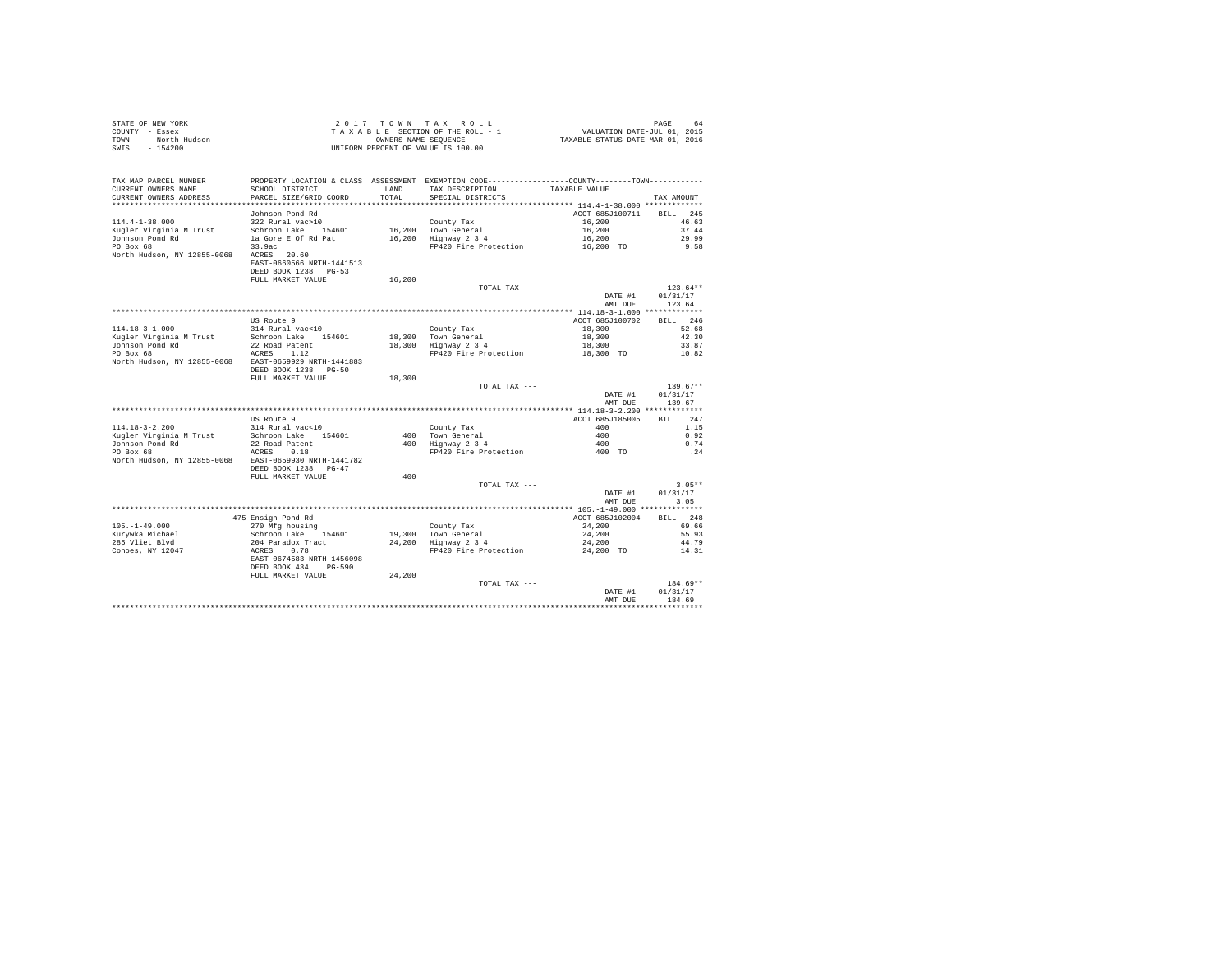| STATE OF NEW YORK |                | 2017 TOWN TAX ROLL                 |                      |  |                                  | PAGE | 64 |
|-------------------|----------------|------------------------------------|----------------------|--|----------------------------------|------|----|
| COUNTY - Essex    |                | TAXABLE SECTION OF THE ROLL - 1    |                      |  | VALUATION DATE-JUL 01, 2015      |      |    |
| TOWN              | - North Hudson |                                    | OWNERS NAME SEOUENCE |  | TAXABLE STATUS DATE-MAR 01, 2016 |      |    |
| SWIS              | $-154200$      | UNIFORM PERCENT OF VALUE IS 100.00 |                      |  |                                  |      |    |

| TAX MAP PARCEL NUMBER<br>CURRENT OWNERS NAME<br>CURRENT OWNERS ADDRESS | PROPERTY LOCATION & CLASS ASSESSMENT EXEMPTION CODE---------------COUNTY-------TOWN---------<br>SCHOOL DISTRICT<br>PARCEL SIZE/GRID COORD | LAND<br>TOTAL. | TAX DESCRIPTION<br>SPECIAL DISTRICTS | TAXABLE VALUE   | TAX AMOUNT         |
|------------------------------------------------------------------------|-------------------------------------------------------------------------------------------------------------------------------------------|----------------|--------------------------------------|-----------------|--------------------|
|                                                                        |                                                                                                                                           |                |                                      |                 |                    |
|                                                                        | Johnson Pond Rd                                                                                                                           |                |                                      | ACCT 685J100711 | 245<br><b>BILL</b> |
| $114.4 - 1 - 38.000$                                                   | 322 Rural vac>10                                                                                                                          |                | County Tax                           | 16,200          | 46.63              |
| Kugler Virginia M Trust                                                | Schroon Lake 154601                                                                                                                       | 16,200         | Town General                         | 16,200          | 37.44              |
| Johnson Pond Rd                                                        | la Gore E Of Rd Pat                                                                                                                       | 16,200         | Highway 2 3 4                        | 16,200          | 29.99              |
| PO Box 68                                                              | 33.9ac                                                                                                                                    |                | FP420 Fire Protection                | 16,200 TO       | 9.58               |
| North Hudson, NY 12855-0068                                            | 20.60<br>ACRES<br>EAST-0660566 NRTH-1441513<br>DEED BOOK 1238 PG-53                                                                       |                |                                      |                 |                    |
|                                                                        | FULL MARKET VALUE                                                                                                                         | 16,200         |                                      |                 |                    |
|                                                                        |                                                                                                                                           |                | TOTAL TAX ---                        |                 | $123.64**$         |
|                                                                        |                                                                                                                                           |                |                                      | DATE #1         | 01/31/17           |
|                                                                        |                                                                                                                                           |                |                                      | AMT DUE         | 123.64             |
|                                                                        |                                                                                                                                           |                |                                      |                 |                    |
|                                                                        | US Route 9                                                                                                                                |                |                                      | ACCT 685J100702 | 246<br><b>BILL</b> |
| $114.18 - 3 - 1.000$                                                   | 314 Rural vac<10                                                                                                                          |                | County Tax                           | 18,300          | 52.68              |
| Kugler Virginia M Trust                                                | 154601<br>Schroon Lake                                                                                                                    | 18,300         | Town General                         | 18,300          | 42.30              |
| Johnson Pond Rd                                                        | 22 Road Patent                                                                                                                            | 18,300         | Highway 2 3 4                        | 18,300          | 33.87              |
| PO Box 68                                                              | ACRES<br>1.12                                                                                                                             |                | FP420 Fire Protection                | 18,300 TO       | 10.82              |
| North Hudson, NY 12855-0068                                            | EAST-0659929 NRTH-1441883                                                                                                                 |                |                                      |                 |                    |
|                                                                        |                                                                                                                                           |                |                                      |                 |                    |
|                                                                        | DEED BOOK 1238<br>$PG-50$                                                                                                                 |                |                                      |                 |                    |
|                                                                        | FULL MARKET VALUE                                                                                                                         | 18,300         |                                      |                 |                    |
|                                                                        |                                                                                                                                           |                | TOTAL TAX ---                        |                 | $139.67**$         |
|                                                                        |                                                                                                                                           |                |                                      | DATE #1         | 01/31/17           |
|                                                                        |                                                                                                                                           |                |                                      | AMT DUE         | 139.67             |
|                                                                        |                                                                                                                                           |                |                                      |                 |                    |
|                                                                        | US Route 9                                                                                                                                |                |                                      | ACCT 685J185005 | 247<br>BTLL.       |
| $114.18 - 3 - 2.200$                                                   | 314 Rural vac<10                                                                                                                          |                | County Tax                           | 400             | 1.15               |
| Kugler Virginia M Trust                                                | Schroon Lake 154601                                                                                                                       | 400            | Town General                         | 400             | 0.92               |
| Johnson Pond Rd                                                        | 22 Road Patent                                                                                                                            | 400            | Highway 2 3 4                        | 400             | 0.74               |
| PO Box 68<br>North Hudson, NY 12855-0068                               | ACRES<br>0.18<br>EAST-0659930 NRTH-1441782<br>DEED BOOK 1238<br>$PG-47$                                                                   |                | FP420 Fire Protection                | 400 TO          | .24                |
|                                                                        | FULL MARKET VALUE                                                                                                                         | 400            |                                      |                 |                    |
|                                                                        |                                                                                                                                           |                |                                      |                 | $3.05**$           |
|                                                                        |                                                                                                                                           |                | TOTAL TAX ---                        |                 | 01/31/17           |
|                                                                        |                                                                                                                                           |                |                                      | DATE #1         |                    |
|                                                                        |                                                                                                                                           |                |                                      | AMT DUE         | 3.05               |
|                                                                        |                                                                                                                                           |                |                                      |                 |                    |
|                                                                        | 475 Ensign Pond Rd                                                                                                                        |                |                                      | ACCT 685J102004 | 248<br>RTLL.       |
| $105. - 1 - 49.000$                                                    | 270 Mfg housing                                                                                                                           |                | County Tax                           | 24,200          | 69.66              |
| Kurywka Michael                                                        | Schroon Lake<br>154601                                                                                                                    | 19,300         | Town General                         | 24,200          | 55.93              |
| 285 Vliet Blvd                                                         | 204 Paradox Tract                                                                                                                         | 24,200         | Highway 2 3 4                        | 24,200          | 44.79              |
| Cohoes, NY 12047                                                       | 0.78<br>ACRES                                                                                                                             |                | FP420 Fire Protection                | 24,200 TO       | 14.31              |
|                                                                        | EAST-0674583 NRTH-1456098                                                                                                                 |                |                                      |                 |                    |
|                                                                        | DEED BOOK 434<br>$PG-590$                                                                                                                 |                |                                      |                 |                    |
|                                                                        | FULL MARKET VALUE                                                                                                                         | 24,200         |                                      |                 |                    |
|                                                                        |                                                                                                                                           |                | TOTAL TAX ---                        |                 | 184.69**           |
|                                                                        |                                                                                                                                           |                |                                      | DATE #1         | 01/31/17           |
|                                                                        |                                                                                                                                           |                |                                      | AMT DUE         | 184.69             |
|                                                                        |                                                                                                                                           |                |                                      |                 |                    |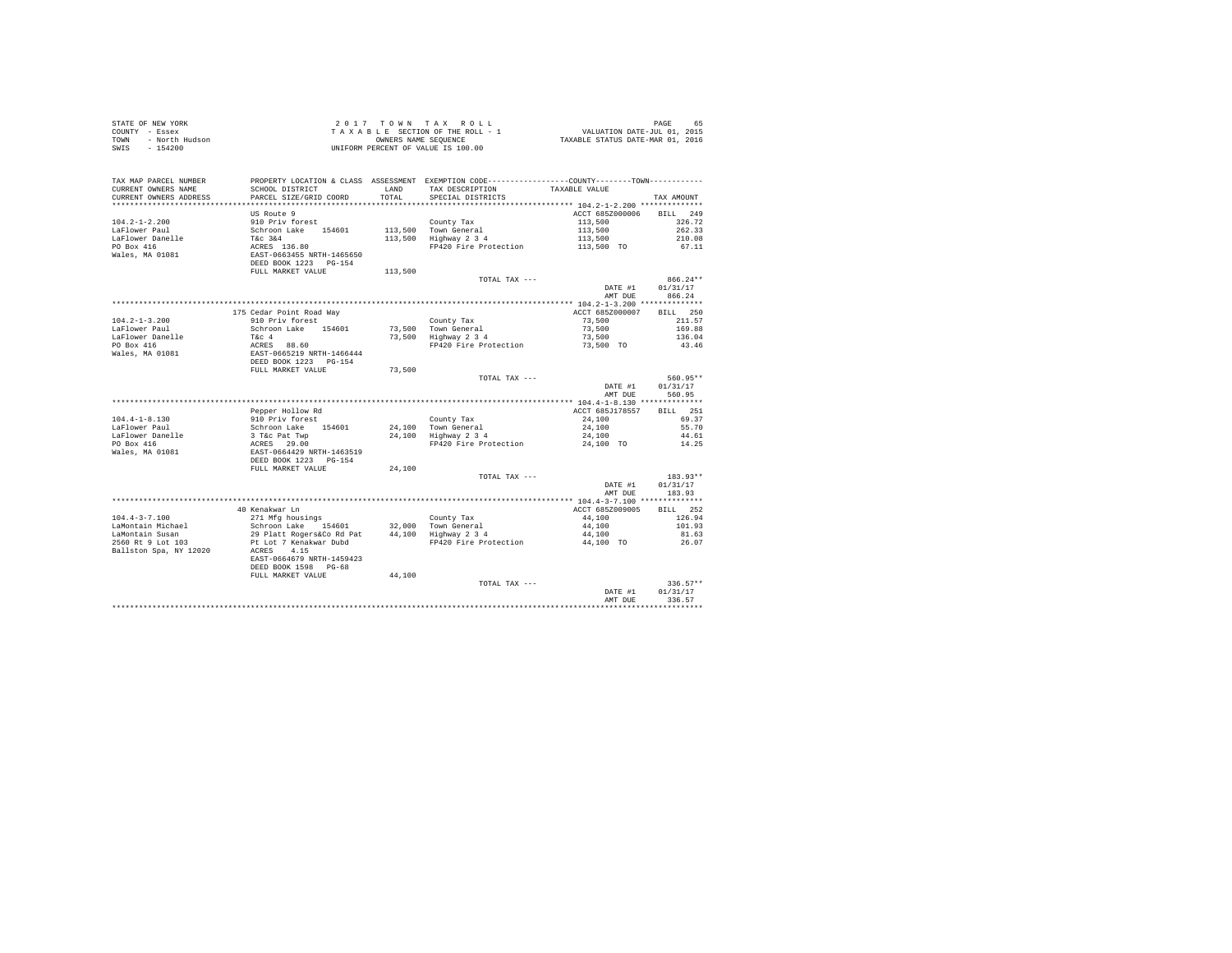| STATE OF NEW YORK      | 2017 TOWN TAX ROLL                 | 65<br>PAGE                       |
|------------------------|------------------------------------|----------------------------------|
| COUNTY - Essex         | TAXABLE SECTION OF THE ROLL - 1    | VALUATION DATE-JUL 01, 2015      |
| TOWN<br>- North Hudson | OWNERS NAME SEOUENCE               | TAXABLE STATUS DATE-MAR 01, 2016 |
| SWIS<br>- 154200       | UNIFORM PERCENT OF VALUE IS 100.00 |                                  |

| TAX MAP PARCEL NUMBER<br>CURRENT OWNERS NAME<br>CURRENT OWNERS ADDRESS | SCHOOL DISTRICT<br>PARCEL SIZE/GRID COORD                                                    | LAND<br>TOTAL. | PROPERTY LOCATION & CLASS ASSESSMENT EXEMPTION CODE------------<br>TAX DESCRIPTION<br>SPECIAL DISTRICTS | -----COUNTY--------TOWN------------<br>TAXABLE VALUE | TAX AMOUNT                                       |
|------------------------------------------------------------------------|----------------------------------------------------------------------------------------------|----------------|---------------------------------------------------------------------------------------------------------|------------------------------------------------------|--------------------------------------------------|
| *********************                                                  | *******************                                                                          |                | ************************************** 104.2-1-2.200 ***************                                    |                                                      |                                                  |
| $104.2 - 1 - 2.200$<br>LaFlower Paul<br>LaFlower Danelle               | US Route 9<br>910 Priv forest<br>Schroon Lake<br>154601<br>T&c 3&4                           | 113,500        | County Tax<br>113,500 Town General<br>Highway 2 3 4                                                     | ACCT 685Z000006<br>113,500<br>113,500<br>113,500     | <b>BILL</b><br>249<br>326.72<br>262.33<br>210.08 |
| PO Box 416<br>Wales, MA 01081                                          | ACRES 136.80<br>EAST-0663455 NRTH-1465650<br>DEED BOOK 1223 PG-154<br>FULL MARKET VALUE      | 113,500        | FP420 Fire Protection                                                                                   | 113,500 TO                                           | 67.11                                            |
|                                                                        |                                                                                              |                | TOTAL TAX ---                                                                                           | DATE #1<br>AMT DUE                                   | $866.24**$<br>01/31/17<br>866.24                 |
|                                                                        |                                                                                              |                |                                                                                                         | ************ 104.2-1-3.200 **************            |                                                  |
|                                                                        | 175 Cedar Point Road Way                                                                     |                |                                                                                                         | ACCT 685Z000007                                      | 250<br><b>BILL</b>                               |
| $104.2 - 1 - 3.200$                                                    | 910 Priv forest                                                                              |                | County Tax                                                                                              | 73,500                                               | 211.57                                           |
| LaFlower Paul                                                          | Schroon Lake 154601                                                                          | 73,500         | Town General                                                                                            | 73,500                                               | 169.88                                           |
| LaFlower Danelle                                                       | T&c 4                                                                                        | 73,500         | Highway 2 3 4                                                                                           | 73,500                                               | 136.04                                           |
| PO Box 416                                                             | ACRES 88.60                                                                                  |                | FP420 Fire Protection                                                                                   | 73,500 TO                                            | 43.46                                            |
| Wales, MA 01081                                                        | EAST-0665219 NRTH-1466444                                                                    |                |                                                                                                         |                                                      |                                                  |
|                                                                        | DEED BOOK 1223 PG-154                                                                        |                |                                                                                                         |                                                      |                                                  |
|                                                                        | FULL MARKET VALUE                                                                            | 73,500         |                                                                                                         |                                                      |                                                  |
|                                                                        |                                                                                              |                | TOTAL TAX ---                                                                                           |                                                      | 560.95**                                         |
|                                                                        |                                                                                              |                |                                                                                                         | DATE #1                                              | 01/31/17                                         |
|                                                                        |                                                                                              |                |                                                                                                         | AMT DUE                                              | 560.95                                           |
|                                                                        |                                                                                              |                |                                                                                                         |                                                      |                                                  |
|                                                                        | Pepper Hollow Rd                                                                             |                |                                                                                                         | ACCT 685J178557                                      | RTT.T.<br>251                                    |
| $104.4 - 1 - 8.130$                                                    | 910 Priv forest                                                                              |                | County Tax                                                                                              | 24,100                                               | 69.37                                            |
| LaFlower Paul                                                          | Schroon Lake<br>154601                                                                       |                |                                                                                                         | 24,100                                               | 55.70                                            |
|                                                                        |                                                                                              |                | 24,100 Town General                                                                                     |                                                      |                                                  |
| LaFlower Danelle                                                       | 3 T&C Pat Twp                                                                                |                | 24,100 Highway 2 3 4                                                                                    | 24,100                                               | 44.61                                            |
| PO Box 416<br>Wales, MA 01081                                          | ACRES 29.00<br>EAST-0664429 NRTH-1463519<br>DEED BOOK 1223 PG-154                            |                | FP420 Fire Protection                                                                                   | 24,100 TO                                            | 14.25                                            |
|                                                                        | FULL MARKET VALUE                                                                            | 24,100         |                                                                                                         |                                                      |                                                  |
|                                                                        |                                                                                              |                | TOTAL TAX ---                                                                                           | DATE #1<br>AMT DUE                                   | 183.93**<br>01/31/17<br>183.93                   |
|                                                                        |                                                                                              |                |                                                                                                         |                                                      |                                                  |
|                                                                        | 40 Kenakwar Ln                                                                               |                |                                                                                                         | ACCT 685Z009005                                      | 252<br>RTLL.                                     |
| $104.4 - 3 - 7.100$                                                    | 271 Mfg housings                                                                             |                | County Tax                                                                                              | 44,100                                               | 126.94                                           |
| LaMontain Michael                                                      | Schroon Lake 154601                                                                          | 32,000         | Town General                                                                                            | 44,100                                               | 101.93                                           |
| LaMontain Susan                                                        | 29 Platt Rogers&Co Rd Pat                                                                    | 44,100         | Highway 2 3 4                                                                                           | 44,100                                               | 81.63                                            |
| 2560 Rt 9 Lot 103<br>Ballston Spa. NY 12020                            | Pt Lot 7 Kenakwar Dubd<br>4.15<br>ACRES<br>EAST-0664679 NRTH-1459423<br>DEED BOOK 1598 PG-68 |                | FP420 Fire Protection                                                                                   | 44,100 TO                                            | 26.07                                            |
|                                                                        | FULL MARKET VALUE                                                                            | 44,100         |                                                                                                         |                                                      |                                                  |
|                                                                        |                                                                                              |                | TOTAL TAX ---                                                                                           | DATE #1<br>AMT DUE                                   | $336.57**$<br>01/31/17<br>336.57                 |
|                                                                        |                                                                                              |                |                                                                                                         |                                                      |                                                  |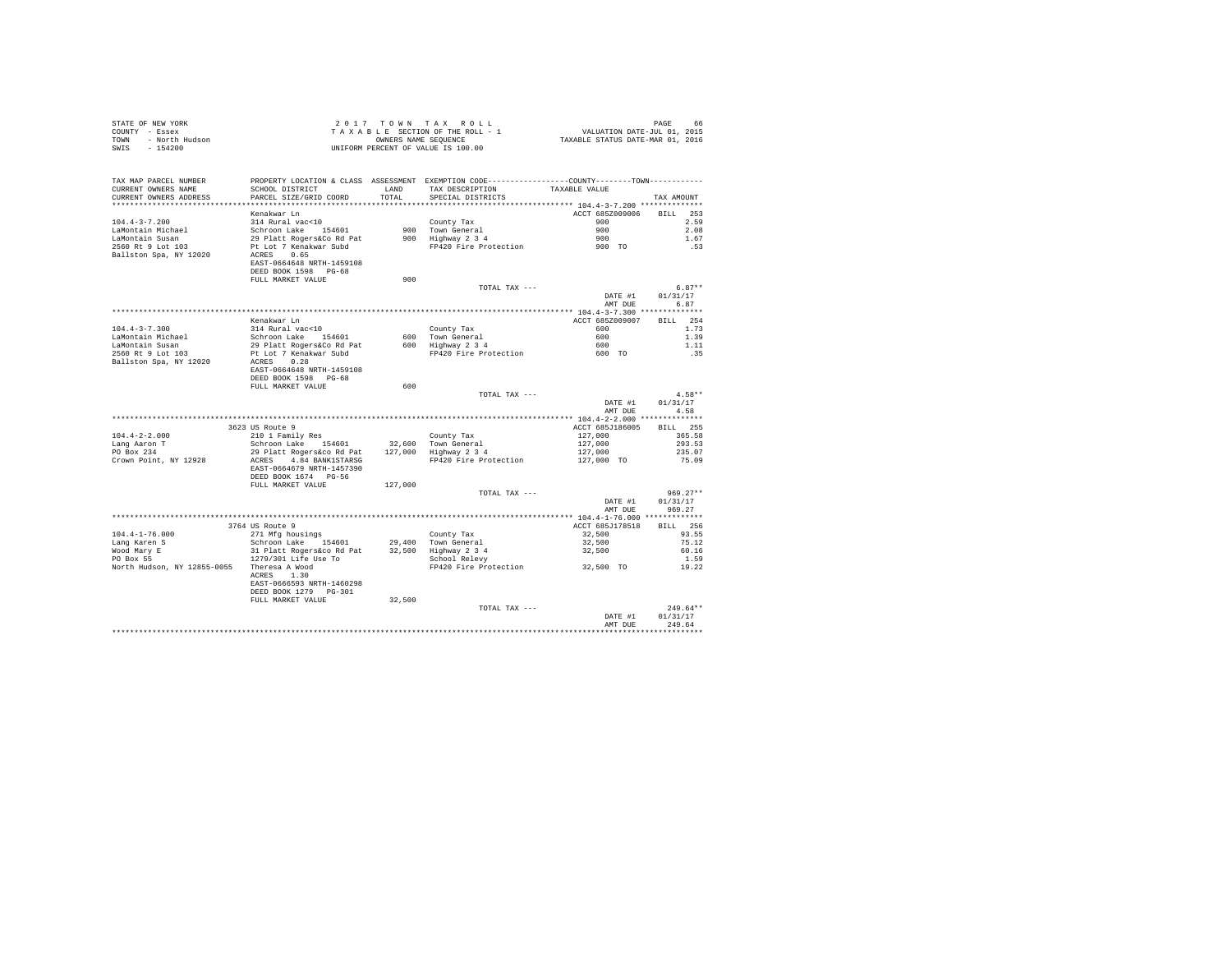| STATE OF NEW YORK<br>COUNTY - Essex<br>TOWN - North Hudson<br>***^^^                                                                                                                                                                                                                         |                                                   |         | 2017 TOWN TAX ROLL<br>UNIFORM PERCENT OF VALUE IS 100.00                                    |                          | PAGE                             |
|----------------------------------------------------------------------------------------------------------------------------------------------------------------------------------------------------------------------------------------------------------------------------------------------|---------------------------------------------------|---------|---------------------------------------------------------------------------------------------|--------------------------|----------------------------------|
| TAX MAP PARCEL NUMBER PROPERTY LOCATION & CLASS ASSESSMENT EXEMPTION CODE--------------COUNTY--------TOWN----------<br>CURRENT OWNERS NAME                                                                                                                                                   |                                                   |         |                                                                                             |                          |                                  |
| CURRENT OWNERS ADDRESS                                                                                                                                                                                                                                                                       | PARCEL SIZE/GRID COORD                            | TOTAL   | SPECIAL DISTRICTS                                                                           |                          | TAX AMOUNT                       |
|                                                                                                                                                                                                                                                                                              |                                                   |         |                                                                                             |                          |                                  |
|                                                                                                                                                                                                                                                                                              | Kenakwar Ln<br>314 Rural vac<10                   |         |                                                                                             | ACCT 685Z009006 BILL 253 | 2.59                             |
|                                                                                                                                                                                                                                                                                              |                                                   |         |                                                                                             |                          | 2.08                             |
| 104.4-3-7.200<br>LaMontain Michael<br>LaMontain Susan<br>2560 Rt 9 Lot 103                                                                                                                                                                                                                   |                                                   |         | County Tax 900<br>900 Town General 900<br>900 Highway 2 3 4<br>PP420 Fire Protection 900 TO |                          | 1.67                             |
|                                                                                                                                                                                                                                                                                              |                                                   |         |                                                                                             |                          | .53                              |
| $\begin{tabular}{lllllllll} \texttt{LaMontal method} & 314 Rural vac101 & 314811 & 314811 & 314811 & 314811 & 314811 & 314811 & 314811 & 314811 & 314811 & 314811 & 314811 & 314811 & 314811 & 314811 & 314811 & 314811 & 314811 & 314811 & 314811 & 314811 & 314811 & 314811 & 314811 & 31$ |                                                   |         |                                                                                             |                          |                                  |
|                                                                                                                                                                                                                                                                                              | EAST-0664648 NRTH-1459108<br>DEED BOOK 1598 PG-68 |         |                                                                                             |                          |                                  |
|                                                                                                                                                                                                                                                                                              | FULL MARKET VALUE                                 | 900     |                                                                                             |                          |                                  |
|                                                                                                                                                                                                                                                                                              |                                                   |         | TOTAL TAX ---                                                                               |                          | $6.87**$                         |
|                                                                                                                                                                                                                                                                                              |                                                   |         |                                                                                             |                          | DATE #1 01/31/17<br>AMT DUE 6.87 |
|                                                                                                                                                                                                                                                                                              |                                                   |         |                                                                                             |                          |                                  |
|                                                                                                                                                                                                                                                                                              | Kenakwar Ln                                       |         |                                                                                             | ACCT 685Z009007          | BILL 254                         |
|                                                                                                                                                                                                                                                                                              |                                                   |         |                                                                                             |                          | 1.73                             |
|                                                                                                                                                                                                                                                                                              |                                                   |         |                                                                                             |                          | 1.39                             |
|                                                                                                                                                                                                                                                                                              |                                                   |         |                                                                                             |                          | 1.11                             |
|                                                                                                                                                                                                                                                                                              |                                                   |         |                                                                                             |                          | .35                              |
|                                                                                                                                                                                                                                                                                              | EAST-0664648 NRTH-1459108                         |         |                                                                                             |                          |                                  |
|                                                                                                                                                                                                                                                                                              | DEED BOOK 1598 PG-68                              |         |                                                                                             |                          |                                  |
|                                                                                                                                                                                                                                                                                              | FULL MARKET VALUE                                 | 600     |                                                                                             |                          |                                  |
|                                                                                                                                                                                                                                                                                              |                                                   |         | TOTAL TAX ---                                                                               |                          | $4.58**$                         |
|                                                                                                                                                                                                                                                                                              |                                                   |         |                                                                                             | DATE #1                  | 01/31/17                         |
|                                                                                                                                                                                                                                                                                              |                                                   |         |                                                                                             | AMT DUE                  | 4.58                             |
|                                                                                                                                                                                                                                                                                              | 3623 US Route 9                                   |         |                                                                                             | ACCT 685J186005          | <b>BILL</b> 255                  |
| $104.4 - 2 - 2.000$                                                                                                                                                                                                                                                                          |                                                   |         |                                                                                             |                          | 365.58                           |
|                                                                                                                                                                                                                                                                                              |                                                   |         |                                                                                             |                          | 293.53                           |
| Lang Aaron T<br>PO Box 234                                                                                                                                                                                                                                                                   |                                                   |         |                                                                                             |                          | 235.07                           |
| Crown Point, NY 12928                                                                                                                                                                                                                                                                        |                                                   |         |                                                                                             |                          | 75.09                            |
|                                                                                                                                                                                                                                                                                              | EAST-0664679 NRTH-1457390                         |         |                                                                                             |                          |                                  |
|                                                                                                                                                                                                                                                                                              | DEED BOOK 1674 PG-56<br>FULL MARKET VALUE         | 127,000 |                                                                                             |                          |                                  |
|                                                                                                                                                                                                                                                                                              |                                                   |         | TOTAL TAX ---                                                                               |                          | $969.27**$                       |
|                                                                                                                                                                                                                                                                                              |                                                   |         |                                                                                             | DATE #1                  | 01/31/17                         |
|                                                                                                                                                                                                                                                                                              |                                                   |         |                                                                                             | AMT DUE                  | 969.27                           |
|                                                                                                                                                                                                                                                                                              |                                                   |         |                                                                                             |                          |                                  |
|                                                                                                                                                                                                                                                                                              | 3764 US Route 9                                   |         |                                                                                             | ACCT 685J178518 BILL 256 |                                  |
|                                                                                                                                                                                                                                                                                              |                                                   |         |                                                                                             | 32,500                   | 93.55<br>75.12                   |
|                                                                                                                                                                                                                                                                                              |                                                   |         |                                                                                             | $32,500$<br>$32,500$     | 60.16                            |
|                                                                                                                                                                                                                                                                                              |                                                   |         |                                                                                             |                          | 1.59                             |
| North Hudson, NY 12855-0055 Theresa A Wood<br>ACRES 1.30                                                                                                                                                                                                                                     |                                                   |         | FP420 Fire Protection 32,500 TO                                                             |                          | 19.22                            |
|                                                                                                                                                                                                                                                                                              | ACRES 1.30                                        |         |                                                                                             |                          |                                  |
|                                                                                                                                                                                                                                                                                              | EAST-0666593 NRTH-1460298                         |         |                                                                                             |                          |                                  |
|                                                                                                                                                                                                                                                                                              | DEED BOOK 1279    PG-301                          |         |                                                                                             |                          |                                  |
|                                                                                                                                                                                                                                                                                              | FULL MARKET VALUE                                 | 32,500  | TOTAL TAX ---                                                                               |                          | $249.64**$                       |
|                                                                                                                                                                                                                                                                                              |                                                   |         |                                                                                             |                          | DATE #1 01/31/17                 |
|                                                                                                                                                                                                                                                                                              |                                                   |         |                                                                                             | AMT DUR                  | 249.64                           |
|                                                                                                                                                                                                                                                                                              |                                                   |         |                                                                                             |                          | ***********                      |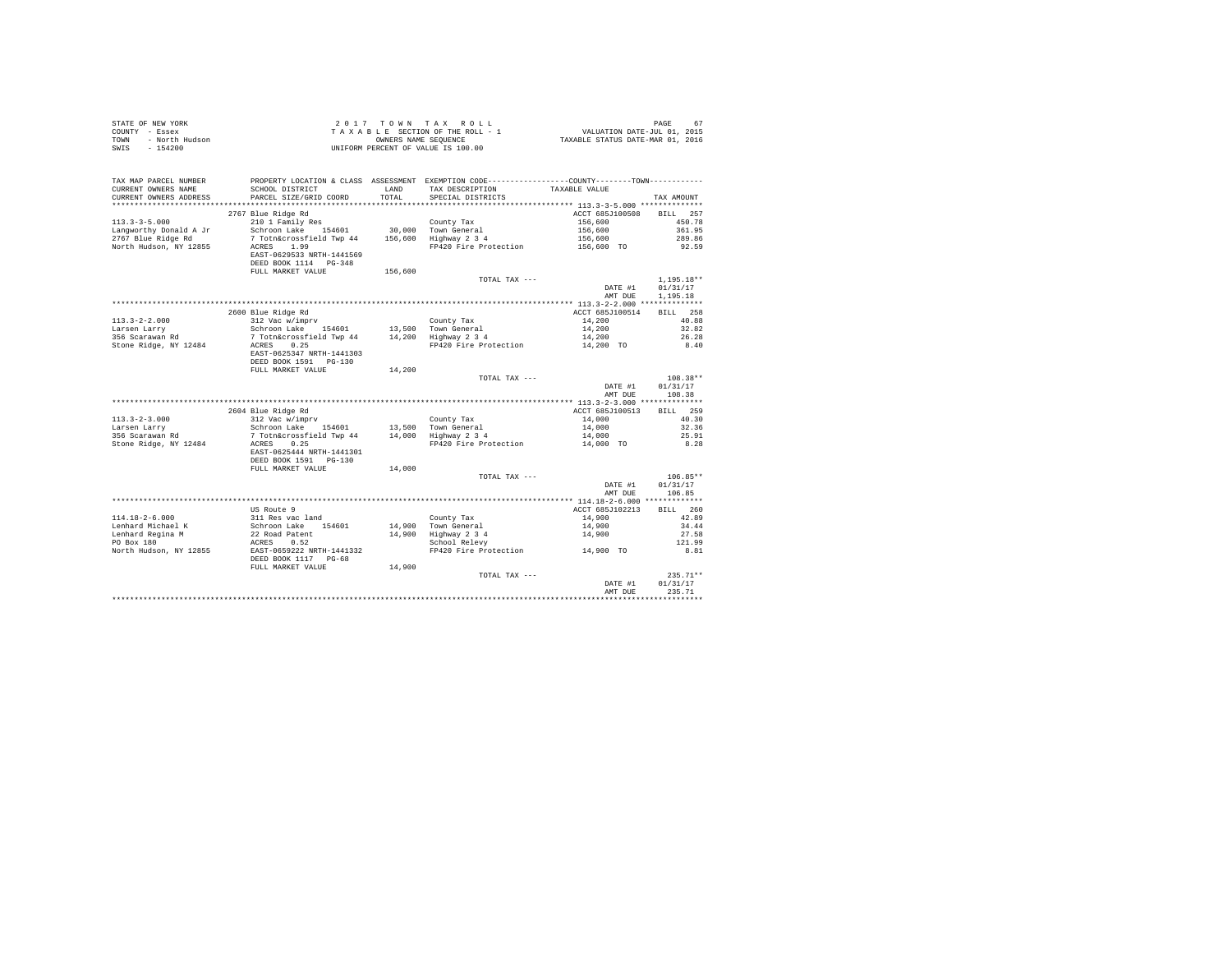| STATE OF NEW YORK<br>COUNTY - Essex<br>- North Hudson<br>TOWN<br>SWIS<br>$-154200$                                                                             |                                                                                                                      |               | 2017 TOWN TAX ROLL<br>UNIFORM PERCENT OF VALUE IS 100.00                                                                                            |                            | PAGE                 |
|----------------------------------------------------------------------------------------------------------------------------------------------------------------|----------------------------------------------------------------------------------------------------------------------|---------------|-----------------------------------------------------------------------------------------------------------------------------------------------------|----------------------------|----------------------|
| TAX MAP PARCEL NUMBER<br>CURRENT OWNERS NAME<br>CURRENT OWNERS ADDRESS                                                                                         | SCHOOL DISTRICT<br>PARCEL SIZE/GRID COORD                                                                            | LAND<br>TOTAL | PROPERTY LOCATION & CLASS ASSESSMENT EXEMPTION CODE---------------COUNTY-------TOWN----------<br>TAX DESCRIPTION TAXABLE VALUE<br>SPECIAL DISTRICTS |                            | TAX AMOUNT           |
|                                                                                                                                                                |                                                                                                                      |               |                                                                                                                                                     |                            |                      |
|                                                                                                                                                                | 2767 Blue Ridge Rd                                                                                                   |               |                                                                                                                                                     | ACCT 685J100508            | BILL 257             |
| $113.3 - 3 - 5.000$                                                                                                                                            | 210 1 Family Res                                                                                                     |               | County Tax<br>30,000 Town General                                                                                                                   | 156,600                    | 450.78               |
| Langworthy Donald A Jr                                                                                                                                         | Schroon Lake 154601                                                                                                  |               |                                                                                                                                                     | 156,600                    | 361.95               |
| 2767 Blue Ridge Rd                                                                                                                                             | $\frac{1}{2}$<br>$\frac{1}{2}$ Totn&crossfield Twp 44 156,600 Highway 2 3 4<br>$\frac{1}{2}$                         |               |                                                                                                                                                     | 156,600                    | 289.86               |
| North Hudson, NY 12855                                                                                                                                         | ACRES 1.99<br>EAST-0629533 NRTH-1441569<br>DEED BOOK 1114 PG-348                                                     |               | $FP\overline{4}20$ Fire Protection $156,600$ TO                                                                                                     |                            | 92.59                |
|                                                                                                                                                                | FULL MARKET VALUE                                                                                                    | 156,600       |                                                                                                                                                     |                            |                      |
|                                                                                                                                                                |                                                                                                                      |               | TOTAL TAX ---                                                                                                                                       |                            | $1,195.18**$         |
|                                                                                                                                                                |                                                                                                                      |               |                                                                                                                                                     | DATE #1<br>AMT DUE         | 01/31/17<br>1,195.18 |
|                                                                                                                                                                |                                                                                                                      |               |                                                                                                                                                     |                            |                      |
|                                                                                                                                                                | 2600 Blue Ridge Rd                                                                                                   |               |                                                                                                                                                     | ACCT 685J100514            | BILL 258             |
| $113.3 - 2 - 2.000$                                                                                                                                            | 312 Vac w/imprv                                                                                                      |               | County Tax                                                                                                                                          | 14,200                     | 40.88                |
|                                                                                                                                                                |                                                                                                                      |               |                                                                                                                                                     | 14,200                     | 32.82<br>26.28       |
| Extrem Larry Schroon Lake 154601 13,500 Town General<br>256 Scarawan Rd 15 7 Tothacrossfield Twp 44 14,200 Highway 2 34<br>25 Stone Ridge, NY 12484 2CRES 0.25 |                                                                                                                      |               | FP420 Fire Protection 14,200 TO                                                                                                                     | 14,200                     | 8.40                 |
|                                                                                                                                                                | EAST-0625347 NRTH-1441303<br>DEED BOOK 1591   PG-130                                                                 |               |                                                                                                                                                     |                            |                      |
|                                                                                                                                                                | FULL MARKET VALUE                                                                                                    | 14,200        |                                                                                                                                                     |                            |                      |
|                                                                                                                                                                |                                                                                                                      |               | TOTAL TAX ---                                                                                                                                       |                            | $108.38**$           |
|                                                                                                                                                                |                                                                                                                      |               |                                                                                                                                                     | DATE #1<br>AMT DUE         | 01/31/17<br>108.38   |
|                                                                                                                                                                |                                                                                                                      |               |                                                                                                                                                     |                            | BILL 259             |
| $113.3 - 2 - 3.000$                                                                                                                                            | 2604 Blue Ridge Rd<br>312 Vac w/imprv<br>Schroon Lake 154601<br>2 Troon Lake 113 Trouble                             |               | County Tax                                                                                                                                          | ACCT 685J100513<br>14,000  | 40.30                |
| Larsen Larry                                                                                                                                                   |                                                                                                                      |               |                                                                                                                                                     | 14,000                     | 32.36                |
| narsen narry<br>356 Scarawan Rd                                                                                                                                | Schroon Lake 154601 13,500 Town General<br>7 Toth General<br>2 Toth General<br>14,000 Highway 2 3 4<br>19 Norse 0 25 |               |                                                                                                                                                     | 14,000                     | 25.91                |
| Stone Ridge, NY 12484                                                                                                                                          | ACRES 0.25                                                                                                           |               | FP420 Fire Protection 14,000 TO                                                                                                                     |                            | 8.28                 |
|                                                                                                                                                                | EAST-0625444 NRTH-1441301<br>DEED BOOK 1591   PG-130                                                                 |               |                                                                                                                                                     |                            |                      |
|                                                                                                                                                                | FULL MARKET VALUE                                                                                                    | 14,000        |                                                                                                                                                     |                            |                      |
|                                                                                                                                                                |                                                                                                                      |               | TOTAL TAX ---                                                                                                                                       |                            | $106.85**$           |
|                                                                                                                                                                |                                                                                                                      |               |                                                                                                                                                     | DATE #1<br>AMT DUE         | 01/31/17<br>106.85   |
|                                                                                                                                                                | US Route 9                                                                                                           |               |                                                                                                                                                     | ACCT 685J102213            | BILL 260             |
|                                                                                                                                                                |                                                                                                                      |               |                                                                                                                                                     |                            | 42.89                |
|                                                                                                                                                                |                                                                                                                      |               | County Tax<br>14,900 Town General<br>14,900 Highway 2 3 4<br>School Relevy                                                                          | 14,900<br>14,900<br>14,900 | 34.44                |
|                                                                                                                                                                |                                                                                                                      |               |                                                                                                                                                     |                            | 27.58                |
|                                                                                                                                                                |                                                                                                                      |               |                                                                                                                                                     |                            | 121.99               |
| North Hudson, NY 12855                                                                                                                                         | ACRES 0.52<br>EAST-0659222 NRTH-1441332<br>DEED BOOK 1117 PG-68                                                      |               | FP420 Fire Protection 14,900 TO                                                                                                                     |                            | 8.81                 |
|                                                                                                                                                                | FULL MARKET VALUE                                                                                                    | 14,900        |                                                                                                                                                     |                            |                      |
|                                                                                                                                                                |                                                                                                                      |               | TOTAL TAX ---                                                                                                                                       |                            | $235.71**$           |
|                                                                                                                                                                |                                                                                                                      |               |                                                                                                                                                     | DATE #1<br>AMT DUE         | 01/31/17<br>235.71   |
|                                                                                                                                                                |                                                                                                                      |               |                                                                                                                                                     |                            |                      |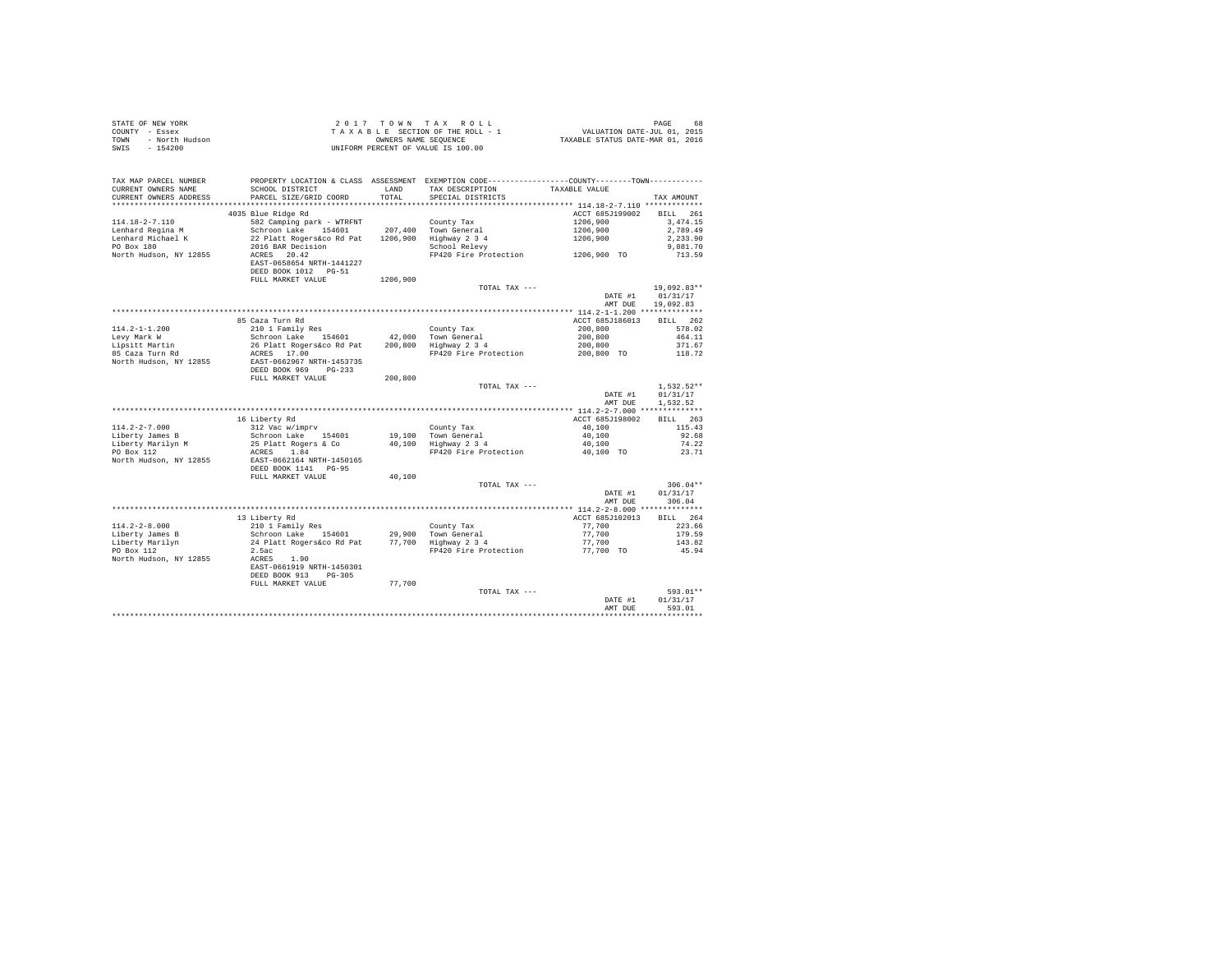| STATE OF NEW YORK      | 2017 TOWN TAX ROLL                 | 68<br>PAGE                       |
|------------------------|------------------------------------|----------------------------------|
| COUNTY - Essex         | TAXABLE SECTION OF THE ROLL - 1    | VALUATION DATE-JUL 01, 2015      |
| TOWN<br>- North Hudson | OWNERS NAME SEOUENCE               | TAXABLE STATUS DATE-MAR 01, 2016 |
| $-154200$<br>SWIS      | UNIFORM PERCENT OF VALUE IS 100.00 |                                  |

| TAX MAP PARCEL NUMBER<br>CURRENT OWNERS NAME   | SCHOOL DISTRICT                                                  | LAND     | PROPERTY LOCATION & CLASS ASSESSMENT EXEMPTION CODE---------------COUNTY-------TOWN---------<br>TAX DESCRIPTION | TAXABLE VALUE   |                    |
|------------------------------------------------|------------------------------------------------------------------|----------|-----------------------------------------------------------------------------------------------------------------|-----------------|--------------------|
| CURRENT OWNERS ADDRESS<br>******************** | PARCEL SIZE/GRID COORD<br>*************************              | TOTAL    | SPECIAL DISTRICTS                                                                                               |                 | TAX AMOUNT         |
|                                                |                                                                  |          |                                                                                                                 | ACCT 685J199002 | <b>BILL</b><br>261 |
|                                                | 4035 Blue Ridge Rd                                               |          |                                                                                                                 |                 |                    |
| $114.18 - 2 - 7.110$                           | 582 Camping park - WTRFNT                                        |          | County Tax                                                                                                      | 1206,900        | 3, 474.15          |
| Lenhard Regina M                               | Schroon Lake<br>154601                                           |          | 207,400 Town General                                                                                            | 1206,900        | 2.789.49           |
| Lenhard Michael K                              | 22 Platt Rogers&co Rd Pat                                        | 1206,900 | Highway 2 3 4                                                                                                   | 1206,900        | 2.233.90           |
| PO Box 180                                     | 2016 BAR Decision                                                |          | School Relevy                                                                                                   |                 | 9,881.70           |
| North Hudson, NY 12855                         | ACRES 20.42<br>EAST-0658654 NRTH-1441227<br>DEED BOOK 1012 PG-51 |          | FP420 Fire Protection                                                                                           | 1206,900 TO     | 713.59             |
|                                                | FULL MARKET VALUE                                                | 1206,900 |                                                                                                                 |                 |                    |
|                                                |                                                                  |          | TOTAL TAX ---                                                                                                   |                 | 19,092.83**        |
|                                                |                                                                  |          |                                                                                                                 | DATE #1         | 01/31/17           |
|                                                |                                                                  |          |                                                                                                                 | AMT DUE         | 19,092.83          |
|                                                |                                                                  |          |                                                                                                                 |                 |                    |
|                                                | 85 Caza Turn Rd                                                  |          |                                                                                                                 | ACCT 685J186013 | 262<br><b>BILL</b> |
| $114.2 - 1 - 1.200$                            | 210 1 Family Res                                                 |          | County Tax                                                                                                      | 200,800         | 578.02             |
| Levy Mark W                                    | Schroon Lake 154601                                              |          | 42.000 Town General                                                                                             | 200,800         | 464.11             |
| Lipsitt Martin                                 | 26 Platt Rogers&co Rd Pat                                        |          | 200,800 Highway 2 3 4                                                                                           | 200,800         | 371.67             |
| 85 Caza Turn Rd                                | ACRES 17.00                                                      |          | FP420 Fire Protection                                                                                           | 200,800 TO      | 118.72             |
| North Hudson, NY 12855                         | EAST-0662967 NRTH-1453735                                        |          |                                                                                                                 |                 |                    |
|                                                | DEED BOOK 969<br>$PG-233$                                        |          |                                                                                                                 |                 |                    |
|                                                | FULL MARKET VALUE                                                | 200,800  |                                                                                                                 |                 |                    |
|                                                |                                                                  |          | TOTAL TAX ---                                                                                                   |                 | $1,532.52**$       |
|                                                |                                                                  |          |                                                                                                                 | DATE #1         | 01/31/17           |
|                                                |                                                                  |          |                                                                                                                 | AMT DUE         | 1.532.52           |
|                                                |                                                                  |          |                                                                                                                 |                 |                    |
|                                                | 16 Liberty Rd                                                    |          |                                                                                                                 | ACCT 685J198002 | BILL 263           |
| $114.2 - 2 - 7.000$                            | 312 Vac w/imprv                                                  |          | County Tax                                                                                                      | 40,100          | 115.43             |
| Liberty James B                                | Schroon Lake 154601                                              |          | 19,100 Town General                                                                                             | 40,100          | 92.68              |
| Liberty Marilyn M                              | 25 Platt Rogers & Co                                             | 40,100   | Highway 2 3 4                                                                                                   | 40,100          | 74.22              |
| PO Box 112                                     | ACRES<br>1.84                                                    |          | FP420 Fire Protection                                                                                           | 40,100 TO       | 23.71              |
| North Hudson, NY 12855                         | EAST-0662164 NRTH-1450165<br>DEED BOOK 1141 PG-95                |          |                                                                                                                 |                 |                    |
|                                                | FULL MARKET VALUE                                                | 40,100   |                                                                                                                 |                 |                    |
|                                                |                                                                  |          | TOTAL TAX ---                                                                                                   |                 | $306.04**$         |
|                                                |                                                                  |          |                                                                                                                 | DATE #1         | 01/31/17           |
|                                                |                                                                  |          |                                                                                                                 | AMT DUE         | 306.04             |
|                                                |                                                                  |          |                                                                                                                 |                 |                    |
|                                                | 13 Liberty Rd                                                    |          |                                                                                                                 | ACCT 685J102013 | BILL 264           |
| $114.2 - 2 - 8.000$                            | 210 1 Family Res                                                 |          | County Tax                                                                                                      | 77,700          | 223.66             |
| Liberty James B                                | Schroon Lake<br>154601                                           |          | 29,900 Town General                                                                                             | 77,700          | 179.59             |
| Liberty Marilyn                                | 24 Platt Rogers&co Rd Pat                                        |          | 77,700 Highway 2 3 4                                                                                            | 77,700          | 143.82             |
| PO Box 112                                     | 2.5ac                                                            |          | FP420 Fire Protection                                                                                           | 77,700 TO       | 45.94              |
| North Hudson, NY 12855                         | 1.90<br>ACRES                                                    |          |                                                                                                                 |                 |                    |
|                                                | EAST-0661919 NRTH-1450301                                        |          |                                                                                                                 |                 |                    |
|                                                | DEED BOOK 913<br>$PG-305$                                        |          |                                                                                                                 |                 |                    |
|                                                | FULL MARKET VALUE                                                | 77,700   |                                                                                                                 |                 |                    |
|                                                |                                                                  |          | TOTAL TAX ---                                                                                                   |                 | 593.01**           |
|                                                |                                                                  |          |                                                                                                                 | DATE #1         | 01/31/17           |
|                                                |                                                                  |          |                                                                                                                 | AMT DUE         | 593.01             |
|                                                |                                                                  |          |                                                                                                                 |                 |                    |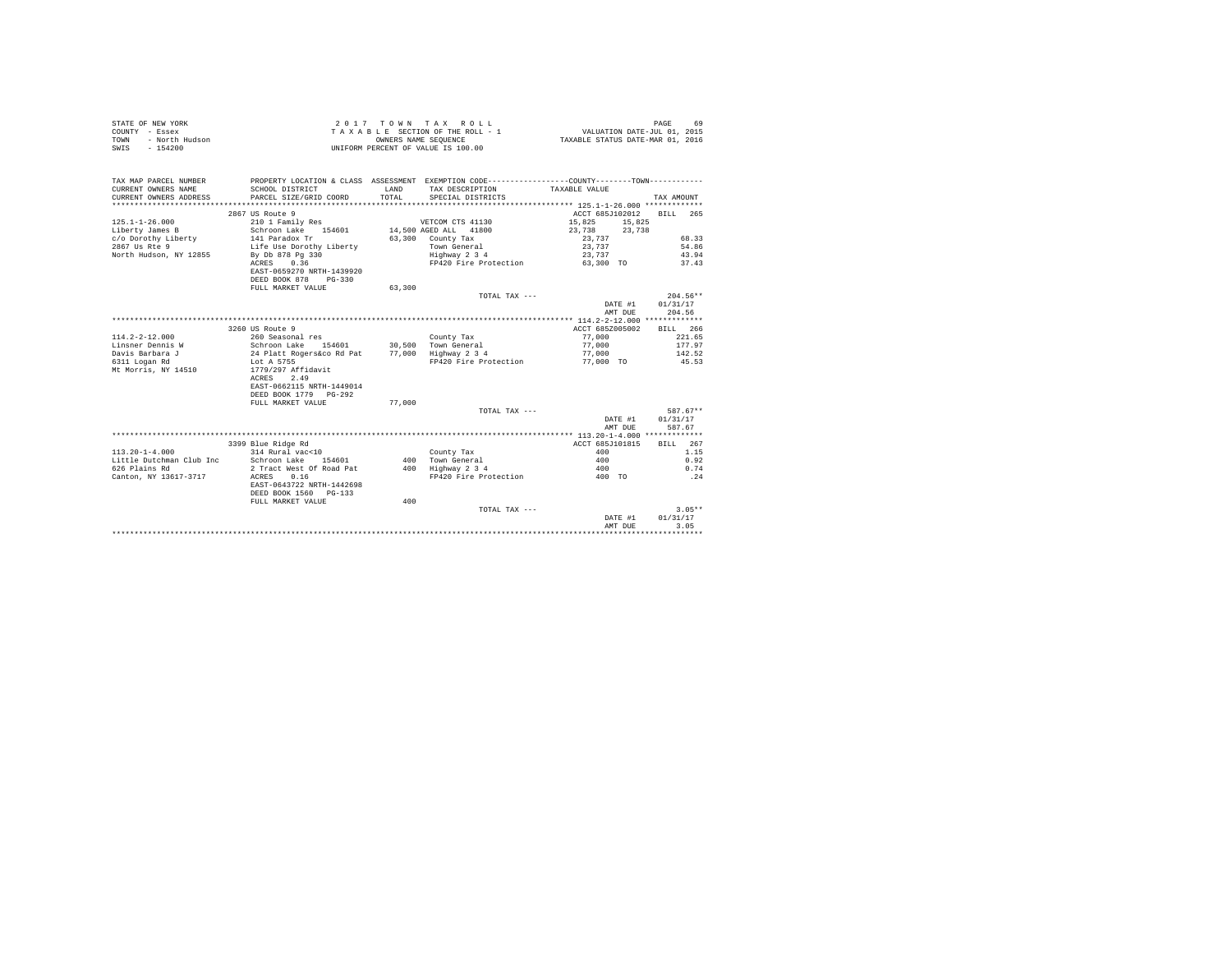|                | STATE OF NEW YORK |  |  |  | $2.017$ TOWN TAX ROLL              |  |  |  |  |                                  |                             |  | PAGE | 69 |
|----------------|-------------------|--|--|--|------------------------------------|--|--|--|--|----------------------------------|-----------------------------|--|------|----|
| COUNTY - Essex |                   |  |  |  | TAXABLE SECTION OF THE ROLL - 1    |  |  |  |  |                                  | VALUATION DATE-JUL 01, 2015 |  |      |    |
| TOWN           | - North Hudson    |  |  |  | OWNERS NAME SEOUENCE               |  |  |  |  | TAXABLE STATUS DATE-MAR 01, 2016 |                             |  |      |    |
| SWIS           | - 154200          |  |  |  | UNIFORM PERCENT OF VALUE IS 100.00 |  |  |  |  |                                  |                             |  |      |    |

| TAX MAP PARCEL NUMBER<br>CURRENT OWNERS NAME<br>CURRENT OWNERS ADDRESS | PROPERTY LOCATION & CLASS ASSESSMENT EXEMPTION CODE---------------COUNTY-------TOWN----------<br>SCHOOL DISTRICT<br>PARCEL SIZE/GRID COORD | LAND<br>TOTAL | TAX DESCRIPTION<br>SPECIAL DISTRICTS | TAXABLE VALUE   | TAX AMOUNT |
|------------------------------------------------------------------------|--------------------------------------------------------------------------------------------------------------------------------------------|---------------|--------------------------------------|-----------------|------------|
|                                                                        |                                                                                                                                            |               |                                      |                 |            |
|                                                                        | 2867 US Route 9                                                                                                                            |               |                                      | ACCT 685J102012 | BILL 265   |
| $125.1 - 1 - 26.000$                                                   | 210 1 Family Res                                                                                                                           |               | VETCOM CTS 41130                     | 15,825 15,825   |            |
| Liberty James B                                                        | Schroon Lake 154601 14,500 AGED ALL 41800                                                                                                  |               |                                      | 23.738 23.738   |            |
| c/o Dorothy Liberty                                                    |                                                                                                                                            |               | 63,300 County Tax                    | 23,737          | 68.33      |
| 2867 Us Rte 9                                                          | 141 Paradox Tr<br>Life Use Dorothy Liberty                                                                                                 |               | Town General                         | 23,737          | 54.86      |
| North Hudson, NY 12855                                                 | By Db 878 Pg 330                                                                                                                           |               | Highway 2 3 4                        | 23,737          | 43.94      |
|                                                                        | ACRES 0.36                                                                                                                                 |               | FP420 Fire Protection                | 63,300 TO       | 37.43      |
|                                                                        | EAST-0659270 NRTH-1439920                                                                                                                  |               |                                      |                 |            |
|                                                                        | DEED BOOK 878<br>$PG-330$                                                                                                                  |               |                                      |                 |            |
|                                                                        | FULL MARKET VALUE                                                                                                                          | 63,300        |                                      |                 |            |
|                                                                        |                                                                                                                                            |               | TOTAL TAX ---                        |                 | $204.56**$ |
|                                                                        |                                                                                                                                            |               |                                      | DATE #1         | 01/31/17   |
|                                                                        |                                                                                                                                            |               |                                      | AMT DUE         | 204.56     |
|                                                                        |                                                                                                                                            |               |                                      |                 |            |
|                                                                        | 3260 US Route 9                                                                                                                            |               |                                      | ACCT 685Z005002 | BILL 266   |
| $114.2 - 2 - 12.000$                                                   | 260 Seasonal res                                                                                                                           |               | County Tax                           | 77,000          | 221.65     |
| Linsner Dennis W                                                       |                                                                                                                                            |               |                                      | 77,000          | 177.97     |
| Davis Barbara J                                                        | Schroon Lake 154601 30,500 Town General<br>24 Platt Rogers&co Rd Pat 77,000 Highway 2 3 4                                                  |               |                                      | 77,000          | 142.52     |
| 6311 Logan Rd                                                          | Lot A 5755                                                                                                                                 |               | FP420 Fire Protection                | 77,000 TO       | 45.53      |
| Mt Morris, NY 14510                                                    | 1779/297 Affidavit                                                                                                                         |               |                                      |                 |            |
|                                                                        | ACRES<br>2.49                                                                                                                              |               |                                      |                 |            |
|                                                                        | EAST-0662115 NRTH-1449014                                                                                                                  |               |                                      |                 |            |
|                                                                        | DEED BOOK 1779 PG-292                                                                                                                      |               |                                      |                 |            |
|                                                                        | FULL MARKET VALUE                                                                                                                          | 77,000        |                                      |                 |            |
|                                                                        |                                                                                                                                            |               | TOTAL TAX ---                        |                 | 587.67**   |
|                                                                        |                                                                                                                                            |               |                                      | DATE #1         | 01/31/17   |
|                                                                        |                                                                                                                                            |               |                                      | AMT DUE         | 587.67     |
|                                                                        |                                                                                                                                            |               |                                      |                 |            |
|                                                                        | 3399 Blue Ridge Rd                                                                                                                         |               |                                      | ACCT 685J101815 | BILL 267   |
| $113.20 - 1 - 4.000$                                                   | 314 Rural vac<10                                                                                                                           |               | County Tax                           | 400             | 1.15       |
| Little Dutchman Club Inc                                               | Schroon Lake 154601                                                                                                                        |               | 400 Town General                     | 400             | 0.92       |
| 626 Plains Rd                                                          | 2 Tract West Of Road Pat                                                                                                                   |               | 400 Highway 2 3 4                    | 400             | 0.74       |
| Canton, NY 13617-3717                                                  | ACRES 0.16                                                                                                                                 |               | FP420 Fire Protection                | 400 TO          | .24        |
|                                                                        | EAST-0643722 NRTH-1442698                                                                                                                  |               |                                      |                 |            |
|                                                                        | DEED BOOK 1560 PG-133                                                                                                                      |               |                                      |                 |            |
|                                                                        | FULL MARKET VALUE                                                                                                                          | 400           |                                      |                 |            |
|                                                                        |                                                                                                                                            |               | TOTAL TAX ---                        |                 | $3.05**$   |
|                                                                        |                                                                                                                                            |               |                                      | DATE #1         | 01/31/17   |
|                                                                        |                                                                                                                                            |               |                                      | AMT DUE         | 3.05       |
|                                                                        |                                                                                                                                            |               |                                      |                 |            |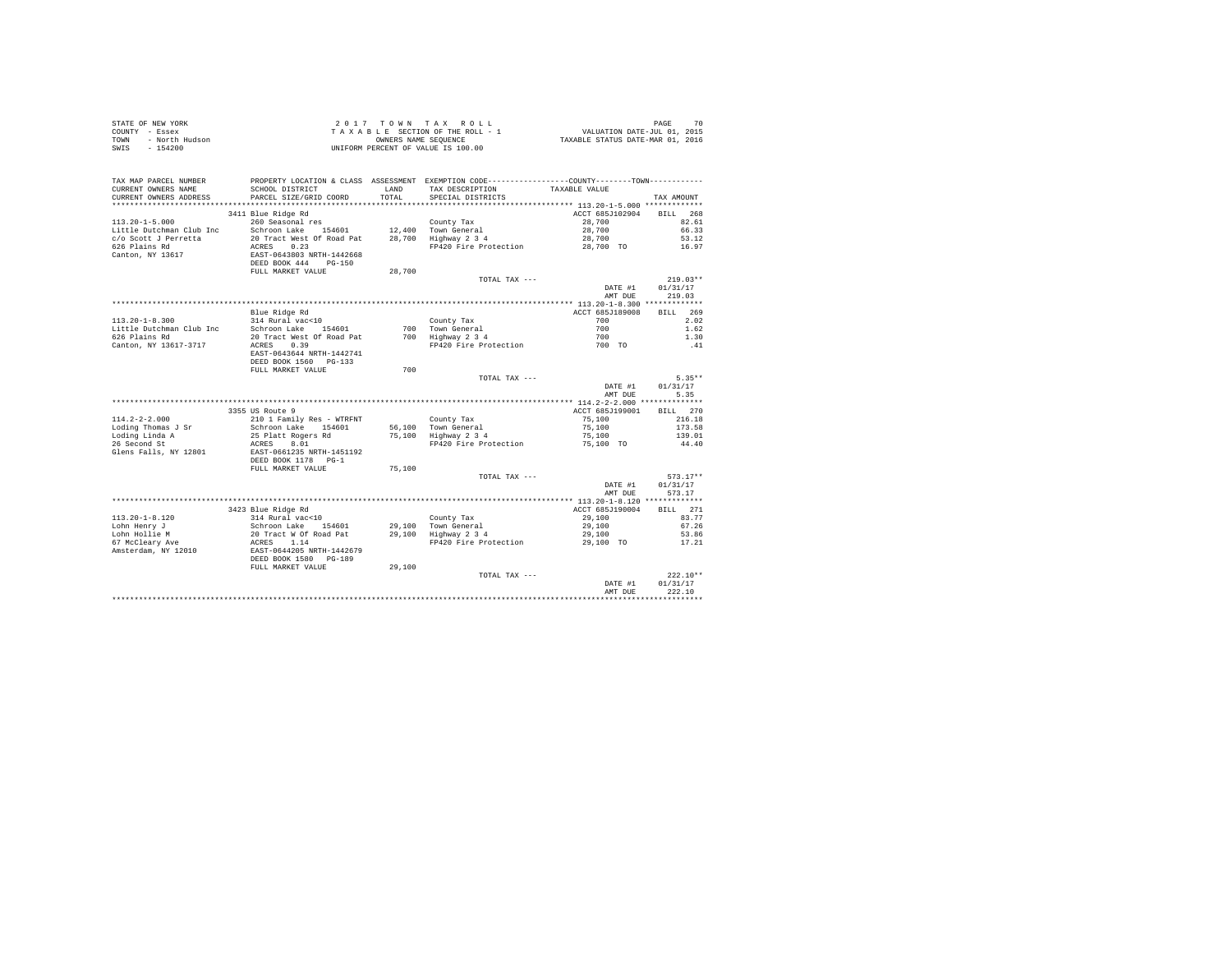| STATE OF NEW YORK      | 2017 TOWN TAX ROLL                 | 70<br>PAGE                       |
|------------------------|------------------------------------|----------------------------------|
| COUNTY - Essex         | TAXABLE SECTION OF THE ROLL - 1    | VALUATION DATE-JUL 01, 2015      |
| - North Hudson<br>TOWN | OWNERS NAME SEOUENCE               | TAXABLE STATUS DATE-MAR 01, 2016 |
| SWIS<br>- 154200       | UNIFORM PERCENT OF VALUE IS 100.00 |                                  |
|                        |                                    |                                  |

| TAX MAP PARCEL NUMBER<br>CURRENT OWNERS NAME | SCHOOL DISTRICT                               |               | PROPERTY LOCATION & CLASS ASSESSMENT EXEMPTION CODE---------------COUNTY-------TOWN---------- |                 |                    |
|----------------------------------------------|-----------------------------------------------|---------------|-----------------------------------------------------------------------------------------------|-----------------|--------------------|
| CURRENT OWNERS ADDRESS                       | PARCEL SIZE/GRID COORD                        | LAND<br>TOTAL | TAX DESCRIPTION<br>SPECIAL DISTRICTS                                                          | TAXABLE VALUE   |                    |
| ************************                     |                                               |               |                                                                                               |                 | TAX AMOUNT         |
|                                              |                                               |               |                                                                                               |                 |                    |
|                                              | 3411 Blue Ridge Rd                            |               |                                                                                               | ACCT 685J102904 | 268<br><b>BILL</b> |
| $113.20 - 1 - 5.000$                         | 260 Seasonal res                              |               | County Tax                                                                                    | 28,700          | 82.61              |
| Little Dutchman Club Inc                     | Schroon Lake<br>154601                        |               | 12,400 Town General                                                                           | 28,700          | 66.33              |
| c/o Scott J Perretta                         | 20 Tract West Of Road Pat                     |               | 28,700 Highway 2 3 4                                                                          | 28,700          | 53.12              |
| 626 Plains Rd                                | ACRES<br>0.23                                 |               | FP420 Fire Protection                                                                         | 28,700 TO       | 16.97              |
| Canton, NY 13617                             | EAST-0643803 NRTH-1442668                     |               |                                                                                               |                 |                    |
|                                              | DEED BOOK 444<br>$PG-150$                     |               |                                                                                               |                 |                    |
|                                              | FULL MARKET VALUE                             | 28,700        |                                                                                               |                 |                    |
|                                              |                                               |               | TOTAL TAX ---                                                                                 |                 | $219.03**$         |
|                                              |                                               |               |                                                                                               | DATE #1         | 01/31/17           |
|                                              |                                               |               |                                                                                               | AMT DUE         | 219.03             |
|                                              |                                               |               |                                                                                               |                 |                    |
|                                              | Blue Ridge Rd                                 |               |                                                                                               | ACCT 685J189008 | BILL 269           |
| $113.20 - 1 - 8.300$                         | 314 Rural vac<10                              |               | County Tax                                                                                    | 700             | 2.02               |
| Little Dutchman Club Inc                     | Schroon Lake 154601                           |               | 700 Town General                                                                              | 700             | 1.62               |
| 626 Plains Rd                                | 20 Tract West Of Road Pat                     |               | 700 Highway 2 3 4                                                                             | 700             | 1.30               |
| Canton, NY 13617-3717                        | 0.39<br>ACRES                                 |               | FP420 Fire Protection                                                                         | 700 TO          | .41                |
|                                              | EAST-0643644 NRTH-1442741                     |               |                                                                                               |                 |                    |
|                                              | DEED BOOK 1560 PG-133                         |               |                                                                                               |                 |                    |
|                                              | FULL MARKET VALUE                             | 700           |                                                                                               |                 |                    |
|                                              |                                               |               | TOTAL TAX ---                                                                                 |                 | $5.35**$           |
|                                              |                                               |               |                                                                                               | DATE #1         | 01/31/17           |
|                                              |                                               |               |                                                                                               | AMT DUE         | 5.35               |
|                                              |                                               |               |                                                                                               |                 |                    |
|                                              | 3355 US Route 9                               |               |                                                                                               | ACCT 685J199001 | BILL 270           |
| $114.2 - 2 - 2.000$                          | 210 1 Family Res - WTRFNT                     |               | County Tax                                                                                    | 75,100          | 216.18             |
| Loding Thomas J Sr                           | Schroon Lake 154601                           |               | 56,100 Town General                                                                           | 75,100          | 173.58             |
| Loding Linda A                               | 25 Platt Rogers Rd                            |               | 75,100 Highway 2 3 4                                                                          | 75,100          | 139.01             |
| 26 Second St                                 | ACRES<br>8.01                                 |               | FP420 Fire Protection                                                                         | 75,100 TO       | 44.40              |
| Glens Falls, NY 12801                        | EAST-0661235 NRTH-1451192                     |               |                                                                                               |                 |                    |
|                                              | DEED BOOK 1178 PG-1                           |               |                                                                                               |                 |                    |
|                                              | FULL MARKET VALUE                             | 75,100        |                                                                                               |                 |                    |
|                                              |                                               |               | TOTAL TAX ---                                                                                 |                 | $573.17**$         |
|                                              |                                               |               |                                                                                               | DATE #1         | 01/31/17           |
|                                              |                                               |               |                                                                                               | AMT DUE         | 573.17             |
|                                              |                                               |               |                                                                                               |                 |                    |
|                                              | 3423 Blue Ridge Rd                            |               |                                                                                               | ACCT 685J190004 | BILL 271           |
| $113.20 - 1 - 8.120$                         | 314 Rural vac<10                              |               | County Tax                                                                                    | 29,100          | 83.77              |
| Lohn Henry J                                 | Schroon Lake 154601<br>20 Tract W Of Road Pat |               |                                                                                               | 29,100          | 67.26              |
| Lohn Hollie M                                |                                               |               | 29,100 Town General<br>29,100 Highway 2 3 4                                                   | 29,100          | 53.86              |
| 67 McCleary Ave                              |                                               |               | FP420 Fire Protection                                                                         | 29,100 TO       | 17.21              |
| Amsterdam, NY 12010                          | ACRES 1.14<br>EAST-0644205 NRTH-1442679       |               |                                                                                               |                 |                    |
|                                              | DEED BOOK 1580 PG-189                         |               |                                                                                               |                 |                    |
|                                              | FULL MARKET VALUE                             | 29,100        |                                                                                               |                 |                    |
|                                              |                                               |               | TOTAL TAX ---                                                                                 |                 | $222.10**$         |
|                                              |                                               |               |                                                                                               | DATE #1         | 01/31/17           |
|                                              |                                               |               |                                                                                               | AMT DUE         | 222.10             |
|                                              |                                               |               |                                                                                               |                 |                    |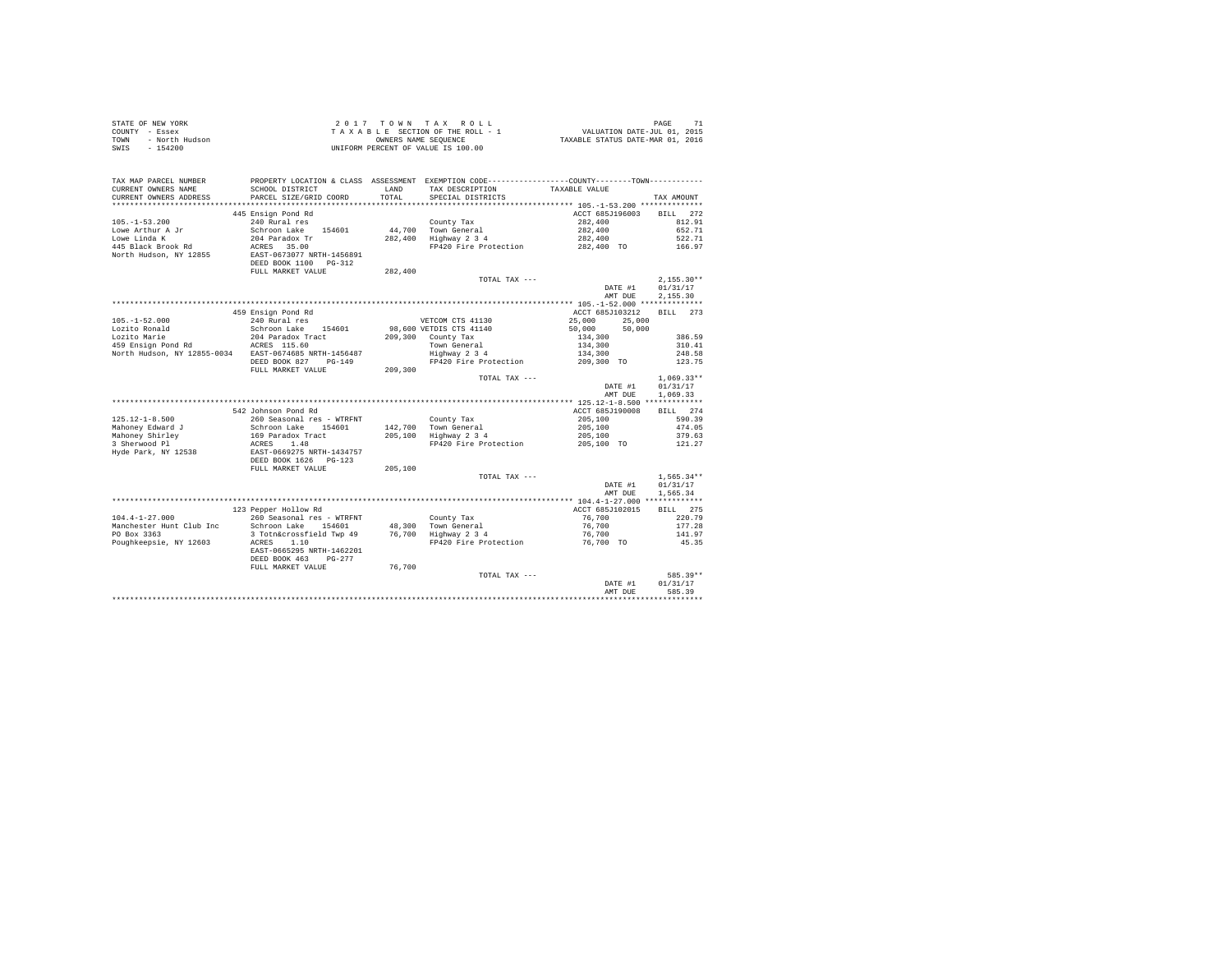| STATE OF NEW YORK<br>COUNTY - Essex<br>TOWN<br>- North Hudson<br>$-154200$<br>SWIS |                                           | OWNERS NAME SEOUENCE | 2017 TOWN TAX ROLL<br>TAXABLE SECTION OF THE ROLL - 1<br>UNIFORM PERCENT OF VALUE IS 100.00                                           | 71 PAGE<br>711. VALUATION DATE-JUL 01, 2015<br>712. TAXABLE STATUS DATE-MAR 01 | PAGE<br>71      |
|------------------------------------------------------------------------------------|-------------------------------------------|----------------------|---------------------------------------------------------------------------------------------------------------------------------------|--------------------------------------------------------------------------------|-----------------|
| TAX MAP PARCEL NUMBER<br>CURRENT OWNERS NAME<br>CURRENT OWNERS ADDRESS             | SCHOOL DISTRICT<br>PARCEL SIZE/GRID COORD | LAND<br>TOTAL        | PROPERTY LOCATION & CLASS ASSESSMENT EXEMPTION CODE---------------COUNTY-------TOWN----------<br>TAX DESCRIPTION<br>SPECIAL DISTRICTS | TAXABLE VALUE                                                                  | TAX AMOUNT      |
|                                                                                    |                                           |                      |                                                                                                                                       |                                                                                |                 |
|                                                                                    | 445 Ensign Pond Rd                        |                      |                                                                                                                                       | ACCT 685J196003                                                                | BILL 272        |
| $105. - 1 - 53.200$                                                                | 240 Rural res                             |                      | County Tax                                                                                                                            | 282,400                                                                        | 812.91          |
| Lowe Arthur A Jr                                                                   | Schroon Lake<br>154601                    |                      | 44,700 Town General                                                                                                                   | 282,400                                                                        | 652.71          |
| Lowe Linda K                                                                       | 204 Paradox Tr                            |                      | 282,400 Highway 2 3 4                                                                                                                 | 282,400                                                                        | 522.71          |
| 445 Black Brook Rd                                                                 | ACRES 35.00                               |                      | FP420 Fire Protection                                                                                                                 | 282,400 TO                                                                     | 166.97          |
| North Hudson, NY 12855                                                             | EAST-0673077 NRTH-1456891                 |                      |                                                                                                                                       |                                                                                |                 |
|                                                                                    | DEED BOOK 1100 PG-312                     |                      |                                                                                                                                       |                                                                                |                 |
|                                                                                    | FULL MARKET VALUE                         | 282,400              |                                                                                                                                       |                                                                                |                 |
|                                                                                    |                                           |                      | TOTAL TAX ---                                                                                                                         |                                                                                | $2.155.30**$    |
|                                                                                    |                                           |                      |                                                                                                                                       | DATE #1                                                                        | 01/31/17        |
|                                                                                    |                                           |                      |                                                                                                                                       | AMT DUE                                                                        | 2.155.30        |
|                                                                                    |                                           |                      |                                                                                                                                       |                                                                                |                 |
|                                                                                    | 459 Ensign Pond Rd                        |                      |                                                                                                                                       | ACCT 685J103212                                                                | BTLL 273        |
| $105. - 1 - 52.000$                                                                | 240 Rural res                             |                      | VETCOM CTS 41130                                                                                                                      | 25,000<br>25,000                                                               |                 |
| Lozito Ronald                                                                      | Schroon Lake 154601                       |                      | 98,600 VETDIS CTS 41140                                                                                                               | 50,000<br>50,000                                                               |                 |
| Lozito Marie                                                                       | 204 Paradox Tract                         |                      | 209,300 County Tax                                                                                                                    | 134,300                                                                        | 386.59          |
| 459 Ensign Pond Rd ACRES 115.60                                                    |                                           |                      | Town General                                                                                                                          | 134,300                                                                        | 310.41          |
| North Hudson, NY 12855-0034 EAST-0674685 NRTH-1456487                              |                                           |                      | Highway 2 3 4                                                                                                                         | 134,300                                                                        | 248.58          |
|                                                                                    | DEED BOOK 827 PG-149                      |                      | FP420 Fire Protection                                                                                                                 | 209,300 TO                                                                     | 123.75          |
|                                                                                    | FULL MARKET VALUE                         | 209,300              | TOTAL TAX ---                                                                                                                         |                                                                                | $1.069.33**$    |
|                                                                                    |                                           |                      |                                                                                                                                       | DATE #1                                                                        | 01/31/17        |
|                                                                                    |                                           |                      |                                                                                                                                       | AMT DUE                                                                        | 1,069.33        |
|                                                                                    |                                           |                      |                                                                                                                                       |                                                                                |                 |
|                                                                                    | 542 Johnson Pond Rd                       |                      |                                                                                                                                       | ACCT 685J190008                                                                | BILL 274        |
| $125.12 - 1 - 8.500$                                                               | 260 Seasonal res - WTRFNT                 |                      | County Tax                                                                                                                            | 205,100                                                                        | 590.39          |
| Mahoney Edward J                                                                   | Schroon Lake 154601                       |                      | 142.700 Town General                                                                                                                  | 205,100                                                                        | 474.05          |
| Mahoney Shirley                                                                    | 169 Paradox Tract                         |                      | 205.100 Highway 2 3 4                                                                                                                 | 205,100                                                                        | 379.63          |
| 3 Sherwood Pl                                                                      | ACRES 1.48                                |                      | FP420 Fire Protection                                                                                                                 | 205,100 TO                                                                     | 121.27          |
| Hyde Park, NY 12538                                                                | EAST-0669275 NRTH-1434757                 |                      |                                                                                                                                       |                                                                                |                 |
|                                                                                    | DEED BOOK 1626    PG-123                  |                      |                                                                                                                                       |                                                                                |                 |
|                                                                                    | FULL MARKET VALUE                         | 205,100              |                                                                                                                                       |                                                                                |                 |
|                                                                                    |                                           |                      | TOTAL TAX ---                                                                                                                         |                                                                                | $1.565.34**$    |
|                                                                                    |                                           |                      |                                                                                                                                       | DATE #1                                                                        | 01/31/17        |
|                                                                                    |                                           |                      |                                                                                                                                       | AMT DUE                                                                        | 1.565.34        |
|                                                                                    |                                           |                      |                                                                                                                                       |                                                                                |                 |
|                                                                                    | 123 Pepper Hollow Rd                      |                      |                                                                                                                                       | ACCT 685J102015                                                                | BILL 275        |
| $104.4 - 1 - 27.000$                                                               | 260 Seasonal res - WTRFNT                 |                      | County Tax                                                                                                                            | 76,700                                                                         | 220.79          |
| Manchester Hunt Club Inc<br>PO Box 3363                                            | Schroon Lake 154601                       |                      | 48,300 Town General<br>76,700 Highway 2 3 4                                                                                           | 76,700                                                                         | 177.28          |
| Poughkeepsie, NY 12603                                                             | 3 Totn&crossfield Twp 49                  |                      |                                                                                                                                       | 76,700                                                                         | 141.97<br>45.35 |
|                                                                                    | ACRES 1.10<br>EAST-0665295 NRTH-1462201   |                      | FP420 Fire Protection                                                                                                                 | 76,700 TO                                                                      |                 |
|                                                                                    | DEED BOOK 463 PG-277                      |                      |                                                                                                                                       |                                                                                |                 |
|                                                                                    | FULL MARKET VALUE                         | 76,700               |                                                                                                                                       |                                                                                |                 |
|                                                                                    |                                           |                      | TOTAL TAX ---                                                                                                                         |                                                                                | 585.39**        |
|                                                                                    |                                           |                      |                                                                                                                                       | DATE #1                                                                        | 01/31/17        |
|                                                                                    |                                           |                      |                                                                                                                                       | AMT DUE                                                                        | 585.39          |
|                                                                                    |                                           |                      |                                                                                                                                       |                                                                                |                 |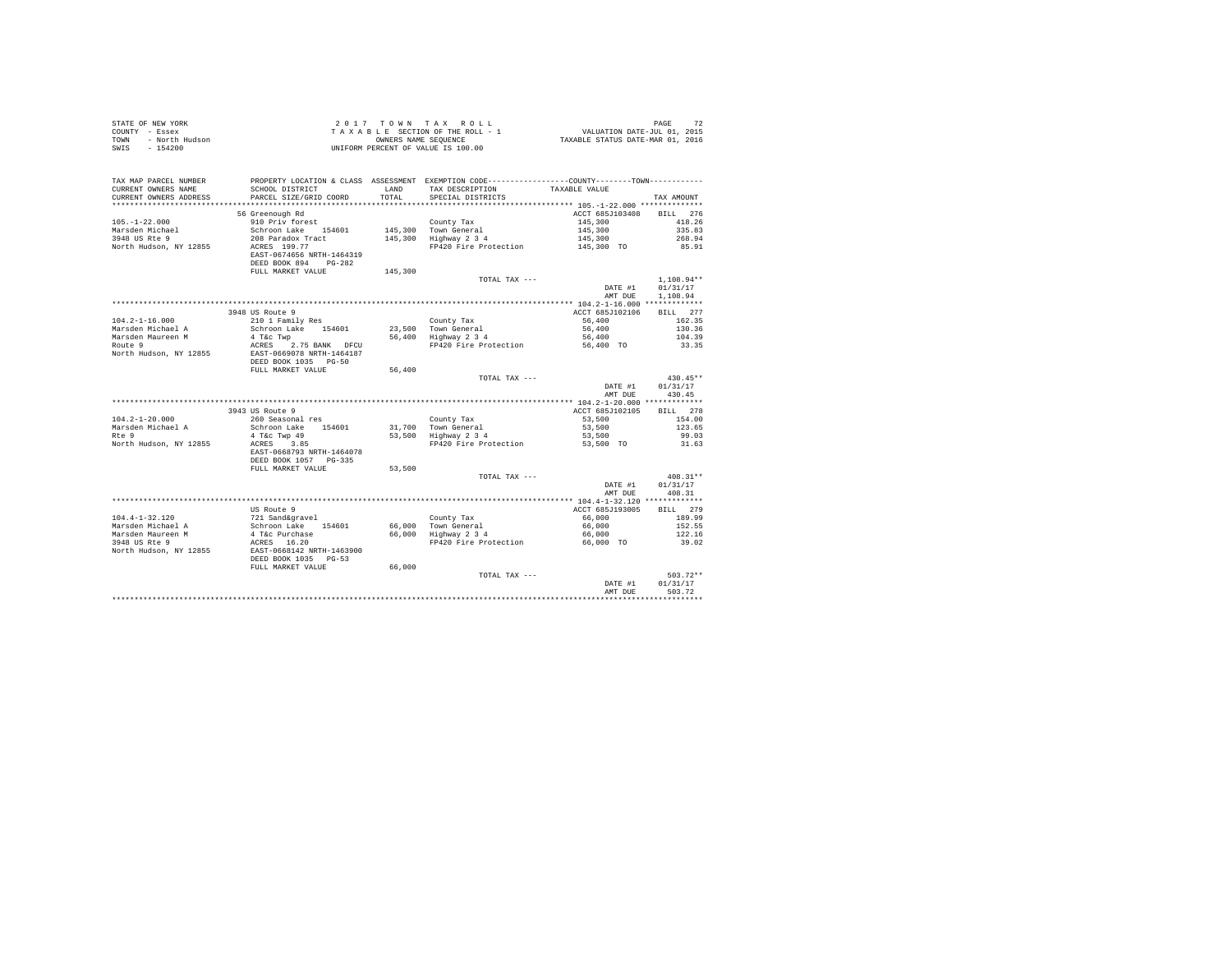| 2017 TOWN TAX ROLL<br>STATE OF NEW YORK<br>PAGE<br>$\begin{array}{lllllll} & \angle & \cup & \bot & \bot & \bot & \bot & \bot \\ & \angle & \bot & \bot & \bot & \bot & \bot & \bot \\ \end{array} \quad \begin{array}{lllllllll} & \angle & \bot & \bot & \bot & \bot & \bot \\ & \top & \lambda & \lambda & \lambda & \bot & \bot \\ & \top & \lambda & \lambda & \lambda & \bot \\ & \text{NNL12-T1ON DATE-SU NCE} & \text{NARTS DATE-MAR O1, 2015} \\ & \text{NNL22-T2 NCE} & \text{NNL33-T2 NCE} & \text{STRTUS DATE-MAR O1, 2016} \\ & \text{NNL3$<br>COUNTY - Essex<br>TOWN<br>- North Hudson<br>$-154200$<br>UNIFORM PERCENT OF VALUE IS 100.00<br>SWIS |                                           |               |                                                                                                                                         |                 |                  |  |
|-----------------------------------------------------------------------------------------------------------------------------------------------------------------------------------------------------------------------------------------------------------------------------------------------------------------------------------------------------------------------------------------------------------------------------------------------------------------------------------------------------------------------------------------------------------------------------------------------------------------------------------------------------------------|-------------------------------------------|---------------|-----------------------------------------------------------------------------------------------------------------------------------------|-----------------|------------------|--|
| TAX MAP PARCEL NUMBER<br>CURRENT OWNERS NAME<br>CURRENT OWNERS ADDRESS                                                                                                                                                                                                                                                                                                                                                                                                                                                                                                                                                                                          | SCHOOL DISTRICT<br>PARCEL SIZE/GRID COORD | LAND<br>TOTAL | PROPERTY LOCATION & CLASS ASSESSMENT EXEMPTION CODE----------------COUNTY--------TOWN----------<br>TAX DESCRIPTION<br>SPECIAL DISTRICTS | TAXABLE VALUE   | TAX AMOUNT       |  |
|                                                                                                                                                                                                                                                                                                                                                                                                                                                                                                                                                                                                                                                                 |                                           |               |                                                                                                                                         |                 |                  |  |
|                                                                                                                                                                                                                                                                                                                                                                                                                                                                                                                                                                                                                                                                 | 56 Greenough Rd                           |               |                                                                                                                                         | ACCT 685J103408 | BILL 276         |  |
| $105. - 1 - 22.000$                                                                                                                                                                                                                                                                                                                                                                                                                                                                                                                                                                                                                                             | 910 Priv forest                           |               | County Tax                                                                                                                              | 145,300         | 418.26           |  |
| Marsden Michael<br>3948 US Rte 9                                                                                                                                                                                                                                                                                                                                                                                                                                                                                                                                                                                                                                | Schroon Lake 154601                       |               | 145,300 Town General<br>145,300 Highway 2 3 4                                                                                           | 145,300         | 335.83<br>268.94 |  |
| North Hudson, NY 12855                                                                                                                                                                                                                                                                                                                                                                                                                                                                                                                                                                                                                                          | 208 Paradox Tract<br>ACRES 199.77         |               | 145,300 Highway 2 3 4<br>PP420 Fire Protection 145,300 TO                                                                               |                 | 85.91            |  |
|                                                                                                                                                                                                                                                                                                                                                                                                                                                                                                                                                                                                                                                                 | EAST-0674656 NRTH-1464319                 |               |                                                                                                                                         |                 |                  |  |
|                                                                                                                                                                                                                                                                                                                                                                                                                                                                                                                                                                                                                                                                 | DEED BOOK 894 PG-282                      |               |                                                                                                                                         |                 |                  |  |
|                                                                                                                                                                                                                                                                                                                                                                                                                                                                                                                                                                                                                                                                 | FULL MARKET VALUE                         | 145,300       |                                                                                                                                         |                 |                  |  |
|                                                                                                                                                                                                                                                                                                                                                                                                                                                                                                                                                                                                                                                                 |                                           |               | TOTAL TAX ---                                                                                                                           |                 | $1,108.94**$     |  |
|                                                                                                                                                                                                                                                                                                                                                                                                                                                                                                                                                                                                                                                                 |                                           |               |                                                                                                                                         | DATE #1         | 01/31/17         |  |
|                                                                                                                                                                                                                                                                                                                                                                                                                                                                                                                                                                                                                                                                 |                                           |               |                                                                                                                                         | AMT DUE         | 1,108.94         |  |
|                                                                                                                                                                                                                                                                                                                                                                                                                                                                                                                                                                                                                                                                 | 3948 US Route 9                           |               |                                                                                                                                         | ACCT 685J102106 | BILL 277         |  |
| $104.2 - 1 - 16.000$                                                                                                                                                                                                                                                                                                                                                                                                                                                                                                                                                                                                                                            | 210 1 Family Res                          |               | County Tax                                                                                                                              | 56,400          | 162.35           |  |
| Marsden Michael A                                                                                                                                                                                                                                                                                                                                                                                                                                                                                                                                                                                                                                               | Schroon Lake 154601                       |               |                                                                                                                                         | 56,400          | 130.36           |  |
| Marsden Maureen M<br>Route 9                                                                                                                                                                                                                                                                                                                                                                                                                                                                                                                                                                                                                                    | 4 T&C Twp                                 |               | 23,500 Town General<br>56,400 Highway 2 3 4                                                                                             | 56,400          | 104.39           |  |
|                                                                                                                                                                                                                                                                                                                                                                                                                                                                                                                                                                                                                                                                 | ACRES 2.75 BANK DFCU                      |               | FP420 Fire Protection 56,400 TO                                                                                                         |                 | 33.35            |  |
| North Hudson, NY 12855                                                                                                                                                                                                                                                                                                                                                                                                                                                                                                                                                                                                                                          | EAST-0669078 NRTH-1464187                 |               |                                                                                                                                         |                 |                  |  |
|                                                                                                                                                                                                                                                                                                                                                                                                                                                                                                                                                                                                                                                                 | DEED BOOK 1035 PG-50<br>FULL MARKET VALUE | 56,400        |                                                                                                                                         |                 |                  |  |
|                                                                                                                                                                                                                                                                                                                                                                                                                                                                                                                                                                                                                                                                 |                                           |               | TOTAL TAX ---                                                                                                                           |                 | $430.45**$       |  |
|                                                                                                                                                                                                                                                                                                                                                                                                                                                                                                                                                                                                                                                                 |                                           |               |                                                                                                                                         | DATE #1         | 01/31/17         |  |
|                                                                                                                                                                                                                                                                                                                                                                                                                                                                                                                                                                                                                                                                 |                                           |               |                                                                                                                                         | AMT DUE         | 430.45           |  |
|                                                                                                                                                                                                                                                                                                                                                                                                                                                                                                                                                                                                                                                                 |                                           |               |                                                                                                                                         |                 |                  |  |
|                                                                                                                                                                                                                                                                                                                                                                                                                                                                                                                                                                                                                                                                 | 3943 US Route 9                           |               |                                                                                                                                         | ACCT 685J102105 | BILL 278         |  |
| $104.2 - 1 - 20.000$                                                                                                                                                                                                                                                                                                                                                                                                                                                                                                                                                                                                                                            | 260 Seasonal res                          |               | County Tax                                                                                                                              | 53,500          | 154.00           |  |
| Marsden Michael A<br>Rte 9                                                                                                                                                                                                                                                                                                                                                                                                                                                                                                                                                                                                                                      | Schroon Lake 154601                       |               | 31,700 Town General<br>53,500 Highway 2 3 4                                                                                             | 53,500          | 123.65           |  |
| North Hudson, NY 12855                                                                                                                                                                                                                                                                                                                                                                                                                                                                                                                                                                                                                                          | $4$ T&C Twp $49$<br>ACRES 3.85            |               | FP420 Fire Protection 53,500 TO                                                                                                         | 53,500          | 99.03<br>31.63   |  |
|                                                                                                                                                                                                                                                                                                                                                                                                                                                                                                                                                                                                                                                                 | EAST-0668793 NRTH-1464078                 |               |                                                                                                                                         |                 |                  |  |
|                                                                                                                                                                                                                                                                                                                                                                                                                                                                                                                                                                                                                                                                 | DEED BOOK 1057 PG-335                     |               |                                                                                                                                         |                 |                  |  |
|                                                                                                                                                                                                                                                                                                                                                                                                                                                                                                                                                                                                                                                                 | FULL MARKET VALUE                         | 53,500        |                                                                                                                                         |                 |                  |  |
|                                                                                                                                                                                                                                                                                                                                                                                                                                                                                                                                                                                                                                                                 |                                           |               | TOTAL TAX ---                                                                                                                           |                 | 408.31**         |  |
|                                                                                                                                                                                                                                                                                                                                                                                                                                                                                                                                                                                                                                                                 |                                           |               |                                                                                                                                         | DATE #1         | 01/31/17         |  |
|                                                                                                                                                                                                                                                                                                                                                                                                                                                                                                                                                                                                                                                                 |                                           |               |                                                                                                                                         | AMT DUE         | 408.31           |  |
|                                                                                                                                                                                                                                                                                                                                                                                                                                                                                                                                                                                                                                                                 | US Route 9                                |               |                                                                                                                                         | ACCT 685J193005 | BILL 279         |  |
|                                                                                                                                                                                                                                                                                                                                                                                                                                                                                                                                                                                                                                                                 |                                           |               |                                                                                                                                         | 66,000          | 189.99           |  |
|                                                                                                                                                                                                                                                                                                                                                                                                                                                                                                                                                                                                                                                                 |                                           |               |                                                                                                                                         | 66,000          | 152.55           |  |
|                                                                                                                                                                                                                                                                                                                                                                                                                                                                                                                                                                                                                                                                 |                                           |               |                                                                                                                                         | 66,000          | 122.16           |  |
|                                                                                                                                                                                                                                                                                                                                                                                                                                                                                                                                                                                                                                                                 |                                           |               | FP420 Fire Protection 66,000 TO                                                                                                         |                 | 39.02            |  |
| North Hudson, NY 12855                                                                                                                                                                                                                                                                                                                                                                                                                                                                                                                                                                                                                                          | EAST-0668142 NRTH-1463900                 |               |                                                                                                                                         |                 |                  |  |
|                                                                                                                                                                                                                                                                                                                                                                                                                                                                                                                                                                                                                                                                 | DEED BOOK 1035 PG-53                      |               |                                                                                                                                         |                 |                  |  |
|                                                                                                                                                                                                                                                                                                                                                                                                                                                                                                                                                                                                                                                                 | FULL MARKET VALUE                         | 66,000        | TOTAL TAX ---                                                                                                                           |                 | $503.72**$       |  |
|                                                                                                                                                                                                                                                                                                                                                                                                                                                                                                                                                                                                                                                                 |                                           |               |                                                                                                                                         | DATE #1         | 01/31/17         |  |
|                                                                                                                                                                                                                                                                                                                                                                                                                                                                                                                                                                                                                                                                 |                                           |               |                                                                                                                                         | AMT DUE         | 503.72           |  |
|                                                                                                                                                                                                                                                                                                                                                                                                                                                                                                                                                                                                                                                                 |                                           |               |                                                                                                                                         |                 |                  |  |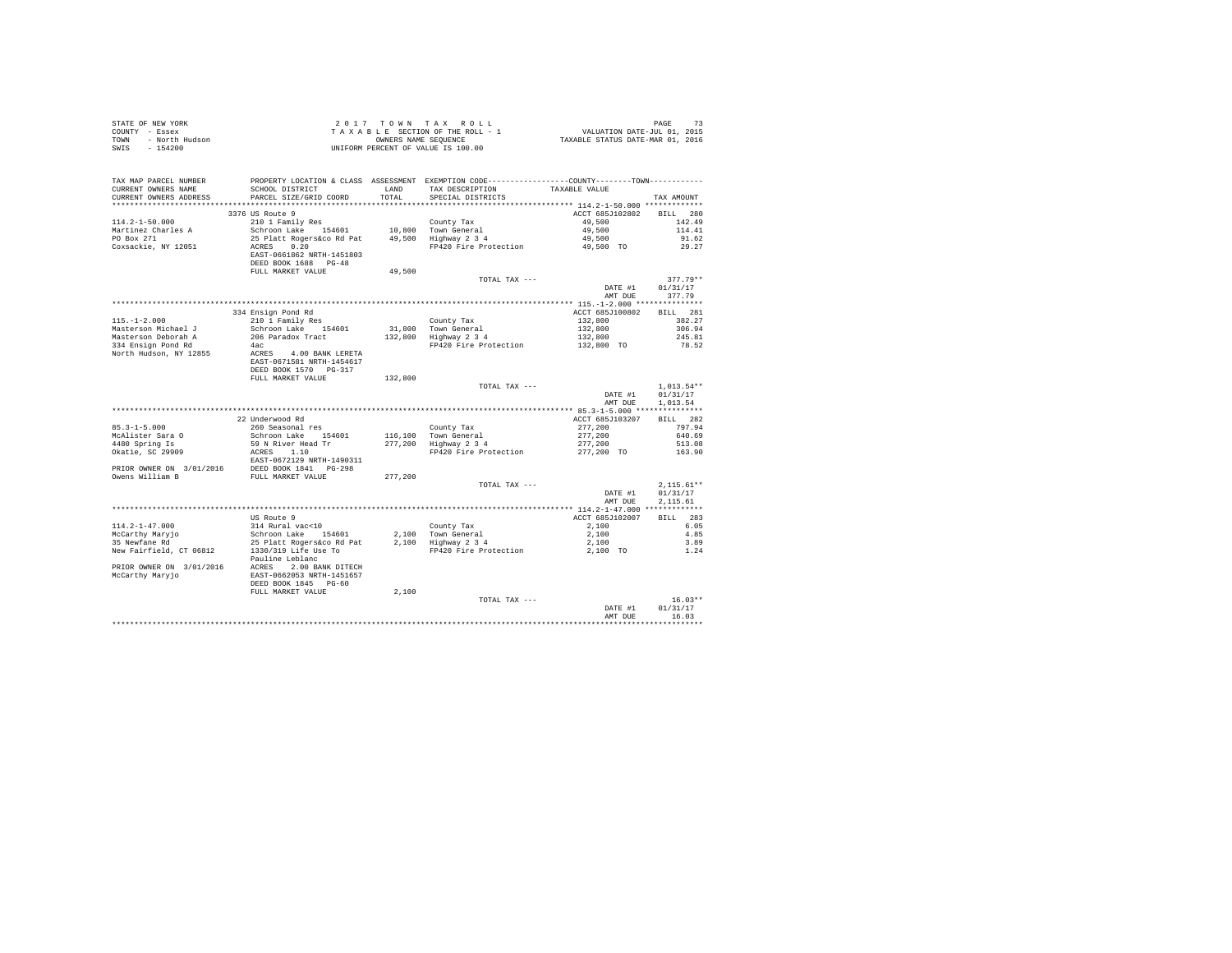| STATE OF NEW YORK<br>COUNTY - Essex<br>TOWN<br>- North Hudson<br>SWIS<br>$-154200$ |                                                                                                                                              |               | UNIFORM PERCENT OF VALUE IS 100.00                         |                       |                                      |
|------------------------------------------------------------------------------------|----------------------------------------------------------------------------------------------------------------------------------------------|---------------|------------------------------------------------------------|-----------------------|--------------------------------------|
| TAX MAP PARCEL NUMBER<br>CURRENT OWNERS NAME<br>CURRENT OWNERS ADDRESS             | PROPERTY LOCATION & CLASS ASSESSMENT EXEMPTION CODE---------------COUNTY-------TOWN---------<br>SCHOOL DISTRICT<br>PARCEL SIZE/GRID COORD    | LAND<br>TOTAL | TAX DESCRIPTION<br>SPECIAL DISTRICTS                       | TAXABLE VALUE         | TAX AMOUNT                           |
|                                                                                    |                                                                                                                                              |               |                                                            |                       |                                      |
|                                                                                    | 3376 US Route 9                                                                                                                              |               |                                                            | ACCT 685J102802       | BILL 280                             |
| $114.2 - 1 - 50.000$                                                               | 210 1 Family Res                                                                                                                             |               | County Tax                                                 | 49,500                | 142.49                               |
| Martinez Charles A                                                                 |                                                                                                                                              |               |                                                            | 49,500                | 114.41                               |
| PO Box 271                                                                         | Schroon Lake 154601 10,800 Town General<br>25 Platt Rogers&co Rd Pat 49,500 Highway 2 3 4                                                    |               |                                                            | 49,500                | 91.62                                |
| Coxsackie, NY 12051                                                                | ACRES 0.20<br>EAST-0661862 NRTH-1451803<br>DEED BOOK 1688 PG-48                                                                              |               | FP420 Fire Protection                                      | 49.500 TO             | 29.27                                |
|                                                                                    | FULL MARKET VALUE                                                                                                                            | 49,500        |                                                            |                       |                                      |
|                                                                                    |                                                                                                                                              |               | TOTAL TAX ---                                              |                       | $377.79**$                           |
|                                                                                    |                                                                                                                                              |               |                                                            | DATE #1               | 01/31/17                             |
|                                                                                    |                                                                                                                                              |               |                                                            | AMT DUE               | 377.79                               |
|                                                                                    |                                                                                                                                              |               |                                                            |                       |                                      |
|                                                                                    | 334 Ensign Pond Rd                                                                                                                           |               |                                                            | ACCT 685J100802       | BILL 281                             |
| $115. - 1 - 2.000$                                                                 | 210 1 Family Res                                                                                                                             |               | County Tax<br>31,800 Town General<br>132,800 Highway 2 3 4 | 132,800               | 382.27                               |
| Masterson Michael J                                                                | Schroon Lake 154601                                                                                                                          |               |                                                            | 132,800               | 306.94                               |
| Masterson Deborah A<br>334 Ensign Pond Rd                                          | 206 Paradox Tract<br>4ac                                                                                                                     |               | FP420 Fire Protection                                      | 132,800<br>132,800 TO | 245.81<br>78.52                      |
| North Hudson, NY 12855                                                             | ACRES 4.00 BANK LERETA<br>EAST-0671581 NRTH-1454617<br>DEED BOOK 1570 PG-317                                                                 |               |                                                            |                       |                                      |
|                                                                                    | FULL MARKET VALUE                                                                                                                            | 132,800       |                                                            |                       |                                      |
|                                                                                    |                                                                                                                                              |               | TOTAL TAX ---                                              |                       | $1,013.54**$                         |
|                                                                                    |                                                                                                                                              |               |                                                            | DATE #1               | 01/31/17                             |
|                                                                                    |                                                                                                                                              |               |                                                            | AMT DUE               | 1,013.54                             |
|                                                                                    | 22 Underwood Rd                                                                                                                              |               |                                                            | ACCT 685J103207       | BILL 282                             |
| $85.3 - 1 - 5.000$                                                                 | 260 Seasonal res                                                                                                                             |               | County Tax                                                 | 277.200               | 797.94                               |
| McAlister Sara O                                                                   | Schroon Lake 154601                                                                                                                          |               |                                                            | 277,200               | 640.69                               |
|                                                                                    | 59 N River Head Tr                                                                                                                           |               | 116,100 Town General<br>277,200 Highway 2 3 4              | 277,200               | 513.08                               |
| 4480 Spring Is<br>0katie, SC 29909                                                 | ACRES 1.10                                                                                                                                   |               | FP420 Fire Protection                                      | 277,200 TO 163.90     |                                      |
|                                                                                    | EAST-0672129 NRTH-1490311                                                                                                                    |               |                                                            |                       |                                      |
|                                                                                    |                                                                                                                                              |               |                                                            |                       |                                      |
|                                                                                    |                                                                                                                                              | 277,200       |                                                            |                       |                                      |
|                                                                                    |                                                                                                                                              |               | TOTAL TAX ---                                              | DATE #1<br>AMT DUE    | $2,115.61**$<br>01/31/17<br>2.115.61 |
|                                                                                    |                                                                                                                                              |               |                                                            |                       |                                      |
|                                                                                    | US Route 9                                                                                                                                   |               |                                                            | ACCT 685J102007       | BILL 283                             |
| 114.2-1-47.000                                                                     | 314 Rural vac<10<br>314 Rural vac<10 (2011)<br>County Tax (2014)<br>25 Platt Rogers (2014)<br>25 Platt Rogers (2014)<br>27 210 211 212 213 4 |               |                                                            | 2,100                 | 6.05                                 |
| McCarthy Maryjo<br>35 Newfane Rd                                                   | Schroon Lake 154601                                                                                                                          |               |                                                            | 2,100                 | 4.85                                 |
|                                                                                    |                                                                                                                                              |               |                                                            | 2,100                 | 3.89                                 |
| New Fairfield, CT 06812                                                            | 25 Platt Rogers&co Rd Pat<br>1330/319 Life Use To                                                                                            |               | FP420 Fire Protection                                      | 2,100 TO              | 1.24                                 |
|                                                                                    | Pauline Leblanc<br>PRIOR OWNER ON 3/01/2016 ACRES 2.00 BANK DITECH<br>McCarthy Maryjo<br>DEED BOOK 1845 PG-60                                |               |                                                            |                       |                                      |
|                                                                                    | FULL MARKET VALUE                                                                                                                            | 2,100         |                                                            |                       |                                      |
|                                                                                    |                                                                                                                                              |               | TOTAL TAX ---                                              |                       | $16.03**$                            |
|                                                                                    |                                                                                                                                              |               |                                                            | DATE #1               | 01/31/17                             |
|                                                                                    |                                                                                                                                              |               |                                                            | AMT DUE               | 16.03<br>.                           |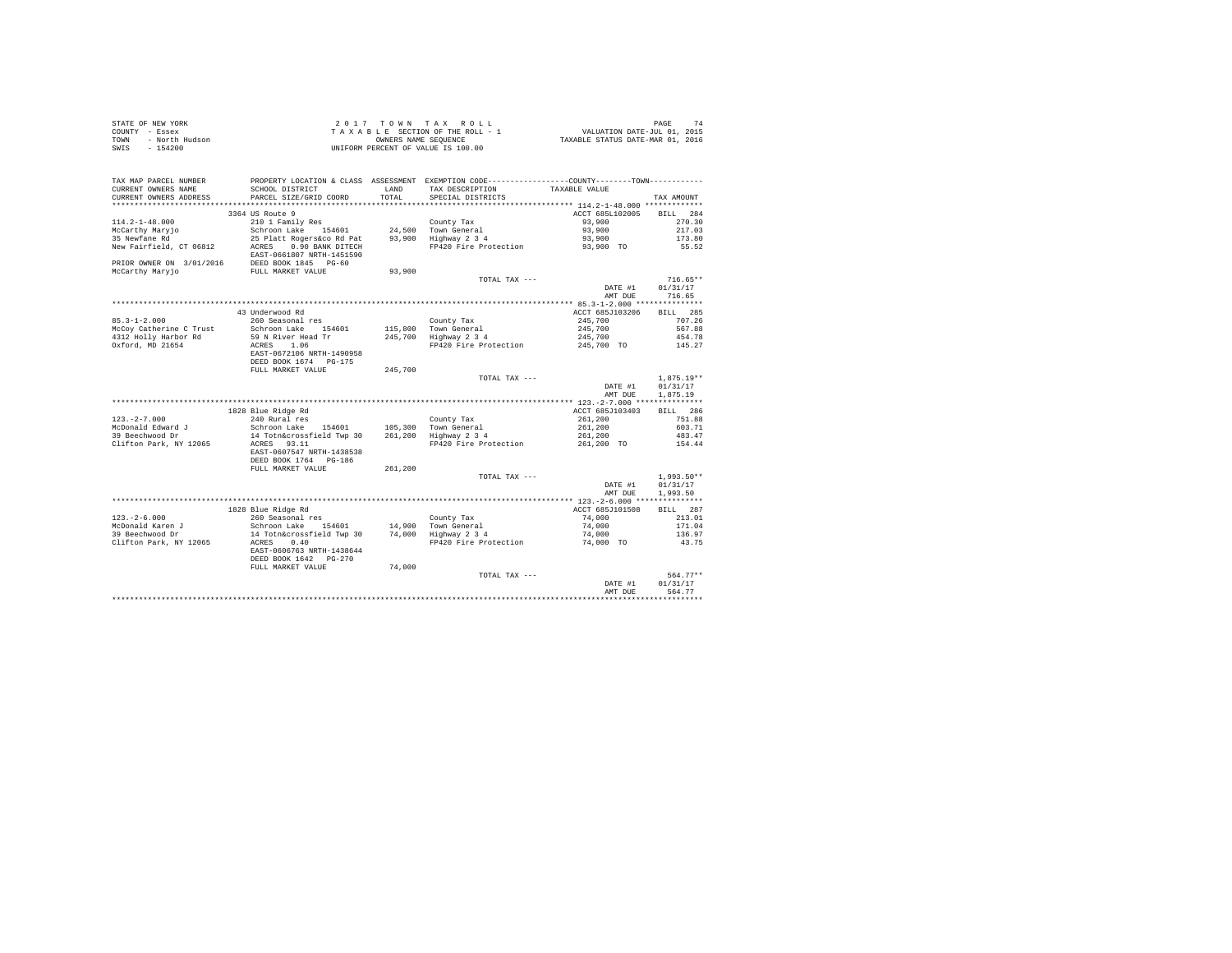| STATE OF NEW YORK      | 2017 TOWN TAX ROLL                 | 74<br>PAGE                       |
|------------------------|------------------------------------|----------------------------------|
| COUNTY - Essex         | TAXABLE SECTION OF THE ROLL - 1    | VALUATION DATE-JUL 01, 2015      |
| - North Hudson<br>TOWN | OWNERS NAME SEOUENCE               | TAXABLE STATUS DATE-MAR 01, 2016 |
| SWIS<br>$-154200$      | UNIFORM PERCENT OF VALUE IS 100.00 |                                  |

| TAX MAP PARCEL NUMBER<br>CURRENT OWNERS NAME<br>CURRENT OWNERS ADDRESS                    | PROPERTY LOCATION & CLASS ASSESSMENT EXEMPTION CODE---------------COUNTY-------TOWN----------<br>SCHOOL DISTRICT<br>PARCEL SIZE/GRID COORD     | <b>T.AND</b><br>TOTAL | TAX DESCRIPTION<br>SPECIAL DISTRICTS                                               | TAXABLE VALUE                                                  | TAX AMOUNT                                                |
|-------------------------------------------------------------------------------------------|------------------------------------------------------------------------------------------------------------------------------------------------|-----------------------|------------------------------------------------------------------------------------|----------------------------------------------------------------|-----------------------------------------------------------|
| ************************                                                                  | ******************************                                                                                                                 |                       |                                                                                    |                                                                |                                                           |
| $114.2 - 1 - 48.000$<br>McCarthy Maryjo<br>35 Newfane Rd<br>New Fairfield, CT 06812       | 3364 US Route 9<br>210 1 Family Res<br>Schroon Lake 154601<br>25 Platt Rogers&co Rd Pat<br>ACRES<br>0.90 BANK DITECH                           | 93,900                | County Tax<br>24,500 Town General<br>Highway 2 3 4<br>FP420 Fire Protection        | ACCT 685L102005<br>93,900<br>93,900<br>93,900<br>93,900 TO     | 284<br><b>BILL</b><br>270.30<br>217.03<br>173.80<br>55.52 |
| PRIOR OWNER ON 3/01/2016<br>McCarthy Maryjo                                               | EAST-0661807 NRTH-1451590<br>DEED BOOK 1845 PG-60<br>FULL MARKET VALUE                                                                         | 93,900                |                                                                                    |                                                                |                                                           |
|                                                                                           |                                                                                                                                                |                       | TOTAL TAX ---                                                                      | DATE #1<br>AMT DUE                                             | $716.65**$<br>01/31/17<br>716.65                          |
|                                                                                           |                                                                                                                                                |                       |                                                                                    |                                                                |                                                           |
| $85.3 - 1 - 2.000$<br>McCov Catherine C Trust<br>4312 Holly Harbor Rd<br>Oxford, MD 21654 | 43 Underwood Rd<br>260 Seasonal res<br>Schroon Lake 154601<br>59 N River Head Tr<br>1.06<br>ACRES<br>EAST-0672106 NRTH-1490958                 | 245,700               | County Tax<br>115,800 Town General<br>Highway 2 3 4<br>FP420 Fire Protection       | ACCT 685J103206<br>245,700<br>245,700<br>245,700<br>245,700 TO | BILL 285<br>707.26<br>567.88<br>454.78<br>145.27          |
|                                                                                           | DEED BOOK 1674 PG-175                                                                                                                          |                       |                                                                                    |                                                                |                                                           |
|                                                                                           | FULL MARKET VALUE                                                                                                                              | 245,700               | TOTAL TAX ---                                                                      | DATE #1<br>AMT DUE                                             | $1,875.19**$<br>01/31/17<br>1,875.19                      |
|                                                                                           |                                                                                                                                                |                       |                                                                                    |                                                                |                                                           |
| $123. -2 - 7.000$<br>McDonald Edward J<br>39 Beechwood Dr<br>Clifton Park, NY 12065       | 1828 Blue Ridge Rd<br>240 Rural res<br>Schroon Lake<br>154601<br>14 Totn&crossfield Twp 30<br>ACRES 93.11<br>EAST-0607547 NRTH-1438538         | 105,300<br>261,200    | County Tax<br>Town General<br>Highway 2 3 4<br>FP420 Fire Protection               | ACCT 685J103403<br>261,200<br>261,200<br>261,200<br>261,200 TO | BILL 286<br>751.88<br>603.71<br>483.47<br>154.44          |
|                                                                                           | DEED BOOK 1764 PG-186<br>FULL MARKET VALUE                                                                                                     | 261,200               | TOTAL TAX ---                                                                      |                                                                | $1,993.50**$                                              |
|                                                                                           |                                                                                                                                                |                       |                                                                                    | DATE #1<br>AMT DUE                                             | 01/31/17<br>1,993.50                                      |
|                                                                                           | 1828 Blue Ridge Rd                                                                                                                             |                       |                                                                                    | ACCT 685J101508                                                | BTLL.<br>287                                              |
| $123. - 2 - 6.000$<br>McDonald Karen J<br>39 Beechwood Dr<br>Clifton Park, NY 12065       | 260 Seasonal res<br>Schroon Lake<br>154601<br>14 Totn&crossfield Twp 30<br>0.40<br>ACRES<br>EAST-0606763 NRTH-1438644<br>DEED BOOK 1642 PG-270 |                       | County Tax<br>14,900 Town General<br>74,000 Highway 2 3 4<br>FP420 Fire Protection | 74,000<br>74,000<br>74,000<br>74,000 TO                        | 213.01<br>171.04<br>136.97<br>43.75                       |
|                                                                                           | FULL MARKET VALUE                                                                                                                              | 74,000                | TOTAL TAX ---                                                                      | DATE #1<br>AMT DUE                                             | 564.77**<br>01/31/17<br>564.77                            |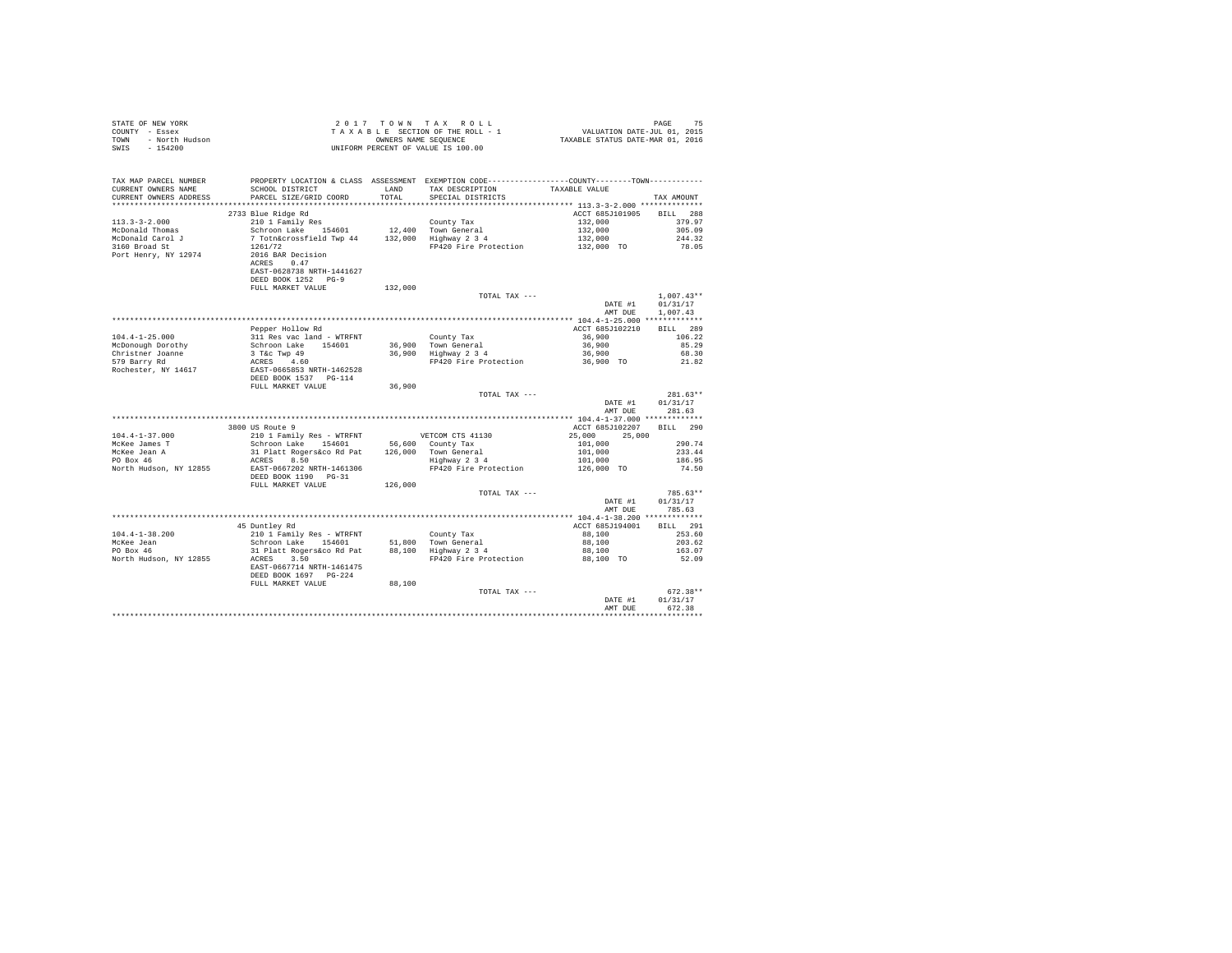| STATE OF NEW YORK   | 2017 TOWN TAX ROLL                 | 75<br>PAGE                       |
|---------------------|------------------------------------|----------------------------------|
| COUNTY - Essex      | TAXABLE SECTION OF THE ROLL - 1    | VALUATION DATE-JUL 01, 2015      |
| TOWN - North Hudson | OWNERS NAME SEOUENCE               | TAXABLE STATUS DATE-MAR 01, 2016 |
| SWIS<br>$-154200$   | UNIFORM PERCENT OF VALUE IS 100.00 |                                  |
|                     |                                    |                                  |

| TAX MAP PARCEL NUMBER  | PROPERTY LOCATION & CLASS ASSESSMENT EXEMPTION CODE---------------COUNTY-------TOWN----------                                                                                                                                     |         |                                  |                    |              |
|------------------------|-----------------------------------------------------------------------------------------------------------------------------------------------------------------------------------------------------------------------------------|---------|----------------------------------|--------------------|--------------|
| CURRENT OWNERS NAME    | SCHOOL DISTRICT                                                                                                                                                                                                                   | LAND    | TAX DESCRIPTION                  | TAXABLE VALUE      |              |
| CURRENT OWNERS ADDRESS | PARCEL SIZE/GRID COORD                                                                                                                                                                                                            | TOTAL   | SPECIAL DISTRICTS                |                    | TAX AMOUNT   |
|                        |                                                                                                                                                                                                                                   |         |                                  |                    |              |
|                        | 2733 Blue Ridge Rd                                                                                                                                                                                                                |         |                                  | ACCT 685J101905    | BILL 288     |
| $113.3 - 3 - 2.000$    | 210 1 Family Res                                                                                                                                                                                                                  |         | County Tax                       |                    | 379.97       |
| McDonald Thomas        | Schroon Lake 154601                                                                                                                                                                                                               |         | 12,400 Town General              | 132,000<br>132,000 | 305.09       |
|                        |                                                                                                                                                                                                                                   |         |                                  |                    |              |
| McDonald Carol J       | 7 Totn&crossfield Twp 44 132,000 Highway 2 3 4<br>1261/72 FP420 Fire Protection                                                                                                                                                   |         |                                  | 132,000            | 244.32       |
| 3160 Broad St          |                                                                                                                                                                                                                                   |         | FP420 Fire Protection            | $132,000$ TO       | 78.05        |
| Port Henry, NY 12974   | 2016 BAR Decision                                                                                                                                                                                                                 |         |                                  |                    |              |
|                        | ACRES<br>0.47                                                                                                                                                                                                                     |         |                                  |                    |              |
|                        | EAST-0628738 NRTH-1441627                                                                                                                                                                                                         |         |                                  |                    |              |
|                        | DEED BOOK 1252 PG-9                                                                                                                                                                                                               |         |                                  |                    |              |
|                        | FULL MARKET VALUE                                                                                                                                                                                                                 | 132,000 |                                  |                    |              |
|                        |                                                                                                                                                                                                                                   |         | TOTAL TAX ---                    |                    | $1,007.43**$ |
|                        |                                                                                                                                                                                                                                   |         |                                  | DATE #1            | 01/31/17     |
|                        |                                                                                                                                                                                                                                   |         |                                  | AMT DUE            | 1,007.43     |
|                        |                                                                                                                                                                                                                                   |         |                                  |                    |              |
|                        | Pepper Hollow Rd                                                                                                                                                                                                                  |         |                                  | ACCT 685J102210    | BILL 289     |
| $104.4 - 1 - 25.000$   | 311 Res vac land - WTRFNT                                                                                                                                                                                                         |         | County Tax                       | 36,900             | 106.22       |
| McDonough Dorothy      |                                                                                                                                                                                                                                   |         | 36,900 Town General              | 36,900             | 85.29        |
| Christner Joanne       |                                                                                                                                                                                                                                   |         | 36,900 Highway 2 3 4             | 36,900             | 68.30        |
|                        |                                                                                                                                                                                                                                   |         |                                  |                    |              |
| 579 Barry Rd           |                                                                                                                                                                                                                                   |         | FP420 Fire Protection 36,900 TO  |                    | 21.82        |
| Rochester, NY 14617    | Schroon Lake 154601<br>3 T&C Twp 49<br>ACRES 4.60<br>ERST-0665853 RETH-1462528<br>DEED BOOK 1537 PG-114                                                                                                                           |         |                                  |                    |              |
|                        |                                                                                                                                                                                                                                   |         |                                  |                    |              |
|                        | FULL MARKET VALUE                                                                                                                                                                                                                 | 36,900  |                                  |                    |              |
|                        |                                                                                                                                                                                                                                   |         | TOTAL TAX ---                    |                    | $281.63**$   |
|                        |                                                                                                                                                                                                                                   |         |                                  | DATE #1            | 01/31/17     |
|                        |                                                                                                                                                                                                                                   |         |                                  | AMT DUE            | 281.63       |
|                        |                                                                                                                                                                                                                                   |         |                                  |                    |              |
|                        | 3800 US Route 9                                                                                                                                                                                                                   |         |                                  | ACCT 685J102207    | BILL 290     |
| $104.4 - 1 - 37.000$   |                                                                                                                                                                                                                                   |         |                                  | 25,000<br>25,000   |              |
| McKee James T          |                                                                                                                                                                                                                                   |         |                                  | 101,000            | 290.74       |
| McKee Jean A           | 210 1 Family Res - WTRFNT VETCOM CTS 41130<br>Schroon Lake 154601 56,600 County Tax<br>31 Platt Rogers&co Rd Pat 126,000 Town General<br>ACRES 8.50                                                                               |         |                                  | 101,000            | 233.44       |
| PO Box 46              |                                                                                                                                                                                                                                   |         | Highway 2 3 4                    | 101,000            | 186.95       |
|                        | North Hudson, NY 12855 EAST-0667202 NRTH-1461306                                                                                                                                                                                  |         | FP420 Fire Protection 126,000 TO |                    | 74.50        |
|                        | DEED BOOK 1190 PG-31                                                                                                                                                                                                              |         |                                  |                    |              |
|                        | FULL MARKET VALUE                                                                                                                                                                                                                 | 126,000 |                                  |                    |              |
|                        |                                                                                                                                                                                                                                   |         | TOTAL TAX ---                    |                    | $785.63**$   |
|                        |                                                                                                                                                                                                                                   |         |                                  | DATE #1            | 01/31/17     |
|                        |                                                                                                                                                                                                                                   |         |                                  |                    | 785.63       |
|                        |                                                                                                                                                                                                                                   |         |                                  | AMT DUE            |              |
|                        |                                                                                                                                                                                                                                   |         |                                  |                    |              |
|                        | 45 Duntley Rd                                                                                                                                                                                                                     |         |                                  | ACCT 685J194001    | BILL 291     |
| $104.4 - 1 - 38.200$   | 210 1 Family Res - WTRFNT<br>Schroon Lake 154601                                                                                                                                                                                  |         | County Tax                       | 88,100             | 253.60       |
| McKee Jean             | and the community of the state of the sense of the sense of the state of the sense of the sense of the sense o<br>The sense of the sense of the sense of the sense of the sense of the sense of the sense of the sense of the sen |         | 51,800 Town General              | 88,100             | 203.62       |
| PO Box 46              |                                                                                                                                                                                                                                   |         |                                  | 88,100             | 163.07       |
| North Hudson, NY 12855 | ACRES<br>3.50                                                                                                                                                                                                                     |         | FP420 Fire Protection 88,100 TO  |                    | 52.09        |
|                        | EAST-0667714 NRTH-1461475                                                                                                                                                                                                         |         |                                  |                    |              |
|                        | DEED BOOK 1697 PG-224                                                                                                                                                                                                             |         |                                  |                    |              |
|                        | FULL MARKET VALUE                                                                                                                                                                                                                 | 88,100  |                                  |                    |              |
|                        |                                                                                                                                                                                                                                   |         | TOTAL TAX ---                    |                    | $672.38**$   |
|                        |                                                                                                                                                                                                                                   |         |                                  | DATE #1            | 01/31/17     |
|                        |                                                                                                                                                                                                                                   |         |                                  | AMT DUE            | 672.38       |
|                        |                                                                                                                                                                                                                                   |         |                                  |                    |              |
|                        |                                                                                                                                                                                                                                   |         |                                  |                    |              |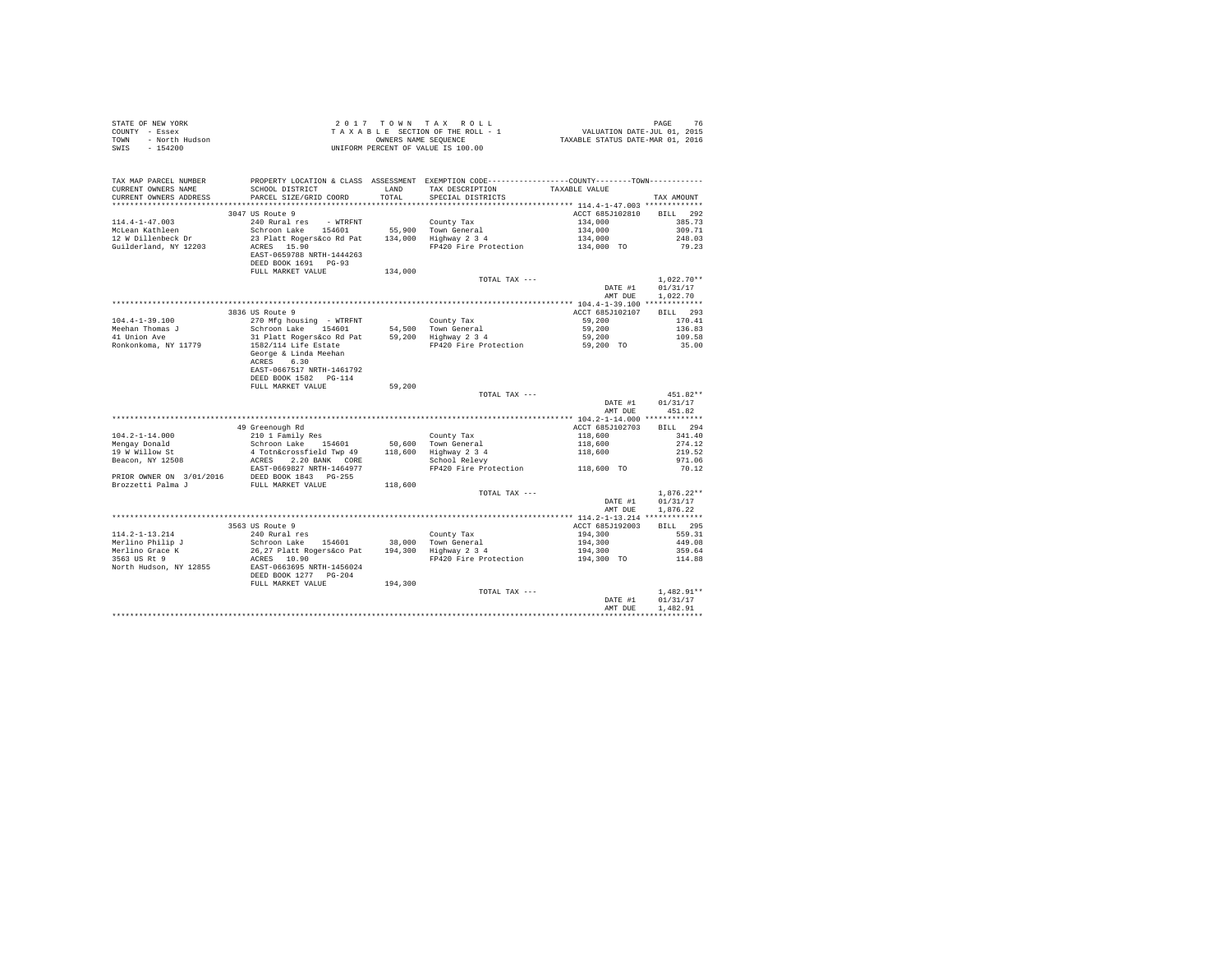| $\begin{array}{cccccc} \texttt{STATE OF NEW YORK} & & & & & & 2\ 0\ 1\ 7\ &\texttt{T ON N} & \texttt{T A X R O LL} \\ \texttt{COUNT} & - \texttt{Eosex} & & & & & \texttt{T A X A B E SECTION OF THE ROLL - 1 \\ \texttt{TONNT} & - \texttt{North Hudson} & & & & & \texttt{ONITER NIME IS QUENCE} \\ \texttt{SWIS} & - \ 154200 & & & & & \texttt{UNIFORM PERCENT OF VALUE IS} \ 100.00 \\ \end{array}$ |                                                                                                                                                                                                                                          |         |                                    |                                                                         |                  |
|----------------------------------------------------------------------------------------------------------------------------------------------------------------------------------------------------------------------------------------------------------------------------------------------------------------------------------------------------------------------------------------------------------|------------------------------------------------------------------------------------------------------------------------------------------------------------------------------------------------------------------------------------------|---------|------------------------------------|-------------------------------------------------------------------------|------------------|
|                                                                                                                                                                                                                                                                                                                                                                                                          |                                                                                                                                                                                                                                          |         |                                    |                                                                         |                  |
|                                                                                                                                                                                                                                                                                                                                                                                                          |                                                                                                                                                                                                                                          |         |                                    |                                                                         |                  |
|                                                                                                                                                                                                                                                                                                                                                                                                          |                                                                                                                                                                                                                                          |         |                                    |                                                                         |                  |
|                                                                                                                                                                                                                                                                                                                                                                                                          |                                                                                                                                                                                                                                          |         |                                    |                                                                         |                  |
|                                                                                                                                                                                                                                                                                                                                                                                                          |                                                                                                                                                                                                                                          |         |                                    |                                                                         |                  |
| TAX MAP PARCEL NUMBER PROPERTY LOCATION & CLASS ASSESSMENT EXEMPTION CODE---------------COUNTY-------TOWN---------                                                                                                                                                                                                                                                                                       |                                                                                                                                                                                                                                          |         |                                    |                                                                         |                  |
| CURRENT OWNERS NAME                                                                                                                                                                                                                                                                                                                                                                                      | SCHOOL DISTRICT                                                                                                                                                                                                                          |         | LAND TAX DESCRIPTION TAXABLE VALUE |                                                                         |                  |
| CURRENT OWNERS ADDRESS                                                                                                                                                                                                                                                                                                                                                                                   | PARCEL SIZE/GRID COORD                                                                                                                                                                                                                   | TOTAL   | SPECIAL DISTRICTS                  |                                                                         | TAX AMOUNT       |
|                                                                                                                                                                                                                                                                                                                                                                                                          |                                                                                                                                                                                                                                          |         |                                    |                                                                         |                  |
|                                                                                                                                                                                                                                                                                                                                                                                                          | 3047 US Route 9                                                                                                                                                                                                                          |         |                                    | ACCT 685J102810 BILL 292                                                |                  |
| $114.4 - 1 - 47.003$                                                                                                                                                                                                                                                                                                                                                                                     | 240 Rural res - WTRFNT                                                                                                                                                                                                                   |         |                                    |                                                                         | 385.73           |
|                                                                                                                                                                                                                                                                                                                                                                                                          |                                                                                                                                                                                                                                          |         |                                    |                                                                         | 309.71           |
| McLean Kathleen<br>12 W Dillenbeck Dr                                                                                                                                                                                                                                                                                                                                                                    |                                                                                                                                                                                                                                          |         |                                    |                                                                         | 248.03           |
| Guilderland, NY 12203                                                                                                                                                                                                                                                                                                                                                                                    |                                                                                                                                                                                                                                          |         |                                    |                                                                         | 79.23            |
|                                                                                                                                                                                                                                                                                                                                                                                                          | EAST-0659788 NRTH-1444263                                                                                                                                                                                                                |         |                                    |                                                                         |                  |
|                                                                                                                                                                                                                                                                                                                                                                                                          |                                                                                                                                                                                                                                          |         |                                    |                                                                         |                  |
|                                                                                                                                                                                                                                                                                                                                                                                                          | DEED BOOK 1691 PG-93                                                                                                                                                                                                                     |         |                                    |                                                                         |                  |
|                                                                                                                                                                                                                                                                                                                                                                                                          | FULL MARKET VALUE                                                                                                                                                                                                                        | 134,000 |                                    |                                                                         |                  |
|                                                                                                                                                                                                                                                                                                                                                                                                          |                                                                                                                                                                                                                                          |         | TOTAL TAX ---                      |                                                                         | $1.022.70**$     |
|                                                                                                                                                                                                                                                                                                                                                                                                          |                                                                                                                                                                                                                                          |         |                                    |                                                                         | DATE #1 01/31/17 |
|                                                                                                                                                                                                                                                                                                                                                                                                          |                                                                                                                                                                                                                                          |         |                                    |                                                                         | AMT DUE 1.022.70 |
|                                                                                                                                                                                                                                                                                                                                                                                                          |                                                                                                                                                                                                                                          |         |                                    |                                                                         |                  |
|                                                                                                                                                                                                                                                                                                                                                                                                          | 3836 US Route 9<br>270 Mfg housing - WTRFNT County Tax<br>Schroon Lake 154601 54,500 Town General<br>31 Platt Rogers aco Relat 59,200 Highway 2 3 4<br>1582/114 Life Estate FP420 Fire Protection<br>George & Linda Meehan<br>CREES 6.30 |         |                                    | ACCT 685J102107                                                         | BILL 293         |
| $104.4 - 1 - 39.100$                                                                                                                                                                                                                                                                                                                                                                                     |                                                                                                                                                                                                                                          |         |                                    | 59,200                                                                  | 170.41           |
|                                                                                                                                                                                                                                                                                                                                                                                                          |                                                                                                                                                                                                                                          |         |                                    |                                                                         | 136.83           |
| Meehan Thomas J<br>41 Union Ave                                                                                                                                                                                                                                                                                                                                                                          |                                                                                                                                                                                                                                          |         |                                    | 59,200<br>59,200                                                        | 109.58           |
| Ronkonkoma, NY 11779                                                                                                                                                                                                                                                                                                                                                                                     |                                                                                                                                                                                                                                          |         | FP420 Fire Protection 59,200 TO    |                                                                         | 35.00            |
|                                                                                                                                                                                                                                                                                                                                                                                                          |                                                                                                                                                                                                                                          |         |                                    |                                                                         |                  |
|                                                                                                                                                                                                                                                                                                                                                                                                          | ACRES 6.30                                                                                                                                                                                                                               |         |                                    |                                                                         |                  |
|                                                                                                                                                                                                                                                                                                                                                                                                          | EAST-0667517 NRTH-1461792                                                                                                                                                                                                                |         |                                    |                                                                         |                  |
|                                                                                                                                                                                                                                                                                                                                                                                                          | DEED BOOK 1582    PG-114                                                                                                                                                                                                                 |         |                                    |                                                                         |                  |
|                                                                                                                                                                                                                                                                                                                                                                                                          | FULL MARKET VALUE                                                                                                                                                                                                                        | 59,200  |                                    |                                                                         |                  |
|                                                                                                                                                                                                                                                                                                                                                                                                          |                                                                                                                                                                                                                                          |         | TOTAL TAX ---                      |                                                                         | $451.82**$       |
|                                                                                                                                                                                                                                                                                                                                                                                                          |                                                                                                                                                                                                                                          |         |                                    |                                                                         |                  |
|                                                                                                                                                                                                                                                                                                                                                                                                          |                                                                                                                                                                                                                                          |         |                                    | DATE #1                                                                 | 01/31/17         |
|                                                                                                                                                                                                                                                                                                                                                                                                          |                                                                                                                                                                                                                                          |         |                                    | AMT DUE                                                                 | 451.82           |
|                                                                                                                                                                                                                                                                                                                                                                                                          |                                                                                                                                                                                                                                          |         |                                    |                                                                         |                  |
|                                                                                                                                                                                                                                                                                                                                                                                                          | 49 Greenough Rd                                                                                                                                                                                                                          |         |                                    | ACCT 685J102703 BILL 294                                                |                  |
|                                                                                                                                                                                                                                                                                                                                                                                                          |                                                                                                                                                                                                                                          |         |                                    | $118,600$<br>$118,600$<br>$274.12$<br>$118,600$<br>$219.52$<br>$971.06$ |                  |
|                                                                                                                                                                                                                                                                                                                                                                                                          |                                                                                                                                                                                                                                          |         |                                    |                                                                         |                  |
|                                                                                                                                                                                                                                                                                                                                                                                                          |                                                                                                                                                                                                                                          |         |                                    |                                                                         |                  |
|                                                                                                                                                                                                                                                                                                                                                                                                          |                                                                                                                                                                                                                                          |         |                                    |                                                                         | 971.06           |
|                                                                                                                                                                                                                                                                                                                                                                                                          |                                                                                                                                                                                                                                          |         | FP420 Fire Protection 118,600 TO   |                                                                         | 70.12            |
|                                                                                                                                                                                                                                                                                                                                                                                                          |                                                                                                                                                                                                                                          |         |                                    |                                                                         |                  |
|                                                                                                                                                                                                                                                                                                                                                                                                          |                                                                                                                                                                                                                                          |         |                                    |                                                                         |                  |
|                                                                                                                                                                                                                                                                                                                                                                                                          |                                                                                                                                                                                                                                          |         | TOTAL TAX ---                      |                                                                         | $1,876.22**$     |
|                                                                                                                                                                                                                                                                                                                                                                                                          |                                                                                                                                                                                                                                          |         |                                    |                                                                         | DATE #1 01/31/17 |
|                                                                                                                                                                                                                                                                                                                                                                                                          |                                                                                                                                                                                                                                          |         |                                    |                                                                         | AMT DUE 1,876.22 |
|                                                                                                                                                                                                                                                                                                                                                                                                          |                                                                                                                                                                                                                                          |         |                                    |                                                                         |                  |
|                                                                                                                                                                                                                                                                                                                                                                                                          | 3563 US Route 9                                                                                                                                                                                                                          |         |                                    | ACCT 685J192003                                                         | BILL 295         |
|                                                                                                                                                                                                                                                                                                                                                                                                          |                                                                                                                                                                                                                                          |         |                                    |                                                                         | 559.31           |
|                                                                                                                                                                                                                                                                                                                                                                                                          |                                                                                                                                                                                                                                          |         |                                    | $194,300$<br>$194,300$<br>$194,300$<br>$194,300$<br>$194,300$ TO        | 449.08           |
|                                                                                                                                                                                                                                                                                                                                                                                                          |                                                                                                                                                                                                                                          |         |                                    |                                                                         |                  |
|                                                                                                                                                                                                                                                                                                                                                                                                          |                                                                                                                                                                                                                                          |         |                                    |                                                                         | 359.64           |
|                                                                                                                                                                                                                                                                                                                                                                                                          |                                                                                                                                                                                                                                          |         |                                    |                                                                         | 114.88           |
|                                                                                                                                                                                                                                                                                                                                                                                                          |                                                                                                                                                                                                                                          |         |                                    |                                                                         |                  |
|                                                                                                                                                                                                                                                                                                                                                                                                          |                                                                                                                                                                                                                                          |         |                                    |                                                                         |                  |
|                                                                                                                                                                                                                                                                                                                                                                                                          | FULL MARKET VALUE 194,300                                                                                                                                                                                                                |         |                                    |                                                                         |                  |
|                                                                                                                                                                                                                                                                                                                                                                                                          |                                                                                                                                                                                                                                          |         | TOTAL TAX ---                      |                                                                         | $1.482.91**$     |
|                                                                                                                                                                                                                                                                                                                                                                                                          |                                                                                                                                                                                                                                          |         |                                    |                                                                         | DATE #1 01/31/17 |
|                                                                                                                                                                                                                                                                                                                                                                                                          |                                                                                                                                                                                                                                          |         |                                    | AMT DUE                                                                 | 1,482.91         |
|                                                                                                                                                                                                                                                                                                                                                                                                          |                                                                                                                                                                                                                                          |         |                                    |                                                                         |                  |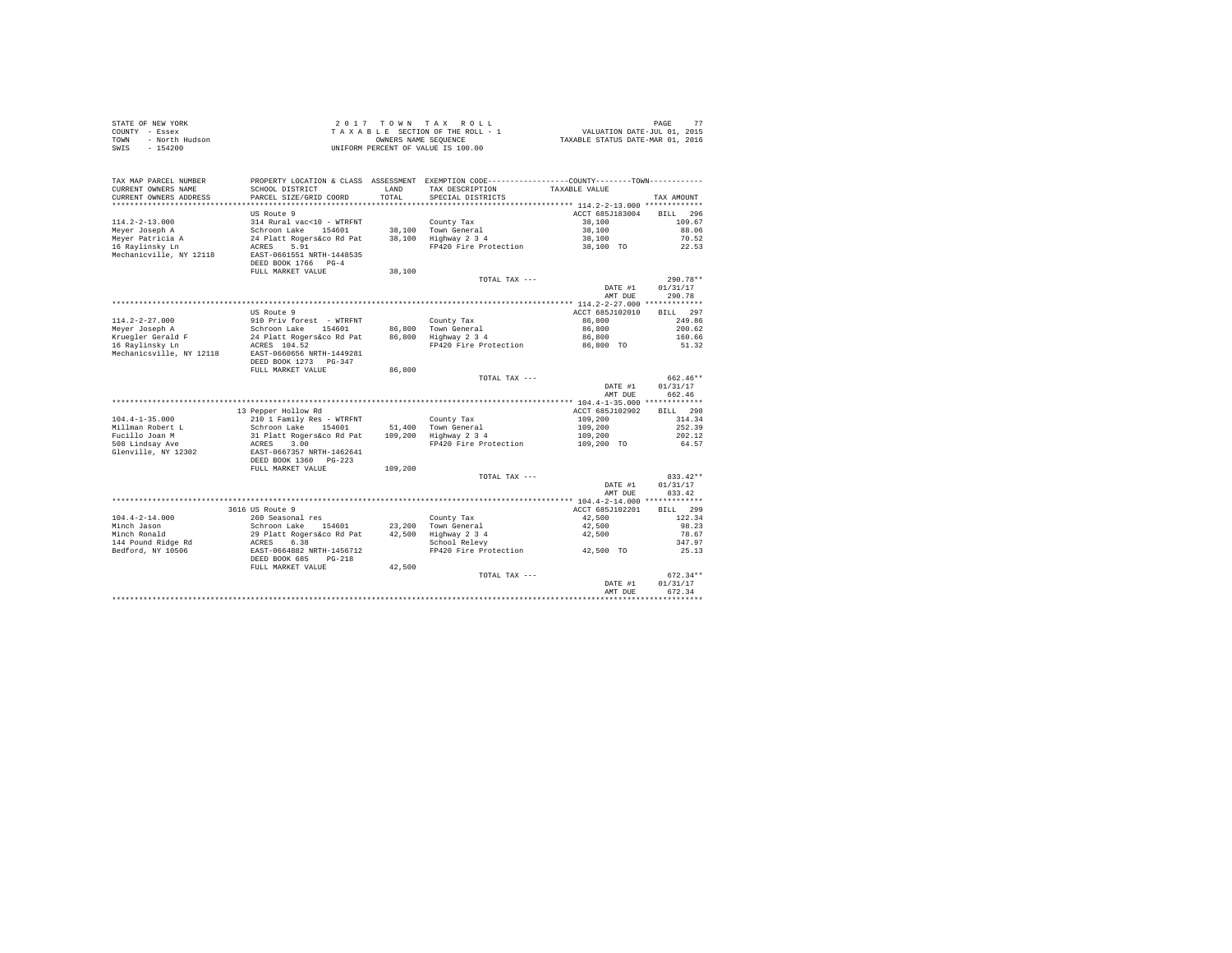| STATE OF NEW YORK |                | 2017 TOWN TAX ROLL                 | 77<br>PAGE                       |
|-------------------|----------------|------------------------------------|----------------------------------|
| COUNTY - Essex    |                | TAXABLE SECTION OF THE ROLL - 1    | VALUATION DATE-JUL 01, 2015      |
| TOWN              | - North Hudson | OWNERS NAME SEOUENCE               | TAXABLE STATUS DATE-MAR 01, 2016 |
| SWIS              | $-154200$      | UNIFORM PERCENT OF VALUE IS 100.00 |                                  |

| TAX MAP PARCEL NUMBER<br>CURRENT OWNERS NAME<br>CURRENT OWNERS ADDRESS | PROPERTY LOCATION & CLASS ASSESSMENT<br>SCHOOL DISTRICT<br>PARCEL SIZE/GRID COORD | LAND<br>TOTAL. | EXEMPTION CODE---------<br>TAX DESCRIPTION<br>SPECIAL DISTRICTS | -------COUNTY-------TOWN-----------<br>TAXABLE VALUE | TAX AMOUNT         |
|------------------------------------------------------------------------|-----------------------------------------------------------------------------------|----------------|-----------------------------------------------------------------|------------------------------------------------------|--------------------|
|                                                                        | *****************                                                                 |                |                                                                 |                                                      |                    |
|                                                                        | US Route 9                                                                        |                |                                                                 | ACCT 685J183004                                      | 296<br><b>BILL</b> |
| $114.2 - 2 - 13.000$                                                   | 314 Rural vac<10 - WTRFNT                                                         |                | County Tax                                                      | 38,100                                               | 109.67             |
| Meyer Joseph A                                                         | Schroon Lake<br>154601                                                            | 38,100         | Town General                                                    | 38,100                                               | 88.06              |
| Meyer Patricia A                                                       | 24 Platt Rogers&co Rd Pat                                                         | 38,100         | Highway 2 3 4                                                   | 38,100                                               | 70.52              |
| 16 Ravlinsky Ln                                                        | 5.91<br>ACRES                                                                     |                | FP420 Fire Protection                                           | 38,100 TO                                            | 22.53              |
| Mechanicville, NY 12118                                                | EAST-0661551 NRTH-1448535<br>DEED BOOK 1766 PG-4<br>FULL MARKET VALUE             |                |                                                                 |                                                      |                    |
|                                                                        |                                                                                   | 38,100         |                                                                 |                                                      |                    |
|                                                                        |                                                                                   |                | TOTAL TAX ---                                                   |                                                      | $290.78**$         |
|                                                                        |                                                                                   |                |                                                                 | DATE #1                                              | 01/31/17           |
|                                                                        | *************************                                                         |                |                                                                 | AMT DUE                                              | 290.78             |
|                                                                        |                                                                                   |                |                                                                 | ********* 114.2-2-27.000 *************               |                    |
|                                                                        | US Route 9                                                                        |                |                                                                 | ACCT 685J102010                                      | 297<br><b>BILL</b> |
| $114.2 - 2 - 27.000$                                                   | 910 Priv forest - WTRFNT                                                          |                | County Tax                                                      | 86,800                                               | 249.86             |
| Meyer Joseph A                                                         | Schroon Lake<br>154601                                                            | 86,800         | Town General                                                    | 86,800                                               | 200.62             |
| Kruegler Gerald F                                                      | 24 Platt Rogers&co Rd Pat                                                         | 86,800         | Highway 2 3 4                                                   | 86,800                                               | 160.66             |
| 16 Raylinsky Ln                                                        | ACRES 104.52                                                                      |                | FP420 Fire Protection                                           | 86,800 TO                                            | 51.32              |
| Mechanicsville, NY 12118                                               | EAST-0660656 NRTH-1449281                                                         |                |                                                                 |                                                      |                    |
|                                                                        | DEED BOOK 1273 PG-347                                                             |                |                                                                 |                                                      |                    |
|                                                                        | FULL MARKET VALUE                                                                 | 86,800         |                                                                 |                                                      |                    |
|                                                                        |                                                                                   |                | TOTAL TAX ---                                                   |                                                      | 662.46**           |
|                                                                        |                                                                                   |                |                                                                 | DATE #1                                              | 01/31/17           |
|                                                                        |                                                                                   |                |                                                                 | AMT DUE                                              | 662.46             |
|                                                                        |                                                                                   |                |                                                                 | ** 104.4-1-35.000 *************                      |                    |
|                                                                        | 13 Pepper Hollow Rd                                                               |                |                                                                 | ACCT 685J102902                                      | 298<br><b>BILL</b> |
| $104.4 - 1 - 35.000$                                                   | 210 1 Family Res - WTRFNT                                                         |                | County Tax                                                      | 109,200                                              | 314.34             |
| Millman Robert L                                                       | Schroon Lake<br>154601                                                            | 51,400         | Town General                                                    | 109,200                                              | 252.39             |
| Fucillo Joan M                                                         | 31 Platt Rogers&co Rd Pat                                                         | 109,200        | Highway 2 3 4                                                   | 109,200                                              | 202.12             |
| 508 Lindsay Ave                                                        | ACRES<br>3.00                                                                     |                | FP420 Fire Protection                                           | 109,200 TO                                           | 64.57              |
| Glenville, NY 12302                                                    | EAST-0667357 NRTH-1462641<br>DEED BOOK 1360 PG-223                                |                |                                                                 |                                                      |                    |
|                                                                        | FULL MARKET VALUE                                                                 | 109,200        |                                                                 |                                                      |                    |
|                                                                        |                                                                                   |                | TOTAL TAX ---                                                   |                                                      | $833.42**$         |
|                                                                        |                                                                                   |                |                                                                 | DATE #1                                              | 01/31/17           |
|                                                                        |                                                                                   |                |                                                                 | AMT DUE                                              | 833.42             |
|                                                                        |                                                                                   |                |                                                                 | *************** 104.4-2-14.000 *************         |                    |
|                                                                        | 3616 US Route 9                                                                   |                |                                                                 | ACCT 685J102201                                      | <b>BILL</b><br>299 |
| $104.4 - 2 - 14.000$                                                   | 260 Seasonal res                                                                  |                | County Tax                                                      | 42,500                                               | 122.34             |
| Minch Jason                                                            | Schroon Lake<br>154601                                                            | 23,200         | Town General                                                    | 42,500                                               | 98.23              |
| Minch Ronald                                                           | 29 Platt Rogers&co Rd Pat                                                         | 42,500         | Highway 2 3 4                                                   | 42,500                                               | 78.67              |
| 144 Pound Ridge Rd                                                     | ACRES<br>6.38                                                                     |                | School Relevy                                                   |                                                      | 347.97             |
| Bedford, NY 10506                                                      | EAST-0664882 NRTH-1456712                                                         |                | FP420 Fire Protection                                           | 42,500 TO                                            | 25.13              |
|                                                                        | DEED BOOK 685<br>$PG-218$                                                         |                |                                                                 |                                                      |                    |
|                                                                        | FULL MARKET VALUE                                                                 | 42,500         |                                                                 |                                                      |                    |
|                                                                        |                                                                                   |                | TOTAL TAX ---                                                   |                                                      | $672.34**$         |
|                                                                        |                                                                                   |                |                                                                 | DATE #1                                              | 01/31/17           |
|                                                                        |                                                                                   |                |                                                                 | AMT DUE                                              | 672.34             |
|                                                                        |                                                                                   |                |                                                                 |                                                      |                    |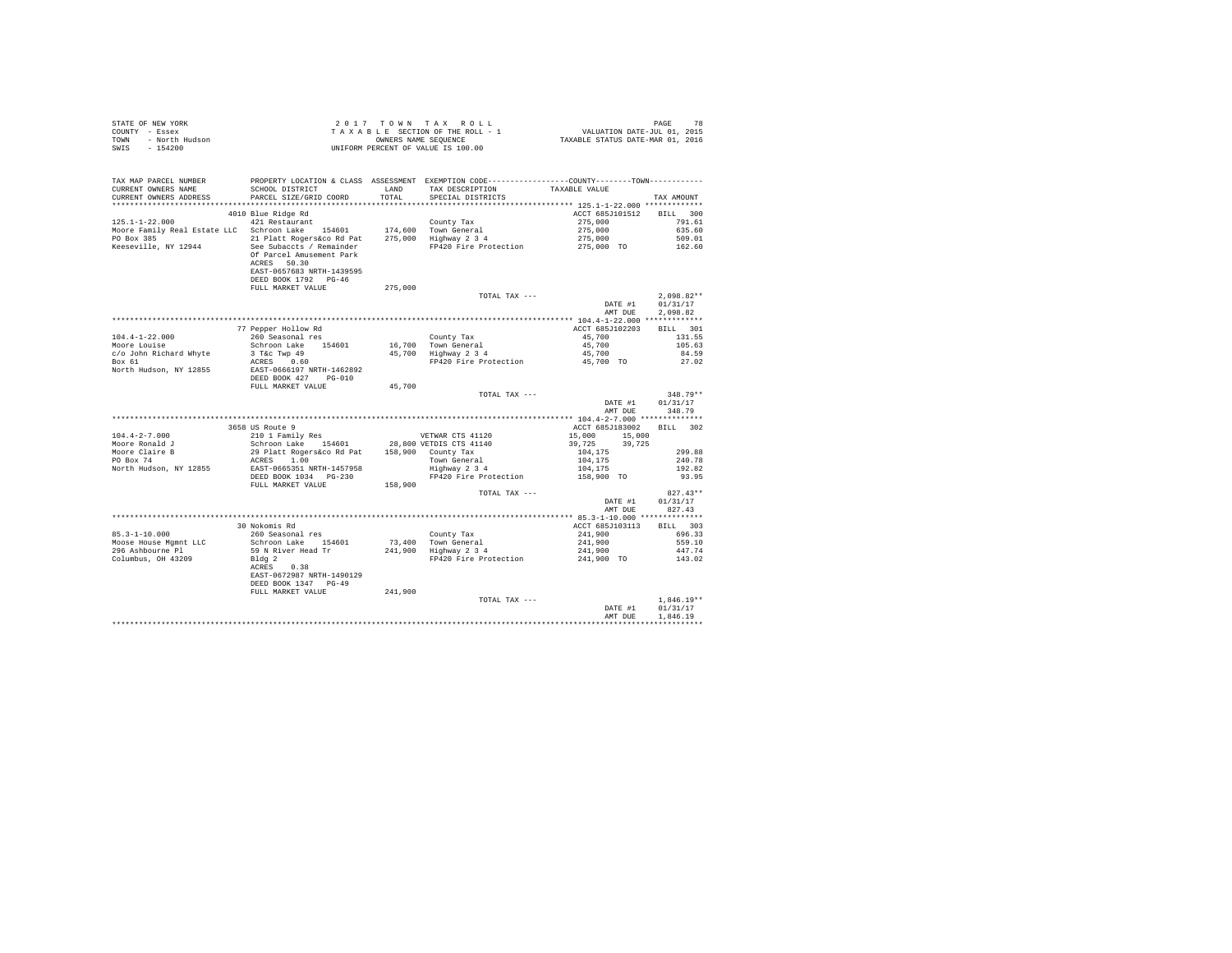| STATE OF NEW YORK      | 2017 TOWN TAX ROLL                 | 78<br>PAGE                       |
|------------------------|------------------------------------|----------------------------------|
| COUNTY - Essex         | TAXABLE SECTION OF THE ROLL - 1    | VALUATION DATE-JUL 01, 2015      |
| TOWN<br>- North Hudson | OWNERS NAME SEOUENCE               | TAXABLE STATUS DATE-MAR 01, 2016 |
| - 154200<br>SWIS       | UNIFORM PERCENT OF VALUE IS 100.00 |                                  |

| TAX MAP PARCEL NUMBER<br>CURRENT OWNERS NAME<br>CURRENT OWNERS ADDRESS | SCHOOL DISTRICT<br>PARCEL SIZE/GRID COORD         | LAND<br>TOTAL | PROPERTY LOCATION & CLASS ASSESSMENT EXEMPTION CODE---------------COUNTY-------TOWN----------<br>TAX DESCRIPTION<br>SPECIAL DISTRICTS | TAXABLE VALUE      | TAX AMOUNT   |
|------------------------------------------------------------------------|---------------------------------------------------|---------------|---------------------------------------------------------------------------------------------------------------------------------------|--------------------|--------------|
| **********************                                                 |                                                   |               |                                                                                                                                       |                    |              |
|                                                                        | 4010 Blue Ridge Rd                                |               |                                                                                                                                       | ACCT 685J101512    | BILL 300     |
| $125.1 - 1 - 22.000$                                                   | 421 Restaurant                                    |               | County Tax                                                                                                                            | 275,000            | 791.61       |
| Moore Family Real Estate LLC Schroon Lake 154601                       |                                                   |               |                                                                                                                                       |                    | 635.60       |
| PO Box 385                                                             | 21 Platt Rogers&co Rd Pat                         |               | 174,600 Town General<br>275,000 Highway 2 3 4                                                                                         | 275,000<br>275,000 | 509.01       |
| Keeseville, NY 12944                                                   | See Subaccts / Remainder                          |               | FP420 Fire Protection                                                                                                                 | 275,000 TO         | 162.60       |
|                                                                        | Of Parcel Amusement Park<br>ACRES 50.30           |               |                                                                                                                                       |                    |              |
|                                                                        | EAST-0657683 NRTH-1439595<br>DEED BOOK 1792 PG-46 |               |                                                                                                                                       |                    |              |
|                                                                        | FULL MARKET VALUE                                 | 275,000       |                                                                                                                                       |                    |              |
|                                                                        |                                                   |               | TOTAL TAX ---                                                                                                                         |                    | $2.098.82**$ |
|                                                                        |                                                   |               |                                                                                                                                       | DATE #1            | 01/31/17     |
|                                                                        |                                                   |               |                                                                                                                                       | AMT DUE            | 2.098.82     |
|                                                                        |                                                   |               |                                                                                                                                       |                    |              |
|                                                                        | 77 Pepper Hollow Rd                               |               |                                                                                                                                       | ACCT 685J102203    | BILL 301     |
| $104.4 - 1 - 22.000$                                                   | 260 Seasonal res                                  |               | County Tax                                                                                                                            | 45,700             | 131.55       |
| Moore Louise                                                           | Schroon Lake 154601                               |               |                                                                                                                                       | 45,700             | 105.63       |
| c/o John Richard Whyte                                                 | 3 T&C Twp 49                                      |               | 16,700 Town General<br>45,700 Highway 2 3 4                                                                                           | 45,700             | 84.59        |
| Box 61                                                                 | ACRES 0.60                                        |               | FP420 Fire Protection                                                                                                                 | 45,700 TO          | 27.02        |
| North Hudson, NY 12855                                                 | EAST-0666197 NRTH-1462892                         |               |                                                                                                                                       |                    |              |
|                                                                        | DEED BOOK 427 PG-010                              |               |                                                                                                                                       |                    |              |
|                                                                        | FULL MARKET VALUE                                 | 45,700        |                                                                                                                                       |                    |              |
|                                                                        |                                                   |               | TOTAL TAX ---                                                                                                                         |                    | 348.79**     |
|                                                                        |                                                   |               |                                                                                                                                       | DATE #1            | 01/31/17     |
|                                                                        |                                                   |               |                                                                                                                                       | AMT DUE            | 348.79       |
|                                                                        |                                                   |               |                                                                                                                                       |                    |              |
|                                                                        | 3658 US Route 9                                   |               |                                                                                                                                       | ACCT 685J183002    | BILL 302     |
| $104.4 - 2 - 7.000$                                                    | 210 1 Family Res                                  |               | VETWAR CTS 41120                                                                                                                      | 15,000 15,000      |              |
| Moore Ronald J                                                         | Schroon Lake 154601 28,800 VETDIS CTS 41140       |               |                                                                                                                                       | 39,725<br>39,725   |              |
| Moore Claire B                                                         | 29 Platt Rogers&co Rd Pat 158,900 County Tax      |               |                                                                                                                                       | 104,175            | 299.88       |
| PO Box 74                                                              | ACRES 1.00                                        |               |                                                                                                                                       |                    | 240.78       |
| North Hudson, NY 12855                                                 | EAST-0665351 NRTH-1457958                         |               | Town General<br>Highway 2 3 4                                                                                                         | 104,175<br>104,175 | 192.82       |
|                                                                        | DEED BOOK 1034 PG-230                             |               | FP420 Fire Protection                                                                                                                 | 158,900 TO         | 93.95        |
|                                                                        | FULL MARKET VALUE                                 | 158,900       |                                                                                                                                       |                    |              |
|                                                                        |                                                   |               | TOTAL TAX ---                                                                                                                         |                    | $827.43**$   |
|                                                                        |                                                   |               |                                                                                                                                       | DATE #1            | 01/31/17     |
|                                                                        |                                                   |               |                                                                                                                                       | AMT DUE            | 827.43       |
|                                                                        |                                                   |               |                                                                                                                                       |                    |              |
|                                                                        | 30 Nokomis Rd                                     |               |                                                                                                                                       | ACCT 685J103113    | BILL 303     |
| $85.3 - 1 - 10.000$                                                    | 260 Seasonal res                                  |               | County Tax                                                                                                                            | 241,900            | 696.33       |
| Moose House Mqmnt LLC                                                  | Schroon Lake 154601                               |               | 73,400 Town General                                                                                                                   | 241,900            | 559.10       |
| 296 Ashbourne Pl                                                       | 59 N River Head Tr                                |               | 241,900 Highway 2 3 4                                                                                                                 | 241,900            | 447.74       |
| Columbus, OH 43209                                                     | Bldg 2                                            |               | FP420 Fire Protection 241,900 TO 143.02                                                                                               |                    |              |
|                                                                        | 0.38<br>ACRES                                     |               |                                                                                                                                       |                    |              |
|                                                                        | EAST-0672987 NRTH-1490129                         |               |                                                                                                                                       |                    |              |
|                                                                        | DEED BOOK 1347 PG-49                              |               |                                                                                                                                       |                    |              |
|                                                                        | FULL MARKET VALUE                                 | 241,900       |                                                                                                                                       |                    |              |
|                                                                        |                                                   |               | TOTAL TAX ---                                                                                                                         |                    | $1.846.19**$ |
|                                                                        |                                                   |               |                                                                                                                                       | DATE #1            | 01/31/17     |
|                                                                        |                                                   |               |                                                                                                                                       | AMT DUE            | 1,846.19     |
|                                                                        |                                                   |               |                                                                                                                                       |                    |              |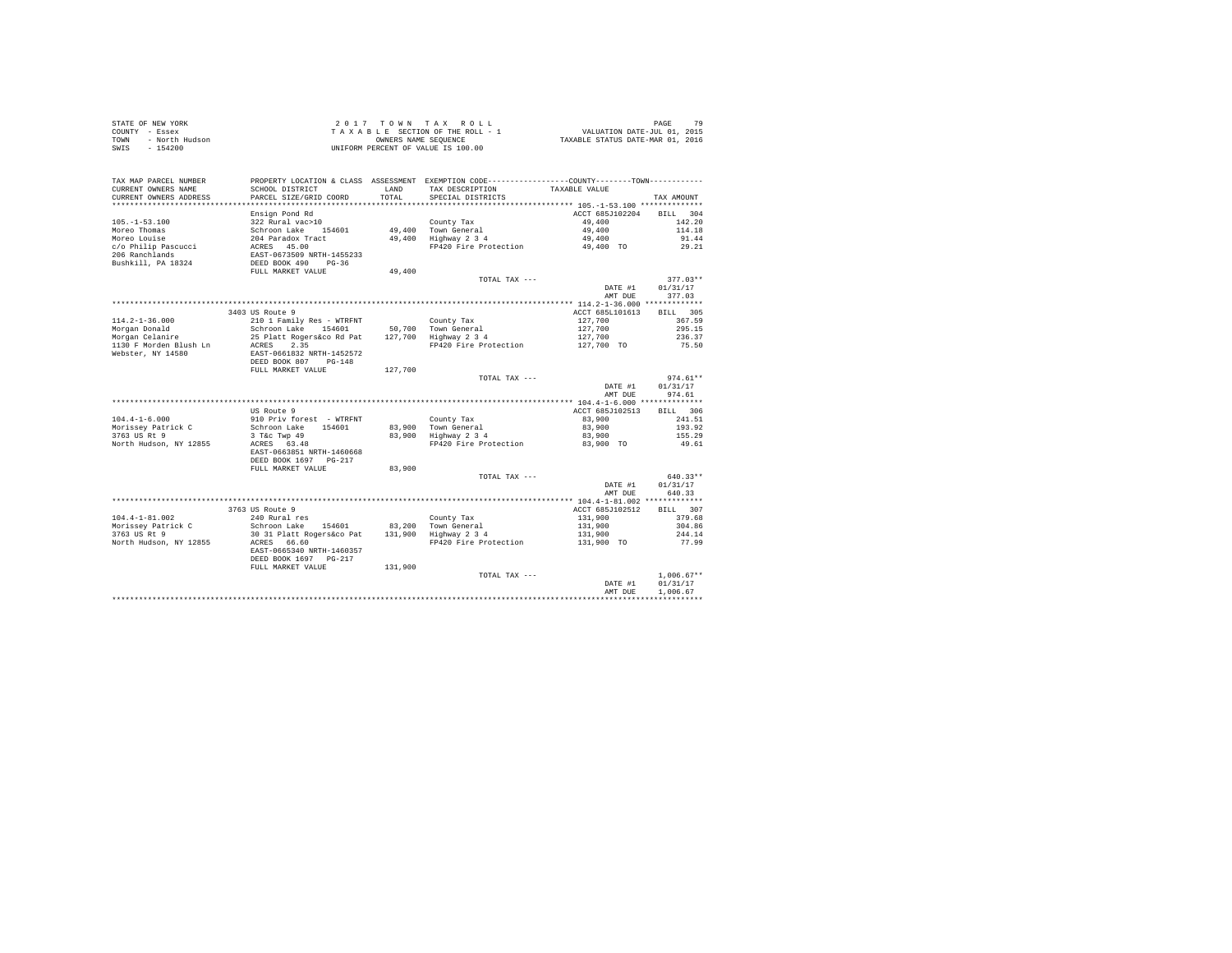| TAX MAP PARCEL NUMBER              |                                                                                                                 |         | PROPERTY LOCATION & CLASS ASSESSMENT EXEMPTION CODE----------------COUNTY--------TOWN---------- |                    |                        |
|------------------------------------|-----------------------------------------------------------------------------------------------------------------|---------|-------------------------------------------------------------------------------------------------|--------------------|------------------------|
| CURRENT OWNERS NAME                | SCHOOL DISTRICT                                                                                                 | LAND    | TAX DESCRIPTION                                                                                 | TAXABLE VALUE      |                        |
| CURRENT OWNERS ADDRESS             | PARCEL SIZE/GRID COORD                                                                                          | TOTAL   | SPECIAL DISTRICTS                                                                               |                    | TAX AMOUNT             |
|                                    | Ensign Pond Rd                                                                                                  |         |                                                                                                 | ACCT 685J102204    | BILL 304               |
| $105. - 1 - 53.100$                | 322 Rural vac>10                                                                                                |         | County Tax                                                                                      | 49,400             | 142.20                 |
| Moreo Thomas                       |                                                                                                                 |         | 49,400 Town General                                                                             | 49,400             | 114.18                 |
| Moreo Louise                       |                                                                                                                 |         | 49,400 fown General<br>49,400 Highway 234                                                       | 49,400             | 91.44                  |
| c/o Philip Pascucci                | Schroon Lake 154601<br>204 Paradox Tract<br>ACRES 45.00                                                         |         | FP420 Fire Protection 49,400 TO                                                                 |                    | 29.21                  |
| 206 Ranchlands                     |                                                                                                                 |         |                                                                                                 |                    |                        |
| Bushkill, PA 18324                 | EAST-0673509 NRTH-1455233<br>DEED BOOK 490 PG-36                                                                |         |                                                                                                 |                    |                        |
|                                    | FULL MARKET VALUE                                                                                               | 49,400  |                                                                                                 |                    |                        |
|                                    |                                                                                                                 |         | TOTAL TAX ---                                                                                   |                    | $377.03**$             |
|                                    |                                                                                                                 |         |                                                                                                 | DATE #1            | 01/31/17               |
|                                    |                                                                                                                 |         |                                                                                                 | AMT DUE            | 377.03                 |
|                                    | 3403 US Route 9                                                                                                 |         |                                                                                                 | ACCT 685L101613    | BILL 305               |
| $114.2 - 1 - 36.000$               | 210 1 Family Res - WTRFNT                                                                                       |         | County Tax                                                                                      |                    | 367.59                 |
| Morgan Donald                      | Schroon Lake 154601 50,700 Town General                                                                         |         |                                                                                                 | 127,700<br>127,700 | 295.15                 |
| Morgan Donaid<br>Morgan Celanire   | Schroon Lake 194601 - 50,700 Town General<br>25 Platt Rogers&co Rd Pat - 127,700 - Highway 2 3 4                |         |                                                                                                 | 127,700            | 236.37                 |
|                                    |                                                                                                                 |         | FP420 Fire Protection 127,700 TO                                                                |                    | 75.50                  |
| Webster, NY 14580                  | EAST-0661832 NRTH-1452572                                                                                       |         |                                                                                                 |                    |                        |
|                                    | DEED BOOK 807 PG-148                                                                                            |         |                                                                                                 |                    |                        |
|                                    | FULL MARKET VALUE 127,700                                                                                       |         |                                                                                                 |                    |                        |
|                                    |                                                                                                                 |         | TOTAL TAX ---                                                                                   | DATE #1            | $974.61**$<br>01/31/17 |
|                                    |                                                                                                                 |         |                                                                                                 | AMT DUE            | 974.61                 |
|                                    |                                                                                                                 |         |                                                                                                 |                    |                        |
|                                    | US Route 9                                                                                                      |         |                                                                                                 | ACCT 685J102513    | BILL 306               |
| $104.4 - 1 - 6.000$                | 910 Priv forest - WTRFNT                                                                                        |         | County Tax                                                                                      | 83,900             | 241.51                 |
| Morissey Patrick C                 | Schroon Lake 154601                                                                                             |         |                                                                                                 | 83,900             | 193.92                 |
| 3763 US Rt 9                       | 3 T&C Twp 49<br>ACRES 63.48                                                                                     |         | 83,900 Town General<br>83,900 Highway 2 3 4                                                     | 83,900             | 155.29                 |
| North Hudson, NY 12855             |                                                                                                                 |         | FP420 Fire Protection                                                                           | 83,900 TO          | 49.61                  |
|                                    | EAST-0663851 NRTH-1460668                                                                                       |         |                                                                                                 |                    |                        |
|                                    | DEED BOOK 1697 PG-217                                                                                           |         |                                                                                                 |                    |                        |
|                                    | FULL MARKET VALUE                                                                                               | 83,900  | TOTAL TAX ---                                                                                   |                    | $640.33**$             |
|                                    |                                                                                                                 |         |                                                                                                 | DATE #1            | 01/31/17               |
|                                    |                                                                                                                 |         |                                                                                                 | AMT DUE            | 640.33                 |
|                                    |                                                                                                                 |         |                                                                                                 |                    |                        |
|                                    | 3763 US Route 9                                                                                                 |         |                                                                                                 | ACCT 685J102512    | BILL 307               |
| $104.4 - 1 - 81.002$               | 240 Rural res                                                                                                   |         | County Tax                                                                                      | 131,900            | 379.68                 |
| Morissey Patrick C<br>3763 US Rt 9 | 24 Mulai Es<br>Schroon Lake 154601 - 83,200 Town General<br>30 31 Platt Rogers&co Pat - 131,900 - Highway 2 3 4 |         |                                                                                                 | 131,900            | 304.86                 |
|                                    |                                                                                                                 |         |                                                                                                 | 131,900            | 244.14                 |
| North Hudson, NY 12855             | ACRES 66.60                                                                                                     |         | FP420 Fire Protection                                                                           | 131,900 TO         | 77.99                  |
|                                    | EAST-0665340 NRTH-1460357                                                                                       |         |                                                                                                 |                    |                        |
|                                    | DEED BOOK 1697 PG-217                                                                                           |         |                                                                                                 |                    |                        |
|                                    | FULL MARKET VALUE                                                                                               | 131,900 | TOTAL TAX ---                                                                                   |                    | $1.006.67**$           |
|                                    |                                                                                                                 |         |                                                                                                 | DATE #1            | 01/31/17               |
|                                    |                                                                                                                 |         |                                                                                                 | AMT DUE            | 1,006.67               |
|                                    |                                                                                                                 |         |                                                                                                 |                    |                        |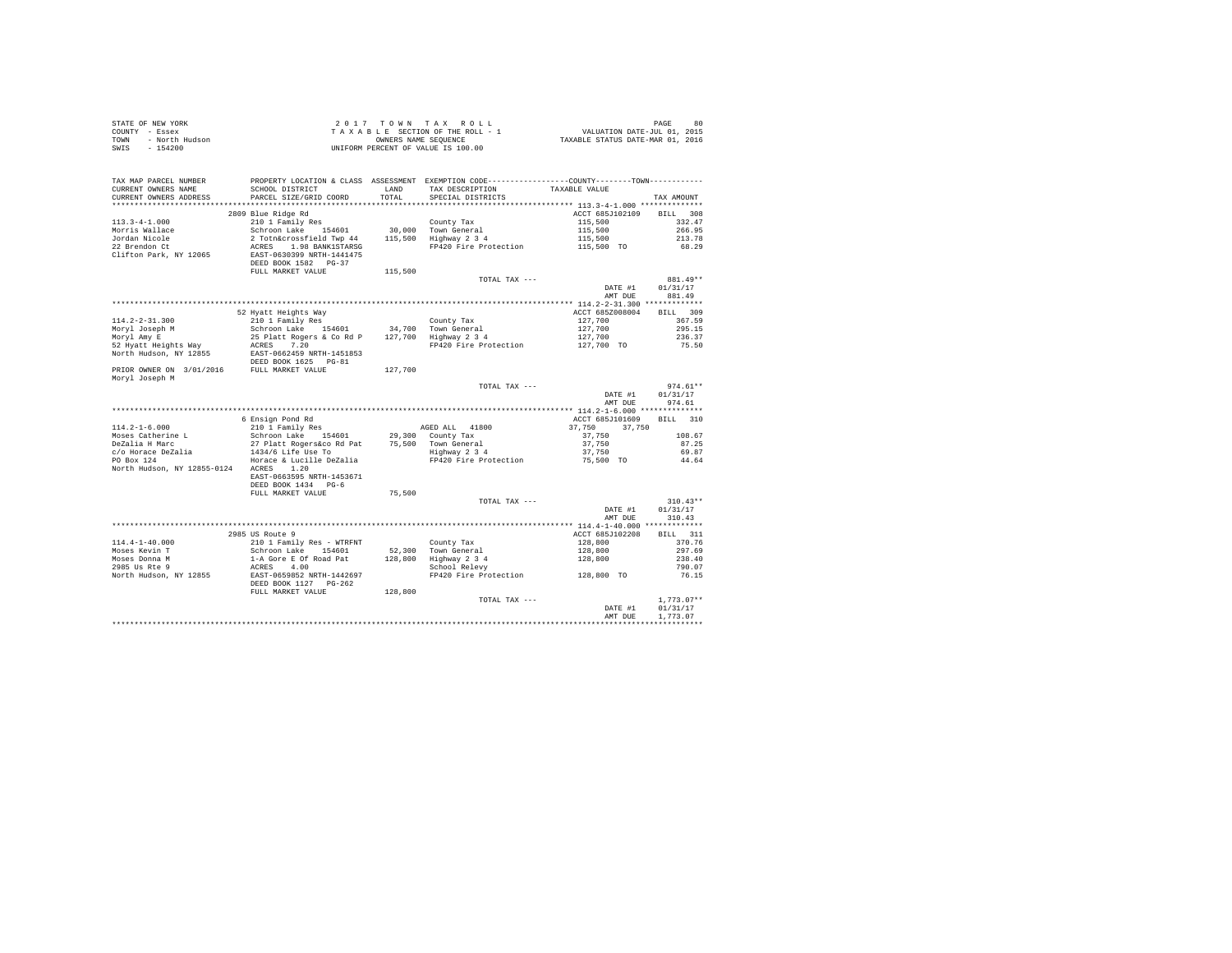|      | STATE OF NEW YORK | 2017 TOWN TAX ROLL                 | 80<br>PAGE                       |
|------|-------------------|------------------------------------|----------------------------------|
|      | COUNTY - Essex    | TAXABLE SECTION OF THE ROLL - 1    | VALUATION DATE-JUL 01, 2015      |
| TOWN | - North Hudson    | OWNERS NAME SEOUENCE               | TAXABLE STATUS DATE-MAR 01, 2016 |
| SWIS | - 154200          | UNIFORM PERCENT OF VALUE IS 100.00 |                                  |

| TAX MAP PARCEL NUMBER<br>CURRENT OWNERS NAME<br>CURRENT OWNERS ADDRESS | SCHOOL DISTRICT<br>PARCEL SIZE/GRID COORD | LAND<br>TOTAL | PROPERTY LOCATION & CLASS ASSESSMENT EXEMPTION CODE---------------COUNTY-------TOWN----------<br>TAX DESCRIPTION<br>SPECIAL DISTRICTS | TAXABLE VALUE    | TAX AMOUNT         |
|------------------------------------------------------------------------|-------------------------------------------|---------------|---------------------------------------------------------------------------------------------------------------------------------------|------------------|--------------------|
| ****************                                                       |                                           | *********     | ************************************** 113.3-4-1.000 **************                                                                   |                  |                    |
|                                                                        |                                           |               |                                                                                                                                       |                  |                    |
|                                                                        | 2809 Blue Ridge Rd                        |               |                                                                                                                                       | ACCT 685J102109  | 308<br>BILL        |
| $113.3 - 4 - 1.000$                                                    | 210 1 Family Res                          |               | County Tax                                                                                                                            | 115,500          | 332.47             |
| Morris Wallace                                                         | Schroon Lake<br>154601                    |               | 30,000 Town General                                                                                                                   | 115,500          | 266.95             |
| Jordan Nicole                                                          | 2 Totn&crossfield Twp 44                  |               | 115,500 Highway 2 3 4                                                                                                                 | 115,500          | 213.78             |
| 22 Brendon Ct                                                          | ACRES 1.98 BANK1STARSG                    |               | FP420 Fire Protection                                                                                                                 | 115,500 TO       | 68.29              |
| Clifton Park, NY 12065                                                 | EAST-0630399 NRTH-1441475                 |               |                                                                                                                                       |                  |                    |
|                                                                        | DEED BOOK 1582 PG-37                      |               |                                                                                                                                       |                  |                    |
|                                                                        | FULL MARKET VALUE                         | 115,500       |                                                                                                                                       |                  |                    |
|                                                                        |                                           |               | TOTAL TAX ---                                                                                                                         |                  | 881.49**           |
|                                                                        |                                           |               |                                                                                                                                       | DATE #1          | 01/31/17           |
|                                                                        |                                           |               |                                                                                                                                       | AMT DUE          | 881.49             |
|                                                                        |                                           |               |                                                                                                                                       |                  |                    |
|                                                                        | 52 Hyatt Heights Way                      |               |                                                                                                                                       | ACCT 685Z008004  | BILL 309           |
| $114.2 - 2 - 31.300$                                                   | 210 1 Family Res                          |               | County Tax                                                                                                                            | 127,700          | 367.59             |
| Moryl Joseph M                                                         | Schroon Lake 154601                       |               | 34,700 Town General                                                                                                                   | 127,700          | 295.15             |
| Moryl Amy E                                                            | 25 Platt Rogers & Co Rd P                 |               | 127,700 Highway 2 3 4                                                                                                                 | 127,700          | 236.37             |
| 52 Hyatt Heights Way                                                   | 7.20<br>ACRES                             |               | FP420 Fire Protection                                                                                                                 | 127,700 TO       | 75.50              |
| North Hudson, NY 12855                                                 | EAST-0662459 NRTH-1451853                 |               |                                                                                                                                       |                  |                    |
|                                                                        | DEED BOOK 1625 PG-81                      |               |                                                                                                                                       |                  |                    |
| PRIOR OWNER ON 3/01/2016                                               |                                           | 127,700       |                                                                                                                                       |                  |                    |
|                                                                        | FULL MARKET VALUE                         |               |                                                                                                                                       |                  |                    |
| Moryl Joseph M                                                         |                                           |               |                                                                                                                                       |                  |                    |
|                                                                        |                                           |               | TOTAL TAX ---                                                                                                                         |                  | $974.61**$         |
|                                                                        |                                           |               |                                                                                                                                       | DATE #1          | 01/31/17           |
|                                                                        |                                           |               |                                                                                                                                       | AMT DUE          | 974.61             |
|                                                                        |                                           |               |                                                                                                                                       |                  |                    |
|                                                                        | 6 Ensign Pond Rd                          |               |                                                                                                                                       | ACCT 685J101609  | <b>BILL</b><br>310 |
| $114.2 - 1 - 6.000$                                                    | 210 1 Family Res                          |               | AGED ALL 41800                                                                                                                        | 37,750<br>37,750 |                    |
| Moses Catherine L                                                      | Schroon Lake 154601                       |               | 29,300 County Tax                                                                                                                     | 37,750           | 108.67             |
| DeZalia H Marc                                                         | 27 Platt Rogers&co Rd Pat                 |               | 75,500 Town General                                                                                                                   | 37,750           | 87.25              |
| c/o Horace DeZalia                                                     | 1434/6 Life Use To                        |               | Highway 2 3 4                                                                                                                         | 37,750           | 69.87              |
| PO Box 124                                                             | Horace & Lucille DeZalia                  |               | FP420 Fire Protection                                                                                                                 | 75,500 TO        | 44.64              |
| North Hudson, NY 12855-0124 ACRES                                      | 1.20                                      |               |                                                                                                                                       |                  |                    |
|                                                                        | EAST-0663595 NRTH-1453671                 |               |                                                                                                                                       |                  |                    |
|                                                                        | DEED BOOK 1434 PG-6                       |               |                                                                                                                                       |                  |                    |
|                                                                        | FULL MARKET VALUE                         | 75,500        |                                                                                                                                       |                  |                    |
|                                                                        |                                           |               | TOTAL TAX ---                                                                                                                         |                  | $310.43**$         |
|                                                                        |                                           |               |                                                                                                                                       | DATE #1          | 01/31/17           |
|                                                                        |                                           |               |                                                                                                                                       | AMT DUE          | 310.43             |
|                                                                        |                                           |               |                                                                                                                                       |                  |                    |
|                                                                        | 2985 US Route 9                           |               |                                                                                                                                       | ACCT 685J102208  | BILL 311           |
| $114.4 - 1 - 40.000$                                                   | 210 1 Family Res - WTRFNT                 |               | County Tax                                                                                                                            | 128,800          | 370.76             |
| Moses Kevin T                                                          | Schroon Lake 154601                       | 52,300        | Town General                                                                                                                          | 128,800          | 297.69             |
| Moses Donna M                                                          | 1-A Gore E Of Road Pat                    | 128,800       | Town General<br>Highway 2 3 4                                                                                                         | 128,800          | 238.40             |
| 2985 Us Rte 9                                                          | ACRES<br>4.00                             |               | School Relevy                                                                                                                         |                  | 790.07             |
| North Hudson, NY 12855                                                 | EAST-0659852 NRTH-1442697                 |               | FP420 Fire Protection                                                                                                                 | 128,800 TO       | 76.15              |
|                                                                        | DEED BOOK 1127 PG-262                     |               |                                                                                                                                       |                  |                    |
|                                                                        | FULL MARKET VALUE                         | 128,800       |                                                                                                                                       |                  |                    |
|                                                                        |                                           |               | TOTAL TAX ---                                                                                                                         |                  | $1,773.07**$       |
|                                                                        |                                           |               |                                                                                                                                       | DATE #1          | 01/31/17           |
|                                                                        |                                           |               |                                                                                                                                       | AMT DUE          | 1,773.07           |
|                                                                        |                                           |               |                                                                                                                                       |                  |                    |
|                                                                        |                                           |               |                                                                                                                                       |                  |                    |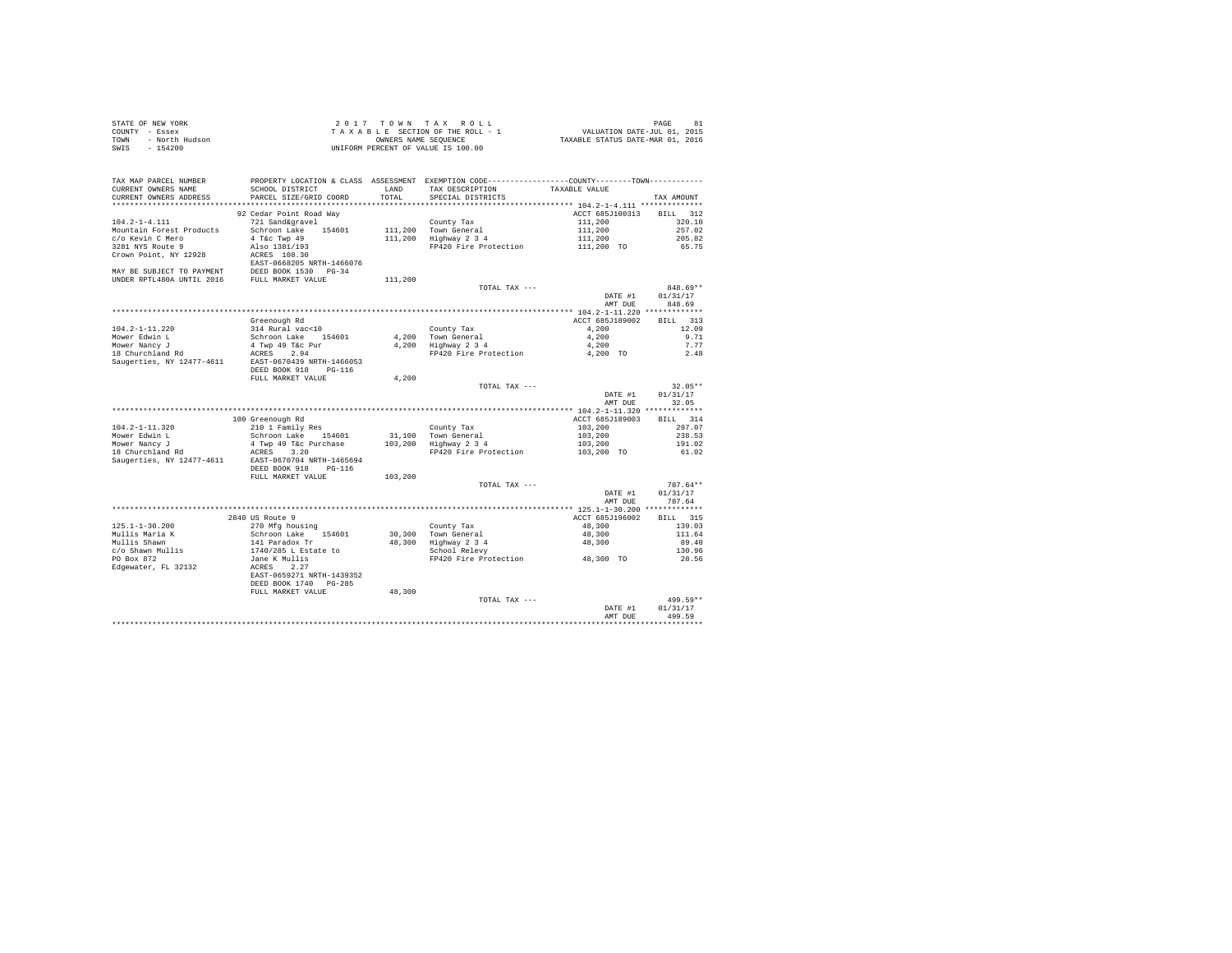| STATE OF NEW YORK      | 2017 TOWN TAX ROLL                 | 81<br>PAGE                       |
|------------------------|------------------------------------|----------------------------------|
| COUNTY - Essex         | TAXABLE SECTION OF THE ROLL - 1    | VALUATION DATE-JUL 01, 2015      |
| TOWN<br>- North Hudson | OWNERS NAME SEOUENCE               | TAXABLE STATUS DATE-MAR 01, 2016 |
| SWTS<br>$-154200$      | UNIFORM PERCENT OF VALUE IS 100.00 |                                  |
|                        |                                    |                                  |

| TAX MAP PARCEL NUMBER<br>CURRENT OWNERS NAME        | PROPERTY LOCATION & CLASS ASSESSMENT EXEMPTION CODE---------------COUNTY-------TOWN----------<br>SCHOOL DISTRICT | LAND    | TAX DESCRIPTION                 | TAXABLE VALUE   |            |
|-----------------------------------------------------|------------------------------------------------------------------------------------------------------------------|---------|---------------------------------|-----------------|------------|
| CURRENT OWNERS ADDRESS                              | PARCEL SIZE/GRID COORD                                                                                           | TOTAL   | SPECIAL DISTRICTS               |                 | TAX AMOUNT |
|                                                     |                                                                                                                  |         |                                 |                 |            |
|                                                     | 92 Cedar Point Road Way                                                                                          |         |                                 | ACCT 685J100313 | BILL 312   |
| $104.2 - 1 - 4.111$                                 |                                                                                                                  |         |                                 |                 | 320.10     |
|                                                     | 721 Sand&gravel                                                                                                  |         | County Tax                      | 111,200         |            |
| Mountain Forest Products                            | Schroon Lake<br>154601                                                                                           |         | 111,200 Town General            | 111,200         | 257.02     |
| c/o Kevin C Mero                                    | 4 T&c Twp 49                                                                                                     |         | 111,200 Highway 2 3 4           | 111,200         | 205.82     |
| 3281 NYS Route 9                                    | Also 1381/193                                                                                                    |         | FP420 Fire Protection           | 111,200 TO      | 65.75      |
| Crown Point, NY 12928                               | ACRES 108.30                                                                                                     |         |                                 |                 |            |
|                                                     | EAST-0668205 NRTH-1466076<br>DEED BOOK 1530 PG-34                                                                |         |                                 |                 |            |
| MAY BE SUBJECT TO PAYMENT                           |                                                                                                                  |         |                                 |                 |            |
| UNDER RPTL480A UNTIL 2016 FULL MARKET VALUE         |                                                                                                                  | 111,200 |                                 |                 |            |
|                                                     |                                                                                                                  |         | TOTAL TAX ---                   |                 | 848.69**   |
|                                                     |                                                                                                                  |         |                                 | DATE #1         | 01/31/17   |
|                                                     |                                                                                                                  |         |                                 | AMT DUE         | 848.69     |
|                                                     |                                                                                                                  |         |                                 |                 |            |
|                                                     | Greenough Rd                                                                                                     |         |                                 | ACCT 685J189002 | BILL 313   |
| $104.2 - 1 - 11.220$                                | 314 Rural vac<10                                                                                                 |         | County Tax                      | 4.200           | 12.09      |
| Mower Edwin L                                       | Schroon Lake 154601                                                                                              |         | 4.200 Town General              | 4,200           | 9.71       |
| Mower Nancy J                                       | 4 Twp 49 T&c Pur                                                                                                 |         | 4,200 Highway 2 3 4             | 4,200           | 7.77       |
| 18 Churchland Rd                                    | ACRES 2.94                                                                                                       |         | FP420 Fire Protection           | 4,200 TO        | 2.48       |
| Saugerties, NY 12477-4611 EAST-0670439 NRTH-1466053 |                                                                                                                  |         |                                 |                 |            |
|                                                     | DEED BOOK 918<br>$PG-116$                                                                                        |         |                                 |                 |            |
|                                                     | FULL MARKET VALUE                                                                                                | 4.200   |                                 |                 |            |
|                                                     |                                                                                                                  |         | TOTAL TAX ---                   |                 | $32.05**$  |
|                                                     |                                                                                                                  |         |                                 | DATE #1         | 01/31/17   |
|                                                     |                                                                                                                  |         |                                 | AMT DUE         | 32.05      |
|                                                     |                                                                                                                  |         |                                 |                 |            |
|                                                     | 100 Greenough Rd                                                                                                 |         |                                 | ACCT 685J189003 | BILL 314   |
| $104.2 - 1 - 11.320$                                | 210 1 Family Res                                                                                                 |         | County Tax                      | 103,200         | 297.07     |
| Mower Edwin L                                       | Schroon Lake 154601                                                                                              |         | 31,100 Town General             | 103,200         | 238.53     |
| Mower Nancy J                                       | 4 Twp 49 T&c Purchase                                                                                            |         | 103,200 Highway 2 3 4           | 103,200         | 191.02     |
| 18 Churchland Rd                                    | ACRES 3.20                                                                                                       |         | FP420 Fire Protection           | 103,200 TO      | 61.02      |
| Saugerties, NY 12477-4611                           | EAST-0670704 NRTH-1465694                                                                                        |         |                                 |                 |            |
|                                                     | DEED BOOK 918<br>$PG-116$                                                                                        |         |                                 |                 |            |
|                                                     | FULL MARKET VALUE                                                                                                | 103,200 |                                 |                 |            |
|                                                     |                                                                                                                  |         | TOTAL TAX ---                   |                 | 787.64**   |
|                                                     |                                                                                                                  |         |                                 | DATE #1         | 01/31/17   |
|                                                     |                                                                                                                  |         |                                 | AMT DUE         | 787.64     |
|                                                     |                                                                                                                  |         |                                 |                 |            |
|                                                     | 2840 US Route 9                                                                                                  |         |                                 | ACCT 685J196002 | BILL 315   |
| $125.1 - 1 - 30.200$                                | 270 Mfg housing                                                                                                  |         | County Tax                      | 48,300          | 139.03     |
| Mullis Maria K                                      |                                                                                                                  |         | 30.300 Town General             | 48,300          | 111.64     |
| Mullis Shawn                                        | Schroon Lake 154601<br>141 Paradox Tr<br>1740/285 L Estate to<br>Jane K Mullis                                   |         | 48,300 Highway 2 3 4            | 48,300          | 89.40      |
| c/o Shawn Mullis                                    |                                                                                                                  |         | School Relevy                   |                 | 130.96     |
| PO Box 872                                          |                                                                                                                  |         | FP420 Fire Protection 48,300 TO |                 | 28.56      |
| Edgewater, FL 32132                                 | ACRES<br>2.27                                                                                                    |         |                                 |                 |            |
|                                                     | EAST-0659271 NRTH-1439352                                                                                        |         |                                 |                 |            |
|                                                     | DEED BOOK 1740 PG-285                                                                                            |         |                                 |                 |            |
|                                                     | FULL MARKET VALUE                                                                                                | 48,300  |                                 |                 |            |
|                                                     |                                                                                                                  |         | TOTAL TAX ---                   |                 | 499.59**   |
|                                                     |                                                                                                                  |         |                                 | DATE #1         | 01/31/17   |
|                                                     |                                                                                                                  |         |                                 | AMT DUE         | 499.59     |
|                                                     |                                                                                                                  |         |                                 |                 |            |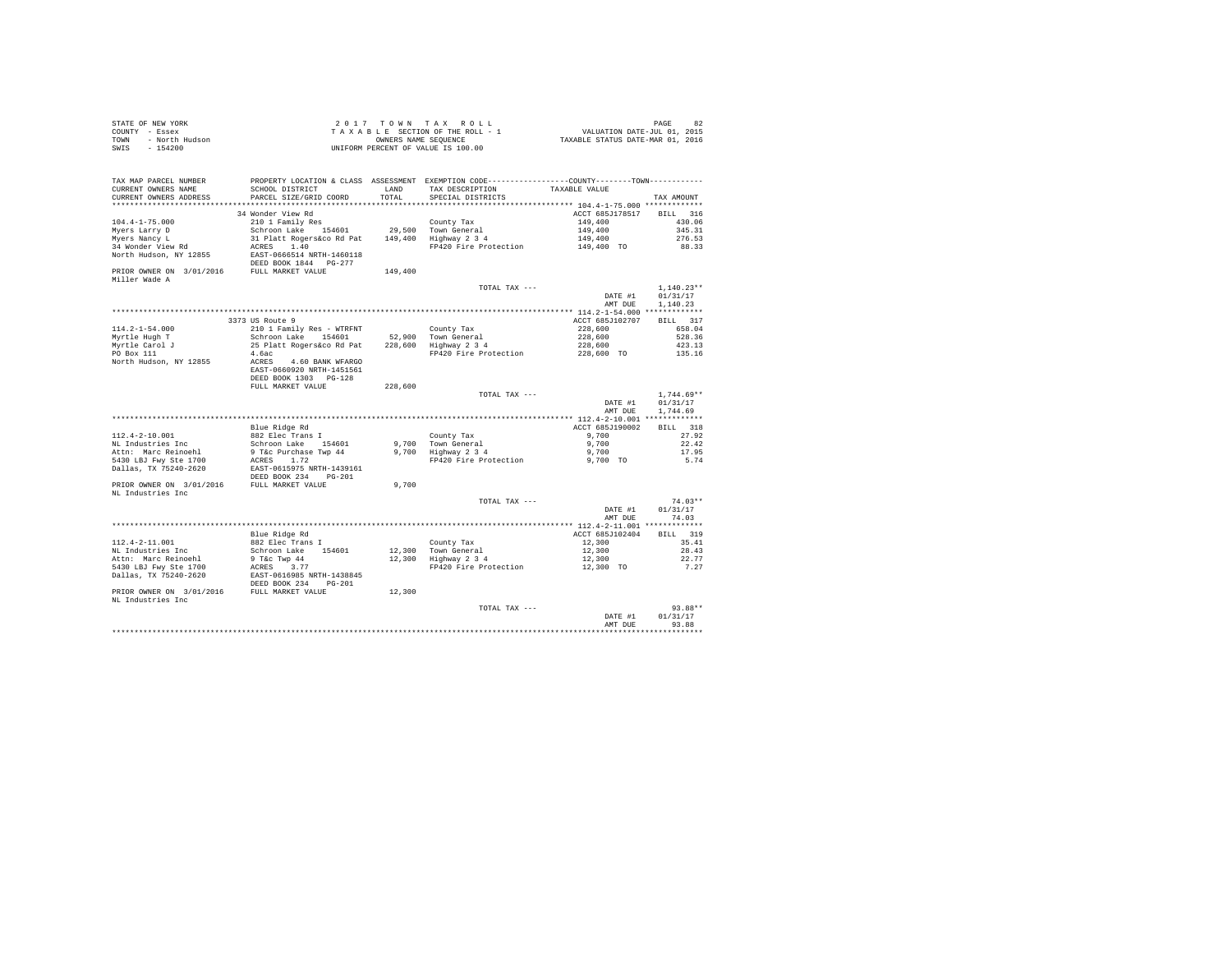| STATE OF NEW YORK      | 2017 TOWN TAX ROLL                 | 82<br>PAGE                       |
|------------------------|------------------------------------|----------------------------------|
| COUNTY - Essex         | TAXABLE SECTION OF THE ROLL - 1    | VALUATION DATE-JUL 01, 2015      |
| TOWN<br>- North Hudson | OWNERS NAME SEOUENCE               | TAXABLE STATUS DATE-MAR 01, 2016 |
| - 154200<br>SWIS       | UNIFORM PERCENT OF VALUE IS 100.00 |                                  |

| TAX MAP PARCEL NUMBER                                           |                           |         | PROPERTY LOCATION & CLASS ASSESSMENT EXEMPTION CODE---------------COUNTY-------TOWN--------- |                 |              |
|-----------------------------------------------------------------|---------------------------|---------|----------------------------------------------------------------------------------------------|-----------------|--------------|
| CURRENT OWNERS NAME                                             | SCHOOL DISTRICT           | LAND    | TAX DESCRIPTION                                                                              | TAXABLE VALUE   |              |
| CURRENT OWNERS ADDRESS                                          | PARCEL SIZE/GRID COORD    | TOTAL   | SPECIAL DISTRICTS                                                                            |                 | TAX AMOUNT   |
|                                                                 |                           |         |                                                                                              |                 |              |
|                                                                 | 34 Wonder View Rd         |         |                                                                                              | ACCT 685J178517 | BILL 316     |
| $104.4 - 1 - 75.000$                                            | 210 1 Family Res          |         | County Tax                                                                                   | 149,400         | 430.06       |
| Myers Larry D                                                   | Schroon Lake<br>154601    |         | 29,500 Town General                                                                          | 149,400         | 345.31       |
| Myers Nancy L                                                   | 31 Platt Rogers&co Rd Pat |         | 149,400 Highway 2 3 4                                                                        | 149,400         | 276.53       |
| 34 Wonder View Rd                                               | 1.40<br>ACRES             |         | FP420 Fire Protection                                                                        | 149,400 TO      | 88.33        |
| North Hudson, NY 12855                                          | EAST-0666514 NRTH-1460118 |         |                                                                                              |                 |              |
|                                                                 | DEED BOOK 1844 PG-277     |         |                                                                                              |                 |              |
| PRIOR OWNER ON 3/01/2016 FULL MARKET VALUE                      |                           | 149,400 |                                                                                              |                 |              |
| Miller Wade A                                                   |                           |         |                                                                                              |                 |              |
|                                                                 |                           |         | TOTAL TAX ---                                                                                |                 | $1.140.23**$ |
|                                                                 |                           |         |                                                                                              | DATE #1         | 01/31/17     |
|                                                                 |                           |         |                                                                                              | AMT DUE         | 1,140.23     |
|                                                                 |                           |         |                                                                                              |                 |              |
|                                                                 | 3373 US Route 9           |         |                                                                                              | ACCT 685J102707 | BILL 317     |
| $114.2 - 1 - 54.000$                                            | 210 1 Family Res - WTRFNT |         | County Tax                                                                                   | 228,600         | 658.04       |
| Mvrtle Hugh T                                                   | Schroon Lake 154601       |         | 52.900 Town General                                                                          | 228,600         | 528.36       |
| Myrtle Carol J                                                  | 25 Platt Rogers&co Rd Pat |         | 228,600 Highway 2 3 4                                                                        | 228,600         | 423.13       |
| PO Box 111                                                      | 4.6ac                     |         | FP420 Fire Protection                                                                        | 228,600 TO      | 135.16       |
| North Hudson, NY 12855                                          | ACRES<br>4.60 BANK WFARGO |         |                                                                                              |                 |              |
|                                                                 | EAST-0660920 NRTH-1451561 |         |                                                                                              |                 |              |
|                                                                 | DEED BOOK 1303 PG-128     |         |                                                                                              |                 |              |
|                                                                 | FULL MARKET VALUE         | 228,600 |                                                                                              |                 |              |
|                                                                 |                           |         | TOTAL TAX ---                                                                                |                 | $1.744.69**$ |
|                                                                 |                           |         |                                                                                              | DATE #1         | 01/31/17     |
|                                                                 |                           |         |                                                                                              | AMT DUE         | 1,744.69     |
|                                                                 |                           |         |                                                                                              |                 |              |
|                                                                 | Blue Ridge Rd             |         |                                                                                              | ACCT 685J190002 | BILL 318     |
| $112.4 - 2 - 10.001$                                            | 882 Elec Trans I          |         | County Tax                                                                                   | 9,700           | 27.92        |
| NL Industries Inc                                               | Schroon Lake<br>154601    |         | 9,700 Town General                                                                           | 9,700           | 22.42        |
|                                                                 | 9 T&c Purchase Twp 44     |         | 9,700 Highway 2 3 4                                                                          | 9,700           | 17.95        |
|                                                                 |                           |         |                                                                                              |                 |              |
|                                                                 |                           |         |                                                                                              |                 |              |
| Attn: Marc Reinoehl<br>5430 LBJ Fwy Ste 1700                    | ACRES 1.72                |         | FP420 Fire Protection                                                                        | 9,700 TO        | 5.74         |
| Dallas, TX 75240-2620                                           | EAST-0615975 NRTH-1439161 |         |                                                                                              |                 |              |
|                                                                 | DEED BOOK 234 PG-201      |         |                                                                                              |                 |              |
| PRIOR OWNER ON 3/01/2016 FULL MARKET VALUE                      |                           | 9,700   |                                                                                              |                 |              |
| NL Industries Inc                                               |                           |         |                                                                                              |                 |              |
|                                                                 |                           |         | TOTAL TAX ---                                                                                |                 | $74.03**$    |
|                                                                 |                           |         |                                                                                              | DATE #1         | 01/31/17     |
|                                                                 |                           |         |                                                                                              | AMT DUE         | 74.03        |
|                                                                 |                           |         |                                                                                              |                 |              |
|                                                                 | Blue Ridge Rd             |         |                                                                                              | ACCT 685J102404 | BILL 319     |
| $112.4 - 2 - 11.001$                                            | 882 Elec Trans I          |         | County Tax                                                                                   | 12,300          | 35.41        |
| NL Industries Inc                                               | Schroon Lake 154601       |         | 12,300 Town General                                                                          | 12,300          | 28.43        |
| Attn: Marc Reinoehl                                             | 9 T&c Twp 44              |         | 12,300 Highway 2 3 4                                                                         | 12,300          | 22.77        |
| 5430 LBJ Fwy Ste 1700                                           | ACRES<br>3.77             |         | FP420 Fire Protection                                                                        | 12,300 TO       | 7.27         |
| Dallas, TX 75240-2620                                           | EAST-0616985 NRTH-1438845 |         |                                                                                              |                 |              |
|                                                                 | DEED BOOK 234<br>$PG-201$ |         |                                                                                              |                 |              |
|                                                                 |                           | 12,300  |                                                                                              |                 |              |
|                                                                 |                           |         |                                                                                              |                 |              |
| PRIOR OWNER ON 3/01/2016 FULL MARKET VALUE<br>NL Industries Inc |                           |         | TOTAL TAX ---                                                                                |                 | $93.88**$    |
|                                                                 |                           |         |                                                                                              | DATE #1         | 01/31/17     |
|                                                                 |                           |         |                                                                                              | AMT DUE         | 93.88        |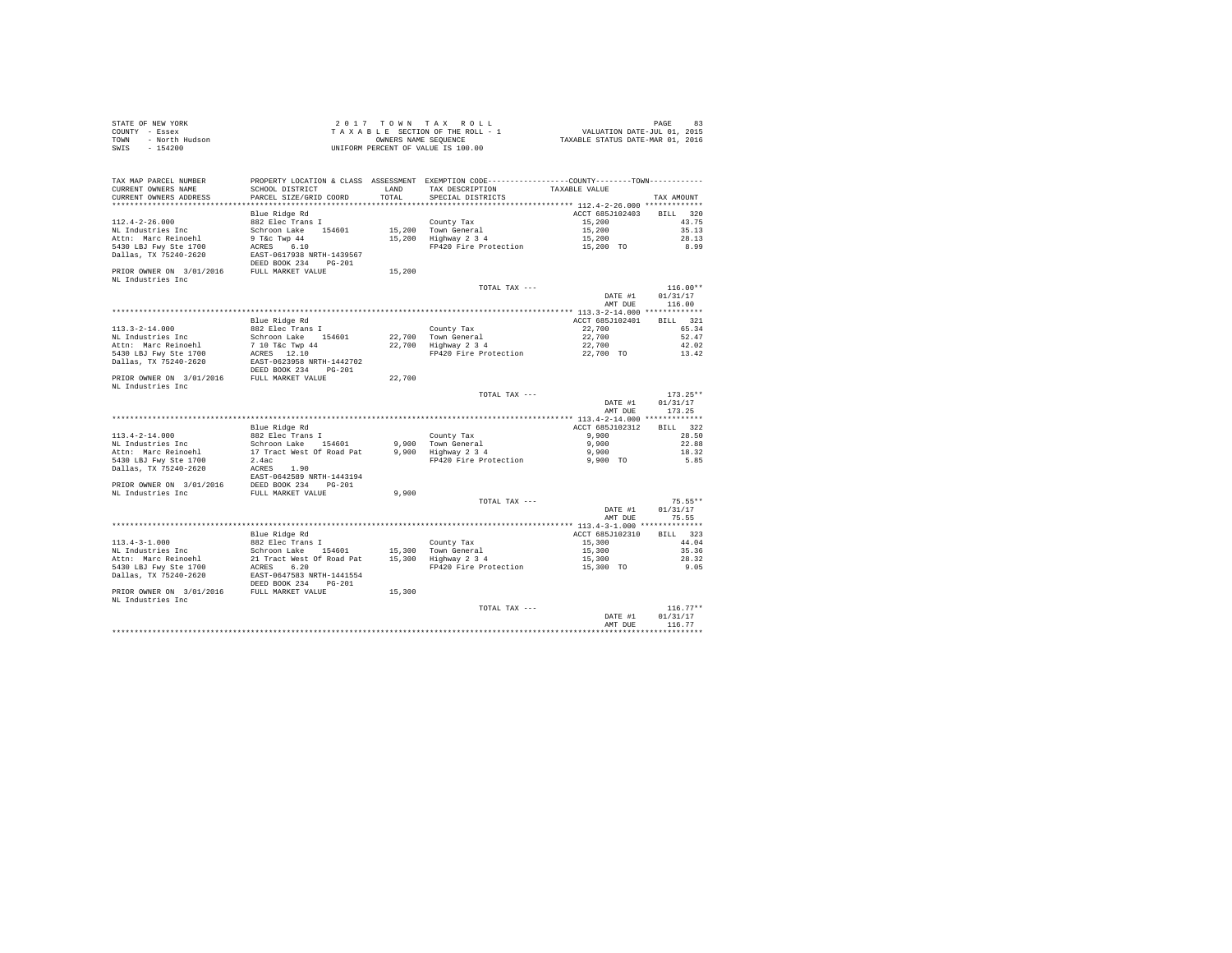| STATE OF NEW YORK      | 2017 TOWN TAX ROLL                 | PAGE                             |
|------------------------|------------------------------------|----------------------------------|
| COUNTY - Essex         | TAXABLE SECTION OF THE ROLL - 1    | VALUATION DATE-JUL 01, 2015      |
| TOWN<br>- North Hudson | OWNERS NAME SEOUENCE               | TAXABLE STATUS DATE-MAR 01, 2016 |
| SWIS - 154200          | UNIFORM PERCENT OF VALUE IS 100.00 |                                  |

| TAX MAP PARCEL NUMBER<br>CURRENT OWNERS NAME  | PROPERTY LOCATION & CLASS ASSESSMENT EXEMPTION CODE---------------COUNTY-------TOWN---------<br>SCHOOL DISTRICT | LAND   | TAX DESCRIPTION                                         | TAXABLE VALUE      |            |
|-----------------------------------------------|-----------------------------------------------------------------------------------------------------------------|--------|---------------------------------------------------------|--------------------|------------|
| CURRENT OWNERS ADDRESS                        | PARCEL SIZE/GRID COORD                                                                                          | TOTAL  | SPECIAL DISTRICTS                                       |                    | TAX AMOUNT |
|                                               | Blue Ridge Rd                                                                                                   |        |                                                         | ACCT 685J102403    | BILL 320   |
| $112.4 - 2 - 26.000$                          | 882 Elec Trans I                                                                                                |        | County Tax                                              | 15,200             | 43.75      |
| NL Industries Inc                             | Schroon Lake 154601                                                                                             |        | 15,200 Town General                                     | 15,200             | 35.13      |
| Attn: Marc Reinoehl                           | 9 T&c Twp 44                                                                                                    |        | 15,200 Highway 2 3 4                                    | 15,200             | 28.13      |
|                                               |                                                                                                                 |        |                                                         |                    |            |
| 5430 LBJ Fwy Ste 1700                         | ACRES 6.10                                                                                                      |        | FP420 Fire Protection                                   | 15,200 TO          | 8.99       |
| Dallas, TX 75240-2620                         | EAST-0617938 NRTH-1439567                                                                                       |        |                                                         |                    |            |
|                                               | DEED BOOK 234 PG-201                                                                                            |        |                                                         |                    |            |
| PRIOR OWNER ON 3/01/2016 FULL MARKET VALUE    |                                                                                                                 | 15,200 |                                                         |                    |            |
| NL Industries Inc                             |                                                                                                                 |        |                                                         |                    |            |
|                                               |                                                                                                                 |        | TOTAL TAX ---                                           |                    | $116.00**$ |
|                                               |                                                                                                                 |        |                                                         | $\texttt{DATE}$ #1 | 01/31/17   |
|                                               |                                                                                                                 |        |                                                         | AMT DUE            | 116.00     |
|                                               |                                                                                                                 |        |                                                         |                    |            |
|                                               | Blue Ridge Rd                                                                                                   |        |                                                         | ACCT 685J102401    | BILL 321   |
| 113.3-2-14.000                                | 882 Elec Trans I                                                                                                |        | County Tax                                              | 22,700             | 65.34      |
| NL Industries Inc                             |                                                                                                                 |        | 22,700 Town General<br>22,700 Highway 2 3 4             | 22,700             | 52.47      |
| Attn: Marc Reinoehl                           | Schroon Lake 154601<br>7 10 T&c Twp 44                                                                          |        |                                                         | 22,700             | 42.02      |
| 5430 LBJ Fwy Ste 1700                         | ACRES 12.10                                                                                                     |        | FP420 Fire Protection                                   | 22,700 TO          | 13.42      |
| Dallas, TX 75240-2620                         | EAST-0623958 NRTH-1442702                                                                                       |        |                                                         |                    |            |
|                                               | DEED BOOK 234 PG-201                                                                                            |        |                                                         |                    |            |
| PRIOR OWNER ON 3/01/2016 FULL MARKET VALUE    |                                                                                                                 | 22,700 |                                                         |                    |            |
| NL Industries Inc                             |                                                                                                                 |        |                                                         |                    |            |
|                                               |                                                                                                                 |        | TOTAL TAX ---                                           |                    | $173.25**$ |
|                                               |                                                                                                                 |        |                                                         | DATE #1            | 01/31/17   |
|                                               |                                                                                                                 |        |                                                         | AMT DUE            | 173.25     |
|                                               |                                                                                                                 |        |                                                         |                    |            |
|                                               |                                                                                                                 |        |                                                         |                    |            |
|                                               | Blue Ridge Rd                                                                                                   |        |                                                         | ACCT 685J102312    | BILL 322   |
| 113.4-2-14.000                                | 882 Elec Trans I                                                                                                |        |                                                         | 9,900              | 28.50      |
| NL Industries Inc                             | Schroon Lake 154601                                                                                             |        | County Tax<br>9,900 Town General<br>9,900 Highway 2 3 4 | 9.900              | 22.88      |
| Attn: Marc Reinoehl                           | 17 Tract West Of Road Pat                                                                                       |        |                                                         | 9,900              | 18.32      |
| 5430 LBJ Fwy Ste 1700                         | 2.4ac                                                                                                           |        | FP420 Fire Protection                                   | 9,900 TO           | 5.85       |
| Dallas, TX 75240-2620                         | ACRES 1.90                                                                                                      |        |                                                         |                    |            |
|                                               | EAST-0642589 NRTH-1443194                                                                                       |        |                                                         |                    |            |
| PRIOR OWNER ON 3/01/2016 DEED BOOK 234 PG-201 |                                                                                                                 |        |                                                         |                    |            |
| NL Industries Inc                             | FULL MARKET VALUE                                                                                               | 9,900  |                                                         |                    |            |
|                                               |                                                                                                                 |        | TOTAL TAX ---                                           |                    | $75.55**$  |
|                                               |                                                                                                                 |        |                                                         | DATE #1            | 01/31/17   |
|                                               |                                                                                                                 |        |                                                         | AMT DUE            | 75.55      |
|                                               |                                                                                                                 |        |                                                         |                    |            |
|                                               | Blue Ridge Rd                                                                                                   |        |                                                         | ACCT 685J102310    | BILL 323   |
| $113.4 - 3 - 1.000$                           | 882 Elec Trans I                                                                                                |        | County Tax                                              | 15,300             | 44.04      |
| NL Industries Inc                             | Schroon Lake 154601                                                                                             |        | 15,300 Town General                                     | 15,300             | 35.36      |
| Attn: Marc Reinoehl                           | 21 Tract West Of Road Pat                                                                                       |        | own General ده<br>15,300 Highway 2 3 4                  | 15,300             | 28.32      |
|                                               | ACRES 6.20                                                                                                      |        |                                                         |                    |            |
| 5430 LBJ Fwy Ste 1700                         |                                                                                                                 |        | FP420 Fire Protection                                   | 15,300 TO          | 9.05       |
| Dallas, TX 75240-2620                         | EAST-0647583 NRTH-1441554                                                                                       |        |                                                         |                    |            |
|                                               | DEED BOOK 234 PG-201                                                                                            |        |                                                         |                    |            |
| PRIOR OWNER ON 3/01/2016 FULL MARKET VALUE    |                                                                                                                 | 15,300 |                                                         |                    |            |
| NL Industries Inc                             |                                                                                                                 |        |                                                         |                    |            |
|                                               |                                                                                                                 |        | TOTAL TAX ---                                           |                    | $116.77**$ |
|                                               |                                                                                                                 |        |                                                         | DATE #1            | 01/31/17   |
|                                               |                                                                                                                 |        |                                                         | AMT DUE            | 116.77     |
|                                               |                                                                                                                 |        |                                                         |                    |            |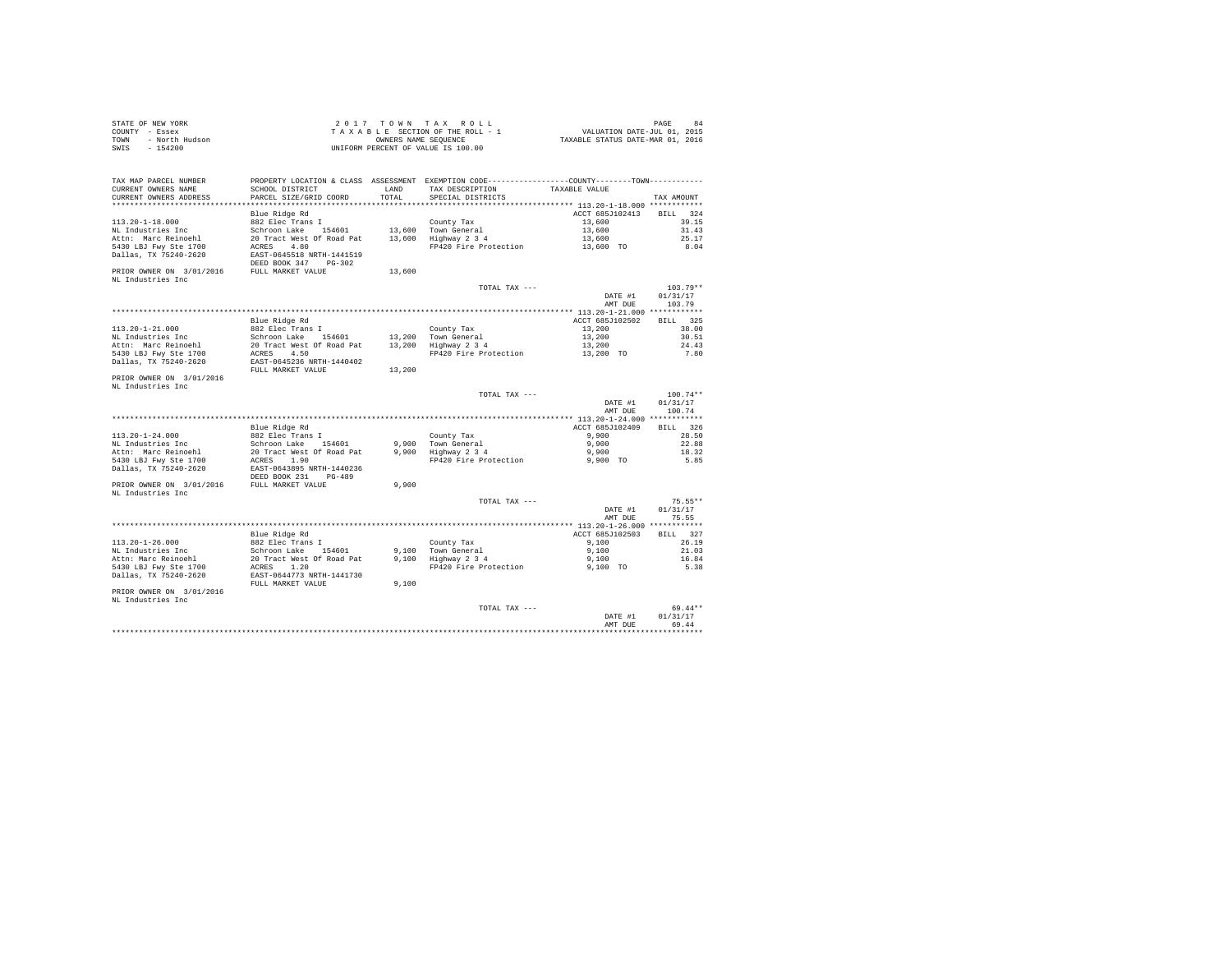| STATE OF NEW YORK      | 2017 TOWN TAX ROLL                 | PAGE                             |
|------------------------|------------------------------------|----------------------------------|
| COUNTY - Essex         | TAXABLE SECTION OF THE ROLL - 1    | VALUATION DATE-JUL 01, 2015      |
| TOWN<br>- North Hudson | OWNERS NAME SEOUENCE               | TAXABLE STATUS DATE-MAR 01, 2016 |
| SWIS - 154200          | UNIFORM PERCENT OF VALUE IS 100.00 |                                  |

| CURRENT OWNERS NAME                           | SCHOOL DISTRICT                                   | LAND   | PROPERTY LOCATION & CLASS ASSESSMENT EXEMPTION CODE----------------COUNTY-------TOWN----------<br>TAX DESCRIPTION | TAXABLE VALUE   |            |
|-----------------------------------------------|---------------------------------------------------|--------|-------------------------------------------------------------------------------------------------------------------|-----------------|------------|
| CURRENT OWNERS ADDRESS                        | PARCEL SIZE/GRID COORD                            | TOTAL  | SPECIAL DISTRICTS                                                                                                 |                 | TAX AMOUNT |
|                                               | Blue Ridge Rd                                     |        |                                                                                                                   | ACCT 685J102413 | BILL 324   |
| $113.20 - 1 - 18.000$                         | 882 Elec Trans I                                  |        | County Tax                                                                                                        | 13,600          | 39.15      |
| NL Industries Inc                             | Schroon Lake 154601                               |        | 13,600 Town General                                                                                               | 13,600          | 31.43      |
| Attn: Marc Reinoehl                           | 20 Tract West Of Road Pat                         |        | 13,600 Highway 2 3 4                                                                                              | 13,600          | 25.17      |
| 5430 LBJ Fwy Ste 1700                         | ACRES 4.80                                        |        | FP420 Fire Protection                                                                                             | 13,600 TO       | 8.04       |
| Dallas, TX 75240-2620                         | EAST-0645518 NRTH-1441519<br>DEED BOOK 347 PG-302 |        |                                                                                                                   |                 |            |
| PRIOR OWNER ON 3/01/2016<br>NL Industries Inc | FULL MARKET VALUE                                 | 13,600 |                                                                                                                   |                 |            |
|                                               |                                                   |        | TOTAL TAX ---                                                                                                     |                 | $103.79**$ |
|                                               |                                                   |        |                                                                                                                   | DATE #1         | 01/31/17   |
|                                               |                                                   |        |                                                                                                                   | AMT DUE         | 103.79     |
|                                               |                                                   |        |                                                                                                                   |                 |            |
|                                               | Blue Ridge Rd                                     |        |                                                                                                                   | ACCT 685J102502 | BILL 325   |
| $113.20 - 1 - 21.000$                         | 882 Elec Trans I                                  |        | County Tax                                                                                                        | 13,200          | 38.00      |
| NL Industries Inc                             | Schroon Lake 154601                               | 13,200 | Town General                                                                                                      | 13,200          | 30.51      |
| Attn: Marc Reinoehl                           | 20 Tract West Of Road Pat                         |        | 13,200 Highway 2 3 4                                                                                              | 13,200          | 24.43      |
| 5430 LBJ Fwy Ste 1700                         | ACRES 4.50                                        |        | FP420 Fire Protection                                                                                             | 13,200 TO       | 7.80       |
| Dallas, TX 75240-2620                         | EAST-0645236 NRTH-1440402                         |        |                                                                                                                   |                 |            |
|                                               | FULL MARKET VALUE                                 | 13,200 |                                                                                                                   |                 |            |
| PRIOR OWNER ON 3/01/2016                      |                                                   |        |                                                                                                                   |                 |            |
| NL Industries Inc                             |                                                   |        |                                                                                                                   |                 |            |
|                                               |                                                   |        | TOTAL TAX ---                                                                                                     |                 | $100.74**$ |
|                                               |                                                   |        |                                                                                                                   |                 |            |
|                                               |                                                   |        |                                                                                                                   |                 |            |
|                                               |                                                   |        |                                                                                                                   | DATE #1         | 01/31/17   |
|                                               |                                                   |        |                                                                                                                   | AMT DUE         | 100.74     |
|                                               |                                                   |        |                                                                                                                   |                 |            |
|                                               | Blue Ridge Rd                                     |        |                                                                                                                   | ACCT 685J102409 | BILL 326   |
| $113.20 - 1 - 24.000$                         | 882 Elec Trans I                                  |        | County Tax                                                                                                        | 9,900           | 28.50      |
| NL Industries Inc                             | Schroon Lake 154601                               |        | 9.900 Town General                                                                                                | 9,900           | 22.88      |
| Attn: Marc Reinoehl                           | 20 Tract West Of Road Pat                         |        | 9,900 Highway 2 3 4                                                                                               | 9,900           | 18.32      |
| 5430 LBJ Fwy Ste 1700                         | ACRES 1.90                                        |        | FP420 Fire Protection                                                                                             | 9,900 TO        | 5.85       |
| Dallas, TX 75240-2620                         | EAST-0643895 NRTH-1440236                         |        |                                                                                                                   |                 |            |
|                                               | DEED BOOK 231 PG-489                              |        |                                                                                                                   |                 |            |
| PRIOR OWNER ON 3/01/2016                      | FULL MARKET VALUE                                 | 9.900  |                                                                                                                   |                 |            |
| NL Industries Inc                             |                                                   |        |                                                                                                                   |                 |            |
|                                               |                                                   |        | TOTAL TAX ---                                                                                                     |                 | $75.55**$  |
|                                               |                                                   |        |                                                                                                                   | DATE #1         | 01/31/17   |
|                                               |                                                   |        |                                                                                                                   | AMT DUE         | 75.55      |
|                                               |                                                   |        |                                                                                                                   |                 |            |
|                                               | Blue Ridge Rd                                     |        |                                                                                                                   | ACCT 685J102503 | BILL 327   |
| $113.20 - 1 - 26.000$                         | 882 Elec Trans I                                  |        | County Tax                                                                                                        | 9.100           | 26.19      |
| NL Industries Inc                             | Schroon Lake 154601                               |        | 9.100 Town General                                                                                                | 9.100           | 21.03      |
| Attn: Marc Reinoehl                           | 20 Tract West Of Road Pat                         |        | 9,100 Highway 2 3 4                                                                                               | 9,100           | 16.84      |
| 5430 LBJ Fwy Ste 1700                         | ACRES 1.20                                        |        | FP420 Fire Protection                                                                                             | 9,100 TO        | 5.38       |
| Dallas, TX 75240-2620                         | EAST-0644773 NRTH-1441730                         |        |                                                                                                                   |                 |            |
|                                               | FULL MARKET VALUE                                 | 9.100  |                                                                                                                   |                 |            |
| PRIOR OWNER ON 3/01/2016                      |                                                   |        |                                                                                                                   |                 |            |
| NL Industries Inc                             |                                                   |        |                                                                                                                   |                 |            |
|                                               |                                                   |        | TOTAL TAX ---                                                                                                     |                 | 69.44**    |
|                                               |                                                   |        |                                                                                                                   | DATE #1         | 01/31/17   |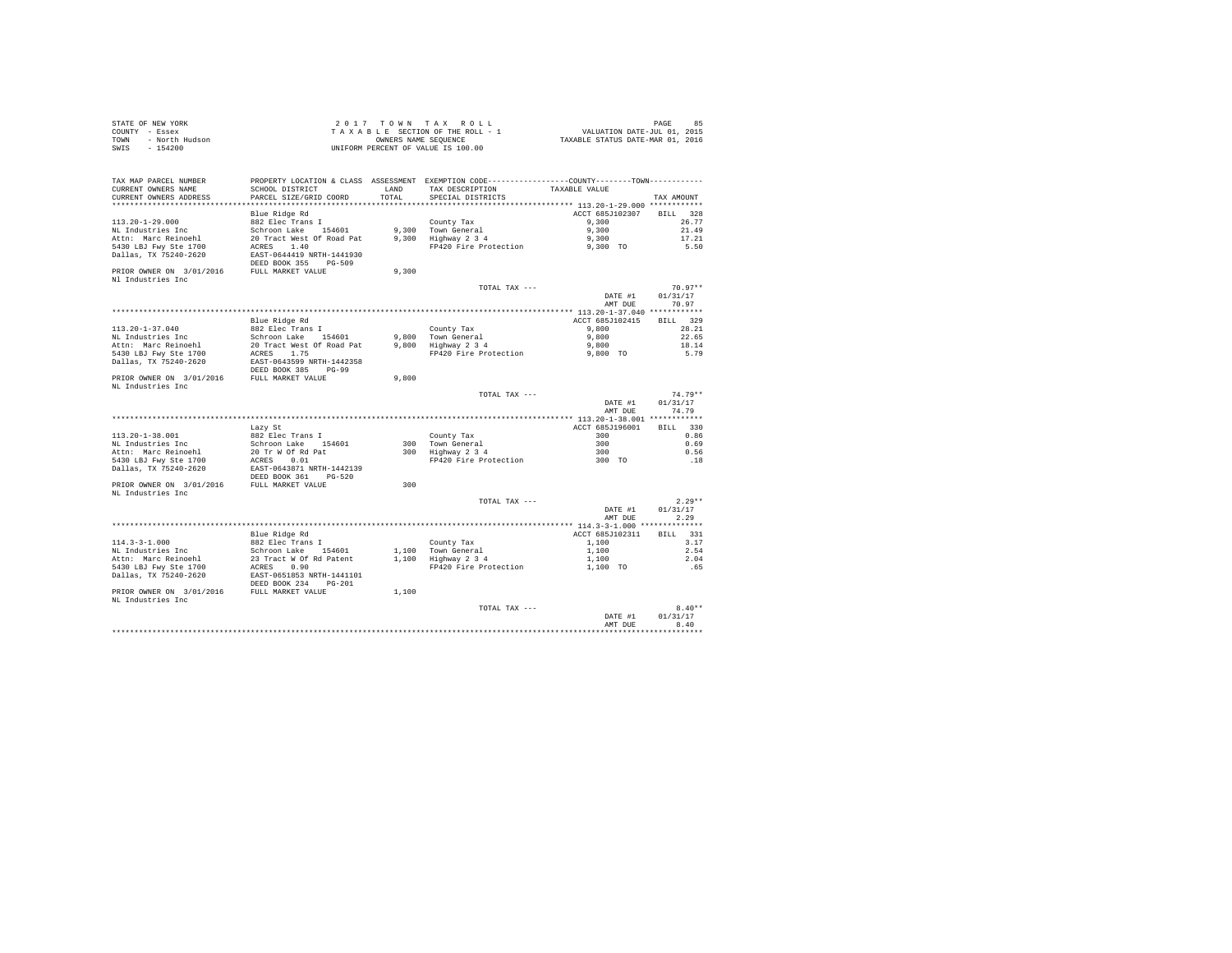| STATE OF NEW YORK |                |  |  | 2017 TOWN TAX ROLL                 |  |  |  | 85<br>PAGE                       |
|-------------------|----------------|--|--|------------------------------------|--|--|--|----------------------------------|
| COUNTY - Essex    |                |  |  | TAXABLE SECTION OF THE ROLL - 1    |  |  |  | VALUATION DATE-JUL 01, 2015      |
| TOWN              | - North Hudson |  |  | OWNERS NAME SEOUENCE               |  |  |  | TAXABLE STATUS DATE-MAR 01, 2016 |
| SWIS - 154200     |                |  |  | UNIFORM PERCENT OF VALUE IS 100.00 |  |  |  |                                  |

| TAX MAP PARCEL NUMBER<br>CURRENT OWNERS NAME  | SCHOOL DISTRICT                                        | LAND  | PROPERTY LOCATION & CLASS ASSESSMENT EXEMPTION CODE---------------COUNTY-------TOWN---------<br>TAX DESCRIPTION | TAXABLE VALUE      |                    |
|-----------------------------------------------|--------------------------------------------------------|-------|-----------------------------------------------------------------------------------------------------------------|--------------------|--------------------|
| CURRENT OWNERS ADDRESS                        | PARCEL SIZE/GRID COORD                                 | TOTAL | SPECIAL DISTRICTS                                                                                               |                    | TAX AMOUNT         |
|                                               | Blue Ridge Rd                                          |       |                                                                                                                 | ACCT 685J102307    | BILL 328           |
| $113.20 - 1 - 29.000$                         | 882 Elec Trans I                                       |       | County Tax                                                                                                      | 9,300              | 26.77              |
| NL Industries Inc                             | Schroon Lake 154601                                    |       | 9.300 Town General                                                                                              | 9,300              | 21.49              |
| Attn: Marc Reinoehl                           | 20 Tract West Of Road Pat                              |       | 9,300 Highway 2 3 4                                                                                             | 9,300              | 17.21              |
| 5430 LBJ Fwy Ste 1700                         | ACRES 1.40                                             |       | FP420 Fire Protection                                                                                           | 9,300 TO           | 5.50               |
| Dallas, TX 75240-2620                         | EAST-0644419 NRTH-1441930<br>DEED BOOK 355<br>PG-509   |       |                                                                                                                 |                    |                    |
| PRIOR OWNER ON 3/01/2016                      | FULL MARKET VALUE                                      | 9,300 |                                                                                                                 |                    |                    |
| Nl Industries Inc                             |                                                        |       | TOTAL TAX ---                                                                                                   |                    | $70.97**$          |
|                                               |                                                        |       |                                                                                                                 | DATE #1<br>AMT DUE | 01/31/17<br>70.97  |
|                                               |                                                        |       |                                                                                                                 |                    |                    |
|                                               | Blue Ridge Rd                                          |       |                                                                                                                 | ACCT 685J102415    | BILL 329           |
| $113.20 - 1 - 37.040$                         | 882 Elec Trans I                                       |       | County Tax                                                                                                      | 9,800              | 28.21              |
| NL Industries Inc                             | Schroon Lake<br>154601                                 | 9,800 | Town General                                                                                                    | 9,800              | 22.65              |
| Attn: Marc Reinoehl                           | 20 Tract West Of Road Pat                              |       | 9,800 Highway 2 3 4                                                                                             | 9,800              | 18.14              |
| 5430 LBJ Fwy Ste 1700                         | ACRES 1.75                                             |       | FP420 Fire Protection                                                                                           | 9,800 TO           | 5.79               |
| Dallas, TX 75240-2620                         | EAST-0643599 NRTH-1442358<br>DEED BOOK 385<br>PG-99    |       |                                                                                                                 |                    |                    |
| PRIOR OWNER ON 3/01/2016                      | FULL MARKET VALUE                                      | 9,800 |                                                                                                                 |                    |                    |
| NL Industries Inc                             |                                                        |       |                                                                                                                 |                    |                    |
|                                               |                                                        |       | TOTAL TAX ---                                                                                                   |                    | $74.79**$          |
|                                               |                                                        |       |                                                                                                                 | DATE #1            | 01/31/17           |
|                                               |                                                        |       |                                                                                                                 | AMT DUE            | 74.79              |
|                                               |                                                        |       |                                                                                                                 |                    |                    |
|                                               | Lazy St                                                |       |                                                                                                                 | ACCT 685J196001    | BTLL 330           |
| 113.20-1-38.001                               | 882 Elec Trans I                                       |       | County Tax                                                                                                      | 300                | 0.86               |
| NL Industries Inc                             | Schroon Lake 154601                                    |       | 300 Town General                                                                                                | 300                | 0.69               |
| Attn: Marc Reinoehl                           | 20 Tr W Of Rd Pat                                      |       | 300 Highway 2 3 4                                                                                               | 300                | 0.56               |
| 5430 LBJ Fwy Ste 1700                         | ACRES 0.01                                             |       | FP420 Fire Protection                                                                                           | 300 TO             | .18                |
| Dallas, TX 75240-2620                         | EAST-0643871 NRTH-1442139<br>DEED BOOK 361 PG-520      |       |                                                                                                                 |                    |                    |
| PRIOR OWNER ON 3/01/2016<br>NL Industries Inc | FULL MARKET VALUE                                      | 300   |                                                                                                                 |                    |                    |
|                                               |                                                        |       | TOTAL TAX ---                                                                                                   |                    | $2.29**$           |
|                                               |                                                        |       |                                                                                                                 | DATE #1            | 01/31/17           |
|                                               |                                                        |       |                                                                                                                 | AMT DUE            | 2.29               |
|                                               |                                                        |       |                                                                                                                 |                    |                    |
|                                               | Blue Ridge Rd                                          |       |                                                                                                                 | ACCT 685J102311    | <b>BILL</b><br>331 |
| $114.3 - 3 - 1.000$                           | 882 Elec Trans I                                       |       | County Tax                                                                                                      | 1,100              | 3.17               |
| NL Industries Inc                             | Schroon Lake 154601                                    |       | 1.100 Town General                                                                                              | 1,100              | 2.54               |
| Attn: Marc Reinoehl                           | 23 Tract W Of Rd Patent                                |       | 1,100 Highway 2 3 4                                                                                             | 1,100              | 2.04               |
| 5430 LBJ Fwy Ste 1700                         | ACRES 0.90                                             |       | FP420 Fire Protection                                                                                           | 1,100 TO           | .65                |
| Dallas, TX 75240-2620                         | EAST-0651853 NRTH-1441101<br>DEED BOOK 234<br>$PG-201$ |       |                                                                                                                 |                    |                    |
| PRIOR OWNER ON 3/01/2016                      | FULL MARKET VALUE                                      | 1,100 |                                                                                                                 |                    |                    |
| NL Industries Inc                             |                                                        |       |                                                                                                                 |                    |                    |
|                                               |                                                        |       | TOTAL TAX ---                                                                                                   |                    | $8.40**$           |
|                                               |                                                        |       |                                                                                                                 | DATE #1            | 01/31/17           |
|                                               |                                                        |       |                                                                                                                 | AMT DUE            | 8.40               |
|                                               |                                                        |       |                                                                                                                 |                    | *******            |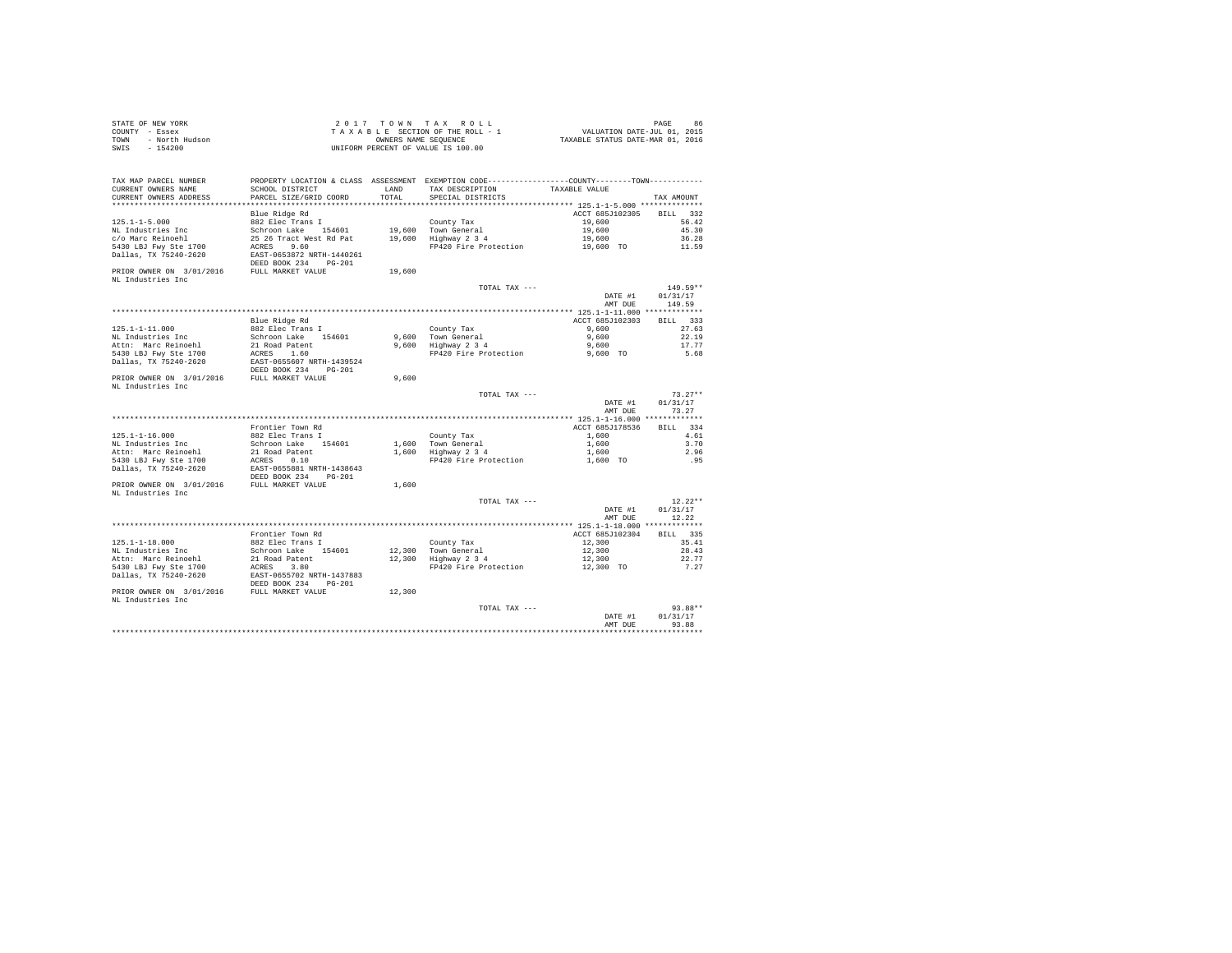| STATE OF NEW YORK      | 2017 TOWN TAX ROLL                 | 86<br>PAGE                       |
|------------------------|------------------------------------|----------------------------------|
| COUNTY - Essex         | TAXABLE SECTION OF THE ROLL - 1    | VALUATION DATE-JUL 01, 2015      |
| TOWN<br>- North Hudson | OWNERS NAME SEOUENCE               | TAXABLE STATUS DATE-MAR 01, 2016 |
| - 154200<br>SWIS       | UNIFORM PERCENT OF VALUE IS 100.00 |                                  |

| TAX MAP PARCEL NUMBER                                           | PROPERTY LOCATION & CLASS ASSESSMENT EXEMPTION CODE---------------COUNTY-------TOWN--------- |        |                                           |                    |                   |
|-----------------------------------------------------------------|----------------------------------------------------------------------------------------------|--------|-------------------------------------------|--------------------|-------------------|
| CURRENT OWNERS NAME                                             | SCHOOL DISTRICT                                                                              | LAND   | TAX DESCRIPTION                           | TAXABLE VALUE      |                   |
| CURRENT OWNERS ADDRESS                                          | PARCEL SIZE/GRID COORD                                                                       | TOTAL  | SPECIAL DISTRICTS                         |                    | TAX AMOUNT        |
| **********************                                          |                                                                                              |        |                                           |                    |                   |
|                                                                 | Blue Ridge Rd                                                                                |        |                                           | ACCT 685J102305    | BILL 332          |
| $125.1 - 1 - 5.000$                                             | 882 Elec Trans I                                                                             |        | County Tax                                | 19,600             | 56.42             |
| NL Industries Inc                                               | Schroon Lake 154601                                                                          |        | 19,600 Town General                       | 19,600             | 45.30             |
| c/o Marc Reinoehl                                               | 25 26 Tract West Rd Pat                                                                      |        | 19,600 Highway 2 3 4                      | 19,600             | 36.28             |
| 5430 LBJ Fwy Ste 1700                                           | ACRES 9.60                                                                                   |        | FP420 Fire Protection                     | 19,600 TO          | 11.59             |
| Dallas, TX 75240-2620                                           | EAST-0653872 NRTH-1440261                                                                    |        |                                           |                    |                   |
|                                                                 | DEED BOOK 234 PG-201                                                                         |        |                                           |                    |                   |
|                                                                 |                                                                                              |        |                                           |                    |                   |
| PRIOR OWNER ON 3/01/2016 FULL MARKET VALUE                      |                                                                                              | 19,600 |                                           |                    |                   |
| NL Industries Inc                                               |                                                                                              |        |                                           |                    |                   |
|                                                                 |                                                                                              |        | TOTAL TAX ---                             |                    | $149.59**$        |
|                                                                 |                                                                                              |        |                                           | DATE #1            | 01/31/17          |
|                                                                 |                                                                                              |        |                                           | AMT DUE            | 149.59            |
|                                                                 |                                                                                              |        |                                           |                    |                   |
|                                                                 | Blue Ridge Rd                                                                                |        |                                           | ACCT 685J102303    | BILL 333          |
| 125.1-1-11.000                                                  | 882 Elec Trans I                                                                             |        | County Tax                                | 9,600              | 27.63             |
| NL Industries Inc                                               | Schroon Lake 154601                                                                          |        | 9,600 Town General                        | 9,600              | 22.19             |
| Attn: Marc Reinoehl                                             | 21 Road Patent                                                                               |        | $9,600$ Highway $2\ 3\ 4$                 | 9,600              | 17.77             |
| 5430 LBJ Fwy Ste 1700                                           | ACRES 1.60                                                                                   |        | FP420 Fire Protection                     | 9,600 TO           | 5.68              |
| Dallas, TX 75240-2620                                           | EAST-0655607 NRTH-1439524                                                                    |        |                                           |                    |                   |
|                                                                 | DEED BOOK 234<br>$PG-201$                                                                    |        |                                           |                    |                   |
| PRIOR OWNER ON 3/01/2016 FULL MARKET VALUE                      |                                                                                              | 9,600  |                                           |                    |                   |
| NL Industries Inc                                               |                                                                                              |        |                                           |                    |                   |
|                                                                 |                                                                                              |        | TOTAL TAX ---                             |                    | $73.27**$         |
|                                                                 |                                                                                              |        |                                           | DATE #1            | 01/31/17          |
|                                                                 |                                                                                              |        |                                           | AMT DUE            | 73.27             |
|                                                                 |                                                                                              |        |                                           |                    |                   |
|                                                                 | Frontier Town Rd                                                                             |        |                                           | ACCT 685J178536    | BILL 334          |
| $125.1 - 1 - 16.000$                                            | 882 Elec Trans I                                                                             |        | County Tax                                | 1,600              | 4.61              |
| NL Industries Inc                                               | Schroon Lake 154601                                                                          |        |                                           | 1,600              | 3.70              |
| Attn: Marc Reinoehl                                             | 21 Road Patent                                                                               |        | 1,600 Town General<br>1,600 Highway 2 3 4 | 1,600              | 2.96              |
| 5430 LBJ Fwy Ste 1700                                           | ACRES 0.10                                                                                   |        | FP420 Fire Protection                     | 1,600 TO           | .95               |
| Dallas, TX 75240-2620                                           | EAST-0655881 NRTH-1438643                                                                    |        |                                           |                    |                   |
|                                                                 |                                                                                              |        |                                           |                    |                   |
|                                                                 | DEED BOOK 234 PG-201                                                                         |        |                                           |                    |                   |
| PRIOR OWNER ON 3/01/2016 FULL MARKET VALUE                      |                                                                                              | 1,600  |                                           |                    |                   |
| NL Industries Inc                                               |                                                                                              |        |                                           |                    |                   |
|                                                                 |                                                                                              |        | TOTAL TAX ---                             |                    | $12.22**$         |
|                                                                 |                                                                                              |        |                                           | DATE #1            | 01/31/17          |
|                                                                 |                                                                                              |        |                                           | AMT DUE            | 12.22             |
|                                                                 |                                                                                              |        |                                           |                    |                   |
|                                                                 | Frontier Town Rd                                                                             |        |                                           | ACCT 685J102304    | BILL 335          |
| $125.1 - 1 - 18.000$                                            | 882 Elec Trans I                                                                             |        | County Tax                                | 12,300             | 35.41             |
| NL Industries Inc                                               | Schroon Lake 154601                                                                          |        | 12,300 Town General                       | 12,300             | 28.43             |
| Attn: Marc Reinoehl                                             | 21 Road Patent                                                                               |        | 12,300 Highway 2 3 4                      | 12,300             | 22.77             |
|                                                                 |                                                                                              |        | FP420 Fire Protection                     | 12,300 TO          | 7.27              |
| 5430 LBJ Fwy Ste 1700                                           | ACRES 3.80                                                                                   |        |                                           |                    |                   |
| Dallas, TX 75240-2620                                           | EAST-0655702 NRTH-1437883                                                                    |        |                                           |                    |                   |
|                                                                 | DEED BOOK 234 PG-201                                                                         |        |                                           |                    |                   |
|                                                                 |                                                                                              |        |                                           |                    |                   |
| PRIOR OWNER ON 3/01/2016 FULL MARKET VALUE<br>NL Industries Inc |                                                                                              | 12,300 |                                           |                    |                   |
|                                                                 |                                                                                              |        |                                           |                    |                   |
|                                                                 |                                                                                              |        | TOTAL TAX ---                             |                    | $93.88**$         |
|                                                                 |                                                                                              |        |                                           | DATE #1<br>AMT DHE | 01/31/17<br>93.88 |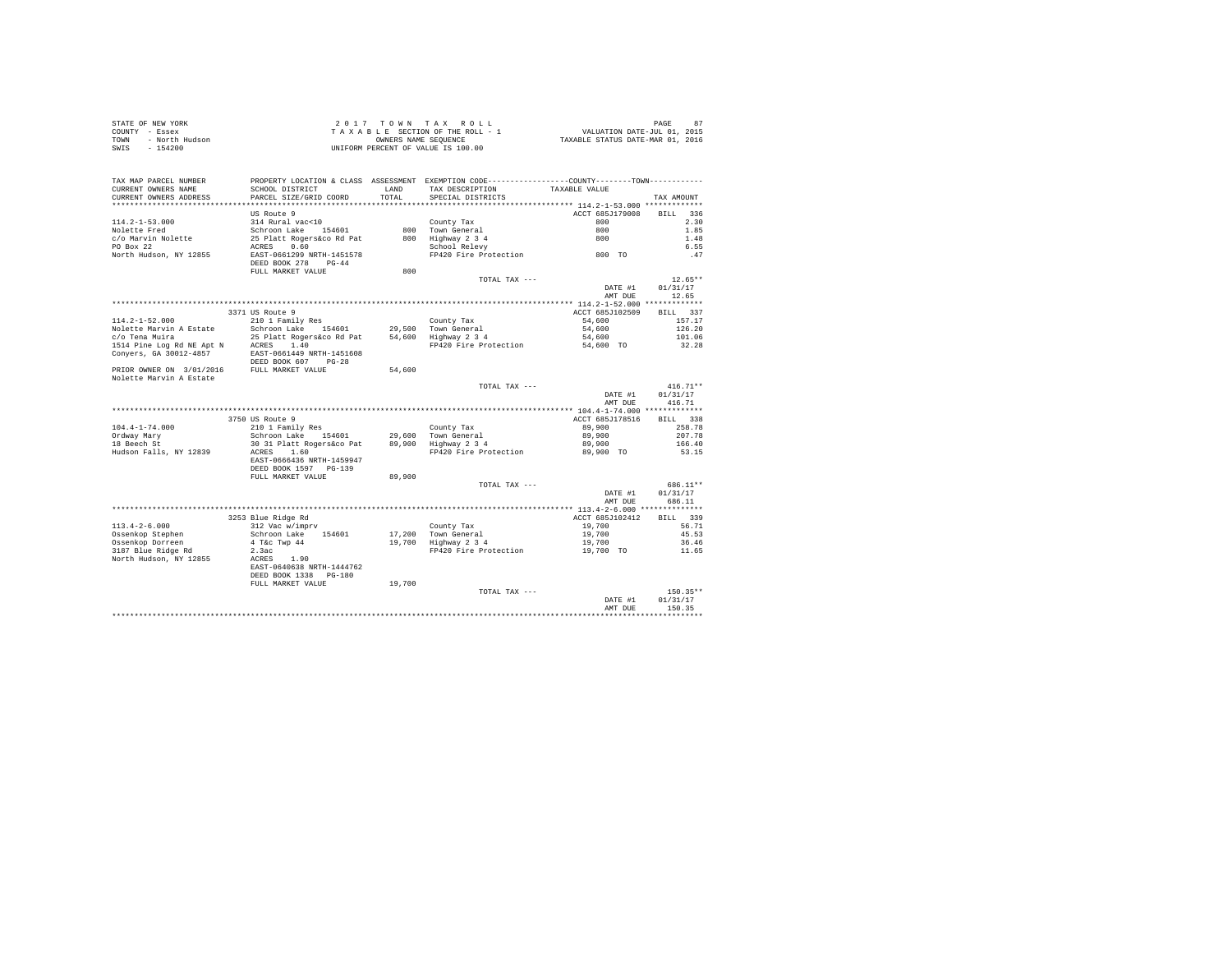| STATE OF NEW YORK      | $2.017$ TOWN TAX ROLL              | 87<br>PAGE                       |
|------------------------|------------------------------------|----------------------------------|
| COUNTY - Essex         | TAXABLE SECTION OF THE ROLL - 1    | VALUATION DATE-JUL 01, 2015      |
| - North Hudson<br>TOWN | OWNERS NAME SEOUENCE               | TAXABLE STATUS DATE-MAR 01, 2016 |
| $-154200$<br>SWIS      | UNIFORM PERCENT OF VALUE IS 100.00 |                                  |

| TAX MAP PARCEL NUMBER<br>CURRENT OWNERS NAME | PROPERTY LOCATION & CLASS ASSESSMENT EXEMPTION CODE---------------COUNTY-------TOWN---------<br>SCHOOL DISTRICT | <b>T.AND</b>   | TAX DESCRIPTION                                                      | TAXABLE VALUE                                 |                    |
|----------------------------------------------|-----------------------------------------------------------------------------------------------------------------|----------------|----------------------------------------------------------------------|-----------------------------------------------|--------------------|
| CURRENT OWNERS ADDRESS                       | PARCEL SIZE/GRID COORD                                                                                          | TOTAL          | SPECIAL DISTRICTS                                                    |                                               | TAX AMOUNT         |
| ***********************                      | **************************                                                                                      | ************** | ************************************** 114.2-1-53.000 ************** |                                               |                    |
|                                              | US Route 9                                                                                                      |                |                                                                      | ACCT 685J179008                               | 336<br><b>BILL</b> |
| $114.2 - 1 - 53.000$                         | 314 Rural vac<10                                                                                                |                | County Tax                                                           | 800                                           | 2.30               |
| Nolette Fred                                 | Schroon Lake<br>154601                                                                                          | 800            | Town General                                                         | 800                                           | 1.85               |
| c/o Marvin Nolette                           | 25 Platt Rogers&co Rd Pat                                                                                       | 800            | Highway 2 3 4                                                        | 800                                           | 1.48               |
| PO Box 22                                    | 0.60<br>ACRES                                                                                                   |                | School Relevy                                                        |                                               | 6.55               |
| North Hudson, NY 12855                       | EAST-0661299 NRTH-1451578                                                                                       |                | FP420 Fire Protection                                                | 800 TO                                        | .47                |
|                                              | DEED BOOK 278<br>$PG-44$                                                                                        |                |                                                                      |                                               |                    |
|                                              | FULL MARKET VALUE                                                                                               | 800            |                                                                      |                                               |                    |
|                                              |                                                                                                                 |                | TOTAL TAX ---                                                        |                                               | $12.65**$          |
|                                              |                                                                                                                 |                |                                                                      | DATE #1                                       | 01/31/17           |
|                                              |                                                                                                                 |                |                                                                      | AMT DUE                                       | 12.65              |
|                                              |                                                                                                                 |                |                                                                      |                                               |                    |
|                                              | 3371 US Route 9                                                                                                 |                |                                                                      | ACCT 685J102509                               | 337<br><b>BILL</b> |
| $114.2 - 1 - 52.000$                         | 210 1 Family Res                                                                                                |                | County Tax                                                           | 54,600                                        | 157.17             |
| Nolette Marvin A Estate                      | Schroon Lake 154601                                                                                             | 29,500         | Town General                                                         | 54,600                                        | 126.20             |
| c/o Tena Muira                               | 25 Platt Rogers&co Rd Pat                                                                                       | 54,600         | Highway 2 3 4                                                        | 54,600                                        | 101.06             |
| 1514 Pine Log Rd NE Apt N                    | 1.40<br>ACRES                                                                                                   |                | FP420 Fire Protection                                                | 54,600 TO                                     | 32.28              |
| Conyers, GA 30012-4857                       | EAST-0661449 NRTH-1451608                                                                                       |                |                                                                      |                                               |                    |
|                                              | DEED BOOK 607<br>$PG-28$                                                                                        |                |                                                                      |                                               |                    |
| PRIOR OWNER ON 3/01/2016                     | FULL MARKET VALUE                                                                                               | 54,600         |                                                                      |                                               |                    |
| Nolette Marvin A Estate                      |                                                                                                                 |                |                                                                      |                                               |                    |
|                                              |                                                                                                                 |                | TOTAL TAX ---                                                        |                                               | $416.71**$         |
|                                              |                                                                                                                 |                |                                                                      | DATE #1                                       | 01/31/17           |
|                                              |                                                                                                                 |                |                                                                      | AMT DUE                                       | 416.71             |
|                                              |                                                                                                                 |                |                                                                      | **************** 104.4-1-74.000 ************* |                    |
|                                              | 3750 US Route 9                                                                                                 |                |                                                                      | ACCT 685J178516                               | 338<br>BILL        |
| $104.4 - 1 - 74.000$                         | 210 1 Family Res                                                                                                |                | County Tax                                                           | 89,900                                        | 258.78             |
| Ordway Mary                                  | Schroon Lake<br>154601                                                                                          | 29,600         | Town General                                                         | 89,900                                        | 207.78             |
| 18 Beech St                                  | 30 31 Platt Rogers&co Pat                                                                                       | 89,900         | Highway 2 3 4                                                        | 89,900                                        | 166.40             |
| Hudson Falls, NY 12839                       | ACRES<br>1.60                                                                                                   |                | FP420 Fire Protection                                                | 89,900 TO                                     | 53.15              |
|                                              | EAST-0666436 NRTH-1459947                                                                                       |                |                                                                      |                                               |                    |
|                                              | DEED BOOK 1597 PG-139                                                                                           |                |                                                                      |                                               |                    |
|                                              | FULL MARKET VALUE                                                                                               | 89,900         |                                                                      |                                               |                    |
|                                              |                                                                                                                 |                | TOTAL TAX ---                                                        |                                               | 686.11**           |
|                                              |                                                                                                                 |                |                                                                      | DATE #1                                       | 01/31/17           |
|                                              |                                                                                                                 |                |                                                                      | AMT DUE                                       | 686.11             |
|                                              |                                                                                                                 |                |                                                                      | ************ 113.4-2-6.000 **************     |                    |
|                                              | 3253 Blue Ridge Rd                                                                                              |                |                                                                      | ACCT 685J102412                               | 339<br>BILL        |
| $113.4 - 2 - 6.000$                          | 312 Vac w/imprv                                                                                                 |                | County Tax                                                           | 19,700                                        | 56.71              |
| Ossenkop Stephen                             | 154601<br>Schroon Lake                                                                                          | 17,200         | Town General                                                         | 19,700                                        | 45.53              |
| Ossenkop Dorreen                             | 4 T&c Twp 44                                                                                                    | 19,700         | Highway 2 3 4                                                        | 19,700                                        | 36.46              |
| 3187 Blue Ridge Rd                           | 2.3ac                                                                                                           |                | FP420 Fire Protection                                                | 19,700 TO                                     | 11.65              |
| North Hudson, NY 12855                       | 1.90<br>ACRES                                                                                                   |                |                                                                      |                                               |                    |
|                                              | EAST-0640638 NRTH-1444762                                                                                       |                |                                                                      |                                               |                    |
|                                              | DEED BOOK 1338<br>$PG-180$                                                                                      |                |                                                                      |                                               |                    |
|                                              | FULL MARKET VALUE                                                                                               | 19,700         |                                                                      |                                               |                    |
|                                              |                                                                                                                 |                | TOTAL TAX ---                                                        |                                               | 150.35**           |
|                                              |                                                                                                                 |                |                                                                      | DATE #1                                       | 01/31/17           |
|                                              |                                                                                                                 |                |                                                                      | AMT DUE                                       | 150.35             |
|                                              |                                                                                                                 |                |                                                                      |                                               |                    |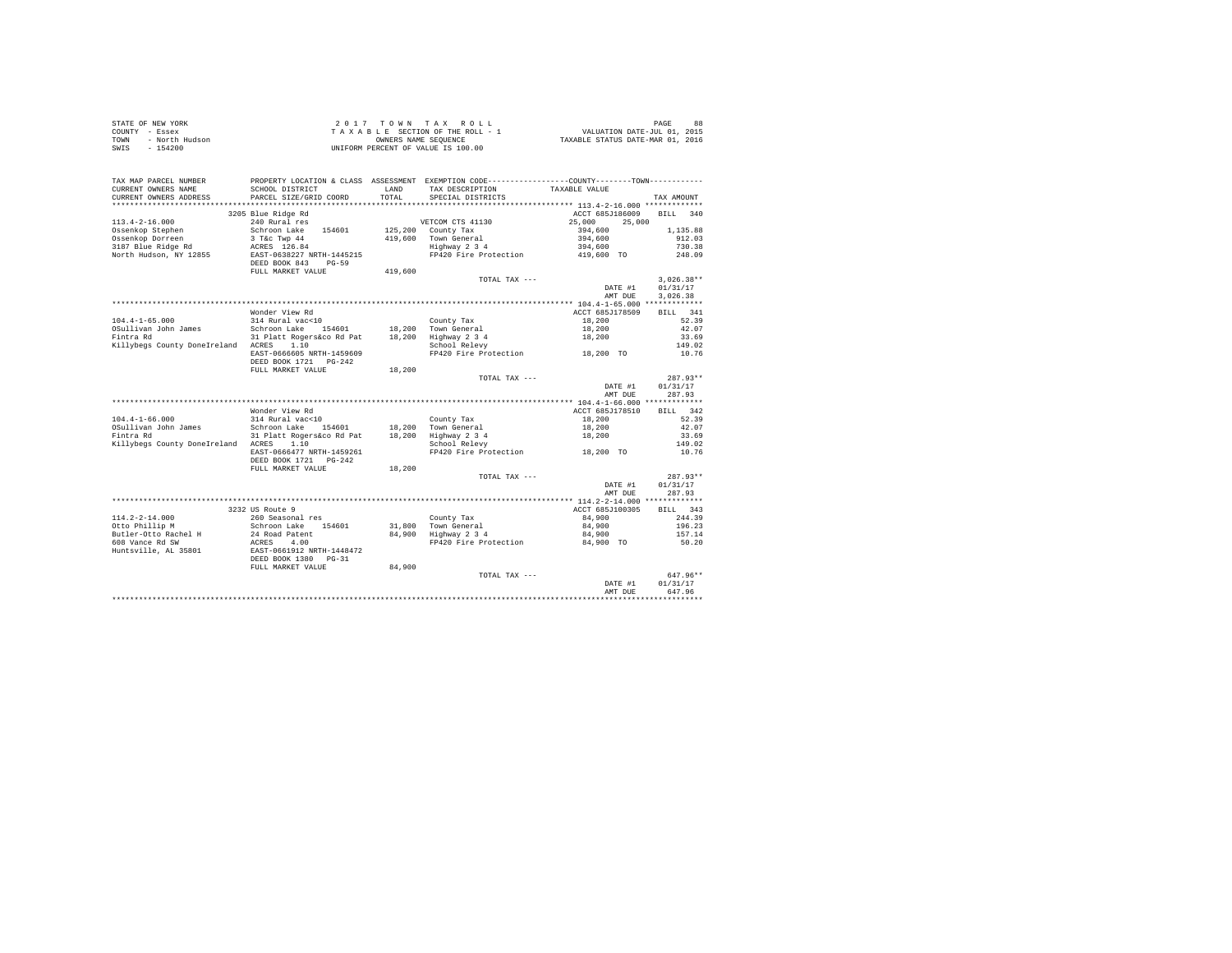| STATE OF NEW YORK      | 2017 TOWN TAX ROLL                 | 88<br>PAGE                       |
|------------------------|------------------------------------|----------------------------------|
| COUNTY - Essex         | TAXABLE SECTION OF THE ROLL - 1    | VALUATION DATE-JUL 01, 2015      |
| TOWN<br>- North Hudson | OWNERS NAME SEOUENCE               | TAXABLE STATUS DATE-MAR 01, 2016 |
| $-154200$<br>SWIS      | UNIFORM PERCENT OF VALUE IS 100.00 |                                  |

| TAX MAP PARCEL NUMBER<br>CURRENT OWNERS NAME<br>CURRENT OWNERS ADDRESS | SCHOOL DISTRICT<br>PARCEL SIZE/GRID COORD                                         | LAND<br>TOTAL. | PROPERTY LOCATION & CLASS ASSESSMENT EXEMPTION CODE----------------COUNTY-------TOWN----------<br>TAX DESCRIPTION<br>SPECIAL DISTRICTS | TAXABLE VALUE             | TAX AMOUNT         |
|------------------------------------------------------------------------|-----------------------------------------------------------------------------------|----------------|----------------------------------------------------------------------------------------------------------------------------------------|---------------------------|--------------------|
| **********************                                                 | ****************************                                                      |                |                                                                                                                                        |                           |                    |
|                                                                        | 3205 Blue Ridge Rd                                                                |                |                                                                                                                                        | ACCT 685J186009<br>25,000 | <b>BILL</b><br>340 |
| $113.4 - 2 - 16.000$<br>Ossenkop Stephen                               | 240 Rural res                                                                     |                | VETCOM CTS 41130<br>125,200 County Tax                                                                                                 | 25,000<br>394,600         | 1,135.88           |
| Ossenkop Dorreen                                                       | Schroon Lake 154601                                                               |                | 419,600 Town General                                                                                                                   | 394,600                   | 912.03             |
| 3187 Blue Ridge Rd                                                     | 3 T&C Twp 44<br>ACRES 126.84                                                      |                | $Highway$ 2 3 4                                                                                                                        | 394,600                   | 730.38             |
| North Hudson, NY 12855                                                 | EAST-0638227 NRTH-1445215                                                         |                | FP420 Fire Protection                                                                                                                  | 419,600 TO                | 248.09             |
|                                                                        | DEED BOOK 843<br>$PG-59$<br>FULL MARKET VALUE                                     | 419,600        |                                                                                                                                        |                           |                    |
|                                                                        |                                                                                   |                | TOTAL TAX ---                                                                                                                          |                           | $3,026.38**$       |
|                                                                        |                                                                                   |                |                                                                                                                                        | DATE #1                   | 01/31/17           |
|                                                                        |                                                                                   |                |                                                                                                                                        | AMT DUE                   | 3,026.38           |
|                                                                        |                                                                                   |                |                                                                                                                                        |                           |                    |
|                                                                        | Wonder View Rd                                                                    |                |                                                                                                                                        | ACCT 685J178509           | BILL 341           |
| $104.4 - 1 - 65.000$                                                   | 314 Rural vac<10                                                                  |                | County Tax                                                                                                                             | 18,200                    | 52.39              |
| OSullivan John James                                                   | Schroon Lake 154601                                                               |                | 18,200 Town General                                                                                                                    | 18,200                    | 42.07              |
| Fintra Rd                                                              | 31 Platt Rogers&co Rd Pat                                                         |                | 18,200 Highway 2 3 4                                                                                                                   | 18,200                    | 33.69              |
| Killybegs County DoneIreland ACRES                                     | 1.10                                                                              |                | School Relevy                                                                                                                          |                           | 149.02             |
|                                                                        | EAST-0666605 NRTH-1459609<br>DEED BOOK 1721 PG-242                                |                | FP420 Fire Protection 18,200 TO                                                                                                        |                           | 10.76              |
|                                                                        | FULL MARKET VALUE                                                                 | 18,200         |                                                                                                                                        |                           |                    |
|                                                                        |                                                                                   |                | TOTAL TAX ---                                                                                                                          |                           | $287.93**$         |
|                                                                        |                                                                                   |                |                                                                                                                                        | DATE #1                   | 01/31/17           |
|                                                                        |                                                                                   |                |                                                                                                                                        | AMT DUE                   | 287.93             |
|                                                                        |                                                                                   |                |                                                                                                                                        |                           |                    |
|                                                                        | Wonder View Rd                                                                    |                |                                                                                                                                        | ACCT 685J178510           | BILL 342           |
| $104.4 - 1 - 66.000$                                                   | 314 Rural vac<10                                                                  |                | County Tax                                                                                                                             | 18,200                    | 52.39              |
| OSullivan John James                                                   | Schroon Lake 154601                                                               |                | 18,200 Town General<br>18,200 Highway 2 3 4                                                                                            | 18,200                    | 42.07              |
| Fintra Rd                                                              | 31 Platt Rogers&co Rd Pat                                                         |                |                                                                                                                                        | 18,200                    | 33.69              |
| Killybegs County DoneIreland ACRES                                     | 1.10                                                                              |                | School Relevy                                                                                                                          |                           | 149.02             |
|                                                                        | EAST-0666477 NRTH-1459261<br>DEED BOOK 1721   PG-242                              |                | FP420 Fire Protection 18,200 TO                                                                                                        |                           | 10.76              |
|                                                                        | FULL MARKET VALUE                                                                 | 18,200         |                                                                                                                                        |                           |                    |
|                                                                        |                                                                                   |                | TOTAL TAX ---                                                                                                                          |                           | $287.93**$         |
|                                                                        |                                                                                   |                |                                                                                                                                        | DATE #1<br>AMT DUE        | 01/31/17<br>287.93 |
|                                                                        |                                                                                   |                |                                                                                                                                        |                           |                    |
|                                                                        | 3232 US Route 9                                                                   |                |                                                                                                                                        | ACCT 685J100305           | BILL 343           |
| $114.2 - 2 - 14.000$                                                   | 260 Seasonal res                                                                  |                | County Tax                                                                                                                             | 84,900                    | 244.39             |
| Otto Phillip M                                                         | Schroon Lake 154601                                                               |                | 31,800 Town General<br>84,900 Highway 2 3 4                                                                                            | 84,900                    | 196.23             |
| Butler-Otto Rachel H                                                   |                                                                                   |                |                                                                                                                                        | 84,900                    | 157.14             |
| 608 Vance Rd SW<br>Huntsville, AL 35801                                | 24 Road Patent<br>ACRES 4.00<br>EAST-0661912 NRTH-1448472<br>DEED BOOK 1380 PG-31 |                | FP420 Fire Protection                                                                                                                  | 84,900 TO                 | 50.20              |
|                                                                        | FULL MARKET VALUE                                                                 | 84,900         |                                                                                                                                        |                           |                    |
|                                                                        |                                                                                   |                | TOTAL TAX ---                                                                                                                          |                           | 647.96**           |
|                                                                        |                                                                                   |                |                                                                                                                                        | DATE #1                   | 01/31/17           |
|                                                                        |                                                                                   |                |                                                                                                                                        | AMT DUE                   | 647.96             |
|                                                                        |                                                                                   |                |                                                                                                                                        |                           |                    |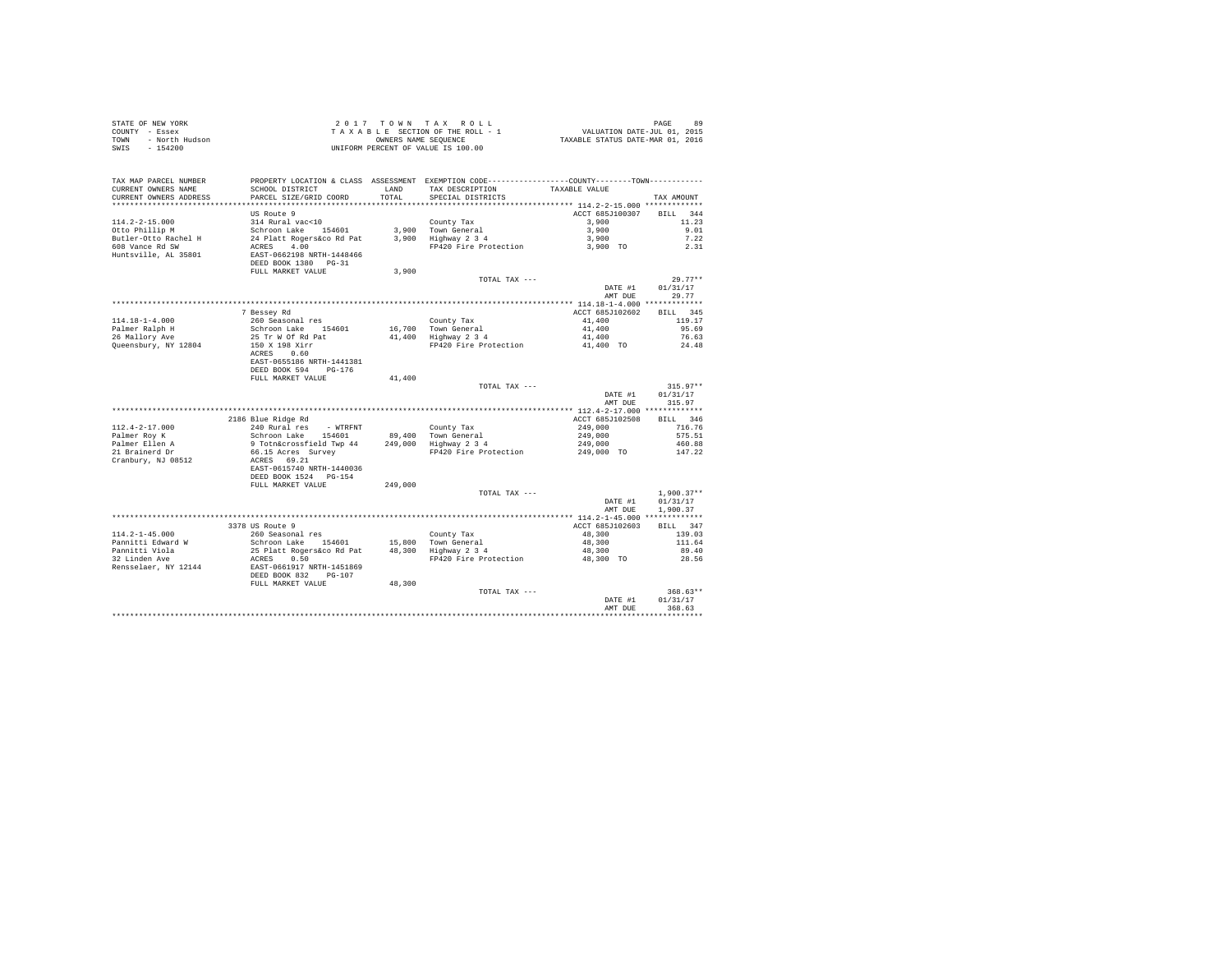| STATE OF NEW YORK<br>COUNTY - Essex<br>- North Hudson<br>TOWN<br>SWIS<br>$-154200$ |                                                                                                                         |                | 2017 TOWN TAX ROLL<br>UNIFORM PERCENT OF VALUE IS 100.00                                                                             |                           | PAGE<br>89         |
|------------------------------------------------------------------------------------|-------------------------------------------------------------------------------------------------------------------------|----------------|--------------------------------------------------------------------------------------------------------------------------------------|---------------------------|--------------------|
| TAX MAP PARCEL NUMBER<br>CURRENT OWNERS NAME<br>CURRENT OWNERS ADDRESS             | SCHOOL DISTRICT<br>PARCEL SIZE/GRID COORD                                                                               | LAND<br>TOTAL. | PROPERTY LOCATION & CLASS ASSESSMENT EXEMPTION CODE---------------COUNTY-------TOWN---------<br>TAX DESCRIPTION<br>SPECIAL DISTRICTS | TAXABLE VALUE             | TAX AMOUNT         |
|                                                                                    |                                                                                                                         |                |                                                                                                                                      |                           |                    |
|                                                                                    | US Route 9                                                                                                              |                |                                                                                                                                      | ACCT 685J100307 BILL 344  |                    |
| 114.2-2-15.000<br>Otto Phillip M                                                   | 314 Rural vac<10                                                                                                        |                | County Tax<br>3,900 Town General<br>3,900 Highway 2 3 4                                                                              | 3,900                     | 11.23              |
|                                                                                    | Schroon Lake 154601                                                                                                     |                |                                                                                                                                      | 3,900                     | 9.01               |
| Butler-Otto Rachel H                                                               | 24 Platt Rogers&co Rd Pat                                                                                               |                |                                                                                                                                      |                           | 7.22               |
| 608 Vance Rd SW<br>Huntsville, AL 35801                                            | ACRES 4.00<br>EAST-0662198 NRTH-1448466<br>DEED BOOK 1380 PG-31                                                         |                |                                                                                                                                      |                           | 2.31               |
|                                                                                    | FULL MARKET VALUE                                                                                                       | 3,900          |                                                                                                                                      |                           |                    |
|                                                                                    |                                                                                                                         |                | TOTAL TAX ---                                                                                                                        |                           | $29.77**$          |
|                                                                                    |                                                                                                                         |                |                                                                                                                                      | DATE #1                   | 01/31/17           |
|                                                                                    |                                                                                                                         |                |                                                                                                                                      | AMT DUE                   | 29.77              |
|                                                                                    |                                                                                                                         |                |                                                                                                                                      |                           |                    |
|                                                                                    | 7 Bessey Rd<br>260 Seasonal res                                                                                         |                |                                                                                                                                      | ACCT 685J102602<br>41,400 | BILL 345<br>119.17 |
| 114.18-1-4.000                                                                     |                                                                                                                         |                |                                                                                                                                      | 41,400                    | 95.69              |
| Palmer Ralph H<br>26 Mallory Ave                                                   | Schroon Lake 154601<br>25 Tr W Of Rd Pat                                                                                |                | County Tax<br>16,700 Town General<br>41,400 Highway 2 3 4                                                                            | 41,400                    | 76.63              |
| Queensbury, NY 12804                                                               | 150 X 198 Xirr                                                                                                          |                | FP420 Fire Protection 41,400 TO                                                                                                      |                           | 24.48              |
|                                                                                    | ACRES 0.60                                                                                                              |                |                                                                                                                                      |                           |                    |
|                                                                                    | EAST-0655186 NRTH-1441381                                                                                               |                |                                                                                                                                      |                           |                    |
|                                                                                    | DEED BOOK 594 PG-176                                                                                                    |                |                                                                                                                                      |                           |                    |
|                                                                                    | FULL MARKET VALUE                                                                                                       | 41,400         |                                                                                                                                      |                           |                    |
|                                                                                    |                                                                                                                         |                | TOTAL TAX ---                                                                                                                        |                           | $315.97**$         |
|                                                                                    |                                                                                                                         |                |                                                                                                                                      | DATE #1<br>AMT DUE        | 01/31/17<br>315.97 |
|                                                                                    |                                                                                                                         |                |                                                                                                                                      |                           |                    |
|                                                                                    | 2186 Blue Ridge Rd                                                                                                      |                |                                                                                                                                      | ACCT 685J102508           | BILL 346           |
| $112.4 - 2 - 17.000$                                                               |                                                                                                                         |                |                                                                                                                                      | 249,000                   | 716.76             |
| Palmer Roy K                                                                       |                                                                                                                         |                |                                                                                                                                      |                           | 575.51             |
|                                                                                    | 240 Rural res - WTRFNT<br>Schroon Lake 154601 - 89,400 Town General<br>9 Totnácrossfield Twp 44 - 249,000 Righway 2 3 4 |                |                                                                                                                                      | 249,000<br>249,000        | 460.88             |
| Palmer Ellen A<br>21 Brainerd Dr                                                   |                                                                                                                         |                | FP420 Fire Protection                                                                                                                | 249,000 TO                | 147.22             |
| Cranbury, NJ 08512                                                                 |                                                                                                                         |                |                                                                                                                                      |                           |                    |
|                                                                                    | ACRES 69.21<br>EAST-0615740 NRTH-1440036                                                                                |                |                                                                                                                                      |                           |                    |
|                                                                                    | DEED BOOK 1524 PG-154                                                                                                   |                |                                                                                                                                      |                           |                    |
|                                                                                    | FULL MARKET VALUE                                                                                                       | 249,000        |                                                                                                                                      |                           |                    |
|                                                                                    |                                                                                                                         |                | TOTAL TAX ---                                                                                                                        |                           | $1.900.37**$       |
|                                                                                    |                                                                                                                         |                |                                                                                                                                      | DATE #1                   | 01/31/17           |
|                                                                                    |                                                                                                                         |                |                                                                                                                                      | AMT DUE                   | 1,900.37           |
|                                                                                    |                                                                                                                         |                |                                                                                                                                      |                           |                    |
| $114.2 - 1 - 45.000$                                                               | 3378 US Route 9<br>260 Seasonal res                                                                                     |                |                                                                                                                                      | ACCT 685J102603           | BILL 347<br>139.03 |
| Pannitti Edward W                                                                  |                                                                                                                         |                |                                                                                                                                      | 48,300<br>48,300          | 111.64             |
|                                                                                    |                                                                                                                         |                |                                                                                                                                      | 48,300<br>48,300          | 89.40              |
| Pannitti Viola<br>32 Linden Ave                                                    |                                                                                                                         |                | FP420 Fire Protection                                                                                                                | 48,300 TO                 | 28.56              |
| Rensselaer, NY 12144                                                               | 25 Platt Rogers Co. Rd Pat<br>ACRES 0.50<br>EAST-0661917 NRTH-1451869<br>DEED BOOK 832 PG-107                           |                |                                                                                                                                      |                           |                    |
|                                                                                    |                                                                                                                         |                |                                                                                                                                      |                           |                    |
|                                                                                    | FULL MARKET VALUE                                                                                                       | 48,300         |                                                                                                                                      |                           |                    |
|                                                                                    |                                                                                                                         |                | TOTAL TAX ---                                                                                                                        |                           | $368.63**$         |
|                                                                                    |                                                                                                                         |                |                                                                                                                                      | DATE #1                   | 01/31/17           |
|                                                                                    |                                                                                                                         |                |                                                                                                                                      | AMT DUE                   | 368.63             |
|                                                                                    |                                                                                                                         |                |                                                                                                                                      |                           |                    |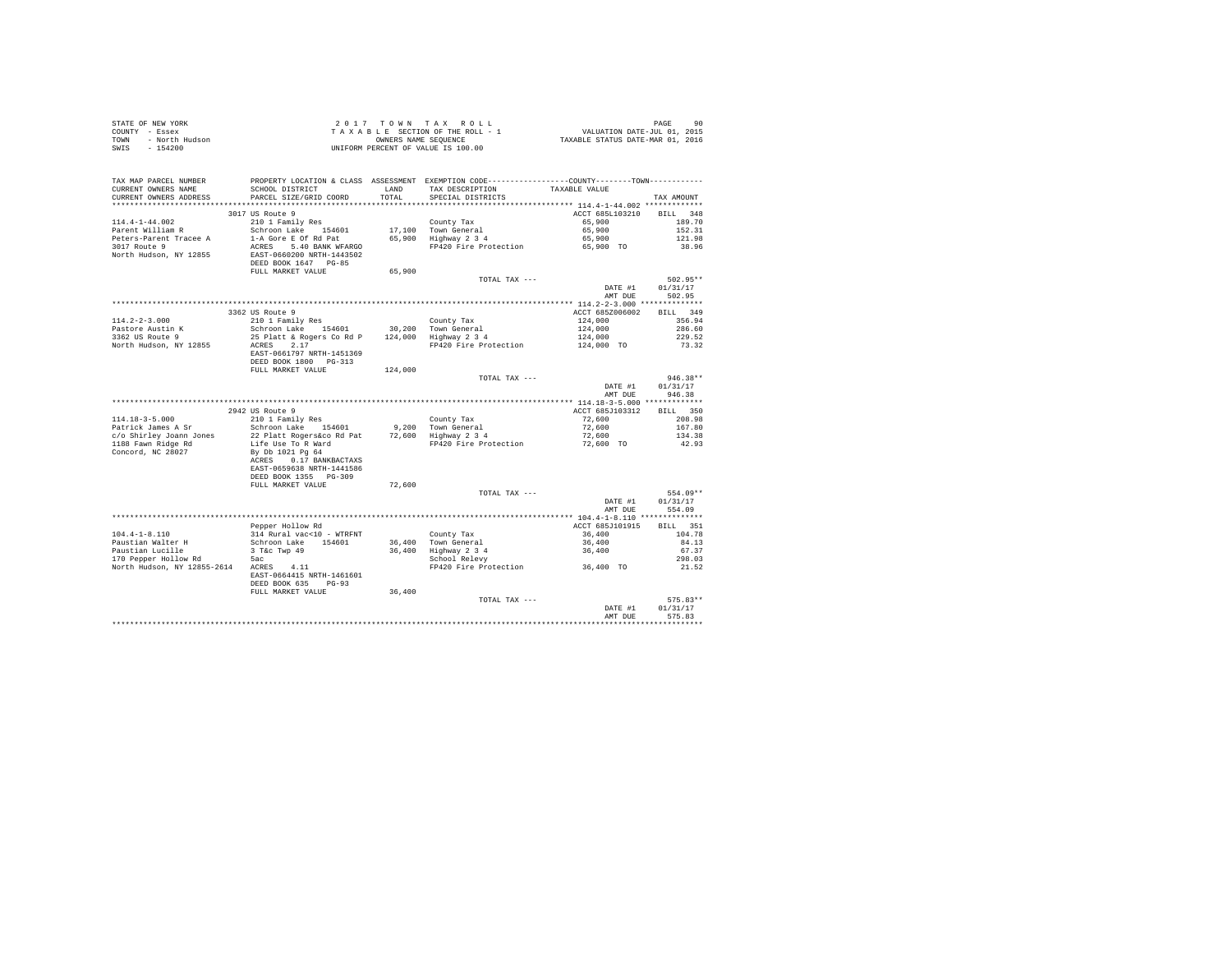| STATE OF NEW YORK<br>COUNTY - Essex<br>TOWN - North Hudson |                                                                                                |         | 2017 TOWN TAX ROLL<br>TAXABLE SECTION OF THE ROLL - 1<br>OWNERS NAME SEQUENCE<br>UNIFORM PERCENT OF VALUE IS 100.00 | PAGE 90<br>VALUATION DATE-JUL 01, 2015<br>TAXABLE STATUS DATE-MAR 01, 2016 |                  |
|------------------------------------------------------------|------------------------------------------------------------------------------------------------|---------|---------------------------------------------------------------------------------------------------------------------|----------------------------------------------------------------------------|------------------|
| SWIS - 154200                                              |                                                                                                |         |                                                                                                                     |                                                                            |                  |
| TAX MAP PARCEL NUMBER                                      | PROPERTY LOCATION & CLASS ASSESSMENT EXEMPTION CODE----------------COUNTY--------TOWN--------- |         |                                                                                                                     |                                                                            |                  |
| CURRENT OWNERS NAME                                        | SCHOOL DISTRICT                                                                                | LAND    | TAX DESCRIPTION                                                                                                     | TAXABLE VALUE                                                              |                  |
| CURRENT OWNERS ADDRESS                                     | PARCEL SIZE/GRID COORD                                                                         | TOTAL   | SPECIAL DISTRICTS                                                                                                   |                                                                            | TAX AMOUNT       |
|                                                            |                                                                                                |         |                                                                                                                     |                                                                            |                  |
|                                                            | 3017 US Route 9                                                                                |         |                                                                                                                     | ACCT 685L103210                                                            | BILL 348         |
| $114.4 - 1 - 44.002$                                       | 210 1 Family Res                                                                               |         | County Tax                                                                                                          | 65,900                                                                     | 189.70           |
| Parent William R                                           | Schroon Lake 154601                                                                            |         | 17,100 Town General                                                                                                 | 65,900                                                                     | 152.31           |
| Peters-Parent Tracee A                                     | 1-A Gore E Of Rd Pat                                                                           |         | 65,900 Highway 2 3 4                                                                                                | 65,900                                                                     | 121.98           |
| 3017 Route 9                                               | ACRES 5.40 BANK WFARGO                                                                         |         | FP420 Fire Protection                                                                                               | 65,900 TO                                                                  | 38.96            |
| North Hudson, NY 12855                                     | EAST-0660200 NRTH-1443502                                                                      |         |                                                                                                                     |                                                                            |                  |
|                                                            | DEED BOOK 1647 PG-85                                                                           |         |                                                                                                                     |                                                                            |                  |
|                                                            | FULL MARKET VALUE                                                                              | 65,900  |                                                                                                                     |                                                                            |                  |
|                                                            |                                                                                                |         | TOTAL TAX ---                                                                                                       |                                                                            | 502.95**         |
|                                                            |                                                                                                |         |                                                                                                                     | DATE #1                                                                    | 01/31/17         |
|                                                            |                                                                                                |         |                                                                                                                     | AMT DUE                                                                    | 502.95           |
|                                                            |                                                                                                |         |                                                                                                                     |                                                                            |                  |
|                                                            | 3362 US Route 9                                                                                |         |                                                                                                                     | ACCT 685Z006002                                                            | BILL 349         |
| $114.2 - 2 - 3.000$                                        | 210 1 Family Res                                                                               |         | County Tax                                                                                                          | 124,000                                                                    | 356.94           |
| Pastore Austin K                                           | Schroon Lake 154601                                                                            |         | 30,200 Town General                                                                                                 | 124,000                                                                    | 286.60           |
| 3362 US Route 9                                            | 25 Platt & Rogers Co Rd P 124,000 Highway 2 3 4                                                |         |                                                                                                                     | 124,000                                                                    | 229.52           |
| North Hudson, NY 12855                                     | $ACRES$ 2.17                                                                                   |         | FP420 Fire Protection                                                                                               | 124,000 TO                                                                 | 73.32            |
|                                                            | EAST-0661797 NRTH-1451369                                                                      |         |                                                                                                                     |                                                                            |                  |
|                                                            | DEED BOOK 1800 PG-313                                                                          |         |                                                                                                                     |                                                                            |                  |
|                                                            | FULL MARKET VALUE                                                                              | 124,000 |                                                                                                                     |                                                                            |                  |
|                                                            |                                                                                                |         | TOTAL TAX ---                                                                                                       |                                                                            | $946.38**$       |
|                                                            |                                                                                                |         |                                                                                                                     | DATE #1                                                                    | 01/31/17         |
|                                                            |                                                                                                |         |                                                                                                                     | AMT DUE                                                                    | 946.38           |
|                                                            | 2942 US Route 9                                                                                |         |                                                                                                                     | ACCT 685J103312                                                            | BILL 350         |
| $114.18 - 3 - 5.000$                                       |                                                                                                |         |                                                                                                                     |                                                                            |                  |
| Patrick James A Sr                                         | 210 1 Family Res<br>Schroon Lake 154601                                                        |         | County Tax<br>9,200 Town General                                                                                    | 72,600<br>72,600                                                           | 208.98<br>167.80 |
|                                                            |                                                                                                |         | 9,200 Town General<br>72,600 Highway 2 3 4                                                                          | 72,600                                                                     |                  |
| c/o Shirley Joann Jones<br>1188 Fawn Ridge Rd              | 22 Platt Rogers&co Rd Pat<br>Life Use To R Ward                                                |         | FP420 Fire Protection                                                                                               | 72,600 TO                                                                  | 134.38<br>42.93  |
| Concord, NC 28027                                          | By Db 1021 Pg 64                                                                               |         |                                                                                                                     |                                                                            |                  |
|                                                            | ACRES 0.17 BANKBACTAXS                                                                         |         |                                                                                                                     |                                                                            |                  |
|                                                            | EAST-0659638 NRTH-1441586                                                                      |         |                                                                                                                     |                                                                            |                  |
|                                                            | DEED BOOK 1355 PG-309                                                                          |         |                                                                                                                     |                                                                            |                  |
|                                                            | FULL MARKET VALUE                                                                              | 72,600  |                                                                                                                     |                                                                            |                  |
|                                                            |                                                                                                |         | TOTAL TAX ---                                                                                                       |                                                                            | 554.09**         |
|                                                            |                                                                                                |         |                                                                                                                     | DATE #1                                                                    | 01/31/17         |
|                                                            |                                                                                                |         |                                                                                                                     | AMT DUE                                                                    | 554.09           |
|                                                            |                                                                                                |         |                                                                                                                     |                                                                            |                  |
|                                                            | Pepper Hollow Rd                                                                               |         |                                                                                                                     | ACCT 685J101915                                                            | BILL 351         |
| $104.4 - 1 - 8.110$                                        | 314 Rural vac<10 - WTRFNT                                                                      |         | County Tax                                                                                                          | 36,400                                                                     | 104.78           |
| Paustian Walter H                                          | Schroon Lake 154601                                                                            |         |                                                                                                                     | $36,400$<br>$36,400$                                                       | 84.13            |
| Paustian Lucille                                           | 3 T&C Twp 49                                                                                   |         |                                                                                                                     |                                                                            | 67.37            |
| 170 Pepper Hollow Rd                                       | 5ac                                                                                            |         | County Tax<br>36,400 Town General<br>36,400 Highway 2 3 4<br>School Relevy                                          |                                                                            | 298.03           |
| North Hudson, NY 12855-2614 ACRES 4.11                     |                                                                                                |         | FP420 Fire Protection                                                                                               | 36,400 TO                                                                  | 21.52            |
|                                                            | EAST-0664415 NRTH-1461601                                                                      |         |                                                                                                                     |                                                                            |                  |
|                                                            | DEED BOOK 635 PG-93                                                                            |         |                                                                                                                     |                                                                            |                  |
|                                                            | FULL MARKET VALUE                                                                              | 36,400  |                                                                                                                     |                                                                            |                  |
|                                                            |                                                                                                |         | TOTAL TAX ---                                                                                                       |                                                                            | 575.83**         |
|                                                            |                                                                                                |         |                                                                                                                     | DATE #1                                                                    | 01/31/17         |
|                                                            |                                                                                                |         |                                                                                                                     | AMT DUE                                                                    | 575.83           |
|                                                            |                                                                                                |         |                                                                                                                     |                                                                            | .                |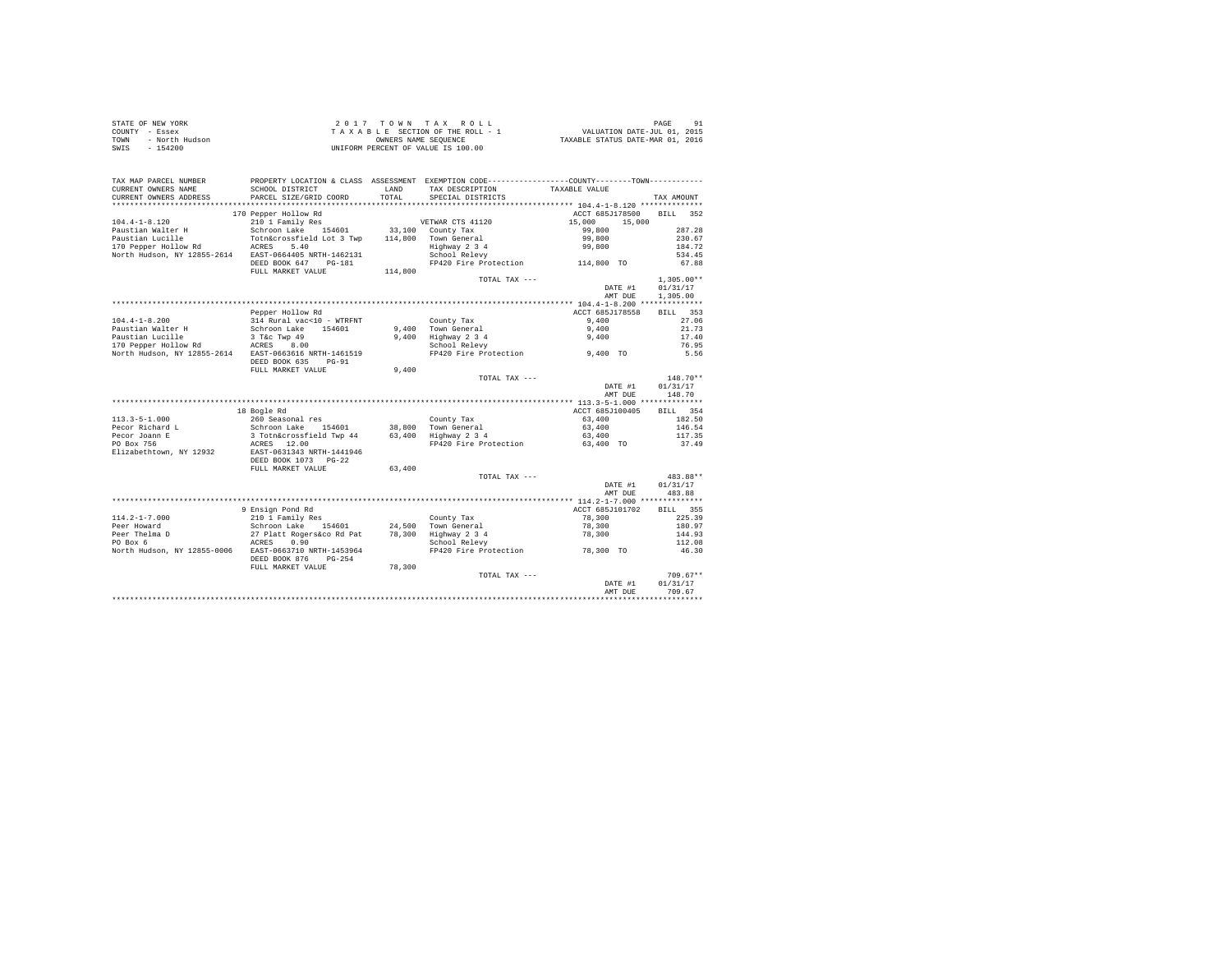| STATE OF NEW YORK<br>COUNTY<br>- Essex<br>- North Hudson<br>TOWN<br>$-154200$<br>SWIS |                           | OWNERS NAME SEQUENCE | 2017 TOWN TAX ROLL<br>TAXABLE SECTION OF THE ROLL - 1<br>UNIFORM PERCENT OF VALUE IS 100.00 | VALUATION DATE-JUL 01, 2015<br>TAXABLE STATUS DATE-MAR 01, 2016 | 91<br>PAGE   |
|---------------------------------------------------------------------------------------|---------------------------|----------------------|---------------------------------------------------------------------------------------------|-----------------------------------------------------------------|--------------|
| TAX MAP PARCEL NUMBER                                                                 | PROPERTY LOCATION & CLASS | ASSESSMENT           | EXEMPTION CODE-----------------COUNTY-------TOWN-----------                                 |                                                                 |              |
| CURRENT OWNERS NAME                                                                   | SCHOOL DISTRICT           | LAND                 | TAX DESCRIPTION                                                                             | TAXABLE VALUE                                                   |              |
| CURRENT OWNERS ADDRESS                                                                | PARCEL SIZE/GRID COORD    | TOTAL                | SPECIAL DISTRICTS                                                                           |                                                                 | TAX AMOUNT   |
|                                                                                       |                           |                      |                                                                                             |                                                                 |              |
|                                                                                       | 170 Pepper Hollow Rd      |                      |                                                                                             | ACCT 685J178500                                                 | 352<br>BTLL. |
| $104.4 - 1 - 8.120$                                                                   | 210 1 Family Res          |                      | VETWAR CTS 41120                                                                            | 15,000 15,000                                                   |              |
| Paustian Walter H                                                                     | Schroon Lake 154601       | 33,100               | County Tax                                                                                  | 99,800                                                          | 287.28       |
| Paustian Lucille                                                                      | Totn&crossfield Lot 3 Twp | 114,800              | Town General                                                                                | 99,800                                                          | 230.67       |
| 170 Pepper Hollow Rd                                                                  | 5.40<br>ACRES             |                      | Highway 2 3 4                                                                               | 99,800                                                          | 184.72       |
| North Hudson, NY 12855-2614                                                           | EAST-0664405 NRTH-1462131 |                      | School Relevy                                                                               |                                                                 | 534.45       |
|                                                                                       | DEED BOOK 647<br>PG-181   |                      | FP420 Fire Protection                                                                       | 114,800 TO                                                      | 67.88        |
|                                                                                       | FULL MARKET VALUE         | 114,800              |                                                                                             |                                                                 |              |
|                                                                                       |                           |                      | TOTAL TAX $---$                                                                             |                                                                 | $1,305.00**$ |
|                                                                                       |                           |                      |                                                                                             | DATE #1                                                         | 01/31/17     |

|                                       |                                                                             |        |                       | DATE #1                                   | 01/31/17           |
|---------------------------------------|-----------------------------------------------------------------------------|--------|-----------------------|-------------------------------------------|--------------------|
|                                       |                                                                             |        |                       | AMT DUE                                   | 1,305,00           |
|                                       |                                                                             |        |                       |                                           |                    |
|                                       | Pepper Hollow Rd                                                            |        |                       | ACCT 685J178558                           | 353<br><b>BILL</b> |
| $104.4 - 1 - 8.200$                   | 314 Rural vac<10 - WTRFNT                                                   |        | County Tax            | 9,400                                     | 27.06              |
| Paustian Walter H                     | Schroon Lake<br>154601                                                      | 9.400  | Town General          | 9,400                                     | 21.73              |
| Paustian Lucille                      | 3 T&C Twp 49                                                                | 9.400  | Highway 2 3 4         | 9,400                                     | 17.40              |
| 170 Pepper Hollow Rd                  | 8.00<br>ACRES                                                               |        | School Relevy         |                                           | 76.95              |
| North Hudson, NY 12855-2614           | EAST-0663616 NRTH-1461519<br>DEED BOOK 635<br>$PG-91$                       |        | FP420 Fire Protection | 9,400 TO                                  | 5.56               |
|                                       | FULL MARKET VALUE                                                           | 9,400  |                       |                                           |                    |
|                                       |                                                                             |        | TOTAL TAX ---         |                                           | $148.70**$         |
|                                       |                                                                             |        |                       | DATE #1                                   | 01/31/17           |
|                                       |                                                                             |        |                       | AMT DUE                                   | 148.70             |
|                                       |                                                                             |        |                       |                                           |                    |
|                                       | 18 Bogle Rd                                                                 |        |                       | ACCT 685J100405                           | 354<br>BILL        |
| $113.3 - 5 - 1.000$                   | 260 Seasonal res                                                            |        | County Tax            | 63,400                                    | 182.50             |
| Pecor Richard L                       | Schroon Lake<br>154601                                                      | 38,800 | Town General          | 63,400                                    | 146.54             |
| Pecor Joann E                         | 3 Totn&crossfield Twp 44                                                    | 63,400 | Highway 2 3 4         | 63,400                                    | 117.35             |
| PO Box 756<br>Elizabethtown, NY 12932 | 12.00<br>ACRES<br>EAST-0631343 NRTH-1441946<br>DEED BOOK 1073 PG-22         |        | FP420 Fire Protection | 63,400 TO                                 | 37.49              |
|                                       | FULL MARKET VALUE                                                           | 63,400 |                       |                                           |                    |
|                                       |                                                                             |        | TOTAL TAX ---         |                                           | $483.88**$         |
|                                       |                                                                             |        |                       | DATE #1                                   | 01/31/17           |
|                                       |                                                                             |        |                       | AMT DUE                                   | 483.88             |
|                                       |                                                                             |        |                       | ************ 114.2-1-7.000 ************** |                    |
|                                       | 9 Ensign Pond Rd                                                            |        |                       | ACCT 685J101702                           | BILL 355           |
| $114.2 - 1 - 7.000$                   | 210 1 Family Res                                                            |        | County Tax            | 78,300                                    | 225.39             |
| Peer Howard                           | Schroon Lake<br>154601                                                      | 24,500 | Town General          | 78,300                                    | 180.97             |
| Peer Thelma D                         | 27 Platt Rogers&co Rd Pat                                                   | 78,300 | Highway 2 3 4         | 78,300                                    | 144.93             |
| PO Box 6                              | ACRES<br>0.90                                                               |        | School Relevy         |                                           | 112.08             |
| North Hudson, NY 12855-0006           | EAST-0663710 NRTH-1453964<br>DEED BOOK 876<br>$PG-254$<br>FULL MARKET VALUE | 78,300 | FP420 Fire Protection | 78,300 TO                                 | 46.30              |
|                                       |                                                                             |        | TOTAL TAX ---         |                                           | $709.67**$         |
|                                       |                                                                             |        |                       | DATE #1                                   | 01/31/17           |
|                                       |                                                                             |        |                       | AMT DUE                                   | 709.67             |
|                                       |                                                                             |        |                       |                                           |                    |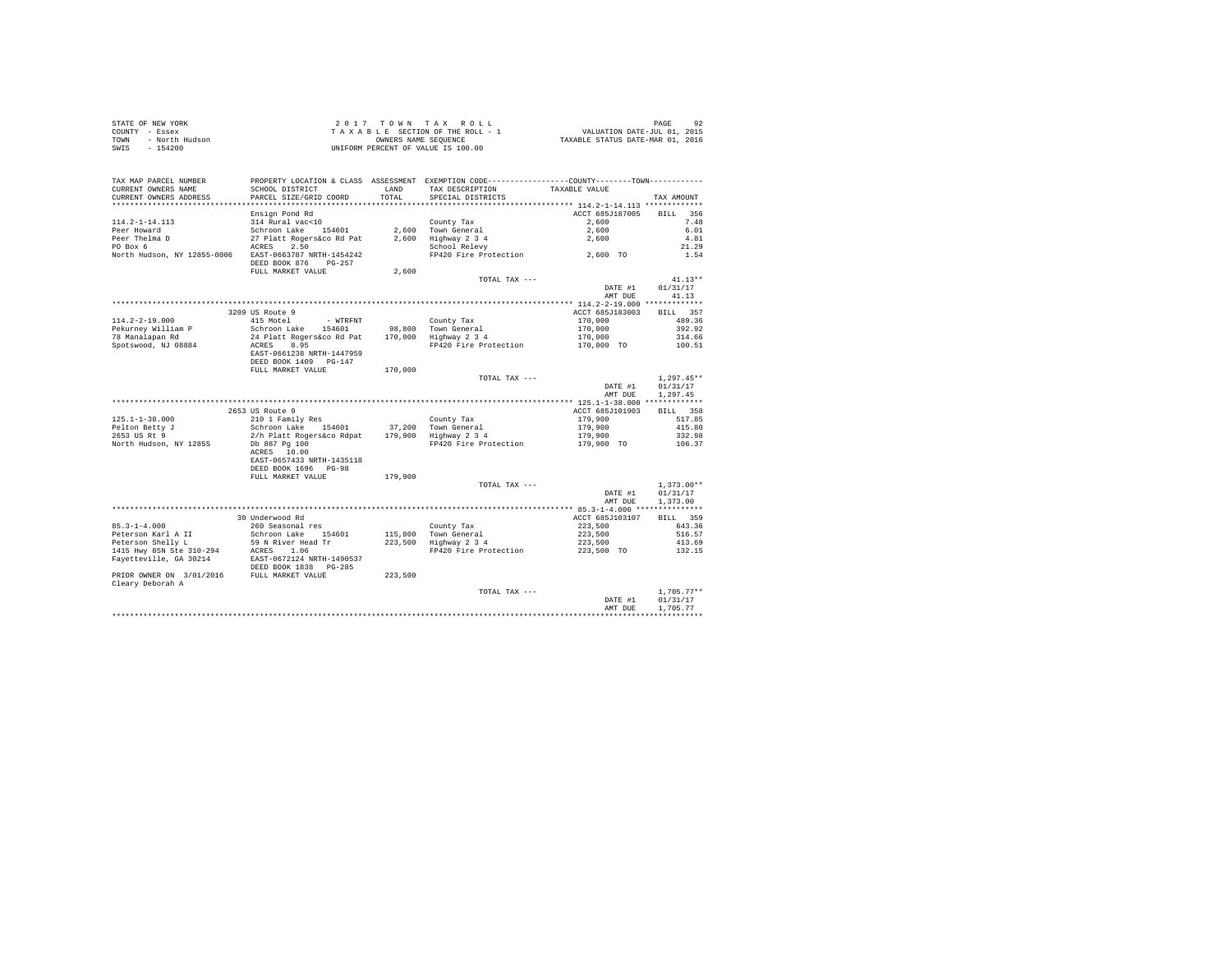| STATE OF NEW YORK      | 2017 TOWN TAX ROLL                 | 92<br>PAGE                       |
|------------------------|------------------------------------|----------------------------------|
| COUNTY - Essex         | TAXABLE SECTION OF THE ROLL - 1    | VALUATION DATE-JUL 01, 2015      |
| - North Hudson<br>TOWN | OWNERS NAME SEOUENCE               | TAXABLE STATUS DATE-MAR 01, 2016 |
| $-154200$<br>SWIS      | UNIFORM PERCENT OF VALUE IS 100.00 |                                  |

| TAX MAP PARCEL NUMBER<br>CURRENT OWNERS NAME | PROPERTY LOCATION & CLASS ASSESSMENT EXEMPTION CODE---------------COUNTY-------TOWN----------<br>SCHOOL DISTRICT | LAND      | TAX DESCRIPTION                                                     | TAXABLE VALUE                             |                    |
|----------------------------------------------|------------------------------------------------------------------------------------------------------------------|-----------|---------------------------------------------------------------------|-------------------------------------------|--------------------|
| CURRENT OWNERS ADDRESS                       | PARCEL SIZE/GRID COORD                                                                                           | TOTAL     | SPECIAL DISTRICTS                                                   |                                           | TAX AMOUNT         |
| *********************                        | *********************                                                                                            | ********* | ************************************** 114.2-1-14.113 ************* |                                           |                    |
|                                              | Ensign Pond Rd                                                                                                   |           |                                                                     | ACCT 685J187005                           | <b>BILL</b><br>356 |
| $114.2 - 1 - 14.113$                         | 314 Rural vac<10                                                                                                 |           | County Tax                                                          | 2,600                                     | 7.48               |
| Peer Howard                                  | Schroon Lake<br>154601                                                                                           | 2,600     | Town General                                                        | 2,600                                     | 6.01               |
| Peer Thelma D                                | 27 Platt Rogers&co Rd Pat                                                                                        | 2,600     | Highway 2 3 4                                                       | 2,600                                     | 4.81               |
| PO Box 6                                     | 2.50<br>ACRES                                                                                                    |           | School Relevy                                                       |                                           | 21.29              |
| North Hudson, NY 12855-0006                  | EAST-0663787 NRTH-1454242<br>DEED BOOK 876<br>$PG-257$                                                           |           | FP420 Fire Protection                                               | 2,600 TO                                  | 1.54               |
|                                              | FULL MARKET VALUE                                                                                                | 2,600     |                                                                     |                                           |                    |
|                                              |                                                                                                                  |           | TOTAL TAX ---                                                       |                                           | $41.13**$          |
|                                              |                                                                                                                  |           |                                                                     | DATE #1                                   | 01/31/17           |
|                                              |                                                                                                                  |           |                                                                     | AMT DUE                                   | 41.13              |
|                                              |                                                                                                                  |           |                                                                     |                                           |                    |
|                                              | 3209 US Route 9                                                                                                  |           |                                                                     | ACCT 685J183003                           | BILL 357           |
| $114.2 - 2 - 19.000$                         | 415 Motel<br>- WTRFNT                                                                                            |           | County Tax                                                          | 170,000                                   | 489.36             |
| Pekurnev William P                           | Schroon Lake 154601                                                                                              | 98,800    | Town General                                                        | 170,000                                   | 392.92             |
| 78 Manalapan Rd                              | 24 Platt Rogers&co Rd Pat                                                                                        | 170,000   | Highway 2 3 4                                                       | 170,000                                   | 314.66             |
| Spotswood, NJ 08884                          | 8.95<br>ACRES<br>EAST-0661238 NRTH-1447959<br>DEED BOOK 1409 PG-147                                              |           | FP420 Fire Protection                                               | 170,000 TO                                | 100.51             |
|                                              | FULL MARKET VALUE                                                                                                | 170,000   |                                                                     |                                           |                    |
|                                              |                                                                                                                  |           | TOTAL TAX ---                                                       |                                           | $1,297.45**$       |
|                                              |                                                                                                                  |           |                                                                     | DATE #1                                   | 01/31/17           |
|                                              |                                                                                                                  |           |                                                                     | AMT DUE                                   | 1,297.45           |
|                                              |                                                                                                                  |           |                                                                     |                                           |                    |
|                                              | 2653 US Route 9                                                                                                  |           |                                                                     | ACCT 685J101903                           | BILL 358           |
| $125.1 - 1 - 38.000$                         | 210 1 Family Res                                                                                                 |           | County Tax                                                          | 179,900                                   | 517.85             |
| Pelton Betty J                               | Schroon Lake 154601                                                                                              | 37,200    | Town General                                                        | 179,900                                   | 415.80             |
| 2653 US Rt 9                                 | 2/h Platt Rogers&co Rdpat                                                                                        | 179,900   | Highway 2 3 4                                                       | 179,900                                   | 332.98             |
| North Hudson, NY 12855                       | Db 887 Pg 100<br>ACRES 10.00                                                                                     |           | FP420 Fire Protection                                               | 179,900 TO                                | 106.37             |
|                                              | EAST-0657433 NRTH-1435118<br>DEED BOOK 1696 PG-98                                                                |           |                                                                     |                                           |                    |
|                                              | FULL MARKET VALUE                                                                                                | 179,900   | TOTAL TAX ---                                                       |                                           | $1,373.00**$       |
|                                              |                                                                                                                  |           |                                                                     | DATE #1                                   | 01/31/17           |
|                                              |                                                                                                                  |           |                                                                     | AMT DUE                                   | 1,373,00           |
|                                              |                                                                                                                  |           |                                                                     | ************ 85.3-1-4.000 *************** |                    |
|                                              | 30 Underwood Rd                                                                                                  |           |                                                                     | ACCT 685J103107                           | BILL 359           |
| $85.3 - 1 - 4.000$                           | 260 Seasonal res                                                                                                 |           | County Tax                                                          | 223,500                                   | 643.36             |
| Peterson Karl A II                           | Schroon Lake 154601                                                                                              | 115,800   | Town General                                                        | 223,500                                   | 516.57             |
| Peterson Shelly L                            | 59 N River Head Tr                                                                                               | 223,500   | Highway 2 3 4                                                       | 223,500                                   | 413.69             |
| 1415 Hwy 85N Ste 310-294                     | ACRES<br>1.06                                                                                                    |           | FP420 Fire Protection                                               | 223,500 TO                                | 132.15             |
| Fayetteville, GA 30214                       | EAST-0672124 NRTH-1490537<br>DEED BOOK 1838 PG-285                                                               |           |                                                                     |                                           |                    |
| PRIOR OWNER ON 3/01/2016<br>Cleary Deborah A | FULL MARKET VALUE                                                                                                | 223,500   |                                                                     |                                           |                    |
|                                              |                                                                                                                  |           | TOTAL TAX ---                                                       |                                           | $1.705.77**$       |
|                                              |                                                                                                                  |           |                                                                     | DATE #1                                   | 01/31/17           |
|                                              |                                                                                                                  |           |                                                                     | AMT DUE                                   | 1,705.77           |
|                                              |                                                                                                                  |           |                                                                     |                                           |                    |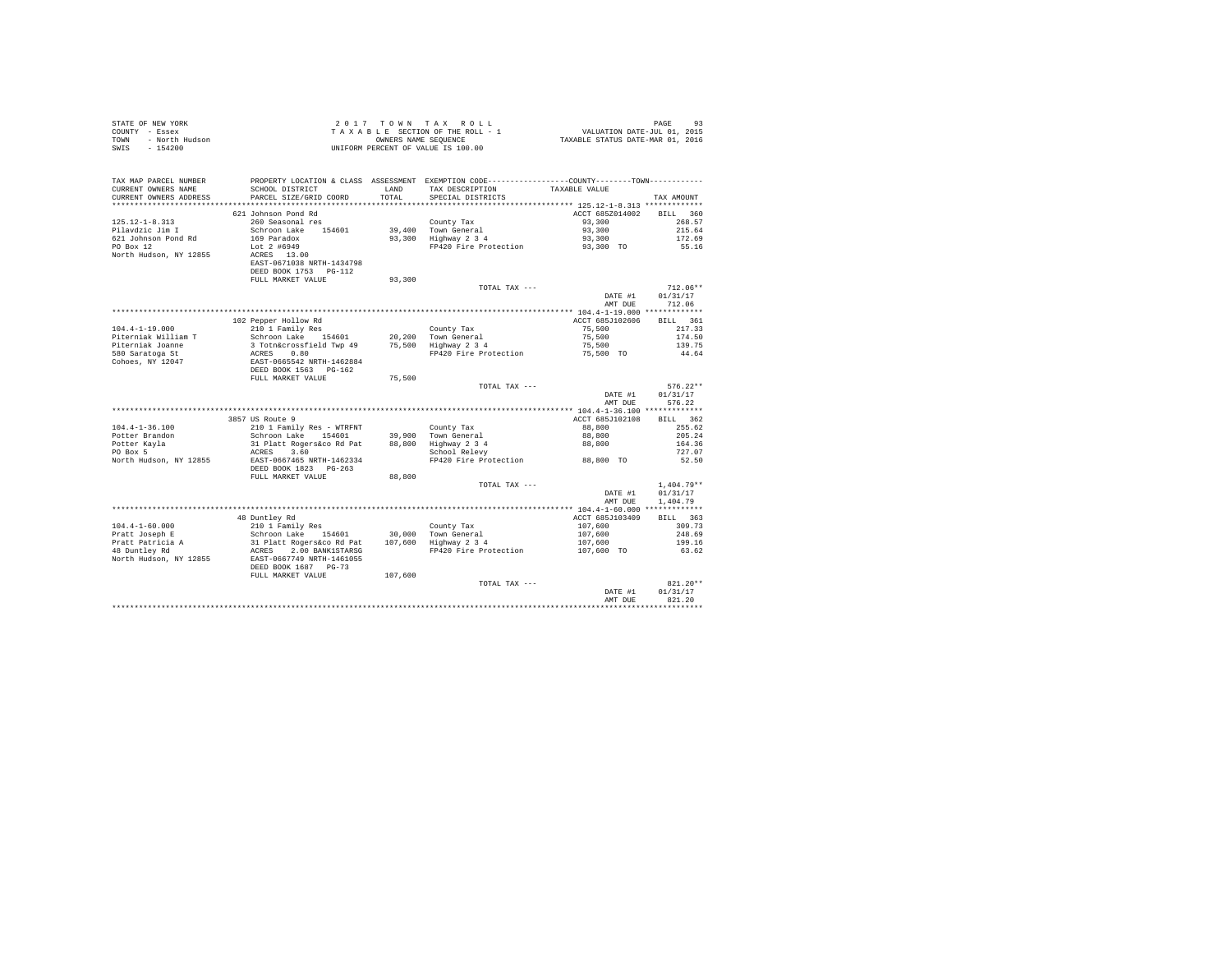| STATE OF NEW YORK<br>COUNTY - Essex<br>- North Hudson<br>TOWN<br>SWIS - 154200 |                                                                         |               | 2017 TOWN TAX ROLL<br>$\begin{array}{lcl} 2&0&1&7&7&0&\text{W} &\text{T} &\text{A} &\text{X}&\text{R} &0&\text{L} &\text{L}\\ \text{T} &\text{A} &\text{X} &\text{B} &\text{E} &\text{E} &\text{T} &\text{D} &\text{M} &\text{M} &\text{T} &\text{M} &\text{M} &\text{M} &\text{T} &\text{M} &\text{M} &\text{M} &\text{M} &\text{M} &\text{M} &\text{M} &\text{M} &\text{M} &\text{M} &\text{M} &\text{M} &$<br>UNIFORM PERCENT OF VALUE IS 100.00 |                            | PAGE<br>93       |
|--------------------------------------------------------------------------------|-------------------------------------------------------------------------|---------------|-----------------------------------------------------------------------------------------------------------------------------------------------------------------------------------------------------------------------------------------------------------------------------------------------------------------------------------------------------------------------------------------------------------------------------------------------------|----------------------------|------------------|
| TAX MAP PARCEL NUMBER<br>CURRENT OWNERS NAME<br>CURRENT OWNERS ADDRESS         | SCHOOL DISTRICT<br>PARCEL SIZE/GRID COORD                               | LAND<br>TOTAL | PROPERTY LOCATION & CLASS ASSESSMENT EXEMPTION CODE---------------COUNTY-------TOWN---------<br>TAX DESCRIPTION<br>SPECIAL DISTRICTS                                                                                                                                                                                                                                                                                                                | TAXABLE VALUE              | TAX AMOUNT       |
|                                                                                |                                                                         |               |                                                                                                                                                                                                                                                                                                                                                                                                                                                     |                            |                  |
|                                                                                | 621 Johnson Pond Rd                                                     |               |                                                                                                                                                                                                                                                                                                                                                                                                                                                     | ACCT 685Z014002            | BILL 360         |
| $125.12 - 1 - 8.313$                                                           | 260 Seasonal res                                                        |               | County Tax                                                                                                                                                                                                                                                                                                                                                                                                                                          | 93,300                     | 268.57           |
| Pilavdzic Jim I                                                                | Schroon Lake 154601                                                     |               | 39,400 Town General<br>93,300 Highway 2 3 4                                                                                                                                                                                                                                                                                                                                                                                                         | 93,300                     | 215.64           |
| 621 Johnson Pond Rd                                                            | 169 Paradox                                                             |               |                                                                                                                                                                                                                                                                                                                                                                                                                                                     | 93,300                     | 172.69           |
| PO Box 12                                                                      | Lot 2 #6949                                                             |               | FP420 Fire Protection                                                                                                                                                                                                                                                                                                                                                                                                                               | 93,300 TO                  | 55.16            |
| North Hudson, NY 12855                                                         | ACRES 13.00                                                             |               |                                                                                                                                                                                                                                                                                                                                                                                                                                                     |                            |                  |
|                                                                                | EAST-0671038 NRTH-1434798<br>DEED BOOK 1753 PG-112                      |               |                                                                                                                                                                                                                                                                                                                                                                                                                                                     |                            |                  |
|                                                                                | FULL MARKET VALUE                                                       | 93,300        |                                                                                                                                                                                                                                                                                                                                                                                                                                                     |                            |                  |
|                                                                                |                                                                         |               | TOTAL TAX ---                                                                                                                                                                                                                                                                                                                                                                                                                                       |                            | $712.06**$       |
|                                                                                |                                                                         |               |                                                                                                                                                                                                                                                                                                                                                                                                                                                     | DATE #1                    | 01/31/17         |
|                                                                                |                                                                         |               |                                                                                                                                                                                                                                                                                                                                                                                                                                                     | AMT DUE                    | 712.06           |
|                                                                                |                                                                         |               |                                                                                                                                                                                                                                                                                                                                                                                                                                                     |                            |                  |
|                                                                                | 102 Pepper Hollow Rd                                                    |               |                                                                                                                                                                                                                                                                                                                                                                                                                                                     | ACCT 685J102606            | BILL 361         |
| $104.4 - 1 - 19.000$                                                           | 210 1 Family Res                                                        |               | County Tax<br>20,200 Town General<br>75,500 Highway 2 3 4                                                                                                                                                                                                                                                                                                                                                                                           | 75,500                     | 217.33           |
| Piterniak William T                                                            | Schroon Lake 154601                                                     |               |                                                                                                                                                                                                                                                                                                                                                                                                                                                     | 75,500                     | 174.50           |
| Piterniak Joanne                                                               | 3 Totn&crossfield Twp 49<br>ACRES 0.80                                  |               |                                                                                                                                                                                                                                                                                                                                                                                                                                                     | 75,500                     | 139.75           |
| 580 Saratoga St<br>Cohoes, NY 12047                                            |                                                                         |               | FP420 Fire Protection                                                                                                                                                                                                                                                                                                                                                                                                                               | 75,500 TO                  | 44.64            |
|                                                                                | EAST-0665542 NRTH-1462884<br>DEED BOOK 1563 PG-162<br>FULL MARKET VALUE |               |                                                                                                                                                                                                                                                                                                                                                                                                                                                     |                            |                  |
|                                                                                |                                                                         | 75,500        |                                                                                                                                                                                                                                                                                                                                                                                                                                                     |                            |                  |
|                                                                                |                                                                         |               | TOTAL TAX ---                                                                                                                                                                                                                                                                                                                                                                                                                                       |                            | $576.22**$       |
|                                                                                |                                                                         |               |                                                                                                                                                                                                                                                                                                                                                                                                                                                     | DATE #1                    | 01/31/17         |
|                                                                                |                                                                         |               |                                                                                                                                                                                                                                                                                                                                                                                                                                                     | AMT DUE                    | 576.22           |
|                                                                                |                                                                         |               |                                                                                                                                                                                                                                                                                                                                                                                                                                                     |                            |                  |
|                                                                                | 3857 US Route 9                                                         |               |                                                                                                                                                                                                                                                                                                                                                                                                                                                     | ACCT 685J102108            | BILL 362         |
| $104.4 - 1 - 36.100$                                                           | 210 1 Family Res - WTRFNT<br>Schroon Lake 154601                        |               |                                                                                                                                                                                                                                                                                                                                                                                                                                                     | 88,800                     | 255.62<br>205.24 |
| Potter Brandon                                                                 | 31 Platt Rogers&co Rd Pat                                               |               |                                                                                                                                                                                                                                                                                                                                                                                                                                                     | 88,800<br>88,800           | 164.36           |
| Potter Kayla<br>PO Box 5                                                       | ACRES 3.60                                                              |               | County Tax<br>39,900 Town General<br>88,800 Highway 2 3 4<br>School Relevy                                                                                                                                                                                                                                                                                                                                                                          |                            | 727.07           |
| North Hudson, NY 12855                                                         | EAST-0667465 NRTH-1462334                                               |               | FP420 Fire Protection                                                                                                                                                                                                                                                                                                                                                                                                                               | 88,800 TO                  | 52.50            |
|                                                                                | DEED BOOK 1823 PG-263                                                   |               |                                                                                                                                                                                                                                                                                                                                                                                                                                                     |                            |                  |
|                                                                                | FULL MARKET VALUE                                                       | 88,800        |                                                                                                                                                                                                                                                                                                                                                                                                                                                     |                            |                  |
|                                                                                |                                                                         |               | TOTAL TAX ---                                                                                                                                                                                                                                                                                                                                                                                                                                       |                            | $1.404.79**$     |
|                                                                                |                                                                         |               |                                                                                                                                                                                                                                                                                                                                                                                                                                                     | DATE #1                    | 01/31/17         |
|                                                                                |                                                                         |               |                                                                                                                                                                                                                                                                                                                                                                                                                                                     | AMT DUE                    | 1,404.79         |
|                                                                                |                                                                         |               |                                                                                                                                                                                                                                                                                                                                                                                                                                                     |                            |                  |
|                                                                                | 48 Duntley Rd                                                           |               |                                                                                                                                                                                                                                                                                                                                                                                                                                                     | ACCT 685J103409<br>107,600 | BILL 363         |
| $104.4 - 1 - 60.000$                                                           | 210 1 Family Res                                                        |               |                                                                                                                                                                                                                                                                                                                                                                                                                                                     | 107,600                    | 309.73<br>248.69 |
| Pratt Joseph E<br>Pratt Patricia A<br>48 Duntley Rd                            | Schroon Lake 154601<br>31 Platt Rogers&co Rd Pat                        |               | County Tax<br>30,000 Town General<br>107,600 Highway 2 3 4                                                                                                                                                                                                                                                                                                                                                                                          | 107,600                    | 199.16           |
|                                                                                | ACRES 2.00 BANK1STARSG                                                  |               | FP420 Fire Protection                                                                                                                                                                                                                                                                                                                                                                                                                               | 107,600 TO                 | 63.62            |
| North Hudson, NY 12855                                                         | EAST-0667749 NRTH-1461055                                               |               |                                                                                                                                                                                                                                                                                                                                                                                                                                                     |                            |                  |
|                                                                                | DEED BOOK 1687 PG-73                                                    |               |                                                                                                                                                                                                                                                                                                                                                                                                                                                     |                            |                  |
|                                                                                | FULL MARKET VALUE                                                       | 107,600       |                                                                                                                                                                                                                                                                                                                                                                                                                                                     |                            |                  |
|                                                                                |                                                                         |               | TOTAL TAX ---                                                                                                                                                                                                                                                                                                                                                                                                                                       |                            | 821.20**         |
|                                                                                |                                                                         |               |                                                                                                                                                                                                                                                                                                                                                                                                                                                     | DATE #1                    | 01/31/17         |
|                                                                                |                                                                         |               |                                                                                                                                                                                                                                                                                                                                                                                                                                                     | AMT DUE                    | 821.20           |
|                                                                                |                                                                         |               |                                                                                                                                                                                                                                                                                                                                                                                                                                                     |                            |                  |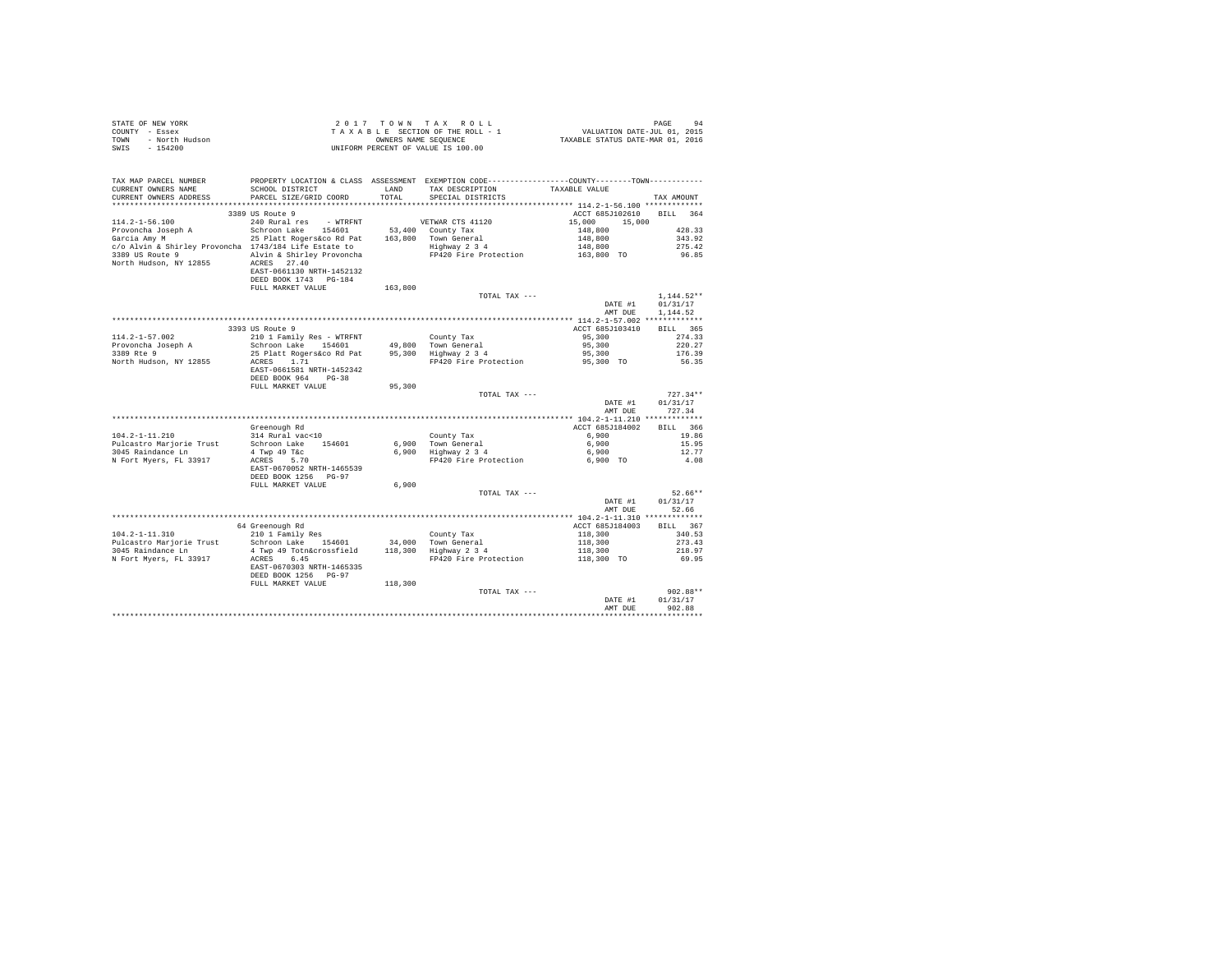| STATE OF NEW YORK      | $2.017$ TOWN TAX ROLL              | PAGE                             |
|------------------------|------------------------------------|----------------------------------|
| COUNTY - Essex         | TAXABLE SECTION OF THE ROLL - 1    | VALUATION DATE-JUL 01, 2015      |
| TOWN<br>- North Hudson | OWNERS NAME SEOUENCE               | TAXABLE STATUS DATE-MAR 01, 2016 |
| - 154200<br>SWIS       | UNIFORM PERCENT OF VALUE IS 100.00 |                                  |

| TAX MAP PARCEL NUMBER<br>CURRENT OWNERS NAME          | SCHOOL DISTRICT                                   | <b>T.AND</b> | PROPERTY LOCATION & CLASS ASSESSMENT EXEMPTION CODE---------------COUNTY-------TOWN----------<br>TAX DESCRIPTION | TAXABLE VALUE                               |                    |
|-------------------------------------------------------|---------------------------------------------------|--------------|------------------------------------------------------------------------------------------------------------------|---------------------------------------------|--------------------|
| CURRENT OWNERS ADDRESS                                | PARCEL SIZE/GRID COORD                            | TOTAL        | SPECIAL DISTRICTS                                                                                                |                                             | TAX AMOUNT         |
|                                                       | ************************                          |              |                                                                                                                  |                                             |                    |
|                                                       | 3389 US Route 9                                   |              |                                                                                                                  | ACCT 685J102610                             | <b>BILL</b><br>364 |
| $114.2 - 1 - 56.100$                                  | 240 Rural res<br>- WTRFNT                         |              | VETWAR CTS 41120                                                                                                 | 15,000<br>15,000                            |                    |
| Provoncha Joseph A                                    | Schroon Lake<br>154601                            | 53,400       | County Tax                                                                                                       | 148,800                                     | 428.33             |
| Garcia Amy M                                          | 25 Platt Rogers&co Rd Pat                         |              | 163,800 Town General                                                                                             | 148,800                                     | 343.92             |
| c/o Alvin & Shirley Provoncha 1743/184 Life Estate to |                                                   |              | Highway 2 3 4                                                                                                    | 148,800                                     | 275.42             |
| 3389 US Route 9                                       | Alvin & Shirley Provoncha                         |              | FP420 Fire Protection                                                                                            | 163,800 TO                                  | 96.85              |
| North Hudson, NY 12855                                | ACRES 27.40<br>EAST-0661130 NRTH-1452132          |              |                                                                                                                  |                                             |                    |
|                                                       | DEED BOOK 1743 PG-184                             |              |                                                                                                                  |                                             |                    |
|                                                       | FULL MARKET VALUE                                 | 163,800      |                                                                                                                  |                                             |                    |
|                                                       |                                                   |              | TOTAL TAX ---                                                                                                    |                                             | $1.144.52**$       |
|                                                       |                                                   |              |                                                                                                                  | DATE #1                                     | 01/31/17           |
|                                                       |                                                   |              |                                                                                                                  | AMT DUE                                     | 1.144.52           |
|                                                       |                                                   |              |                                                                                                                  |                                             |                    |
|                                                       | 3393 US Route 9                                   |              |                                                                                                                  | ACCT 685J103410                             | BILL 365           |
| $114.2 - 1 - 57.002$                                  | 210 1 Family Res - WTRFNT                         |              | County Tax                                                                                                       | 95,300                                      | 274.33             |
| Provoncha Joseph A                                    | Schroon Lake 154601                               |              | 49.800 Town General<br>95,300 Highway 2 3 4                                                                      | 95,300                                      | 220.27             |
| 3389 Rte 9                                            | 25 Platt Rogers&co Rd Pat                         |              |                                                                                                                  | 95,300                                      | 176.39             |
| North Hudson, NY 12855                                | 1.71<br>ACRES<br>EAST-0661581 NRTH-1452342        |              | FP420 Fire Protection                                                                                            | 95,300 TO                                   | 56.35              |
|                                                       | DEED BOOK 964 PG-38                               |              |                                                                                                                  |                                             |                    |
|                                                       | FULL MARKET VALUE                                 | 95,300       |                                                                                                                  |                                             |                    |
|                                                       |                                                   |              | TOTAL TAX ---                                                                                                    |                                             | $727.34**$         |
|                                                       |                                                   |              |                                                                                                                  | DATE #1                                     | 01/31/17           |
|                                                       |                                                   |              |                                                                                                                  | AMT DUE                                     | 727.34             |
|                                                       |                                                   |              |                                                                                                                  |                                             |                    |
|                                                       | Greenough Rd                                      |              |                                                                                                                  | ACCT 685J184002                             | <b>BILL</b><br>366 |
| $104.2 - 1 - 11.210$                                  | 314 Rural vac<10                                  |              | County Tax                                                                                                       | 6,900                                       | 19.86              |
| Pulcastro Mariorie Trust                              | Schroon Lake 154601                               |              |                                                                                                                  | 6,900                                       | 15.95              |
| 3045 Raindance Ln                                     | 4 Twp 49 T&c                                      |              | 6,900 Town General<br>6,900 Highway 2 3 4                                                                        | 6,900                                       | 12.77              |
| N Fort Myers, FL 33917                                | ACRES 5.70                                        |              | FP420 Fire Protection                                                                                            | 6.900 TO                                    | 4.08               |
|                                                       | EAST-0670052 NRTH-1465539                         |              |                                                                                                                  |                                             |                    |
|                                                       | DEED BOOK 1256 PG-97                              |              |                                                                                                                  |                                             |                    |
|                                                       | FULL MARKET VALUE                                 | 6,900        |                                                                                                                  |                                             |                    |
|                                                       |                                                   |              | TOTAL TAX ---                                                                                                    |                                             | $52.66**$          |
|                                                       |                                                   |              |                                                                                                                  | DATE #1                                     | 01/31/17           |
|                                                       |                                                   |              |                                                                                                                  | AMT DUE                                     | 52.66              |
|                                                       |                                                   |              |                                                                                                                  | ************* 104.2-1-11.310 ************** |                    |
|                                                       | 64 Greenough Rd                                   |              |                                                                                                                  | ACCT 685J184003                             | BILL 367           |
| $104.2 - 1 - 11.310$                                  | 210 1 Family Res                                  |              | County Tax                                                                                                       | 118,300                                     | 340.53             |
| Pulcastro Marjorie Trust                              | Schroon Lake 154601                               |              | 34,000 Town General                                                                                              | 118,300                                     | 273.43             |
| 3045 Raindance Ln                                     | 4 Twp 49 Totn&crossfield                          |              | 118,300 Highway 2 3 4                                                                                            | 118,300                                     | 218.97             |
| N Fort Myers, FL 33917                                | 6.45<br>ACRES                                     |              | FP420 Fire Protection                                                                                            | 118,300 TO                                  | 69.95              |
|                                                       | EAST-0670303 NRTH-1465335<br>DEED BOOK 1256 PG-97 |              |                                                                                                                  |                                             |                    |
|                                                       | FULL MARKET VALUE                                 | 118,300      |                                                                                                                  |                                             |                    |
|                                                       |                                                   |              | TOTAL TAX ---                                                                                                    |                                             | 902.88**           |
|                                                       |                                                   |              |                                                                                                                  | DATE #1                                     | 01/31/17           |
|                                                       |                                                   |              |                                                                                                                  | AMT DUE                                     | 902.88             |
|                                                       |                                                   |              |                                                                                                                  |                                             |                    |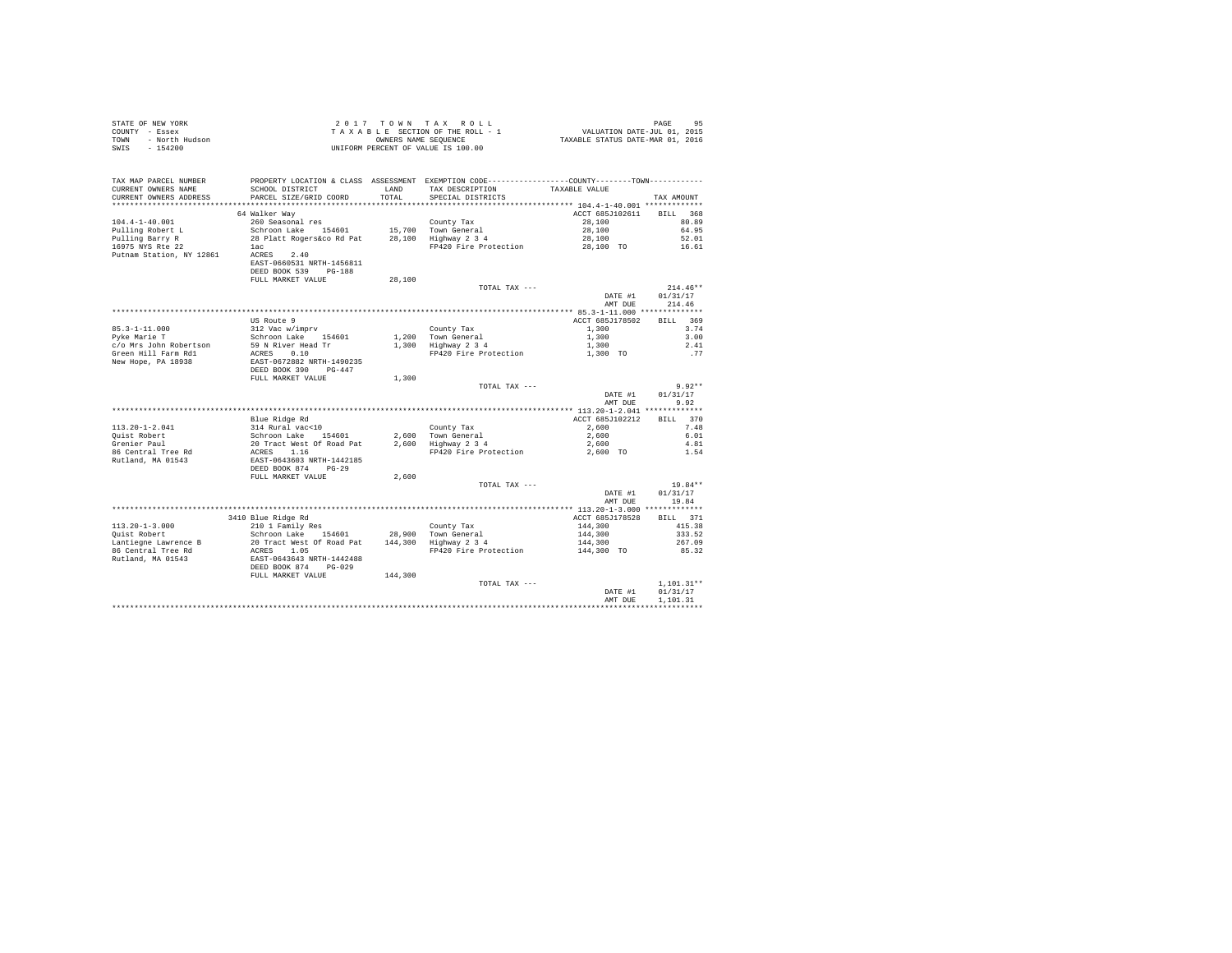| STATE OF NEW YORK<br>COUNTY - Essex<br>- North Hudson<br>TOWN<br>$-154200$<br>SWIS |                                                                                      |               | 2017 TOWN TAX ROLL<br>TAXABLE SECTION OF THE ROLL - 1<br>OWNERS NAME SEQUENCE<br>UNIFORM PERCENT OF VALUE IS 100.00                   | دد<br>7101, VALUATION DATE-JUL<br>7112 TAXABLE STATUS DATE-MAR | PAGE<br>95           |
|------------------------------------------------------------------------------------|--------------------------------------------------------------------------------------|---------------|---------------------------------------------------------------------------------------------------------------------------------------|----------------------------------------------------------------|----------------------|
| TAX MAP PARCEL NUMBER<br>CURRENT OWNERS NAME<br>CURRENT OWNERS ADDRESS             | SCHOOL DISTRICT<br>PARCEL SIZE/GRID COORD                                            | LAND<br>TOTAL | PROPERTY LOCATION & CLASS ASSESSMENT EXEMPTION CODE---------------COUNTY-------TOWN----------<br>TAX DESCRIPTION<br>SPECIAL DISTRICTS | TAXABLE VALUE                                                  | TAX AMOUNT           |
|                                                                                    | 64 Walker Way                                                                        |               |                                                                                                                                       | ACCT 685J102611                                                | BTLL 368             |
| $104.4 - 1 - 40.001$                                                               | 260 Seasonal res                                                                     |               | County Tax                                                                                                                            | 28,100                                                         | 80.89                |
| Pulling Robert L                                                                   | Schroon Lake 154601                                                                  |               |                                                                                                                                       | 28,100                                                         | 64.95                |
| Pulling Barry R                                                                    | 28 Platt Rogers&co Rd Pat                                                            |               | 15,700 Town General<br>28,100 Highway 2 3 4                                                                                           | 28,100                                                         | 52.01                |
| 16975 NYS Rte 22                                                                   | lac                                                                                  |               | FP420 Fire Protection                                                                                                                 | 28,100 TO                                                      | 16.61                |
| Putnam Station, NY 12861                                                           | ACRES 2.40<br>EAST-0660531 NRTH-1456811<br>DEED BOOK 539 PG-188<br>FULL MARKET VALUE | 28,100        |                                                                                                                                       |                                                                |                      |
|                                                                                    |                                                                                      |               | TOTAL TAX ---                                                                                                                         |                                                                | $214.46**$           |
|                                                                                    |                                                                                      |               |                                                                                                                                       | DATE #1<br>AMT DUE                                             | 01/31/17<br>214.46   |
|                                                                                    |                                                                                      |               |                                                                                                                                       |                                                                |                      |
|                                                                                    | US Route 9                                                                           |               |                                                                                                                                       | ACCT 685J178502                                                | BILL 369             |
| 85.3-1-11.000<br>Pyke Marie T                                                      | 312 Vac w/imprv                                                                      |               | County Tax                                                                                                                            | 1,300                                                          | 3.74                 |
| c/o Mrs John Robertson                                                             | Schroon Lake 154601<br>59 N River Head Tr                                            |               | 1,200 Town General<br>1,300 Highway 2 3 4                                                                                             | 1,300<br>1,300                                                 | 3.00<br>2.41         |
| Green Hill Farm Rd1                                                                | 59 N River Head Tr<br>ACRES 0.10                                                     |               | FP420 Fire Protection                                                                                                                 | 1,300 TO                                                       | .77                  |
| New Hope, PA 18938                                                                 | EAST-0672882 NRTH-1490235<br>DEED BOOK 390 PG-447                                    |               |                                                                                                                                       |                                                                |                      |
|                                                                                    | FULL MARKET VALUE                                                                    | 1,300         |                                                                                                                                       |                                                                |                      |
|                                                                                    |                                                                                      |               | TOTAL TAX ---                                                                                                                         |                                                                | $9.92**$             |
|                                                                                    |                                                                                      |               |                                                                                                                                       | DATE #1<br>AMT DUE                                             | 01/31/17<br>9.92     |
|                                                                                    | Blue Ridge Rd                                                                        |               |                                                                                                                                       | ACCT 685J102212                                                | BILL 370             |
| $113.20 - 1 - 2.041$                                                               | 314 Rural vac<10                                                                     |               | County Tax                                                                                                                            | 2,600                                                          | 7.48                 |
|                                                                                    | Schroon Lake 154601                                                                  |               |                                                                                                                                       | 2,600                                                          | 6.01                 |
| Quist Robert<br>Grenier Paul                                                       | 20 Tract West Of Road Pat                                                            |               | 2,600 Town General<br>2,600 Highway 2 3 4                                                                                             | 2,600                                                          | 4.81                 |
| 86 Central Tree Rd                                                                 | ACRES 1.16<br>EAST-0643603 NRTH-1442185                                              |               | FP420 Fire Protection                                                                                                                 | 2,600 TO                                                       | 1.54                 |
| Rutland, MA 01543                                                                  | DEED BOOK 874 PG-29                                                                  |               |                                                                                                                                       |                                                                |                      |
|                                                                                    | FULL MARKET VALUE                                                                    | 2,600         |                                                                                                                                       |                                                                |                      |
|                                                                                    |                                                                                      |               | TOTAL TAX ---                                                                                                                         |                                                                | 19.84**              |
|                                                                                    |                                                                                      |               |                                                                                                                                       | DATE #1<br>AMT DUE                                             | 01/31/17<br>19.84    |
|                                                                                    | 3410 Blue Ridge Rd                                                                   |               |                                                                                                                                       | ACCT 685J178528                                                | BILL 371             |
| $113.20 - 1 - 3.000$                                                               | 210 1 Family Res                                                                     |               | County Tax                                                                                                                            | 144,300                                                        | 415.38               |
| Quist Robert                                                                       | Schroon Lake 154601                                                                  |               | County Tax<br>28,900 Town General<br>144,300 Highway 2 3 4                                                                            | 144,300                                                        | 333.52               |
| Lantiegne Lawrence B                                                               | 20 Tract West Of Road Pat                                                            |               |                                                                                                                                       | 144,300                                                        | 267.09               |
| 86 Central Tree Rd                                                                 |                                                                                      |               | FP420 Fire Protection                                                                                                                 | 144,300 TO                                                     | 85.32                |
| Rutland, MA 01543                                                                  | ACRES 1.05<br>EAST-0643643 NRTH-1442488<br>DEED BOOK 874 PG-029                      |               |                                                                                                                                       |                                                                |                      |
|                                                                                    | FULL MARKET VALUE                                                                    | 144,300       |                                                                                                                                       |                                                                |                      |
|                                                                                    |                                                                                      |               | TOTAL TAX ---                                                                                                                         |                                                                | $1.101.31**$         |
|                                                                                    |                                                                                      |               |                                                                                                                                       | DATE #1<br>AMT DUE                                             | 01/31/17<br>1,101.31 |
|                                                                                    |                                                                                      |               |                                                                                                                                       |                                                                |                      |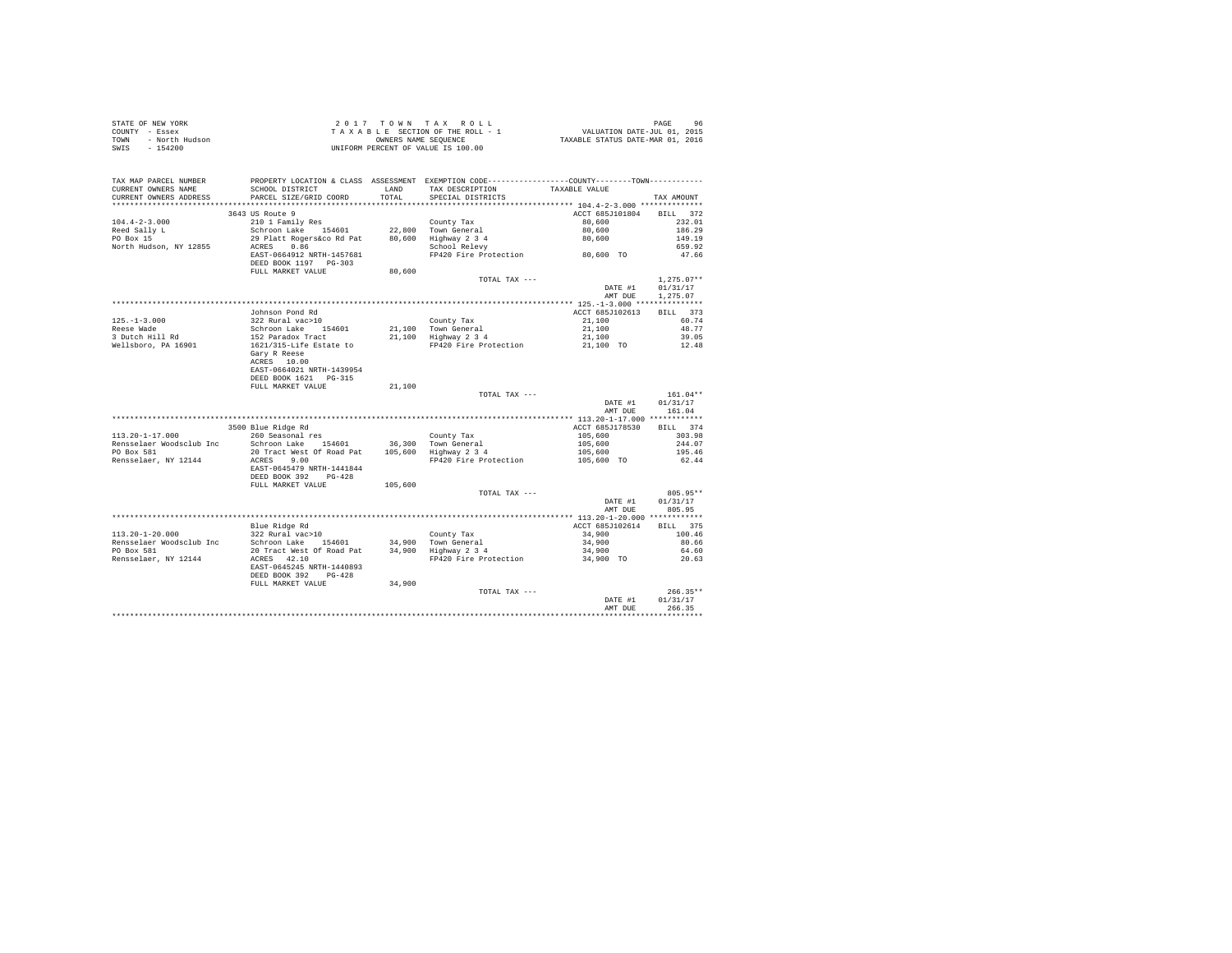| STATE OF NEW YORK      | $2.017$ TOWN TAX ROLL              | 96<br>PAGE                       |
|------------------------|------------------------------------|----------------------------------|
| COUNTY - Essex         | TAXABLE SECTION OF THE ROLL - 1    | VALUATION DATE-JUL 01, 2015      |
| TOWN<br>- North Hudson | OWNERS NAME SEOUENCE               | TAXABLE STATUS DATE-MAR 01, 2016 |
| SWIS - 154200          | UNIFORM PERCENT OF VALUE IS 100.00 |                                  |

| TAX MAP PARCEL NUMBER    |                                                                                                                  |         | PROPERTY LOCATION & CLASS ASSESSMENT EXEMPTION CODE---------------COUNTY-------TOWN--------- |                               |              |
|--------------------------|------------------------------------------------------------------------------------------------------------------|---------|----------------------------------------------------------------------------------------------|-------------------------------|--------------|
| CURRENT OWNERS NAME      | SCHOOL DISTRICT                                                                                                  | LAND    | TAX DESCRIPTION                                                                              | TAXABLE VALUE                 |              |
| CURRENT OWNERS ADDRESS   | PARCEL SIZE/GRID COORD                                                                                           | TOTAL   | SPECIAL DISTRICTS                                                                            |                               | TAX AMOUNT   |
| ********************     | ***************************                                                                                      |         |                                                                                              |                               |              |
|                          | 3643 US Route 9                                                                                                  |         |                                                                                              | ACCT 685J101804               | BILL 372     |
| $104.4 - 2 - 3.000$      | 210 1 Family Res                                                                                                 |         | County Tax                                                                                   | 80,600                        | 232.01       |
| Reed Sally L             | Schroon Lake 154601                                                                                              |         | 22.800 Town General                                                                          | 80,600                        | 186.29       |
| PO Box 15                | 29 Platt Rogers&co Rd Pat                                                                                        |         |                                                                                              | 80,600                        | 149.19       |
| North Hudson, NY 12855   | ACRES 0.86                                                                                                       |         | 80,600 Highway 2 3 4<br>School Relevy                                                        |                               | 659.92       |
|                          | EAST-0664912 NRTH-1457681                                                                                        |         | FP420 Fire Protection 60,600 TO                                                              |                               | 47.66        |
|                          | DEED BOOK 1197 PG-303                                                                                            |         |                                                                                              |                               |              |
|                          | FULL MARKET VALUE                                                                                                | 80,600  |                                                                                              |                               |              |
|                          |                                                                                                                  |         | TOTAL TAX ---                                                                                |                               | $1,275.07**$ |
|                          |                                                                                                                  |         |                                                                                              | DATE #1                       | 01/31/17     |
|                          |                                                                                                                  |         |                                                                                              | AMT DUE                       | 1,275.07     |
|                          |                                                                                                                  |         |                                                                                              |                               |              |
|                          | Johnson Pond Rd                                                                                                  |         |                                                                                              | ACCT 685J102613               | BILL 373     |
| $125. - 1 - 3.000$       | 322 Rural vac>10                                                                                                 |         | County Tax                                                                                   | 21,100                        | 60.74        |
| Reese Wade               |                                                                                                                  |         | 21,100 Town General<br>21,100 Highway 2 3 4                                                  | 21,100                        | 48.77        |
| 3 Dutch Hill Rd          |                                                                                                                  |         |                                                                                              |                               | 39.05        |
| Wellsboro, PA 16901      | Schroon Lake 154601<br>152 Paradox Tract<br>1621/315-Life Estate to                                              |         | FP420 Fire Protection                                                                        | $21,100$<br>$21,100$ TO       | 12.48        |
|                          | Gary R Reese                                                                                                     |         |                                                                                              |                               |              |
|                          | ACRES 10.00                                                                                                      |         |                                                                                              |                               |              |
|                          | EAST-0664021 NRTH-1439954                                                                                        |         |                                                                                              |                               |              |
|                          | DEED BOOK 1621 PG-315                                                                                            |         |                                                                                              |                               |              |
|                          | FULL MARKET VALUE                                                                                                | 21,100  |                                                                                              |                               |              |
|                          |                                                                                                                  |         | TOTAL TAX ---                                                                                |                               | $161.04**$   |
|                          |                                                                                                                  |         |                                                                                              | DATE #1                       | 01/31/17     |
|                          |                                                                                                                  |         |                                                                                              | AMT DUE                       | 161.04       |
|                          |                                                                                                                  |         |                                                                                              |                               |              |
|                          | 3500 Blue Ridge Rd                                                                                               |         |                                                                                              | ACCT 685J178530               | BILL 374     |
| $113.20 - 1 - 17.000$    | 260 Seasonal res                                                                                                 |         | County Tax                                                                                   |                               | 303.98       |
| Rensselaer Woodsclub Inc | Schroon Lake 154601                                                                                              |         |                                                                                              |                               | 244.07       |
| PO Box 581               | 20 Tract West Of Road Pat                                                                                        |         | 36,300 Town General<br>105,600 Highway 2 3 4                                                 | 105,600<br>105,600<br>105,600 | 195.46       |
| Rensselaer, NY 12144     | ACRES 9.00                                                                                                       |         | FP420 Fire Protection                                                                        | 105,600 TO                    | 62.44        |
|                          | EAST-0645479 NRTH-1441844                                                                                        |         |                                                                                              |                               |              |
|                          | DEED BOOK 392 PG-428                                                                                             |         |                                                                                              |                               |              |
|                          | FULL MARKET VALUE                                                                                                | 105,600 |                                                                                              |                               |              |
|                          |                                                                                                                  |         | TOTAL TAX ---                                                                                |                               | 805.95**     |
|                          |                                                                                                                  |         |                                                                                              | DATE #1                       | 01/31/17     |
|                          |                                                                                                                  |         |                                                                                              | AMT DUE                       | 805.95       |
|                          |                                                                                                                  |         |                                                                                              |                               |              |
|                          | Blue Ridge Rd                                                                                                    |         |                                                                                              | ACCT 685J102614               | BILL 375     |
| 113.20-1-20.000          | $322$ Rural vac > 10                                                                                             |         | County Tax                                                                                   | 34,900                        | 100.46       |
| Rensselaer Woodsclub Inc | Schroon Lake 154601 34,900 Town General<br>20 Tract West Of Road Pat 34,900 Highway 2 3 4<br>Schroon Lake 154601 |         |                                                                                              | 34,900                        | 80.66        |
| PO Box 581               |                                                                                                                  |         |                                                                                              | 34,900                        | 64.60        |
| Rensselaer, NY 12144     | ACRES 42.10                                                                                                      |         | FP420 Fire Protection                                                                        | 34,900 TO                     | 20.63        |
|                          | EAST-0645245 NRTH-1440893                                                                                        |         |                                                                                              |                               |              |
|                          | DEED BOOK 392 PG-428                                                                                             |         |                                                                                              |                               |              |
|                          | FULL MARKET VALUE                                                                                                | 34,900  |                                                                                              |                               |              |
|                          |                                                                                                                  |         | TOTAL TAX ---                                                                                |                               | $266.35**$   |
|                          |                                                                                                                  |         |                                                                                              | DATE #1                       | 01/31/17     |
|                          |                                                                                                                  |         |                                                                                              | AMT DUE                       | 266.35       |
|                          |                                                                                                                  |         |                                                                                              |                               |              |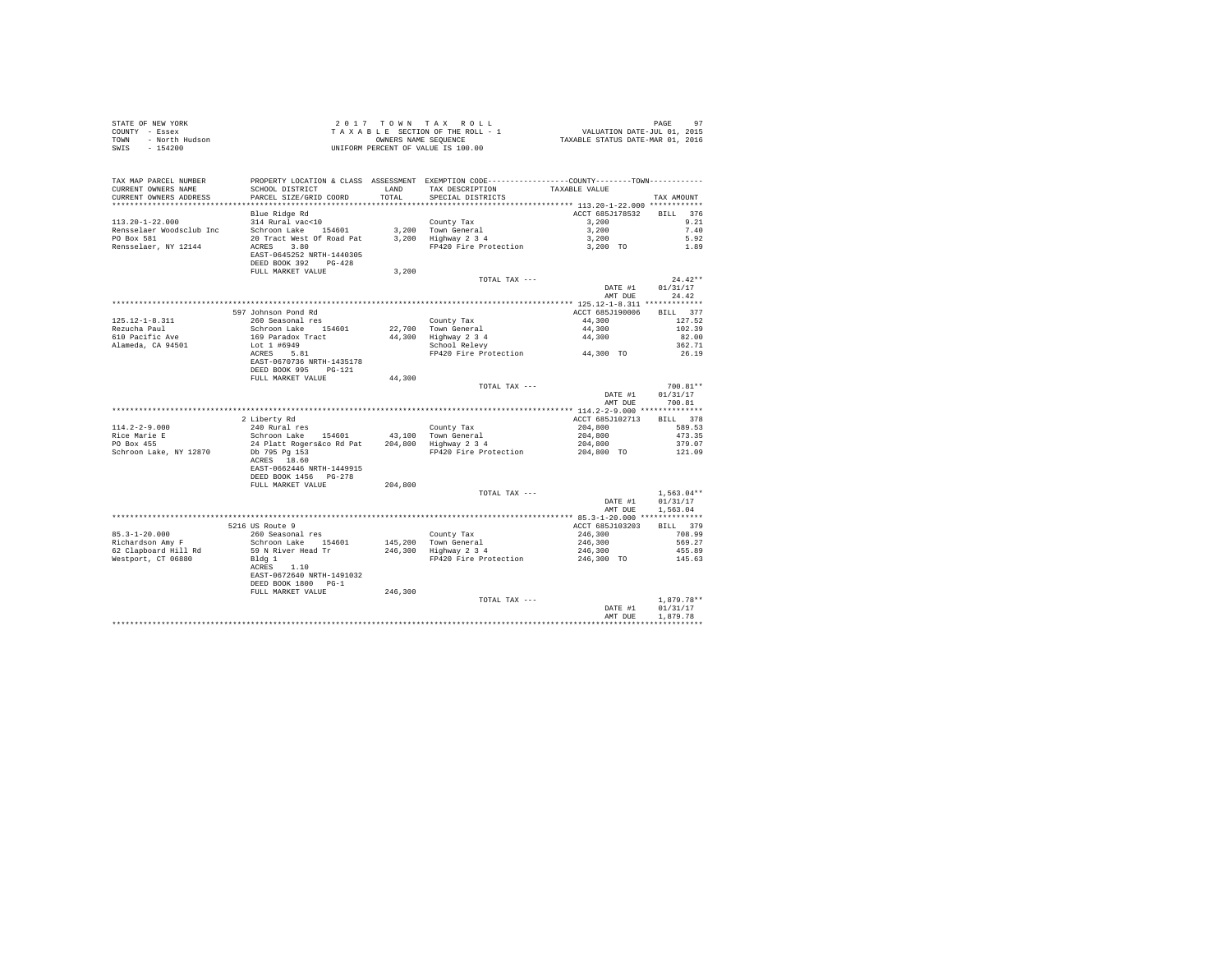| STATE OF NEW YORK<br>COUNTY - Essex<br>TOWN - North Hudson<br>SWIS - 154200 |                                                                                                           |         | UNIFORM PERCENT OF VALUE IS 100.00                                                                                                                                                                                                                                             |                                   |                   |
|-----------------------------------------------------------------------------|-----------------------------------------------------------------------------------------------------------|---------|--------------------------------------------------------------------------------------------------------------------------------------------------------------------------------------------------------------------------------------------------------------------------------|-----------------------------------|-------------------|
| TAX MAP PARCEL NUMBER<br>CURRENT OWNERS NAME<br>CURRENT OWNERS ADDRESS      | SCHOOL DISTRICT LAND<br>PARCEL SIZE/GRID COORD                                                            | TOTAL   | PROPERTY LOCATION & CLASS ASSESSMENT EXEMPTION CODE----------------COUNTY--------TOWN----------<br>TAX DESCRIPTION<br>SPECIAL DISTRICTS                                                                                                                                        | TAXABLE VALUE                     | TAX AMOUNT        |
|                                                                             |                                                                                                           |         |                                                                                                                                                                                                                                                                                |                                   |                   |
| $113.20 - 1 - 22.000$                                                       | Blue Ridge Rd<br>314 Rural vac<10                                                                         |         | County Tax                                                                                                                                                                                                                                                                     | ACCT 685J178532 BILL 376<br>3,200 | 9.21              |
| Rensselaer Woodsclub Inc                                                    |                                                                                                           |         |                                                                                                                                                                                                                                                                                |                                   | 7.40              |
| PO Box 581                                                                  | Schroon Lake 154601 .<br>Schroon Lake 154601 .<br>200 Town General 200 .<br>200 Tighway 2 3 4             |         |                                                                                                                                                                                                                                                                                |                                   | 5.92              |
| Rensselaer, NY 12144                                                        | ACRES 3.80                                                                                                |         | Town General 3,200<br>Highway 2 3 4<br>FP420 Fire Protection 3,200<br>3,200 TO                                                                                                                                                                                                 |                                   | 1.89              |
|                                                                             | EAST-0645252 NRTH-1440305<br>DEED BOOK 392 PG-428                                                         |         |                                                                                                                                                                                                                                                                                |                                   |                   |
|                                                                             | FULL MARKET VALUE                                                                                         | 3,200   |                                                                                                                                                                                                                                                                                |                                   |                   |
|                                                                             |                                                                                                           |         | TOTAL TAX ---                                                                                                                                                                                                                                                                  |                                   | $24.42**$         |
|                                                                             |                                                                                                           |         |                                                                                                                                                                                                                                                                                | DATE #1<br>AMT DUE                | 01/31/17<br>24.42 |
|                                                                             |                                                                                                           |         |                                                                                                                                                                                                                                                                                |                                   |                   |
|                                                                             | 597 Johnson Pond Rd                                                                                       |         |                                                                                                                                                                                                                                                                                | ACCT 685J190006                   | BILL 377          |
| 125.12-1-8.311                                                              | 260 Seasonal res                                                                                          |         |                                                                                                                                                                                                                                                                                | 44,300                            | 127.52            |
| Rezucha Paul                                                                |                                                                                                           |         |                                                                                                                                                                                                                                                                                | $44,300$<br>$44,300$              | 102.39            |
| 610 Pacific Ave                                                             |                                                                                                           |         | County Tax<br>22,700 Town General<br>44,300 Highway 2 3<br>School Relevy                                                                                                                                                                                                       |                                   | 82.00             |
| Alameda, CA 94501                                                           | Schroon Lake 154601<br>169 Paradox Tract<br>Lot 1 #6949<br>ACRES 5.81                                     |         | FP420 Fire Protection 44,300 TO                                                                                                                                                                                                                                                |                                   | 362.71            |
|                                                                             | EAST-0670736 NRTH-1435178                                                                                 |         |                                                                                                                                                                                                                                                                                |                                   | 26.19             |
|                                                                             | DEED BOOK 995 PG-121                                                                                      |         |                                                                                                                                                                                                                                                                                |                                   |                   |
|                                                                             | FULL MARKET VALUE                                                                                         | 44,300  |                                                                                                                                                                                                                                                                                |                                   |                   |
|                                                                             |                                                                                                           |         | TOTAL TAX ---                                                                                                                                                                                                                                                                  |                                   | 700.81**          |
|                                                                             |                                                                                                           |         |                                                                                                                                                                                                                                                                                | DATE #1                           | 01/31/17          |
|                                                                             |                                                                                                           |         |                                                                                                                                                                                                                                                                                | AMT DUE                           | 700.81            |
|                                                                             | 2 Liberty Rd                                                                                              |         |                                                                                                                                                                                                                                                                                | ACCT 685J102713                   | BILL 378          |
| $114.2 - 2 - 9.000$                                                         | 240 Rural res                                                                                             |         |                                                                                                                                                                                                                                                                                | 204,800                           | 589.53            |
|                                                                             |                                                                                                           |         |                                                                                                                                                                                                                                                                                |                                   |                   |
| Rice Marie E<br>PO Box 455                                                  | 240 Rural res<br>Schroon Lake 154601 43,100 Town General<br>24 Platt Rogers&co Rd Pat 204,800 Highway 234 |         |                                                                                                                                                                                                                                                                                |                                   |                   |
| Schroon Lake, NY 12870                                                      | Db 795 Pg 153<br>ACRES 18.60                                                                              |         | ${\small \begin{tabular}{lcccc} 43,100 & Town & General & & & 204,800 & & 473.35 \\ 204,800 & High & 4 & 24 & & 204,800 & & 473.35 \\ 204,800 & High & 204 & 204,800 & & 379.07 \\ 373.35 & 34 & 4 & 204,800 & & 379.07 \\ 204,800 & 70 & 379.07 & & 121.09 \\ \end{tabular}}$ |                                   |                   |
|                                                                             |                                                                                                           |         |                                                                                                                                                                                                                                                                                |                                   |                   |
|                                                                             | EAST-0662446 NRTH-1449915<br>DEED BOOK 1456 PG-278                                                        |         |                                                                                                                                                                                                                                                                                |                                   |                   |
|                                                                             | FULL MARKET VALUE                                                                                         | 204,800 |                                                                                                                                                                                                                                                                                |                                   |                   |
|                                                                             |                                                                                                           |         | TOTAL TAX ---                                                                                                                                                                                                                                                                  |                                   | $1.563.04**$      |
|                                                                             |                                                                                                           |         |                                                                                                                                                                                                                                                                                | DATE #1                           | 01/31/17          |
|                                                                             |                                                                                                           |         |                                                                                                                                                                                                                                                                                | AMT DUE                           | 1,563.04          |
|                                                                             |                                                                                                           |         |                                                                                                                                                                                                                                                                                |                                   | BILL 379          |
| $85.3 - 1 - 20.000$                                                         | 5216 US Route 9<br>260 Seasonal res                                                                       |         |                                                                                                                                                                                                                                                                                | ACCT 685J103203<br>246,300        | 708.99            |
| Richardson Amy F                                                            | Schroon Lake 154601                                                                                       |         | County Tax<br>145,200 Town General<br>246,300 Highway 2 3 4                                                                                                                                                                                                                    | 246,300                           | 569.27            |
| 62 Clapboard Hill Rd                                                        | 59 N River Head Tr                                                                                        |         |                                                                                                                                                                                                                                                                                | 246,300                           | 455.89            |
| Westport, CT 06880                                                          | Bldg 1                                                                                                    |         | FP420 Fire Protection                                                                                                                                                                                                                                                          | 246,300 TO                        | 145.63            |
|                                                                             | ACRES 1.10                                                                                                |         |                                                                                                                                                                                                                                                                                |                                   |                   |
|                                                                             | EAST-0672640 NRTH-1491032                                                                                 |         |                                                                                                                                                                                                                                                                                |                                   |                   |
|                                                                             | DEED BOOK 1800 PG-1<br>FULL MARKET VALUE                                                                  | 246,300 |                                                                                                                                                                                                                                                                                |                                   |                   |
|                                                                             |                                                                                                           |         | TOTAL TAX ---                                                                                                                                                                                                                                                                  |                                   | $1.879.78**$      |
|                                                                             |                                                                                                           |         |                                                                                                                                                                                                                                                                                | DATE #1                           | 01/31/17          |
|                                                                             |                                                                                                           |         |                                                                                                                                                                                                                                                                                | AMT DUE                           | 1,879.78          |
|                                                                             |                                                                                                           |         |                                                                                                                                                                                                                                                                                |                                   |                   |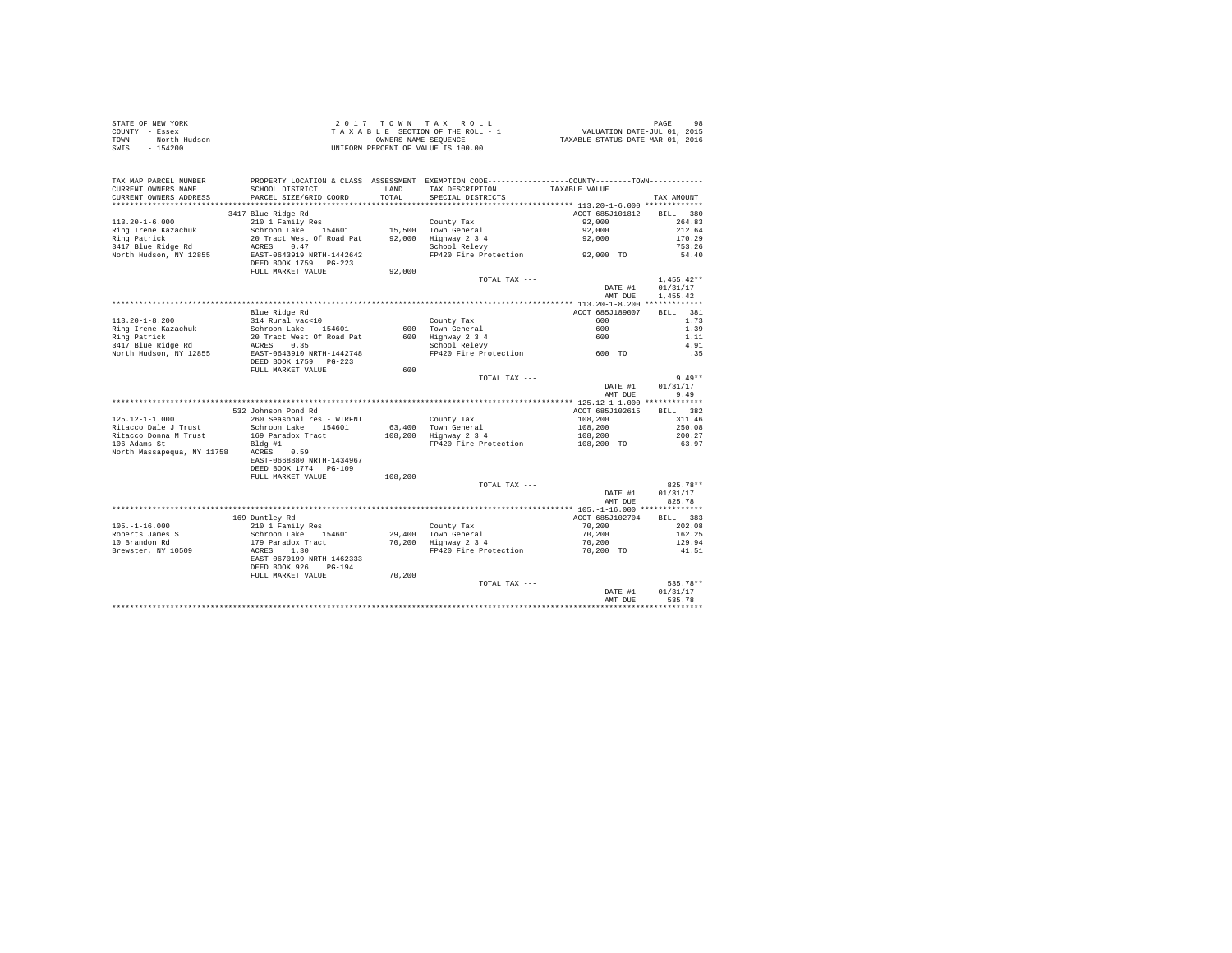| STATE OF NEW YORK      | 2017 TOWN TAX ROLL                 | 98<br>PAGE                       |
|------------------------|------------------------------------|----------------------------------|
| COUNTY - Essex         | TAXABLE SECTION OF THE ROLL - 1    | VALUATION DATE-JUL 01, 2015      |
| TOWN<br>- North Hudson | OWNERS NAME SEOUENCE               | TAXABLE STATUS DATE-MAR 01, 2016 |
| - 154200<br>SWIS       | UNIFORM PERCENT OF VALUE IS 100.00 |                                  |

| TAX MAP PARCEL NUMBER<br>CURRENT OWNERS NAME<br>CURRENT OWNERS ADDRESS | SCHOOL DISTRICT<br>PARCEL SIZE/GRID COORD | LAND<br>TOTAL. | PROPERTY LOCATION & CLASS ASSESSMENT EXEMPTION CODE---------------COUNTY-------TOWN----------<br>TAX DESCRIPTION<br>SPECIAL DISTRICTS | TAXABLE VALUE   | TAX AMOUNT         |
|------------------------------------------------------------------------|-------------------------------------------|----------------|---------------------------------------------------------------------------------------------------------------------------------------|-----------------|--------------------|
| *******************                                                    | ***************************               |                |                                                                                                                                       |                 |                    |
|                                                                        | 3417 Blue Ridge Rd                        |                |                                                                                                                                       | ACCT 685J101812 | 380<br><b>BILL</b> |
| $113.20 - 1 - 6.000$                                                   | 210 1 Family Res                          |                | County Tax                                                                                                                            | 92.000          | 264.83             |
| Ring Irene Kazachuk                                                    | Schroon Lake 154601                       |                | 15,500 Town General                                                                                                                   | 92,000          | 212.64             |
| Ring Patrick                                                           | 20 Tract West Of Road Pat                 |                | 92,000 Highway 2 3 4                                                                                                                  | 92,000          | 170.29             |
| 3417 Blue Ridge Rd                                                     | 0.47<br>ACRES                             |                | School Relevy                                                                                                                         |                 | 753.26             |
| North Hudson, NY 12855                                                 | EAST-0643919 NRTH-1442642                 |                | FP420 Fire Protection                                                                                                                 | 92,000 TO       | 54.40              |
|                                                                        | DEED BOOK 1759 PG-223                     |                |                                                                                                                                       |                 |                    |
|                                                                        | FULL MARKET VALUE                         | 92,000         |                                                                                                                                       |                 |                    |
|                                                                        |                                           |                | TOTAL TAX ---                                                                                                                         |                 | $1.455.42**$       |
|                                                                        |                                           |                |                                                                                                                                       | DATE #1         | 01/31/17           |
|                                                                        |                                           |                |                                                                                                                                       | AMT DUE         | 1,455.42           |
|                                                                        |                                           |                |                                                                                                                                       |                 |                    |
|                                                                        |                                           |                |                                                                                                                                       | ACCT 685J189007 | BILL 381           |
|                                                                        | Blue Ridge Rd                             |                |                                                                                                                                       | 600             |                    |
| $113.20 - 1 - 8.200$                                                   | 314 Rural vac<10                          |                | County Tax                                                                                                                            |                 | 1.73               |
| Ring Irene Kazachuk                                                    | Schroon Lake<br>154601                    | 600            | Town General                                                                                                                          | 600             | 1.39               |
| Ring Patrick                                                           | 20 Tract West Of Road Pat                 |                | 600 Highway 2 3 4                                                                                                                     | 600             | 1.11               |
| 3417 Blue Ridge Rd                                                     | 0.35<br>ACRES                             |                | School Relevy                                                                                                                         |                 | 4.91               |
| North Hudson, NY 12855                                                 | EAST-0643910 NRTH-1442748                 |                | FP420 Fire Protection 600 TO                                                                                                          |                 | .35                |
|                                                                        | DEED BOOK 1759 PG-223                     |                |                                                                                                                                       |                 |                    |
|                                                                        | FULL MARKET VALUE                         | 600            |                                                                                                                                       |                 |                    |
|                                                                        |                                           |                | TOTAL TAX ---                                                                                                                         |                 | $9.49**$           |
|                                                                        |                                           |                |                                                                                                                                       | DATE #1         | 01/31/17           |
|                                                                        |                                           |                |                                                                                                                                       | AMT DUE         | 9.49               |
|                                                                        |                                           |                |                                                                                                                                       |                 |                    |
|                                                                        | 532 Johnson Pond Rd                       |                |                                                                                                                                       | ACCT 685J102615 | BTLL.<br>382       |
| $125.12 - 1 - 1.000$                                                   | 260 Seasonal res - WTRFNT                 |                | County Tax                                                                                                                            | 108,200         | 311.46             |
| Ritacco Dale J Trust                                                   | Schroon Lake 154601                       |                | 63.400 Town General                                                                                                                   | 108,200         | 250.08             |
| Ritacco Donna M Trust                                                  | 169 Paradox Tract                         |                | 108,200 Highway 2 3 4                                                                                                                 | 108,200         | 200.27             |
| 106 Adams St                                                           | Bldg #1                                   |                | FP420 Fire Protection                                                                                                                 | 108,200 TO      | 63.97              |
| North Massapequa, NY 11758 ACRES 0.59                                  |                                           |                |                                                                                                                                       |                 |                    |
|                                                                        | EAST-0668880 NRTH-1434967                 |                |                                                                                                                                       |                 |                    |
|                                                                        | DEED BOOK 1774 PG-109                     |                |                                                                                                                                       |                 |                    |
|                                                                        | FULL MARKET VALUE                         | 108,200        |                                                                                                                                       |                 |                    |
|                                                                        |                                           |                | TOTAL TAX ---                                                                                                                         |                 | $825.78**$         |
|                                                                        |                                           |                |                                                                                                                                       | DATE #1         | 01/31/17           |
|                                                                        |                                           |                |                                                                                                                                       | AMT DUE         | 825.78             |
|                                                                        |                                           |                |                                                                                                                                       |                 |                    |
|                                                                        | 169 Duntley Rd                            |                |                                                                                                                                       | ACCT 685J102704 | BILL 383           |
| $105. - 1 - 16.000$                                                    | 210 1 Family Res                          |                | County Tax                                                                                                                            | 70,200          | 202.08             |
| Roberts James S                                                        | Schroon Lake 154601                       |                | 29,400 Town General                                                                                                                   | 70,200          | 162.25             |
| 10 Brandon Rd                                                          | 179 Paradox Tract                         |                | 70,200 Highway 2 3 4                                                                                                                  | 70,200          | 129.94             |
| Brewster, NY 10509                                                     | 1.30<br>ACRES                             |                | FP420 Fire Protection                                                                                                                 | 70.200 TO       | 41.51              |
|                                                                        | EAST-0670199 NRTH-1462333                 |                |                                                                                                                                       |                 |                    |
|                                                                        |                                           |                |                                                                                                                                       |                 |                    |
|                                                                        | DEED BOOK 926<br>$PG-194$                 |                |                                                                                                                                       |                 |                    |
|                                                                        | FULL MARKET VALUE                         | 70,200         |                                                                                                                                       |                 |                    |
|                                                                        |                                           |                | TOTAL TAX ---                                                                                                                         |                 | 535.78**           |
|                                                                        |                                           |                |                                                                                                                                       | DATE #1         | 01/31/17           |
|                                                                        |                                           |                |                                                                                                                                       | AMT DUE         | 535.78             |
|                                                                        |                                           |                |                                                                                                                                       |                 |                    |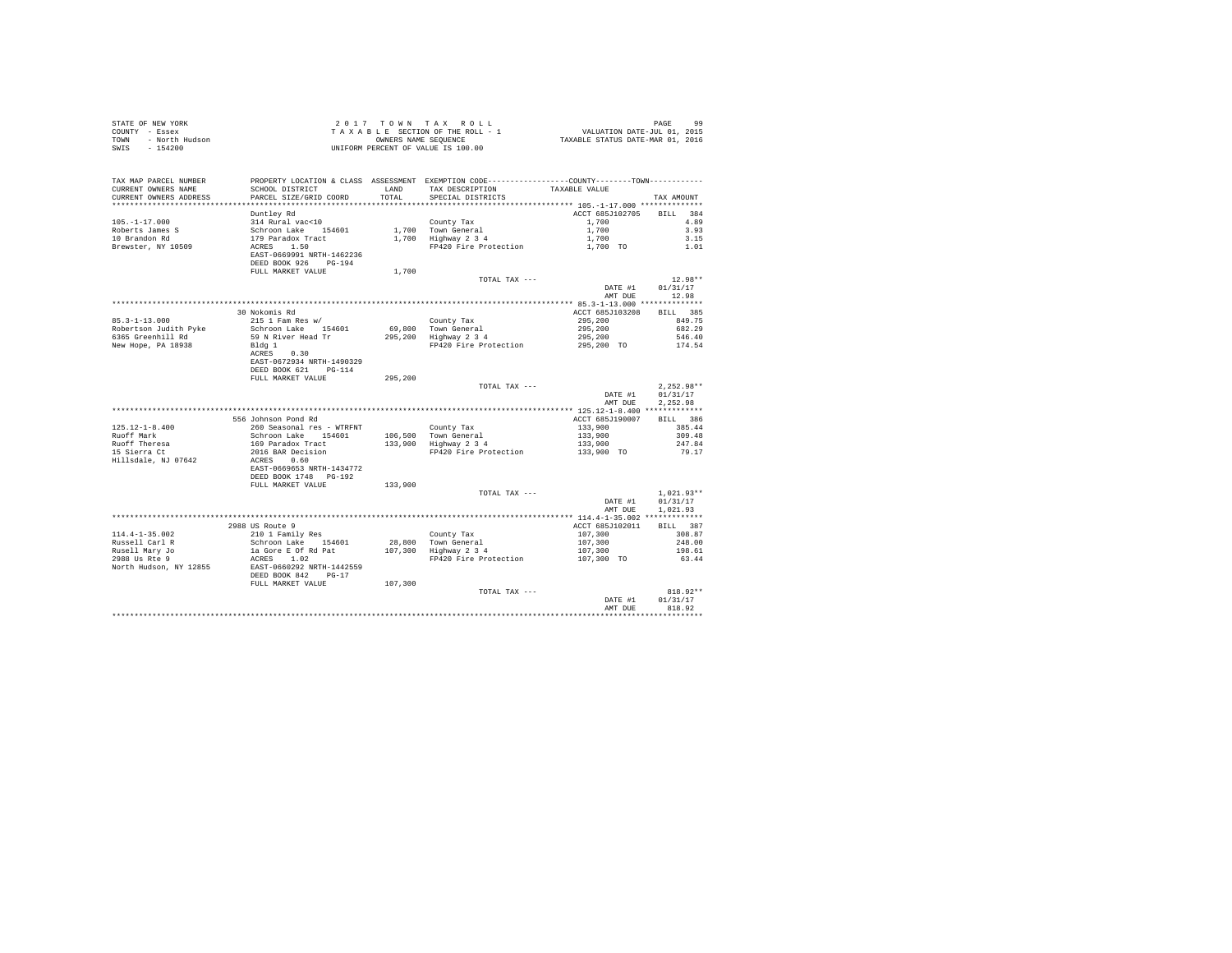| STATE OF NEW YORK<br>OF NEW YORK<br>Y - Essex<br>- North Hudson<br>COUNTY - Essex<br>TOWN<br>SWIS | UNIFORM PERCENT OF VALUE IS 100.00                                                                                                                   |         |                                                                                                                                      |                                     |                      |
|---------------------------------------------------------------------------------------------------|------------------------------------------------------------------------------------------------------------------------------------------------------|---------|--------------------------------------------------------------------------------------------------------------------------------------|-------------------------------------|----------------------|
| TAX MAP PARCEL NUMBER<br>CURRENT OWNERS NAME<br>CURRENT OWNERS ADDRESS                            | SCHOOL DISTRICT LAND<br>PARCEL SIZE/GRID COORD                                                                                                       | TOTAL   | PROPERTY LOCATION & CLASS ASSESSMENT EXEMPTION CODE---------------COUNTY-------TOWN---------<br>TAX DESCRIPTION<br>SPECIAL DISTRICTS | TAXABLE VALUE                       | TAX AMOUNT           |
|                                                                                                   | Duntley Rd                                                                                                                                           |         |                                                                                                                                      | ACCT 685J102705 BILL 384            |                      |
| $105. - 1 - 17.000$                                                                               |                                                                                                                                                      |         |                                                                                                                                      |                                     | 4.89                 |
| Roberts James S                                                                                   |                                                                                                                                                      |         |                                                                                                                                      |                                     | 3.93                 |
| 10 Brandon Rd                                                                                     |                                                                                                                                                      |         |                                                                                                                                      |                                     | 3.15                 |
| Brewster, NY 10509                                                                                |                                                                                                                                                      |         |                                                                                                                                      |                                     | 1.01                 |
|                                                                                                   | 314 Rural vac<10<br>Schroon Lake 154601<br>179 Paradox Tract<br>179 Paradox Tract<br>RCRES 1.50<br>EAST-0669991 NRTH-1462236<br>DEED BOOK 926 PG-194 |         |                                                                                                                                      |                                     |                      |
|                                                                                                   | FULL MARKET VALUE                                                                                                                                    | 1,700   |                                                                                                                                      |                                     |                      |
|                                                                                                   |                                                                                                                                                      |         | TOTAL TAX ---                                                                                                                        |                                     | $12.98**$            |
|                                                                                                   |                                                                                                                                                      |         |                                                                                                                                      | DATE #1                             | 01/31/17             |
|                                                                                                   |                                                                                                                                                      |         |                                                                                                                                      | AMT DUE                             | 12.98                |
|                                                                                                   |                                                                                                                                                      |         |                                                                                                                                      |                                     |                      |
|                                                                                                   | 30 Nokomis Rd                                                                                                                                        |         |                                                                                                                                      | ACCT 685J103208                     | BILL 385             |
| $85.3 - 1 - 13.000$                                                                               | 215 1 Fam Res w/                                                                                                                                     |         | County Tax<br>69,800 Town General<br>295,200 Highway 2 3 4                                                                           | 295,200                             | 849.75               |
| Robertson Judith Pyke                                                                             | Schroon Lake 154601                                                                                                                                  |         |                                                                                                                                      | 295,200<br>295,200                  | 682.29               |
| 6365 Greenhill Rd                                                                                 | 59 N River Head Tr                                                                                                                                   |         |                                                                                                                                      |                                     | 546.40               |
| New Hope, PA 18938                                                                                | Bldg 1<br>ACRES 0.30                                                                                                                                 |         | FP420 Fire Protection 295,200 TO                                                                                                     |                                     | 174.54               |
|                                                                                                   |                                                                                                                                                      |         |                                                                                                                                      |                                     |                      |
|                                                                                                   | EAST-0672934 NRTH-1490329<br>DEED BOOK 621 PG-114                                                                                                    |         |                                                                                                                                      |                                     |                      |
|                                                                                                   | FULL MARKET VALUE                                                                                                                                    | 295,200 |                                                                                                                                      |                                     |                      |
|                                                                                                   |                                                                                                                                                      |         | TOTAL TAX ---                                                                                                                        |                                     | $2,252.98**$         |
|                                                                                                   |                                                                                                                                                      |         |                                                                                                                                      | DATE #1<br>AMT DUE                  | 01/31/17<br>2.252.98 |
|                                                                                                   |                                                                                                                                                      |         |                                                                                                                                      |                                     |                      |
|                                                                                                   | 556 Johnson Pond Rd                                                                                                                                  |         |                                                                                                                                      | ACCT 685J190007                     | BILL 386             |
| $125.12 - 1 - 8.400$                                                                              | 260 Seasonal res - WTRFNT                                                                                                                            |         |                                                                                                                                      | 133,900                             | 385.44               |
| Ruoff Mark                                                                                        |                                                                                                                                                      |         |                                                                                                                                      |                                     | 309.48               |
|                                                                                                   |                                                                                                                                                      |         | County Tax<br>106,500 Town General<br>133,900 Highway 2 3 4                                                                          | 133,900<br>133,900                  | 247.84               |
| Ruoff Theresa<br>15 Sierra Ct                                                                     | Schroon Lake<br>169 Paradox Tract<br>2016 BAR Decision<br>2016 BAR Decision                                                                          |         | FP420 Fire Protection                                                                                                                | 133,900 TO                          | 79.17                |
| Hillsdale, NJ 07642                                                                               | ACRES 0.60                                                                                                                                           |         |                                                                                                                                      |                                     |                      |
|                                                                                                   | EAST-0669653 NRTH-1434772                                                                                                                            |         |                                                                                                                                      |                                     |                      |
|                                                                                                   | DEED BOOK 1748 PG-192                                                                                                                                |         |                                                                                                                                      |                                     |                      |
|                                                                                                   | FULL MARKET VALUE                                                                                                                                    | 133,900 |                                                                                                                                      |                                     |                      |
|                                                                                                   |                                                                                                                                                      |         | TOTAL TAX ---                                                                                                                        |                                     | $1.021.93**$         |
|                                                                                                   |                                                                                                                                                      |         |                                                                                                                                      | DATE #1                             | 01/31/17             |
|                                                                                                   |                                                                                                                                                      |         |                                                                                                                                      | AMT DUE                             | 1,021.93             |
|                                                                                                   |                                                                                                                                                      |         |                                                                                                                                      |                                     |                      |
|                                                                                                   | 2988 US Route 9                                                                                                                                      |         |                                                                                                                                      | ACCT 685J102011                     | BILL 387             |
| $114.4 - 1 - 35.002$                                                                              | 210 1 Family Res                                                                                                                                     |         |                                                                                                                                      |                                     | 308.87               |
|                                                                                                   | Schroon Lake 154601<br>la Gore E Of Rd Pat                                                                                                           |         | County Tax<br>28,800 Town General<br>107,300 Highway 2 3 4                                                                           | $107,300$<br>$107,300$<br>$107,300$ | 248.00               |
| Russell Carl R<br>Russell Mary Jo<br>2988 Us Rte 9                                                |                                                                                                                                                      |         |                                                                                                                                      |                                     | 198.61               |
|                                                                                                   | ACRES 1.02                                                                                                                                           |         | FP420 Fire Protection                                                                                                                | 107,300 TO                          | 63.44                |
| North Hudson, NY 12855<br>EAST-0660292 NRTH-1442559<br><br>DEED BOOK 842<br>PG-17                 |                                                                                                                                                      |         |                                                                                                                                      |                                     |                      |
|                                                                                                   |                                                                                                                                                      |         |                                                                                                                                      |                                     |                      |
|                                                                                                   | FULL MARKET VALUE                                                                                                                                    | 107,300 | TOTAL TAX ---                                                                                                                        |                                     | 818.92**             |
|                                                                                                   |                                                                                                                                                      |         |                                                                                                                                      | DATE #1                             | 01/31/17             |
|                                                                                                   |                                                                                                                                                      |         |                                                                                                                                      | AMT DUE                             | 818.92               |
|                                                                                                   |                                                                                                                                                      |         |                                                                                                                                      |                                     |                      |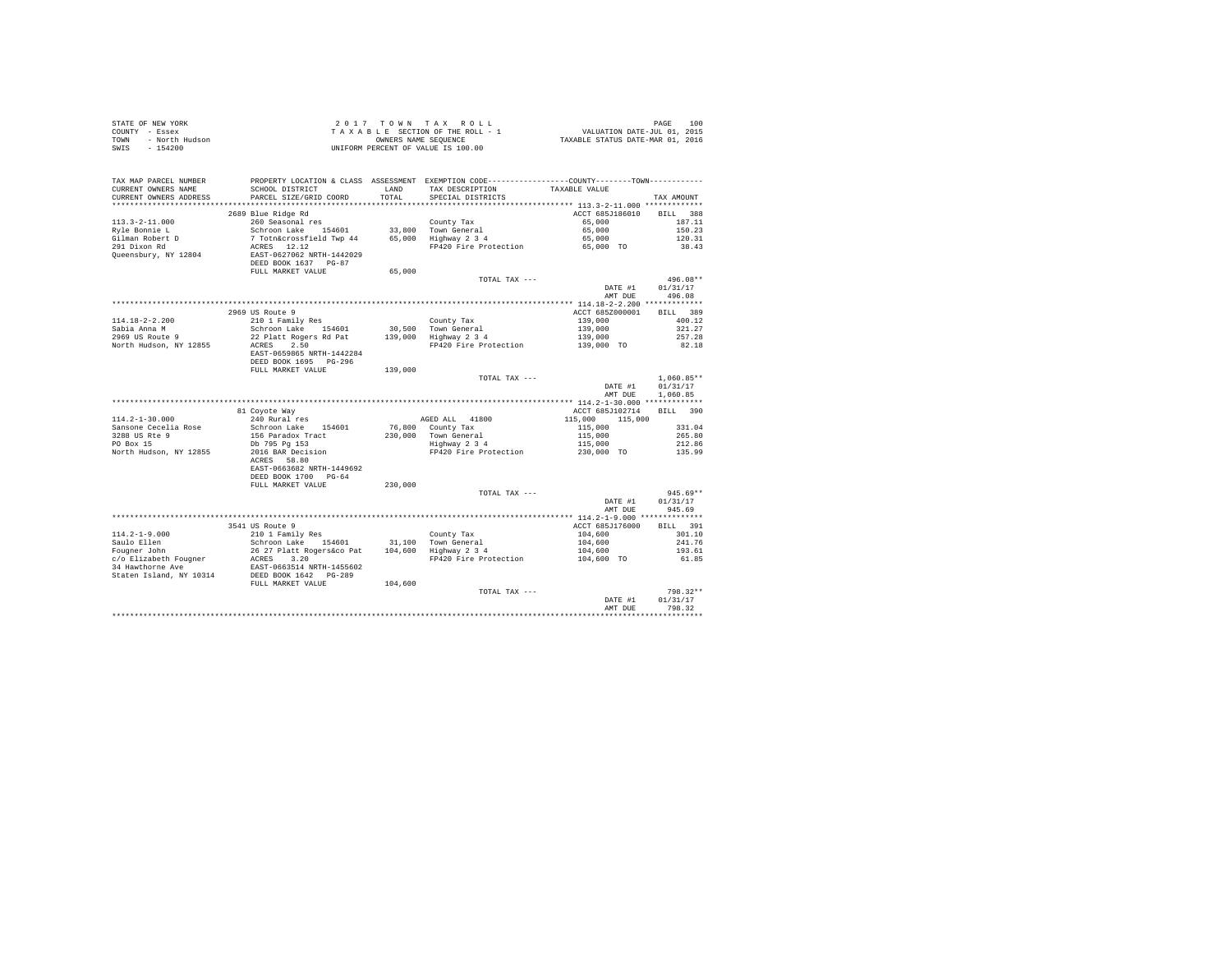| STATE OF NEW YORK      | 2017 TOWN TAX ROLL                 |                                 |                                  | PAGE | 100 |
|------------------------|------------------------------------|---------------------------------|----------------------------------|------|-----|
| COUNTY - Essex         |                                    | TAXABLE SECTION OF THE ROLL - 1 | VALUATION DATE-JUL 01, 2015      |      |     |
| TOWN<br>- North Hudson | OWNERS NAME SEOUENCE               |                                 | TAXABLE STATUS DATE-MAR 01, 2016 |      |     |
| - 154200<br>SWIS       | UNIFORM PERCENT OF VALUE IS 100.00 |                                 |                                  |      |     |

| TAX MAP PARCEL NUMBER<br>CURRENT OWNERS NAME<br>CURRENT OWNERS ADDRESS | PROPERTY LOCATION & CLASS ASSESSMENT EXEMPTION CODE---------------COUNTY-------TOWN---------<br>SCHOOL DISTRICT<br>PARCEL SIZE/GRID COORD | LAND<br>TOTAL | TAX DESCRIPTION<br>SPECIAL DISTRICTS                                 | TAXABLE VALUE                             | TAX AMOUNT         |
|------------------------------------------------------------------------|-------------------------------------------------------------------------------------------------------------------------------------------|---------------|----------------------------------------------------------------------|-------------------------------------------|--------------------|
| ******************                                                     |                                                                                                                                           | .             | ************************************** 113.3-2-11.000 ************** |                                           |                    |
|                                                                        | 2689 Blue Ridge Rd                                                                                                                        |               |                                                                      | ACCT 685J186010                           | <b>BILL</b><br>388 |
| $113.3 - 2 - 11.000$                                                   | 260 Seasonal res                                                                                                                          |               | County Tax                                                           | 65,000                                    | 187.11             |
| Ryle Bonnie L                                                          | Schroon Lake<br>154601                                                                                                                    |               | 33,800 Town General                                                  | 65,000                                    | 150.23             |
| Gilman Robert D                                                        | 7 Totn&crossfield Twp 44                                                                                                                  |               | 65,000 Highway 2 3 4                                                 | 65,000                                    | 120.31             |
| 291 Dixon Rd                                                           | ACRES 12.12                                                                                                                               |               | FP420 Fire Protection                                                | 65,000 TO                                 | 38.43              |
| Queensbury, NY 12804                                                   | EAST-0627062 NRTH-1442029                                                                                                                 |               |                                                                      |                                           |                    |
|                                                                        | DEED BOOK 1637 PG-87                                                                                                                      |               |                                                                      |                                           |                    |
|                                                                        | FULL MARKET VALUE                                                                                                                         | 65,000        |                                                                      |                                           |                    |
|                                                                        |                                                                                                                                           |               | TOTAL TAX ---                                                        |                                           | 496.08**           |
|                                                                        |                                                                                                                                           |               |                                                                      | DATE #1                                   | 01/31/17           |
|                                                                        |                                                                                                                                           |               |                                                                      | AMT DUE                                   | 496.08             |
|                                                                        |                                                                                                                                           |               |                                                                      |                                           |                    |
|                                                                        | 2969 US Route 9                                                                                                                           |               |                                                                      | ACCT 685Z000001                           | 389<br><b>BILL</b> |
| $114.18 - 2 - 2.200$                                                   | 210 1 Family Res                                                                                                                          |               | County Tax                                                           | 139,000                                   | 400.12             |
| Sabia Anna M                                                           | Schroon Lake 154601                                                                                                                       |               | 30.500 Town General                                                  | 139,000                                   | 321.27             |
| 2969 US Route 9                                                        | 22 Platt Rogers Rd Pat                                                                                                                    | 139,000       | Highway 2 3 4                                                        | 139,000                                   | 257.28             |
| North Hudson, NY 12855                                                 | ACRES<br>2.50                                                                                                                             |               | FP420 Fire Protection                                                | 139,000 TO                                | 82.18              |
|                                                                        | EAST-0659865 NRTH-1442284                                                                                                                 |               |                                                                      |                                           |                    |
|                                                                        | DEED BOOK 1695 PG-296                                                                                                                     |               |                                                                      |                                           |                    |
|                                                                        | FULL MARKET VALUE                                                                                                                         | 139,000       |                                                                      |                                           |                    |
|                                                                        |                                                                                                                                           |               | TOTAL TAX ---                                                        |                                           | $1,060.85**$       |
|                                                                        |                                                                                                                                           |               |                                                                      | DATE #1                                   | 01/31/17           |
|                                                                        |                                                                                                                                           |               |                                                                      | AMT DUE                                   | 1,060.85           |
|                                                                        |                                                                                                                                           |               |                                                                      |                                           |                    |
|                                                                        | 81 Coyote Way                                                                                                                             |               |                                                                      | ACCT 685J102714                           | BILL 390           |
| $114.2 - 1 - 30.000$                                                   | 240 Rural res                                                                                                                             |               | AGED ALL 41800                                                       | 115,000<br>115,000                        |                    |
| Sansone Cecelia Rose                                                   | Schroon Lake 154601                                                                                                                       | 76,800        | County Tax                                                           | 115,000                                   | 331.04             |
| 3288 US Rte 9                                                          | 156 Paradox Tract                                                                                                                         | 230,000       | Town General                                                         | 115,000                                   | 265.80             |
| PO Box 15                                                              | Db 795 Pa 153                                                                                                                             |               | Highway 2 3 4                                                        | 115,000                                   | 212.86             |
| North Hudson, NY 12855                                                 | 2016 BAR Decision                                                                                                                         |               | FP420 Fire Protection                                                | 230,000 TO                                | 135.99             |
|                                                                        | ACRES 58.80                                                                                                                               |               |                                                                      |                                           |                    |
|                                                                        | EAST-0663682 NRTH-1449692                                                                                                                 |               |                                                                      |                                           |                    |
|                                                                        | DEED BOOK 1700 PG-64                                                                                                                      |               |                                                                      |                                           |                    |
|                                                                        | FULL MARKET VALUE                                                                                                                         | 230,000       |                                                                      |                                           |                    |
|                                                                        |                                                                                                                                           |               | TOTAL TAX ---                                                        |                                           | $945.69**$         |
|                                                                        |                                                                                                                                           |               |                                                                      | DATE #1                                   | 01/31/17           |
|                                                                        |                                                                                                                                           |               |                                                                      | AMT DUE                                   | 945.69             |
|                                                                        | *********************************                                                                                                         |               | ************************                                             | ************ 114.2-1-9.000 ************** |                    |
|                                                                        | 3541 US Route 9                                                                                                                           |               |                                                                      | ACCT 685J176000                           | BILL 391           |
| $114.2 - 1 - 9.000$                                                    | 210 1 Family Res                                                                                                                          |               | County Tax                                                           | 104,600                                   | 301.10             |
| Saulo Ellen                                                            | Schroon Lake 154601                                                                                                                       |               | 31.100 Town General                                                  | 104,600                                   | 241.76             |
| Fougner John                                                           | 26 27 Platt Rogers&co Pat                                                                                                                 |               | 104,600 Highway 2 3 4                                                | 104,600                                   | 193.61             |
| c/o Elizabeth Fougner                                                  | 3.20<br>ACRES                                                                                                                             |               | FP420 Fire Protection                                                | 104,600 TO                                | 61.85              |
| 34 Hawthorne Ave                                                       | EAST-0663514 NRTH-1455602                                                                                                                 |               |                                                                      |                                           |                    |
| Staten Island, NY 10314                                                | DEED BOOK 1642 PG-289                                                                                                                     |               |                                                                      |                                           |                    |
|                                                                        | FULL MARKET VALUE                                                                                                                         | 104,600       |                                                                      |                                           |                    |
|                                                                        |                                                                                                                                           |               | TOTAL TAX ---                                                        |                                           | 798.32**           |
|                                                                        |                                                                                                                                           |               |                                                                      | DATE #1                                   | 01/31/17           |
|                                                                        |                                                                                                                                           |               |                                                                      | AMT DUE                                   | 798.32             |
|                                                                        |                                                                                                                                           |               |                                                                      |                                           |                    |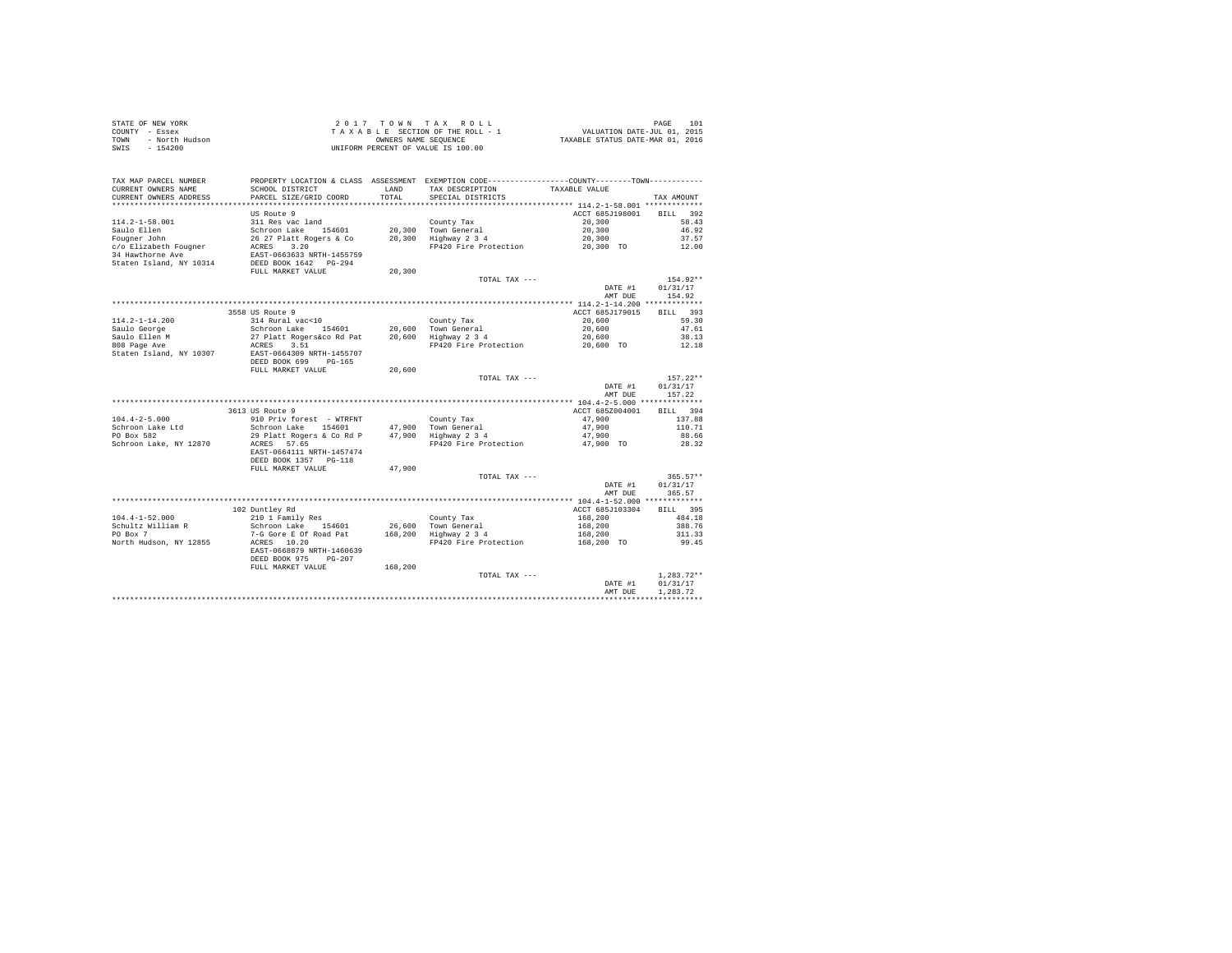| STATE OF NEW YORK |                | 2017 TOWN TAX ROLL                 |                      |  | 101<br>PAGE                      |  |
|-------------------|----------------|------------------------------------|----------------------|--|----------------------------------|--|
| COUNTY - Essex    |                | TAXABLE SECTION OF THE ROLL - 1    |                      |  | VALUATION DATE-JUL 01, 2015      |  |
| TOWN              | - North Hudson |                                    | OWNERS NAME SEOUENCE |  | TAXABLE STATUS DATE-MAR 01, 2016 |  |
| - 154200<br>SWIS  |                | UNIFORM PERCENT OF VALUE IS 100.00 |                      |  |                                  |  |

| TAX MAP PARCEL NUMBER<br>CURRENT OWNERS NAME<br>CURRENT OWNERS ADDRESS                                                      | PROPERTY LOCATION & CLASS ASSESSMENT EXEMPTION CODE---------------COUNTY-------TOWN---------<br>SCHOOL DISTRICT<br>PARCEL SIZE/GRID COORD                       | LAND<br>TOTAL.   | TAX DESCRIPTION<br>SPECIAL DISTRICTS                                        | TAXABLE VALUE                                                  | TAX AMOUNT                                                |
|-----------------------------------------------------------------------------------------------------------------------------|-----------------------------------------------------------------------------------------------------------------------------------------------------------------|------------------|-----------------------------------------------------------------------------|----------------------------------------------------------------|-----------------------------------------------------------|
| $114.2 - 1 - 58.001$<br>Saulo Ellen<br>Fougner John<br>c/o Elizabeth Fougner<br>34 Hawthorne Ave<br>Staten Island, NY 10314 | US Route 9<br>311 Res vac land<br>Schroon Lake 154601<br>26 27 Platt Rogers & Co<br>ACRES<br>3.20<br>EAST-0663633 NRTH-1455759<br>DEED BOOK 1642 PG-294         | 20,300<br>20,300 | County Tax<br>Town General<br>Highway 2 3 4<br>FP420 Fire Protection        | ACCT 685J198001<br>20,300<br>20,300<br>20,300<br>20,300 TO     | 392<br><b>BILL</b><br>58.43<br>46.92<br>37.57<br>12.00    |
|                                                                                                                             | FULL MARKET VALUE                                                                                                                                               | 20,300           | TOTAL TAX ---                                                               | DATE #1<br>AMT DUE                                             | 154.92**<br>01/31/17<br>154.92                            |
|                                                                                                                             |                                                                                                                                                                 |                  |                                                                             | ************* 114.2-1-14.200 *************                     |                                                           |
| $114.2 - 1 - 14.200$<br>Saulo George<br>Saulo Ellen M<br>808 Page Ave                                                       | 3558 US Route 9<br>314 Rural vac<10<br>Schroon Lake 154601<br>27 Platt Rogers&co Rd Pat<br>3.51<br>ACRES                                                        | 20,600           | County Tax<br>20.600 Town General<br>Highway 2 3 4<br>FP420 Fire Protection | ACCT 685J179015<br>20,600<br>20,600<br>20,600<br>20,600 TO     | BILL 393<br>59.30<br>47.61<br>38.13<br>12.18              |
| Staten Island, NY 10307                                                                                                     | EAST-0664309 NRTH-1455707<br>DEED BOOK 699<br>$PG-165$<br>FULL MARKET VALUE                                                                                     | 20,600           | TOTAL TAX ---                                                               | DATE #1                                                        | $157.22**$<br>01/31/17                                    |
|                                                                                                                             |                                                                                                                                                                 |                  |                                                                             | AMT DUE                                                        | 157.22                                                    |
|                                                                                                                             |                                                                                                                                                                 |                  |                                                                             |                                                                |                                                           |
|                                                                                                                             | 3613 US Route 9                                                                                                                                                 |                  |                                                                             | ACCT 685Z004001                                                | <b>BILL</b><br>394                                        |
| $104.4 - 2 - 5.000$                                                                                                         | 910 Priv forest - WTRFNT                                                                                                                                        |                  | County Tax                                                                  | 47.900                                                         | 137.88                                                    |
| Schroon Lake Ltd                                                                                                            | Schroon Lake<br>154601                                                                                                                                          | 47,900           | Town General                                                                | 47,900                                                         | 110.71                                                    |
| PO Box 582<br>Schroon Lake, NY 12870                                                                                        | 29 Platt Rogers & Co Rd P<br>57.65<br>ACRES<br>EAST-0664111 NRTH-1457474<br>DEED BOOK 1357 PG-118                                                               |                  | 47,900 Highway 2 3 4<br>FP420 Fire Protection                               | 47,900<br>47.900 TO                                            | 88.66<br>28.32                                            |
|                                                                                                                             | FULL MARKET VALUE                                                                                                                                               | 47.900           | TOTAL TAX ---                                                               | DATE #1<br>AMT DUE                                             | $365.57**$<br>01/31/17<br>365.57                          |
|                                                                                                                             |                                                                                                                                                                 |                  |                                                                             |                                                                |                                                           |
| $104.4 - 1 - 52.000$<br>Schultz William R<br>PO Box 7<br>North Hudson, NY 12855                                             | 102 Duntley Rd<br>210 1 Family Res<br>Schroon Lake<br>154601<br>7-G Gore E Of Road Pat<br>ACRES 10.20<br>EAST-0668879 NRTH-1460639<br>DEED BOOK 975<br>$PG-207$ | 168,200          | County Tax<br>26,600 Town General<br>Highway 2 3 4<br>FP420 Fire Protection | ACCT 685J103304<br>168,200<br>168,200<br>168,200<br>168,200 TO | <b>BILL</b><br>395<br>484.18<br>388.76<br>311.33<br>99.45 |
|                                                                                                                             | FULL MARKET VALUE                                                                                                                                               | 168,200          | TOTAL TAX ---                                                               | DATE #1<br>AMT DUE                                             | $1,283.72**$<br>01/31/17<br>1.283.72                      |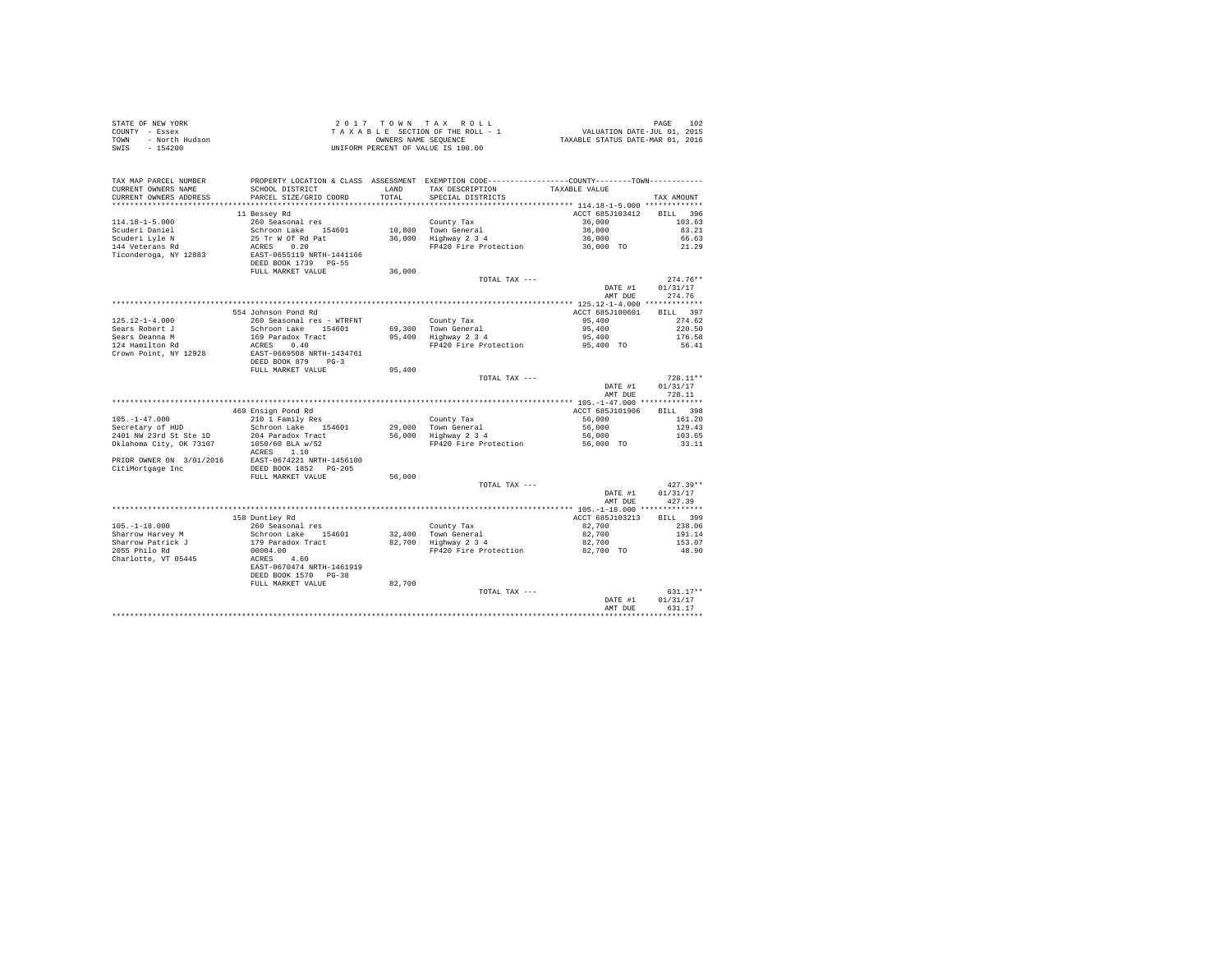| STATE OF NEW YORK      | 2017 TOWN TAX ROLL                 | 102<br>PAGE                      |
|------------------------|------------------------------------|----------------------------------|
| COUNTY - Essex         | TAXABLE SECTION OF THE ROLL - 1    | VALUATION DATE-JUL 01, 2015      |
| - North Hudson<br>TOWN | OWNERS NAME SEOUENCE               | TAXABLE STATUS DATE-MAR 01, 2016 |
| SWIS<br>$-154200$      | UNIFORM PERCENT OF VALUE IS 100.00 |                                  |

| TAX MAP PARCEL NUMBER    | PROPERTY LOCATION & CLASS ASSESSMENT EXEMPTION CODE---------------COUNTY-------TOWN--------- |        |                       |                                            |                    |
|--------------------------|----------------------------------------------------------------------------------------------|--------|-----------------------|--------------------------------------------|--------------------|
| CURRENT OWNERS NAME      | SCHOOL DISTRICT                                                                              | LAND   | TAX DESCRIPTION       | TAXABLE VALUE                              |                    |
| CURRENT OWNERS ADDRESS   | PARCEL SIZE/GRID COORD                                                                       | TOTAL  | SPECIAL DISTRICTS     |                                            | TAX AMOUNT         |
| ***********************  | **************************                                                                   |        |                       |                                            |                    |
|                          | 11 Bessey Rd                                                                                 |        |                       | ACCT 685J103412                            | 396<br><b>BILL</b> |
| $114.18 - 1 - 5.000$     | 260 Seasonal res                                                                             |        | County Tax            | 36,000                                     | 103.63             |
| Scuderi Daniel           | Schroon Lake 154601                                                                          |        | 10.800 Town General   | 36,000                                     | 83.21              |
| Scuderi Lyle N           | 25 Tr W Of Rd Pat                                                                            | 36,000 | Highway 2 3 4         | 36,000                                     | 66.63              |
| 144 Veterans Rd          | 0.20<br>ACRES                                                                                |        | FP420 Fire Protection | 36,000 TO                                  | 21.29              |
| Ticonderoga, NY 12883    | EAST-0655119 NRTH-1441166                                                                    |        |                       |                                            |                    |
|                          | DEED BOOK 1739 PG-55                                                                         |        |                       |                                            |                    |
|                          | FULL MARKET VALUE                                                                            | 36,000 |                       |                                            |                    |
|                          |                                                                                              |        | TOTAL TAX ---         |                                            | $274.76**$         |
|                          |                                                                                              |        |                       | DATE #1                                    | 01/31/17           |
|                          |                                                                                              |        |                       | AMT DUE                                    | 274.76             |
|                          |                                                                                              |        |                       | ************* 125.12-1-4.000 ************* |                    |
|                          | 554 Johnson Pond Rd                                                                          |        |                       | ACCT 685J100601                            | <b>BILL</b><br>397 |
| $125.12 - 1 - 4.000$     | 260 Seasonal res - WTRFNT                                                                    |        | County Tax            | 95,400                                     | 274.62             |
| Sears Robert J           | Schroon Lake<br>154601                                                                       | 69,300 | Town General          | 95,400                                     | 220.50             |
| Sears Deanna M           | 169 Paradox Tract                                                                            | 95,400 | Highway 2 3 4         | 95,400                                     | 176.58             |
| 124 Hamilton Rd          | ACRES<br>0.40                                                                                |        | FP420 Fire Protection | 95,400 TO                                  | 56.41              |
| Crown Point, NY 12928    | EAST-0669508 NRTH-1434761                                                                    |        |                       |                                            |                    |
|                          | DEED BOOK 879<br>$PG-3$                                                                      |        |                       |                                            |                    |
|                          | FULL MARKET VALUE                                                                            | 95,400 |                       |                                            |                    |
|                          |                                                                                              |        | TOTAL TAX ---         |                                            | $728.11**$         |
|                          |                                                                                              |        |                       | DATE #1                                    | 01/31/17           |
|                          |                                                                                              |        |                       | AMT DUE                                    | 728.11             |
|                          |                                                                                              |        |                       |                                            |                    |
|                          | 469 Ensign Pond Rd                                                                           |        |                       | ACCT 685J101906                            | <b>BILL</b><br>398 |
| $105. - 1 - 47.000$      | 210 1 Family Res                                                                             |        | County Tax            | 56,000                                     | 161.20             |
| Secretary of HUD         | Schroon Lake<br>154601                                                                       | 29,000 | Town General          | 56,000                                     | 129.43             |
| 2401 NW 23rd St Ste 1D   | 204 Paradox Tract                                                                            | 56,000 | Highway 2 3 4         | 56,000                                     | 103.65             |
| Oklahoma City, OK 73107  | 1050/60 BLA w/52                                                                             |        | FP420 Fire Protection | 56,000 TO                                  | 33.11              |
|                          | ACRES 1.10                                                                                   |        |                       |                                            |                    |
| PRIOR OWNER ON 3/01/2016 | EAST-0674221 NRTH-1456100                                                                    |        |                       |                                            |                    |
| CitiMortgage Inc         | DEED BOOK 1852 PG-205                                                                        |        |                       |                                            |                    |
|                          | FULL MARKET VALUE                                                                            | 56,000 |                       |                                            |                    |
|                          |                                                                                              |        | TOTAL TAX ---         |                                            | $427.39**$         |
|                          |                                                                                              |        |                       | DATE #1                                    | 01/31/17           |
|                          |                                                                                              |        |                       | AMT DUE                                    | 427.39             |
|                          |                                                                                              |        |                       |                                            |                    |
|                          | 158 Duntley Rd                                                                               |        |                       | ACCT 685J103213                            | BILL 399           |
| $105. - 1 - 18.000$      | 260 Seasonal res                                                                             |        | County Tax            | 82,700                                     | 238.06             |
| Sharrow Harvey M         | Schroon Lake 154601                                                                          | 32,400 | Town General          | 82,700                                     | 191.14             |
| Sharrow Patrick J        | 179 Paradox Tract                                                                            | 82,700 | Highway 2 3 4         | 82,700                                     | 153.07             |
| 2055 Philo Rd            | 00004.00                                                                                     |        | FP420 Fire Protection | 82,700 TO                                  | 48.90              |
| Charlotte, VT 05445      | 4.60<br>ACRES                                                                                |        |                       |                                            |                    |
|                          | EAST-0670474 NRTH-1461919                                                                    |        |                       |                                            |                    |
|                          | DEED BOOK 1570<br>$PG-38$                                                                    |        |                       |                                            |                    |
|                          | FULL MARKET VALUE                                                                            | 82,700 |                       |                                            |                    |
|                          |                                                                                              |        | TOTAL TAX ---         |                                            | $631.17**$         |
|                          |                                                                                              |        |                       | DATE #1                                    | 01/31/17           |
|                          |                                                                                              |        |                       | AMT DUE                                    | 631.17             |
|                          |                                                                                              |        |                       |                                            |                    |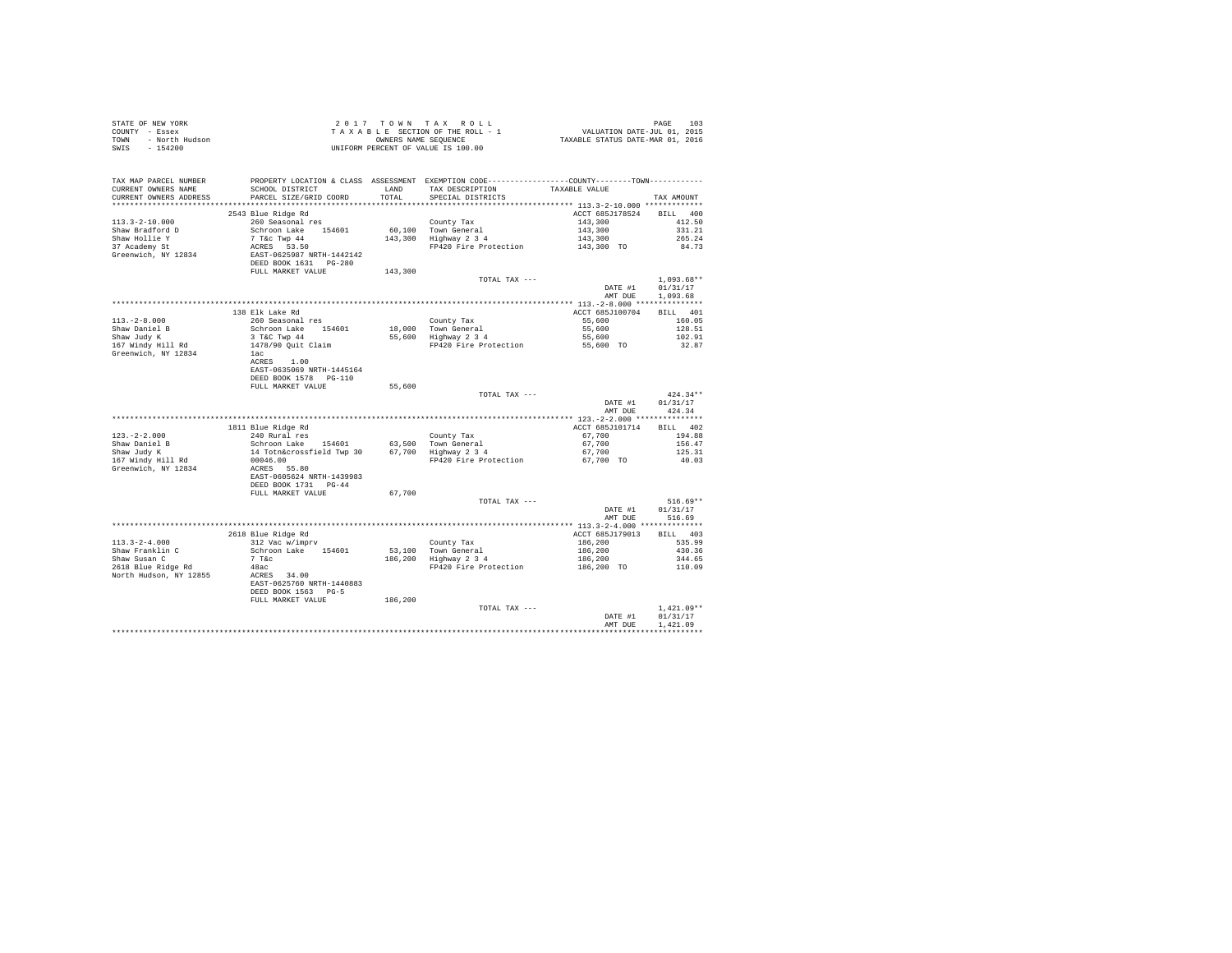| TAX MAP PARCEL NUMBER PROPERTY LOCATION & CLASS ASSESSMENT EXEMPTION CODE--------------COUNTY--------TOWN----------<br>CURRENT OWNERS NAME<br>CURRENT OWNERS ADDRESS                                                                                         | SCHOOL DISTRICT TAND TAX DESCRIPTION<br>PARCEL SIZE/GRID COORD                                                                                     | TOTAL                              | SPECIAL DISTRICTS                                                                                                                                                                                 | TAXABLE VALUE                                       | TAX AMOUNT                           |
|--------------------------------------------------------------------------------------------------------------------------------------------------------------------------------------------------------------------------------------------------------------|----------------------------------------------------------------------------------------------------------------------------------------------------|------------------------------------|---------------------------------------------------------------------------------------------------------------------------------------------------------------------------------------------------|-----------------------------------------------------|--------------------------------------|
| $113.3 - 2 - 10.000$<br>Shaw Bradford D<br>Shaw Hollie Y<br>37 Academy St                                                                                                                                                                                    | 2543 Blue Ridge Rd<br>260 Seasonal res<br>Schroon Lake 154601<br>7 T&c Twp 44<br>ACRES 53.50<br>EAST-0625987 NRTH-1442142<br>DEED BOOK 1631 PG-280 |                                    | County Tax<br>60,100 Town General<br>143,300 Highway 2 3 4<br>County Tax 143,300<br>Town General 143,300 143,300 331.21<br>Highway 2 3 4 143,300 265.24<br>FP420 Fire Protection 143,300 TO 84.73 | ACCT 685J178524 BILL 400                            |                                      |
| Greenwich, NY 12834                                                                                                                                                                                                                                          | FULL MARKET VALUE                                                                                                                                  | an an Indonesia.<br>Tan<br>143,300 | TOTAL TAX ---                                                                                                                                                                                     | DATE #1                                             | $1.093.68**$<br>01/31/17             |
|                                                                                                                                                                                                                                                              | 138 Elk Lake Rd                                                                                                                                    |                                    |                                                                                                                                                                                                   | AMT DUE<br>ACCT 685J100704 BILL 401                 | 1,093.68                             |
| $113, -2 - 8, 000$<br>Shaw Daniel B<br>Shaw Judy K<br>167 Windy Hill Rd                                                                                                                                                                                      | 260 Seasonal res<br>Schroon Lake 154601<br>Schroom Lake<br>3 T&C Twp 44<br>1478/90 Quit Claim<br>1ac                                               |                                    | County Tax $\frac{\text{ACUT} + \text{B1b}}{18,000}$<br>18,000 Town General 55,600 128.51<br>55,600 128.51<br>55,600 12.91<br>91420 Fire Protection 55,600 102.91<br>92.87                        |                                                     |                                      |
| Greenwich, NY 12834                                                                                                                                                                                                                                          | ACRES 1.00<br>EAST-0635069 NRTH-1445164<br>DEED BOOK 1578    PG-110                                                                                |                                    |                                                                                                                                                                                                   |                                                     |                                      |
|                                                                                                                                                                                                                                                              | FULL MARKET VALUE                                                                                                                                  | 55,600                             | TOTAL TAX ---                                                                                                                                                                                     | DATE #1<br>AMT DUE                                  | $424.34**$<br>01/31/17<br>424.34     |
|                                                                                                                                                                                                                                                              |                                                                                                                                                    |                                    |                                                                                                                                                                                                   |                                                     |                                      |
|                                                                                                                                                                                                                                                              | 1811 Blue Ridge Rd                                                                                                                                 |                                    |                                                                                                                                                                                                   | ACCT 685J101714                                     | BILL 402                             |
| $123. -2 - 2.000$                                                                                                                                                                                                                                            | $240$ Rural res                                                                                                                                    |                                    |                                                                                                                                                                                                   |                                                     | 194.88                               |
|                                                                                                                                                                                                                                                              |                                                                                                                                                    |                                    |                                                                                                                                                                                                   |                                                     | 156.47                               |
| Shaw Daniel B<br>Shaw Judy K<br>167 Windy Hill Rd<br>Greenwich, NY 12834                                                                                                                                                                                     |                                                                                                                                                    |                                    |                                                                                                                                                                                                   |                                                     | 125.31<br>40.03                      |
|                                                                                                                                                                                                                                                              | DEED BOOK 1731 PG-44                                                                                                                               |                                    |                                                                                                                                                                                                   |                                                     |                                      |
|                                                                                                                                                                                                                                                              | FULL MARKET VALUE                                                                                                                                  | 67,700                             | TOTAL TAX ---                                                                                                                                                                                     |                                                     | $516.69**$                           |
|                                                                                                                                                                                                                                                              |                                                                                                                                                    |                                    |                                                                                                                                                                                                   | DATE #1                                             | 01/31/17                             |
|                                                                                                                                                                                                                                                              |                                                                                                                                                    |                                    |                                                                                                                                                                                                   | AMT DUE                                             | 516.69                               |
|                                                                                                                                                                                                                                                              |                                                                                                                                                    |                                    |                                                                                                                                                                                                   |                                                     |                                      |
|                                                                                                                                                                                                                                                              | 2618 Blue Ridge Rd                                                                                                                                 |                                    |                                                                                                                                                                                                   | ACCT 685J179013 BILL 403                            |                                      |
| $113.3 - 2 - 4.000$                                                                                                                                                                                                                                          | 312 Vac w/imprv                                                                                                                                    |                                    |                                                                                                                                                                                                   |                                                     | 535.99                               |
|                                                                                                                                                                                                                                                              | Schroon Lake 154601                                                                                                                                |                                    |                                                                                                                                                                                                   |                                                     | 430.36<br>344.65                     |
| Shaw Franklin C<br>Shaw Susan C<br>2618 Blue Ridge Rd                                                                                                                                                                                                        |                                                                                                                                                    |                                    | County Tax<br>53,100 Town General<br>186,200 Highway 2 3 4<br>FP420 Fire Protection                                                                                                               | $186,200$<br>$186,200$<br>$186,200$<br>$186,200$ TO | 110.09                               |
| $\begin{tabular}{lllllllll} \texttt{Show} & & & & & & & & & & & 194001\\ \texttt{Shaw} & & & & & & & 7\texttt{ Toc} & & & & & 194001\\ \texttt{2618 Blue Ridge Rd} & & & & & & 48ac\\ \texttt{North Hudson, NY 12855} & & & & & & & & 34.00\\ \end{tabular}$ | EAST-0625760 NRTH-1440883<br>DEED BOOK 1563 PG-5<br>FULL MARKET VALUE                                                                              | 186,200                            |                                                                                                                                                                                                   |                                                     |                                      |
|                                                                                                                                                                                                                                                              |                                                                                                                                                    |                                    | TOTAL TAX ---                                                                                                                                                                                     |                                                     | $1.421.09**$                         |
|                                                                                                                                                                                                                                                              |                                                                                                                                                    |                                    |                                                                                                                                                                                                   | DATE #1<br>AMT DUR                                  | 01/31/17<br>1.421.09<br>************ |
|                                                                                                                                                                                                                                                              |                                                                                                                                                    |                                    |                                                                                                                                                                                                   |                                                     |                                      |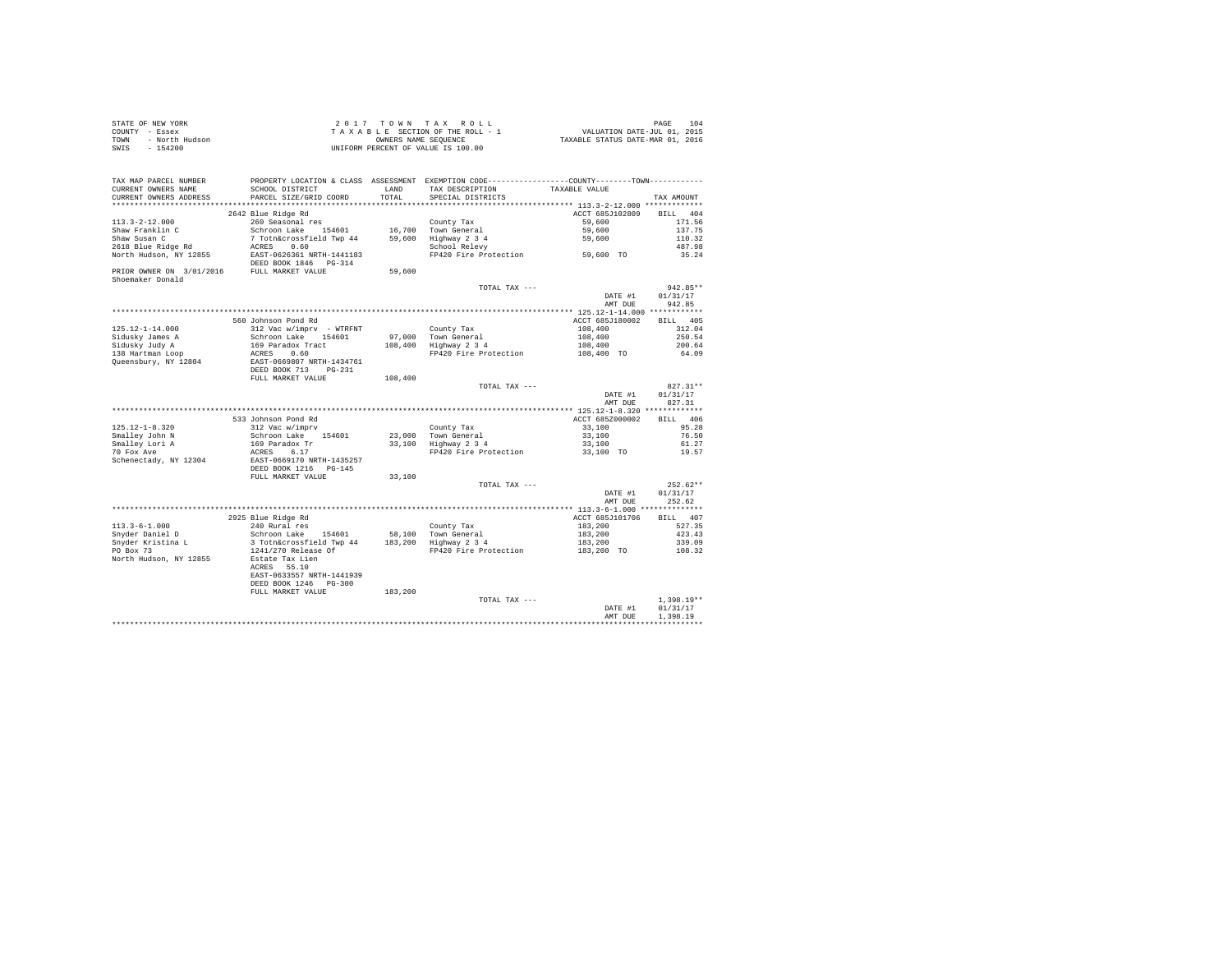| STATE OF NEW YORK      | 2017 TOWN TAX ROLL                 | 104<br>PAGE                      |
|------------------------|------------------------------------|----------------------------------|
| COUNTY - Essex         | TAXABLE SECTION OF THE ROLL - 1    | VALUATION DATE-JUL 01, 2015      |
| TOWN<br>- North Hudson | OWNERS NAME SEOUENCE               | TAXABLE STATUS DATE-MAR 01, 2016 |
| - 154200<br>SWIS       | UNIFORM PERCENT OF VALUE IS 100.00 |                                  |

| TAX MAP PARCEL NUMBER<br>CURRENT OWNERS NAME                   | PROPERTY LOCATION & CLASS ASSESSMENT EXEMPTION CODE----------------COUNTY--------TOWN----------<br>SCHOOL DISTRICT | LAND    | TAX DESCRIPTION                              | TAXABLE VALUE   |              |
|----------------------------------------------------------------|--------------------------------------------------------------------------------------------------------------------|---------|----------------------------------------------|-----------------|--------------|
| CURRENT OWNERS ADDRESS<br>*********************                | PARCEL SIZE/GRID COORD<br>*************************                                                                | TOTAL   | SPECIAL DISTRICTS                            |                 | TAX AMOUNT   |
|                                                                | 2642 Blue Ridge Rd                                                                                                 |         |                                              | ACCT 685J102809 | BILL 404     |
| $113.3 - 2 - 12.000$                                           | 260 Seasonal res                                                                                                   |         | County Tax                                   | 59,600          | 171.56       |
| Shaw Franklin C                                                | Schroon Lake<br>154601                                                                                             |         | 16.700 Town General                          | 59,600          | 137.75       |
| Shaw Susan C                                                   | 7 Totn&crossfield Twp 44                                                                                           |         | 59,600 Highway 2 3 4                         | 59,600          | 110.32       |
| 2618 Blue Ridge Rd                                             | ACRES 0.60                                                                                                         |         | School Relevy                                |                 | 487.98       |
| North Hudson, NY 12855                                         | EAST-0626361 NRTH-1441183                                                                                          |         | FP420 Fire Protection 59,600 TO              |                 | 35.24        |
|                                                                | DEED BOOK 1846 PG-314                                                                                              |         |                                              |                 |              |
| PRIOR OWNER ON 3/01/2016 FULL MARKET VALUE<br>Shoemaker Donald |                                                                                                                    | 59,600  |                                              |                 |              |
|                                                                |                                                                                                                    |         | TOTAL TAX ---                                |                 | 942.85**     |
|                                                                |                                                                                                                    |         |                                              | DATE #1         | 01/31/17     |
|                                                                |                                                                                                                    |         |                                              | AMT DUE         | 942.85       |
|                                                                |                                                                                                                    |         |                                              |                 |              |
|                                                                | 560 Johnson Pond Rd                                                                                                |         |                                              | ACCT 685J180002 | BILL 405     |
| $125.12 - 1 - 14.000$                                          | 312 Vac w/imprv - WTRFNT                                                                                           |         | County Tax                                   | 108,400         | 312.04       |
| Sidusky James A                                                | Schroon Lake 154601                                                                                                |         | 97,000 Town General                          | 108,400         | 250.54       |
| Sidusky Judy A                                                 | 169 Paradox Tract                                                                                                  |         | 108,400 Highway 2 3 4                        | 108,400         | 200.64       |
| 138 Hartman Loop                                               | ACRES 0.60                                                                                                         |         | FP420 Fire Protection                        | 108,400 TO      | 64.09        |
| Queensbury, NY 12804                                           | EAST-0669807 NRTH-1434761                                                                                          |         |                                              |                 |              |
|                                                                | DEED BOOK 713<br>$PG-231$                                                                                          |         |                                              |                 |              |
|                                                                | FULL MARKET VALUE                                                                                                  | 108,400 |                                              |                 |              |
|                                                                |                                                                                                                    |         | TOTAL TAX ---                                |                 | $827.31**$   |
|                                                                |                                                                                                                    |         |                                              | DATE #1         | 01/31/17     |
|                                                                |                                                                                                                    |         |                                              | AMT DUE         | 827.31       |
|                                                                |                                                                                                                    |         |                                              |                 |              |
|                                                                | 533 Johnson Pond Rd                                                                                                |         |                                              | ACCT 685Z000002 | BILL 406     |
| $125.12 - 1 - 8.320$                                           | 312 Vac w/imprv                                                                                                    |         | County Tax                                   | 33,100          | 95.28        |
| Smalley John N                                                 | Schroon Lake 154601<br>169 Paradox Tr                                                                              |         | 23,000 Town General<br>33,100 Highway 2 3 4  | 33,100          | 76.50        |
| Smalley Lori A                                                 |                                                                                                                    |         |                                              | 33,100          | 61.27        |
| 70 Fox Ave                                                     | ACRES 6.17                                                                                                         |         | FP420 Fire Protection                        | 33,100 TO       | 19.57        |
| Schenectady, NY 12304                                          | EAST-0669170 NRTH-1435257                                                                                          |         |                                              |                 |              |
|                                                                | DEED BOOK 1216 PG-145                                                                                              |         |                                              |                 |              |
|                                                                | FULL MARKET VALUE                                                                                                  | 33,100  |                                              |                 |              |
|                                                                |                                                                                                                    |         | TOTAL TAX ---                                |                 | $252.62**$   |
|                                                                |                                                                                                                    |         |                                              | DATE #1         | 01/31/17     |
|                                                                |                                                                                                                    |         |                                              | AMT DUE         | 252.62       |
|                                                                |                                                                                                                    |         |                                              |                 |              |
|                                                                | 2925 Blue Ridge Rd                                                                                                 |         |                                              | ACCT 685J101706 | BILL 407     |
| $113.3 - 6 - 1.000$                                            | 240 Rural res                                                                                                      |         | County Tax                                   | 183,200         | 527.35       |
| Snyder Daniel D                                                | Schroon Lake 154601<br>3 Totn&crossfield Twp 44                                                                    |         | 58,100 Town General<br>183,200 Highway 2 3 4 | 183,200         | 423.43       |
| Snyder Kristina L                                              |                                                                                                                    |         |                                              | 183,200         | 339.09       |
| PO Box 73                                                      | 1241/270 Release Of                                                                                                |         | FP420 Fire Protection                        | 183,200 TO      | 108.32       |
| North Hudson, NY 12855                                         | Estate Tax Lien                                                                                                    |         |                                              |                 |              |
|                                                                | ACRES 55.10                                                                                                        |         |                                              |                 |              |
|                                                                | EAST-0633557 NRTH-1441939                                                                                          |         |                                              |                 |              |
|                                                                | DEED BOOK 1246 PG-300                                                                                              |         |                                              |                 |              |
|                                                                | FULL MARKET VALUE                                                                                                  | 183,200 |                                              |                 |              |
|                                                                |                                                                                                                    |         | TOTAL TAX ---                                |                 | $1.398.19**$ |
|                                                                |                                                                                                                    |         |                                              | DATE #1         | 01/31/17     |
|                                                                |                                                                                                                    |         |                                              | AMT DUE         | 1,398.19     |
|                                                                |                                                                                                                    |         |                                              |                 |              |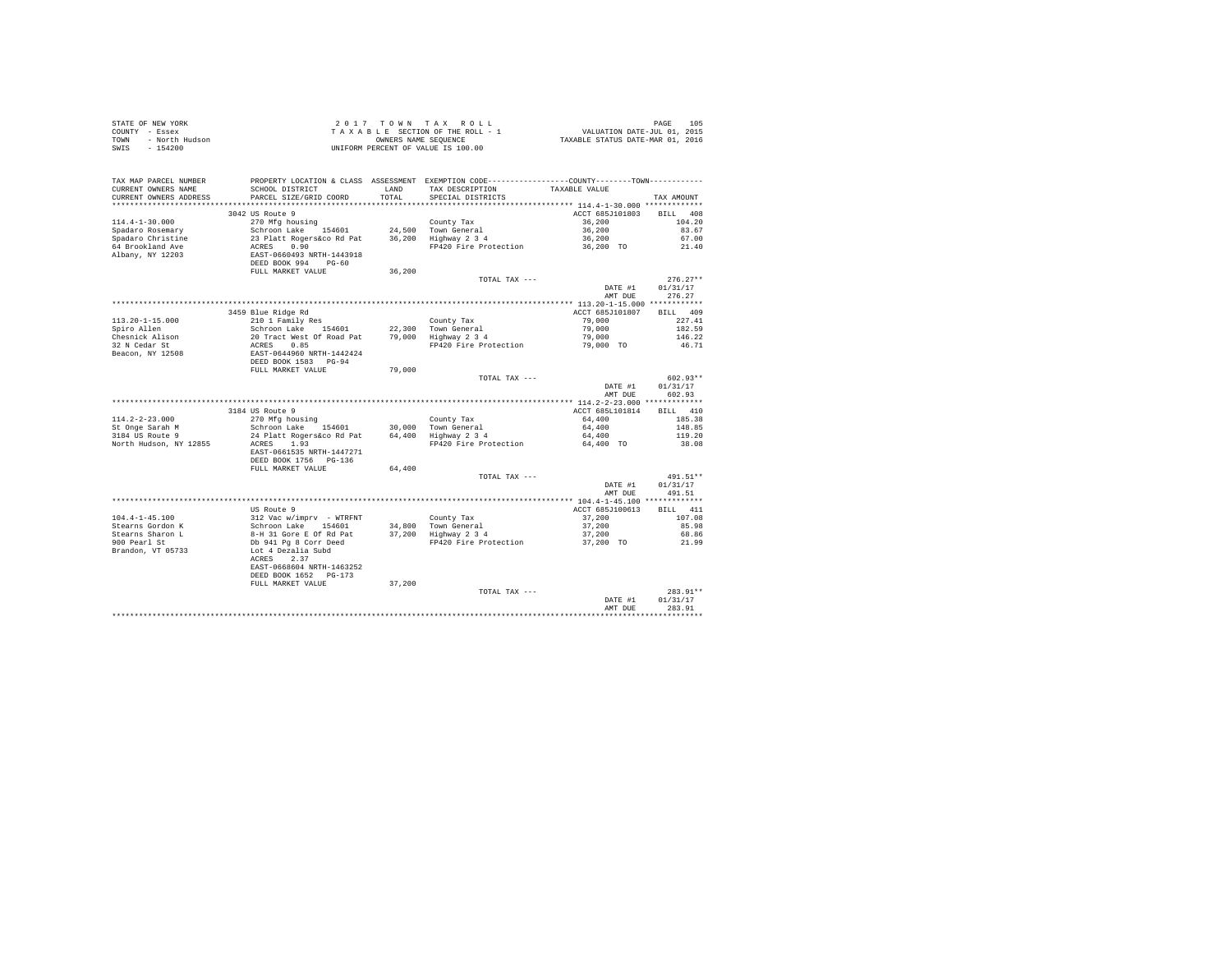|      | STATE OF NEW YORK | $2.017$ TOWN TAX ROLL              | 105<br>PAGE                      |
|------|-------------------|------------------------------------|----------------------------------|
|      | COUNTY - Essex    | TAXABLE SECTION OF THE ROLL - 1    | VALUATION DATE-JUL 01, 2015      |
| TOWN | - North Hudson    | OWNERS NAME SEOUENCE               | TAXABLE STATUS DATE-MAR 01, 2016 |
| SWIS | - 154200          | UNIFORM PERCENT OF VALUE IS 100.00 |                                  |

| TAX MAP PARCEL NUMBER     |                                                    |              | PROPERTY LOCATION & CLASS ASSESSMENT EXEMPTION CODE---------------COUNTY-------TOWN---------- |                 |                    |
|---------------------------|----------------------------------------------------|--------------|-----------------------------------------------------------------------------------------------|-----------------|--------------------|
| CURRENT OWNERS NAME       | SCHOOL DISTRICT                                    | <b>T.AND</b> | TAX DESCRIPTION                                                                               | TAXABLE VALUE   |                    |
| CURRENT OWNERS ADDRESS    | PARCEL SIZE/GRID COORD                             | TOTAL        | SPECIAL DISTRICTS                                                                             |                 | TAX AMOUNT         |
| ************************* |                                                    |              |                                                                                               |                 |                    |
|                           | 3042 US Route 9                                    |              |                                                                                               | ACCT 685J101803 | 408<br><b>BILL</b> |
| $114.4 - 1 - 30.000$      | 270 Mfg housing                                    |              | County Tax                                                                                    | 36,200          | 104.20             |
| Spadaro Rosemary          | Schroon Lake 154601                                |              | 24.500 Town General                                                                           | 36,200          | 83.67              |
| Spadaro Christine         | 23 Platt Rogers&co Rd Pat                          | 36,200       | Highway 2 3 4                                                                                 | 36,200          | 67.00              |
| 64 Brookland Ave          | 0.90<br>ACRES                                      |              | FP420 Fire Protection                                                                         | 36,200 TO       | 21.40              |
| Albany, NY 12203          | EAST-0660493 NRTH-1443918                          |              |                                                                                               |                 |                    |
|                           | DEED BOOK 994<br>$PG-60$<br>FULL MARKET VALUE      | 36,200       |                                                                                               |                 |                    |
|                           |                                                    |              | TOTAL TAX ---                                                                                 |                 | $276.27**$         |
|                           |                                                    |              |                                                                                               | DATE #1         | 01/31/17           |
|                           |                                                    |              |                                                                                               | AMT DUE         | 276.27             |
|                           |                                                    |              |                                                                                               |                 |                    |
|                           | 3459 Blue Ridge Rd                                 |              |                                                                                               | ACCT 685J101807 | BILL 409           |
| $113.20 - 1 - 15.000$     | 210 1 Family Res                                   |              | County Tax                                                                                    | 79,000          | 227.41             |
| Spiro Allen               | Schroon Lake<br>154601                             | 22,300       | Town General                                                                                  | 79,000          | 182.59             |
| Chesnick Alison           | 20 Tract West Of Road Pat                          | 79,000       | Highway 2 3 4                                                                                 | 79,000          | 146.22             |
| 32 N Cedar St             | ACRES<br>0.85                                      |              | FP420 Fire Protection                                                                         | 79,000 TO       | 46.71              |
| Beacon, NY 12508          | EAST-0644960 NRTH-1442424                          |              |                                                                                               |                 |                    |
|                           | DEED BOOK 1583 PG-94                               |              |                                                                                               |                 |                    |
|                           | FULL MARKET VALUE                                  | 79,000       |                                                                                               |                 |                    |
|                           |                                                    |              | TOTAL TAX ---                                                                                 |                 | $602.93**$         |
|                           |                                                    |              |                                                                                               | DATE #1         | 01/31/17           |
|                           |                                                    |              |                                                                                               | AMT DUE         | 602.93             |
|                           |                                                    |              |                                                                                               |                 |                    |
|                           | 3184 US Route 9                                    |              |                                                                                               | ACCT 685L101814 | 410<br>RTLL.       |
| $114.2 - 2 - 23.000$      | 270 Mfg housing                                    |              | County Tax                                                                                    | 64,400          | 185.38             |
| St Onge Sarah M           | Schroon Lake<br>154601                             | 30,000       | Town General                                                                                  | 64,400          | 148.85             |
| 3184 US Route 9           | 24 Platt Rogers&co Rd Pat                          | 64,400       | Highway 2 3 4                                                                                 | 64,400          | 119.20             |
| North Hudson, NY 12855    | 1.93<br>ACRES                                      |              | FP420 Fire Protection                                                                         | 64,400 TO       | 38.08              |
|                           | EAST-0661535 NRTH-1447271                          |              |                                                                                               |                 |                    |
|                           | DEED BOOK 1756 PG-136                              |              |                                                                                               |                 |                    |
|                           | FULL MARKET VALUE                                  | 64,400       |                                                                                               |                 |                    |
|                           |                                                    |              | TOTAL TAX ---                                                                                 |                 | $491.51**$         |
|                           |                                                    |              |                                                                                               | DATE #1         | 01/31/17           |
|                           |                                                    |              |                                                                                               | AMT DUE         | 491.51             |
|                           | US Route 9                                         |              |                                                                                               | ACCT 685J100613 | <b>BILL</b><br>411 |
| $104.4 - 1 - 45.100$      |                                                    |              |                                                                                               | 37.200          | 107.08             |
| Stearns Gordon K          | 312 Vac w/imprv - WTRFNT<br>Schroon Lake<br>154601 | 34,800       | County Tax<br>Town General                                                                    | 37,200          | 85.98              |
| Stearns Sharon L          | 8-H 31 Gore E Of Rd Pat                            | 37,200       | Highway 2 3 4                                                                                 | 37,200          | 68.86              |
| 900 Pearl St              | Db 941 Pg 8 Corr Deed                              |              | FP420 Fire Protection                                                                         | 37,200 TO       | 21.99              |
| Brandon, VT 05733         | Lot 4 Dezalia Subd                                 |              |                                                                                               |                 |                    |
|                           | ACRES<br>2.37                                      |              |                                                                                               |                 |                    |
|                           | EAST-0668604 NRTH-1463252                          |              |                                                                                               |                 |                    |
|                           | DEED BOOK 1652 PG-173                              |              |                                                                                               |                 |                    |
|                           | FULL MARKET VALUE                                  | 37,200       |                                                                                               |                 |                    |
|                           |                                                    |              | TOTAL TAX ---                                                                                 |                 | 283.91**           |
|                           |                                                    |              |                                                                                               | DATE #1         | 01/31/17           |
|                           |                                                    |              |                                                                                               | AMT DUE         | 283.91             |
|                           |                                                    |              |                                                                                               |                 |                    |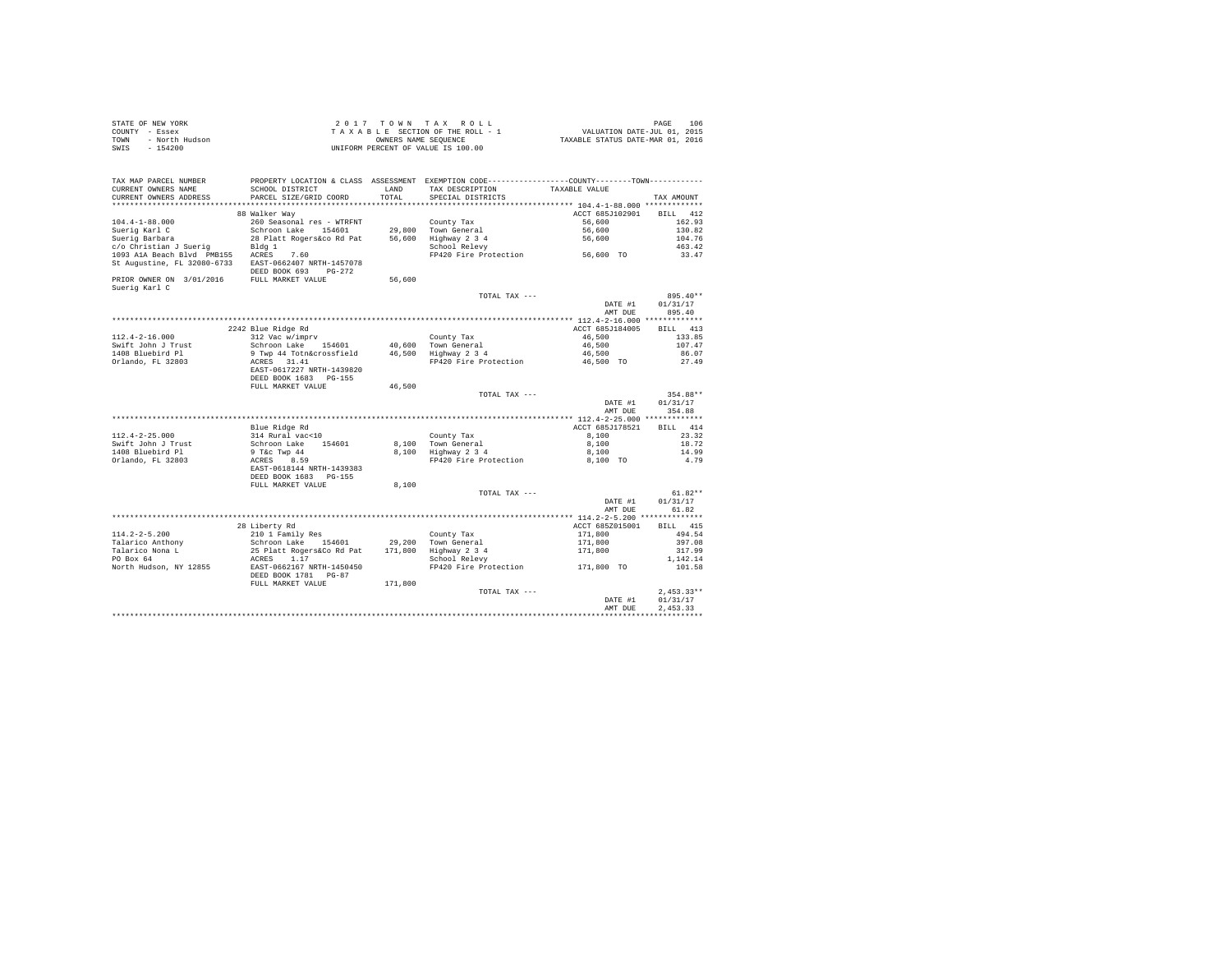| STATE OF NEW YORK      | $2.017$ TOWN TAX ROLL              | 106<br>PAGE                      |
|------------------------|------------------------------------|----------------------------------|
| COUNTY - Essex         | TAXABLE SECTION OF THE ROLL - 1    | VALUATION DATE-JUL 01, 2015      |
| TOWN<br>- North Hudson | OWNERS NAME SEOUENCE               | TAXABLE STATUS DATE-MAR 01, 2016 |
| - 154200<br>SWIS       | UNIFORM PERCENT OF VALUE IS 100.00 |                                  |

| **********************<br>***********************<br><br>************************************** 104.4-1-88.000 *************<br>ACCT 685J102901<br>88 Walker Way<br><b>BILL</b><br>412<br>$104.4 - 1 - 88.000$<br>260 Seasonal res - WTRFNT<br>162.93<br>County Tax<br>56,600<br>Suerig Karl C<br>Schroon Lake<br>154601<br>29,800<br>Town General<br>56,600<br>130.82<br>104.76<br>Suerig Barbara<br>28 Platt Rogers&co Rd Pat<br>56,600<br>Highway 2 3 4<br>56,600<br>c/o Christian J Suerig<br>Bldg 1<br>School Relevy<br>463.42<br>56,600 TO<br>1093 A1A Beach Blvd PMB155<br>ACRES<br>7.60<br>FP420 Fire Protection<br>33.47<br>St Augustine, FL 32080-6733<br>EAST-0662407 NRTH-1457078<br>DEED BOOK 693<br>$PG-272$<br>PRIOR OWNER ON 3/01/2016<br>FULL MARKET VALUE<br>56,600<br>Suerig Karl C<br>TOTAL TAX ---<br>DATE #1<br>01/31/17<br>AMT DUE<br>895.40<br>2242 Blue Ridge Rd<br>ACCT 685J184005<br>413<br><b>BILL</b><br>312 Vac w/imprv<br>$112.4 - 2 - 16.000$<br>46.500<br>133.85<br>County Tax<br>Schroon Lake 154601<br>46,500<br>107.47<br>Swift John J Trust<br>40,600 Town General<br>1408 Bluebird Pl<br>9 Twp 44 Totn&crossfield<br>46,500 Highway 2 3 4<br>46,500<br>86.07<br>Orlando, FL 32803<br>ACRES 31.41<br>FP420 Fire Protection<br>46,500 TO<br>27.49<br>EAST-0617227 NRTH-1439820<br>DEED BOOK 1683 PG-155<br>FULL MARKET VALUE<br>46.500<br>354.88**<br>TOTAL TAX ---<br>01/31/17<br>DATE #1<br>AMT DUE<br>354.88<br>***** 112.4-2-25.000 *************<br>414<br>Blue Ridge Rd<br>ACCT 685J178521<br>RTLL.<br>314 Rural vac<10<br>23.32<br>$112.4 - 2 - 25.000$<br>County Tax<br>8,100<br>Swift John J Trust<br>Schroon Lake<br>8,100<br>18.72<br>154601<br>8,100<br>Town General<br>1408 Bluebird Pl<br>9 T&c Twp 44<br>8,100<br>Highway 2 3 4<br>8,100<br>14.99<br>Orlando, FL 32803<br>FP420 Fire Protection<br>4.79<br>ACRES<br>8.59<br>8,100 TO<br>EAST-0618144 NRTH-1439383<br>DEED BOOK 1683 PG-155<br>FULL MARKET VALUE<br>8,100<br>$61.82**$<br>TOTAL TAX ---<br>01/31/17<br>DATE #1<br>61.82<br>AMT DUE<br>********* 114.2-2-5.200 ***************<br>28 Liberty Rd<br>415<br>ACCT 685Z015001<br>BTLL.<br>$114.2 - 2 - 5.200$<br>210 1 Family Res<br>171,800<br>494.54<br>County Tax<br>Talarico Anthony<br>Schroon Lake 154601<br>29,200<br>Town General<br>171,800<br>397.08<br>Talarico Nona L<br>25 Platt Rogers&Co Rd Pat<br>171,800<br>Highway 2 3 4<br>171,800<br>317.99<br>PO Box 64<br>1.17<br>School Relevy<br>ACRES<br>1,142.14<br>North Hudson, NY 12855<br>FP420 Fire Protection<br>EAST-0662167 NRTH-1450450<br>101.58<br>171,800 TO<br>DEED BOOK 1781 PG-87<br>FULL MARKET VALUE<br>171,800<br>$2.453.33**$<br>TOTAL TAX ---<br>01/31/17<br>DATE #1<br>2.453.33<br>AMT DUE | TAX MAP PARCEL NUMBER<br>CURRENT OWNERS NAME<br>CURRENT OWNERS ADDRESS | PROPERTY LOCATION & CLASS ASSESSMENT EXEMPTION CODE---------------COUNTY-------TOWN----------<br>SCHOOL DISTRICT<br>PARCEL SIZE/GRID COORD | LAND<br>TOTAL. | TAX DESCRIPTION<br>SPECIAL DISTRICTS | TAXABLE VALUE | TAX AMOUNT |
|----------------------------------------------------------------------------------------------------------------------------------------------------------------------------------------------------------------------------------------------------------------------------------------------------------------------------------------------------------------------------------------------------------------------------------------------------------------------------------------------------------------------------------------------------------------------------------------------------------------------------------------------------------------------------------------------------------------------------------------------------------------------------------------------------------------------------------------------------------------------------------------------------------------------------------------------------------------------------------------------------------------------------------------------------------------------------------------------------------------------------------------------------------------------------------------------------------------------------------------------------------------------------------------------------------------------------------------------------------------------------------------------------------------------------------------------------------------------------------------------------------------------------------------------------------------------------------------------------------------------------------------------------------------------------------------------------------------------------------------------------------------------------------------------------------------------------------------------------------------------------------------------------------------------------------------------------------------------------------------------------------------------------------------------------------------------------------------------------------------------------------------------------------------------------------------------------------------------------------------------------------------------------------------------------------------------------------------------------------------------------------------------------------------------------------------------------------------------------------------------------------------------------------------------------------------------------------------------------------------------------------------------------------------------------------------------------------------------------------------|------------------------------------------------------------------------|--------------------------------------------------------------------------------------------------------------------------------------------|----------------|--------------------------------------|---------------|------------|
|                                                                                                                                                                                                                                                                                                                                                                                                                                                                                                                                                                                                                                                                                                                                                                                                                                                                                                                                                                                                                                                                                                                                                                                                                                                                                                                                                                                                                                                                                                                                                                                                                                                                                                                                                                                                                                                                                                                                                                                                                                                                                                                                                                                                                                                                                                                                                                                                                                                                                                                                                                                                                                                                                                                                        |                                                                        |                                                                                                                                            |                |                                      |               |            |
|                                                                                                                                                                                                                                                                                                                                                                                                                                                                                                                                                                                                                                                                                                                                                                                                                                                                                                                                                                                                                                                                                                                                                                                                                                                                                                                                                                                                                                                                                                                                                                                                                                                                                                                                                                                                                                                                                                                                                                                                                                                                                                                                                                                                                                                                                                                                                                                                                                                                                                                                                                                                                                                                                                                                        |                                                                        |                                                                                                                                            |                |                                      |               |            |
|                                                                                                                                                                                                                                                                                                                                                                                                                                                                                                                                                                                                                                                                                                                                                                                                                                                                                                                                                                                                                                                                                                                                                                                                                                                                                                                                                                                                                                                                                                                                                                                                                                                                                                                                                                                                                                                                                                                                                                                                                                                                                                                                                                                                                                                                                                                                                                                                                                                                                                                                                                                                                                                                                                                                        |                                                                        |                                                                                                                                            |                |                                      |               |            |
|                                                                                                                                                                                                                                                                                                                                                                                                                                                                                                                                                                                                                                                                                                                                                                                                                                                                                                                                                                                                                                                                                                                                                                                                                                                                                                                                                                                                                                                                                                                                                                                                                                                                                                                                                                                                                                                                                                                                                                                                                                                                                                                                                                                                                                                                                                                                                                                                                                                                                                                                                                                                                                                                                                                                        |                                                                        |                                                                                                                                            |                |                                      |               |            |
|                                                                                                                                                                                                                                                                                                                                                                                                                                                                                                                                                                                                                                                                                                                                                                                                                                                                                                                                                                                                                                                                                                                                                                                                                                                                                                                                                                                                                                                                                                                                                                                                                                                                                                                                                                                                                                                                                                                                                                                                                                                                                                                                                                                                                                                                                                                                                                                                                                                                                                                                                                                                                                                                                                                                        |                                                                        |                                                                                                                                            |                |                                      |               |            |
|                                                                                                                                                                                                                                                                                                                                                                                                                                                                                                                                                                                                                                                                                                                                                                                                                                                                                                                                                                                                                                                                                                                                                                                                                                                                                                                                                                                                                                                                                                                                                                                                                                                                                                                                                                                                                                                                                                                                                                                                                                                                                                                                                                                                                                                                                                                                                                                                                                                                                                                                                                                                                                                                                                                                        |                                                                        |                                                                                                                                            |                |                                      |               |            |
|                                                                                                                                                                                                                                                                                                                                                                                                                                                                                                                                                                                                                                                                                                                                                                                                                                                                                                                                                                                                                                                                                                                                                                                                                                                                                                                                                                                                                                                                                                                                                                                                                                                                                                                                                                                                                                                                                                                                                                                                                                                                                                                                                                                                                                                                                                                                                                                                                                                                                                                                                                                                                                                                                                                                        |                                                                        |                                                                                                                                            |                |                                      |               |            |
|                                                                                                                                                                                                                                                                                                                                                                                                                                                                                                                                                                                                                                                                                                                                                                                                                                                                                                                                                                                                                                                                                                                                                                                                                                                                                                                                                                                                                                                                                                                                                                                                                                                                                                                                                                                                                                                                                                                                                                                                                                                                                                                                                                                                                                                                                                                                                                                                                                                                                                                                                                                                                                                                                                                                        |                                                                        |                                                                                                                                            |                |                                      |               |            |
|                                                                                                                                                                                                                                                                                                                                                                                                                                                                                                                                                                                                                                                                                                                                                                                                                                                                                                                                                                                                                                                                                                                                                                                                                                                                                                                                                                                                                                                                                                                                                                                                                                                                                                                                                                                                                                                                                                                                                                                                                                                                                                                                                                                                                                                                                                                                                                                                                                                                                                                                                                                                                                                                                                                                        |                                                                        |                                                                                                                                            |                |                                      |               |            |
|                                                                                                                                                                                                                                                                                                                                                                                                                                                                                                                                                                                                                                                                                                                                                                                                                                                                                                                                                                                                                                                                                                                                                                                                                                                                                                                                                                                                                                                                                                                                                                                                                                                                                                                                                                                                                                                                                                                                                                                                                                                                                                                                                                                                                                                                                                                                                                                                                                                                                                                                                                                                                                                                                                                                        |                                                                        |                                                                                                                                            |                |                                      |               |            |
|                                                                                                                                                                                                                                                                                                                                                                                                                                                                                                                                                                                                                                                                                                                                                                                                                                                                                                                                                                                                                                                                                                                                                                                                                                                                                                                                                                                                                                                                                                                                                                                                                                                                                                                                                                                                                                                                                                                                                                                                                                                                                                                                                                                                                                                                                                                                                                                                                                                                                                                                                                                                                                                                                                                                        |                                                                        |                                                                                                                                            |                |                                      |               | 895.40**   |
|                                                                                                                                                                                                                                                                                                                                                                                                                                                                                                                                                                                                                                                                                                                                                                                                                                                                                                                                                                                                                                                                                                                                                                                                                                                                                                                                                                                                                                                                                                                                                                                                                                                                                                                                                                                                                                                                                                                                                                                                                                                                                                                                                                                                                                                                                                                                                                                                                                                                                                                                                                                                                                                                                                                                        |                                                                        |                                                                                                                                            |                |                                      |               |            |
|                                                                                                                                                                                                                                                                                                                                                                                                                                                                                                                                                                                                                                                                                                                                                                                                                                                                                                                                                                                                                                                                                                                                                                                                                                                                                                                                                                                                                                                                                                                                                                                                                                                                                                                                                                                                                                                                                                                                                                                                                                                                                                                                                                                                                                                                                                                                                                                                                                                                                                                                                                                                                                                                                                                                        |                                                                        |                                                                                                                                            |                |                                      |               |            |
|                                                                                                                                                                                                                                                                                                                                                                                                                                                                                                                                                                                                                                                                                                                                                                                                                                                                                                                                                                                                                                                                                                                                                                                                                                                                                                                                                                                                                                                                                                                                                                                                                                                                                                                                                                                                                                                                                                                                                                                                                                                                                                                                                                                                                                                                                                                                                                                                                                                                                                                                                                                                                                                                                                                                        |                                                                        |                                                                                                                                            |                |                                      |               |            |
|                                                                                                                                                                                                                                                                                                                                                                                                                                                                                                                                                                                                                                                                                                                                                                                                                                                                                                                                                                                                                                                                                                                                                                                                                                                                                                                                                                                                                                                                                                                                                                                                                                                                                                                                                                                                                                                                                                                                                                                                                                                                                                                                                                                                                                                                                                                                                                                                                                                                                                                                                                                                                                                                                                                                        |                                                                        |                                                                                                                                            |                |                                      |               |            |
|                                                                                                                                                                                                                                                                                                                                                                                                                                                                                                                                                                                                                                                                                                                                                                                                                                                                                                                                                                                                                                                                                                                                                                                                                                                                                                                                                                                                                                                                                                                                                                                                                                                                                                                                                                                                                                                                                                                                                                                                                                                                                                                                                                                                                                                                                                                                                                                                                                                                                                                                                                                                                                                                                                                                        |                                                                        |                                                                                                                                            |                |                                      |               |            |
|                                                                                                                                                                                                                                                                                                                                                                                                                                                                                                                                                                                                                                                                                                                                                                                                                                                                                                                                                                                                                                                                                                                                                                                                                                                                                                                                                                                                                                                                                                                                                                                                                                                                                                                                                                                                                                                                                                                                                                                                                                                                                                                                                                                                                                                                                                                                                                                                                                                                                                                                                                                                                                                                                                                                        |                                                                        |                                                                                                                                            |                |                                      |               |            |
|                                                                                                                                                                                                                                                                                                                                                                                                                                                                                                                                                                                                                                                                                                                                                                                                                                                                                                                                                                                                                                                                                                                                                                                                                                                                                                                                                                                                                                                                                                                                                                                                                                                                                                                                                                                                                                                                                                                                                                                                                                                                                                                                                                                                                                                                                                                                                                                                                                                                                                                                                                                                                                                                                                                                        |                                                                        |                                                                                                                                            |                |                                      |               |            |
|                                                                                                                                                                                                                                                                                                                                                                                                                                                                                                                                                                                                                                                                                                                                                                                                                                                                                                                                                                                                                                                                                                                                                                                                                                                                                                                                                                                                                                                                                                                                                                                                                                                                                                                                                                                                                                                                                                                                                                                                                                                                                                                                                                                                                                                                                                                                                                                                                                                                                                                                                                                                                                                                                                                                        |                                                                        |                                                                                                                                            |                |                                      |               |            |
|                                                                                                                                                                                                                                                                                                                                                                                                                                                                                                                                                                                                                                                                                                                                                                                                                                                                                                                                                                                                                                                                                                                                                                                                                                                                                                                                                                                                                                                                                                                                                                                                                                                                                                                                                                                                                                                                                                                                                                                                                                                                                                                                                                                                                                                                                                                                                                                                                                                                                                                                                                                                                                                                                                                                        |                                                                        |                                                                                                                                            |                |                                      |               |            |
|                                                                                                                                                                                                                                                                                                                                                                                                                                                                                                                                                                                                                                                                                                                                                                                                                                                                                                                                                                                                                                                                                                                                                                                                                                                                                                                                                                                                                                                                                                                                                                                                                                                                                                                                                                                                                                                                                                                                                                                                                                                                                                                                                                                                                                                                                                                                                                                                                                                                                                                                                                                                                                                                                                                                        |                                                                        |                                                                                                                                            |                |                                      |               |            |
|                                                                                                                                                                                                                                                                                                                                                                                                                                                                                                                                                                                                                                                                                                                                                                                                                                                                                                                                                                                                                                                                                                                                                                                                                                                                                                                                                                                                                                                                                                                                                                                                                                                                                                                                                                                                                                                                                                                                                                                                                                                                                                                                                                                                                                                                                                                                                                                                                                                                                                                                                                                                                                                                                                                                        |                                                                        |                                                                                                                                            |                |                                      |               |            |
|                                                                                                                                                                                                                                                                                                                                                                                                                                                                                                                                                                                                                                                                                                                                                                                                                                                                                                                                                                                                                                                                                                                                                                                                                                                                                                                                                                                                                                                                                                                                                                                                                                                                                                                                                                                                                                                                                                                                                                                                                                                                                                                                                                                                                                                                                                                                                                                                                                                                                                                                                                                                                                                                                                                                        |                                                                        |                                                                                                                                            |                |                                      |               |            |
|                                                                                                                                                                                                                                                                                                                                                                                                                                                                                                                                                                                                                                                                                                                                                                                                                                                                                                                                                                                                                                                                                                                                                                                                                                                                                                                                                                                                                                                                                                                                                                                                                                                                                                                                                                                                                                                                                                                                                                                                                                                                                                                                                                                                                                                                                                                                                                                                                                                                                                                                                                                                                                                                                                                                        |                                                                        |                                                                                                                                            |                |                                      |               |            |
|                                                                                                                                                                                                                                                                                                                                                                                                                                                                                                                                                                                                                                                                                                                                                                                                                                                                                                                                                                                                                                                                                                                                                                                                                                                                                                                                                                                                                                                                                                                                                                                                                                                                                                                                                                                                                                                                                                                                                                                                                                                                                                                                                                                                                                                                                                                                                                                                                                                                                                                                                                                                                                                                                                                                        |                                                                        |                                                                                                                                            |                |                                      |               |            |
|                                                                                                                                                                                                                                                                                                                                                                                                                                                                                                                                                                                                                                                                                                                                                                                                                                                                                                                                                                                                                                                                                                                                                                                                                                                                                                                                                                                                                                                                                                                                                                                                                                                                                                                                                                                                                                                                                                                                                                                                                                                                                                                                                                                                                                                                                                                                                                                                                                                                                                                                                                                                                                                                                                                                        |                                                                        |                                                                                                                                            |                |                                      |               |            |
|                                                                                                                                                                                                                                                                                                                                                                                                                                                                                                                                                                                                                                                                                                                                                                                                                                                                                                                                                                                                                                                                                                                                                                                                                                                                                                                                                                                                                                                                                                                                                                                                                                                                                                                                                                                                                                                                                                                                                                                                                                                                                                                                                                                                                                                                                                                                                                                                                                                                                                                                                                                                                                                                                                                                        |                                                                        |                                                                                                                                            |                |                                      |               |            |
|                                                                                                                                                                                                                                                                                                                                                                                                                                                                                                                                                                                                                                                                                                                                                                                                                                                                                                                                                                                                                                                                                                                                                                                                                                                                                                                                                                                                                                                                                                                                                                                                                                                                                                                                                                                                                                                                                                                                                                                                                                                                                                                                                                                                                                                                                                                                                                                                                                                                                                                                                                                                                                                                                                                                        |                                                                        |                                                                                                                                            |                |                                      |               |            |
|                                                                                                                                                                                                                                                                                                                                                                                                                                                                                                                                                                                                                                                                                                                                                                                                                                                                                                                                                                                                                                                                                                                                                                                                                                                                                                                                                                                                                                                                                                                                                                                                                                                                                                                                                                                                                                                                                                                                                                                                                                                                                                                                                                                                                                                                                                                                                                                                                                                                                                                                                                                                                                                                                                                                        |                                                                        |                                                                                                                                            |                |                                      |               |            |
|                                                                                                                                                                                                                                                                                                                                                                                                                                                                                                                                                                                                                                                                                                                                                                                                                                                                                                                                                                                                                                                                                                                                                                                                                                                                                                                                                                                                                                                                                                                                                                                                                                                                                                                                                                                                                                                                                                                                                                                                                                                                                                                                                                                                                                                                                                                                                                                                                                                                                                                                                                                                                                                                                                                                        |                                                                        |                                                                                                                                            |                |                                      |               |            |
|                                                                                                                                                                                                                                                                                                                                                                                                                                                                                                                                                                                                                                                                                                                                                                                                                                                                                                                                                                                                                                                                                                                                                                                                                                                                                                                                                                                                                                                                                                                                                                                                                                                                                                                                                                                                                                                                                                                                                                                                                                                                                                                                                                                                                                                                                                                                                                                                                                                                                                                                                                                                                                                                                                                                        |                                                                        |                                                                                                                                            |                |                                      |               |            |
|                                                                                                                                                                                                                                                                                                                                                                                                                                                                                                                                                                                                                                                                                                                                                                                                                                                                                                                                                                                                                                                                                                                                                                                                                                                                                                                                                                                                                                                                                                                                                                                                                                                                                                                                                                                                                                                                                                                                                                                                                                                                                                                                                                                                                                                                                                                                                                                                                                                                                                                                                                                                                                                                                                                                        |                                                                        |                                                                                                                                            |                |                                      |               |            |
|                                                                                                                                                                                                                                                                                                                                                                                                                                                                                                                                                                                                                                                                                                                                                                                                                                                                                                                                                                                                                                                                                                                                                                                                                                                                                                                                                                                                                                                                                                                                                                                                                                                                                                                                                                                                                                                                                                                                                                                                                                                                                                                                                                                                                                                                                                                                                                                                                                                                                                                                                                                                                                                                                                                                        |                                                                        |                                                                                                                                            |                |                                      |               |            |
|                                                                                                                                                                                                                                                                                                                                                                                                                                                                                                                                                                                                                                                                                                                                                                                                                                                                                                                                                                                                                                                                                                                                                                                                                                                                                                                                                                                                                                                                                                                                                                                                                                                                                                                                                                                                                                                                                                                                                                                                                                                                                                                                                                                                                                                                                                                                                                                                                                                                                                                                                                                                                                                                                                                                        |                                                                        |                                                                                                                                            |                |                                      |               |            |
|                                                                                                                                                                                                                                                                                                                                                                                                                                                                                                                                                                                                                                                                                                                                                                                                                                                                                                                                                                                                                                                                                                                                                                                                                                                                                                                                                                                                                                                                                                                                                                                                                                                                                                                                                                                                                                                                                                                                                                                                                                                                                                                                                                                                                                                                                                                                                                                                                                                                                                                                                                                                                                                                                                                                        |                                                                        |                                                                                                                                            |                |                                      |               |            |
|                                                                                                                                                                                                                                                                                                                                                                                                                                                                                                                                                                                                                                                                                                                                                                                                                                                                                                                                                                                                                                                                                                                                                                                                                                                                                                                                                                                                                                                                                                                                                                                                                                                                                                                                                                                                                                                                                                                                                                                                                                                                                                                                                                                                                                                                                                                                                                                                                                                                                                                                                                                                                                                                                                                                        |                                                                        |                                                                                                                                            |                |                                      |               |            |
|                                                                                                                                                                                                                                                                                                                                                                                                                                                                                                                                                                                                                                                                                                                                                                                                                                                                                                                                                                                                                                                                                                                                                                                                                                                                                                                                                                                                                                                                                                                                                                                                                                                                                                                                                                                                                                                                                                                                                                                                                                                                                                                                                                                                                                                                                                                                                                                                                                                                                                                                                                                                                                                                                                                                        |                                                                        |                                                                                                                                            |                |                                      |               |            |
|                                                                                                                                                                                                                                                                                                                                                                                                                                                                                                                                                                                                                                                                                                                                                                                                                                                                                                                                                                                                                                                                                                                                                                                                                                                                                                                                                                                                                                                                                                                                                                                                                                                                                                                                                                                                                                                                                                                                                                                                                                                                                                                                                                                                                                                                                                                                                                                                                                                                                                                                                                                                                                                                                                                                        |                                                                        |                                                                                                                                            |                |                                      |               |            |
|                                                                                                                                                                                                                                                                                                                                                                                                                                                                                                                                                                                                                                                                                                                                                                                                                                                                                                                                                                                                                                                                                                                                                                                                                                                                                                                                                                                                                                                                                                                                                                                                                                                                                                                                                                                                                                                                                                                                                                                                                                                                                                                                                                                                                                                                                                                                                                                                                                                                                                                                                                                                                                                                                                                                        |                                                                        |                                                                                                                                            |                |                                      |               |            |
|                                                                                                                                                                                                                                                                                                                                                                                                                                                                                                                                                                                                                                                                                                                                                                                                                                                                                                                                                                                                                                                                                                                                                                                                                                                                                                                                                                                                                                                                                                                                                                                                                                                                                                                                                                                                                                                                                                                                                                                                                                                                                                                                                                                                                                                                                                                                                                                                                                                                                                                                                                                                                                                                                                                                        |                                                                        |                                                                                                                                            |                |                                      |               |            |
|                                                                                                                                                                                                                                                                                                                                                                                                                                                                                                                                                                                                                                                                                                                                                                                                                                                                                                                                                                                                                                                                                                                                                                                                                                                                                                                                                                                                                                                                                                                                                                                                                                                                                                                                                                                                                                                                                                                                                                                                                                                                                                                                                                                                                                                                                                                                                                                                                                                                                                                                                                                                                                                                                                                                        |                                                                        |                                                                                                                                            |                |                                      |               |            |
|                                                                                                                                                                                                                                                                                                                                                                                                                                                                                                                                                                                                                                                                                                                                                                                                                                                                                                                                                                                                                                                                                                                                                                                                                                                                                                                                                                                                                                                                                                                                                                                                                                                                                                                                                                                                                                                                                                                                                                                                                                                                                                                                                                                                                                                                                                                                                                                                                                                                                                                                                                                                                                                                                                                                        |                                                                        |                                                                                                                                            |                |                                      |               |            |
|                                                                                                                                                                                                                                                                                                                                                                                                                                                                                                                                                                                                                                                                                                                                                                                                                                                                                                                                                                                                                                                                                                                                                                                                                                                                                                                                                                                                                                                                                                                                                                                                                                                                                                                                                                                                                                                                                                                                                                                                                                                                                                                                                                                                                                                                                                                                                                                                                                                                                                                                                                                                                                                                                                                                        |                                                                        |                                                                                                                                            |                |                                      |               |            |
|                                                                                                                                                                                                                                                                                                                                                                                                                                                                                                                                                                                                                                                                                                                                                                                                                                                                                                                                                                                                                                                                                                                                                                                                                                                                                                                                                                                                                                                                                                                                                                                                                                                                                                                                                                                                                                                                                                                                                                                                                                                                                                                                                                                                                                                                                                                                                                                                                                                                                                                                                                                                                                                                                                                                        |                                                                        |                                                                                                                                            |                |                                      |               |            |
|                                                                                                                                                                                                                                                                                                                                                                                                                                                                                                                                                                                                                                                                                                                                                                                                                                                                                                                                                                                                                                                                                                                                                                                                                                                                                                                                                                                                                                                                                                                                                                                                                                                                                                                                                                                                                                                                                                                                                                                                                                                                                                                                                                                                                                                                                                                                                                                                                                                                                                                                                                                                                                                                                                                                        |                                                                        |                                                                                                                                            |                |                                      |               |            |
|                                                                                                                                                                                                                                                                                                                                                                                                                                                                                                                                                                                                                                                                                                                                                                                                                                                                                                                                                                                                                                                                                                                                                                                                                                                                                                                                                                                                                                                                                                                                                                                                                                                                                                                                                                                                                                                                                                                                                                                                                                                                                                                                                                                                                                                                                                                                                                                                                                                                                                                                                                                                                                                                                                                                        |                                                                        |                                                                                                                                            |                |                                      |               |            |
|                                                                                                                                                                                                                                                                                                                                                                                                                                                                                                                                                                                                                                                                                                                                                                                                                                                                                                                                                                                                                                                                                                                                                                                                                                                                                                                                                                                                                                                                                                                                                                                                                                                                                                                                                                                                                                                                                                                                                                                                                                                                                                                                                                                                                                                                                                                                                                                                                                                                                                                                                                                                                                                                                                                                        |                                                                        |                                                                                                                                            |                |                                      |               |            |
|                                                                                                                                                                                                                                                                                                                                                                                                                                                                                                                                                                                                                                                                                                                                                                                                                                                                                                                                                                                                                                                                                                                                                                                                                                                                                                                                                                                                                                                                                                                                                                                                                                                                                                                                                                                                                                                                                                                                                                                                                                                                                                                                                                                                                                                                                                                                                                                                                                                                                                                                                                                                                                                                                                                                        |                                                                        |                                                                                                                                            |                |                                      |               |            |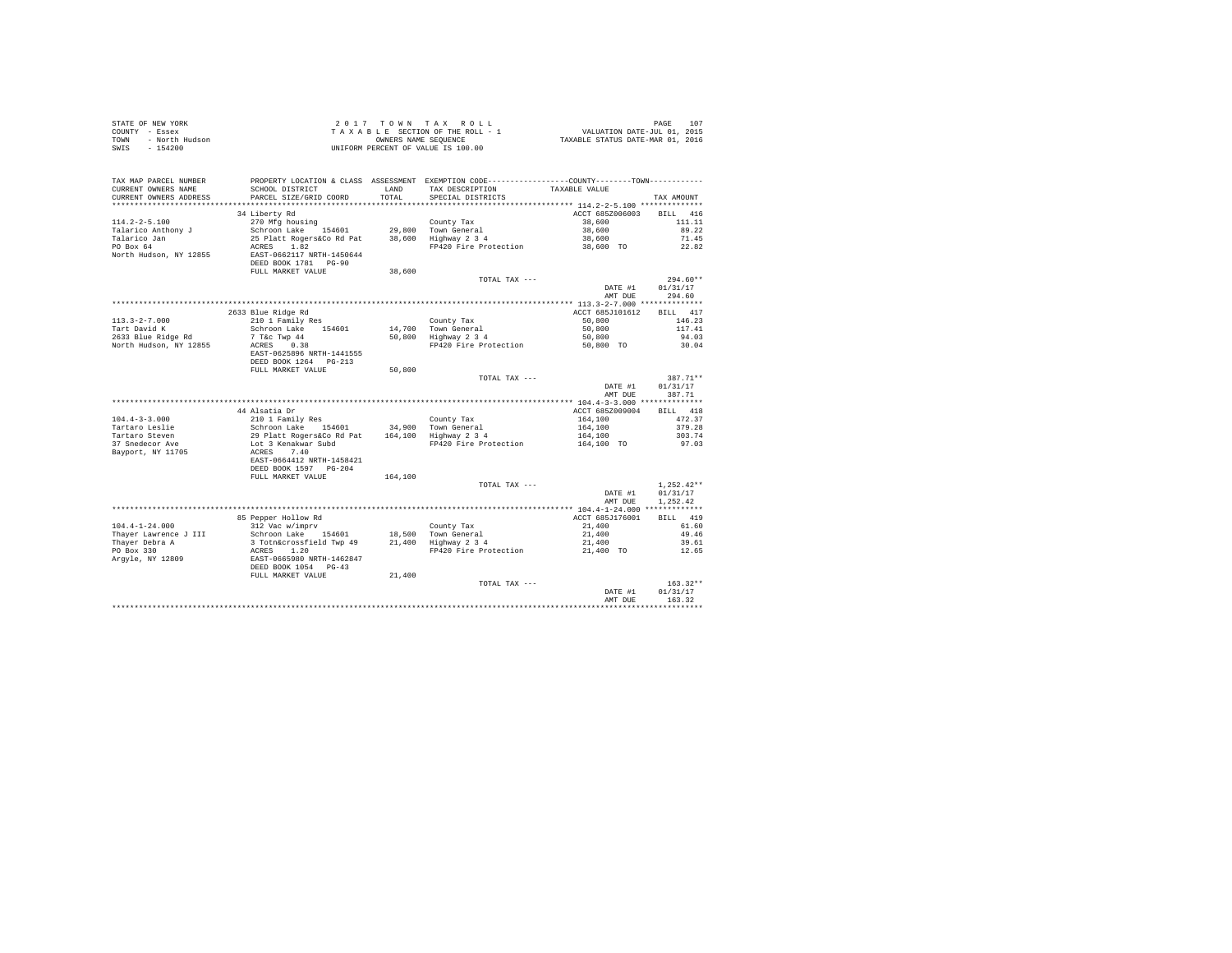| TAX MAP PARCEL NUMBER<br>PROPERTY LOCATION & CLASS ASSESSMENT EXEMPTION CODE---------------COUNTY-------TOWN----------<br>SCHOOL DISTRICT<br>LAND TAX DESCRIPTION<br>CURRENT OWNERS NAME<br>TAXABLE VALUE<br>CURRENT OWNERS ADDRESS<br>PARCEL SIZE/GRID COORD<br>TOTAL<br>SPECIAL DISTRICTS<br>TAX AMOUNT<br>RTT.T. 416<br>34 Liberty Rd<br>ACCT 685Z006003<br>$114.2 - 2 - 5.100$<br>38,600<br>111.11<br>38,600<br>Talarico Anthony J<br>89.22<br>38,600<br>Talarico Jan<br>PO Box 64<br>71.45<br>38,600 TO<br>ACRES 1.82<br>FP420 Fire Protection<br>22.82<br>North Hudson, NY 12855<br>EAST-0662117 NRTH-1450644<br>DEED BOOK 1781 PG-90<br>38,600<br>FULL MARKET VALUE<br>TOTAL TAX ---<br>$294.60**$<br>DATE #1<br>01/31/17<br>AMT DUE<br>294.60<br>2633 Blue Ridge Rd<br>ACCT 685J101612<br>BILL 417<br>210 1 Family Res<br>$113.3 - 2 - 7.000$<br>50,800<br>146.23<br>County Tax<br>14,700 Town General<br>50,800 Highway 2 3 4<br>Tart David K<br>2633 Blue Ridge Rd<br>Schroon Lake 154601<br>50,800<br>117.41<br>50,800<br>7 T&C Twp 44<br>ACRES 0.38<br>94.03<br>North Hudson, NY 12855<br>FP420 Fire Protection<br>50,800 TO<br>30.04<br>EAST-0625896 NRTH-1441555<br>DEED BOOK 1264 PG-213<br>FULL MARKET VALUE<br>50,800<br>387.71**<br>TOTAL TAX ---<br>DATE #1<br>01/31/17<br>AMT DUE<br>387.71<br>ACCT 685Z009004<br>BILL 418<br>$164,100$<br>$164,100$<br>$164,100$<br>$164,100$ TO<br>$104.4 - 3 - 3.000$<br>472.37<br>Tartaro Leslie<br>Tartaro Steven<br>37 Snedecor Ave<br>379.28<br>303.74<br>FP420 Fire Protection<br>97.03<br>Bayport, NY 11705<br>EAST-0664412 NRTH-1458421<br>DEED BOOK 1597 PG-204<br>FULL MARKET VALUE<br>164,100<br>$1.252.42**$<br>TOTAL TAX ---<br>01/31/17<br>DATE #1<br>AMT DUE<br>1,252.42<br>BILL 419<br>ACCT 685J176001<br>85 Pepper Hollow Rd<br>312 Vac w/imprv<br>$104.4 - 1 - 24.000$<br>312 Vac w/imprv<br>Schroon Lake 154601 18,500 Town General<br>3 Totnácrossfield Twp 49 21,400 Highway 234<br>21,400<br>61.60<br>Schroon Lake 154601<br>21,400<br>Thayer Lawrence J III<br>49.46<br>21,400<br>Thayer Debra A<br>39.61<br>PO Box 330<br>ACRES 1.20<br>EAST-0665980 NRTH-1462847<br>DEED BOOK 1054 PG-43<br>FULL MARKET VALUE<br>FP420 Fire Protection<br>21,400 TO<br>12.65<br>Argyle, NY 12809<br>21,400<br>$163.32**$<br>TOTAL TAX ---<br>01/31/17<br>DATE #1<br>163.32<br>AMT DUR | STATE OF NEW YORK<br>COUNTY - Essex<br>TOWN - North Hudson<br>SWIS - 154200 |  | 2017 TOWN TAX ROLL<br>$\begin{array}{cccccc} 2&0&1&7&7&0&\text{W} &\text{R} &\text{X} &\text{R} &0&\text{L} \\ T&\text{A} &\text{A} &\text{B} &\text{E} &\text{C} &\text{T} &\text{B} &\text{R} &\text{D} \\ \text{T} &\text{A} &\text{A} &\text{B} &\text{E} &\text{A} &\text{E} &\text{D} &\text{D} &\text{D} \\ \text{M} &\text{B} &\text{L} &\text{B} &\text{A} &\text{A} &\text{A} &\text{D} &\text{D}$<br>UNIFORM PERCENT OF VALUE IS 100.00 | PAGE |
|------------------------------------------------------------------------------------------------------------------------------------------------------------------------------------------------------------------------------------------------------------------------------------------------------------------------------------------------------------------------------------------------------------------------------------------------------------------------------------------------------------------------------------------------------------------------------------------------------------------------------------------------------------------------------------------------------------------------------------------------------------------------------------------------------------------------------------------------------------------------------------------------------------------------------------------------------------------------------------------------------------------------------------------------------------------------------------------------------------------------------------------------------------------------------------------------------------------------------------------------------------------------------------------------------------------------------------------------------------------------------------------------------------------------------------------------------------------------------------------------------------------------------------------------------------------------------------------------------------------------------------------------------------------------------------------------------------------------------------------------------------------------------------------------------------------------------------------------------------------------------------------------------------------------------------------------------------------------------------------------------------------------------------------------------------------------------------------------------------------------------------------------------------------------------------------------------------------------------------------------------------------------------------------------------------------------------------------------------|-----------------------------------------------------------------------------|--|----------------------------------------------------------------------------------------------------------------------------------------------------------------------------------------------------------------------------------------------------------------------------------------------------------------------------------------------------------------------------------------------------------------------------------------------------|------|
|                                                                                                                                                                                                                                                                                                                                                                                                                                                                                                                                                                                                                                                                                                                                                                                                                                                                                                                                                                                                                                                                                                                                                                                                                                                                                                                                                                                                                                                                                                                                                                                                                                                                                                                                                                                                                                                                                                                                                                                                                                                                                                                                                                                                                                                                                                                                                      |                                                                             |  |                                                                                                                                                                                                                                                                                                                                                                                                                                                    |      |
|                                                                                                                                                                                                                                                                                                                                                                                                                                                                                                                                                                                                                                                                                                                                                                                                                                                                                                                                                                                                                                                                                                                                                                                                                                                                                                                                                                                                                                                                                                                                                                                                                                                                                                                                                                                                                                                                                                                                                                                                                                                                                                                                                                                                                                                                                                                                                      |                                                                             |  |                                                                                                                                                                                                                                                                                                                                                                                                                                                    |      |
|                                                                                                                                                                                                                                                                                                                                                                                                                                                                                                                                                                                                                                                                                                                                                                                                                                                                                                                                                                                                                                                                                                                                                                                                                                                                                                                                                                                                                                                                                                                                                                                                                                                                                                                                                                                                                                                                                                                                                                                                                                                                                                                                                                                                                                                                                                                                                      |                                                                             |  |                                                                                                                                                                                                                                                                                                                                                                                                                                                    |      |
|                                                                                                                                                                                                                                                                                                                                                                                                                                                                                                                                                                                                                                                                                                                                                                                                                                                                                                                                                                                                                                                                                                                                                                                                                                                                                                                                                                                                                                                                                                                                                                                                                                                                                                                                                                                                                                                                                                                                                                                                                                                                                                                                                                                                                                                                                                                                                      |                                                                             |  |                                                                                                                                                                                                                                                                                                                                                                                                                                                    |      |
|                                                                                                                                                                                                                                                                                                                                                                                                                                                                                                                                                                                                                                                                                                                                                                                                                                                                                                                                                                                                                                                                                                                                                                                                                                                                                                                                                                                                                                                                                                                                                                                                                                                                                                                                                                                                                                                                                                                                                                                                                                                                                                                                                                                                                                                                                                                                                      |                                                                             |  |                                                                                                                                                                                                                                                                                                                                                                                                                                                    |      |
|                                                                                                                                                                                                                                                                                                                                                                                                                                                                                                                                                                                                                                                                                                                                                                                                                                                                                                                                                                                                                                                                                                                                                                                                                                                                                                                                                                                                                                                                                                                                                                                                                                                                                                                                                                                                                                                                                                                                                                                                                                                                                                                                                                                                                                                                                                                                                      |                                                                             |  |                                                                                                                                                                                                                                                                                                                                                                                                                                                    |      |
|                                                                                                                                                                                                                                                                                                                                                                                                                                                                                                                                                                                                                                                                                                                                                                                                                                                                                                                                                                                                                                                                                                                                                                                                                                                                                                                                                                                                                                                                                                                                                                                                                                                                                                                                                                                                                                                                                                                                                                                                                                                                                                                                                                                                                                                                                                                                                      |                                                                             |  |                                                                                                                                                                                                                                                                                                                                                                                                                                                    |      |
|                                                                                                                                                                                                                                                                                                                                                                                                                                                                                                                                                                                                                                                                                                                                                                                                                                                                                                                                                                                                                                                                                                                                                                                                                                                                                                                                                                                                                                                                                                                                                                                                                                                                                                                                                                                                                                                                                                                                                                                                                                                                                                                                                                                                                                                                                                                                                      |                                                                             |  |                                                                                                                                                                                                                                                                                                                                                                                                                                                    |      |
|                                                                                                                                                                                                                                                                                                                                                                                                                                                                                                                                                                                                                                                                                                                                                                                                                                                                                                                                                                                                                                                                                                                                                                                                                                                                                                                                                                                                                                                                                                                                                                                                                                                                                                                                                                                                                                                                                                                                                                                                                                                                                                                                                                                                                                                                                                                                                      |                                                                             |  |                                                                                                                                                                                                                                                                                                                                                                                                                                                    |      |
|                                                                                                                                                                                                                                                                                                                                                                                                                                                                                                                                                                                                                                                                                                                                                                                                                                                                                                                                                                                                                                                                                                                                                                                                                                                                                                                                                                                                                                                                                                                                                                                                                                                                                                                                                                                                                                                                                                                                                                                                                                                                                                                                                                                                                                                                                                                                                      |                                                                             |  |                                                                                                                                                                                                                                                                                                                                                                                                                                                    |      |
|                                                                                                                                                                                                                                                                                                                                                                                                                                                                                                                                                                                                                                                                                                                                                                                                                                                                                                                                                                                                                                                                                                                                                                                                                                                                                                                                                                                                                                                                                                                                                                                                                                                                                                                                                                                                                                                                                                                                                                                                                                                                                                                                                                                                                                                                                                                                                      |                                                                             |  |                                                                                                                                                                                                                                                                                                                                                                                                                                                    |      |
|                                                                                                                                                                                                                                                                                                                                                                                                                                                                                                                                                                                                                                                                                                                                                                                                                                                                                                                                                                                                                                                                                                                                                                                                                                                                                                                                                                                                                                                                                                                                                                                                                                                                                                                                                                                                                                                                                                                                                                                                                                                                                                                                                                                                                                                                                                                                                      |                                                                             |  |                                                                                                                                                                                                                                                                                                                                                                                                                                                    |      |
|                                                                                                                                                                                                                                                                                                                                                                                                                                                                                                                                                                                                                                                                                                                                                                                                                                                                                                                                                                                                                                                                                                                                                                                                                                                                                                                                                                                                                                                                                                                                                                                                                                                                                                                                                                                                                                                                                                                                                                                                                                                                                                                                                                                                                                                                                                                                                      |                                                                             |  |                                                                                                                                                                                                                                                                                                                                                                                                                                                    |      |
|                                                                                                                                                                                                                                                                                                                                                                                                                                                                                                                                                                                                                                                                                                                                                                                                                                                                                                                                                                                                                                                                                                                                                                                                                                                                                                                                                                                                                                                                                                                                                                                                                                                                                                                                                                                                                                                                                                                                                                                                                                                                                                                                                                                                                                                                                                                                                      |                                                                             |  |                                                                                                                                                                                                                                                                                                                                                                                                                                                    |      |
|                                                                                                                                                                                                                                                                                                                                                                                                                                                                                                                                                                                                                                                                                                                                                                                                                                                                                                                                                                                                                                                                                                                                                                                                                                                                                                                                                                                                                                                                                                                                                                                                                                                                                                                                                                                                                                                                                                                                                                                                                                                                                                                                                                                                                                                                                                                                                      |                                                                             |  |                                                                                                                                                                                                                                                                                                                                                                                                                                                    |      |
|                                                                                                                                                                                                                                                                                                                                                                                                                                                                                                                                                                                                                                                                                                                                                                                                                                                                                                                                                                                                                                                                                                                                                                                                                                                                                                                                                                                                                                                                                                                                                                                                                                                                                                                                                                                                                                                                                                                                                                                                                                                                                                                                                                                                                                                                                                                                                      |                                                                             |  |                                                                                                                                                                                                                                                                                                                                                                                                                                                    |      |
|                                                                                                                                                                                                                                                                                                                                                                                                                                                                                                                                                                                                                                                                                                                                                                                                                                                                                                                                                                                                                                                                                                                                                                                                                                                                                                                                                                                                                                                                                                                                                                                                                                                                                                                                                                                                                                                                                                                                                                                                                                                                                                                                                                                                                                                                                                                                                      |                                                                             |  |                                                                                                                                                                                                                                                                                                                                                                                                                                                    |      |
|                                                                                                                                                                                                                                                                                                                                                                                                                                                                                                                                                                                                                                                                                                                                                                                                                                                                                                                                                                                                                                                                                                                                                                                                                                                                                                                                                                                                                                                                                                                                                                                                                                                                                                                                                                                                                                                                                                                                                                                                                                                                                                                                                                                                                                                                                                                                                      |                                                                             |  |                                                                                                                                                                                                                                                                                                                                                                                                                                                    |      |
|                                                                                                                                                                                                                                                                                                                                                                                                                                                                                                                                                                                                                                                                                                                                                                                                                                                                                                                                                                                                                                                                                                                                                                                                                                                                                                                                                                                                                                                                                                                                                                                                                                                                                                                                                                                                                                                                                                                                                                                                                                                                                                                                                                                                                                                                                                                                                      |                                                                             |  |                                                                                                                                                                                                                                                                                                                                                                                                                                                    |      |
|                                                                                                                                                                                                                                                                                                                                                                                                                                                                                                                                                                                                                                                                                                                                                                                                                                                                                                                                                                                                                                                                                                                                                                                                                                                                                                                                                                                                                                                                                                                                                                                                                                                                                                                                                                                                                                                                                                                                                                                                                                                                                                                                                                                                                                                                                                                                                      |                                                                             |  |                                                                                                                                                                                                                                                                                                                                                                                                                                                    |      |
|                                                                                                                                                                                                                                                                                                                                                                                                                                                                                                                                                                                                                                                                                                                                                                                                                                                                                                                                                                                                                                                                                                                                                                                                                                                                                                                                                                                                                                                                                                                                                                                                                                                                                                                                                                                                                                                                                                                                                                                                                                                                                                                                                                                                                                                                                                                                                      |                                                                             |  |                                                                                                                                                                                                                                                                                                                                                                                                                                                    |      |
|                                                                                                                                                                                                                                                                                                                                                                                                                                                                                                                                                                                                                                                                                                                                                                                                                                                                                                                                                                                                                                                                                                                                                                                                                                                                                                                                                                                                                                                                                                                                                                                                                                                                                                                                                                                                                                                                                                                                                                                                                                                                                                                                                                                                                                                                                                                                                      |                                                                             |  |                                                                                                                                                                                                                                                                                                                                                                                                                                                    |      |
|                                                                                                                                                                                                                                                                                                                                                                                                                                                                                                                                                                                                                                                                                                                                                                                                                                                                                                                                                                                                                                                                                                                                                                                                                                                                                                                                                                                                                                                                                                                                                                                                                                                                                                                                                                                                                                                                                                                                                                                                                                                                                                                                                                                                                                                                                                                                                      |                                                                             |  |                                                                                                                                                                                                                                                                                                                                                                                                                                                    |      |
|                                                                                                                                                                                                                                                                                                                                                                                                                                                                                                                                                                                                                                                                                                                                                                                                                                                                                                                                                                                                                                                                                                                                                                                                                                                                                                                                                                                                                                                                                                                                                                                                                                                                                                                                                                                                                                                                                                                                                                                                                                                                                                                                                                                                                                                                                                                                                      |                                                                             |  |                                                                                                                                                                                                                                                                                                                                                                                                                                                    |      |
|                                                                                                                                                                                                                                                                                                                                                                                                                                                                                                                                                                                                                                                                                                                                                                                                                                                                                                                                                                                                                                                                                                                                                                                                                                                                                                                                                                                                                                                                                                                                                                                                                                                                                                                                                                                                                                                                                                                                                                                                                                                                                                                                                                                                                                                                                                                                                      |                                                                             |  |                                                                                                                                                                                                                                                                                                                                                                                                                                                    |      |
|                                                                                                                                                                                                                                                                                                                                                                                                                                                                                                                                                                                                                                                                                                                                                                                                                                                                                                                                                                                                                                                                                                                                                                                                                                                                                                                                                                                                                                                                                                                                                                                                                                                                                                                                                                                                                                                                                                                                                                                                                                                                                                                                                                                                                                                                                                                                                      |                                                                             |  |                                                                                                                                                                                                                                                                                                                                                                                                                                                    |      |
|                                                                                                                                                                                                                                                                                                                                                                                                                                                                                                                                                                                                                                                                                                                                                                                                                                                                                                                                                                                                                                                                                                                                                                                                                                                                                                                                                                                                                                                                                                                                                                                                                                                                                                                                                                                                                                                                                                                                                                                                                                                                                                                                                                                                                                                                                                                                                      |                                                                             |  |                                                                                                                                                                                                                                                                                                                                                                                                                                                    |      |
|                                                                                                                                                                                                                                                                                                                                                                                                                                                                                                                                                                                                                                                                                                                                                                                                                                                                                                                                                                                                                                                                                                                                                                                                                                                                                                                                                                                                                                                                                                                                                                                                                                                                                                                                                                                                                                                                                                                                                                                                                                                                                                                                                                                                                                                                                                                                                      |                                                                             |  |                                                                                                                                                                                                                                                                                                                                                                                                                                                    |      |
|                                                                                                                                                                                                                                                                                                                                                                                                                                                                                                                                                                                                                                                                                                                                                                                                                                                                                                                                                                                                                                                                                                                                                                                                                                                                                                                                                                                                                                                                                                                                                                                                                                                                                                                                                                                                                                                                                                                                                                                                                                                                                                                                                                                                                                                                                                                                                      |                                                                             |  |                                                                                                                                                                                                                                                                                                                                                                                                                                                    |      |
|                                                                                                                                                                                                                                                                                                                                                                                                                                                                                                                                                                                                                                                                                                                                                                                                                                                                                                                                                                                                                                                                                                                                                                                                                                                                                                                                                                                                                                                                                                                                                                                                                                                                                                                                                                                                                                                                                                                                                                                                                                                                                                                                                                                                                                                                                                                                                      |                                                                             |  |                                                                                                                                                                                                                                                                                                                                                                                                                                                    |      |
|                                                                                                                                                                                                                                                                                                                                                                                                                                                                                                                                                                                                                                                                                                                                                                                                                                                                                                                                                                                                                                                                                                                                                                                                                                                                                                                                                                                                                                                                                                                                                                                                                                                                                                                                                                                                                                                                                                                                                                                                                                                                                                                                                                                                                                                                                                                                                      |                                                                             |  |                                                                                                                                                                                                                                                                                                                                                                                                                                                    |      |
|                                                                                                                                                                                                                                                                                                                                                                                                                                                                                                                                                                                                                                                                                                                                                                                                                                                                                                                                                                                                                                                                                                                                                                                                                                                                                                                                                                                                                                                                                                                                                                                                                                                                                                                                                                                                                                                                                                                                                                                                                                                                                                                                                                                                                                                                                                                                                      |                                                                             |  |                                                                                                                                                                                                                                                                                                                                                                                                                                                    |      |
|                                                                                                                                                                                                                                                                                                                                                                                                                                                                                                                                                                                                                                                                                                                                                                                                                                                                                                                                                                                                                                                                                                                                                                                                                                                                                                                                                                                                                                                                                                                                                                                                                                                                                                                                                                                                                                                                                                                                                                                                                                                                                                                                                                                                                                                                                                                                                      |                                                                             |  |                                                                                                                                                                                                                                                                                                                                                                                                                                                    |      |
|                                                                                                                                                                                                                                                                                                                                                                                                                                                                                                                                                                                                                                                                                                                                                                                                                                                                                                                                                                                                                                                                                                                                                                                                                                                                                                                                                                                                                                                                                                                                                                                                                                                                                                                                                                                                                                                                                                                                                                                                                                                                                                                                                                                                                                                                                                                                                      |                                                                             |  |                                                                                                                                                                                                                                                                                                                                                                                                                                                    |      |
|                                                                                                                                                                                                                                                                                                                                                                                                                                                                                                                                                                                                                                                                                                                                                                                                                                                                                                                                                                                                                                                                                                                                                                                                                                                                                                                                                                                                                                                                                                                                                                                                                                                                                                                                                                                                                                                                                                                                                                                                                                                                                                                                                                                                                                                                                                                                                      |                                                                             |  |                                                                                                                                                                                                                                                                                                                                                                                                                                                    |      |
|                                                                                                                                                                                                                                                                                                                                                                                                                                                                                                                                                                                                                                                                                                                                                                                                                                                                                                                                                                                                                                                                                                                                                                                                                                                                                                                                                                                                                                                                                                                                                                                                                                                                                                                                                                                                                                                                                                                                                                                                                                                                                                                                                                                                                                                                                                                                                      |                                                                             |  |                                                                                                                                                                                                                                                                                                                                                                                                                                                    |      |
|                                                                                                                                                                                                                                                                                                                                                                                                                                                                                                                                                                                                                                                                                                                                                                                                                                                                                                                                                                                                                                                                                                                                                                                                                                                                                                                                                                                                                                                                                                                                                                                                                                                                                                                                                                                                                                                                                                                                                                                                                                                                                                                                                                                                                                                                                                                                                      |                                                                             |  |                                                                                                                                                                                                                                                                                                                                                                                                                                                    |      |
|                                                                                                                                                                                                                                                                                                                                                                                                                                                                                                                                                                                                                                                                                                                                                                                                                                                                                                                                                                                                                                                                                                                                                                                                                                                                                                                                                                                                                                                                                                                                                                                                                                                                                                                                                                                                                                                                                                                                                                                                                                                                                                                                                                                                                                                                                                                                                      |                                                                             |  |                                                                                                                                                                                                                                                                                                                                                                                                                                                    |      |
|                                                                                                                                                                                                                                                                                                                                                                                                                                                                                                                                                                                                                                                                                                                                                                                                                                                                                                                                                                                                                                                                                                                                                                                                                                                                                                                                                                                                                                                                                                                                                                                                                                                                                                                                                                                                                                                                                                                                                                                                                                                                                                                                                                                                                                                                                                                                                      |                                                                             |  |                                                                                                                                                                                                                                                                                                                                                                                                                                                    |      |
|                                                                                                                                                                                                                                                                                                                                                                                                                                                                                                                                                                                                                                                                                                                                                                                                                                                                                                                                                                                                                                                                                                                                                                                                                                                                                                                                                                                                                                                                                                                                                                                                                                                                                                                                                                                                                                                                                                                                                                                                                                                                                                                                                                                                                                                                                                                                                      |                                                                             |  |                                                                                                                                                                                                                                                                                                                                                                                                                                                    |      |
|                                                                                                                                                                                                                                                                                                                                                                                                                                                                                                                                                                                                                                                                                                                                                                                                                                                                                                                                                                                                                                                                                                                                                                                                                                                                                                                                                                                                                                                                                                                                                                                                                                                                                                                                                                                                                                                                                                                                                                                                                                                                                                                                                                                                                                                                                                                                                      |                                                                             |  |                                                                                                                                                                                                                                                                                                                                                                                                                                                    |      |
|                                                                                                                                                                                                                                                                                                                                                                                                                                                                                                                                                                                                                                                                                                                                                                                                                                                                                                                                                                                                                                                                                                                                                                                                                                                                                                                                                                                                                                                                                                                                                                                                                                                                                                                                                                                                                                                                                                                                                                                                                                                                                                                                                                                                                                                                                                                                                      |                                                                             |  |                                                                                                                                                                                                                                                                                                                                                                                                                                                    |      |
|                                                                                                                                                                                                                                                                                                                                                                                                                                                                                                                                                                                                                                                                                                                                                                                                                                                                                                                                                                                                                                                                                                                                                                                                                                                                                                                                                                                                                                                                                                                                                                                                                                                                                                                                                                                                                                                                                                                                                                                                                                                                                                                                                                                                                                                                                                                                                      |                                                                             |  |                                                                                                                                                                                                                                                                                                                                                                                                                                                    |      |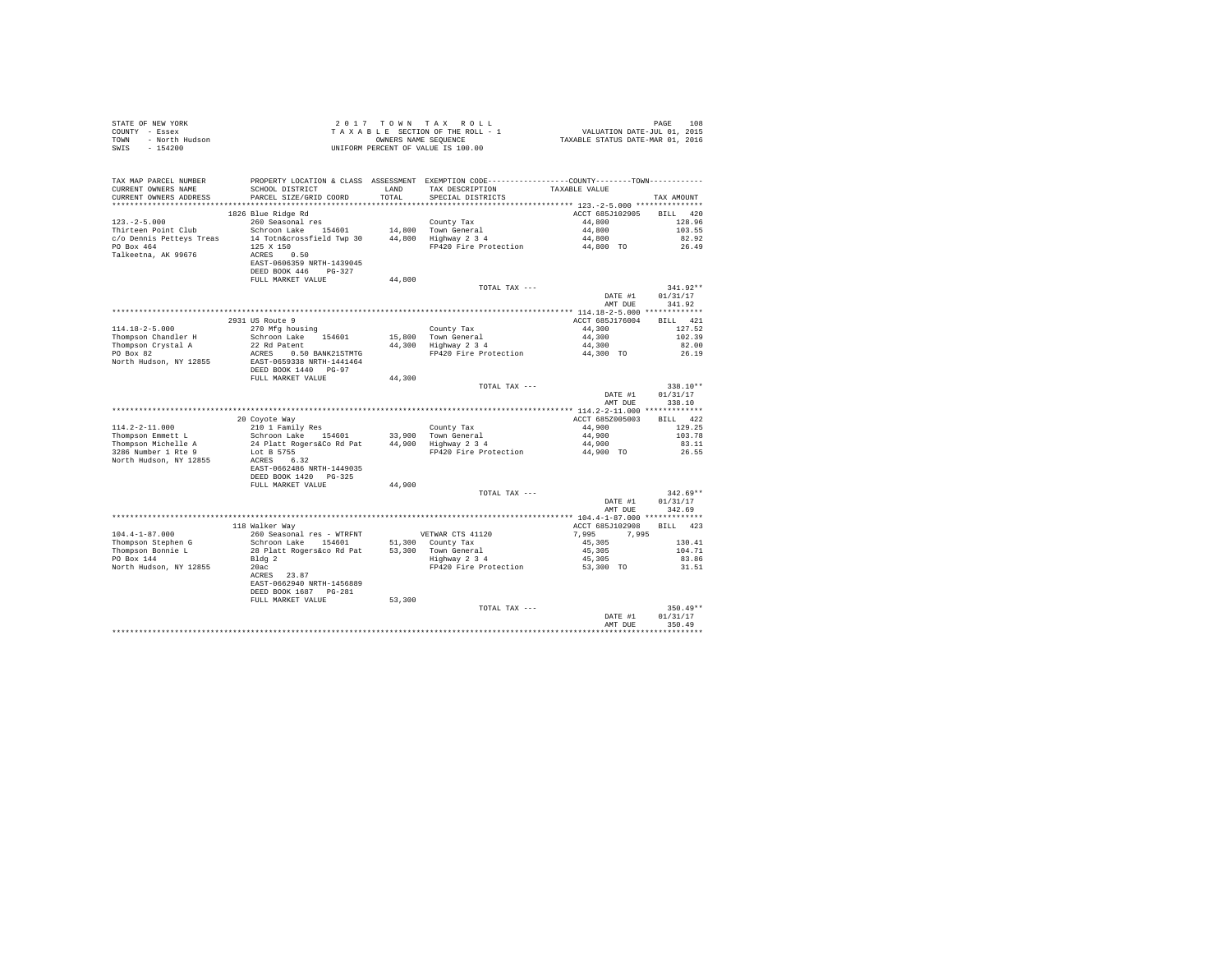| STATE OF NEW YORK<br>COUNTY - Essex<br>COUNTY - ESSEX<br>TOWN - North Hudson<br>SWIS - 154200 | 2017 TOWN TAX ROLL<br>$\begin{array}{cccccc} 2&0&1&7&7&0&\text{W} &\text{R} &\text{X} &\text{R} &0&\text{L} &\text{L} \\ T&\text{A} & X&\text{A} & B&L&E&\text{S} &E\text{T} &D\text{W} &O\text{S} &E&\text{T} &D\text{W} &D\text{S} &E&\text{S} &E&\text{S} \\ T&\text{A} & X&\text{A} & B&L&\text{S} &E&\text{S} &E&\text{S} &E&\text{S} &E&\text{S} &E&\text{S} &E&\text{S} &E&$<br>UNIFORM PERCENT OF VALUE IS 100.00  |        |                                                                                                                                      | 108<br>PAGE              |                                  |  |
|-----------------------------------------------------------------------------------------------|----------------------------------------------------------------------------------------------------------------------------------------------------------------------------------------------------------------------------------------------------------------------------------------------------------------------------------------------------------------------------------------------------------------------------|--------|--------------------------------------------------------------------------------------------------------------------------------------|--------------------------|----------------------------------|--|
| TAX MAP PARCEL NUMBER<br>CURRENT OWNERS NAME<br>CURRENT OWNERS ADDRESS                        | SCHOOL DISTRICT LAND<br>PARCEL SIZE/GRID COORD                                                                                                                                                                                                                                                                                                                                                                             | TOTAL  | PROPERTY LOCATION & CLASS ASSESSMENT EXEMPTION CODE---------------COUNTY-------TOWN---------<br>TAX DESCRIPTION<br>SPECIAL DISTRICTS | TAXABLE VALUE            | TAX AMOUNT                       |  |
|                                                                                               | 1826 Blue Ridge Rd                                                                                                                                                                                                                                                                                                                                                                                                         |        |                                                                                                                                      | ACCT 685J102905 BILL 420 |                                  |  |
|                                                                                               | 260 Seasonal res                                                                                                                                                                                                                                                                                                                                                                                                           |        |                                                                                                                                      | 44,800                   | 128.96                           |  |
|                                                                                               | $\begin{tabular}{lllllllllll} \textit{123.-2-5.000} & \textit{260} & \textit{260} & \textit{260} & \textit{260} & \textit{260} \\ \textit{Thirteen Point Club} & \textit{560} & \textit{5601} & \textit{14,800} & \textit{70} \textit{wn General} \\ \textit{C/O Dennis Petteys Treas} & \textit{14} & \textit{7otnessfield Two 30} & \textit{44,800} & \textit{Highuay 2 3 4} \\ \textit{PO Box 464} & \textit{125 X 150$ |        |                                                                                                                                      | 44,800                   | 103.55                           |  |
|                                                                                               |                                                                                                                                                                                                                                                                                                                                                                                                                            |        |                                                                                                                                      | 44,800                   | 82.92                            |  |
|                                                                                               | $125 \times 150$<br>ACRES 0.50                                                                                                                                                                                                                                                                                                                                                                                             |        | FP420 Fire Protection 44,800 TO                                                                                                      |                          | 26.49                            |  |
| Talkeetna, AK 99676                                                                           | EAST-0606359 NRTH-1439045<br>DEED BOOK 446 PG-327                                                                                                                                                                                                                                                                                                                                                                          |        |                                                                                                                                      |                          |                                  |  |
|                                                                                               | FULL MARKET VALUE                                                                                                                                                                                                                                                                                                                                                                                                          | 44,800 |                                                                                                                                      |                          |                                  |  |
|                                                                                               |                                                                                                                                                                                                                                                                                                                                                                                                                            |        | TOTAL TAX ---                                                                                                                        | DATE #1<br>AMT DUE       | $341.92**$<br>01/31/17<br>341.92 |  |
|                                                                                               |                                                                                                                                                                                                                                                                                                                                                                                                                            |        |                                                                                                                                      |                          |                                  |  |
|                                                                                               | 2931 US Route 9                                                                                                                                                                                                                                                                                                                                                                                                            |        |                                                                                                                                      | ACCT 685J176004          | BILL 421                         |  |
| $114.18 - 2 - 5.000$                                                                          | 270 Mfg housing                                                                                                                                                                                                                                                                                                                                                                                                            |        | County Tax                                                                                                                           | 44,300                   | 127.52                           |  |
| Thompson Chandler H<br>Thompson Crystal A<br>PO Box 82                                        | Schroon Lake 154601<br>22 Rd Patent                                                                                                                                                                                                                                                                                                                                                                                        |        | County lax<br>15,800 Town General<br>44,300 Highway 2 3 4                                                                            | $44,300$<br>$44,300$     | 102.39                           |  |
|                                                                                               | $P(42) = P(0.50) = P(0.50) = P(1.00) = P(0.50) = P(1.00) = P(0.50) = P(0.50) = P(0.50) = P(0.50) = P(0.50) = P(0.50) = P(0.50) = P(0.50) = P(0.50) = P(0.50) = P(0.50) = P(0.50) = P(0.50) = P(0.50) = P(0.50) = P(0.50) = P(0.50) = P(0.50) = P(0.50) = P(0.50) = P(0.50) = P(0.50$                                                                                                                                       |        |                                                                                                                                      |                          | 82.00<br>26.19                   |  |
| North Hudson, NY 12855                                                                        | EAST-0659338 NRTH-1441464<br>DEED BOOK 1440 PG-97                                                                                                                                                                                                                                                                                                                                                                          |        |                                                                                                                                      |                          |                                  |  |
|                                                                                               | FULL MARKET VALUE                                                                                                                                                                                                                                                                                                                                                                                                          | 44,300 |                                                                                                                                      |                          |                                  |  |
|                                                                                               |                                                                                                                                                                                                                                                                                                                                                                                                                            |        | TOTAL TAX ---                                                                                                                        | DATE #1<br>AMT DUE       | 338.10**<br>01/31/17<br>338.10   |  |
|                                                                                               |                                                                                                                                                                                                                                                                                                                                                                                                                            |        |                                                                                                                                      |                          |                                  |  |
|                                                                                               |                                                                                                                                                                                                                                                                                                                                                                                                                            |        |                                                                                                                                      | ACCT 685Z005003          | BILL 422                         |  |
|                                                                                               |                                                                                                                                                                                                                                                                                                                                                                                                                            |        |                                                                                                                                      | 44,900                   | 129.25                           |  |
|                                                                                               |                                                                                                                                                                                                                                                                                                                                                                                                                            |        |                                                                                                                                      | 44,900                   | 103.78<br>83.11                  |  |
| 3286 Number 1 Rte 9<br>North Hudson, NY 12855                                                 | 20 Coyote Way<br>114.2-2-11.000 1 20 Coyote Way<br>Thompson Emmett L 210 1 Family Res<br>Thompson Michelle A 24 Platt Rogers&Co Rd Pat 44,900 Highway 2 34<br>Thompson Michelle A 24 Platt Rogers&Co Rd Pat 44,900 Highway 2 34<br>Prode<br>Lot B 5755 $ACRES$ 6.32                                                                                                                                                        |        | FP420 Fire Protection 44,900 TO                                                                                                      | 44,900                   | 26.55                            |  |
|                                                                                               | EAST-0662486 NRTH-1449035<br>DEED BOOK 1420 PG-325                                                                                                                                                                                                                                                                                                                                                                         |        |                                                                                                                                      |                          |                                  |  |
|                                                                                               | FULL MARKET VALUE                                                                                                                                                                                                                                                                                                                                                                                                          | 44,900 |                                                                                                                                      |                          |                                  |  |
|                                                                                               |                                                                                                                                                                                                                                                                                                                                                                                                                            |        | TOTAL TAX ---                                                                                                                        | DATE #1<br>AMT DUE       | $342.69**$<br>01/31/17<br>342.69 |  |
|                                                                                               | 118 Walker Way                                                                                                                                                                                                                                                                                                                                                                                                             |        |                                                                                                                                      | ACCT 685J102908 BILL 423 |                                  |  |
| $104.4 - 1 - 87.000$                                                                          | 260 Seasonal res - WTRFNT                                                                                                                                                                                                                                                                                                                                                                                                  |        | VETWAR CTS 41120                                                                                                                     |                          |                                  |  |
| Thompson Stephen G                                                                            |                                                                                                                                                                                                                                                                                                                                                                                                                            |        |                                                                                                                                      |                          | 130.41                           |  |
| Thompson Bonnie L<br>PO Box 144                                                               |                                                                                                                                                                                                                                                                                                                                                                                                                            |        |                                                                                                                                      |                          | 104.71<br>83.86                  |  |
| North Hudson, NY 12855                                                                        | 260 Seasonal res – wiking the country Tax and Schroon Lake 154601 (2018)<br>28 Plant Rogers (2018) 1990 (2018) 2018 (2018)<br>28 Plant Rogers (2018) 2020 (2018) 2021 (2018)<br>2020 1994 (2018) 2020 (2018) 2020 1994<br>2020 1994<br>2020 1                                                                                                                                                                              |        |                                                                                                                                      |                          | 31.51                            |  |
|                                                                                               | ACRES 23.87<br>EAST-0662940 NRTH-1456889<br>DEED BOOK 1687 PG-281                                                                                                                                                                                                                                                                                                                                                          |        |                                                                                                                                      |                          |                                  |  |
|                                                                                               | FULL MARKET VALUE                                                                                                                                                                                                                                                                                                                                                                                                          | 53,300 |                                                                                                                                      |                          |                                  |  |
|                                                                                               |                                                                                                                                                                                                                                                                                                                                                                                                                            |        | TOTAL TAX ---                                                                                                                        | DATE #1<br>AMT DUR       | $350.49**$<br>01/31/17<br>350.49 |  |
|                                                                                               |                                                                                                                                                                                                                                                                                                                                                                                                                            |        |                                                                                                                                      |                          | ************                     |  |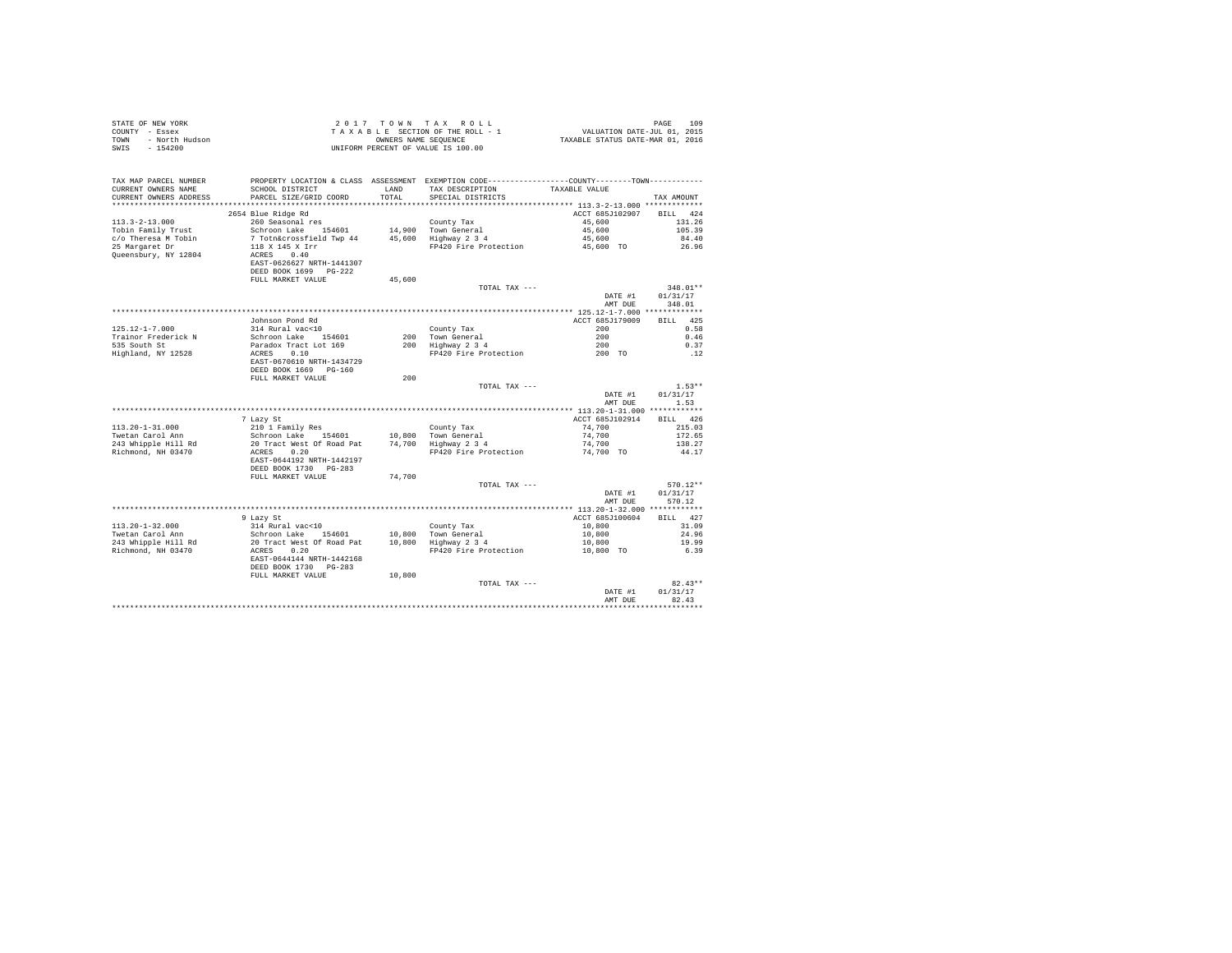| STATE OF NEW YORK<br>COUNTY - Essex<br>- North Hudson<br>TOWN<br>$-154200$<br>SWIS |                                                                  |               | 2017 TOWN TAX ROLL<br>TAXABLE SECTION OF THE ROLL - 1<br>OWNERS NAME SEQUENCE<br>UNIFORM PERCENT OF VALUE IS 100.00                    | PAGE 109<br>VALUATION DATE-JUL 01, 2015<br>TAXABLE STATUS DATE-MAR 01, 2016 | PAGE<br>109                    |
|------------------------------------------------------------------------------------|------------------------------------------------------------------|---------------|----------------------------------------------------------------------------------------------------------------------------------------|-----------------------------------------------------------------------------|--------------------------------|
| TAX MAP PARCEL NUMBER<br>CURRENT OWNERS NAME<br>CURRENT OWNERS ADDRESS             | SCHOOL DISTRICT<br>PARCEL SIZE/GRID COORD                        | LAND<br>TOTAL | PROPERTY LOCATION & CLASS ASSESSMENT EXEMPTION CODE----------------COUNTY-------TOWN----------<br>TAX DESCRIPTION<br>SPECIAL DISTRICTS | TAXABLE VALUE                                                               | TAX AMOUNT                     |
|                                                                                    |                                                                  |               |                                                                                                                                        |                                                                             | RTT.T. 424                     |
| $113.3 - 2 - 13.000$                                                               | 2654 Blue Ridge Rd<br>260 Seasonal res                           |               | County Tax                                                                                                                             | ACCT 685J102907<br>45,600                                                   | 131.26                         |
| Tobin Family Trust                                                                 | Schroon Lake 154601                                              |               |                                                                                                                                        | 45,600                                                                      | 105.39                         |
| c/o Theresa M Tobin                                                                | 7 Totn&crossfield Twp 44                                         |               | 14,900 Town General<br>45,600 Highway 2 3 4                                                                                            | 45,600                                                                      | 84.40                          |
| 25 Margaret Dr                                                                     | 118 X 145 X Irr                                                  |               | FP420 Fire Protection                                                                                                                  | 45,600 TO                                                                   | 26.96                          |
| Oueensbury, NY 12804                                                               | ACRES 0.40<br>EAST-0626627 NRTH-1441307<br>DEED BOOK 1699 PG-222 |               |                                                                                                                                        |                                                                             |                                |
|                                                                                    | FULL MARKET VALUE                                                | 45,600        |                                                                                                                                        |                                                                             |                                |
|                                                                                    |                                                                  |               | TOTAL TAX ---                                                                                                                          | DATE #1<br>AMT DUE                                                          | 348.01**<br>01/31/17<br>348.01 |
|                                                                                    |                                                                  |               |                                                                                                                                        |                                                                             |                                |
|                                                                                    | Johnson Pond Rd                                                  |               |                                                                                                                                        | ACCT 685J179009                                                             | BILL 425                       |
| 125.12-1-7.000                                                                     | 314 Rural vac<10                                                 |               | County Tax<br>County Tax<br>200   Town General<br>200   Highway 2 3 4                                                                  | 200                                                                         | 0.58                           |
| Trainor Frederick N<br>535 South St                                                | Schroon Lake 154601<br>Paradox Tract Lot 169                     |               |                                                                                                                                        | $\begin{array}{c} 200 \\ 200 \\ 200 \end{array}$                            | 0.46<br>0.37                   |
| Highland, NY 12528                                                                 | ACRES 0.10                                                       |               | FP420 Fire Protection                                                                                                                  |                                                                             | .12                            |
|                                                                                    | EAST-0670610 NRTH-1434729<br>DEED BOOK 1669 PG-160               |               |                                                                                                                                        |                                                                             |                                |
|                                                                                    | FULL MARKET VALUE                                                | 200           |                                                                                                                                        |                                                                             |                                |
|                                                                                    |                                                                  |               | TOTAL TAX ---                                                                                                                          | DATE #1                                                                     | $1.53**$<br>01/31/17           |
|                                                                                    |                                                                  |               |                                                                                                                                        | AMT DUE                                                                     | 1.53                           |
|                                                                                    |                                                                  |               |                                                                                                                                        |                                                                             |                                |
|                                                                                    | 7 Lazy St                                                        |               |                                                                                                                                        | ACCT 685J102914                                                             | BILL 426                       |
| $113.20 - 1 - 31.000$                                                              | 210 1 Family Res                                                 |               | County Tax                                                                                                                             | 74,700                                                                      | 215.03                         |
| Twetan Carol Ann                                                                   | Schroon Lake 154601 10,800                                       |               | 10,800 Town General<br>74,700 Highway 2 3 4                                                                                            | 74,700                                                                      | 172.65                         |
| 243 Whipple Hill Rd                                                                | 20 Tract West Of Road Pat                                        |               |                                                                                                                                        | 74,700                                                                      | 138.27                         |
| Richmond, NH 03470                                                                 | ACRES 0.20<br>EAST-0644192 NRTH-1442197<br>DEED BOOK 1730 PG-283 |               | FP420 Fire Protection                                                                                                                  | 74,700 TO                                                                   | 44.17                          |
|                                                                                    | FULL MARKET VALUE                                                | 74,700        |                                                                                                                                        |                                                                             |                                |
|                                                                                    |                                                                  |               | TOTAL TAX ---                                                                                                                          |                                                                             | $570.12**$                     |
|                                                                                    |                                                                  |               |                                                                                                                                        | DATE #1                                                                     | 01/31/17                       |
|                                                                                    |                                                                  |               |                                                                                                                                        | AMT DUE                                                                     | 570.12                         |
|                                                                                    |                                                                  |               |                                                                                                                                        |                                                                             |                                |
| $113.20 - 1 - 32.000$                                                              | 9 Lazy St<br>314 Rural vac<10                                    |               |                                                                                                                                        | ACCT 685J100604<br>10,800                                                   | BILL 427<br>31.09              |
| Twetan Carol Ann                                                                   | Schroon Lake 154601                                              |               |                                                                                                                                        | 10,800                                                                      | 24.96                          |
| 243 Whipple Hill Rd                                                                | 20 Tract West Of Road Pat                                        |               | County Tax<br>10,800 Town General<br>10,800 Highway 2 3 4                                                                              | 10,800                                                                      | 19.99                          |
| Richmond, NH 03470                                                                 | ACRES 0.20                                                       |               | FP420 Fire Protection                                                                                                                  | 10,800 TO                                                                   | 6.39                           |
|                                                                                    | EAST-0644144 NRTH-1442168<br>DEED BOOK 1730 PG-283               |               |                                                                                                                                        |                                                                             |                                |
|                                                                                    | FULL MARKET VALUE                                                | 10,800        |                                                                                                                                        |                                                                             |                                |
|                                                                                    |                                                                  |               | TOTAL TAX ---                                                                                                                          |                                                                             | $82.43**$                      |
|                                                                                    |                                                                  |               |                                                                                                                                        | DATE #1<br>AMT DUE                                                          | 01/31/17<br>82.43              |
|                                                                                    |                                                                  |               |                                                                                                                                        |                                                                             |                                |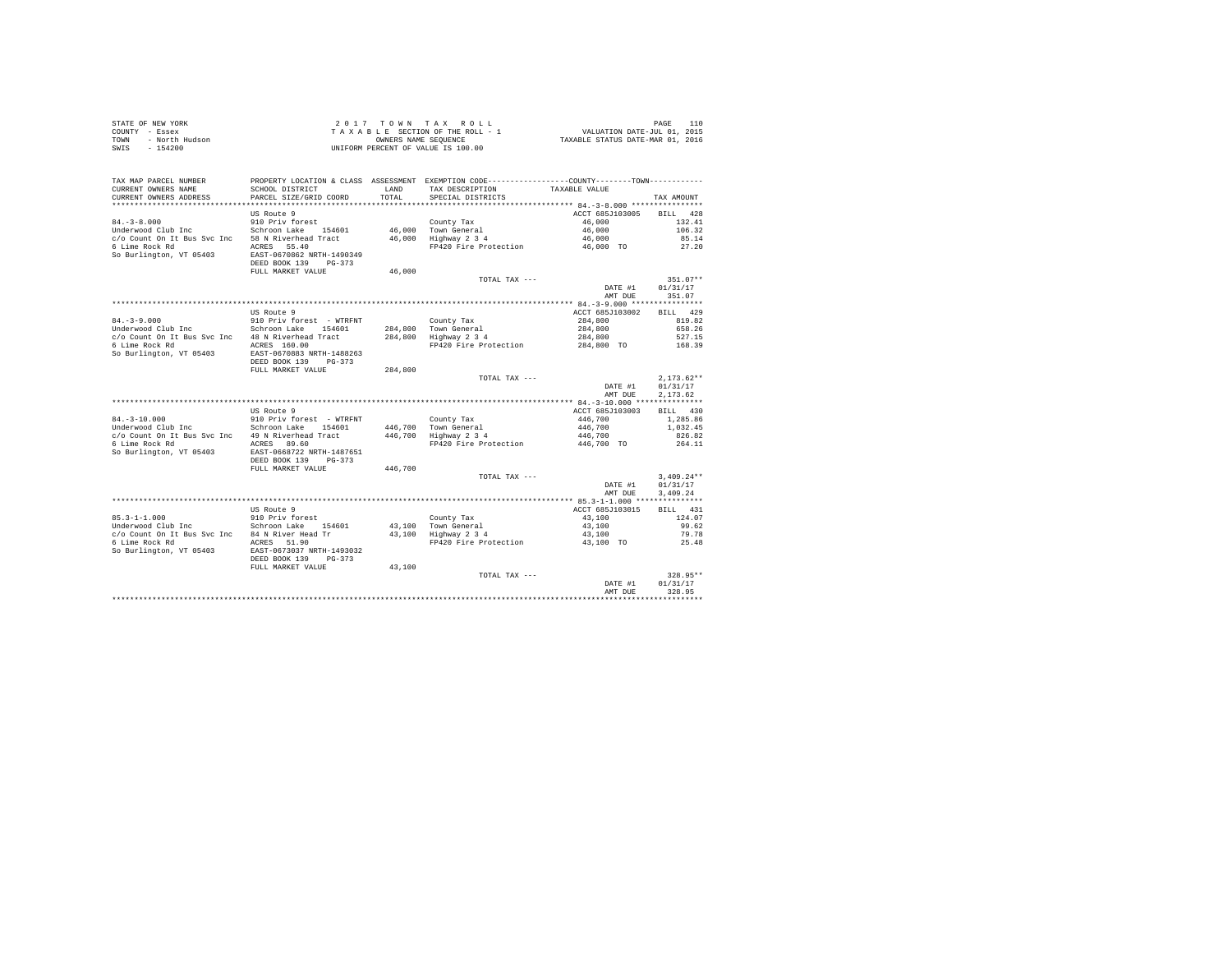| STATE OF NEW YORK      | 2017 TOWN TAX ROLL                 | 110<br>PAGE                      |
|------------------------|------------------------------------|----------------------------------|
| COUNTY - Essex         | TAXABLE SECTION OF THE ROLL - 1    | VALUATION DATE-JUL 01, 2015      |
| - North Hudson<br>TOWN | OWNERS NAME SEOUENCE               | TAXABLE STATUS DATE-MAR 01, 2016 |
| SWIS<br>$-154200$      | UNIFORM PERCENT OF VALUE IS 100.00 |                                  |

| TAX MAP PARCEL NUMBER<br>CURRENT OWNERS NAME        | PROPERTY LOCATION & CLASS ASSESSMENT EXEMPTION CODE---------------COUNTY-------TOWN---------<br>SCHOOL DISTRICT | LAND    | TAX DESCRIPTION                    | TAXABLE VALUE      |                    |
|-----------------------------------------------------|-----------------------------------------------------------------------------------------------------------------|---------|------------------------------------|--------------------|--------------------|
| CURRENT OWNERS ADDRESS<br>************************* | PARCEL SIZE/GRID COORD<br>******************************                                                        | TOTAL   | SPECIAL DISTRICTS                  |                    | TAX AMOUNT         |
|                                                     | US Route 9                                                                                                      |         |                                    | ACCT 685J103005    | 428<br><b>BILL</b> |
| $84. - 3 - 8.000$                                   | 910 Priv forest                                                                                                 |         | County Tax                         | 46,000             | 132.41             |
| Underwood Club Inc                                  | Schroon Lake 154601                                                                                             | 46,000  | Town General                       | 46,000             | 106.32             |
| c/o Count On It Bus Svc Inc                         | 58 N Riverhead Tract                                                                                            | 46,000  | Highway 2 3 4                      | 46,000             | 85.14              |
| 6 Lime Rock Rd<br>So Burlington, VT 05403           | ACRES 55.40<br>EAST-0670862 NRTH-1490349<br>DEED BOOK 139<br>$PG-373$<br>FULL MARKET VALUE                      | 46,000  | FP420 Fire Protection              | 46,000 TO          | 27.20              |
|                                                     |                                                                                                                 |         | TOTAL TAX ---                      |                    | $351.07**$         |
|                                                     |                                                                                                                 |         |                                    | DATE #1            | 01/31/17           |
|                                                     |                                                                                                                 |         |                                    | AMT DUE            | 351.07             |
|                                                     |                                                                                                                 |         |                                    |                    |                    |
|                                                     | US Route 9                                                                                                      |         |                                    | ACCT 685J103002    | <b>BILL</b><br>429 |
| $84. - 3 - 9.000$<br>Underwood Club Inc             | 910 Priv forest - WTRFNT<br>Schroon Lake<br>154601                                                              |         | County Tax<br>284.800 Town General | 284,800<br>284,800 | 819.82<br>658.26   |
| c/o Count On It Bus Svc Inc 48 N Riverhead Tract    |                                                                                                                 | 284,800 | Highway 2 3 4                      | 284,800            | 527.15             |
| 6 Lime Rock Rd                                      | ACRES 160.00                                                                                                    |         | FP420 Fire Protection              | 284,800 TO         | 168.39             |
| So Burlington, VT 05403                             | EAST-0670883 NRTH-1488263<br>DEED BOOK 139<br>$PG-373$                                                          |         |                                    |                    |                    |
|                                                     | FULL MARKET VALUE                                                                                               | 284,800 |                                    |                    |                    |
|                                                     |                                                                                                                 |         | TOTAL TAX ---                      |                    | $2,173.62**$       |
|                                                     |                                                                                                                 |         |                                    | DATE #1            | 01/31/17           |
|                                                     |                                                                                                                 |         |                                    | AMT DUE            | 2,173.62           |
|                                                     | US Route 9                                                                                                      |         |                                    | ACCT 685J103003    | <b>BILL</b><br>430 |
| $84. - 3 - 10.000$                                  | 910 Priv forest - WTRFNT                                                                                        |         | County Tax                         | 446,700            | 1,285.86           |
| Underwood Club Inc                                  | Schroon Lake<br>154601                                                                                          | 446.700 | Town General                       | 446,700            | 1,032.45           |
| c/o Count On It Bus Svc Inc                         | 49 N Riverhead Tract                                                                                            | 446,700 | Highway 2 3 4                      | 446,700            | 826.82             |
| 6 Lime Rock Rd                                      | ACRES 89.60                                                                                                     |         | FP420 Fire Protection              | 446,700 TO         | 264.11             |
| So Burlington, VT 05403                             | EAST-0668722 NRTH-1487651<br>DEED BOOK 139<br>$PG-373$                                                          |         |                                    |                    |                    |
|                                                     | FULL MARKET VALUE                                                                                               | 446,700 | TOTAL TAX ---                      |                    | $3.409.24**$       |
|                                                     |                                                                                                                 |         |                                    | DATE #1            | 01/31/17           |
|                                                     |                                                                                                                 |         |                                    | AMT DUE            | 3,409.24           |
|                                                     |                                                                                                                 |         |                                    |                    |                    |
|                                                     | US Route 9                                                                                                      |         |                                    | ACCT 685J103015    | BILL<br>431        |
| $85.3 - 1 - 1.000$                                  | 910 Priv forest                                                                                                 |         | County Tax                         | 43,100             | 124.07             |
| Underwood Club Inc                                  | Schroon Lake<br>154601                                                                                          |         | 43.100 Town General                | 43,100             | 99.62              |
| c/o Count On It Bus Svc Inc                         | 84 N River Head Tr                                                                                              | 43,100  | Highway 2 3 4                      | 43,100             | 79.78              |
| 6 Lime Rock Rd<br>So Burlington, VT 05403           | ACRES 51.90<br>EAST-0673037 NRTH-1493032                                                                        |         | FP420 Fire Protection              | 43,100 TO          | 25.48              |
|                                                     | DEED BOOK 139<br>$PG-373$<br>FULL MARKET VALUE                                                                  | 43,100  |                                    |                    |                    |
|                                                     |                                                                                                                 |         | TOTAL TAX ---                      |                    | $328.95**$         |
|                                                     |                                                                                                                 |         |                                    | DATE #1            | 01/31/17           |
|                                                     |                                                                                                                 |         |                                    | AMT DUE            | 328.95             |
|                                                     |                                                                                                                 |         |                                    |                    |                    |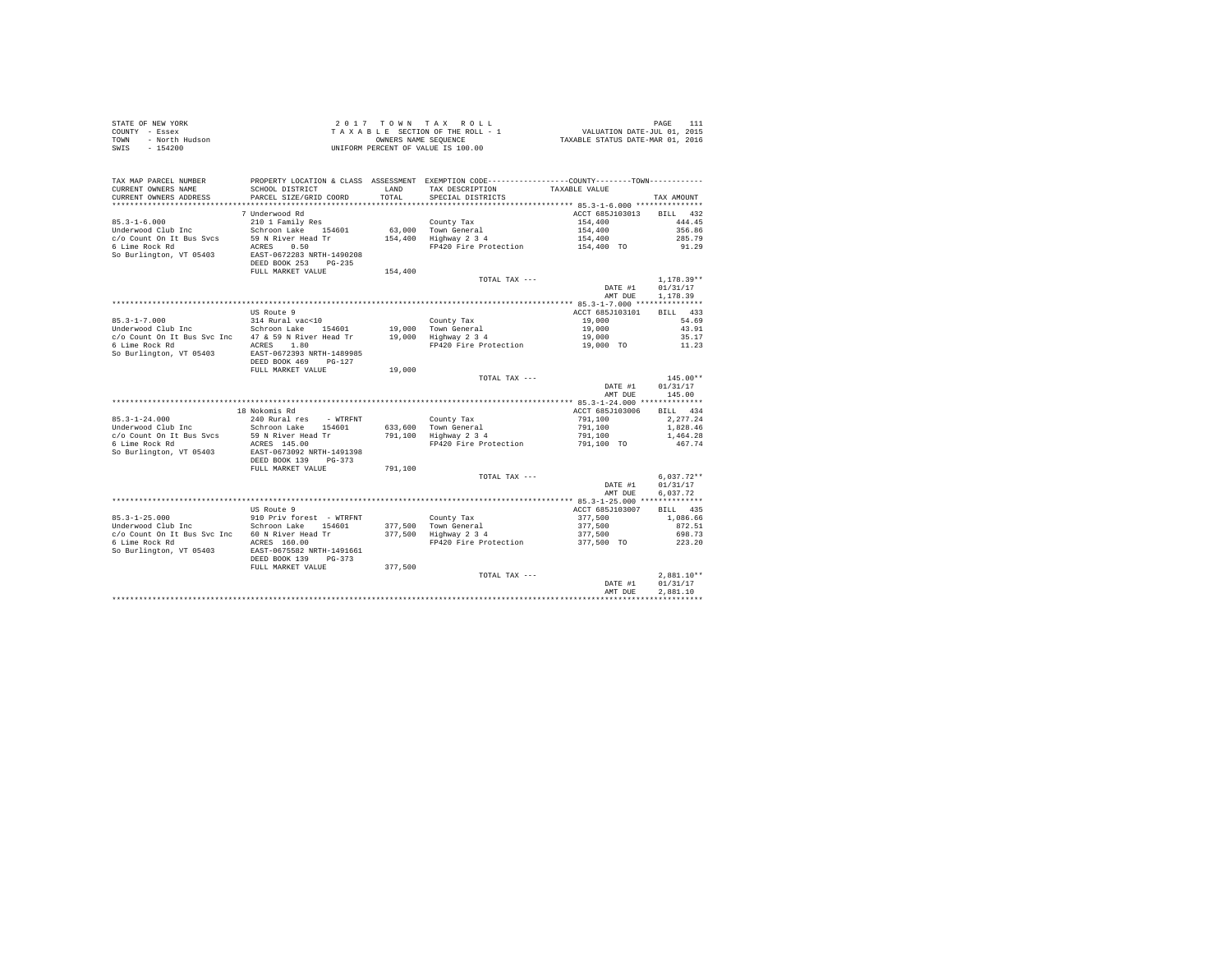| STATE OF NEW YORK      | $2.017$ TOWN TAX ROLL              |                                  | PAGE |  |
|------------------------|------------------------------------|----------------------------------|------|--|
| COUNTY - Essex         | TAXABLE SECTION OF THE ROLL - 1    | VALUATION DATE-JUL 01, 2015      |      |  |
| TOWN<br>- North Hudson | OWNERS NAME SEOUENCE               | TAXABLE STATUS DATE-MAR 01, 2016 |      |  |
| - 154200<br>SWIS       | UNIFORM PERCENT OF VALUE IS 100.00 |                                  |      |  |

| TAX MAP PARCEL NUMBER<br>CURRENT OWNERS NAME<br>CURRENT OWNERS ADDRESS                                                | SCHOOL DISTRICT<br>PARCEL SIZE/GRID COORD                                                                                                                                          | LAND<br>TOTAL.               | PROPERTY LOCATION & CLASS ASSESSMENT EXEMPTION CODE---------------COUNTY-------TOWN---------<br>TAX DESCRIPTION<br>SPECIAL DISTRICTS | TAXABLE VALUE                                                                                            | TAX AMOUNT                                                       |
|-----------------------------------------------------------------------------------------------------------------------|------------------------------------------------------------------------------------------------------------------------------------------------------------------------------------|------------------------------|--------------------------------------------------------------------------------------------------------------------------------------|----------------------------------------------------------------------------------------------------------|------------------------------------------------------------------|
| $85.3 - 1 - 6.000$<br>Underwood Club Inc<br>c/o Count On It Bus Sycs<br>6 Lime Rock Rd<br>So Burlington, VT 05403     | 7 Underwood Rd<br>210 1 Family Res<br>Schroon Lake<br>154601<br>59 N River Head Tr<br>ACRES<br>0.50<br>EAST-0672283 NRTH-1490208<br>DEED BOOK 253<br>$PG-235$<br>FULL MARKET VALUE | 63,000<br>154,400<br>154,400 | County Tax<br>Town General<br>Highway 2 3 4<br>FP420 Fire Protection                                                                 | ACCT 685J103013<br>154,400<br>154,400<br>154,400<br>154,400 TO                                           | 432<br><b>BILL</b><br>444.45<br>356.86<br>285.79<br>91.29        |
|                                                                                                                       |                                                                                                                                                                                    |                              | TOTAL TAX ---                                                                                                                        | DATE #1<br>AMT DUE                                                                                       | $1.178.39**$<br>01/31/17<br>1,178.39                             |
| $85.3 - 1 - 7.000$<br>Underwood Club Inc<br>c/o Count On It Bus Svc Inc<br>6 Lime Rock Rd<br>So Burlington, VT 05403  | US Route 9<br>314 Rural vac<10<br>Schroon Lake<br>154601<br>47 & 59 N River Head Tr<br>1.80<br>ACRES<br>EAST-0672393 NRTH-1489985                                                  | 19,000<br>19,000             | County Tax<br>Town General<br>Highway 2 3 4<br>FP420 Fire Protection                                                                 | ************ 85.3-1-7.000 ****************<br>ACCT 685J103101<br>19,000<br>19,000<br>19,000<br>19,000 TO | BILL 433<br>54.69<br>43.91<br>35.17<br>11.23                     |
|                                                                                                                       | DEED BOOK 469<br>$PG-127$<br>FULL MARKET VALUE                                                                                                                                     | 19,000                       | TOTAL TAX ---                                                                                                                        | DATE #1<br>AMT DUE                                                                                       | $145.00**$<br>01/31/17<br>145.00                                 |
| $85.3 - 1 - 24.000$<br>Underwood Club Inc<br>c/o Count On It Bus Sycs<br>6 Lime Rock Rd<br>So Burlington, VT 05403    | 18 Nokomis Rd<br>240 Rural res<br>- WTRFNT<br>Schroon Lake<br>154601<br>59 N River Head Tr<br>ACRES 145.00<br>EAST-0673092 NRTH-1491398<br>DEED BOOK 139<br>$PG-373$               | 633,600<br>791,100           | County Tax<br>Town General<br>Highway 2 3 4<br>FP420 Fire Protection                                                                 | ACCT 685J103006<br>791,100<br>791,100<br>791,100<br>791,100 TO                                           | 434<br><b>BILL</b><br>2.277.24<br>1,828.46<br>1,464.28<br>467.74 |
|                                                                                                                       | FULL MARKET VALUE                                                                                                                                                                  | 791,100                      | TOTAL TAX ---                                                                                                                        | DATE #1<br>AMT DUE                                                                                       | $6.037.72**$<br>01/31/17<br>6.037.72                             |
| $85.3 - 1 - 25.000$<br>Underwood Club Inc<br>c/o Count On It Bus Svc Inc<br>6 Lime Rock Rd<br>So Burlington, VT 05403 | US Route 9<br>910 Priv forest - WTRFNT<br>Schroon Lake<br>154601<br>60 N River Head Tr<br>ACRES 160.00<br>EAST-0675582 NRTH-1491661<br>DEED BOOK 139<br>$PG-373$                   | 377.500<br>377.500           | County Tax<br>Town General<br>Highway 2 3 4<br>FP420 Fire Protection                                                                 | ACCT 685J103007<br>377.500<br>377.500<br>377,500<br>377,500 TO                                           | 435<br><b>BILL</b><br>1,086.66<br>872.51<br>698.73<br>223.20     |
|                                                                                                                       | FULL MARKET VALUE                                                                                                                                                                  | 377,500                      | TOTAL TAX ---                                                                                                                        | DATE #1<br>AMT DUE                                                                                       | $2,881.10**$<br>01/31/17<br>2.881.10                             |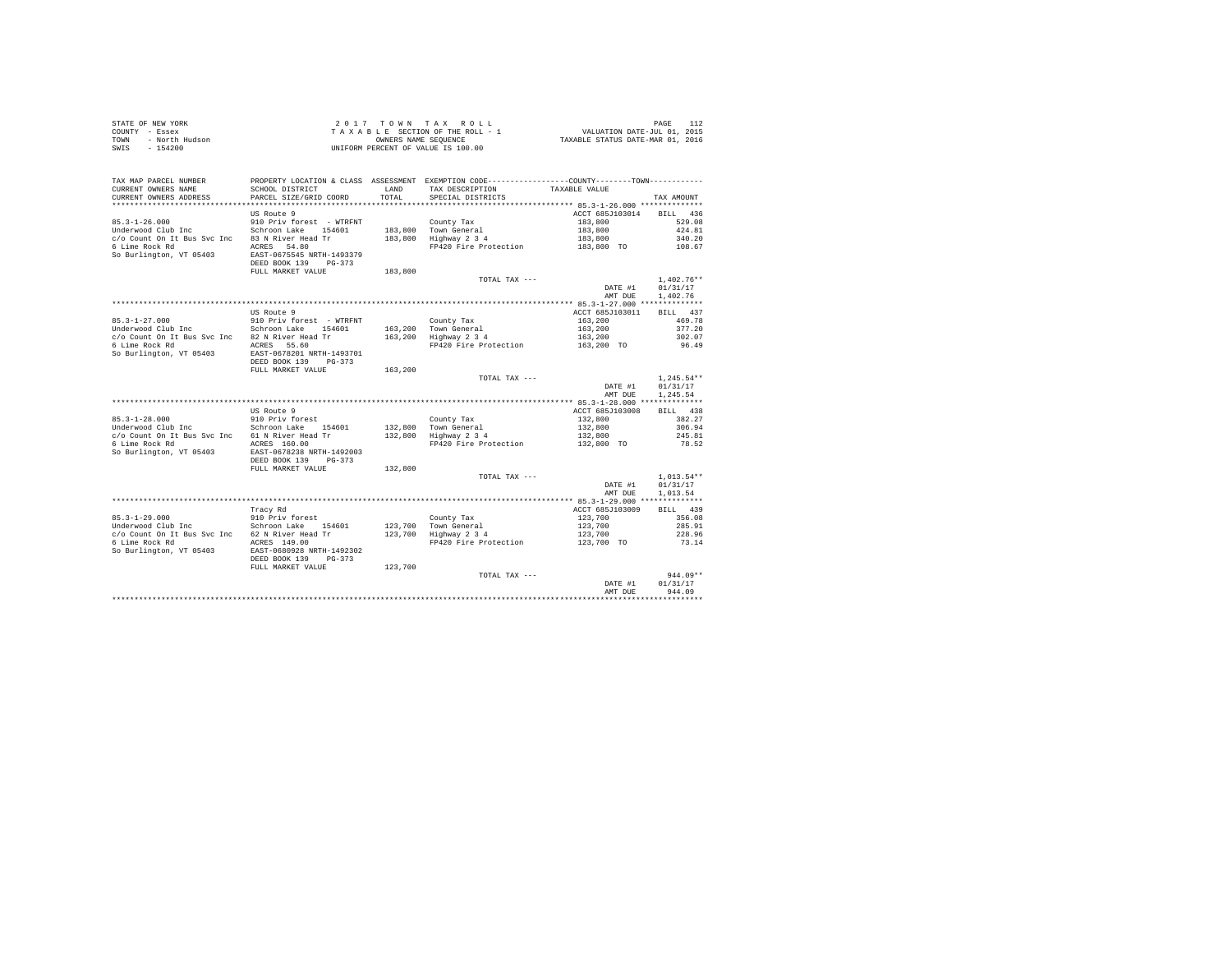| STATE OF NEW YORK      | 2017 TOWN TAX ROLL                 | PAGE                             |
|------------------------|------------------------------------|----------------------------------|
| COUNTY - Essex         | TAXABLE SECTION OF THE ROLL - 1    | VALUATION DATE-JUL 01, 2015      |
| TOWN<br>- North Hudson | OWNERS NAME SEOUENCE               | TAXABLE STATUS DATE-MAR 01, 2016 |
| - 154200<br>SWIS       | UNIFORM PERCENT OF VALUE IS 100.00 |                                  |

| TAX MAP PARCEL NUMBER<br>CURRENT OWNERS NAME<br>CURRENT OWNERS ADDRESS<br>***********************                     | SCHOOL DISTRICT<br>PARCEL SIZE/GRID COORD                                                                                                                                            | <b>T.AND</b><br>TOTAL         | PROPERTY LOCATION & CLASS ASSESSMENT EXEMPTION CODE---------------COUNTY-------TOWN----------<br>TAX DESCRIPTION<br>SPECIAL DISTRICTS | TAXABLE VALUE                                                  | TAX AMOUNT                                                                |
|-----------------------------------------------------------------------------------------------------------------------|--------------------------------------------------------------------------------------------------------------------------------------------------------------------------------------|-------------------------------|---------------------------------------------------------------------------------------------------------------------------------------|----------------------------------------------------------------|---------------------------------------------------------------------------|
| $85.3 - 1 - 26.000$<br>Underwood Club Inc<br>c/o Count On It Bus Svc Inc<br>6 Lime Rock Rd<br>So Burlington, VT 05403 | US Route 9<br>910 Priv forest - WTRFNT<br>Schroon Lake<br>154601<br>83 N River Head Tr<br>ACRES 54.80<br>EAST-0675545 NRTH-1493379<br>DEED BOOK 139<br>$PG-373$<br>FULL MARKET VALUE | 183,800<br>183,800<br>183,800 | County Tax<br>Town General<br>Highway 2 3 4<br>FP420 Fire Protection                                                                  | ACCT 685J103014<br>183,800<br>183,800<br>183,800<br>183,800 TO | 436<br><b>BILL</b><br>529.08<br>424.81<br>340.20<br>108.67                |
|                                                                                                                       |                                                                                                                                                                                      |                               | TOTAL TAX ---                                                                                                                         | DATE #1<br>AMT DUE                                             | $1.402.76**$<br>01/31/17<br>1,402.76                                      |
| $85.3 - 1 - 27.000$<br>Underwood Club Inc<br>c/o Count On It Bus Svc Inc<br>6 Lime Rock Rd<br>So Burlington, VT 05403 | US Route 9<br>910 Priv forest - WTRFNT<br>Schroon Lake<br>154601<br>82 N River Head Tr<br>ACRES 55.60<br>EAST-0678201 NRTH-1493701                                                   | 163,200<br>163,200            | County Tax<br>Town General<br>Highway 2 3 4<br>FP420 Fire Protection                                                                  | ACCT 685J103011<br>163,200<br>163,200<br>163,200<br>163,200 TO | <b>BILL</b><br>437<br>469.78<br>377.20<br>302.07<br>96.49                 |
|                                                                                                                       | DEED BOOK 139<br>$PG-373$<br>FULL MARKET VALUE                                                                                                                                       | 163,200                       | TOTAL TAX ---                                                                                                                         | DATE #1<br>AMT DUE                                             | $1,245.54**$<br>01/31/17<br>1,245.54                                      |
| $85.3 - 1 - 28.000$<br>Underwood Club Inc<br>c/o Count On It Bus Svc Inc<br>6 Lime Rock Rd<br>So Burlington, VT 05403 | US Route 9<br>910 Priv forest<br>Schroon Lake<br>154601<br>61 N River Head Tr<br>ACRES 160.00<br>EAST-0678238 NRTH-1492003<br>DEED BOOK 139<br>$PG-373$<br>FULL MARKET VALUE         | 132,800<br>132,800<br>132,800 | County Tax<br>Town General<br>Highway 2 3 4<br>FP420 Fire Protection<br>TOTAL TAX ---                                                 | ACCT 685J103008<br>132,800<br>132,800<br>132,800<br>132,800 TO | 438<br><b>BILL</b><br>382.27<br>306.94<br>245.81<br>78.52<br>$1,013.54**$ |
|                                                                                                                       |                                                                                                                                                                                      |                               |                                                                                                                                       | DATE #1<br>AMT DUE                                             | 01/31/17<br>1.013.54                                                      |
| $85.3 - 1 - 29.000$<br>Underwood Club Inc<br>c/o Count On It Bus Svc Inc<br>6 Lime Rock Rd<br>So Burlington, VT 05403 | Tracy Rd<br>910 Priv forest<br>Schroon Lake<br>154601<br>62 N River Head Tr<br>ACRES 149.00<br>EAST-0680928 NRTH-1492302<br>DEED BOOK 139<br>$PG-373$                                | 123,700<br>123,700            | County Tax<br>Town General<br>Highway 2 3 4<br>FP420 Fire Protection                                                                  | ACCT 685J103009<br>123,700<br>123,700<br>123,700<br>123,700 TO | BTLL.<br>439<br>356.08<br>285.91<br>228.96<br>73.14                       |
|                                                                                                                       | FULL MARKET VALUE                                                                                                                                                                    | 123,700                       | TOTAL TAX ---                                                                                                                         | DATE #1<br>AMT DUE                                             | $944.09**$<br>01/31/17<br>944.09                                          |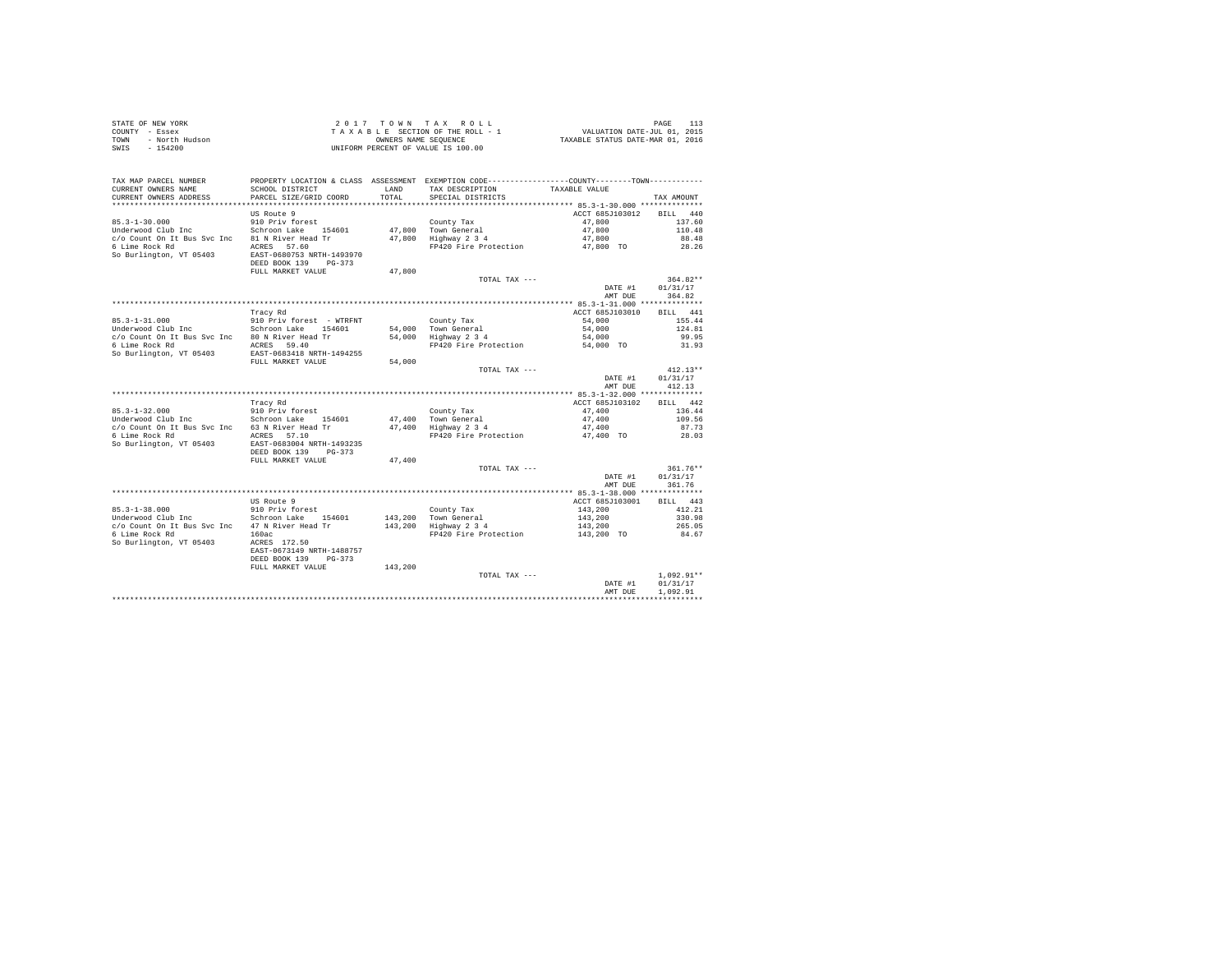| STATE OF NEW YORK      | $2.017$ TOWN TAX ROLL              | PAGE                             |
|------------------------|------------------------------------|----------------------------------|
| COUNTY - Essex         | TAXABLE SECTION OF THE ROLL - 1    | VALUATION DATE-JUL 01, 2015      |
| TOWN<br>- North Hudson | OWNERS NAME SEOUENCE               | TAXABLE STATUS DATE-MAR 01, 2016 |
| SWIS<br>$-154200$      | UNIFORM PERCENT OF VALUE IS 100.00 |                                  |

| TAX MAP PARCEL NUMBER       |                           |         | PROPERTY LOCATION & CLASS ASSESSMENT EXEMPTION CODE---------------COUNTY-------TOWN--------- |                                                              |                      |
|-----------------------------|---------------------------|---------|----------------------------------------------------------------------------------------------|--------------------------------------------------------------|----------------------|
| CURRENT OWNERS NAME         | SCHOOL DISTRICT           | LAND    | TAX DESCRIPTION                                                                              | TAXABLE VALUE                                                |                      |
| CURRENT OWNERS ADDRESS      | PARCEL SIZE/GRID COORD    | TOTAL.  | SPECIAL DISTRICTS                                                                            |                                                              | TAX AMOUNT           |
|                             | US Route 9                |         |                                                                                              | ACCT 685J103012                                              | 440<br><b>BILL</b>   |
| $85.3 - 1 - 30.000$         | 910 Priv forest           |         | County Tax                                                                                   | 47,800                                                       | 137.60               |
| Underwood Club Inc          | Schroon Lake<br>154601    | 47,800  | Town General                                                                                 | 47,800                                                       | 110.48               |
| c/o Count On It Bus Svc Inc | 81 N River Head Tr        | 47,800  | Highway 2 3 4                                                                                | 47,800                                                       | 88.48                |
| 6 Lime Rock Rd              | ACRES 57.60               |         | FP420 Fire Protection                                                                        | 47,800 TO                                                    | 28.26                |
| So Burlington, VT 05403     | EAST-0680753 NRTH-1493970 |         |                                                                                              |                                                              |                      |
|                             | DEED BOOK 139<br>$PG-373$ |         |                                                                                              |                                                              |                      |
|                             | FULL MARKET VALUE         | 47,800  |                                                                                              |                                                              |                      |
|                             |                           |         | TOTAL TAX ---                                                                                |                                                              | $364.82**$           |
|                             |                           |         |                                                                                              | DATE #1<br>AMT DUE                                           | 01/31/17<br>364.82   |
|                             |                           |         |                                                                                              | *********** 85.3-1-31.000 **************                     |                      |
|                             | Tracy Rd                  |         |                                                                                              | ACCT 685J103010                                              | <b>BILL</b><br>441   |
| $85.3 - 1 - 31.000$         | 910 Priv forest - WTRFNT  |         | County Tax                                                                                   | 54,000                                                       | 155.44               |
| Underwood Club Inc          | Schroon Lake<br>154601    | 54,000  | Town General                                                                                 | 54,000                                                       | 124.81               |
| c/o Count On It Bus Svc Inc | 80 N River Head Tr        | 54,000  | Highway 2 3 4                                                                                | 54,000                                                       | 99.95                |
| 6 Lime Rock Rd              | ACRES 59.40               |         | FP420 Fire Protection                                                                        | 54,000 TO                                                    | 31.93                |
| So Burlington, VT 05403     | EAST-0683418 NRTH-1494255 |         |                                                                                              |                                                              |                      |
|                             | FULL MARKET VALUE         | 54,000  |                                                                                              |                                                              |                      |
|                             |                           |         | TOTAL TAX ---                                                                                |                                                              | $412.13**$           |
|                             |                           |         |                                                                                              | DATE #1                                                      | 01/31/17             |
|                             |                           |         |                                                                                              | AMT DUE                                                      | 412.13               |
|                             | Tracy Rd                  |         |                                                                                              | ************ 85.3-1-32.000 **************<br>ACCT 685J103102 | 442<br>RTLL.         |
| $85.3 - 1 - 32.000$         | 910 Priv forest           |         | County Tax                                                                                   | 47.400                                                       | 136.44               |
| Underwood Club Inc          | Schroon Lake<br>154601    | 47,400  | Town General                                                                                 | 47,400                                                       | 109.56               |
| c/o Count On It Bus Svc Inc | 63 N River Head Tr        | 47,400  | Highway 2 3 4                                                                                | 47,400                                                       | 87.73                |
| 6 Lime Rock Rd              | ACRES 57.10               |         | FP420 Fire Protection                                                                        | 47,400 TO                                                    | 28.03                |
| So Burlington, VT 05403     | EAST-0683004 NRTH-1493235 |         |                                                                                              |                                                              |                      |
|                             | DEED BOOK 139<br>$PG-373$ |         |                                                                                              |                                                              |                      |
|                             | FULL MARKET VALUE         | 47,400  |                                                                                              |                                                              |                      |
|                             |                           |         | TOTAL TAX ---                                                                                |                                                              | 361.76**             |
|                             |                           |         |                                                                                              | DATE #1                                                      | 01/31/17             |
|                             |                           |         |                                                                                              | AMT DUE                                                      | 361.76               |
|                             | US Route 9                |         |                                                                                              | ACCT 685J103001                                              | 443<br><b>BILL</b>   |
| $85.3 - 1 - 38.000$         | 910 Priv forest           |         | County Tax                                                                                   | 143,200                                                      | 412.21               |
| Underwood Club Inc          | Schroon Lake<br>154601    | 143,200 | Town General                                                                                 | 143,200                                                      | 330.98               |
| c/o Count On It Bus Svc Inc | 47 N River Head Tr        | 143,200 | Highway 2 3 4                                                                                | 143,200                                                      | 265.05               |
| 6 Lime Rock Rd              | 160ac                     |         | FP420 Fire Protection                                                                        | 143,200 TO                                                   | 84.67                |
| So Burlington, VT 05403     | ACRES 172.50              |         |                                                                                              |                                                              |                      |
|                             | EAST-0673149 NRTH-1488757 |         |                                                                                              |                                                              |                      |
|                             | DEED BOOK 139<br>$PG-373$ |         |                                                                                              |                                                              |                      |
|                             | FULL MARKET VALUE         | 143,200 |                                                                                              |                                                              |                      |
|                             |                           |         | TOTAL TAX ---                                                                                |                                                              | $1,092.91**$         |
|                             |                           |         |                                                                                              | DATE #1<br>AMT DUE                                           | 01/31/17<br>1,092.91 |
|                             |                           |         |                                                                                              |                                                              |                      |
|                             |                           |         |                                                                                              |                                                              |                      |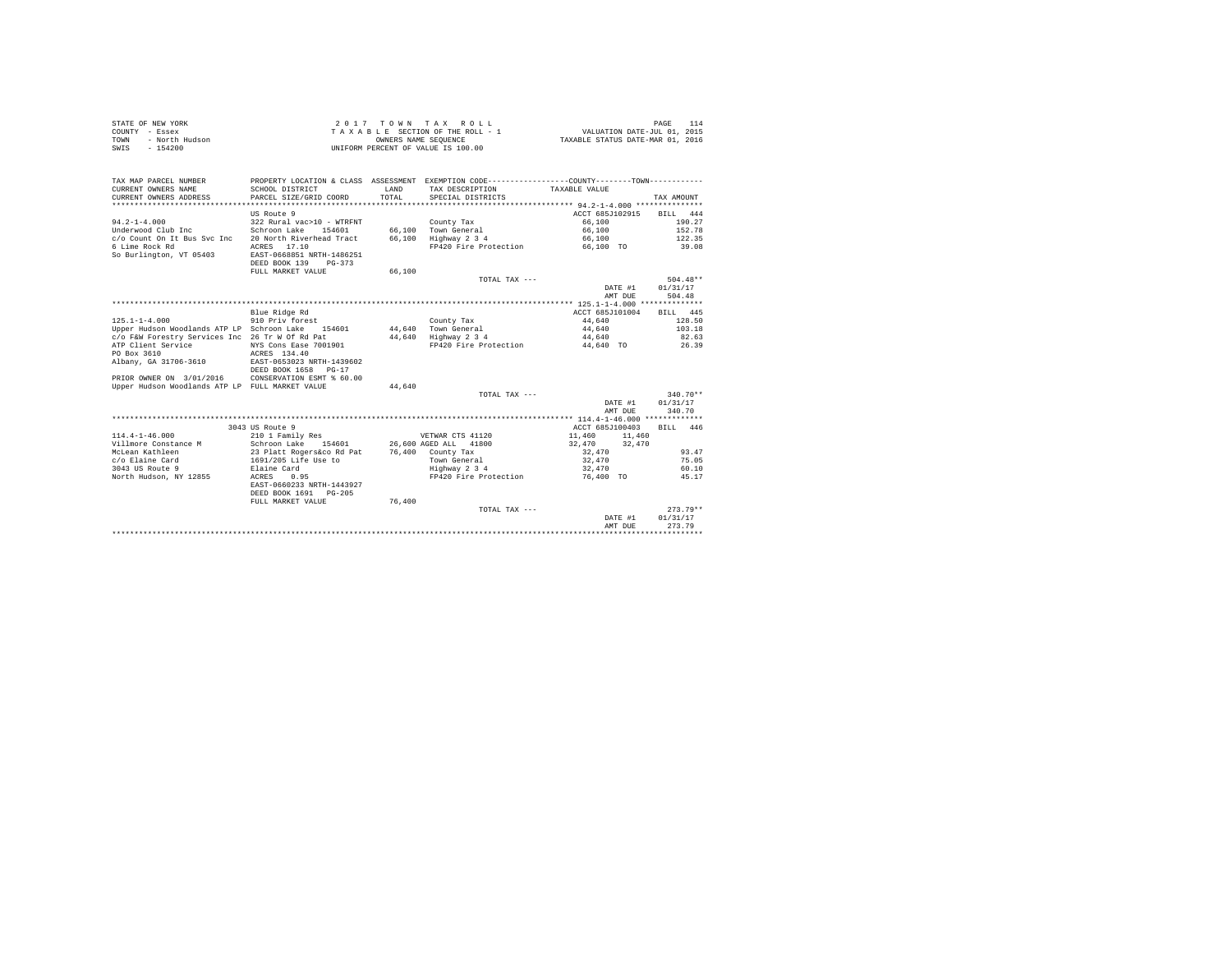| STATE OF NEW YORK      | 2017 TOWN TAX ROLL                 | PAGE                             |
|------------------------|------------------------------------|----------------------------------|
| COUNTY - Essex         | TAXABLE SECTION OF THE ROLL - 1    | VALUATION DATE-JUL 01, 2015      |
| TOWN<br>- North Hudson | OWNERS NAME SEOUENCE               | TAXABLE STATUS DATE-MAR 01, 2016 |
| - 154200<br>SWIS       | UNIFORM PERCENT OF VALUE IS 100.00 |                                  |

| TAX MAP PARCEL NUMBER<br>CURRENT OWNERS NAME    | PROPERTY LOCATION & CLASS ASSESSMENT EXEMPTION CODE----------------COUNTY--------TOWN----------<br>SCHOOL DISTRICT | <b>T.AND</b> | TAX DESCRIPTION       | TAXABLE VALUE    |             |
|-------------------------------------------------|--------------------------------------------------------------------------------------------------------------------|--------------|-----------------------|------------------|-------------|
| CURRENT OWNERS ADDRESS                          | PARCEL SIZE/GRID COORD                                                                                             | TOTAL.       | SPECIAL DISTRICTS     |                  | TAX AMOUNT  |
|                                                 |                                                                                                                    |              |                       |                  |             |
|                                                 |                                                                                                                    |              |                       |                  |             |
|                                                 | US Route 9                                                                                                         |              |                       | ACCT 685J102915  | BILL<br>444 |
| $94.2 - 1 - 4.000$                              | 322 Rural vac>10 - WTRFNT                                                                                          |              | County Tax            | 66,100           | 190.27      |
| Underwood Club Inc                              | Schroon Lake 154601                                                                                                |              | 66.100 Town General   | 66,100           | 152.78      |
| c/o Count On It Bus Svc Inc                     | 20 North Riverhead Tract                                                                                           | 66,100       | Highway 2 3 4         | 66,100           | 122.35      |
| 6 Lime Rock Rd                                  | 17.10<br>ACRES                                                                                                     |              | FP420 Fire Protection | 66,100 TO        | 39.08       |
| So Burlington, VT 05403                         | EAST-0668851 NRTH-1486251<br>DEED BOOK 139<br>$PG-373$                                                             |              |                       |                  |             |
|                                                 | FULL MARKET VALUE                                                                                                  | 66,100       |                       |                  |             |
|                                                 |                                                                                                                    |              | TOTAL TAX ---         |                  | $504.48**$  |
|                                                 |                                                                                                                    |              |                       | DATE #1          | 01/31/17    |
|                                                 |                                                                                                                    |              |                       | AMT DUE          | 504.48      |
|                                                 |                                                                                                                    |              |                       |                  |             |
|                                                 | Blue Ridge Rd                                                                                                      |              |                       | ACCT 685J101004  | 445<br>BILL |
| $125.1 - 1 - 4.000$                             | 910 Priv forest                                                                                                    |              | County Tax            | 44.640           | 128.50      |
| Upper Hudson Woodlands ATP LP Schroon Lake      | 154601                                                                                                             |              | 44.640 Town General   | 44.640           | 103.18      |
| c/o F&W Forestry Services Inc 26 Tr W Of Rd Pat |                                                                                                                    | 44.640       | Highway 2 3 4         | 44.640           | 82.63       |
| ATP Client Service                              | NYS Cons Ease 7001901                                                                                              |              | FP420 Fire Protection | 44,640 TO        | 26.39       |
| PO Box 3610                                     | ACRES 134.40                                                                                                       |              |                       |                  |             |
| Albany, GA 31706-3610                           | EAST-0653023 NRTH-1439602                                                                                          |              |                       |                  |             |
|                                                 | DEED BOOK 1658<br>$PG-17$                                                                                          |              |                       |                  |             |
| PRIOR OWNER ON 3/01/2016                        | CONSERVATION ESMT % 60.00                                                                                          |              |                       |                  |             |
| Upper Hudson Woodlands ATP LP FULL MARKET VALUE |                                                                                                                    | 44.640       |                       |                  |             |
|                                                 |                                                                                                                    |              | TOTAL TAX ---         |                  | $340.70**$  |
|                                                 |                                                                                                                    |              |                       | DATE #1          | 01/31/17    |
|                                                 |                                                                                                                    |              |                       | AMT DUE          | 340.70      |
|                                                 |                                                                                                                    |              |                       |                  |             |
|                                                 | 3043 US Route 9                                                                                                    |              |                       | ACCT 685J100403  | BILL 446    |
| $114.4 - 1 - 46.000$                            | 210 1 Family Res                                                                                                   |              | VETWAR CTS 41120      | 11,460<br>11,460 |             |
| Villmore Constance M                            | Schroon Lake 154601                                                                                                |              | 26,600 AGED ALL 41800 | 32,470<br>32,470 |             |
| McLean Kathleen                                 | 23 Platt Rogers&co Rd Pat                                                                                          |              | 76,400 County Tax     | 32,470           | 93.47       |
| c/o Elaine Card                                 | 1691/205 Life Use to                                                                                               |              | Town General          | 32,470           | 75.05       |
| 3043 US Route 9                                 | Elaine Card                                                                                                        |              | Highway 2 3 4         | 32,470           | 60.10       |
| North Hudson, NY 12855                          | ACRES<br>0.95                                                                                                      |              | FP420 Fire Protection | 76,400 TO        | 45.17       |
|                                                 | EAST-0660233 NRTH-1443927                                                                                          |              |                       |                  |             |
|                                                 | DEED BOOK 1691 PG-205                                                                                              |              |                       |                  |             |
|                                                 | FULL MARKET VALUE                                                                                                  | 76,400       |                       |                  |             |
|                                                 |                                                                                                                    |              | TOTAL TAX ---         |                  | $273.79**$  |
|                                                 |                                                                                                                    |              |                       |                  | 01/31/17    |
|                                                 |                                                                                                                    |              |                       | DATE #1          | 273.79      |
|                                                 |                                                                                                                    |              |                       | AMT DUE          |             |
|                                                 |                                                                                                                    |              |                       |                  |             |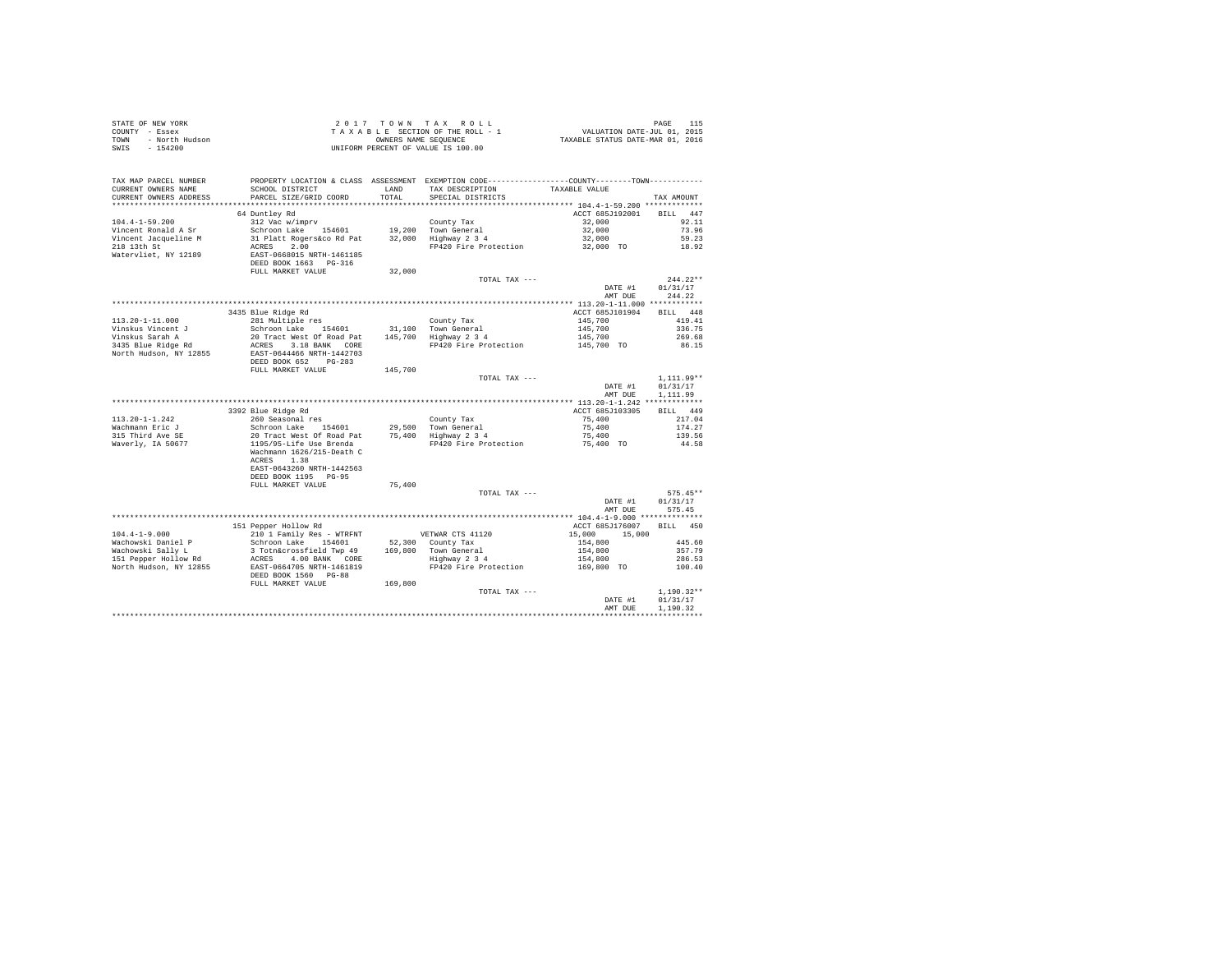|                        | $\begin{array}{cccccccccccc} \texttt{STATE OF NEW VORE} & \texttt{115} & \texttt{116} & \texttt{120} & \texttt{136} & \texttt{147} & \texttt{158} & \texttt{168} & \texttt{179} & \texttt{170} & \texttt{180} & \texttt{190} & \texttt{190} & \texttt{190} & \texttt{191} & \texttt{191} & \texttt{192} & \texttt{193} & \texttt{193} & \texttt{194} & \texttt{195} & \texttt{196} & \texttt{197} & \text$ |        |                                                                                                                                           |                                 |                |
|------------------------|------------------------------------------------------------------------------------------------------------------------------------------------------------------------------------------------------------------------------------------------------------------------------------------------------------------------------------------------------------------------------------------------------------|--------|-------------------------------------------------------------------------------------------------------------------------------------------|---------------------------------|----------------|
|                        |                                                                                                                                                                                                                                                                                                                                                                                                            |        |                                                                                                                                           |                                 |                |
|                        |                                                                                                                                                                                                                                                                                                                                                                                                            |        |                                                                                                                                           |                                 |                |
|                        |                                                                                                                                                                                                                                                                                                                                                                                                            |        |                                                                                                                                           |                                 |                |
|                        | TAX MAP PARCEL NUMBER PROPERTY LOCATION & CLASS ASSESSMENT EXEMPTION CODE---------------COUNTY-------TOWN---------                                                                                                                                                                                                                                                                                         |        |                                                                                                                                           |                                 |                |
| CURRENT OWNERS NAME    | SCHOOL DISTRICT                                                                                                                                                                                                                                                                                                                                                                                            |        | LAND TAX DESCRIPTION TAXABLE VALUE                                                                                                        |                                 |                |
| CURRENT OWNERS ADDRESS | PARCEL SIZE/GRID COORD                                                                                                                                                                                                                                                                                                                                                                                     | TOTAL  | SPECIAL DISTRICTS                                                                                                                         |                                 | TAX AMOUNT     |
|                        |                                                                                                                                                                                                                                                                                                                                                                                                            |        |                                                                                                                                           |                                 |                |
|                        |                                                                                                                                                                                                                                                                                                                                                                                                            |        |                                                                                                                                           | ACCT 685J192001 BILL 447        |                |
|                        |                                                                                                                                                                                                                                                                                                                                                                                                            |        |                                                                                                                                           |                                 | 92.11          |
|                        |                                                                                                                                                                                                                                                                                                                                                                                                            |        |                                                                                                                                           |                                 | 73.96          |
|                        |                                                                                                                                                                                                                                                                                                                                                                                                            |        |                                                                                                                                           |                                 | 59.23          |
|                        |                                                                                                                                                                                                                                                                                                                                                                                                            |        |                                                                                                                                           |                                 | 18.92          |
|                        |                                                                                                                                                                                                                                                                                                                                                                                                            |        |                                                                                                                                           |                                 |                |
|                        |                                                                                                                                                                                                                                                                                                                                                                                                            |        |                                                                                                                                           |                                 |                |
|                        |                                                                                                                                                                                                                                                                                                                                                                                                            |        |                                                                                                                                           |                                 |                |
|                        |                                                                                                                                                                                                                                                                                                                                                                                                            |        |                                                                                                                                           |                                 | $244.22**$     |
|                        |                                                                                                                                                                                                                                                                                                                                                                                                            |        |                                                                                                                                           | DATE #1                         | 01/31/17       |
|                        |                                                                                                                                                                                                                                                                                                                                                                                                            |        |                                                                                                                                           | AMT DUE                         | 244.22         |
|                        |                                                                                                                                                                                                                                                                                                                                                                                                            |        |                                                                                                                                           |                                 |                |
|                        | 3435 Blue Ridge Rd                                                                                                                                                                                                                                                                                                                                                                                         |        |                                                                                                                                           | ACCT 685J101904 BILL 448        |                |
|                        |                                                                                                                                                                                                                                                                                                                                                                                                            |        |                                                                                                                                           |                                 | 419.41         |
|                        |                                                                                                                                                                                                                                                                                                                                                                                                            |        |                                                                                                                                           |                                 | 336.75         |
|                        |                                                                                                                                                                                                                                                                                                                                                                                                            |        | County Tax 145,700<br>145,700<br>145,700<br>145,700<br>145,700<br>PH20 Fire Protection 145,700<br>PH20 Fire Protection 145,700<br>145,700 |                                 | 269.68         |
|                        |                                                                                                                                                                                                                                                                                                                                                                                                            |        |                                                                                                                                           |                                 | 86.15          |
|                        |                                                                                                                                                                                                                                                                                                                                                                                                            |        |                                                                                                                                           |                                 |                |
|                        |                                                                                                                                                                                                                                                                                                                                                                                                            |        |                                                                                                                                           |                                 |                |
|                        | FULL MARKET VALUE 145,700                                                                                                                                                                                                                                                                                                                                                                                  |        |                                                                                                                                           |                                 |                |
|                        |                                                                                                                                                                                                                                                                                                                                                                                                            |        | TOTAL TAX ---                                                                                                                             |                                 | $1,111.99**$   |
|                        |                                                                                                                                                                                                                                                                                                                                                                                                            |        |                                                                                                                                           | DATE #1                         | 01/31/17       |
|                        |                                                                                                                                                                                                                                                                                                                                                                                                            |        |                                                                                                                                           | AMT DUE                         | 1,111.99       |
|                        |                                                                                                                                                                                                                                                                                                                                                                                                            |        |                                                                                                                                           |                                 |                |
|                        | 113.20-1-1.242<br>113.20-1-1.242<br>260 Seasonal results and Figure 2013<br>260 Seasonal results and Figure 2013<br>292 Blue Ridge Rd COT Lable 154601<br>29,500 Town General<br>29 Schroof Lable Brenda 20,500 Town General<br>29 Schroof L                                                                                                                                                               |        |                                                                                                                                           | ACCT 685J103305                 | BILL 449       |
|                        |                                                                                                                                                                                                                                                                                                                                                                                                            |        |                                                                                                                                           |                                 | 217.04         |
|                        |                                                                                                                                                                                                                                                                                                                                                                                                            |        |                                                                                                                                           |                                 | 174.27         |
|                        |                                                                                                                                                                                                                                                                                                                                                                                                            |        |                                                                                                                                           |                                 | 139.56         |
|                        |                                                                                                                                                                                                                                                                                                                                                                                                            |        |                                                                                                                                           |                                 | 44.58          |
|                        | Wachmann 1626/215-Death C                                                                                                                                                                                                                                                                                                                                                                                  |        |                                                                                                                                           |                                 |                |
|                        | ACRES 1.38                                                                                                                                                                                                                                                                                                                                                                                                 |        |                                                                                                                                           |                                 |                |
|                        | EAST-0643260 NRTH-1442563                                                                                                                                                                                                                                                                                                                                                                                  |        |                                                                                                                                           |                                 |                |
|                        | DEED BOOK 1195 PG-95                                                                                                                                                                                                                                                                                                                                                                                       |        |                                                                                                                                           |                                 |                |
|                        | FULL MARKET VALUE                                                                                                                                                                                                                                                                                                                                                                                          | 75,400 |                                                                                                                                           |                                 |                |
|                        |                                                                                                                                                                                                                                                                                                                                                                                                            |        | TOTAL TAX ---                                                                                                                             | $575.45*$<br>DATE #1 $01/31/17$ | $575.45**$     |
|                        |                                                                                                                                                                                                                                                                                                                                                                                                            |        |                                                                                                                                           |                                 |                |
|                        |                                                                                                                                                                                                                                                                                                                                                                                                            |        |                                                                                                                                           |                                 | AMT DUE 575.45 |
|                        |                                                                                                                                                                                                                                                                                                                                                                                                            |        |                                                                                                                                           |                                 |                |
|                        | 151 Pepper Hollow Rd                                                                                                                                                                                                                                                                                                                                                                                       |        |                                                                                                                                           | ACCT 685J176007 BILL 450        |                |
|                        |                                                                                                                                                                                                                                                                                                                                                                                                            |        |                                                                                                                                           |                                 |                |
|                        |                                                                                                                                                                                                                                                                                                                                                                                                            |        |                                                                                                                                           |                                 |                |
|                        | 104.4-1-9.000<br>104.4-1-9.000<br>104.4-1-9.000<br>104.4-1-9.000<br>15,000<br>15,000<br>15,000<br>15,000<br>15,000<br>15,000<br>15,000<br>15,000<br>15,000<br>15,000<br>15,000<br>15,000<br>15,000<br>15,000<br>15,000<br>15,000<br>206.53<br>154,80                                                                                                                                                       |        |                                                                                                                                           |                                 |                |
|                        |                                                                                                                                                                                                                                                                                                                                                                                                            |        |                                                                                                                                           |                                 |                |
|                        |                                                                                                                                                                                                                                                                                                                                                                                                            |        |                                                                                                                                           |                                 |                |
|                        |                                                                                                                                                                                                                                                                                                                                                                                                            |        |                                                                                                                                           |                                 |                |
|                        | FULL MARKET VALUE 169,800                                                                                                                                                                                                                                                                                                                                                                                  |        |                                                                                                                                           |                                 |                |
|                        |                                                                                                                                                                                                                                                                                                                                                                                                            |        | TOTAL TAX ---                                                                                                                             |                                 | $1.190.32**$   |
|                        |                                                                                                                                                                                                                                                                                                                                                                                                            |        |                                                                                                                                           | DATE #1                         | 01/31/17       |
|                        |                                                                                                                                                                                                                                                                                                                                                                                                            |        |                                                                                                                                           | AMT DUE                         | 1,190.32       |
|                        |                                                                                                                                                                                                                                                                                                                                                                                                            |        |                                                                                                                                           |                                 |                |
|                        |                                                                                                                                                                                                                                                                                                                                                                                                            |        |                                                                                                                                           |                                 |                |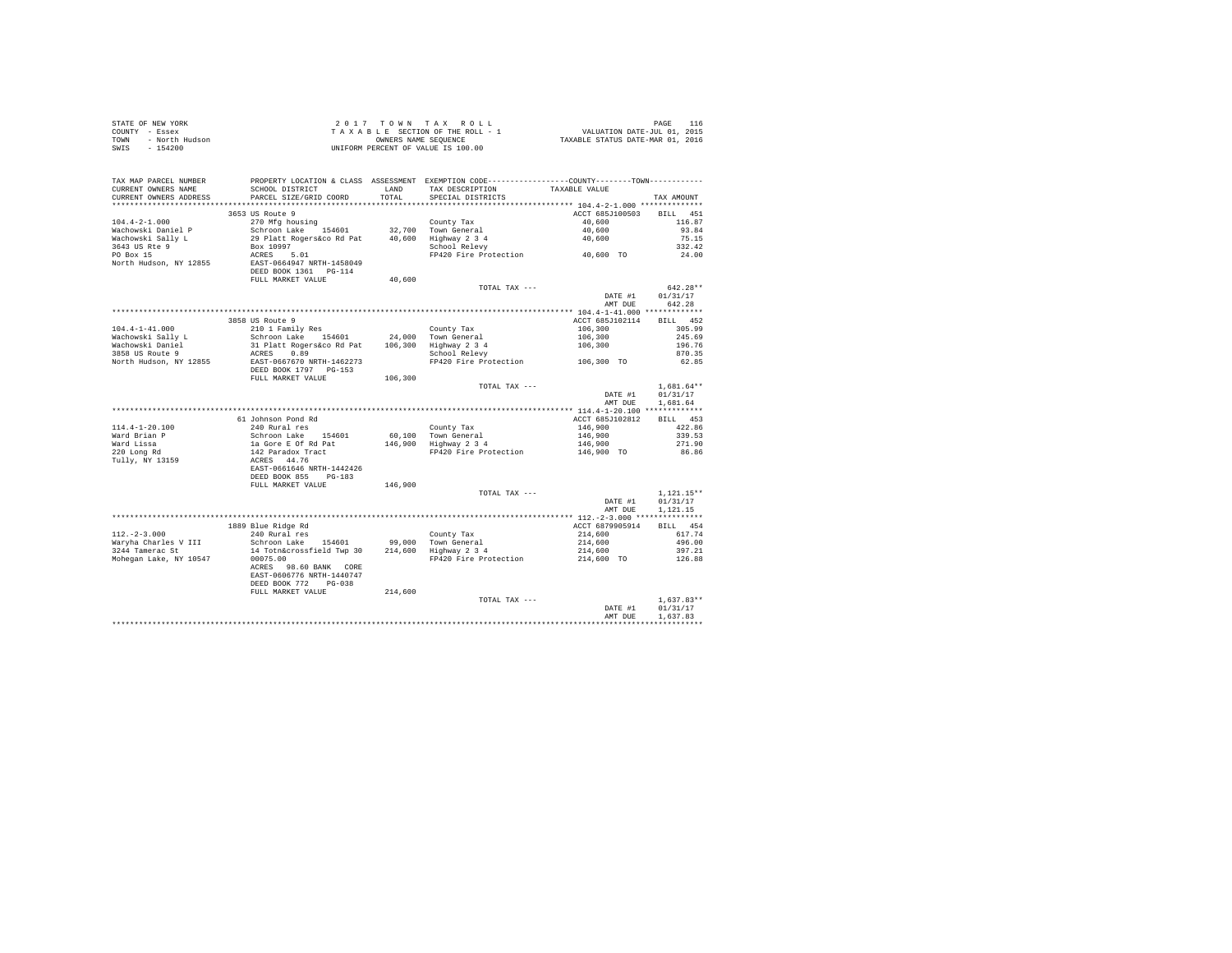| STATE OF NEW YORK      |                           |                      | 2017 TOWN TAX ROLL                                          |                                  | PAGE                        | 116    |
|------------------------|---------------------------|----------------------|-------------------------------------------------------------|----------------------------------|-----------------------------|--------|
| - Essex<br>COUNTY      |                           |                      | TAXABLE SECTION OF THE ROLL - 1                             |                                  | VALUATION DATE-JUL 01, 2015 |        |
| - North Hudson<br>TOWN |                           | OWNERS NAME SEQUENCE |                                                             | TAXABLE STATUS DATE-MAR 01, 2016 |                             |        |
| $-154200$<br>SWIS      |                           |                      | UNIFORM PERCENT OF VALUE IS 100.00                          |                                  |                             |        |
|                        |                           |                      |                                                             |                                  |                             |        |
|                        |                           |                      |                                                             |                                  |                             |        |
|                        |                           |                      |                                                             |                                  |                             |        |
| TAX MAP PARCEL NUMBER  | PROPERTY LOCATION & CLASS | ASSESSMENT           | EXEMPTION CODE-----------------COUNTY-------TOWN----------- |                                  |                             |        |
| CURRENT OWNERS NAME    | SCHOOL DISTRICT           | LAND                 | TAX DESCRIPTION                                             | TAXABLE VALUE                    |                             |        |
| CURRENT OWNERS ADDRESS | PARCEL SIZE/GRID COORD    | TOTAL                | SPECIAL DISTRICTS                                           |                                  | TAX AMOUNT                  |        |
|                        |                           |                      |                                                             |                                  |                             |        |
|                        | 3653 US Route 9           |                      |                                                             | ACCT 685J100503                  | BILL                        | 451    |
| $104.4 - 2 - 1.000$    | 270 Mfg housing           |                      | County Tax                                                  | 40,600                           |                             | 116.87 |

| $104.4 - 2 - 1.000$    | 270 MIG nousing            |         | County Tax            | 40,600          | 110.87             |
|------------------------|----------------------------|---------|-----------------------|-----------------|--------------------|
| Wachowski Daniel P     | 154601<br>Schroon Lake     | 32,700  | Town General          | 40,600          | 93.84              |
| Wachowski Sally L      | 29 Platt Rogers&co Rd Pat  | 40,600  | Highway 2 3 4         | 40,600          | 75.15              |
| 3643 US Rte 9          | Box 10997                  |         | School Relevy         |                 | 332.42             |
| PO Box 15              | ACRES<br>5.01              |         | FP420 Fire Protection | 40.600 TO       | 24.00              |
| North Hudson, NY 12855 | EAST-0664947 NRTH-1458049  |         |                       |                 |                    |
|                        | DEED BOOK 1361<br>$PG-114$ |         |                       |                 |                    |
|                        | FULL MARKET VALUE          | 40,600  |                       |                 |                    |
|                        |                            |         | TOTAL TAX ---         |                 | $642.28**$         |
|                        |                            |         |                       | DATE #1         | 01/31/17           |
|                        |                            |         |                       |                 | 642.28             |
|                        |                            |         |                       | AMT DUE         |                    |
|                        |                            |         |                       |                 |                    |
|                        | 3858 US Route 9            |         |                       | ACCT 685J102114 | 452<br><b>BILL</b> |
| $104.4 - 1 - 41.000$   | 210 1 Family Res           |         | County Tax            | 106,300         | 305.99             |
| Wachowski Sally L      | Schroon Lake<br>154601     |         | 24.000 Town General   | 106,300         | 245.69             |
| Wachowski Daniel       | 31 Platt Rogers&co Rd Pat  | 106,300 | Highway 2 3 4         | 106,300         | 196.76             |
| 3858 US Route 9        | 0.89<br>ACRES              |         | School Relevy         |                 | 870.35             |
| North Hudson, NY 12855 | EAST-0667670 NRTH-1462273  |         | FP420 Fire Protection | 106,300 TO      | 62.85              |
|                        | DEED BOOK 1797 PG-153      |         |                       |                 |                    |
|                        | FULL MARKET VALUE          | 106,300 |                       |                 |                    |
|                        |                            |         | TOTAL TAX ---         |                 | $1.681.64**$       |
|                        |                            |         |                       | DATE #1         | 01/31/17           |
|                        |                            |         |                       | AMT DUE         | 1,681.64           |
|                        |                            |         |                       |                 |                    |
|                        | 61 Johnson Pond Rd         |         |                       | ACCT 685J102812 | BILL 453           |
| $114.4 - 1 - 20.100$   | 240 Rural res              |         | County Tax            | 146,900         | 422.86             |
| Ward Brian P           | Schroon Lake<br>154601     |         | 60,100 Town General   | 146,900         | 339.53             |
| Ward Lissa             | la Gore E Of Rd Pat        | 146,900 | Highway 2 3 4         | 146,900         | 271.90             |
| 220 Long Rd            | 142 Paradox Tract          |         | FP420 Fire Protection | 146,900 TO      | 86.86              |
| Tully, NY 13159        | ACRES 44.76                |         |                       |                 |                    |
|                        | EAST-0661646 NRTH-1442426  |         |                       |                 |                    |
|                        | DEED BOOK 855<br>$PG-183$  |         |                       |                 |                    |
|                        | FULL MARKET VALUE          |         |                       |                 |                    |
|                        |                            | 146,900 |                       |                 |                    |
|                        |                            |         | TOTAL TAX ---         |                 | $1,121.15**$       |
|                        |                            |         |                       | DATE #1         | 01/31/17           |
|                        |                            |         |                       | AMT DUE         | 1,121.15           |
|                        |                            |         |                       |                 |                    |
|                        | 1889 Blue Ridge Rd         |         |                       | ACCT 6879905914 | BILL 454           |
| $112. - 2 - 3.000$     | 240 Rural res              |         | County Tax            | 214,600         | 617.74             |
| Warvha Charles V III   | Schroon Lake<br>154601     | 99,000  | Town General          | 214,600         | 496.00             |
| 3244 Tamerac St        | 14 Totn&crossfield Twp 30  |         | 214,600 Highway 2 3 4 | 214,600         | 397.21             |
| Mohegan Lake, NY 10547 | 00075.00                   |         | FP420 Fire Protection | 214,600 TO      | 126.88             |
|                        | ACRES 98.60 BANK<br>CORE   |         |                       |                 |                    |
|                        | EAST-0606776 NRTH-1440747  |         |                       |                 |                    |
|                        | DEED BOOK 772<br>$PG-038$  |         |                       |                 |                    |
|                        | FULL MARKET VALUE          | 214,600 |                       |                 |                    |
|                        |                            |         | TOTAL TAX ---         |                 | $1.637.83**$       |
|                        |                            |         |                       | DATE #1         | 01/31/17           |
|                        |                            |         |                       | AMT DUE         | 1,637.83           |
|                        |                            |         |                       |                 |                    |
|                        |                            |         |                       |                 |                    |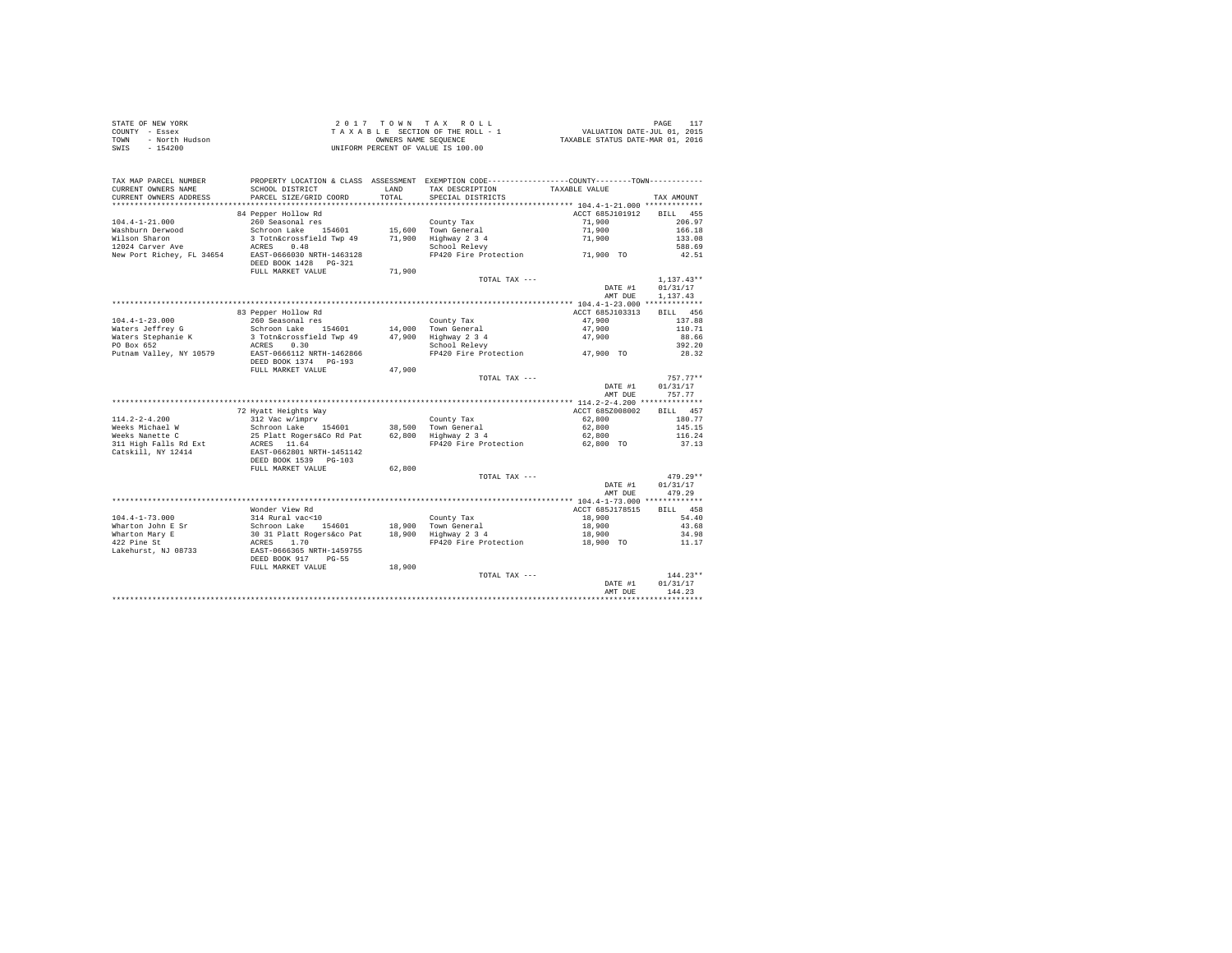| STATE OF NEW YORK      | 2017 TOWN TAX ROLL                 | PAGE                             |
|------------------------|------------------------------------|----------------------------------|
| COUNTY - Essex         | TAXABLE SECTION OF THE ROLL - 1    | VALUATION DATE-JUL 01, 2015      |
| TOWN<br>- North Hudson | OWNERS NAME SEOUENCE               | TAXABLE STATUS DATE-MAR 01, 2016 |
| - 154200<br>SWIS       | UNIFORM PERCENT OF VALUE IS 100.00 |                                  |

| TAX MAP PARCEL NUMBER<br>CURRENT OWNERS NAME     | PROPERTY LOCATION & CLASS ASSESSMENT EXEMPTION CODE---------------COUNTY-------TOWN----------<br>SCHOOL DISTRICT | LAND   | TAX DESCRIPTION                        | TAXABLE VALUE                                                    |                    |
|--------------------------------------------------|------------------------------------------------------------------------------------------------------------------|--------|----------------------------------------|------------------------------------------------------------------|--------------------|
| CURRENT OWNERS ADDRESS<br>********************** | PARCEL SIZE/GRID COORD                                                                                           | TOTAL  | SPECIAL DISTRICTS                      |                                                                  | TAX AMOUNT         |
|                                                  | 84 Pepper Hollow Rd                                                                                              |        |                                        | ACCT 685J101912                                                  | 455<br><b>BILL</b> |
| $104.4 - 1 - 21.000$<br>Washburn Derwood         | 260 Seasonal res<br>Schroon Lake<br>154601                                                                       | 15,600 | County Tax<br>Town General             | 71,900<br>71,900                                                 | 206.97<br>166.18   |
| Wilson Sharon                                    | 3 Totn&crossfield Twp 49                                                                                         | 71,900 | Highway 2 3 4                          | 71,900                                                           | 133.08             |
| 12024 Carver Ave<br>New Port Richey, FL 34654    | 0.48<br>ACRES<br>EAST-0666030 NRTH-1463128                                                                       |        | School Relevy<br>FP420 Fire Protection |                                                                  | 588.69<br>42.51    |
|                                                  | DEED BOOK 1428<br>$PG-321$<br>FULL MARKET VALUE                                                                  | 71,900 |                                        | 71,900 TO                                                        |                    |
|                                                  |                                                                                                                  |        | TOTAL TAX ---                          |                                                                  | $1,137.43**$       |
|                                                  |                                                                                                                  |        |                                        | DATE #1                                                          | 01/31/17           |
|                                                  |                                                                                                                  |        |                                        | AMT DUE                                                          | 1,137.43           |
|                                                  |                                                                                                                  |        |                                        |                                                                  |                    |
|                                                  | 83 Pepper Hollow Rd                                                                                              |        |                                        | ACCT 685J103313                                                  | 456<br>BTLL.       |
| $104.4 - 1 - 23.000$                             | 260 Seasonal res                                                                                                 |        | County Tax                             | 47.900                                                           | 137.88             |
| Waters Jeffrey G<br>Waters Stephanie K           | Schroon Lake 154601<br>3 Totn&crossfield Twp 49                                                                  | 47.900 | 14,000 Town General<br>Highway 2 3 4   | 47.900<br>47.900                                                 | 110.71<br>88.66    |
| PO Box 652                                       | 0.30<br>ACRES                                                                                                    |        | School Relevy                          |                                                                  | 392.20             |
| Putnam Valley, NY 10579                          | EAST-0666112 NRTH-1462866                                                                                        |        | FP420 Fire Protection                  | 47,900 TO                                                        | 28.32              |
|                                                  | DEED BOOK 1374 PG-193<br>FULL MARKET VALUE                                                                       | 47.900 |                                        |                                                                  |                    |
|                                                  |                                                                                                                  |        | TOTAL TAX ---                          |                                                                  | $757.77**$         |
|                                                  |                                                                                                                  |        |                                        | DATE #1                                                          | 01/31/17           |
|                                                  |                                                                                                                  |        |                                        | AMT DUE                                                          | 757.77             |
|                                                  |                                                                                                                  |        |                                        | ************ 114.2-2-4.200 **************                        |                    |
|                                                  | 72 Hyatt Heights Way                                                                                             |        |                                        | ACCT 685Z008002                                                  | 457<br><b>BILL</b> |
| $114.2 - 2 - 4.200$                              | 312 Vac w/imprv                                                                                                  |        | County Tax                             | 62,800                                                           | 180.77             |
| Weeks Michael W                                  | Schroon Lake<br>154601                                                                                           | 38,500 | Town General                           | 62,800                                                           | 145.15             |
| Weeks Nanette C<br>311 High Falls Rd Ext         | 25 Platt Rogers&Co Rd Pat<br>ACRES 11.64                                                                         | 62,800 | Highway 2 3 4<br>FP420 Fire Protection | 62,800<br>62,800 TO                                              | 116.24<br>37.13    |
| Catskill, NY 12414                               | EAST-0662801 NRTH-1451142<br>DEED BOOK 1539<br>$PG-103$                                                          |        |                                        |                                                                  |                    |
|                                                  | FULL MARKET VALUE                                                                                                | 62,800 |                                        |                                                                  |                    |
|                                                  |                                                                                                                  |        | TOTAL TAX ---                          |                                                                  | $479.29**$         |
|                                                  |                                                                                                                  |        |                                        | DATE #1                                                          | 01/31/17           |
|                                                  |                                                                                                                  |        |                                        | AMT DUE                                                          | 479.29             |
|                                                  | Wonder View Rd                                                                                                   |        |                                        | **************** 104.4-1-73.000 *************<br>ACCT 685J178515 | 458<br><b>BILL</b> |
| $104.4 - 1 - 73.000$                             | 314 Rural vac<10                                                                                                 |        | County Tax                             | 18,900                                                           | 54.40              |
| Wharton John E Sr                                | Schroon Lake<br>154601                                                                                           | 18,900 | Town General                           | 18,900                                                           | 43.68              |
| Wharton Mary E                                   | 30 31 Platt Rogers&co Pat                                                                                        | 18,900 | Highway 2 3 4                          | 18,900                                                           | 34.98              |
| 422 Pine St                                      | ACRES<br>1.70                                                                                                    |        | FP420 Fire Protection                  | 18,900 TO                                                        | 11.17              |
| Lakehurst, NJ 08733                              | EAST-0666365 NRTH-1459755<br>DEED BOOK 917<br>$PG-55$                                                            |        |                                        |                                                                  |                    |
|                                                  | FULL MARKET VALUE                                                                                                | 18,900 |                                        |                                                                  |                    |
|                                                  |                                                                                                                  |        | TOTAL TAX ---                          |                                                                  | $144.23**$         |
|                                                  |                                                                                                                  |        |                                        | DATE #1<br>AMT DUE                                               | 01/31/17<br>144.23 |
|                                                  |                                                                                                                  |        |                                        |                                                                  |                    |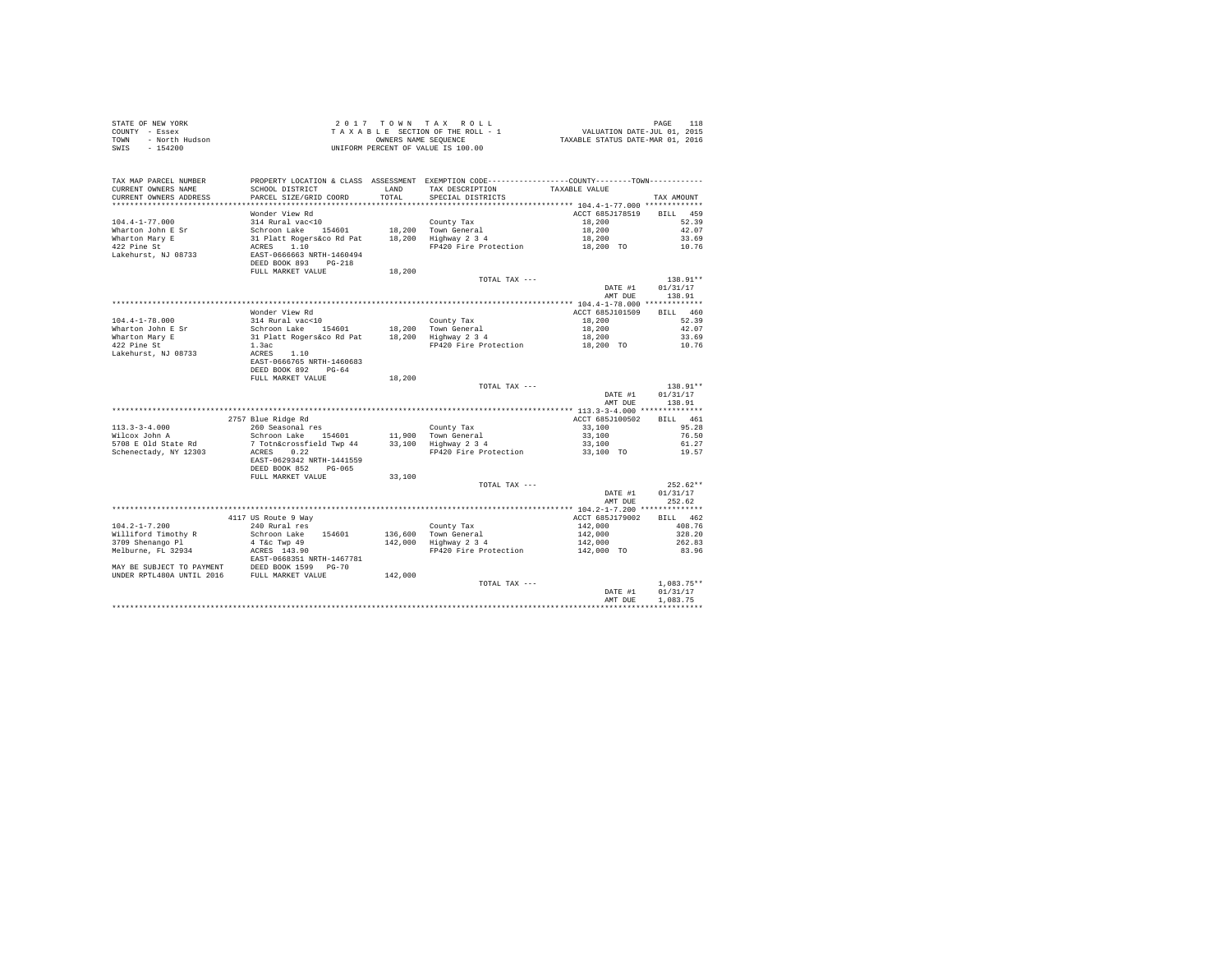| STATE OF NEW YORK<br>COUNTY - Essex<br>- North Hudson<br>TOWN<br>$-154200$<br>SWIS |                                                                 |               | 2017 TOWN TAX ROLL<br>TAXABLE SECTION OF THE ROLL - 1<br>OWNERS NAME SEQUENCE<br>UNIFORM PERCENT OF VALUE IS 100.00                    | PAGE 118<br>VALUATION DATE-JUL 01, 2015<br>TAXABLE STATUS DATE-MAR 01, 2016 | PAGE<br>118          |
|------------------------------------------------------------------------------------|-----------------------------------------------------------------|---------------|----------------------------------------------------------------------------------------------------------------------------------------|-----------------------------------------------------------------------------|----------------------|
| TAX MAP PARCEL NUMBER<br>CURRENT OWNERS NAME<br>CURRENT OWNERS ADDRESS             | SCHOOL DISTRICT<br>PARCEL SIZE/GRID COORD                       | LAND<br>TOTAL | PROPERTY LOCATION & CLASS ASSESSMENT EXEMPTION CODE----------------COUNTY-------TOWN----------<br>TAX DESCRIPTION<br>SPECIAL DISTRICTS | TAXABLE VALUE                                                               | TAX AMOUNT           |
|                                                                                    |                                                                 |               |                                                                                                                                        |                                                                             |                      |
|                                                                                    | Wonder View Rd                                                  |               |                                                                                                                                        | ACCT 685J178519                                                             | BTT.T. 459           |
| $104.4 - 1 - 77.000$                                                               | 314 Rural vac<10                                                |               | County Tax                                                                                                                             | 18,200                                                                      | 52.39                |
| Wharton John E Sr                                                                  | Schroon Lake 154601                                             |               | 18,200 Town General<br>18,200 Highway 2 3 4                                                                                            | 18,200<br>18,200                                                            | 42.07<br>33.69       |
| Wharton Mary E<br>422 Pine St                                                      | 31 Platt Rogers&co Rd Pat<br>ACRES 1.10                         |               | FP420 Fire Protection                                                                                                                  | 18,200 TO                                                                   | 10.76                |
| Lakehurst, NJ 08733                                                                | EAST-0666663 NRTH-1460494<br>DEED BOOK 893 PG-218               |               |                                                                                                                                        |                                                                             |                      |
|                                                                                    | FULL MARKET VALUE                                               | 18,200        | TOTAL TAX ---                                                                                                                          |                                                                             | 138.91**             |
|                                                                                    |                                                                 |               |                                                                                                                                        | DATE #1<br>AMT DUE                                                          | 01/31/17<br>138.91   |
|                                                                                    |                                                                 |               |                                                                                                                                        |                                                                             |                      |
|                                                                                    | Wonder View Rd                                                  |               |                                                                                                                                        | ACCT 685J101509                                                             | BILL 460             |
| $104.4 - 1 - 78.000$<br>Wharton John E Sr                                          | 314 Rural vac<10                                                |               | County Tax                                                                                                                             | 18,200<br>18,200                                                            | 52.39<br>42.07       |
| Wharton Mary E                                                                     | Schroon Lake 154601<br>31 Platt Rogers&co Rd Pat                |               | 18,200 Town General<br>18,200 Highway 2 3 4                                                                                            | 18,200                                                                      | 33.69                |
| 422 Pine St                                                                        | 1.3ac                                                           |               | FP420 Fire Protection                                                                                                                  | 18,200 TO                                                                   | 10.76                |
| Lakehurst, NJ 08733                                                                | ACRES 1.10<br>EAST-0666765 NRTH-1460683<br>DEED BOOK 892 PG-64  |               |                                                                                                                                        |                                                                             |                      |
|                                                                                    | FULL MARKET VALUE                                               | 18,200        |                                                                                                                                        |                                                                             |                      |
|                                                                                    |                                                                 |               | TOTAL TAX ---                                                                                                                          | DATE #1                                                                     | 138.91**<br>01/31/17 |
|                                                                                    |                                                                 |               |                                                                                                                                        | AMT DUE                                                                     | 138.91               |
|                                                                                    | 2757 Blue Ridge Rd                                              |               |                                                                                                                                        | ACCT 685J100502                                                             | BILL 461             |
| $113.3 - 3 - 4.000$                                                                | 260 Seasonal res                                                |               | County Tax                                                                                                                             | 33,100                                                                      | 95.28                |
| Wilcox John A                                                                      | Schroon Lake 154601                                             |               | 11,900 Town General<br>33,100 Highway 2 3 4                                                                                            | 33,100                                                                      | 76.50                |
| 5708 E Old State Rd                                                                | 7 Totn&crossfield Twp 44                                        |               |                                                                                                                                        | 33,100                                                                      | 61.27                |
| Schenectady, NY 12303                                                              | ACRES 0.22<br>EAST-0629342 NRTH-1441559<br>DEED BOOK 852 PG-065 |               | FP420 Fire Protection                                                                                                                  | 33,100 TO                                                                   | 19.57                |
|                                                                                    | FULL MARKET VALUE                                               | 33,100        |                                                                                                                                        |                                                                             |                      |
|                                                                                    |                                                                 |               | TOTAL TAX ---                                                                                                                          |                                                                             | $252.62**$           |
|                                                                                    |                                                                 |               |                                                                                                                                        | DATE #1<br>AMT DUE                                                          | 01/31/17<br>252.62   |
|                                                                                    |                                                                 |               |                                                                                                                                        |                                                                             |                      |
| $104.2 - 1 - 7.200$                                                                | 4117 US Route 9 Way<br>240 Rural res                            |               |                                                                                                                                        | ACCT 685J179002                                                             | BILL 462<br>408.76   |
| Williford Timothy R                                                                | Schroon Lake 154601                                             | 136,600       |                                                                                                                                        | 142,000<br>142,000                                                          | 328.20               |
| 3709 Shenango Pl                                                                   | 4 T&c Twp 49                                                    | 142,000       | County Tax<br>Town General<br>Highway 2 3 4                                                                                            |                                                                             | 262.83               |
| Melburne, FL 32934                                                                 | ACRES 143.90                                                    |               | FP420 Fire Protection                                                                                                                  | $142,000$<br>$142,000$ TO                                                   | 83.96                |
|                                                                                    | EAST-0668351 NRTH-1467781                                       |               |                                                                                                                                        |                                                                             |                      |
|                                                                                    |                                                                 | 142,000       |                                                                                                                                        |                                                                             |                      |
|                                                                                    |                                                                 |               | TOTAL TAX ---                                                                                                                          |                                                                             | $1.083.75**$         |
|                                                                                    |                                                                 |               |                                                                                                                                        | DATE #1                                                                     | 01/31/17<br>1,083.75 |
|                                                                                    |                                                                 |               |                                                                                                                                        | AMT DUE                                                                     |                      |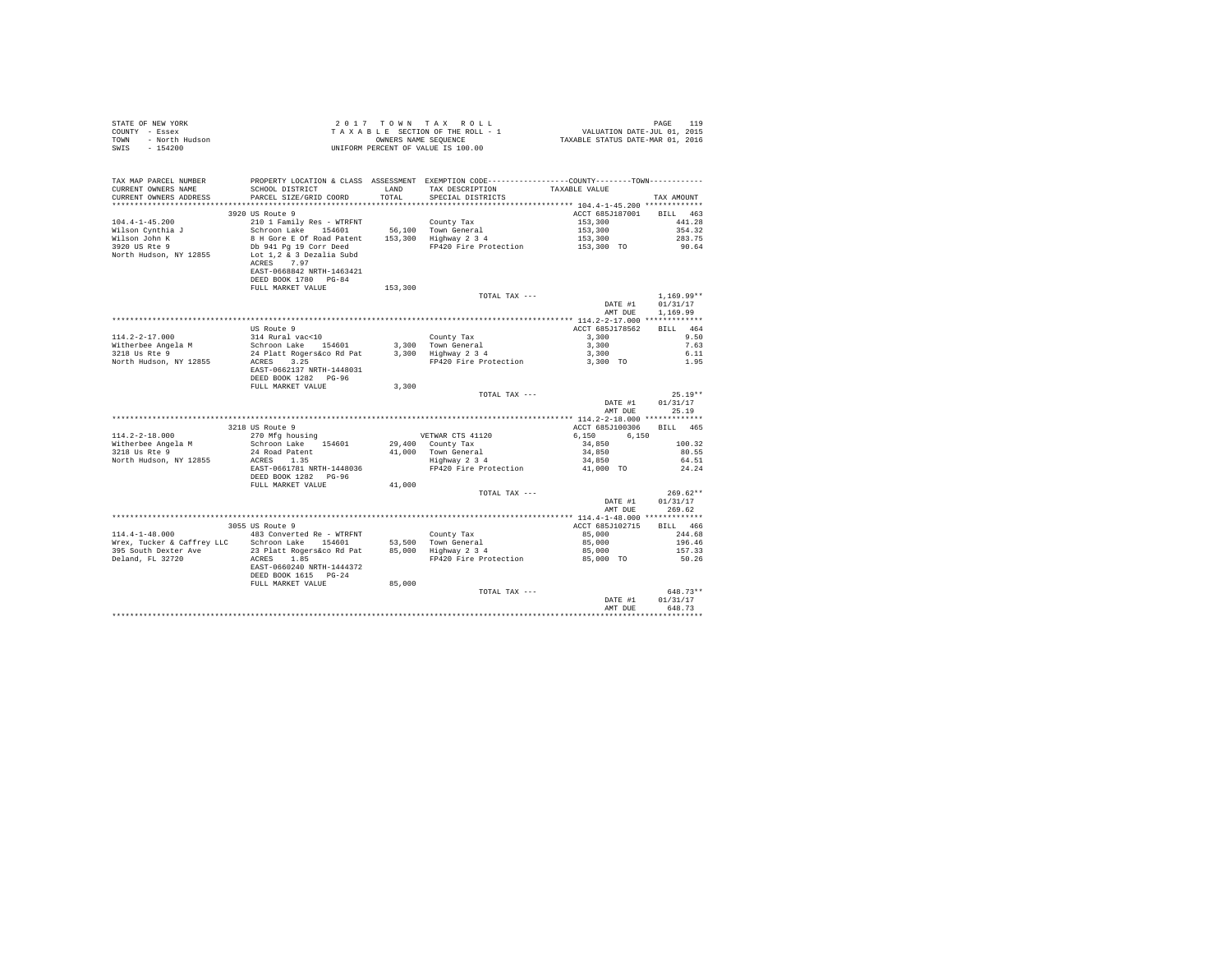| STATE OF NEW YORK      | 2017 TOWN TAX ROLL                 | 119<br>PAGE                      |
|------------------------|------------------------------------|----------------------------------|
| COUNTY - Essex         | TAXABLE SECTION OF THE ROLL - 1    | VALUATION DATE-JUL 01, 2015      |
| TOWN<br>- North Hudson | OWNERS NAME SEOUENCE               | TAXABLE STATUS DATE-MAR 01, 2016 |
| - 154200<br>SWIS       | UNIFORM PERCENT OF VALUE IS 100.00 |                                  |

| TAX MAP PARCEL NUMBER<br>CURRENT OWNERS NAME<br>CURRENT OWNERS ADDRESS | SCHOOL DISTRICT<br>PARCEL SIZE/GRID COORD    | LAND<br>TOTAL. | PROPERTY LOCATION & CLASS ASSESSMENT EXEMPTION CODE---------------COUNTY-------TOWN----------<br>TAX DESCRIPTION<br>SPECIAL DISTRICTS | TAXABLE VALUE                             | TAX AMOUNT         |
|------------------------------------------------------------------------|----------------------------------------------|----------------|---------------------------------------------------------------------------------------------------------------------------------------|-------------------------------------------|--------------------|
| ********************                                                   | **************************                   |                |                                                                                                                                       |                                           |                    |
| $104.4 - 1 - 45.200$                                                   | 3920 US Route 9<br>210 1 Family Res - WTRFNT |                | County Tax                                                                                                                            | ACCT 685J187001 BILL 463<br>153,300       | 441.28             |
| Wilson Cynthia J                                                       | Schroon Lake 154601                          |                | 56,100 Town General                                                                                                                   | 153,300                                   | 354.32             |
| Wilson John K                                                          | 8 H Gore E Of Road Patent                    |                | 153,300 Highway 2 3 4                                                                                                                 | 153,300                                   | 283.75             |
| 3920 US Rte 9                                                          | Db 941 Pg 19 Corr Deed                       |                | FP420 Fire Protection                                                                                                                 | 153,300 TO                                | 90.64              |
| North Hudson, NY 12855                                                 | Lot 1.2 & 3 Dezalia Subd                     |                |                                                                                                                                       |                                           |                    |
|                                                                        | ACRES 7.97                                   |                |                                                                                                                                       |                                           |                    |
|                                                                        | EAST-0668842 NRTH-1463421                    |                |                                                                                                                                       |                                           |                    |
|                                                                        | DEED BOOK 1780 PG-84<br>FULL MARKET VALUE    |                |                                                                                                                                       |                                           |                    |
|                                                                        |                                              | 153,300        | TOTAL TAX ---                                                                                                                         |                                           | $1.169.99**$       |
|                                                                        |                                              |                |                                                                                                                                       | DATE #1                                   | 01/31/17           |
|                                                                        |                                              |                |                                                                                                                                       | AMT DUE                                   | 1,169.99           |
|                                                                        |                                              |                |                                                                                                                                       |                                           |                    |
|                                                                        | US Route 9                                   |                |                                                                                                                                       | ACCT 685J178562                           | BILL 464           |
| $114.2 - 2 - 17.000$                                                   | 314 Rural vac<10                             |                | County Tax                                                                                                                            | 3,300                                     | 9.50               |
| Witherbee Angela M                                                     | Schroon Lake 154601                          |                | 3,300 Town General                                                                                                                    | 3,300                                     | 7.63               |
| 3218 Us Rte 9                                                          | 24 Platt Rogers&co Rd Pat                    |                | $3,300$ Highway $2\overline{3}4$                                                                                                      | 3,300                                     | 6.11               |
| North Hudson, NY 12855                                                 | ACRES 3.25<br>EAST-0662137 NRTH-1448031      |                | FP420 Fire Protection                                                                                                                 | 3,300 TO                                  | 1.95               |
|                                                                        | DEED BOOK 1282 PG-96                         |                |                                                                                                                                       |                                           |                    |
|                                                                        | FULL MARKET VALUE                            | 3,300          |                                                                                                                                       |                                           |                    |
|                                                                        |                                              |                | TOTAL TAX ---                                                                                                                         |                                           | $25.19**$          |
|                                                                        |                                              |                |                                                                                                                                       | DATE #1                                   | 01/31/17           |
|                                                                        |                                              |                |                                                                                                                                       | AMT DUE                                   | 25.19              |
|                                                                        |                                              |                |                                                                                                                                       | ************ 114.2-2-18.000 ************* |                    |
|                                                                        | 3218 US Route 9                              |                |                                                                                                                                       | ACCT 685J100306                           | <b>BILL</b><br>465 |
| $114.2 - 2 - 18.000$<br>Witherbee Angela M                             | 270 Mfg housing<br>Schroon Lake 154601       |                | VETWAR CTS 41120<br>29,400 County Tax                                                                                                 | 6,150<br>6.150<br>34,850                  | 100.32             |
| 3218 Us Rte 9                                                          | 24 Road Patent                               |                | 41,000 Town General                                                                                                                   | 34,850                                    | 80.55              |
| North Hudson, NY 12855                                                 | ACRES 1.35                                   |                | Highway 2 3 4                                                                                                                         | 34,850                                    | 64.51              |
|                                                                        | EAST-0661781 NRTH-1448036                    |                | FP420 Fire Protection                                                                                                                 | 41,000 TO                                 | 24.24              |
|                                                                        | DEED BOOK 1282 PG-96                         |                |                                                                                                                                       |                                           |                    |
|                                                                        | FULL MARKET VALUE                            | 41,000         |                                                                                                                                       |                                           |                    |
|                                                                        |                                              |                | TOTAL TAX ---                                                                                                                         |                                           | $269.62**$         |
|                                                                        |                                              |                |                                                                                                                                       | DATE #1                                   | 01/31/17           |
|                                                                        |                                              |                |                                                                                                                                       | AMT DUE                                   | 269.62             |
|                                                                        | 3055 US Route 9                              |                |                                                                                                                                       | ACCT 685J102715                           | RTLL 466           |
| $114.4 - 1 - 48.000$                                                   | 483 Converted Re - WTRFNT                    |                | County Tax                                                                                                                            | 85,000                                    | 244.68             |
| Wrex, Tucker & Caffrey LLC Schroon Lake 154601                         |                                              |                | 53.500 Town General                                                                                                                   | 85,000                                    | 196.46             |
| 395 South Dexter Ave                                                   | 23 Platt Rogers&co Rd Pat                    |                | 85,000 Highway 2 3 4                                                                                                                  | 85,000                                    | 157.33             |
| Deland, FL 32720                                                       | ACRES 1.85                                   |                | FP420 Fire Protection                                                                                                                 | 85,000 TO                                 | 50.26              |
|                                                                        | EAST-0660240 NRTH-1444372                    |                |                                                                                                                                       |                                           |                    |
|                                                                        | DEED BOOK 1615 PG-24                         |                |                                                                                                                                       |                                           |                    |
|                                                                        | FULL MARKET VALUE                            | 85,000         |                                                                                                                                       |                                           | 648.73**           |
|                                                                        |                                              |                | TOTAL TAX ---                                                                                                                         | DATE #1                                   | 01/31/17           |
|                                                                        |                                              |                |                                                                                                                                       | AMT DUE                                   | 648.73             |
|                                                                        |                                              |                |                                                                                                                                       |                                           |                    |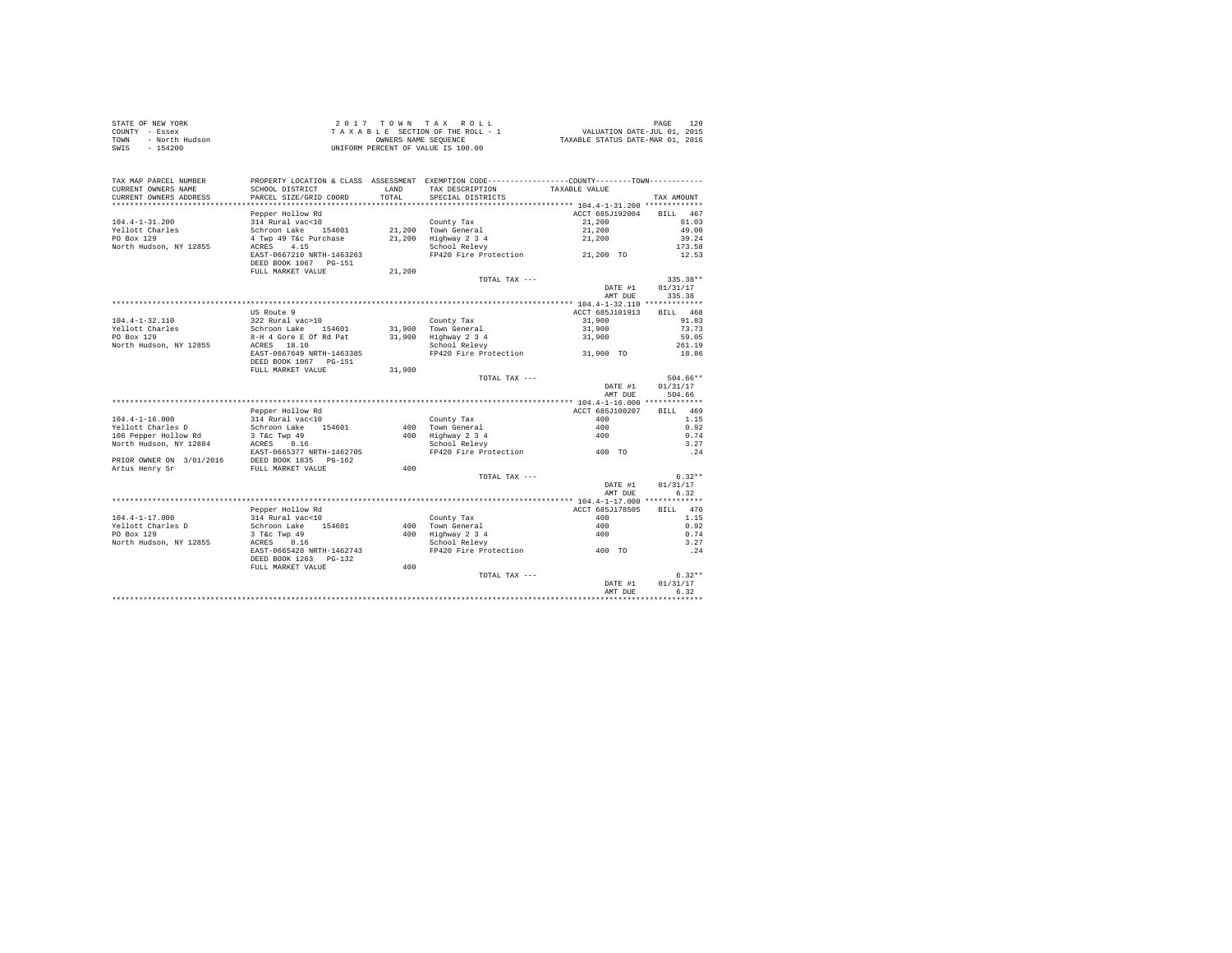| STATE OF NEW YORK      | 2017 TOWN TAX ROLL                 | 120<br>PAGE                      |
|------------------------|------------------------------------|----------------------------------|
| COUNTY - Essex         | TAXABLE SECTION OF THE ROLL - 1    | VALUATION DATE-JUL 01, 2015      |
| TOWN<br>- North Hudson | OWNERS NAME SEOUENCE               | TAXABLE STATUS DATE-MAR 01, 2016 |
| - 154200<br>SWIS       | UNIFORM PERCENT OF VALUE IS 100.00 |                                  |

| TAX MAP PARCEL NUMBER<br>CURRENT OWNERS NAME | SCHOOL DISTRICT                                | LAND   | PROPERTY LOCATION & CLASS ASSESSMENT EXEMPTION CODE----------------COUNTY-------TOWN----------<br>TAX DESCRIPTION | TAXABLE VALUE   |                    |
|----------------------------------------------|------------------------------------------------|--------|-------------------------------------------------------------------------------------------------------------------|-----------------|--------------------|
| CURRENT OWNERS ADDRESS                       | PARCEL SIZE/GRID COORD                         | TOTAL  | SPECIAL DISTRICTS                                                                                                 |                 | TAX AMOUNT         |
|                                              | Pepper Hollow Rd                               |        |                                                                                                                   | ACCT 685J192004 | <b>BILL</b><br>467 |
| $104.4 - 1 - 31.200$                         | 314 Rural vac<10                               |        | County Tax                                                                                                        | 21,200          | 61.03              |
| Yellott Charles                              | Schroon Lake 154601                            |        | 21.200 Town General                                                                                               | 21,200          | 49.00              |
| PO Box 129                                   | 4 Twp 49 T&c Purchase                          |        | 21,200 Highway 2 3 4                                                                                              | 21,200          | 39.24              |
| North Hudson, NY 12855                       | ACRES 4.15                                     |        | School Relevy                                                                                                     |                 | 173.58             |
|                                              | EAST-0667210 NRTH-1463263                      |        | FP420 Fire Protection                                                                                             | 21,200 TO       | 12.53              |
|                                              | DEED BOOK 1067 PG-151                          |        |                                                                                                                   |                 |                    |
|                                              | FULL MARKET VALUE                              | 21,200 |                                                                                                                   |                 |                    |
|                                              |                                                |        | TOTAL TAX ---                                                                                                     |                 | $335.38**$         |
|                                              |                                                |        |                                                                                                                   | DATE #1         | 01/31/17           |
|                                              |                                                |        |                                                                                                                   | AMT DUE         | 335.38             |
|                                              |                                                |        |                                                                                                                   |                 |                    |
|                                              | US Route 9                                     |        |                                                                                                                   | ACCT 685J101913 | RTLL 468           |
| $104.4 - 1 - 32.110$                         | 322 Rural vac>10                               |        | County Tax                                                                                                        | 31,900          | 91.83              |
| Yellott Charles                              | Schroon Lake 154601                            |        | 31.900 Town General                                                                                               | 31,900          | 73.73              |
| PO Box 129                                   | 8-H 4 Gore E Of Rd Pat                         |        | 31,900 Highway 2 3 4                                                                                              | 31,900          | 59.05              |
| North Hudson, NY 12855                       | ACRES 18.10                                    |        | School Relevy                                                                                                     |                 | 261.19             |
|                                              | EAST-0667649 NRTH-1463385                      |        | FP420 Fire Protection 31,900 TO                                                                                   |                 | 18.86              |
|                                              | DEED BOOK 1067 PG-151                          |        |                                                                                                                   |                 |                    |
|                                              | FULL MARKET VALUE                              | 31,900 | TOTAL TAX ---                                                                                                     |                 | $504.66**$         |
|                                              |                                                |        |                                                                                                                   | DATE #1         | 01/31/17           |
|                                              |                                                |        |                                                                                                                   | AMT DUE         | 504.66             |
|                                              |                                                |        |                                                                                                                   |                 |                    |
|                                              | Pepper Hollow Rd                               |        |                                                                                                                   | ACCT 685J100207 | BILL 469           |
| $104.4 - 1 - 16.000$                         | 314 Rural vac<10                               |        | County Tax                                                                                                        | 400             | 1.15               |
| Yellott Charles D                            | Schroon Lake 154601                            |        | 400 Town General                                                                                                  | 400             | 0.92               |
| 106 Pepper Hollow Rd                         | 3 T&c Twp 49                                   |        | 400 Highway 2 3 4                                                                                                 | 400             | 0.74               |
| North Hudson, NY 12884                       | ACRES 0.16                                     |        | School Relevy                                                                                                     |                 | 3.27               |
|                                              | EAST-0665377 NRTH-1462705                      |        | FP420 Fire Protection                                                                                             | 400 TO          | .24                |
|                                              | PRIOR OWNER ON 3/01/2016 DEED BOOK 1835 PG-162 |        |                                                                                                                   |                 |                    |
| Artus Henry Sr                               | FULL MARKET VALUE                              | 400    |                                                                                                                   |                 |                    |
|                                              |                                                |        | TOTAL TAX ---                                                                                                     |                 | $6.32**$           |
|                                              |                                                |        |                                                                                                                   | DATE #1         | 01/31/17           |
|                                              |                                                |        |                                                                                                                   | AMT DUE         | 6.32               |
|                                              |                                                |        |                                                                                                                   |                 |                    |
|                                              | Pepper Hollow Rd                               |        |                                                                                                                   | ACCT 685J178505 | 470<br>BILL.       |
| $104.4 - 1 - 17.000$                         | 314 Rural vac<10                               |        | County Tax                                                                                                        | 400             | 1.15               |
| Yellott Charles D                            | Schroon Lake 154601                            |        | 400 Town General                                                                                                  | 400             | 0.92               |
| PO Box 129                                   | 3 T&c Twp 49                                   |        |                                                                                                                   | 400             | 0.74               |
| North Hudson, NY 12855                       | ACRES<br>0.16                                  |        | 400 Highway 2 3 4<br>School Relevy                                                                                |                 | 3.27               |
|                                              | EAST-0665428 NRTH-1462743                      |        | FP420 Fire Protection 400 TO                                                                                      |                 | .24                |
|                                              | DEED BOOK 1263 PG-132                          |        |                                                                                                                   |                 |                    |
|                                              | FULL MARKET VALUE                              | 400    |                                                                                                                   |                 |                    |
|                                              |                                                |        | TOTAL TAX ---                                                                                                     |                 | $6.32**$           |
|                                              |                                                |        |                                                                                                                   | DATE #1         | 01/31/17           |
|                                              |                                                |        |                                                                                                                   |                 |                    |
|                                              |                                                |        |                                                                                                                   | AMT DUE         | 6.32               |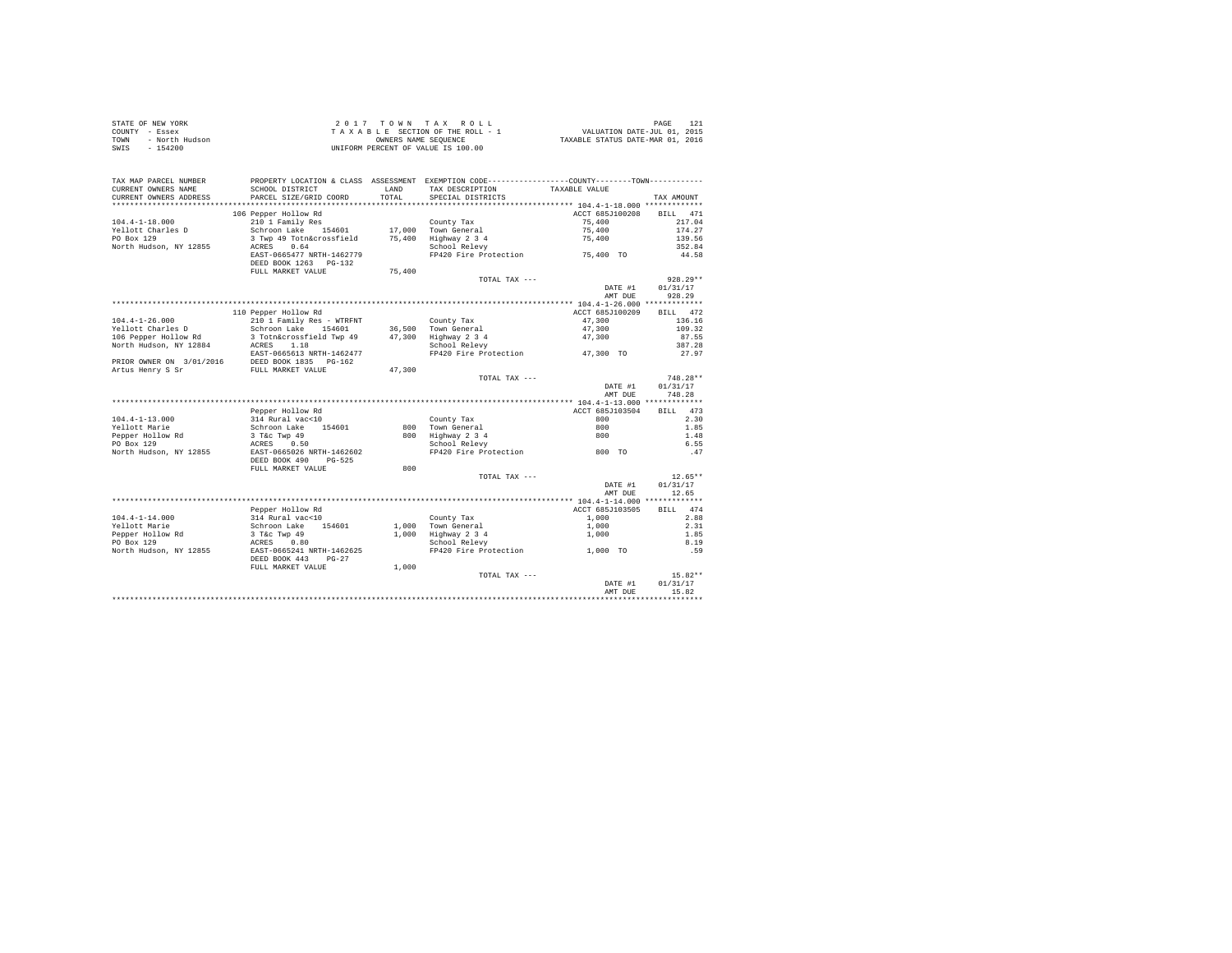|      | STATE OF NEW YORK | 2017 TOWN TAX ROLL                 | PAGE                             |  |
|------|-------------------|------------------------------------|----------------------------------|--|
|      | COUNTY - Essex    | TAXABLE SECTION OF THE ROLL - 1    | VALUATION DATE-JUL 01, 2015      |  |
| TOWN | - North Hudson    | OWNERS NAME SEOUENCE               | TAXABLE STATUS DATE-MAR 01, 2016 |  |
|      | SWIS - 154200     | UNIFORM PERCENT OF VALUE IS 100.00 |                                  |  |

| TAX MAP PARCEL NUMBER<br>CURRENT OWNERS NAME | PROPERTY LOCATION & CLASS ASSESSMENT EXEMPTION CODE---------------COUNTY-------TOWN----------<br>SCHOOL DISTRICT |        | LAND TAX DESCRIPTION                  | TAXABLE VALUE                |                  |
|----------------------------------------------|------------------------------------------------------------------------------------------------------------------|--------|---------------------------------------|------------------------------|------------------|
| CURRENT OWNERS ADDRESS                       | PARCEL SIZE/GRID COORD                                                                                           | TOTAL  | SPECIAL DISTRICTS                     |                              | TAX AMOUNT       |
| **********************                       |                                                                                                                  |        |                                       |                              |                  |
|                                              | 106 Pepper Hollow Rd                                                                                             |        |                                       | ACCT 685J100208 BILL 471     |                  |
| $104.4 - 1 - 18.000$                         | 210 1 Family Res<br>Schroon Lake 154601 17,000 Town General                                                      |        |                                       | 75,400                       | 217.04           |
| Yellott Charles D                            |                                                                                                                  |        |                                       | $75\,,\,400$                 | 174.27           |
|                                              |                                                                                                                  |        |                                       | 75,400                       | 139.56           |
|                                              |                                                                                                                  |        |                                       |                              | 352.84           |
|                                              | EAST-0665477 NRTH-1462779                                                                                        |        | FP420 Fire Protection 55,400 TO       |                              | 44.58            |
|                                              | DEED BOOK 1263 PG-132                                                                                            |        |                                       |                              |                  |
|                                              | FULL MARKET VALUE                                                                                                | 75,400 |                                       |                              |                  |
|                                              |                                                                                                                  |        | TOTAL TAX ---                         |                              | $928.29**$       |
|                                              |                                                                                                                  |        |                                       |                              | DATE #1 01/31/17 |
|                                              |                                                                                                                  |        |                                       | AMT DUE                      | 928.29           |
|                                              |                                                                                                                  |        |                                       |                              |                  |
|                                              |                                                                                                                  |        |                                       | ACCT 685J100209 BILL 472     |                  |
|                                              |                                                                                                                  |        |                                       | 47,300                       | 136.16           |
|                                              |                                                                                                                  |        |                                       | 47,300                       | 109.32           |
|                                              |                                                                                                                  |        |                                       | 47,300                       | 87.55            |
|                                              |                                                                                                                  |        |                                       |                              | 387.28           |
|                                              | EAST-0665613 NRTH-1462477                                                                                        |        | FP420 Fire Protection 47,300 TO       |                              | 27.97            |
|                                              | PRIOR OWNER ON 3/01/2016 DEED BOOK 1835 PG-162                                                                   |        |                                       |                              |                  |
| Artus Henry S Sr                             | FULL MARKET VALUE                                                                                                | 47,300 |                                       |                              |                  |
|                                              |                                                                                                                  |        | TOTAL TAX ---                         |                              | $748.28**$       |
|                                              |                                                                                                                  |        |                                       | DATE #1                      | 01/31/17         |
|                                              |                                                                                                                  |        |                                       | AMT DUE                      | 748.28           |
|                                              |                                                                                                                  |        |                                       |                              |                  |
|                                              | Pepper Hollow Rd                                                                                                 |        |                                       | ACCT 685J103504 BILL 473     |                  |
| 104.4-1-13.000                               | Fepper noriow Rd<br>314 Rural vac<br>c-10<br>Schroon Lake 154601<br>3 T&c Twp 49<br>                             |        | County Tax                            | 800                          | 2.30             |
| Yellott Marie                                |                                                                                                                  |        | 800 Town General                      | 800                          | 1.85             |
|                                              |                                                                                                                  |        | 800 Town General<br>800 Highway 2 3 4 | 800                          | 1.48             |
| Pepper Hollow Rd<br>PO Box 129<br>PO Box 129 |                                                                                                                  |        | School Relevy                         |                              | 6.55             |
|                                              | North Hudson, NY 12855 EAST-0665026 NRTH-1462602                                                                 |        |                                       | FP420 Fire Protection 600 TO | .47              |
|                                              | DEED BOOK 490 PG-525                                                                                             |        |                                       |                              |                  |
|                                              | FULL MARKET VALUE                                                                                                | 800    |                                       |                              |                  |
|                                              |                                                                                                                  |        | TOTAL TAX ---                         |                              | $12.65**$        |
|                                              |                                                                                                                  |        |                                       |                              | DATE #1 01/31/17 |
|                                              |                                                                                                                  |        |                                       | AMT DUE                      | 12.65            |
|                                              |                                                                                                                  |        |                                       |                              |                  |
|                                              |                                                                                                                  |        |                                       | ACCT 685J103505              | BILL 474         |
|                                              | Pepper Hollow Rd                                                                                                 |        |                                       |                              |                  |
| 104.4-1-14.000                               |                                                                                                                  |        | County Tax                            | 1,000                        | 2.88             |
| Yellott Marie                                | 314 Rural vac<10<br>314 Rural vac<10<br>3 Tác Twp 49<br>3 Tác Twp 49<br>ACRES 0.80<br>RAST-0665241 NRTH-1462625  |        | 1,000 Town General                    | 1,000                        | 2.31             |
| Pepper Hollow Rd<br>PO Box 129               |                                                                                                                  |        | 1,000 Highway 2 3 4                   | 1,000                        | 1.85             |
|                                              |                                                                                                                  |        | School Relevy                         |                              | 8.19             |
| North Hudson, NY 12855                       |                                                                                                                  |        | FP420 Fire Protection 1,000 TO        |                              | .59              |
|                                              | DEED BOOK 443 PG-27                                                                                              |        |                                       |                              |                  |
|                                              | FULL MARKET VALUE                                                                                                | 1,000  |                                       |                              |                  |
|                                              |                                                                                                                  |        | TOTAL TAX ---                         |                              | $15.82**$        |
|                                              |                                                                                                                  |        |                                       | DATE #1                      | 01/31/17         |
|                                              |                                                                                                                  |        |                                       | AMT DUE                      | 15.82            |
|                                              |                                                                                                                  |        |                                       |                              |                  |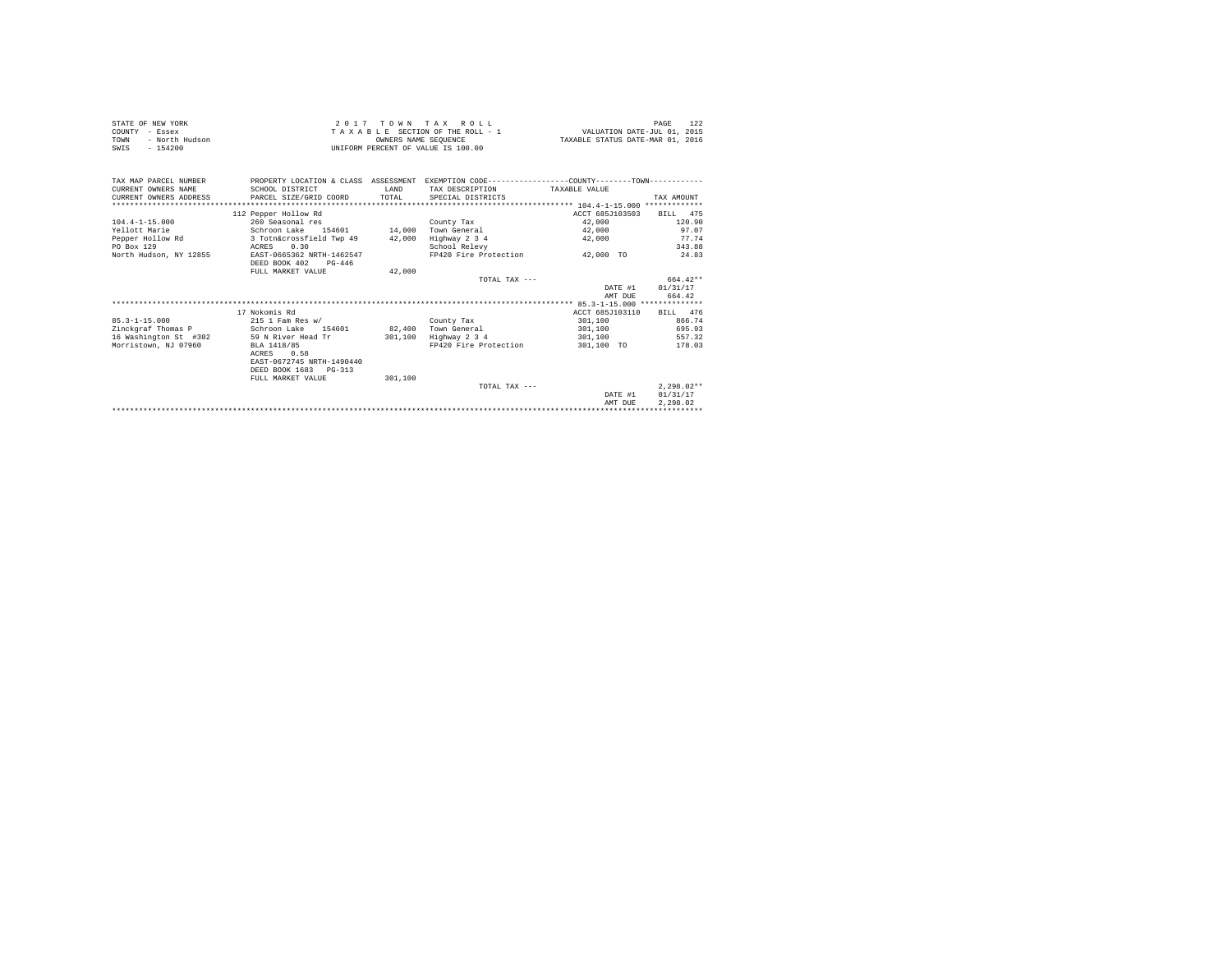| STATE OF NEW YORK<br>COUNTY - Essex<br>- North Hudson<br>TOWN<br>$-154200$<br>SWIS                |                                                                                                                                                                                                  |                            | 2017 TOWN TAX ROLL<br>TAXABLE SECTION OF THE ROLL - 1 WALUATION DATE-JUL 01, 2015<br>OWNERS NAME SEOUENCE<br>INIFORM PERCENT OF VALUE IS 100.00 | TAXABLE STATUS DATE-MAR 01, 2016                                                     | 122<br>PAGE                                                                                 |  |  |
|---------------------------------------------------------------------------------------------------|--------------------------------------------------------------------------------------------------------------------------------------------------------------------------------------------------|----------------------------|-------------------------------------------------------------------------------------------------------------------------------------------------|--------------------------------------------------------------------------------------|---------------------------------------------------------------------------------------------|--|--|
| TAX MAP PARCEL NUMBER<br>CURRENT OWNERS NAME<br>CURRENT OWNERS ADDRESS                            | SCHOOL DISTRICT<br>PARCEL SIZE/GRID COORD                                                                                                                                                        | <b>T.AND</b>               | PROPERTY LOCATION & CLASS ASSESSMENT EXEMPTION CODE---------------COUNTY-------TOWN---------<br>TAX DESCRIPTION<br>TOTAL SPECIAL DISTRICTS      | TAXABLE VALUE                                                                        | TAX AMOUNT                                                                                  |  |  |
| $104.4 - 1 - 15.000$<br>Yellott Marie<br>Pepper Hollow Rd<br>PO Box 129<br>North Hudson, NY 12855 | 112 Pepper Hollow Rd<br>260 Seasonal res<br>Schroon Lake 154601<br>3 Totn&crossfield Twp 49<br>0.30<br>ACRES<br>EAST-0665362 NRTH-1462547<br>DEED BOOK 402<br>$PG - 446$<br>FULL MARKET VALUE    | 14,000<br>42,000<br>42,000 | County Tax<br>Town General<br>Highway 2 3 4<br>School Relevy<br>FP420 Fire Protection<br>TOTAL TAX ---                                          | ACCT 685J103503<br>42,000<br>42,000<br>42,000<br>42,000 TO<br>DATE #1                | BILL 475<br>120.90<br>97.07<br>77.74<br>343.88<br>24.83<br>$664.42**$<br>01/31/17<br>664.42 |  |  |
|                                                                                                   |                                                                                                                                                                                                  |                            |                                                                                                                                                 | AMT DUE                                                                              |                                                                                             |  |  |
| $85.3 - 1 - 15.000$<br>Zinckgraf Thomas P<br>16 Washington St #302<br>Morristown, NJ 07960        | 17 Nokomis Rd<br>215 1 Fam Res w/<br>Schroon Lake 154601 82.400<br>59 N River Head Tr<br>BLA 1418/85<br>ACRES<br>0.58<br>EAST-0672745 NRTH-1490440<br>DEED BOOK 1683 PG-313<br>FULL MARKET VALUE | 301,100<br>301,100         | County Tax<br>Town General<br>Highway 2 3 4<br>FP420 Fire Protection<br>TOTAL TAX $---$                                                         | ACCT 685J103110<br>301,100<br>301,100<br>301,100<br>301,100 TO<br>DATE #1<br>AMT DUE | BILL 476<br>866.74<br>695.93<br>557.32<br>178.03<br>$2.298.02**$<br>01/31/17<br>2.298.02    |  |  |
|                                                                                                   |                                                                                                                                                                                                  |                            |                                                                                                                                                 |                                                                                      |                                                                                             |  |  |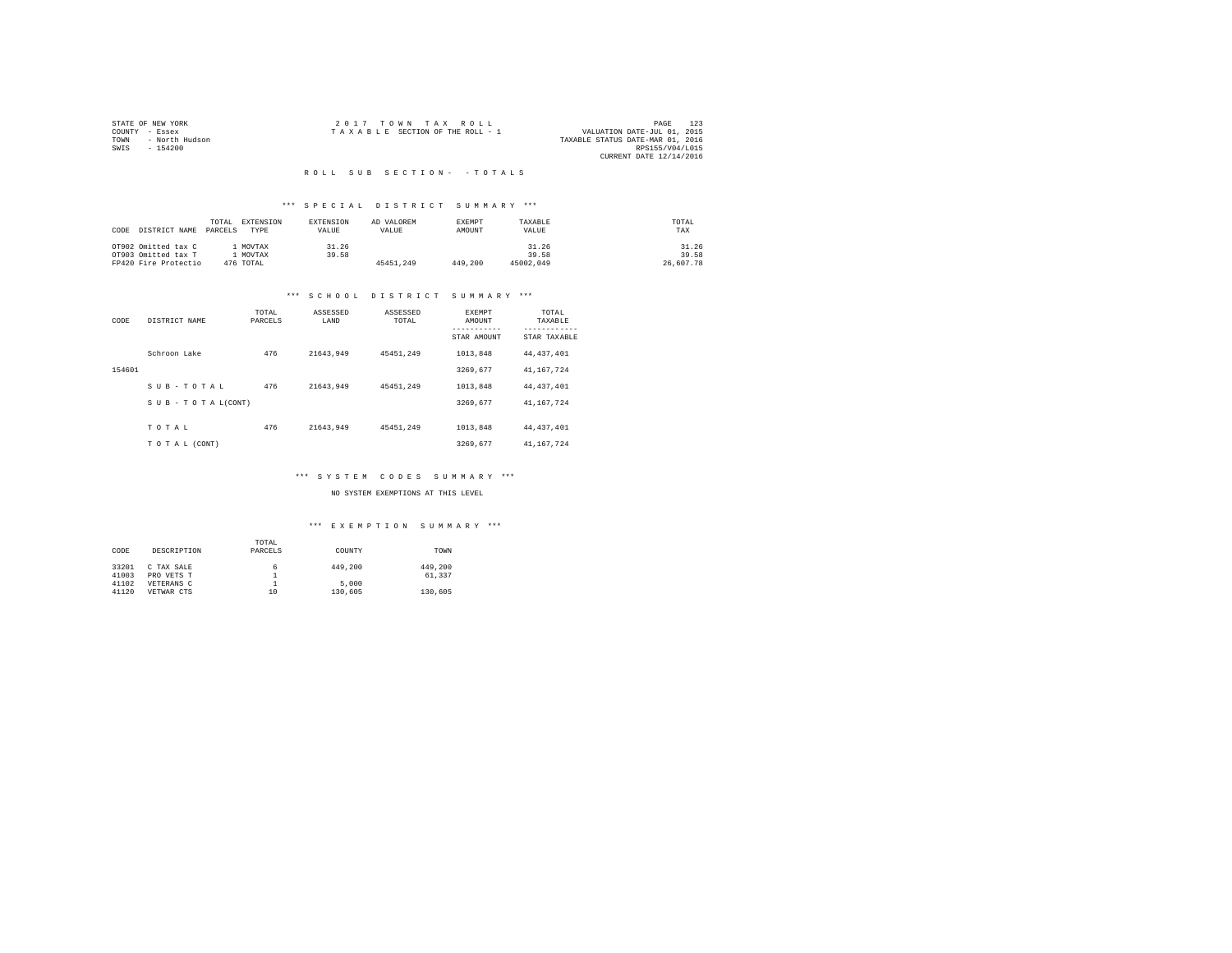|                | STATE OF NEW YORK | 2017 TOWN TAX ROLL                                             | 123<br>PAGE     |
|----------------|-------------------|----------------------------------------------------------------|-----------------|
| COUNTY - Essex |                   | VALUATION DATE-JUL 01, 2015<br>TAXABLE SECTION OF THE ROLL - 1 |                 |
| TOWN           | - North Hudson    | TAXABLE STATUS DATE-MAR 01, 2016                               |                 |
| SWIS           | $-154200$         |                                                                | RPS155/V04/L015 |
|                |                   | CURRENT DATE 12/14/2016                                        |                 |

#### R O L L S U B S E C T I O N - - T O T A L S

# \*\*\* S P E C I A L D I S T R I C T S U M M A R Y \*\*\*

| CODE | DISTRICT NAME        | TOTAL.<br>PARCELS | EXTENSION<br>TYPE | <b>EXTENSION</b><br>VALUE | AD VALOREM<br>VALUE | <b>EXEMPT</b><br>AMOUNT | TAXARLE<br>VALUE | TOTAL<br>TAX |
|------|----------------------|-------------------|-------------------|---------------------------|---------------------|-------------------------|------------------|--------------|
|      | OT902 Omitted tax C  |                   | MOVTAX            | 31.26                     |                     |                         | 31.26            | 31.26        |
|      | OT903 Omitted tax T  |                   | MOVTAX            | 39.58                     |                     |                         | 39.58            | 39.58        |
|      | FP420 Fire Protectio |                   | 476 TOTAL         |                           | 45451.249           | 449,200                 | 45002.049        | 26,607.78    |

#### \*\*\* S C H O O L D I S T R I C T S U M M A R Y \*\*\*

| CODE   | DISTRICT NAME      | TOTAL<br>PARCELS | ASSESSED<br>LAND | ASSESSED<br>TOTAL | EXEMPT<br>AMOUNT<br>-----------<br>STAR AMOUNT | TOTAL<br>TAXABLE<br>------------<br>STAR TAXABLE |
|--------|--------------------|------------------|------------------|-------------------|------------------------------------------------|--------------------------------------------------|
|        | Schroon Lake       | 476              | 21643.949        | 45451.249         | 1013.848                                       | 44.437.401                                       |
| 154601 |                    |                  |                  |                   | 3269.677                                       | 41.167.724                                       |
|        | SUB-TOTAL          | 476              | 21643.949        | 45451.249         | 1013.848                                       | 44.437.401                                       |
|        | SUB - TO TAL(CONT) |                  |                  |                   | 3269.677                                       | 41, 167, 724                                     |
|        | TOTAL              | 476              | 21643.949        | 45451.249         | 1013.848                                       | 44.437.401                                       |
|        | TO TAL (CONT)      |                  |                  |                   | 3269.677                                       | 41, 167, 724                                     |

#### \*\*\* S Y S T E M C O D E S S U M M A R Y \*\*\*

NO SYSTEM EXEMPTIONS AT THIS LEVEL

| CODE  | DESCRIPTION | TOTAL<br>PARCELS | COUNTY  | TOWN    |
|-------|-------------|------------------|---------|---------|
| 33201 | C TAX SALE  | 6                | 449,200 | 449.200 |
| 41003 | PRO VETS T  |                  |         | 61.337  |
| 41102 | VETERANS C  |                  | 5,000   |         |
| 41120 | VETWAR CTS  | 10               | 130,605 | 130,605 |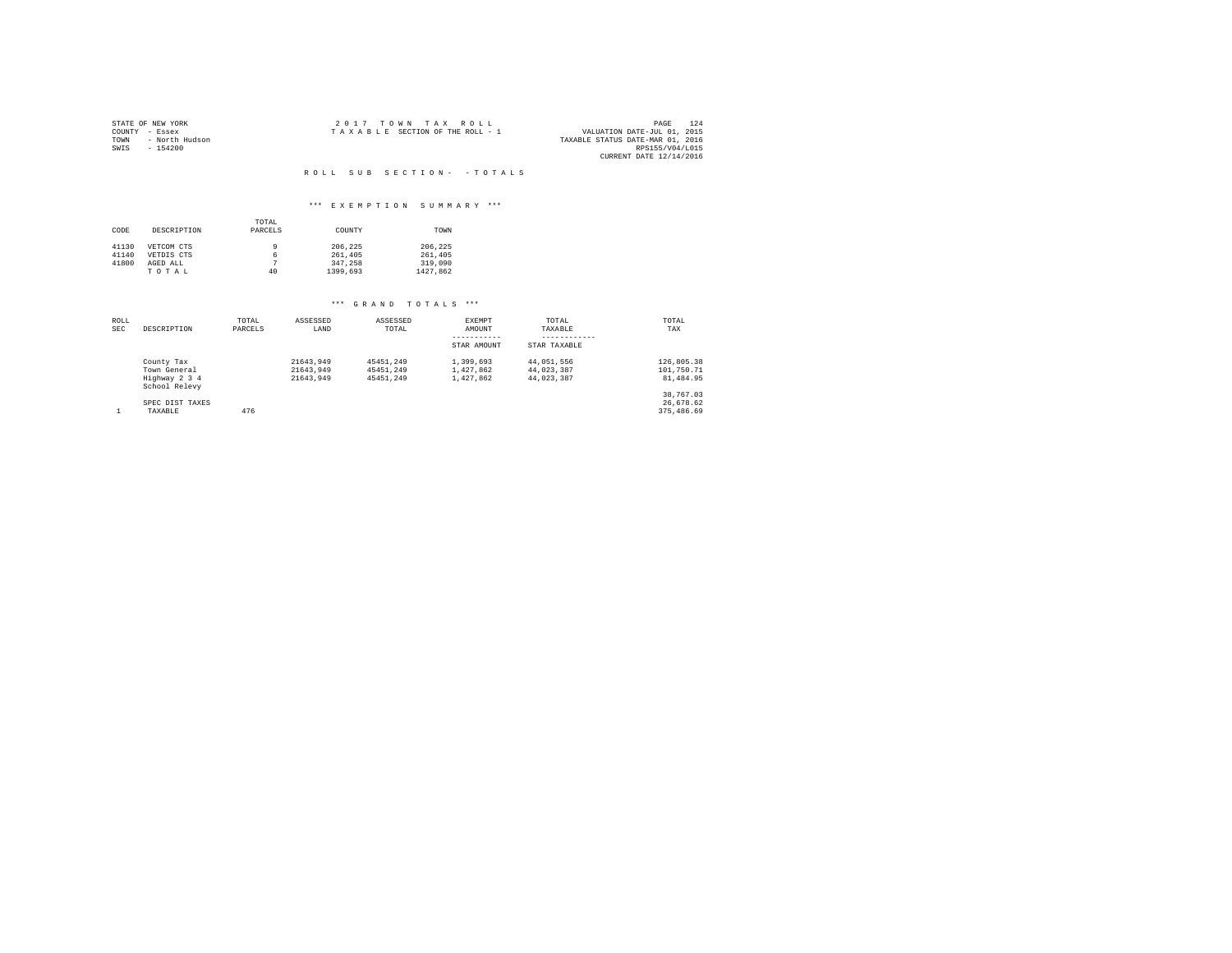| STATE OF NEW YORK      | 2017 TOWN TAX ROLL              |  |  |  | 124<br>PAGE                      |
|------------------------|---------------------------------|--|--|--|----------------------------------|
| COUNTY - Essex         | TAXABLE SECTION OF THE ROLL - 1 |  |  |  | VALUATION DATE-JUL 01, 2015      |
| - North Hudson<br>TOWN |                                 |  |  |  | TAXABLE STATUS DATE-MAR 01, 2016 |
| SWIS<br>$-154200$      |                                 |  |  |  | RPS155/V04/L015                  |
|                        |                                 |  |  |  | CURRENT DATE 12/14/2016          |

# R O L L S U B S E C T I O N - - T O T A L S

# \*\*\* E X E M P T I O N S U M M A R Y \*\*\*

|       |             | TOTAL   |          |          |
|-------|-------------|---------|----------|----------|
| CODE  | DESCRIPTION | PARCELS | COUNTY   | TOWN     |
| 41130 | VETCOM CTS  | 9       | 206.225  | 206.225  |
| 41140 | VETDIS CTS  | 6       | 261,405  | 261,405  |
| 41800 | AGED ALL    |         | 347.258  | 319,090  |
|       | TOTAL       | 40      | 1399,693 | 1427.862 |

| ROLL<br><b>SEC</b> | DESCRIPTION                    | TOTAL<br>PARCELS | ASSESSED<br>LAND | ASSESSED<br>TOTAL | EXEMPT<br>AMOUNT | TOTAL<br>TAXABLE | TOTAL<br>TAX |
|--------------------|--------------------------------|------------------|------------------|-------------------|------------------|------------------|--------------|
|                    |                                |                  |                  |                   | -----------      | ------------     |              |
|                    |                                |                  |                  |                   | STAR AMOUNT      | STAR TAXABLE     |              |
|                    | County Tax                     |                  | 21643.949        | 45451.249         | 1,399,693        | 44.051.556       | 126,805.38   |
|                    | Town General                   |                  | 21643.949        | 45451.249         | 1,427,862        | 44.023.387       | 101,750.71   |
|                    | Highway 2 3 4<br>School Relevy |                  | 21643.949        | 45451.249         | 1,427,862        | 44.023.387       | 81,484.95    |
|                    |                                |                  |                  |                   |                  |                  | 38,767.03    |
|                    | SPEC DIST TAXES                |                  |                  |                   |                  |                  | 26.678.62    |
|                    | TAXABLE                        | 476              |                  |                   |                  |                  | 375,486.69   |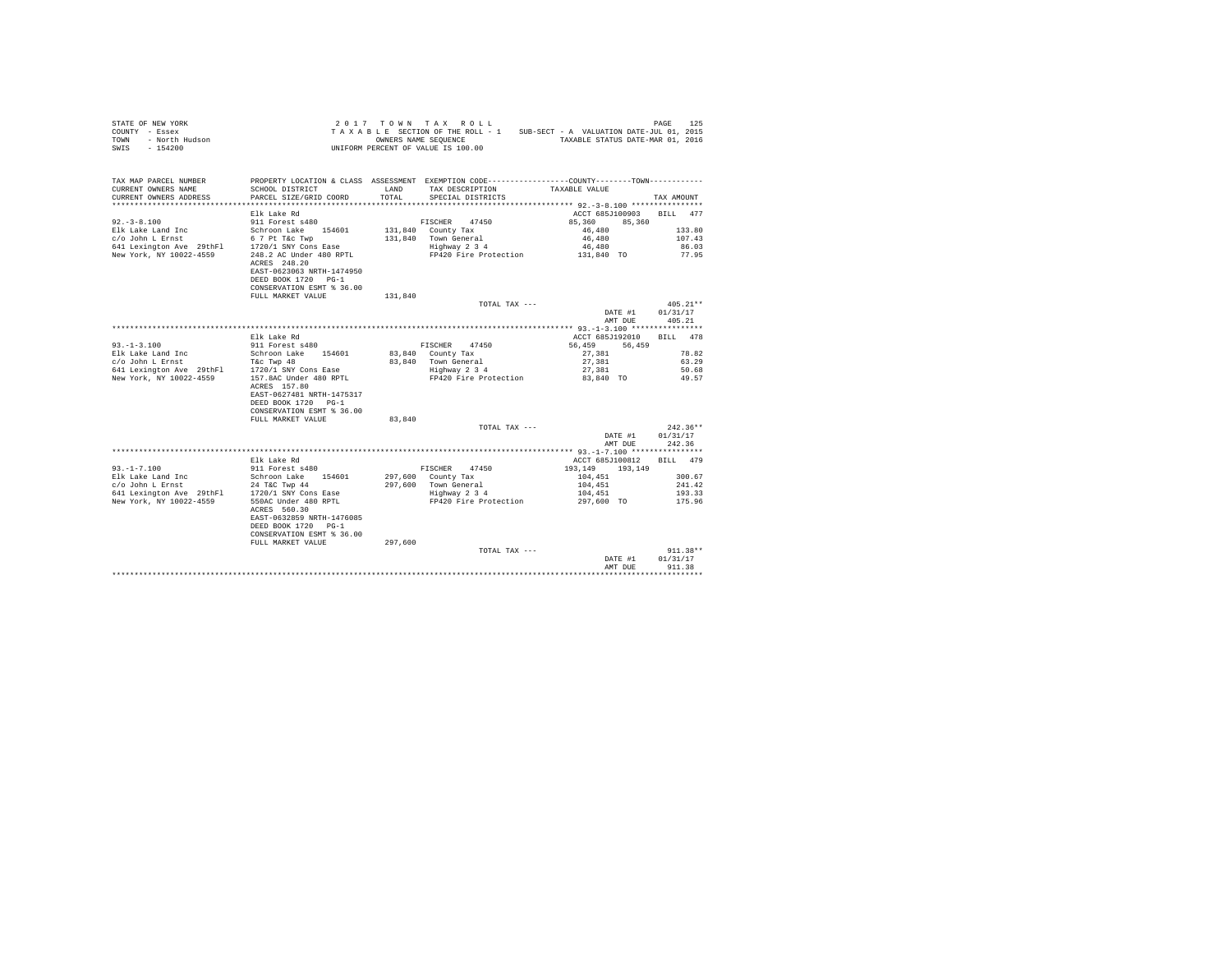| COUNTY - Essex<br>TOWN - North Hudson<br>SWIS - 154200                                                                                                                                                                                                                                                                                                                                     | TAXABLE SECTION OF THE ROLL - 1<br>dson<br>UNIFORM PERCENT OF VALUE IS 100.00                 |         | OWNERS NAME SEQUENCE                      | TAXABLE SECTION OF THE ROLL - 1 SUB-SECT - A VALUATION DATE-JUL 01, 2015<br>TAXABLE STATUS DATE-MAR 01, 2016                                                                                                                         |                  |
|--------------------------------------------------------------------------------------------------------------------------------------------------------------------------------------------------------------------------------------------------------------------------------------------------------------------------------------------------------------------------------------------|-----------------------------------------------------------------------------------------------|---------|-------------------------------------------|--------------------------------------------------------------------------------------------------------------------------------------------------------------------------------------------------------------------------------------|------------------|
| TAX MAP PARCEL NUMBER PROPERTY LOCATION & CLASS ASSESSMENT EXEMPTION CODE---------------COUNTY--------TOWN---------<br>CURRENT OWNERS NAME<br>CURRENT OWNERS ADDRESS PARCEL SIZE/GRID COORD                                                                                                                                                                                                | SCHOOL DISTRICT                                                                               | TOTAL   | LAND TAX DESCRIPTION<br>SPECIAL DISTRICTS | TAXABLE VALUE                                                                                                                                                                                                                        | TAX AMOUNT       |
|                                                                                                                                                                                                                                                                                                                                                                                            | Elk Lake Rd                                                                                   |         |                                           | ACCT 685J100903 BILL 477                                                                                                                                                                                                             |                  |
| $92 - 3 - 8.100$                                                                                                                                                                                                                                                                                                                                                                           | 911 Forest s480                                                                               |         | FISCHER 47450                             | 85,360 85,360                                                                                                                                                                                                                        |                  |
|                                                                                                                                                                                                                                                                                                                                                                                            |                                                                                               |         | 131,840 County Tax                        | 46,480                                                                                                                                                                                                                               | 133.80           |
|                                                                                                                                                                                                                                                                                                                                                                                            |                                                                                               |         |                                           |                                                                                                                                                                                                                                      | 107.43           |
|                                                                                                                                                                                                                                                                                                                                                                                            |                                                                                               |         |                                           |                                                                                                                                                                                                                                      | 86.03            |
| %<br>Elk Lake Land Inc = 154601<br>641 Lexington Ave 29thF1 = 1720/1 SNY Cons Ease<br>New York, NY 10022-4559 = 248.2 AC Under 480 RPTL<br>New York, NY 10022-4559 = 248.2 AC Under 480 RPTL                                                                                                                                                                                               | ACRES 248.20<br>EAST-0623063 NRTH-1474950<br>DEED BOOK 1720 PG-1<br>CONSERVATION ESMT % 36.00 |         |                                           | $\begin{array}{lllllll} 131,840 & \text{ Town General} & 46,480 \\ & \text{Highway 2 3 4} & 46,480 \\ & \text{FP}420 & \text{Fire Protection} & 46,480 \\ & \text{FP}420 & \text{Fire Protection} & 131,840 & \text{TO} \end{array}$ | 77.95            |
|                                                                                                                                                                                                                                                                                                                                                                                            | FULL MARKET VALUE                                                                             | 131,840 |                                           |                                                                                                                                                                                                                                      |                  |
|                                                                                                                                                                                                                                                                                                                                                                                            |                                                                                               |         | TOTAL TAX ---                             |                                                                                                                                                                                                                                      | $405.21**$       |
|                                                                                                                                                                                                                                                                                                                                                                                            |                                                                                               |         |                                           | DATE #1 01/31/17<br>AMT DUE 405.21                                                                                                                                                                                                   |                  |
|                                                                                                                                                                                                                                                                                                                                                                                            |                                                                                               |         |                                           |                                                                                                                                                                                                                                      |                  |
|                                                                                                                                                                                                                                                                                                                                                                                            | Elk Lake Rd                                                                                   |         |                                           | ACCT 685J192010 BILL 478                                                                                                                                                                                                             |                  |
| $93. -1 - 3.100$                                                                                                                                                                                                                                                                                                                                                                           | 911 Forest s480                                                                               |         | FISCHER 47450                             |                                                                                                                                                                                                                                      |                  |
|                                                                                                                                                                                                                                                                                                                                                                                            |                                                                                               |         |                                           | $56,459$ $56,459$<br>$27,381$                                                                                                                                                                                                        |                  |
|                                                                                                                                                                                                                                                                                                                                                                                            |                                                                                               |         |                                           |                                                                                                                                                                                                                                      |                  |
|                                                                                                                                                                                                                                                                                                                                                                                            |                                                                                               |         |                                           |                                                                                                                                                                                                                                      |                  |
|                                                                                                                                                                                                                                                                                                                                                                                            | ACRES 157.80<br>EAST-0627481 NRTH-1475317<br>DEED BOOK 1720 PG-1                              |         |                                           |                                                                                                                                                                                                                                      |                  |
|                                                                                                                                                                                                                                                                                                                                                                                            | CONSERVATION ESMT % 36.00                                                                     |         |                                           |                                                                                                                                                                                                                                      |                  |
|                                                                                                                                                                                                                                                                                                                                                                                            | FULL MARKET VALUE                                                                             | 83,840  |                                           |                                                                                                                                                                                                                                      |                  |
|                                                                                                                                                                                                                                                                                                                                                                                            |                                                                                               |         | TOTAL TAX ---                             |                                                                                                                                                                                                                                      | $242.36**$       |
|                                                                                                                                                                                                                                                                                                                                                                                            |                                                                                               |         |                                           | DATE #1                                                                                                                                                                                                                              | 01/31/17         |
|                                                                                                                                                                                                                                                                                                                                                                                            |                                                                                               |         |                                           | AMT DUE 242.36                                                                                                                                                                                                                       |                  |
|                                                                                                                                                                                                                                                                                                                                                                                            |                                                                                               |         |                                           |                                                                                                                                                                                                                                      |                  |
|                                                                                                                                                                                                                                                                                                                                                                                            | Elk Lake Rd                                                                                   |         |                                           | ACCT 685J100812 BILL 479                                                                                                                                                                                                             |                  |
| $93. -1 - 7.100$                                                                                                                                                                                                                                                                                                                                                                           | 911 Forest s480                                                                               |         |                                           | FISCHER 47450 193,149 193,149                                                                                                                                                                                                        |                  |
|                                                                                                                                                                                                                                                                                                                                                                                            |                                                                                               |         |                                           |                                                                                                                                                                                                                                      | 300.67           |
|                                                                                                                                                                                                                                                                                                                                                                                            |                                                                                               |         |                                           |                                                                                                                                                                                                                                      | 241.42           |
|                                                                                                                                                                                                                                                                                                                                                                                            |                                                                                               |         |                                           |                                                                                                                                                                                                                                      | 193.33           |
| 93.-1-7.100<br>Elk Lake Land Inc 2017,600 County Tax 104,451<br>$\begin{array}{l} \mbox{E1k} \text{ Lake Land Inc} \\ \mbox{E2k} \text{ Lake Land Inc} \\ \mbox{E3k} \text{ Lake Land Inc} \\ \mbox{E4l} \text{ Lexington Ave} \\ \mbox{E59k} \text{ NaeV or} \\ \mbox{E58k} \text{ NaeV or} \\ \mbox{E64l} \text{ Lexington Ave} \\ \mbox{E78l} \text{ NaeV or} \\ \mbox{E8l} \text{ Nae$ | EAST-0632859 NRTH-1476085<br>DEED BOOK 1720 PG-1<br>CONSERVATION ESMT % 36.00                 |         |                                           |                                                                                                                                                                                                                                      | 175.96           |
|                                                                                                                                                                                                                                                                                                                                                                                            | FULL MARKET VALUE                                                                             | 297,600 | TOTAL TAX ---                             |                                                                                                                                                                                                                                      | $911.38**$       |
|                                                                                                                                                                                                                                                                                                                                                                                            |                                                                                               |         |                                           |                                                                                                                                                                                                                                      | DATE #1 01/31/17 |
|                                                                                                                                                                                                                                                                                                                                                                                            |                                                                                               |         |                                           | AMT DUE                                                                                                                                                                                                                              | 911.38           |
|                                                                                                                                                                                                                                                                                                                                                                                            |                                                                                               |         |                                           |                                                                                                                                                                                                                                      |                  |

STATE OF NEW YORK  $2017$   $70$   $W$   $T$  A X R O L L  $2017$   $T$  O  $W$   $N$   $T$  A X R O L L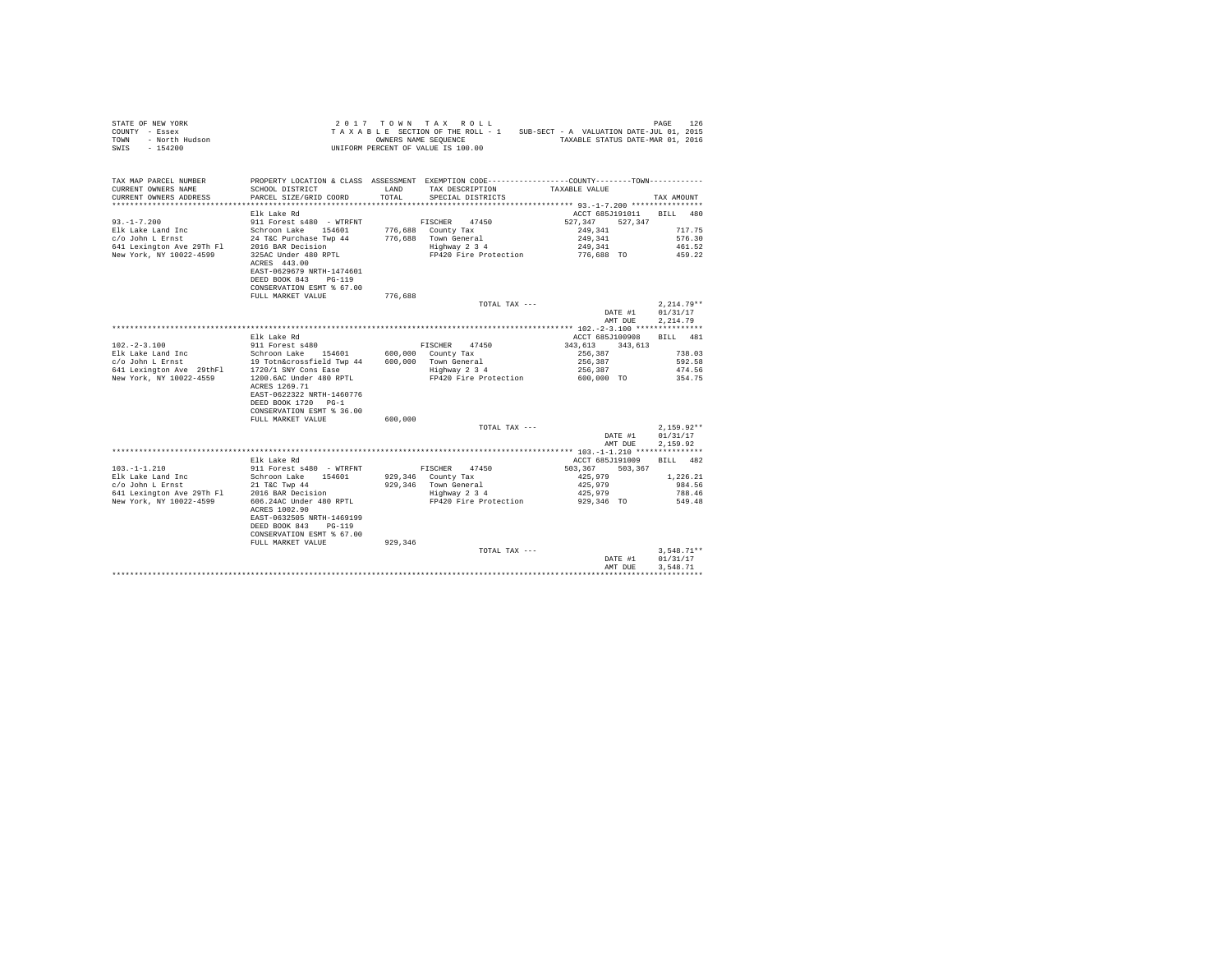| $\begin{array}{cccccc} \texttt{STATE OF NEW YORK} & & & & & & & 2\ 0\ 1\ 7\ &\texttt{T O W N} & \texttt{T A X} & \texttt{R O LL} \\ \texttt{COUNTS} & -\texttt{Eosex} & & & & & & \texttt{T A X AB IS} & \texttt{S SETION OF THE ROLL - 1} \\ \texttt{TOWN} & -\texttt{North Hudson} & & & & & & \texttt{OWNERS NANE SCQUENCE} \\ \texttt{SWN} & -\ 154200 & & & & & & \texttt{UNIFORM PERCENT OF VALUE IS}\ 100.00 \\ \end{array}$                         |                                                                                                                        |         | TAXABLE SECTION OF THE ROLL - 1 SUB-SECT - A VALUATION DATE-JUL 01, 2015<br>OWNERS NAME SEQUENCE TAXABLE STATUS DATE-MAR 01, 2016         |                          | PAGE<br>126      |
|-------------------------------------------------------------------------------------------------------------------------------------------------------------------------------------------------------------------------------------------------------------------------------------------------------------------------------------------------------------------------------------------------------------------------------------------------------------|------------------------------------------------------------------------------------------------------------------------|---------|-------------------------------------------------------------------------------------------------------------------------------------------|--------------------------|------------------|
| TAX MAP PARCEL NUMBER<br>CURRENT OWNERS NAME<br>CURRENT OWNERS ADDRESS                                                                                                                                                                                                                                                                                                                                                                                      | SCHOOL DISTRICT<br>PARCEL SIZE/GRID COORD                                                                              | TOTAL   | PROPERTY LOCATION & CLASS ASSESSMENT EXEMPTION CODE---------------COUNTY-------TOWN---------<br>LAND TAX DESCRIPTION<br>SPECIAL DISTRICTS | TAXABLE VALUE            | TAX AMOUNT       |
|                                                                                                                                                                                                                                                                                                                                                                                                                                                             |                                                                                                                        |         |                                                                                                                                           |                          |                  |
|                                                                                                                                                                                                                                                                                                                                                                                                                                                             | Elk Lake Rd                                                                                                            |         |                                                                                                                                           | ACCT 685J191011 BILL 480 |                  |
| $93. -1 - 7.200$                                                                                                                                                                                                                                                                                                                                                                                                                                            | 911 Forest s480 - WTRFNT                                                                                               |         | FISCHER 47450                                                                                                                             | 527,347<br>527.347       |                  |
|                                                                                                                                                                                                                                                                                                                                                                                                                                                             |                                                                                                                        |         | 776,688 County Tax                                                                                                                        | 249,341                  | 717.75<br>576.30 |
|                                                                                                                                                                                                                                                                                                                                                                                                                                                             |                                                                                                                        |         | 776,688 Town General<br>Highway 2 3 4                                                                                                     | 249,341<br>249,341       | 461.52           |
|                                                                                                                                                                                                                                                                                                                                                                                                                                                             | 325AC Under 480 RPTL<br>ACRES 443.00<br>EAST-0629679 NRTH-1474601<br>DEED BOOK 843 PG-119<br>CONSERVATION ESMT % 67.00 |         | FP420 Fire Protection                                                                                                                     | 776,688 TO               | 459.22           |
|                                                                                                                                                                                                                                                                                                                                                                                                                                                             | FULL MARKET VALUE                                                                                                      | 776,688 |                                                                                                                                           |                          |                  |
|                                                                                                                                                                                                                                                                                                                                                                                                                                                             |                                                                                                                        |         | TOTAL TAX ---                                                                                                                             |                          | $2,214.79**$     |
|                                                                                                                                                                                                                                                                                                                                                                                                                                                             |                                                                                                                        |         |                                                                                                                                           | DATE #1                  | 01/31/17         |
|                                                                                                                                                                                                                                                                                                                                                                                                                                                             |                                                                                                                        |         |                                                                                                                                           | AMT DUE                  | 2.214.79         |
|                                                                                                                                                                                                                                                                                                                                                                                                                                                             | Elk Lake Rd                                                                                                            |         |                                                                                                                                           | ACCT 685J100908          | BILL 481         |
| $102. -2 - 3.100$                                                                                                                                                                                                                                                                                                                                                                                                                                           | 911 Forest \$480                                                                                                       |         | FISCHER 47450                                                                                                                             | 343,613 343,613          |                  |
|                                                                                                                                                                                                                                                                                                                                                                                                                                                             |                                                                                                                        |         |                                                                                                                                           | 256,387                  | 738.03           |
|                                                                                                                                                                                                                                                                                                                                                                                                                                                             |                                                                                                                        |         |                                                                                                                                           | 256,387                  | 592.58           |
| $\begin{tabular}{lcccc} E1k \texttt{ Lake Land Inc} & & Schroon Lake & 154601 & 600,000 & County Tax \\ \hline \texttt{C/O John L Ernst} & & 19 \texttt{ Tothécrossfield Two 44} & 600,000 & Town General \\ \texttt{604. Verifyton Ave 29thF1} & 1720/1 \texttt{SNV Cons} ~\texttt{Case} & & & & \\ \texttt{94. Verifyson A.} & & & & & \\ \texttt{1720/1 SN} & & & & & \\ \texttt{1720/1 SN} & & & & & \\ \texttt{1720/1 SN} & & & & & \\ \texttt{1720/1$ |                                                                                                                        |         | 600,000 Town General<br>Highway 2 3 4                                                                                                     | 256,387                  | 474.56           |
|                                                                                                                                                                                                                                                                                                                                                                                                                                                             | ACRES 1269.71<br>EAST-0622322 NRTH-1460776<br>DEED BOOK 1720 PG-1<br>CONSERVATION ESMT % 36.00                         |         | FP420 Fire Protection                                                                                                                     | 600,000 TO               | 354.75           |
|                                                                                                                                                                                                                                                                                                                                                                                                                                                             | FULL MARKET VALUE                                                                                                      | 600,000 | TOTAL TAX ---                                                                                                                             |                          | $2.159.92**$     |
|                                                                                                                                                                                                                                                                                                                                                                                                                                                             |                                                                                                                        |         |                                                                                                                                           | DATE #1                  | 01/31/17         |
|                                                                                                                                                                                                                                                                                                                                                                                                                                                             |                                                                                                                        |         |                                                                                                                                           | AMT DUE                  | 2,159.92         |
|                                                                                                                                                                                                                                                                                                                                                                                                                                                             |                                                                                                                        |         |                                                                                                                                           |                          |                  |
|                                                                                                                                                                                                                                                                                                                                                                                                                                                             | Elk Lake Rd                                                                                                            |         |                                                                                                                                           | ACCT 685J191009          | BILL 482         |
| $103. -1 - 1.210$                                                                                                                                                                                                                                                                                                                                                                                                                                           | 911 Forest s480 - WTRFNT                                                                                               |         | FISCHER 47450                                                                                                                             | 503,367 503,367          |                  |
|                                                                                                                                                                                                                                                                                                                                                                                                                                                             |                                                                                                                        |         | 929,346 County Tax                                                                                                                        | 425,979                  | 1,226.21         |
|                                                                                                                                                                                                                                                                                                                                                                                                                                                             |                                                                                                                        |         | 929,346 Town General<br>Highway 2 3 4                                                                                                     | 425,979                  | 984.56           |
|                                                                                                                                                                                                                                                                                                                                                                                                                                                             |                                                                                                                        |         |                                                                                                                                           | 425,979                  | 788.46           |
| New York, NY 10022-4599                                                                                                                                                                                                                                                                                                                                                                                                                                     | 606.24AC Under 480 RPTL<br>ACRES 1002.90<br>EAST-0632505 NRTH-1469199<br>DEED BOOK 843 PG-119                          |         | FP420 Fire Protection                                                                                                                     | 929,346 TO               | 549.48           |
|                                                                                                                                                                                                                                                                                                                                                                                                                                                             | CONSERVATION ESMT % 67.00                                                                                              |         |                                                                                                                                           |                          |                  |
|                                                                                                                                                                                                                                                                                                                                                                                                                                                             | FULL MARKET VALUE                                                                                                      | 929,346 |                                                                                                                                           |                          |                  |
|                                                                                                                                                                                                                                                                                                                                                                                                                                                             |                                                                                                                        |         | TOTAL TAX ---                                                                                                                             |                          | $3,548.71**$     |
|                                                                                                                                                                                                                                                                                                                                                                                                                                                             |                                                                                                                        |         |                                                                                                                                           | DATE #1                  | 01/31/17         |
|                                                                                                                                                                                                                                                                                                                                                                                                                                                             |                                                                                                                        |         |                                                                                                                                           | AMT DUE                  | 3.548.71         |
|                                                                                                                                                                                                                                                                                                                                                                                                                                                             |                                                                                                                        |         |                                                                                                                                           |                          |                  |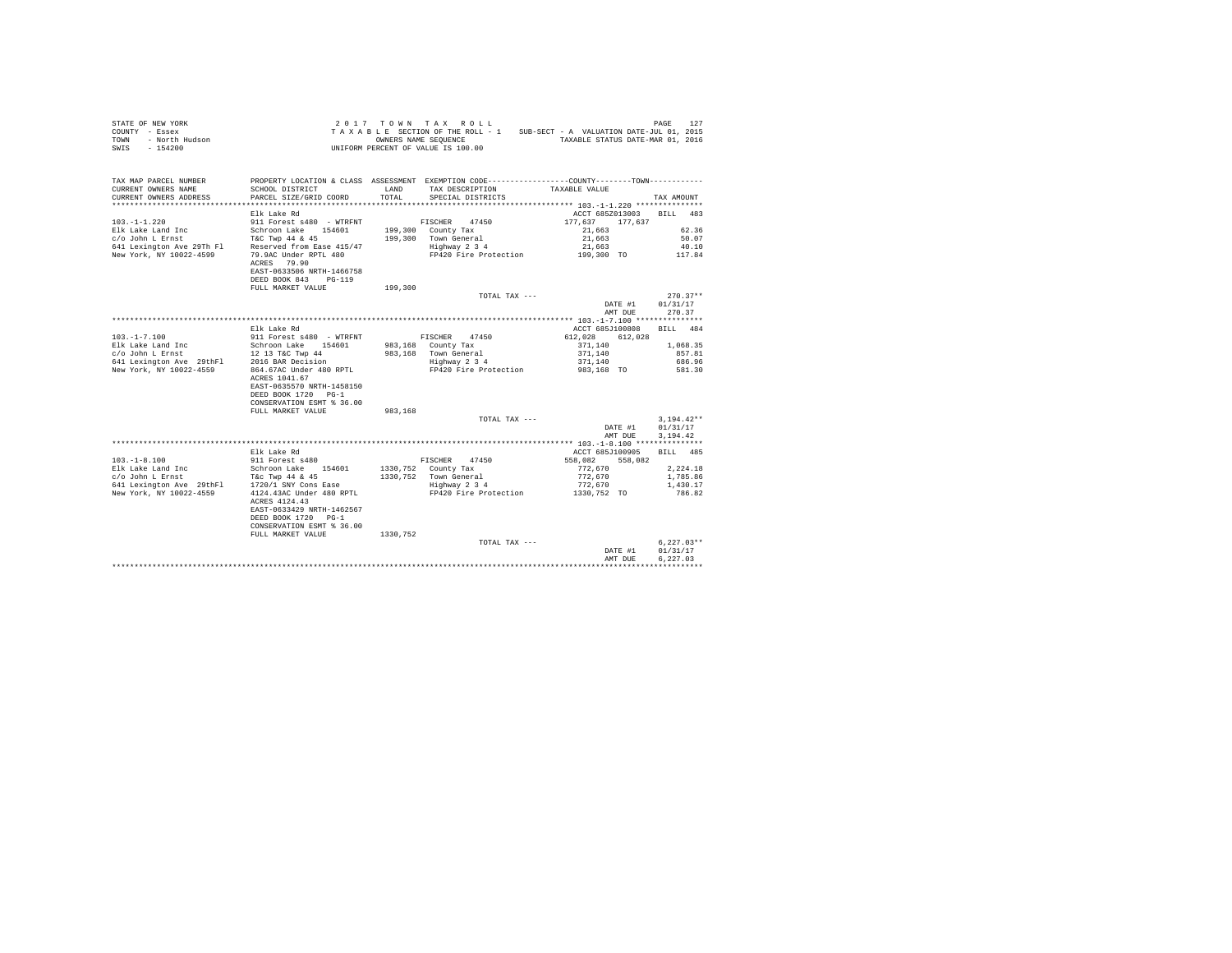| $\begin{array}{cccccccccccc} \texttt{STARTE OF NEW YORK} & \texttt{OREN} & \texttt{ORNE} & \texttt{PAGE} & \texttt{127} \\ \texttt{COUNT} & - \texttt{ESE} & \texttt{SIST} & \texttt{SUST} & \texttt{SUST} & \texttt{SUT} & \texttt{SUS}-\texttt{SIST} & \texttt{SUT} & \texttt{SUT} \\ \texttt{TONN} & - \texttt{ROTL} & \texttt{Indson} & \texttt{SUT} & \texttt{SUT} & \texttt{SUT} & \texttt{SUT} & \texttt{SUT} & \texttt{SUT} \\ \texttt{TANR} & - \texttt$ |                                                                                               |         |                                                            |                                                              |                                  |
|-------------------------------------------------------------------------------------------------------------------------------------------------------------------------------------------------------------------------------------------------------------------------------------------------------------------------------------------------------------------------------------------------------------------------------------------------------------------|-----------------------------------------------------------------------------------------------|---------|------------------------------------------------------------|--------------------------------------------------------------|----------------------------------|
| TAX MAP PARCEL NUMBER                                                                                                                                                                                                                                                                                                                                                                                                                                             | PROPERTY LOCATION & CLASS ASSESSMENT EXEMPTION CODE---------------COUNTY-------TOWN---------- |         |                                                            |                                                              |                                  |
| CURRENT OWNERS NAME                                                                                                                                                                                                                                                                                                                                                                                                                                               | SCHOOL DISTRICT $\hfill\textsc{LAND}$ TAX DESCRIPTION TAXABLE VALUE                           |         |                                                            |                                                              |                                  |
|                                                                                                                                                                                                                                                                                                                                                                                                                                                                   |                                                                                               |         | TOTAL SPECIAL DISTRICTS                                    |                                                              | TAX AMOUNT                       |
|                                                                                                                                                                                                                                                                                                                                                                                                                                                                   |                                                                                               |         |                                                            | ACCT 685Z013003 BILL 483                                     |                                  |
|                                                                                                                                                                                                                                                                                                                                                                                                                                                                   |                                                                                               |         |                                                            | 177.637 177.637                                              |                                  |
|                                                                                                                                                                                                                                                                                                                                                                                                                                                                   |                                                                                               |         |                                                            |                                                              | 62.36                            |
|                                                                                                                                                                                                                                                                                                                                                                                                                                                                   |                                                                                               |         |                                                            | $21,663$<br>$21,663$                                         | 50.07                            |
|                                                                                                                                                                                                                                                                                                                                                                                                                                                                   |                                                                                               |         |                                                            |                                                              | 40.10                            |
|                                                                                                                                                                                                                                                                                                                                                                                                                                                                   | ACRES 79.90<br>EAST-0633506 NRTH-1466758                                                      |         |                                                            |                                                              | 117.84                           |
|                                                                                                                                                                                                                                                                                                                                                                                                                                                                   | DEED BOOK 843 PG-119                                                                          |         |                                                            |                                                              |                                  |
|                                                                                                                                                                                                                                                                                                                                                                                                                                                                   | FULL MARKET VALUE                                                                             | 199,300 |                                                            |                                                              |                                  |
|                                                                                                                                                                                                                                                                                                                                                                                                                                                                   |                                                                                               |         | TOTAL TAX ---                                              |                                                              | $270.37**$                       |
|                                                                                                                                                                                                                                                                                                                                                                                                                                                                   |                                                                                               |         |                                                            | DATE #1 01/31/17                                             |                                  |
|                                                                                                                                                                                                                                                                                                                                                                                                                                                                   |                                                                                               |         |                                                            | AMT DUE                                                      | 270.37                           |
|                                                                                                                                                                                                                                                                                                                                                                                                                                                                   |                                                                                               |         |                                                            |                                                              |                                  |
|                                                                                                                                                                                                                                                                                                                                                                                                                                                                   | Elk Lake Rd                                                                                   |         |                                                            | ACCT 685J100808 BILL 484                                     |                                  |
|                                                                                                                                                                                                                                                                                                                                                                                                                                                                   |                                                                                               |         |                                                            |                                                              |                                  |
|                                                                                                                                                                                                                                                                                                                                                                                                                                                                   |                                                                                               |         |                                                            |                                                              |                                  |
|                                                                                                                                                                                                                                                                                                                                                                                                                                                                   |                                                                                               |         |                                                            |                                                              |                                  |
|                                                                                                                                                                                                                                                                                                                                                                                                                                                                   | ACRES 1041.67                                                                                 |         |                                                            |                                                              |                                  |
|                                                                                                                                                                                                                                                                                                                                                                                                                                                                   | EAST-0635570 NRTH-1458150                                                                     |         |                                                            |                                                              |                                  |
|                                                                                                                                                                                                                                                                                                                                                                                                                                                                   | DEED BOOK 1720 PG-1                                                                           |         |                                                            |                                                              |                                  |
|                                                                                                                                                                                                                                                                                                                                                                                                                                                                   | CONSERVATION ESMT % 36.00                                                                     |         |                                                            |                                                              |                                  |
|                                                                                                                                                                                                                                                                                                                                                                                                                                                                   | FULL MARKET VALUE                                                                             | 983,168 |                                                            |                                                              |                                  |
|                                                                                                                                                                                                                                                                                                                                                                                                                                                                   |                                                                                               |         | TOTAL TAX ---                                              | $3,194.42^{**}$ DATE #1 $01/31/17$                           | $3.194.42**$                     |
|                                                                                                                                                                                                                                                                                                                                                                                                                                                                   |                                                                                               |         |                                                            | AMT DUE                                                      | 3.194.42                         |
|                                                                                                                                                                                                                                                                                                                                                                                                                                                                   |                                                                                               |         |                                                            |                                                              |                                  |
|                                                                                                                                                                                                                                                                                                                                                                                                                                                                   | Elk Lake Rd                                                                                   |         |                                                            | ACCT 685J100905 BILL 485                                     |                                  |
| $103. -1 - 8.100$                                                                                                                                                                                                                                                                                                                                                                                                                                                 | sin mane nu<br>911 Forest s480                                                                |         | FISCHER 47450                                              | $558,082$ $558,082$                                          |                                  |
|                                                                                                                                                                                                                                                                                                                                                                                                                                                                   |                                                                                               |         | 1330,752 County Tax                                        |                                                              | 2.224.18                         |
| Elk Lake Land Inc Schroon Lake 154601<br>c/o John L Ernst Tier Twp 44 & 45<br>641 Lexington Ave 29thF1 1720/1 SNY Cons Ease<br>New York, NY 10022-4559 4124.43AC Under 480 RPTL                                                                                                                                                                                                                                                                                   |                                                                                               |         | $1330,752$ Town General<br>Highway 2 3 4                   | 772,670<br>772,670<br>772,670                                | 1,785.86                         |
|                                                                                                                                                                                                                                                                                                                                                                                                                                                                   |                                                                                               |         |                                                            |                                                              | 1,430.17                         |
|                                                                                                                                                                                                                                                                                                                                                                                                                                                                   | ACRES 4124.43<br>EAST-0633429 NRTH-1462567                                                    |         | 4124.43AC Under 480 RPTL FP420 Fire Protection 1330,752 TO |                                                              | 786.82                           |
|                                                                                                                                                                                                                                                                                                                                                                                                                                                                   | DEED BOOK 1720 PG-1                                                                           |         |                                                            |                                                              |                                  |
|                                                                                                                                                                                                                                                                                                                                                                                                                                                                   | CONSERVATION ESMT % 36.00                                                                     |         |                                                            |                                                              |                                  |
|                                                                                                                                                                                                                                                                                                                                                                                                                                                                   | FULL MARKET VALUE 1330, 752                                                                   |         |                                                            | $\label{eq:1} \mathbf{D}^{\mathbf{p},\mathbf{p},\mathbf{p}}$ |                                  |
|                                                                                                                                                                                                                                                                                                                                                                                                                                                                   |                                                                                               |         | TOTAL TAX ---                                              |                                                              | $6,227.03**$<br>DATE #1 01/31/17 |
|                                                                                                                                                                                                                                                                                                                                                                                                                                                                   |                                                                                               |         |                                                            | AMT DUE                                                      | 6.227.03                         |
|                                                                                                                                                                                                                                                                                                                                                                                                                                                                   |                                                                                               |         |                                                            |                                                              |                                  |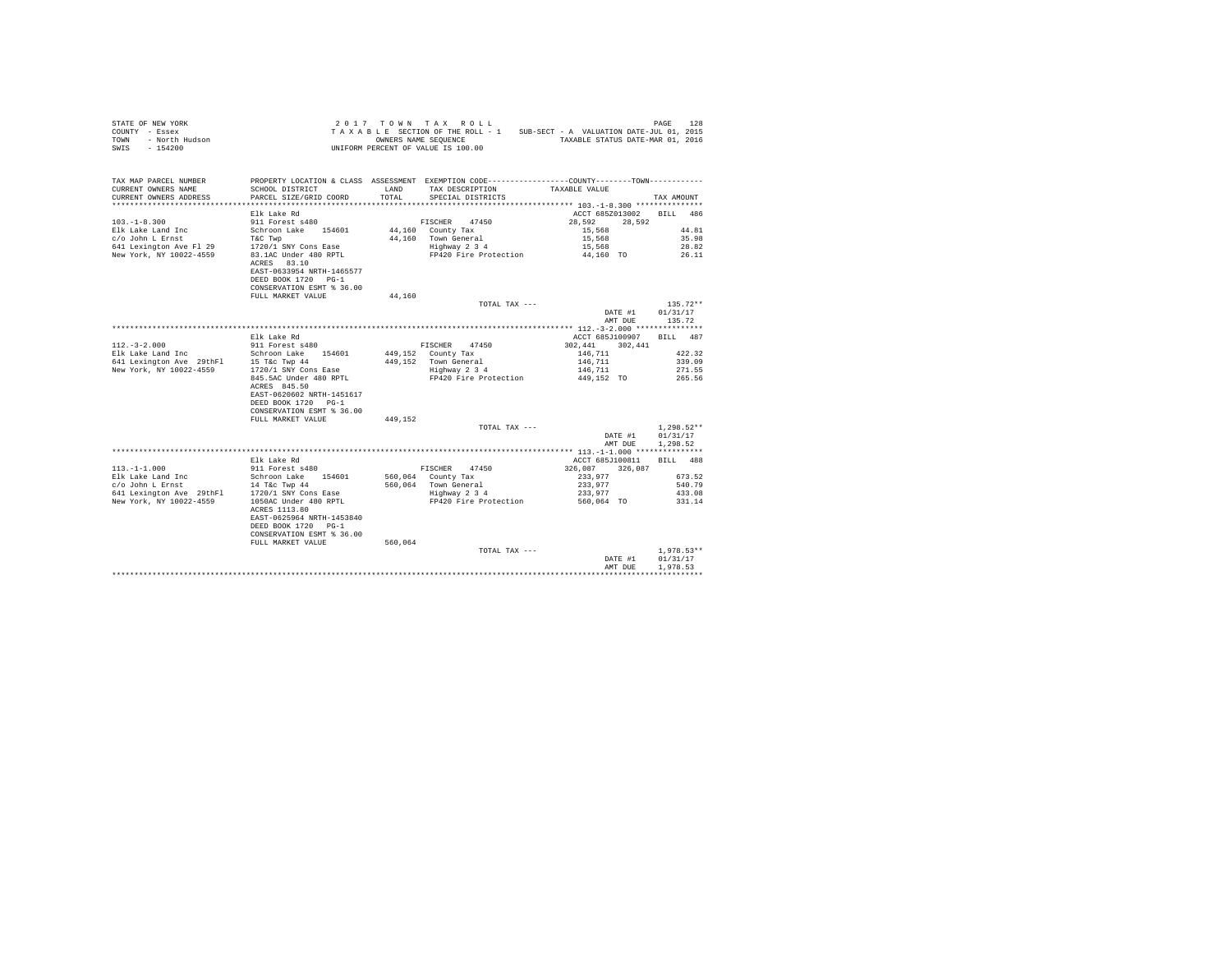| STATE OF NEW YORK      | 2017 TOWN TAX ROLL                 | 128<br>PAGE                              |
|------------------------|------------------------------------|------------------------------------------|
| COUNTY - Essex         | TAXABLE SECTION OF THE ROLL - 1    | SUB-SECT - A VALUATION DATE-JUL 01, 2015 |
| TOWN<br>- North Hudson | OWNERS NAME SEOUENCE               | TAXABLE STATUS DATE-MAR 01, 2016         |
| SWIS<br>- 154200       | UNIFORM PERCENT OF VALUE IS 100.00 |                                          |

| TAX MAP PARCEL NUMBER<br>CURRENT OWNERS NAME<br>CURRENT OWNERS ADDRESS                 | SCHOOL DISTRICT<br>PARCEL SIZE/GRID COORD                                                  | LAND<br>TOTAL | PROPERTY LOCATION & CLASS ASSESSMENT EXEMPTION CODE----------------COUNTY-------TOWN----------<br>TAX DESCRIPTION<br>SPECIAL DISTRICTS | TAXABLE VALUE            | TAX AMOUNT   |
|----------------------------------------------------------------------------------------|--------------------------------------------------------------------------------------------|---------------|----------------------------------------------------------------------------------------------------------------------------------------|--------------------------|--------------|
|                                                                                        |                                                                                            |               |                                                                                                                                        |                          |              |
|                                                                                        | Elk Lake Rd                                                                                |               |                                                                                                                                        | ACCT 685Z013002          | RTLL 486     |
| $103. -1 - 8.300$                                                                      | 911 Forest s480                                                                            |               | FISCHER 47450                                                                                                                          | 28,592<br>28.592         |              |
| Elk Lake Land Inc                                                                      | Schroon Lake 154601                                                                        |               | 44,160 County Tax                                                                                                                      | 15,568                   | 44.81        |
| c/o John L Ernst                                                                       | T&C Twp                                                                                    |               | 44.160 Town General                                                                                                                    | 15,568                   | 35.98        |
| 641 Lexington Ave Fl 29                                                                | $1720/1$ SNY Cons Ease                                                                     |               | Highway 2 3 4                                                                                                                          | 15,568                   | 28.82        |
| New York, NY 10022-4559                                                                | 83.1AC Under 480 RPTL                                                                      |               | FP420 Fire Protection                                                                                                                  | 44.160 TO                | 26.11        |
|                                                                                        | ACRES 83.10<br>EAST-0633954 NRTH-1465577<br>DEED BOOK 1720 PG-1                            |               |                                                                                                                                        |                          |              |
|                                                                                        | CONSERVATION ESMT % 36.00                                                                  |               |                                                                                                                                        |                          |              |
|                                                                                        |                                                                                            |               |                                                                                                                                        |                          |              |
|                                                                                        | FULL MARKET VALUE                                                                          | 44,160        |                                                                                                                                        |                          |              |
|                                                                                        |                                                                                            |               | TOTAL TAX ---                                                                                                                          |                          | $135.72**$   |
|                                                                                        |                                                                                            |               |                                                                                                                                        | DATE #1 01/31/17         |              |
|                                                                                        |                                                                                            |               |                                                                                                                                        | AMT DUE                  | 135.72       |
|                                                                                        |                                                                                            |               |                                                                                                                                        |                          |              |
|                                                                                        | Elk Lake Rd                                                                                |               |                                                                                                                                        | ACCT 685J100907 BILL 487 |              |
| $112. - 3 - 2.000$                                                                     | 911 Forest s480                                                                            |               | FISCHER 47450                                                                                                                          | 302,441<br>302,441       |              |
|                                                                                        |                                                                                            |               | 449,152 County Tax                                                                                                                     | 146,711                  | 422.32       |
|                                                                                        |                                                                                            |               | 449.152 Town General                                                                                                                   | 146,711                  | 339.09       |
| New York, NY 10022-4559 1720/1 SNY Cons Ease                                           |                                                                                            |               | Highway 2 3 4                                                                                                                          | 146,711                  | 271.55       |
|                                                                                        | 845.5AC Under 480 RPTL<br>ACRES 845.50<br>EAST-0620602 NRTH-1451617<br>DEED BOOK 1720 PG-1 |               | FP420 Fire Protection                                                                                                                  | 449,152 TO               | 265.56       |
|                                                                                        | CONSERVATION ESMT % 36.00                                                                  |               |                                                                                                                                        |                          |              |
|                                                                                        | FULL MARKET VALUE                                                                          | 449.152       |                                                                                                                                        |                          |              |
|                                                                                        |                                                                                            |               | TOTAL TAX ---                                                                                                                          |                          | $1,298.52**$ |
|                                                                                        |                                                                                            |               |                                                                                                                                        | DATE #1                  | 01/31/17     |
|                                                                                        |                                                                                            |               |                                                                                                                                        | AMT DUE                  | 1,298.52     |
|                                                                                        |                                                                                            |               |                                                                                                                                        |                          |              |
|                                                                                        | Elk Lake Rd                                                                                |               |                                                                                                                                        | ACCT 685J100811 BILL 488 |              |
| $113. - 1 - 1.000$                                                                     | 911 Forest s480                                                                            |               | FISCHER 47450                                                                                                                          | 326,087<br>326,087       |              |
| Elk Lake Land Inc                                                                      | Schroon Lake 154601                                                                        |               | 560,064 County Tax                                                                                                                     | 233,977                  | 673.52       |
|                                                                                        |                                                                                            |               | 560,064 Town General                                                                                                                   | 233,977                  | 540.79       |
| $c$ /o John L Ernst $14$ T&c Twp 44<br>641 Lexington Ave 29thFl $1720/1$ SNY Cons Ease |                                                                                            |               | Highway 2 3 4                                                                                                                          | 233,977                  | 433.08       |
| New York, NY 10022-4559                                                                | 1050AC Under 480 RPTL                                                                      |               | FP420 Fire Protection                                                                                                                  | 560,064 TO               | 331.14       |
|                                                                                        | ACRES 1113.80                                                                              |               |                                                                                                                                        |                          |              |
|                                                                                        | EAST-0625964 NRTH-1453840                                                                  |               |                                                                                                                                        |                          |              |
|                                                                                        | DEED BOOK 1720 PG-1                                                                        |               |                                                                                                                                        |                          |              |
|                                                                                        | CONSERVATION ESMT % 36.00                                                                  |               |                                                                                                                                        |                          |              |
|                                                                                        | FULL MARKET VALUE                                                                          | 560.064       |                                                                                                                                        |                          |              |
|                                                                                        |                                                                                            |               | TOTAL TAX ---                                                                                                                          |                          | $1.978.53**$ |
|                                                                                        |                                                                                            |               |                                                                                                                                        | DATE #1                  | 01/31/17     |
|                                                                                        |                                                                                            |               |                                                                                                                                        | AMT DUE                  | 1,978.53     |
|                                                                                        |                                                                                            |               |                                                                                                                                        |                          |              |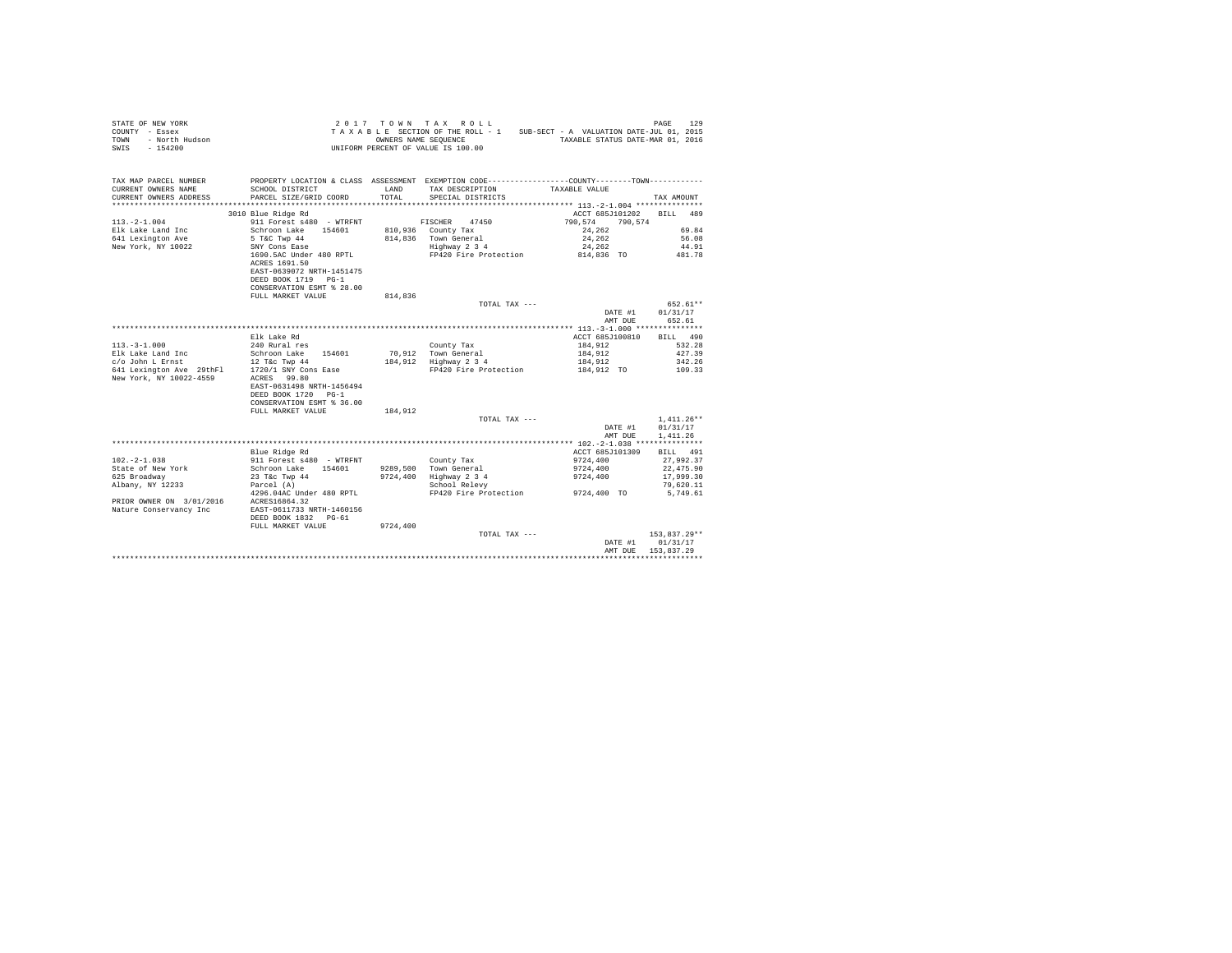| COUNTY - Essex<br>- North Hudson<br>TOWN<br>$-154200$<br>SWIS    |                                                | OWNERS NAME SEQUENCE | TAXABLE SECTION OF THE ROLL - 1<br>UNIFORM PERCENT OF VALUE IS 100.00                           | SUB-SECT - A VALUATION DATE-JUL 01, 2015<br>TAXABLE STATUS DATE-MAR 01, 2016 |                    |
|------------------------------------------------------------------|------------------------------------------------|----------------------|-------------------------------------------------------------------------------------------------|------------------------------------------------------------------------------|--------------------|
| TAX MAP PARCEL NUMBER                                            |                                                |                      | PROPERTY LOCATION & CLASS ASSESSMENT EXEMPTION CODE----------------COUNTY--------TOWN---------- |                                                                              |                    |
| CURRENT OWNERS NAME                                              | SCHOOL DISTRICT                                | LAND                 | TAX DESCRIPTION                                                                                 | TAXABLE VALUE                                                                |                    |
| CURRENT OWNERS ADDRESS                                           | PARCEL SIZE/GRID COORD                         | TOTAL                | SPECIAL DISTRICTS                                                                               |                                                                              | TAX AMOUNT         |
| *************************                                        |                                                |                      |                                                                                                 |                                                                              |                    |
|                                                                  | 3010 Blue Ridge Rd                             |                      |                                                                                                 | ACCT 685J101202                                                              | <b>BILL</b><br>489 |
| $113. -2 - 1.004$                                                | 911 Forest s480 - WTRFNT<br>154601             |                      | FISCHER<br>47450                                                                                | 790.574<br>790.574<br>24,262                                                 | 69.84              |
| Elk Lake Land Inc<br>641 Lexington Ave                           | Schroon Lake<br>5 T&C Twp 44                   |                      | 810,936 County Tax<br>814,836 Town General                                                      | 24,262                                                                       | 56.08              |
| New York, NY 10022                                               | SNY Cons Ease                                  |                      | Highway 2 3 4                                                                                   | 24.262                                                                       | 44.91              |
|                                                                  | 1690.5AC Under 480 RPTL                        |                      | FP420 Fire Protection                                                                           | 814,836 TO                                                                   | 481.78             |
|                                                                  | ACRES 1691.50                                  |                      |                                                                                                 |                                                                              |                    |
|                                                                  | EAST-0639072 NRTH-1451475                      |                      |                                                                                                 |                                                                              |                    |
|                                                                  | DEED BOOK 1719 PG-1                            |                      |                                                                                                 |                                                                              |                    |
|                                                                  | CONSERVATION ESMT % 28.00                      |                      |                                                                                                 |                                                                              |                    |
|                                                                  | FULL MARKET VALUE                              | 814,836              |                                                                                                 |                                                                              |                    |
|                                                                  |                                                |                      | TOTAL TAX ---                                                                                   |                                                                              | 652.61**           |
|                                                                  |                                                |                      |                                                                                                 | DATE #1                                                                      | 01/31/17           |
|                                                                  |                                                |                      |                                                                                                 | AMT DUE                                                                      | 652.61             |
|                                                                  | Elk Lake Rd                                    |                      |                                                                                                 | ACCT 685J100810                                                              | BILL 490           |
| $113. - 3 - 1.000$                                               | 240 Rural res                                  |                      | County Tax                                                                                      | 184,912                                                                      | 532.28             |
| Elk Lake Land Inc                                                | Schroon Lake 154601                            |                      | 70,912 Town General                                                                             | 184,912                                                                      | 427.39             |
| c/o John L Ernst                                                 | 12 T&c Twp 44                                  |                      | 184,912 Highway 2 3 4                                                                           | 184,912                                                                      | 342.26             |
| 641 Lexington Ave 29thFl 1720/1 SNY Cons Ease                    |                                                |                      | FP420 Fire Protection                                                                           | 184,912 TO                                                                   | 109.33             |
| New York, NY 10022-4559                                          | ACRES 99.80                                    |                      |                                                                                                 |                                                                              |                    |
|                                                                  | EAST-0631498 NRTH-1456494                      |                      |                                                                                                 |                                                                              |                    |
|                                                                  | DEED BOOK 1720 PG-1                            |                      |                                                                                                 |                                                                              |                    |
|                                                                  | CONSERVATION ESMT % 36.00<br>FULL MARKET VALUE | 184.912              |                                                                                                 |                                                                              |                    |
|                                                                  |                                                |                      | TOTAL TAX ---                                                                                   |                                                                              | $1,411.26**$       |
|                                                                  |                                                |                      |                                                                                                 | DATE #1                                                                      | 01/31/17           |
|                                                                  |                                                |                      |                                                                                                 | AMT DUE                                                                      | 1,411.26           |
|                                                                  |                                                |                      |                                                                                                 |                                                                              |                    |
|                                                                  | Blue Ridge Rd                                  |                      |                                                                                                 | ACCT 685J101309                                                              | <b>BILL</b> 491    |
| $102. -2 - 1.038$                                                | 911 Forest s480 - WTRFNT                       |                      | County Tax                                                                                      | 9724,400                                                                     | 27,992.37          |
| State of New York                                                | Schroon Lake 154601                            |                      | 9289.500 Town General                                                                           | 9724,400                                                                     | 22,475.90          |
| 625 Broadway                                                     | 23 T&c Twp 44                                  | 9724,400             | Highway 2 3 4                                                                                   | 9724,400                                                                     | 17,999.30          |
| Albany, NY 12233                                                 | Parcel (A)                                     |                      | School Relevy                                                                                   |                                                                              | 79,620.11          |
|                                                                  | 4296.04AC Under 480 RPTL                       |                      | FP420 Fire Protection                                                                           | 9724,400 TO                                                                  | 5,749.61           |
| PRIOR OWNER ON 3/01/2016 ACRES16864.32<br>Nature Conservancy Inc | EAST-0611733 NRTH-1460156                      |                      |                                                                                                 |                                                                              |                    |
|                                                                  | DEED BOOK 1832 PG-61                           |                      |                                                                                                 |                                                                              |                    |
|                                                                  | FULL MARKET VALUE                              | 9724,400             |                                                                                                 |                                                                              |                    |
|                                                                  |                                                |                      | TOTAL TAX ---                                                                                   |                                                                              | 153,837.29**       |
|                                                                  |                                                |                      |                                                                                                 | DATE #1                                                                      | 01/31/17           |
|                                                                  |                                                |                      |                                                                                                 | AMT DUE                                                                      | 153.837.29         |
|                                                                  |                                                |                      |                                                                                                 |                                                                              |                    |

STATE OF NEW YORK **2017** TOWN TAX ROLL **PAGE 129**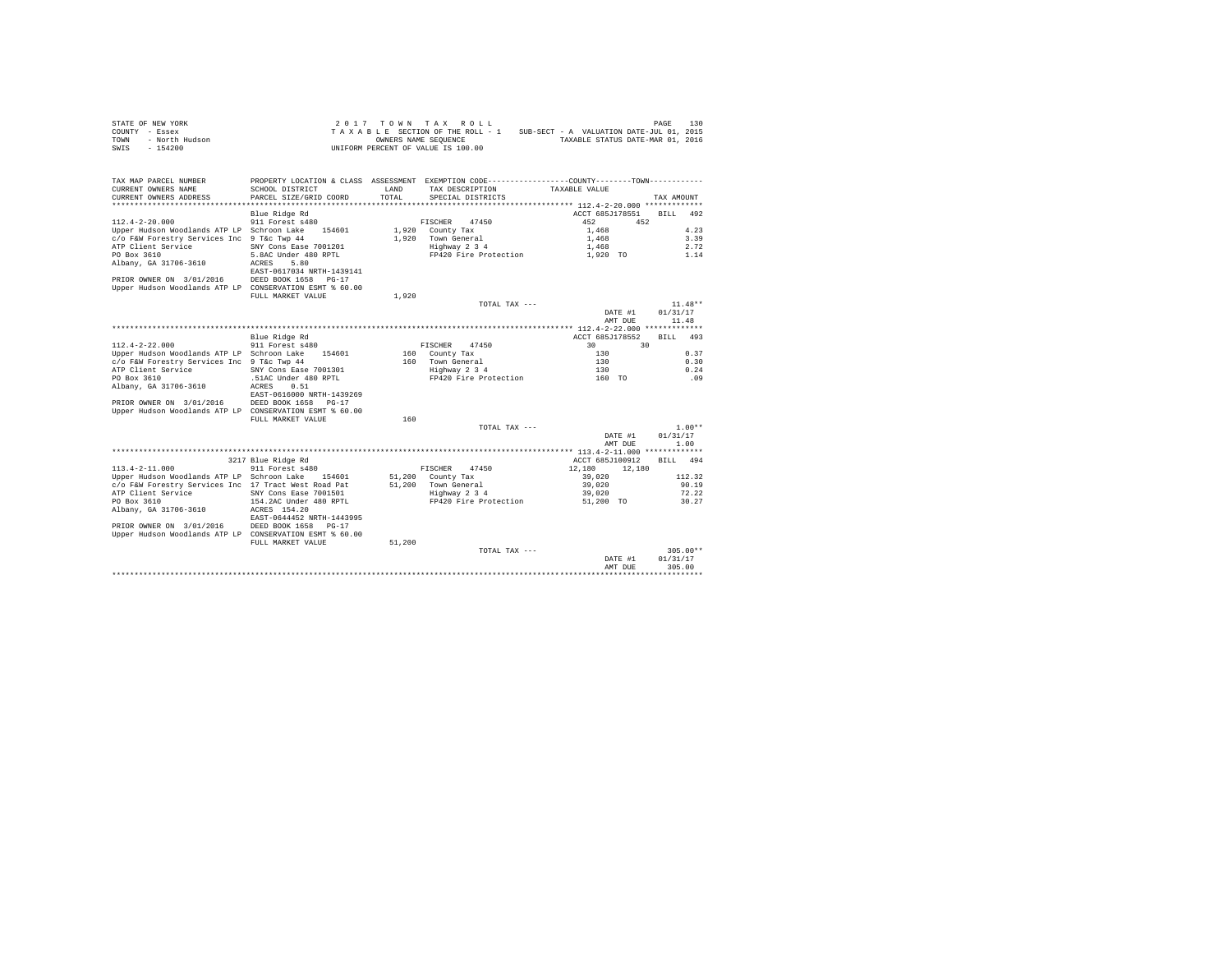|                | STATE OF NEW YORK |  |  |  | $2.017$ TOWN TAX ROLL              |  |  |  |  |                                          | PAGE | 130 |
|----------------|-------------------|--|--|--|------------------------------------|--|--|--|--|------------------------------------------|------|-----|
| COUNTY - Essex |                   |  |  |  | TAXABLE SECTION OF THE ROLL - 1    |  |  |  |  | SUB-SECT - A VALUATION DATE-JUL 01, 2015 |      |     |
| TOWN           | - North Hudson    |  |  |  | OWNERS NAME SEOUENCE               |  |  |  |  | TAXABLE STATUS DATE-MAR 01, 2016         |      |     |
| SWIS           | - 154200          |  |  |  | UNIFORM PERCENT OF VALUE IS 100.00 |  |  |  |  |                                          |      |     |

| TAX MAP PARCEL NUMBER                                   |                           |        | PROPERTY LOCATION & CLASS ASSESSMENT EXEMPTION CODE---------------COUNTY-------TOWN--------- |                                |                    |
|---------------------------------------------------------|---------------------------|--------|----------------------------------------------------------------------------------------------|--------------------------------|--------------------|
| CURRENT OWNERS NAME                                     | SCHOOL DISTRICT           | LAND   | TAX DESCRIPTION                                                                              | TAXABLE VALUE                  |                    |
| CURRENT OWNERS ADDRESS                                  | PARCEL SIZE/GRID COORD    | TOTAL. | SPECIAL DISTRICTS                                                                            |                                | TAX AMOUNT         |
|                                                         |                           |        |                                                                                              |                                |                    |
|                                                         | Blue Ridge Rd             |        |                                                                                              | ACCT 685J178551                | 492<br><b>BILL</b> |
| $112.4 - 2 - 20.000$                                    | 911 Forest s480           |        | FISCHER<br>47450                                                                             | 452<br>452                     |                    |
| Upper Hudson Woodlands ATP LP Schroon Lake              | 154601                    | 1,920  | County Tax                                                                                   | 1,468                          | 4.23               |
| c/o F&W Forestry Services Inc 9 T&c Twp 44              |                           | 1,920  | Town General                                                                                 | 1,468                          | 3.39               |
| ATP Client Service                                      | SNY Cons Ease 7001201     |        | Highway 2 3 4                                                                                | 1,468                          | 2.72               |
| PO Box 3610                                             | 5.8AC Under 480 RPTL      |        | FP420 Fire Protection                                                                        | 1,920 TO                       | 1.14               |
| Albany, GA 31706-3610                                   | 5.80<br>ACRES             |        |                                                                                              |                                |                    |
|                                                         | EAST-0617034 NRTH-1439141 |        |                                                                                              |                                |                    |
| PRIOR OWNER ON 3/01/2016                                | DEED BOOK 1658 PG-17      |        |                                                                                              |                                |                    |
| Upper Hudson Woodlands ATP LP CONSERVATION ESMT % 60.00 |                           |        |                                                                                              |                                |                    |
|                                                         | FULL MARKET VALUE         | 1,920  |                                                                                              |                                |                    |
|                                                         |                           |        | TOTAL TAX ---                                                                                |                                | $11.48**$          |
|                                                         |                           |        |                                                                                              | DATE #1                        | 01/31/17           |
|                                                         |                           |        |                                                                                              | AMT DUE                        | 11.48              |
|                                                         |                           |        |                                                                                              | * 112.4-2-22.000 ************* |                    |
|                                                         | Blue Ridge Rd             |        |                                                                                              | ACCT 685J178552                | 493<br><b>BILL</b> |
| $112.4 - 2 - 22.000$                                    | 911 Forest s480           |        | 47450<br>FISCHER                                                                             | 30<br>30                       |                    |
| Upper Hudson Woodlands ATP LP Schroon Lake              | 154601                    | 160    | County Tax                                                                                   | 130                            | 0.37               |
| c/o F&W Forestry Services Inc 9 T&c Twp 44              |                           | 160    | Town General                                                                                 | 130                            | 0.30               |
| ATP Client Service                                      | SNY Cons Ease 7001301     |        | Highway 2 3 4                                                                                | 130                            | 0.24               |
| PO Box 3610                                             | .51AC Under 480 RPTL      |        | FP420 Fire Protection                                                                        | 160 TO                         | .09                |
|                                                         | 0.51<br>ACRES             |        |                                                                                              |                                |                    |
| Albany, GA 31706-3610                                   |                           |        |                                                                                              |                                |                    |
|                                                         | EAST-0616000 NRTH-1439269 |        |                                                                                              |                                |                    |
| PRIOR OWNER ON 3/01/2016                                | DEED BOOK 1658<br>$PG-17$ |        |                                                                                              |                                |                    |
| Upper Hudson Woodlands ATP LP CONSERVATION ESMT % 60.00 |                           |        |                                                                                              |                                |                    |
|                                                         | FULL MARKET VALUE         | 160    |                                                                                              |                                |                    |
|                                                         |                           |        | TOTAL TAX ---                                                                                |                                | $1.00**$           |
|                                                         |                           |        |                                                                                              | DATE #1                        | 01/31/17           |
|                                                         |                           |        |                                                                                              | AMT DUE                        | 1.00               |
|                                                         |                           |        |                                                                                              |                                |                    |
|                                                         | 3217 Blue Ridge Rd        |        |                                                                                              | ACCT 685J100912                | <b>BILL</b><br>494 |
| $113.4 - 2 - 11.000$                                    | 911 Forest s480           |        | FISCHER<br>47450                                                                             | 12,180<br>12,180               |                    |
| Upper Hudson Woodlands ATP LP Schroon Lake              | 154601                    | 51,200 | County Tax                                                                                   | 39,020                         | 112.32             |
| c/o F&W Forestry Services Inc 17 Tract West Road Pat    |                           | 51,200 | Town General                                                                                 | 39,020                         | 90.19              |
| ATP Client Service                                      | SNY Cons Ease 7001501     |        | Highway 2 3 4                                                                                | 39,020                         | 72.22              |
| PO Box 3610                                             | 154.2AC Under 480 RPTL    |        | FP420 Fire Protection                                                                        | 51,200 TO                      | 30.27              |
| Albany, GA 31706-3610                                   | ACRES 154.20              |        |                                                                                              |                                |                    |
|                                                         | EAST-0644452 NRTH-1443995 |        |                                                                                              |                                |                    |
| PRIOR OWNER ON 3/01/2016                                | DEED BOOK 1658<br>$PG-17$ |        |                                                                                              |                                |                    |
| Upper Hudson Woodlands ATP LP CONSERVATION ESMT % 60.00 |                           |        |                                                                                              |                                |                    |
|                                                         | FULL MARKET VALUE         | 51,200 |                                                                                              |                                |                    |
|                                                         |                           |        | TOTAL TAX ---                                                                                |                                | $305.00**$         |
|                                                         |                           |        |                                                                                              | DATE #1                        | 01/31/17           |
|                                                         |                           |        |                                                                                              | AMT DUE                        | 305.00             |
|                                                         |                           |        |                                                                                              |                                |                    |
|                                                         |                           |        |                                                                                              |                                |                    |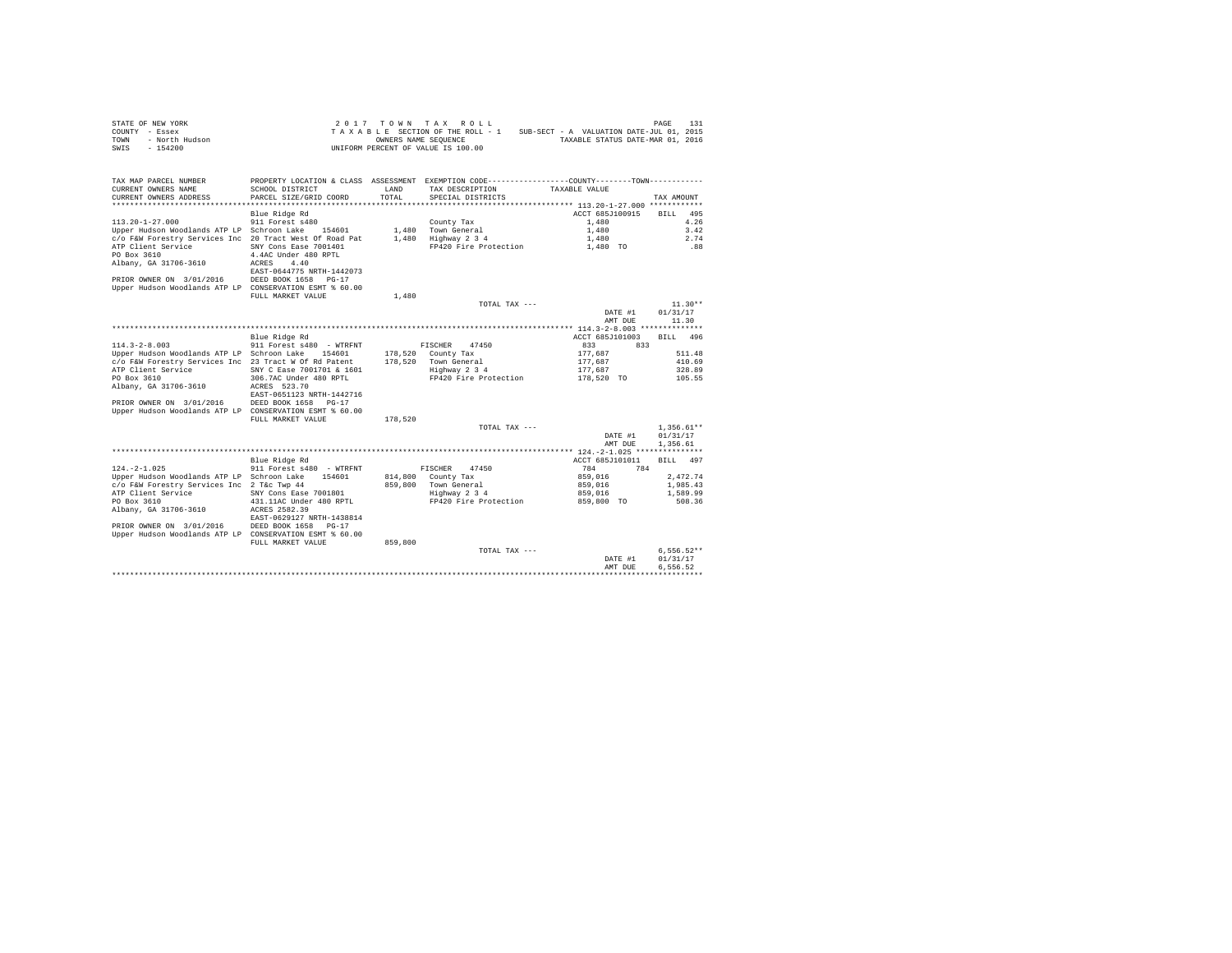|                | STATE OF NEW YORK |  |  |  | 2017 TOWN TAX ROLL                 |  |  |  |  |                                          | PAGE | 131 |
|----------------|-------------------|--|--|--|------------------------------------|--|--|--|--|------------------------------------------|------|-----|
| COUNTY - Essex |                   |  |  |  | TAXABLE SECTION OF THE ROLL - 1    |  |  |  |  | SUB-SECT - A VALUATION DATE-JUL 01, 2015 |      |     |
| TOWN           | - North Hudson    |  |  |  | OWNERS NAME SEOUENCE               |  |  |  |  | TAXABLE STATUS DATE-MAR 01, 2016         |      |     |
| SWIS           | - 154200          |  |  |  | UNIFORM PERCENT OF VALUE IS 100.00 |  |  |  |  |                                          |      |     |

| TOTAL.<br>CURRENT OWNERS ADDRESS<br>PARCEL SIZE/GRID COORD<br>SPECIAL DISTRICTS<br>TAX AMOUNT<br>Blue Ridge Rd<br>ACCT 685J100915<br>495<br>RTLL.<br>$113.20 - 1 - 27.000$<br>911 Forest s480<br>4.26<br>County Tax<br>1,480<br>3.42<br>Upper Hudson Woodlands ATP LP Schroon Lake<br>154601<br>1,480<br>Town General<br>1,480<br>c/o F&W Forestry Services Inc 20 Tract West Of Road Pat<br>1,480<br>Highway 2 3 4<br>2.74<br>1,480<br>ATP Client Service<br>SNY Cons Ease 7001401<br>FP420 Fire Protection<br>.88<br>1,480 TO<br>PO Box 3610<br>4.4AC Under 480 RPTL<br>Albany, GA 31706-3610<br>4.40<br>ACRES<br>EAST-0644775 NRTH-1442073<br>PRIOR OWNER ON 3/01/2016<br>DEED BOOK 1658 PG-17<br>Upper Hudson Woodlands ATP LP CONSERVATION ESMT % 60.00<br>FULL MARKET VALUE<br>1,480<br>$11.30**$<br>TOTAL TAX ---<br>DATE #1<br>01/31/17<br>11.30<br>AMT DUE<br>********* 114.3-2-8.003 **************<br>Blue Ridge Rd<br>ACCT 685J101003<br>BILL 496<br>$114.3 - 2 - 8.003$<br>911 Forest s480 - WTRFNT<br>47450<br>833<br>833<br>FISCHER<br>Upper Hudson Woodlands ATP LP Schroon Lake<br>178,520<br>177.687<br>511.48<br>154601<br>County Tax<br>c/o F&W Forestry Services Inc 23 Tract W Of Rd Patent<br>178,520<br>Town General<br>177.687<br>410.69<br>ATP Client Service<br>SNY C Ease 7001701 & 1601<br>Highway 2 3 4<br>177.687<br>328.89<br>PO Box 3610<br>306.7AC Under 480 RPTL<br>FP420 Fire Protection<br>178,520 TO<br>105.55<br>Albany, GA 31706-3610<br>ACRES 523.70<br>EAST-0651123 NRTH-1442716<br>PRIOR OWNER ON 3/01/2016<br>DEED BOOK 1658<br>$PG-17$<br>Upper Hudson Woodlands ATP LP CONSERVATION ESMT % 60.00<br>FULL MARKET VALUE<br>178,520<br>$1,356.61**$<br>TOTAL TAX ---<br>01/31/17<br>DATE #1<br>AMT DUE<br>1,356.61<br>Blue Ridge Rd<br>ACCT 685J101011<br><b>BILL</b><br>497<br>$124. -2 - 1.025$<br>911 Forest s480 - WTRFNT<br>784<br>784<br>FISCHER<br>47450<br>Upper Hudson Woodlands ATP LP Schroon Lake<br>2,472.74<br>154601<br>814,800<br>County Tax<br>859,016<br>c/o F&W Forestry Services Inc 2 T&c Twp 44<br>859,800<br>Town General<br>859,016<br>1,985.43<br>ATP Client Service<br>SNY Cons Ease 7001801<br>Highway 2 3 4<br>859,016<br>1,589.99<br>PO Box 3610<br>FP420 Fire Protection<br>431.11AC Under 480 RPTL<br>859,800 TO<br>508.36<br>Albany, GA 31706-3610<br>ACRES 2582.39<br>EAST-0629127 NRTH-1438814<br>PRIOR OWNER ON 3/01/2016<br>DEED BOOK 1658<br>$PG-17$<br>Upper Hudson Woodlands ATP LP CONSERVATION ESMT % 60.00<br>859,800<br>FULL MARKET VALUE<br>$6.556.52**$<br>TOTAL TAX ---<br>DATE #1<br>01/31/17<br>6.556.52<br>AMT DUE | TAX MAP PARCEL NUMBER | PROPERTY LOCATION & CLASS ASSESSMENT EXEMPTION CODE----------------COUNTY-------TOWN---------- |      |                 |               |  |
|----------------------------------------------------------------------------------------------------------------------------------------------------------------------------------------------------------------------------------------------------------------------------------------------------------------------------------------------------------------------------------------------------------------------------------------------------------------------------------------------------------------------------------------------------------------------------------------------------------------------------------------------------------------------------------------------------------------------------------------------------------------------------------------------------------------------------------------------------------------------------------------------------------------------------------------------------------------------------------------------------------------------------------------------------------------------------------------------------------------------------------------------------------------------------------------------------------------------------------------------------------------------------------------------------------------------------------------------------------------------------------------------------------------------------------------------------------------------------------------------------------------------------------------------------------------------------------------------------------------------------------------------------------------------------------------------------------------------------------------------------------------------------------------------------------------------------------------------------------------------------------------------------------------------------------------------------------------------------------------------------------------------------------------------------------------------------------------------------------------------------------------------------------------------------------------------------------------------------------------------------------------------------------------------------------------------------------------------------------------------------------------------------------------------------------------------------------------------------------------------------------------------------------------------------------------------------------------------------------------|-----------------------|------------------------------------------------------------------------------------------------|------|-----------------|---------------|--|
|                                                                                                                                                                                                                                                                                                                                                                                                                                                                                                                                                                                                                                                                                                                                                                                                                                                                                                                                                                                                                                                                                                                                                                                                                                                                                                                                                                                                                                                                                                                                                                                                                                                                                                                                                                                                                                                                                                                                                                                                                                                                                                                                                                                                                                                                                                                                                                                                                                                                                                                                                                                                                | CURRENT OWNERS NAME   | SCHOOL DISTRICT                                                                                | LAND | TAX DESCRIPTION | TAXABLE VALUE |  |
|                                                                                                                                                                                                                                                                                                                                                                                                                                                                                                                                                                                                                                                                                                                                                                                                                                                                                                                                                                                                                                                                                                                                                                                                                                                                                                                                                                                                                                                                                                                                                                                                                                                                                                                                                                                                                                                                                                                                                                                                                                                                                                                                                                                                                                                                                                                                                                                                                                                                                                                                                                                                                |                       |                                                                                                |      |                 |               |  |
|                                                                                                                                                                                                                                                                                                                                                                                                                                                                                                                                                                                                                                                                                                                                                                                                                                                                                                                                                                                                                                                                                                                                                                                                                                                                                                                                                                                                                                                                                                                                                                                                                                                                                                                                                                                                                                                                                                                                                                                                                                                                                                                                                                                                                                                                                                                                                                                                                                                                                                                                                                                                                |                       |                                                                                                |      |                 |               |  |
|                                                                                                                                                                                                                                                                                                                                                                                                                                                                                                                                                                                                                                                                                                                                                                                                                                                                                                                                                                                                                                                                                                                                                                                                                                                                                                                                                                                                                                                                                                                                                                                                                                                                                                                                                                                                                                                                                                                                                                                                                                                                                                                                                                                                                                                                                                                                                                                                                                                                                                                                                                                                                |                       |                                                                                                |      |                 |               |  |
|                                                                                                                                                                                                                                                                                                                                                                                                                                                                                                                                                                                                                                                                                                                                                                                                                                                                                                                                                                                                                                                                                                                                                                                                                                                                                                                                                                                                                                                                                                                                                                                                                                                                                                                                                                                                                                                                                                                                                                                                                                                                                                                                                                                                                                                                                                                                                                                                                                                                                                                                                                                                                |                       |                                                                                                |      |                 |               |  |
|                                                                                                                                                                                                                                                                                                                                                                                                                                                                                                                                                                                                                                                                                                                                                                                                                                                                                                                                                                                                                                                                                                                                                                                                                                                                                                                                                                                                                                                                                                                                                                                                                                                                                                                                                                                                                                                                                                                                                                                                                                                                                                                                                                                                                                                                                                                                                                                                                                                                                                                                                                                                                |                       |                                                                                                |      |                 |               |  |
|                                                                                                                                                                                                                                                                                                                                                                                                                                                                                                                                                                                                                                                                                                                                                                                                                                                                                                                                                                                                                                                                                                                                                                                                                                                                                                                                                                                                                                                                                                                                                                                                                                                                                                                                                                                                                                                                                                                                                                                                                                                                                                                                                                                                                                                                                                                                                                                                                                                                                                                                                                                                                |                       |                                                                                                |      |                 |               |  |
|                                                                                                                                                                                                                                                                                                                                                                                                                                                                                                                                                                                                                                                                                                                                                                                                                                                                                                                                                                                                                                                                                                                                                                                                                                                                                                                                                                                                                                                                                                                                                                                                                                                                                                                                                                                                                                                                                                                                                                                                                                                                                                                                                                                                                                                                                                                                                                                                                                                                                                                                                                                                                |                       |                                                                                                |      |                 |               |  |
|                                                                                                                                                                                                                                                                                                                                                                                                                                                                                                                                                                                                                                                                                                                                                                                                                                                                                                                                                                                                                                                                                                                                                                                                                                                                                                                                                                                                                                                                                                                                                                                                                                                                                                                                                                                                                                                                                                                                                                                                                                                                                                                                                                                                                                                                                                                                                                                                                                                                                                                                                                                                                |                       |                                                                                                |      |                 |               |  |
|                                                                                                                                                                                                                                                                                                                                                                                                                                                                                                                                                                                                                                                                                                                                                                                                                                                                                                                                                                                                                                                                                                                                                                                                                                                                                                                                                                                                                                                                                                                                                                                                                                                                                                                                                                                                                                                                                                                                                                                                                                                                                                                                                                                                                                                                                                                                                                                                                                                                                                                                                                                                                |                       |                                                                                                |      |                 |               |  |
|                                                                                                                                                                                                                                                                                                                                                                                                                                                                                                                                                                                                                                                                                                                                                                                                                                                                                                                                                                                                                                                                                                                                                                                                                                                                                                                                                                                                                                                                                                                                                                                                                                                                                                                                                                                                                                                                                                                                                                                                                                                                                                                                                                                                                                                                                                                                                                                                                                                                                                                                                                                                                |                       |                                                                                                |      |                 |               |  |
|                                                                                                                                                                                                                                                                                                                                                                                                                                                                                                                                                                                                                                                                                                                                                                                                                                                                                                                                                                                                                                                                                                                                                                                                                                                                                                                                                                                                                                                                                                                                                                                                                                                                                                                                                                                                                                                                                                                                                                                                                                                                                                                                                                                                                                                                                                                                                                                                                                                                                                                                                                                                                |                       |                                                                                                |      |                 |               |  |
|                                                                                                                                                                                                                                                                                                                                                                                                                                                                                                                                                                                                                                                                                                                                                                                                                                                                                                                                                                                                                                                                                                                                                                                                                                                                                                                                                                                                                                                                                                                                                                                                                                                                                                                                                                                                                                                                                                                                                                                                                                                                                                                                                                                                                                                                                                                                                                                                                                                                                                                                                                                                                |                       |                                                                                                |      |                 |               |  |
|                                                                                                                                                                                                                                                                                                                                                                                                                                                                                                                                                                                                                                                                                                                                                                                                                                                                                                                                                                                                                                                                                                                                                                                                                                                                                                                                                                                                                                                                                                                                                                                                                                                                                                                                                                                                                                                                                                                                                                                                                                                                                                                                                                                                                                                                                                                                                                                                                                                                                                                                                                                                                |                       |                                                                                                |      |                 |               |  |
|                                                                                                                                                                                                                                                                                                                                                                                                                                                                                                                                                                                                                                                                                                                                                                                                                                                                                                                                                                                                                                                                                                                                                                                                                                                                                                                                                                                                                                                                                                                                                                                                                                                                                                                                                                                                                                                                                                                                                                                                                                                                                                                                                                                                                                                                                                                                                                                                                                                                                                                                                                                                                |                       |                                                                                                |      |                 |               |  |
|                                                                                                                                                                                                                                                                                                                                                                                                                                                                                                                                                                                                                                                                                                                                                                                                                                                                                                                                                                                                                                                                                                                                                                                                                                                                                                                                                                                                                                                                                                                                                                                                                                                                                                                                                                                                                                                                                                                                                                                                                                                                                                                                                                                                                                                                                                                                                                                                                                                                                                                                                                                                                |                       |                                                                                                |      |                 |               |  |
|                                                                                                                                                                                                                                                                                                                                                                                                                                                                                                                                                                                                                                                                                                                                                                                                                                                                                                                                                                                                                                                                                                                                                                                                                                                                                                                                                                                                                                                                                                                                                                                                                                                                                                                                                                                                                                                                                                                                                                                                                                                                                                                                                                                                                                                                                                                                                                                                                                                                                                                                                                                                                |                       |                                                                                                |      |                 |               |  |
|                                                                                                                                                                                                                                                                                                                                                                                                                                                                                                                                                                                                                                                                                                                                                                                                                                                                                                                                                                                                                                                                                                                                                                                                                                                                                                                                                                                                                                                                                                                                                                                                                                                                                                                                                                                                                                                                                                                                                                                                                                                                                                                                                                                                                                                                                                                                                                                                                                                                                                                                                                                                                |                       |                                                                                                |      |                 |               |  |
|                                                                                                                                                                                                                                                                                                                                                                                                                                                                                                                                                                                                                                                                                                                                                                                                                                                                                                                                                                                                                                                                                                                                                                                                                                                                                                                                                                                                                                                                                                                                                                                                                                                                                                                                                                                                                                                                                                                                                                                                                                                                                                                                                                                                                                                                                                                                                                                                                                                                                                                                                                                                                |                       |                                                                                                |      |                 |               |  |
|                                                                                                                                                                                                                                                                                                                                                                                                                                                                                                                                                                                                                                                                                                                                                                                                                                                                                                                                                                                                                                                                                                                                                                                                                                                                                                                                                                                                                                                                                                                                                                                                                                                                                                                                                                                                                                                                                                                                                                                                                                                                                                                                                                                                                                                                                                                                                                                                                                                                                                                                                                                                                |                       |                                                                                                |      |                 |               |  |
|                                                                                                                                                                                                                                                                                                                                                                                                                                                                                                                                                                                                                                                                                                                                                                                                                                                                                                                                                                                                                                                                                                                                                                                                                                                                                                                                                                                                                                                                                                                                                                                                                                                                                                                                                                                                                                                                                                                                                                                                                                                                                                                                                                                                                                                                                                                                                                                                                                                                                                                                                                                                                |                       |                                                                                                |      |                 |               |  |
|                                                                                                                                                                                                                                                                                                                                                                                                                                                                                                                                                                                                                                                                                                                                                                                                                                                                                                                                                                                                                                                                                                                                                                                                                                                                                                                                                                                                                                                                                                                                                                                                                                                                                                                                                                                                                                                                                                                                                                                                                                                                                                                                                                                                                                                                                                                                                                                                                                                                                                                                                                                                                |                       |                                                                                                |      |                 |               |  |
|                                                                                                                                                                                                                                                                                                                                                                                                                                                                                                                                                                                                                                                                                                                                                                                                                                                                                                                                                                                                                                                                                                                                                                                                                                                                                                                                                                                                                                                                                                                                                                                                                                                                                                                                                                                                                                                                                                                                                                                                                                                                                                                                                                                                                                                                                                                                                                                                                                                                                                                                                                                                                |                       |                                                                                                |      |                 |               |  |
|                                                                                                                                                                                                                                                                                                                                                                                                                                                                                                                                                                                                                                                                                                                                                                                                                                                                                                                                                                                                                                                                                                                                                                                                                                                                                                                                                                                                                                                                                                                                                                                                                                                                                                                                                                                                                                                                                                                                                                                                                                                                                                                                                                                                                                                                                                                                                                                                                                                                                                                                                                                                                |                       |                                                                                                |      |                 |               |  |
|                                                                                                                                                                                                                                                                                                                                                                                                                                                                                                                                                                                                                                                                                                                                                                                                                                                                                                                                                                                                                                                                                                                                                                                                                                                                                                                                                                                                                                                                                                                                                                                                                                                                                                                                                                                                                                                                                                                                                                                                                                                                                                                                                                                                                                                                                                                                                                                                                                                                                                                                                                                                                |                       |                                                                                                |      |                 |               |  |
|                                                                                                                                                                                                                                                                                                                                                                                                                                                                                                                                                                                                                                                                                                                                                                                                                                                                                                                                                                                                                                                                                                                                                                                                                                                                                                                                                                                                                                                                                                                                                                                                                                                                                                                                                                                                                                                                                                                                                                                                                                                                                                                                                                                                                                                                                                                                                                                                                                                                                                                                                                                                                |                       |                                                                                                |      |                 |               |  |
|                                                                                                                                                                                                                                                                                                                                                                                                                                                                                                                                                                                                                                                                                                                                                                                                                                                                                                                                                                                                                                                                                                                                                                                                                                                                                                                                                                                                                                                                                                                                                                                                                                                                                                                                                                                                                                                                                                                                                                                                                                                                                                                                                                                                                                                                                                                                                                                                                                                                                                                                                                                                                |                       |                                                                                                |      |                 |               |  |
|                                                                                                                                                                                                                                                                                                                                                                                                                                                                                                                                                                                                                                                                                                                                                                                                                                                                                                                                                                                                                                                                                                                                                                                                                                                                                                                                                                                                                                                                                                                                                                                                                                                                                                                                                                                                                                                                                                                                                                                                                                                                                                                                                                                                                                                                                                                                                                                                                                                                                                                                                                                                                |                       |                                                                                                |      |                 |               |  |
|                                                                                                                                                                                                                                                                                                                                                                                                                                                                                                                                                                                                                                                                                                                                                                                                                                                                                                                                                                                                                                                                                                                                                                                                                                                                                                                                                                                                                                                                                                                                                                                                                                                                                                                                                                                                                                                                                                                                                                                                                                                                                                                                                                                                                                                                                                                                                                                                                                                                                                                                                                                                                |                       |                                                                                                |      |                 |               |  |
|                                                                                                                                                                                                                                                                                                                                                                                                                                                                                                                                                                                                                                                                                                                                                                                                                                                                                                                                                                                                                                                                                                                                                                                                                                                                                                                                                                                                                                                                                                                                                                                                                                                                                                                                                                                                                                                                                                                                                                                                                                                                                                                                                                                                                                                                                                                                                                                                                                                                                                                                                                                                                |                       |                                                                                                |      |                 |               |  |
|                                                                                                                                                                                                                                                                                                                                                                                                                                                                                                                                                                                                                                                                                                                                                                                                                                                                                                                                                                                                                                                                                                                                                                                                                                                                                                                                                                                                                                                                                                                                                                                                                                                                                                                                                                                                                                                                                                                                                                                                                                                                                                                                                                                                                                                                                                                                                                                                                                                                                                                                                                                                                |                       |                                                                                                |      |                 |               |  |
|                                                                                                                                                                                                                                                                                                                                                                                                                                                                                                                                                                                                                                                                                                                                                                                                                                                                                                                                                                                                                                                                                                                                                                                                                                                                                                                                                                                                                                                                                                                                                                                                                                                                                                                                                                                                                                                                                                                                                                                                                                                                                                                                                                                                                                                                                                                                                                                                                                                                                                                                                                                                                |                       |                                                                                                |      |                 |               |  |
|                                                                                                                                                                                                                                                                                                                                                                                                                                                                                                                                                                                                                                                                                                                                                                                                                                                                                                                                                                                                                                                                                                                                                                                                                                                                                                                                                                                                                                                                                                                                                                                                                                                                                                                                                                                                                                                                                                                                                                                                                                                                                                                                                                                                                                                                                                                                                                                                                                                                                                                                                                                                                |                       |                                                                                                |      |                 |               |  |
|                                                                                                                                                                                                                                                                                                                                                                                                                                                                                                                                                                                                                                                                                                                                                                                                                                                                                                                                                                                                                                                                                                                                                                                                                                                                                                                                                                                                                                                                                                                                                                                                                                                                                                                                                                                                                                                                                                                                                                                                                                                                                                                                                                                                                                                                                                                                                                                                                                                                                                                                                                                                                |                       |                                                                                                |      |                 |               |  |
|                                                                                                                                                                                                                                                                                                                                                                                                                                                                                                                                                                                                                                                                                                                                                                                                                                                                                                                                                                                                                                                                                                                                                                                                                                                                                                                                                                                                                                                                                                                                                                                                                                                                                                                                                                                                                                                                                                                                                                                                                                                                                                                                                                                                                                                                                                                                                                                                                                                                                                                                                                                                                |                       |                                                                                                |      |                 |               |  |
|                                                                                                                                                                                                                                                                                                                                                                                                                                                                                                                                                                                                                                                                                                                                                                                                                                                                                                                                                                                                                                                                                                                                                                                                                                                                                                                                                                                                                                                                                                                                                                                                                                                                                                                                                                                                                                                                                                                                                                                                                                                                                                                                                                                                                                                                                                                                                                                                                                                                                                                                                                                                                |                       |                                                                                                |      |                 |               |  |
|                                                                                                                                                                                                                                                                                                                                                                                                                                                                                                                                                                                                                                                                                                                                                                                                                                                                                                                                                                                                                                                                                                                                                                                                                                                                                                                                                                                                                                                                                                                                                                                                                                                                                                                                                                                                                                                                                                                                                                                                                                                                                                                                                                                                                                                                                                                                                                                                                                                                                                                                                                                                                |                       |                                                                                                |      |                 |               |  |
|                                                                                                                                                                                                                                                                                                                                                                                                                                                                                                                                                                                                                                                                                                                                                                                                                                                                                                                                                                                                                                                                                                                                                                                                                                                                                                                                                                                                                                                                                                                                                                                                                                                                                                                                                                                                                                                                                                                                                                                                                                                                                                                                                                                                                                                                                                                                                                                                                                                                                                                                                                                                                |                       |                                                                                                |      |                 |               |  |
|                                                                                                                                                                                                                                                                                                                                                                                                                                                                                                                                                                                                                                                                                                                                                                                                                                                                                                                                                                                                                                                                                                                                                                                                                                                                                                                                                                                                                                                                                                                                                                                                                                                                                                                                                                                                                                                                                                                                                                                                                                                                                                                                                                                                                                                                                                                                                                                                                                                                                                                                                                                                                |                       |                                                                                                |      |                 |               |  |
|                                                                                                                                                                                                                                                                                                                                                                                                                                                                                                                                                                                                                                                                                                                                                                                                                                                                                                                                                                                                                                                                                                                                                                                                                                                                                                                                                                                                                                                                                                                                                                                                                                                                                                                                                                                                                                                                                                                                                                                                                                                                                                                                                                                                                                                                                                                                                                                                                                                                                                                                                                                                                |                       |                                                                                                |      |                 |               |  |
|                                                                                                                                                                                                                                                                                                                                                                                                                                                                                                                                                                                                                                                                                                                                                                                                                                                                                                                                                                                                                                                                                                                                                                                                                                                                                                                                                                                                                                                                                                                                                                                                                                                                                                                                                                                                                                                                                                                                                                                                                                                                                                                                                                                                                                                                                                                                                                                                                                                                                                                                                                                                                |                       |                                                                                                |      |                 |               |  |
|                                                                                                                                                                                                                                                                                                                                                                                                                                                                                                                                                                                                                                                                                                                                                                                                                                                                                                                                                                                                                                                                                                                                                                                                                                                                                                                                                                                                                                                                                                                                                                                                                                                                                                                                                                                                                                                                                                                                                                                                                                                                                                                                                                                                                                                                                                                                                                                                                                                                                                                                                                                                                |                       |                                                                                                |      |                 |               |  |
|                                                                                                                                                                                                                                                                                                                                                                                                                                                                                                                                                                                                                                                                                                                                                                                                                                                                                                                                                                                                                                                                                                                                                                                                                                                                                                                                                                                                                                                                                                                                                                                                                                                                                                                                                                                                                                                                                                                                                                                                                                                                                                                                                                                                                                                                                                                                                                                                                                                                                                                                                                                                                |                       |                                                                                                |      |                 |               |  |
|                                                                                                                                                                                                                                                                                                                                                                                                                                                                                                                                                                                                                                                                                                                                                                                                                                                                                                                                                                                                                                                                                                                                                                                                                                                                                                                                                                                                                                                                                                                                                                                                                                                                                                                                                                                                                                                                                                                                                                                                                                                                                                                                                                                                                                                                                                                                                                                                                                                                                                                                                                                                                |                       |                                                                                                |      |                 |               |  |
|                                                                                                                                                                                                                                                                                                                                                                                                                                                                                                                                                                                                                                                                                                                                                                                                                                                                                                                                                                                                                                                                                                                                                                                                                                                                                                                                                                                                                                                                                                                                                                                                                                                                                                                                                                                                                                                                                                                                                                                                                                                                                                                                                                                                                                                                                                                                                                                                                                                                                                                                                                                                                |                       |                                                                                                |      |                 |               |  |
|                                                                                                                                                                                                                                                                                                                                                                                                                                                                                                                                                                                                                                                                                                                                                                                                                                                                                                                                                                                                                                                                                                                                                                                                                                                                                                                                                                                                                                                                                                                                                                                                                                                                                                                                                                                                                                                                                                                                                                                                                                                                                                                                                                                                                                                                                                                                                                                                                                                                                                                                                                                                                |                       |                                                                                                |      |                 |               |  |
|                                                                                                                                                                                                                                                                                                                                                                                                                                                                                                                                                                                                                                                                                                                                                                                                                                                                                                                                                                                                                                                                                                                                                                                                                                                                                                                                                                                                                                                                                                                                                                                                                                                                                                                                                                                                                                                                                                                                                                                                                                                                                                                                                                                                                                                                                                                                                                                                                                                                                                                                                                                                                |                       |                                                                                                |      |                 |               |  |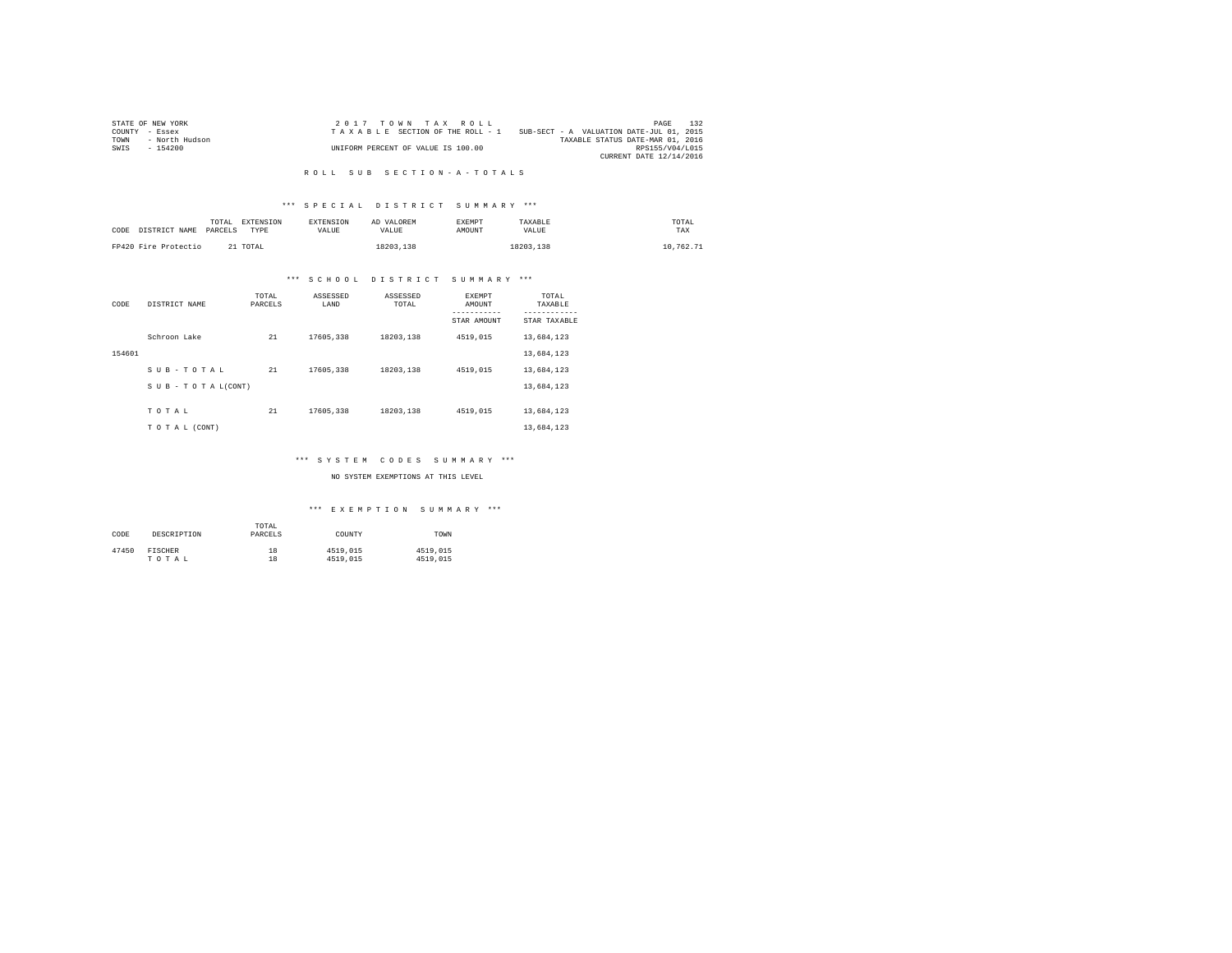|                | STATE OF NEW YORK | $2.017$ TOWN TAX ROLL              |                                          | PAGE                    | 132 |
|----------------|-------------------|------------------------------------|------------------------------------------|-------------------------|-----|
| COUNTY - Essex |                   | TAXABLE SECTION OF THE ROLL - 1    | SUB-SECT - A VALUATION DATE-JUL 01, 2015 |                         |     |
| TOWN           | - North Hudson    |                                    | TAXABLE STATUS DATE-MAR 01, 2016         |                         |     |
| SWIS           | - 154200          | UNIFORM PERCENT OF VALUE IS 100.00 |                                          | RPS155/V04/L015         |     |
|                |                   |                                    |                                          | CURRENT DATE 12/14/2016 |     |

#### R O L L S U B S E C T I O N - A - T O T A L S

# \*\*\* S P E C I A L D I S T R I C T S U M M A R Y \*\*\*

| CODE | DISTRICT NAME        | TOTAL<br>PARCELS | <b>EXTENSION</b><br>TYPE | <b>EXTENSION</b><br><b>VALUE</b> | AD VALOREM<br>VALUE | <b>EXEMPT</b><br>AMOUNT | TAXABLE<br>VALUE | TOTAL<br>TAX |
|------|----------------------|------------------|--------------------------|----------------------------------|---------------------|-------------------------|------------------|--------------|
|      | FP420 Fire Protectio |                  | 21 TOTAL                 |                                  | 18203,138           |                         | 18203.138        | 10.762.71    |

# \*\*\* S C H O O L D I S T R I C T S U M M A R Y \*\*\*

| CODE   | DISTRICT NAME             | TOTAL<br>PARCELS | ASSESSED<br>LAND | ASSESSED<br>TOTAL | <b>EXEMPT</b><br>AMOUNT | TOTAL<br>TAXABLE          |
|--------|---------------------------|------------------|------------------|-------------------|-------------------------|---------------------------|
|        |                           |                  |                  |                   | STAR AMOUNT             | ---------<br>STAR TAXABLE |
|        | Schroon Lake              | 21               | 17605,338        | 18203.138         | 4519.015                | 13,684,123                |
| 154601 |                           |                  |                  |                   |                         | 13,684,123                |
|        | SUB-TOTAL                 | 21               | 17605,338        | 18203.138         | 4519.015                | 13,684,123                |
|        | $S$ U B - T O T A L(CONT) |                  |                  |                   |                         | 13,684,123                |
|        | TOTAL                     | 21               | 17605,338        | 18203.138         | 4519,015                | 13,684,123                |
|        | TO TAL (CONT)             |                  |                  |                   |                         | 13,684,123                |

# \*\*\* S Y S T E M C O D E S S U M M A R Y \*\*\*

### NO SYSTEM EXEMPTIONS AT THIS LEVEL

| CODE  | DESCRIPTION | TOTAL<br>PARCELS | COUNTY   | TOWN     |
|-------|-------------|------------------|----------|----------|
| 47450 | FISCHER     | 18               | 4519,015 | 4519,015 |
|       | TOTAL       | 18               | 4519,015 | 4519,015 |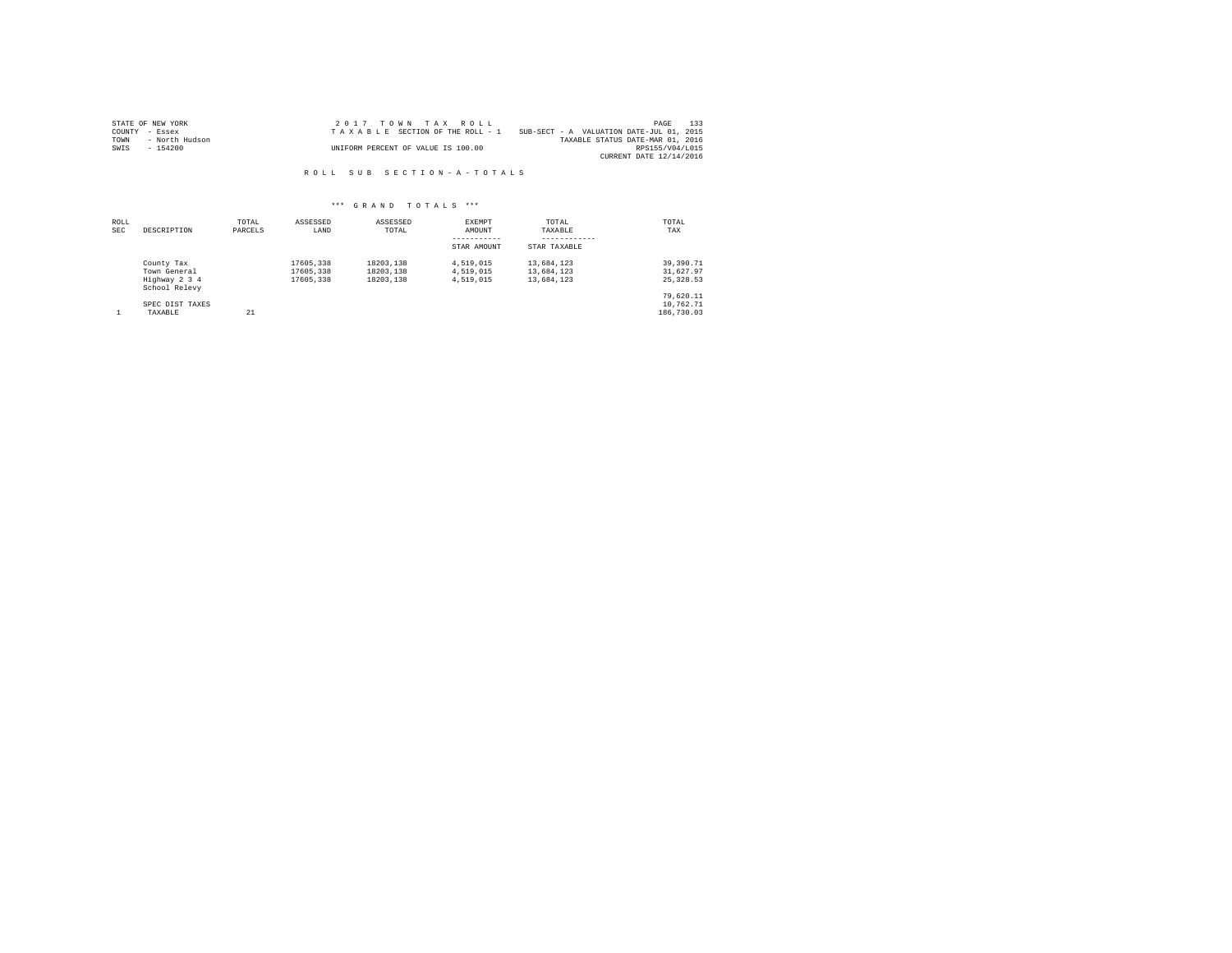|                | STATE OF NEW YORK | 2017 TOWN TAX ROLL                 |                                          | PAGE                    | 133 |
|----------------|-------------------|------------------------------------|------------------------------------------|-------------------------|-----|
| COUNTY - Essex |                   | TAXABLE SECTION OF THE ROLL - 1    | SUB-SECT - A VALUATION DATE-JUL 01, 2015 |                         |     |
| TOWN           | - North Hudson    |                                    | TAXABLE STATUS DATE-MAR 01, 2016         |                         |     |
| SWIS           | - 154200          | UNIFORM PERCENT OF VALUE IS 100.00 |                                          | RPS155/V04/L015         |     |
|                |                   |                                    |                                          | CURRENT DATE 12/14/2016 |     |

R O L L S U B S E C T I O N - A - T O T A L S

| ROLL<br>SEC | DESCRIPTION                                                  | TOTAL<br>PARCELS | ASSESSED<br>LAND                    | ASSESSED<br>TOTAL                   | EXEMPT<br>AMOUNT<br>STAR AMOUNT     | TOTAL<br>TAXABLE<br>STAR TAXABLE       | TOTAL<br>TAX                            |
|-------------|--------------------------------------------------------------|------------------|-------------------------------------|-------------------------------------|-------------------------------------|----------------------------------------|-----------------------------------------|
|             | County Tax<br>Town General<br>Highway 2 3 4<br>School Relevy |                  | 17605,338<br>17605.338<br>17605.338 | 18203.138<br>18203.138<br>18203.138 | 4.519.015<br>4.519.015<br>4.519.015 | 13,684,123<br>13,684,123<br>13,684,123 | 39, 390, 71<br>31,627.97<br>25, 328, 53 |
|             | SPEC DIST TAXES<br>TAXABLE                                   | 21               |                                     |                                     |                                     |                                        | 79.620.11<br>10.762.71<br>186,730.03    |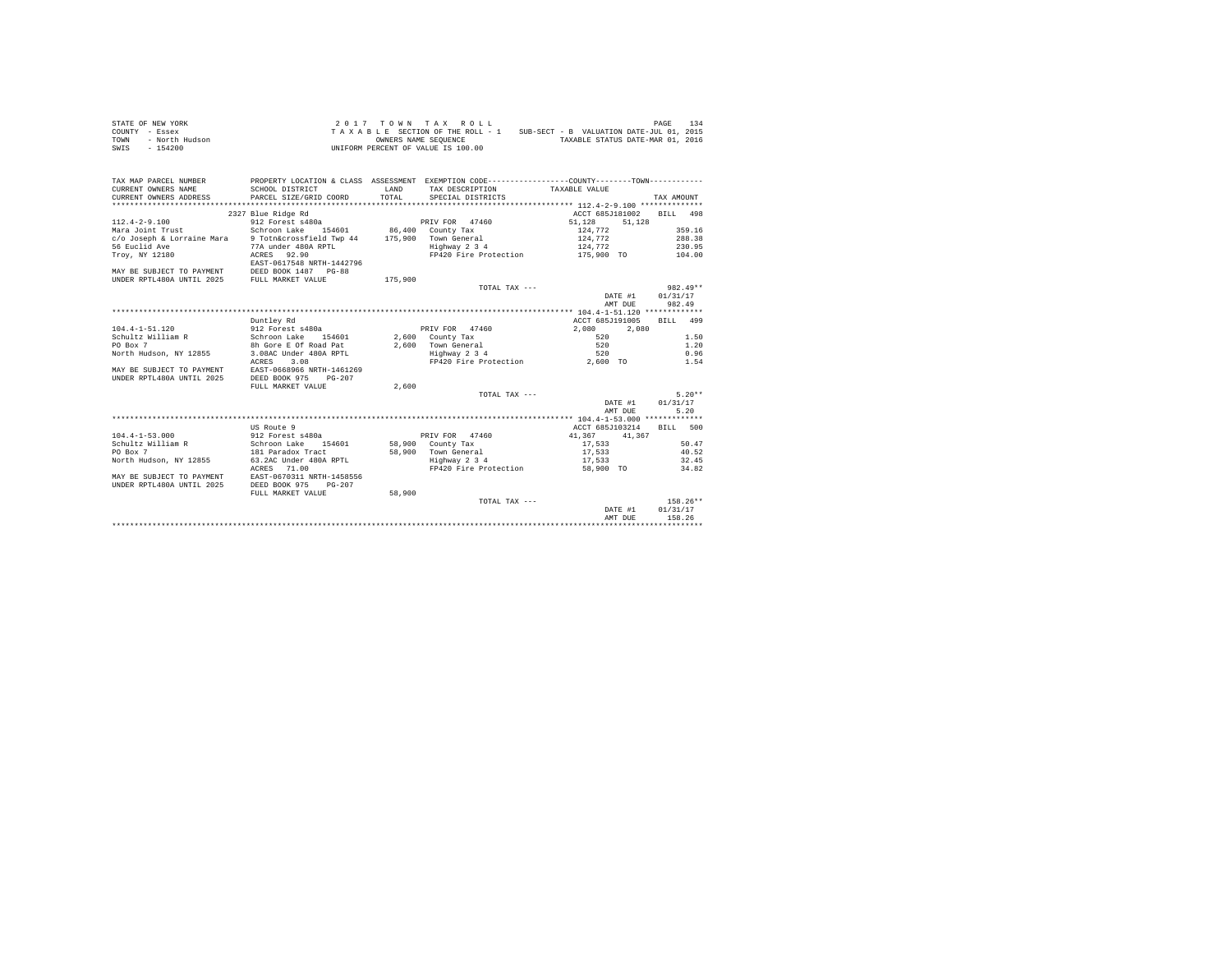| STATE OF NEW YORK      | $2.017$ TOWN TAX ROLL                                                       | 134<br>PAGE |
|------------------------|-----------------------------------------------------------------------------|-------------|
| COUNTY - Essex         | SUB-SECT - B VALUATION DATE-JUL 01, 2015<br>TAXABLE SECTION OF THE ROLL - 1 |             |
| TOWN<br>- North Hudson | TAXABLE STATUS DATE-MAR 01, 2016<br>OWNERS NAME SEOUENCE                    |             |
| - 154200<br>SWIS       | UNIFORM PERCENT OF VALUE IS 100.00                                          |             |

| TAX MAP PARCEL NUMBER<br>CURRENT OWNERS NAME<br>CURRENT OWNERS ADDRESS | PROPERTY LOCATION & CLASS ASSESSMENT EXEMPTION CODE----------------COUNTY-------TOWN----------<br>SCHOOL DISTRICT<br>PARCEL SIZE/GRID COORD | <b>T.AND</b><br>TOTAL | TAX DESCRIPTION TAXABLE VALUE<br>SPECIAL DISTRICTS |                                | TAX AMOUNT   |
|------------------------------------------------------------------------|---------------------------------------------------------------------------------------------------------------------------------------------|-----------------------|----------------------------------------------------|--------------------------------|--------------|
|                                                                        | 2327 Blue Ridge Rd                                                                                                                          |                       |                                                    | ACCT 685J181002                | BILL<br>498  |
| $112.4 - 2 - 9.100$                                                    | 912 Forest s480a                                                                                                                            |                       | PRIV FOR 47460                                     | 51,128<br>51,128               |              |
| Mara Joint Trust                                                       | Schroon Lake 154601                                                                                                                         |                       | 86,400 County Tax                                  | 124,772                        | 359.16       |
| c/o Joseph & Lorraine Mara                                             | 9 Totn&crossfield Twp 44                                                                                                                    | 175,900               | Town General                                       | 124,772                        | 288.38       |
| 56 Euclid Ave                                                          | 77A under 480A RPTL                                                                                                                         |                       | Highway 2 3 4                                      | 124,772                        | 230.95       |
| Trov. NY 12180                                                         | ACRES 92.90                                                                                                                                 |                       | FP420 Fire Protection                              | 175,900 TO                     | 104.00       |
|                                                                        | EAST-0617548 NRTH-1442796                                                                                                                   |                       |                                                    |                                |              |
| MAY BE SUBJECT TO PAYMENT DEED BOOK 1487 PG-88                         |                                                                                                                                             |                       |                                                    |                                |              |
| UNDER RPTL480A UNTIL 2025                                              | FULL MARKET VALUE                                                                                                                           | 175,900               |                                                    |                                |              |
|                                                                        |                                                                                                                                             |                       | TOTAL TAX ---                                      |                                | $982.49**$   |
|                                                                        |                                                                                                                                             |                       |                                                    | DATE #1                        | 01/31/17     |
|                                                                        |                                                                                                                                             |                       |                                                    | AMT DUE                        | 982.49       |
|                                                                        |                                                                                                                                             |                       |                                                    |                                |              |
|                                                                        | Duntley Rd                                                                                                                                  |                       |                                                    | ACCT 685J191005                | BILL 499     |
| $104.4 - 1 - 51.120$                                                   | 912 Forest s480a                                                                                                                            |                       | PRIV FOR 47460                                     | 2,080<br>2,080                 |              |
| Schultz William R                                                      | Schroon Lake<br>154601                                                                                                                      |                       | $2,600$ County Tax                                 | 520                            | 1.50         |
| PO Box 7                                                               | 8h Gore E Of Road Pat                                                                                                                       |                       | 2.600 Town General                                 | 520                            | 1.20         |
| North Hudson, NY 12855                                                 | 3.08AC Under 480A RPTL                                                                                                                      |                       | iown General<br>Highway 2 3 4                      | 520                            | 0.96         |
|                                                                        | 3.08<br>ACRES                                                                                                                               |                       |                                                    | FP420 Fire Protection 2,600 TO | 1.54         |
| MAY BE SUBJECT TO PAYMENT                                              | EAST-0668966 NRTH-1461269                                                                                                                   |                       |                                                    |                                |              |
| UNDER RPTL480A UNTIL 2025                                              | DEED BOOK 975<br>$PG-207$                                                                                                                   |                       |                                                    |                                |              |
|                                                                        | FULL MARKET VALUE                                                                                                                           | 2,600                 |                                                    |                                |              |
|                                                                        |                                                                                                                                             |                       | TOTAL TAX ---                                      |                                | $5.20**$     |
|                                                                        |                                                                                                                                             |                       |                                                    | DATE #1                        | 01/31/17     |
|                                                                        |                                                                                                                                             |                       |                                                    | AMT DUE                        | 5.20         |
|                                                                        |                                                                                                                                             |                       |                                                    |                                |              |
|                                                                        | US Route 9                                                                                                                                  |                       |                                                    | ACCT 685J103214                | RTLL.<br>500 |
| $104.4 - 1 - 53.000$                                                   | 912 Forest s480a                                                                                                                            |                       | PRIV FOR 47460                                     | 41,367<br>41,367               |              |
| Schultz William R                                                      | Schroon Lake 154601                                                                                                                         |                       | 58,900 County Tax                                  | 17.533                         | 50.47        |
| PO Box 7                                                               | 181 Paradox Tract                                                                                                                           |                       | 58.900 Town General                                | 17,533                         | 40.52        |
| North Hudson, NY 12855                                                 | 63.2AC Under 480A RPTL                                                                                                                      |                       | Highway 2 3 4                                      | 17.533                         | 32.45        |
|                                                                        | ACRES 71.00                                                                                                                                 |                       | FP420 Fire Protection                              | 58,900 TO                      | 34.82        |
| MAY BE SUBJECT TO PAYMENT                                              | EAST-0670311 NRTH-1458556                                                                                                                   |                       |                                                    |                                |              |
| UNDER RPTL480A UNTIL 2025                                              | DEED BOOK 975<br>$PG-207$                                                                                                                   |                       |                                                    |                                |              |
|                                                                        | FULL MARKET VALUE                                                                                                                           | 58,900                |                                                    |                                |              |
|                                                                        |                                                                                                                                             |                       | TOTAL TAX ---                                      |                                | $158.26**$   |
|                                                                        |                                                                                                                                             |                       |                                                    | DATE #1                        | 01/31/17     |
|                                                                        |                                                                                                                                             |                       |                                                    | AMT DUE                        | 158.26       |
|                                                                        |                                                                                                                                             |                       |                                                    |                                |              |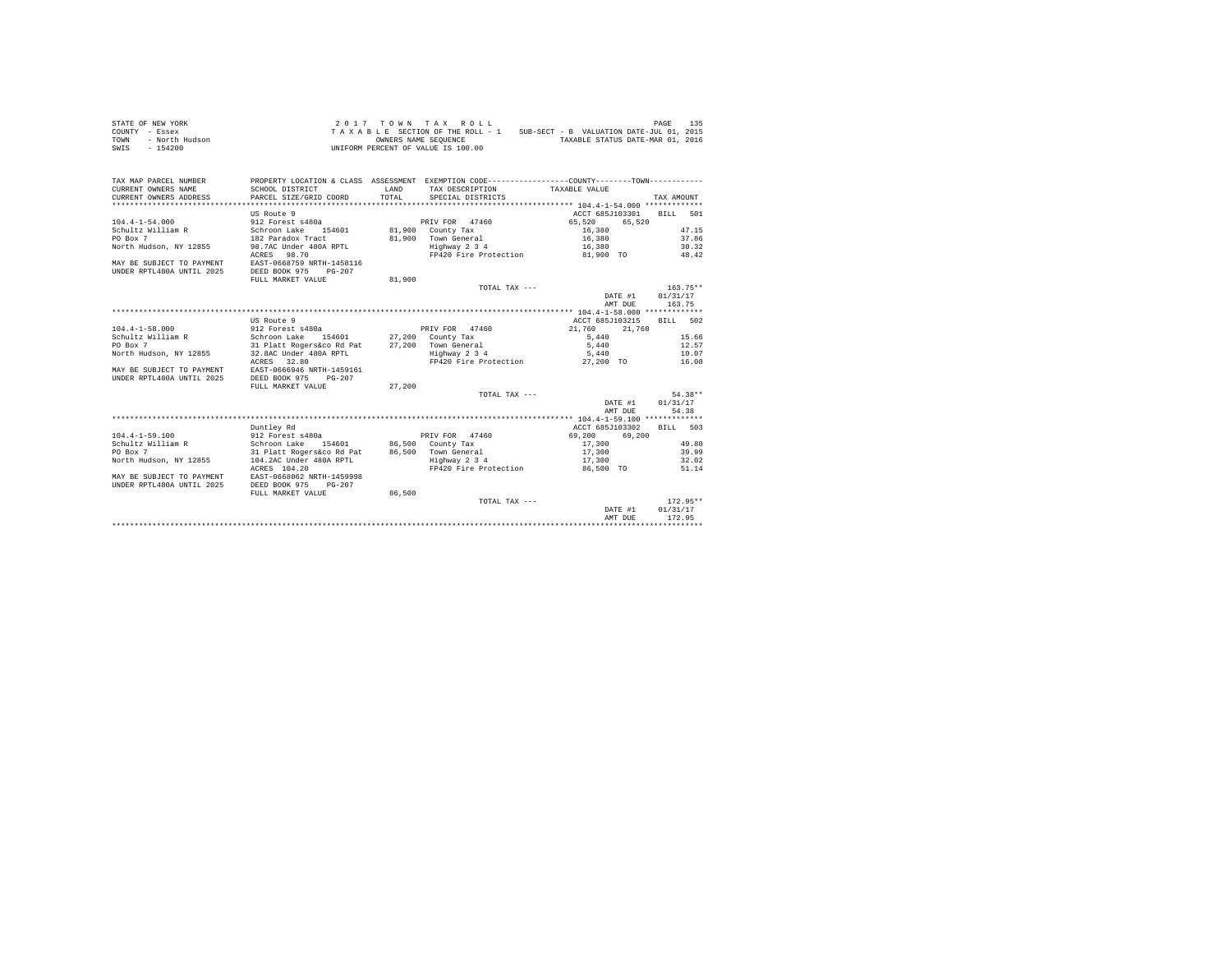|                | STATE OF NEW YORK |  |  |  | $2.017$ TOWN TAX ROLL              |  |  |  |  |                                          | PAGE | 135 |
|----------------|-------------------|--|--|--|------------------------------------|--|--|--|--|------------------------------------------|------|-----|
| COUNTY - Essex |                   |  |  |  | TAXABLE SECTION OF THE ROLL - 1    |  |  |  |  | SUB-SECT - B VALUATION DATE-JUL 01, 2015 |      |     |
| TOWN           | - North Hudson    |  |  |  | OWNERS NAME SEOUENCE               |  |  |  |  | TAXABLE STATUS DATE-MAR 01, 2016         |      |     |
| SWIS           | - 154200          |  |  |  | UNIFORM PERCENT OF VALUE IS 100.00 |  |  |  |  |                                          |      |     |

| TAX MAP PARCEL NUMBER<br>CURRENT OWNERS NAME<br>CURRENT OWNERS ADDRESS | PROPERTY LOCATION & CLASS ASSESSMENT EXEMPTION CODE---------------COUNTY-------TOWN----------<br>SCHOOL DISTRICT<br>PARCEL SIZE/GRID COORD | LAND<br>TOTAL. | TAX DESCRIPTION TAXABLE VALUE<br>SPECIAL DISTRICTS |                          | TAX AMOUNT       |
|------------------------------------------------------------------------|--------------------------------------------------------------------------------------------------------------------------------------------|----------------|----------------------------------------------------|--------------------------|------------------|
|                                                                        |                                                                                                                                            |                |                                                    |                          |                  |
|                                                                        | US Route 9                                                                                                                                 |                |                                                    | ACCT 685J103301 BILL 501 |                  |
| $104.4 - 1 - 54.000$                                                   | 912 Forest s480a                                                                                                                           |                | PRIV FOR 47460                                     | 65,520<br>65.520         |                  |
| Schultz William R                                                      | Schroon Lake 154601<br>182 Paradox Tract                                                                                                   |                | 81,900 County Tax                                  |                          | 47.15            |
| PO Box 7                                                               |                                                                                                                                            |                | 81.900 Town General                                | $16,380$<br>$16,380$     | 37.86            |
| North Hudson, NY 12855                                                 | 98.7AC Under 480A RPTL                                                                                                                     |                | Highway 2 3 4                                      | 16,380                   | 30.32            |
| MAY BE SUBJECT TO PAYMENT<br>UNDER RPTL480A UNTIL 2025                 | ACRES 98.70<br>EAST-0668759 NRTH-1458116<br>DEED BOOK 975<br>$PG-207$                                                                      |                | FP420 Fire Protection 81,900 TO 48.42              |                          |                  |
|                                                                        | FULL MARKET VALUE                                                                                                                          | 81,900         |                                                    |                          |                  |
|                                                                        |                                                                                                                                            |                | TOTAL TAX ---                                      |                          | $163.75**$       |
|                                                                        |                                                                                                                                            |                |                                                    |                          | DATE #1 01/31/17 |
|                                                                        |                                                                                                                                            |                |                                                    | AMT DUE                  | 163.75           |
|                                                                        |                                                                                                                                            |                |                                                    |                          |                  |
|                                                                        | US Route 9                                                                                                                                 |                |                                                    | ACCT 685J103215          | BILL 502         |
| $104.4 - 1 - 58.000$                                                   | 912 Forest s480a                                                                                                                           |                | PRIV FOR 47460                                     | 21,760<br>21,760         |                  |
| Schultz William R                                                      | Schroon Lake 154601 27,200 County Tax                                                                                                      |                |                                                    | 5.440                    | 15.66            |
| PO Box 7                                                               |                                                                                                                                            |                |                                                    | 5,440                    | 12.57            |
| North Hudson, NY 12855                                                 |                                                                                                                                            |                |                                                    | 5,440                    | 10.07            |
|                                                                        | ACRES 32.80                                                                                                                                |                | FP420 Fire Protection 27,200 TO 16.08              |                          |                  |
| MAY BE SUBJECT TO PAYMENT                                              | EAST-0666946 NRTH-1459161                                                                                                                  |                |                                                    |                          |                  |
| UNDER RPTL480A UNTIL 2025                                              | DEED BOOK 975<br>$PG-207$                                                                                                                  |                |                                                    |                          |                  |
|                                                                        | FULL MARKET VALUE                                                                                                                          | 27,200         |                                                    |                          |                  |
|                                                                        |                                                                                                                                            |                | TOTAL TAX ---                                      |                          | 54.38**          |
|                                                                        |                                                                                                                                            |                |                                                    | DATE #1                  | 01/31/17         |
|                                                                        |                                                                                                                                            |                |                                                    | AMT DUE                  | 54.38            |
|                                                                        |                                                                                                                                            |                |                                                    |                          |                  |
|                                                                        | Duntley Rd                                                                                                                                 |                |                                                    | ACCT 685J103302          | BTT.T. 503       |
| $104.4 - 1 - 59.100$                                                   |                                                                                                                                            |                | PRIV FOR 47460                                     | 69,200<br>69,200         |                  |
| Schultz William R                                                      | 912 Forest s480a<br>Schroon Lake 154601                                                                                                    |                | 86,500 County Tax                                  | 17,300                   | 49.80            |
| PO Box 7                                                               | 31 Platt Rogers&co Rd Pat                                                                                                                  |                | 86,500 Town General                                | 17,300                   | 39.99            |
| North Hudson, NY 12855                                                 | 104.2AC Under 480A RPTL                                                                                                                    |                | Highway 2 3 4                                      | 17,300                   | 32.02            |
|                                                                        | ACRES 104.20                                                                                                                               |                | FP420 Fire Protection                              | 86.500 TO                | 51.14            |
| MAY BE SUBJECT TO PAYMENT EAST-0668062 NRTH-1459998                    |                                                                                                                                            |                |                                                    |                          |                  |
| UNDER RPTL480A UNTIL 2025                                              | DEED BOOK 975<br>$PG-207$                                                                                                                  |                |                                                    |                          |                  |
|                                                                        | FULL MARKET VALUE                                                                                                                          | 86,500         |                                                    |                          |                  |
|                                                                        |                                                                                                                                            |                | TOTAL TAX ---                                      |                          | $172.95**$       |
|                                                                        |                                                                                                                                            |                |                                                    | DATE #1                  | 01/31/17         |
|                                                                        |                                                                                                                                            |                |                                                    | AMT DUE                  | 172.95           |
|                                                                        |                                                                                                                                            |                |                                                    |                          |                  |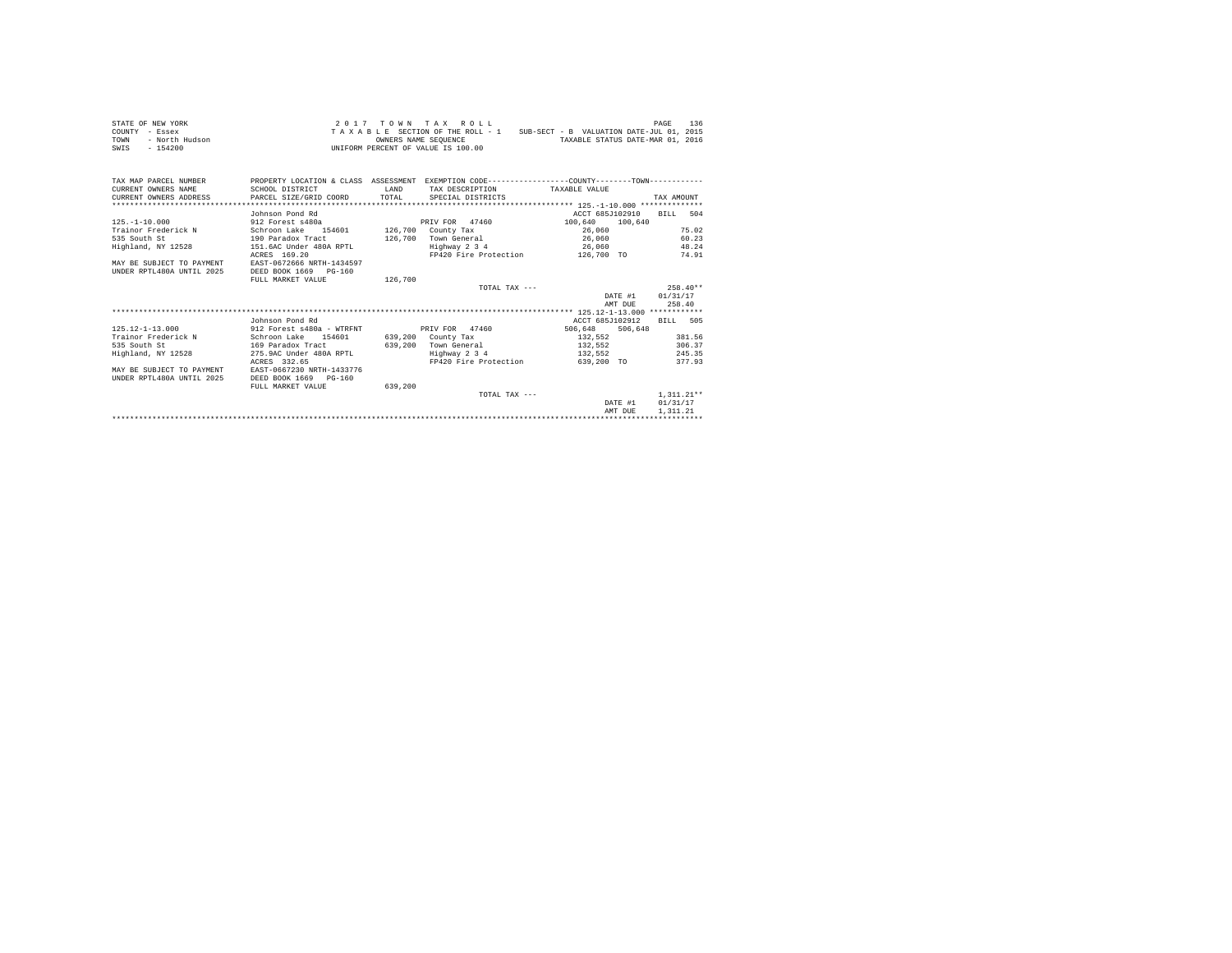| STATE OF NEW YORK                                          |                                          |              | 2017 TOWN TAX ROLL                    |                                                                                               | 136<br>PAGE      |
|------------------------------------------------------------|------------------------------------------|--------------|---------------------------------------|-----------------------------------------------------------------------------------------------|------------------|
| COUNTY - Essex                                             |                                          |              |                                       | TAXABLE SECTION OF THE ROLL - 1 SUB-SECT - B VALUATION DATE-JUL 01, 2015                      |                  |
| - North Hudson<br>TOWN                                     |                                          |              |                                       | OWNERS NAME SEOUENCE TAXABLE STATUS DATE-MAR 01, 2016                                         |                  |
| SWIS - 154200                                              |                                          |              | UNIFORM PERCENT OF VALUE IS 100.00    |                                                                                               |                  |
|                                                            |                                          |              |                                       |                                                                                               |                  |
|                                                            |                                          |              |                                       |                                                                                               |                  |
|                                                            |                                          |              |                                       |                                                                                               |                  |
| TAX MAP PARCEL NUMBER                                      |                                          |              |                                       | PROPERTY LOCATION & CLASS ASSESSMENT EXEMPTION CODE---------------COUNTY-------TOWN---------- |                  |
|                                                            |                                          | <b>T.AND</b> |                                       |                                                                                               |                  |
| CURRENT OWNERS NAME                                        | SCHOOL DISTRICT                          |              | TAX DESCRIPTION TAXABLE VALUE         |                                                                                               |                  |
| CURRENT OWNERS ADDRESS PARCEL SIZE/GRID COORD TOTAL        |                                          |              | SPECIAL DISTRICTS                     |                                                                                               | TAX AMOUNT       |
|                                                            |                                          |              |                                       |                                                                                               |                  |
|                                                            | Johnson Pond Rd                          |              |                                       | ACCT 685J102910 BILL 504                                                                      |                  |
| $125. - 1 - 10.000$                                        | 912 Forest s480a                         |              | PRIV FOR 47460                        | 100,640 100,640                                                                               |                  |
| Trainor Frederick N                                        | Schroon Lake 154601 126,700 County Tax   |              |                                       | 26,060                                                                                        | 75.02            |
| 535 South St                                               | 190 Paradox Tract                        |              | 126,700 Town General                  | 26,060 60.23                                                                                  |                  |
| Highland, NY 12528                                         | 151.6AC Under 480A RPTL                  |              | Highway 2 3 4                         | 26,060 48.24                                                                                  |                  |
|                                                            | ACRES 169.20                             |              |                                       | FP420 Fire Protection 126.700 TO 74.91                                                        |                  |
| MAY BE SUBJECT TO PAYMENT                                  | EAST-0672666 NRTH-1434597                |              |                                       |                                                                                               |                  |
| UNDER RPTL480A UNTIL 2025                                  | DEED BOOK 1669 PG-160                    |              |                                       |                                                                                               |                  |
|                                                            | FULL MARKET VALUE                        | 126,700      |                                       |                                                                                               |                  |
|                                                            |                                          |              |                                       | TOTAL TAX ---                                                                                 | $258.40**$       |
|                                                            |                                          |              |                                       |                                                                                               | DATE #1 01/31/17 |
|                                                            |                                          |              |                                       | AMT DUE                                                                                       | 258.40           |
|                                                            |                                          |              |                                       |                                                                                               |                  |
|                                                            | Johnson Pond Rd                          |              |                                       | ACCT 685J102912                                                                               | BILL 505         |
| $125.12 - 1 - 13.000$                                      | 912 Forest s480a - WTRFNT PRIV FOR 47460 |              |                                       | 506,648 506,648                                                                               |                  |
| Trainor Frederick N Schroon Lake 154601 639,200 County Tax |                                          |              |                                       | 132.552                                                                                       | 381.56           |
|                                                            |                                          |              |                                       | 132,552                                                                                       | 306.37           |
| 535 South St                                               | 169 Paradox Tract                        |              | 639,200 Town General<br>Highway 2 3 4 |                                                                                               |                  |
| Highland, NY 12528                                         | 275.9AC Under 480A RPTL                  |              |                                       | 132.552                                                                                       | 245.35           |
|                                                            | ACRES 332.65                             |              | FP420 Fire Protection                 | 639,200 TO                                                                                    | 377.93           |
| MAY BE SUBJECT TO PAYMENT                                  | EAST-0667230 NRTH-1433776                |              |                                       |                                                                                               |                  |
| UNDER RPTL480A UNTIL 2025                                  | DEED BOOK 1669 PG-160                    |              |                                       |                                                                                               |                  |
|                                                            | FULL MARKET VALUE                        | 639,200      |                                       |                                                                                               |                  |
|                                                            |                                          |              | TOTAL TAX ---                         |                                                                                               | $1.311.21**$     |
|                                                            |                                          |              |                                       |                                                                                               | DATE #1 01/31/17 |
|                                                            |                                          |              |                                       | AMT DUE                                                                                       | 1,311,21         |
|                                                            |                                          |              |                                       |                                                                                               |                  |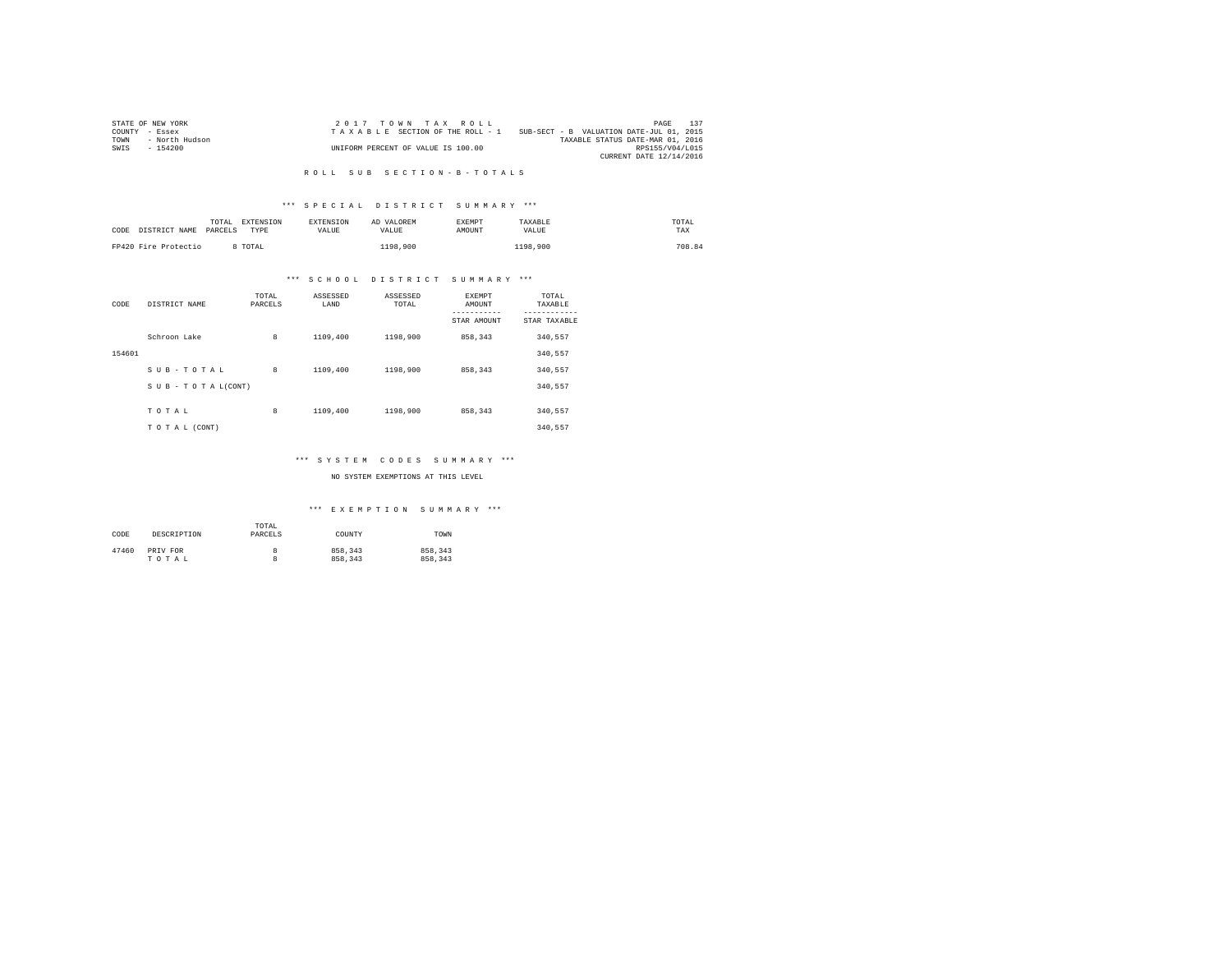|                | STATE OF NEW YORK | $2.017$ TOWN TAX ROLL              |                                          | PAGE                    | 137 |
|----------------|-------------------|------------------------------------|------------------------------------------|-------------------------|-----|
| COUNTY - Essex |                   | TAXABLE SECTION OF THE ROLL - 1    | SUB-SECT - B VALUATION DATE-JUL 01, 2015 |                         |     |
| TOWN           | - North Hudson    |                                    | TAXABLE STATUS DATE-MAR 01, 2016         |                         |     |
| SWIS           | - 154200          | UNIFORM PERCENT OF VALUE IS 100.00 |                                          | RPS155/V04/L015         |     |
|                |                   |                                    |                                          | CURRENT DATE 12/14/2016 |     |

### R O L L S U B S E C T I O N - B - T O T A L S

# \*\*\* S P E C I A L D I S T R I C T S U M M A R Y \*\*\*

| CODE | DISTRICT NAME        | TOTAL<br>PARCELS | EXTENSION<br>TYPE | <b>EXTENSION</b><br><b>VALUE</b> | AD VALOREM<br>VALUE | <b>EXEMPT</b><br>AMOUNT | TAXABLE<br>VALUE | TOTAL<br>TAX |
|------|----------------------|------------------|-------------------|----------------------------------|---------------------|-------------------------|------------------|--------------|
|      | FP420 Fire Protectio |                  | TOTAL             |                                  | 1198.900            |                         | 1198,900         | 708.84       |

# \*\*\* S C H O O L D I S T R I C T S U M M A R Y \*\*\*

| CODE   | DISTRICT NAME   | TOTAL<br>PARCELS | ASSESSED<br>LAND | ASSESSED<br>TOTAL | <b>EXEMPT</b><br>AMOUNT<br>STAR AMOUNT | TOTAL<br>TAXABLE<br>---------<br>STAR TAXABLE |
|--------|-----------------|------------------|------------------|-------------------|----------------------------------------|-----------------------------------------------|
|        | Schroon Lake    | 8                | 1109,400         | 1198,900          | 858.343                                | 340,557                                       |
| 154601 |                 |                  |                  |                   |                                        | 340.557                                       |
|        | SUB-TOTAL       | 8                | 1109,400         | 1198,900          | 858.343                                | 340.557                                       |
|        | SUB-TOTAL(CONT) |                  |                  |                   |                                        | 340,557                                       |
|        |                 |                  |                  |                   |                                        |                                               |
|        | TOTAL           | 8                | 1109,400         | 1198,900          | 858,343                                | 340,557                                       |
|        | TO TAL (CONT)   |                  |                  |                   |                                        | 340.557                                       |

# \*\*\* S Y S T E M C O D E S S U M M A R Y \*\*\*

## NO SYSTEM EXEMPTIONS AT THIS LEVEL

| CODE  | DESCRIPTION | TOTAL<br>PARCELS | COUNTY  | TOWN    |
|-------|-------------|------------------|---------|---------|
| 47460 | PRIV FOR    | 8                | 858,343 | 858.343 |
|       | TOTAL       | 8                | 858,343 | 858,343 |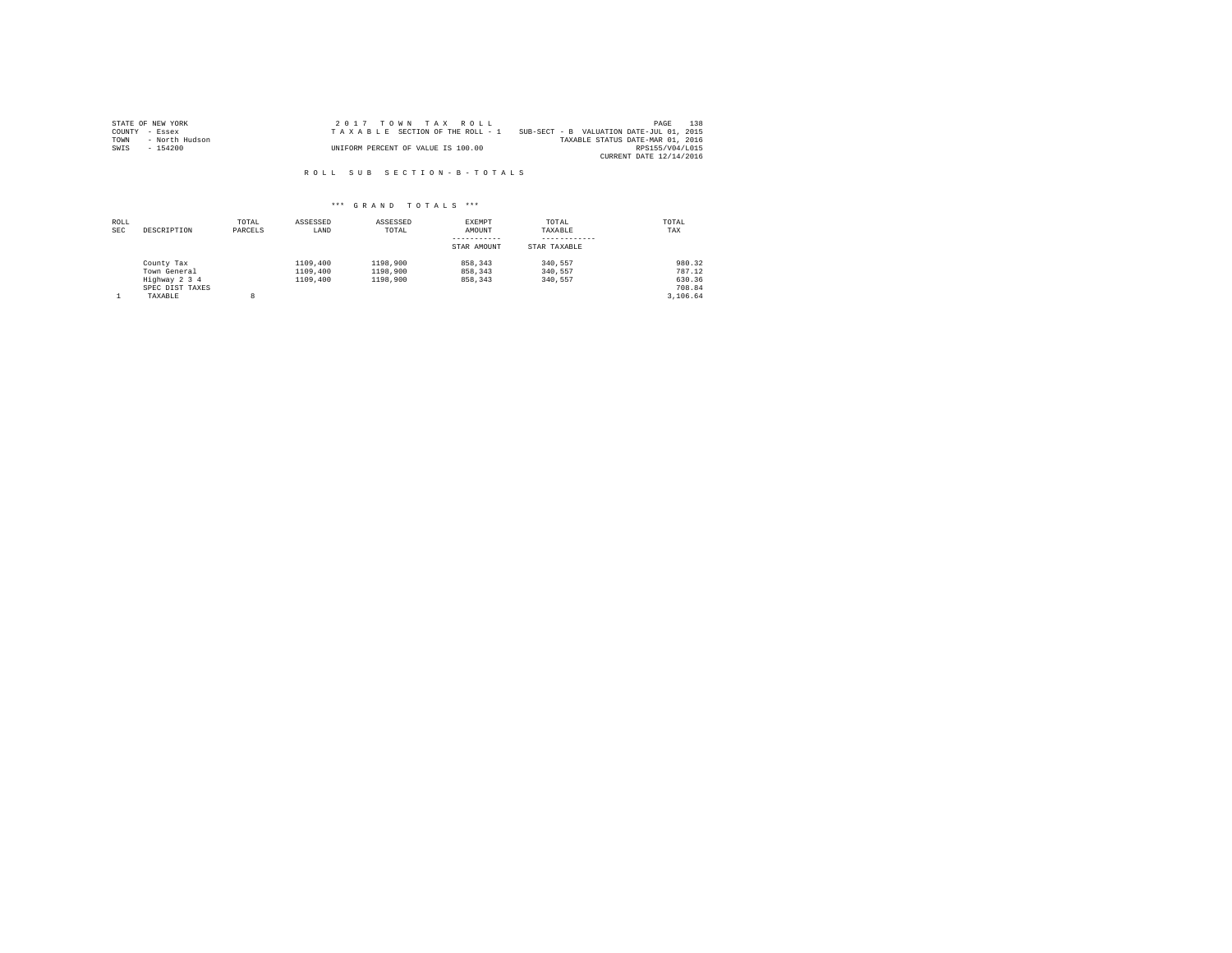|                | STATE OF NEW YORK | $2.017$ TOWN TAX ROLL              |                                          | PAGE                    | 138 |
|----------------|-------------------|------------------------------------|------------------------------------------|-------------------------|-----|
| COUNTY - Essex |                   | TAXABLE SECTION OF THE ROLL - 1    | SUB-SECT - B VALUATION DATE-JUL 01, 2015 |                         |     |
| TOWN           | - North Hudson    |                                    | TAXABLE STATUS DATE-MAR 01, 2016         |                         |     |
| SWIS           | - 154200          | UNIFORM PERCENT OF VALUE IS 100.00 |                                          | RPS155/V04/L015         |     |
|                |                   |                                    |                                          | CURRENT DATE 12/14/2016 |     |

R O L L S U B S E C T I O N - B - T O T A L S

| ROLL<br><b>SEC</b> | DESCRIPTION                                                               | TOTAL<br>PARCELS | ASSESSED<br>LAND                 | ASSESSED<br>TOTAL                | EXEMPT<br>AMOUNT<br>STAR AMOUNT | TOTAL<br>TAXABLE<br>STAR TAXABLE | TOTAL<br>TAX                                     |
|--------------------|---------------------------------------------------------------------------|------------------|----------------------------------|----------------------------------|---------------------------------|----------------------------------|--------------------------------------------------|
|                    | County Tax<br>Town General<br>Highway 2 3 4<br>SPEC DIST TAXES<br>TAXABLE | 8                | 1109,400<br>1109,400<br>1109,400 | 1198,900<br>1198,900<br>1198,900 | 858,343<br>858,343<br>858,343   | 340.557<br>340.557<br>340.557    | 980.32<br>787.12<br>630.36<br>708.84<br>3.106.64 |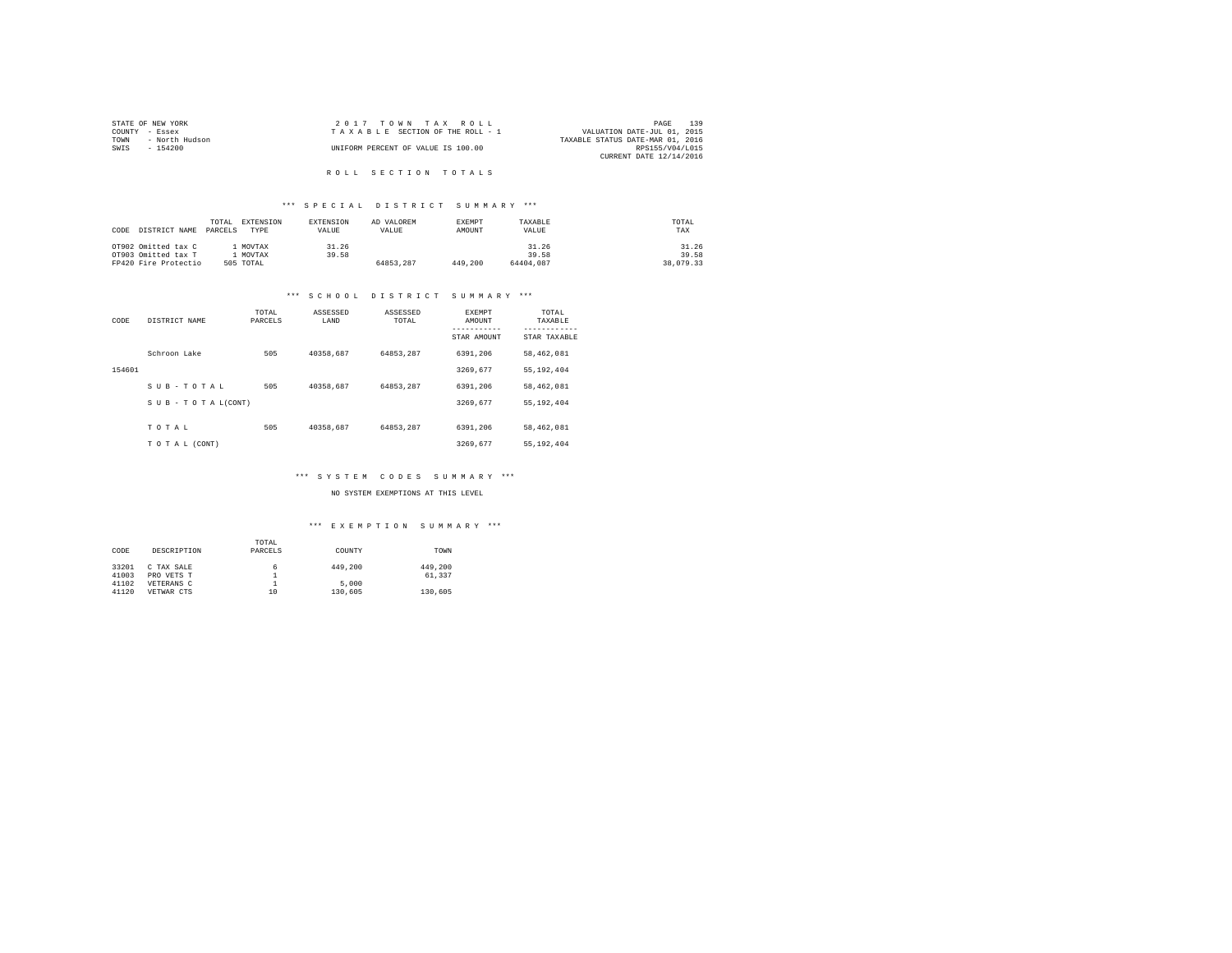| STATE OF NEW YORK      | $2.017$ TOWN TAX ROLL              | 139<br>PAGE                      |
|------------------------|------------------------------------|----------------------------------|
| COUNTY - Essex         | TAXABLE SECTION OF THE ROLL - 1    | VALUATION DATE-JUL 01, 2015      |
| TOWN<br>- North Hudson |                                    | TAXABLE STATUS DATE-MAR 01, 2016 |
| SWTS<br>- 154200       | UNIFORM PERCENT OF VALUE IS 100.00 | RPS155/V04/L015                  |
|                        |                                    | CURRENT DATE 12/14/2016          |
|                        |                                    |                                  |

# R O L L S E C T I O N T O T A L S

# \*\*\* S P E C I A L D I S T R I C T S U M M A R Y \*\*\*

| DISTRICT NAME<br>CODE | EXTENSION<br>TOTAL.<br>PARCELS<br>TYPE | <b>EXTENSION</b><br>VALUE | AD VALOREM<br>VALUE | <b>EXEMPT</b><br>AMOUNT | TAXARLE<br>VALUE | TOTAL<br>TAX |
|-----------------------|----------------------------------------|---------------------------|---------------------|-------------------------|------------------|--------------|
| OT902 Omitted tax C   | MOVTAX                                 | 31.26                     |                     |                         | 31.26            | 31.26        |
| OT903 Omitted tax T   | MOVTAX                                 | 39.58                     |                     |                         | 39.58            | 39.58        |
| FP420 Fire Protectio  | 505 TOTAL                              |                           | 64853.287           | 449,200                 | 64404,087        | 38,079.33    |

#### \*\*\* S C H O O L D I S T R I C T S U M M A R Y \*\*\*

| CODE   | DISTRICT NAME                 | TOTAL<br>PARCELS | ASSESSED<br>LAND | ASSESSED<br>TOTAL | EXEMPT<br>AMOUNT<br>STAR AMOUNT | TOTAL<br>TAXABLE<br>---------<br>STAR TAXABLE |
|--------|-------------------------------|------------------|------------------|-------------------|---------------------------------|-----------------------------------------------|
|        | Schroon Lake                  | 505              | 40358.687        | 64853.287         | 6391.206                        | 58,462,081                                    |
| 154601 |                               |                  |                  |                   | 3269.677                        | 55.192.404                                    |
|        | SUB-TOTAL                     | 505              | 40358.687        | 64853.287         | 6391.206                        | 58,462,081                                    |
|        | $S \cup B - T O T A L (CONT)$ |                  |                  |                   | 3269.677                        | 55.192.404                                    |
|        | TOTAL                         | 505              | 40358.687        | 64853.287         | 6391.206                        | 58,462,081                                    |
|        | TO TAL (CONT)                 |                  |                  |                   | 3269.677                        | 55.192.404                                    |

#### \*\*\* S Y S T E M C O D E S S U M M A R Y \*\*\*

NO SYSTEM EXEMPTIONS AT THIS LEVEL

| CODE  | DESCRIPTION | TOTAL<br>PARCELS | COUNTY  | TOWN    |
|-------|-------------|------------------|---------|---------|
| 33201 | C TAX SALE  | 6                | 449,200 | 449,200 |
| 41003 | PRO VETS T  |                  |         | 61,337  |
| 41102 | VETERANS C  |                  | 5,000   |         |
| 41120 | VETWAR CTS  | 10               | 130,605 | 130,605 |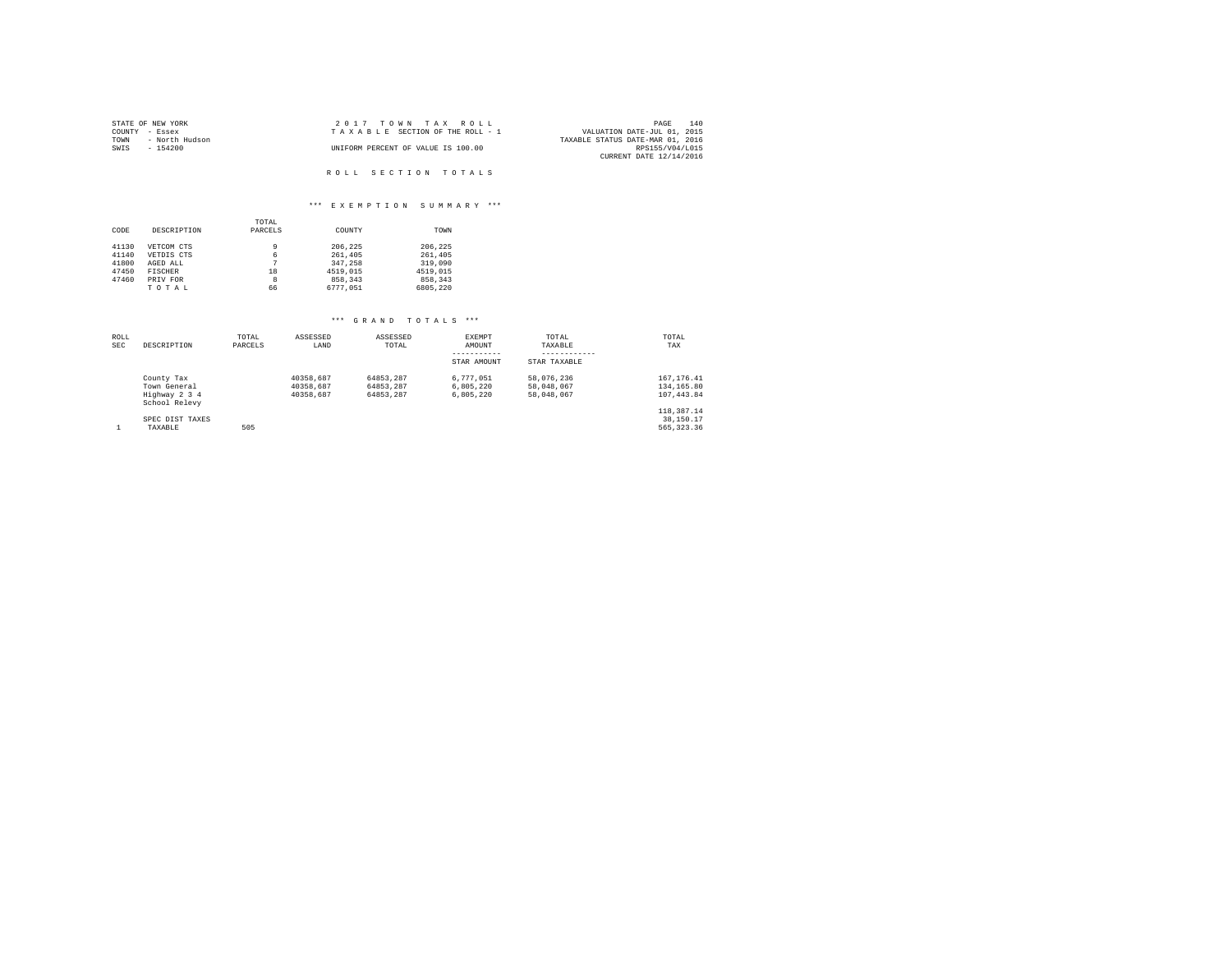| STATE OF NEW YORK      | 2017 TOWN TAX ROLL                 | 140<br>PAGE                      |
|------------------------|------------------------------------|----------------------------------|
| COUNTY - Essex         | TAXABLE SECTION OF THE ROLL - 1    | VALUATION DATE-JUL 01, 2015      |
| TOWN<br>- North Hudson |                                    | TAXABLE STATUS DATE-MAR 01, 2016 |
| SWIS<br>$-154200$      | UNIFORM PERCENT OF VALUE IS 100.00 | RPS155/V04/L015                  |
|                        |                                    | CURRENT DATE 12/14/2016          |
|                        |                                    |                                  |
|                        | ROLL SECTION TOTALS                |                                  |

# \*\*\* E X E M P T I O N S U M M A R Y \*\*\*

| CODE  | DESCRIPTION    | TOTAL<br>PARCELS | COUNTY   | TOWN     |
|-------|----------------|------------------|----------|----------|
| 41130 | VETCOM CTS     | 9                | 206.225  | 206.225  |
| 41140 | VETDIS CTS     | 6                | 261,405  | 261,405  |
| 41800 | AGED ALL       |                  | 347.258  | 319,090  |
| 47450 | <b>FISCHER</b> | 18               | 4519,015 | 4519,015 |
| 47460 | PRIV FOR       | 8                | 858,343  | 858.343  |
|       | TOTAL          | 66               | 6777.051 | 6805.220 |

| ROLL<br><b>SEC</b> | DESCRIPTION                    | TOTAL<br>PARCELS | ASSESSED<br>LAND | ASSESSED<br>TOTAL | EXEMPT<br>AMOUNT | TOTAL<br>TAXABLE | TOTAL<br>TAX |
|--------------------|--------------------------------|------------------|------------------|-------------------|------------------|------------------|--------------|
|                    |                                |                  |                  |                   | STAR AMOUNT      | STAR TAXABLE     |              |
|                    | County Tax                     |                  | 40358.687        | 64853.287         | 6.777.051        | 58,076,236       | 167.176.41   |
|                    | Town General                   |                  | 40358.687        | 64853.287         | 6.805.220        | 58,048,067       | 134, 165, 80 |
|                    | Highway 2 3 4<br>School Relevy |                  | 40358.687        | 64853.287         | 6.805.220        | 58,048,067       | 107.443.84   |
|                    |                                |                  |                  |                   |                  |                  | 118,387.14   |
|                    | SPEC DIST TAXES                |                  |                  |                   |                  |                  | 38,150.17    |
|                    | TAXABLE                        | 505              |                  |                   |                  |                  | 565, 323, 36 |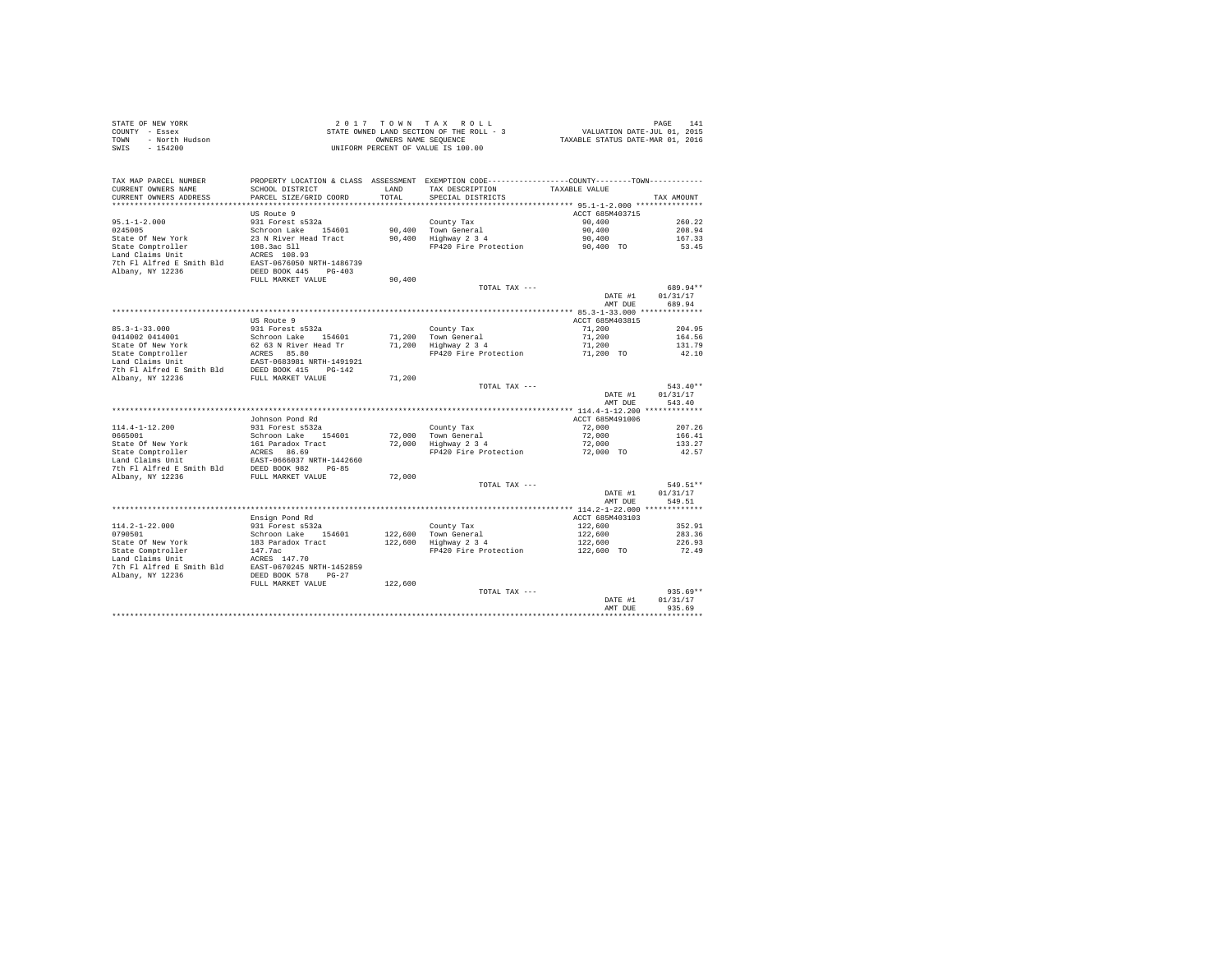|      | STATE OF NEW YORK | 2017 TOWN TAX ROLL                       | 141<br>PAGE                      |
|------|-------------------|------------------------------------------|----------------------------------|
|      | COUNTY - Essex    | STATE OWNED LAND SECTION OF THE ROLL - 3 | VALUATION DATE-JUL 01, 2015      |
| TOWN | - North Hudson    | OWNERS NAME SEOUENCE                     | TAXABLE STATUS DATE-MAR 01, 2016 |
| SWIS | $-154200$         | UNIFORM PERCENT OF VALUE IS 100.00       |                                  |

| CURRENT OWNERS NAME<br>SCHOOL DISTRICT<br>LAND<br>TAX DESCRIPTION<br>TAXABLE VALUE<br>CURRENT OWNERS ADDRESS<br>PARCEL SIZE/GRID COORD<br>TOTAL<br>SPECIAL DISTRICTS<br>TAX AMOUNT<br>***********************<br>************************************ 95.1-1-2.000 ***************<br>**********************<br>***********<br>US Route 9<br>ACCT 685M403715<br>$95.1 - 1 - 2.000$<br>931 Forest s532a<br>County Tax<br>90,400<br>260.22<br>90,400<br>Schroon Lake<br>154601<br>90,400<br>Town General<br>208.94<br>State Of New York<br>23 N River Head Tract<br>90,400<br>167.33<br>Highway 2 3 4<br>90,400<br>108.3ac S11<br>FP420 Fire Protection<br>53.45<br>90,400 TO<br>ACRES 108.93<br>EAST-0676050 NRTH-1486739<br>DEED BOOK 445<br>$PG-403$<br>FULL MARKET VALUE<br>90,400<br>689.94**<br>TOTAL TAX ---<br>DATE #1<br>01/31/17<br>689.94<br>AMT DUE<br>US Route 9<br>ACCT 685M403815<br>931 Forest s532a<br>County Tax<br>71,200<br>204.95<br>71,200<br>71,200<br>164.56<br>Schroon Lake<br>154601<br>Town General<br>62 63 N River Head Tr<br>71,200<br>Highway 2 3 4<br>71,200<br>131.79<br>ACRES 85.80<br>FP420 Fire Protection<br>71,200 TO<br>42.10<br>EAST-0683981 NRTH-1491921<br>DEED BOOK 415<br>$PG-142$<br>FULL MARKET VALUE<br>71,200<br>$543.40**$<br>TOTAL TAX ---<br>DATE #1<br>01/31/17<br>543.40<br>AMT DUE<br>ACCT 685M491006<br>Johnson Pond Rd<br>931 Forest s532a<br>County Tax<br>72,000<br>207.26<br>72,000<br>Schroon Lake<br>154601<br>Town General<br>72,000<br>166.41<br>State Of New York<br>161 Paradox Tract<br>Highway 2 3 4<br>133.27<br>72,000<br>72,000<br>State Comptroller<br>ACRES 86.69<br>FP420 Fire Protection<br>72,000 TO<br>42.57<br>Land Claims Unit<br>EAST-0666037 NRTH-1442660<br>7th Fl Alfred E Smith Bld<br>DEED BOOK 982<br>$PG-85$<br>Albany, NY 12236<br>FULL MARKET VALUE<br>72,000<br>549.51**<br>TOTAL TAX ---<br>01/31/17<br>DATE #1<br>549.51<br>AMT DUE<br>Ensign Pond Rd<br>ACCT 685M403103<br>$114.2 - 1 - 22.000$<br>931 Forest s532a<br>County Tax<br>122,600<br>352.91<br>122,600<br>0790501<br>Schroon Lake<br>154601<br>Town General<br>122,600<br>283.36<br>122,600<br>Highway 2 3 4<br>State Of New York<br>183 Paradox Tract<br>122,600<br>226.93<br>State Comptroller<br>147.7ac<br>FP420 Fire Protection<br>72.49<br>122,600 TO<br>Land Claims Unit<br>ACRES 147.70<br>7th Fl Alfred E Smith Bld<br>EAST-0670245 NRTH-1452859<br>Albany, NY 12236<br>DEED BOOK 578<br>$PG-27$<br>FULL MARKET VALUE<br>122,600<br>$935.69**$<br>TOTAL TAX ---<br>DATE #1<br>01/31/17<br>935.69<br>AMT DUE<br>********** | TAX MAP PARCEL NUMBER     | PROPERTY LOCATION & CLASS ASSESSMENT EXEMPTION CODE---------------COUNTY-------TOWN---------- |  |  |
|-----------------------------------------------------------------------------------------------------------------------------------------------------------------------------------------------------------------------------------------------------------------------------------------------------------------------------------------------------------------------------------------------------------------------------------------------------------------------------------------------------------------------------------------------------------------------------------------------------------------------------------------------------------------------------------------------------------------------------------------------------------------------------------------------------------------------------------------------------------------------------------------------------------------------------------------------------------------------------------------------------------------------------------------------------------------------------------------------------------------------------------------------------------------------------------------------------------------------------------------------------------------------------------------------------------------------------------------------------------------------------------------------------------------------------------------------------------------------------------------------------------------------------------------------------------------------------------------------------------------------------------------------------------------------------------------------------------------------------------------------------------------------------------------------------------------------------------------------------------------------------------------------------------------------------------------------------------------------------------------------------------------------------------------------------------------------------------------------------------------------------------------------------------------------------------------------------------------------------------------------------------------------------------------------------------------------------------------------------------------------------------------------------------------------------------------------------------------------------------------------------------------------------------------------------------------------------------------|---------------------------|-----------------------------------------------------------------------------------------------|--|--|
|                                                                                                                                                                                                                                                                                                                                                                                                                                                                                                                                                                                                                                                                                                                                                                                                                                                                                                                                                                                                                                                                                                                                                                                                                                                                                                                                                                                                                                                                                                                                                                                                                                                                                                                                                                                                                                                                                                                                                                                                                                                                                                                                                                                                                                                                                                                                                                                                                                                                                                                                                                                         |                           |                                                                                               |  |  |
|                                                                                                                                                                                                                                                                                                                                                                                                                                                                                                                                                                                                                                                                                                                                                                                                                                                                                                                                                                                                                                                                                                                                                                                                                                                                                                                                                                                                                                                                                                                                                                                                                                                                                                                                                                                                                                                                                                                                                                                                                                                                                                                                                                                                                                                                                                                                                                                                                                                                                                                                                                                         |                           |                                                                                               |  |  |
|                                                                                                                                                                                                                                                                                                                                                                                                                                                                                                                                                                                                                                                                                                                                                                                                                                                                                                                                                                                                                                                                                                                                                                                                                                                                                                                                                                                                                                                                                                                                                                                                                                                                                                                                                                                                                                                                                                                                                                                                                                                                                                                                                                                                                                                                                                                                                                                                                                                                                                                                                                                         |                           |                                                                                               |  |  |
|                                                                                                                                                                                                                                                                                                                                                                                                                                                                                                                                                                                                                                                                                                                                                                                                                                                                                                                                                                                                                                                                                                                                                                                                                                                                                                                                                                                                                                                                                                                                                                                                                                                                                                                                                                                                                                                                                                                                                                                                                                                                                                                                                                                                                                                                                                                                                                                                                                                                                                                                                                                         |                           |                                                                                               |  |  |
|                                                                                                                                                                                                                                                                                                                                                                                                                                                                                                                                                                                                                                                                                                                                                                                                                                                                                                                                                                                                                                                                                                                                                                                                                                                                                                                                                                                                                                                                                                                                                                                                                                                                                                                                                                                                                                                                                                                                                                                                                                                                                                                                                                                                                                                                                                                                                                                                                                                                                                                                                                                         |                           |                                                                                               |  |  |
|                                                                                                                                                                                                                                                                                                                                                                                                                                                                                                                                                                                                                                                                                                                                                                                                                                                                                                                                                                                                                                                                                                                                                                                                                                                                                                                                                                                                                                                                                                                                                                                                                                                                                                                                                                                                                                                                                                                                                                                                                                                                                                                                                                                                                                                                                                                                                                                                                                                                                                                                                                                         | 0245005                   |                                                                                               |  |  |
|                                                                                                                                                                                                                                                                                                                                                                                                                                                                                                                                                                                                                                                                                                                                                                                                                                                                                                                                                                                                                                                                                                                                                                                                                                                                                                                                                                                                                                                                                                                                                                                                                                                                                                                                                                                                                                                                                                                                                                                                                                                                                                                                                                                                                                                                                                                                                                                                                                                                                                                                                                                         |                           |                                                                                               |  |  |
|                                                                                                                                                                                                                                                                                                                                                                                                                                                                                                                                                                                                                                                                                                                                                                                                                                                                                                                                                                                                                                                                                                                                                                                                                                                                                                                                                                                                                                                                                                                                                                                                                                                                                                                                                                                                                                                                                                                                                                                                                                                                                                                                                                                                                                                                                                                                                                                                                                                                                                                                                                                         | State Comptroller         |                                                                                               |  |  |
|                                                                                                                                                                                                                                                                                                                                                                                                                                                                                                                                                                                                                                                                                                                                                                                                                                                                                                                                                                                                                                                                                                                                                                                                                                                                                                                                                                                                                                                                                                                                                                                                                                                                                                                                                                                                                                                                                                                                                                                                                                                                                                                                                                                                                                                                                                                                                                                                                                                                                                                                                                                         | Land Claims Unit          |                                                                                               |  |  |
|                                                                                                                                                                                                                                                                                                                                                                                                                                                                                                                                                                                                                                                                                                                                                                                                                                                                                                                                                                                                                                                                                                                                                                                                                                                                                                                                                                                                                                                                                                                                                                                                                                                                                                                                                                                                                                                                                                                                                                                                                                                                                                                                                                                                                                                                                                                                                                                                                                                                                                                                                                                         | 7th Fl Alfred E Smith Bld |                                                                                               |  |  |
|                                                                                                                                                                                                                                                                                                                                                                                                                                                                                                                                                                                                                                                                                                                                                                                                                                                                                                                                                                                                                                                                                                                                                                                                                                                                                                                                                                                                                                                                                                                                                                                                                                                                                                                                                                                                                                                                                                                                                                                                                                                                                                                                                                                                                                                                                                                                                                                                                                                                                                                                                                                         | Albany, NY 12236          |                                                                                               |  |  |
|                                                                                                                                                                                                                                                                                                                                                                                                                                                                                                                                                                                                                                                                                                                                                                                                                                                                                                                                                                                                                                                                                                                                                                                                                                                                                                                                                                                                                                                                                                                                                                                                                                                                                                                                                                                                                                                                                                                                                                                                                                                                                                                                                                                                                                                                                                                                                                                                                                                                                                                                                                                         |                           |                                                                                               |  |  |
|                                                                                                                                                                                                                                                                                                                                                                                                                                                                                                                                                                                                                                                                                                                                                                                                                                                                                                                                                                                                                                                                                                                                                                                                                                                                                                                                                                                                                                                                                                                                                                                                                                                                                                                                                                                                                                                                                                                                                                                                                                                                                                                                                                                                                                                                                                                                                                                                                                                                                                                                                                                         |                           |                                                                                               |  |  |
|                                                                                                                                                                                                                                                                                                                                                                                                                                                                                                                                                                                                                                                                                                                                                                                                                                                                                                                                                                                                                                                                                                                                                                                                                                                                                                                                                                                                                                                                                                                                                                                                                                                                                                                                                                                                                                                                                                                                                                                                                                                                                                                                                                                                                                                                                                                                                                                                                                                                                                                                                                                         |                           |                                                                                               |  |  |
|                                                                                                                                                                                                                                                                                                                                                                                                                                                                                                                                                                                                                                                                                                                                                                                                                                                                                                                                                                                                                                                                                                                                                                                                                                                                                                                                                                                                                                                                                                                                                                                                                                                                                                                                                                                                                                                                                                                                                                                                                                                                                                                                                                                                                                                                                                                                                                                                                                                                                                                                                                                         |                           |                                                                                               |  |  |
|                                                                                                                                                                                                                                                                                                                                                                                                                                                                                                                                                                                                                                                                                                                                                                                                                                                                                                                                                                                                                                                                                                                                                                                                                                                                                                                                                                                                                                                                                                                                                                                                                                                                                                                                                                                                                                                                                                                                                                                                                                                                                                                                                                                                                                                                                                                                                                                                                                                                                                                                                                                         |                           |                                                                                               |  |  |
|                                                                                                                                                                                                                                                                                                                                                                                                                                                                                                                                                                                                                                                                                                                                                                                                                                                                                                                                                                                                                                                                                                                                                                                                                                                                                                                                                                                                                                                                                                                                                                                                                                                                                                                                                                                                                                                                                                                                                                                                                                                                                                                                                                                                                                                                                                                                                                                                                                                                                                                                                                                         |                           |                                                                                               |  |  |
|                                                                                                                                                                                                                                                                                                                                                                                                                                                                                                                                                                                                                                                                                                                                                                                                                                                                                                                                                                                                                                                                                                                                                                                                                                                                                                                                                                                                                                                                                                                                                                                                                                                                                                                                                                                                                                                                                                                                                                                                                                                                                                                                                                                                                                                                                                                                                                                                                                                                                                                                                                                         | $85.3 - 1 - 33.000$       |                                                                                               |  |  |
|                                                                                                                                                                                                                                                                                                                                                                                                                                                                                                                                                                                                                                                                                                                                                                                                                                                                                                                                                                                                                                                                                                                                                                                                                                                                                                                                                                                                                                                                                                                                                                                                                                                                                                                                                                                                                                                                                                                                                                                                                                                                                                                                                                                                                                                                                                                                                                                                                                                                                                                                                                                         | 0414002 0414001           |                                                                                               |  |  |
|                                                                                                                                                                                                                                                                                                                                                                                                                                                                                                                                                                                                                                                                                                                                                                                                                                                                                                                                                                                                                                                                                                                                                                                                                                                                                                                                                                                                                                                                                                                                                                                                                                                                                                                                                                                                                                                                                                                                                                                                                                                                                                                                                                                                                                                                                                                                                                                                                                                                                                                                                                                         | State Of New York         |                                                                                               |  |  |
|                                                                                                                                                                                                                                                                                                                                                                                                                                                                                                                                                                                                                                                                                                                                                                                                                                                                                                                                                                                                                                                                                                                                                                                                                                                                                                                                                                                                                                                                                                                                                                                                                                                                                                                                                                                                                                                                                                                                                                                                                                                                                                                                                                                                                                                                                                                                                                                                                                                                                                                                                                                         | State Comptroller         |                                                                                               |  |  |
|                                                                                                                                                                                                                                                                                                                                                                                                                                                                                                                                                                                                                                                                                                                                                                                                                                                                                                                                                                                                                                                                                                                                                                                                                                                                                                                                                                                                                                                                                                                                                                                                                                                                                                                                                                                                                                                                                                                                                                                                                                                                                                                                                                                                                                                                                                                                                                                                                                                                                                                                                                                         | Land Claims Unit          |                                                                                               |  |  |
|                                                                                                                                                                                                                                                                                                                                                                                                                                                                                                                                                                                                                                                                                                                                                                                                                                                                                                                                                                                                                                                                                                                                                                                                                                                                                                                                                                                                                                                                                                                                                                                                                                                                                                                                                                                                                                                                                                                                                                                                                                                                                                                                                                                                                                                                                                                                                                                                                                                                                                                                                                                         | 7th Fl Alfred E Smith Bld |                                                                                               |  |  |
|                                                                                                                                                                                                                                                                                                                                                                                                                                                                                                                                                                                                                                                                                                                                                                                                                                                                                                                                                                                                                                                                                                                                                                                                                                                                                                                                                                                                                                                                                                                                                                                                                                                                                                                                                                                                                                                                                                                                                                                                                                                                                                                                                                                                                                                                                                                                                                                                                                                                                                                                                                                         | Albany, NY 12236          |                                                                                               |  |  |
|                                                                                                                                                                                                                                                                                                                                                                                                                                                                                                                                                                                                                                                                                                                                                                                                                                                                                                                                                                                                                                                                                                                                                                                                                                                                                                                                                                                                                                                                                                                                                                                                                                                                                                                                                                                                                                                                                                                                                                                                                                                                                                                                                                                                                                                                                                                                                                                                                                                                                                                                                                                         |                           |                                                                                               |  |  |
|                                                                                                                                                                                                                                                                                                                                                                                                                                                                                                                                                                                                                                                                                                                                                                                                                                                                                                                                                                                                                                                                                                                                                                                                                                                                                                                                                                                                                                                                                                                                                                                                                                                                                                                                                                                                                                                                                                                                                                                                                                                                                                                                                                                                                                                                                                                                                                                                                                                                                                                                                                                         |                           |                                                                                               |  |  |
|                                                                                                                                                                                                                                                                                                                                                                                                                                                                                                                                                                                                                                                                                                                                                                                                                                                                                                                                                                                                                                                                                                                                                                                                                                                                                                                                                                                                                                                                                                                                                                                                                                                                                                                                                                                                                                                                                                                                                                                                                                                                                                                                                                                                                                                                                                                                                                                                                                                                                                                                                                                         |                           |                                                                                               |  |  |
|                                                                                                                                                                                                                                                                                                                                                                                                                                                                                                                                                                                                                                                                                                                                                                                                                                                                                                                                                                                                                                                                                                                                                                                                                                                                                                                                                                                                                                                                                                                                                                                                                                                                                                                                                                                                                                                                                                                                                                                                                                                                                                                                                                                                                                                                                                                                                                                                                                                                                                                                                                                         |                           |                                                                                               |  |  |
|                                                                                                                                                                                                                                                                                                                                                                                                                                                                                                                                                                                                                                                                                                                                                                                                                                                                                                                                                                                                                                                                                                                                                                                                                                                                                                                                                                                                                                                                                                                                                                                                                                                                                                                                                                                                                                                                                                                                                                                                                                                                                                                                                                                                                                                                                                                                                                                                                                                                                                                                                                                         |                           |                                                                                               |  |  |
|                                                                                                                                                                                                                                                                                                                                                                                                                                                                                                                                                                                                                                                                                                                                                                                                                                                                                                                                                                                                                                                                                                                                                                                                                                                                                                                                                                                                                                                                                                                                                                                                                                                                                                                                                                                                                                                                                                                                                                                                                                                                                                                                                                                                                                                                                                                                                                                                                                                                                                                                                                                         | $114.4 - 1 - 12.200$      |                                                                                               |  |  |
|                                                                                                                                                                                                                                                                                                                                                                                                                                                                                                                                                                                                                                                                                                                                                                                                                                                                                                                                                                                                                                                                                                                                                                                                                                                                                                                                                                                                                                                                                                                                                                                                                                                                                                                                                                                                                                                                                                                                                                                                                                                                                                                                                                                                                                                                                                                                                                                                                                                                                                                                                                                         | 0665001                   |                                                                                               |  |  |
|                                                                                                                                                                                                                                                                                                                                                                                                                                                                                                                                                                                                                                                                                                                                                                                                                                                                                                                                                                                                                                                                                                                                                                                                                                                                                                                                                                                                                                                                                                                                                                                                                                                                                                                                                                                                                                                                                                                                                                                                                                                                                                                                                                                                                                                                                                                                                                                                                                                                                                                                                                                         |                           |                                                                                               |  |  |
|                                                                                                                                                                                                                                                                                                                                                                                                                                                                                                                                                                                                                                                                                                                                                                                                                                                                                                                                                                                                                                                                                                                                                                                                                                                                                                                                                                                                                                                                                                                                                                                                                                                                                                                                                                                                                                                                                                                                                                                                                                                                                                                                                                                                                                                                                                                                                                                                                                                                                                                                                                                         |                           |                                                                                               |  |  |
|                                                                                                                                                                                                                                                                                                                                                                                                                                                                                                                                                                                                                                                                                                                                                                                                                                                                                                                                                                                                                                                                                                                                                                                                                                                                                                                                                                                                                                                                                                                                                                                                                                                                                                                                                                                                                                                                                                                                                                                                                                                                                                                                                                                                                                                                                                                                                                                                                                                                                                                                                                                         |                           |                                                                                               |  |  |
|                                                                                                                                                                                                                                                                                                                                                                                                                                                                                                                                                                                                                                                                                                                                                                                                                                                                                                                                                                                                                                                                                                                                                                                                                                                                                                                                                                                                                                                                                                                                                                                                                                                                                                                                                                                                                                                                                                                                                                                                                                                                                                                                                                                                                                                                                                                                                                                                                                                                                                                                                                                         |                           |                                                                                               |  |  |
|                                                                                                                                                                                                                                                                                                                                                                                                                                                                                                                                                                                                                                                                                                                                                                                                                                                                                                                                                                                                                                                                                                                                                                                                                                                                                                                                                                                                                                                                                                                                                                                                                                                                                                                                                                                                                                                                                                                                                                                                                                                                                                                                                                                                                                                                                                                                                                                                                                                                                                                                                                                         |                           |                                                                                               |  |  |
|                                                                                                                                                                                                                                                                                                                                                                                                                                                                                                                                                                                                                                                                                                                                                                                                                                                                                                                                                                                                                                                                                                                                                                                                                                                                                                                                                                                                                                                                                                                                                                                                                                                                                                                                                                                                                                                                                                                                                                                                                                                                                                                                                                                                                                                                                                                                                                                                                                                                                                                                                                                         |                           |                                                                                               |  |  |
|                                                                                                                                                                                                                                                                                                                                                                                                                                                                                                                                                                                                                                                                                                                                                                                                                                                                                                                                                                                                                                                                                                                                                                                                                                                                                                                                                                                                                                                                                                                                                                                                                                                                                                                                                                                                                                                                                                                                                                                                                                                                                                                                                                                                                                                                                                                                                                                                                                                                                                                                                                                         |                           |                                                                                               |  |  |
|                                                                                                                                                                                                                                                                                                                                                                                                                                                                                                                                                                                                                                                                                                                                                                                                                                                                                                                                                                                                                                                                                                                                                                                                                                                                                                                                                                                                                                                                                                                                                                                                                                                                                                                                                                                                                                                                                                                                                                                                                                                                                                                                                                                                                                                                                                                                                                                                                                                                                                                                                                                         |                           |                                                                                               |  |  |
|                                                                                                                                                                                                                                                                                                                                                                                                                                                                                                                                                                                                                                                                                                                                                                                                                                                                                                                                                                                                                                                                                                                                                                                                                                                                                                                                                                                                                                                                                                                                                                                                                                                                                                                                                                                                                                                                                                                                                                                                                                                                                                                                                                                                                                                                                                                                                                                                                                                                                                                                                                                         |                           |                                                                                               |  |  |
|                                                                                                                                                                                                                                                                                                                                                                                                                                                                                                                                                                                                                                                                                                                                                                                                                                                                                                                                                                                                                                                                                                                                                                                                                                                                                                                                                                                                                                                                                                                                                                                                                                                                                                                                                                                                                                                                                                                                                                                                                                                                                                                                                                                                                                                                                                                                                                                                                                                                                                                                                                                         |                           |                                                                                               |  |  |
|                                                                                                                                                                                                                                                                                                                                                                                                                                                                                                                                                                                                                                                                                                                                                                                                                                                                                                                                                                                                                                                                                                                                                                                                                                                                                                                                                                                                                                                                                                                                                                                                                                                                                                                                                                                                                                                                                                                                                                                                                                                                                                                                                                                                                                                                                                                                                                                                                                                                                                                                                                                         |                           |                                                                                               |  |  |
|                                                                                                                                                                                                                                                                                                                                                                                                                                                                                                                                                                                                                                                                                                                                                                                                                                                                                                                                                                                                                                                                                                                                                                                                                                                                                                                                                                                                                                                                                                                                                                                                                                                                                                                                                                                                                                                                                                                                                                                                                                                                                                                                                                                                                                                                                                                                                                                                                                                                                                                                                                                         |                           |                                                                                               |  |  |
|                                                                                                                                                                                                                                                                                                                                                                                                                                                                                                                                                                                                                                                                                                                                                                                                                                                                                                                                                                                                                                                                                                                                                                                                                                                                                                                                                                                                                                                                                                                                                                                                                                                                                                                                                                                                                                                                                                                                                                                                                                                                                                                                                                                                                                                                                                                                                                                                                                                                                                                                                                                         |                           |                                                                                               |  |  |
|                                                                                                                                                                                                                                                                                                                                                                                                                                                                                                                                                                                                                                                                                                                                                                                                                                                                                                                                                                                                                                                                                                                                                                                                                                                                                                                                                                                                                                                                                                                                                                                                                                                                                                                                                                                                                                                                                                                                                                                                                                                                                                                                                                                                                                                                                                                                                                                                                                                                                                                                                                                         |                           |                                                                                               |  |  |
|                                                                                                                                                                                                                                                                                                                                                                                                                                                                                                                                                                                                                                                                                                                                                                                                                                                                                                                                                                                                                                                                                                                                                                                                                                                                                                                                                                                                                                                                                                                                                                                                                                                                                                                                                                                                                                                                                                                                                                                                                                                                                                                                                                                                                                                                                                                                                                                                                                                                                                                                                                                         |                           |                                                                                               |  |  |
|                                                                                                                                                                                                                                                                                                                                                                                                                                                                                                                                                                                                                                                                                                                                                                                                                                                                                                                                                                                                                                                                                                                                                                                                                                                                                                                                                                                                                                                                                                                                                                                                                                                                                                                                                                                                                                                                                                                                                                                                                                                                                                                                                                                                                                                                                                                                                                                                                                                                                                                                                                                         |                           |                                                                                               |  |  |
|                                                                                                                                                                                                                                                                                                                                                                                                                                                                                                                                                                                                                                                                                                                                                                                                                                                                                                                                                                                                                                                                                                                                                                                                                                                                                                                                                                                                                                                                                                                                                                                                                                                                                                                                                                                                                                                                                                                                                                                                                                                                                                                                                                                                                                                                                                                                                                                                                                                                                                                                                                                         |                           |                                                                                               |  |  |
|                                                                                                                                                                                                                                                                                                                                                                                                                                                                                                                                                                                                                                                                                                                                                                                                                                                                                                                                                                                                                                                                                                                                                                                                                                                                                                                                                                                                                                                                                                                                                                                                                                                                                                                                                                                                                                                                                                                                                                                                                                                                                                                                                                                                                                                                                                                                                                                                                                                                                                                                                                                         |                           |                                                                                               |  |  |
|                                                                                                                                                                                                                                                                                                                                                                                                                                                                                                                                                                                                                                                                                                                                                                                                                                                                                                                                                                                                                                                                                                                                                                                                                                                                                                                                                                                                                                                                                                                                                                                                                                                                                                                                                                                                                                                                                                                                                                                                                                                                                                                                                                                                                                                                                                                                                                                                                                                                                                                                                                                         |                           |                                                                                               |  |  |
|                                                                                                                                                                                                                                                                                                                                                                                                                                                                                                                                                                                                                                                                                                                                                                                                                                                                                                                                                                                                                                                                                                                                                                                                                                                                                                                                                                                                                                                                                                                                                                                                                                                                                                                                                                                                                                                                                                                                                                                                                                                                                                                                                                                                                                                                                                                                                                                                                                                                                                                                                                                         |                           |                                                                                               |  |  |
|                                                                                                                                                                                                                                                                                                                                                                                                                                                                                                                                                                                                                                                                                                                                                                                                                                                                                                                                                                                                                                                                                                                                                                                                                                                                                                                                                                                                                                                                                                                                                                                                                                                                                                                                                                                                                                                                                                                                                                                                                                                                                                                                                                                                                                                                                                                                                                                                                                                                                                                                                                                         |                           |                                                                                               |  |  |
|                                                                                                                                                                                                                                                                                                                                                                                                                                                                                                                                                                                                                                                                                                                                                                                                                                                                                                                                                                                                                                                                                                                                                                                                                                                                                                                                                                                                                                                                                                                                                                                                                                                                                                                                                                                                                                                                                                                                                                                                                                                                                                                                                                                                                                                                                                                                                                                                                                                                                                                                                                                         |                           |                                                                                               |  |  |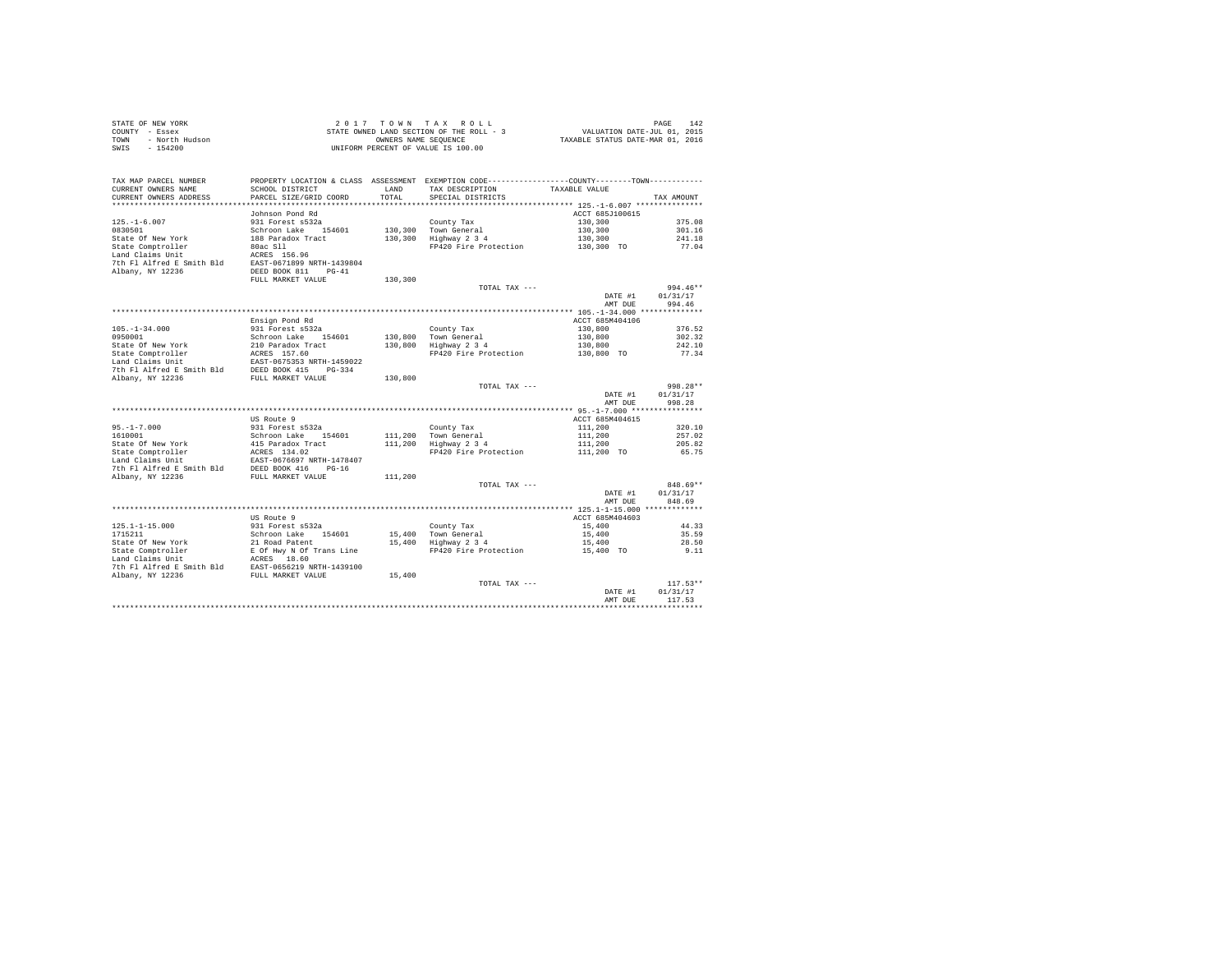|      | STATE OF NEW YORK | 2017 TOWN TAX ROLL                       | 142<br>PAGE                      |
|------|-------------------|------------------------------------------|----------------------------------|
|      | COUNTY - Essex    | STATE OWNED LAND SECTION OF THE ROLL - 3 | VALUATION DATE-JUL 01, 2015      |
| TOWN | - North Hudson    | OWNERS NAME SEOUENCE                     | TAXABLE STATUS DATE-MAR 01, 2016 |
| SWIS | - 154200          | UNIFORM PERCENT OF VALUE IS 100.00       |                                  |

| TAX MAP PARCEL NUMBER<br>CURRENT OWNERS NAME<br>CURRENT OWNERS ADDRESS | SCHOOL DISTRICT<br>PARCEL SIZE/GRID COORD | LAND<br>TOTAL | PROPERTY LOCATION & CLASS ASSESSMENT EXEMPTION CODE---------------COUNTY-------TOWN----------<br>TAX DESCRIPTION<br>SPECIAL DISTRICTS | TAXABLE VALUE   | TAX AMOUNT |
|------------------------------------------------------------------------|-------------------------------------------|---------------|---------------------------------------------------------------------------------------------------------------------------------------|-----------------|------------|
|                                                                        |                                           |               |                                                                                                                                       |                 |            |
|                                                                        | Johnson Pond Rd                           |               |                                                                                                                                       | ACCT 685J100615 |            |
| $125. - 1 - 6.007$                                                     | 931 Forest s532a                          |               | County Tax                                                                                                                            | 130,300         | 375.08     |
| 0830501                                                                | Schroon Lake<br>154601                    | 130,300       | Town General                                                                                                                          | 130,300         | 301.16     |
| State Of New York                                                      | 188 Paradox Tract                         | 130,300       | Highway 2 3 4                                                                                                                         | 130,300         | 241.18     |
| State Comptroller                                                      | 80ac S11                                  |               | FP420 Fire Protection                                                                                                                 | 130,300 TO      | 77.04      |
| Land Claims Unit                                                       | ACRES 156.96                              |               |                                                                                                                                       |                 |            |
| 7th Fl Alfred E Smith Bld                                              | EAST-0671899 NRTH-1439804                 |               |                                                                                                                                       |                 |            |
| Albany, NY 12236                                                       | DEED BOOK 811<br>$PG-41$                  |               |                                                                                                                                       |                 |            |
|                                                                        | FULL MARKET VALUE                         | 130,300       |                                                                                                                                       |                 |            |
|                                                                        |                                           |               | TOTAL TAX ---                                                                                                                         |                 | 994.46**   |
|                                                                        |                                           |               |                                                                                                                                       | DATE #1         | 01/31/17   |
|                                                                        |                                           |               |                                                                                                                                       | AMT DUE         | 994.46     |
|                                                                        |                                           |               |                                                                                                                                       |                 |            |
|                                                                        | Ensign Pond Rd                            |               |                                                                                                                                       | ACCT 685M404106 |            |
| $105. - 1 - 34.000$                                                    | 931 Forest s532a                          |               | County Tax                                                                                                                            | 130,800         | 376.52     |
| 0950001                                                                | Schroon Lake<br>154601                    | 130,800       | Town General                                                                                                                          | 130,800         | 302.32     |
| State Of New York                                                      | 210 Paradox Tract                         | 130,800       | Highway 2 3 4                                                                                                                         | 130,800         | 242.10     |
| State Comptroller                                                      | ACRES 157.60                              |               | FP420 Fire Protection                                                                                                                 | 130,800 TO      | 77.34      |
| Land Claims Unit                                                       | EAST-0675353 NRTH-1459022                 |               |                                                                                                                                       |                 |            |
| 7th Fl Alfred E Smith Bld                                              | DEED BOOK 415<br>$PG-334$                 |               |                                                                                                                                       |                 |            |
| Albany, NY 12236                                                       | FULL MARKET VALUE                         | 130,800       |                                                                                                                                       |                 |            |
|                                                                        |                                           |               | TOTAL TAX ---                                                                                                                         |                 | 998.28**   |
|                                                                        |                                           |               |                                                                                                                                       | DATE #1         | 01/31/17   |
|                                                                        |                                           |               |                                                                                                                                       | AMT DUE         | 998.28     |
|                                                                        |                                           |               |                                                                                                                                       |                 |            |
|                                                                        | US Route 9                                |               |                                                                                                                                       | ACCT 685M404615 |            |
| $95. - 1 - 7.000$                                                      | 931 Forest s532a                          |               | County Tax                                                                                                                            | 111,200         | 320.10     |
| 1610001                                                                | Schroon Lake<br>154601                    | 111,200       | Town General                                                                                                                          | 111,200         | 257.02     |
| State Of New York                                                      | 415 Paradox Tract                         | 111,200       | Highway 2 3 4                                                                                                                         | 111,200         | 205.82     |
| State Comptroller                                                      | ACRES 134.02                              |               | FP420 Fire Protection                                                                                                                 | 111,200 TO      | 65.75      |
| Land Claims Unit                                                       | EAST-0676697 NRTH-1478407                 |               |                                                                                                                                       |                 |            |
| 7th Fl Alfred E Smith Bld                                              | DEED BOOK 416<br>$PG-16$                  |               |                                                                                                                                       |                 |            |
| Albany, NY 12236                                                       | FULL MARKET VALUE                         | 111,200       |                                                                                                                                       |                 |            |
|                                                                        |                                           |               | TOTAL TAX ---                                                                                                                         |                 | 848.69**   |
|                                                                        |                                           |               |                                                                                                                                       | DATE #1         | 01/31/17   |
|                                                                        |                                           |               |                                                                                                                                       | AMT DUE         | 848.69     |
|                                                                        |                                           |               |                                                                                                                                       |                 |            |
|                                                                        | US Route 9                                |               |                                                                                                                                       | ACCT 685M404603 |            |
| $125.1 - 1 - 15.000$                                                   | 931 Forest s532a                          |               | County Tax                                                                                                                            | 15,400          | 44.33      |
| 1715211                                                                | Schroon Lake<br>154601                    | 15,400        | Town General                                                                                                                          | 15,400          | 35.59      |
| State Of New York                                                      | 21 Road Patent                            | 15,400        | Highway 2 3 4                                                                                                                         | 15,400          | 28.50      |
| State Comptroller                                                      | E Of Hwy N Of Trans Line                  |               | FP420 Fire Protection                                                                                                                 | 15,400 TO       | 9.11       |
| Land Claims Unit                                                       | ACRES 18.60                               |               |                                                                                                                                       |                 |            |
| 7th Fl Alfred E Smith Bld                                              | EAST-0656219 NRTH-1439100                 |               |                                                                                                                                       |                 |            |
| Albany, NY 12236                                                       | FULL MARKET VALUE                         | 15,400        |                                                                                                                                       |                 |            |
|                                                                        |                                           |               | TOTAL TAX ---                                                                                                                         |                 | $117.53**$ |
|                                                                        |                                           |               |                                                                                                                                       | DATE #1         | 01/31/17   |
|                                                                        |                                           |               |                                                                                                                                       | AMT DUE         | 117.53     |
|                                                                        |                                           |               |                                                                                                                                       |                 |            |
|                                                                        |                                           |               |                                                                                                                                       |                 |            |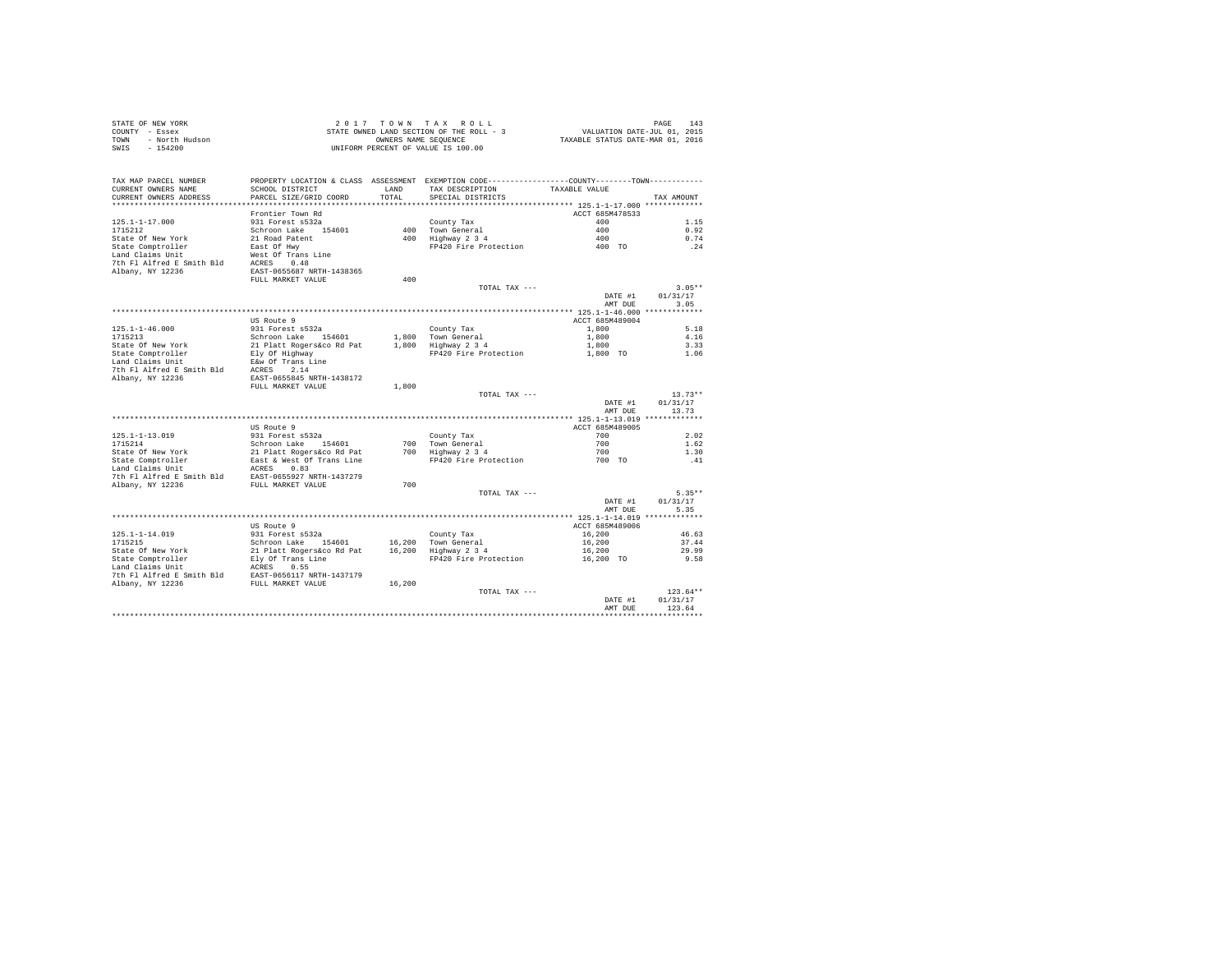|      | STATE OF NEW YORK | 2017 TOWN TAX ROLL                       | 143<br>PAGE                      |
|------|-------------------|------------------------------------------|----------------------------------|
|      | COUNTY - Essex    | STATE OWNED LAND SECTION OF THE ROLL - 3 | VALUATION DATE-JUL 01, 2015      |
| TOWN | - North Hudson    | OWNERS NAME SEOUENCE                     | TAXABLE STATUS DATE-MAR 01, 2016 |
| SWIS | $-154200$         | UNIFORM PERCENT OF VALUE IS 100.00       |                                  |

| TAX MAP PARCEL NUMBER     | PROPERTY LOCATION & CLASS ASSESSMENT EXEMPTION CODE---------------COUNTY-------TOWN---------- |              |                       |                 |            |
|---------------------------|-----------------------------------------------------------------------------------------------|--------------|-----------------------|-----------------|------------|
| CURRENT OWNERS NAME       | SCHOOL DISTRICT                                                                               | <b>T.AND</b> | TAX DESCRIPTION       | TAXABLE VALUE   |            |
| CURRENT OWNERS ADDRESS    | PARCEL SIZE/GRID COORD                                                                        | TOTAL        | SPECIAL DISTRICTS     |                 | TAX AMOUNT |
|                           |                                                                                               |              |                       |                 |            |
|                           | Frontier Town Rd                                                                              |              |                       | ACCT 685M478533 |            |
| $125.1 - 1 - 17.000$      | 931 Forest s532a                                                                              |              | County Tax            | 400             | 1.15       |
| 1715212                   | Schroon Lake 154601                                                                           |              | 400 Town General      | 400             | 0.92       |
| State Of New York         | 21 Road Patent                                                                                |              | 400 Highway 2 3 4     | 400             | 0.74       |
| State Comptroller         | East Of Hwy                                                                                   |              | FP420 Fire Protection | 400 TO          | .24        |
| Land Claims Unit          | West Of Trans Line                                                                            |              |                       |                 |            |
| 7th Fl Alfred E Smith Bld | ACRES<br>0.48                                                                                 |              |                       |                 |            |
| Albany, NY 12236          | EAST-0655687 NRTH-1438365                                                                     |              |                       |                 |            |
|                           | FULL MARKET VALUE                                                                             | 400          |                       |                 |            |
|                           |                                                                                               |              | TOTAL TAX ---         |                 | $3.05**$   |
|                           |                                                                                               |              |                       | DATE #1         | 01/31/17   |
|                           |                                                                                               |              |                       | AMT DUE         | 3.05       |
|                           |                                                                                               |              |                       |                 |            |
|                           | US Route 9                                                                                    |              |                       | ACCT 685M489004 |            |
| $125.1 - 1 - 46.000$      | 931 Forest s532a                                                                              |              | County Tax            | 1,800           | 5.18       |
| 1715213                   | Schroon Lake 154601                                                                           |              | 1,800 Town General    | 1,800           | 4.16       |
| State Of New York         | 21 Platt Rogers&co Rd Pat                                                                     |              | 1,800 Highway 2 3 4   | 1,800           | 3.33       |
| State Comptroller         | Ely Of Highway                                                                                |              | FP420 Fire Protection | 1,800 TO        | 1.06       |
| Land Claims Unit          | E&w Of Trans Line                                                                             |              |                       |                 |            |
| 7th Fl Alfred E Smith Bld | ACRES<br>2.14                                                                                 |              |                       |                 |            |
| Albany, NY 12236          | EAST-0655845 NRTH-1438172                                                                     |              |                       |                 |            |
|                           | FULL MARKET VALUE                                                                             | 1,800        |                       |                 |            |
|                           |                                                                                               |              | TOTAL TAX ---         |                 | $13.73**$  |
|                           |                                                                                               |              |                       | DATE #1         | 01/31/17   |
|                           |                                                                                               |              |                       | AMT DUE         | 13.73      |
|                           |                                                                                               |              |                       |                 |            |
|                           | US Route 9                                                                                    |              |                       | ACCT 685M489005 |            |
| $125.1 - 1 - 13.019$      | 931 Forest s532a                                                                              |              | County Tax            | 700             | 2.02       |
| 1715214                   | Schroon Lake<br>154601                                                                        |              | 700 Town General      | 700             | 1.62       |
| State Of New York         | 21 Platt Rogers&co Rd Pat                                                                     |              | 700 Highway 2 3 4     | 700             | 1.30       |
| State Comptroller         | East & West Of Trans Line                                                                     |              | FP420 Fire Protection | 700 TO          | .41        |
| Land Claims Unit          | 0.83<br>ACRES                                                                                 |              |                       |                 |            |
| 7th Fl Alfred E Smith Bld | EAST-0655927 NRTH-1437279                                                                     |              |                       |                 |            |
| Albany, NY 12236          | FULL MARKET VALUE                                                                             | 700          |                       |                 |            |
|                           |                                                                                               |              | TOTAL TAX $---$       |                 | $5.35**$   |
|                           |                                                                                               |              |                       | DATE #1         | 01/31/17   |
|                           |                                                                                               |              |                       | AMT DUE         | 5.35       |
|                           |                                                                                               |              |                       |                 |            |
|                           | US Route 9                                                                                    |              |                       | ACCT 685M489006 |            |
| $125.1 - 1 - 14.019$      | 931 Forest s532a                                                                              |              | County Tax            | 16,200          | 46.63      |
| 1715215                   | Schroon Lake 154601                                                                           | 16,200       | Town General          | 16,200          | 37.44      |
| State Of New York         | 21 Platt Rogers&co Rd Pat                                                                     | 16,200       | Highway 2 3 4         | 16,200          | 29.99      |
| State Comptroller         | Ely Of Trans Line                                                                             |              | FP420 Fire Protection | 16,200 TO       | 9.58       |
| Land Claims Unit          | ACRES<br>0.55                                                                                 |              |                       |                 |            |
| 7th Fl Alfred E Smith Bld | EAST-0656117 NRTH-1437179                                                                     |              |                       |                 |            |
| Albany, NY 12236          | FULL MARKET VALUE                                                                             | 16,200       |                       |                 |            |
|                           |                                                                                               |              | TOTAL TAX ---         |                 | $123.64**$ |
|                           |                                                                                               |              |                       | DATE #1         | 01/31/17   |
|                           |                                                                                               |              |                       | AMT DUE         | 123.64     |
|                           |                                                                                               |              |                       |                 |            |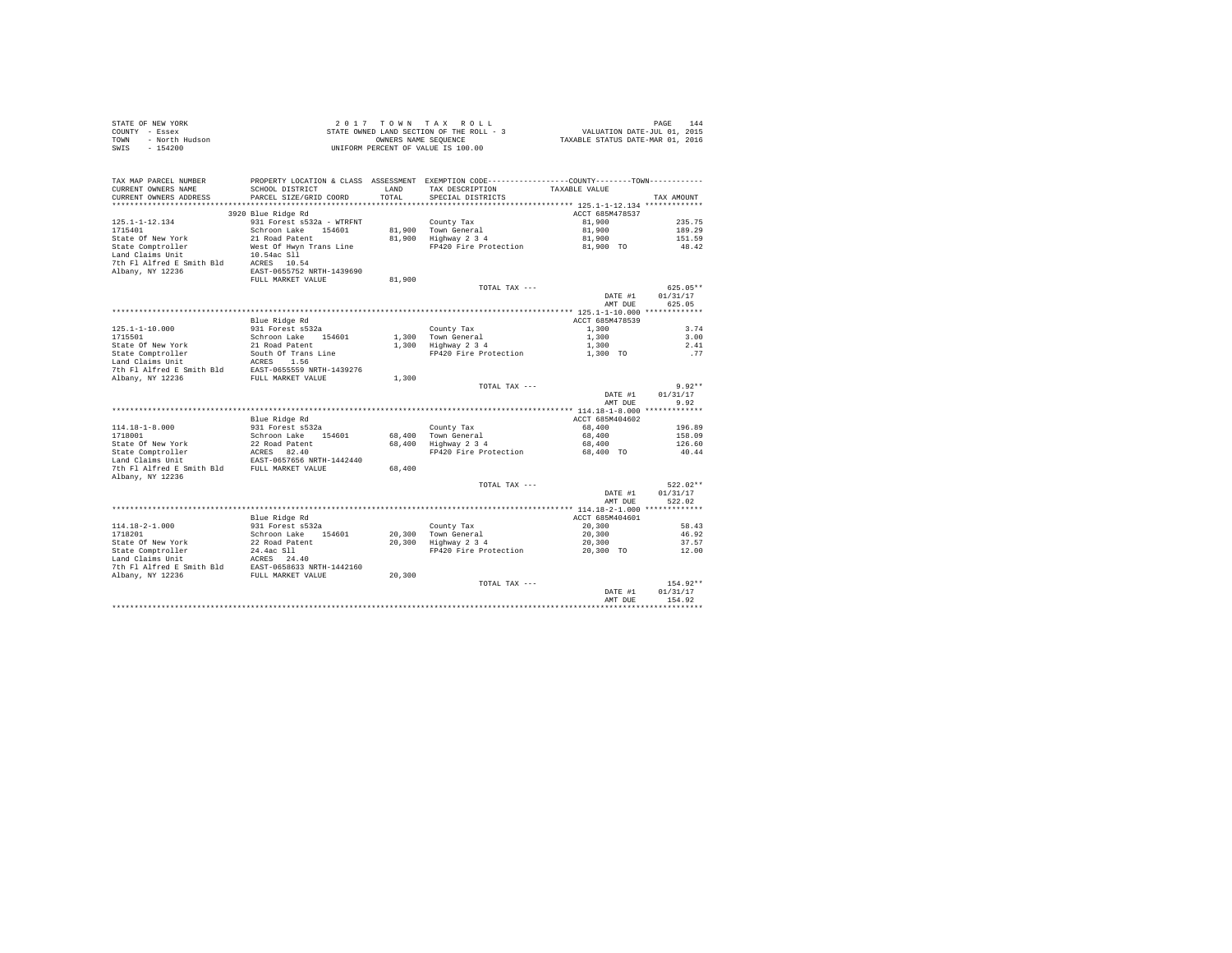| STATE OF NEW YORK      | 2017 TOWN TAX ROLL                       | PAGE<br>144                      |
|------------------------|------------------------------------------|----------------------------------|
| COUNTY - Essex         | STATE OWNED LAND SECTION OF THE ROLL - 3 | VALUATION DATE-JUL 01, 2015      |
| TOWN<br>- North Hudson | OWNERS NAME SEOUENCE                     | TAXABLE STATUS DATE-MAR 01, 2016 |
| - 154200<br>SWIS       | UNIFORM PERCENT OF VALUE IS 100.00       |                                  |

| TAX MAP PARCEL NUMBER<br>CURRENT OWNERS NAME<br>CURRENT OWNERS ADDRESS | PROPERTY LOCATION & CLASS ASSESSMENT EXEMPTION CODE---------------COUNTY-------TOWN---------<br>SCHOOL DISTRICT<br>PARCEL SIZE/GRID COORD | LAND<br>TOTAL | TAX DESCRIPTION<br>SPECIAL DISTRICTS | TAXABLE VALUE   | TAX AMOUNT |
|------------------------------------------------------------------------|-------------------------------------------------------------------------------------------------------------------------------------------|---------------|--------------------------------------|-----------------|------------|
| *************************                                              |                                                                                                                                           |               |                                      |                 |            |
| 3920 Blue Ridge Rd                                                     |                                                                                                                                           |               |                                      | ACCT 685M478537 |            |
| $125.1 - 1 - 12.134$                                                   | 931 Forest s532a - WTRFNT                                                                                                                 |               | County Tax                           | 81,900          | 235.75     |
| 1715401                                                                | Schroon Lake<br>154601                                                                                                                    | 81,900        | Town General                         | 81,900          | 189.29     |
| State Of New York                                                      | 21 Road Patent                                                                                                                            | 81,900        | Highway 2 3 4                        | 81,900          | 151.59     |
| State Comptroller                                                      | West Of Hwyn Trans Line                                                                                                                   |               | FP420 Fire Protection                | 81,900 TO       | 48.42      |
| Land Claims Unit                                                       | 10.54ac Sll                                                                                                                               |               |                                      |                 |            |
| 7th Fl Alfred E Smith Bld                                              | ACRES 10.54                                                                                                                               |               |                                      |                 |            |
| Albany, NY 12236                                                       | EAST-0655752 NRTH-1439690                                                                                                                 |               |                                      |                 |            |
|                                                                        | FULL MARKET VALUE                                                                                                                         | 81,900        |                                      |                 |            |
|                                                                        |                                                                                                                                           |               | TOTAL TAX ---                        |                 | $625.05**$ |
|                                                                        |                                                                                                                                           |               |                                      | DATE #1         | 01/31/17   |
|                                                                        |                                                                                                                                           |               |                                      | AMT DUE         | 625.05     |
|                                                                        |                                                                                                                                           |               |                                      |                 |            |
|                                                                        | Blue Ridge Rd                                                                                                                             |               |                                      | ACCT 685M478539 |            |
| $125.1 - 1 - 10.000$                                                   | 931 Forest s532a                                                                                                                          |               | County Tax                           | 1,300           | 3.74       |
| 1715501                                                                | 154601<br>Schroon Lake                                                                                                                    | 1,300         | Town General                         | 1,300           | 3.00       |
| State Of New York                                                      | 21 Road Patent                                                                                                                            | 1,300         | Highway 2 3 4                        | 1,300           | 2.41       |
| State Comptroller                                                      | South Of Trans Line                                                                                                                       |               | FP420 Fire Protection                | 1,300 TO        | .77        |
| Land Claims Unit                                                       | 1.56<br>ACRES                                                                                                                             |               |                                      |                 |            |
| 7th Fl Alfred E Smith Bld                                              | EAST-0655559 NRTH-1439276                                                                                                                 |               |                                      |                 |            |
| Albany, NY 12236                                                       | FULL MARKET VALUE                                                                                                                         | 1,300         |                                      |                 |            |
|                                                                        |                                                                                                                                           |               | TOTAL TAX ---                        |                 | $9.92**$   |
|                                                                        |                                                                                                                                           |               |                                      | DATE #1         | 01/31/17   |
|                                                                        |                                                                                                                                           |               |                                      | AMT DUE         | 9.92       |
|                                                                        |                                                                                                                                           |               |                                      | ACCT 685M404602 |            |
| $114.18 - 1 - 8.000$                                                   | Blue Ridge Rd<br>931 Forest s532a                                                                                                         |               | County Tax                           | 68,400          | 196.89     |
| 1718001                                                                | Schroon Lake<br>154601                                                                                                                    | 68,400        | Town General                         | 68,400          | 158.09     |
| State Of New York                                                      | 22 Road Patent                                                                                                                            | 68,400        | Highway 2 3 4                        | 68,400          | 126.60     |
| State Comptroller                                                      | ACRES 82.40                                                                                                                               |               | FP420 Fire Protection                | 68,400 TO       | 40.44      |
| Land Claims Unit                                                       | EAST-0657656 NRTH-1442440                                                                                                                 |               |                                      |                 |            |
| 7th Fl Alfred E Smith Bld                                              | FULL MARKET VALUE                                                                                                                         | 68,400        |                                      |                 |            |
| Albany, NY 12236                                                       |                                                                                                                                           |               |                                      |                 |            |
|                                                                        |                                                                                                                                           |               | TOTAL TAX ---                        |                 | $522.02**$ |
|                                                                        |                                                                                                                                           |               |                                      | DATE #1         | 01/31/17   |
|                                                                        |                                                                                                                                           |               |                                      | AMT DUE         | 522.02     |
|                                                                        |                                                                                                                                           |               |                                      |                 |            |
|                                                                        | Blue Ridge Rd                                                                                                                             |               |                                      | ACCT 685M404601 |            |
| $114.18 - 2 - 1.000$                                                   | 931 Forest s532a                                                                                                                          |               | County Tax                           | 20,300          | 58.43      |
| 1718201                                                                | Schroon Lake<br>154601                                                                                                                    | 20,300        | Town General                         | 20,300          | 46.92      |
| State Of New York                                                      | 22 Road Patent                                                                                                                            | 20,300        | Highway 2 3 4                        | 20,300          | 37.57      |
| State Comptroller                                                      | 24.4ac S11                                                                                                                                |               | FP420 Fire Protection                | 20,300 TO       | 12.00      |
| Land Claims Unit                                                       | 24.40<br>ACRES                                                                                                                            |               |                                      |                 |            |
| 7th Fl Alfred E Smith Bld                                              | EAST-0658633 NRTH-1442160                                                                                                                 |               |                                      |                 |            |
| Albany, NY 12236                                                       | FULL MARKET VALUE                                                                                                                         | 20,300        |                                      |                 |            |
|                                                                        |                                                                                                                                           |               | TOTAL TAX ---                        |                 | 154.92**   |
|                                                                        |                                                                                                                                           |               |                                      | DATE #1         | 01/31/17   |
|                                                                        |                                                                                                                                           |               |                                      | AMT DUE         | 154.92     |
|                                                                        |                                                                                                                                           |               |                                      |                 |            |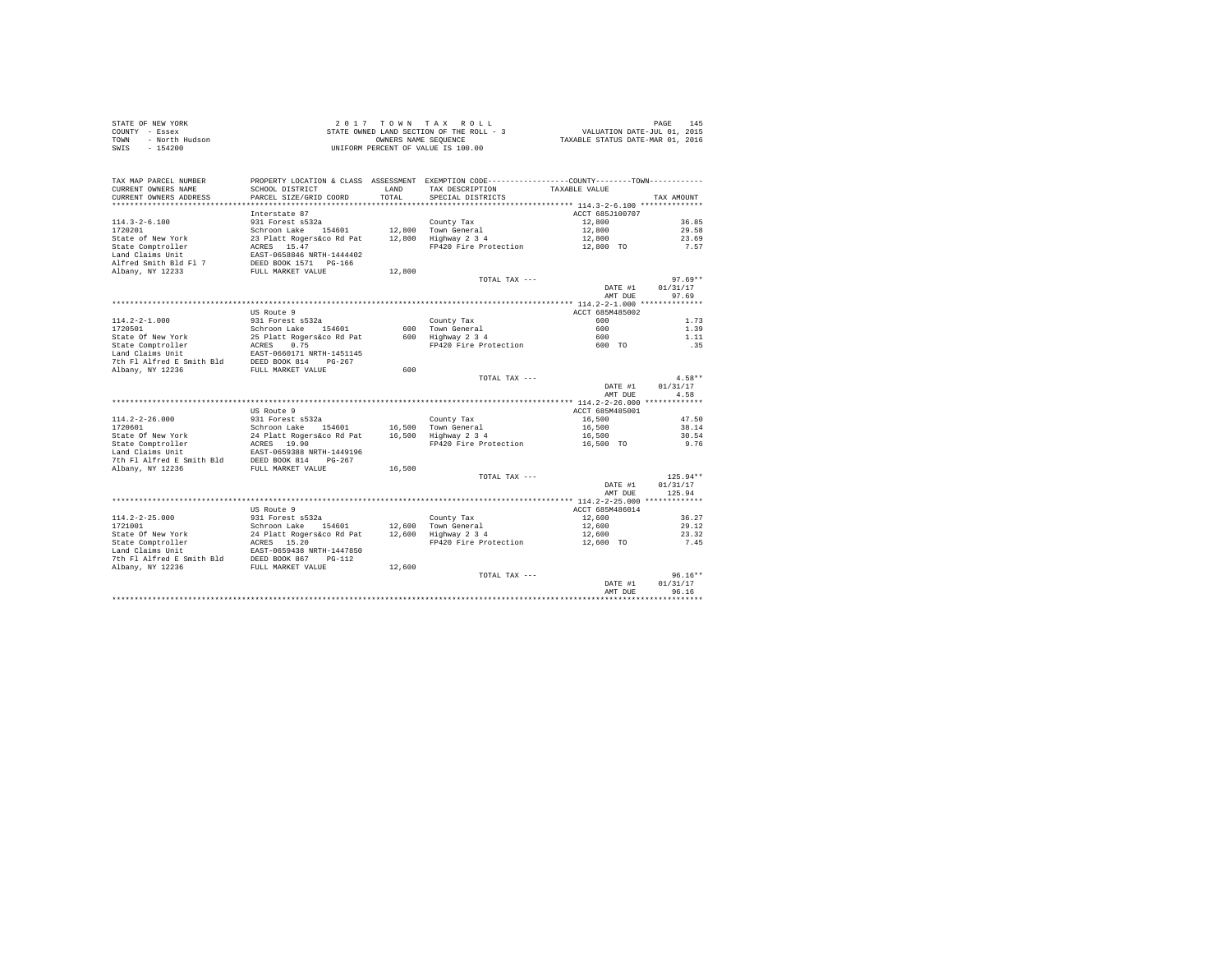|      | STATE OF NEW YORK | 2017 TOWN TAX ROLL                       | 145<br>PAGE                      |
|------|-------------------|------------------------------------------|----------------------------------|
|      | COUNTY - Essex    | STATE OWNED LAND SECTION OF THE ROLL - 3 | VALUATION DATE-JUL 01, 2015      |
| TOWN | - North Hudson    | OWNERS NAME SEOUENCE                     | TAXABLE STATUS DATE-MAR 01, 2016 |
| SWIS | - 154200          | UNIFORM PERCENT OF VALUE IS 100.00       |                                  |

| TAX MAP PARCEL NUMBER<br>CURRENT OWNERS NAME<br>CURRENT OWNERS ADDRESS             | SCHOOL DISTRICT<br>PARCEL SIZE/GRID COORD                                              | <b>T.AND</b><br>TOTAL | PROPERTY LOCATION & CLASS ASSESSMENT EXEMPTION CODE---------------COUNTY-------TOWN---------<br>TAX DESCRIPTION<br>SPECIAL DISTRICTS | TAXABLE VALUE   | TAX AMOUNT |
|------------------------------------------------------------------------------------|----------------------------------------------------------------------------------------|-----------------------|--------------------------------------------------------------------------------------------------------------------------------------|-----------------|------------|
| ***************************                                                        |                                                                                        |                       |                                                                                                                                      |                 |            |
|                                                                                    | Interstate 87                                                                          |                       |                                                                                                                                      | ACCT 685J100707 |            |
| $114.3 - 2 - 6.100$                                                                | 931 Forest s532a                                                                       |                       | County Tax                                                                                                                           | 12,800          | 36.85      |
| 1720201                                                                            | Schroon Lake 154601                                                                    |                       | 12,800 Town General                                                                                                                  | 12,800          | 29.58      |
| State of New York                                                                  | 23 Platt Rogers&co Rd Pat                                                              |                       | 12,800 Highway 2 3 4                                                                                                                 | 12,800          | 23.69      |
| State Comptroller<br>Land Claims Unit<br>Alfred Smith Bld Fl 7<br>Albany, NY 12233 | ACRES 15.47<br>EAST-0658846 NRTH-1444402<br>DEED BOOK 1571 PG-166<br>FULL MARKET VALUE | 12,800                | FP420 Fire Protection                                                                                                                | 12,800 TO       | 7.57       |
|                                                                                    |                                                                                        |                       | TOTAL TAX ---                                                                                                                        |                 | $97.69**$  |
|                                                                                    |                                                                                        |                       |                                                                                                                                      | DATE #1         | 01/31/17   |
|                                                                                    |                                                                                        |                       |                                                                                                                                      | AMT DUE         | 97.69      |
|                                                                                    |                                                                                        |                       |                                                                                                                                      |                 |            |
|                                                                                    | US Route 9                                                                             |                       |                                                                                                                                      | ACCT 685M485002 |            |
| $114.2 - 2 - 1.000$                                                                | 931 Forest s532a                                                                       |                       | County Tax                                                                                                                           | 600             | 1.73       |
| 1720501                                                                            | Schroon Lake 154601                                                                    |                       | 600 Town General                                                                                                                     | 600             | 1.39       |
| State Of New York                                                                  | 25 Platt Rogers&co Rd Pat                                                              |                       | 600 Highway 2 3 4                                                                                                                    | 600             | 1.11       |
| State Comptroller                                                                  | ACRES<br>0.75                                                                          |                       | FP420 Fire Protection                                                                                                                | 600 TO          | .35        |
| Land Claims Unit<br>7th Fl Alfred E Smith Bld                                      | EAST-0660171 NRTH-1451145<br>DEED BOOK 814 PG-267                                      |                       |                                                                                                                                      |                 |            |
| Albany, NY 12236                                                                   | FULL MARKET VALUE                                                                      | 600                   |                                                                                                                                      |                 |            |
|                                                                                    |                                                                                        |                       | TOTAL TAX ---                                                                                                                        |                 | $4.58**$   |
|                                                                                    |                                                                                        |                       |                                                                                                                                      | DATE #1         | 01/31/17   |
|                                                                                    |                                                                                        |                       |                                                                                                                                      | AMT DUE         | 4.58       |
|                                                                                    |                                                                                        |                       |                                                                                                                                      |                 |            |
|                                                                                    | US Route 9                                                                             |                       |                                                                                                                                      | ACCT 685M485001 |            |
| $114.2 - 2 - 26.000$                                                               | 931 Forest s532a                                                                       |                       | County Tax                                                                                                                           | 16,500          | 47.50      |
| 1720601                                                                            | Schroon Lake 154601                                                                    |                       | 16,500 Town General                                                                                                                  | 16,500          | 38.14      |
| State Of New York                                                                  | 24 Platt Rogers&co Rd Pat                                                              |                       | 16,500 Highway 2 3 4                                                                                                                 | 16,500          | 30.54      |
| State Comptroller                                                                  | ACRES 19.90                                                                            |                       | FP420 Fire Protection                                                                                                                | 16,500 TO       | 9.76       |
| Land Claims Unit<br>7th Fl Alfred E Smith Bld                                      | EAST-0659388 NRTH-1449196<br>DEED BOOK 814<br>$PG-267$                                 |                       |                                                                                                                                      |                 |            |
| Albany, NY 12236                                                                   | FULL MARKET VALUE                                                                      | 16,500                |                                                                                                                                      |                 |            |
|                                                                                    |                                                                                        |                       | TOTAL TAX ---                                                                                                                        |                 | $125.94**$ |
|                                                                                    |                                                                                        |                       |                                                                                                                                      | DATE #1         | 01/31/17   |
|                                                                                    |                                                                                        |                       |                                                                                                                                      | AMT DUE         | 125.94     |
|                                                                                    |                                                                                        |                       |                                                                                                                                      |                 |            |
|                                                                                    | US Route 9                                                                             |                       |                                                                                                                                      | ACCT 685M486014 |            |
| $114.2 - 2 - 25.000$                                                               | 931 Forest s532a                                                                       |                       | County Tax                                                                                                                           | 12,600          | 36.27      |
| 1721001                                                                            | Schroon Lake<br>154601                                                                 |                       | 12,600 Town General                                                                                                                  | 12,600          | 29.12      |
| State Of New York                                                                  | 24 Platt Rogers&co Rd Pat                                                              |                       | 12,600 Highway 2 3 4                                                                                                                 | 12,600          | 23.32      |
| State Comptroller                                                                  | ACRES 15.20                                                                            |                       | FP420 Fire Protection                                                                                                                | 12,600 TO       | 7.45       |
| Land Claims Unit<br>7th Fl Alfred E Smith Bld                                      | EAST-0659438 NRTH-1447850<br>DEED BOOK 867<br>$PG-112$                                 |                       |                                                                                                                                      |                 |            |
| Albany, NY 12236                                                                   | FULL MARKET VALUE                                                                      | 12,600                |                                                                                                                                      |                 |            |
|                                                                                    |                                                                                        |                       | TOTAL TAX ---                                                                                                                        |                 | $96.16**$  |
|                                                                                    |                                                                                        |                       |                                                                                                                                      | DATE #1         | 01/31/17   |
|                                                                                    |                                                                                        |                       |                                                                                                                                      | AMT DUE         | 96.16      |
|                                                                                    |                                                                                        |                       |                                                                                                                                      |                 |            |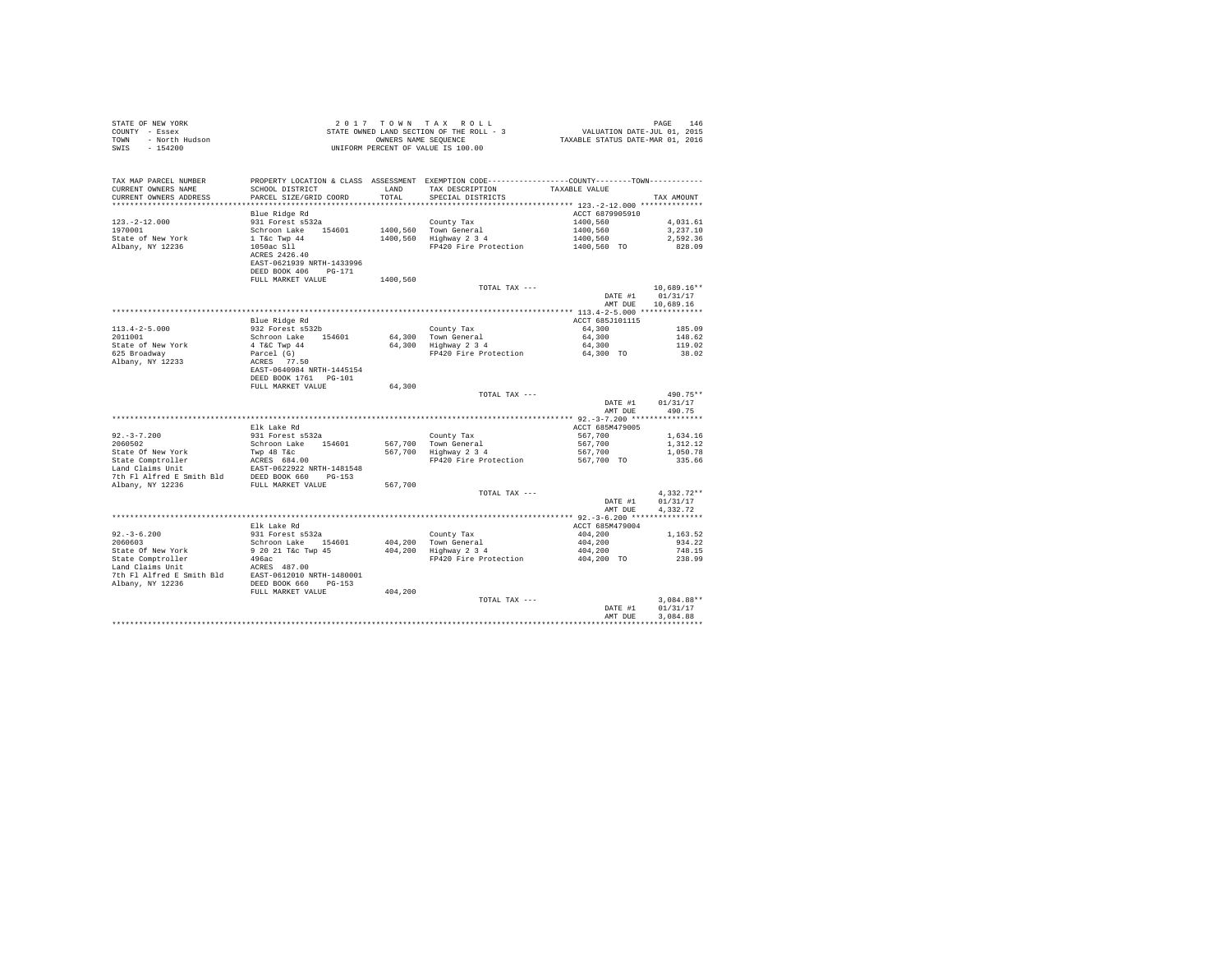| STATE OF NEW YORK                                                                                     | <sup>2</sup> U THE ROLL - 3<br>STATE OWNED LAND SECTION OF THE ROLL - 3<br>UNIFORM PERCENT OF VALUE IS 100.00 |                                                                             |                                                                                              |                                    |              |
|-------------------------------------------------------------------------------------------------------|---------------------------------------------------------------------------------------------------------------|-----------------------------------------------------------------------------|----------------------------------------------------------------------------------------------|------------------------------------|--------------|
| COUNTY - Essex                                                                                        |                                                                                                               | PAGE 146<br>VALUATION DATE-JUL 01, 2015<br>TAXABLE STATUS DATE-MAR 01, 2016 |                                                                                              |                                    |              |
| TOWN - North Hudson                                                                                   |                                                                                                               |                                                                             |                                                                                              |                                    |              |
| SWIS - 154200                                                                                         |                                                                                                               |                                                                             |                                                                                              |                                    |              |
|                                                                                                       |                                                                                                               |                                                                             |                                                                                              |                                    |              |
|                                                                                                       |                                                                                                               |                                                                             |                                                                                              |                                    |              |
|                                                                                                       |                                                                                                               |                                                                             |                                                                                              |                                    |              |
| TAX MAP PARCEL NUMBER                                                                                 |                                                                                                               |                                                                             | PROPERTY LOCATION & CLASS ASSESSMENT EXEMPTION CODE---------------COUNTY-------TOWN--------- |                                    |              |
| CURRENT OWNERS NAME                                                                                   | SCHOOL DISTRICT                                                                                               | LAND                                                                        | TAX DESCRIPTION                                                                              | TAXABLE VALUE                      |              |
| CURRENT OWNERS ADDRESS                                                                                | PARCEL SIZE/GRID COORD                                                                                        | TOTAL                                                                       | SPECIAL DISTRICTS                                                                            |                                    | TAX AMOUNT   |
|                                                                                                       |                                                                                                               |                                                                             |                                                                                              |                                    |              |
|                                                                                                       | Blue Ridge Rd                                                                                                 |                                                                             |                                                                                              | ACCT 6879905910                    |              |
| $123. -2 - 12.000$                                                                                    | 931 Forest s532a                                                                                              |                                                                             | County Tax                                                                                   | 1400.560                           | 4.031.61     |
| 1970001                                                                                               | Schroon Lake 154601                                                                                           |                                                                             | 1400,560 Town General                                                                        | 1400,560                           | 3,237.10     |
| State of New York                                                                                     | 1 T&c Twp 44<br>1050ac Sll<br>ACRES 2426.40                                                                   |                                                                             | 1400,560 Highway 2 3 4                                                                       | 1400,560                           | 2,592.36     |
| Albany, NY 12236                                                                                      |                                                                                                               |                                                                             | FP420 Fire Protection                                                                        | 1400,560 TO                        | 828.09       |
|                                                                                                       |                                                                                                               |                                                                             |                                                                                              |                                    |              |
|                                                                                                       | EAST-0621939 NRTH-1433996                                                                                     |                                                                             |                                                                                              |                                    |              |
|                                                                                                       | DEED BOOK 406 PG-171                                                                                          |                                                                             |                                                                                              |                                    |              |
|                                                                                                       | FULL MARKET VALUE                                                                                             | 1400,560                                                                    |                                                                                              |                                    |              |
|                                                                                                       |                                                                                                               |                                                                             | TOTAL TAX ---                                                                                |                                    | 10,689.16**  |
|                                                                                                       |                                                                                                               |                                                                             |                                                                                              | DATE #1                            | 01/31/17     |
|                                                                                                       |                                                                                                               |                                                                             |                                                                                              | AMT DUE                            | 10,689.16    |
|                                                                                                       |                                                                                                               |                                                                             |                                                                                              |                                    |              |
|                                                                                                       |                                                                                                               |                                                                             |                                                                                              | ACCT 685J101115                    |              |
|                                                                                                       | Blue Ridge Rd                                                                                                 |                                                                             |                                                                                              |                                    |              |
| $113.4 - 2 - 5.000$                                                                                   | 932 Forest s532b                                                                                              |                                                                             | County Tax                                                                                   | 64,300                             | 185.09       |
| 2011001                                                                                               | Schroon Lake 154601                                                                                           |                                                                             | 64,300 Town General<br>64,300 Highway 2 3 4                                                  | 64,300                             | 148.62       |
| State of New York                                                                                     |                                                                                                               |                                                                             |                                                                                              | 64,300                             | 119.02       |
| 625 Broadway                                                                                          |                                                                                                               |                                                                             | FP420 Fire Protection                                                                        | 64,300 TO                          | 38.02        |
| Albany, NY 12233                                                                                      |                                                                                                               |                                                                             |                                                                                              |                                    |              |
|                                                                                                       | EAST-0640984 NRTH-1445154                                                                                     |                                                                             |                                                                                              |                                    |              |
|                                                                                                       | DEED BOOK 1761 PG-101                                                                                         |                                                                             |                                                                                              |                                    |              |
|                                                                                                       | FULL MARKET VALUE                                                                                             | 64,300                                                                      |                                                                                              |                                    |              |
|                                                                                                       |                                                                                                               |                                                                             | TOTAL TAX ---                                                                                |                                    | 490.75**     |
|                                                                                                       |                                                                                                               |                                                                             |                                                                                              | DATE #1                            | 01/31/17     |
|                                                                                                       |                                                                                                               |                                                                             |                                                                                              | AMT DUE                            | 490.75       |
|                                                                                                       |                                                                                                               |                                                                             |                                                                                              |                                    |              |
|                                                                                                       | Elk Lake Rd                                                                                                   |                                                                             |                                                                                              | ACCT 685M479005                    |              |
| $92. -3 - 7.200$                                                                                      | 931 Forest s532a                                                                                              |                                                                             | County Tax                                                                                   | 567.700                            | 1,634.16     |
| 2060502                                                                                               | Schroon Lake 154601                                                                                           |                                                                             |                                                                                              | 567,700                            | 1,312.12     |
| State Of New York                                                                                     | Twp 48 T&c                                                                                                    |                                                                             | County Tax<br>567,700 Town General<br>567,700 Highway 2 3 4                                  | 567,700                            | 1,050.78     |
|                                                                                                       |                                                                                                               |                                                                             | FP420 Fire Protection                                                                        | 567,700 TO                         | 335.66       |
|                                                                                                       |                                                                                                               |                                                                             |                                                                                              |                                    |              |
|                                                                                                       |                                                                                                               |                                                                             |                                                                                              |                                    |              |
| Albany, NY 12236                                                                                      | FULL MARKET VALUE                                                                                             | 567,700                                                                     |                                                                                              |                                    |              |
|                                                                                                       |                                                                                                               |                                                                             | TOTAL TAX ---                                                                                |                                    | $4.332.72**$ |
|                                                                                                       |                                                                                                               |                                                                             |                                                                                              | DATE #1                            | 01/31/17     |
|                                                                                                       |                                                                                                               |                                                                             |                                                                                              | AMT DUE                            | 4,332.72     |
|                                                                                                       |                                                                                                               |                                                                             |                                                                                              |                                    |              |
|                                                                                                       | Elk Lake Rd                                                                                                   |                                                                             |                                                                                              | ACCT 685M479004                    |              |
| $92 - 3 - 6.200$                                                                                      | 931 Forest s532a                                                                                              |                                                                             | County Tax                                                                                   | 404,200                            | 1,163.52     |
| 2060603                                                                                               | Schroon Lake 154601                                                                                           |                                                                             | 404,200 Town General                                                                         | 404,200                            | 934.22       |
|                                                                                                       |                                                                                                               |                                                                             | $404,200$ Highway $2\frac{3}{4}$                                                             | 404,200                            | 748.15       |
| State Of New York                                                                                     | 9 20 21 T&c Twp 45                                                                                            |                                                                             |                                                                                              |                                    |              |
| State Comptroller                                                                                     | 496ac                                                                                                         |                                                                             | FP420 Fire Protection                                                                        | 404,200 TO                         | 238.99       |
| Land Claims Unit                                                                                      | ACRES 487.00                                                                                                  |                                                                             |                                                                                              |                                    |              |
| 7th F1 Alfred E Smith B1d<br>RAST-0612010 NRTH-1480001<br>R1bany, NY 12236<br>DEED BOOK 660<br>PG-153 |                                                                                                               |                                                                             |                                                                                              |                                    |              |
| Albany, NY 12236                                                                                      |                                                                                                               |                                                                             |                                                                                              |                                    |              |
|                                                                                                       | FULL MARKET VALUE                                                                                             | 404,200                                                                     |                                                                                              |                                    |              |
|                                                                                                       |                                                                                                               |                                                                             | TOTAL TAX ---                                                                                |                                    | $3,084.88**$ |
|                                                                                                       |                                                                                                               |                                                                             |                                                                                              | DATE #1                            | 01/31/17     |
|                                                                                                       |                                                                                                               |                                                                             |                                                                                              | AMT DUE                            | 3,084.88     |
|                                                                                                       |                                                                                                               |                                                                             |                                                                                              | ********************************** |              |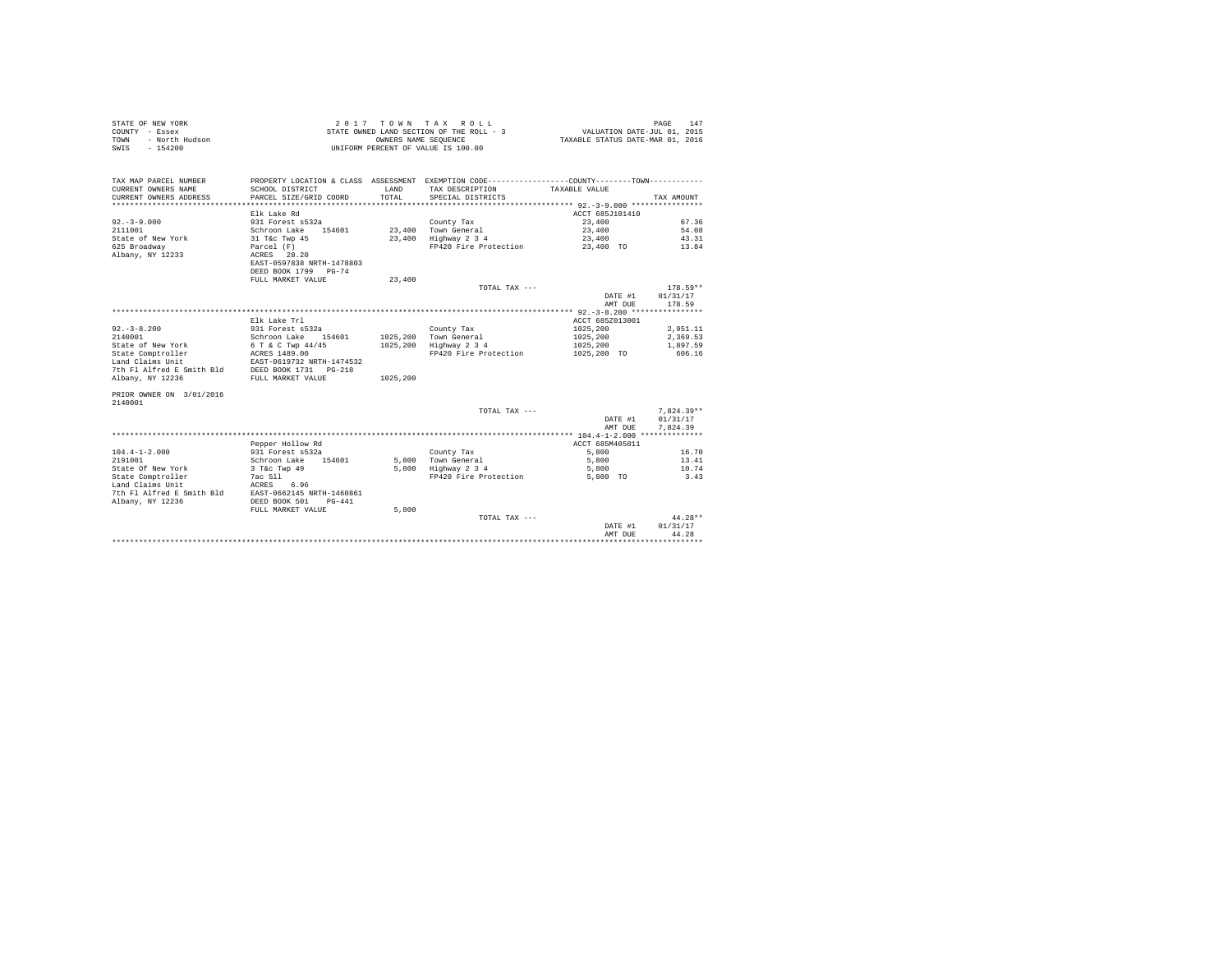| STATE OF NEW YORK<br>COUNTY - Essex<br>- North Hudson<br>TOWN<br>$-154200$<br>SWIS |                                                                                | OWNERS NAME SEOUENCE | 2017 TOWN TAX ROLL<br>STATE OWNED LAND SECTION OF THE ROLL - 3<br>UNIFORM PERCENT OF VALUE IS 100.00             | 147<br>PAGE<br>VALUATION DATE-JUL 01, 2015<br>TAXABLE STATUS DATE-MAR 01, 2016 |                        |  |
|------------------------------------------------------------------------------------|--------------------------------------------------------------------------------|----------------------|------------------------------------------------------------------------------------------------------------------|--------------------------------------------------------------------------------|------------------------|--|
| TAX MAP PARCEL NUMBER<br>CURRENT OWNERS NAME                                       | SCHOOL DISTRICT                                                                | LAND                 | PROPERTY LOCATION & CLASS ASSESSMENT EXEMPTION CODE---------------COUNTY-------TOWN----------<br>TAX DESCRIPTION | TAXABLE VALUE                                                                  |                        |  |
| CURRENT OWNERS ADDRESS                                                             | PARCEL SIZE/GRID COORD                                                         | TOTAL                | SPECIAL DISTRICTS                                                                                                |                                                                                | TAX AMOUNT             |  |
|                                                                                    |                                                                                |                      |                                                                                                                  | ******************** 92.-3-9.000 ****************                              |                        |  |
|                                                                                    | Elk Lake Rd                                                                    |                      |                                                                                                                  | ACCT 685J101410                                                                |                        |  |
| $92. - 3 - 9.000$                                                                  | 931 Forest s532a                                                               |                      | County Tax                                                                                                       | 23,400                                                                         | 67.36                  |  |
| 2111001                                                                            | Schroon Lake 154601                                                            |                      | 23.400 Town General                                                                                              | 23,400                                                                         | 54.08                  |  |
| State of New York                                                                  | 31 T&c Twp 45                                                                  |                      | 23,400 Highway 2 3 4                                                                                             | 23,400                                                                         | 43.31                  |  |
| 625 Broadway<br>Albany, NY 12233                                                   | Parcel (F)<br>ACRES 28.20<br>EAST-0597838 NRTH-1478803<br>DEED BOOK 1799 PG-74 |                      | FP420 Fire Protection                                                                                            | 23,400 TO                                                                      | 13.84                  |  |
|                                                                                    | FULL MARKET VALUE                                                              | 23,400               |                                                                                                                  |                                                                                |                        |  |
|                                                                                    |                                                                                |                      | TOTAL TAX ---                                                                                                    |                                                                                | $178.59**$             |  |
|                                                                                    |                                                                                |                      |                                                                                                                  | DATE #1                                                                        | 01/31/17               |  |
|                                                                                    |                                                                                |                      |                                                                                                                  | AMT DUE                                                                        | 178.59                 |  |
|                                                                                    | Elk Lake Trl                                                                   |                      |                                                                                                                  | ACCT 685Z013001                                                                |                        |  |
| $92. - 3 - 8.200$                                                                  | 931 Forest s532a                                                               |                      | County Tax                                                                                                       | 1025,200                                                                       | 2.951.11               |  |
| 2140001                                                                            | Schroon Lake 154601                                                            |                      | 1025,200 Town General                                                                                            | 1025,200                                                                       | 2.369.53               |  |
| State of New York                                                                  | 6 T & C Twp 44/45                                                              |                      | 1025,200 Highway 2 3 4                                                                                           | 1025,200                                                                       | 1,897.59               |  |
| State Comptroller                                                                  | ACRES 1489.00                                                                  |                      | FP420 Fire Protection                                                                                            | 1025,200 TO                                                                    | 606.16                 |  |
| Land Claims Unit                                                                   | EAST-0619732 NRTH-1474532                                                      |                      |                                                                                                                  |                                                                                |                        |  |
| 7th Fl Alfred E Smith Bld                                                          | DEED BOOK 1731 PG-218                                                          |                      |                                                                                                                  |                                                                                |                        |  |
| Albany, NY 12236                                                                   | FULL MARKET VALUE                                                              | 1025,200             |                                                                                                                  |                                                                                |                        |  |
| PRIOR OWNER ON 3/01/2016<br>2140001                                                |                                                                                |                      |                                                                                                                  |                                                                                |                        |  |
|                                                                                    |                                                                                |                      | TOTAL TAX ---                                                                                                    |                                                                                | $7,824.39**$           |  |
|                                                                                    |                                                                                |                      |                                                                                                                  | DATE #1                                                                        | 01/31/17               |  |
|                                                                                    |                                                                                |                      |                                                                                                                  | AMT DUE                                                                        | 7.824.39               |  |
|                                                                                    |                                                                                |                      |                                                                                                                  |                                                                                |                        |  |
|                                                                                    | Pepper Hollow Rd                                                               |                      |                                                                                                                  | ACCT 685M405011                                                                |                        |  |
| $104.4 - 1 - 2.000$<br>2191001                                                     | 931 Forest s532a                                                               |                      | County Tax                                                                                                       | 5,800                                                                          | 16.70                  |  |
| State Of New York                                                                  | Schroon Lake<br>154601<br>3 T&c Twp 49                                         |                      | 5.800 Town General<br>5,800 Highway 2 3 4                                                                        | 5,800<br>5,800                                                                 | 13.41<br>10.74         |  |
| State Comptroller                                                                  | 7ac Sll                                                                        |                      | FP420 Fire Protection                                                                                            | 5,800 TO                                                                       | 3.43                   |  |
| Land Claims Unit                                                                   | ACRES<br>6.96                                                                  |                      |                                                                                                                  |                                                                                |                        |  |
| 7th Fl Alfred E Smith Bld                                                          | EAST-0662145 NRTH-1460861                                                      |                      |                                                                                                                  |                                                                                |                        |  |
| Albany, NY 12236                                                                   | DEED BOOK 501<br>$PG-441$                                                      |                      |                                                                                                                  |                                                                                |                        |  |
|                                                                                    | FULL MARKET VALUE                                                              | 5,800                |                                                                                                                  |                                                                                |                        |  |
|                                                                                    |                                                                                |                      | TOTAL TAX ---                                                                                                    |                                                                                | $44.28**$              |  |
|                                                                                    |                                                                                |                      |                                                                                                                  | DATE #1                                                                        | 01/31/17               |  |
|                                                                                    |                                                                                |                      |                                                                                                                  | AMT DUE                                                                        | 44.28<br>************* |  |
|                                                                                    |                                                                                |                      |                                                                                                                  |                                                                                |                        |  |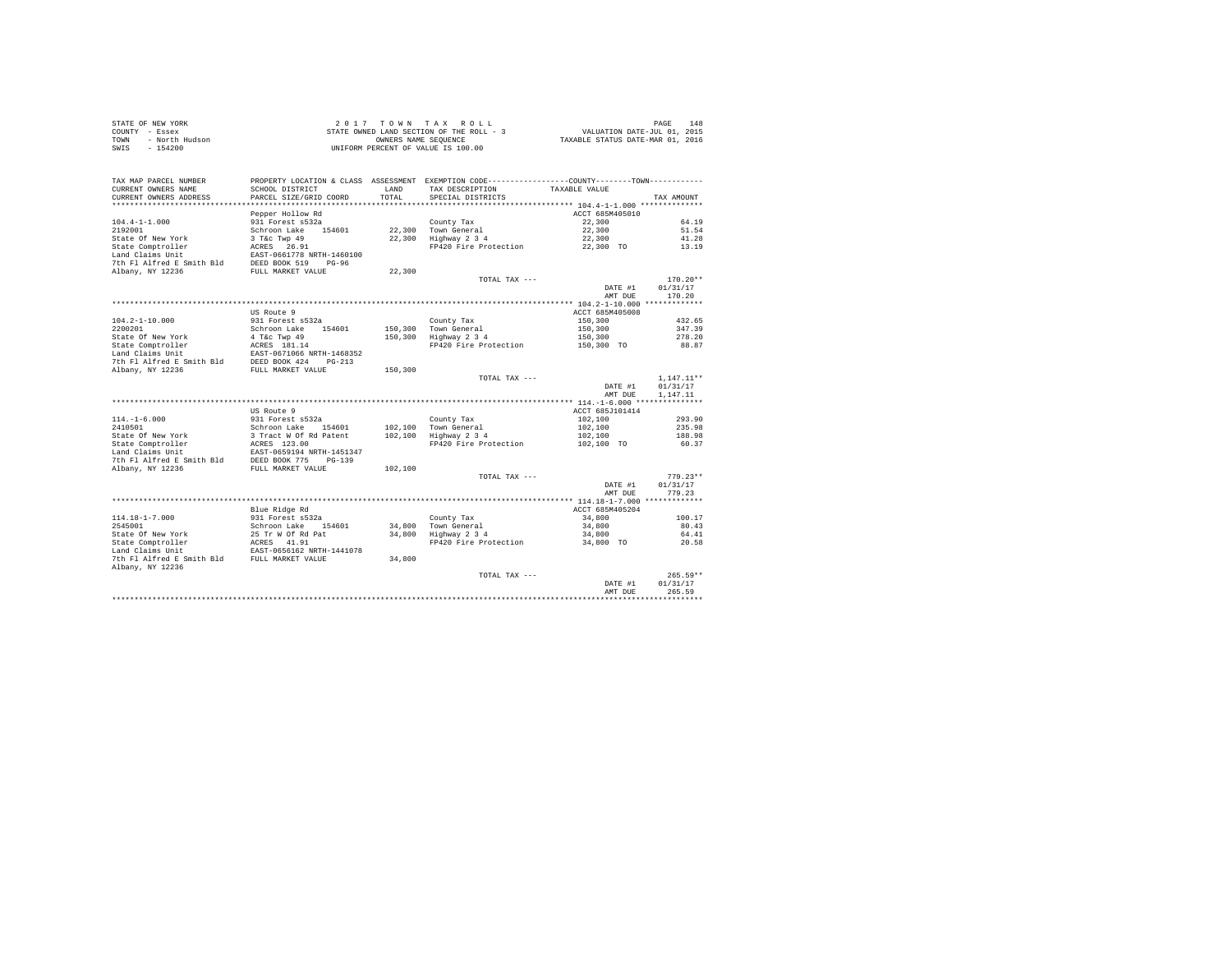| STATE OF NEW YORK      | 2017 TOWN TAX ROLL                       | 148<br>PAGE                      |
|------------------------|------------------------------------------|----------------------------------|
| COUNTY - Essex         | STATE OWNED LAND SECTION OF THE ROLL - 3 | VALUATION DATE-JUL 01, 2015      |
| - North Hudson<br>TOWN | OWNERS NAME SEOUENCE                     | TAXABLE STATUS DATE-MAR 01, 2016 |
| SWIS<br>$-154200$      | UNIFORM PERCENT OF VALUE IS 100.00       |                                  |

| TAX MAP PARCEL NUMBER                                | PROPERTY LOCATION & CLASS ASSESSMENT EXEMPTION CODE---------------COUNTY-------TOWN--------- |                    |                                        |                                       |                 |
|------------------------------------------------------|----------------------------------------------------------------------------------------------|--------------------|----------------------------------------|---------------------------------------|-----------------|
| CURRENT OWNERS NAME                                  | SCHOOL DISTRICT                                                                              | LAND               | TAX DESCRIPTION                        | TAXABLE VALUE                         |                 |
| CURRENT OWNERS ADDRESS<br>************************** | PARCEL SIZE/GRID COORD                                                                       | TOTAL              | SPECIAL DISTRICTS                      |                                       | TAX AMOUNT      |
|                                                      | Pepper Hollow Rd                                                                             |                    |                                        | ACCT 685M405010                       |                 |
| $104.4 - 1 - 1.000$                                  | 931 Forest s532a                                                                             |                    | County Tax                             | 22,300                                | 64.19           |
| 2192001                                              | Schroon Lake 154601                                                                          | 22,300             | Town General                           | 22,300                                | 51.54           |
| State Of New York                                    | 3 T&c Twp 49                                                                                 | 22,300             | Highway 2 3 4                          | 22,300                                | 41.28           |
| State Comptroller                                    | ACRES 26.91                                                                                  |                    | FP420 Fire Protection                  | 22,300 TO                             | 13.19           |
| Land Claims Unit                                     | EAST-0661778 NRTH-1460100                                                                    |                    |                                        |                                       |                 |
| 7th Fl Alfred E Smith Bld                            | DEED BOOK 519<br>$PG-96$                                                                     |                    |                                        |                                       |                 |
| Albany, NY 12236                                     | FULL MARKET VALUE                                                                            | 22,300             |                                        |                                       |                 |
|                                                      |                                                                                              |                    | TOTAL TAX ---                          |                                       | $170.20**$      |
|                                                      |                                                                                              |                    |                                        | DATE #1                               | 01/31/17        |
|                                                      |                                                                                              |                    |                                        | AMT DUE                               | 170.20          |
|                                                      |                                                                                              |                    |                                        |                                       |                 |
|                                                      | US Route 9                                                                                   |                    |                                        | ACCT 685M405008                       |                 |
| $104.2 - 1 - 10.000$                                 | 931 Forest s532a                                                                             |                    | County Tax                             | 150,300                               | 432.65          |
| 2200201<br>State Of New York                         | Schroon Lake<br>154601<br>4 T&C Twp 49                                                       | 150,300<br>150,300 | Town General                           | 150,300                               | 347.39          |
| State Comptroller                                    | ACRES 181.14                                                                                 |                    | Highway 2 3 4<br>FP420 Fire Protection | 150.300<br>150,300 TO                 | 278.20<br>88.87 |
| Land Claims Unit                                     | EAST-0671066 NRTH-1468352                                                                    |                    |                                        |                                       |                 |
| 7th Fl Alfred E Smith Bld                            | DEED BOOK 424<br>$PG-213$                                                                    |                    |                                        |                                       |                 |
| Albany, NY 12236                                     | FULL MARKET VALUE                                                                            | 150,300            |                                        |                                       |                 |
|                                                      |                                                                                              |                    | TOTAL TAX ---                          |                                       | $1,147.11**$    |
|                                                      |                                                                                              |                    |                                        | DATE #1                               | 01/31/17        |
|                                                      |                                                                                              |                    |                                        | AMT DUE                               | 1,147.11        |
|                                                      |                                                                                              |                    |                                        |                                       |                 |
|                                                      | US Route 9                                                                                   |                    |                                        | ACCT 685J101414                       |                 |
| $114. - 1 - 6.000$                                   | 931 Forest s532a                                                                             |                    | County Tax                             | 102,100                               | 293.90          |
| 2410501                                              | Schroon Lake<br>154601                                                                       | 102,100            | Town General                           | 102,100                               | 235.98          |
| State Of New York                                    | 3 Tract W Of Rd Patent                                                                       | 102,100            | Highway 2 3 4                          | 102,100                               | 188.98          |
| State Comptroller                                    | ACRES 123.00                                                                                 |                    | FP420 Fire Protection                  | 102,100 TO                            | 60.37           |
| Land Claims Unit<br>7th Fl Alfred E Smith Bld        | EAST-0659194 NRTH-1451347<br>DEED BOOK 775<br>$PG-139$                                       |                    |                                        |                                       |                 |
| Albany, NY 12236                                     | FULL MARKET VALUE                                                                            | 102,100            |                                        |                                       |                 |
|                                                      |                                                                                              |                    | TOTAL TAX ---                          |                                       | $779.23**$      |
|                                                      |                                                                                              |                    |                                        | DATE #1                               | 01/31/17        |
|                                                      |                                                                                              |                    |                                        | AMT DUE                               | 779.23          |
|                                                      |                                                                                              |                    |                                        |                                       |                 |
|                                                      | Blue Ridge Rd                                                                                |                    |                                        | ACCT 685M405204                       |                 |
| $114.18 - 1 - 7.000$                                 | 931 Forest s532a                                                                             |                    | County Tax                             | 34,800                                | 100.17          |
| 2545001                                              | Schroon Lake<br>154601                                                                       | 34,800             | Town General                           | 34,800                                | 80.43           |
| State Of New York                                    | 25 Tr W Of Rd Pat                                                                            | 34,800             | Highway 2 3 4                          | 34,800                                | 64.41           |
| State Comptroller                                    | ACRES 41.91                                                                                  |                    | FP420 Fire Protection                  | 34,800 TO                             | 20.58           |
| Land Claims Unit                                     | EAST-0656162 NRTH-1441078                                                                    |                    |                                        |                                       |                 |
| 7th Fl Alfred E Smith Bld                            | FULL MARKET VALUE                                                                            | 34,800             |                                        |                                       |                 |
| Albany, NY 12236                                     |                                                                                              |                    | TOTAL TAX ---                          |                                       | $265.59**$      |
|                                                      |                                                                                              |                    |                                        | DATE #1                               | 01/31/17        |
|                                                      |                                                                                              |                    |                                        | AMT DUE                               | 265.59          |
|                                                      |                                                                                              |                    |                                        | ************************************* |                 |
|                                                      |                                                                                              |                    |                                        |                                       |                 |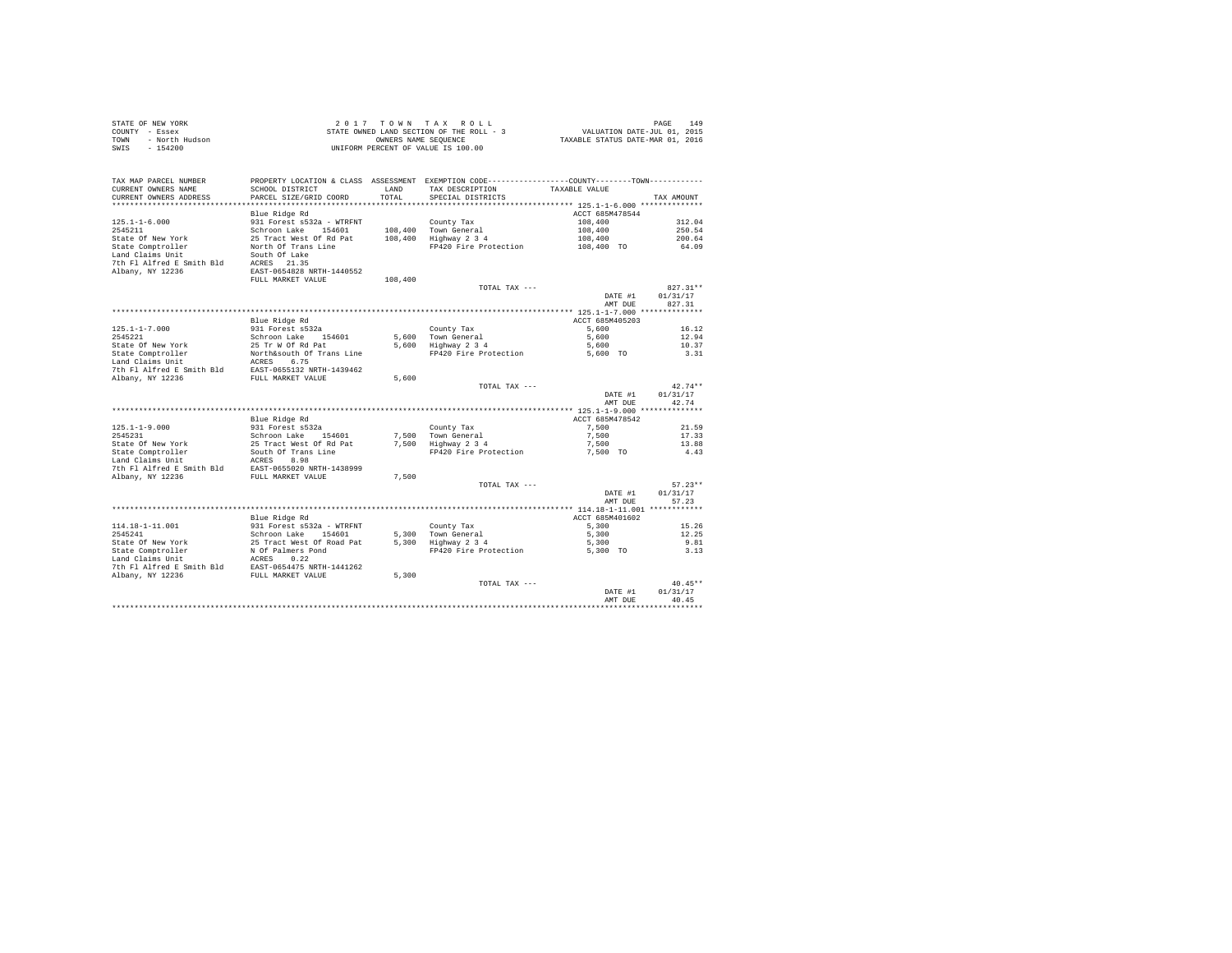|      | STATE OF NEW YORK | 2017 TOWN TAX ROLL                       | 149<br>PAGE                      |
|------|-------------------|------------------------------------------|----------------------------------|
|      | COUNTY - Essex    | STATE OWNED LAND SECTION OF THE ROLL - 3 | VALUATION DATE-JUL 01, 2015      |
| TOWN | - North Hudson    | OWNERS NAME SEOUENCE                     | TAXABLE STATUS DATE-MAR 01, 2016 |
| SWIS | - 154200          | UNIFORM PERCENT OF VALUE IS 100.00       |                                  |

| TAX MAP PARCEL NUMBER<br>CURRENT OWNERS NAME<br>CURRENT OWNERS ADDRESS | SCHOOL DISTRICT<br>PARCEL SIZE/GRID COORD      | LAND<br>TOTAL | PROPERTY LOCATION & CLASS ASSESSMENT EXEMPTION CODE---------------COUNTY-------TOWN---------<br>TAX DESCRIPTION<br>SPECIAL DISTRICTS | TAXABLE VALUE   | TAX AMOUNT     |
|------------------------------------------------------------------------|------------------------------------------------|---------------|--------------------------------------------------------------------------------------------------------------------------------------|-----------------|----------------|
|                                                                        |                                                |               |                                                                                                                                      |                 |                |
|                                                                        | Blue Ridge Rd                                  |               |                                                                                                                                      | ACCT 685M478544 |                |
| $125.1 - 1 - 6.000$                                                    | 931 Forest s532a - WTRFNT                      |               | County Tax                                                                                                                           | 108,400         | 312.04         |
| 2545211                                                                | Schroon Lake 154601                            |               | 108,400 Town General                                                                                                                 | 108,400         | 250.54         |
| State Of New York                                                      | 25 Tract West Of Rd Pat                        |               | 108,400 Highway 2 3 4                                                                                                                | 108,400         | 200.64         |
| State Comptroller                                                      | North Of Trans Line                            |               | FP420 Fire Protection                                                                                                                | 108,400 TO      | 64.09          |
| Land Claims Unit                                                       | South Of Lake                                  |               |                                                                                                                                      |                 |                |
| 7th Fl Alfred E Smith Bld                                              | ACRES 21.35                                    |               |                                                                                                                                      |                 |                |
| Albany, NY 12236                                                       | EAST-0654828 NRTH-1440552                      |               |                                                                                                                                      |                 |                |
|                                                                        | FULL MARKET VALUE                              | 108,400       |                                                                                                                                      |                 |                |
|                                                                        |                                                |               | TOTAL TAX ---                                                                                                                        |                 | $827.31**$     |
|                                                                        |                                                |               |                                                                                                                                      | DATE #1         | 01/31/17       |
|                                                                        |                                                |               |                                                                                                                                      | AMT DUE         | 827.31         |
|                                                                        |                                                |               |                                                                                                                                      |                 |                |
|                                                                        | Blue Ridge Rd                                  |               |                                                                                                                                      | ACCT 685M405203 |                |
| $125.1 - 1 - 7.000$<br>2545221                                         | 931 Forest s532a<br>Schroon Lake 154601        |               | County Tax<br>5.600 Town General                                                                                                     | 5,600           | 16.12<br>12.94 |
| State Of New York                                                      | 25 Tr W Of Rd Pat                              |               | 5,600 Highway 2 3 4                                                                                                                  | 5,600<br>5,600  | 10.37          |
| State Comptroller                                                      | North&south Of Trans Line                      |               | FP420 Fire Protection                                                                                                                | 5,600 TO        | 3.31           |
| Land Claims Unit                                                       | 6.75<br>ACRES                                  |               |                                                                                                                                      |                 |                |
| 7th Fl Alfred E Smith Bld                                              | EAST-0655132 NRTH-1439462                      |               |                                                                                                                                      |                 |                |
| Albany, NY 12236                                                       | FULL MARKET VALUE                              | 5,600         |                                                                                                                                      |                 |                |
|                                                                        |                                                |               | TOTAL TAX ---                                                                                                                        |                 | $42.74**$      |
|                                                                        |                                                |               |                                                                                                                                      | DATE #1         | 01/31/17       |
|                                                                        |                                                |               |                                                                                                                                      | AMT DUE         | 42.74          |
|                                                                        |                                                |               |                                                                                                                                      |                 |                |
|                                                                        | Blue Ridge Rd                                  |               |                                                                                                                                      | ACCT 685M478542 |                |
| $125.1 - 1 - 9.000$                                                    | 931 Forest s532a                               |               | County Tax                                                                                                                           | 7,500           | 21.59          |
| 2545231                                                                | Schroon Lake 154601                            |               | 7.500 Town General                                                                                                                   | 7.500           | 17.33          |
| State Of New York                                                      | 25 Tract West Of Rd Pat<br>South Of Trans Line |               | 7,500 Highway 2 3 4                                                                                                                  | 7,500           | 13.88          |
| State Comptroller                                                      |                                                |               | FP420 Fire Protection                                                                                                                | 7,500 TO        | 4.43           |
| Land Claims Unit                                                       | ACRES 8.98                                     |               |                                                                                                                                      |                 |                |
| 7th Fl Alfred E Smith Bld<br>Albany, NY 12236                          | EAST-0655020 NRTH-1438999<br>FULL MARKET VALUE | 7,500         |                                                                                                                                      |                 |                |
|                                                                        |                                                |               | TOTAL TAX ---                                                                                                                        |                 | $57.23**$      |
|                                                                        |                                                |               |                                                                                                                                      | DATE #1         | 01/31/17       |
|                                                                        |                                                |               |                                                                                                                                      | AMT DUE         | 57.23          |
|                                                                        |                                                |               |                                                                                                                                      |                 |                |
|                                                                        | Blue Ridge Rd                                  |               |                                                                                                                                      | ACCT 685M401602 |                |
| 114.18-1-11.001                                                        | 931 Forest s532a - WTRFNT                      |               | County Tax                                                                                                                           | 5,300           | 15.26          |
| 2545241                                                                | Schroon Lake 154601                            |               | 5,300 Town General                                                                                                                   | 5,300           | 12.25          |
| State Of New York                                                      | 25 Tract West Of Road Pat<br>N Of Palmers Pond |               | 5.300 Highway 2 3 4                                                                                                                  | 5,300           | 9.81           |
| State Comptroller                                                      |                                                |               | FP420 Fire Protection                                                                                                                | 5,300 TO        | 3.13           |
| Land Claims Unit                                                       | ACRES 0.22                                     |               |                                                                                                                                      |                 |                |
| 7th Fl Alfred E Smith Bld                                              | EAST-0654475 NRTH-1441262                      |               |                                                                                                                                      |                 |                |
| Albany, NY 12236                                                       | FULL MARKET VALUE                              | 5,300         |                                                                                                                                      |                 |                |
|                                                                        |                                                |               | TOTAL TAX ---                                                                                                                        |                 | $40.45**$      |
|                                                                        |                                                |               |                                                                                                                                      | DATE #1         | 01/31/17       |
|                                                                        |                                                |               |                                                                                                                                      | AMT DUE         | 40.45          |
|                                                                        |                                                |               |                                                                                                                                      |                 |                |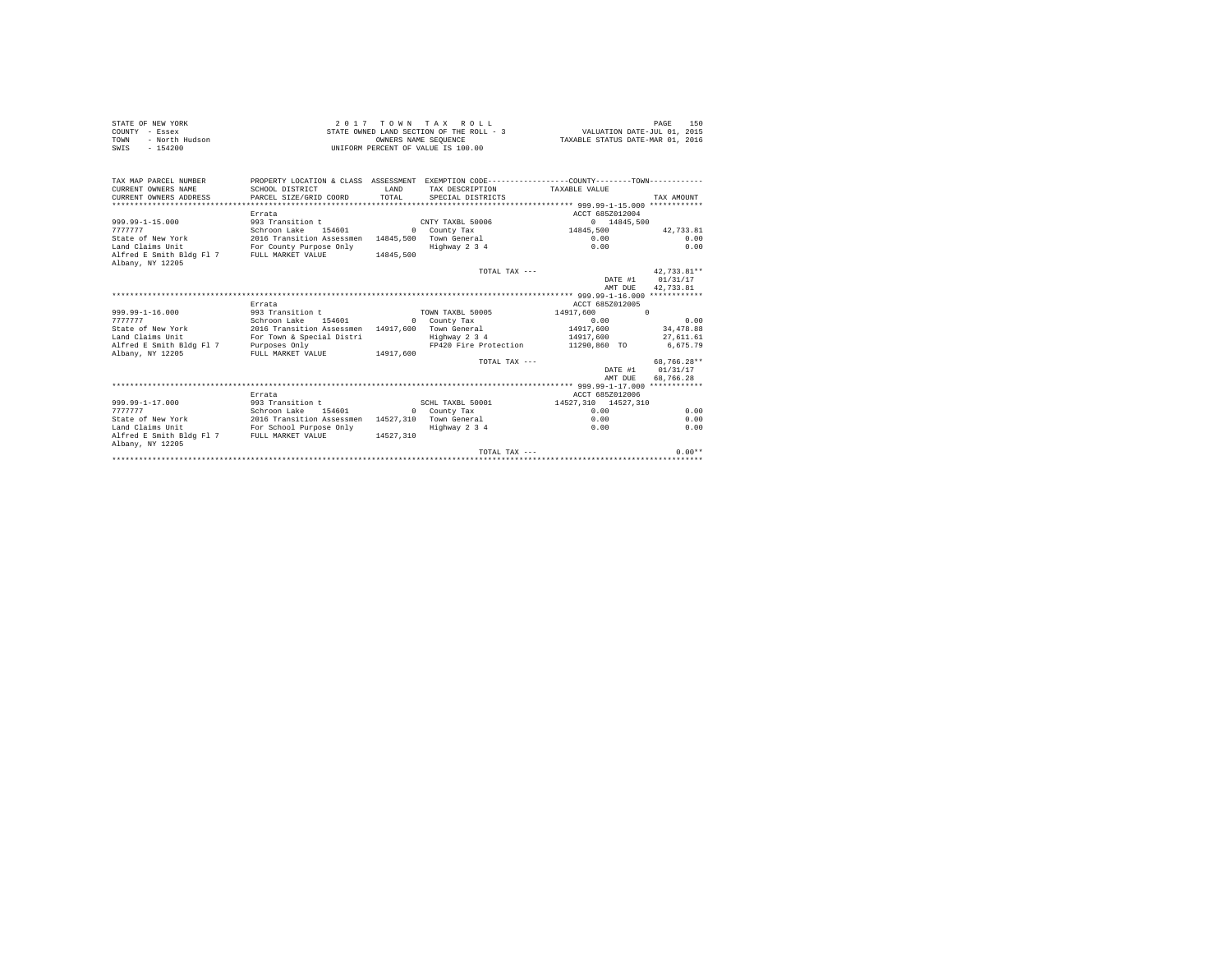| STATE OF NEW YORK                          |                                                                                                 |                                  | 2017 TOWN TAX ROLL                                         |                     | 150<br>PAGE      |
|--------------------------------------------|-------------------------------------------------------------------------------------------------|----------------------------------|------------------------------------------------------------|---------------------|------------------|
| COUNTY - Essex                             | STATE OWNED LAND SECTION OF THE ROLL - 3                                                        | VALUATION DATE-JUL 01, 2015      |                                                            |                     |                  |
| - North Hudson<br>TOWN                     |                                                                                                 | TAXABLE STATUS DATE-MAR 01, 2016 |                                                            |                     |                  |
| $-154200$<br>SWIS                          |                                                                                                 |                                  | OWNERS NAME SEQUENCE<br>UNIFORM PERCENT OF VALUE IS 100.00 |                     |                  |
|                                            |                                                                                                 |                                  |                                                            |                     |                  |
|                                            |                                                                                                 |                                  |                                                            |                     |                  |
| TAX MAP PARCEL NUMBER                      | PROPERTY LOCATION & CLASS ASSESSMENT EXEMPTION CODE----------------COUNTY--------TOWN---------- |                                  |                                                            |                     |                  |
| CURRENT OWNERS NAME                        | SCHOOL DISTRICT                                                                                 | <b>T.AND</b>                     | TAX DESCRIPTION                                            | TAXABLE VALUE       |                  |
| CURRENT OWNERS ADDRESS                     | PARCEL SIZE/GRID COORD                                                                          | TOTAL                            | SPECIAL DISTRICTS                                          |                     | TAX AMOUNT       |
|                                            |                                                                                                 |                                  |                                                            |                     |                  |
|                                            | Errata                                                                                          |                                  |                                                            | ACCT 685Z012004     |                  |
| 999.99-1-15.000                            | 993 Transition t                                                                                |                                  | CNTY TAXBL 50006                                           | 0 14845,500         |                  |
| 7777777                                    | Schroon Lake 154601                                                                             |                                  | 0 County Tax                                               | 0 14845,            | 42.733.81        |
| State of New York                          | 2016 Transition Assessmen 14845,500 Town General                                                |                                  |                                                            | 0.00                | 0.00             |
| Land Claims Unit                           | For County Purpose Only                                                                         |                                  | Highway 2 3 4                                              | 0.00                | 0.00             |
| Alfred E Smith Bldg Fl 7 FULL MARKET VALUE |                                                                                                 | 14845,500                        |                                                            |                     |                  |
| Albany, NY 12205                           |                                                                                                 |                                  |                                                            |                     |                  |
|                                            |                                                                                                 |                                  | TOTAL TAX ---                                              |                     | 42,733.81**      |
|                                            |                                                                                                 |                                  |                                                            |                     | DATE #1 01/31/17 |
|                                            |                                                                                                 |                                  |                                                            | AMT DUE             | 42,733.81        |
|                                            |                                                                                                 |                                  |                                                            |                     |                  |
|                                            | Errata                                                                                          |                                  |                                                            | ACCT 685Z012005     |                  |
| $999.99 - 1 - 16.000$                      | 993 Transition t                                                                                |                                  | TOWN TAXBL 50005                                           | 14917.600 0         |                  |
| 7777777                                    | Schroon Lake 154601                                                                             |                                  | 0 County Tax                                               | 0.00                | 0.00             |
| State of New York                          | 2016 Transition Assessmen 14917,600 Town General                                                |                                  |                                                            | 14917,600           | 34,478.88        |
| Land Claims Unit                           | For Town & Special Distri                                                                       |                                  | Highway 2 3 4                                              | 14917,600           | 27,611.61        |
| Alfred E Smith Bldg Fl 7                   | Purposes Only                                                                                   |                                  | FP420 Fire Protection                                      | 11290,860 TO        | 6,675.79         |
| Albany, NY 12205                           | FULL MARKET VALUE 14917.600                                                                     |                                  |                                                            |                     |                  |
|                                            |                                                                                                 |                                  | TOTAL TAX $---$                                            |                     | 68.766.28**      |
|                                            |                                                                                                 |                                  |                                                            | DATE #1             | 01/31/17         |
|                                            |                                                                                                 |                                  |                                                            | AMT DUE             | 68,766.28        |
|                                            |                                                                                                 |                                  |                                                            |                     |                  |
|                                            | Errata                                                                                          |                                  |                                                            | ACCT 685Z012006     |                  |
| 999.99-1-17.000                            | 993 Transition t                                                                                |                                  | SCHL TAXBL 50001                                           | 14527.310 14527.310 |                  |
| 7777777                                    | Schroon Lake 154601                                                                             |                                  | 0 County Tax                                               | 0.00                | 0.00             |
| State of New York                          |                                                                                                 |                                  |                                                            | 0.00                | 0.00             |
| Land Claims Unit                           | 2016 Transition Assessmen 14527,310 Town General<br>For School Purpose Only Highway 2 3 4       |                                  |                                                            | 0.00                | 0.00             |
| Alfred E Smith Bldg Fl 7 FULL MARKET VALUE |                                                                                                 | 14527.310                        |                                                            |                     |                  |
| Albany, NY 12205                           |                                                                                                 |                                  |                                                            |                     |                  |
|                                            |                                                                                                 |                                  | TOTAL TAX ---                                              |                     | $0.00**$         |
|                                            |                                                                                                 |                                  |                                                            |                     |                  |
|                                            |                                                                                                 |                                  |                                                            |                     |                  |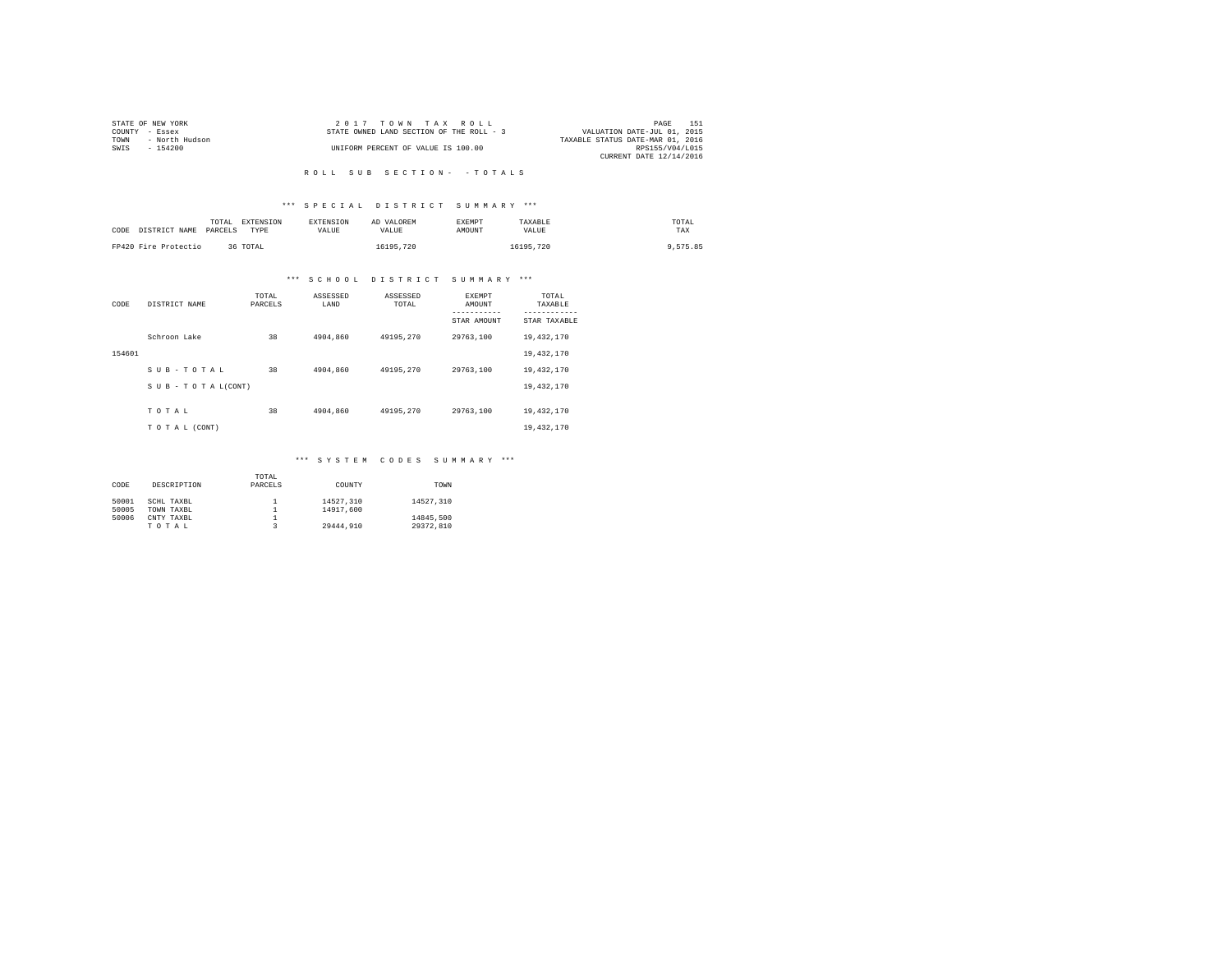|                | STATE OF NEW YORK | $2.017$ TOWN TAX ROLL                                                   | PAGE            | 151 |
|----------------|-------------------|-------------------------------------------------------------------------|-----------------|-----|
| COUNTY - Essex |                   | VALUATION DATE-JUL 01, 2015<br>STATE OWNED LAND SECTION OF THE ROLL - 3 |                 |     |
| TOWN           | - North Hudson    | TAXABLE STATUS DATE-MAR 01, 2016                                        |                 |     |
| SWIS           | $-154200$         | UNIFORM PERCENT OF VALUE IS 100.00                                      | RPS155/V04/L015 |     |
|                |                   | CURRENT DATE 12/14/2016                                                 |                 |     |

# R O L L S U B S E C T I O N - - T O T A L S

## \*\*\* S P E C I A L D I S T R I C T S U M M A R Y \*\*\*

| CODE | DISTRICT NAME        | EXTENSION<br>TOTAL<br>PARCELS<br>TYPE | <b>EXTENSION</b><br><b>VALUE</b> | AD VALOREM<br>VALUE | <b>EXEMPT</b><br>AMOUNT | TAXABLE<br>VALUE | TOTAL<br>TAX |
|------|----------------------|---------------------------------------|----------------------------------|---------------------|-------------------------|------------------|--------------|
|      | FP420 Fire Protectio | 36 TOTAL                              |                                  | 16195.720           |                         | 16195,720        | 9.575.85     |

# \*\*\* S C H O O L D I S T R I C T S U M M A R Y \*\*\*

| CODE   | DISTRICT NAME   | TOTAL<br>PARCELS | ASSESSED<br>LAND | ASSESSED<br>TOTAL | <b>EXEMPT</b><br>AMOUNT | TOTAL<br>TAXABLE          |
|--------|-----------------|------------------|------------------|-------------------|-------------------------|---------------------------|
|        |                 |                  |                  |                   | STAR AMOUNT             | ---------<br>STAR TAXABLE |
|        | Schroon Lake    | 38               | 4904.860         | 49195.270         | 29763.100               | 19,432,170                |
| 154601 |                 |                  |                  |                   |                         | 19,432,170                |
|        | SUB-TOTAL       | 38               | 4904.860         | 49195.270         | 29763,100               | 19,432,170                |
|        | SUB-TOTAL(CONT) |                  |                  |                   |                         | 19,432,170                |
|        | TOTAL           | 38               | 4904.860         | 49195.270         | 29763.100               | 19,432,170                |
|        | TO TAL (CONT)   |                  |                  |                   |                         | 19,432,170                |

## \*\*\* S Y S T E M C O D E S S U M M A R Y \*\*\*

|       |             | TOTAL   |           |           |
|-------|-------------|---------|-----------|-----------|
| CODE  | DESCRIPTION | PARCELS | COUNTY    | TOWN      |
|       |             |         |           |           |
| 50001 | SCHL TAXBL  |         | 14527.310 | 14527.310 |
| 50005 | TOWN TAXBL  |         | 14917,600 |           |
| 50006 | CNTY TAXBL  |         |           | 14845.500 |
|       | TOTAL       |         | 29444.910 | 29372.810 |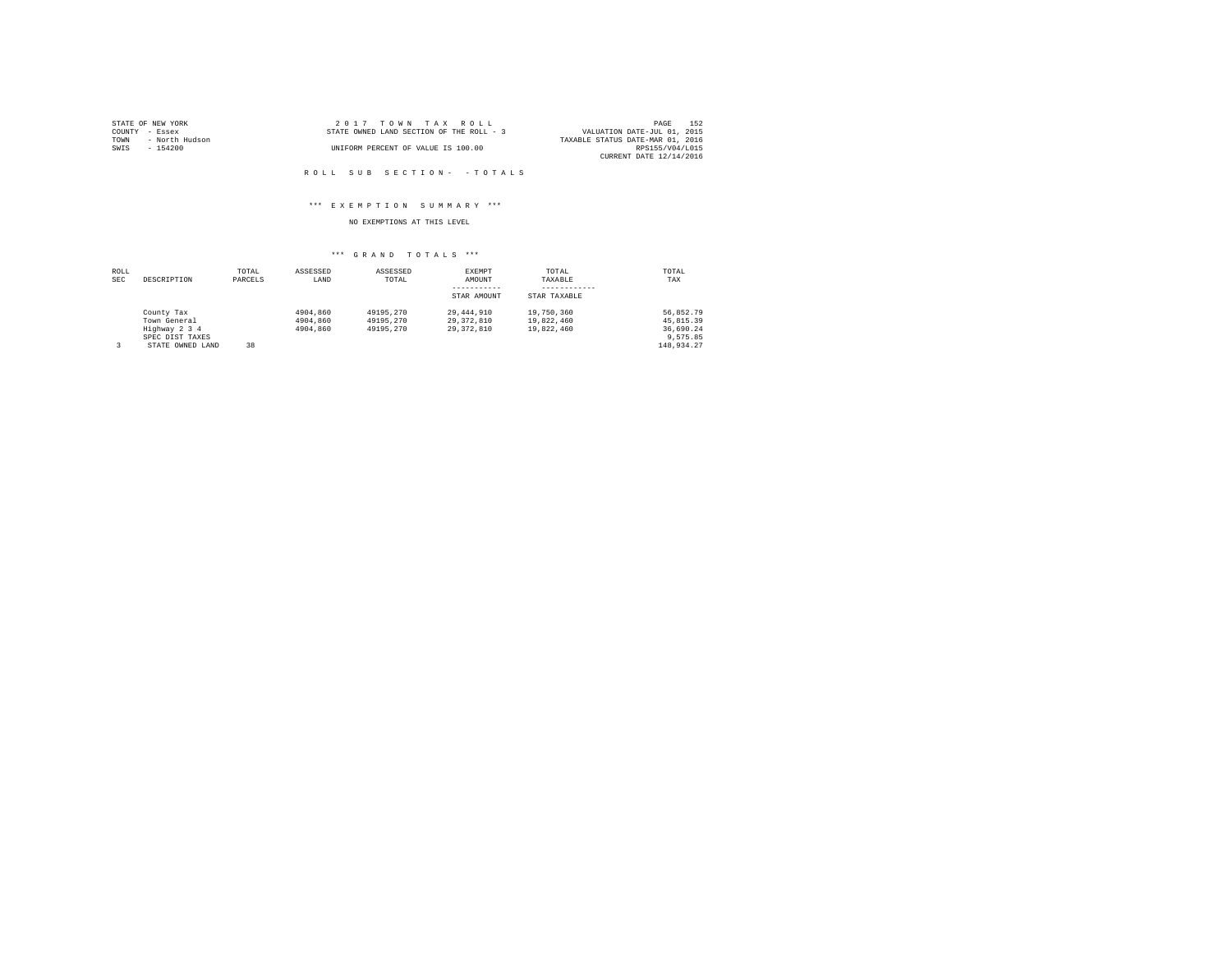|                | STATE OF NEW YORK | 2017 TOWN TAX ROLL                       |  |  |  |                                  | PAGE            | 152 |
|----------------|-------------------|------------------------------------------|--|--|--|----------------------------------|-----------------|-----|
| COUNTY - Essex |                   | STATE OWNED LAND SECTION OF THE ROLL - 3 |  |  |  | VALUATION DATE-JUL 01, 2015      |                 |     |
| TOWN           | - North Hudson    |                                          |  |  |  | TAXABLE STATUS DATE-MAR 01, 2016 |                 |     |
| SWIS           | - 154200          | UNIFORM PERCENT OF VALUE IS 100.00       |  |  |  |                                  | RPS155/V04/L015 |     |
|                |                   |                                          |  |  |  | CURRENT DATE 12/14/2016          |                 |     |

R O L L S U B S E C T I O N - - T O T A L S

## \*\*\* E X E M P T I O N S U M M A R Y \*\*\*

NO EXEMPTIONS AT THIS LEVEL

## \*\*\* G R A N D T O T A L S \*\*\*

| ROLL |                  | TOTAL   | ASSESSED | ASSESSED  | EXEMPT       | TOTAL        | TOTAL       |
|------|------------------|---------|----------|-----------|--------------|--------------|-------------|
| SEC  | DESCRIPTION      | PARCELS | LAND     | TOTAL     | AMOUNT       | TAXABLE      | TAX         |
|      |                  |         |          |           |              |              |             |
|      |                  |         |          |           | STAR AMOUNT  | STAR TAXABLE |             |
|      | County Tax       |         | 4904,860 | 49195.270 | 29,444,910   | 19,750,360   | 56.852.79   |
|      | Town General     |         | 4904,860 | 49195.270 | 29, 372, 810 | 19,822,460   | 45, 815, 39 |
|      | Highway 2 3 4    |         | 4904,860 | 49195.270 | 29, 372, 810 | 19,822,460   | 36,690.24   |
|      | SPEC DIST TAXES  |         |          |           |              |              | 9.575.85    |
| 3    | STATE OWNED LAND | 38      |          |           |              |              | 148.934.27  |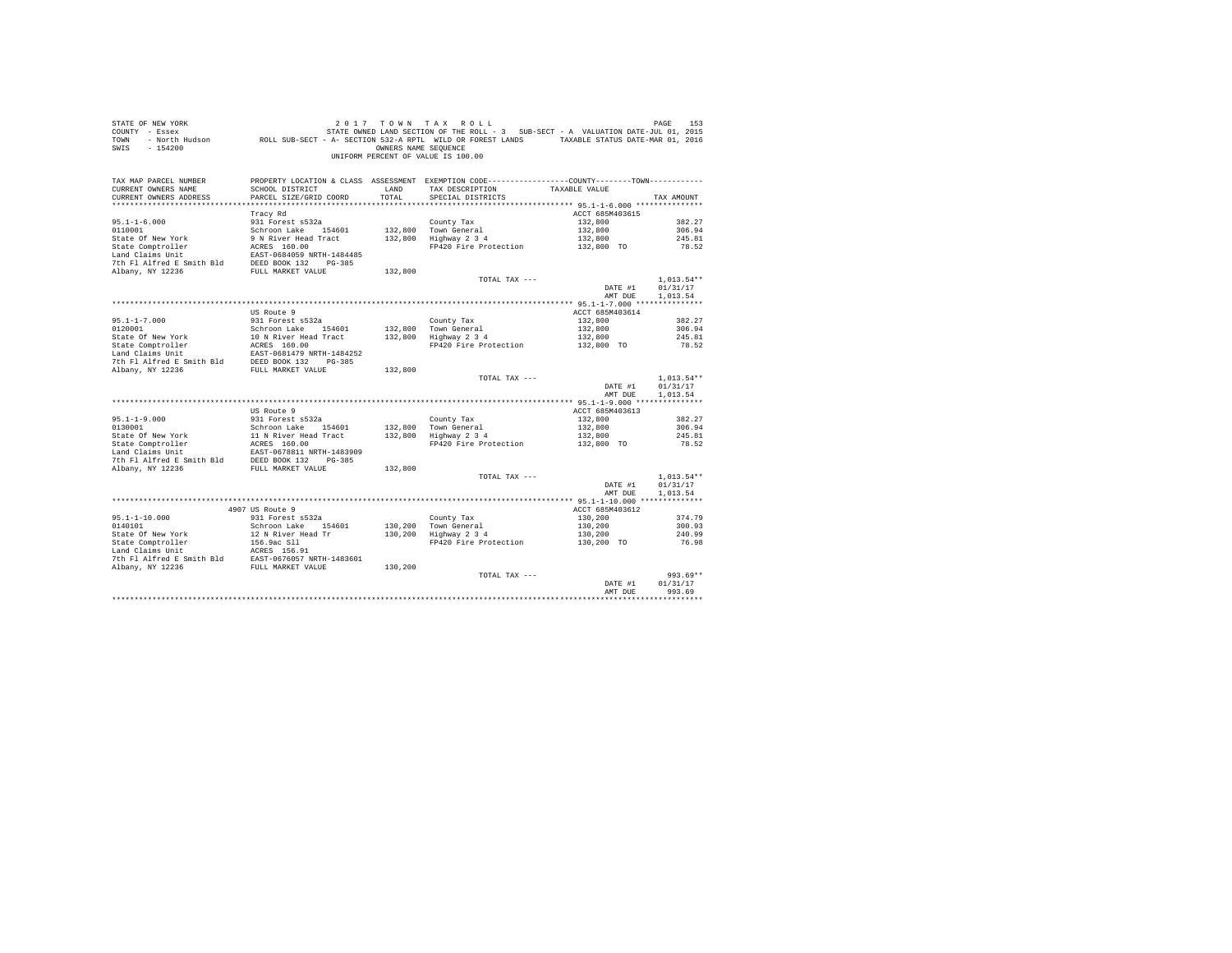| STATE OF NEW YORK<br>COUNTY - Essex<br>TOWN<br>SWIS<br>$-154200$                                                                                                                                                                                     | DE NEW YORK TREE 153 (1992) 2017 TO WINT A X ROLL<br>- Essex (1917) STATE OWNED LAND SECTION OF THE ROLL - 3 SUB-SECT - A VALUATION DATE-JUL 01, 2015<br>- North Hudson (ROLL SUB-SECT - A - SECTION 532-A RPTL WILD OR FOREST LAND | OWNERS NAME SEOUENCE | 2017 TOWN TAX ROLL<br>UNIFORM PERCENT OF VALUE IS 100.00                                                                           |                                        | PAGE<br>153          |
|------------------------------------------------------------------------------------------------------------------------------------------------------------------------------------------------------------------------------------------------------|-------------------------------------------------------------------------------------------------------------------------------------------------------------------------------------------------------------------------------------|----------------------|------------------------------------------------------------------------------------------------------------------------------------|----------------------------------------|----------------------|
| TAX MAP PARCEL NUMBER<br>CURRENT OWNERS NAME                                                                                                                                                                                                         | SCHOOL DISTRICT                                                                                                                                                                                                                     | LAND                 | PROPERTY LOCATION & CLASS ASSESSMENT EXEMPTION CODE----------------COUNTY--------TOWN----------<br>TAX DESCRIPTION                 | TAXABLE VALUE                          |                      |
| CURRENT OWNERS ADDRESS                                                                                                                                                                                                                               | PARCEL SIZE/GRID COORD                                                                                                                                                                                                              | TOTAL                | SPECIAL DISTRICTS                                                                                                                  |                                        | TAX AMOUNT           |
|                                                                                                                                                                                                                                                      |                                                                                                                                                                                                                                     |                      |                                                                                                                                    |                                        |                      |
|                                                                                                                                                                                                                                                      | Tracy Rd                                                                                                                                                                                                                            |                      |                                                                                                                                    | ACCT 685M403615                        |                      |
| $95.1 - 1 - 6.000$                                                                                                                                                                                                                                   | 931 Forest s532a                                                                                                                                                                                                                    |                      | County Tax                                                                                                                         | 132,800                                | 382.27               |
|                                                                                                                                                                                                                                                      |                                                                                                                                                                                                                                     |                      | 132,800 Town General<br>132,800 Town General<br>132,800 Highway 2 3 4                                                              | 132,800                                | 306.94               |
|                                                                                                                                                                                                                                                      |                                                                                                                                                                                                                                     |                      |                                                                                                                                    | 132,800                                | 245.81               |
| 9110001<br>1000101 Schroom Lake 154601<br>1000101 9 N River Head Tract<br>154601<br>110001 8 N River Head Tract<br>154601<br>12001 8 N River Head Tract<br>17th Fl Alfred E Smith Bld<br>1925 8 NORE 1200X 132<br>1200-385<br>2007 13226<br>12002 13 |                                                                                                                                                                                                                                     |                      | FP420 Fire Protection                                                                                                              | 132,800 TO                             | 78.52                |
|                                                                                                                                                                                                                                                      |                                                                                                                                                                                                                                     |                      |                                                                                                                                    |                                        |                      |
|                                                                                                                                                                                                                                                      |                                                                                                                                                                                                                                     | 132,800              |                                                                                                                                    |                                        |                      |
|                                                                                                                                                                                                                                                      |                                                                                                                                                                                                                                     |                      | TOTAL TAX ---                                                                                                                      |                                        | $1,013.54**$         |
|                                                                                                                                                                                                                                                      |                                                                                                                                                                                                                                     |                      |                                                                                                                                    | DATE #1                                | 01/31/17             |
|                                                                                                                                                                                                                                                      |                                                                                                                                                                                                                                     |                      |                                                                                                                                    | AMT DUE                                | 1,013.54             |
|                                                                                                                                                                                                                                                      |                                                                                                                                                                                                                                     |                      |                                                                                                                                    |                                        |                      |
|                                                                                                                                                                                                                                                      | US Route 9                                                                                                                                                                                                                          |                      |                                                                                                                                    | ACCT 685M403614                        |                      |
| $95.1 - 1 - 7.000$                                                                                                                                                                                                                                   | 931 Forest s532a                                                                                                                                                                                                                    |                      | County Tax                                                                                                                         | 132,800                                | 382.27<br>306.94     |
|                                                                                                                                                                                                                                                      |                                                                                                                                                                                                                                     |                      | 132,800 Town General<br>132,800 Highway 2 3 4<br>Town General 132,800<br>Highway 2 3 4 132,800<br>FP420 Fire Protection 132,800 TO |                                        | 245.81               |
|                                                                                                                                                                                                                                                      |                                                                                                                                                                                                                                     |                      |                                                                                                                                    |                                        | 78.52                |
|                                                                                                                                                                                                                                                      |                                                                                                                                                                                                                                     |                      |                                                                                                                                    |                                        |                      |
|                                                                                                                                                                                                                                                      |                                                                                                                                                                                                                                     |                      |                                                                                                                                    |                                        |                      |
|                                                                                                                                                                                                                                                      |                                                                                                                                                                                                                                     | 132,800              |                                                                                                                                    |                                        |                      |
|                                                                                                                                                                                                                                                      |                                                                                                                                                                                                                                     |                      | TOTAL TAX ---                                                                                                                      |                                        | $1,013.54**$         |
|                                                                                                                                                                                                                                                      |                                                                                                                                                                                                                                     |                      |                                                                                                                                    | DATE #1<br>AMT DUE                     | 01/31/17<br>1.013.54 |
|                                                                                                                                                                                                                                                      |                                                                                                                                                                                                                                     |                      |                                                                                                                                    |                                        |                      |
|                                                                                                                                                                                                                                                      | US Route 9                                                                                                                                                                                                                          |                      |                                                                                                                                    | ACCT 685M403613                        |                      |
| $95.1 - 1 - 9.000$                                                                                                                                                                                                                                   | 931 Forest s532a                                                                                                                                                                                                                    |                      | County Tax                                                                                                                         | 132,800                                | 382.27               |
|                                                                                                                                                                                                                                                      |                                                                                                                                                                                                                                     |                      | 132,800 Town General<br>132,800 Highway 2 3 4                                                                                      | 132,800<br>132,800                     | 306.94<br>245.81     |
|                                                                                                                                                                                                                                                      |                                                                                                                                                                                                                                     |                      | FP420 Fire Protection                                                                                                              | 132,800 TO                             | 78.52                |
|                                                                                                                                                                                                                                                      |                                                                                                                                                                                                                                     |                      |                                                                                                                                    |                                        |                      |
|                                                                                                                                                                                                                                                      |                                                                                                                                                                                                                                     |                      |                                                                                                                                    |                                        |                      |
| 931.1-7-2.000<br>931.0001 931.0001 931.0001 826.1 18 River Head Tract<br>Schroon Lake of New York 3 Schroon Lake 154601<br>State Comptroller 20.857-0678811 NRTH-1483909<br>17 Aniford E Smith Bld<br>20001 32 PG-385<br>7 Albany, NY 1223           |                                                                                                                                                                                                                                     | 132,800              |                                                                                                                                    |                                        |                      |
|                                                                                                                                                                                                                                                      |                                                                                                                                                                                                                                     |                      | TOTAL TAX ---                                                                                                                      |                                        | $1.013.54**$         |
|                                                                                                                                                                                                                                                      |                                                                                                                                                                                                                                     |                      |                                                                                                                                    | DATE #1                                | 01/31/17             |
|                                                                                                                                                                                                                                                      |                                                                                                                                                                                                                                     |                      |                                                                                                                                    | AMT DUE                                | 1,013.54             |
|                                                                                                                                                                                                                                                      | 4907 US Route 9                                                                                                                                                                                                                     |                      |                                                                                                                                    | ACCT 685M403612                        |                      |
| 95.1-1-10.000                                                                                                                                                                                                                                        | 931 Forest s532a                                                                                                                                                                                                                    |                      | County Tax                                                                                                                         | 130,200                                | 374.79               |
| 0140101                                                                                                                                                                                                                                              | Schroon Lake 154601                                                                                                                                                                                                                 |                      | County Tax<br>130,200 Town General<br>130,200 Highway 2 3 4                                                                        |                                        | 300.93               |
|                                                                                                                                                                                                                                                      |                                                                                                                                                                                                                                     |                      |                                                                                                                                    | $130,200$<br>$130,200$<br>$130,200$ TO | 240.99               |
| State Of New York 12 N River Head Tr<br>State Comptroller 156,9ac S11<br>Land Claims Unit<br>Land Claims Unit<br>156,9ac S15,91<br>The Pl Alfred E Smith Bld<br>20236 EAST-0676057 NRTH-1483601<br>20236 EXET-0676057 NRTH-1483601<br>20236 FU       |                                                                                                                                                                                                                                     |                      | FP420 Fire Protection                                                                                                              |                                        | 76.98                |
|                                                                                                                                                                                                                                                      |                                                                                                                                                                                                                                     |                      |                                                                                                                                    |                                        |                      |
|                                                                                                                                                                                                                                                      |                                                                                                                                                                                                                                     |                      |                                                                                                                                    |                                        |                      |
|                                                                                                                                                                                                                                                      |                                                                                                                                                                                                                                     | 130,200              | TOTAL TAX ---                                                                                                                      |                                        | $993.69**$           |
|                                                                                                                                                                                                                                                      |                                                                                                                                                                                                                                     |                      |                                                                                                                                    | DATE #1                                | 01/31/17             |
|                                                                                                                                                                                                                                                      |                                                                                                                                                                                                                                     |                      |                                                                                                                                    | AMT DUE                                | 993.69               |
|                                                                                                                                                                                                                                                      |                                                                                                                                                                                                                                     |                      |                                                                                                                                    |                                        |                      |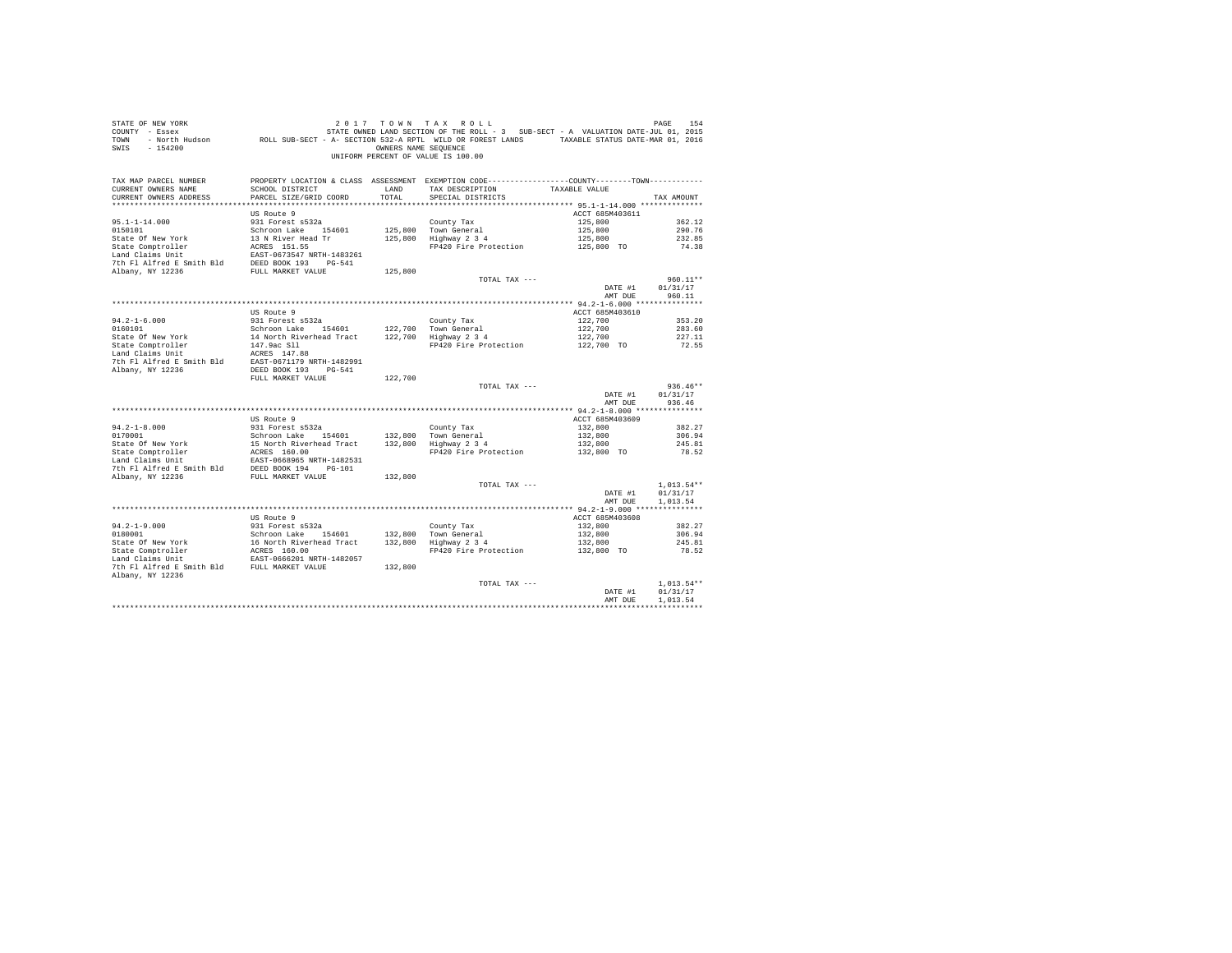| STATE OF NEW YORK<br>COUNTY - Essex<br>TOWN<br>SWIS<br>$-154200$ |                                          | OWNERS NAME SEQUENCE | 2017 TOWN TAX ROLL<br>STATE OWNED LAND SECTION OF THE ROLL - 3 SUB-SECT - A VALUATION DATE-JUL 01, 2015<br>- North Hudson ROLL SUB-SECT - A- SECTION 532-A RPTL WILD OR FOREST LANDS TAXABLE STATUS DATE-MAR 01, 2016<br>UNIFORM PERCENT OF VALUE IS 100.00 |                 | PAGE<br>154  |
|------------------------------------------------------------------|------------------------------------------|----------------------|-------------------------------------------------------------------------------------------------------------------------------------------------------------------------------------------------------------------------------------------------------------|-----------------|--------------|
| TAX MAP PARCEL NUMBER<br>CURRENT OWNERS NAME                     | SCHOOL DISTRICT                          |                      | PROPERTY LOCATION & CLASS ASSESSMENT EXEMPTION CODE----------------COUNTY--------TOWN----------<br>TAX DESCRIPTION                                                                                                                                          |                 |              |
| CURRENT OWNERS ADDRESS                                           | PARCEL SIZE/GRID COORD                   | LAND<br>TOTAL        | SPECIAL DISTRICTS                                                                                                                                                                                                                                           | TAXABLE VALUE   | TAX AMOUNT   |
|                                                                  |                                          |                      |                                                                                                                                                                                                                                                             |                 |              |
|                                                                  | US Route 9                               |                      |                                                                                                                                                                                                                                                             | ACCT 685M403611 |              |
| $95.1 - 1 - 14.000$                                              | 931 Forest s532a                         |                      | County Tax                                                                                                                                                                                                                                                  | 125,800         | 362.12       |
| 0150101                                                          | Schroon Lake 154601                      | 125,800              | Town General                                                                                                                                                                                                                                                | 125,800         | 290.76       |
| State Of New York                                                | 13 N River Head Tr                       | 125,800              | Highway 2 3 4                                                                                                                                                                                                                                               | 125,800         | 232.85       |
| State Comptroller                                                | ACRES 151.55                             |                      | FP420 Fire Protection                                                                                                                                                                                                                                       | 125,800 TO      | 74.38        |
| Land Claims Unit                                                 | EAST-0673547 NRTH-1483261                |                      |                                                                                                                                                                                                                                                             |                 |              |
| 7th Fl Alfred E Smith Bld                                        | DEED BOOK 193 PG-541                     |                      |                                                                                                                                                                                                                                                             |                 |              |
| Albany, NY 12236                                                 | FULL MARKET VALUE                        | 125,800              | TOTAL TAX ---                                                                                                                                                                                                                                               |                 | $960.11**$   |
|                                                                  |                                          |                      |                                                                                                                                                                                                                                                             | DATE #1         | 01/31/17     |
|                                                                  |                                          |                      |                                                                                                                                                                                                                                                             | AMT DUE         | 960.11       |
|                                                                  |                                          |                      |                                                                                                                                                                                                                                                             |                 |              |
|                                                                  | US Route 9                               |                      |                                                                                                                                                                                                                                                             | ACCT 685M403610 |              |
| $94.2 - 1 - 6.000$                                               | 931 Forest s532a                         |                      | County Tax                                                                                                                                                                                                                                                  | 122,700         | 353.20       |
| 0160101                                                          | Schroon Lake 154601                      | 122,700              | Town General                                                                                                                                                                                                                                                | 122,700         | 283.60       |
| State Of New York                                                | 14 North Riverhead Tract                 | 122,700              | Highway 2 3 4                                                                                                                                                                                                                                               | 122,700         | 227.11       |
| State Comptroller<br>Land Claims Unit                            | 147.9ac Sll<br>ACRES 147.88              |                      | FP420 Fire Protection                                                                                                                                                                                                                                       | 122,700 TO      | 72.55        |
| 7th Fl Alfred E Smith Bld                                        | EAST-0671179 NRTH-1482991                |                      |                                                                                                                                                                                                                                                             |                 |              |
| Albany, NY 12236                                                 | DEED BOOK 193 PG-541                     |                      |                                                                                                                                                                                                                                                             |                 |              |
|                                                                  | FULL MARKET VALUE                        | 122,700              |                                                                                                                                                                                                                                                             |                 |              |
|                                                                  |                                          |                      | TOTAL TAX ---                                                                                                                                                                                                                                               |                 | $936.46**$   |
|                                                                  |                                          |                      |                                                                                                                                                                                                                                                             | DATE #1         | 01/31/17     |
|                                                                  |                                          |                      |                                                                                                                                                                                                                                                             | AMT DUE         | 936.46       |
|                                                                  | US Route 9                               |                      |                                                                                                                                                                                                                                                             | ACCT 685M403609 |              |
| $94.2 - 1 - 8.000$                                               | 931 Forest s532a                         |                      | County Tax                                                                                                                                                                                                                                                  | 132,800         | 382.27       |
| 0170001                                                          | Schroon Lake 154601                      | 132,800              | Town General                                                                                                                                                                                                                                                | 132,800         | 306.94       |
| State Of New York                                                | 15 North Riverhead Tract                 | 132,800              | Highway 2 3 4                                                                                                                                                                                                                                               | 132,800         | 245.81       |
| State Comptroller                                                | ACRES 160.00                             |                      | FP420 Fire Protection                                                                                                                                                                                                                                       | 132,800 TO      | 78.52        |
| Land Claims Unit                                                 | EAST-0668965 NRTH-1482531                |                      |                                                                                                                                                                                                                                                             |                 |              |
| 7th Fl Alfred E Smith Bld                                        | DEED BOOK 194 PG-101                     |                      |                                                                                                                                                                                                                                                             |                 |              |
| Albany, NY 12236                                                 | FULL MARKET VALUE                        | 132,800              | TOTAL TAX ---                                                                                                                                                                                                                                               |                 | $1,013.54**$ |
|                                                                  |                                          |                      |                                                                                                                                                                                                                                                             | DATE #1         | 01/31/17     |
|                                                                  |                                          |                      |                                                                                                                                                                                                                                                             | AMT DUE         | 1,013.54     |
|                                                                  |                                          |                      |                                                                                                                                                                                                                                                             |                 |              |
|                                                                  | US Route 9                               |                      |                                                                                                                                                                                                                                                             | ACCT 685M403608 |              |
| $94.2 - 1 - 9.000$                                               | 931 Forest s532a                         |                      | County Tax                                                                                                                                                                                                                                                  | 132,800         | 382.27       |
| 0180001                                                          | Schroon Lake 154601                      | 132,800              | Town General                                                                                                                                                                                                                                                | 132,800         | 306.94       |
| State Of New York                                                | 16 North Riverhead Tract<br>ACRES 160.00 | 132,800              | Highway 2 3 4                                                                                                                                                                                                                                               | 132,800         | 245.81       |
| State Of New<br>State Comptroller                                | EAST-0666201 NRTH-1482057                |                      | FP420 Fire Protection                                                                                                                                                                                                                                       | 132,800 TO      | 78.52        |
| 7th Fl Alfred E Smith Bld FULL MARKET VALUE                      |                                          | 132,800              |                                                                                                                                                                                                                                                             |                 |              |
| Albany, NY 12236                                                 |                                          |                      |                                                                                                                                                                                                                                                             |                 |              |
|                                                                  |                                          |                      | TOTAL TAX ---                                                                                                                                                                                                                                               |                 | $1.013.54**$ |
|                                                                  |                                          |                      |                                                                                                                                                                                                                                                             | DATE #1         | 01/31/17     |
|                                                                  |                                          |                      |                                                                                                                                                                                                                                                             | AMT DUE         | 1,013.54     |
|                                                                  |                                          |                      |                                                                                                                                                                                                                                                             |                 |              |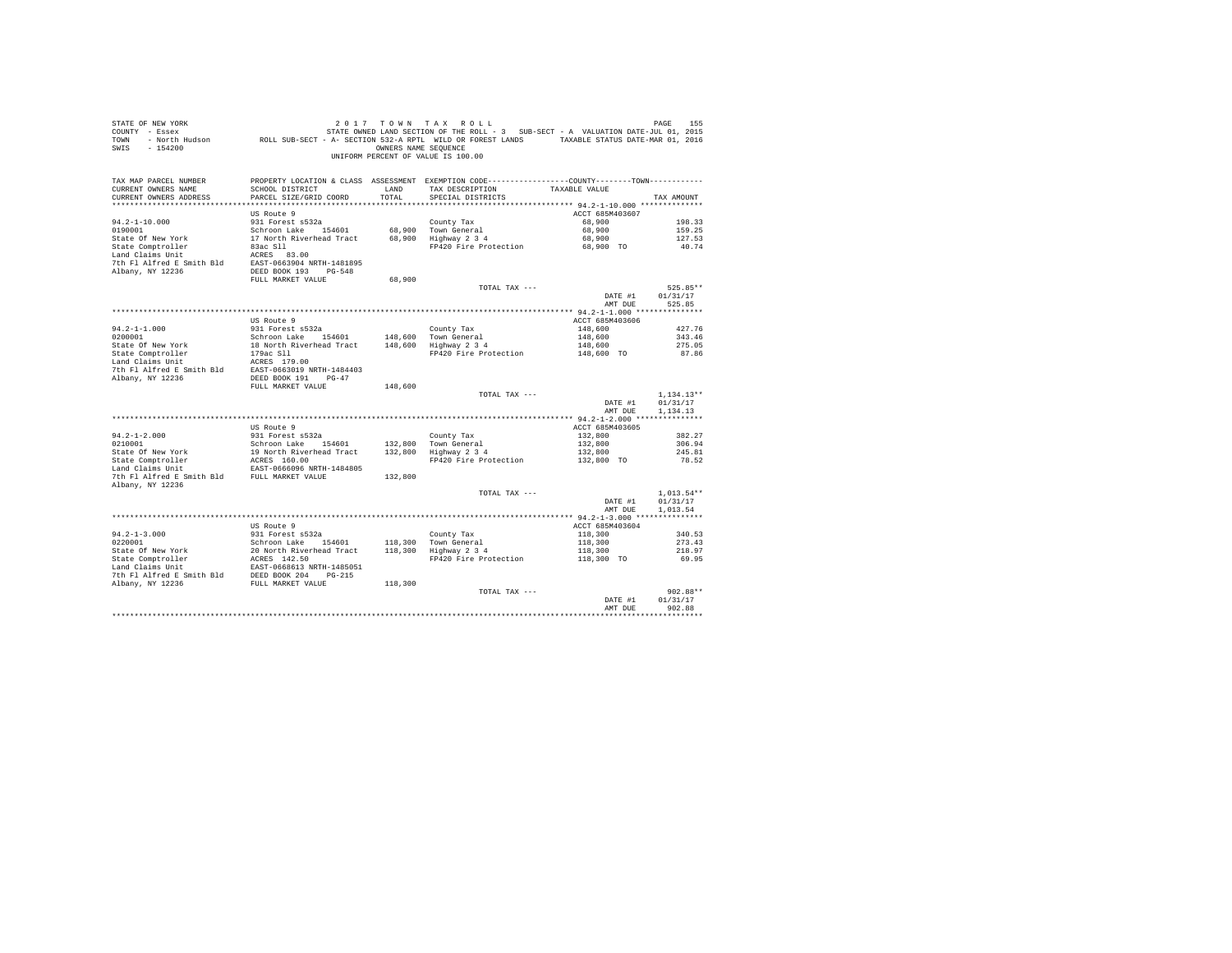| STATE OF NEW YORK<br>SWIS - 154200                                                                                                                                                                                                                                                                                                                                                                                                                                       |                                                                                            |               | 2017 TOWN TAX ROLL<br>OWNERS NAME SEQUENCE<br>UNIFORM PERCENT OF VALUE IS 100.00                                                      |                            | PAGE<br>155          |
|--------------------------------------------------------------------------------------------------------------------------------------------------------------------------------------------------------------------------------------------------------------------------------------------------------------------------------------------------------------------------------------------------------------------------------------------------------------------------|--------------------------------------------------------------------------------------------|---------------|---------------------------------------------------------------------------------------------------------------------------------------|----------------------------|----------------------|
| TAX MAP PARCEL NUMBER<br>CURRENT OWNERS NAME<br>CURRENT OWNERS ADDRESS                                                                                                                                                                                                                                                                                                                                                                                                   | SCHOOL DISTRICT<br>PARCEL SIZE/GRID COORD                                                  | LAND<br>TOTAL | PROPERTY LOCATION & CLASS ASSESSMENT EXEMPTION CODE---------------COUNTY-------TOWN----------<br>TAX DESCRIPTION<br>SPECIAL DISTRICTS | TAXABLE VALUE              | TAX AMOUNT           |
|                                                                                                                                                                                                                                                                                                                                                                                                                                                                          |                                                                                            |               |                                                                                                                                       |                            |                      |
| $94.2 - 1 - 10.000$                                                                                                                                                                                                                                                                                                                                                                                                                                                      | US Route 9<br>931 Forest s532a                                                             |               | County Tax                                                                                                                            | ACCT 685M403607<br>68,900  | 198.33               |
| 0190001                                                                                                                                                                                                                                                                                                                                                                                                                                                                  |                                                                                            |               |                                                                                                                                       | 68,900                     | 159.25               |
| State Of New York                                                                                                                                                                                                                                                                                                                                                                                                                                                        | Schroon Lake 154601 68,900 Town General<br>17 North Riverhead Tract 68,900 Highway 2 3 4   |               |                                                                                                                                       | 68,900                     | 127.53               |
| State Comptroller                                                                                                                                                                                                                                                                                                                                                                                                                                                        |                                                                                            |               | FP420 Fire Protection                                                                                                                 | 68,900 TO                  | 40.74                |
| Land Claims Unit                                                                                                                                                                                                                                                                                                                                                                                                                                                         | ACRES 83.00                                                                                |               |                                                                                                                                       |                            |                      |
| 7th Fl Alfred E Smith Bld EAST-0663904 NRTH-1481895                                                                                                                                                                                                                                                                                                                                                                                                                      |                                                                                            |               |                                                                                                                                       |                            |                      |
| Albany, NY 12236                                                                                                                                                                                                                                                                                                                                                                                                                                                         | DEED BOOK 193 PG-548                                                                       |               |                                                                                                                                       |                            |                      |
|                                                                                                                                                                                                                                                                                                                                                                                                                                                                          | FULL MARKET VALUE                                                                          | 68,900        | TOTAL TAX ---                                                                                                                         |                            | 525.85**             |
|                                                                                                                                                                                                                                                                                                                                                                                                                                                                          |                                                                                            |               |                                                                                                                                       | DATE #1                    | 01/31/17             |
|                                                                                                                                                                                                                                                                                                                                                                                                                                                                          |                                                                                            |               |                                                                                                                                       | AMT DUE                    | 525.85               |
|                                                                                                                                                                                                                                                                                                                                                                                                                                                                          |                                                                                            |               |                                                                                                                                       |                            |                      |
|                                                                                                                                                                                                                                                                                                                                                                                                                                                                          | US Route 9                                                                                 |               |                                                                                                                                       | ACCT 685M403606            |                      |
| $94.2 - 1 - 1.000$                                                                                                                                                                                                                                                                                                                                                                                                                                                       | 931 Forest s532a                                                                           |               | County Tax                                                                                                                            | 148,600                    | 427.76               |
| 0200001                                                                                                                                                                                                                                                                                                                                                                                                                                                                  | Schroon Lake 154601 148,600 Town General<br>18 North Riverhead Tract 148,600 Highway 2 3 4 |               |                                                                                                                                       | 148,600                    | 343.46               |
| State Of New York                                                                                                                                                                                                                                                                                                                                                                                                                                                        | 179ac Sll                                                                                  |               | FP420 Fire Protection                                                                                                                 | 148,600<br>$148,600$ TO    | 275.05<br>87.86      |
| State Comptroller<br>Land Claims Unit                                                                                                                                                                                                                                                                                                                                                                                                                                    |                                                                                            |               |                                                                                                                                       |                            |                      |
|                                                                                                                                                                                                                                                                                                                                                                                                                                                                          |                                                                                            |               |                                                                                                                                       |                            |                      |
|                                                                                                                                                                                                                                                                                                                                                                                                                                                                          |                                                                                            |               |                                                                                                                                       |                            |                      |
|                                                                                                                                                                                                                                                                                                                                                                                                                                                                          | FULL MARKET VALUE                                                                          | 148,600       |                                                                                                                                       |                            |                      |
|                                                                                                                                                                                                                                                                                                                                                                                                                                                                          |                                                                                            |               | TOTAL TAX ---                                                                                                                         |                            | $1.134.13**$         |
|                                                                                                                                                                                                                                                                                                                                                                                                                                                                          |                                                                                            |               |                                                                                                                                       | DATE #1<br>AMT DUE         | 01/31/17<br>1,134.13 |
|                                                                                                                                                                                                                                                                                                                                                                                                                                                                          |                                                                                            |               |                                                                                                                                       |                            |                      |
|                                                                                                                                                                                                                                                                                                                                                                                                                                                                          | US Route 9                                                                                 |               |                                                                                                                                       | ACCT 685M403605            |                      |
| $94.2 - 1 - 2.000$                                                                                                                                                                                                                                                                                                                                                                                                                                                       | 931 Forest s532a                                                                           |               | County Tax                                                                                                                            | 132,800                    | 382.27               |
|                                                                                                                                                                                                                                                                                                                                                                                                                                                                          |                                                                                            |               |                                                                                                                                       | 132,800                    | 306.94               |
|                                                                                                                                                                                                                                                                                                                                                                                                                                                                          |                                                                                            |               |                                                                                                                                       | 132,800                    | 245.81               |
|                                                                                                                                                                                                                                                                                                                                                                                                                                                                          |                                                                                            |               | FP420 Fire Protection                                                                                                                 | 132,800 TO                 | 78.52                |
| 7th Fl Alfred E Smith Bld FULL MARKET VALUE                                                                                                                                                                                                                                                                                                                                                                                                                              |                                                                                            |               |                                                                                                                                       |                            |                      |
| Albany, NY 12236                                                                                                                                                                                                                                                                                                                                                                                                                                                         |                                                                                            |               |                                                                                                                                       |                            |                      |
|                                                                                                                                                                                                                                                                                                                                                                                                                                                                          |                                                                                            |               | TOTAL TAX ---                                                                                                                         |                            | $1,013.54**$         |
|                                                                                                                                                                                                                                                                                                                                                                                                                                                                          |                                                                                            |               |                                                                                                                                       | DATE #1                    | 01/31/17             |
|                                                                                                                                                                                                                                                                                                                                                                                                                                                                          |                                                                                            |               |                                                                                                                                       | AMT DUE                    | 1.013.54             |
|                                                                                                                                                                                                                                                                                                                                                                                                                                                                          |                                                                                            |               |                                                                                                                                       |                            |                      |
| $94.2 - 1 - 3.000$                                                                                                                                                                                                                                                                                                                                                                                                                                                       | US Route 9<br>931 Forest s532a                                                             |               |                                                                                                                                       | ACCT 685M403604<br>118,300 | 340.53               |
| 0220001                                                                                                                                                                                                                                                                                                                                                                                                                                                                  | Schroon Lake 154601                                                                        |               |                                                                                                                                       | 118,300                    | 273.43               |
|                                                                                                                                                                                                                                                                                                                                                                                                                                                                          |                                                                                            |               | County Tax<br>118,300 Town General<br>118,300 Highway 2 3 4                                                                           | 118,300                    | 218.97               |
|                                                                                                                                                                                                                                                                                                                                                                                                                                                                          |                                                                                            |               | FP420 Fire Protection                                                                                                                 | 118,300 TO                 | 69.95                |
| $\begin{tabular}{lllllllllllll} & & & & & & & & & \\ \hline \multicolumn{3}{l}{\textbf{State Comptroller}} & & & & & 20 & \textbf{North five-related tract} \\ \textbf{State Comptroller} & & & & & & & \\ \textbf{Ind C1ains Unit} & & & & & & & \\ \textbf{Left P1 II} & & & & & & & \\ \hline \multicolumn{3}{l}{\textbf{Total Is UnS U}} & & & & & & \\ \multicolumn{3}{l}{\textbf{The P1 A1} if $\textbf{red} = \textbf{w}$-e-1$+1$+1$+1$+1$+1$+1$+1$+1$+1$+1$+1$+$ |                                                                                            |               |                                                                                                                                       |                            |                      |
| 7th Fl Alfred E Smith Bld DEED BOOK 204 PG-215                                                                                                                                                                                                                                                                                                                                                                                                                           |                                                                                            |               |                                                                                                                                       |                            |                      |
| Albany, NY 12236                                                                                                                                                                                                                                                                                                                                                                                                                                                         | FULL MARKET VALUE                                                                          | 118,300       |                                                                                                                                       |                            |                      |
|                                                                                                                                                                                                                                                                                                                                                                                                                                                                          |                                                                                            |               | TOTAL TAX ---                                                                                                                         | DATE #1                    | 902.88**<br>01/31/17 |
|                                                                                                                                                                                                                                                                                                                                                                                                                                                                          |                                                                                            |               |                                                                                                                                       | AMT DUE                    | 902.88               |
|                                                                                                                                                                                                                                                                                                                                                                                                                                                                          |                                                                                            |               |                                                                                                                                       |                            | ***********          |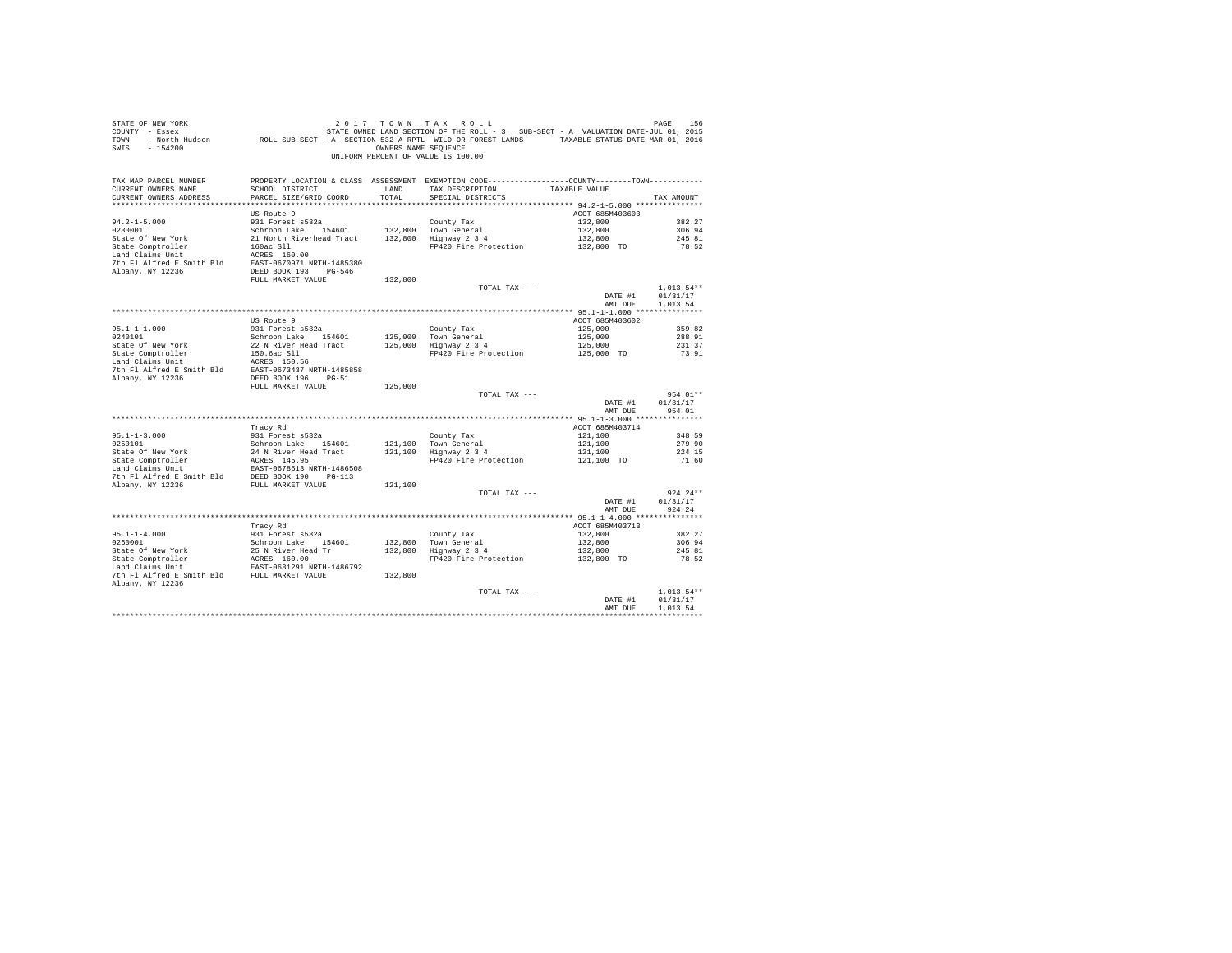| SWIS - 154200                                                          |                                           | OWNERS NAME SEOUENCE | UNIFORM PERCENT OF VALUE IS 100.00                                                                                                                                                                                                                                                                                                                  |                                  |                  |
|------------------------------------------------------------------------|-------------------------------------------|----------------------|-----------------------------------------------------------------------------------------------------------------------------------------------------------------------------------------------------------------------------------------------------------------------------------------------------------------------------------------------------|----------------------------------|------------------|
| TAX MAP PARCEL NUMBER<br>CURRENT OWNERS NAME<br>CURRENT OWNERS ADDRESS | SCHOOL DISTRICT<br>PARCEL SIZE/GRID COORD | LAND<br>TOTAL        | PROPERTY LOCATION & CLASS ASSESSMENT EXEMPTION CODE---------------COUNTY-------TOWN---------<br>TAX DESCRIPTION TAXABLE VALUE<br>SPECIAL DISTRICTS                                                                                                                                                                                                  |                                  | TAX AMOUNT       |
|                                                                        | US Route 9                                |                      |                                                                                                                                                                                                                                                                                                                                                     | ACCT 685M403603                  |                  |
| $94.2 - 1 - 5.000$                                                     | 931 Forest s532a                          |                      | County Tax                                                                                                                                                                                                                                                                                                                                          | 132,800                          | 382.27           |
|                                                                        |                                           |                      |                                                                                                                                                                                                                                                                                                                                                     | 132,800<br>132,800<br>132,800 TO | 306.94           |
|                                                                        |                                           |                      | FP420 Fire Protection                                                                                                                                                                                                                                                                                                                               |                                  | 245.81<br>78.52  |
|                                                                        |                                           |                      |                                                                                                                                                                                                                                                                                                                                                     |                                  |                  |
|                                                                        |                                           |                      |                                                                                                                                                                                                                                                                                                                                                     |                                  |                  |
|                                                                        |                                           |                      | TOTAL TAX ---                                                                                                                                                                                                                                                                                                                                       |                                  | $1,013.54**$     |
|                                                                        |                                           |                      |                                                                                                                                                                                                                                                                                                                                                     | DATE #1                          | 01/31/17         |
|                                                                        |                                           |                      |                                                                                                                                                                                                                                                                                                                                                     | AMT DUE                          | 1,013.54         |
|                                                                        |                                           |                      |                                                                                                                                                                                                                                                                                                                                                     |                                  |                  |
|                                                                        | US Route 9                                |                      |                                                                                                                                                                                                                                                                                                                                                     | ACCT 685M403602                  |                  |
|                                                                        |                                           |                      |                                                                                                                                                                                                                                                                                                                                                     |                                  |                  |
|                                                                        |                                           |                      |                                                                                                                                                                                                                                                                                                                                                     |                                  |                  |
|                                                                        |                                           |                      | $\begin{tabular}{lllllllllllll} & & & & & & & & 125,000 & & & & 359.82 \\ \hline \text{Tour} & \text{General} & & & & 125,000 & & & 288.91 \\ \text{Higgs} & 3 & 4 & & & 125,000 & & & 288.91 \\ \text{Higgs} & 2 & 3 & 4 & & & 125,000 & & & 231.37 \\ \text{FP420} & \text{Fire Protection} & & & 125,000 & \text{TO} & & 73.91 \\ \end{tabular}$ |                                  |                  |
|                                                                        |                                           |                      |                                                                                                                                                                                                                                                                                                                                                     |                                  |                  |
|                                                                        |                                           |                      |                                                                                                                                                                                                                                                                                                                                                     |                                  |                  |
|                                                                        |                                           |                      |                                                                                                                                                                                                                                                                                                                                                     |                                  |                  |
|                                                                        |                                           |                      | TOTAL TAX ---                                                                                                                                                                                                                                                                                                                                       |                                  | 954.01**         |
|                                                                        |                                           |                      |                                                                                                                                                                                                                                                                                                                                                     | DATE #1                          | 01/31/17         |
|                                                                        |                                           |                      |                                                                                                                                                                                                                                                                                                                                                     | AMT DUE                          | 954.01           |
|                                                                        |                                           |                      |                                                                                                                                                                                                                                                                                                                                                     |                                  |                  |
|                                                                        | Tracy Rd                                  |                      |                                                                                                                                                                                                                                                                                                                                                     | ACCT 685M403714                  |                  |
|                                                                        |                                           |                      |                                                                                                                                                                                                                                                                                                                                                     |                                  | 348.59<br>279.90 |
|                                                                        |                                           |                      |                                                                                                                                                                                                                                                                                                                                                     |                                  | 224.15           |
|                                                                        |                                           |                      | County Tax 1121,100<br>Town General 121,100<br>Highway 2 3 4 121,100<br>FP420 Fire Protection 121,100 TO                                                                                                                                                                                                                                            |                                  | 71.60            |
|                                                                        |                                           |                      |                                                                                                                                                                                                                                                                                                                                                     |                                  |                  |
|                                                                        |                                           |                      |                                                                                                                                                                                                                                                                                                                                                     |                                  |                  |
|                                                                        |                                           |                      | TOTAL TAX ---                                                                                                                                                                                                                                                                                                                                       |                                  | $924.24**$       |
|                                                                        |                                           |                      |                                                                                                                                                                                                                                                                                                                                                     | DATE #1                          | 01/31/17         |
|                                                                        |                                           |                      |                                                                                                                                                                                                                                                                                                                                                     | AMT DUE                          | 924.24           |
|                                                                        |                                           |                      |                                                                                                                                                                                                                                                                                                                                                     |                                  |                  |
|                                                                        | Tracy Rd                                  |                      |                                                                                                                                                                                                                                                                                                                                                     | ACCT 685M403713                  |                  |
| $95.1 - 1 - 4.000$<br>0260001                                          | 931 Forest s532a                          |                      |                                                                                                                                                                                                                                                                                                                                                     | 132,800                          | 382.27<br>306.94 |
|                                                                        |                                           |                      | County Tax<br>132,800 Town General<br>132,800 Highway 2 3 4                                                                                                                                                                                                                                                                                         | $132,800$<br>$132,800$           | 245.81           |
|                                                                        |                                           |                      | FP420 Fire Protection                                                                                                                                                                                                                                                                                                                               | 132,800 TO                       | 78.52            |
|                                                                        |                                           |                      |                                                                                                                                                                                                                                                                                                                                                     |                                  |                  |
|                                                                        |                                           |                      |                                                                                                                                                                                                                                                                                                                                                     |                                  |                  |
| Albany, NY 12236                                                       |                                           |                      | TOTAL TAX ---                                                                                                                                                                                                                                                                                                                                       |                                  | $1.013.54**$     |
|                                                                        |                                           |                      |                                                                                                                                                                                                                                                                                                                                                     | DATE #1                          | 01/31/17         |
|                                                                        |                                           |                      |                                                                                                                                                                                                                                                                                                                                                     | AMT DUE                          | 1,013.54         |
|                                                                        |                                           |                      |                                                                                                                                                                                                                                                                                                                                                     |                                  | ************     |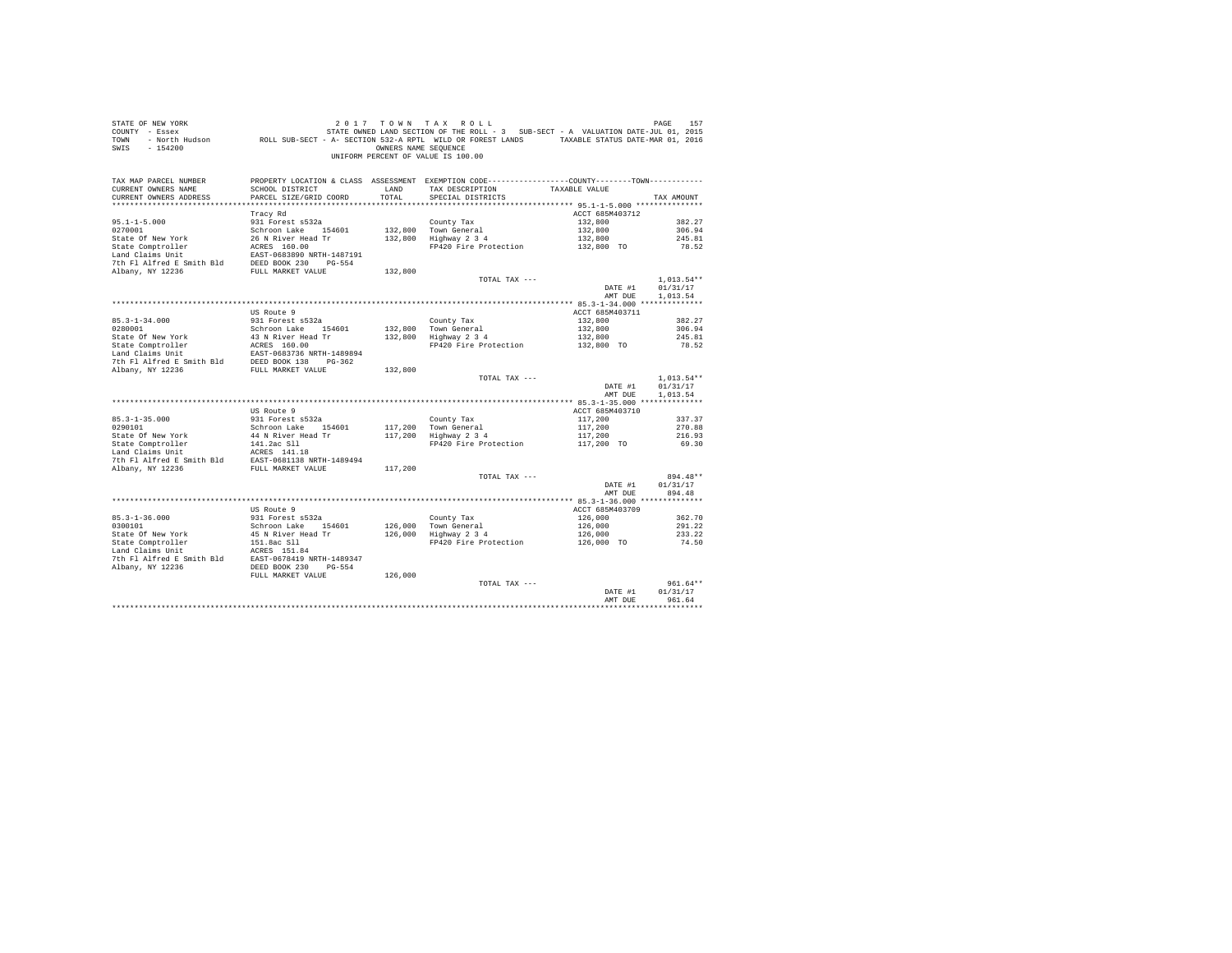| PAGE 157 167 2017 TOWN TAX ROLL PROB PAGE 157<br>COUNTY - Essex - SATATE ONNED LAND SECTION OF THE ROLL - 3 SUB-SECT - A VALUATION DATE-JUL 01, 2015<br>TOWN - North Hudson - ROLL SUB-SECT - A-SECTION 532-A RPTL WILD OR FOREST LA<br>SWIS - 154200 |                                           | OWNERS NAME SEQUENCE | 2017 TOWN TAX ROLL<br>UNIFORM PERCENT OF VALUE IS 100.00                                     |                            |                      |
|-------------------------------------------------------------------------------------------------------------------------------------------------------------------------------------------------------------------------------------------------------|-------------------------------------------|----------------------|----------------------------------------------------------------------------------------------|----------------------------|----------------------|
| TAX MAP PARCEL NUMBER                                                                                                                                                                                                                                 |                                           |                      | PROPERTY LOCATION & CLASS ASSESSMENT EXEMPTION CODE---------------COUNTY-------TOWN--------- |                            |                      |
| CURRENT OWNERS NAME<br>CURRENT OWNERS ADDRESS                                                                                                                                                                                                         | SCHOOL DISTRICT<br>PARCEL SIZE/GRID COORD | LAND<br>TOTAL        | TAX DESCRIPTION<br>SPECIAL DISTRICTS                                                         | TAXABLE VALUE              | TAX AMOUNT           |
|                                                                                                                                                                                                                                                       |                                           |                      |                                                                                              |                            |                      |
|                                                                                                                                                                                                                                                       | Tracy Rd                                  |                      |                                                                                              | ACCT 685M403712            |                      |
| $95.1 - 1 - 5.000$                                                                                                                                                                                                                                    | 931 Forest s532a                          |                      | County Tax                                                                                   | 132,800                    | 382.27               |
| 0270001                                                                                                                                                                                                                                               | Schroon Lake 154601                       |                      | County Tax<br>132,800 Town General<br>132,800 Highway 2 3 4                                  | 132,800                    | 306.94               |
| State Of New York                                                                                                                                                                                                                                     | 26 N River Head Tr                        |                      |                                                                                              | 132,800                    | 245.81               |
|                                                                                                                                                                                                                                                       |                                           |                      | FP420 Fire Protection                                                                        | 132,800 TO                 | 78.52                |
| State Comptroller<br>Land Claims Unit<br>2007 - EAST -0683890 NRTH-1487191<br>2007 - The Fl Alfred E Smith Bld<br>2008 - DEED BOOK 230<br>2008-554                                                                                                    |                                           |                      |                                                                                              |                            |                      |
| Albany, NY 12236                                                                                                                                                                                                                                      | FULL MARKET VALUE                         | 132,800              |                                                                                              |                            |                      |
|                                                                                                                                                                                                                                                       |                                           |                      | TOTAL TAX ---                                                                                |                            | $1.013.54**$         |
|                                                                                                                                                                                                                                                       |                                           |                      |                                                                                              | DATE #1                    | 01/31/17             |
|                                                                                                                                                                                                                                                       |                                           |                      |                                                                                              | AMT DUE                    | 1,013.54             |
|                                                                                                                                                                                                                                                       |                                           |                      |                                                                                              |                            |                      |
|                                                                                                                                                                                                                                                       | US Route 9                                |                      |                                                                                              | ACCT 685M403711            |                      |
| $85.3 - 1 - 34.000$                                                                                                                                                                                                                                   | 931 Forest s532a                          |                      | County Tax                                                                                   | 132,800                    | 382.27               |
|                                                                                                                                                                                                                                                       |                                           | 132,800              | $132,800$ Town General<br>$132,800$ Highway 2 3 4                                            | 132,800<br>132,800         | 306.94<br>245.81     |
|                                                                                                                                                                                                                                                       |                                           |                      | FP420 Fire Protection                                                                        | 132,800 TO                 | 78.52                |
|                                                                                                                                                                                                                                                       |                                           |                      |                                                                                              |                            |                      |
|                                                                                                                                                                                                                                                       |                                           |                      |                                                                                              |                            |                      |
| 032.5-17-34.0001<br>Schroon Lake 154601<br>Schroon Lake 154601<br>Schroon Lake 154601<br>Schroon Lake 154601<br>Schroon Lake 17-1<br>Schroon Lake 17-1<br>Schroon Lake 17-1<br>20236<br>The Fl Alfred E Smith Bld<br>20236 FULL MARKET VALUE<br>202-  |                                           | 132,800              |                                                                                              |                            |                      |
|                                                                                                                                                                                                                                                       |                                           |                      | TOTAL TAX ---                                                                                |                            | $1,013.54**$         |
|                                                                                                                                                                                                                                                       |                                           |                      |                                                                                              | DATE #1<br>AMT DUE         | 01/31/17<br>1,013.54 |
|                                                                                                                                                                                                                                                       |                                           |                      |                                                                                              |                            |                      |
|                                                                                                                                                                                                                                                       | US Route 9                                |                      |                                                                                              | ACCT 685M403710            |                      |
| $85.3 - 1 - 35.000$                                                                                                                                                                                                                                   | 931 Forest s532a                          |                      | County Tax                                                                                   | 117,200                    | 337.37               |
| 0290101                                                                                                                                                                                                                                               | Schroon Lake 154601                       |                      | County Tax<br>117,200   Town General<br>117,200   Highway 2 3 4                              | 117,200                    | 270.88               |
|                                                                                                                                                                                                                                                       |                                           |                      |                                                                                              | 117,200<br>117,200 TO      | 216.93               |
|                                                                                                                                                                                                                                                       |                                           |                      | FP420 Fire Protection                                                                        |                            | 69.30                |
|                                                                                                                                                                                                                                                       |                                           |                      |                                                                                              |                            |                      |
|                                                                                                                                                                                                                                                       |                                           |                      |                                                                                              |                            |                      |
|                                                                                                                                                                                                                                                       |                                           |                      | TOTAL TAX ---                                                                                |                            | 894.48**             |
|                                                                                                                                                                                                                                                       |                                           |                      |                                                                                              | DATE #1                    | 01/31/17             |
|                                                                                                                                                                                                                                                       |                                           |                      |                                                                                              | AMT DUE                    | 894.48               |
|                                                                                                                                                                                                                                                       |                                           |                      |                                                                                              |                            |                      |
| $85.3 - 1 - 36.000$                                                                                                                                                                                                                                   | US Route 9<br>931 Forest s532a            |                      | County Tax                                                                                   | ACCT 685M403709<br>126,000 | 362.70               |
| 0300101                                                                                                                                                                                                                                               | Schroon Lake 154601                       |                      |                                                                                              | 126,000                    | 291.22               |
|                                                                                                                                                                                                                                                       |                                           |                      | 126,000 Town General<br>126,000 Highway 2 3 4                                                | 126,000                    | 233.22               |
| State Of New York<br>State Comptroller                                                                                                                                                                                                                | 45 N River Head Tr<br>151.8ac Sll         |                      | FP420 Fire Protection                                                                        | 126,000 TO                 | 74.50                |
| Land Claims Unit<br>7th Pl Alfred E Smith Bld<br>2016 March 210 DEED BOOK 230 PG-554<br>2016 Albany, NY 12236                                                                                                                                         |                                           |                      |                                                                                              |                            |                      |
|                                                                                                                                                                                                                                                       |                                           |                      |                                                                                              |                            |                      |
|                                                                                                                                                                                                                                                       |                                           |                      |                                                                                              |                            |                      |
|                                                                                                                                                                                                                                                       | FULL MARKET VALUE                         | 126,000              | TOTAL TAX ---                                                                                |                            | $961.64**$           |
|                                                                                                                                                                                                                                                       |                                           |                      |                                                                                              | DATE #1                    | 01/31/17             |
|                                                                                                                                                                                                                                                       |                                           |                      |                                                                                              | AMT DUE                    | 961.64               |
|                                                                                                                                                                                                                                                       |                                           |                      |                                                                                              |                            | ***********          |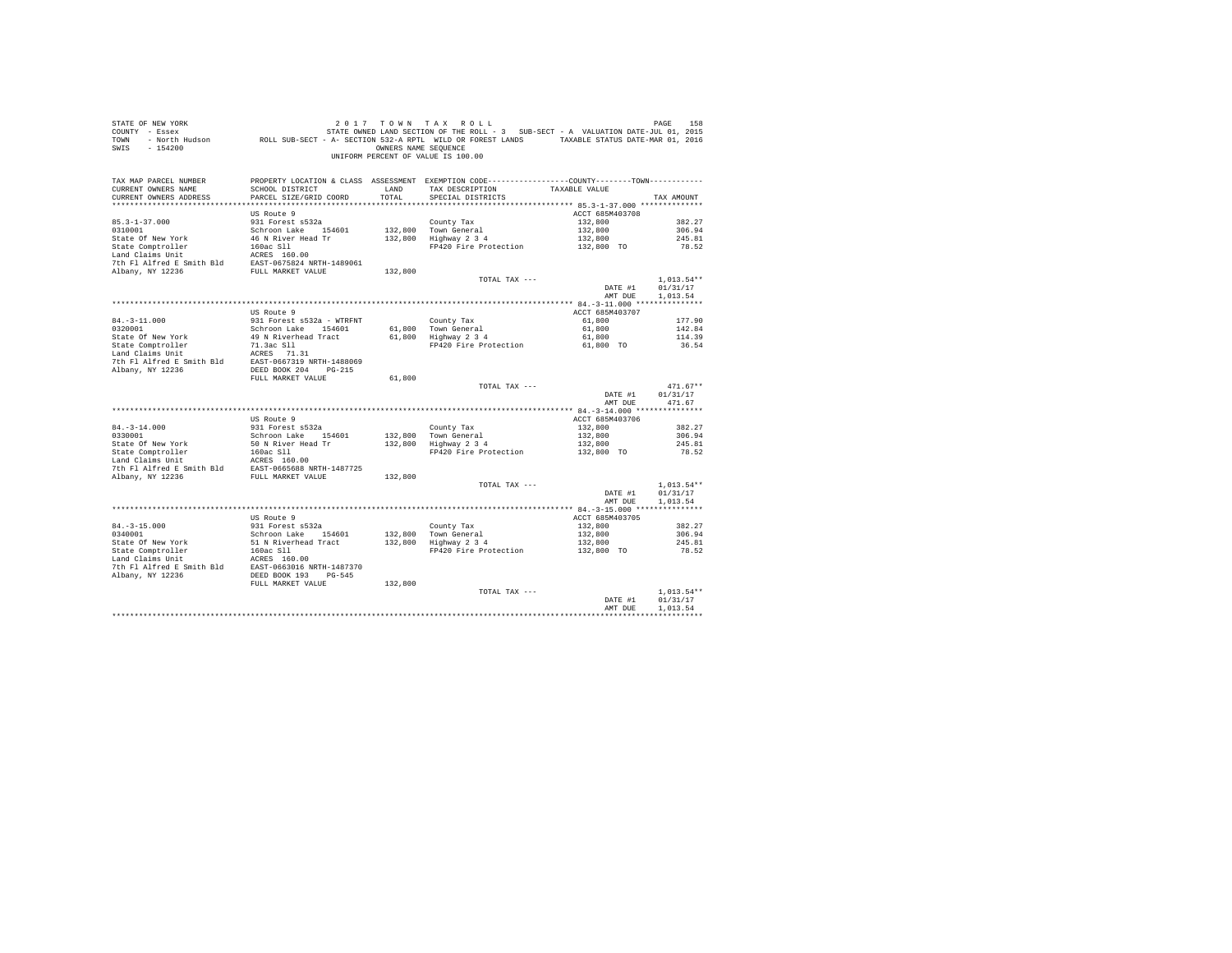| STATE OF NEW YORK<br>COUNTY - Essex<br>TOWN<br>SWIS - 154200                                                                                                             |                                                  | OWNERS NAME SEOUENCE | 2017 TOWN TAX ROLL<br>DE MESS 158 בבאת 1992 המשיר של 2017 מישות 17 AX ROLL<br>T - Essex STATE-JULOI, 2015 STATE OWNED LAND SECTION OF THE ROLL - 3 SUB-SECT - A VALUATION DATE-JULOI, 2015<br>ROLL SUB-SECT - A SECTION 532-A RPTL WILD OR FOREST LANDS -<br>UNIFORM PERCENT OF VALUE IS 100.00 |                            | PAGE<br>158        |
|--------------------------------------------------------------------------------------------------------------------------------------------------------------------------|--------------------------------------------------|----------------------|-------------------------------------------------------------------------------------------------------------------------------------------------------------------------------------------------------------------------------------------------------------------------------------------------|----------------------------|--------------------|
| TAX MAP PARCEL NUMBER<br>CURRENT OWNERS NAME<br>CURRENT OWNERS ADDRESS                                                                                                   | SCHOOL DISTRICT<br>PARCEL SIZE/GRID COORD        | LAND<br>TOTAL.       | PROPERTY LOCATION & CLASS ASSESSMENT EXEMPTION CODE----------------COUNTY--------TOWN----------<br>TAX DESCRIPTION<br>SPECIAL DISTRICTS                                                                                                                                                         | TAXABLE VALUE              | TAX AMOUNT         |
|                                                                                                                                                                          | US Route 9                                       |                      |                                                                                                                                                                                                                                                                                                 | ACCT 685M403708            |                    |
| $85.3 - 1 - 37.000$                                                                                                                                                      | 931 Forest s532a                                 |                      | County Tax                                                                                                                                                                                                                                                                                      | 132,800                    | 382.27             |
| 0310001                                                                                                                                                                  | Schroon Lake 154601                              |                      | 132.800 Town General<br>$132,800$ Highway $2\,3\,4$                                                                                                                                                                                                                                             | 132,800                    | 306.94             |
| State Of New York                                                                                                                                                        | 46 N River Head Tr                               |                      |                                                                                                                                                                                                                                                                                                 | 132,800<br>132,800 TO      | 245.81             |
| State Comptroller 160ac S11<br>Land Claims Unit 160ac S11<br>Land Claims Unit 160ac S1650.00<br>The F1 Alfred E Smith Bld EAST-0675824 NRTH-1489061<br>TULL MARKET VALUE |                                                  |                      | FP420 Fire Protection                                                                                                                                                                                                                                                                           |                            | 78.52              |
|                                                                                                                                                                          |                                                  |                      |                                                                                                                                                                                                                                                                                                 |                            |                    |
|                                                                                                                                                                          |                                                  | 132,800              |                                                                                                                                                                                                                                                                                                 |                            |                    |
|                                                                                                                                                                          |                                                  |                      | TOTAL TAX ---                                                                                                                                                                                                                                                                                   |                            | $1.013.54**$       |
|                                                                                                                                                                          |                                                  |                      |                                                                                                                                                                                                                                                                                                 | DATE #1                    | 01/31/17           |
|                                                                                                                                                                          |                                                  |                      |                                                                                                                                                                                                                                                                                                 | AMT DUE                    | 1,013.54           |
|                                                                                                                                                                          |                                                  |                      |                                                                                                                                                                                                                                                                                                 |                            |                    |
|                                                                                                                                                                          | US Route 9                                       |                      |                                                                                                                                                                                                                                                                                                 | ACCT 685M403707            |                    |
| $84. -3 - 11.000$<br>0320001                                                                                                                                             | 931 Forest s532a - WTRFNT<br>Schroon Lake 154601 |                      | County Tax                                                                                                                                                                                                                                                                                      | 61,800<br>61,800           | 177.90<br>142.84   |
|                                                                                                                                                                          | 49 N Riverhead Tract                             |                      | 61,800 Town General<br>61,800 Highway 2 3 4                                                                                                                                                                                                                                                     | 61,800                     | 114.39             |
|                                                                                                                                                                          |                                                  |                      | FP420 Fire Protection 61,800 TO                                                                                                                                                                                                                                                                 |                            | 36.54              |
| State of New York 49 N Riverhead Tract<br>State Comptroller 71.3ac Sll<br>Land Claims Unit<br>ACRES 71.31<br>$\frac{13}{2}$<br>$\frac{13}{2}$                            |                                                  |                      |                                                                                                                                                                                                                                                                                                 |                            |                    |
| 7th Fl Alfred E Smith Bld EAST-0667319 NRTH-1488069                                                                                                                      |                                                  |                      |                                                                                                                                                                                                                                                                                                 |                            |                    |
| Albany, NY 12236                                                                                                                                                         | DEED BOOK 204 PG-215                             |                      |                                                                                                                                                                                                                                                                                                 |                            |                    |
|                                                                                                                                                                          | FULL MARKET VALUE                                | 61,800               | TOTAL TAX ---                                                                                                                                                                                                                                                                                   |                            | $471.67**$         |
|                                                                                                                                                                          |                                                  |                      |                                                                                                                                                                                                                                                                                                 | DATE #1<br>AMT DUE         | 01/31/17<br>471.67 |
|                                                                                                                                                                          |                                                  |                      |                                                                                                                                                                                                                                                                                                 |                            |                    |
|                                                                                                                                                                          | US Route 9                                       |                      |                                                                                                                                                                                                                                                                                                 | ACCT 685M403706            |                    |
| $84. -3 - 14.000$                                                                                                                                                        | 931 Forest s532a                                 |                      | County Tax<br>132,800 Town General<br>132,800 Highway 2 3 4                                                                                                                                                                                                                                     | 132,800                    | 382.27             |
| 0330001                                                                                                                                                                  | Schroon Lake 154601                              |                      |                                                                                                                                                                                                                                                                                                 | 132,800                    | 306.94             |
|                                                                                                                                                                          |                                                  |                      |                                                                                                                                                                                                                                                                                                 | 132,800                    | 245.81             |
|                                                                                                                                                                          |                                                  |                      | FP420 Fire Protection                                                                                                                                                                                                                                                                           | 132,800 TO                 | 78.52              |
|                                                                                                                                                                          |                                                  |                      |                                                                                                                                                                                                                                                                                                 |                            |                    |
| Albany, NY 12236                                                                                                                                                         | FULL MARKET VALUE                                | 132,800              |                                                                                                                                                                                                                                                                                                 |                            |                    |
|                                                                                                                                                                          |                                                  |                      | TOTAL TAX ---                                                                                                                                                                                                                                                                                   |                            | $1,013.54**$       |
|                                                                                                                                                                          |                                                  |                      |                                                                                                                                                                                                                                                                                                 | DATE #1                    | 01/31/17           |
|                                                                                                                                                                          |                                                  |                      |                                                                                                                                                                                                                                                                                                 | AMT DUE                    | 1,013.54           |
|                                                                                                                                                                          |                                                  |                      |                                                                                                                                                                                                                                                                                                 |                            |                    |
| $84. - 3 - 15.000$                                                                                                                                                       | US Route 9<br>931 Forest s532a                   |                      |                                                                                                                                                                                                                                                                                                 | ACCT 685M403705<br>132,800 | 382.27             |
| 0340001                                                                                                                                                                  | Schroon Lake 154601                              | 132,800              |                                                                                                                                                                                                                                                                                                 | 132,800                    | 306.94             |
| State Of New York                                                                                                                                                        | 51 N Riverhead Tract                             |                      | County Tax<br>132,800 Town General<br>132,800 Highway 2 3 4                                                                                                                                                                                                                                     | 132,800                    | 245.81             |
| State Comptroller                                                                                                                                                        | 160ac Sll                                        |                      | FP420 Fire Protection                                                                                                                                                                                                                                                                           | 132,800 TO                 | 78.52              |
| Cand Claims Unit<br>2010 11 11 2021 2021 20316 20416 2041<br>7th F1 Alfred B 3mith Bld<br>202216 2022 205 2050 2041 2041 2045 2045                                       |                                                  |                      |                                                                                                                                                                                                                                                                                                 |                            |                    |
|                                                                                                                                                                          |                                                  |                      |                                                                                                                                                                                                                                                                                                 |                            |                    |
|                                                                                                                                                                          |                                                  |                      |                                                                                                                                                                                                                                                                                                 |                            |                    |
|                                                                                                                                                                          | FULL MARKET VALUE                                | 132,800              | TOTAL TAX ---                                                                                                                                                                                                                                                                                   |                            | $1.013.54**$       |
|                                                                                                                                                                          |                                                  |                      |                                                                                                                                                                                                                                                                                                 | DATE #1                    | 01/31/17           |
|                                                                                                                                                                          |                                                  |                      |                                                                                                                                                                                                                                                                                                 | AMT DUE                    | 1,013.54           |
|                                                                                                                                                                          |                                                  |                      |                                                                                                                                                                                                                                                                                                 |                            | ************       |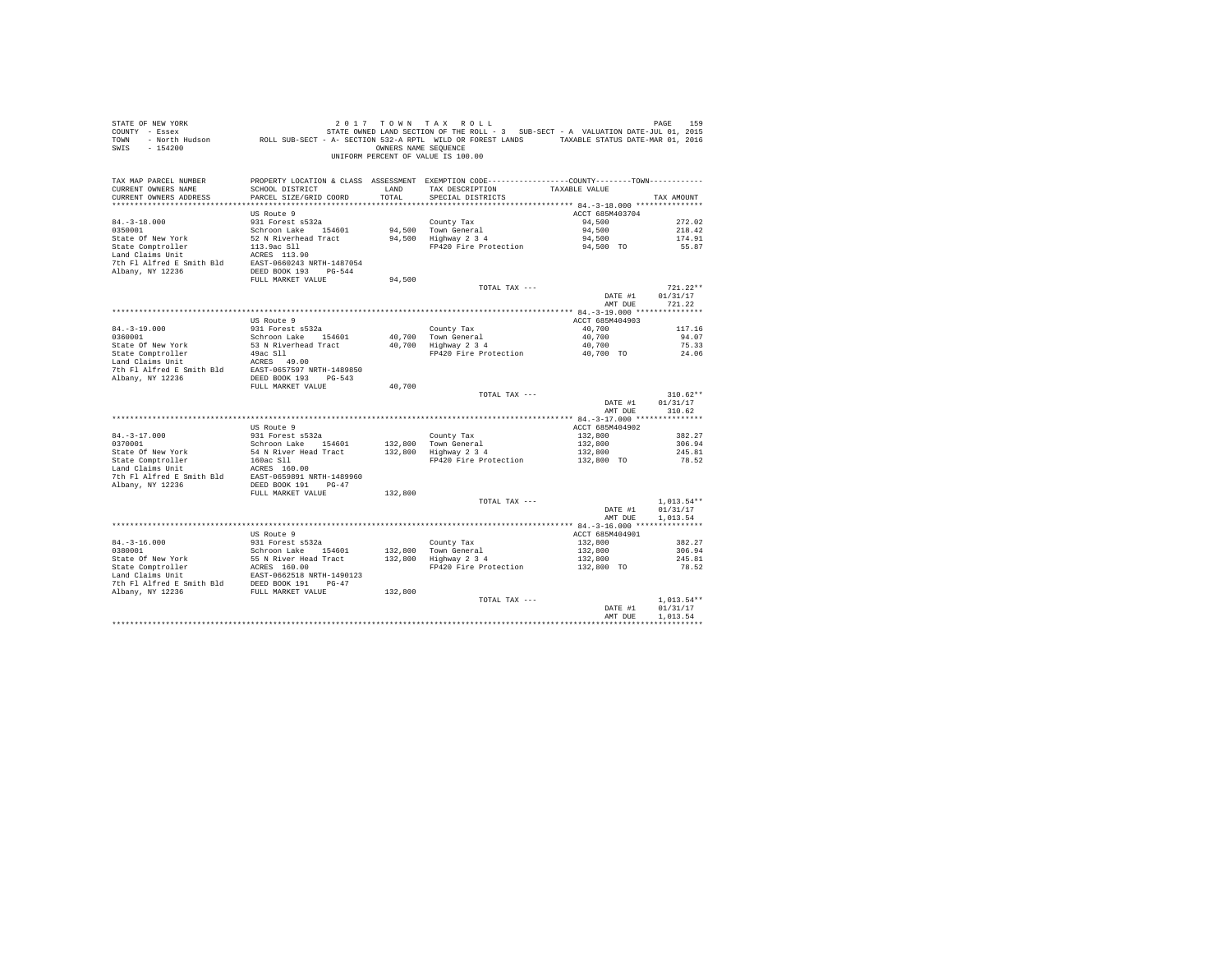| STATE OF NEW YORK<br>COUNTY - Essex<br>COULLY A MADELIAN DATA ON A SECTION 532-A RPTL WILD OR FOREST LANDS TAXABLE STATUS DATE-MAR 01, 2016<br>TOWN - NOTCH Hudson     ROLL SUB-SECT - A- SECTION 532-A RPTL WILD OR FOREST LANDS   TAXABLE STATUS DATE-MAR 01, 2016<br>SWIS - 154200 |                                           | OWNERS NAME SEQUENCE | 2017 TOWN TAX ROLL<br>STATE OWNED LAND SECTION OF THE ROLL - 3 SUB-SECT - A VALUATION DATE-JUL 01, 2015<br>UNIFORM PERCENT OF VALUE IS 100.00 |                           | PAGE<br>159              |
|---------------------------------------------------------------------------------------------------------------------------------------------------------------------------------------------------------------------------------------------------------------------------------------|-------------------------------------------|----------------------|-----------------------------------------------------------------------------------------------------------------------------------------------|---------------------------|--------------------------|
| TAX MAP PARCEL NUMBER<br>CURRENT OWNERS NAME<br>CURRENT OWNERS ADDRESS                                                                                                                                                                                                                | SCHOOL DISTRICT<br>PARCEL SIZE/GRID COORD | LAND<br>TOTAL        | PROPERTY LOCATION & CLASS ASSESSMENT EXEMPTION CODE---------------COUNTY-------TOWN----------<br>TAX DESCRIPTION<br>SPECIAL DISTRICTS         | TAXABLE VALUE             | TAX AMOUNT               |
| ************************                                                                                                                                                                                                                                                              |                                           |                      |                                                                                                                                               |                           |                          |
| $84. - 3 - 18.000$                                                                                                                                                                                                                                                                    | US Route 9<br>931 Forest s532a            |                      | County Tax                                                                                                                                    | ACCT 685M403704<br>94,500 | 272.02                   |
| 0350001                                                                                                                                                                                                                                                                               | Schroon Lake 154601                       |                      | 94,500 Town General                                                                                                                           | 94,500                    | 218.42                   |
| State Of New York                                                                                                                                                                                                                                                                     | 52 N Riverhead Tract                      |                      | 94,500 Highway 2 3 4                                                                                                                          | 94,500                    | 174.91                   |
| State Comptroller<br>Land Claims Unit                                                                                                                                                                                                                                                 | 113.9ac Sll                               |                      | FP420 Fire Protection                                                                                                                         | 94,500 TO                 | 55.87                    |
|                                                                                                                                                                                                                                                                                       | ACRES 113.90                              |                      |                                                                                                                                               |                           |                          |
| Albany, NY 12236                                                                                                                                                                                                                                                                      |                                           |                      |                                                                                                                                               |                           |                          |
|                                                                                                                                                                                                                                                                                       | DEED BOOK 193 PG-544<br>FULL MARKET VALUE | 94,500               |                                                                                                                                               |                           |                          |
|                                                                                                                                                                                                                                                                                       |                                           |                      | TOTAL TAX ---                                                                                                                                 |                           | $721.22**$               |
|                                                                                                                                                                                                                                                                                       |                                           |                      |                                                                                                                                               | DATE #1                   | 01/31/17                 |
|                                                                                                                                                                                                                                                                                       |                                           |                      |                                                                                                                                               | AMT DUE                   | 721.22                   |
|                                                                                                                                                                                                                                                                                       |                                           |                      |                                                                                                                                               |                           |                          |
|                                                                                                                                                                                                                                                                                       | US Route 9<br>931 Forest s532a            |                      |                                                                                                                                               | ACCT 685M404903           | 117.16                   |
| 84.-3-19.000<br>0360001                                                                                                                                                                                                                                                               | Schroon Lake 154601                       |                      | County Tax                                                                                                                                    | 40,700<br>40,700          | 94.07                    |
| State Of New York                                                                                                                                                                                                                                                                     | 53 N Riverhead Tract                      |                      | County Tax<br>40,700 Town General<br>40,700 Highway 2 3 4                                                                                     | 40,700                    | 75.33                    |
| State Comptroller<br>Land Claims Unit                                                                                                                                                                                                                                                 | $49ac$ Sll $-$                            |                      | FP420 Fire Protection                                                                                                                         | 40,700 TO                 | 24.06                    |
|                                                                                                                                                                                                                                                                                       | ACRES 49.00                               |                      |                                                                                                                                               |                           |                          |
| Land Claims of Latin Eld<br>The Flalfred E Smith Bld<br>EAST-0657597 NRTH-1489850<br>Nhany NY 12236<br>DEED BOOK 193 PG-543                                                                                                                                                           |                                           |                      |                                                                                                                                               |                           |                          |
|                                                                                                                                                                                                                                                                                       | FULL MARKET VALUE                         | 40,700               |                                                                                                                                               |                           |                          |
|                                                                                                                                                                                                                                                                                       |                                           |                      | TOTAL TAX ---                                                                                                                                 |                           | $310.62**$               |
|                                                                                                                                                                                                                                                                                       |                                           |                      |                                                                                                                                               | DATE #1                   | 01/31/17                 |
|                                                                                                                                                                                                                                                                                       |                                           |                      |                                                                                                                                               | AMT DUE                   | 310.62                   |
|                                                                                                                                                                                                                                                                                       |                                           |                      |                                                                                                                                               |                           |                          |
|                                                                                                                                                                                                                                                                                       | US Route 9                                |                      |                                                                                                                                               | ACCT 685M404902           |                          |
| $84. - 3 - 17.000$<br>0370001                                                                                                                                                                                                                                                         | 931 Forest s532a<br>Schroon Lake 154601   |                      | County Tax<br>132.800 Town General                                                                                                            | 132,800<br>132,800        | 382.27<br>306.94         |
| State Of New York                                                                                                                                                                                                                                                                     | 54 N River Head Tract                     |                      | 132,800 Highway 2 3 4                                                                                                                         | 132,800                   | 245.81                   |
| State Comptroller                                                                                                                                                                                                                                                                     |                                           |                      | FP420 Fire Protection                                                                                                                         | 132,800 TO                | 78.52                    |
| Land Claims Unit                                                                                                                                                                                                                                                                      | 160ac S11<br>ACRES 160.00                 |                      |                                                                                                                                               |                           |                          |
| 7th Fl Alfred E Smith Bld                                                                                                                                                                                                                                                             | EAST-0659891 NRTH-1489960                 |                      |                                                                                                                                               |                           |                          |
| Albany, NY 12236                                                                                                                                                                                                                                                                      | DEED BOOK 191 PG-47<br>FULL MARKET VALUE  | 132,800              |                                                                                                                                               |                           |                          |
|                                                                                                                                                                                                                                                                                       |                                           |                      | TOTAL TAX ---                                                                                                                                 |                           | $1.013.54**$             |
|                                                                                                                                                                                                                                                                                       |                                           |                      |                                                                                                                                               | DATE #1                   | 01/31/17                 |
|                                                                                                                                                                                                                                                                                       |                                           |                      |                                                                                                                                               | AMT DUE                   | 1,013.54                 |
|                                                                                                                                                                                                                                                                                       |                                           |                      |                                                                                                                                               |                           |                          |
|                                                                                                                                                                                                                                                                                       | US Route 9                                |                      |                                                                                                                                               | ACCT 685M404901           |                          |
| $84. -3 - 16.000$<br>0380001                                                                                                                                                                                                                                                          | 931 Forest s532a<br>Schroon Lake 154601   |                      | County Tax                                                                                                                                    | 132,800<br>132,800        | 382.27<br>306.94         |
|                                                                                                                                                                                                                                                                                       | 55 N River Head Tract                     |                      | county rax<br>132,800 Town General<br>132,800 Highway 2 3 4                                                                                   | 132,800                   | 245.81                   |
|                                                                                                                                                                                                                                                                                       | ACRES 160.00                              |                      | FP420 Fire Protection                                                                                                                         | 132,800 TO                | 78.52                    |
| State Of New York<br>State Comptroller                                                                                                                                                                                                                                                | EAST-0662518 NRTH-1490123                 |                      |                                                                                                                                               |                           |                          |
| 7th Fl Alfred E Smith Bld DEED BOOK 191 PG-47                                                                                                                                                                                                                                         |                                           |                      |                                                                                                                                               |                           |                          |
| Albany, NY 12236                                                                                                                                                                                                                                                                      | FULL MARKET VALUE                         | 132,800              |                                                                                                                                               |                           |                          |
|                                                                                                                                                                                                                                                                                       |                                           |                      | TOTAL TAX ---                                                                                                                                 | DATE #1                   | $1.013.54**$<br>01/31/17 |
|                                                                                                                                                                                                                                                                                       |                                           |                      |                                                                                                                                               | AMT DUR                   | 1.013.54                 |
|                                                                                                                                                                                                                                                                                       |                                           |                      |                                                                                                                                               |                           | ************             |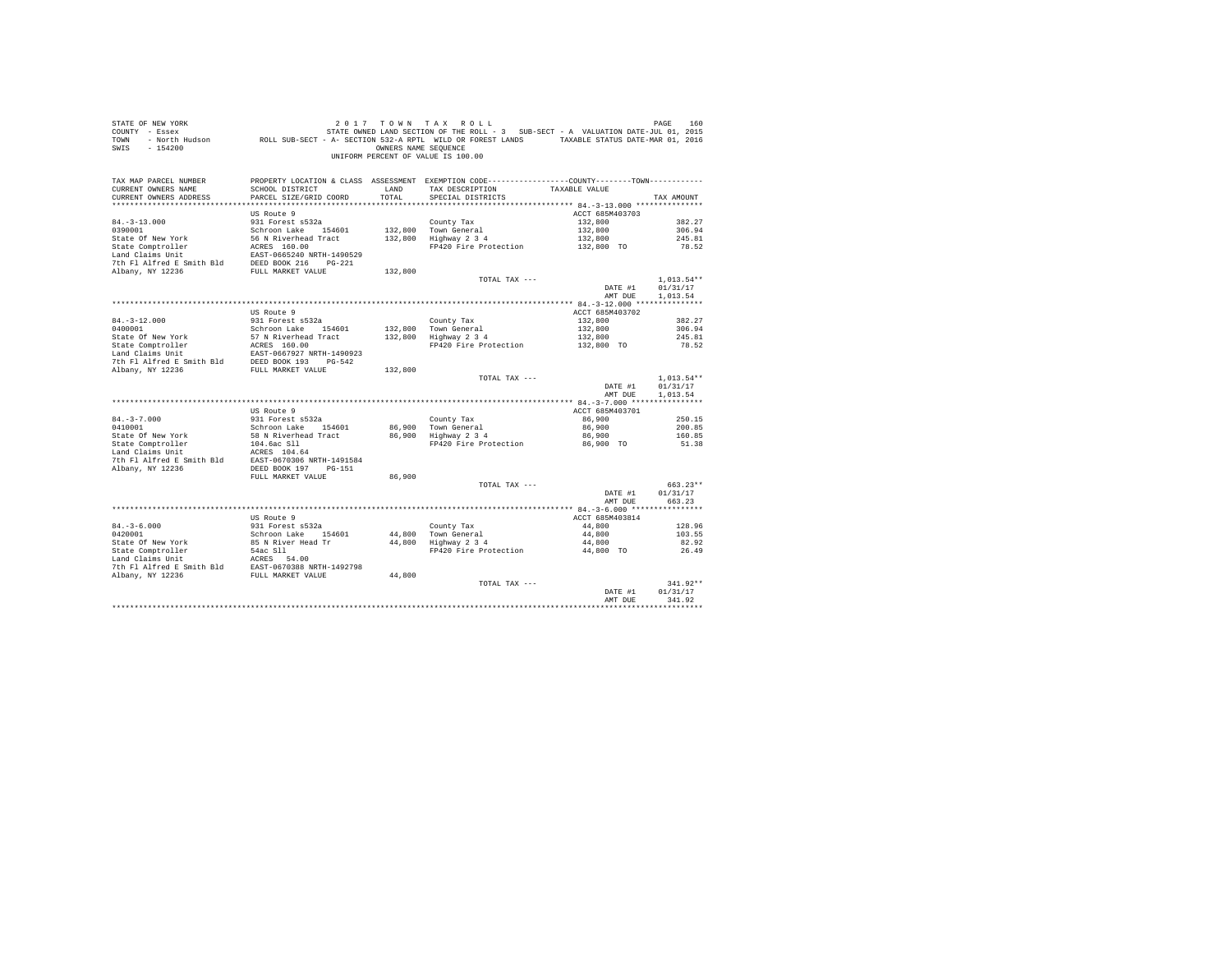| STATE OF NEW YORK<br>COUNTY - Essex<br>TOWN<br>$-154200$<br>SWIS                                                                                                                                                                                                                                                                    |                                                   | OWNERS NAME SEQUENCE | 2017 TOWN TAX ROLL<br>7 - Essex (101, 2015) STATE OWNED LAND SECTION OF THE ROLL - 3 SUB-SECT - A VALUATION DATE-JUL 01, 2015<br>2016 - North Hudson (1, 2016) ROLL SUB-SECT - A- SECTION 532-A RPTL WILD OR FOREST LANDS<br>UNIFORM PERCENT OF VALUE IS 100.00 |                           | PAGE<br>160            |
|-------------------------------------------------------------------------------------------------------------------------------------------------------------------------------------------------------------------------------------------------------------------------------------------------------------------------------------|---------------------------------------------------|----------------------|-----------------------------------------------------------------------------------------------------------------------------------------------------------------------------------------------------------------------------------------------------------------|---------------------------|------------------------|
| TAX MAP PARCEL NUMBER<br>CURRENT OWNERS NAME                                                                                                                                                                                                                                                                                        | SCHOOL DISTRICT                                   | LAND                 | PROPERTY LOCATION & CLASS ASSESSMENT EXEMPTION CODE---------------COUNTY-------TOWN----------<br>TAX DESCRIPTION                                                                                                                                                | TAXABLE VALUE             |                        |
| CURRENT OWNERS ADDRESS                                                                                                                                                                                                                                                                                                              | PARCEL SIZE/GRID COORD                            | TOTAL                | SPECIAL DISTRICTS                                                                                                                                                                                                                                               |                           | TAX AMOUNT             |
|                                                                                                                                                                                                                                                                                                                                     |                                                   |                      |                                                                                                                                                                                                                                                                 |                           |                        |
|                                                                                                                                                                                                                                                                                                                                     | US Route 9                                        |                      |                                                                                                                                                                                                                                                                 | ACCT 685M403703           |                        |
| $84. - 3 - 13.000$                                                                                                                                                                                                                                                                                                                  | 931 Forest s532a                                  |                      | County Tax                                                                                                                                                                                                                                                      | 132,800                   | 382.27                 |
| 0390001                                                                                                                                                                                                                                                                                                                             | Schroon Lake 154601                               |                      |                                                                                                                                                                                                                                                                 | 132,800                   | 306.94                 |
| State Of New York                                                                                                                                                                                                                                                                                                                   | 56 N Riverhead Tract                              |                      | 132,800 Town General<br>132,800 Highway 2 3 4                                                                                                                                                                                                                   | 132,800                   | 245.81                 |
| State Comptroller                                                                                                                                                                                                                                                                                                                   | ACRES 160.00                                      |                      | FP420 Fire Protection                                                                                                                                                                                                                                           | 132,800 TO                | 78.52                  |
| Land Claims Unit<br>7th Fl Alfred E Smith Bld                                                                                                                                                                                                                                                                                       | EAST-0665240 NRTH-1490529<br>DEED BOOK 216 PG-221 |                      |                                                                                                                                                                                                                                                                 |                           |                        |
| Albany, NY 12236                                                                                                                                                                                                                                                                                                                    | FULL MARKET VALUE                                 | 132,800              |                                                                                                                                                                                                                                                                 |                           |                        |
|                                                                                                                                                                                                                                                                                                                                     |                                                   |                      | TOTAL TAX ---                                                                                                                                                                                                                                                   |                           | $1.013.54**$           |
|                                                                                                                                                                                                                                                                                                                                     |                                                   |                      |                                                                                                                                                                                                                                                                 | DATE #1                   | 01/31/17               |
|                                                                                                                                                                                                                                                                                                                                     |                                                   |                      |                                                                                                                                                                                                                                                                 | AMT DUE                   | 1,013.54               |
|                                                                                                                                                                                                                                                                                                                                     |                                                   |                      |                                                                                                                                                                                                                                                                 |                           |                        |
|                                                                                                                                                                                                                                                                                                                                     | US Route 9                                        |                      |                                                                                                                                                                                                                                                                 | ACCT 685M403702           |                        |
| $84. - 3 - 12.000$                                                                                                                                                                                                                                                                                                                  | 931 Forest s532a                                  |                      | County Tax                                                                                                                                                                                                                                                      | 132,800                   | 382.27                 |
| 0400001                                                                                                                                                                                                                                                                                                                             | Schroon Lake 154601                               | 132,800              | Town General<br>Highway 2 3 4                                                                                                                                                                                                                                   | 132,800                   | 306.94                 |
| State Of New York                                                                                                                                                                                                                                                                                                                   | 57 N Riverhead Tract<br>ACRES 160.00              | 132,800              | FP420 Fire Protection                                                                                                                                                                                                                                           | 132,800                   | 245.81                 |
| State Comptroller<br>Land Claims Unit                                                                                                                                                                                                                                                                                               |                                                   |                      |                                                                                                                                                                                                                                                                 | 132,800 TO                | 78.52                  |
| $\begin{tabular}{lllllll} \texttt{Land Claus Unit} & \texttt{EAST-0667927 NRTH-1490923} \\ \texttt{7th Fl Alfred E Smith Bld} & \texttt{DEED BOOK 193} & \texttt{PG-542} \end{tabular}$                                                                                                                                             |                                                   |                      |                                                                                                                                                                                                                                                                 |                           |                        |
| Albany, NY 12236                                                                                                                                                                                                                                                                                                                    | FULL MARKET VALUE                                 | 132,800              |                                                                                                                                                                                                                                                                 |                           |                        |
|                                                                                                                                                                                                                                                                                                                                     |                                                   |                      | TOTAL TAX ---                                                                                                                                                                                                                                                   |                           | $1,013.54**$           |
|                                                                                                                                                                                                                                                                                                                                     |                                                   |                      |                                                                                                                                                                                                                                                                 | DATE #1                   | 01/31/17               |
|                                                                                                                                                                                                                                                                                                                                     |                                                   |                      |                                                                                                                                                                                                                                                                 | AMT DUE                   | 1,013.54               |
|                                                                                                                                                                                                                                                                                                                                     |                                                   |                      |                                                                                                                                                                                                                                                                 |                           |                        |
| $84. - 3 - 7.000$                                                                                                                                                                                                                                                                                                                   | US Route 9<br>931 Forest s532a                    |                      | County Tax                                                                                                                                                                                                                                                      | ACCT 685M403701<br>86,900 | 250.15                 |
| 0410001                                                                                                                                                                                                                                                                                                                             | Schroon Lake 154601                               |                      |                                                                                                                                                                                                                                                                 | 86,900                    | 200.85                 |
| State Of New York                                                                                                                                                                                                                                                                                                                   | 58 N Riverhead Tract                              |                      | 86,900 Town General<br>86,900 Highway 2 3 4                                                                                                                                                                                                                     | 86,900                    | 160.85                 |
| State Comptroller                                                                                                                                                                                                                                                                                                                   | 104.6ac Sll                                       |                      | FP420 Fire Protection                                                                                                                                                                                                                                           | 86,900 TO                 | 51.38                  |
| Land Claims Unit                                                                                                                                                                                                                                                                                                                    | ACRES 104.64                                      |                      |                                                                                                                                                                                                                                                                 |                           |                        |
| 7th Fl Alfred E Smith Bld EAST-0670306 NRTH-1491584                                                                                                                                                                                                                                                                                 |                                                   |                      |                                                                                                                                                                                                                                                                 |                           |                        |
| Albany, NY 12236                                                                                                                                                                                                                                                                                                                    | DEED BOOK 197 PG-151                              |                      |                                                                                                                                                                                                                                                                 |                           |                        |
|                                                                                                                                                                                                                                                                                                                                     | FULL MARKET VALUE                                 | 86,900               |                                                                                                                                                                                                                                                                 |                           |                        |
|                                                                                                                                                                                                                                                                                                                                     |                                                   |                      | TOTAL TAX ---                                                                                                                                                                                                                                                   | DATE #1                   | $663.23**$<br>01/31/17 |
|                                                                                                                                                                                                                                                                                                                                     |                                                   |                      |                                                                                                                                                                                                                                                                 | AMT DUE                   | 663.23                 |
|                                                                                                                                                                                                                                                                                                                                     |                                                   |                      |                                                                                                                                                                                                                                                                 |                           |                        |
|                                                                                                                                                                                                                                                                                                                                     | US Route 9                                        |                      |                                                                                                                                                                                                                                                                 | ACCT 685M403814           |                        |
| $84. - 3 - 6.000$                                                                                                                                                                                                                                                                                                                   | 931 Forest s532a                                  |                      | County Tax                                                                                                                                                                                                                                                      | 44,800                    | 128.96                 |
| 0420001                                                                                                                                                                                                                                                                                                                             | Schroon Lake 154601                               | 44,800               | Town General<br>Highway 2 3 4                                                                                                                                                                                                                                   | 44,800                    | 103.55                 |
| State Of New York                                                                                                                                                                                                                                                                                                                   | 85 N River Head Tr                                | 44,800               |                                                                                                                                                                                                                                                                 | 44,800                    | 82.92                  |
|                                                                                                                                                                                                                                                                                                                                     |                                                   |                      | FP420 Fire Protection                                                                                                                                                                                                                                           | 44,800 TO                 | 26.49                  |
|                                                                                                                                                                                                                                                                                                                                     |                                                   |                      |                                                                                                                                                                                                                                                                 |                           |                        |
| $\begin{tabular}{lllllllllllll} \texttt{State Comptroller} & & & \texttt{S4ac S11} \\ \texttt{Land Claus Unit} & & & & \texttt{ACRES} & \texttt{54.00} \\ \texttt{The Alfred E Smith B1d} & & & \texttt{ESRST}-0670388 \texttt{ NRTH-1492798} \\ \texttt{Albany, NY 12236} & & & \texttt{FUL} \texttt{ MARKET VALUE} \end{tabular}$ |                                                   | 44,800               |                                                                                                                                                                                                                                                                 |                           |                        |
|                                                                                                                                                                                                                                                                                                                                     |                                                   |                      | TOTAL TAX ---                                                                                                                                                                                                                                                   |                           | 341.92**               |
|                                                                                                                                                                                                                                                                                                                                     |                                                   |                      |                                                                                                                                                                                                                                                                 | DATE #1                   | 01/31/17               |
|                                                                                                                                                                                                                                                                                                                                     |                                                   |                      |                                                                                                                                                                                                                                                                 | AMT DUE                   | 341.92                 |
|                                                                                                                                                                                                                                                                                                                                     |                                                   |                      |                                                                                                                                                                                                                                                                 |                           |                        |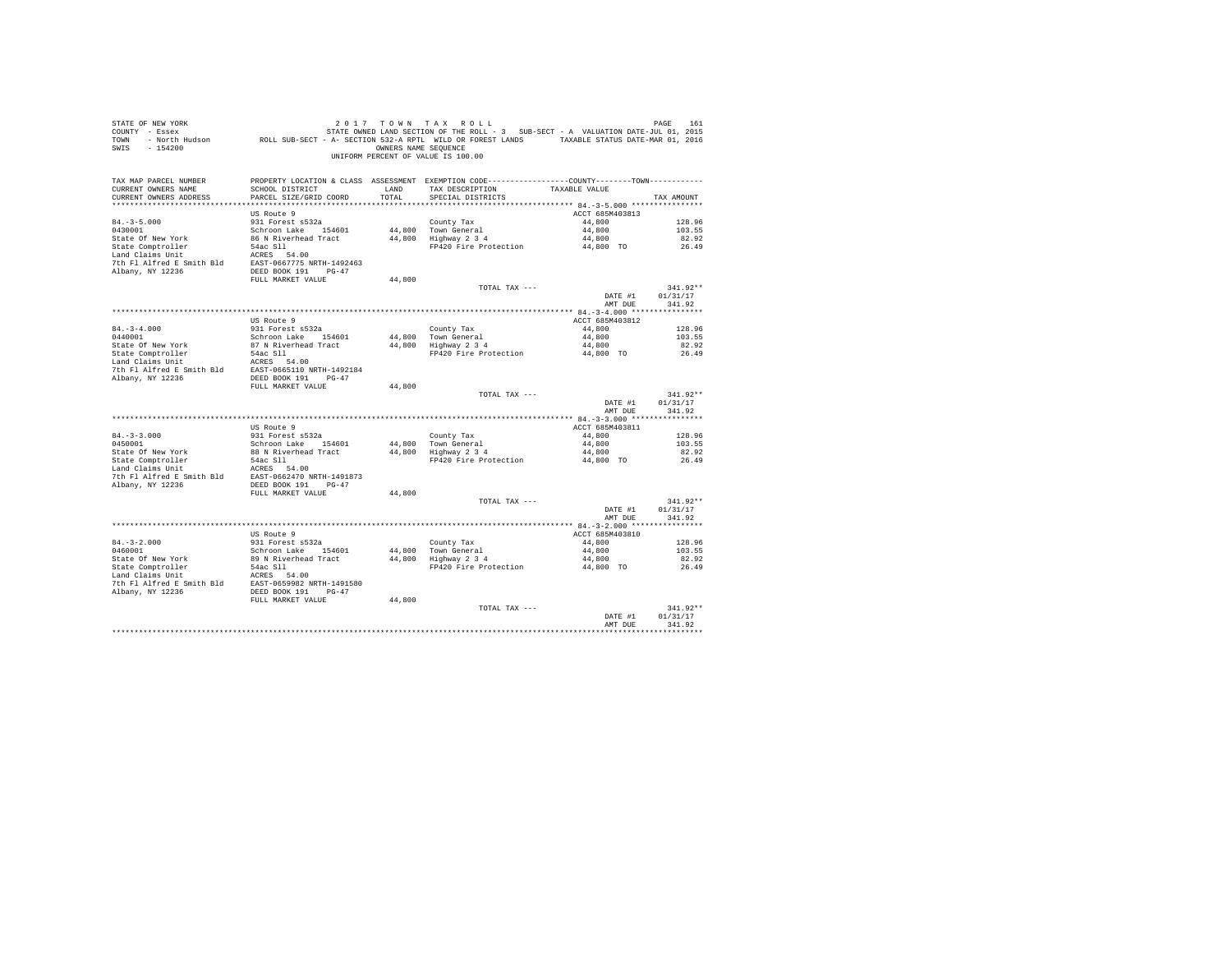| PAGE<br>161 |                           | 2017 TOWN TAX ROLL                                                                           |               | SING THE TREE TO WE ARE TO A TRIX ROLL - 3 SUB-SECT - A VALUATION DATE-JUL 01, 2015<br>COUNTY - Essex Monte-Jul 01, 2015<br>TOWN - North Hudson ROLL SUB-SECT - A- SECTION 532-A RPTL WILD OR FOREST LANDS TAXABLE STATUS DATE-MAR 0 | STATE OF NEW YORK                             |
|-------------|---------------------------|----------------------------------------------------------------------------------------------|---------------|--------------------------------------------------------------------------------------------------------------------------------------------------------------------------------------------------------------------------------------|-----------------------------------------------|
|             |                           | OWNERS NAME SEQUENCE                                                                         |               |                                                                                                                                                                                                                                      | SWIS - 154200                                 |
|             |                           | UNIFORM PERCENT OF VALUE IS 100.00                                                           |               |                                                                                                                                                                                                                                      |                                               |
|             |                           | PROPERTY LOCATION & CLASS ASSESSMENT EXEMPTION CODE---------------COUNTY-------TOWN--------- |               |                                                                                                                                                                                                                                      | TAX MAP PARCEL NUMBER                         |
| TAX AMOUNT  | TAXABLE VALUE             | TAX DESCRIPTION<br>SPECIAL DISTRICTS                                                         | LAND<br>TOTAL | SCHOOL DISTRICT<br>PARCEL SIZE/GRID COORD                                                                                                                                                                                            | CURRENT OWNERS NAME<br>CURRENT OWNERS ADDRESS |
|             |                           |                                                                                              |               |                                                                                                                                                                                                                                      |                                               |
|             | ACCT 685M403813           |                                                                                              |               | US Route 9                                                                                                                                                                                                                           |                                               |
| 128.96      | 44,800                    | County Tax                                                                                   |               | 931 Forest s532a                                                                                                                                                                                                                     | $84. - 3 - 5.000$                             |
| 103.55      | 44,800                    | 44.800 Town General                                                                          |               | Schroon Lake 154601                                                                                                                                                                                                                  | 0430001                                       |
| 82.92       | 44,800                    | 44,800 Highway 2 3 4                                                                         |               | 86 N Riverhead Tract<br>$54ac$ Sll $\sim$                                                                                                                                                                                            | State Of New York                             |
| 26.49       | 44,800 TO                 | FP420 Fire Protection                                                                        |               | ACRES 54.00                                                                                                                                                                                                                          | State Comptroller<br>Land Claims Unit         |
|             |                           |                                                                                              |               | EAST-0667775 NRTH-1492463                                                                                                                                                                                                            | 7th Fl Alfred E Smith Bld                     |
|             |                           |                                                                                              |               | DEED BOOK 191 PG-47                                                                                                                                                                                                                  | Albany, NY 12236                              |
|             |                           |                                                                                              | 44,800        | FULL MARKET VALUE                                                                                                                                                                                                                    |                                               |
| $341.92**$  |                           | TOTAL TAX ---                                                                                |               |                                                                                                                                                                                                                                      |                                               |
| 01/31/17    | DATE #1                   |                                                                                              |               |                                                                                                                                                                                                                                      |                                               |
| 341.92      | AMT DUE                   |                                                                                              |               |                                                                                                                                                                                                                                      |                                               |
|             |                           |                                                                                              |               | US Route 9                                                                                                                                                                                                                           |                                               |
| 128.96      | ACCT 685M403812<br>44,800 | County Tax                                                                                   |               | 931 Forest s532a                                                                                                                                                                                                                     | $84. - 3 - 4.000$                             |
| 103.55      | 44,800                    | 44,800 Town General                                                                          |               | Schroon Lake 154601                                                                                                                                                                                                                  | 0440001                                       |
| 82.92       | 44,800                    | 44.800 Highway 2 3 4                                                                         |               | 87 N Riverhead Tract                                                                                                                                                                                                                 | State Of New York                             |
| 26.49       | 44,800 TO                 | FP420 Fire Protection                                                                        |               |                                                                                                                                                                                                                                      |                                               |
|             |                           |                                                                                              |               | 54ac Sll<br>ACRES 54.00                                                                                                                                                                                                              | State Comptroller<br>Land Claims Unit         |
|             |                           |                                                                                              |               | 7th Fl Alfred E Smith Bld EAST-0665110 NRTH-1492184                                                                                                                                                                                  |                                               |
|             |                           |                                                                                              |               | DEED BOOK 191 PG-47                                                                                                                                                                                                                  | Albany, NY 12236                              |
| $341.92**$  |                           | TOTAL TAX ---                                                                                | 44,800        | FULL MARKET VALUE                                                                                                                                                                                                                    |                                               |
| 01/31/17    | DATE #1                   |                                                                                              |               |                                                                                                                                                                                                                                      |                                               |
| 341.92      | AMT DUE                   |                                                                                              |               |                                                                                                                                                                                                                                      |                                               |
|             | ACCT 685M403811           |                                                                                              |               | US Route 9                                                                                                                                                                                                                           |                                               |
| 128.96      | 44,800                    | County Tax                                                                                   |               | 931 Forest s532a                                                                                                                                                                                                                     | $84. - 3 - 3.000$                             |
| 103.55      | 44,800                    | 44,800 Town General                                                                          |               | Schroon Lake 154601                                                                                                                                                                                                                  | 0450001                                       |
| 82.92       | 44,800                    | 44,800 Highway 2 3 4                                                                         |               | 88 N Riverhead Tract                                                                                                                                                                                                                 | State Of New York                             |
| 26.49       | 44,800 TO                 | FP420 Fire Protection                                                                        |               |                                                                                                                                                                                                                                      | State Comptroller                             |
|             |                           |                                                                                              |               | 54ac Sll<br>ACRES 54.00                                                                                                                                                                                                              | Land Claims Unit                              |
|             |                           |                                                                                              |               | 7th Fl Alfred E Smith Bld EAST-0662470 NRTH-1491873                                                                                                                                                                                  |                                               |
|             |                           |                                                                                              |               | DEED BOOK 191 PG-47                                                                                                                                                                                                                  | Albany, NY 12236                              |
| $341.92**$  |                           | TOTAL TAX ---                                                                                | 44,800        | FULL MARKET VALUE                                                                                                                                                                                                                    |                                               |
| 01/31/17    | DATE #1                   |                                                                                              |               |                                                                                                                                                                                                                                      |                                               |
| 341.92      | AMT DUE                   |                                                                                              |               |                                                                                                                                                                                                                                      |                                               |
|             |                           |                                                                                              |               |                                                                                                                                                                                                                                      |                                               |
|             | ACCT 685M403810           |                                                                                              |               | US Route 9                                                                                                                                                                                                                           |                                               |
| 128.96      | 44,800                    | County Tax                                                                                   |               | 931 Forest s532a                                                                                                                                                                                                                     | $84. - 3 - 2.000$                             |
| 103.55      | 44,800                    | $44,800$ Town General                                                                        |               | Schroon Lake 154601                                                                                                                                                                                                                  | 0460001                                       |
| 82.92       | 44,800                    | 44,800 Highway 2 3 4                                                                         |               | 89 N Riverhead Tract                                                                                                                                                                                                                 | State Of New York                             |
| 26.49       | 44,800 TO                 | FP420 Fire Protection                                                                        |               | 54ac Sll and the Sea of the Sea of the Sea of the Sea of the Sea of the Sea of the Sea of the Sea of the Sea o<br>ACRES 54.00                                                                                                        | State Comptroller<br>Land Claims Unit         |
|             |                           |                                                                                              |               | 7th Fl Alfred E Smith Bld EAST-0659982 NRTH-1491580                                                                                                                                                                                  |                                               |
|             |                           |                                                                                              |               | DEED BOOK 191 PG-47                                                                                                                                                                                                                  | Albany, NY 12236                              |
|             |                           |                                                                                              | 44,800        | FULL MARKET VALUE                                                                                                                                                                                                                    |                                               |
| $341.92**$  |                           | TOTAL TAX ---                                                                                |               |                                                                                                                                                                                                                                      |                                               |
| 01/31/17    | DATE #1                   |                                                                                              |               |                                                                                                                                                                                                                                      |                                               |
| 341.92      | AMT DUE                   |                                                                                              |               |                                                                                                                                                                                                                                      |                                               |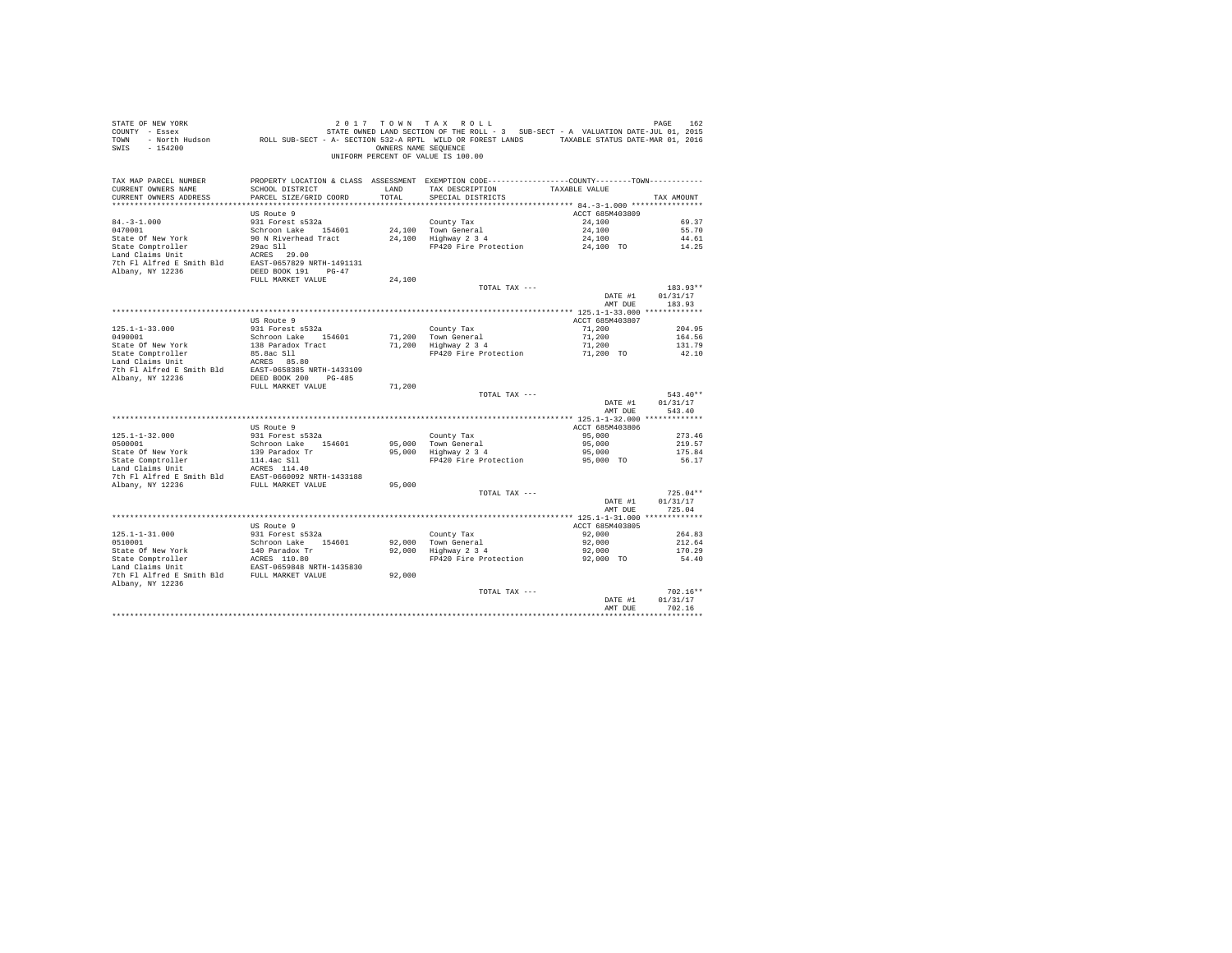| STATE OF NEW YORK<br>SWIS - 154200                                                                   |                                         | OWNERS NAME SEQUENCE | 2017 TOWN TAX ROLL<br>UNIFORM PERCENT OF VALUE IS 100.00                                                          |                           | PAGE<br>162           |
|------------------------------------------------------------------------------------------------------|-----------------------------------------|----------------------|-------------------------------------------------------------------------------------------------------------------|---------------------------|-----------------------|
| TAX MAP PARCEL NUMBER<br>CURRENT OWNERS NAME                                                         | SCHOOL DISTRICT                         | LAND                 | PROPERTY LOCATION & CLASS ASSESSMENT EXEMPTION CODE----------------COUNTY-------TOWN----------<br>TAX DESCRIPTION | TAXABLE VALUE             |                       |
| CURRENT OWNERS ADDRESS                                                                               | PARCEL SIZE/GRID COORD                  | TOTAL                | SPECIAL DISTRICTS                                                                                                 |                           | TAX AMOUNT            |
|                                                                                                      |                                         |                      |                                                                                                                   |                           |                       |
| $84. - 3 - 1.000$                                                                                    | US Route 9<br>931 Forest s532a          |                      |                                                                                                                   | ACCT 685M403809<br>24,100 | 69.37                 |
| 0470001                                                                                              | Schroon Lake 154601                     |                      | County Tax                                                                                                        | 24,100                    | 55.70                 |
| State Of New York                                                                                    | 90 N Riverhead Tract                    |                      | 24,100 Town General<br>24,100 Highway 2 3 4                                                                       | 24,100                    | 44.61                 |
| State Comptroller                                                                                    | 29ac Sll 2003                           |                      | FP420 Fire Protection                                                                                             | 24,100 TO                 | 14.25                 |
| Land Claims Unit                                                                                     | ACRES 29.00                             |                      |                                                                                                                   |                           |                       |
| 7th Fl Alfred E Smith Bld EAST-0657829 NRTH-1491131                                                  |                                         |                      |                                                                                                                   |                           |                       |
| Albany, NY 12236                                                                                     | DEED BOOK 191 PG-47                     |                      |                                                                                                                   |                           |                       |
|                                                                                                      | FULL MARKET VALUE                       | 24,100               |                                                                                                                   |                           |                       |
|                                                                                                      |                                         |                      | TOTAL TAX ---                                                                                                     |                           | $183.93**$            |
|                                                                                                      |                                         |                      |                                                                                                                   | DATE #1<br>AMT DUE        | 01/31/17<br>183.93    |
|                                                                                                      |                                         |                      |                                                                                                                   |                           |                       |
|                                                                                                      | US Route 9                              |                      |                                                                                                                   | ACCT 685M403807           |                       |
| $125.1 - 1 - 33.000$                                                                                 | 931 Forest s532a                        |                      | County Tax                                                                                                        | 71,200                    | 204.95                |
| 0490001                                                                                              | Schroon Lake 154601                     |                      | 71,200 Town General                                                                                               | 71,200                    | 164.56                |
| State Of New York                                                                                    | 138 Paradox Tract                       |                      | 71,200 Highway 2 3 4                                                                                              | 71,200                    | 131.79                |
| State Comptroller<br>Land Claims Unit                                                                | 85.8ac Sll                              |                      | FP420 Fire Protection                                                                                             | 71,200 TO                 | 42.10                 |
|                                                                                                      |                                         |                      |                                                                                                                   |                           |                       |
|                                                                                                      |                                         |                      |                                                                                                                   |                           |                       |
|                                                                                                      | FULL MARKET VALUE                       | 71,200               |                                                                                                                   |                           |                       |
|                                                                                                      |                                         |                      | TOTAL TAX ---                                                                                                     |                           | $543.40**$            |
|                                                                                                      |                                         |                      |                                                                                                                   | DATE #1                   | 01/31/17              |
|                                                                                                      |                                         |                      |                                                                                                                   | AMT DUE                   | 543.40                |
|                                                                                                      |                                         |                      |                                                                                                                   |                           |                       |
|                                                                                                      | US Route 9                              |                      |                                                                                                                   | ACCT 685M403806           |                       |
| $125.1 - 1 - 32.000$                                                                                 | 931 Forest s532a                        |                      | County Tax                                                                                                        | 95,000                    | 273.46                |
| 0500001                                                                                              | Schroon Lake 154601                     |                      | 95,000 Town General<br>95,000   Town Generai<br>95,000   Highway 2 3 4                                            | 95,000                    | 219.57                |
| State Of New York                                                                                    | 139 Paradox Tr                          |                      | FP420 Fire Protection                                                                                             | 95,000<br>95,000 TO       | 175.84<br>56.17       |
| State Comptroller 114.4ac Sll<br>Land Claims Unit 12.4ac 2114.40                                     | ACRES 114.40                            |                      |                                                                                                                   |                           |                       |
|                                                                                                      |                                         |                      |                                                                                                                   |                           |                       |
| 7th Fl Alfred E Smith Bld $$\tt EAST-0660092$ NRTH-1433188 Albany, NY 12236 $$\tt FULL$ MARKET VALUE |                                         | 95,000               |                                                                                                                   |                           |                       |
|                                                                                                      |                                         |                      | TOTAL TAX ---                                                                                                     |                           | $725.04**$            |
|                                                                                                      |                                         |                      |                                                                                                                   | DATE #1                   | 01/31/17              |
|                                                                                                      |                                         |                      |                                                                                                                   | AMT DUE                   | 725.04                |
|                                                                                                      |                                         |                      |                                                                                                                   |                           |                       |
|                                                                                                      | US Route 9                              |                      |                                                                                                                   | ACCT 685M403805           |                       |
| $125.1 - 1 - 31.000$<br>0510001                                                                      | 931 Forest s532a<br>Schroon Lake 154601 |                      | County Tax<br>county rax<br>92,000 Town General<br>92,000 Highway 2 3 4                                           | 92,000<br>92,000          | 264.83<br>212.64      |
|                                                                                                      |                                         |                      |                                                                                                                   | 92,000                    | 170.29                |
|                                                                                                      |                                         |                      | FP420 Fire Protection                                                                                             | 92,000 TO                 | 54.40                 |
|                                                                                                      |                                         |                      |                                                                                                                   |                           |                       |
|                                                                                                      |                                         | 92,000               |                                                                                                                   |                           |                       |
| Albany, NY 12236                                                                                     |                                         |                      |                                                                                                                   |                           |                       |
|                                                                                                      |                                         |                      | TOTAL TAX ---                                                                                                     |                           | $702.16**$            |
|                                                                                                      |                                         |                      |                                                                                                                   | DATE #1                   | 01/31/17              |
|                                                                                                      |                                         |                      |                                                                                                                   | AMT DUE                   | 702.16<br>*********** |
|                                                                                                      |                                         |                      |                                                                                                                   |                           |                       |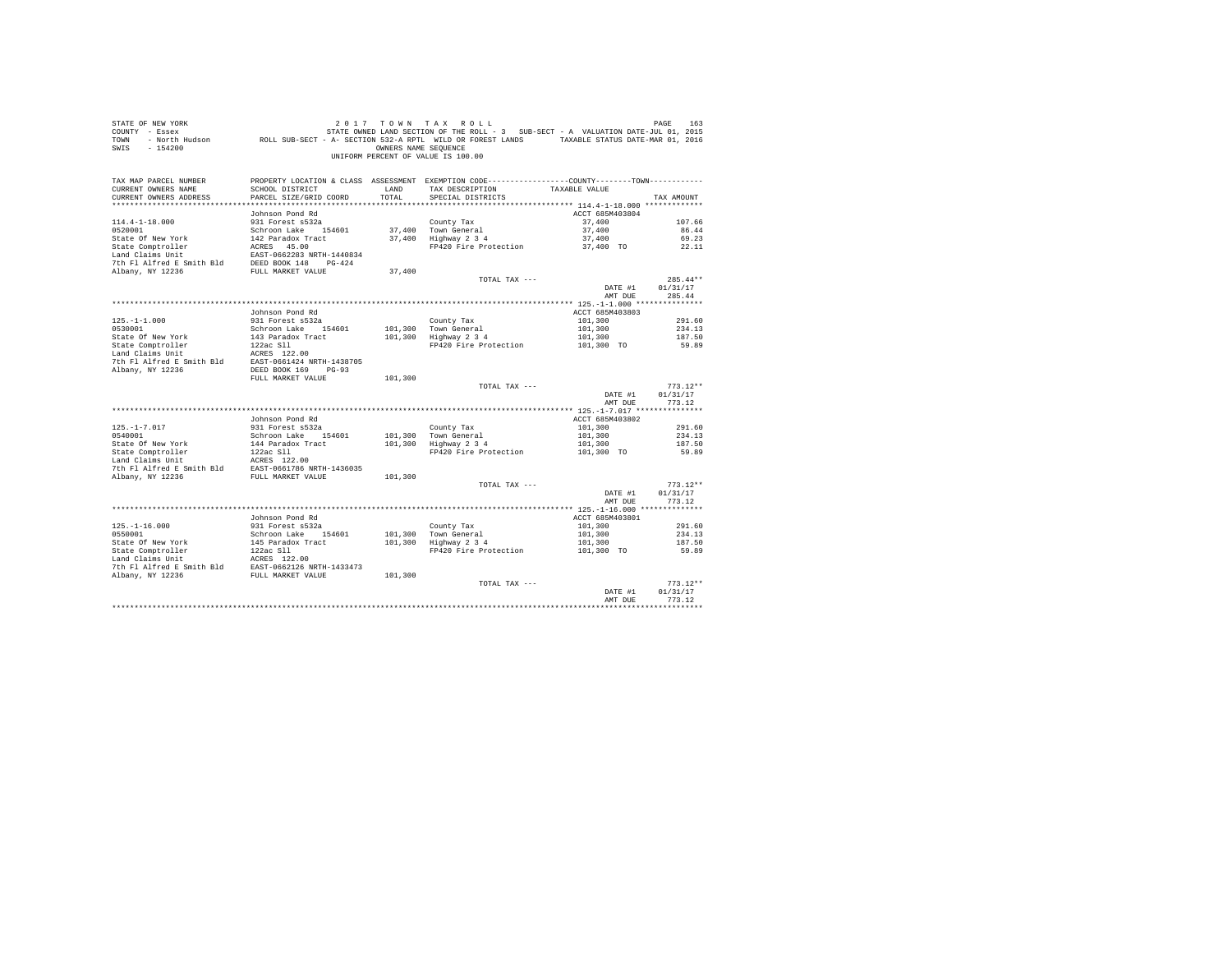| STATE OF NEW YORK<br>COUNTY - Essex<br>TOWN<br>$-154200$<br>SWIS |                                           | OWNERS NAME SEQUENCE | 2017 TOWN TAX ROLL<br>STATE OWNED LAND SECTION OF THE ROLL - 3 SUB-SECT - A VALUATION DATE-JUL 01, 2015<br>- North Hudson ROLL SUB-SECT - A- SECTION 532-A RPTL WILD OR FOREST LANDS TAXABLE STATUS DATE-MAR 01, 2016<br>UNIFORM PERCENT OF VALUE IS 100.00 |                       | PAGE<br>163        |
|------------------------------------------------------------------|-------------------------------------------|----------------------|-------------------------------------------------------------------------------------------------------------------------------------------------------------------------------------------------------------------------------------------------------------|-----------------------|--------------------|
| TAX MAP PARCEL NUMBER                                            |                                           |                      | PROPERTY LOCATION & CLASS ASSESSMENT EXEMPTION CODE----------------COUNTY-------TOWN----------                                                                                                                                                              |                       |                    |
| CURRENT OWNERS NAME<br>CURRENT OWNERS ADDRESS                    | SCHOOL DISTRICT<br>PARCEL SIZE/GRID COORD | LAND<br>TOTAL        | TAX DESCRIPTION<br>SPECIAL DISTRICTS                                                                                                                                                                                                                        | TAXABLE VALUE         | TAX AMOUNT         |
|                                                                  |                                           |                      |                                                                                                                                                                                                                                                             |                       |                    |
|                                                                  | Johnson Pond Rd                           |                      |                                                                                                                                                                                                                                                             | ACCT 685M403804       |                    |
| $114.4 - 1 - 18.000$                                             | 931 Forest s532a                          |                      | County Tax                                                                                                                                                                                                                                                  | 37,400                | 107.66             |
| 0520001                                                          | Schroon Lake 154601                       |                      | 37,400 Town General                                                                                                                                                                                                                                         | 37,400                | 86.44              |
| State Of New York                                                | 142 Paradox Tract                         | 37,400               | Highway 2 3 4                                                                                                                                                                                                                                               | 37,400                | 69.23              |
| State Comptroller                                                | ACRES 45.00                               |                      | FP420 Fire Protection                                                                                                                                                                                                                                       | 37,400 TO             | 22.11              |
| Land Claims Unit                                                 | EAST-0662283 NRTH-1440834                 |                      |                                                                                                                                                                                                                                                             |                       |                    |
| 7th Fl Alfred E Smith Bld                                        | DEED BOOK 148 PG-424                      |                      |                                                                                                                                                                                                                                                             |                       |                    |
| Albany, NY 12236                                                 | FULL MARKET VALUE                         | 37,400               |                                                                                                                                                                                                                                                             |                       |                    |
|                                                                  |                                           |                      | TOTAL TAX ---                                                                                                                                                                                                                                               |                       | $285.44**$         |
|                                                                  |                                           |                      |                                                                                                                                                                                                                                                             | DATE #1<br>AMT DUE    | 01/31/17<br>285.44 |
|                                                                  |                                           |                      |                                                                                                                                                                                                                                                             |                       |                    |
|                                                                  | Johnson Pond Rd                           |                      |                                                                                                                                                                                                                                                             | ACCT 685M403803       |                    |
| $125. - 1 - 1.000$                                               | 931 Forest s532a                          |                      | County Tax                                                                                                                                                                                                                                                  | 101,300               | 291.60             |
| 0530001                                                          | Schroon Lake 154601                       | 101,300              | Town General                                                                                                                                                                                                                                                | 101,300               | 234.13             |
| State Of New York                                                | 143 Paradox Tract                         | 101,300              | rown General<br>Highway 2 3 4                                                                                                                                                                                                                               | 101,300               | 187.50             |
| State Comptroller                                                | $122ac$ Sll                               |                      | FP420 Fire Protection                                                                                                                                                                                                                                       | 101,300 TO            | 59.89              |
| Land Claims Unit                                                 | ACRES 122.00                              |                      |                                                                                                                                                                                                                                                             |                       |                    |
| 7th Fl Alfred E Smith Bld                                        | EAST-0661424 NRTH-1438705                 |                      |                                                                                                                                                                                                                                                             |                       |                    |
| Albany, NY 12236                                                 | DEED BOOK 169 PG-93<br>FULL MARKET VALUE  | 101,300              |                                                                                                                                                                                                                                                             |                       |                    |
|                                                                  |                                           |                      | TOTAL TAX ---                                                                                                                                                                                                                                               |                       | $773.12**$         |
|                                                                  |                                           |                      |                                                                                                                                                                                                                                                             | DATE #1               | 01/31/17           |
|                                                                  |                                           |                      |                                                                                                                                                                                                                                                             | AMT DUE               | 773.12             |
|                                                                  |                                           |                      |                                                                                                                                                                                                                                                             |                       |                    |
|                                                                  | Johnson Pond Rd                           |                      |                                                                                                                                                                                                                                                             | ACCT 685M403802       |                    |
| $125. - 1 - 7.017$                                               | 931 Forest s532a                          |                      | County Tax                                                                                                                                                                                                                                                  | 101,300               | 291.60             |
| 0540001                                                          | Schroon Lake 154601                       | 101,300              | Town General                                                                                                                                                                                                                                                | 101,300               | 234.13<br>187.50   |
| State Of New York<br>State Comptroller                           | 144 Paradox Tract<br>122ac Sll            | 101,300              | Highway 2 3 4<br>FP420 Fire Protection                                                                                                                                                                                                                      | 101,300<br>101,300 TO | 59.89              |
| Land Claims Unit                                                 | ACRES 122.00                              |                      |                                                                                                                                                                                                                                                             |                       |                    |
| 7th Fl Alfred E Smith Bld                                        | EAST-0661786 NRTH-1436035                 |                      |                                                                                                                                                                                                                                                             |                       |                    |
| Albany, NY 12236                                                 | FULL MARKET VALUE                         | 101,300              |                                                                                                                                                                                                                                                             |                       |                    |
|                                                                  |                                           |                      | TOTAL TAX ---                                                                                                                                                                                                                                               |                       | $773.12**$         |
|                                                                  |                                           |                      |                                                                                                                                                                                                                                                             | DATE #1               | 01/31/17           |
|                                                                  |                                           |                      |                                                                                                                                                                                                                                                             | AMT DUE               | 773.12             |
|                                                                  | Johnson Pond Rd                           |                      |                                                                                                                                                                                                                                                             | ACCT 685M403801       |                    |
| $125. - 1 - 16.000$                                              | 931 Forest s532a                          |                      | County Tax                                                                                                                                                                                                                                                  | 101,300               | 291.60             |
| 0550001                                                          | Schroon Lake 154601                       | 101,300              |                                                                                                                                                                                                                                                             | 101,300               | 234.13             |
| State Of New York                                                | 145 Paradox Tract                         | 101,300              | Town General<br>Highway 2 3 4                                                                                                                                                                                                                               | 101,300               | 187.50             |
| State Comptroller                                                | 122ac Sll                                 |                      | FP420 Fire Protection                                                                                                                                                                                                                                       | 101,300 TO            | 59.89              |
| Land Claims Unit                                                 | ACRES 122.00                              |                      |                                                                                                                                                                                                                                                             |                       |                    |
| 7th Fl Alfred E Smith Bld                                        | EAST-0662126 NRTH-1433473                 |                      |                                                                                                                                                                                                                                                             |                       |                    |
| Albany, NY 12236                                                 | FULL MARKET VALUE                         | 101,300              |                                                                                                                                                                                                                                                             |                       |                    |
|                                                                  |                                           |                      | TOTAL TAX ---                                                                                                                                                                                                                                               |                       | $773.12**$         |
|                                                                  |                                           |                      |                                                                                                                                                                                                                                                             | DATE #1<br>AMT DUE    | 01/31/17<br>773.12 |
|                                                                  |                                           |                      |                                                                                                                                                                                                                                                             |                       | *********          |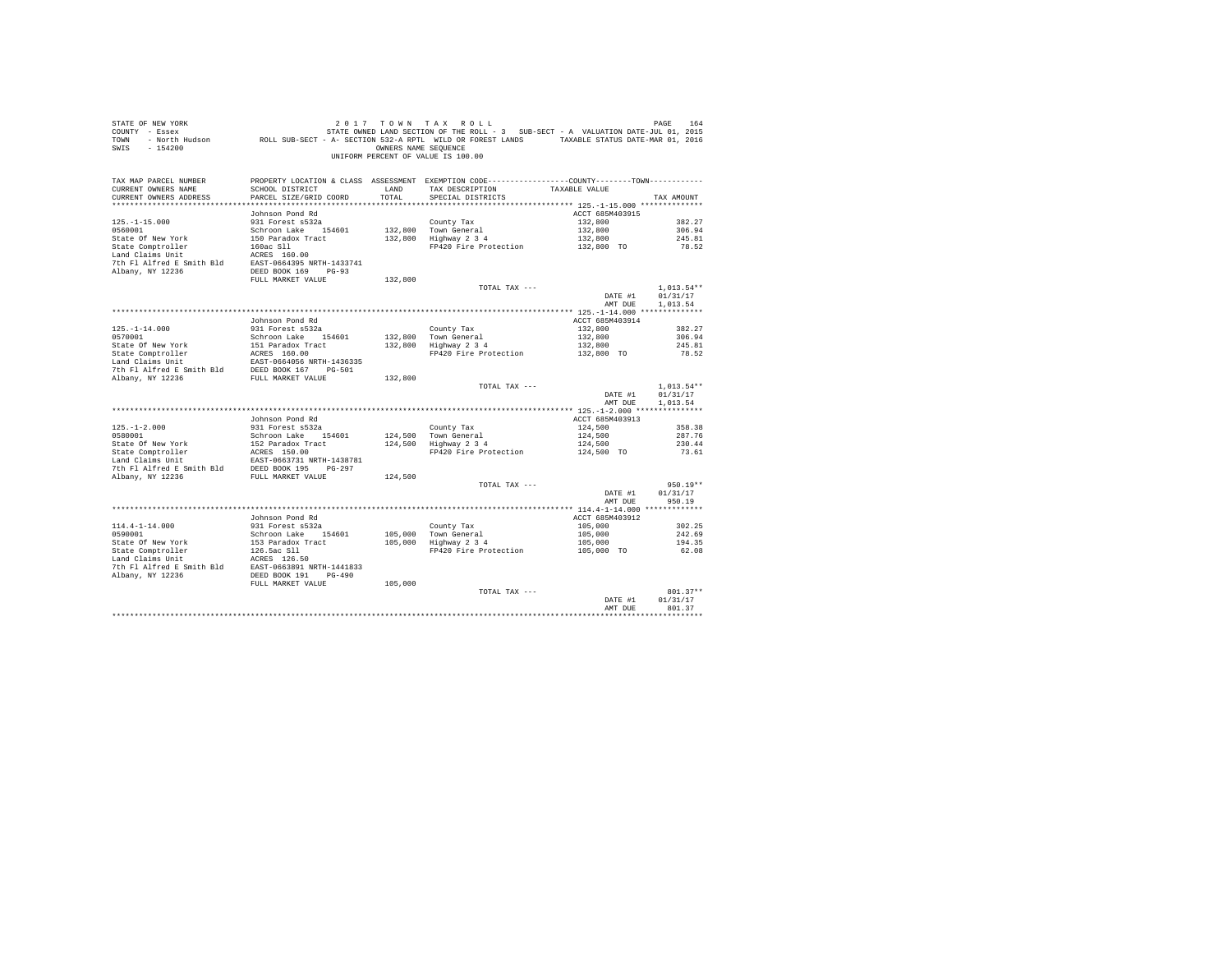| STATE OF NEW YORK<br>$-154200$<br>SWIS                                               |                                         | OWNERS NAME SEQUENCE | 2017 TOWN TAX ROLL<br>UNIFORM PERCENT OF VALUE IS 100.00                                                          |                            | PAGE<br>164            |
|--------------------------------------------------------------------------------------|-----------------------------------------|----------------------|-------------------------------------------------------------------------------------------------------------------|----------------------------|------------------------|
| TAX MAP PARCEL NUMBER<br>CURRENT OWNERS NAME                                         | SCHOOL DISTRICT                         | LAND                 | PROPERTY LOCATION & CLASS ASSESSMENT EXEMPTION CODE----------------COUNTY-------TOWN----------<br>TAX DESCRIPTION | TAXABLE VALUE              |                        |
| CURRENT OWNERS ADDRESS                                                               | PARCEL SIZE/GRID COORD                  | TOTAL                | SPECIAL DISTRICTS                                                                                                 |                            | TAX AMOUNT             |
|                                                                                      |                                         |                      |                                                                                                                   |                            |                        |
|                                                                                      | Johnson Pond Rd                         |                      |                                                                                                                   | ACCT 685M403915            |                        |
| $125. - 1 - 15.000$                                                                  | 931 Forest s532a                        |                      | County Tax                                                                                                        | 132,800                    | 382.27                 |
| 0560001                                                                              | Schroon Lake 154601                     |                      | 132,800 Town General<br>Highway 2 3 4                                                                             | 132,800                    | 306.94                 |
| State Of New York<br>State Comptroller                                               | 150 Paradox Tract<br>160ac Sll          | 132,800              | FP420 Fire Protection                                                                                             | 132,800<br>132,800 TO      | 245.81<br>78.52        |
| Land Claims Unit                                                                     | ACRES 160.00                            |                      |                                                                                                                   |                            |                        |
| 7th Fl Alfred E Smith Bld EAST-0664395 NRTH-1433741                                  |                                         |                      |                                                                                                                   |                            |                        |
| Albany, NY 12236                                                                     | DEED BOOK 169 PG-93                     |                      |                                                                                                                   |                            |                        |
|                                                                                      | FULL MARKET VALUE                       | 132,800              |                                                                                                                   |                            |                        |
|                                                                                      |                                         |                      | TOTAL TAX ---                                                                                                     |                            | $1,013.54**$           |
|                                                                                      |                                         |                      |                                                                                                                   | DATE #1                    | 01/31/17               |
|                                                                                      |                                         |                      |                                                                                                                   | AMT DUE                    | 1,013.54               |
|                                                                                      |                                         |                      |                                                                                                                   |                            |                        |
|                                                                                      | Johnson Pond Rd                         |                      |                                                                                                                   | ACCT 685M403914<br>132,800 | 382.27                 |
| $125. - 1 - 14.000$<br>0570001                                                       | 931 Forest s532a<br>Schroon Lake 154601 |                      | County Tax<br>132,800 Town General                                                                                | 132,800                    | 306.94                 |
| State Of New York                                                                    | 151 Paradox Tract                       |                      | 132,800 Highway 2 3 4                                                                                             | 132,800                    | 245.81                 |
|                                                                                      | ACRES 160.00                            |                      | FP420 Fire Protection                                                                                             | 132,800 TO                 | 78.52                  |
| State Comptroller<br>Land Claims Unit                                                | EAST-0664056 NRTH-1436335               |                      |                                                                                                                   |                            |                        |
| 7th Fl Alfred E Smith Bld DEED BOOK 167 PG-501<br>Albany, NY 12236 FULL MARKET VALUE |                                         |                      |                                                                                                                   |                            |                        |
|                                                                                      |                                         | 132,800              |                                                                                                                   |                            |                        |
|                                                                                      |                                         |                      | TOTAL TAX ---                                                                                                     |                            | $1.013.54**$           |
|                                                                                      |                                         |                      |                                                                                                                   | DATE #1                    | 01/31/17<br>1.013.54   |
|                                                                                      |                                         |                      |                                                                                                                   | AMT DUE                    |                        |
|                                                                                      | Johnson Pond Rd                         |                      |                                                                                                                   | ACCT 685M403913            |                        |
| $125. - 1 - 2.000$                                                                   | 931 Forest s532a                        |                      | County Tax                                                                                                        | 124,500                    | 358.38                 |
| 0580001                                                                              | Schroon Lake 154601                     |                      | 124,500 Town General                                                                                              | 124,500                    | 287.76                 |
| State Of New York                                                                    | 152 Paradox Tract                       |                      | $124,500$ Highway $2\frac{3}{4}$                                                                                  | 124,500                    | 230.44                 |
| State Comptroller                                                                    | ACRES 150.00                            |                      | FP420 Fire Protection                                                                                             | 124,500 TO                 | 73.61                  |
| Land Claims Unit                                                                     | EAST-0663731 NRTH-1438781               |                      |                                                                                                                   |                            |                        |
| 7th Fl Alfred E Smith Bld                                                            | DEED BOOK 195 PG-297                    |                      |                                                                                                                   |                            |                        |
| Albany, NY 12236                                                                     | FULL MARKET VALUE                       | 124,500              |                                                                                                                   |                            |                        |
|                                                                                      |                                         |                      | TOTAL TAX ---                                                                                                     | DATE #1                    | $950.19**$<br>01/31/17 |
|                                                                                      |                                         |                      |                                                                                                                   | AMT DUE                    | 950.19                 |
|                                                                                      |                                         |                      |                                                                                                                   |                            |                        |
|                                                                                      | Johnson Pond Rd                         |                      |                                                                                                                   | ACCT 685M403912            |                        |
| $114.4 - 1 - 14.000$                                                                 | 931 Forest s532a                        |                      | County Tax                                                                                                        | 105,000                    | 302.25                 |
| 0590001                                                                              | Schroon Lake 154601                     | 105,000              | Town General                                                                                                      | 105,000                    | 242.69                 |
| State Of New York                                                                    | 153 Paradox Tract                       | 105,000              | $Highway$ 2 3 4                                                                                                   | 105,000                    | 194.35                 |
| State Comptroller                                                                    | 126.5ac Sll                             |                      | FP420 Fire Protection                                                                                             | 105,000 TO                 | 62.08                  |
| Land Claims Unit                                                                     | ACRES 126.50                            |                      |                                                                                                                   |                            |                        |
| 7th Fl Alfred E Smith Bld EAST-0663891 NRTH-1441833<br>Albany, NY 12236              | DEED BOOK 191    PG-490                 |                      |                                                                                                                   |                            |                        |
|                                                                                      | FULL MARKET VALUE                       | 105,000              |                                                                                                                   |                            |                        |
|                                                                                      |                                         |                      | TOTAL TAX ---                                                                                                     |                            | $801.37**$             |
|                                                                                      |                                         |                      |                                                                                                                   | DATE #1                    | 01/31/17               |
|                                                                                      |                                         |                      |                                                                                                                   | AMT DUE                    | 801.37                 |
|                                                                                      |                                         |                      |                                                                                                                   |                            | ***********            |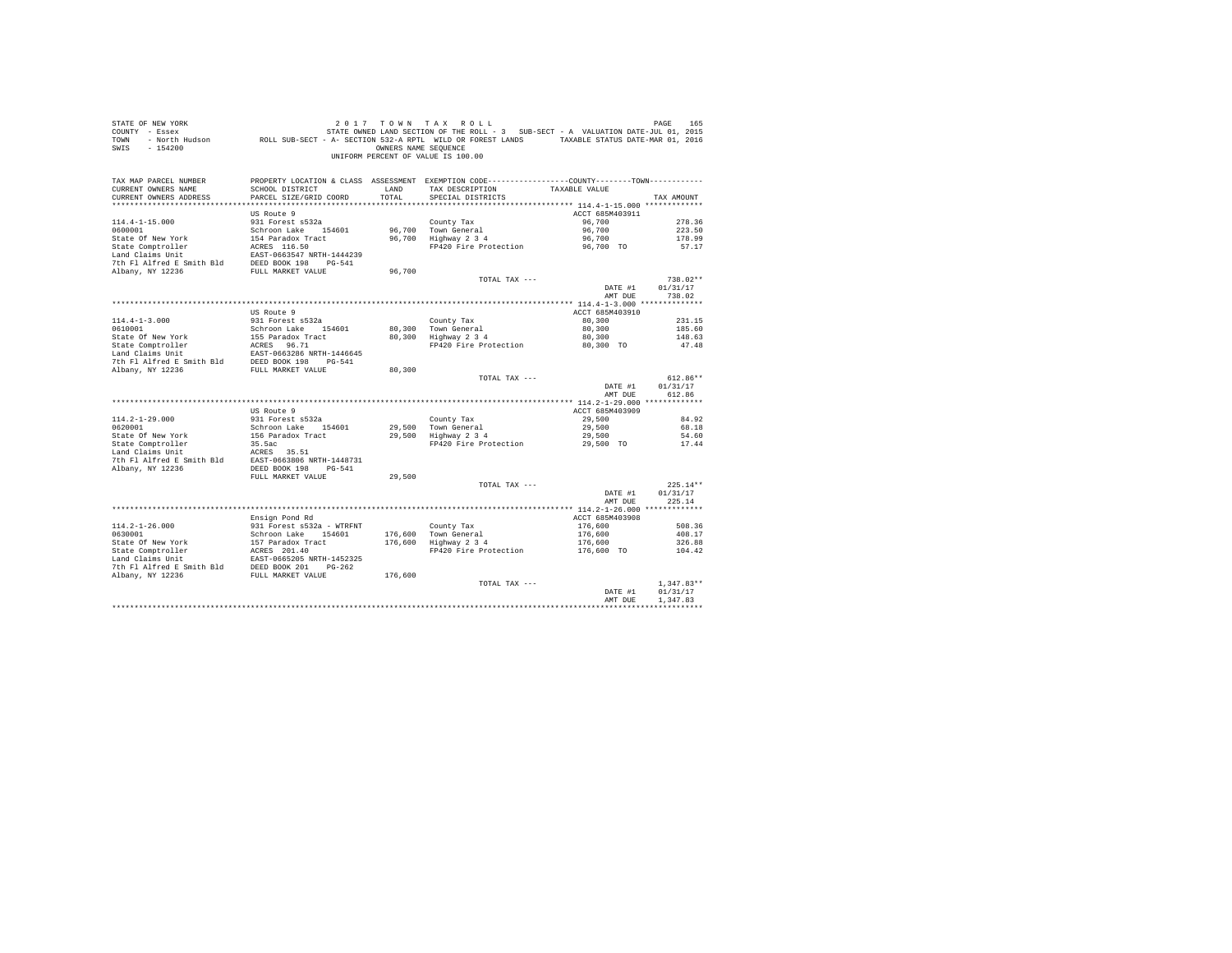| STATE OF NEW YORK<br>COUNTY - Essex<br>TOWN<br>$-154200$<br>SWIS                                                                                                                                                        |                                           | OWNERS NAME SEQUENCE | 2017 TOWN TAX ROLL<br>STATE OWNED LAND SECTION OF THE ROLL - 3 SUB-SECT - A VALUATION DATE-JUL 01, 2015<br>7 - Essex (101, 2015) STATE OWNED LAND SECTION OF THE ROLL - 3 SUB-SECT - A VALUATION DATE-JUL 01, 2015<br>2016 - North Hudson (1, 2016) ROLL SUB-SECT - A- SECTION 532-A RPTL WILD OR FOREST LANDS<br>UNIFORM PERCENT OF VALUE IS 100.00 |                    | PAGE<br>165            |
|-------------------------------------------------------------------------------------------------------------------------------------------------------------------------------------------------------------------------|-------------------------------------------|----------------------|------------------------------------------------------------------------------------------------------------------------------------------------------------------------------------------------------------------------------------------------------------------------------------------------------------------------------------------------------|--------------------|------------------------|
| TAX MAP PARCEL NUMBER                                                                                                                                                                                                   |                                           |                      | PROPERTY LOCATION & CLASS ASSESSMENT EXEMPTION CODE---------------COUNTY-------TOWN----------                                                                                                                                                                                                                                                        |                    |                        |
| CURRENT OWNERS NAME<br>CURRENT OWNERS ADDRESS                                                                                                                                                                           | SCHOOL DISTRICT<br>PARCEL SIZE/GRID COORD | LAND<br>TOTAL        | TAX DESCRIPTION<br>SPECIAL DISTRICTS                                                                                                                                                                                                                                                                                                                 | TAXABLE VALUE      | TAX AMOUNT             |
|                                                                                                                                                                                                                         |                                           |                      |                                                                                                                                                                                                                                                                                                                                                      |                    |                        |
|                                                                                                                                                                                                                         | US Route 9                                |                      |                                                                                                                                                                                                                                                                                                                                                      | ACCT 685M403911    |                        |
| $114.4 - 1 - 15.000$                                                                                                                                                                                                    | 931 Forest s532a                          |                      | County Tax                                                                                                                                                                                                                                                                                                                                           | 96,700             | 278.36                 |
| 0600001                                                                                                                                                                                                                 | Schroon Lake 154601                       |                      |                                                                                                                                                                                                                                                                                                                                                      | 96,700             | 223.50                 |
| State Of New York                                                                                                                                                                                                       | 154 Paradox Tract                         |                      | 96,700 Town General<br>96,700 Highway 2 3 4                                                                                                                                                                                                                                                                                                          | 96,700             | 178.99                 |
| State Comptroller                                                                                                                                                                                                       | ACRES 116.50                              |                      | FP420 Fire Protection                                                                                                                                                                                                                                                                                                                                | 96.700 TO          | 57.17                  |
| Land Claims Unit                                                                                                                                                                                                        | EAST-0663547 NRTH-1444239                 |                      |                                                                                                                                                                                                                                                                                                                                                      |                    |                        |
| 7th Fl Alfred E Smith Bld                                                                                                                                                                                               | DEED BOOK 198 PG-541                      |                      |                                                                                                                                                                                                                                                                                                                                                      |                    |                        |
| Albany, NY 12236                                                                                                                                                                                                        | FULL MARKET VALUE                         | 96,700               |                                                                                                                                                                                                                                                                                                                                                      |                    |                        |
|                                                                                                                                                                                                                         |                                           |                      | TOTAL TAX ---                                                                                                                                                                                                                                                                                                                                        |                    | $738.02**$             |
|                                                                                                                                                                                                                         |                                           |                      |                                                                                                                                                                                                                                                                                                                                                      | DATE #1<br>AMT DUE | 01/31/17<br>738.02     |
|                                                                                                                                                                                                                         |                                           |                      |                                                                                                                                                                                                                                                                                                                                                      |                    |                        |
|                                                                                                                                                                                                                         | US Route 9                                |                      |                                                                                                                                                                                                                                                                                                                                                      | ACCT 685M403910    |                        |
| $114.4 - 1 - 3.000$                                                                                                                                                                                                     | 931 Forest s532a                          |                      | County Tax                                                                                                                                                                                                                                                                                                                                           | 80,300             | 231.15                 |
| 0610001                                                                                                                                                                                                                 | Schroon Lake 154601                       | 80,300               | Town General                                                                                                                                                                                                                                                                                                                                         | 80,300             | 185.60                 |
| State Of New York                                                                                                                                                                                                       | 155 Paradox Tract                         | 80,300               | $Highway$ 2 3 4                                                                                                                                                                                                                                                                                                                                      | 80,300             | 148.63                 |
|                                                                                                                                                                                                                         |                                           |                      | FP420 Fire Protection                                                                                                                                                                                                                                                                                                                                | 80,300 TO          | 47.48                  |
|                                                                                                                                                                                                                         |                                           |                      |                                                                                                                                                                                                                                                                                                                                                      |                    |                        |
| State Comptroller<br>Land Claims Unit<br>Land Claims Unit<br>The PI alfred E Smith Bld<br>DEED BOOK 198<br>The PI alfred E Smith Bld<br>DEED BOOK 198<br>PC-541<br>The PI alfred E Smith Bld<br>DEED BOOK 198<br>PC-541 |                                           |                      |                                                                                                                                                                                                                                                                                                                                                      |                    |                        |
| Albany, NY 12236                                                                                                                                                                                                        | FULL MARKET VALUE                         | 80,300               |                                                                                                                                                                                                                                                                                                                                                      |                    |                        |
|                                                                                                                                                                                                                         |                                           |                      | TOTAL TAX ---                                                                                                                                                                                                                                                                                                                                        |                    | $612.86**$<br>01/31/17 |
|                                                                                                                                                                                                                         |                                           |                      |                                                                                                                                                                                                                                                                                                                                                      | DATE #1<br>AMT DUE | 612.86                 |
|                                                                                                                                                                                                                         |                                           |                      |                                                                                                                                                                                                                                                                                                                                                      |                    |                        |
|                                                                                                                                                                                                                         | US Route 9                                |                      |                                                                                                                                                                                                                                                                                                                                                      | ACCT 685M403909    |                        |
| $114.2 - 1 - 29.000$                                                                                                                                                                                                    | 931 Forest s532a                          |                      | County Tax                                                                                                                                                                                                                                                                                                                                           | 29,500             | 84.92                  |
| 0620001                                                                                                                                                                                                                 | Schroon Lake 154601                       |                      | 29,500 Town General<br>29,500 Highway 2 3 4                                                                                                                                                                                                                                                                                                          | 29,500             | 68.18                  |
| State Of New York                                                                                                                                                                                                       | 156 Paradox Tract                         |                      |                                                                                                                                                                                                                                                                                                                                                      | 29,500             | 54.60                  |
|                                                                                                                                                                                                                         |                                           |                      | FP420 Fire Protection                                                                                                                                                                                                                                                                                                                                | 29,500 TO          | 17.44                  |
| State Comptroller<br>Land Claims Unit MACRES 35.51<br>7th Fl Alfred E Smith Bld EAST-0663806 NRTH-1448731                                                                                                               |                                           |                      |                                                                                                                                                                                                                                                                                                                                                      |                    |                        |
| Albany, NY 12236                                                                                                                                                                                                        | DEED BOOK 198 PG-541                      |                      |                                                                                                                                                                                                                                                                                                                                                      |                    |                        |
|                                                                                                                                                                                                                         | FULL MARKET VALUE                         | 29,500               |                                                                                                                                                                                                                                                                                                                                                      |                    |                        |
|                                                                                                                                                                                                                         |                                           |                      | TOTAL TAX ---                                                                                                                                                                                                                                                                                                                                        |                    | $225.14**$             |
|                                                                                                                                                                                                                         |                                           |                      |                                                                                                                                                                                                                                                                                                                                                      | DATE #1            | 01/31/17               |
|                                                                                                                                                                                                                         |                                           |                      |                                                                                                                                                                                                                                                                                                                                                      | AMT DUE            | 225.14                 |
|                                                                                                                                                                                                                         |                                           |                      |                                                                                                                                                                                                                                                                                                                                                      |                    |                        |
|                                                                                                                                                                                                                         | Ensign Pond Rd                            |                      |                                                                                                                                                                                                                                                                                                                                                      | ACCT 685M403908    |                        |
| $114.2 - 1 - 26.000$                                                                                                                                                                                                    | 931 Forest s532a - WTRFNT                 |                      | County Tax                                                                                                                                                                                                                                                                                                                                           | 176,600            | 508.36                 |
| 0630001                                                                                                                                                                                                                 | Schroon Lake 154601                       |                      | County Tax<br>176,600 Town General<br>176,600 Highway 2 3 4                                                                                                                                                                                                                                                                                          | 176,600            | 408.17                 |
|                                                                                                                                                                                                                         |                                           |                      |                                                                                                                                                                                                                                                                                                                                                      | 176,600            | 326.88                 |
|                                                                                                                                                                                                                         |                                           |                      | FP420 Fire Protection                                                                                                                                                                                                                                                                                                                                | 176,600 TO         | 104.42                 |
|                                                                                                                                                                                                                         |                                           |                      |                                                                                                                                                                                                                                                                                                                                                      |                    |                        |
|                                                                                                                                                                                                                         |                                           | 176,600              |                                                                                                                                                                                                                                                                                                                                                      |                    |                        |
|                                                                                                                                                                                                                         |                                           |                      | TOTAL TAX ---                                                                                                                                                                                                                                                                                                                                        |                    | $1.347.83**$           |
|                                                                                                                                                                                                                         |                                           |                      |                                                                                                                                                                                                                                                                                                                                                      | DATE #1            | 01/31/17               |
|                                                                                                                                                                                                                         |                                           |                      |                                                                                                                                                                                                                                                                                                                                                      | AMT DUE            | 1,347.83               |
|                                                                                                                                                                                                                         |                                           |                      |                                                                                                                                                                                                                                                                                                                                                      |                    |                        |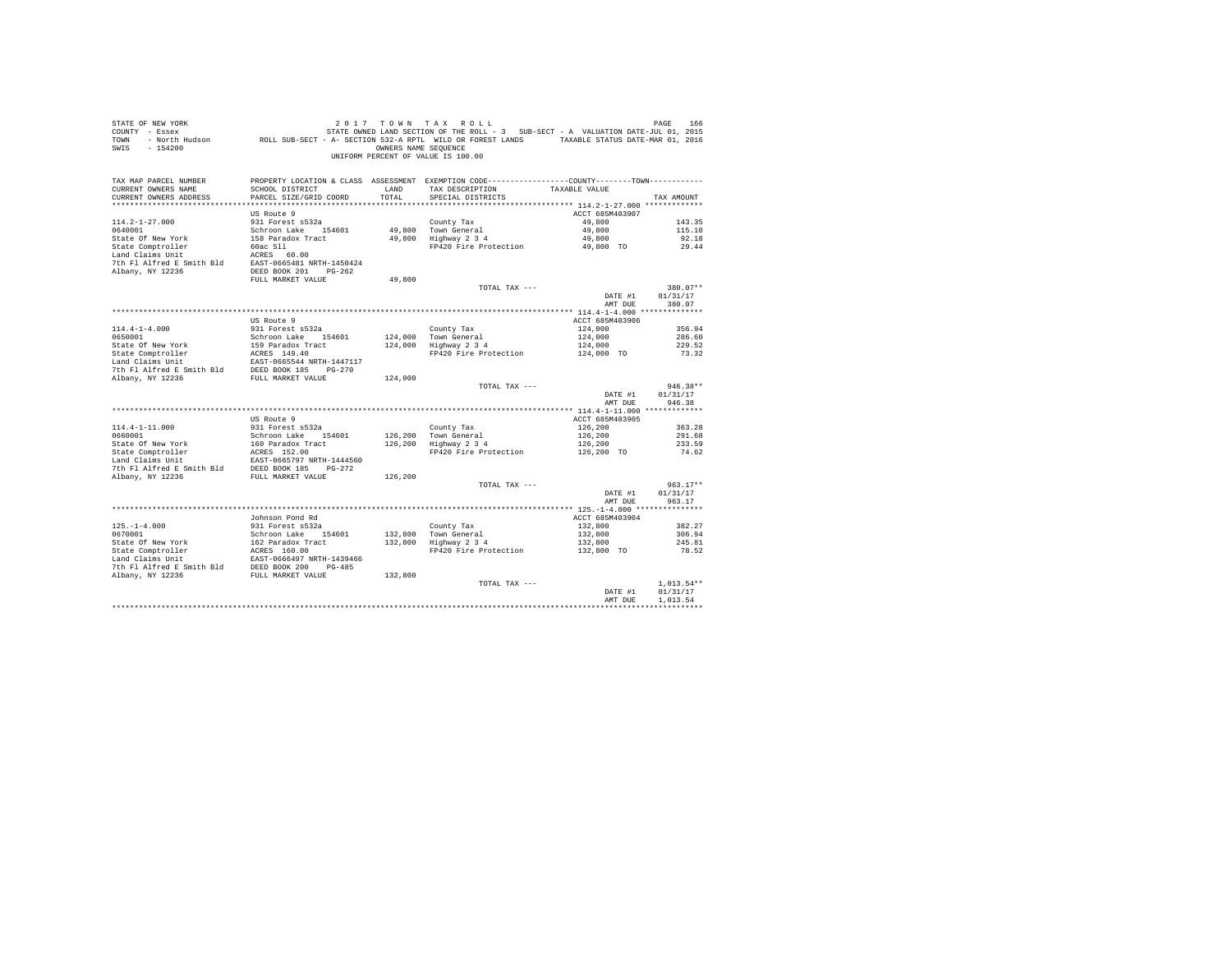| STATE OF NEW YORK<br>STATE OF NEW YORK WARD TO A TAX ROLL - 3 SUB-SECT - A VALUATION DATE-JUL 01, 2015<br>COUNTY - ESSEX<br>TOWN - NOTCH BOLD SUB-SECT - A- SECTION 532-A RPTL WILD OR FOREST LANDS TAXABLE STATUS DATE-JUL 01, 2015<br>SWIS - 154200 |                                                                                              |         | 2017 TOWN TAX ROLL<br>OWNERS NAME SEQUENCE<br>UNIFORM PERCENT OF VALUE IS 100.00 |                            | PAGE<br>166          |
|-------------------------------------------------------------------------------------------------------------------------------------------------------------------------------------------------------------------------------------------------------|----------------------------------------------------------------------------------------------|---------|----------------------------------------------------------------------------------|----------------------------|----------------------|
| TAX MAP PARCEL NUMBER                                                                                                                                                                                                                                 | PROPERTY LOCATION & CLASS ASSESSMENT EXEMPTION CODE---------------COUNTY-------TOWN--------- |         | LAND TAX DESCRIPTION TAXABLE VALUE                                               |                            |                      |
| CURRENT OWNERS NAME<br>CURRENT OWNERS ADDRESS                                                                                                                                                                                                         | SCHOOL DISTRICT<br>PARCEL SIZE/GRID COORD                                                    | TOTAL   | SPECIAL DISTRICTS                                                                |                            | TAX AMOUNT           |
|                                                                                                                                                                                                                                                       |                                                                                              |         |                                                                                  |                            |                      |
|                                                                                                                                                                                                                                                       | US Route 9                                                                                   |         |                                                                                  | ACCT 685M403907            |                      |
| $114.2 - 1 - 27.000$                                                                                                                                                                                                                                  | 931 Forest s532a                                                                             |         | County Tax                                                                       | 49,800                     | 143.35               |
|                                                                                                                                                                                                                                                       |                                                                                              |         | 49,800 Town General                                                              | 49,800                     | 115.10               |
|                                                                                                                                                                                                                                                       |                                                                                              |         | 49,800 Highway 2 3 4                                                             | 49,800                     | 92.18                |
|                                                                                                                                                                                                                                                       |                                                                                              |         | FP420 Fire Protection                                                            | 49,800 TO                  | 29.44                |
| 0640001<br>Schroom Lake 154601<br>State Omptroller 158 Paradox Tract<br>Land Claims Unit 1.1 ACRES 60.00<br>Land Claims Unit 1.1 ACRES 60.00                                                                                                          |                                                                                              |         |                                                                                  |                            |                      |
| For the same state of the same of the same of the same of the same of the same of the same of the same of the same state of the same state of the same state of the same state of the same state of the same state of the same                        |                                                                                              |         |                                                                                  |                            |                      |
|                                                                                                                                                                                                                                                       |                                                                                              |         |                                                                                  |                            |                      |
|                                                                                                                                                                                                                                                       | FULL MARKET VALUE                                                                            | 49,800  |                                                                                  |                            |                      |
|                                                                                                                                                                                                                                                       |                                                                                              |         | TOTAL TAX ---                                                                    |                            | 380.07**             |
|                                                                                                                                                                                                                                                       |                                                                                              |         |                                                                                  | DATE #1                    | 01/31/17             |
|                                                                                                                                                                                                                                                       |                                                                                              |         |                                                                                  | AMT DUE                    | 380.07               |
|                                                                                                                                                                                                                                                       |                                                                                              |         |                                                                                  |                            |                      |
| $114.4 - 1 - 4.000$                                                                                                                                                                                                                                   | US Route 9<br>931 Forest s532a                                                               |         |                                                                                  | ACCT 685M403906<br>124,000 | 356.94               |
| 0650001                                                                                                                                                                                                                                               | Schroon Lake 154601                                                                          |         | County Tax<br>124.000 Town General                                               | 124,000                    | 286.60               |
|                                                                                                                                                                                                                                                       |                                                                                              |         | 124,000 Highway 2 3 4                                                            | 124,000                    | 229.52               |
| State Of New York<br>State Comptroller<br>State Comptroller<br>Land Claims Unit<br>Land Claims Unit<br>CAST-0665544 NRTH-1447117                                                                                                                      |                                                                                              |         | FP420 Fire Protection                                                            | 124,000 TO                 | 73.32                |
|                                                                                                                                                                                                                                                       |                                                                                              |         |                                                                                  |                            |                      |
|                                                                                                                                                                                                                                                       |                                                                                              |         |                                                                                  |                            |                      |
| 7th F1 Alfred E Smith Bld DEED BOOK 185 PG-270<br>Albany, NY 12236 FULL MARKET VALUE                                                                                                                                                                  |                                                                                              | 124,000 |                                                                                  |                            |                      |
|                                                                                                                                                                                                                                                       |                                                                                              |         | TOTAL TAX ---                                                                    |                            | $946.38**$           |
|                                                                                                                                                                                                                                                       |                                                                                              |         |                                                                                  | DATE #1                    | 01/31/17             |
|                                                                                                                                                                                                                                                       |                                                                                              |         |                                                                                  | AMT DUE                    | 946.38               |
|                                                                                                                                                                                                                                                       |                                                                                              |         |                                                                                  |                            |                      |
|                                                                                                                                                                                                                                                       | US Route 9                                                                                   |         |                                                                                  | ACCT 685M403905            |                      |
| $114.4 - 1 - 11.000$                                                                                                                                                                                                                                  | 931 Forest s532a                                                                             |         | County Tax                                                                       | 126,200                    | 363.28               |
|                                                                                                                                                                                                                                                       |                                                                                              |         | 126,200 Town General                                                             | 126,200                    | 291.68               |
|                                                                                                                                                                                                                                                       |                                                                                              |         | 126,200 Highway 2 3 4<br>FP420 Fire Protection                                   | 126,200                    | 233.59               |
|                                                                                                                                                                                                                                                       |                                                                                              |         |                                                                                  | 126,200 TO                 | 74.62                |
|                                                                                                                                                                                                                                                       |                                                                                              |         |                                                                                  |                            |                      |
| Albany, NY 12236 FULL MARKET VALUE                                                                                                                                                                                                                    |                                                                                              | 126,200 |                                                                                  |                            |                      |
|                                                                                                                                                                                                                                                       |                                                                                              |         | TOTAL TAX ---                                                                    |                            | $963.17**$           |
|                                                                                                                                                                                                                                                       |                                                                                              |         |                                                                                  | DATE #1                    | 01/31/17             |
|                                                                                                                                                                                                                                                       |                                                                                              |         |                                                                                  | AMT DUE                    | 963.17               |
|                                                                                                                                                                                                                                                       |                                                                                              |         |                                                                                  |                            |                      |
|                                                                                                                                                                                                                                                       | Johnson Pond Rd                                                                              |         |                                                                                  | ACCT 685M403904            |                      |
| $125. - 1 - 4.000$                                                                                                                                                                                                                                    | 931 Forest s532a                                                                             |         | County Tax                                                                       | 132,800                    | 382.27               |
| 0670001                                                                                                                                                                                                                                               | Schroon Lake 154601                                                                          |         | 132,800 Town General                                                             | 132,800                    | 306.94               |
| State Of New York 162 Paradox Tract<br>State Comptroller 18 ACRES 160.00<br>Land Claims Unit 1685T-0666497 NRTH-1439466                                                                                                                               |                                                                                              |         | 132,800 Highway 2 3 4                                                            | 132,800                    | 245.81               |
|                                                                                                                                                                                                                                                       |                                                                                              |         | FP420 Fire Protection                                                            | 132,800 TO                 | 78.52                |
|                                                                                                                                                                                                                                                       |                                                                                              |         |                                                                                  |                            |                      |
| 7th F1 Alfred E Smith Bld<br>Albany, NY 12236<br>Ribany, NY 12236<br>FULL MARKET VALUE<br>132,800                                                                                                                                                     |                                                                                              |         |                                                                                  |                            |                      |
|                                                                                                                                                                                                                                                       |                                                                                              |         |                                                                                  |                            |                      |
|                                                                                                                                                                                                                                                       |                                                                                              |         | TOTAL TAX ---                                                                    |                            | $1.013.54**$         |
|                                                                                                                                                                                                                                                       |                                                                                              |         |                                                                                  | DATE #1<br>AMT DUE         | 01/31/17<br>1.013.54 |
|                                                                                                                                                                                                                                                       |                                                                                              |         |                                                                                  |                            |                      |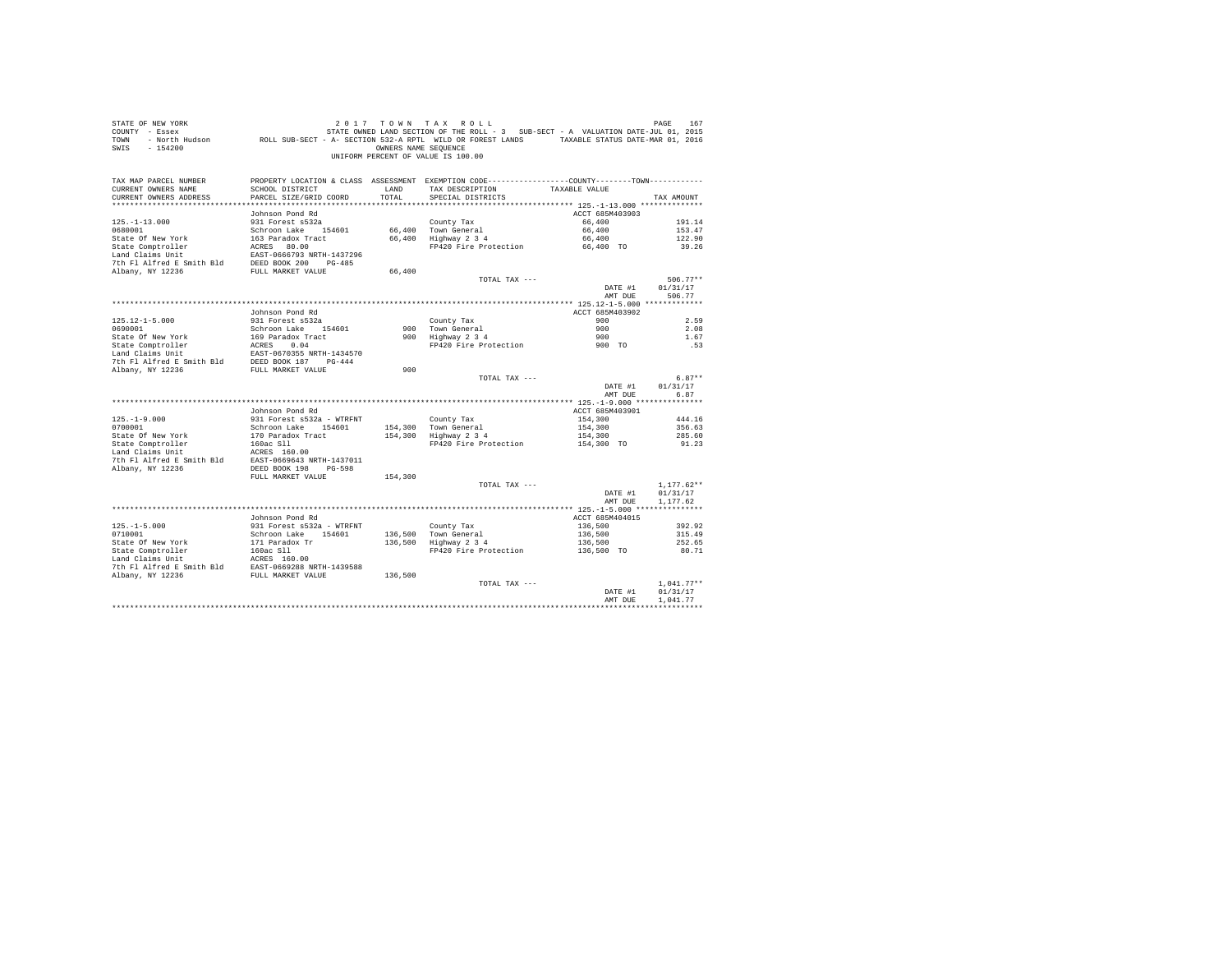| STATE OF NEW YORK<br>SALL OF THE SECTION OF A TAX MULL FOR THE ROLL - 3 SUB-SECT - A VALUATION DATE-JUL 01, 2015<br>COUNTY - Essex - STATE OWNED LAND SECTION OF THE ROLL - 3 SUB-SECT - A VALUATION DATE-JUL 01, 2015<br>TOWN - North Hudson - ROLL SUB<br>SWIS - 154200 |                                                  | OWNERS NAME SEQUENCE | 2017 TOWN TAX ROLL<br>UNIFORM PERCENT OF VALUE IS 100.00                                        |                    | PAGE<br>167          |
|---------------------------------------------------------------------------------------------------------------------------------------------------------------------------------------------------------------------------------------------------------------------------|--------------------------------------------------|----------------------|-------------------------------------------------------------------------------------------------|--------------------|----------------------|
| TAX MAP PARCEL NUMBER                                                                                                                                                                                                                                                     |                                                  |                      | PROPERTY LOCATION & CLASS ASSESSMENT EXEMPTION CODE----------------COUNTY--------TOWN---------- |                    |                      |
| CURRENT OWNERS NAME<br>CURRENT OWNERS ADDRESS                                                                                                                                                                                                                             | SCHOOL DISTRICT<br>PARCEL SIZE/GRID COORD        | LAND<br>TOTAL        | TAX DESCRIPTION<br>SPECIAL DISTRICTS                                                            | TAXABLE VALUE      | TAX AMOUNT           |
|                                                                                                                                                                                                                                                                           |                                                  |                      |                                                                                                 |                    |                      |
|                                                                                                                                                                                                                                                                           | Johnson Pond Rd                                  |                      |                                                                                                 | ACCT 685M403903    |                      |
| $125. - 1 - 13.000$                                                                                                                                                                                                                                                       | 931 Forest s532a                                 |                      | County Tax                                                                                      | 66,400             | 191.14               |
| 0680001                                                                                                                                                                                                                                                                   | Schroon Lake 154601                              |                      | 66,400 Town General<br>66,400 Highway 2 3 4<br>66,400 Town General                              | 66,400             | 153.47               |
| State Of New York                                                                                                                                                                                                                                                         | 163 Paradox Tract                                |                      |                                                                                                 | 66,400             | 122.90               |
| State Comptroller                                                                                                                                                                                                                                                         | ACRES 80.00                                      |                      | FP420 Fire Protection                                                                           | 66,400 TO          | 39.26                |
| Land Claims Unit                                                                                                                                                                                                                                                          | EAST-0666793 NRTH-1437296                        |                      |                                                                                                 |                    |                      |
| 7th Fl Alfred E Smith Bld DEED BOOK 200 PG-485<br>Albany, NY 12236                                                                                                                                                                                                        | FULL MARKET VALUE                                | 66,400               |                                                                                                 |                    |                      |
|                                                                                                                                                                                                                                                                           |                                                  |                      | TOTAL TAX ---                                                                                   |                    | $506.77**$           |
|                                                                                                                                                                                                                                                                           |                                                  |                      |                                                                                                 | DATE #1            | 01/31/17             |
|                                                                                                                                                                                                                                                                           |                                                  |                      |                                                                                                 | AMT DUE            | 506.77               |
|                                                                                                                                                                                                                                                                           |                                                  |                      |                                                                                                 |                    |                      |
|                                                                                                                                                                                                                                                                           | Johnson Pond Rd                                  |                      |                                                                                                 | ACCT 685M403902    |                      |
| $125.12 - 1 - 5.000$                                                                                                                                                                                                                                                      | 931 Forest s532a                                 |                      | County Tax                                                                                      | 900                | 2.59                 |
| 0690001                                                                                                                                                                                                                                                                   | Schroon Lake 154601                              |                      | 900 Town General<br>900 Highway 2 3 4                                                           | 900                | 2.08                 |
| State Of New York                                                                                                                                                                                                                                                         | 169 Paradox Tract                                |                      |                                                                                                 | 900                | 1.67                 |
| State Comptroller<br>Land Claims Unit                                                                                                                                                                                                                                     | ACRES 0.04<br>EAST-0670355 NRTH-1434570          |                      | FP420 Fire Protection                                                                           | 900 TO             | .53                  |
| 7th Fl Alfred E Smith Bld DEED BOOK 187 PG-444                                                                                                                                                                                                                            |                                                  |                      |                                                                                                 |                    |                      |
| Albany, NY 12236                                                                                                                                                                                                                                                          | FULL MARKET VALUE                                | 900                  |                                                                                                 |                    |                      |
|                                                                                                                                                                                                                                                                           |                                                  |                      | TOTAL TAX ---                                                                                   |                    | $6.87**$             |
|                                                                                                                                                                                                                                                                           |                                                  |                      |                                                                                                 | DATE #1            | 01/31/17             |
|                                                                                                                                                                                                                                                                           |                                                  |                      |                                                                                                 | AMT DUE            | 6.87                 |
|                                                                                                                                                                                                                                                                           |                                                  |                      |                                                                                                 |                    |                      |
|                                                                                                                                                                                                                                                                           | Johnson Pond Rd                                  |                      |                                                                                                 | ACCT 685M403901    |                      |
| $125. - 1 - 9.000$<br>0700001                                                                                                                                                                                                                                             | 931 Forest s532a - WTRFNT<br>Schroon Lake 154601 |                      | County Tax<br>154.300 Town General                                                              | 154,300<br>154,300 | 444.16<br>356.63     |
| State Of New York                                                                                                                                                                                                                                                         | 170 Paradox Tract                                |                      | $154,300$ Highway $2\,3\,4$                                                                     | 154,300            | 285.60               |
| State Comptroller                                                                                                                                                                                                                                                         |                                                  |                      | FP420 Fire Protection                                                                           | 154,300 TO         | 91.23                |
| Land Claims Unit                                                                                                                                                                                                                                                          | 160ac S11<br>ACRES 160.00                        |                      |                                                                                                 |                    |                      |
| 7th Fl Alfred E Smith Bld EAST-0669643 NRTH-1437011                                                                                                                                                                                                                       |                                                  |                      |                                                                                                 |                    |                      |
| Albany, NY 12236                                                                                                                                                                                                                                                          | DEED BOOK 198 PG-598                             |                      |                                                                                                 |                    |                      |
|                                                                                                                                                                                                                                                                           | FULL MARKET VALUE                                | 154,300              |                                                                                                 |                    |                      |
|                                                                                                                                                                                                                                                                           |                                                  |                      | TOTAL TAX ---                                                                                   |                    | $1.177.62**$         |
|                                                                                                                                                                                                                                                                           |                                                  |                      |                                                                                                 | DATE #1<br>AMT DUE | 01/31/17<br>1,177.62 |
|                                                                                                                                                                                                                                                                           |                                                  |                      |                                                                                                 |                    |                      |
|                                                                                                                                                                                                                                                                           | Johnson Pond Rd                                  |                      |                                                                                                 | ACCT 685M404015    |                      |
| $125. - 1 - 5.000$                                                                                                                                                                                                                                                        | 931 Forest s532a - WTRFNT                        |                      | County Tax                                                                                      | 136,500            | 392.92               |
| 0710001                                                                                                                                                                                                                                                                   | Schroon Lake 154601                              |                      | 136,500 Town General<br>136,500 Highway 2 3 4                                                   | 136,500            | 315.49               |
| State Of New York                                                                                                                                                                                                                                                         | 171 Paradox Tr                                   |                      |                                                                                                 | 136,500            | 252.65               |
| State Comptroller<br>Land Claims Unit                                                                                                                                                                                                                                     | 160ac Sll                                        |                      | FP420 Fire Protection                                                                           | 136,500 TO         | 80.71                |
|                                                                                                                                                                                                                                                                           | ACRES 160.00                                     |                      |                                                                                                 |                    |                      |
| The Fig. 1.11 and Fig. 2016 EAST-0669288 NRTH-1439588<br>Albany, NY 12236 FULL MARKET VALUE                                                                                                                                                                               |                                                  |                      |                                                                                                 |                    |                      |
|                                                                                                                                                                                                                                                                           |                                                  | 136,500              | TOTAL TAX ---                                                                                   |                    | $1.041.77**$         |
|                                                                                                                                                                                                                                                                           |                                                  |                      |                                                                                                 | DATE #1            | 01/31/17             |
|                                                                                                                                                                                                                                                                           |                                                  |                      |                                                                                                 | AMT DUE            | 1.041.77             |
|                                                                                                                                                                                                                                                                           |                                                  |                      |                                                                                                 |                    |                      |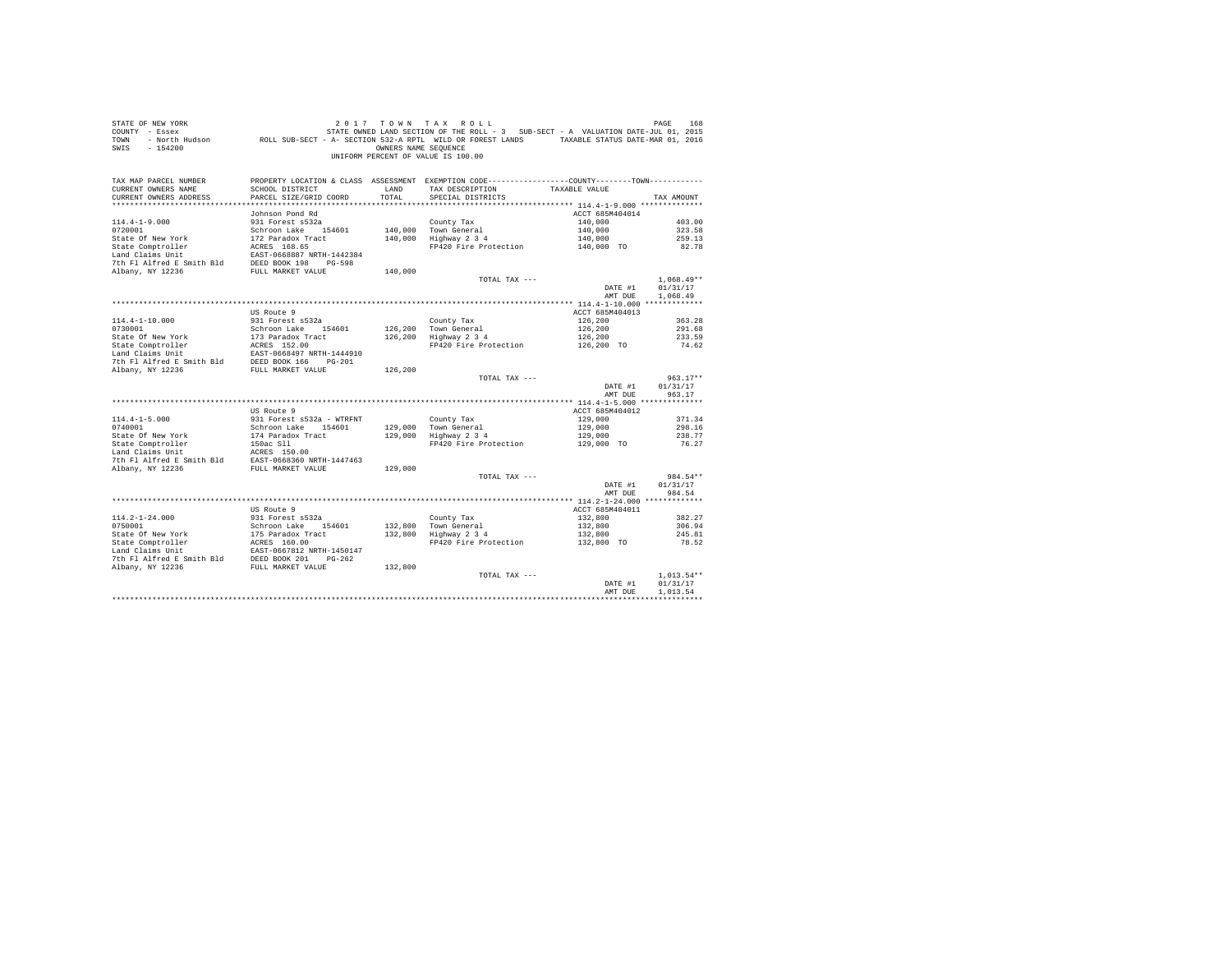| STATE OF NEW YORK<br>COUNTY - Essex<br>TOWN<br>$-154200$<br>SWIS                                                                                                                                                                                                                                    | DE NEW YORK TREE 168 168 169 17 10 WN TAX ROLL<br>- Essex STATE OWNED LAND SECTION OF THE ROLL - 3 SUB-SECT - A VALUATION DATE-JUL 01, 2015<br>- North Hudson     ROLL SUB-SECT - A -SECTION 532-A RPTL WILD OR FOREST LANDS   TAXAB | OWNERS NAME SEOUENCE | 2017 TOWN TAX ROLL<br>UNIFORM PERCENT OF VALUE IS 100.00                                                                         |                    | PAGE<br>168              |
|-----------------------------------------------------------------------------------------------------------------------------------------------------------------------------------------------------------------------------------------------------------------------------------------------------|--------------------------------------------------------------------------------------------------------------------------------------------------------------------------------------------------------------------------------------|----------------------|----------------------------------------------------------------------------------------------------------------------------------|--------------------|--------------------------|
| TAX MAP PARCEL NUMBER<br>CURRENT OWNERS NAME                                                                                                                                                                                                                                                        | SCHOOL DISTRICT                                                                                                                                                                                                                      | LAND                 | PROPERTY LOCATION & CLASS ASSESSMENT EXEMPTION CODE----------------COUNTY--------TOWN----------<br>TAX DESCRIPTION TAXABLE VALUE |                    |                          |
| CURRENT OWNERS ADDRESS                                                                                                                                                                                                                                                                              | PARCEL SIZE/GRID COORD                                                                                                                                                                                                               | TOTAL                | SPECIAL DISTRICTS                                                                                                                |                    | TAX AMOUNT               |
|                                                                                                                                                                                                                                                                                                     | Johnson Pond Rd                                                                                                                                                                                                                      |                      |                                                                                                                                  | ACCT 685M404014    |                          |
| $114.4 - 1 - 9.000$                                                                                                                                                                                                                                                                                 | 931 Forest s532a                                                                                                                                                                                                                     |                      | County Tax                                                                                                                       | 140,000            | 403.00                   |
| 0720001                                                                                                                                                                                                                                                                                             | Schroon Lake 154601                                                                                                                                                                                                                  |                      | 140,000 Town General                                                                                                             | 140,000            | 323.58                   |
| State Of New York                                                                                                                                                                                                                                                                                   | 172 Paradox Tract                                                                                                                                                                                                                    |                      | 140,000 Highway 2 3 4                                                                                                            | 140,000            | 259.13                   |
| State Comptroller                                                                                                                                                                                                                                                                                   | ---- mane 1546<br>172 Paradox Tract<br>ACRES 168.65<br>Racm 0660000                                                                                                                                                                  |                      | FP420 Fire Protection 140,000 TO                                                                                                 |                    | 82.78                    |
| Land Claims Unit                                                                                                                                                                                                                                                                                    | EAST-0668887 NRTH-1442384                                                                                                                                                                                                            |                      |                                                                                                                                  |                    |                          |
| 7th Fl Alfred E Smith Bld DEED BOOK 198 PG-598                                                                                                                                                                                                                                                      |                                                                                                                                                                                                                                      |                      |                                                                                                                                  |                    |                          |
| Albany, NY 12236                                                                                                                                                                                                                                                                                    | FULL MARKET VALUE                                                                                                                                                                                                                    | 140,000              |                                                                                                                                  |                    |                          |
|                                                                                                                                                                                                                                                                                                     |                                                                                                                                                                                                                                      |                      | TOTAL TAX ---                                                                                                                    | DATE #1            | $1.068.49**$<br>01/31/17 |
|                                                                                                                                                                                                                                                                                                     |                                                                                                                                                                                                                                      |                      |                                                                                                                                  | AMT DUE            | 1,068.49                 |
|                                                                                                                                                                                                                                                                                                     |                                                                                                                                                                                                                                      |                      |                                                                                                                                  |                    |                          |
|                                                                                                                                                                                                                                                                                                     | US Route 9                                                                                                                                                                                                                           |                      |                                                                                                                                  | ACCT 685M404013    |                          |
| $114.4 - 1 - 10.000$                                                                                                                                                                                                                                                                                | 931 Forest s532a                                                                                                                                                                                                                     |                      | County Tax                                                                                                                       | 126,200            | 363.28                   |
| 0730001                                                                                                                                                                                                                                                                                             | Schroon Lake 154601                                                                                                                                                                                                                  |                      | 126,200 Town General<br>126,200 Highway 2 3 4                                                                                    | 126,200            | 291.68                   |
|                                                                                                                                                                                                                                                                                                     |                                                                                                                                                                                                                                      |                      | Highway 2 3 4 126,200<br>FP420 Fire Protection 126,200 TO                                                                        |                    | 233.59                   |
|                                                                                                                                                                                                                                                                                                     |                                                                                                                                                                                                                                      |                      |                                                                                                                                  |                    | 74.62                    |
|                                                                                                                                                                                                                                                                                                     |                                                                                                                                                                                                                                      |                      |                                                                                                                                  |                    |                          |
|                                                                                                                                                                                                                                                                                                     |                                                                                                                                                                                                                                      | 126,200              |                                                                                                                                  |                    |                          |
|                                                                                                                                                                                                                                                                                                     |                                                                                                                                                                                                                                      |                      | TOTAL TAX ---                                                                                                                    |                    | $963.17**$               |
|                                                                                                                                                                                                                                                                                                     |                                                                                                                                                                                                                                      |                      |                                                                                                                                  | DATE #1<br>AMT DUE | 01/31/17<br>963.17       |
|                                                                                                                                                                                                                                                                                                     |                                                                                                                                                                                                                                      |                      |                                                                                                                                  |                    |                          |
|                                                                                                                                                                                                                                                                                                     | US Route 9                                                                                                                                                                                                                           |                      |                                                                                                                                  | ACCT 685M404012    |                          |
| $114.4 - 1 - 5.000$                                                                                                                                                                                                                                                                                 | 931 Forest s532a - WTRFNT                                                                                                                                                                                                            |                      | County Tax                                                                                                                       | 129,000            | 371.34                   |
| 0740001                                                                                                                                                                                                                                                                                             | Schroon Lake 154601                                                                                                                                                                                                                  |                      | 129,000 Town General<br>129,000 Highway 2 3 4                                                                                    | 129,000            | 298.16                   |
|                                                                                                                                                                                                                                                                                                     |                                                                                                                                                                                                                                      |                      |                                                                                                                                  | 129,000            | 238.77                   |
| $\begin{tabular}{lllllllllllll} \texttt{State Of New York} & & & 174 \texttt{ paradox Tract} \\ \texttt{State Conf New York} & & 150a c S1l \\ \texttt{Land Claims Unit} & & & \textbf{ACES} & 150.00 \\ \texttt{Jth Fl Alfred E Smith Bld} & & & \textbf{ZAST-0668360 NRTH-1447463} \end{tabular}$ |                                                                                                                                                                                                                                      |                      | FP420 Fire Protection 129,000 TO                                                                                                 |                    | 76.27                    |
|                                                                                                                                                                                                                                                                                                     |                                                                                                                                                                                                                                      |                      |                                                                                                                                  |                    |                          |
| Albany, NY 12236                                                                                                                                                                                                                                                                                    | FULL MARKET VALUE                                                                                                                                                                                                                    | 129,000              |                                                                                                                                  |                    |                          |
|                                                                                                                                                                                                                                                                                                     |                                                                                                                                                                                                                                      |                      | TOTAL TAX ---                                                                                                                    |                    | 984.54**                 |
|                                                                                                                                                                                                                                                                                                     |                                                                                                                                                                                                                                      |                      |                                                                                                                                  | DATE #1            | 01/31/17                 |
|                                                                                                                                                                                                                                                                                                     |                                                                                                                                                                                                                                      |                      |                                                                                                                                  | AMT DUE            | 984.54                   |
|                                                                                                                                                                                                                                                                                                     |                                                                                                                                                                                                                                      |                      |                                                                                                                                  |                    |                          |
|                                                                                                                                                                                                                                                                                                     | US Route 9                                                                                                                                                                                                                           |                      |                                                                                                                                  | ACCT 685M404011    |                          |
| 114.2-1-24.000                                                                                                                                                                                                                                                                                      | 931 Forest s532a<br>Schroon Lake 154                                                                                                                                                                                                 |                      | County Tax                                                                                                                       | 132,800            | 382.27                   |
| 0750001                                                                                                                                                                                                                                                                                             | Schroon Lake 154601                                                                                                                                                                                                                  |                      | 132,800 Town General<br>132,800 Highway 2 3 4                                                                                    | 132,800            | 306.94                   |
| State Of New York<br>State Comptroller<br>State Compton and Claims Unit<br>Land Claims Unit<br>Land Claims Unit<br>The Filal State Book 201<br>The Filal State Book 201<br>Pole 262<br>Nonry, NY 12236<br>FULL MARKET VALUE                                                                         |                                                                                                                                                                                                                                      |                      | Highway 2 3 4 132,800<br>FP420 Fire Protection 132,800 TO                                                                        |                    | 245.81<br>78.52          |
|                                                                                                                                                                                                                                                                                                     |                                                                                                                                                                                                                                      |                      |                                                                                                                                  |                    |                          |
|                                                                                                                                                                                                                                                                                                     |                                                                                                                                                                                                                                      |                      |                                                                                                                                  |                    |                          |
|                                                                                                                                                                                                                                                                                                     |                                                                                                                                                                                                                                      | 132,800              |                                                                                                                                  |                    |                          |
|                                                                                                                                                                                                                                                                                                     |                                                                                                                                                                                                                                      |                      | TOTAL TAX ---                                                                                                                    |                    | $1.013.54**$             |
|                                                                                                                                                                                                                                                                                                     |                                                                                                                                                                                                                                      |                      |                                                                                                                                  | DATE #1            | 01/31/17                 |
|                                                                                                                                                                                                                                                                                                     |                                                                                                                                                                                                                                      |                      |                                                                                                                                  | AMT DUE            | 1,013.54                 |
|                                                                                                                                                                                                                                                                                                     |                                                                                                                                                                                                                                      |                      |                                                                                                                                  |                    |                          |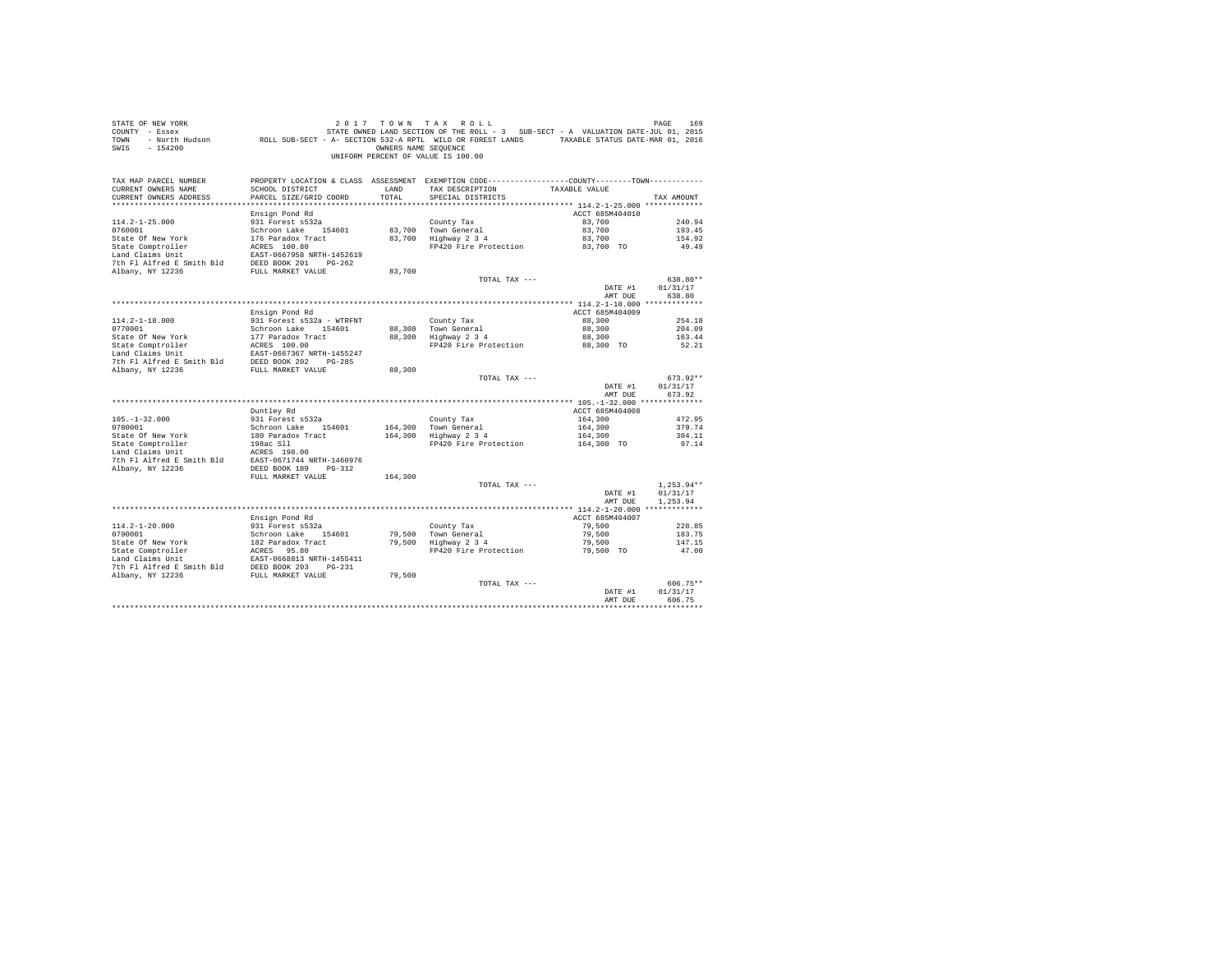| STATE OF NEW YORK<br>COUNTY - Essex<br>TOWN<br>$-154200$<br>SWIS                     |                                           | OWNERS NAME SEQUENCE | 2017 TOWN TAX ROLL<br>7 - Essex (101, 2015) STATE OWNED LAND SECTION OF THE ROLL - 3 SUB-SECT - A VALUATION DATE-JUL 101, 2015<br>2016 - North Hudson (1, 2016) ROLL SUB-SECT - A- SECTION 532-A RPTL WILD OR FOREST LANDS<br>UNIFORM PERCENT OF VALUE IS 100.00 |                     | PAGE<br>169     |
|--------------------------------------------------------------------------------------|-------------------------------------------|----------------------|------------------------------------------------------------------------------------------------------------------------------------------------------------------------------------------------------------------------------------------------------------------|---------------------|-----------------|
| TAX MAP PARCEL NUMBER                                                                |                                           |                      | PROPERTY LOCATION & CLASS ASSESSMENT EXEMPTION CODE----------------COUNTY--------TOWN----------                                                                                                                                                                  |                     |                 |
| CURRENT OWNERS NAME<br>CURRENT OWNERS ADDRESS                                        | SCHOOL DISTRICT<br>PARCEL SIZE/GRID COORD | LAND<br>TOTAL        | TAX DESCRIPTION<br>SPECIAL DISTRICTS                                                                                                                                                                                                                             | TAXABLE VALUE       | TAX AMOUNT      |
|                                                                                      |                                           |                      |                                                                                                                                                                                                                                                                  |                     |                 |
|                                                                                      | Ensign Pond Rd                            |                      |                                                                                                                                                                                                                                                                  | ACCT 685M404010     |                 |
| $114.2 - 1 - 25.000$                                                                 | 931 Forest s532a                          |                      | County Tax                                                                                                                                                                                                                                                       | 83,700              | 240.94          |
| 0760001                                                                              | Schroon Lake 154601                       |                      | 83,700 Town General                                                                                                                                                                                                                                              | 83,700              | 193.45          |
| State Of New York                                                                    | 176 Paradox Tract                         |                      | $83,700$ Highway $2\overline{3}4$                                                                                                                                                                                                                                | 83,700              | 154.92          |
| State Comptroller                                                                    | ACRES 100.80                              |                      | FP420 Fire Protection                                                                                                                                                                                                                                            | 83,700 TO           | 49.49           |
| Land Claims Unit                                                                     | EAST-0667958 NRTH-1452619                 |                      |                                                                                                                                                                                                                                                                  |                     |                 |
| 7th Fl Alfred E Smith Bld<br>Albany, NY 12236                                        | DEED BOOK 201 PG-262                      |                      |                                                                                                                                                                                                                                                                  |                     |                 |
|                                                                                      | FULL MARKET VALUE                         | 83,700               | TOTAL TAX ---                                                                                                                                                                                                                                                    |                     | 638.80**        |
|                                                                                      |                                           |                      |                                                                                                                                                                                                                                                                  | DATE #1             | 01/31/17        |
|                                                                                      |                                           |                      |                                                                                                                                                                                                                                                                  | AMT DUE             | 638.80          |
|                                                                                      |                                           |                      |                                                                                                                                                                                                                                                                  |                     |                 |
|                                                                                      | Ensign Pond Rd                            |                      |                                                                                                                                                                                                                                                                  | ACCT 685M404009     |                 |
| $114.2 - 1 - 18.000$                                                                 | 931 Forest s532a - WTRFNT                 |                      | County Tax                                                                                                                                                                                                                                                       | 88,300              | 254.18          |
| 0770001                                                                              | Schroon Lake 154601                       | 88,300               | Town General                                                                                                                                                                                                                                                     | 88,300              | 204.09          |
| State Of New York<br>State Comptroller                                               | 177 Paradox Tract<br>ACRES 100.00         | 88,300               | Highway 2 3 4<br>FP420 Fire Protection                                                                                                                                                                                                                           | 88,300<br>88,300 TO | 163.44<br>52.21 |
| Land Claims Unit                                                                     | EAST-0667367 NRTH-1455247                 |                      |                                                                                                                                                                                                                                                                  |                     |                 |
| 7th F1 Alfred E Smith Bld DEED BOOK 202 PG-285                                       |                                           |                      |                                                                                                                                                                                                                                                                  |                     |                 |
| Albany, NY 12236                                                                     | FULL MARKET VALUE                         | 88,300               |                                                                                                                                                                                                                                                                  |                     |                 |
|                                                                                      |                                           |                      | TOTAL TAX ---                                                                                                                                                                                                                                                    |                     | $673.92**$      |
|                                                                                      |                                           |                      |                                                                                                                                                                                                                                                                  | DATE #1             | 01/31/17        |
|                                                                                      |                                           |                      |                                                                                                                                                                                                                                                                  | AMT DUE             | 673.92          |
|                                                                                      | Duntley Rd                                |                      |                                                                                                                                                                                                                                                                  | ACCT 685M404008     |                 |
| $105. - 1 - 32.000$                                                                  | 931 Forest s532a                          |                      | County Tax                                                                                                                                                                                                                                                       | 164,300             | 472.95          |
| 0780001                                                                              | Schroon Lake 154601                       |                      | 164.300 Town General                                                                                                                                                                                                                                             | 164,300             | 379.74          |
| State Of New York                                                                    | 180 Paradox Tract                         |                      | 164,300 Highway 2 3 4                                                                                                                                                                                                                                            | 164,300             | 304.11          |
| State Comptroller                                                                    | 198ac Sll                                 |                      | FP420 Fire Protection                                                                                                                                                                                                                                            | 164,300 TO          | 97.14           |
| Land Claims Unit                                                                     | ACRES 198.00                              |                      |                                                                                                                                                                                                                                                                  |                     |                 |
| 7th Fl Alfred E Smith Bld EAST-0671744 NRTH-1460976                                  |                                           |                      |                                                                                                                                                                                                                                                                  |                     |                 |
| Albany, NY 12236                                                                     | DEED BOOK 189 PG-312<br>FULL MARKET VALUE | 164,300              |                                                                                                                                                                                                                                                                  |                     |                 |
|                                                                                      |                                           |                      | TOTAL TAX ---                                                                                                                                                                                                                                                    |                     | $1.253.94**$    |
|                                                                                      |                                           |                      |                                                                                                                                                                                                                                                                  | DATE #1             | 01/31/17        |
|                                                                                      |                                           |                      |                                                                                                                                                                                                                                                                  | AMT DUE             | 1.253.94        |
|                                                                                      |                                           |                      |                                                                                                                                                                                                                                                                  |                     |                 |
|                                                                                      | Ensign Pond Rd                            |                      |                                                                                                                                                                                                                                                                  | ACCT 685M404007     |                 |
| $114.2 - 1 - 20.000$                                                                 | 931 Forest s532a                          |                      | County Tax                                                                                                                                                                                                                                                       | 79,500              | 228.85          |
| 0790001<br>State Of New York                                                         | Schroon Lake 154601<br>182 Paradox Tract  |                      | 79,500 Town General<br>79,500 Highway 2 3 4                                                                                                                                                                                                                      | 79,500<br>79,500    | 183.75          |
| State Comptroller                                                                    |                                           |                      | FP420 Fire Protection                                                                                                                                                                                                                                            | 79,500 TO           | 147.15<br>47.00 |
| Land Claims Unit                                                                     | ACRES 95.80<br>EAST-0668813 NRTH-1455411  |                      |                                                                                                                                                                                                                                                                  |                     |                 |
|                                                                                      |                                           |                      |                                                                                                                                                                                                                                                                  |                     |                 |
| 7th F1 Alfred E Smith Bld DEED BOOK 203 PG-231<br>Albany, NY 12236 FULL MARKET VALUE |                                           | 79,500               |                                                                                                                                                                                                                                                                  |                     |                 |
|                                                                                      |                                           |                      | TOTAL TAX ---                                                                                                                                                                                                                                                    |                     | 606.75**        |
|                                                                                      |                                           |                      |                                                                                                                                                                                                                                                                  | DATE #1             | 01/31/17        |
|                                                                                      |                                           |                      |                                                                                                                                                                                                                                                                  | AMT DUE             | 606.75          |
|                                                                                      |                                           |                      |                                                                                                                                                                                                                                                                  |                     |                 |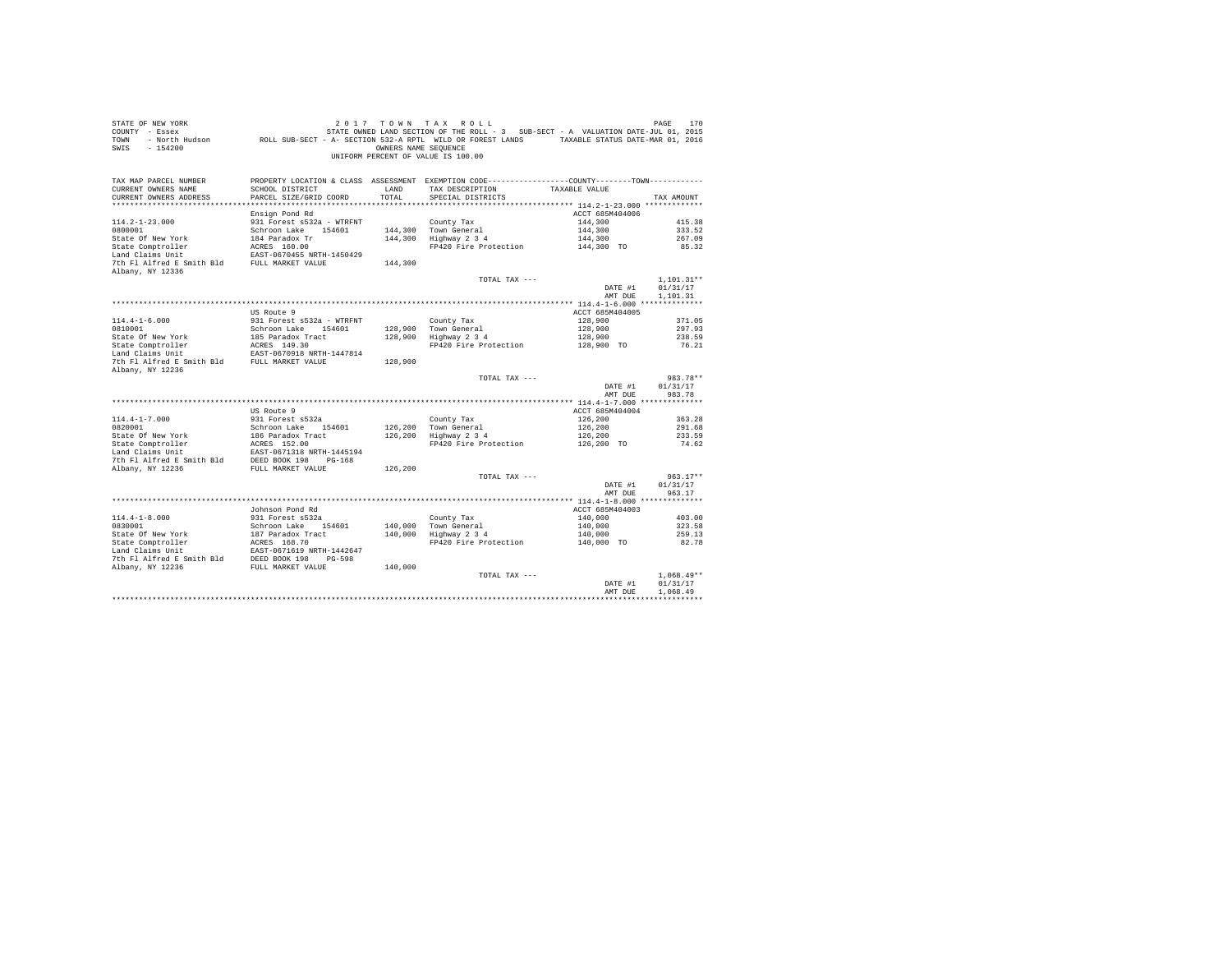| STATE OF NEW YORK<br>COUNTY - Essex<br>TOWN<br>$-154200$<br>SWIS                             |                                                  | OWNERS NAME SEOUENCE | 2017 TOWN TAX ROLL<br>STATE OWNED LAND SECTION OF THE ROLL - 3 SUB-SECT - A VALUATION DATE-JUL 01, 2015<br>- North Hudson ROLL SUB-SECT - A- SECTION 532-A RPTL WILD OR FOREST LANDS TAXABLE STATUS DATE-MAR 01, 2016<br>UNIFORM PERCENT OF VALUE IS 100.00 |                       | PAGE<br>170        |
|----------------------------------------------------------------------------------------------|--------------------------------------------------|----------------------|-------------------------------------------------------------------------------------------------------------------------------------------------------------------------------------------------------------------------------------------------------------|-----------------------|--------------------|
| TAX MAP PARCEL NUMBER<br>CURRENT OWNERS NAME<br>CURRENT OWNERS ADDRESS                       | SCHOOL DISTRICT<br>PARCEL SIZE/GRID COORD        | LAND<br>TOTAL        | PROPERTY LOCATION & CLASS ASSESSMENT EXEMPTION CODE---------------COUNTY-------TOWN---------<br>TAX DESCRIPTION<br>SPECIAL DISTRICTS                                                                                                                        | TAXABLE VALUE         | TAX AMOUNT         |
|                                                                                              |                                                  |                      |                                                                                                                                                                                                                                                             |                       |                    |
|                                                                                              | Ensign Pond Rd                                   |                      |                                                                                                                                                                                                                                                             | ACCT 685M404006       |                    |
| $114.2 - 1 - 23.000$                                                                         | 931 Forest s532a - WTRFNT                        |                      | County Tax                                                                                                                                                                                                                                                  | 144,300               | 415.38             |
| 0800001                                                                                      | Schroon Lake 154601                              |                      | 144,300 Town General                                                                                                                                                                                                                                        | 144,300               | 333.52             |
| State Of New York                                                                            | 184 Paradox Tr                                   |                      | 144,300 Highway 2 3 4                                                                                                                                                                                                                                       | 144,300               | 267.09             |
| State Comptroller                                                                            | ACRES 160.00                                     |                      | FP420 Fire Protection                                                                                                                                                                                                                                       | 144,300 TO            | 85.32              |
| Land Claims Unit<br>7th Fl Alfred E Smith Bld FULL MARKET VALUE                              | EAST-0670455 NRTH-1450429                        | 144,300              |                                                                                                                                                                                                                                                             |                       |                    |
| Albany, NY 12336                                                                             |                                                  |                      |                                                                                                                                                                                                                                                             |                       |                    |
|                                                                                              |                                                  |                      | TOTAL TAX ---                                                                                                                                                                                                                                               |                       | $1,101.31**$       |
|                                                                                              |                                                  |                      |                                                                                                                                                                                                                                                             | DATE #1               | 01/31/17           |
|                                                                                              |                                                  |                      |                                                                                                                                                                                                                                                             | AMT DUE               | 1,101.31           |
|                                                                                              |                                                  |                      |                                                                                                                                                                                                                                                             |                       |                    |
|                                                                                              | US Route 9                                       |                      |                                                                                                                                                                                                                                                             | ACCT 685M404005       |                    |
| $114.4 - 1 - 6.000$<br>0810001                                                               | 931 Forest s532a - WTRFNT<br>Schroon Lake 154601 |                      | County Tax                                                                                                                                                                                                                                                  | 128,900<br>128,900    | 371.05<br>297.93   |
| State Of New York                                                                            |                                                  |                      | 128,900 Town General<br>128,900 Highway 2 3 4                                                                                                                                                                                                               | 128,900               | 238.59             |
|                                                                                              |                                                  |                      | FP420 Fire Protection                                                                                                                                                                                                                                       | 128,900 TO            | 76.21              |
| State Comptroller<br>Land Claims Unit                                                        | EAST-0670918 NRTH-1447814                        |                      |                                                                                                                                                                                                                                                             |                       |                    |
| 7th Fl Alfred E Smith Bld FULL MARKET VALUE                                                  |                                                  | 128,900              |                                                                                                                                                                                                                                                             |                       |                    |
| Albany, NY 12236                                                                             |                                                  |                      |                                                                                                                                                                                                                                                             |                       |                    |
|                                                                                              |                                                  |                      | TOTAL TAX ---                                                                                                                                                                                                                                               |                       | 983.78**           |
|                                                                                              |                                                  |                      |                                                                                                                                                                                                                                                             | DATE #1<br>AMT DUE    | 01/31/17<br>983.78 |
|                                                                                              |                                                  |                      |                                                                                                                                                                                                                                                             |                       |                    |
|                                                                                              | US Route 9                                       |                      |                                                                                                                                                                                                                                                             | ACCT 685M404004       |                    |
| $114.4 - 1 - 7.000$                                                                          | 931 Forest s532a                                 |                      | County Tax                                                                                                                                                                                                                                                  | 126,200               | 363.28             |
| 0820001                                                                                      | Schroon Lake 154601                              |                      | 126,200 Town General                                                                                                                                                                                                                                        | 126,200               | 291.68             |
|                                                                                              | 186 Paradox Tract<br>ACRES 152.00                |                      | 126,200 Highway 2 3 4                                                                                                                                                                                                                                       | 126,200               | 233.59             |
| 0820001<br>State Of New York<br>State Comptroller                                            |                                                  |                      | FP420 Fire Protection                                                                                                                                                                                                                                       | 126,200 TO            | 74.62              |
| Land Claims Unit<br>The F1 Alfred E Smith B1d<br>DEED BOOK 198 PG-168<br>PG-168              |                                                  |                      |                                                                                                                                                                                                                                                             |                       |                    |
| Albany, NY 12236                                                                             | FULL MARKET VALUE                                | 126,200              |                                                                                                                                                                                                                                                             |                       |                    |
|                                                                                              |                                                  |                      | TOTAL TAX ---                                                                                                                                                                                                                                               |                       | $963.17**$         |
|                                                                                              |                                                  |                      |                                                                                                                                                                                                                                                             | DATE #1               | 01/31/17           |
|                                                                                              |                                                  |                      |                                                                                                                                                                                                                                                             | AMT DUE               | 963.17             |
|                                                                                              |                                                  |                      |                                                                                                                                                                                                                                                             |                       |                    |
|                                                                                              | Johnson Pond Rd                                  |                      |                                                                                                                                                                                                                                                             | ACCT 685M404003       |                    |
| $114.4 - 1 - 8.000$                                                                          | 931 Forest s532a                                 |                      | County Tax                                                                                                                                                                                                                                                  | 140,000               | 403.00             |
| 0830001                                                                                      | Schroon Lake 154601                              |                      | 140,000 Town General<br>140,000 Highway 2 3 4                                                                                                                                                                                                               | 140,000               | 323.58             |
| State Of New York<br>State Comptroller<br>Land Claims Unit                                   | 187 Paradox Tract<br>ACRES 168.70                |                      | FP420 Fire Protection                                                                                                                                                                                                                                       | 140,000<br>140,000 TO | 259.13<br>82.78    |
|                                                                                              | EAST-0671619 NRTH-1442647                        |                      |                                                                                                                                                                                                                                                             |                       |                    |
| 7th F1 A1fred E Smith Bld<br>2008 1980 1981 199-598<br>Albany, NY 12236<br>FULL MARKET VALUE |                                                  |                      |                                                                                                                                                                                                                                                             |                       |                    |
|                                                                                              |                                                  | 140,000              |                                                                                                                                                                                                                                                             |                       |                    |
|                                                                                              |                                                  |                      | TOTAL TAX ---                                                                                                                                                                                                                                               |                       | $1.068.49**$       |
|                                                                                              |                                                  |                      |                                                                                                                                                                                                                                                             | DATE #1               | 01/31/17           |
|                                                                                              |                                                  |                      |                                                                                                                                                                                                                                                             | AMT DUE               | 1,068.49           |
|                                                                                              |                                                  |                      |                                                                                                                                                                                                                                                             |                       |                    |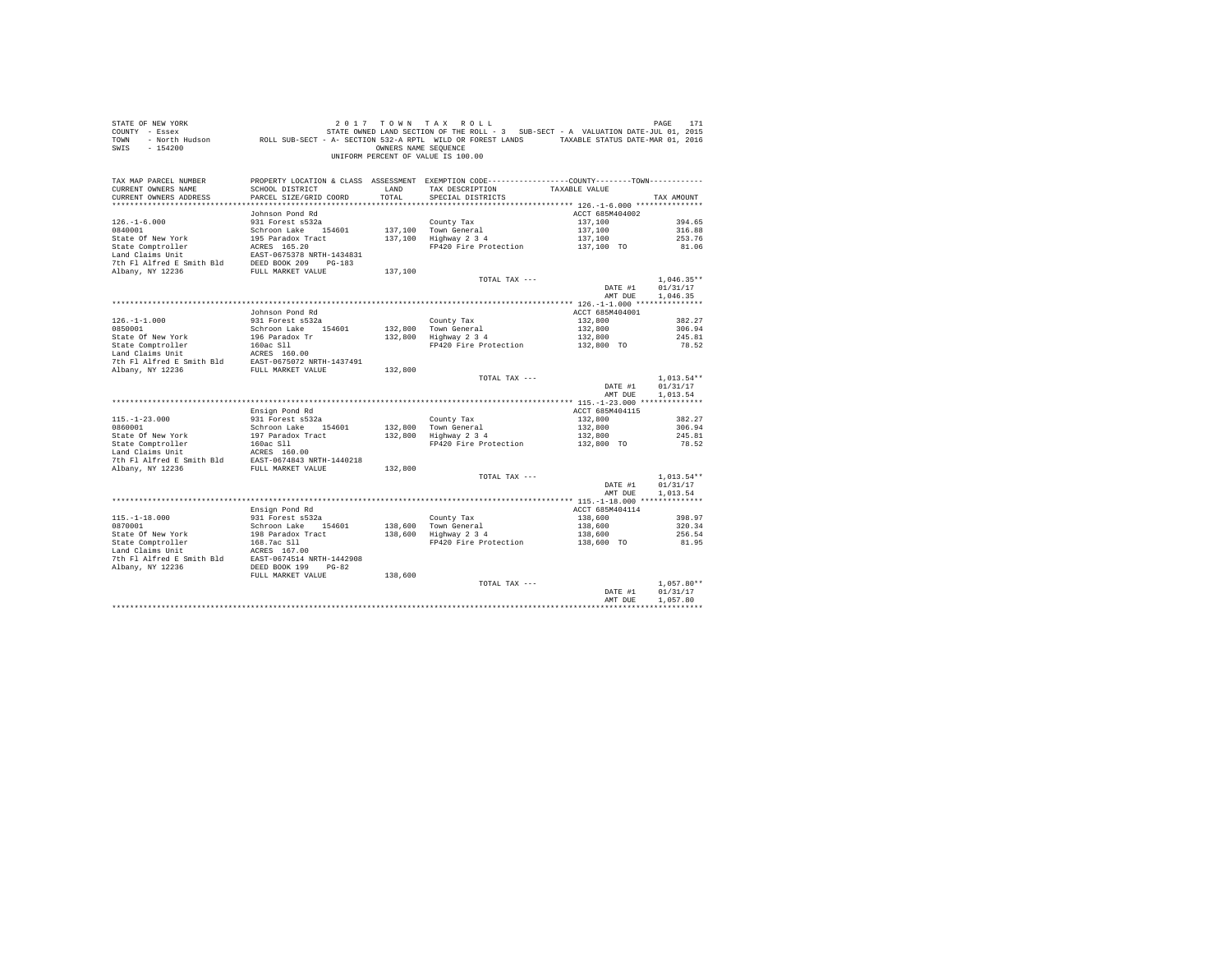| COUNTY - Essex<br>TOWN<br>$-154200$<br>SWIS                                                                                                                                                   | - North Hudson TROLL SUB-SECT - A- SECTION 532-A RPTL WILD OR FOREST LANDS TAXABLE STATUS DATE-MAR 01, 2016 | OWNERS NAME SEQUENCE | STATE OWNED LAND SECTION OF THE ROLL - 3 SUB-SECT - A VALUATION DATE-JUL 01, 2015                              |                       |                      |
|-----------------------------------------------------------------------------------------------------------------------------------------------------------------------------------------------|-------------------------------------------------------------------------------------------------------------|----------------------|----------------------------------------------------------------------------------------------------------------|-----------------------|----------------------|
|                                                                                                                                                                                               |                                                                                                             |                      | UNIFORM PERCENT OF VALUE IS 100.00                                                                             |                       |                      |
| TAX MAP PARCEL NUMBER                                                                                                                                                                         |                                                                                                             |                      | PROPERTY LOCATION & CLASS ASSESSMENT EXEMPTION CODE----------------COUNTY--------TOWN----------                |                       |                      |
| CURRENT OWNERS NAME                                                                                                                                                                           | SCHOOL DISTRICT                                                                                             | LAND                 | TAX DESCRIPTION                                                                                                | TAXABLE VALUE         |                      |
| CURRENT OWNERS ADDRESS                                                                                                                                                                        | PARCEL SIZE/GRID COORD                                                                                      | TOTAL                | SPECIAL DISTRICTS                                                                                              |                       | TAX AMOUNT           |
|                                                                                                                                                                                               | Johnson Pond Rd                                                                                             |                      |                                                                                                                | ACCT 685M404002       |                      |
| $126. - 1 - 6.000$                                                                                                                                                                            | 931 Forest s532a                                                                                            |                      | County Tax                                                                                                     | 137,100               | 394.65               |
| 0840001                                                                                                                                                                                       | Schroon Lake 154601                                                                                         |                      | 137,100 Town General                                                                                           | 137,100               | 316.88               |
| State Of New York                                                                                                                                                                             | 195 Paradox Tract                                                                                           |                      | 137,100 Highway 2 3 4                                                                                          | 137,100               | 253.76               |
| State Comptroller                                                                                                                                                                             | ACRES 165.20                                                                                                |                      | FP420 Fire Protection                                                                                          | 137,100 TO            | 81.06                |
| $\begin{tabular}{lllllllllll} \texttt{Land Clains Unit} & \texttt{EAST-0675378 NRTH-1434831} \\ \texttt{7th Fl Alfred E Smith Bd} & \texttt{DEED BOK 209} & \texttt{PG-183} \\ \end{tabular}$ |                                                                                                             |                      |                                                                                                                |                       |                      |
|                                                                                                                                                                                               |                                                                                                             |                      |                                                                                                                |                       |                      |
| Albany, NY 12236                                                                                                                                                                              | FULL MARKET VALUE                                                                                           | 137,100              |                                                                                                                |                       |                      |
|                                                                                                                                                                                               |                                                                                                             |                      | TOTAL TAX ---                                                                                                  |                       | $1.046.35**$         |
|                                                                                                                                                                                               |                                                                                                             |                      |                                                                                                                | DATE #1               | 01/31/17             |
|                                                                                                                                                                                               |                                                                                                             |                      |                                                                                                                | AMT DUE               | 1,046.35             |
|                                                                                                                                                                                               |                                                                                                             |                      |                                                                                                                |                       |                      |
|                                                                                                                                                                                               | Johnson Pond Rd                                                                                             |                      |                                                                                                                | ACCT 685M404001       |                      |
| $126. - 1 - 1.000$                                                                                                                                                                            | 931 Forest s532a                                                                                            |                      | County Tax                                                                                                     | 132,800               | 382.27               |
| 0850001<br>State Of New York                                                                                                                                                                  | Schroon Lake 154601<br>196 Paradox Tr                                                                       |                      | 132,800 Town General<br>132,800 Highway 2 3 4                                                                  | 132,800               | 306.94<br>245.81     |
|                                                                                                                                                                                               |                                                                                                             |                      | FP420 Fire Protection                                                                                          | 132,800<br>132,800 TO | 78.52                |
|                                                                                                                                                                                               |                                                                                                             |                      |                                                                                                                |                       |                      |
|                                                                                                                                                                                               |                                                                                                             |                      |                                                                                                                |                       |                      |
|                                                                                                                                                                                               |                                                                                                             | 132,800              |                                                                                                                |                       |                      |
|                                                                                                                                                                                               |                                                                                                             |                      | TOTAL TAX ---                                                                                                  |                       | $1,013.54**$         |
|                                                                                                                                                                                               |                                                                                                             |                      |                                                                                                                | DATE #1               | 01/31/17             |
|                                                                                                                                                                                               |                                                                                                             |                      |                                                                                                                | AMT DUE               | 1,013.54             |
|                                                                                                                                                                                               |                                                                                                             |                      |                                                                                                                |                       |                      |
|                                                                                                                                                                                               | Ensign Pond Rd                                                                                              |                      |                                                                                                                | ACCT 685M404115       |                      |
| $115. - 1 - 23.000$                                                                                                                                                                           | 931 Forest s532a                                                                                            |                      | County Tax                                                                                                     |                       |                      |
|                                                                                                                                                                                               |                                                                                                             |                      |                                                                                                                | 132,800               | 382.27               |
| 0860001                                                                                                                                                                                       | Schroon Lake 154601                                                                                         | 132,800              |                                                                                                                | 132,800               | 306.94               |
| State Of New York                                                                                                                                                                             | 197 Paradox Tract                                                                                           | 132,800              | $\begin{bmatrix} 1 & 1 & 1 \\ 1 & 1 & 1 \\ 1 & 1 & 1 \\ 1 & 1 & 1 \\ 1 & 1 & 1 \end{bmatrix}$<br>Highway 2 3 4 | 132,800               | 245.81               |
| State Comptroller                                                                                                                                                                             | 160ac Sll                                                                                                   |                      | FP420 Fire Protection                                                                                          | 132,800 TO            | 78.52                |
| Land Claims Unit                                                                                                                                                                              | ACRES 160.00                                                                                                |                      |                                                                                                                |                       |                      |
| 7th Fl Alfred E Smith Bld                                                                                                                                                                     | EAST-0674843 NRTH-1440218                                                                                   |                      |                                                                                                                |                       |                      |
| Albany, NY 12236                                                                                                                                                                              | FULL MARKET VALUE                                                                                           | 132,800              |                                                                                                                |                       |                      |
|                                                                                                                                                                                               |                                                                                                             |                      | TOTAL TAX ---                                                                                                  |                       | $1,013.54**$         |
|                                                                                                                                                                                               |                                                                                                             |                      |                                                                                                                | DATE #1<br>AMT DUE    | 01/31/17             |
|                                                                                                                                                                                               |                                                                                                             |                      |                                                                                                                |                       | 1,013.54             |
|                                                                                                                                                                                               | Ensign Pond Rd                                                                                              |                      |                                                                                                                | ACCT 685M404114       |                      |
| $115. - 1 - 18.000$                                                                                                                                                                           | 931 Forest s532a                                                                                            |                      |                                                                                                                | 138,600               | 398.97               |
| 0870001                                                                                                                                                                                       | Schroon Lake 154601                                                                                         |                      |                                                                                                                | 138,600               | 320.34               |
| State Of New York                                                                                                                                                                             | 198 Paradox Tract                                                                                           |                      | County Tax<br>138,600 Town General<br>138,600 Highway 2 3 4                                                    | 138,600               | 256.54               |
| State Comptroller                                                                                                                                                                             |                                                                                                             |                      | FP420 Fire Protection                                                                                          | 138,600 TO            | 81.95                |
| Land Claims Unit                                                                                                                                                                              | 168.7ac S11<br>ACRES 167.00                                                                                 |                      |                                                                                                                |                       |                      |
| 7th Fl Alfred E Smith Bld EAST-0674514 NRTH-1442908                                                                                                                                           |                                                                                                             |                      |                                                                                                                |                       |                      |
| Albany, NY 12236                                                                                                                                                                              | DEED BOOK 199 PG-82                                                                                         |                      |                                                                                                                |                       |                      |
|                                                                                                                                                                                               | FULL MARKET VALUE                                                                                           | 138,600              |                                                                                                                |                       |                      |
|                                                                                                                                                                                               |                                                                                                             |                      | TOTAL TAX ---                                                                                                  |                       | $1.057.80**$         |
|                                                                                                                                                                                               |                                                                                                             |                      |                                                                                                                | DATE #1<br>AMT DUE    | 01/31/17<br>1,057.80 |

STATE OF NEW YORK  $2017$   $70$   $W$   $7$   $A$   $X$   $R$   $0$   $L$   $L$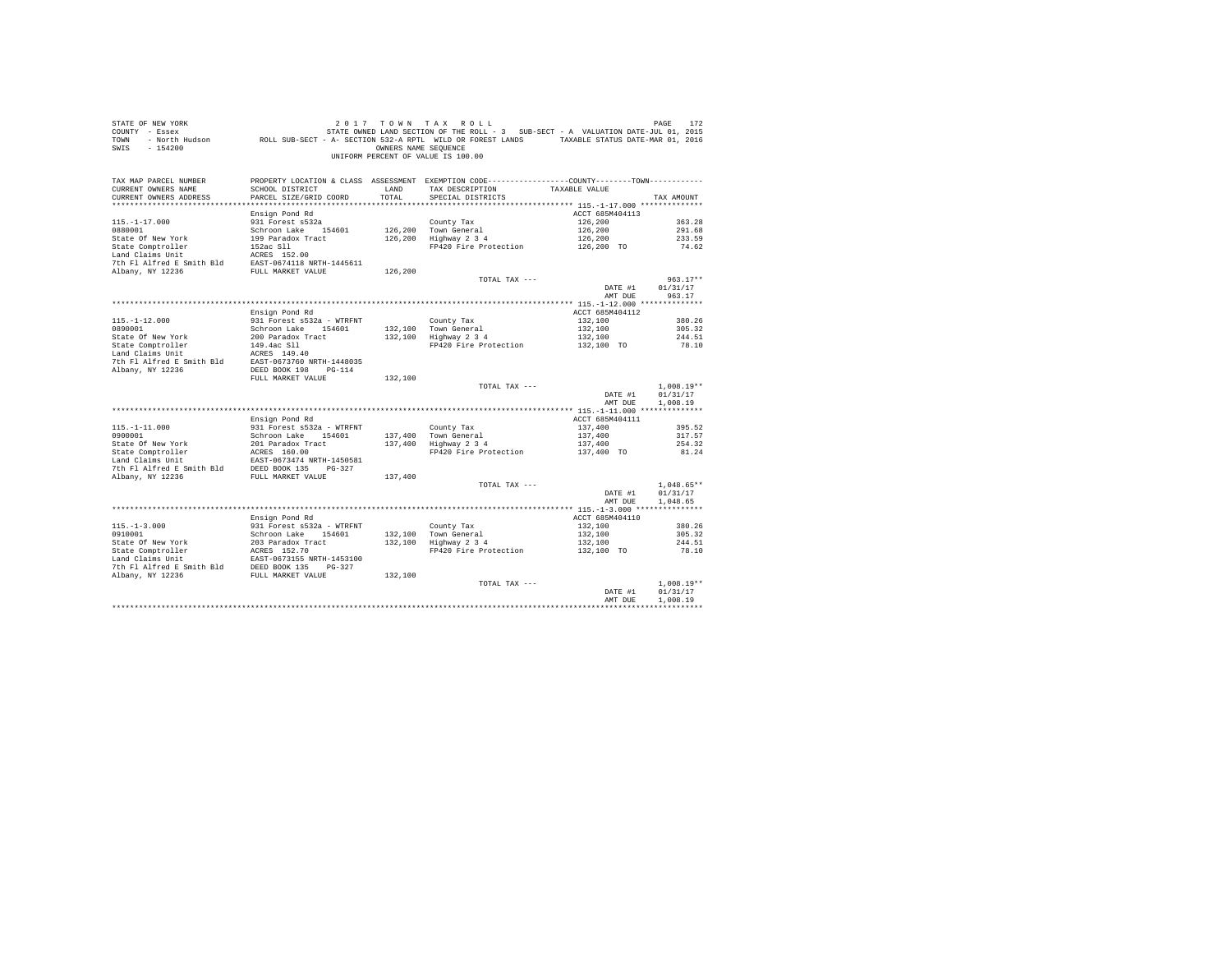| STATE OF NEW YORK<br>COUNTY - Essex<br>TOWN<br>$-154200$<br>SWIS |                                                | OWNERS NAME SEQUENCE | 2017 TOWN TAX ROLL<br>STATE OWNED LAND SECTION OF THE ROLL - 3 SUB-SECT - A VALUATION DATE-JUL 01, 2015<br>- North Hudson ROLL SUB-SECT - A- SECTION 532-A RPTL WILD OR FOREST LANDS TAXABLE STATUS DATE-MAR 01, 2016<br>UNIFORM PERCENT OF VALUE IS 100.00 |                            | PAGE<br>172          |
|------------------------------------------------------------------|------------------------------------------------|----------------------|-------------------------------------------------------------------------------------------------------------------------------------------------------------------------------------------------------------------------------------------------------------|----------------------------|----------------------|
| TAX MAP PARCEL NUMBER<br>CURRENT OWNERS NAME                     | SCHOOL DISTRICT                                | LAND                 | PROPERTY LOCATION & CLASS ASSESSMENT EXEMPTION CODE---------------COUNTY-------TOWN----------<br>TAX DESCRIPTION                                                                                                                                            | TAXABLE VALUE              |                      |
| CURRENT OWNERS ADDRESS                                           | PARCEL SIZE/GRID COORD                         | TOTAL                | SPECIAL DISTRICTS                                                                                                                                                                                                                                           |                            | TAX AMOUNT           |
|                                                                  |                                                |                      |                                                                                                                                                                                                                                                             |                            |                      |
|                                                                  | Ensign Pond Rd                                 |                      |                                                                                                                                                                                                                                                             | ACCT 685M404113            |                      |
| $115. - 1 - 17.000$                                              | 931 Forest s532a                               |                      | County Tax                                                                                                                                                                                                                                                  | 126,200                    | 363.28               |
| 0880001                                                          | Schroon Lake 154601                            | 126,200              | Town General                                                                                                                                                                                                                                                | 126,200                    | 291.68               |
| State Of New York                                                | 199 Paradox Tract                              | 126,200              | Highway 2 3 4                                                                                                                                                                                                                                               | 126,200                    | 233.59               |
| State Comptroller                                                | 152ac Sll                                      |                      | FP420 Fire Protection                                                                                                                                                                                                                                       | 126,200 TO                 | 74.62                |
| Land Claims Unit                                                 | ACRES 152.00                                   |                      |                                                                                                                                                                                                                                                             |                            |                      |
| 7th Fl Alfred E Smith Bld<br>Albany, NY 12236                    | EAST-0674118 NRTH-1445611<br>FULL MARKET VALUE | 126,200              |                                                                                                                                                                                                                                                             |                            |                      |
|                                                                  |                                                |                      | TOTAL TAX ---                                                                                                                                                                                                                                               |                            | $963.17**$           |
|                                                                  |                                                |                      |                                                                                                                                                                                                                                                             | DATE #1                    | 01/31/17             |
|                                                                  |                                                |                      |                                                                                                                                                                                                                                                             | AMT DUE                    | 963.17               |
|                                                                  |                                                |                      |                                                                                                                                                                                                                                                             |                            |                      |
|                                                                  | Ensign Pond Rd                                 |                      |                                                                                                                                                                                                                                                             | ACCT 685M404112            |                      |
| $115. - 1 - 12.000$                                              | 931 Forest s532a - WTRFNT                      |                      | County Tax                                                                                                                                                                                                                                                  | 132,100                    | 380.26               |
| 0890001                                                          | Schroon Lake 154601                            | 132,100              | Town General                                                                                                                                                                                                                                                | 132,100                    | 305.32               |
| State Of New York                                                | 200 Paradox Tract                              | 132,100              | Highway 2 3 4                                                                                                                                                                                                                                               | 132,100                    | 244.51               |
| State Comptroller<br>Land Claims Unit                            | 149.4ac Sll<br>ACRES 149.40                    |                      | FP420 Fire Protection                                                                                                                                                                                                                                       | 132,100 TO                 | 78.10                |
| 7th Fl Alfred E Smith Bld                                        | EAST-0673760 NRTH-1448035                      |                      |                                                                                                                                                                                                                                                             |                            |                      |
| Albany, NY 12236                                                 | DEED BOOK 198 PG-114                           |                      |                                                                                                                                                                                                                                                             |                            |                      |
|                                                                  | FULL MARKET VALUE                              | 132,100              |                                                                                                                                                                                                                                                             |                            |                      |
|                                                                  |                                                |                      | TOTAL TAX ---                                                                                                                                                                                                                                               |                            | $1.008.19**$         |
|                                                                  |                                                |                      |                                                                                                                                                                                                                                                             | DATE #1                    | 01/31/17             |
|                                                                  |                                                |                      |                                                                                                                                                                                                                                                             | AMT DUE                    | 1,008.19             |
|                                                                  |                                                |                      |                                                                                                                                                                                                                                                             |                            |                      |
| $115. - 1 - 11.000$                                              | Ensign Pond Rd<br>931 Forest s532a - WTRFNT    |                      |                                                                                                                                                                                                                                                             | ACCT 685M404111<br>137,400 |                      |
| 0900001                                                          | Schroon Lake 154601                            | 137,400              | County Tax<br>Town General                                                                                                                                                                                                                                  | 137,400                    | 395.52<br>317.57     |
| State Of New York                                                | 201 Paradox Tract                              | 137,400              | Highway 2 3 4                                                                                                                                                                                                                                               | 137,400                    | 254.32               |
| State Comptroller                                                | ACRES 160.00                                   |                      | FP420 Fire Protection                                                                                                                                                                                                                                       | 137,400 TO                 | 81.24                |
| Land Claims Unit                                                 | EAST-0673474 NRTH-1450581                      |                      |                                                                                                                                                                                                                                                             |                            |                      |
| 7th Fl Alfred E Smith Bld                                        | DEED BOOK 135 PG-327                           |                      |                                                                                                                                                                                                                                                             |                            |                      |
| Albany, NY 12236                                                 | FULL MARKET VALUE                              | 137,400              |                                                                                                                                                                                                                                                             |                            |                      |
|                                                                  |                                                |                      | TOTAL TAX ---                                                                                                                                                                                                                                               |                            | $1,048.65**$         |
|                                                                  |                                                |                      |                                                                                                                                                                                                                                                             | DATE #1<br>AMT DUE         | 01/31/17<br>1,048.65 |
|                                                                  |                                                |                      |                                                                                                                                                                                                                                                             |                            |                      |
|                                                                  | Ensign Pond Rd                                 |                      |                                                                                                                                                                                                                                                             | ACCT 685M404110            |                      |
| $115. - 1 - 3.000$                                               | 931 Forest s532a - WTRFNT                      |                      | County Tax                                                                                                                                                                                                                                                  | 132,100                    | 380.26               |
| 0910001                                                          | Schroon Lake 154601                            | 132,100              |                                                                                                                                                                                                                                                             | 132,100                    | 305.32               |
| State Of New York                                                | 203 Paradox Tract                              | 132,100              | Town General<br>Highway 2 3 4                                                                                                                                                                                                                               | 132,100                    | 244.51               |
| State Comptroller                                                | ACRES 152.70                                   |                      | FP420 Fire Protection                                                                                                                                                                                                                                       | 132,100 TO                 | 78.10                |
| Land Claims Unit                                                 | EAST-0673155 NRTH-1453100                      |                      |                                                                                                                                                                                                                                                             |                            |                      |
| 7th Fl Alfred E Smith Bld                                        | DEED BOOK 135 PG-327                           |                      |                                                                                                                                                                                                                                                             |                            |                      |
| Albany, NY 12236                                                 | FULL MARKET VALUE                              | 132,100              |                                                                                                                                                                                                                                                             |                            | $1.008.19**$         |
|                                                                  |                                                |                      | TOTAL TAX ---                                                                                                                                                                                                                                               | DATE #1                    | 01/31/17             |
|                                                                  |                                                |                      |                                                                                                                                                                                                                                                             | AMT DUE                    | 1,008.19             |
|                                                                  |                                                |                      |                                                                                                                                                                                                                                                             |                            |                      |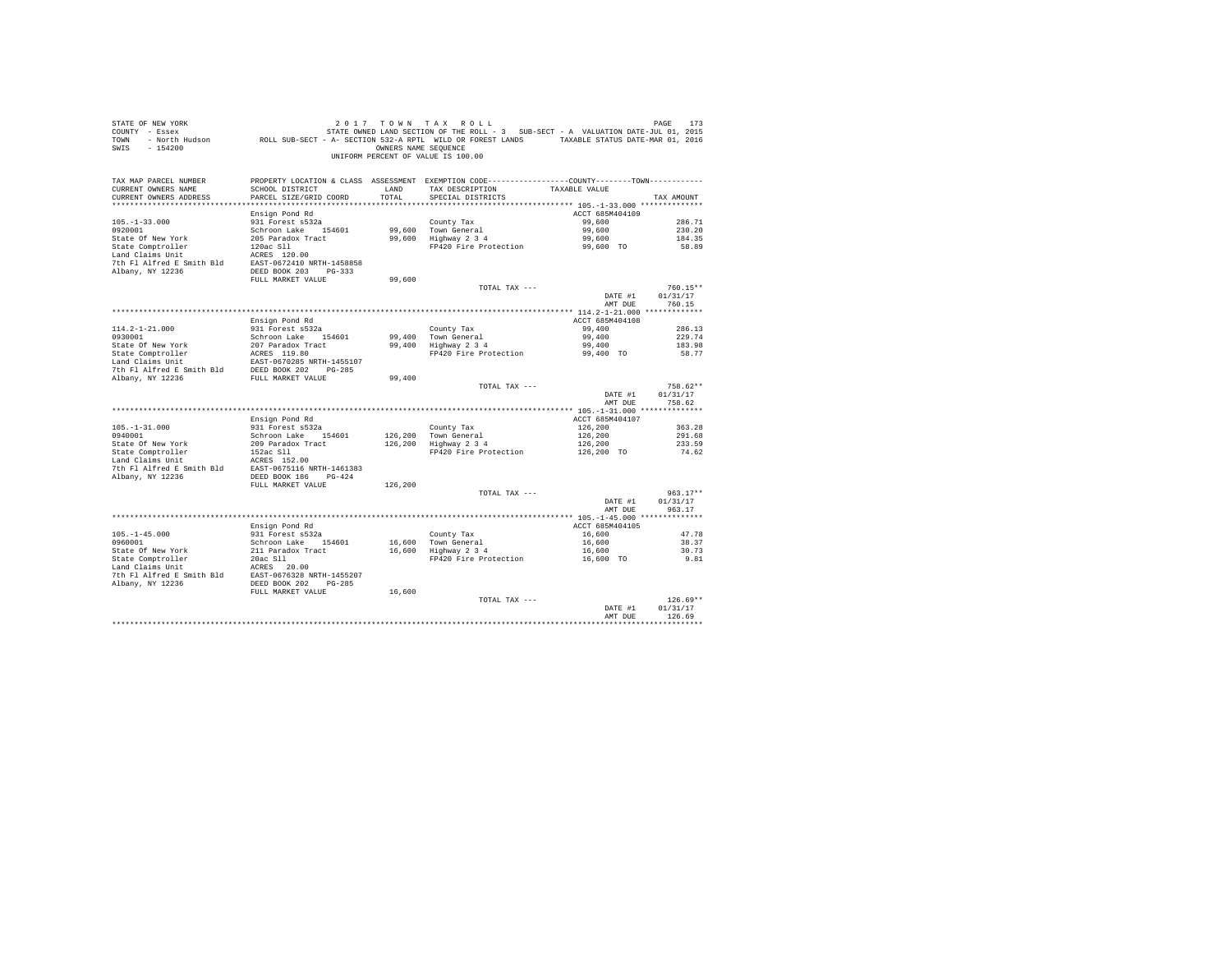| STATE OF NEW YORK<br>COUNTY - Essex<br>TOWN<br>$-154200$<br>SWIS                       | 173 / 179 / 179 / 179 / 179 / 179 / 179 / 179 / 179 / 179 / 179 / 179 / 179 / 179 / 179 / 179 / 179 / 179 / 17<br>The ROLL SUB-SECT - A VALUATION DATE-THE RECTION STATE ROLL ASSECT - A VALUATION DATE-TUL 01, 2016<br>FAXABLE STA |               | 2017 TOWN TAX ROLL<br>OWNERS NAME SEQUENCE<br>UNIFORM PERCENT OF VALUE IS 100.00                                                                   |                            | PAGE<br>173                    |
|----------------------------------------------------------------------------------------|-------------------------------------------------------------------------------------------------------------------------------------------------------------------------------------------------------------------------------------|---------------|----------------------------------------------------------------------------------------------------------------------------------------------------|----------------------------|--------------------------------|
| TAX MAP PARCEL NUMBER<br>CURRENT OWNERS NAME<br>CURRENT OWNERS ADDRESS                 | SCHOOL DISTRICT<br>PARCEL SIZE/GRID COORD                                                                                                                                                                                           | LAND<br>TOTAL | PROPERTY LOCATION & CLASS ASSESSMENT EXEMPTION CODE---------------COUNTY-------TOWN---------<br>TAX DESCRIPTION TAXABLE VALUE<br>SPECIAL DISTRICTS |                            | TAX AMOUNT                     |
|                                                                                        | Ensign Pond Rd                                                                                                                                                                                                                      |               |                                                                                                                                                    | ACCT 685M404109            |                                |
| $105. - 1 - 33.000$<br>0920001<br>State Of New York                                    | 931 Forest s532a<br>Schroon Lake 154601<br>205 Paradox Tract                                                                                                                                                                        |               | County Tax<br>99,600 Town General<br>99,600 Highway 2 3 4                                                                                          | 99,600<br>99,600<br>99,600 | 286.71<br>230.20<br>184.35     |
| State Comptroller<br>Land Claims Unit<br>7th Fl Alfred E Smith Bld                     | 120ac S11<br>ACRES 120.00<br>EAST-0672410 NRTH-1458858                                                                                                                                                                              |               | FP420 Fire Protection                                                                                                                              | 99,600 TO                  | 58.89                          |
| Albany, NY 12236                                                                       | DEED BOOK 203 PG-333<br>FULL MARKET VALUE                                                                                                                                                                                           | 99,600        |                                                                                                                                                    |                            |                                |
|                                                                                        |                                                                                                                                                                                                                                     |               | TOTAL TAX ---                                                                                                                                      | DATE #1                    | 760.15**<br>01/31/17           |
|                                                                                        |                                                                                                                                                                                                                                     |               |                                                                                                                                                    | AMT DUE                    | 760.15                         |
|                                                                                        | Ensign Pond Rd                                                                                                                                                                                                                      |               |                                                                                                                                                    | ACCT 685M404108            |                                |
| $114.2 - 1 - 21.000$                                                                   | 931 Forest s532a                                                                                                                                                                                                                    |               | County Tax                                                                                                                                         | 99,400                     | 286.13                         |
| 0930001                                                                                | Schroon Lake 154601                                                                                                                                                                                                                 |               | 99,400 Town General                                                                                                                                | 99,400                     | 229.74                         |
| State Of New York<br>State Comptroller                                                 | 207 Paradox Tract<br>ACRES 119.80                                                                                                                                                                                                   |               | 99,400 Highway 2 3 4                                                                                                                               | 99,400<br>99,400 TO        | 183.98<br>58.77                |
| Land Claims Unit<br>7th Fl Alfred E Smith Bld                                          | EAST-0670285 NRTH-1455107<br>DEED BOOK 202 PG-285                                                                                                                                                                                   |               | FP420 Fire Protection                                                                                                                              |                            |                                |
| Albany, NY 12236                                                                       | FULL MARKET VALUE                                                                                                                                                                                                                   | 99,400        |                                                                                                                                                    |                            |                                |
|                                                                                        |                                                                                                                                                                                                                                     |               | TOTAL TAX ---                                                                                                                                      | DATE #1<br>AMT DUE         | 758.62**<br>01/31/17<br>758.62 |
|                                                                                        |                                                                                                                                                                                                                                     |               |                                                                                                                                                    |                            |                                |
|                                                                                        | Ensign Pond Rd                                                                                                                                                                                                                      |               |                                                                                                                                                    | ACCT 685M404107            |                                |
| $105. - 1 - 31.000$                                                                    | 931 Forest s532a                                                                                                                                                                                                                    |               | County Tax                                                                                                                                         | 126,200                    | 363.28                         |
| 0940001<br>State Of New York                                                           | Schroon Lake 154601<br>209 Paradox Tract                                                                                                                                                                                            |               | 126,200 Town General<br>126,200 Highway 2 3 4                                                                                                      | 126,200<br>126,200         | 291.68<br>233.59               |
| Land Claims Unit<br>7th Fl. 115<br>7th Fl Alfred E Smith Bld EAST-0675116 NRTH-1461383 | 152ac Sll<br>ACRES 152.00                                                                                                                                                                                                           |               | FP420 Fire Protection                                                                                                                              | 126,200 TO                 | 74.62                          |
| Albany, NY 12236                                                                       | DEED BOOK 186 PG-424                                                                                                                                                                                                                |               |                                                                                                                                                    |                            |                                |
|                                                                                        | FULL MARKET VALUE                                                                                                                                                                                                                   | 126,200       | TOTAL TAX ---                                                                                                                                      |                            | $963.17**$                     |
|                                                                                        |                                                                                                                                                                                                                                     |               |                                                                                                                                                    | DATE #1<br>AMT DUE         | 01/31/17<br>963.17             |
|                                                                                        |                                                                                                                                                                                                                                     |               |                                                                                                                                                    |                            |                                |
|                                                                                        | Ensign Pond Rd                                                                                                                                                                                                                      |               |                                                                                                                                                    | ACCT 685M404105            |                                |
| $105. - 1 - 45.000$<br>0960001                                                         | 931 Forest s532a<br>Schroon Lake 154601                                                                                                                                                                                             |               | County Tax<br>16,600 Town General                                                                                                                  | 16,600<br>16,600           | 47.78<br>38.37                 |
| State Of New York                                                                      | 211 Paradox Tract                                                                                                                                                                                                                   |               | 16,600 Highway 2 3 4                                                                                                                               | 16,600                     | 30.73                          |
| State Comptroller<br>Land Claims Unit<br>7th Fl Alfred E Smith Bld<br>Albany, NY 12236 | 20ac S11<br>ACRES 20.00<br>EAST-0676328 NRTH-1455207<br>DEED BOOK 202 PG-285                                                                                                                                                        |               | FP420 Fire Protection                                                                                                                              | 16,600 TO                  | 9.81                           |
|                                                                                        | FULL MARKET VALUE                                                                                                                                                                                                                   | 16,600        | TOTAL TAX ---                                                                                                                                      |                            | $126.69**$                     |
|                                                                                        |                                                                                                                                                                                                                                     |               |                                                                                                                                                    | DATE #1<br>AMT DUE         | 01/31/17<br>126.69             |
|                                                                                        |                                                                                                                                                                                                                                     |               |                                                                                                                                                    |                            |                                |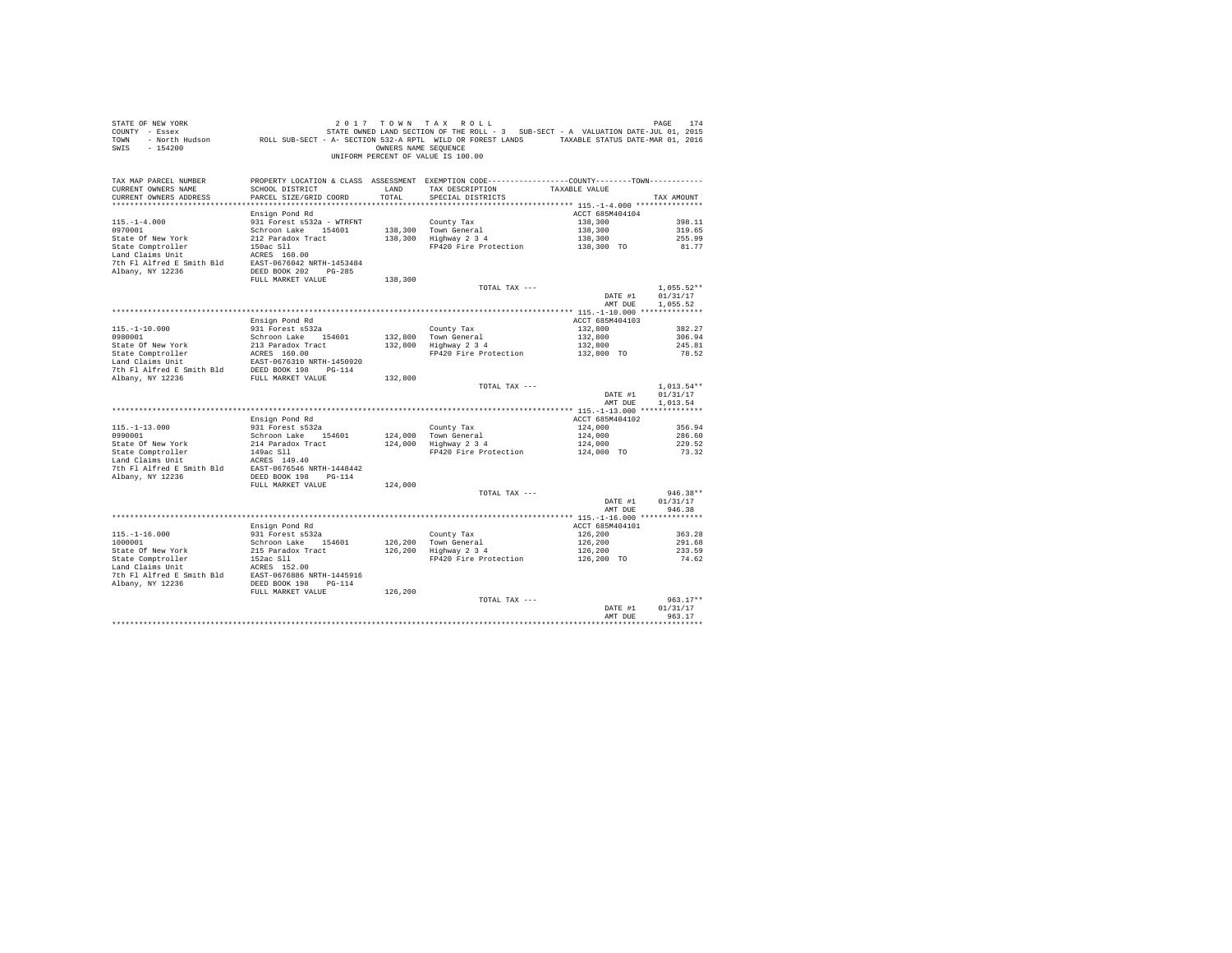| STATE OF NEW YORK<br>SWIS - 154200                                                                                                                                                                                             |                                           |               | 2017 TOWN TAX ROLL<br>OWNERS NAME SEQUENCE<br>UNIFORM PERCENT OF VALUE IS 100.00                                                      |                    | PAGE<br>174              |
|--------------------------------------------------------------------------------------------------------------------------------------------------------------------------------------------------------------------------------|-------------------------------------------|---------------|---------------------------------------------------------------------------------------------------------------------------------------|--------------------|--------------------------|
| TAX MAP PARCEL NUMBER<br>CURRENT OWNERS NAME<br>CURRENT OWNERS ADDRESS<br>************************                                                                                                                             | SCHOOL DISTRICT<br>PARCEL SIZE/GRID COORD | LAND<br>TOTAL | PROPERTY LOCATION & CLASS ASSESSMENT EXEMPTION CODE---------------COUNTY-------TOWN----------<br>TAX DESCRIPTION<br>SPECIAL DISTRICTS | TAXABLE VALUE      | TAX AMOUNT               |
|                                                                                                                                                                                                                                | Ensign Pond Rd                            |               |                                                                                                                                       | ACCT 685M404104    |                          |
| $115. - 1 - 4.000$                                                                                                                                                                                                             | 931 Forest s532a - WTRFNT                 |               | County Tax                                                                                                                            | 138,300            | 398.11                   |
| 0970001                                                                                                                                                                                                                        | Schroon Lake 154601                       |               | 138,300 Town General                                                                                                                  | 138,300            | 319.65                   |
| State Of New York                                                                                                                                                                                                              | 212 Paradox Tract                         |               | $138,300$ Highway $2\,3\,4$                                                                                                           | 138,300            | 255.99                   |
| State Comptroller<br>Land Claims Unit                                                                                                                                                                                          | 150ac Sll<br>ACRES 160.00                 |               | FP420 Fire Protection                                                                                                                 | 138,300 TO         | 81.77                    |
|                                                                                                                                                                                                                                |                                           |               |                                                                                                                                       |                    |                          |
|                                                                                                                                                                                                                                |                                           |               |                                                                                                                                       |                    |                          |
|                                                                                                                                                                                                                                | FULL MARKET VALUE                         | 138,300       |                                                                                                                                       |                    |                          |
|                                                                                                                                                                                                                                |                                           |               | TOTAL TAX ---                                                                                                                         | DATE #1            | $1.055.52**$<br>01/31/17 |
|                                                                                                                                                                                                                                |                                           |               |                                                                                                                                       | AMT DUE            | 1.055.52                 |
|                                                                                                                                                                                                                                | Ensign Pond Rd                            |               |                                                                                                                                       | ACCT 685M404103    |                          |
|                                                                                                                                                                                                                                | 931 Forest s532a                          |               | County Tax                                                                                                                            | 132,800            | 382.27                   |
| $115.-1-10.000$<br>0980001                                                                                                                                                                                                     | Schroon Lake 154601                       |               | 132,800 Town General<br>132,800 Highway 2 3 4                                                                                         | 132,800            | 306.94                   |
| State Of New York                                                                                                                                                                                                              | 213 Paradox Tract                         |               |                                                                                                                                       | 132,800            | 245.81                   |
| State Comptroller<br>Land Claims Unit                                                                                                                                                                                          | ACRES 160.00<br>EAST-0676310 NRTH-1450920 |               | FP420 Fire Protection                                                                                                                 | 132,800 TO         | 78.52                    |
|                                                                                                                                                                                                                                |                                           |               |                                                                                                                                       |                    |                          |
| Dand Classics of The Text of The Text of The Text of The Text of The Text of Text of Text of Text of Text of Text of Text of Text of Text of Text of Text of Text of Text of Text of Text of Text of Text of Text of Text of T |                                           | 132,800       |                                                                                                                                       |                    |                          |
|                                                                                                                                                                                                                                |                                           |               | TOTAL TAX ---                                                                                                                         |                    | $1.013.54**$             |
|                                                                                                                                                                                                                                |                                           |               |                                                                                                                                       | DATE #1            | 01/31/17                 |
|                                                                                                                                                                                                                                |                                           |               |                                                                                                                                       | AMT DUE            | 1.013.54                 |
|                                                                                                                                                                                                                                | Ensign Pond Rd                            |               |                                                                                                                                       | ACCT 685M404102    |                          |
| $115. - 1 - 13.000$                                                                                                                                                                                                            | 931 Forest s532a                          |               | County Tax                                                                                                                            | 124,000            | 356.94                   |
| 0990001                                                                                                                                                                                                                        | Schroon Lake 154601                       |               | 124,000 Town General                                                                                                                  | 124,000            | 286.60                   |
| State Of New York                                                                                                                                                                                                              | 214 Paradox Tract                         |               | 124,000 Town General<br>124,000 Highway 2 3 4                                                                                         | 124,000            | 229.52                   |
| State Comptroller<br>Land Claims Unit                                                                                                                                                                                          | 149ac Sll                                 |               | FP420 Fire Protection                                                                                                                 | 124,000 TO         | 73.32                    |
| 7th Fl Alfred E Smith Bld                                                                                                                                                                                                      | ACRES 149.40<br>EAST-0676546 NRTH-1448442 |               |                                                                                                                                       |                    |                          |
| Albany, NY 12236                                                                                                                                                                                                               | DEED BOOK 198 PG-114                      |               |                                                                                                                                       |                    |                          |
|                                                                                                                                                                                                                                | FULL MARKET VALUE                         | 124,000       |                                                                                                                                       |                    |                          |
|                                                                                                                                                                                                                                |                                           |               | TOTAL TAX ---                                                                                                                         |                    | $946.38**$               |
|                                                                                                                                                                                                                                |                                           |               |                                                                                                                                       | DATE #1<br>AMT DUR | 01/31/17                 |
|                                                                                                                                                                                                                                |                                           |               |                                                                                                                                       |                    | 946.38                   |
|                                                                                                                                                                                                                                | Ensign Pond Rd                            |               |                                                                                                                                       | ACCT 685M404101    |                          |
| $115. - 1 - 16.000$                                                                                                                                                                                                            | 931 Forest s532a                          |               | County Tax                                                                                                                            | 126,200            | 363.28                   |
| 1000001                                                                                                                                                                                                                        | Schroon Lake 154601                       | 126,200       | Town General<br>Highway 2 3 4                                                                                                         | 126,200            | 291.68                   |
| State Of New York                                                                                                                                                                                                              | 215 Paradox Tract                         | 126,200       |                                                                                                                                       | 126,200            | 233.59                   |
| State Comptroller<br>Land Claims Unit                                                                                                                                                                                          | 152ac Sll<br>ACRES 152.00                 |               | FP420 Fire Protection                                                                                                                 | 126,200 TO         | 74.62                    |
|                                                                                                                                                                                                                                |                                           |               |                                                                                                                                       |                    |                          |
|                                                                                                                                                                                                                                |                                           |               |                                                                                                                                       |                    |                          |
|                                                                                                                                                                                                                                | FULL MARKET VALUE                         | 126,200       |                                                                                                                                       |                    |                          |
|                                                                                                                                                                                                                                |                                           |               | TOTAL TAX ---                                                                                                                         |                    | $963.17**$               |
|                                                                                                                                                                                                                                |                                           |               |                                                                                                                                       | DATE #1<br>AMT DUR | 01/31/17<br>963.17       |
|                                                                                                                                                                                                                                |                                           |               |                                                                                                                                       |                    | *************            |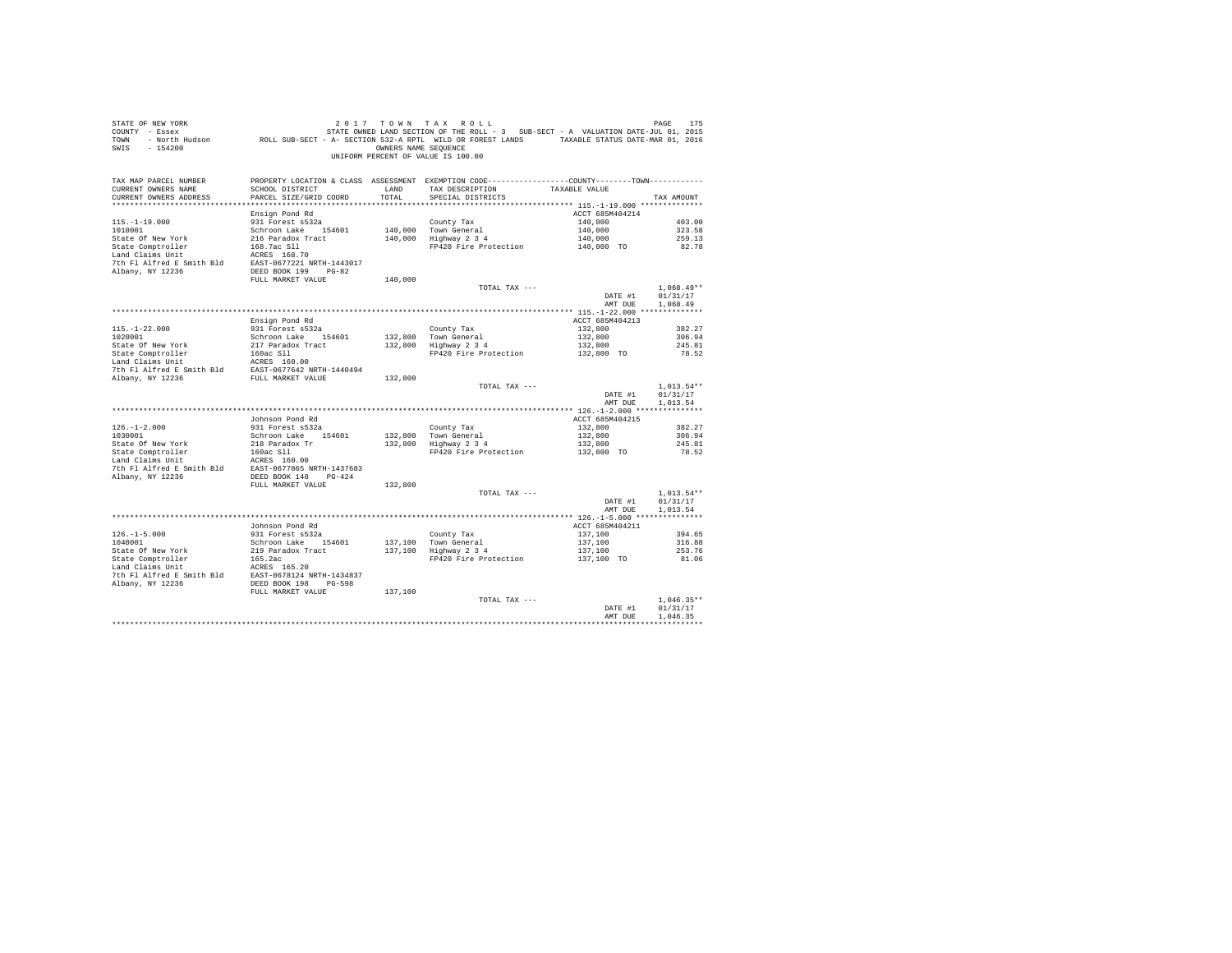| STATE OF NEW YORK<br>SWIS - 154200                                                                                                                                   |                                           |               | 2017 TOWN TAX ROLL<br>OWNERS NAME SEQUENCE<br>UNIFORM PERCENT OF VALUE IS 100.00                                                      |                                             | PAGE<br>175              |
|----------------------------------------------------------------------------------------------------------------------------------------------------------------------|-------------------------------------------|---------------|---------------------------------------------------------------------------------------------------------------------------------------|---------------------------------------------|--------------------------|
| TAX MAP PARCEL NUMBER<br>CURRENT OWNERS NAME<br>CURRENT OWNERS ADDRESS<br>************************                                                                   | SCHOOL DISTRICT<br>PARCEL SIZE/GRID COORD | LAND<br>TOTAL | PROPERTY LOCATION & CLASS ASSESSMENT EXEMPTION CODE---------------COUNTY-------TOWN----------<br>TAX DESCRIPTION<br>SPECIAL DISTRICTS | TAXABLE VALUE                               | TAX AMOUNT               |
|                                                                                                                                                                      | Ensign Pond Rd                            |               |                                                                                                                                       | ACCT 685M404214                             |                          |
| $115. - 1 - 19.000$                                                                                                                                                  | 931 Forest s532a                          |               | County Tax                                                                                                                            | 140,000                                     | 403.00                   |
| 1010001                                                                                                                                                              | Schroon Lake 154601                       |               | 140.000 Town General                                                                                                                  | 140,000                                     | 323.58                   |
| State Of New York                                                                                                                                                    | 216 Paradox Tract                         |               | 140,000 10wii denerai<br>140,000 Highway 2 3 4                                                                                        | 140,000<br>140,000 TO                       | 259.13                   |
| State Comptroller<br>Land Claims Unit                                                                                                                                | 168.7ac Sll<br>ACRES 168.70               |               | FP420 Fire Protection                                                                                                                 |                                             | 82.78                    |
|                                                                                                                                                                      |                                           |               |                                                                                                                                       |                                             |                          |
| 7th F1 Alfred E Smith B1d<br>BAST-0677221 NRTH-1443017<br>Albany, NY 12236<br>BEED BOOK 199 PG-82                                                                    |                                           |               |                                                                                                                                       |                                             |                          |
|                                                                                                                                                                      | FULL MARKET VALUE                         | 140,000       |                                                                                                                                       |                                             |                          |
|                                                                                                                                                                      |                                           |               | TOTAL TAX ---                                                                                                                         | DATE #1                                     | $1.068.49**$<br>01/31/17 |
|                                                                                                                                                                      |                                           |               |                                                                                                                                       | AMT DUE                                     | 1,068.49                 |
|                                                                                                                                                                      |                                           |               |                                                                                                                                       |                                             |                          |
|                                                                                                                                                                      | Ensign Pond Rd                            |               |                                                                                                                                       | ACCT 685M404213                             |                          |
| $115.-1-22.000$<br>$1020001$                                                                                                                                         | 931 Forest s532a<br>Schroon Lake 154601   |               | County Tax                                                                                                                            | 132,800<br>132,800                          | 382.27<br>306.94         |
| State Of New York                                                                                                                                                    | 217 Paradox Tract                         |               | Councy rax<br>132,800 Town General<br>132,800 Highway 2 3 4                                                                           | 132,800                                     | 245.81                   |
| State Comptroller<br>Land Claims Unit                                                                                                                                | 160ac Sll                                 |               | FP420 Fire Protection                                                                                                                 | 132,800 TO                                  | 78.52                    |
|                                                                                                                                                                      | ACRES 160.00                              |               |                                                                                                                                       |                                             |                          |
| 7th Fl Alfred E Smith Bld EAST-0677642 NRTH-1440494                                                                                                                  |                                           |               |                                                                                                                                       |                                             |                          |
| Albany, NY 12236                                                                                                                                                     | FULL MARKET VALUE                         | 132,800       | TOTAL TAX ---                                                                                                                         |                                             | $1.013.54**$             |
|                                                                                                                                                                      |                                           |               |                                                                                                                                       | DATE #1                                     | 01/31/17                 |
|                                                                                                                                                                      |                                           |               |                                                                                                                                       | AMT DUE                                     | 1.013.54                 |
|                                                                                                                                                                      |                                           |               |                                                                                                                                       |                                             |                          |
|                                                                                                                                                                      | Johnson Pond Rd                           |               |                                                                                                                                       | ACCT 685M404215                             |                          |
| $126. - 1 - 2.000$<br>1030001                                                                                                                                        | 931 Forest s532a<br>Schroon Lake 154601   |               | County Tax<br>132,800 Town General                                                                                                    | 132,800<br>132,800                          | 382.27<br>306.94         |
| State Of New York                                                                                                                                                    | 218 Paradox Tr                            |               | 132,800 Town General<br>132,800 Highway 2 3 4                                                                                         | 132,800                                     | 245.81                   |
| State Comptroller<br>Land Claims Unit                                                                                                                                | 160ac Sll                                 |               | FP420 Fire Protection                                                                                                                 | 132,800 TO                                  | 78.52                    |
| $\begin{tabular}{llll} \texttt{Land Clains Unit} & \texttt{ACRES} & 160.00 \\ \texttt{7th Fl Alfred E Smith Bld} & \texttt{EAST-0677865 NRTH-1437683} \end{tabular}$ |                                           |               |                                                                                                                                       |                                             |                          |
|                                                                                                                                                                      | DEED BOOK 148 PG-424                      |               |                                                                                                                                       |                                             |                          |
| Albany, NY 12236                                                                                                                                                     | FULL MARKET VALUE                         | 132,800       |                                                                                                                                       |                                             |                          |
|                                                                                                                                                                      |                                           |               | TOTAL TAX ---                                                                                                                         |                                             | $1.013.54**$             |
|                                                                                                                                                                      |                                           |               |                                                                                                                                       | DATE #1                                     | 01/31/17                 |
|                                                                                                                                                                      |                                           |               |                                                                                                                                       | AMT DUR                                     | 1.013.54                 |
|                                                                                                                                                                      |                                           |               |                                                                                                                                       |                                             |                          |
|                                                                                                                                                                      | Johnson Pond Rd<br>931 Forest s532a       |               | County Tax                                                                                                                            | ACCT 685M404211<br>137,100                  | 394.65                   |
| $126. -1 - 5.000$<br>$1040001$                                                                                                                                       | Schroon Lake 154601                       | 137,100       |                                                                                                                                       | 137,100                                     | 316.88                   |
| State Of New York                                                                                                                                                    | 219 Paradox Tract                         |               | Councy rax<br>137,100 Town General<br>137,100 Highway 2 3 4                                                                           | 137,100                                     | 253.76                   |
| State Comptroller<br>Land Claims Unit                                                                                                                                | 165.2ac                                   |               | FP420 Fire Protection                                                                                                                 | 137,100 TO                                  | 81.06                    |
|                                                                                                                                                                      | ACRES 165.20                              |               |                                                                                                                                       |                                             |                          |
| 7th Fl Alfred E Smith Bld EAST-0678124 NRTH-1434837<br>Albany, NY 12236                                                                                              | DEED BOOK 198 PG-598                      |               |                                                                                                                                       |                                             |                          |
|                                                                                                                                                                      | FULL MARKET VALUE                         | 137,100       |                                                                                                                                       |                                             |                          |
|                                                                                                                                                                      |                                           |               | TOTAL TAX ---                                                                                                                         |                                             | $1.046.35**$             |
|                                                                                                                                                                      |                                           |               |                                                                                                                                       | DATE #1                                     | 01/31/17                 |
|                                                                                                                                                                      |                                           |               |                                                                                                                                       | AMT DUE<br>******************************** | 1.046.35                 |
|                                                                                                                                                                      |                                           |               |                                                                                                                                       |                                             |                          |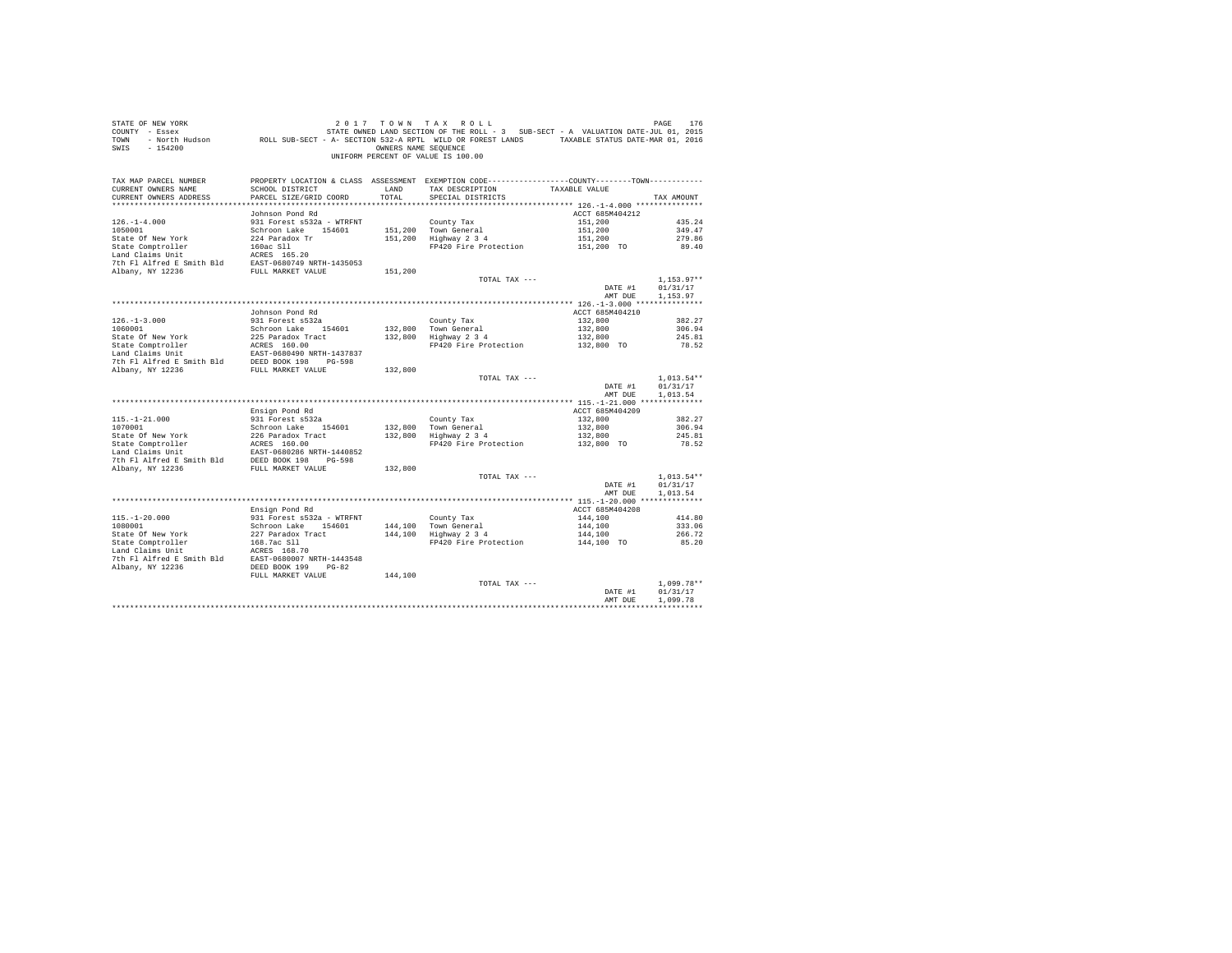| COUNTY - Essex<br>TOWN<br>$-154200$<br>SWTS         | - North Hudson MCLL SUB-SECT - A- SECTION 532-A RPTL WILD OR FOREST LANDS TAXABLE STATUS DATE-MAR 01, 2016                              | OWNERS NAME SEQUENCE | STATE OWNED LAND SECTION OF THE ROLL - 3 SUB-SECT - A VALUATION DATE-JUL 01, 2015               |                       |                      |
|-----------------------------------------------------|-----------------------------------------------------------------------------------------------------------------------------------------|----------------------|-------------------------------------------------------------------------------------------------|-----------------------|----------------------|
|                                                     |                                                                                                                                         |                      | UNIFORM PERCENT OF VALUE IS 100.00                                                              |                       |                      |
| TAX MAP PARCEL NUMBER                               |                                                                                                                                         |                      | PROPERTY LOCATION & CLASS ASSESSMENT EXEMPTION CODE----------------COUNTY--------TOWN---------- |                       |                      |
| CURRENT OWNERS NAME                                 | SCHOOL DISTRICT                                                                                                                         | LAND                 | TAX DESCRIPTION                                                                                 | TAXABLE VALUE         |                      |
| CURRENT OWNERS ADDRESS                              | PARCEL SIZE/GRID COORD                                                                                                                  | TOTAL                | SPECIAL DISTRICTS                                                                               |                       | TAX AMOUNT           |
|                                                     | Johnson Pond Rd                                                                                                                         |                      |                                                                                                 | ACCT 685M404212       |                      |
| $126. - 1 - 4.000$                                  | 931 Forest s532a - WTRFNT                                                                                                               |                      | County Tax                                                                                      | 151,200               | 435.24               |
| 1050001                                             | Schroon Lake 154601                                                                                                                     |                      | 151,200 Town General                                                                            | 151,200               | 349.47               |
| State Of New York                                   | 224 Paradox Tr                                                                                                                          |                      | 151,200 Highway 2 3 4                                                                           | 151,200               | 279.86               |
|                                                     |                                                                                                                                         |                      | FP420 Fire Protection                                                                           | 151,200 TO            | 89.40                |
|                                                     | State Comptroller 160ac S11<br>Land Claims Unit<br>Dan Claims Unit 160ac S169.20<br>7th Fl Alfred E Smith Bld EAST-0680749 NRTH-1435053 |                      |                                                                                                 |                       |                      |
|                                                     |                                                                                                                                         |                      |                                                                                                 |                       |                      |
| Albany, NY 12236                                    | FULL MARKET VALUE                                                                                                                       | 151,200              |                                                                                                 |                       |                      |
|                                                     |                                                                                                                                         |                      | TOTAL TAX ---                                                                                   |                       | $1.153.97**$         |
|                                                     |                                                                                                                                         |                      |                                                                                                 | DATE #1               | 01/31/17             |
|                                                     |                                                                                                                                         |                      |                                                                                                 | AMT DUE               | 1,153.97             |
|                                                     |                                                                                                                                         |                      |                                                                                                 |                       |                      |
|                                                     | Johnson Pond Rd                                                                                                                         |                      |                                                                                                 | ACCT 685M404210       |                      |
| $126. - 1 - 3.000$                                  | 931 Forest s532a                                                                                                                        |                      | County Tax                                                                                      | 132,800               | 382.27               |
| 1060001                                             | Schroon Lake 154601                                                                                                                     |                      | 132.800 Town General<br>132,800 Highway 2 3 4                                                   | 132,800               | 306.94               |
|                                                     |                                                                                                                                         |                      |                                                                                                 | 132,800<br>132,800 TO | 245.81               |
|                                                     |                                                                                                                                         |                      | FP420 Fire Protection                                                                           |                       | 78.52                |
|                                                     |                                                                                                                                         |                      |                                                                                                 |                       |                      |
|                                                     |                                                                                                                                         | 132,800              |                                                                                                 |                       |                      |
|                                                     |                                                                                                                                         |                      | TOTAL TAX ---                                                                                   |                       | $1,013.54**$         |
|                                                     |                                                                                                                                         |                      |                                                                                                 | DATE #1               | 01/31/17             |
|                                                     |                                                                                                                                         |                      |                                                                                                 | AMT DUE               | 1,013.54             |
|                                                     |                                                                                                                                         |                      |                                                                                                 |                       |                      |
|                                                     | Ensign Pond Rd                                                                                                                          |                      |                                                                                                 | ACCT 685M404209       |                      |
| $115. - 1 - 21.000$                                 | 931 Forest s532a                                                                                                                        |                      | County Tax                                                                                      | 132,800               | 382.27               |
|                                                     |                                                                                                                                         | 132,800              | Town General<br>Highway 2 3 4                                                                   | 132,800               | 306.94               |
|                                                     |                                                                                                                                         | 132,800              |                                                                                                 | 132,800               | 245.81               |
|                                                     |                                                                                                                                         |                      | FP420 Fire Protection                                                                           | 132,800 TO            | 78.52                |
|                                                     |                                                                                                                                         |                      |                                                                                                 |                       |                      |
|                                                     | FULL MARKET VALUE                                                                                                                       | 132,800              |                                                                                                 |                       |                      |
| Albany, NY 12236                                    |                                                                                                                                         |                      | TOTAL TAX ---                                                                                   |                       | $1.013.54**$         |
|                                                     |                                                                                                                                         |                      |                                                                                                 | DATE #1               | 01/31/17             |
|                                                     |                                                                                                                                         |                      |                                                                                                 | AMT DUE               | 1,013.54             |
|                                                     |                                                                                                                                         |                      |                                                                                                 |                       |                      |
|                                                     | Ensign Pond Rd                                                                                                                          |                      |                                                                                                 | ACCT 685M404208       |                      |
| $115. - 1 - 20.000$                                 | 931 Forest s532a - WTRFNT                                                                                                               |                      |                                                                                                 | 144,100               | 414.80               |
| 1080001                                             | Schroon Lake 154601                                                                                                                     |                      | County Tax<br>144,100 Town General<br>144,100 Highway 2 3 4                                     | 144,100               | 333.06               |
| State Of New York                                   | 227 Paradox Tract                                                                                                                       |                      |                                                                                                 | 144,100               | 266.72               |
| State Comptroller                                   | 168.7ac S11<br>ACRES 168.70                                                                                                             |                      | FP420 Fire Protection 144,100 TO                                                                |                       | 85.20                |
| Land Claims Unit                                    |                                                                                                                                         |                      |                                                                                                 |                       |                      |
| 7th Fl Alfred E Smith Bld EAST-0680007 NRTH-1443548 |                                                                                                                                         |                      |                                                                                                 |                       |                      |
| Albany, NY 12236                                    | DEED BOOK 199 PG-82                                                                                                                     |                      |                                                                                                 |                       |                      |
|                                                     | FULL MARKET VALUE                                                                                                                       | 144,100              |                                                                                                 |                       |                      |
|                                                     |                                                                                                                                         |                      | TOTAL TAX ---                                                                                   |                       | $1.099.78**$         |
|                                                     |                                                                                                                                         |                      |                                                                                                 | DATE #1<br>AMT DUE    | 01/31/17<br>1,099.78 |
|                                                     |                                                                                                                                         |                      |                                                                                                 |                       |                      |
|                                                     |                                                                                                                                         |                      |                                                                                                 |                       |                      |

STATE OF NEW YORK **2017** TOWN TAX ROLL **PAGE 176**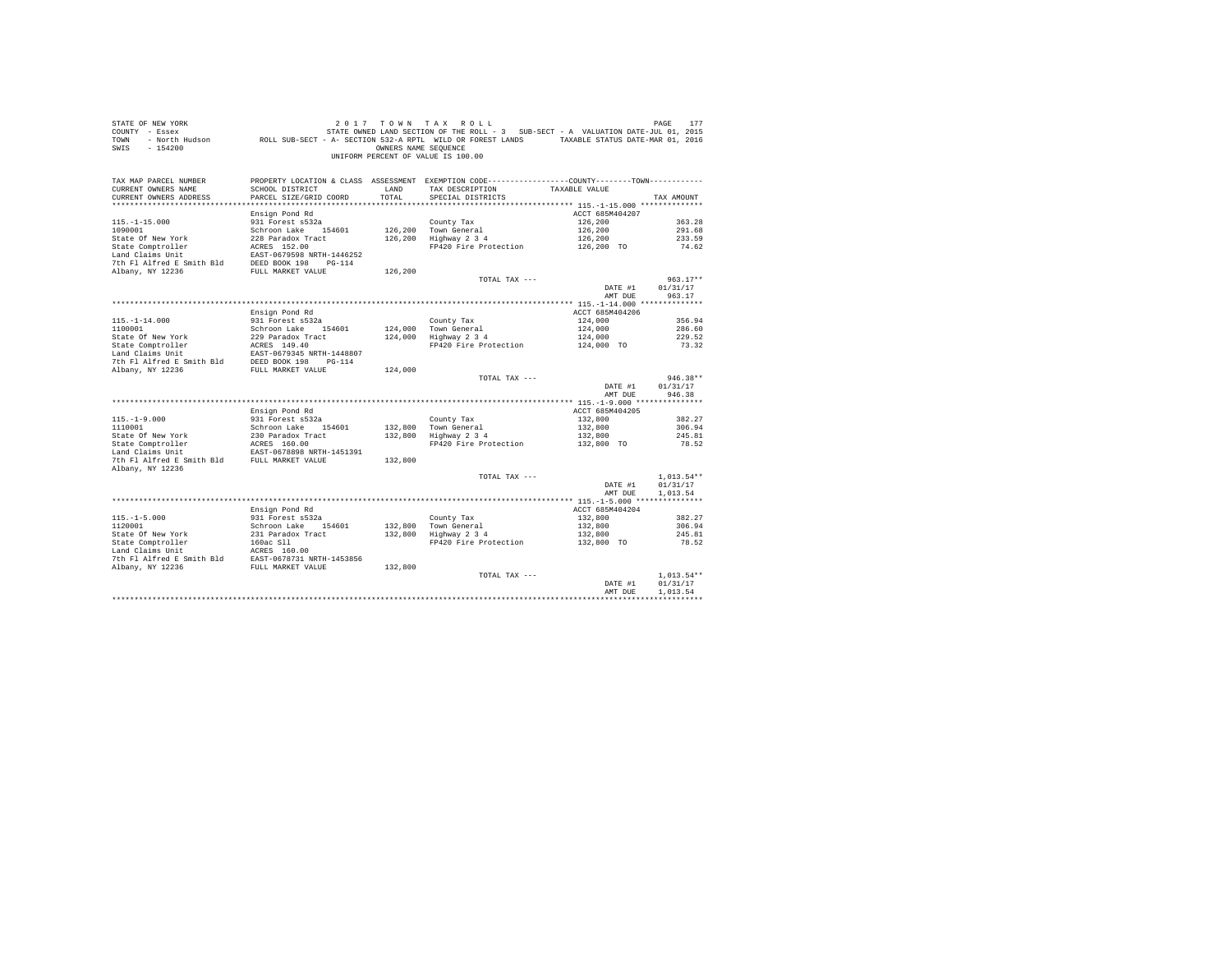| STATE OF NEW YORK<br>COUNTY - Essex<br>TOWN<br>$-154200$<br>SWIS       | DE NEW YORK TREE 177 OF MET A LACE 177 OF MET A LACE 177 OF MET A LACE 177<br>- Essex STATE OWNED LAND SECTION OF THE ROLL - 3 SUB-SECT - A VALUATION DATE-JUL 01, 2015<br>- North Hudson     ROLL SUB-SECT - A - SECTION 532-A RPT | OWNERS NAME SEOUENCE | 2017 TOWN TAX ROLL<br>UNIFORM PERCENT OF VALUE IS 100.00                                                                             |                 | PAGE<br>177          |
|------------------------------------------------------------------------|-------------------------------------------------------------------------------------------------------------------------------------------------------------------------------------------------------------------------------------|----------------------|--------------------------------------------------------------------------------------------------------------------------------------|-----------------|----------------------|
| TAX MAP PARCEL NUMBER<br>CURRENT OWNERS NAME<br>CURRENT OWNERS ADDRESS | SCHOOL DISTRICT<br>PARCEL SIZE/GRID COORD                                                                                                                                                                                           | LAND<br>TOTAL        | PROPERTY LOCATION & CLASS ASSESSMENT EXEMPTION CODE---------------COUNTY-------TOWN---------<br>TAX DESCRIPTION<br>SPECIAL DISTRICTS | TAXABLE VALUE   | TAX AMOUNT           |
|                                                                        | Ensign Pond Rd                                                                                                                                                                                                                      |                      |                                                                                                                                      | ACCT 685M404207 |                      |
| $115. - 1 - 15.000$                                                    | 931 Forest s532a                                                                                                                                                                                                                    |                      | County Tax                                                                                                                           | 126,200         | 363.28               |
| 1090001                                                                | Schroon Lake 154601                                                                                                                                                                                                                 |                      | 126,200 Town General                                                                                                                 | 126,200         | 291.68               |
| State Of New York                                                      | 228 Paradox Tract                                                                                                                                                                                                                   |                      | 126,200 Highway 2 3 4                                                                                                                | 126,200         | 233.59               |
| State Comptroller                                                      | ACRES 152.00                                                                                                                                                                                                                        |                      | FP420 Fire Protection 126,200 TO                                                                                                     |                 | 74.62                |
| Land Claims Unit                                                       | EAST-0679598 NRTH-1446252                                                                                                                                                                                                           |                      |                                                                                                                                      |                 |                      |
| 7th Fl Alfred E Smith Bld DEED BOOK 198 PG-114                         |                                                                                                                                                                                                                                     |                      |                                                                                                                                      |                 |                      |
| Albany, NY 12236                                                       | FULL MARKET VALUE                                                                                                                                                                                                                   | 126,200              | TOTAL TAX ---                                                                                                                        |                 | $963.17**$           |
|                                                                        |                                                                                                                                                                                                                                     |                      |                                                                                                                                      | DATE #1         | 01/31/17             |
|                                                                        |                                                                                                                                                                                                                                     |                      |                                                                                                                                      | AMT DUE         | 963.17               |
|                                                                        |                                                                                                                                                                                                                                     |                      |                                                                                                                                      |                 |                      |
|                                                                        | Ensign Pond Rd                                                                                                                                                                                                                      |                      |                                                                                                                                      | ACCT 685M404206 |                      |
| $115. - 1 - 14.000$                                                    | 931 Forest s532a                                                                                                                                                                                                                    |                      | County Tax                                                                                                                           | 124,000         | 356.94               |
| 1100001<br>State Of New York                                           | Schroon Lake 154601<br>229 Paradox Tract                                                                                                                                                                                            |                      | 124,000 Town General<br>124,000 Highway 2 3 4                                                                                        | 124,000         | 286.60               |
|                                                                        | 229 Paradox Tract<br>ACRES 149.40<br>---- 255215 ----                                                                                                                                                                               |                      | $\frac{34}{124,000}$<br>FP420 Fire Protection $\frac{124,000}{124,000}$ TO                                                           |                 | 229.52<br>73.32      |
| State Comptroller<br>Land Claims Unit                                  | EAST-0679345 NRTH-1448807                                                                                                                                                                                                           |                      |                                                                                                                                      |                 |                      |
|                                                                        |                                                                                                                                                                                                                                     |                      |                                                                                                                                      |                 |                      |
| 7th F1 Alfred E Smith Bld<br>Albany, NY 12236<br>FULL MARKET VALUE     |                                                                                                                                                                                                                                     | 124,000              |                                                                                                                                      |                 |                      |
|                                                                        |                                                                                                                                                                                                                                     |                      | TOTAL TAX ---                                                                                                                        | DATE #1         | 946.38**<br>01/31/17 |
|                                                                        |                                                                                                                                                                                                                                     |                      |                                                                                                                                      | AMT DUE         | 946.38               |
|                                                                        | Ensign Pond Rd                                                                                                                                                                                                                      |                      |                                                                                                                                      | ACCT 685M404205 |                      |
| $115. - 1 - 9.000$                                                     | 931 Forest s532a                                                                                                                                                                                                                    |                      | County Tax                                                                                                                           | 132,800         | 382.27               |
| 1110001                                                                | Schroon Lake 154601                                                                                                                                                                                                                 |                      |                                                                                                                                      | 132,800         | 306.94               |
| 1110001<br>State Of New York<br>State Comptroller                      | 230 Paradox Tract<br>ACRES 160.00                                                                                                                                                                                                   |                      | 132,800 Town General<br>132,800 Highway 2 3 4                                                                                        | 132,800         | 245.81               |
|                                                                        |                                                                                                                                                                                                                                     |                      | FP420 Fire Protection 132,800 TO                                                                                                     |                 | 78.52                |
|                                                                        | EAST-0678898 NRTH-1451391                                                                                                                                                                                                           |                      |                                                                                                                                      |                 |                      |
| 7th F1 Alfred E Smith Bld FULL MARKET VALUE                            |                                                                                                                                                                                                                                     | 132,800              |                                                                                                                                      |                 |                      |
| Albany, NY 12236                                                       |                                                                                                                                                                                                                                     |                      | TOTAL TAX ---                                                                                                                        |                 | $1.013.54**$         |
|                                                                        |                                                                                                                                                                                                                                     |                      |                                                                                                                                      | DATE #1         | 01/31/17             |
|                                                                        |                                                                                                                                                                                                                                     |                      |                                                                                                                                      | AMT DUE         | 1,013.54             |
|                                                                        |                                                                                                                                                                                                                                     |                      |                                                                                                                                      |                 |                      |
|                                                                        | Ensign Pond Rd                                                                                                                                                                                                                      |                      |                                                                                                                                      | ACCT 685M404204 |                      |
| $115. - 1 - 5.000$                                                     | 931 Forest s532a                                                                                                                                                                                                                    |                      | County Tax                                                                                                                           | 132,800         | 382.27               |
| 1120001                                                                | Schroon Lake 154601                                                                                                                                                                                                                 |                      | 132,800 Town General<br>132,800 Highway 2 3 4                                                                                        | 132,800         | 306.94               |
|                                                                        |                                                                                                                                                                                                                                     |                      | Highway 2 3 4 132,800<br>FP420 Fire Protection 132,800 TO                                                                            |                 | 245.81<br>78.52      |
|                                                                        |                                                                                                                                                                                                                                     |                      |                                                                                                                                      |                 |                      |
|                                                                        |                                                                                                                                                                                                                                     |                      |                                                                                                                                      |                 |                      |
|                                                                        |                                                                                                                                                                                                                                     |                      |                                                                                                                                      |                 |                      |
|                                                                        |                                                                                                                                                                                                                                     |                      | TOTAL TAX ---                                                                                                                        |                 | $1.013.54**$         |
|                                                                        |                                                                                                                                                                                                                                     |                      |                                                                                                                                      | DATE #1         | 01/31/17             |
|                                                                        |                                                                                                                                                                                                                                     |                      |                                                                                                                                      | AMT DUE         | 1,013.54             |
|                                                                        |                                                                                                                                                                                                                                     |                      |                                                                                                                                      |                 |                      |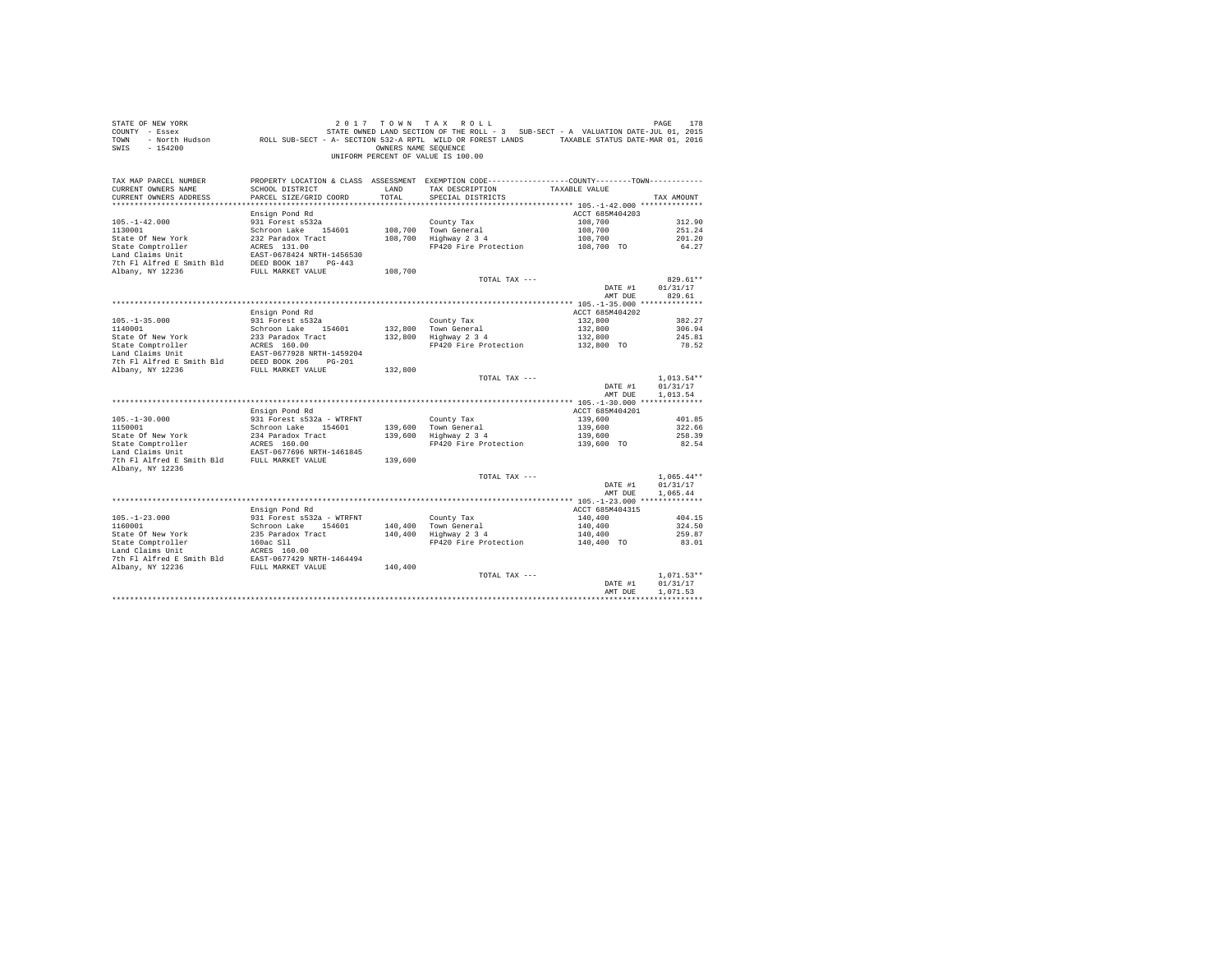| STATE OF NEW YORK<br>COUNTY - Essex<br>TOWN<br>$-154200$<br>SWIS       |                                                                               | OWNERS NAME SEOUENCE | 2017 TOWN TAX ROLL<br>DE RAGE 178 בDAT 17 ON N TAX ROLL בDE RAGE 178 בDAT 170 M TAX ROLL בDATA VIEW 178 2 179 EAGE 178<br>- Essex STATE OWNED LAND SECTION OF THE ROLL - 3 SUB-SECT - A VALUATION DATE-JUL 01, 2015<br>- North Hudson     ROLL SUB-SECT -<br>UNIFORM PERCENT OF VALUE IS 100.00 |                       | PAGE<br>178          |
|------------------------------------------------------------------------|-------------------------------------------------------------------------------|----------------------|-------------------------------------------------------------------------------------------------------------------------------------------------------------------------------------------------------------------------------------------------------------------------------------------------|-----------------------|----------------------|
| TAX MAP PARCEL NUMBER<br>CURRENT OWNERS NAME<br>CURRENT OWNERS ADDRESS | SCHOOL DISTRICT<br>PARCEL SIZE/GRID COORD                                     | LAND<br>TOTAL        | PROPERTY LOCATION & CLASS ASSESSMENT EXEMPTION CODE---------------COUNTY-------TOWN----------<br>TAX DESCRIPTION<br>SPECIAL DISTRICTS                                                                                                                                                           | TAXABLE VALUE         | TAX AMOUNT           |
|                                                                        | Ensign Pond Rd                                                                |                      |                                                                                                                                                                                                                                                                                                 | ACCT 685M404203       |                      |
| $105. - 1 - 42.000$                                                    | 931 Forest s532a                                                              |                      | County Tax                                                                                                                                                                                                                                                                                      | 108,700               | 312.90               |
| 1130001                                                                | Schroon Lake 154601                                                           |                      | 108,700 Town General                                                                                                                                                                                                                                                                            | 108,700               | 251.24               |
| State Of New York                                                      | 232 Paradox Tract                                                             |                      | 108,700 Highway 2 3 4                                                                                                                                                                                                                                                                           | 108,700               | 201.20               |
| State Comptroller                                                      | ACRES 131.00                                                                  |                      | FP420 Fire Protection 108,700 TO                                                                                                                                                                                                                                                                |                       | 64.27                |
| Land Claims Unit                                                       | EAST-0678424 NRTH-1456530                                                     |                      |                                                                                                                                                                                                                                                                                                 |                       |                      |
| 7th Fl Alfred E Smith Bld DEED BOOK 187 PG-443                         |                                                                               |                      |                                                                                                                                                                                                                                                                                                 |                       |                      |
| Albany, NY 12236                                                       | FULL MARKET VALUE                                                             | 108,700              | TOTAL TAX ---                                                                                                                                                                                                                                                                                   |                       | $829.61**$           |
|                                                                        |                                                                               |                      |                                                                                                                                                                                                                                                                                                 | DATE #1               | 01/31/17             |
|                                                                        |                                                                               |                      |                                                                                                                                                                                                                                                                                                 | AMT DUE               | 829.61               |
|                                                                        |                                                                               |                      |                                                                                                                                                                                                                                                                                                 |                       |                      |
|                                                                        | Ensign Pond Rd                                                                |                      |                                                                                                                                                                                                                                                                                                 | ACCT 685M404202       |                      |
| $105. - 1 - 35.000$                                                    | 931 Forest s532a                                                              |                      | County Tax                                                                                                                                                                                                                                                                                      | 132,800               | 382.27               |
| 1140001                                                                | Schroon Lake 154601                                                           |                      | 132,800 Town General<br>132,800 Highway 2 3 4                                                                                                                                                                                                                                                   | 132,800               | 306.94               |
| State Of New York                                                      | 233 Paradox Tract                                                             |                      | Highway 2 3 4 132,800<br>FP420 Fire Protection 132,800 TO                                                                                                                                                                                                                                       |                       | 245.81<br>78.52      |
|                                                                        |                                                                               |                      |                                                                                                                                                                                                                                                                                                 |                       |                      |
|                                                                        |                                                                               |                      |                                                                                                                                                                                                                                                                                                 |                       |                      |
|                                                                        |                                                                               | 132,800              |                                                                                                                                                                                                                                                                                                 |                       |                      |
|                                                                        |                                                                               |                      | TOTAL TAX ---                                                                                                                                                                                                                                                                                   |                       | $1,013.54**$         |
|                                                                        |                                                                               |                      |                                                                                                                                                                                                                                                                                                 | DATE #1               | 01/31/17<br>1,013.54 |
|                                                                        |                                                                               |                      |                                                                                                                                                                                                                                                                                                 | AMT DUE               |                      |
|                                                                        | Ensign Pond Rd                                                                |                      |                                                                                                                                                                                                                                                                                                 | ACCT 685M404201       |                      |
| $105. - 1 - 30.000$                                                    | 931 Forest s532a - WTRFNT                                                     |                      | County Tax                                                                                                                                                                                                                                                                                      | 139,600               | 401.85               |
| 1150001                                                                | Schroon Lake 154601                                                           |                      |                                                                                                                                                                                                                                                                                                 | 139,600               | 322.66               |
|                                                                        |                                                                               |                      | 139,600 Town General<br>139,600 Highway 2 3 4                                                                                                                                                                                                                                                   | 139,600               | 258.39               |
| 1150001<br>State Of New York<br>State Comptroller                      | $234$ Paradox Tract<br>ACRES 160.00                                           |                      | FP420 Fire Protection 139,600 TO                                                                                                                                                                                                                                                                |                       | 82.54                |
|                                                                        | EAST-0677696 NRTH-1461845                                                     |                      |                                                                                                                                                                                                                                                                                                 |                       |                      |
| 7th F1 Alfred E Smith Bld FULL MARKET VALUE<br>Albany, NY 12236        |                                                                               | 139,600              |                                                                                                                                                                                                                                                                                                 |                       |                      |
|                                                                        |                                                                               |                      | TOTAL TAX ---                                                                                                                                                                                                                                                                                   |                       | $1.065.44**$         |
|                                                                        |                                                                               |                      |                                                                                                                                                                                                                                                                                                 | DATE #1               | 01/31/17             |
|                                                                        |                                                                               |                      |                                                                                                                                                                                                                                                                                                 | AMT DUE               | 1.065.44             |
|                                                                        |                                                                               |                      |                                                                                                                                                                                                                                                                                                 |                       |                      |
|                                                                        | Ensign Pond Rd                                                                |                      |                                                                                                                                                                                                                                                                                                 | ACCT 685M404315       |                      |
| $105. - 1 - 23.000$                                                    | 931 Forest s532a - WTRFNT<br>931 Forest s532a - WTRFNT<br>Schroon Lake 154601 |                      | County Tax                                                                                                                                                                                                                                                                                      | 140,400               | 404.15               |
| 1160001                                                                |                                                                               |                      | County Tax<br>140,400 Town General<br>140,400 Highway 2 3 4                                                                                                                                                                                                                                     | 140,400               | 324.50               |
|                                                                        |                                                                               |                      | FP420 Fire Protection                                                                                                                                                                                                                                                                           | 140,400<br>140,400 TO | 259.87<br>83.01      |
|                                                                        |                                                                               |                      |                                                                                                                                                                                                                                                                                                 |                       |                      |
|                                                                        |                                                                               |                      |                                                                                                                                                                                                                                                                                                 |                       |                      |
|                                                                        |                                                                               |                      |                                                                                                                                                                                                                                                                                                 |                       |                      |
|                                                                        |                                                                               |                      | TOTAL TAX ---                                                                                                                                                                                                                                                                                   |                       | $1.071.53**$         |
|                                                                        |                                                                               |                      |                                                                                                                                                                                                                                                                                                 | DATE #1               | 01/31/17             |
|                                                                        |                                                                               |                      |                                                                                                                                                                                                                                                                                                 | AMT DUE               | 1,071.53             |
|                                                                        |                                                                               |                      |                                                                                                                                                                                                                                                                                                 |                       |                      |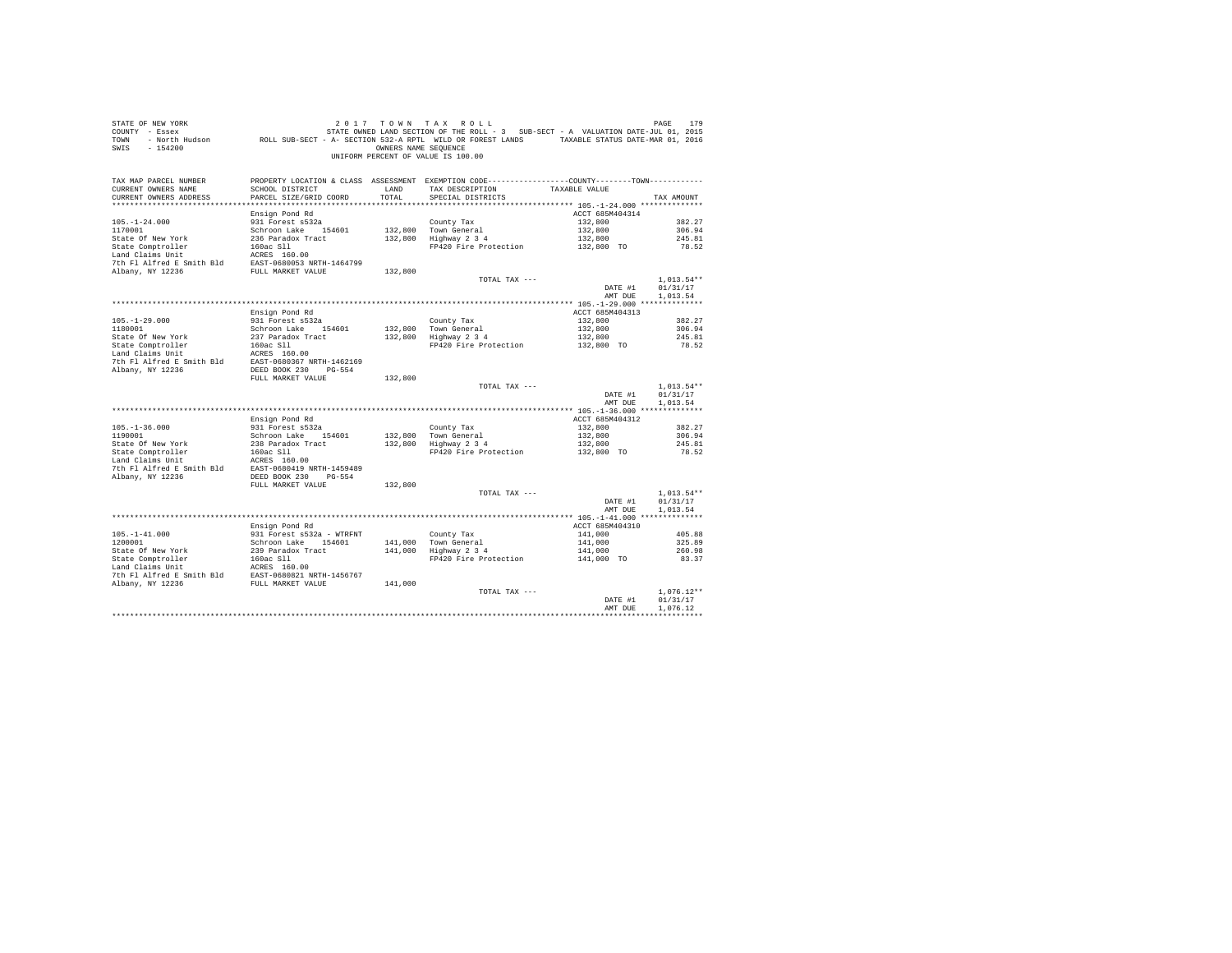| STATE OF NEW YORK<br>$COUNTY - Esgex$<br>TOWN<br>SWIS - 154200                                                                                                                                                                                                                               |                                                  | OWNERS NAME SEOUENCE | 2017 TOWN TAX ROLL<br>DE NEW YORK TREE 179 (1998) 2017 TO WINT A X ROLL<br>The Resex STATE OWED LAND SECTION OF THE ROLL - 3 SUB-SECT - A VALUATION DATE-JUL 01, 2015<br>ROLL SUB-SECT - A SECTION 532-A RPTL WILD OR FOREST LANDS TAXABLE STATUS DATE-MA<br>UNIFORM PERCENT OF VALUE IS 100.00 |                            |                  |
|----------------------------------------------------------------------------------------------------------------------------------------------------------------------------------------------------------------------------------------------------------------------------------------------|--------------------------------------------------|----------------------|-------------------------------------------------------------------------------------------------------------------------------------------------------------------------------------------------------------------------------------------------------------------------------------------------|----------------------------|------------------|
| TAX MAP PARCEL NUMBER<br>CURRENT OWNERS NAME<br>CURRENT OWNERS ADDRESS                                                                                                                                                                                                                       | SCHOOL DISTRICT<br>PARCEL SIZE/GRID COORD        | LAND<br>TOTAL.       | PROPERTY LOCATION & CLASS ASSESSMENT EXEMPTION CODE----------------COUNTY--------TOWN----------<br>TAX DESCRIPTION<br>SPECIAL DISTRICTS                                                                                                                                                         | TAXABLE VALUE              | TAX AMOUNT       |
|                                                                                                                                                                                                                                                                                              | Ensign Pond Rd                                   |                      |                                                                                                                                                                                                                                                                                                 | ACCT 685M404314            |                  |
| $105. - 1 - 24.000$                                                                                                                                                                                                                                                                          | 931 Forest s532a                                 |                      | County Tax                                                                                                                                                                                                                                                                                      | 132,800                    | 382.27           |
| 1170001                                                                                                                                                                                                                                                                                      | Schroon Lake 154601                              |                      | 132,800 Town General<br>132,800 Highway 2 3 4                                                                                                                                                                                                                                                   | 132,800                    | 306.94           |
| State Of New York                                                                                                                                                                                                                                                                            | 236 Paradox Tract                                |                      |                                                                                                                                                                                                                                                                                                 | 132,800<br>132,800 TO      | 245.81           |
|                                                                                                                                                                                                                                                                                              |                                                  |                      | FP420 Fire Protection                                                                                                                                                                                                                                                                           |                            | 78.52            |
|                                                                                                                                                                                                                                                                                              |                                                  |                      |                                                                                                                                                                                                                                                                                                 |                            |                  |
|                                                                                                                                                                                                                                                                                              |                                                  |                      |                                                                                                                                                                                                                                                                                                 |                            |                  |
|                                                                                                                                                                                                                                                                                              |                                                  |                      |                                                                                                                                                                                                                                                                                                 |                            |                  |
|                                                                                                                                                                                                                                                                                              |                                                  |                      | TOTAL TAX ---                                                                                                                                                                                                                                                                                   |                            | $1.013.54**$     |
|                                                                                                                                                                                                                                                                                              |                                                  |                      |                                                                                                                                                                                                                                                                                                 | DATE #1                    | 01/31/17         |
|                                                                                                                                                                                                                                                                                              |                                                  |                      |                                                                                                                                                                                                                                                                                                 | AMT DUE                    | 1,013.54         |
|                                                                                                                                                                                                                                                                                              |                                                  |                      |                                                                                                                                                                                                                                                                                                 |                            |                  |
|                                                                                                                                                                                                                                                                                              | Ensign Pond Rd                                   |                      |                                                                                                                                                                                                                                                                                                 | ACCT 685M404313            |                  |
| $105. -1 - 29.000$<br>1180001                                                                                                                                                                                                                                                                | 931 Forest s532a                                 |                      |                                                                                                                                                                                                                                                                                                 | 132,800                    | 382.27           |
|                                                                                                                                                                                                                                                                                              | Schroon Lake 154601                              |                      | County Tax<br>132,800 Town General<br>132,800 Highway 2 3 4                                                                                                                                                                                                                                     | 132,800<br>132,800         | 306.94<br>245.81 |
|                                                                                                                                                                                                                                                                                              |                                                  |                      | FP420 Fire Protection 132,800 TO                                                                                                                                                                                                                                                                |                            | 78.52            |
| State Of New York 237 Paradox Tract<br>State Comptroller 160ac S11<br>Land Claims Unit ACRES 160.00                                                                                                                                                                                          |                                                  |                      |                                                                                                                                                                                                                                                                                                 |                            |                  |
| 7th Fl Alfred E Smith Bld EAST-0680367 NRTH-1462169                                                                                                                                                                                                                                          |                                                  |                      |                                                                                                                                                                                                                                                                                                 |                            |                  |
| Albany, NY 12236                                                                                                                                                                                                                                                                             | DEED BOOK 230 PG-554                             |                      |                                                                                                                                                                                                                                                                                                 |                            |                  |
|                                                                                                                                                                                                                                                                                              | FULL MARKET VALUE                                | 132,800              |                                                                                                                                                                                                                                                                                                 |                            |                  |
|                                                                                                                                                                                                                                                                                              |                                                  |                      | TOTAL TAX ---                                                                                                                                                                                                                                                                                   |                            | $1,013.54**$     |
|                                                                                                                                                                                                                                                                                              |                                                  |                      |                                                                                                                                                                                                                                                                                                 | DATE #1                    | 01/31/17         |
|                                                                                                                                                                                                                                                                                              |                                                  |                      |                                                                                                                                                                                                                                                                                                 | AMT DUE                    | 1,013.54         |
|                                                                                                                                                                                                                                                                                              |                                                  |                      |                                                                                                                                                                                                                                                                                                 |                            |                  |
|                                                                                                                                                                                                                                                                                              | Ensign Pond Rd                                   |                      |                                                                                                                                                                                                                                                                                                 | ACCT 685M404312            |                  |
| $105. - 1 - 36.000$                                                                                                                                                                                                                                                                          | 931 Forest s532a                                 |                      |                                                                                                                                                                                                                                                                                                 | 132,800                    | 382.27           |
| 1190001                                                                                                                                                                                                                                                                                      | Schroon Lake 154601                              |                      |                                                                                                                                                                                                                                                                                                 | 132,800<br>132,800         | 306.94           |
|                                                                                                                                                                                                                                                                                              |                                                  |                      | County Tax<br>132,800 Town General<br>132,800 Highway 2 3 4                                                                                                                                                                                                                                     |                            | 245.81           |
|                                                                                                                                                                                                                                                                                              |                                                  |                      | FP420 Fire Protection                                                                                                                                                                                                                                                                           | 132,800 TO                 | 78.52            |
| $\begin{tabular}{lllllllllllll} \textbf{State Of New York} & & & & & & & \\ \textbf{State Of New York} & & & & & & \\ \textbf{State Congroneller} & & & & & 160a c S11 \\ \textbf{Land Claim S Unit} & & & & & & \\ \textbf{InC.} & & & & & & \\ \textbf{InC.} & & & & & & \\ \end{tabular}$ |                                                  |                      |                                                                                                                                                                                                                                                                                                 |                            |                  |
|                                                                                                                                                                                                                                                                                              |                                                  |                      |                                                                                                                                                                                                                                                                                                 |                            |                  |
| Albany, NY 12236                                                                                                                                                                                                                                                                             | DEED BOOK 230 PG-554                             |                      |                                                                                                                                                                                                                                                                                                 |                            |                  |
|                                                                                                                                                                                                                                                                                              | FULL MARKET VALUE                                | 132,800              |                                                                                                                                                                                                                                                                                                 |                            |                  |
|                                                                                                                                                                                                                                                                                              |                                                  |                      | TOTAL TAX ---                                                                                                                                                                                                                                                                                   |                            | $1.013.54**$     |
|                                                                                                                                                                                                                                                                                              |                                                  |                      |                                                                                                                                                                                                                                                                                                 | DATE #1                    | 01/31/17         |
|                                                                                                                                                                                                                                                                                              |                                                  |                      |                                                                                                                                                                                                                                                                                                 | AMT DUE                    | 1,013.54         |
|                                                                                                                                                                                                                                                                                              |                                                  |                      |                                                                                                                                                                                                                                                                                                 |                            |                  |
| $105. - 1 - 41.000$                                                                                                                                                                                                                                                                          | Ensign Pond Rd                                   |                      |                                                                                                                                                                                                                                                                                                 | ACCT 685M404310<br>141,000 | 405.88           |
| 1200001                                                                                                                                                                                                                                                                                      | 931 Forest s532a - WTRFNT<br>Schroon Lake 154601 |                      |                                                                                                                                                                                                                                                                                                 |                            | 325.89           |
|                                                                                                                                                                                                                                                                                              |                                                  |                      | County Tax<br>141,000 Town General<br>141,000 Highway 2 3 4                                                                                                                                                                                                                                     | 141,000<br>141,000         | 260.98           |
|                                                                                                                                                                                                                                                                                              |                                                  |                      | FP420 Fire Protection                                                                                                                                                                                                                                                                           | 141,000 TO                 | 83.37            |
|                                                                                                                                                                                                                                                                                              |                                                  |                      |                                                                                                                                                                                                                                                                                                 |                            |                  |
|                                                                                                                                                                                                                                                                                              |                                                  |                      |                                                                                                                                                                                                                                                                                                 |                            |                  |
|                                                                                                                                                                                                                                                                                              |                                                  | 141,000              |                                                                                                                                                                                                                                                                                                 |                            |                  |
|                                                                                                                                                                                                                                                                                              |                                                  |                      | TOTAL TAX ---                                                                                                                                                                                                                                                                                   |                            | $1.076.12**$     |
|                                                                                                                                                                                                                                                                                              |                                                  |                      |                                                                                                                                                                                                                                                                                                 | DATE #1                    | 01/31/17         |
|                                                                                                                                                                                                                                                                                              |                                                  |                      |                                                                                                                                                                                                                                                                                                 | AMT DUE                    | 1.076.12         |
|                                                                                                                                                                                                                                                                                              |                                                  |                      |                                                                                                                                                                                                                                                                                                 |                            | ************     |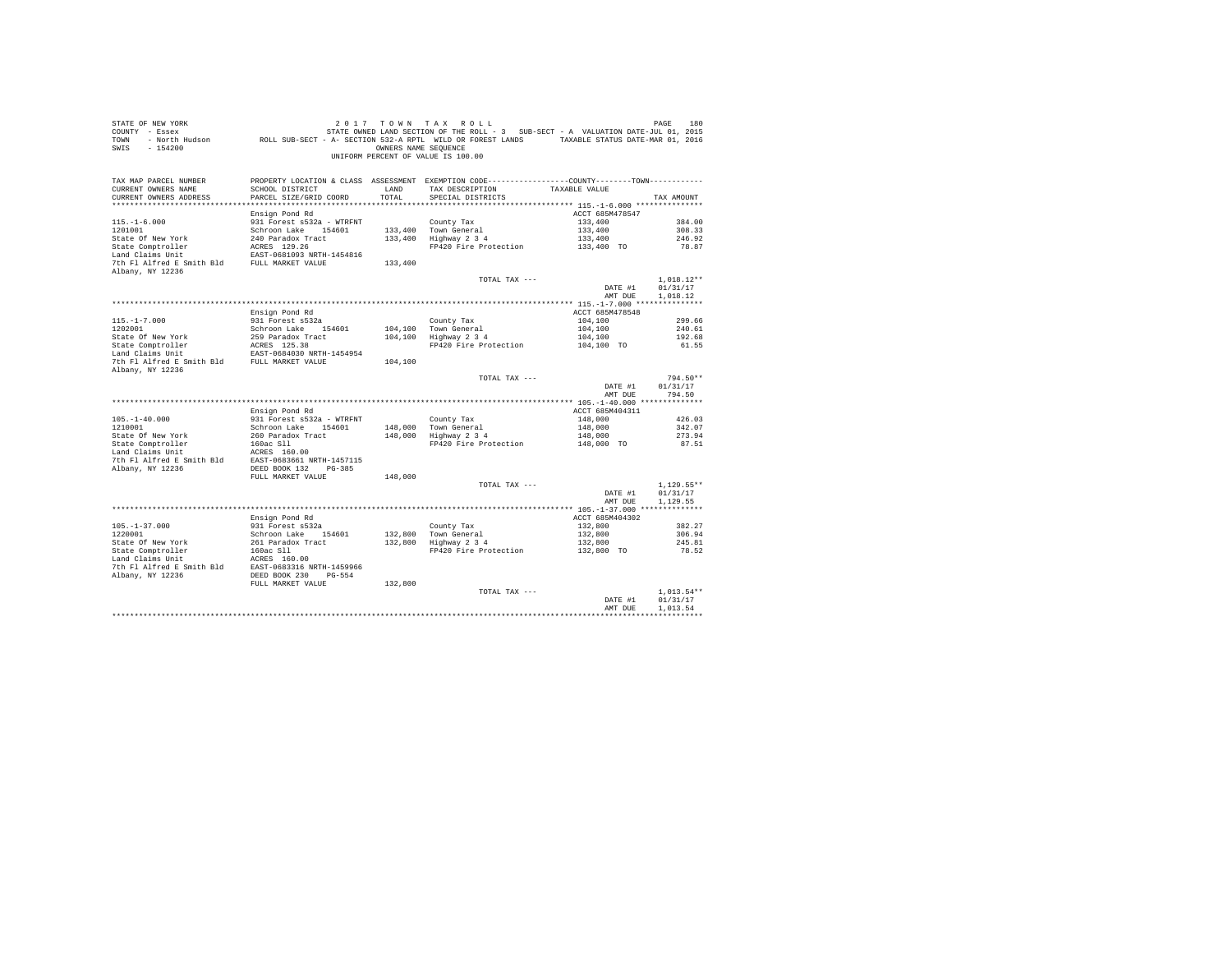| STATE OF NEW YORK<br>COUNTY - Essex<br>TOWN - North Hudson ROLL SUB-SECT - A- SECTION 532-A RPTL WILD OR FOREST LANDS TAXABLE STATUS DATE-MAR 01, 2016<br>SWIS - 154200                                                                                                                                                                                                                          |                                           | OWNERS NAME SEQUENCE | 2017 TOWN TAX ROLL<br>STATE OWNED LAND SECTION OF THE ROLL - 3 SUB-SECT - A VALUATION DATE-JUL 01, 2015<br>UNIFORM PERCENT OF VALUE IS 100.00 |                       | PAGE<br>180              |
|--------------------------------------------------------------------------------------------------------------------------------------------------------------------------------------------------------------------------------------------------------------------------------------------------------------------------------------------------------------------------------------------------|-------------------------------------------|----------------------|-----------------------------------------------------------------------------------------------------------------------------------------------|-----------------------|--------------------------|
| TAX MAP PARCEL NUMBER<br>CURRENT OWNERS NAME<br>CURRENT OWNERS ADDRESS                                                                                                                                                                                                                                                                                                                           | SCHOOL DISTRICT<br>PARCEL SIZE/GRID COORD | LAND<br>TOTAL.       | PROPERTY LOCATION & CLASS ASSESSMENT EXEMPTION CODE---------------COUNTY-------TOWN---------<br>TAX DESCRIPTION<br>SPECIAL DISTRICTS          | TAXABLE VALUE         | TAX AMOUNT               |
|                                                                                                                                                                                                                                                                                                                                                                                                  | Ensign Pond Rd                            |                      |                                                                                                                                               | ACCT 685M478547       |                          |
| $115. - 1 - 6.000$                                                                                                                                                                                                                                                                                                                                                                               | 931 Forest s532a - WTRFNT                 |                      | County Tax                                                                                                                                    | 133,400               | 384.00                   |
| 1201001                                                                                                                                                                                                                                                                                                                                                                                          | Schroon Lake 154601                       |                      | 133,400 Town General<br>133,400 Highway 2 3 4                                                                                                 | 133,400               | 308.33                   |
| State Of New York                                                                                                                                                                                                                                                                                                                                                                                | 240 Paradox Tract                         |                      |                                                                                                                                               | 133,400               | 246.92                   |
| State Comptroller                                                                                                                                                                                                                                                                                                                                                                                | ACRES 129.26                              |                      | FP420 Fire Protection                                                                                                                         | 133,400 TO            | 78.87                    |
| Land Claims Unit                                                                                                                                                                                                                                                                                                                                                                                 | EAST-0681093 NRTH-1454816                 |                      |                                                                                                                                               |                       |                          |
| 7th Fl Alfred E Smith Bld FULL MARKET VALUE<br>Albany, NY 12236                                                                                                                                                                                                                                                                                                                                  |                                           | 133,400              |                                                                                                                                               |                       |                          |
|                                                                                                                                                                                                                                                                                                                                                                                                  |                                           |                      | TOTAL TAX ---                                                                                                                                 |                       | $1.018.12**$             |
|                                                                                                                                                                                                                                                                                                                                                                                                  |                                           |                      |                                                                                                                                               | DATE #1               | 01/31/17                 |
|                                                                                                                                                                                                                                                                                                                                                                                                  |                                           |                      |                                                                                                                                               | AMT DUE               | 1,018.12                 |
|                                                                                                                                                                                                                                                                                                                                                                                                  |                                           |                      |                                                                                                                                               |                       |                          |
|                                                                                                                                                                                                                                                                                                                                                                                                  | Ensign Pond Rd                            |                      |                                                                                                                                               | ACCT 685M478548       |                          |
| $115. - 1 - 7.000$                                                                                                                                                                                                                                                                                                                                                                               | 931 Forest s532a                          |                      | County Tax                                                                                                                                    | 104,100               | 299.66                   |
| 1202001                                                                                                                                                                                                                                                                                                                                                                                          | Schroon Lake 154601                       |                      | 104,100 Town General                                                                                                                          | 104,100               | 240.61                   |
|                                                                                                                                                                                                                                                                                                                                                                                                  |                                           |                      | 104,100 Highway 2 3 4                                                                                                                         | 104,100               | 192.68                   |
| State Of New York<br>State Comptroller<br>ACRES 125.38<br>LANC Claims Unit Comptom REST-0684030 NRTH-1454954<br>The Plais Comptom Comptom Claims REST-0684030 NRTH-1454954                                                                                                                                                                                                                       |                                           |                      | FP420 Fire Protection                                                                                                                         | 104,100 TO            | 61.55                    |
| 7th F1 Alfred E Smith Bld FULL MARKET VALUE                                                                                                                                                                                                                                                                                                                                                      |                                           | 104,100              |                                                                                                                                               |                       |                          |
| Albany, NY 12236                                                                                                                                                                                                                                                                                                                                                                                 |                                           |                      |                                                                                                                                               |                       |                          |
|                                                                                                                                                                                                                                                                                                                                                                                                  |                                           |                      | TOTAL TAX ---                                                                                                                                 |                       | 794.50**                 |
|                                                                                                                                                                                                                                                                                                                                                                                                  |                                           |                      |                                                                                                                                               | DATE #1               | 01/31/17                 |
|                                                                                                                                                                                                                                                                                                                                                                                                  |                                           |                      |                                                                                                                                               | AMT DUE               | 794.50                   |
|                                                                                                                                                                                                                                                                                                                                                                                                  |                                           |                      |                                                                                                                                               |                       |                          |
|                                                                                                                                                                                                                                                                                                                                                                                                  | Ensign Pond Rd                            |                      |                                                                                                                                               | ACCT 685M404311       |                          |
| $105. - 1 - 40.000$                                                                                                                                                                                                                                                                                                                                                                              | 931 Forest s532a - WTRFNT                 |                      | County Tax                                                                                                                                    | 148,000               | 426.03                   |
| 1210001                                                                                                                                                                                                                                                                                                                                                                                          | Schroon Lake 154601                       |                      | 148,000 Town General<br>148,000 Highway 2 3 4                                                                                                 | 148,000               | 342.07<br>273.94         |
|                                                                                                                                                                                                                                                                                                                                                                                                  |                                           |                      | FP420 Fire Protection                                                                                                                         | 148,000<br>148,000 TO | 87.51                    |
| $\begin{tabular}{lllllllllll} & & \multicolumn{3}{c}{\footnotesize xov\ &\texttt{varadv Tract}}\\ \texttt{Land Claim Unit} & & \texttt{160a} \texttt{G11} \\ \texttt{And Claim Unit} & & \texttt{ACRES} \texttt{160.00} \\ \texttt{7th Fl Alfred E Smith B1d} & & \texttt{EAST-0683661 NRTH-1457115} \\ \texttt{Albany, NY 12236} & & \texttt{DEED B0OK 132} & & \texttt{MCTF} \\ \end{tabular}$ |                                           |                      |                                                                                                                                               |                       |                          |
|                                                                                                                                                                                                                                                                                                                                                                                                  |                                           |                      |                                                                                                                                               |                       |                          |
|                                                                                                                                                                                                                                                                                                                                                                                                  |                                           |                      |                                                                                                                                               |                       |                          |
|                                                                                                                                                                                                                                                                                                                                                                                                  |                                           | 148,000              |                                                                                                                                               |                       |                          |
|                                                                                                                                                                                                                                                                                                                                                                                                  |                                           |                      | TOTAL TAX ---                                                                                                                                 |                       | $1,129.55**$             |
|                                                                                                                                                                                                                                                                                                                                                                                                  |                                           |                      |                                                                                                                                               | DATE #1               | 01/31/17                 |
|                                                                                                                                                                                                                                                                                                                                                                                                  |                                           |                      |                                                                                                                                               | AMT DUE               | 1,129.55                 |
|                                                                                                                                                                                                                                                                                                                                                                                                  | Ensign Pond Rd                            |                      |                                                                                                                                               | ACCT 685M404302       |                          |
| $105. - 1 - 37.000$                                                                                                                                                                                                                                                                                                                                                                              | 931 Forest s532a                          |                      | County Tax                                                                                                                                    | 132,800               | 382.27                   |
| 1220001                                                                                                                                                                                                                                                                                                                                                                                          | Schroon Lake 154601                       | 132,800              | County rax<br>Town General<br>Highway 2 3 4                                                                                                   | 132,800               | 306.94                   |
| State Of New York                                                                                                                                                                                                                                                                                                                                                                                | 261 Paradox Tract                         | 132,800              |                                                                                                                                               | 132,800               | 245.81                   |
| State Comptroller                                                                                                                                                                                                                                                                                                                                                                                | 160ac Sll                                 |                      | FP420 Fire Protection                                                                                                                         | 132,800 TO            | 78.52                    |
|                                                                                                                                                                                                                                                                                                                                                                                                  |                                           |                      |                                                                                                                                               |                       |                          |
| Cand Claims Unit<br>2007 - ACRES 160.00<br>2016 F1 Alfred E Smith Bld<br>2016 - ESSN DEED BOOK 230<br>2016 - PHONE 230<br>2016 - DEED BOOK 230<br>2016 - PHONE 230                                                                                                                                                                                                                               |                                           |                      |                                                                                                                                               |                       |                          |
|                                                                                                                                                                                                                                                                                                                                                                                                  |                                           |                      |                                                                                                                                               |                       |                          |
|                                                                                                                                                                                                                                                                                                                                                                                                  | FULL MARKET VALUE                         | 132,800              |                                                                                                                                               |                       |                          |
|                                                                                                                                                                                                                                                                                                                                                                                                  |                                           |                      | TOTAL TAX ---                                                                                                                                 | DATE #1               | $1.013.54**$<br>01/31/17 |
|                                                                                                                                                                                                                                                                                                                                                                                                  |                                           |                      |                                                                                                                                               | AMT DUE               | 1.013.54                 |
|                                                                                                                                                                                                                                                                                                                                                                                                  |                                           |                      |                                                                                                                                               |                       | ************             |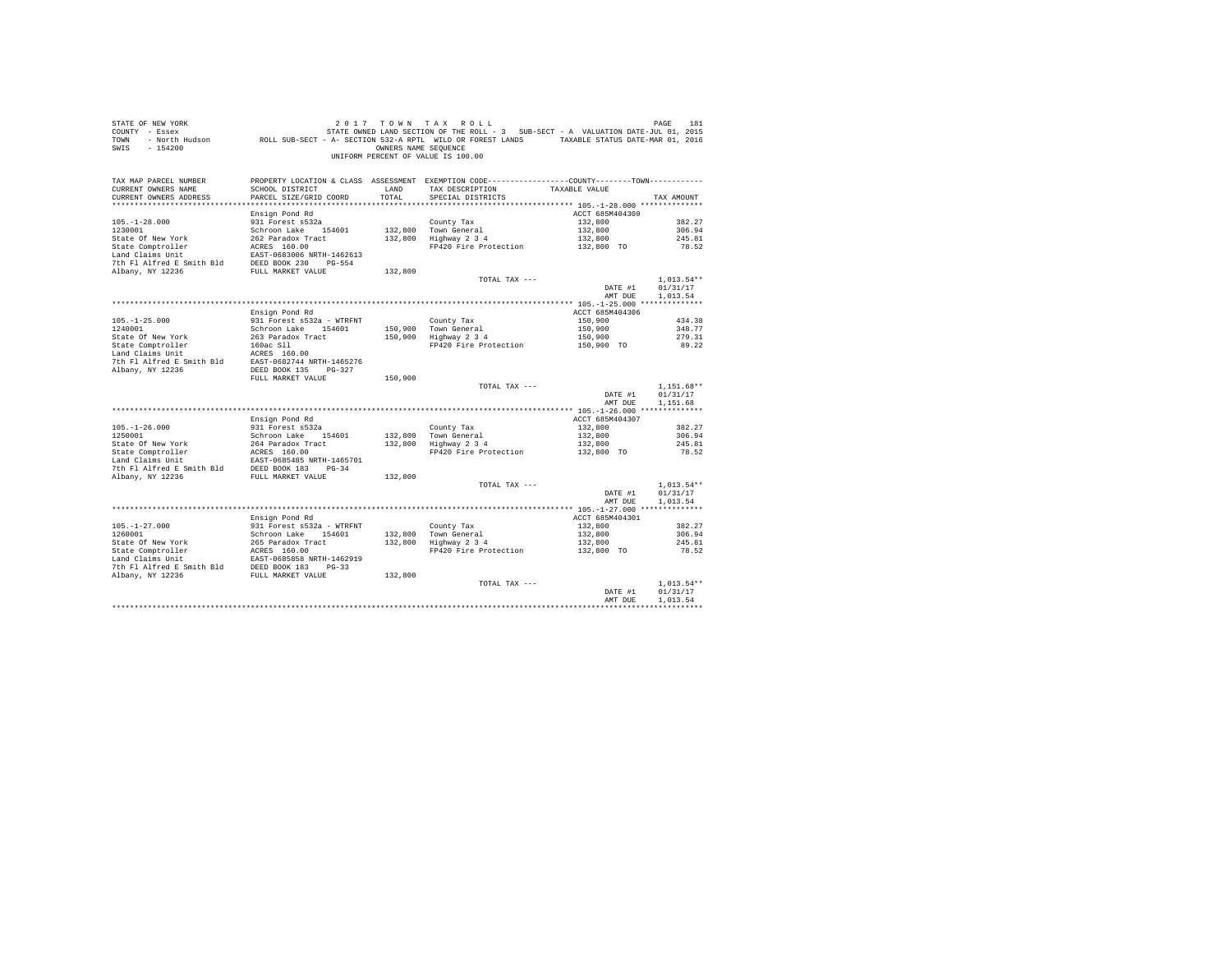| STATE OF NEW YORK<br>COUNTY - Essex<br>TOWN<br>$-154200$<br>SWIS |                                           | OWNERS NAME SEQUENCE | 2017 TOWN TAX ROLL<br>STATE OWNED LAND SECTION OF THE ROLL - 3 SUB-SECT - A VALUATION DATE-JUL 01, 2015<br>- North Hudson ROLL SUB-SECT - A- SECTION 532-A RPTL WILD OR FOREST LANDS TAXABLE STATUS DATE-MAR 01, 2016<br>UNIFORM PERCENT OF VALUE IS 100.00 |                    | PAGE<br>181              |
|------------------------------------------------------------------|-------------------------------------------|----------------------|-------------------------------------------------------------------------------------------------------------------------------------------------------------------------------------------------------------------------------------------------------------|--------------------|--------------------------|
| TAX MAP PARCEL NUMBER                                            |                                           |                      | PROPERTY LOCATION & CLASS ASSESSMENT EXEMPTION CODE---------------COUNTY-------TOWN----------                                                                                                                                                               |                    |                          |
| CURRENT OWNERS NAME<br>CURRENT OWNERS ADDRESS                    | SCHOOL DISTRICT<br>PARCEL SIZE/GRID COORD | LAND<br>TOTAL        | TAX DESCRIPTION<br>SPECIAL DISTRICTS                                                                                                                                                                                                                        | TAXABLE VALUE      | TAX AMOUNT               |
|                                                                  |                                           |                      |                                                                                                                                                                                                                                                             |                    |                          |
|                                                                  | Ensign Pond Rd                            |                      |                                                                                                                                                                                                                                                             | ACCT 685M404309    |                          |
| $105. - 1 - 28.000$                                              | 931 Forest s532a                          |                      | County Tax                                                                                                                                                                                                                                                  | 132,800            | 382.27                   |
| 1230001                                                          | Schroon Lake 154601                       |                      | 132,800 Town General                                                                                                                                                                                                                                        | 132,800            | 306.94                   |
| State Of New York                                                | 262 Paradox Tract                         |                      | 132,800 Highway 2 3 4                                                                                                                                                                                                                                       | 132,800            | 245.81                   |
| State Comptroller                                                | ACRES 160.00                              |                      | FP420 Fire Protection                                                                                                                                                                                                                                       | 132,800 TO         | 78.52                    |
| Land Claims Unit                                                 | EAST-0683006 NRTH-1462613                 |                      |                                                                                                                                                                                                                                                             |                    |                          |
| 7th Fl Alfred E Smith Bld                                        | DEED BOOK 230 PG-554                      |                      |                                                                                                                                                                                                                                                             |                    |                          |
| Albany, NY 12236                                                 | FULL MARKET VALUE                         | 132,800              | TOTAL TAX ---                                                                                                                                                                                                                                               |                    | $1.013.54**$             |
|                                                                  |                                           |                      |                                                                                                                                                                                                                                                             | DATE #1            | 01/31/17                 |
|                                                                  |                                           |                      |                                                                                                                                                                                                                                                             | AMT DUE            | 1,013.54                 |
|                                                                  |                                           |                      |                                                                                                                                                                                                                                                             |                    |                          |
|                                                                  | Ensign Pond Rd                            |                      |                                                                                                                                                                                                                                                             | ACCT 685M404306    |                          |
| $105. - 1 - 25.000$                                              | 931 Forest s532a - WTRFNT                 |                      | County Tax                                                                                                                                                                                                                                                  | 150,900            | 434.38                   |
| 1240001                                                          | Schroon Lake 154601                       | 150,900              | Town General                                                                                                                                                                                                                                                | 150,900            | 348.77                   |
| State Of New York                                                | 263 Paradox Tract                         | 150,900              | Highway 2 3 4                                                                                                                                                                                                                                               | 150,900            | 279.31                   |
| State Comptroller                                                | 160ac Sll                                 |                      | FP420 Fire Protection                                                                                                                                                                                                                                       | 150,900 TO         | 89.22                    |
| Land Claims Unit<br>7th Fl Alfred E Smith Bld                    | ACRES 160.00<br>EAST-0682744 NRTH-1465276 |                      |                                                                                                                                                                                                                                                             |                    |                          |
| Albany, NY 12236                                                 | DEED BOOK 135 PG-327                      |                      |                                                                                                                                                                                                                                                             |                    |                          |
|                                                                  | FULL MARKET VALUE                         | 150,900              |                                                                                                                                                                                                                                                             |                    |                          |
|                                                                  |                                           |                      | TOTAL TAX ---                                                                                                                                                                                                                                               |                    | $1.151.68**$             |
|                                                                  |                                           |                      |                                                                                                                                                                                                                                                             | DATE #1            | 01/31/17                 |
|                                                                  |                                           |                      |                                                                                                                                                                                                                                                             | AMT DUE            | 1,151.68                 |
|                                                                  |                                           |                      |                                                                                                                                                                                                                                                             |                    |                          |
|                                                                  | Ensign Pond Rd                            |                      |                                                                                                                                                                                                                                                             | ACCT 685M404307    |                          |
| $105. - 1 - 26.000$<br>1250001                                   | 931 Forest s532a<br>Schroon Lake 154601   | 132,800              | County Tax<br>Town General                                                                                                                                                                                                                                  | 132,800<br>132,800 | 382.27<br>306.94         |
| State Of New York                                                | 264 Paradox Tract                         | 132,800              | Highway 2 3 4                                                                                                                                                                                                                                               | 132,800            | 245.81                   |
| State Comptroller                                                | ACRES 160.00                              |                      | FP420 Fire Protection                                                                                                                                                                                                                                       | 132,800 TO         | 78.52                    |
| Land Claims Unit                                                 | EAST-0685485 NRTH-1465701                 |                      |                                                                                                                                                                                                                                                             |                    |                          |
| 7th Fl Alfred E Smith Bld                                        | DEED BOOK 183 PG-34                       |                      |                                                                                                                                                                                                                                                             |                    |                          |
| Albany, NY 12236                                                 | FULL MARKET VALUE                         | 132,800              |                                                                                                                                                                                                                                                             |                    |                          |
|                                                                  |                                           |                      | TOTAL TAX ---                                                                                                                                                                                                                                               |                    | $1,013.54**$             |
|                                                                  |                                           |                      |                                                                                                                                                                                                                                                             | DATE #1            | 01/31/17                 |
|                                                                  |                                           |                      |                                                                                                                                                                                                                                                             | AMT DUE            | 1,013.54                 |
|                                                                  | Ensign Pond Rd                            |                      |                                                                                                                                                                                                                                                             | ACCT 685M404301    |                          |
| $105. - 1 - 27.000$                                              | 931 Forest s532a - WTRFNT                 |                      | County Tax                                                                                                                                                                                                                                                  | 132,800            | 382.27                   |
| 1260001                                                          | Schroon Lake 154601                       |                      |                                                                                                                                                                                                                                                             | 132,800            | 306.94                   |
| State Of New York                                                | 265 Paradox Tract                         |                      | 132,800 Town General<br>132,800 Highway 2 3 4                                                                                                                                                                                                               | 132,800            | 245.81                   |
| State Comptroller                                                | ACRES 160.00                              |                      | FP420 Fire Protection                                                                                                                                                                                                                                       | 132,800 TO         | 78.52                    |
| Land Claims Unit                                                 | EAST-0685858 NRTH-1462919                 |                      |                                                                                                                                                                                                                                                             |                    |                          |
| 7th Fl Alfred E Smith Bld                                        | DEED BOOK 183 PG-33                       |                      |                                                                                                                                                                                                                                                             |                    |                          |
| Albany, NY 12236                                                 | FULL MARKET VALUE                         | 132,800              |                                                                                                                                                                                                                                                             |                    |                          |
|                                                                  |                                           |                      | TOTAL TAX ---                                                                                                                                                                                                                                               | DATE #1            | $1.013.54**$<br>01/31/17 |
|                                                                  |                                           |                      |                                                                                                                                                                                                                                                             | AMT DUE            | 1,013.54                 |
|                                                                  |                                           |                      |                                                                                                                                                                                                                                                             |                    |                          |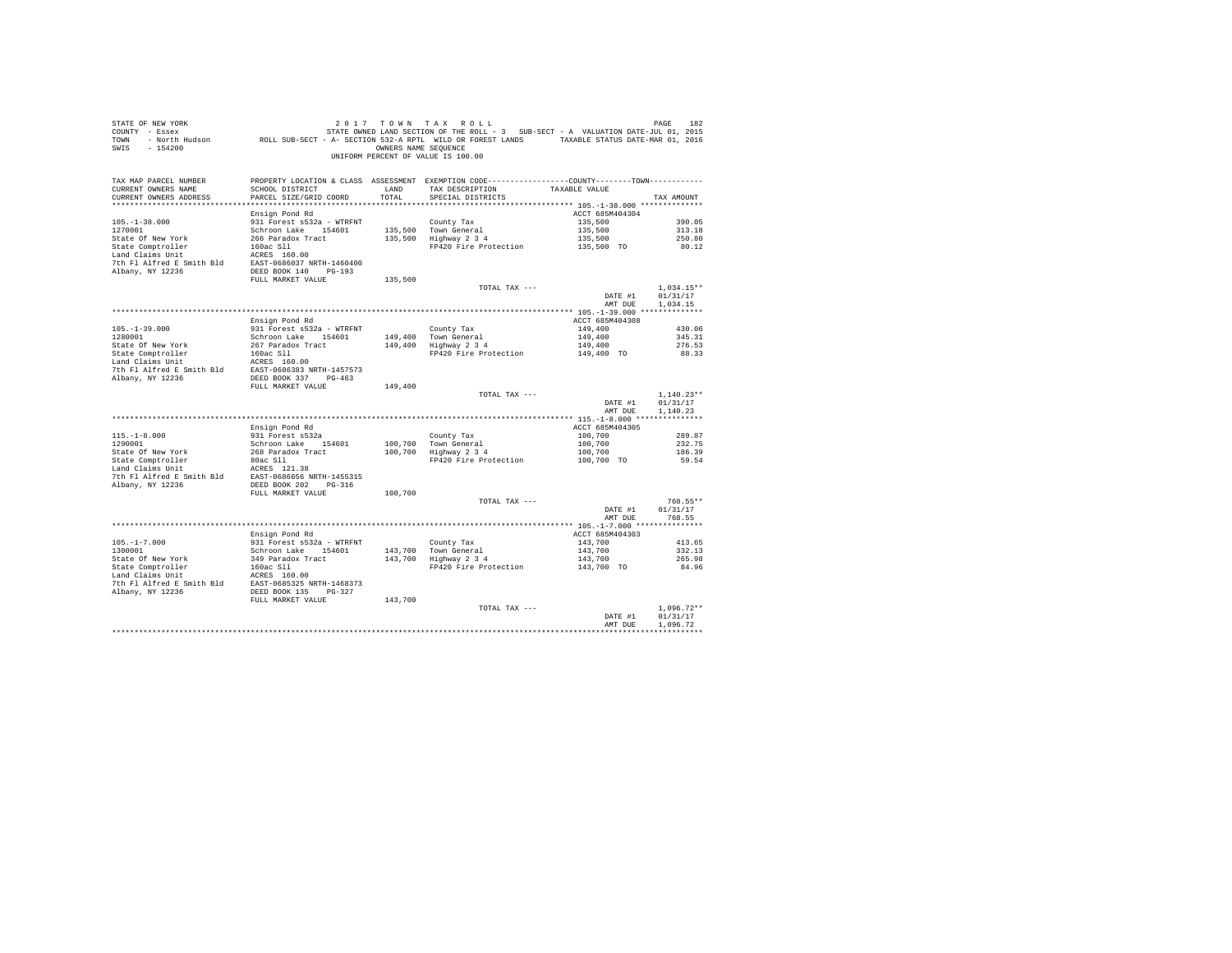| STATE OF NEW YORK PAGE 182<br>COUNTY - Essex PAGE 182 STATE ON STATE ROLL - 3 SUB-SECT - A VALUATION DATE-JUL 01, 2015<br>TOWN - North Hudson ROLL SUB-SECT - A- SECTION 532-A RPTL WILD OR FOREST LANDS TAXABLE STATUS DATE-MAR 01<br>SWIS - 154200 |                                                  |         | OWNERS NAME SEQUENCE<br>UNIFORM PERCENT OF VALUE IS 100.00  |                                        |                      |
|------------------------------------------------------------------------------------------------------------------------------------------------------------------------------------------------------------------------------------------------------|--------------------------------------------------|---------|-------------------------------------------------------------|----------------------------------------|----------------------|
| TAX MAP PARCEL NUMBER PROPERTY LOCATION & CLASS ASSESSMENT EXEMPTION CODE---------------COUNTY-------TOWN---------<br>CURRENT OWNERS NAME<br>CURRENT OWNERS ADDRESS                                                                                  | SCHOOL DISTRICT LAND<br>PARCEL SIZE/GRID COORD   | TOTAL   | TAX DESCRIPTION<br>SPECIAL DISTRICTS                        | TAXABLE VALUE                          | TAX AMOUNT           |
|                                                                                                                                                                                                                                                      | Ensign Pond Rd                                   |         |                                                             | ACCT 685M404304                        |                      |
| $105. - 1 - 38.000$                                                                                                                                                                                                                                  | 931 Forest s532a - WTRFNT                        |         | County Tax                                                  | 135,500                                | 390.05               |
| 1270001                                                                                                                                                                                                                                              | Schroon Lake 154601                              |         | County Tax<br>135,500 Town General<br>135,500 Highway 2 3 4 | 135,500                                | 313.18               |
|                                                                                                                                                                                                                                                      |                                                  |         |                                                             | 135,500                                | 250.80               |
|                                                                                                                                                                                                                                                      |                                                  |         | FP420 Fire Protection 135,500 TO                            |                                        | 80.12                |
|                                                                                                                                                                                                                                                      |                                                  |         |                                                             |                                        |                      |
|                                                                                                                                                                                                                                                      |                                                  |         |                                                             |                                        |                      |
|                                                                                                                                                                                                                                                      | FULL MARKET VALUE                                | 135,500 |                                                             |                                        |                      |
|                                                                                                                                                                                                                                                      |                                                  |         | TOTAL TAX ---                                               |                                        | $1,034.15**$         |
|                                                                                                                                                                                                                                                      |                                                  |         |                                                             | DATE #1                                | 01/31/17             |
|                                                                                                                                                                                                                                                      |                                                  |         |                                                             | AMT DUE                                | 1,034.15             |
|                                                                                                                                                                                                                                                      |                                                  |         |                                                             |                                        |                      |
|                                                                                                                                                                                                                                                      | Ensign Pond Rd                                   |         |                                                             | ACCT 685M404308                        |                      |
| $105. -1 - 39.000$<br>1280001                                                                                                                                                                                                                        | 931 Forest s532a - WTRFNT<br>Schroon Lake 154601 |         | County Tax                                                  | 149,400                                | 430.06<br>345.31     |
|                                                                                                                                                                                                                                                      |                                                  |         | 149,400 Town General<br>149,400 Highway 2 3 4               | 149,400<br>149,400                     | 276.53               |
|                                                                                                                                                                                                                                                      |                                                  |         | FP420 Fire Protection 149,400 TO                            |                                        | 88.33                |
|                                                                                                                                                                                                                                                      |                                                  |         |                                                             |                                        |                      |
| State Of New York 267 Daradox Track<br>267 Daradox Track<br>267 Daradox Track<br>267 Daradox Track<br>267 Daradox Track<br>2686383 NRTH-1457573<br>27 Ph Pl Alfred E Smith Bld<br>28.857-0686383 NRTH-1457573<br>27 Ph Pl Alfred E Smith Bld         |                                                  |         |                                                             |                                        |                      |
| Albany, NY 12236                                                                                                                                                                                                                                     | DEED BOOK 337 PG-463                             |         |                                                             |                                        |                      |
|                                                                                                                                                                                                                                                      | FULL MARKET VALUE                                | 149,400 | TOTAL TAX ---                                               |                                        | $1.140.23**$         |
|                                                                                                                                                                                                                                                      |                                                  |         |                                                             | DATE #1<br>AMT DUE                     | 01/31/17<br>1,140.23 |
|                                                                                                                                                                                                                                                      |                                                  |         |                                                             |                                        |                      |
|                                                                                                                                                                                                                                                      | Ensign Pond Rd                                   |         |                                                             | ACCT 685M404305                        |                      |
| $115.-1-8.000$<br>1290001                                                                                                                                                                                                                            | 931 Forest s532a                                 |         |                                                             | 100,700                                | 289.87               |
|                                                                                                                                                                                                                                                      | Schroon Lake 154601                              |         | County Tax<br>100,700 Town General<br>100,700 Highway 2 3 4 |                                        | 232.75               |
|                                                                                                                                                                                                                                                      |                                                  |         |                                                             | $100,700$<br>$100,700$<br>$100,700$ TO | 186.39               |
|                                                                                                                                                                                                                                                      |                                                  |         | FP420 Fire Protection                                       |                                        | 59.54                |
|                                                                                                                                                                                                                                                      |                                                  |         |                                                             |                                        |                      |
|                                                                                                                                                                                                                                                      |                                                  |         |                                                             |                                        |                      |
|                                                                                                                                                                                                                                                      | FULL MARKET VALUE                                | 100,700 |                                                             |                                        |                      |
|                                                                                                                                                                                                                                                      |                                                  |         | TOTAL TAX ---                                               |                                        | 768.55**             |
|                                                                                                                                                                                                                                                      |                                                  |         |                                                             | DATE #1                                | 01/31/17             |
|                                                                                                                                                                                                                                                      |                                                  |         |                                                             | AMT DUE                                | 768.55               |
|                                                                                                                                                                                                                                                      | Ensign Pond Rd                                   |         |                                                             | ACCT 685M404303                        |                      |
| $105. - 1 - 7.000$                                                                                                                                                                                                                                   | 931 Forest s532a - WTRFNT                        |         |                                                             | 143,700                                | 413.65               |
| 1300001                                                                                                                                                                                                                                              | Schroon Lake 154601                              |         |                                                             | 143,700                                | 332.13               |
|                                                                                                                                                                                                                                                      |                                                  |         | County Tax<br>143,700 Town General<br>143,700 Highway 2 3 4 | 143,700                                | 265.98               |
|                                                                                                                                                                                                                                                      |                                                  |         | FP420 Fire Protection 143,700 TO                            |                                        | 84.96                |
|                                                                                                                                                                                                                                                      |                                                  |         |                                                             |                                        |                      |
|                                                                                                                                                                                                                                                      |                                                  |         |                                                             |                                        |                      |
|                                                                                                                                                                                                                                                      | FULL MARKET VALUE                                | 143,700 |                                                             |                                        |                      |
|                                                                                                                                                                                                                                                      |                                                  |         | TOTAL TAX ---                                               |                                        | $1,096.72**$         |
|                                                                                                                                                                                                                                                      |                                                  |         |                                                             | DATE #1                                | 01/31/17             |
|                                                                                                                                                                                                                                                      |                                                  |         |                                                             | AMT DUR                                | 1.096.72             |
|                                                                                                                                                                                                                                                      |                                                  |         |                                                             |                                        | ************         |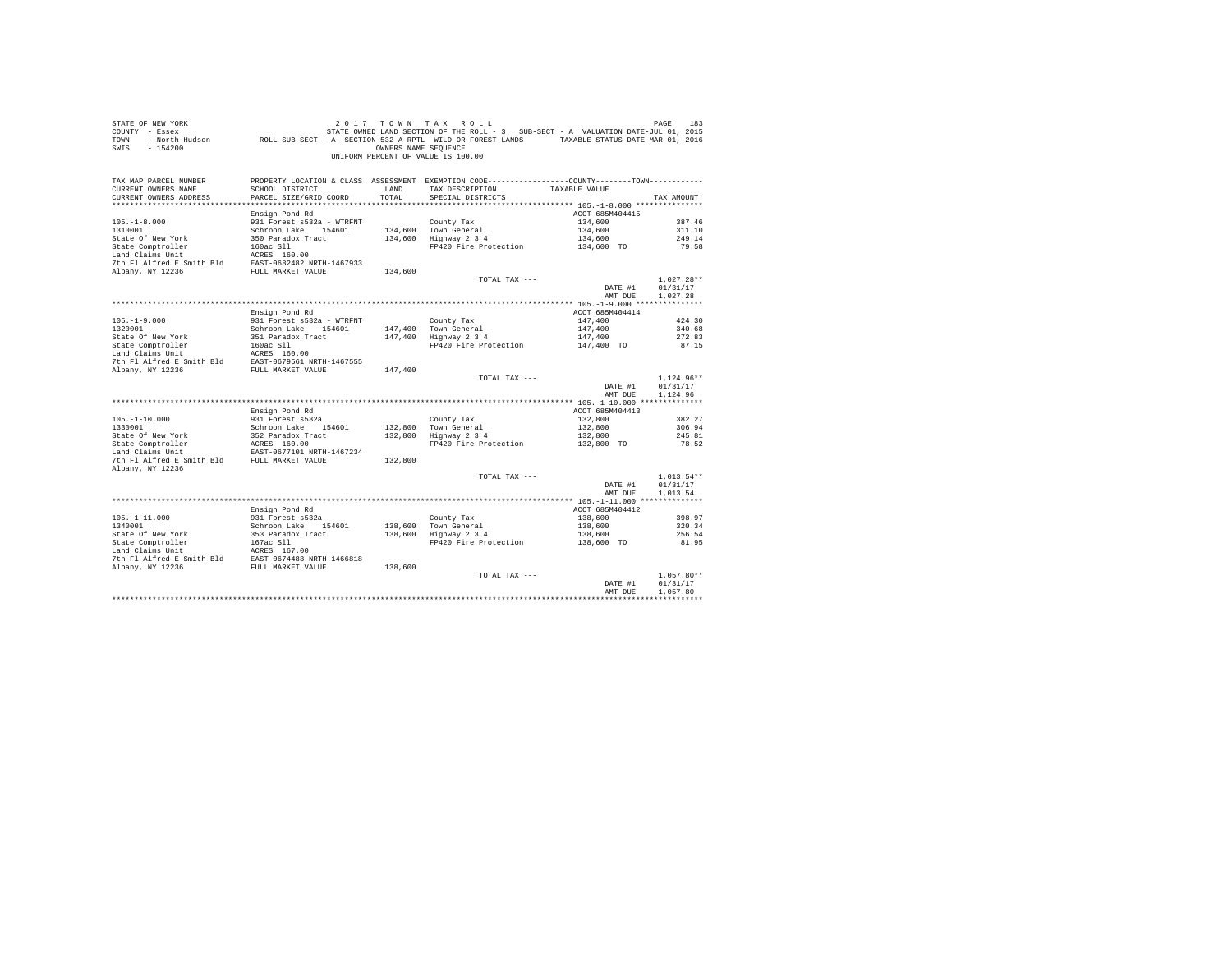| STATE OF NEW YORK<br>COUNTY - Essex<br>TOWN<br>$-154200$<br>SWIS                                              |                                           | OWNERS NAME SEOUENCE | 2017 TOWN TAX ROLL<br>DE MES 183 183 183 184 1920 17 10 NN TAX ROLL<br>- Essex STATE OWNED LAND SECTION OF THE ROLL - 3 SUB-SECT - A VALUATION DATE-JUL 01, 2015<br>- North Hudson     ROLL SUB-SECT - A - SECTION 532-A RPTL WILD OR FOREST LANDS   TAXA<br>UNIFORM PERCENT OF VALUE IS 100.00 |                    | PAGE<br>183                          |
|---------------------------------------------------------------------------------------------------------------|-------------------------------------------|----------------------|-------------------------------------------------------------------------------------------------------------------------------------------------------------------------------------------------------------------------------------------------------------------------------------------------|--------------------|--------------------------------------|
| TAX MAP PARCEL NUMBER<br>CURRENT OWNERS NAME<br>CURRENT OWNERS ADDRESS                                        | SCHOOL DISTRICT<br>PARCEL SIZE/GRID COORD | LAND<br>TOTAL        | PROPERTY LOCATION & CLASS ASSESSMENT EXEMPTION CODE----------------COUNTY--------TOWN----------<br>TAX DESCRIPTION<br>SPECIAL DISTRICTS                                                                                                                                                         | TAXABLE VALUE      | TAX AMOUNT                           |
|                                                                                                               |                                           |                      |                                                                                                                                                                                                                                                                                                 |                    |                                      |
|                                                                                                               | Ensign Pond Rd                            |                      |                                                                                                                                                                                                                                                                                                 | ACCT 685M404415    |                                      |
| $105. - 1 - 8.000$                                                                                            | 931 Forest s532a - WTRFNT                 |                      | County Tax                                                                                                                                                                                                                                                                                      | 134,600            | 387.46                               |
| 1310001                                                                                                       | Schroon Lake 154601 134,600 Town General  |                      |                                                                                                                                                                                                                                                                                                 | 134,600            | 311.10                               |
|                                                                                                               |                                           |                      | 134,600 TOWN General<br>134,600 Highway 234                                                                                                                                                                                                                                                     | 134,600            | 249.14                               |
|                                                                                                               |                                           |                      | FP420 Fire Protection 134,600 TO                                                                                                                                                                                                                                                                |                    | 79.58                                |
|                                                                                                               |                                           |                      |                                                                                                                                                                                                                                                                                                 |                    |                                      |
|                                                                                                               |                                           |                      |                                                                                                                                                                                                                                                                                                 |                    |                                      |
|                                                                                                               |                                           | 134,600              |                                                                                                                                                                                                                                                                                                 |                    |                                      |
|                                                                                                               |                                           |                      | TOTAL TAX ---                                                                                                                                                                                                                                                                                   | DATE #1            | $1,027.28**$<br>01/31/17             |
|                                                                                                               |                                           |                      |                                                                                                                                                                                                                                                                                                 | AMT DUE            | 1,027.28                             |
|                                                                                                               |                                           |                      |                                                                                                                                                                                                                                                                                                 |                    |                                      |
|                                                                                                               | Ensign Pond Rd                            |                      |                                                                                                                                                                                                                                                                                                 | ACCT 685M404414    |                                      |
| $105. - 1 - 9.000$                                                                                            | 931 Forest s532a - WTRFNT                 |                      | County Tax                                                                                                                                                                                                                                                                                      | 147,400            | 424.30                               |
| 1320001                                                                                                       | Schroon Lake 154601                       |                      |                                                                                                                                                                                                                                                                                                 | 147,400            | 340.68                               |
|                                                                                                               |                                           |                      | 147,400 Town General<br>147,400 Highway 2 3 4                                                                                                                                                                                                                                                   |                    | 272.83                               |
|                                                                                                               |                                           |                      | $\frac{3}{4}$ Highway 2 3 4 147,400<br>FP420 Fire Protection 147,400 TO                                                                                                                                                                                                                         |                    | 87.15                                |
|                                                                                                               |                                           |                      |                                                                                                                                                                                                                                                                                                 |                    |                                      |
|                                                                                                               |                                           |                      |                                                                                                                                                                                                                                                                                                 |                    |                                      |
|                                                                                                               |                                           | 147,400              |                                                                                                                                                                                                                                                                                                 |                    |                                      |
|                                                                                                               |                                           |                      | TOTAL TAX ---                                                                                                                                                                                                                                                                                   | DATE #1<br>AMT DUE | $1,124.96**$<br>01/31/17<br>1,124.96 |
|                                                                                                               |                                           |                      |                                                                                                                                                                                                                                                                                                 |                    |                                      |
|                                                                                                               | Ensign Pond Rd                            |                      |                                                                                                                                                                                                                                                                                                 | ACCT 685M404413    |                                      |
| $105. - 1 - 10.000$                                                                                           | 931 Forest s532a                          |                      | County Tax                                                                                                                                                                                                                                                                                      | 132,800            | 382.27                               |
| 1330001                                                                                                       | Schroon Lake 154601                       |                      |                                                                                                                                                                                                                                                                                                 | 132,800            | 306.94                               |
|                                                                                                               |                                           |                      | 132,800 Town General<br>132,800 Highway 2 3 4                                                                                                                                                                                                                                                   | 132,800            | 245.81                               |
| State of New York and the Same State Comptroller and Mark Land Claims Unit Capacity AGRES 160.00 NRTH-1467234 |                                           |                      | FP420 Fire Protection                                                                                                                                                                                                                                                                           | 132,800 TO         | 78.52                                |
|                                                                                                               |                                           |                      |                                                                                                                                                                                                                                                                                                 |                    |                                      |
| 7th Fl Alfred E Smith Bld FULL MARKET VALUE                                                                   |                                           | 132,800              |                                                                                                                                                                                                                                                                                                 |                    |                                      |
| Albany, NY 12236                                                                                              |                                           |                      |                                                                                                                                                                                                                                                                                                 |                    |                                      |
|                                                                                                               |                                           |                      | TOTAL TAX ---                                                                                                                                                                                                                                                                                   | DATE #1            | $1.013.54**$<br>01/31/17             |
|                                                                                                               |                                           |                      |                                                                                                                                                                                                                                                                                                 | AMT DUE            | 1,013.54                             |
|                                                                                                               |                                           |                      |                                                                                                                                                                                                                                                                                                 |                    |                                      |
|                                                                                                               | Ensign Pond Rd                            |                      |                                                                                                                                                                                                                                                                                                 | ACCT 685M404412    |                                      |
| $105. - 1 - 11.000$                                                                                           |                                           |                      | County Tax                                                                                                                                                                                                                                                                                      | 138,600            | 398.97                               |
| 1340001                                                                                                       | 931 Forest s532a<br>Schroon Lake 154601   |                      |                                                                                                                                                                                                                                                                                                 | 138,600            | 320.34                               |
|                                                                                                               |                                           |                      | Councy Tax<br>138,600 Town General<br>138,600 Highway 2 3 4                                                                                                                                                                                                                                     | 138,600            | 256.54                               |
|                                                                                                               |                                           |                      | FP420 Fire Protection                                                                                                                                                                                                                                                                           | $138,600$ TO       | 81.95                                |
|                                                                                                               |                                           |                      |                                                                                                                                                                                                                                                                                                 |                    |                                      |
|                                                                                                               |                                           |                      |                                                                                                                                                                                                                                                                                                 |                    |                                      |
|                                                                                                               |                                           |                      |                                                                                                                                                                                                                                                                                                 |                    |                                      |
|                                                                                                               |                                           |                      | TOTAL TAX ---                                                                                                                                                                                                                                                                                   |                    | $1.057.80**$                         |
|                                                                                                               |                                           |                      |                                                                                                                                                                                                                                                                                                 | DATE #1<br>AMT DUE | 01/31/17<br>1,057.80                 |
|                                                                                                               |                                           |                      |                                                                                                                                                                                                                                                                                                 |                    |                                      |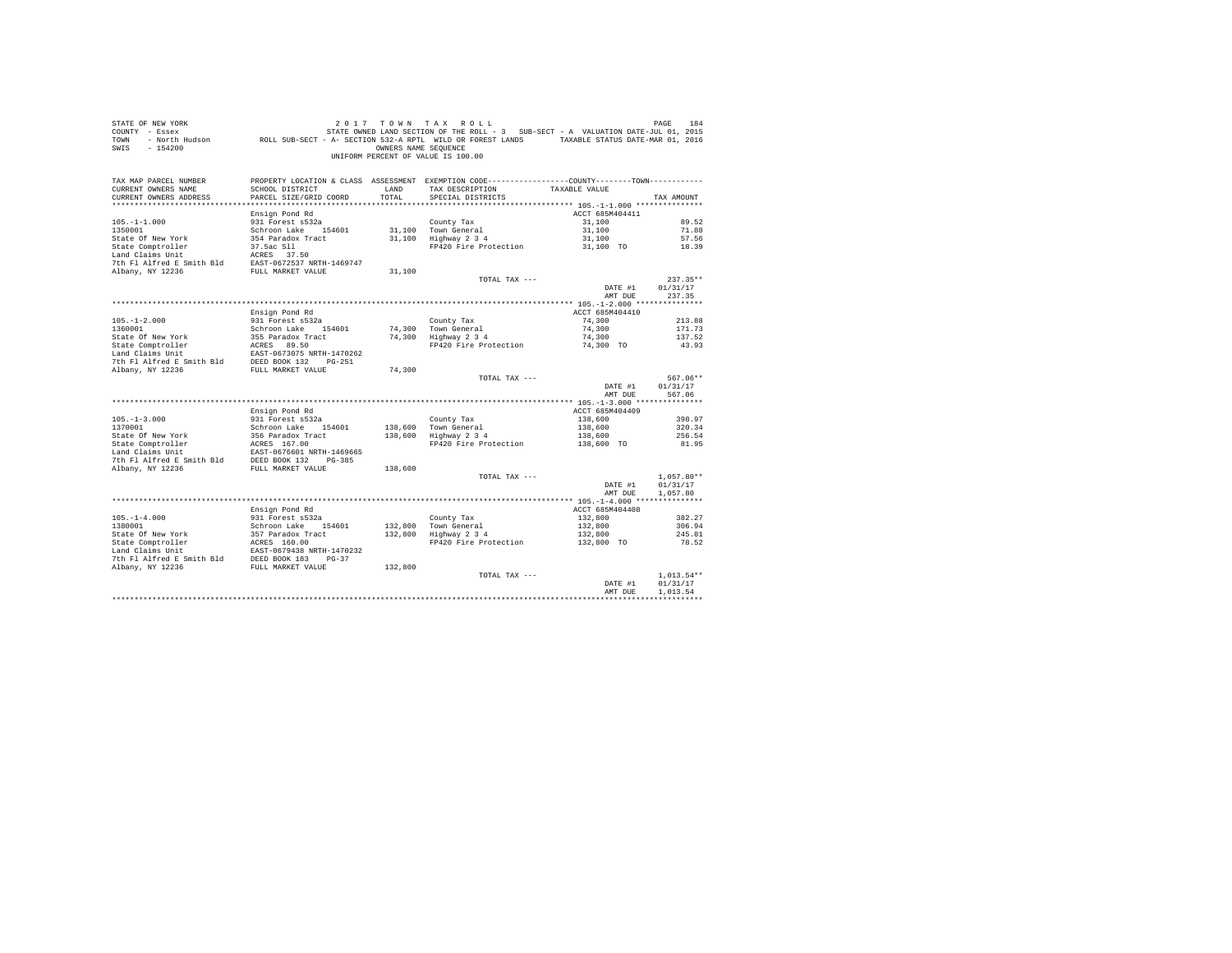| STATE OF NEW YORK<br>COUNTY - Essex<br>TOWN<br>$-154200$<br>SWIS                                                                                  |                                           | OWNERS NAME SEOUENCE | 2017 TOWN TAX ROLL<br>UF NEW YORK IN TAX KOLL AT A SALIATION TREE TO A MAY A MAY A SALIATION DATE-JUL 01, 2015<br>2015 - Essex STATE OWNED LAND SECTION OF THE ROLL - 3 SUB-SECT - A VALUATION DATE-JUL 01, 2015<br>- North Hudson       ROLL SUB-SECT - A<br>UNIFORM PERCENT OF VALUE IS 100.00 |                       | PAGE<br>184        |
|---------------------------------------------------------------------------------------------------------------------------------------------------|-------------------------------------------|----------------------|--------------------------------------------------------------------------------------------------------------------------------------------------------------------------------------------------------------------------------------------------------------------------------------------------|-----------------------|--------------------|
| TAX MAP PARCEL NUMBER<br>CURRENT OWNERS NAME<br>CURRENT OWNERS ADDRESS                                                                            | SCHOOL DISTRICT<br>PARCEL SIZE/GRID COORD | LAND<br>TOTAL        | PROPERTY LOCATION & CLASS ASSESSMENT EXEMPTION CODE----------------COUNTY-------TOWN----------<br>TAX DESCRIPTION<br>SPECIAL DISTRICTS                                                                                                                                                           | TAXABLE VALUE         | TAX AMOUNT         |
|                                                                                                                                                   |                                           |                      |                                                                                                                                                                                                                                                                                                  |                       |                    |
|                                                                                                                                                   | Ensign Pond Rd                            |                      |                                                                                                                                                                                                                                                                                                  | ACCT 685M404411       |                    |
| $105. - 1 - 1.000$                                                                                                                                | 931 Forest s532a                          |                      | County Tax                                                                                                                                                                                                                                                                                       | 31,100                | 89.52              |
| 1350001                                                                                                                                           | Schroon Lake 154601                       |                      | 31,100 Town General                                                                                                                                                                                                                                                                              | 31,100                | 71.88              |
| State Of New York                                                                                                                                 | 354 Paradox Tract                         |                      | $31,100$ Highway $2\,3\,4$                                                                                                                                                                                                                                                                       | 31,100                | 57.56              |
| State Comptroller                                                                                                                                 | 37.5ac S11<br>ACRES 37.50                 |                      | FP420 Fire Protection 31,100 TO                                                                                                                                                                                                                                                                  |                       | 18.39              |
| Land Claims Unit                                                                                                                                  |                                           |                      |                                                                                                                                                                                                                                                                                                  |                       |                    |
| 7th Fl Alfred E Smith Bld EAST-0672537 NRTH-1469747                                                                                               |                                           |                      |                                                                                                                                                                                                                                                                                                  |                       |                    |
| Albany, NY 12236                                                                                                                                  | FULL MARKET VALUE                         | 31,100               |                                                                                                                                                                                                                                                                                                  |                       |                    |
|                                                                                                                                                   |                                           |                      | TOTAL TAX ---                                                                                                                                                                                                                                                                                    |                       | $237.35**$         |
|                                                                                                                                                   |                                           |                      |                                                                                                                                                                                                                                                                                                  | DATE #1<br>AMT DUE    | 01/31/17<br>237.35 |
|                                                                                                                                                   |                                           |                      |                                                                                                                                                                                                                                                                                                  |                       |                    |
|                                                                                                                                                   | Ensign Pond Rd                            |                      |                                                                                                                                                                                                                                                                                                  | ACCT 685M404410       |                    |
| $105. - 1 - 2.000$                                                                                                                                | 931 Forest s532a                          |                      | County Tax                                                                                                                                                                                                                                                                                       | 74,300                | 213.88             |
| 1360001                                                                                                                                           | Schroon Lake 154601                       |                      |                                                                                                                                                                                                                                                                                                  | 74,300                | 171.73             |
|                                                                                                                                                   | 355 Paradox Tract                         |                      | 74,300 Town General<br>74,300 Highway 2 3 4                                                                                                                                                                                                                                                      | 74,300                | 137.52             |
|                                                                                                                                                   |                                           |                      | FP420 Fire Protection 74,300 TO                                                                                                                                                                                                                                                                  |                       | 43.93              |
|                                                                                                                                                   |                                           |                      |                                                                                                                                                                                                                                                                                                  |                       |                    |
|                                                                                                                                                   |                                           |                      |                                                                                                                                                                                                                                                                                                  |                       |                    |
| سبب المعرفية المسبب المسبب المعرفية المسبب المعرفية المسبب<br>The Flalfred E Smith Bld BEED BOOK 132 PG-251<br>Albany, NY 12236 FULL MARKET VALUE |                                           | 74,300               |                                                                                                                                                                                                                                                                                                  |                       |                    |
|                                                                                                                                                   |                                           |                      | TOTAL TAX ---                                                                                                                                                                                                                                                                                    |                       | 567.06**           |
|                                                                                                                                                   |                                           |                      |                                                                                                                                                                                                                                                                                                  | DATE #1               | 01/31/17           |
|                                                                                                                                                   |                                           |                      |                                                                                                                                                                                                                                                                                                  | AMT DUE               | 567.06             |
|                                                                                                                                                   | Ensign Pond Rd                            |                      |                                                                                                                                                                                                                                                                                                  | ACCT 685M404409       |                    |
| $105. - 1 - 3.000$                                                                                                                                | 931 Forest s532a                          |                      | County Tax                                                                                                                                                                                                                                                                                       | 138,600               | 398.97             |
| 1370001                                                                                                                                           | Schroon Lake 154601                       |                      | 138.600 Town General                                                                                                                                                                                                                                                                             | 138,600               | 320.34             |
|                                                                                                                                                   |                                           |                      | 138,600 Highway 2 3 4                                                                                                                                                                                                                                                                            | 138,600               | 256.54             |
| State Of New York 356 Paradox Tract<br>State Comptroller 2007 ACRES 167.00<br>Land Claims Unit EAST-0676601 NRTH-1469665                          |                                           |                      | FP420 Fire Protection 138,600 TO                                                                                                                                                                                                                                                                 |                       | 81.95              |
| Land Claims Unit<br>The F1 Alfred E Smith B1d<br>DEED BOOK 132 PG-385<br>PG-385                                                                   |                                           |                      |                                                                                                                                                                                                                                                                                                  |                       |                    |
|                                                                                                                                                   |                                           |                      |                                                                                                                                                                                                                                                                                                  |                       |                    |
| Albany, NY 12236                                                                                                                                  | FULL MARKET VALUE                         | 138,600              |                                                                                                                                                                                                                                                                                                  |                       |                    |
|                                                                                                                                                   |                                           |                      | TOTAL TAX ---                                                                                                                                                                                                                                                                                    |                       | $1.057.80**$       |
|                                                                                                                                                   |                                           |                      |                                                                                                                                                                                                                                                                                                  | DATE #1               | 01/31/17           |
|                                                                                                                                                   |                                           |                      |                                                                                                                                                                                                                                                                                                  | AMT DUE               | 1,057.80           |
|                                                                                                                                                   |                                           |                      |                                                                                                                                                                                                                                                                                                  |                       |                    |
|                                                                                                                                                   | Ensign Pond Rd                            |                      |                                                                                                                                                                                                                                                                                                  | ACCT 685M404408       |                    |
| $105. - 1 - 4.000$<br>1380001                                                                                                                     | 931 Forest s532a<br>Schroon Lake 154601   |                      | County Tax                                                                                                                                                                                                                                                                                       | 132,800<br>132,800    | 382.27<br>306.94   |
|                                                                                                                                                   | 357 Paradox Tract<br>ACRES 160.00         |                      | 132,800 Town General<br>132,800 Highway 2 3 4                                                                                                                                                                                                                                                    |                       | 245.81             |
| State Of New York<br>State Comptroller<br>Land Claims Unit                                                                                        |                                           |                      | FP420 Fire Protection                                                                                                                                                                                                                                                                            | 132,800<br>132,800 TO | 78.52              |
|                                                                                                                                                   |                                           |                      |                                                                                                                                                                                                                                                                                                  |                       |                    |
|                                                                                                                                                   |                                           |                      |                                                                                                                                                                                                                                                                                                  |                       |                    |
|                                                                                                                                                   |                                           | 132,800              |                                                                                                                                                                                                                                                                                                  |                       |                    |
|                                                                                                                                                   |                                           |                      | TOTAL TAX ---                                                                                                                                                                                                                                                                                    |                       | $1.013.54**$       |
|                                                                                                                                                   |                                           |                      |                                                                                                                                                                                                                                                                                                  | DATE #1               | 01/31/17           |
|                                                                                                                                                   |                                           |                      |                                                                                                                                                                                                                                                                                                  | AMT DUE               | 1,013.54           |
|                                                                                                                                                   |                                           |                      |                                                                                                                                                                                                                                                                                                  |                       |                    |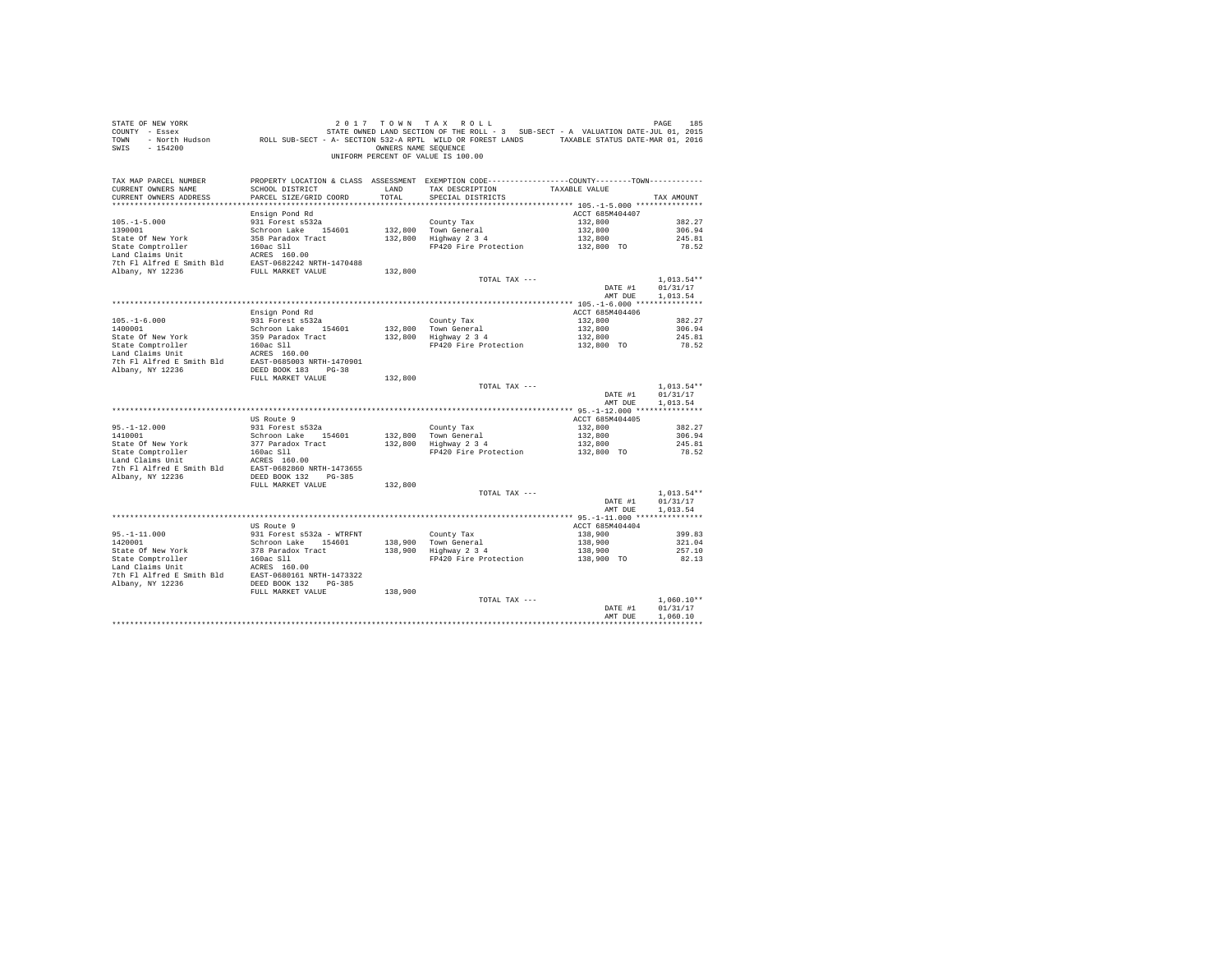| STATE OF NEW YORK<br>COUNTY - Essex<br>TOWN<br>SWIS - 154200                                                                                                                                 |                                           | OWNERS NAME SEQUENCE | 2017 TOWN TAX ROLL<br>DE MESS DE LAGE 185 ב-2017 TO WINT A X ROLL<br>T - Essex STATE-JULOI, 2015 STATE OWNED LAND SECTION OF THE ROLL - 3 SUB-SECT - A VALUATION DATE-JULOI, 2015<br>ROLL SUB-SECT - A SECTION 532-A RPTL WILD OR FOREST LANDS - TAXABLE<br>UNIFORM PERCENT OF VALUE IS 100.00 |                            | PAGE<br>185              |
|----------------------------------------------------------------------------------------------------------------------------------------------------------------------------------------------|-------------------------------------------|----------------------|------------------------------------------------------------------------------------------------------------------------------------------------------------------------------------------------------------------------------------------------------------------------------------------------|----------------------------|--------------------------|
| TAX MAP PARCEL NUMBER<br>CURRENT OWNERS NAME                                                                                                                                                 | SCHOOL DISTRICT                           | LAND                 | PROPERTY LOCATION & CLASS ASSESSMENT EXEMPTION CODE----------------COUNTY--------TOWN----------<br>TAX DESCRIPTION                                                                                                                                                                             | TAXABLE VALUE              |                          |
| CURRENT OWNERS ADDRESS                                                                                                                                                                       | PARCEL SIZE/GRID COORD                    | TOTAL                | SPECIAL DISTRICTS                                                                                                                                                                                                                                                                              |                            | TAX AMOUNT               |
|                                                                                                                                                                                              |                                           |                      |                                                                                                                                                                                                                                                                                                |                            |                          |
| $105. - 1 - 5.000$                                                                                                                                                                           | Ensign Pond Rd<br>931 Forest s532a        |                      | County Tax                                                                                                                                                                                                                                                                                     | ACCT 685M404407<br>132,800 | 382.27                   |
| 1390001                                                                                                                                                                                      | Schroon Lake 154601                       |                      | 132,800 Town General                                                                                                                                                                                                                                                                           | 132,800                    | 306.94                   |
|                                                                                                                                                                                              | 358 Paradox Tract                         |                      | $132,800$ Highway $2\,3\,4$                                                                                                                                                                                                                                                                    | 132,800                    | 245.81                   |
|                                                                                                                                                                                              |                                           |                      | FP420 Fire Protection                                                                                                                                                                                                                                                                          | 132,800 TO                 | 78.52                    |
|                                                                                                                                                                                              |                                           |                      |                                                                                                                                                                                                                                                                                                |                            |                          |
| Land Claims Unit<br>7th Fl Alfred E Smith Bld<br>EAST-0682242 NRTH-1470488<br>Rlbany, NY 12236<br>FULL MARKET VALUE                                                                          |                                           | 132,800              |                                                                                                                                                                                                                                                                                                |                            |                          |
|                                                                                                                                                                                              |                                           |                      | TOTAL TAX ---                                                                                                                                                                                                                                                                                  |                            | $1.013.54**$             |
|                                                                                                                                                                                              |                                           |                      |                                                                                                                                                                                                                                                                                                | DATE #1                    | 01/31/17                 |
|                                                                                                                                                                                              |                                           |                      |                                                                                                                                                                                                                                                                                                | AMT DUE                    | 1,013.54                 |
|                                                                                                                                                                                              |                                           |                      |                                                                                                                                                                                                                                                                                                | ACCT 685M404406            |                          |
|                                                                                                                                                                                              | Ensign Pond Rd<br>931 Forest s532a        |                      |                                                                                                                                                                                                                                                                                                | 132,800                    | 382.27                   |
| $105.-1-6.000$<br>$1400001$                                                                                                                                                                  | Schroon Lake 154601                       |                      | County Tax<br>132,800 Town General<br>132,800 Highway 2 3 4                                                                                                                                                                                                                                    | 132,800                    | 306.94                   |
|                                                                                                                                                                                              |                                           |                      |                                                                                                                                                                                                                                                                                                | 132,800<br>132,800 TO      | 245.81                   |
|                                                                                                                                                                                              |                                           |                      | FP420 Fire Protection                                                                                                                                                                                                                                                                          |                            | 78.52                    |
|                                                                                                                                                                                              |                                           |                      |                                                                                                                                                                                                                                                                                                |                            |                          |
|                                                                                                                                                                                              |                                           |                      |                                                                                                                                                                                                                                                                                                |                            |                          |
|                                                                                                                                                                                              | FULL MARKET VALUE                         | 132,800              |                                                                                                                                                                                                                                                                                                |                            |                          |
|                                                                                                                                                                                              |                                           |                      | TOTAL TAX ---                                                                                                                                                                                                                                                                                  | DATE #1                    | $1,013.54**$<br>01/31/17 |
|                                                                                                                                                                                              |                                           |                      |                                                                                                                                                                                                                                                                                                | AMT DUE                    | 1,013.54                 |
|                                                                                                                                                                                              |                                           |                      |                                                                                                                                                                                                                                                                                                |                            |                          |
|                                                                                                                                                                                              | US Route 9                                |                      |                                                                                                                                                                                                                                                                                                | ACCT 685M404405            |                          |
| $95. -1 - 12.000$<br>1410001                                                                                                                                                                 | 931 Forest s532a<br>Schroon Lake 154601   |                      | County Tax<br>132,800 Town General<br>132,800 Highway 2 3 4                                                                                                                                                                                                                                    | 132,800<br>132,800         | 382.27<br>306.94         |
| State Of New York                                                                                                                                                                            | 377 Paradox Tract                         |                      |                                                                                                                                                                                                                                                                                                | 132,800                    | 245.81                   |
|                                                                                                                                                                                              |                                           |                      | FP420 Fire Protection                                                                                                                                                                                                                                                                          | 132,800 TO                 | 78.52                    |
| $\begin{tabular}{lllll} \texttt{State Comptroller} & & 160ac S11 \\ \texttt{Land Calins Unit} & & \texttt{ACRES} & 160.00 \\ \texttt{Total S1} & & \texttt{ACRES} & 160.00 \\ \end{tabular}$ |                                           |                      |                                                                                                                                                                                                                                                                                                |                            |                          |
|                                                                                                                                                                                              |                                           |                      |                                                                                                                                                                                                                                                                                                |                            |                          |
| Albany, NY 12236                                                                                                                                                                             | DEED BOOK 132 PG-385<br>FULL MARKET VALUE | 132,800              |                                                                                                                                                                                                                                                                                                |                            |                          |
|                                                                                                                                                                                              |                                           |                      | TOTAL TAX ---                                                                                                                                                                                                                                                                                  |                            | $1.013.54**$             |
|                                                                                                                                                                                              |                                           |                      |                                                                                                                                                                                                                                                                                                | DATE #1                    | 01/31/17                 |
|                                                                                                                                                                                              |                                           |                      |                                                                                                                                                                                                                                                                                                | AMT DUE                    | 1,013.54                 |
|                                                                                                                                                                                              | US Route 9                                |                      |                                                                                                                                                                                                                                                                                                | ACCT 685M404404            |                          |
|                                                                                                                                                                                              | 931 Forest s532a - WTRFNT                 |                      | County Tax                                                                                                                                                                                                                                                                                     | 138,900                    | 399.83                   |
| $95. -1 - 11.000$<br>1420001                                                                                                                                                                 | Schroon Lake 154601                       | 138,900              | County Tax<br>138,900 Town General<br>138,900 Highway 2 3 4                                                                                                                                                                                                                                    | 138,900                    | 321.04                   |
|                                                                                                                                                                                              |                                           |                      |                                                                                                                                                                                                                                                                                                | 138,900                    | 257.10                   |
|                                                                                                                                                                                              |                                           |                      | FP420 Fire Protection                                                                                                                                                                                                                                                                          | 138,900 TO                 | 82.13                    |
|                                                                                                                                                                                              |                                           |                      |                                                                                                                                                                                                                                                                                                |                            |                          |
|                                                                                                                                                                                              |                                           |                      |                                                                                                                                                                                                                                                                                                |                            |                          |
|                                                                                                                                                                                              | FULL MARKET VALUE                         | 138,900              |                                                                                                                                                                                                                                                                                                |                            |                          |
|                                                                                                                                                                                              |                                           |                      | TOTAL TAX ---                                                                                                                                                                                                                                                                                  | DATE #1                    | $1.060.10**$<br>01/31/17 |
|                                                                                                                                                                                              |                                           |                      |                                                                                                                                                                                                                                                                                                | AMT DUE                    | 1,060.10                 |
|                                                                                                                                                                                              |                                           |                      |                                                                                                                                                                                                                                                                                                |                            | ************             |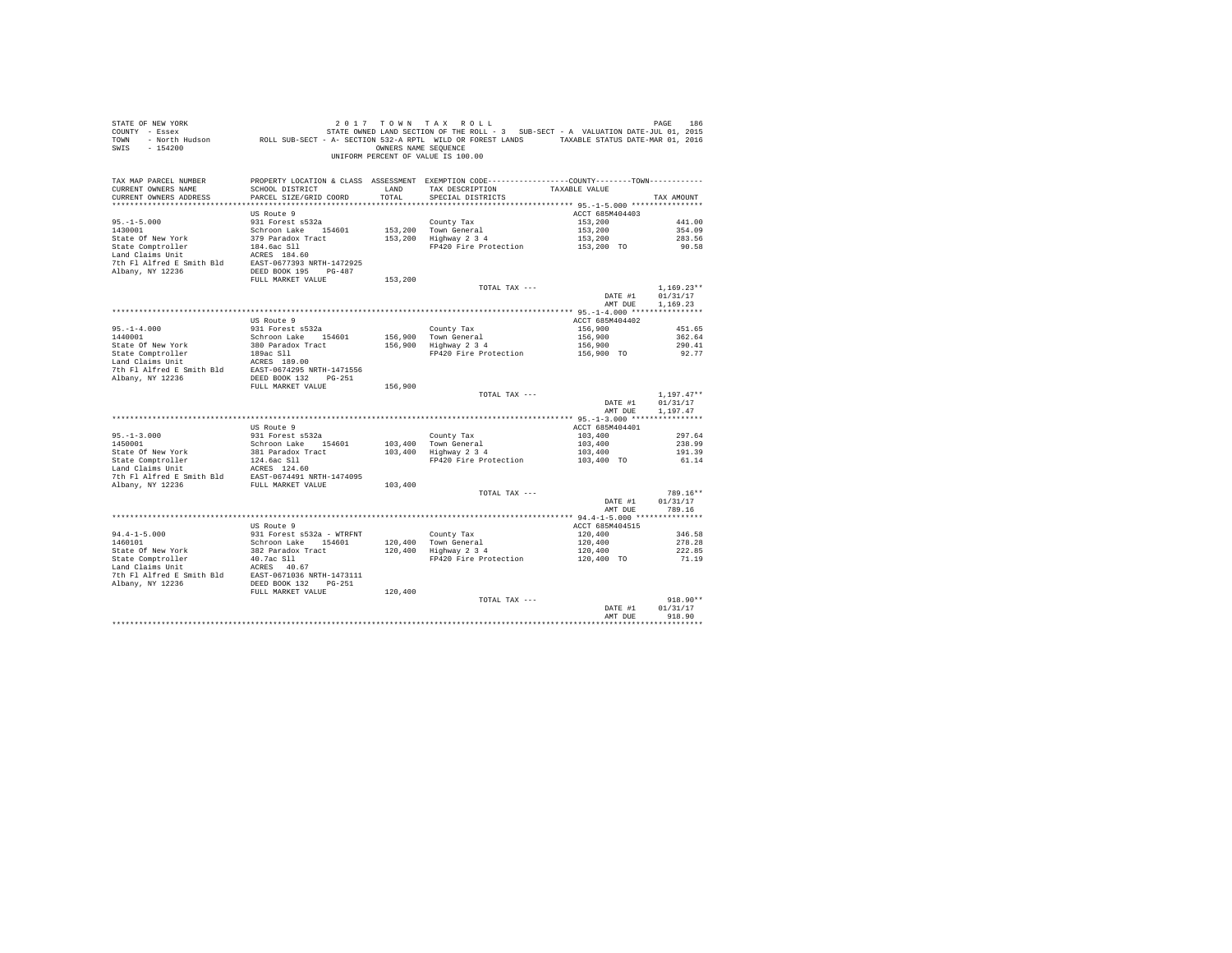| STATE OF NEW YORK<br>21 17 17 AX NOLL SIGE INS TO A TAX A CLA TO A TAX A CLASE INS PAGE IN TAX A PROSECTION OF THE SECTION OF THE S<br>2015 COUNTY - Essex And Andre JUL 2015<br>2016 TOWN - North Hudson ROLL SUB-SECT - A- SECTION 532-A RPTL WILD OR F<br>SWIS - 154200 |                                                  | OWNERS NAME SEQUENCE | 2017 TOWN TAX ROLL<br>UNIFORM PERCENT OF VALUE IS 100.00                                                                              |                       | PAGE<br>186          |
|----------------------------------------------------------------------------------------------------------------------------------------------------------------------------------------------------------------------------------------------------------------------------|--------------------------------------------------|----------------------|---------------------------------------------------------------------------------------------------------------------------------------|-----------------------|----------------------|
| TAX MAP PARCEL NUMBER<br>CURRENT OWNERS NAME<br>CURRENT OWNERS ADDRESS<br>************************                                                                                                                                                                         | SCHOOL DISTRICT<br>PARCEL SIZE/GRID COORD        | LAND<br>TOTAL        | PROPERTY LOCATION & CLASS ASSESSMENT EXEMPTION CODE---------------COUNTY-------TOWN----------<br>TAX DESCRIPTION<br>SPECIAL DISTRICTS | TAXABLE VALUE         | TAX AMOUNT           |
|                                                                                                                                                                                                                                                                            | US Route 9                                       |                      |                                                                                                                                       | ACCT 685M404403       |                      |
| $95. -1 - 5.000$                                                                                                                                                                                                                                                           | 931 Forest s532a                                 |                      | County Tax                                                                                                                            | 153,200               | 441.00               |
| 1430001                                                                                                                                                                                                                                                                    | Schroon Lake 154601                              |                      | 153,200 Town General                                                                                                                  | 153,200               | 354.09               |
| State Of New York                                                                                                                                                                                                                                                          | 379 Paradox Tract                                |                      | $153,200$ Highway $2\,3\,4$                                                                                                           | 153,200<br>153,200 TO | 283.56               |
| State Comptroller<br>Land Claims Unit                                                                                                                                                                                                                                      | 184.6ac Sll<br>ACRES 184.60                      |                      | FP420 Fire Protection                                                                                                                 |                       | 90.58                |
|                                                                                                                                                                                                                                                                            |                                                  |                      |                                                                                                                                       |                       |                      |
|                                                                                                                                                                                                                                                                            |                                                  |                      |                                                                                                                                       |                       |                      |
|                                                                                                                                                                                                                                                                            | FULL MARKET VALUE                                | 153,200              |                                                                                                                                       |                       |                      |
|                                                                                                                                                                                                                                                                            |                                                  |                      | TOTAL TAX ---                                                                                                                         |                       | $1.169.23**$         |
|                                                                                                                                                                                                                                                                            |                                                  |                      |                                                                                                                                       | DATE #1<br>AMT DUE    | 01/31/17<br>1,169.23 |
|                                                                                                                                                                                                                                                                            |                                                  |                      |                                                                                                                                       |                       |                      |
|                                                                                                                                                                                                                                                                            | US Route 9                                       |                      |                                                                                                                                       | ACCT 685M404402       |                      |
| $95. -1 - 4.000$<br>1440001                                                                                                                                                                                                                                                | 931 Forest s532a                                 |                      | County Tax                                                                                                                            | 156,900               | 451.65               |
|                                                                                                                                                                                                                                                                            | Schroon Lake 154601                              |                      | 156,900 Town General<br>156,900 Highway 2 3 4                                                                                         | 156,900               | 362.64               |
| State Of New York                                                                                                                                                                                                                                                          | 380 Paradox Tract<br>189ac Sll                   |                      | FP420 Fire Protection                                                                                                                 | 156,900<br>156,900 TO | 290.41<br>92.77      |
| State Comptroller<br>Land Claims Unit                                                                                                                                                                                                                                      | ACRES 189.00                                     |                      |                                                                                                                                       |                       |                      |
| For the same of the Smith Bld<br>The Fl Alfred E Smith Bld<br>REED BOOK 132 PG-251                                                                                                                                                                                         |                                                  |                      |                                                                                                                                       |                       |                      |
|                                                                                                                                                                                                                                                                            |                                                  |                      |                                                                                                                                       |                       |                      |
|                                                                                                                                                                                                                                                                            | FULL MARKET VALUE                                | 156,900              |                                                                                                                                       |                       | $1.197.47**$         |
|                                                                                                                                                                                                                                                                            |                                                  |                      | TOTAL TAX ---                                                                                                                         | DATE #1<br>AMT DUE    | 01/31/17<br>1,197.47 |
|                                                                                                                                                                                                                                                                            |                                                  |                      |                                                                                                                                       |                       |                      |
|                                                                                                                                                                                                                                                                            | US Route 9                                       |                      |                                                                                                                                       | ACCT 685M404401       |                      |
| $95. -1 - 3.000$<br>1450001                                                                                                                                                                                                                                                | 931 Forest s532a                                 |                      | County Tax                                                                                                                            | 103,400               | 297.64<br>238.99     |
|                                                                                                                                                                                                                                                                            | Schroon Lake 154601<br>381 Paradox Tract         |                      | 103,400 Town General<br>103,400 Highway 2 3 4                                                                                         | 103,400<br>103,400    | 191.39               |
|                                                                                                                                                                                                                                                                            | 124.6ac Sll                                      |                      | FP420 Fire Protection                                                                                                                 | 103,400 TO            | 61.14                |
| State Of New York<br>State Comptroller<br>Land Claims Unit                                                                                                                                                                                                                 | ACRES 124.60                                     |                      |                                                                                                                                       |                       |                      |
| 7th Fl Alfred E Smith Bld EAST-0674491 NRTH-1474095                                                                                                                                                                                                                        |                                                  |                      |                                                                                                                                       |                       |                      |
| Albany, NY 12236                                                                                                                                                                                                                                                           | FULL MARKET VALUE                                | 103,400              | TOTAL TAX ---                                                                                                                         |                       | 789.16**             |
|                                                                                                                                                                                                                                                                            |                                                  |                      |                                                                                                                                       | DATE #1               | 01/31/17             |
|                                                                                                                                                                                                                                                                            |                                                  |                      |                                                                                                                                       | AMT DUR               | 789.16               |
|                                                                                                                                                                                                                                                                            |                                                  |                      |                                                                                                                                       |                       |                      |
|                                                                                                                                                                                                                                                                            | US Route 9                                       |                      |                                                                                                                                       | ACCT 685M404515       |                      |
| $94.4 - 1 - 5.000$<br>1460101                                                                                                                                                                                                                                              | 931 Forest s532a - WTRFNT<br>Schroon Lake 154601 | 120,400              | County Tax                                                                                                                            | 120,400<br>120,400    | 346.58<br>278.28     |
| State Of New York                                                                                                                                                                                                                                                          | 382 Paradox Tract                                | 120,400              | Town General<br>Highway 2 3 4                                                                                                         | 120,400               | 222.85               |
|                                                                                                                                                                                                                                                                            | 40.7ac S11                                       |                      | FP420 Fire Protection                                                                                                                 | 120,400 TO            | 71.19                |
| State Comptroller<br>Land Claims Unit                                                                                                                                                                                                                                      | ACRES 40.67                                      |                      |                                                                                                                                       |                       |                      |
| 7th Fl Alfred E Smith Bld EAST-0671036 NRTH-1473111                                                                                                                                                                                                                        |                                                  |                      |                                                                                                                                       |                       |                      |
| Albany, NY 12236                                                                                                                                                                                                                                                           | DEED BOOK 132 PG-251<br>FULL MARKET VALUE        | 120,400              |                                                                                                                                       |                       |                      |
|                                                                                                                                                                                                                                                                            |                                                  |                      | TOTAL TAX ---                                                                                                                         |                       | 918.90**             |
|                                                                                                                                                                                                                                                                            |                                                  |                      |                                                                                                                                       | DATE #1               | 01/31/17             |
|                                                                                                                                                                                                                                                                            |                                                  |                      |                                                                                                                                       | AMT DUR               | 918.90               |
|                                                                                                                                                                                                                                                                            |                                                  |                      |                                                                                                                                       |                       | *************        |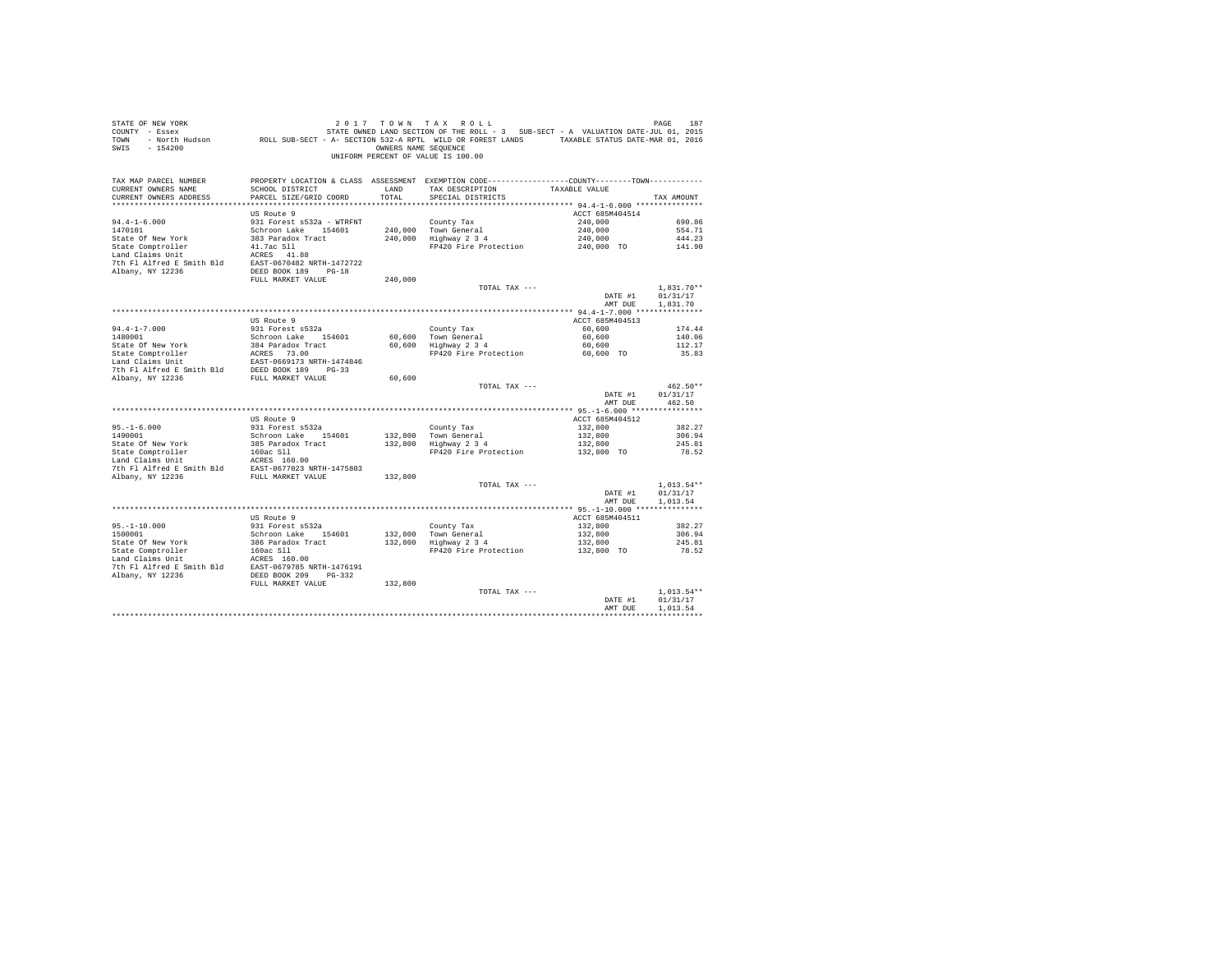| STATE OF NEW YORK<br>COUNTY - Essex<br>TOWN<br>SWIS - 154200                                                                                                                                                                                     | OF NEW YORK TRACK 187 ASSESS AND RESPOND TO A MALE ASSESS TO A STATE-JULO 17 ON N TRACK TO A STATE OF PRESSURE<br>The Essex STATE STATE OWNED LAND SECTION OF THE ROLL - 3 SUB-SECT - A VALUATION DATE-JULO 1, 2016<br>FAXABLE STAT | OWNERS NAME SEOUENCE | 2017 TOWN TAX ROLL<br>UNIFORM PERCENT OF VALUE IS 100.00                                                                             |                       |                          |
|--------------------------------------------------------------------------------------------------------------------------------------------------------------------------------------------------------------------------------------------------|-------------------------------------------------------------------------------------------------------------------------------------------------------------------------------------------------------------------------------------|----------------------|--------------------------------------------------------------------------------------------------------------------------------------|-----------------------|--------------------------|
| TAX MAP PARCEL NUMBER<br>CURRENT OWNERS NAME<br>CURRENT OWNERS ADDRESS                                                                                                                                                                           | SCHOOL DISTRICT<br>PARCEL SIZE/GRID COORD                                                                                                                                                                                           | LAND<br>TOTAL.       | PROPERTY LOCATION & CLASS ASSESSMENT EXEMPTION CODE---------------COUNTY-------TOWN---------<br>TAX DESCRIPTION<br>SPECIAL DISTRICTS | TAXABLE VALUE         | TAX AMOUNT               |
|                                                                                                                                                                                                                                                  | US Route 9                                                                                                                                                                                                                          |                      |                                                                                                                                      | ACCT 685M404514       |                          |
| $94.4 - 1 - 6.000$                                                                                                                                                                                                                               | 931 Forest s532a - WTRFNT                                                                                                                                                                                                           |                      | County Tax                                                                                                                           | 240,000               | 690.86                   |
| 1470101                                                                                                                                                                                                                                          | Schroon Lake 154601<br>383 Paradox Tract                                                                                                                                                                                            |                      | 240.000 Town General<br>$240,000$ $10$ $1000$ $340$                                                                                  | 240,000               | 554.71                   |
| State Of New York                                                                                                                                                                                                                                | 41.7ac Sll                                                                                                                                                                                                                          |                      | FP420 Fire Protection                                                                                                                | 240,000<br>240,000 TO | 444.23<br>141.90         |
| State Comptroller<br>Land Claims Unit                                                                                                                                                                                                            |                                                                                                                                                                                                                                     |                      |                                                                                                                                      |                       |                          |
|                                                                                                                                                                                                                                                  |                                                                                                                                                                                                                                     |                      |                                                                                                                                      |                       |                          |
|                                                                                                                                                                                                                                                  |                                                                                                                                                                                                                                     |                      |                                                                                                                                      |                       |                          |
|                                                                                                                                                                                                                                                  | FULL MARKET VALUE                                                                                                                                                                                                                   | 240,000              |                                                                                                                                      |                       |                          |
|                                                                                                                                                                                                                                                  |                                                                                                                                                                                                                                     |                      | TOTAL TAX ---                                                                                                                        | DATE #1               | $1,831.70**$<br>01/31/17 |
|                                                                                                                                                                                                                                                  |                                                                                                                                                                                                                                     |                      |                                                                                                                                      | AMT DUE               | 1,831.70                 |
|                                                                                                                                                                                                                                                  |                                                                                                                                                                                                                                     |                      |                                                                                                                                      |                       |                          |
|                                                                                                                                                                                                                                                  | US Route 9                                                                                                                                                                                                                          |                      |                                                                                                                                      | ACCT 685M404513       |                          |
| $94.4 - 1 - 7.000$<br>1480001                                                                                                                                                                                                                    | 931 Forest s532a                                                                                                                                                                                                                    |                      | County Tax                                                                                                                           | 60,600<br>60,600      | 174.44<br>140.06         |
|                                                                                                                                                                                                                                                  | Schroon Lake 154601                                                                                                                                                                                                                 |                      | 60,600 Town General<br>60,600 Highway 2 3 4                                                                                          | 60,600                | 112.17                   |
|                                                                                                                                                                                                                                                  |                                                                                                                                                                                                                                     |                      | FP420 Fire Protection 60,600 TO                                                                                                      |                       | 35.83                    |
|                                                                                                                                                                                                                                                  |                                                                                                                                                                                                                                     |                      |                                                                                                                                      |                       |                          |
| State Of New York<br>State Comptroller<br>1940 Paradox Tract<br>1940 Claims Unit<br>1950 Paradox Tract<br>1950 Paradox Tract<br>1950 Paradox NRT-1474846<br>1950 Paradox NRT 1414846<br>1950 Paradox NRT Paradox NRT Paradox<br>1960 Paradox Par |                                                                                                                                                                                                                                     |                      |                                                                                                                                      |                       |                          |
|                                                                                                                                                                                                                                                  |                                                                                                                                                                                                                                     | 60,600               | TOTAL TAX ---                                                                                                                        |                       | 462.50**                 |
|                                                                                                                                                                                                                                                  |                                                                                                                                                                                                                                     |                      |                                                                                                                                      | DATE #1<br>AMT DUE    | 01/31/17<br>462.50       |
|                                                                                                                                                                                                                                                  |                                                                                                                                                                                                                                     |                      |                                                                                                                                      |                       |                          |
|                                                                                                                                                                                                                                                  | US Route 9                                                                                                                                                                                                                          |                      |                                                                                                                                      | ACCT 685M404512       |                          |
| $95. -1 - 6.000$<br>1490001                                                                                                                                                                                                                      | 931 Forest s532a                                                                                                                                                                                                                    |                      | County Tax<br>132,800 Town General<br>132,800 Highway 2 3 4                                                                          | 132,800               | 382.27                   |
|                                                                                                                                                                                                                                                  | Schroon Lake 154601                                                                                                                                                                                                                 |                      |                                                                                                                                      | 132,800<br>132,800    | 306.94<br>245.81         |
|                                                                                                                                                                                                                                                  |                                                                                                                                                                                                                                     |                      | FP420 Fire Protection                                                                                                                | 132,800 TO            | 78.52                    |
|                                                                                                                                                                                                                                                  |                                                                                                                                                                                                                                     |                      |                                                                                                                                      |                       |                          |
|                                                                                                                                                                                                                                                  |                                                                                                                                                                                                                                     |                      |                                                                                                                                      |                       |                          |
| Albany, NY 12236                                                                                                                                                                                                                                 | FULL MARKET VALUE                                                                                                                                                                                                                   | 132,800              | TOTAL TAX ---                                                                                                                        |                       | $1,013.54**$             |
|                                                                                                                                                                                                                                                  |                                                                                                                                                                                                                                     |                      |                                                                                                                                      | DATE #1               | 01/31/17                 |
|                                                                                                                                                                                                                                                  |                                                                                                                                                                                                                                     |                      |                                                                                                                                      | AMT DUE               | 1,013.54                 |
|                                                                                                                                                                                                                                                  |                                                                                                                                                                                                                                     |                      |                                                                                                                                      |                       |                          |
|                                                                                                                                                                                                                                                  | US Route 9                                                                                                                                                                                                                          |                      |                                                                                                                                      | ACCT 685M404511       |                          |
| 95.-1-10.000<br>1500001                                                                                                                                                                                                                          | 931 Forest s532a<br>Schroon Lake 154601                                                                                                                                                                                             | 132,800              |                                                                                                                                      | 132,800<br>132,800    | 382.27<br>306.94         |
| State Of New York                                                                                                                                                                                                                                |                                                                                                                                                                                                                                     |                      | County Tax<br>132,800 Town General<br>132,800 Highway 2 3 4                                                                          | 132,800               | 245.81                   |
| State Comptroller                                                                                                                                                                                                                                | 386 Paradox Tract<br>160ac Sll                                                                                                                                                                                                      |                      | FP420 Fire Protection                                                                                                                | 132,800 TO            | 78.52                    |
| Land Claims Unit<br>ACRES 160.00<br>7th F1 Alfred B Smith Bld<br>Albany, NY 12236<br>BORT DEED BOOK 209 PG-332                                                                                                                                   |                                                                                                                                                                                                                                     |                      |                                                                                                                                      |                       |                          |
|                                                                                                                                                                                                                                                  |                                                                                                                                                                                                                                     |                      |                                                                                                                                      |                       |                          |
|                                                                                                                                                                                                                                                  | FULL MARKET VALUE                                                                                                                                                                                                                   | 132,800              |                                                                                                                                      |                       |                          |
|                                                                                                                                                                                                                                                  |                                                                                                                                                                                                                                     |                      | TOTAL TAX ---                                                                                                                        |                       | $1.013.54**$             |
|                                                                                                                                                                                                                                                  |                                                                                                                                                                                                                                     |                      |                                                                                                                                      | DATE #1               | 01/31/17                 |
|                                                                                                                                                                                                                                                  |                                                                                                                                                                                                                                     |                      |                                                                                                                                      | AMT DUE               | 1,013.54                 |
|                                                                                                                                                                                                                                                  |                                                                                                                                                                                                                                     |                      |                                                                                                                                      |                       | ************             |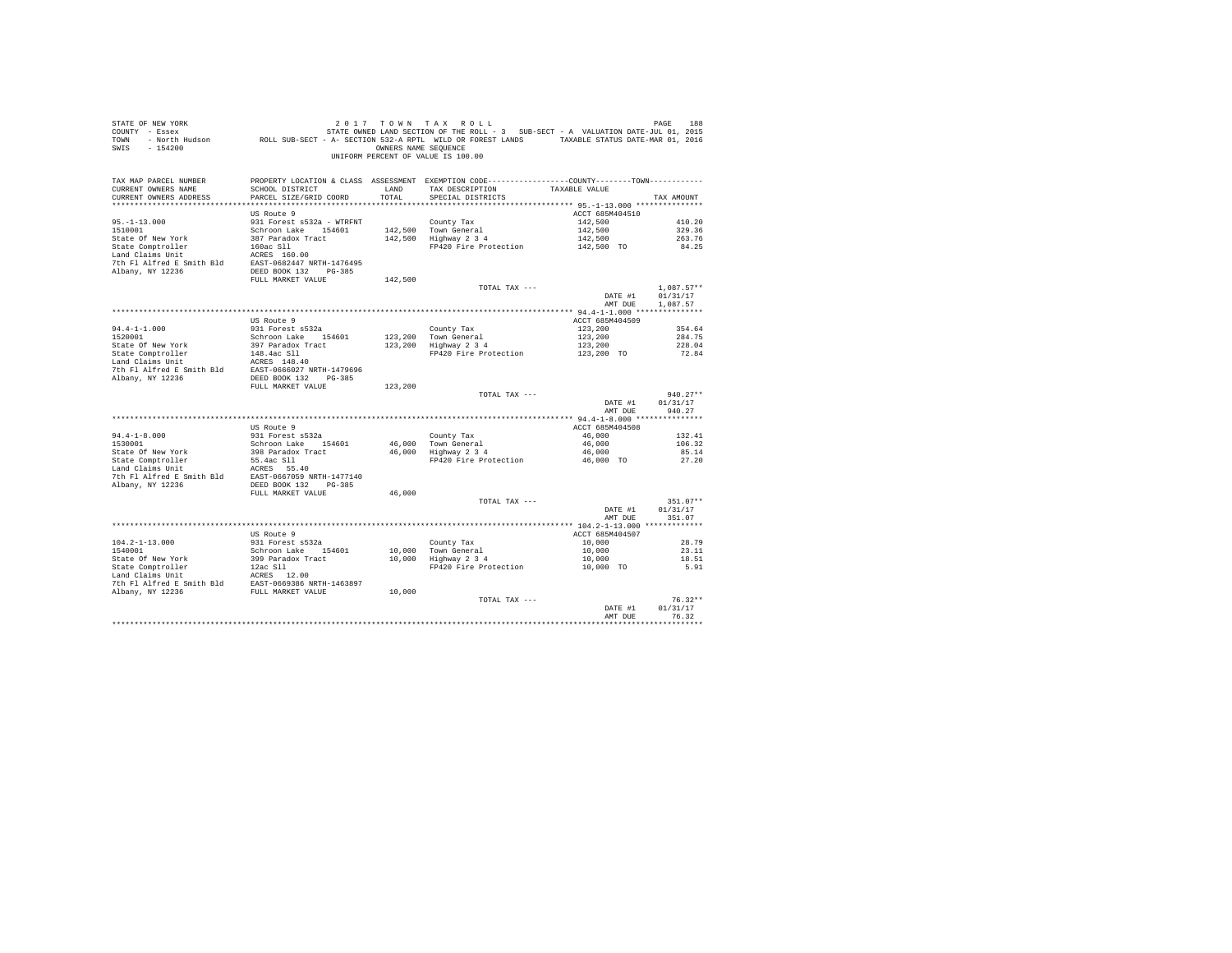| STATE OF NEW YORK<br>COUNTY - Essex<br>TOWN<br>SWIS<br>$-154200$                                                                                                |                                           | OWNERS NAME SEQUENCE | 2017 TOWN TAX ROLL<br>188 PAGE 188 בער יונט או AX ROLL בער או TAX ROLL בער אינט און FAX ROLL.<br>T Essex STATE-JULD, 2015 STATE ONNED LAND SECTION OF THE ROLL - 3 SUB-SECT - A VALUATION DATE-JULD 1, 2016<br>F North Hudson – ROLL SUB-SECT - A SECTION<br>UNIFORM PERCENT OF VALUE IS 100.00 |                 | PAGE<br>188  |
|-----------------------------------------------------------------------------------------------------------------------------------------------------------------|-------------------------------------------|----------------------|-------------------------------------------------------------------------------------------------------------------------------------------------------------------------------------------------------------------------------------------------------------------------------------------------|-----------------|--------------|
| TAX MAP PARCEL NUMBER<br>CURRENT OWNERS NAME<br>CURRENT OWNERS ADDRESS                                                                                          | SCHOOL DISTRICT<br>PARCEL SIZE/GRID COORD | LAND<br>TOTAL        | PROPERTY LOCATION & CLASS ASSESSMENT EXEMPTION CODE---------------COUNTY-------TOWN---------<br>TAX DESCRIPTION<br>SPECIAL DISTRICTS                                                                                                                                                            | TAXABLE VALUE   | TAX AMOUNT   |
|                                                                                                                                                                 | US Route 9                                |                      |                                                                                                                                                                                                                                                                                                 | ACCT 685M404510 |              |
| $95. -1 - 13.000$                                                                                                                                               | 931 Forest s532a - WTRFNT                 |                      | County Tax                                                                                                                                                                                                                                                                                      | 142,500         | 410.20       |
| 1510001                                                                                                                                                         | Schroon Lake 154601                       |                      | 142,500 Town General                                                                                                                                                                                                                                                                            | 142,500         | 329.36       |
| State Of New York                                                                                                                                               | 387 Paradox Tract                         |                      | 142,500 Highway 2 3 4                                                                                                                                                                                                                                                                           | 142,500         | 263.76       |
| State Comptroller<br>Land Claims Unit<br>160ac Sll<br>17th Fl Alfred E Smith Bld<br>2010 EAST-0682447 NRTH-1476495<br>2010 NP NOTES                             |                                           |                      | FP420 Fire Protection 142,500 TO                                                                                                                                                                                                                                                                |                 | 84.25        |
|                                                                                                                                                                 |                                           |                      |                                                                                                                                                                                                                                                                                                 |                 |              |
| Albany, NY 12236                                                                                                                                                | DEED BOOK 132 PG-385                      |                      |                                                                                                                                                                                                                                                                                                 |                 |              |
|                                                                                                                                                                 | FULL MARKET VALUE                         | 142,500              |                                                                                                                                                                                                                                                                                                 |                 |              |
|                                                                                                                                                                 |                                           |                      | TOTAL TAX ---                                                                                                                                                                                                                                                                                   |                 | $1.087.57**$ |
|                                                                                                                                                                 |                                           |                      |                                                                                                                                                                                                                                                                                                 | DATE #1         | 01/31/17     |
|                                                                                                                                                                 |                                           |                      |                                                                                                                                                                                                                                                                                                 | AMT DUE         | 1,087.57     |
|                                                                                                                                                                 | US Route 9                                |                      |                                                                                                                                                                                                                                                                                                 | ACCT 685M404509 |              |
|                                                                                                                                                                 | 931 Forest s532a                          |                      | County Tax                                                                                                                                                                                                                                                                                      | 123,200         | 354.64       |
| $94.4 - 1 - 1.000$<br>1520001                                                                                                                                   | Schroon Lake 154601                       | 123,200              |                                                                                                                                                                                                                                                                                                 | 123,200         | 284.75       |
| State Of New York                                                                                                                                               | 397 Paradox Tract                         | 123,200              | Town General<br>Highway 2 3 4                                                                                                                                                                                                                                                                   | 123,200         | 228.04       |
| State Comptroller                                                                                                                                               | 148.4ac Sll                               |                      | FP420 Fire Protection                                                                                                                                                                                                                                                                           | 123,200 TO      | 72.84        |
|                                                                                                                                                                 |                                           |                      |                                                                                                                                                                                                                                                                                                 |                 |              |
| State Computers and Claims Unit<br>The PI alfred E Smith Bld<br>The PI alfred E Smith Bld<br>EAST-0666027 NRTH-1479696<br>Albany, NY 12236 DEED BOOK 132 PG-385 |                                           |                      |                                                                                                                                                                                                                                                                                                 |                 |              |
|                                                                                                                                                                 | FULL MARKET VALUE                         | 123,200              |                                                                                                                                                                                                                                                                                                 |                 |              |
|                                                                                                                                                                 |                                           |                      | TOTAL TAX ---                                                                                                                                                                                                                                                                                   |                 | $940.27**$   |
|                                                                                                                                                                 |                                           |                      |                                                                                                                                                                                                                                                                                                 | DATE #1         | 01/31/17     |
|                                                                                                                                                                 |                                           |                      |                                                                                                                                                                                                                                                                                                 | AMT DUE         | 940.27       |
|                                                                                                                                                                 | US Route 9                                |                      |                                                                                                                                                                                                                                                                                                 | ACCT 685M404508 |              |
| $94.4 - 1 - 8.000$                                                                                                                                              | 931 Forest s532a                          |                      | County Tax                                                                                                                                                                                                                                                                                      | 46,000          | 132.41       |
| 1530001                                                                                                                                                         | Schroon Lake 154601                       |                      |                                                                                                                                                                                                                                                                                                 | 46,000          | 106.32       |
|                                                                                                                                                                 |                                           |                      | 46,000 Town General<br>46,000 Highway 2 3 4                                                                                                                                                                                                                                                     | 46,000          | 85.14        |
| State Of New York 398 Paradox Tract<br>State Comptroller 55.4ac S11<br>Land Claims Unit 1.000 ACRES 55.40                                                       |                                           |                      | FP420 Fire Protection 46,000 TO                                                                                                                                                                                                                                                                 |                 | 27.20        |
| Land Claims Unit<br>7th F1 Alfred E Smith Bld EAST-0667059 NRTH-1477140                                                                                         | ACRES 55.40                               |                      |                                                                                                                                                                                                                                                                                                 |                 |              |
| Albany, NY 12236                                                                                                                                                | DEED BOOK 132 PG-385                      |                      |                                                                                                                                                                                                                                                                                                 |                 |              |
|                                                                                                                                                                 | FULL MARKET VALUE                         | 46,000               |                                                                                                                                                                                                                                                                                                 |                 |              |
|                                                                                                                                                                 |                                           |                      | TOTAL TAX ---                                                                                                                                                                                                                                                                                   |                 | $351.07**$   |
|                                                                                                                                                                 |                                           |                      |                                                                                                                                                                                                                                                                                                 | DATE #1         | 01/31/17     |
|                                                                                                                                                                 |                                           |                      |                                                                                                                                                                                                                                                                                                 | AMT DUE         | 351.07       |
|                                                                                                                                                                 | US Route 9                                |                      |                                                                                                                                                                                                                                                                                                 | ACCT 685M404507 |              |
| $104.2 - 1 - 13.000$                                                                                                                                            | 931 Forest s532a                          |                      | County Tax                                                                                                                                                                                                                                                                                      | 10,000          | 28.79        |
| 1540001                                                                                                                                                         | Schroon Lake 154601                       |                      |                                                                                                                                                                                                                                                                                                 | 10,000          | 23.11        |
|                                                                                                                                                                 |                                           |                      | 10,000 Town General<br>10,000 Highway 2 3 4                                                                                                                                                                                                                                                     | 10,000          | 18.51        |
|                                                                                                                                                                 |                                           |                      | FP420 Fire Protection                                                                                                                                                                                                                                                                           | 10,000 TO       | 5.91         |
|                                                                                                                                                                 |                                           |                      |                                                                                                                                                                                                                                                                                                 |                 |              |
|                                                                                                                                                                 |                                           | 10,000               |                                                                                                                                                                                                                                                                                                 |                 |              |
|                                                                                                                                                                 |                                           |                      | TOTAL TAX ---                                                                                                                                                                                                                                                                                   |                 | $76.32**$    |
|                                                                                                                                                                 |                                           |                      |                                                                                                                                                                                                                                                                                                 | DATE #1         | 01/31/17     |
|                                                                                                                                                                 |                                           |                      |                                                                                                                                                                                                                                                                                                 | AMT DUE         | 76.32        |
|                                                                                                                                                                 |                                           |                      |                                                                                                                                                                                                                                                                                                 |                 |              |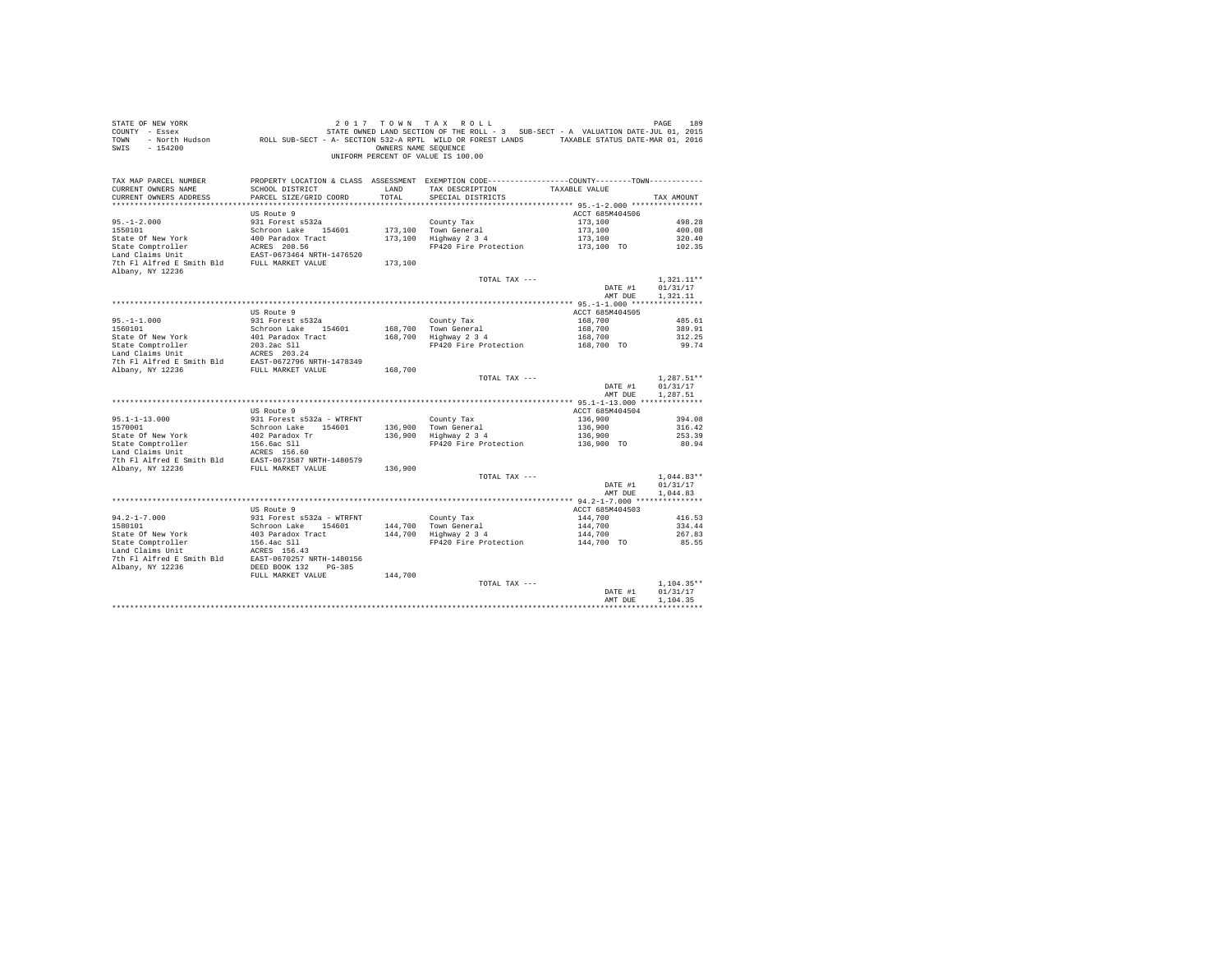| COUNTY - Essex<br>TOWN                                                                 | - North Hudson ROLL SUB-SECT - A- SECTION 532-A RPTL WILD OR FOREST LANDS TAXABLE STATUS DATE-MAR 01, 2016 |                      | STATE OWNED LAND SECTION OF THE ROLL - 3 SUB-SECT - A VALUATION DATE-JUL 01, 2015              |                    |                          |
|----------------------------------------------------------------------------------------|------------------------------------------------------------------------------------------------------------|----------------------|------------------------------------------------------------------------------------------------|--------------------|--------------------------|
| $-154200$<br>SWIS                                                                      |                                                                                                            | OWNERS NAME SEQUENCE |                                                                                                |                    |                          |
|                                                                                        |                                                                                                            |                      | UNIFORM PERCENT OF VALUE IS 100.00                                                             |                    |                          |
|                                                                                        |                                                                                                            |                      |                                                                                                |                    |                          |
| TAX MAP PARCEL NUMBER                                                                  |                                                                                                            |                      | PROPERTY LOCATION & CLASS ASSESSMENT EXEMPTION CODE----------------COUNTY-------TOWN---------- |                    |                          |
| CURRENT OWNERS NAME                                                                    | SCHOOL DISTRICT                                                                                            | LAND                 | TAX DESCRIPTION                                                                                | TAXABLE VALUE      |                          |
| CURRENT OWNERS ADDRESS                                                                 | PARCEL SIZE/GRID COORD                                                                                     | TOTAL                | SPECIAL DISTRICTS                                                                              |                    | TAX AMOUNT               |
|                                                                                        |                                                                                                            |                      |                                                                                                |                    |                          |
|                                                                                        | US Route 9                                                                                                 |                      |                                                                                                | ACCT 685M404506    |                          |
| $95. - 1 - 2.000$                                                                      | 931 Forest s532a                                                                                           |                      | County Tax                                                                                     | 173,100            | 498.28                   |
| 1550101                                                                                | Schroon Lake 154601                                                                                        |                      | 173,100 Town General                                                                           | 173,100            | 400.08                   |
| State Of New York                                                                      | 400 Paradox Tract                                                                                          |                      | 173,100 Highway 2 3 4                                                                          | 173,100            | 320.40                   |
| State Comptroller                                                                      | ACRES 208.56                                                                                               |                      | FP420 Fire Protection                                                                          | 173,100 TO         | 102.35                   |
| Land Claims Unit                                                                       | EAST-0673464 NRTH-1476520                                                                                  |                      |                                                                                                |                    |                          |
| 7th Fl Alfred E Smith Bld FULL MARKET VALUE                                            |                                                                                                            | 173,100              |                                                                                                |                    |                          |
| Albany, NY 12236                                                                       |                                                                                                            |                      | TOTAL TAX ---                                                                                  |                    | $1.321.11**$             |
|                                                                                        |                                                                                                            |                      |                                                                                                | DATE #1            | 01/31/17                 |
|                                                                                        |                                                                                                            |                      |                                                                                                | AMT DUE            | 1.321.11                 |
|                                                                                        |                                                                                                            |                      |                                                                                                |                    |                          |
|                                                                                        | US Route 9                                                                                                 |                      |                                                                                                | ACCT 685M404505    |                          |
| $95. -1 - 1.000$                                                                       | 931 Forest s532a                                                                                           |                      | County Tax                                                                                     | 168,700            | 485.61                   |
| 1560101                                                                                | Schroon Lake 154601                                                                                        |                      | 168,700 Town General                                                                           | 168,700            | 389.91                   |
| State Of New York                                                                      | 401 Paradox Tract                                                                                          |                      | 168,700 Highway 2 3 4                                                                          | 168,700            | 312.25                   |
| State Comptroller                                                                      | 203.2ac S11<br>ACRES 203.24                                                                                |                      | FP420 Fire Protection                                                                          | 168,700 TO         | 99.74                    |
| Land Claims Unit                                                                       |                                                                                                            |                      |                                                                                                |                    |                          |
| For the Smith Bld<br>The Fl Alfred E Smith Bld<br>Rhany, NY 12236<br>FULL MARKET VALUE |                                                                                                            |                      |                                                                                                |                    |                          |
|                                                                                        |                                                                                                            | 168,700              |                                                                                                |                    |                          |
|                                                                                        |                                                                                                            |                      |                                                                                                |                    |                          |
|                                                                                        |                                                                                                            |                      | TOTAL TAX ---                                                                                  |                    | $1,287.51**$             |
|                                                                                        |                                                                                                            |                      |                                                                                                | DATE #1            | 01/31/17                 |
|                                                                                        |                                                                                                            |                      |                                                                                                | AMT DUE            | 1.287.51                 |
|                                                                                        | US Route 9                                                                                                 |                      |                                                                                                | ACCT 685M404504    |                          |
| $95.1 - 1 - 13.000$                                                                    | 931 Forest s532a - WTRFNT                                                                                  |                      | County Tax                                                                                     | 136,900            | 394.08                   |
| 1570001                                                                                | Schroon Lake 154601                                                                                        | 136,900              |                                                                                                | 136,900            | 316.42                   |
| State Of New York                                                                      | 402 Paradox Tr                                                                                             | 136,900              | Town General<br>Highway 2 3 4                                                                  | 136,900            | 253.39                   |
| State Comptroller                                                                      |                                                                                                            |                      | FP420 Fire Protection                                                                          | 136,900 TO         | 80.94                    |
| Land Claims Unit                                                                       | 156.6ac S11<br>ACRES 156.60                                                                                |                      |                                                                                                |                    |                          |
| 7th Fl Alfred E Smith Bld                                                              | EAST-0673587 NRTH-1480579                                                                                  |                      |                                                                                                |                    |                          |
| Albany, NY 12236                                                                       | FULL MARKET VALUE                                                                                          | 136,900              |                                                                                                |                    |                          |
|                                                                                        |                                                                                                            |                      | TOTAL TAX ---                                                                                  |                    | $1.044.83**$             |
|                                                                                        |                                                                                                            |                      |                                                                                                | DATE #1            | 01/31/17                 |
|                                                                                        |                                                                                                            |                      |                                                                                                | AMT DUE            | 1,044.83<br>************ |
|                                                                                        | US Route 9                                                                                                 |                      |                                                                                                | ACCT 685M404503    |                          |
| $94.2 - 1 - 7.000$                                                                     | 931 Forest s532a - WTRFNT                                                                                  |                      |                                                                                                | 144,700            | 416.53                   |
| 1580101                                                                                | Schroon Lake 154601                                                                                        |                      |                                                                                                | 144,700            | 334.44                   |
| State Of New York                                                                      | 403 Paradox Tract                                                                                          |                      | County Tax<br>144,700 Town General<br>144,700 Highway 2 3 4                                    | 144,700            | 267.83                   |
| State Comptroller                                                                      |                                                                                                            |                      | FP420 Fire Protection                                                                          | 144,700 TO         | 85.55                    |
| Land Claims Unit                                                                       | 156.4ac S11<br>ACRES 156.43                                                                                |                      |                                                                                                |                    |                          |
| 7th Fl Alfred E Smith Bld EAST-0670257 NRTH-1480156                                    |                                                                                                            |                      |                                                                                                |                    |                          |
| Albany, NY 12236                                                                       | DEED BOOK 132<br>PG-385                                                                                    |                      |                                                                                                |                    |                          |
|                                                                                        | FULL MARKET VALUE                                                                                          | 144,700              |                                                                                                |                    |                          |
|                                                                                        |                                                                                                            |                      | TOTAL TAX ---                                                                                  |                    | $1.104.35**$             |
|                                                                                        |                                                                                                            |                      |                                                                                                | DATE #1<br>AMT DUE | 01/31/17<br>1,104.35     |

STATE OF NEW YORK **2017** TOWN TAX ROLL **DESIGNER STATE OF NEW YORK** 189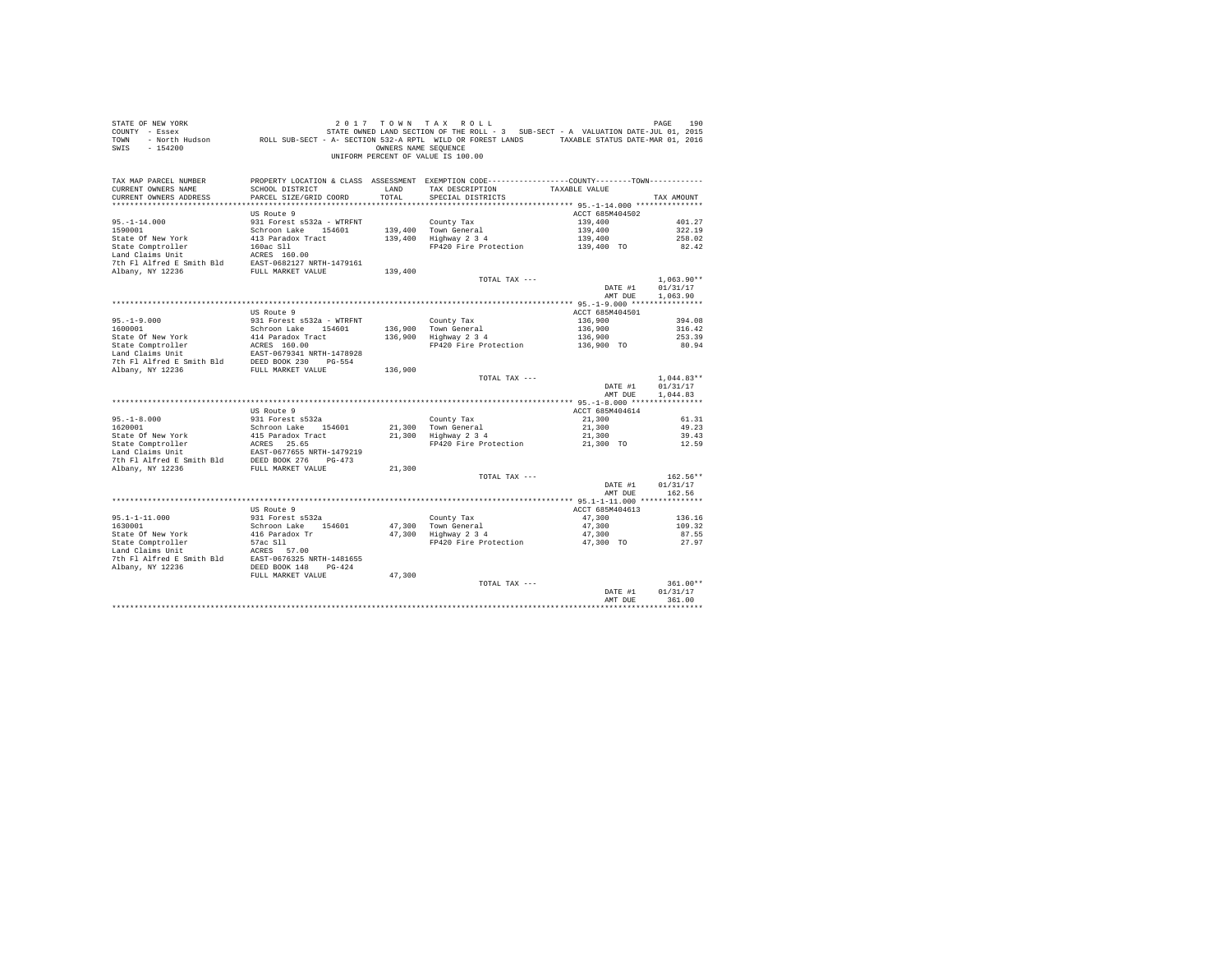| STATE OF NEW YORK<br>COUNTY - Essex<br>TOWN<br>SWIS - 154200                                                                                                                                                                                                | 190 1 17 10 NN TAX ROLL<br>T - Essex STATE OWNED LAND SECTION OF THE ROLL - 3 SUB-SECT - A VALUATION DATE-JUL 01, 2015<br>ROLL SUB-SECT - A SECTION 532-A RPTL WILD OR FOREST LANDS - TAXABLE STATUS DATE-VUR 01, 2016 - NOT - NOT | OWNERS NAME SEQUENCE | 2017 TOWN TAX ROLL<br>UNIFORM PERCENT OF VALUE IS 100.00                                       |                    | PAGE<br>190          |
|-------------------------------------------------------------------------------------------------------------------------------------------------------------------------------------------------------------------------------------------------------------|------------------------------------------------------------------------------------------------------------------------------------------------------------------------------------------------------------------------------------|----------------------|------------------------------------------------------------------------------------------------|--------------------|----------------------|
| TAX MAP PARCEL NUMBER                                                                                                                                                                                                                                       |                                                                                                                                                                                                                                    |                      | PROPERTY LOCATION & CLASS ASSESSMENT EXEMPTION CODE----------------COUNTY-------TOWN---------- |                    |                      |
| CURRENT OWNERS NAME<br>CURRENT OWNERS ADDRESS                                                                                                                                                                                                               | SCHOOL DISTRICT<br>PARCEL SIZE/GRID COORD                                                                                                                                                                                          | LAND<br>TOTAL        | TAX DESCRIPTION<br>SPECIAL DISTRICTS                                                           | TAXABLE VALUE      | TAX AMOUNT           |
|                                                                                                                                                                                                                                                             |                                                                                                                                                                                                                                    |                      |                                                                                                |                    |                      |
|                                                                                                                                                                                                                                                             | US Route 9                                                                                                                                                                                                                         |                      |                                                                                                | ACCT 685M404502    |                      |
|                                                                                                                                                                                                                                                             | 931 Forest s532a - WTRFNT                                                                                                                                                                                                          |                      | County Tax                                                                                     | 139,400            | 401.27               |
| $75. -1 - 14.000$<br>1590001                                                                                                                                                                                                                                | Schroon Lake 154601                                                                                                                                                                                                                |                      |                                                                                                | 139,400            | 322.19               |
| State Of New York                                                                                                                                                                                                                                           | 413 Paradox Tract                                                                                                                                                                                                                  |                      | 139,400 Town General<br>139,400 Highway 2 3 4                                                  | 139,400            | 258.02               |
| State Comptroller                                                                                                                                                                                                                                           |                                                                                                                                                                                                                                    |                      | FP420 Fire Protection                                                                          | 139,400 TO         | 82.42                |
| Land Claims Unit                                                                                                                                                                                                                                            | 160ac S11<br>ACRES 160.00<br>EAST-0682127 NRTH-1479161                                                                                                                                                                             |                      |                                                                                                |                    |                      |
| 7th Fl Alfred E Smith Bld<br>Albany, NY 12236                                                                                                                                                                                                               | FULL MARKET VALUE                                                                                                                                                                                                                  | 139,400              |                                                                                                |                    |                      |
|                                                                                                                                                                                                                                                             |                                                                                                                                                                                                                                    |                      | TOTAL TAX ---                                                                                  |                    | $1.063.90**$         |
|                                                                                                                                                                                                                                                             |                                                                                                                                                                                                                                    |                      |                                                                                                | DATE #1            | 01/31/17             |
|                                                                                                                                                                                                                                                             |                                                                                                                                                                                                                                    |                      |                                                                                                | AMT DUE            | 1,063.90             |
|                                                                                                                                                                                                                                                             |                                                                                                                                                                                                                                    |                      |                                                                                                |                    |                      |
|                                                                                                                                                                                                                                                             | US Route 9                                                                                                                                                                                                                         |                      |                                                                                                | ACCT 685M404501    |                      |
| $95. -1 - 9.000$<br>1600001                                                                                                                                                                                                                                 | 931 Forest s532a - WTRFNT                                                                                                                                                                                                          |                      | County Tax                                                                                     | 136,900            | 394.08<br>316.42     |
| State Of New York                                                                                                                                                                                                                                           | Schroon Lake 154601<br>414 Paradox Tract                                                                                                                                                                                           |                      | 136,900 Town General<br>136,900 Highway 2 3 4                                                  | 136,900<br>136,900 | 253.39               |
|                                                                                                                                                                                                                                                             |                                                                                                                                                                                                                                    |                      | FP420 Fire Protection                                                                          | 136,900 TO         | 80.94                |
|                                                                                                                                                                                                                                                             |                                                                                                                                                                                                                                    |                      |                                                                                                |                    |                      |
| State Comptroller accress 160.00<br>Land Claims Unit<br>Land Claims Unit<br>The Fl Alfred E Smith Bld DEED BOOK 230 PG-554<br>The Fl Alfred E Smith Bld DEED BOOK 230 PG-554<br>Albany, NY 12236                                                            |                                                                                                                                                                                                                                    |                      |                                                                                                |                    |                      |
|                                                                                                                                                                                                                                                             |                                                                                                                                                                                                                                    | 136,900              |                                                                                                |                    |                      |
|                                                                                                                                                                                                                                                             |                                                                                                                                                                                                                                    |                      | TOTAL TAX ---                                                                                  |                    | $1,044.83**$         |
|                                                                                                                                                                                                                                                             |                                                                                                                                                                                                                                    |                      |                                                                                                | DATE #1<br>AMT DUE | 01/31/17<br>1,044.83 |
|                                                                                                                                                                                                                                                             |                                                                                                                                                                                                                                    |                      |                                                                                                |                    |                      |
|                                                                                                                                                                                                                                                             | US Route 9                                                                                                                                                                                                                         |                      |                                                                                                | ACCT 685M404614    |                      |
| $95. - 1 - 8.000$                                                                                                                                                                                                                                           | 931 Forest s532a                                                                                                                                                                                                                   |                      | County Tax                                                                                     | 21,300             | 61.31                |
| 1620001                                                                                                                                                                                                                                                     | Schroon Lake 154601                                                                                                                                                                                                                |                      | County Tax<br>21,300   Town General<br>21,300   Highway 2 3 4                                  | 21,300             | 49.23                |
|                                                                                                                                                                                                                                                             |                                                                                                                                                                                                                                    |                      |                                                                                                | 21,300             | 39.43                |
|                                                                                                                                                                                                                                                             |                                                                                                                                                                                                                                    |                      | FP420 Fire Protection                                                                          | 21,300 TO          | 12.59                |
|                                                                                                                                                                                                                                                             |                                                                                                                                                                                                                                    |                      |                                                                                                |                    |                      |
|                                                                                                                                                                                                                                                             |                                                                                                                                                                                                                                    | 21,300               |                                                                                                |                    |                      |
|                                                                                                                                                                                                                                                             |                                                                                                                                                                                                                                    |                      | TOTAL TAX ---                                                                                  |                    | 162.56**             |
|                                                                                                                                                                                                                                                             |                                                                                                                                                                                                                                    |                      |                                                                                                | DATE #1            | 01/31/17             |
|                                                                                                                                                                                                                                                             |                                                                                                                                                                                                                                    |                      |                                                                                                | AMT DUE            | 162.56               |
|                                                                                                                                                                                                                                                             | US Route 9                                                                                                                                                                                                                         |                      |                                                                                                | ACCT 685M404613    |                      |
| $95.1 - 1 - 11.000$                                                                                                                                                                                                                                         | 931 Forest s532a                                                                                                                                                                                                                   |                      | County Tax                                                                                     | 47,300             | 136.16               |
| 1630001                                                                                                                                                                                                                                                     | Schroon Lake 154601                                                                                                                                                                                                                |                      |                                                                                                | 47,300             | 109.32               |
| State Of New York<br>State Comptroller                                                                                                                                                                                                                      |                                                                                                                                                                                                                                    |                      | 47,300 Town General<br>47,300 Highway 2 3 4                                                    | 47,300             | 87.55                |
|                                                                                                                                                                                                                                                             | 416 Paradox Tr<br>57ac Sll<br>20PES 57.00                                                                                                                                                                                          |                      | FP420 Fire Protection                                                                          | 47,300 TO          | 27.97                |
|                                                                                                                                                                                                                                                             |                                                                                                                                                                                                                                    |                      |                                                                                                |                    |                      |
| Land Claims Unit<br>The F1 Alfred E Smith Bld<br>RAST-0676325 NRTH-1481655<br>Nhanv. NY 19936<br>The Constant Constant Constant Constant Constant Constant Constant Constant<br>The Constant Constant Constant Constant Constant Consta<br>Albany, NY 12236 | DEED BOOK 148 PG-424                                                                                                                                                                                                               |                      |                                                                                                |                    |                      |
|                                                                                                                                                                                                                                                             | FULL MARKET VALUE                                                                                                                                                                                                                  | 47,300               |                                                                                                |                    |                      |
|                                                                                                                                                                                                                                                             |                                                                                                                                                                                                                                    |                      | TOTAL TAX ---                                                                                  |                    | $361.00**$           |
|                                                                                                                                                                                                                                                             |                                                                                                                                                                                                                                    |                      |                                                                                                | DATE #1            | 01/31/17             |
|                                                                                                                                                                                                                                                             |                                                                                                                                                                                                                                    |                      |                                                                                                | AMT DUE            | 361.00               |
|                                                                                                                                                                                                                                                             |                                                                                                                                                                                                                                    |                      |                                                                                                |                    |                      |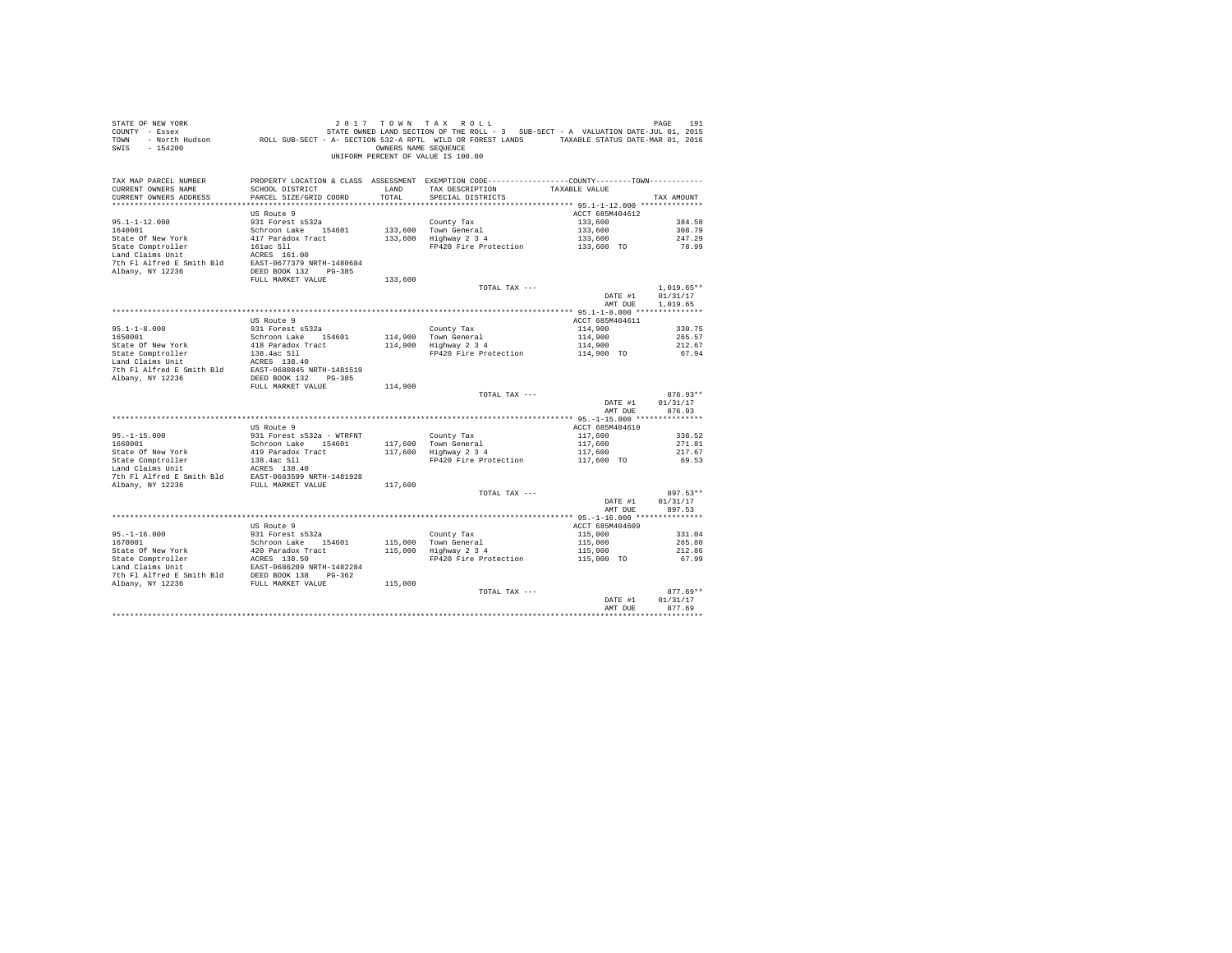| STATE OF NEW YORK<br>SWIS - 154200                                                                                                                                                                                                                                                                                                                                        |                                |         | 2017 TOWN TAX ROLL<br>OWNERS NAME SEQUENCE<br>UNIFORM PERCENT OF VALUE IS 100.00                                 |                            | PAGE<br>191        |
|---------------------------------------------------------------------------------------------------------------------------------------------------------------------------------------------------------------------------------------------------------------------------------------------------------------------------------------------------------------------------|--------------------------------|---------|------------------------------------------------------------------------------------------------------------------|----------------------------|--------------------|
| TAX MAP PARCEL NUMBER<br>CURRENT OWNERS NAME                                                                                                                                                                                                                                                                                                                              | SCHOOL DISTRICT LAND           |         | PROPERTY LOCATION & CLASS ASSESSMENT EXEMPTION CODE---------------COUNTY-------TOWN----------<br>TAX DESCRIPTION | TAXABLE VALUE              |                    |
| CURRENT OWNERS ADDRESS                                                                                                                                                                                                                                                                                                                                                    | PARCEL SIZE/GRID COORD         | TOTAL   | SPECIAL DISTRICTS                                                                                                |                            | TAX AMOUNT         |
|                                                                                                                                                                                                                                                                                                                                                                           |                                |         |                                                                                                                  |                            |                    |
|                                                                                                                                                                                                                                                                                                                                                                           | US Route 9                     |         |                                                                                                                  | ACCT 685M404612            |                    |
| $95.1 - 1 - 12.000$                                                                                                                                                                                                                                                                                                                                                       | 931 Forest s532a               |         | County Tax                                                                                                       | 133,600                    | 384.58             |
| 1640001                                                                                                                                                                                                                                                                                                                                                                   | Schroon Lake 154601            |         | 133,600 Town General<br>133,600 Highway 2 3 4                                                                    | 133,600                    | 308.79             |
| State Of New York                                                                                                                                                                                                                                                                                                                                                         | 417 Paradox Tract              |         | FP420 Fire Protection                                                                                            | 133,600<br>133,600 TO      | 247.29<br>78.99    |
| State Comptroller<br>Land Claims Unit                                                                                                                                                                                                                                                                                                                                     | 161ac S11<br>ACRES 161.00      |         |                                                                                                                  |                            |                    |
| 7th Fl Alfred E Smith Bld EAST-0677379 NRTH-1480684                                                                                                                                                                                                                                                                                                                       |                                |         |                                                                                                                  |                            |                    |
| Albany, NY 12236                                                                                                                                                                                                                                                                                                                                                          | DEED BOOK 132 PG-385           |         |                                                                                                                  |                            |                    |
|                                                                                                                                                                                                                                                                                                                                                                           | FULL MARKET VALUE              | 133,600 |                                                                                                                  |                            |                    |
|                                                                                                                                                                                                                                                                                                                                                                           |                                |         | TOTAL TAX ---                                                                                                    |                            | $1,019.65**$       |
|                                                                                                                                                                                                                                                                                                                                                                           |                                |         |                                                                                                                  | DATE #1                    | 01/31/17           |
|                                                                                                                                                                                                                                                                                                                                                                           |                                |         |                                                                                                                  | AMT DUE                    | 1,019.65           |
|                                                                                                                                                                                                                                                                                                                                                                           | US Route 9                     |         |                                                                                                                  | ACCT 685M404611            |                    |
|                                                                                                                                                                                                                                                                                                                                                                           | 931 Forest s532a               |         | County Tax                                                                                                       | 114,900                    | 330.75             |
| $95.1 - 1 - 8.000$<br>1650001                                                                                                                                                                                                                                                                                                                                             | Schroon Lake 154601            |         |                                                                                                                  | 114,900                    | 265.57             |
| State Of New York                                                                                                                                                                                                                                                                                                                                                         | 418 Paradox Tract              |         | County Tax<br>114,900    Town General<br>114,900    Highway 2 3 4                                                |                            | 212.67             |
| State Comptroller<br>Land Claims Unit                                                                                                                                                                                                                                                                                                                                     |                                |         | FP420 Fire Protection                                                                                            | 114,900<br>114,900 TO      | 67.94              |
|                                                                                                                                                                                                                                                                                                                                                                           |                                |         |                                                                                                                  |                            |                    |
| State Comptroller<br>138.4ac S11<br>Land Claims Unit<br>138.4ac S11<br>2 Albany, NY 12236<br>2236<br>2 DEED BOOK 132<br>2 PG-385                                                                                                                                                                                                                                          |                                |         |                                                                                                                  |                            |                    |
|                                                                                                                                                                                                                                                                                                                                                                           |                                |         |                                                                                                                  |                            |                    |
|                                                                                                                                                                                                                                                                                                                                                                           | FULL MARKET VALUE              | 114,900 | TOTAL TAX ---                                                                                                    |                            | $876.93**$         |
|                                                                                                                                                                                                                                                                                                                                                                           |                                |         |                                                                                                                  | DATE #1                    | 01/31/17           |
|                                                                                                                                                                                                                                                                                                                                                                           |                                |         |                                                                                                                  | AMT DUE                    | 876.93             |
|                                                                                                                                                                                                                                                                                                                                                                           |                                |         |                                                                                                                  |                            |                    |
|                                                                                                                                                                                                                                                                                                                                                                           | US Route 9                     |         |                                                                                                                  | ACCT 685M404610            |                    |
| $95. -1 - 15.000$                                                                                                                                                                                                                                                                                                                                                         | 931 Forest s532a - WTRFNT      |         | County Tax                                                                                                       | 117,600                    | 338.52             |
| 1660001                                                                                                                                                                                                                                                                                                                                                                   | Schroon Lake 154601            |         | 117,600 Town General<br>117,600 Highway 2 3 4                                                                    | 117,600                    | 271.81             |
| State Of New York                                                                                                                                                                                                                                                                                                                                                         | 419 Paradox Tract              |         | FP420 Fire Protection                                                                                            | 117,600<br>117,600 TO      | 217.67<br>69.53    |
| State Comptroller and the Maria Chains of the Maria Chains of the Maria Access 138.40                                                                                                                                                                                                                                                                                     | ACRES 138.40                   |         |                                                                                                                  |                            |                    |
|                                                                                                                                                                                                                                                                                                                                                                           |                                |         |                                                                                                                  |                            |                    |
| $\begin{tabular}{lllllllllll} \hline \multicolumn{2}{c}{\text{7.61.81.82.1.93.93.93.93.7.4}} & \multicolumn{2}{c}{\text{7.68.81.93.93.8}} \\ \hline \multicolumn{2}{c}{\text{7.68.81.93.93.8}} & \multicolumn{2}{c}{\text{R.68.81.93.8}} & \multicolumn{2}{c}{\text{R.68.81.93.8}} \\ \hline \multicolumn{2}{c}{\text{R.68.81.93.8}} & \multicolumn{2}{c}{\text{R.68.81.$ |                                | 117,600 |                                                                                                                  |                            |                    |
|                                                                                                                                                                                                                                                                                                                                                                           |                                |         | TOTAL TAX ---                                                                                                    |                            | $897.53**$         |
|                                                                                                                                                                                                                                                                                                                                                                           |                                |         |                                                                                                                  | DATE #1                    | 01/31/17           |
|                                                                                                                                                                                                                                                                                                                                                                           |                                |         |                                                                                                                  | AMT DUE                    | 897.53             |
|                                                                                                                                                                                                                                                                                                                                                                           |                                |         |                                                                                                                  |                            |                    |
|                                                                                                                                                                                                                                                                                                                                                                           | US Route 9<br>931 Forest s532a |         |                                                                                                                  | ACCT 685M404609<br>115,000 | 331.04             |
| $95. -1 - 16.000$<br>1670001                                                                                                                                                                                                                                                                                                                                              | Schroon Lake 154601            |         |                                                                                                                  | 115,000                    | 265.80             |
|                                                                                                                                                                                                                                                                                                                                                                           |                                |         | County Tax<br>115,000 Town General<br>115,000 Highway 2 3 4                                                      | 115,000                    | 212.86             |
|                                                                                                                                                                                                                                                                                                                                                                           |                                |         | FP420 Fire Protection                                                                                            | 115,000 TO                 | 67.99              |
|                                                                                                                                                                                                                                                                                                                                                                           |                                |         |                                                                                                                  |                            |                    |
|                                                                                                                                                                                                                                                                                                                                                                           |                                |         |                                                                                                                  |                            |                    |
| Albany, NY 12236                                                                                                                                                                                                                                                                                                                                                          | FULL MARKET VALUE              | 115,000 |                                                                                                                  |                            |                    |
|                                                                                                                                                                                                                                                                                                                                                                           |                                |         | TOTAL TAX ---                                                                                                    |                            | $877.69**$         |
|                                                                                                                                                                                                                                                                                                                                                                           |                                |         |                                                                                                                  | DATE #1<br>AMT DUE         | 01/31/17<br>877.69 |
|                                                                                                                                                                                                                                                                                                                                                                           |                                |         |                                                                                                                  |                            | ***********        |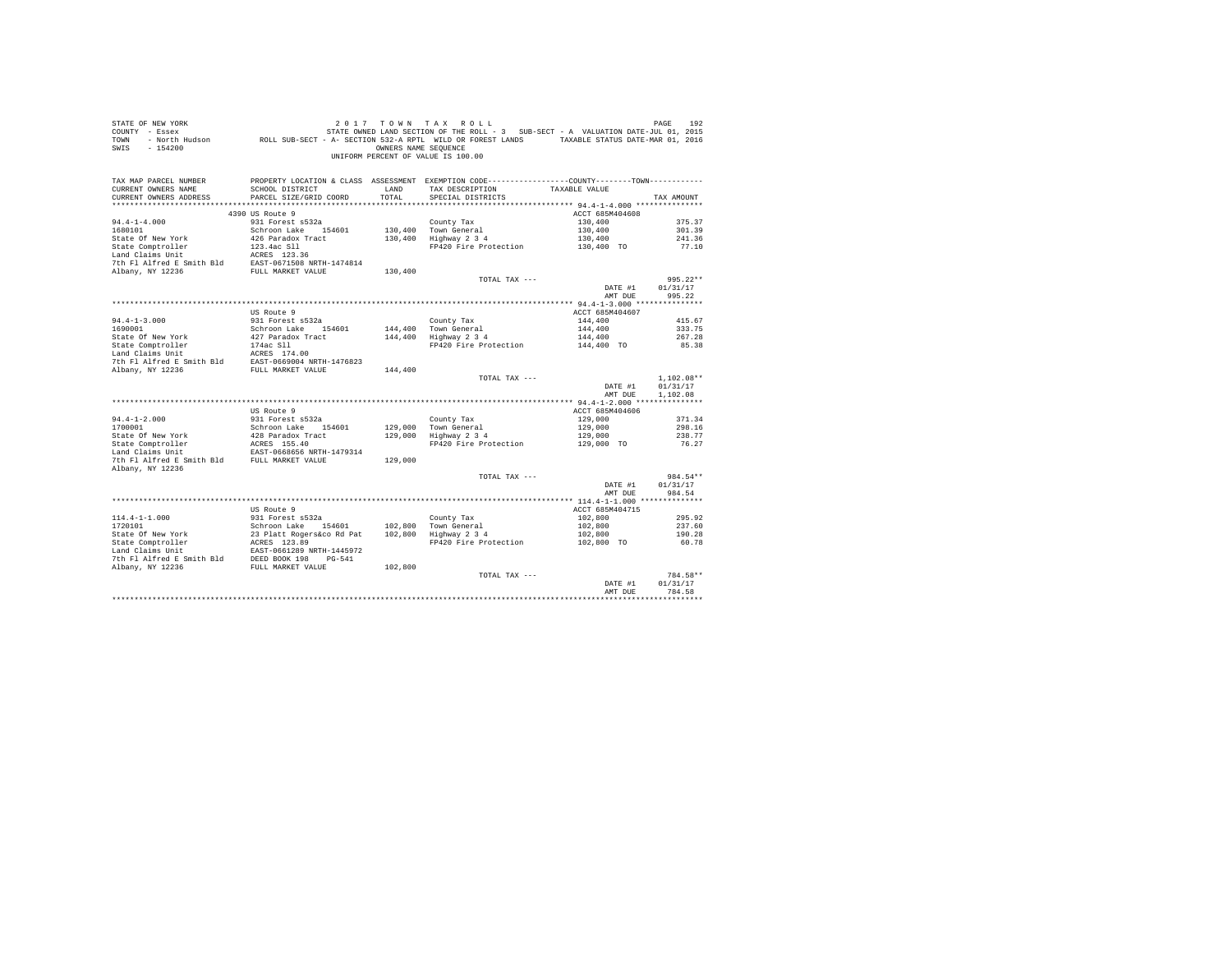| STATE OF NEW YORK                           |                                                            | 2017 TOWN TAX        | ROLL                                                                                             |                 | PAGE<br>192  |
|---------------------------------------------|------------------------------------------------------------|----------------------|--------------------------------------------------------------------------------------------------|-----------------|--------------|
| COUNTY - Essex                              |                                                            |                      | STATE OWNED LAND SECTION OF THE ROLL - 3 SUB-SECT - A VALUATION DATE-JUL 01, 2015                |                 |              |
| - North Hudson<br>TOWN                      |                                                            |                      | ROLL SUB-SECT - A- SECTION 532-A RPTL WILD OR FOREST LANDS TAXABLE STATUS DATE-MAR 01, 2016      |                 |              |
| SWIS<br>$-154200$                           |                                                            | OWNERS NAME SEQUENCE |                                                                                                  |                 |              |
|                                             |                                                            |                      | UNIFORM PERCENT OF VALUE IS 100.00                                                               |                 |              |
|                                             |                                                            |                      |                                                                                                  |                 |              |
|                                             |                                                            |                      |                                                                                                  |                 |              |
|                                             |                                                            |                      |                                                                                                  |                 |              |
| TAX MAP PARCEL NUMBER                       |                                                            |                      | PROPERTY LOCATION & CLASS ASSESSMENT EXEMPTION CODE-----------------COUNTY--------TOWN---------- |                 |              |
| CURRENT OWNERS NAME                         | SCHOOL DISTRICT                                            | LAND                 | TAX DESCRIPTION                                                                                  | TAXABLE VALUE   |              |
| CURRENT OWNERS ADDRESS                      | PARCEL SIZE/GRID COORD                                     | TOTAL                | SPECIAL DISTRICTS                                                                                |                 | TAX AMOUNT   |
|                                             |                                                            |                      |                                                                                                  |                 |              |
|                                             | 4390 US Route 9                                            |                      |                                                                                                  | ACCT 685M404608 |              |
| $94.4 - 1 - 4.000$                          | 931 Forest s532a                                           |                      | County Tax                                                                                       | 130,400         | 375.37       |
| 1680101                                     | Schroon Lake 154601                                        |                      | 130,400 Town General                                                                             | 130,400         | 301.39       |
| State Of New York                           | 426 Paradox Tract                                          |                      | 130,400 Highway 2 3 4                                                                            | 130,400         | 241.36       |
| State Comptroller                           | 123.4ac Sll                                                |                      | FP420 Fire Protection                                                                            | 130,400 TO      | 77.10        |
| Land Claims Unit                            | ACRES 123.36                                               |                      |                                                                                                  |                 |              |
| 7th Fl Alfred E Smith Bld                   | EAST-0671508 NRTH-1474814                                  |                      |                                                                                                  |                 |              |
| Albany, NY 12236                            | FULL MARKET VALUE                                          | 130,400              |                                                                                                  |                 |              |
|                                             |                                                            |                      |                                                                                                  |                 |              |
|                                             |                                                            |                      | TOTAL TAX ---                                                                                    |                 | $995.22**$   |
|                                             |                                                            |                      |                                                                                                  | DATE #1         | 01/31/17     |
|                                             |                                                            |                      |                                                                                                  | AMT DUE         | 995.22       |
|                                             |                                                            |                      |                                                                                                  |                 |              |
|                                             | US Route 9                                                 |                      |                                                                                                  | ACCT 685M404607 |              |
| $94.4 - 1 - 3.000$                          | 931 Forest s532a                                           |                      | County Tax                                                                                       | 144,400         | 415.67       |
| 1690001                                     | Schroon Lake 154601                                        | 144,400              | Town General                                                                                     | 144,400         | 333.75       |
| State Of New York                           | 427 Paradox Tract                                          | 144,400              | Highway 2 3 4                                                                                    | 144,400         | 267.28       |
| State Comptroller                           | 174ac Sll                                                  |                      | FP420 Fire Protection                                                                            | 144,400 TO      | 85.38        |
| Land Claims Unit                            | ACRES 174.00                                               |                      |                                                                                                  |                 |              |
| 7th Fl Alfred E Smith Bld                   | EAST-0669004 NRTH-1476823                                  |                      |                                                                                                  |                 |              |
| Albany, NY 12236                            | FULL MARKET VALUE                                          | 144,400              |                                                                                                  |                 |              |
|                                             |                                                            |                      | TOTAL TAX ---                                                                                    |                 | $1.102.08**$ |
|                                             |                                                            |                      |                                                                                                  |                 |              |
|                                             |                                                            |                      |                                                                                                  | DATE #1         | 01/31/17     |
|                                             |                                                            |                      |                                                                                                  | AMT DUE         | 1,102.08     |
|                                             |                                                            |                      |                                                                                                  |                 |              |
|                                             | US Route 9                                                 |                      |                                                                                                  | ACCT 685M404606 |              |
| $94.4 - 1 - 2.000$                          | 931 Forest s532a                                           |                      | County Tax                                                                                       | 129,000         | 371.34       |
| 1700001                                     | Schroon Lake 154601                                        |                      | 129,000 Town General                                                                             | 129,000         | 298.16       |
| State Of New York                           | 428 Paradox Tract                                          | 129,000              | Highway 2 3 4                                                                                    | 129,000         | 238.77       |
| State Comptroller                           |                                                            |                      | FP420 Fire Protection                                                                            | 129,000 TO      | 76.27        |
| Land Claims Unit                            | ACRES 155.40<br>EAST-0668656 NRTH-1479314                  |                      |                                                                                                  |                 |              |
| 7th Fl Alfred E Smith Bld FULL MARKET VALUE |                                                            | 129,000              |                                                                                                  |                 |              |
| Albany, NY 12236                            |                                                            |                      |                                                                                                  |                 |              |
|                                             |                                                            |                      | TOTAL TAX ---                                                                                    |                 | 984.54**     |
|                                             |                                                            |                      |                                                                                                  | DATE #1         | 01/31/17     |
|                                             |                                                            |                      |                                                                                                  | AMT DUE         | 984.54       |
|                                             |                                                            |                      |                                                                                                  |                 |              |
|                                             |                                                            |                      |                                                                                                  |                 |              |
|                                             | US Route 9                                                 |                      |                                                                                                  | ACCT 685M404715 |              |
| $114.4 - 1 - 1.000$                         | 931 Forest s532a                                           |                      | County Tax                                                                                       | 102,800         | 295.92       |
| 1720101                                     | Schroon Lake 154601                                        | 102,800              | Town General                                                                                     | 102,800         | 237.60       |
| State Of New York                           |                                                            | 102,800              | Highway 2 3 4                                                                                    | 102,800         | 190.28       |
| State Or num<br>State Comptroller           | 154601<br>23 Platt Rogers&co Rd Pat<br>ACRES 123.89<br>--- |                      | FP420 Fire Protection                                                                            | 102,800 TO      | 60.78        |
| Land Claims Unit                            | EAST-0661289 NRTH-1445972                                  |                      |                                                                                                  |                 |              |
| 7th Fl Alfred E Smith Bld                   | DEED BOOK 198<br>$PG-541$                                  |                      |                                                                                                  |                 |              |
| Albany, NY 12236                            | FULL MARKET VALUE                                          | 102,800              |                                                                                                  |                 |              |
|                                             |                                                            |                      | TOTAL TAX ---                                                                                    |                 | 784.58**     |
|                                             |                                                            |                      |                                                                                                  | DATE #1         | 01/31/17     |
|                                             |                                                            |                      |                                                                                                  | AMT DUE         | 784.58       |
|                                             |                                                            |                      |                                                                                                  |                 |              |
|                                             |                                                            |                      |                                                                                                  |                 |              |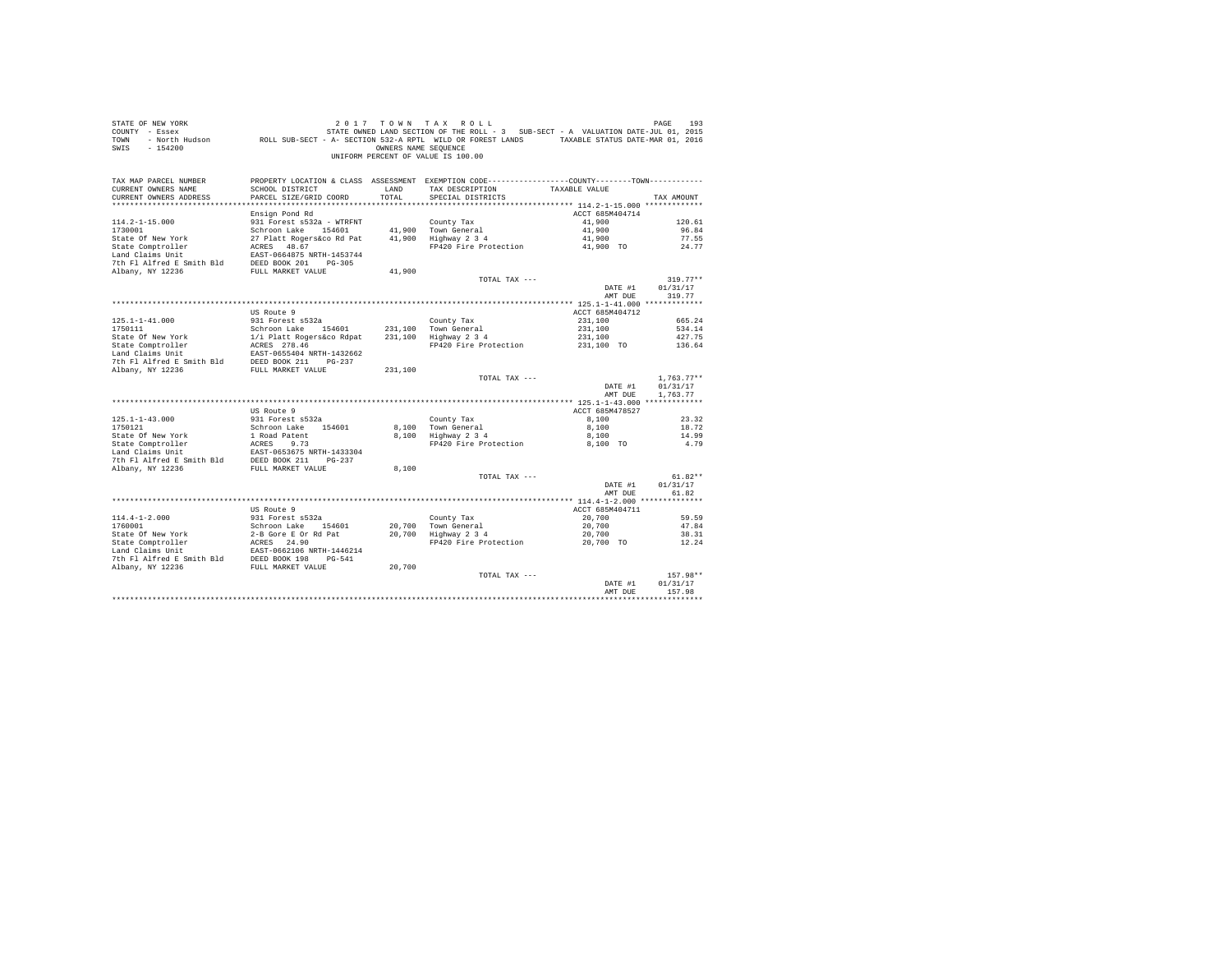| STATE OF NEW YORK<br>COUNTY - Essex<br>TOWN<br>$-154200$<br>SWIS                                                 |                                                                    | OWNERS NAME SEOUENCE | 2017 TOWN TAX ROLL<br>STATE OWNED LAND SECTION OF THE ROLL - 3 SUB-SECT - A VALUATION DATE-JUL 01, 2015<br>- North Hudson ROLL SUB-SECT - A- SECTION 532-A RPTL WILD OR FOREST LANDS TAXABLE STATUS DATE-MAR 01, 2016<br>UNIFORM PERCENT OF VALUE IS 100.00 |                    | PAGE<br>193          |
|------------------------------------------------------------------------------------------------------------------|--------------------------------------------------------------------|----------------------|-------------------------------------------------------------------------------------------------------------------------------------------------------------------------------------------------------------------------------------------------------------|--------------------|----------------------|
| TAX MAP PARCEL NUMBER<br>CURRENT OWNERS NAME<br>CURRENT OWNERS ADDRESS                                           | SCHOOL DISTRICT<br>PARCEL SIZE/GRID COORD                          | LAND<br>TOTAL        | PROPERTY LOCATION & CLASS ASSESSMENT EXEMPTION CODE----------------COUNTY-------TOWN----------<br>TAX DESCRIPTION<br>SPECIAL DISTRICTS                                                                                                                      | TAXABLE VALUE      | TAX AMOUNT           |
|                                                                                                                  | Ensign Pond Rd                                                     |                      |                                                                                                                                                                                                                                                             | ACCT 685M404714    |                      |
| $114.2 - 1 - 15.000$                                                                                             | 931 Forest s532a - WTRFNT                                          |                      | County Tax                                                                                                                                                                                                                                                  | 41,900             | 120.61               |
| 1730001                                                                                                          | Schroon Lake 154601                                                |                      | 41,900 Town General                                                                                                                                                                                                                                         | 41,900             | 96.84                |
| State Of New York                                                                                                | 27 Platt Rogers&co Rd Pat                                          |                      | 41,900 Highway 2 3 4                                                                                                                                                                                                                                        | 41,900             | 77.55                |
| State Comptroller                                                                                                | ACRES 48.67                                                        |                      | FP420 Fire Protection 41,900 TO                                                                                                                                                                                                                             |                    | 24.77                |
| Land Claims Unit                                                                                                 | EAST-0664875 NRTH-1453744                                          |                      |                                                                                                                                                                                                                                                             |                    |                      |
| 7th Fl Alfred E Smith Bld DEED BOOK 201 PG-305                                                                   |                                                                    |                      |                                                                                                                                                                                                                                                             |                    |                      |
| Albany, NY 12236                                                                                                 | FULL MARKET VALUE                                                  | 41,900               | TOTAL TAX ---                                                                                                                                                                                                                                               |                    | $319.77**$           |
|                                                                                                                  |                                                                    |                      |                                                                                                                                                                                                                                                             | DATE #1            | 01/31/17             |
|                                                                                                                  |                                                                    |                      |                                                                                                                                                                                                                                                             | AMT DUE            | 319.77               |
|                                                                                                                  |                                                                    |                      |                                                                                                                                                                                                                                                             |                    |                      |
|                                                                                                                  | US Route 9                                                         |                      |                                                                                                                                                                                                                                                             | ACCT 685M404712    |                      |
| $125.1 - 1 - 41.000$                                                                                             | 931 Forest s532a                                                   |                      | County Tax                                                                                                                                                                                                                                                  | 231,100            | 665.24               |
| 1750111                                                                                                          | Schroon Lake 154601                                                |                      | 231,100 Town General                                                                                                                                                                                                                                        | 231,100            | 534.14               |
| State Of New York                                                                                                | 19801 ---- Jane 19801<br>1/1 Platt Rogers&co Rdpat<br>ACRES 278.46 |                      | 231,100 Highway 2 3 4                                                                                                                                                                                                                                       | 231,100            | 427.75               |
| State Comptroller<br>Land Claims Unit                                                                            | EAST-0655404 NRTH-1432662                                          |                      | FP420 Fire Protection 231,100 TO                                                                                                                                                                                                                            |                    | 136.64               |
|                                                                                                                  |                                                                    |                      |                                                                                                                                                                                                                                                             |                    |                      |
| 7th F1 Alfred E Smith Bld<br>DEED BOOK 211 PG-237<br>RIbany, NY 12236<br>FULL MARKET VALUE                       |                                                                    | 231,100              |                                                                                                                                                                                                                                                             |                    |                      |
|                                                                                                                  |                                                                    |                      | TOTAL TAX ---                                                                                                                                                                                                                                               |                    | $1.763.77**$         |
|                                                                                                                  |                                                                    |                      |                                                                                                                                                                                                                                                             | DATE #1<br>AMT DUE | 01/31/17<br>1.763.77 |
|                                                                                                                  |                                                                    |                      |                                                                                                                                                                                                                                                             |                    |                      |
|                                                                                                                  | US Route 9                                                         |                      |                                                                                                                                                                                                                                                             | ACCT 685M478527    |                      |
| $125.1 - 1 - 43.000$                                                                                             | 931 Forest s532a                                                   |                      | County Tax                                                                                                                                                                                                                                                  | 8,100              | 23.32                |
| 1750121                                                                                                          | Schroon Lake 154601                                                |                      | 8.100 Town General<br>o,ioo Town General<br>8,100 Highway 2 3 4                                                                                                                                                                                             | 8,100              | 18.72                |
|                                                                                                                  |                                                                    |                      | FP420 Fire Protection 8.100 TO                                                                                                                                                                                                                              | 8,100              | 14.99                |
|                                                                                                                  |                                                                    |                      |                                                                                                                                                                                                                                                             |                    | 4.79                 |
|                                                                                                                  |                                                                    |                      |                                                                                                                                                                                                                                                             |                    |                      |
|                                                                                                                  |                                                                    | 8,100                |                                                                                                                                                                                                                                                             |                    |                      |
|                                                                                                                  |                                                                    |                      | TOTAL TAX ---                                                                                                                                                                                                                                               |                    | $61.82**$            |
|                                                                                                                  |                                                                    |                      |                                                                                                                                                                                                                                                             | DATE #1            | 01/31/17             |
|                                                                                                                  |                                                                    |                      |                                                                                                                                                                                                                                                             | AMT DUE            | 61.82                |
|                                                                                                                  |                                                                    |                      |                                                                                                                                                                                                                                                             |                    |                      |
|                                                                                                                  | US Route 9                                                         |                      |                                                                                                                                                                                                                                                             | ACCT 685M404711    |                      |
| $114.4 - 1 - 2.000$                                                                                              | 931 Forest s532a<br>Schroon Lake 154601                            |                      | County Tax                                                                                                                                                                                                                                                  | 20,700<br>20,700   | 59.59<br>47.84       |
|                                                                                                                  |                                                                    |                      | 20,700 Town General<br>20,700 Highway 2 3 4                                                                                                                                                                                                                 | 20,700             | 38.31                |
| 1760001<br>State Of New York<br>State Comptroller<br>This Init                                                   | 2-B Gore E Or Rd Pat<br>ACRES 24.90                                |                      | FP420 Fire Protection                                                                                                                                                                                                                                       | 20,700 TO          | 12.24                |
| Land Claims Unit Fass-0662106 NRTH-1446214<br>7th F1 Alfred E Smith Bld DEED BOOK 198 PG-541<br>Albany, NY 12236 |                                                                    |                      |                                                                                                                                                                                                                                                             |                    |                      |
|                                                                                                                  |                                                                    |                      |                                                                                                                                                                                                                                                             |                    |                      |
|                                                                                                                  |                                                                    | 20,700               |                                                                                                                                                                                                                                                             |                    |                      |
|                                                                                                                  |                                                                    |                      | TOTAL TAX ---                                                                                                                                                                                                                                               |                    | 157.98**             |
|                                                                                                                  |                                                                    |                      |                                                                                                                                                                                                                                                             | DATE #1<br>AMT DUE | 01/31/17<br>157.98   |
|                                                                                                                  |                                                                    |                      |                                                                                                                                                                                                                                                             |                    |                      |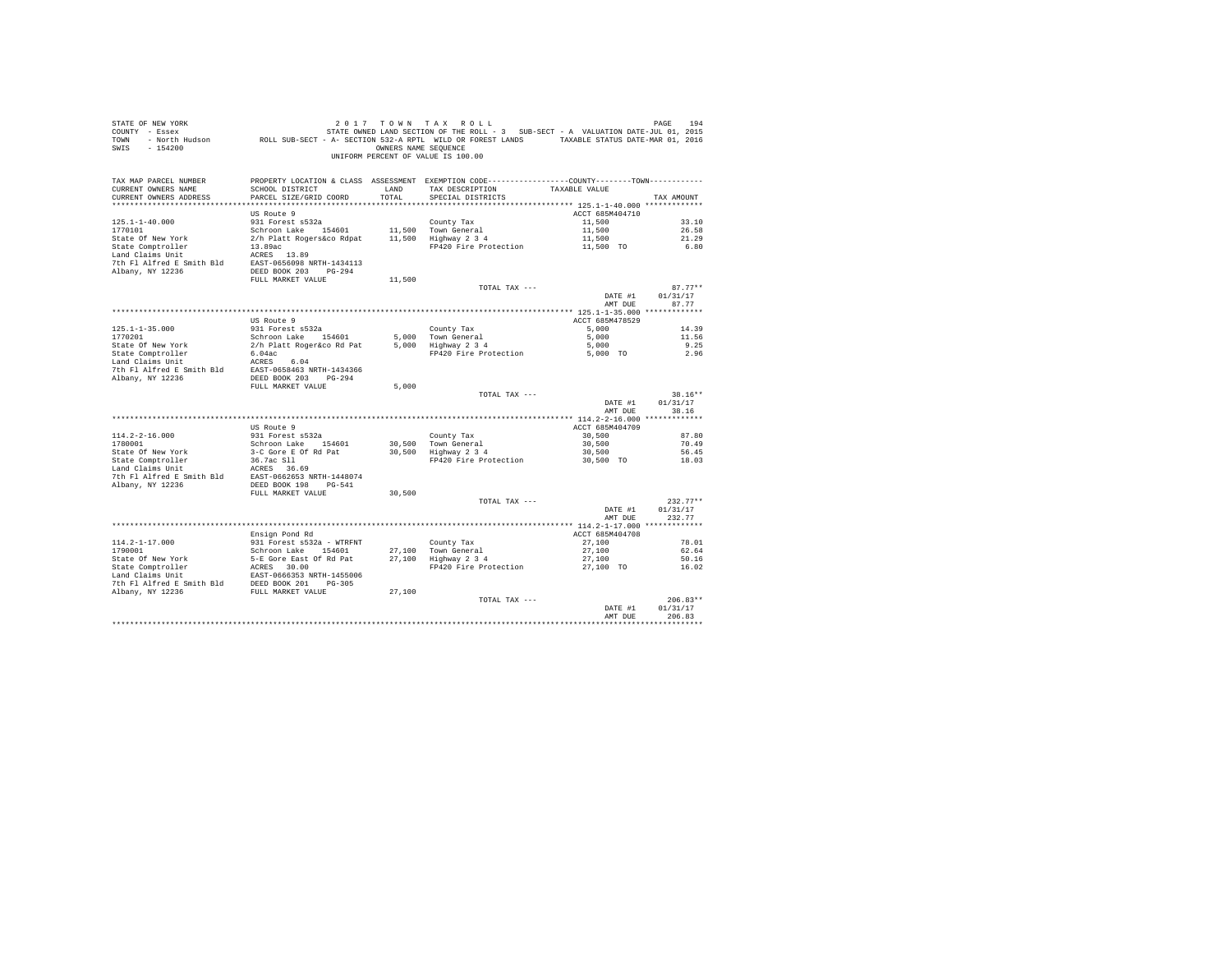| STATE OF NEW YORK<br>COUNTY - Essex<br>TOWN<br>- North Hudson<br>$-154200$<br>SWIS | ROLL SUB-SECT - A- SECTION 532-A RPTL WILD OR FOREST LANDS TAXABLE STATUS DATE-MAR 01, 2016                                                | OWNERS NAME SEQUENCE | 2017 TOWN TAX ROLL<br>STATE OWNED LAND SECTION OF THE ROLL - 3 SUB-SECT - A VALUATION DATE-JUL 01, 2015<br>UNIFORM PERCENT OF VALUE IS 100.00 |                           | PAGE<br>194        |
|------------------------------------------------------------------------------------|--------------------------------------------------------------------------------------------------------------------------------------------|----------------------|-----------------------------------------------------------------------------------------------------------------------------------------------|---------------------------|--------------------|
| TAX MAP PARCEL NUMBER<br>CURRENT OWNERS NAME<br>CURRENT OWNERS ADDRESS             | PROPERTY LOCATION & CLASS ASSESSMENT EXEMPTION CODE---------------COUNTY-------TOWN----------<br>SCHOOL DISTRICT<br>PARCEL SIZE/GRID COORD | LAND<br>TOTAL        | TAX DESCRIPTION<br>SPECIAL DISTRICTS                                                                                                          | TAXABLE VALUE             | TAX AMOUNT         |
|                                                                                    |                                                                                                                                            |                      |                                                                                                                                               |                           |                    |
|                                                                                    | US Route 9                                                                                                                                 |                      |                                                                                                                                               | ACCT 685M404710           |                    |
| $125.1 - 1 - 40.000$<br>1770101                                                    | 931 Forest s532a                                                                                                                           |                      | County Tax                                                                                                                                    | 11,500                    | 33.10<br>26.58     |
| State Of New York                                                                  | Schroon Lake 154601<br>2/h Platt Rogers&co Rdpat                                                                                           |                      | 11,500 Town General<br>11,500 Highway 2 3 4                                                                                                   | 11,500<br>11,500          | 21.29              |
| State Comptroller                                                                  | 13.89ac                                                                                                                                    |                      | FP420 Fire Protection                                                                                                                         | 11,500 TO                 | 6.80               |
| Land Claims Unit                                                                   | ACRES 13.89                                                                                                                                |                      |                                                                                                                                               |                           |                    |
| 7th Fl Alfred E Smith Bld                                                          | EAST-0656098 NRTH-1434113                                                                                                                  |                      |                                                                                                                                               |                           |                    |
| Albany, NY 12236                                                                   | DEED BOOK 203 PG-294                                                                                                                       |                      |                                                                                                                                               |                           |                    |
|                                                                                    | FULL MARKET VALUE                                                                                                                          | 11,500               |                                                                                                                                               |                           |                    |
|                                                                                    |                                                                                                                                            |                      | TOTAL TAX ---                                                                                                                                 |                           | $87.77**$          |
|                                                                                    |                                                                                                                                            |                      |                                                                                                                                               | DATE #1<br>AMT DUE        | 01/31/17<br>87.77  |
|                                                                                    |                                                                                                                                            |                      |                                                                                                                                               |                           |                    |
|                                                                                    | US Route 9                                                                                                                                 |                      |                                                                                                                                               | ACCT 685M478529           |                    |
| $125.1 - 1 - 35.000$                                                               | 931 Forest s532a                                                                                                                           |                      | County Tax                                                                                                                                    | 5,000                     | 14.39              |
| 1770201                                                                            | Schroon Lake 154601                                                                                                                        |                      | 5,000 Town General                                                                                                                            | 5,000                     | 11.56              |
| State Of New York                                                                  | 2/h Platt Roger&co Rd Pat                                                                                                                  |                      | 5,000 Highway 2 3 4                                                                                                                           | 5,000                     | 9.25               |
| State Comptroller                                                                  | 6.04ac                                                                                                                                     |                      | FP420 Fire Protection                                                                                                                         | 5,000 TO                  | 2.96               |
| Land Claims Unit<br>7th Fl Alfred E Smith Bld<br>Albany, NY 12236                  | ACRES 6.04<br>EAST-0658463 NRTH-1434366<br>DEED BOOK 203 PG-294                                                                            |                      |                                                                                                                                               |                           |                    |
|                                                                                    | FULL MARKET VALUE                                                                                                                          | 5,000                |                                                                                                                                               |                           |                    |
|                                                                                    |                                                                                                                                            |                      | TOTAL TAX ---                                                                                                                                 |                           | $38.16**$          |
|                                                                                    |                                                                                                                                            |                      |                                                                                                                                               | DATE #1                   | 01/31/17           |
|                                                                                    |                                                                                                                                            |                      |                                                                                                                                               | AMT DUE                   | 38.16              |
|                                                                                    |                                                                                                                                            |                      |                                                                                                                                               |                           |                    |
| $114.2 - 2 - 16.000$                                                               | US Route 9<br>931 Forest s532a                                                                                                             |                      |                                                                                                                                               | ACCT 685M404709<br>30,500 | 87.80              |
| 1780001                                                                            | Schroon Lake 154601                                                                                                                        |                      | County Tax<br>30.500 Town General                                                                                                             | 30,500                    | 70.49              |
| State Of New York                                                                  | 3-C Gore E Of Rd Pat                                                                                                                       |                      | 30,500 Highway 2 3 4                                                                                                                          | 30,500                    | 56.45              |
| State Comptroller                                                                  | 36.7ac S11                                                                                                                                 |                      | FP420 Fire Protection                                                                                                                         | 30,500 TO                 | 18.03              |
| Land Claims Unit                                                                   | ACRES 36.69                                                                                                                                |                      |                                                                                                                                               |                           |                    |
| 7th Fl Alfred E Smith Bld                                                          | EAST-0662653 NRTH-1448074                                                                                                                  |                      |                                                                                                                                               |                           |                    |
| Albany, NY 12236                                                                   | DEED BOOK 198 PG-541                                                                                                                       |                      |                                                                                                                                               |                           |                    |
|                                                                                    | FULL MARKET VALUE                                                                                                                          | 30,500               |                                                                                                                                               |                           |                    |
|                                                                                    |                                                                                                                                            |                      | TOTAL TAX ---                                                                                                                                 |                           | $232.77**$         |
|                                                                                    |                                                                                                                                            |                      |                                                                                                                                               | DATE #1<br>AMT DUE        | 01/31/17<br>232.77 |
|                                                                                    |                                                                                                                                            |                      |                                                                                                                                               |                           |                    |
|                                                                                    | Ensign Pond Rd                                                                                                                             |                      |                                                                                                                                               | ACCT 685M404708           |                    |
| $114.2 - 1 - 17.000$                                                               | 931 Forest s532a - WTRFNT                                                                                                                  |                      | County Tax                                                                                                                                    | 27,100                    | 78.01              |
| 1790001                                                                            | Schroon Lake 154601                                                                                                                        |                      | 27,100 Town General                                                                                                                           | 27,100                    | 62.64              |
| State Of New York                                                                  | 5-E Gore East Of Rd Pat                                                                                                                    |                      | 27,100 Highway 2 3 4                                                                                                                          | 27,100                    | 50.16              |
| State Comptroller                                                                  | ACRES 30.00                                                                                                                                |                      | FP420 Fire Protection                                                                                                                         | 27,100 TO                 | 16.02              |
| Land Claims Unit                                                                   | EAST-0666353 NRTH-1455006                                                                                                                  |                      |                                                                                                                                               |                           |                    |
| 7th Fl Alfred E Smith Bld                                                          | DEED BOOK 201 PG-305                                                                                                                       |                      |                                                                                                                                               |                           |                    |
| Albany, NY 12236                                                                   | FULL MARKET VALUE                                                                                                                          | 27,100               | TOTAL TAX ---                                                                                                                                 |                           | $206.83**$         |
|                                                                                    |                                                                                                                                            |                      |                                                                                                                                               | DATE #1                   | 01/31/17           |
|                                                                                    |                                                                                                                                            |                      |                                                                                                                                               | AMT DUE                   | 206.83             |
|                                                                                    |                                                                                                                                            |                      |                                                                                                                                               |                           |                    |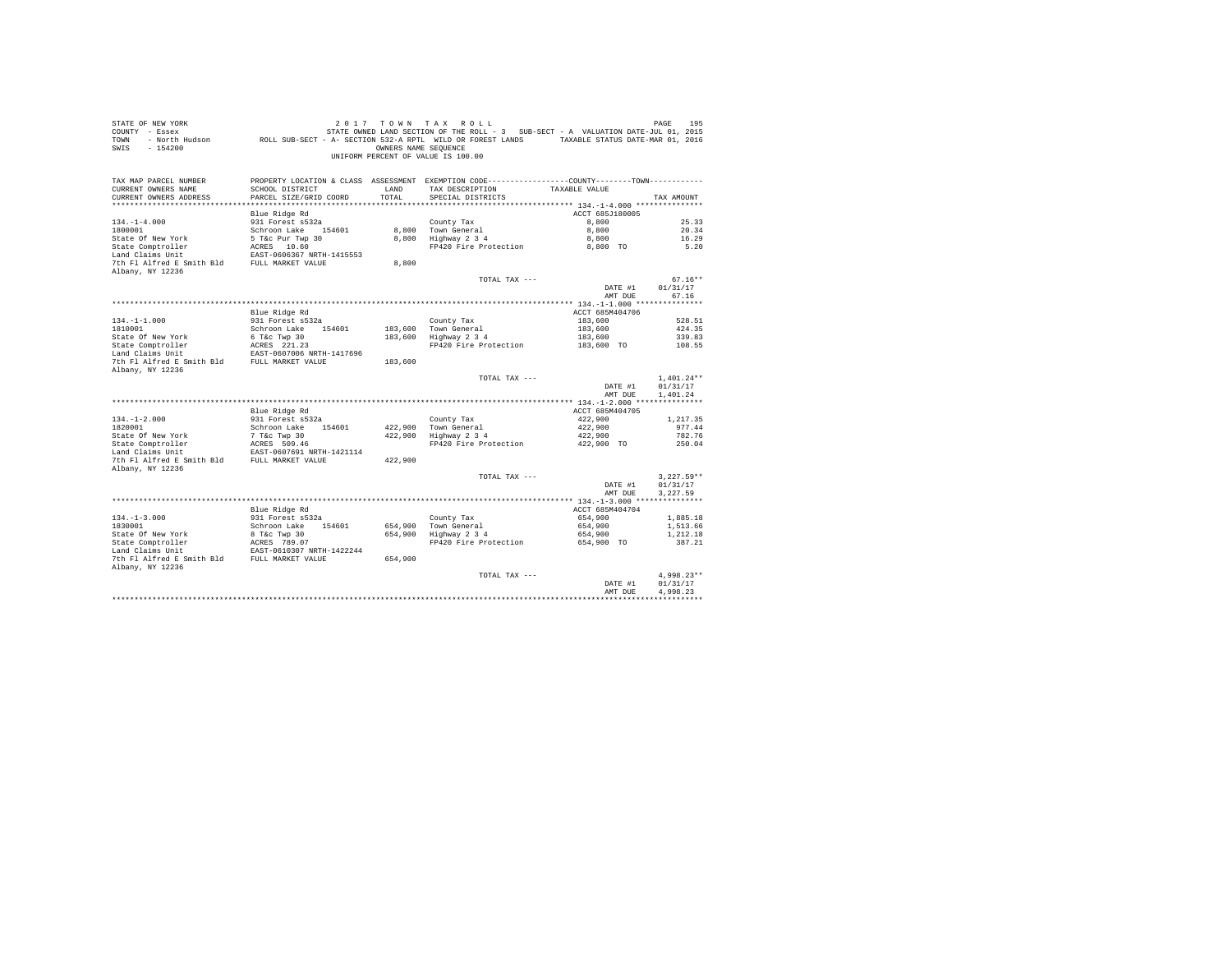| STATE OF NEW YORK<br>COUNTY - Essex<br>TOWN<br>$-154200$<br>SWIS       |                                           | OWNERS NAME SEOUENCE | 2017 TOWN TAX ROLL<br>STATE OWNED LAND SECTION OF THE ROLL - 3 SUB-SECT - A VALUATION DATE-JUL 01, 2015<br>- North Hudson ROLL SUB-SECT - A- SECTION 532-A RPTL WILD OR FOREST LANDS TAXABLE STATUS DATE-MAR 01, 2016<br>UNIFORM PERCENT OF VALUE IS 100.00 |                       | PAGE<br>195          |
|------------------------------------------------------------------------|-------------------------------------------|----------------------|-------------------------------------------------------------------------------------------------------------------------------------------------------------------------------------------------------------------------------------------------------------|-----------------------|----------------------|
| TAX MAP PARCEL NUMBER<br>CURRENT OWNERS NAME<br>CURRENT OWNERS ADDRESS | SCHOOL DISTRICT<br>PARCEL SIZE/GRID COORD | LAND<br>TOTAL        | PROPERTY LOCATION & CLASS ASSESSMENT EXEMPTION CODE----------------COUNTY-------TOWN----------<br>TAX DESCRIPTION<br>SPECIAL DISTRICTS                                                                                                                      | TAXABLE VALUE         | TAX AMOUNT           |
|                                                                        | Blue Ridge Rd                             |                      |                                                                                                                                                                                                                                                             | ACCT 685J180005       |                      |
| $134. -1 - 4.000$                                                      | 931 Forest s532a                          |                      | County Tax                                                                                                                                                                                                                                                  | 8,800                 | 25.33                |
| 1800001                                                                | Schroon Lake 154601                       |                      | 8,800 Town General                                                                                                                                                                                                                                          | 8,800                 | 20.34                |
| State Of New York                                                      | 5 T&C Pur Twp 30<br>ACRES 10.60           |                      | 8,800 Highway 2 3 4                                                                                                                                                                                                                                         | 8,800                 | 16.29                |
| State Comptroller                                                      | ACRES 10.60                               |                      | FP420 Fire Protection                                                                                                                                                                                                                                       | 8,800 TO              | 5.20                 |
| Land Claims Unit                                                       | EAST-0606367 NRTH-1415553                 |                      |                                                                                                                                                                                                                                                             |                       |                      |
| 7th Fl Alfred E Smith Bld                                              | FULL MARKET VALUE                         | 8,800                |                                                                                                                                                                                                                                                             |                       |                      |
| Albany, NY 12236                                                       |                                           |                      | TOTAL TAX ---                                                                                                                                                                                                                                               |                       | $67.16**$            |
|                                                                        |                                           |                      |                                                                                                                                                                                                                                                             | DATE #1               | 01/31/17             |
|                                                                        |                                           |                      |                                                                                                                                                                                                                                                             | AMT DUE               | 67.16                |
|                                                                        |                                           |                      |                                                                                                                                                                                                                                                             |                       |                      |
|                                                                        | Blue Ridge Rd                             |                      |                                                                                                                                                                                                                                                             | ACCT 685M404706       |                      |
| $134. - 1 - 1.000$                                                     | 931 Forest s532a                          |                      | County Tax                                                                                                                                                                                                                                                  | 183,600               | 528.51               |
| 1810001                                                                | Schroon Lake 154601                       |                      | 183,600 Town General                                                                                                                                                                                                                                        | 183,600               | 424.35               |
| State Of New York                                                      | 6 T&c Twp 30                              |                      | $183,600$ Highway $2\,3\,4$                                                                                                                                                                                                                                 | 183,600               | 339.83               |
| State Comptroller<br>Land Claims Unit                                  | ACRES 221.23                              |                      | FP420 Fire Protection                                                                                                                                                                                                                                       | 183,600 TO            | 108.55               |
|                                                                        | EAST-0607006 NRTH-1417696                 |                      |                                                                                                                                                                                                                                                             |                       |                      |
| 7th Fl Alfred E Smith Bld FULL MARKET VALUE                            |                                           | 183,600              |                                                                                                                                                                                                                                                             |                       |                      |
| Albany, NY 12236                                                       |                                           |                      | TOTAL TAX ---                                                                                                                                                                                                                                               |                       | $1,401.24**$         |
|                                                                        |                                           |                      |                                                                                                                                                                                                                                                             | DATE #1<br>AMT DUE    | 01/31/17<br>1,401.24 |
|                                                                        |                                           |                      |                                                                                                                                                                                                                                                             |                       |                      |
|                                                                        | Blue Ridge Rd                             |                      |                                                                                                                                                                                                                                                             | ACCT 685M404705       |                      |
| $134. - 1 - 2.000$                                                     | 931 Forest s532a                          |                      | County Tax                                                                                                                                                                                                                                                  | 422,900               | 1,217.35             |
| 1820001                                                                | Schroon Lake 154601                       |                      | 422.900 Town General                                                                                                                                                                                                                                        | 422,900               | 977.44               |
| State Of New York                                                      | 7 T&C Twp 30<br>ACRES 509.46              |                      | 422,900 Highway 2 3 4                                                                                                                                                                                                                                       | 422,900               | 782.76               |
| State Comptroller<br>Land Claims Unit                                  | EAST-0607691 NRTH-1421114                 |                      | FP420 Fire Protection                                                                                                                                                                                                                                       | 422,900 TO            | 250.04               |
| 7th Fl Alfred E Smith Bld FULL MARKET VALUE                            |                                           | 422,900              |                                                                                                                                                                                                                                                             |                       |                      |
| Albany, NY 12236                                                       |                                           |                      |                                                                                                                                                                                                                                                             |                       |                      |
|                                                                        |                                           |                      | TOTAL TAX ---                                                                                                                                                                                                                                               |                       | $3.227.59**$         |
|                                                                        |                                           |                      |                                                                                                                                                                                                                                                             | DATE #1               | 01/31/17             |
|                                                                        |                                           |                      |                                                                                                                                                                                                                                                             | AMT DUE               | 3.227.59             |
|                                                                        |                                           |                      |                                                                                                                                                                                                                                                             |                       |                      |
|                                                                        | Blue Ridge Rd                             |                      |                                                                                                                                                                                                                                                             | ACCT 685M404704       |                      |
| $134. -1 - 3.000$                                                      | 931 Forest s532a                          |                      | County Tax                                                                                                                                                                                                                                                  | 654,900               | 1,885.18             |
| 1830001                                                                | Schroon Lake 154601                       |                      | 654,900 Town General<br>654,900 Highway 2 3 4                                                                                                                                                                                                               | 654,900               | 1,513.66             |
| State Of New York<br>State Comptroller                                 | 8 T&C Twp 30<br>ACRES 789.07              |                      | FP420 Fire Protection                                                                                                                                                                                                                                       | 654,900<br>654,900 TO | 1,212.18<br>387.21   |
| Land Claims Unit                                                       | EAST-0610307 NRTH-1422244                 |                      |                                                                                                                                                                                                                                                             |                       |                      |
| 7th Fl Alfred E Smith Bld FULL MARKET VALUE                            |                                           | 654,900              |                                                                                                                                                                                                                                                             |                       |                      |
| Albany, NY 12236                                                       |                                           |                      |                                                                                                                                                                                                                                                             |                       |                      |
|                                                                        |                                           |                      | TOTAL TAX ---                                                                                                                                                                                                                                               |                       | $4.998.23**$         |
|                                                                        |                                           |                      |                                                                                                                                                                                                                                                             | DATE #1               | 01/31/17             |
|                                                                        |                                           |                      |                                                                                                                                                                                                                                                             | AMT DUE               | 4.998.23             |
|                                                                        |                                           |                      |                                                                                                                                                                                                                                                             |                       |                      |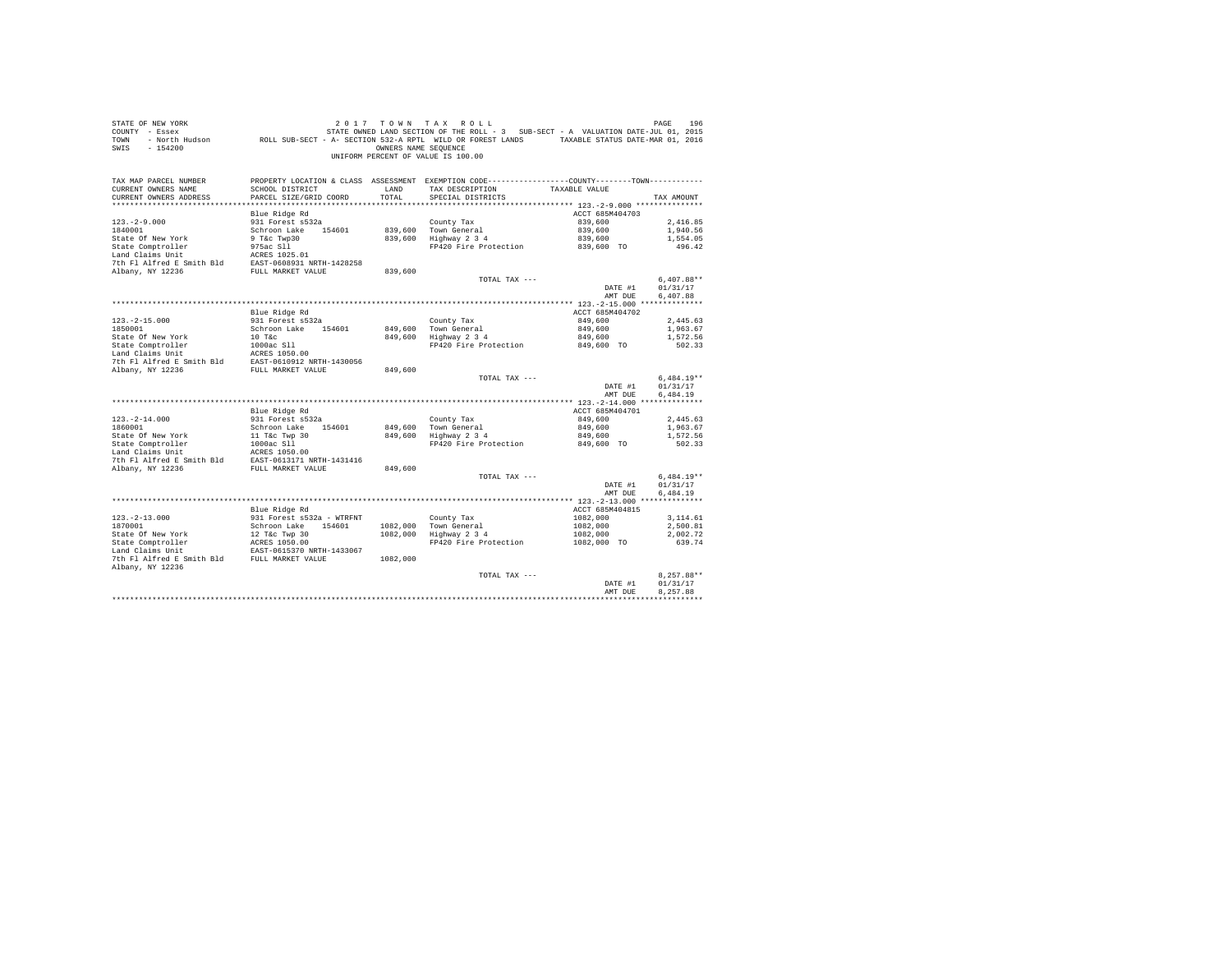| STATE OF NEW YORK<br>COUNTY - Essex<br>TOWN<br>SWIS<br>$-154200$       | FRIE SARE STRIE OWNED LAND SECTION OF THE ROLL - 3 SUB-SECT - A VALUATION DATE-JUL 01, 2015 - NOTH SUB-SECT - A<br>North Hudson                 ROLL SUB-SECT - A- SECTION 532-A RPTL WILD OR FOREST LANDS       TAXABLE STATUS D | OWNERS NAME SEOUENCE | 2017 TOWN TAX ROLL<br>UNIFORM PERCENT OF VALUE IS 100.00                                                                               |                            | PAGE<br>196        |
|------------------------------------------------------------------------|-----------------------------------------------------------------------------------------------------------------------------------------------------------------------------------------------------------------------------------|----------------------|----------------------------------------------------------------------------------------------------------------------------------------|----------------------------|--------------------|
| TAX MAP PARCEL NUMBER<br>CURRENT OWNERS NAME<br>CURRENT OWNERS ADDRESS | SCHOOL DISTRICT<br>PARCEL SIZE/GRID COORD                                                                                                                                                                                         | LAND<br>TOTAL        | PROPERTY LOCATION & CLASS ASSESSMENT EXEMPTION CODE----------------COUNTY-------TOWN----------<br>TAX DESCRIPTION<br>SPECIAL DISTRICTS | TAXABLE VALUE              | TAX AMOUNT         |
|                                                                        |                                                                                                                                                                                                                                   |                      |                                                                                                                                        |                            |                    |
| $123. - 2 - 9.000$                                                     | Blue Ridge Rd<br>931 Forest s532a                                                                                                                                                                                                 |                      | County Tax                                                                                                                             | ACCT 685M404703<br>839,600 | 2.416.85           |
| 1840001                                                                | Schroon Lake 154601                                                                                                                                                                                                               |                      | 839,600 Town General                                                                                                                   | 839,600                    | 1,940.56           |
| State Of New York                                                      | 9 T&C Twp30                                                                                                                                                                                                                       |                      | 839,600 Highway 2 3 4                                                                                                                  | 839,600                    | 1,554.05           |
| State Comptroller                                                      | 975ac S11                                                                                                                                                                                                                         |                      | FP420 Fire Protection 839,600 TO                                                                                                       |                            | 496.42             |
| Land Claims Unit                                                       | ACRES 1025.01                                                                                                                                                                                                                     |                      |                                                                                                                                        |                            |                    |
| 7th Fl Alfred E Smith Bld EAST-0608931 NRTH-1428258                    |                                                                                                                                                                                                                                   |                      |                                                                                                                                        |                            |                    |
| Albany, NY 12236                                                       | FULL MARKET VALUE                                                                                                                                                                                                                 | 839,600              |                                                                                                                                        |                            |                    |
|                                                                        |                                                                                                                                                                                                                                   |                      | TOTAL TAX ---                                                                                                                          |                            | $6.407.88**$       |
|                                                                        |                                                                                                                                                                                                                                   |                      |                                                                                                                                        | DATE #1                    | 01/31/17           |
|                                                                        |                                                                                                                                                                                                                                   |                      |                                                                                                                                        | AMT DUE                    | 6,407.88           |
|                                                                        | Blue Ridge Rd                                                                                                                                                                                                                     |                      |                                                                                                                                        | ACCT 685M404702            |                    |
| $123. -2 - 15.000$                                                     | 931 Forest s532a                                                                                                                                                                                                                  |                      | County Tax                                                                                                                             | 849,600                    | 2,445.63           |
| 1850001                                                                | Schroon Lake 154601                                                                                                                                                                                                               |                      | 849,600 Town General                                                                                                                   | 849,600                    | 1,963.67           |
| State Of New York                                                      | 10 T&c                                                                                                                                                                                                                            | 849,600              | Highway 2 3 4                                                                                                                          | 849,600                    | 1,572.56           |
| State Comptroller                                                      | 1000ac S11                                                                                                                                                                                                                        |                      | FP420 Fire Protection 849,600 TO                                                                                                       |                            | 502.33             |
| Land Claims Unit                                                       | ACRES 1050.00                                                                                                                                                                                                                     |                      |                                                                                                                                        |                            |                    |
| 7th Fl Alfred E Smith Bld EAST-0610912 NRTH-1430056                    |                                                                                                                                                                                                                                   |                      |                                                                                                                                        |                            |                    |
| Albany, NY 12236                                                       | FULL MARKET VALUE                                                                                                                                                                                                                 | 849,600              |                                                                                                                                        |                            | $6,484.19**$       |
|                                                                        |                                                                                                                                                                                                                                   |                      | TOTAL TAX ---                                                                                                                          | DATE #1                    | 01/31/17           |
|                                                                        |                                                                                                                                                                                                                                   |                      |                                                                                                                                        | AMT DUE                    | 6,484.19           |
|                                                                        |                                                                                                                                                                                                                                   |                      |                                                                                                                                        |                            |                    |
|                                                                        | Blue Ridge Rd                                                                                                                                                                                                                     |                      |                                                                                                                                        | ACCT 685M404701            |                    |
| $123. -2 - 14.000$                                                     | 931 Forest s532a                                                                                                                                                                                                                  |                      | County Tax                                                                                                                             | 849,600                    | 2,445.63           |
| 1860001                                                                | Schroon Lake 154601                                                                                                                                                                                                               |                      | 849,600 Town General                                                                                                                   | 849,600                    | 1,963.67           |
| State Of New York                                                      | 11 T&c Twp 30<br>1000ac Sll                                                                                                                                                                                                       |                      | 849,600 Highway 2 3 4                                                                                                                  | 849,600                    | 1,572.56           |
| State Comptroller                                                      |                                                                                                                                                                                                                                   |                      | FP420 Fire Protection                                                                                                                  | 849,600 TO                 | 502.33             |
| Land Claims Unit<br>7th Fl Alfred E Smith Bld                          | ACRES 1050.00<br>EAST-0613171 NRTH-1431416                                                                                                                                                                                        |                      |                                                                                                                                        |                            |                    |
| Albany, NY 12236                                                       | FULL MARKET VALUE                                                                                                                                                                                                                 | 849,600              |                                                                                                                                        |                            |                    |
|                                                                        |                                                                                                                                                                                                                                   |                      | TOTAL TAX ---                                                                                                                          |                            | $6.484.19**$       |
|                                                                        |                                                                                                                                                                                                                                   |                      |                                                                                                                                        | DATE #1                    | 01/31/17           |
|                                                                        |                                                                                                                                                                                                                                   |                      |                                                                                                                                        | AMT DUE                    | 6.484.19           |
|                                                                        |                                                                                                                                                                                                                                   |                      |                                                                                                                                        |                            |                    |
|                                                                        | Blue Ridge Rd                                                                                                                                                                                                                     |                      |                                                                                                                                        | ACCT 685M404815            |                    |
| $123. - 2 - 13.000$                                                    | 931 Forest s532a - WTRFNT                                                                                                                                                                                                         |                      | County Tax                                                                                                                             | 1082,000                   | 3,114.61           |
| 1870001                                                                | Schroon Lake 154601                                                                                                                                                                                                               |                      | 1082,000 Town General<br>1082,000 Highway 2 3 4                                                                                        | 1082,000                   | 2,500.81           |
| State Of New York<br>State Comptroller                                 | 12 T&C Twp 30<br>ACRES 1050.00                                                                                                                                                                                                    |                      | FP420 Fire Protection                                                                                                                  | 1082,000<br>1082,000 TO    | 2,002.72<br>639.74 |
| Land Claims Unit                                                       | EAST-0615370 NRTH-1433067                                                                                                                                                                                                         |                      |                                                                                                                                        |                            |                    |
| 7th Fl Alfred E Smith Bld FULL MARKET VALUE                            |                                                                                                                                                                                                                                   | 1082,000             |                                                                                                                                        |                            |                    |
| Albany, NY 12236                                                       |                                                                                                                                                                                                                                   |                      |                                                                                                                                        |                            |                    |
|                                                                        |                                                                                                                                                                                                                                   |                      | TOTAL TAX ---                                                                                                                          |                            | 8.257.88**         |
|                                                                        |                                                                                                                                                                                                                                   |                      |                                                                                                                                        | DATE #1                    | 01/31/17           |
|                                                                        |                                                                                                                                                                                                                                   |                      |                                                                                                                                        | AMT DUE                    | 8.257.88           |
|                                                                        |                                                                                                                                                                                                                                   |                      |                                                                                                                                        |                            |                    |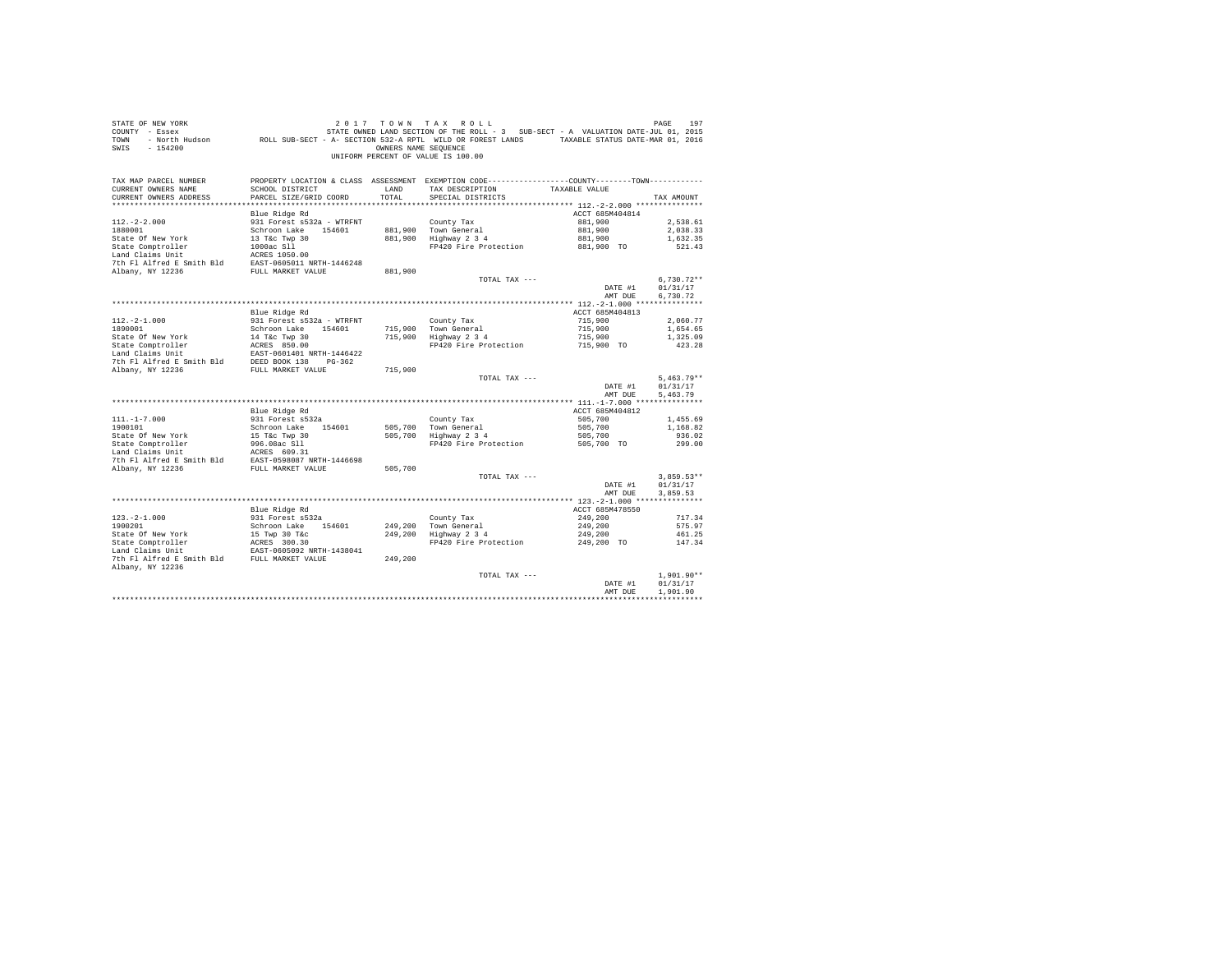| STATE OF NEW YORK<br>COUNTY - Essex<br>TOWN<br>$-154200$<br>SWIS                                                                                                     |                                                            | OWNERS NAME SEOUENCE | 2017 TOWN TAX ROLL<br>UNIFORM PERCENT OF VALUE IS 100.00                                                                           |                    | PAGE<br>197              |
|----------------------------------------------------------------------------------------------------------------------------------------------------------------------|------------------------------------------------------------|----------------------|------------------------------------------------------------------------------------------------------------------------------------|--------------------|--------------------------|
| TAX MAP PARCEL NUMBER<br>CURRENT OWNERS NAME                                                                                                                         | SCHOOL DISTRICT                                            | LAND                 | PROPERTY LOCATION & CLASS ASSESSMENT EXEMPTION CODE---------------COUNTY-------TOWN---------<br>TAX DESCRIPTION                    | TAXABLE VALUE      |                          |
| CURRENT OWNERS ADDRESS                                                                                                                                               | PARCEL SIZE/GRID COORD                                     | TOTAL                | SPECIAL DISTRICTS                                                                                                                  |                    | TAX AMOUNT               |
|                                                                                                                                                                      |                                                            |                      |                                                                                                                                    |                    |                          |
|                                                                                                                                                                      | Blue Ridge Rd                                              |                      |                                                                                                                                    | ACCT 685M404814    |                          |
| $112. - 2 - 2.000$                                                                                                                                                   | 931 Forest s532a - WTRFNT                                  |                      | County Tax                                                                                                                         | 881,900            | 2.538.61                 |
| 1880001                                                                                                                                                              | Schroon Lake 154601                                        |                      | 881,900 Town General                                                                                                               | 881,900            | 2,038.33                 |
| State Of New York                                                                                                                                                    | 13 T&C Twp 30<br>13 T&c Twp 30<br>1000ac S11<br>2000ac S11 |                      | 881,900 Highway 2 3 4                                                                                                              | 881,900            | 1,632.35                 |
| State Comptroller<br>Land Claims Unit                                                                                                                                | ACRES 1050.00                                              |                      | FP420 Fire Protection 881,900 TO                                                                                                   |                    | 521.43                   |
|                                                                                                                                                                      |                                                            |                      |                                                                                                                                    |                    |                          |
| 7th Fl Alfred E Smith Bld EAST-0605011 NRTH-1446248<br>Albany, NY 12236                                                                                              | FULL MARKET VALUE                                          | 881,900              |                                                                                                                                    |                    |                          |
|                                                                                                                                                                      |                                                            |                      | TOTAL TAX ---                                                                                                                      |                    | $6,730.72**$             |
|                                                                                                                                                                      |                                                            |                      |                                                                                                                                    | DATE #1            | 01/31/17                 |
|                                                                                                                                                                      |                                                            |                      |                                                                                                                                    | AMT DUE            | 6,730.72                 |
|                                                                                                                                                                      |                                                            |                      |                                                                                                                                    |                    |                          |
|                                                                                                                                                                      | Blue Ridge Rd                                              |                      |                                                                                                                                    | ACCT 685M404813    |                          |
| $112. - 2 - 1.000$                                                                                                                                                   | 931 Forest s532a - WTRFNT                                  |                      | County Tax                                                                                                                         | 715,900            | 2,060.77                 |
| 1890001                                                                                                                                                              | Schroon Lake 154601                                        |                      | 715,900 Town General<br>715,900 Highway 2 3 4<br>Town General 715,900<br>Highway 2 3 4 715,900<br>FP420 Fire Protection 715,900 TO |                    | 1,654.65                 |
| State Of New York                                                                                                                                                    | 14 T&C Twp 30<br>14 T&C Twp 30<br>ACRES 850.00             |                      |                                                                                                                                    |                    | 1,325.09<br>423.28       |
| State Comptroller<br>Land Claims Unit                                                                                                                                |                                                            |                      |                                                                                                                                    |                    |                          |
|                                                                                                                                                                      |                                                            |                      |                                                                                                                                    |                    |                          |
|                                                                                                                                                                      |                                                            | 715,900              |                                                                                                                                    |                    |                          |
|                                                                                                                                                                      |                                                            |                      | TOTAL TAX ---                                                                                                                      |                    | $5,463.79**$             |
|                                                                                                                                                                      |                                                            |                      |                                                                                                                                    | DATE #1            | 01/31/17                 |
|                                                                                                                                                                      |                                                            |                      |                                                                                                                                    | AMT DUE            | 5.463.79                 |
|                                                                                                                                                                      |                                                            |                      |                                                                                                                                    |                    |                          |
|                                                                                                                                                                      | Blue Ridge Rd<br>931 Forest s532a                          |                      |                                                                                                                                    | ACCT 685M404812    |                          |
| $111. - 1 - 7.000$<br>1900101                                                                                                                                        | Schroon Lake 154601                                        |                      | County Tax                                                                                                                         | 505,700<br>505,700 | 1,455.69<br>1,168.82     |
|                                                                                                                                                                      |                                                            |                      | 505,700 Town General<br>505,700 Highway 2 3 4                                                                                      | 505,700            | 936.02                   |
| State Of New York<br>State Comptroller                                                                                                                               | 15 T&C Twp 30<br>996.08ac S11                              |                      | FP420 Fire Protection 505,700 TO                                                                                                   |                    | 299.00                   |
|                                                                                                                                                                      |                                                            |                      |                                                                                                                                    |                    |                          |
| $\begin{tabular}{lllll} \texttt{Land Claus Unit} & \texttt{ACKES} & 609.31 \\ \texttt{7th Fl Alfred E Smith Bld} & \texttt{EAST-0598087 NRTH-1446698} \end{tabular}$ |                                                            |                      |                                                                                                                                    |                    |                          |
| Albany, NY 12236                                                                                                                                                     | FULL MARKET VALUE                                          | 505,700              |                                                                                                                                    |                    |                          |
|                                                                                                                                                                      |                                                            |                      | TOTAL TAX ---                                                                                                                      |                    | $3.859.53**$             |
|                                                                                                                                                                      |                                                            |                      |                                                                                                                                    | DATE #1            | 01/31/17                 |
|                                                                                                                                                                      |                                                            |                      |                                                                                                                                    | AMT DUE            | 3.859.53                 |
|                                                                                                                                                                      | Blue Ridge Rd                                              |                      |                                                                                                                                    | ACCT 685M478550    |                          |
| $123. - 2 - 1.000$                                                                                                                                                   | 931 Forest s532a                                           |                      | County Tax                                                                                                                         | 249,200            | 717.34                   |
| 1900201                                                                                                                                                              | Schroon Lake 154601                                        |                      | 249,200 Town General<br>249,200 Highway 2 3 4                                                                                      | 249,200            | 575.97                   |
|                                                                                                                                                                      |                                                            |                      |                                                                                                                                    | 249,200            | 461.25                   |
| State Of New York<br>State Comptroller                                                                                                                               | 15 Twp 30 T&c<br>ACRES 300.30<br>EAST-0605092 NRTH-1438041 |                      | FP420 Fire Protection                                                                                                              | 249,200 TO         | 147.34                   |
|                                                                                                                                                                      |                                                            |                      |                                                                                                                                    |                    |                          |
| 7th Fl Alfred E Smith Bld FULL MARKET VALUE                                                                                                                          |                                                            | 249,200              |                                                                                                                                    |                    |                          |
| Albany, NY 12236                                                                                                                                                     |                                                            |                      |                                                                                                                                    |                    |                          |
|                                                                                                                                                                      |                                                            |                      | TOTAL TAX ---                                                                                                                      | DATE #1            | $1.901.90**$<br>01/31/17 |
|                                                                                                                                                                      |                                                            |                      |                                                                                                                                    | AMT DUE            | 1,901.90                 |
|                                                                                                                                                                      |                                                            |                      |                                                                                                                                    |                    |                          |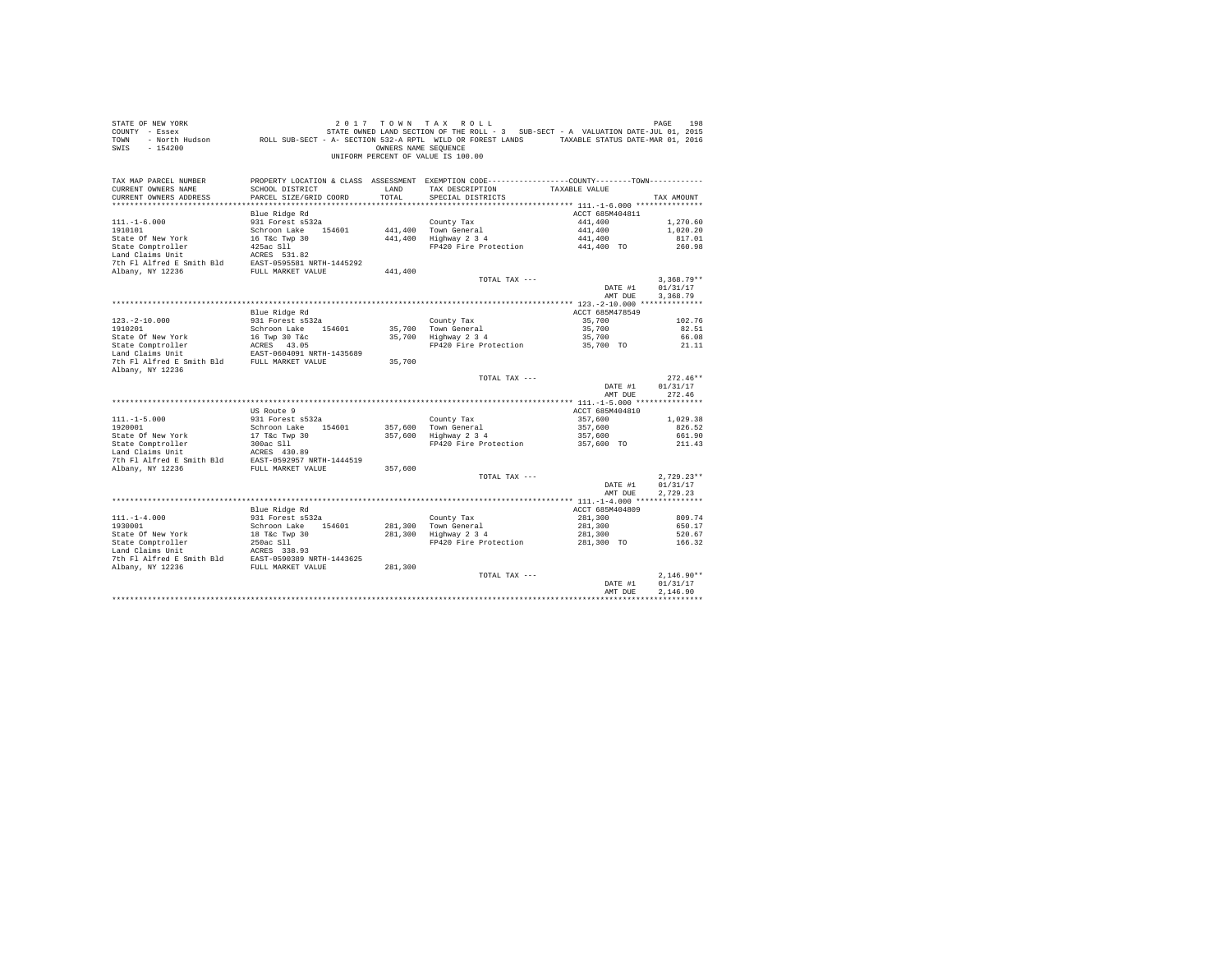| STATE OF NEW YORK<br>COUNTY - Essex<br>TOWN<br>$-154200$<br>SWIS                                                                                                      |                                           | OWNERS NAME SEOUENCE | 2017 TOWN TAX ROLL<br>UNIFORM PERCENT OF VALUE IS 100.00                                                                               |                            | PAGE<br>198              |
|-----------------------------------------------------------------------------------------------------------------------------------------------------------------------|-------------------------------------------|----------------------|----------------------------------------------------------------------------------------------------------------------------------------|----------------------------|--------------------------|
| TAX MAP PARCEL NUMBER<br>CURRENT OWNERS NAME<br>CURRENT OWNERS ADDRESS                                                                                                | SCHOOL DISTRICT<br>PARCEL SIZE/GRID COORD | LAND<br>TOTAL        | PROPERTY LOCATION & CLASS ASSESSMENT EXEMPTION CODE----------------COUNTY-------TOWN----------<br>TAX DESCRIPTION<br>SPECIAL DISTRICTS | TAXABLE VALUE              | TAX AMOUNT               |
|                                                                                                                                                                       |                                           |                      |                                                                                                                                        |                            |                          |
| $111. - 1 - 6.000$                                                                                                                                                    | Blue Ridge Rd<br>931 Forest s532a         |                      | County Tax                                                                                                                             | ACCT 685M404811<br>441,400 | 1,270.60                 |
| 1910101                                                                                                                                                               | Schroon Lake 154601                       |                      | 441,400 Town General                                                                                                                   | 441,400                    | 1,020.20                 |
| State Of New York                                                                                                                                                     | 16 T&C Twp 30                             |                      | 441,400 Highway 2 3 4                                                                                                                  | 441,400                    | 817.01                   |
| State Comptroller                                                                                                                                                     | $425ac$ S11                               |                      | FP420 Fire Protection 441,400 TO                                                                                                       |                            | 260.98                   |
| Land Claims Unit                                                                                                                                                      | ACRES 531.82                              |                      |                                                                                                                                        |                            |                          |
| 7th Fl Alfred E Smith Bld EAST-0595581 NRTH-1445292                                                                                                                   |                                           |                      |                                                                                                                                        |                            |                          |
| Albany, NY 12236                                                                                                                                                      | FULL MARKET VALUE                         | 441,400              |                                                                                                                                        |                            |                          |
|                                                                                                                                                                       |                                           |                      | TOTAL TAX ---                                                                                                                          |                            | $3.368.79**$             |
|                                                                                                                                                                       |                                           |                      |                                                                                                                                        | DATE #1                    | 01/31/17                 |
|                                                                                                                                                                       |                                           |                      |                                                                                                                                        | AMT DUE                    | 3,368.79                 |
|                                                                                                                                                                       | Blue Ridge Rd                             |                      |                                                                                                                                        | ACCT 685M478549            |                          |
| $123. -2 - 10.000$                                                                                                                                                    | 931 Forest s532a                          |                      | County Tax                                                                                                                             | 35,700                     | 102.76                   |
| 1910201                                                                                                                                                               | Schroon Lake 154601                       |                      |                                                                                                                                        | 35,700                     | 82.51                    |
|                                                                                                                                                                       |                                           |                      | 35,700 Town General<br>35,700 Highway 2 3 4                                                                                            | 35,700                     | 66.08                    |
|                                                                                                                                                                       |                                           |                      | FP420 Fire Protection 35,700 TO 21.11                                                                                                  |                            |                          |
| State Of New York 16 Twp 30 T&c<br>State Comptroller 1 ACRES 43.05<br>Land Claims Unit 1 EAST-0604091 NRTH-1435689                                                    |                                           |                      |                                                                                                                                        |                            |                          |
| 7th Fl Alfred E Smith Bld FULL MARKET VALUE                                                                                                                           |                                           | 35,700               |                                                                                                                                        |                            |                          |
| Albany, NY 12236                                                                                                                                                      |                                           |                      |                                                                                                                                        |                            |                          |
|                                                                                                                                                                       |                                           |                      | TOTAL TAX ---                                                                                                                          |                            | $272.46**$               |
|                                                                                                                                                                       |                                           |                      |                                                                                                                                        | DATE #1<br>AMT DUE         | 01/31/17<br>272.46       |
|                                                                                                                                                                       |                                           |                      |                                                                                                                                        |                            |                          |
|                                                                                                                                                                       | US Route 9                                |                      |                                                                                                                                        | ACCT 685M404810            |                          |
| $111. - 1 - 5.000$                                                                                                                                                    | 931 Forest s532a                          |                      | County Tax                                                                                                                             | 357,600                    | 1,029.38                 |
| 1920001                                                                                                                                                               | Schroon Lake 154601                       |                      | 357.600 Town General                                                                                                                   | 357,600                    | 826.52                   |
|                                                                                                                                                                       |                                           |                      | 357,600 Highway 2 3 4                                                                                                                  | 357,600                    | 661.90                   |
| 1920001<br>State Of New York<br>State Comptroller                                                                                                                     | 17 T&C Twp 30<br>300ac S11                |                      | FP420 Fire Protection 357,600 TO                                                                                                       |                            | 211.43                   |
| $\begin{tabular}{llllll} \texttt{Land Claus Unit} & \texttt{ACKES} & 430.89 \\ \texttt{7th Fl Alfred E Smith Bld} & \texttt{EAST-0592957 NRTH-1444519} \end{tabular}$ |                                           |                      |                                                                                                                                        |                            |                          |
|                                                                                                                                                                       |                                           |                      |                                                                                                                                        |                            |                          |
| Albany, NY 12236                                                                                                                                                      | FULL MARKET VALUE                         | 357,600              |                                                                                                                                        |                            |                          |
|                                                                                                                                                                       |                                           |                      | TOTAL TAX ---                                                                                                                          | DATE #1                    | $2.729.23**$<br>01/31/17 |
|                                                                                                                                                                       |                                           |                      |                                                                                                                                        | AMT DUE                    | 2.729.23                 |
|                                                                                                                                                                       |                                           |                      |                                                                                                                                        |                            |                          |
|                                                                                                                                                                       | Blue Ridge Rd                             |                      |                                                                                                                                        | ACCT 685M404809            |                          |
| $111. - 1 - 4.000$                                                                                                                                                    | 931 Forest s532a                          |                      | County Tax                                                                                                                             | 281,300                    | 809.74                   |
| 1930001                                                                                                                                                               | Schroon Lake 154601                       |                      |                                                                                                                                        | 281,300                    | 650.17                   |
|                                                                                                                                                                       |                                           |                      | 281,300 Town General<br>281,300 Highway 2 3 4                                                                                          | 281,300                    | 520.67                   |
|                                                                                                                                                                       |                                           |                      | FP420 Fire Protection                                                                                                                  | 281,300 TO                 | 166.32                   |
|                                                                                                                                                                       |                                           |                      |                                                                                                                                        |                            |                          |
|                                                                                                                                                                       |                                           |                      |                                                                                                                                        |                            |                          |
|                                                                                                                                                                       |                                           |                      | TOTAL TAX ---                                                                                                                          |                            | $2.146.90**$             |
|                                                                                                                                                                       |                                           |                      |                                                                                                                                        | DATE #1                    | 01/31/17                 |
|                                                                                                                                                                       |                                           |                      |                                                                                                                                        | AMT DUE                    | 2.146.90                 |
|                                                                                                                                                                       |                                           |                      |                                                                                                                                        |                            |                          |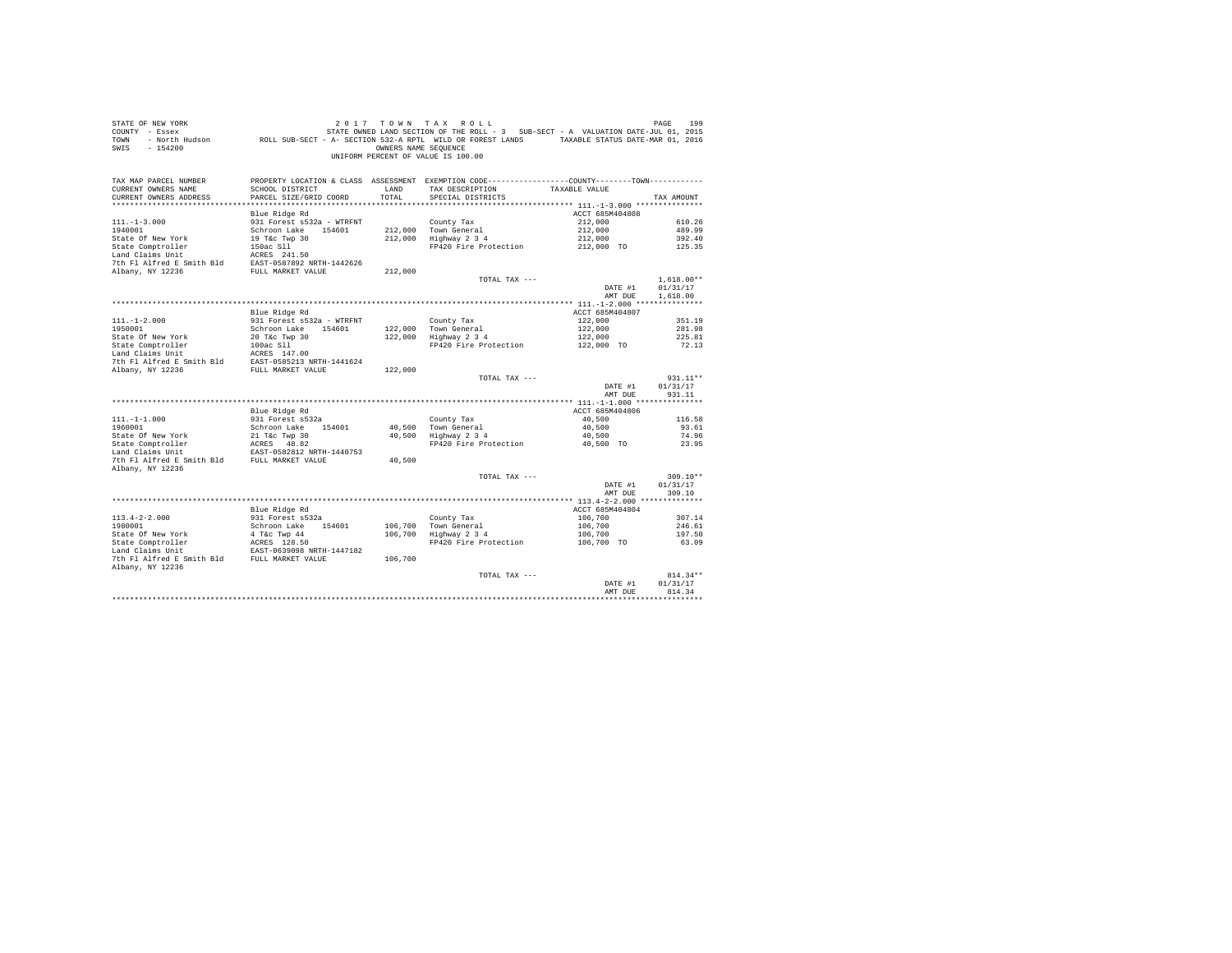| COUNTY - Essex<br>TOWN<br>SWIS<br>$-154200$                     | - North Hudson MCLL SUB-SECT - A- SECTION 532-A RPTL WILD OR FOREST LANDS TAXABLE STATUS DATE-MAR 01, 2016 | OWNERS NAME SEQUENCE | STATE OWNED LAND SECTION OF THE ROLL - 3 SUB-SECT - A VALUATION DATE-JUL 01, 2015<br>UNIFORM PERCENT OF VALUE IS 100.00 |                       |                  |
|-----------------------------------------------------------------|------------------------------------------------------------------------------------------------------------|----------------------|-------------------------------------------------------------------------------------------------------------------------|-----------------------|------------------|
| TAX MAP PARCEL NUMBER                                           |                                                                                                            |                      | PROPERTY LOCATION & CLASS ASSESSMENT EXEMPTION CODE-----------------COUNTY--------TOWN----------                        |                       |                  |
| CURRENT OWNERS NAME                                             | SCHOOL DISTRICT                                                                                            | LAND                 | TAX DESCRIPTION                                                                                                         | TAXABLE VALUE         |                  |
| CURRENT OWNERS ADDRESS                                          | PARCEL SIZE/GRID COORD                                                                                     | TOTAL                | SPECIAL DISTRICTS                                                                                                       |                       | TAX AMOUNT       |
|                                                                 |                                                                                                            |                      |                                                                                                                         |                       |                  |
|                                                                 | Blue Ridge Rd                                                                                              |                      |                                                                                                                         | ACCT 685M404808       |                  |
| $111. -1 - 3.000$<br>1940001                                    | 931 Forest s532a - WTRFNT<br>Schroon Lake 154601                                                           |                      | County Tax<br>212,000 Town General                                                                                      | 212,000<br>212,000    | 610.26<br>489.99 |
|                                                                 |                                                                                                            |                      | 212,000 Highway 2 3 4                                                                                                   | 212,000               | 392.40           |
|                                                                 |                                                                                                            |                      | FP420 Fire Protection                                                                                                   | 212,000 TO            | 125.35           |
|                                                                 |                                                                                                            |                      |                                                                                                                         |                       |                  |
|                                                                 |                                                                                                            |                      |                                                                                                                         |                       |                  |
|                                                                 |                                                                                                            | 212,000              |                                                                                                                         |                       |                  |
|                                                                 |                                                                                                            |                      | TOTAL TAX ---                                                                                                           |                       | $1,618.00**$     |
|                                                                 |                                                                                                            |                      |                                                                                                                         | DATE #1               | 01/31/17         |
|                                                                 |                                                                                                            |                      |                                                                                                                         | AMT DUE               | 1,618.00         |
|                                                                 |                                                                                                            |                      |                                                                                                                         |                       |                  |
|                                                                 | Blue Ridge Rd                                                                                              |                      |                                                                                                                         | ACCT 685M404807       |                  |
| $111. - 1 - 2.000$                                              | 931 Forest s532a - WTRFNT                                                                                  |                      | County Tax<br>122,000 Town General<br>122,000 Highway 2 3 4                                                             | 122,000               | 351.19           |
| 1950001                                                         | Schroon Lake 154601                                                                                        |                      |                                                                                                                         | 122,000               | 281.98           |
| State Of New York                                               | 20 T&c Twp 30                                                                                              |                      | FP420 Fire Protection                                                                                                   | 122,000<br>122,000 TO | 225.81           |
|                                                                 |                                                                                                            |                      |                                                                                                                         |                       | 72.13            |
|                                                                 |                                                                                                            |                      |                                                                                                                         |                       |                  |
| Albany, NY 12236                                                | FULL MARKET VALUE                                                                                          | 122,000              |                                                                                                                         |                       |                  |
|                                                                 |                                                                                                            |                      | TOTAL TAX ---                                                                                                           |                       | $931.11**$       |
|                                                                 |                                                                                                            |                      |                                                                                                                         | DATE #1               | 01/31/17         |
|                                                                 |                                                                                                            |                      |                                                                                                                         | AMT DUE               | 931.11           |
|                                                                 |                                                                                                            |                      |                                                                                                                         |                       |                  |
|                                                                 | Blue Ridge Rd                                                                                              |                      |                                                                                                                         | ACCT 685M404806       |                  |
| $111. - 1 - 1.000$                                              | 931 Forest s532a                                                                                           |                      | County Tax                                                                                                              | 40,500                | 116.58           |
| 1960001                                                         | Schroon Lake 154601                                                                                        |                      | 40,500 Town General<br>40,500 Highway 2 3 4                                                                             | 40,500                | 93.61            |
| State Of New York                                               | 21 T&c Twp 30                                                                                              |                      |                                                                                                                         | 40,500                | 74.96            |
| State Comptroller                                               | ACRES 48.82<br>EAST-0582812 NRTH-1440753                                                                   |                      | FP420 Fire Protection                                                                                                   | 40,500 TO             | 23.95            |
| Land Claims Unit<br>7th F1 Alfred E Smith Bld FULL MARKET VALUE |                                                                                                            | 40,500               |                                                                                                                         |                       |                  |
| Albany, NY 12236                                                |                                                                                                            |                      |                                                                                                                         |                       |                  |
|                                                                 |                                                                                                            |                      | TOTAL TAX ---                                                                                                           |                       | $309.10**$       |
|                                                                 |                                                                                                            |                      |                                                                                                                         | DATE #1               | 01/31/17         |
|                                                                 |                                                                                                            |                      |                                                                                                                         | AMT DUE               | 309.10           |
|                                                                 |                                                                                                            |                      |                                                                                                                         |                       |                  |
|                                                                 | Blue Ridge Rd                                                                                              |                      |                                                                                                                         | ACCT 685M404804       |                  |
| $113.4 - 2 - 2.000$                                             | 931 Forest s532a                                                                                           |                      | County Tax                                                                                                              | 106,700               | 307.14           |
| 1980001                                                         | Schroon Lake 154601                                                                                        |                      | 106,700 Town General                                                                                                    | 106,700               | 246.61           |
|                                                                 |                                                                                                            |                      | 106,700 Highway 2 3 4                                                                                                   | 106,700               | 197.50           |
|                                                                 |                                                                                                            |                      | FP420 Fire Protection 106,700 TO                                                                                        |                       | 63.09            |
|                                                                 |                                                                                                            | 106,700              |                                                                                                                         |                       |                  |
| Albany, NY 12236                                                |                                                                                                            |                      |                                                                                                                         |                       |                  |
|                                                                 |                                                                                                            |                      | TOTAL TAX ---                                                                                                           |                       | $814.34**$       |
|                                                                 |                                                                                                            |                      |                                                                                                                         | DATE #1               | 01/31/17         |
|                                                                 |                                                                                                            |                      |                                                                                                                         | AMT DUE               | 814.34           |
|                                                                 |                                                                                                            |                      |                                                                                                                         |                       |                  |

STATE OF NEW YORK **2017** TOWN TAX ROLL **DESIGNER 199**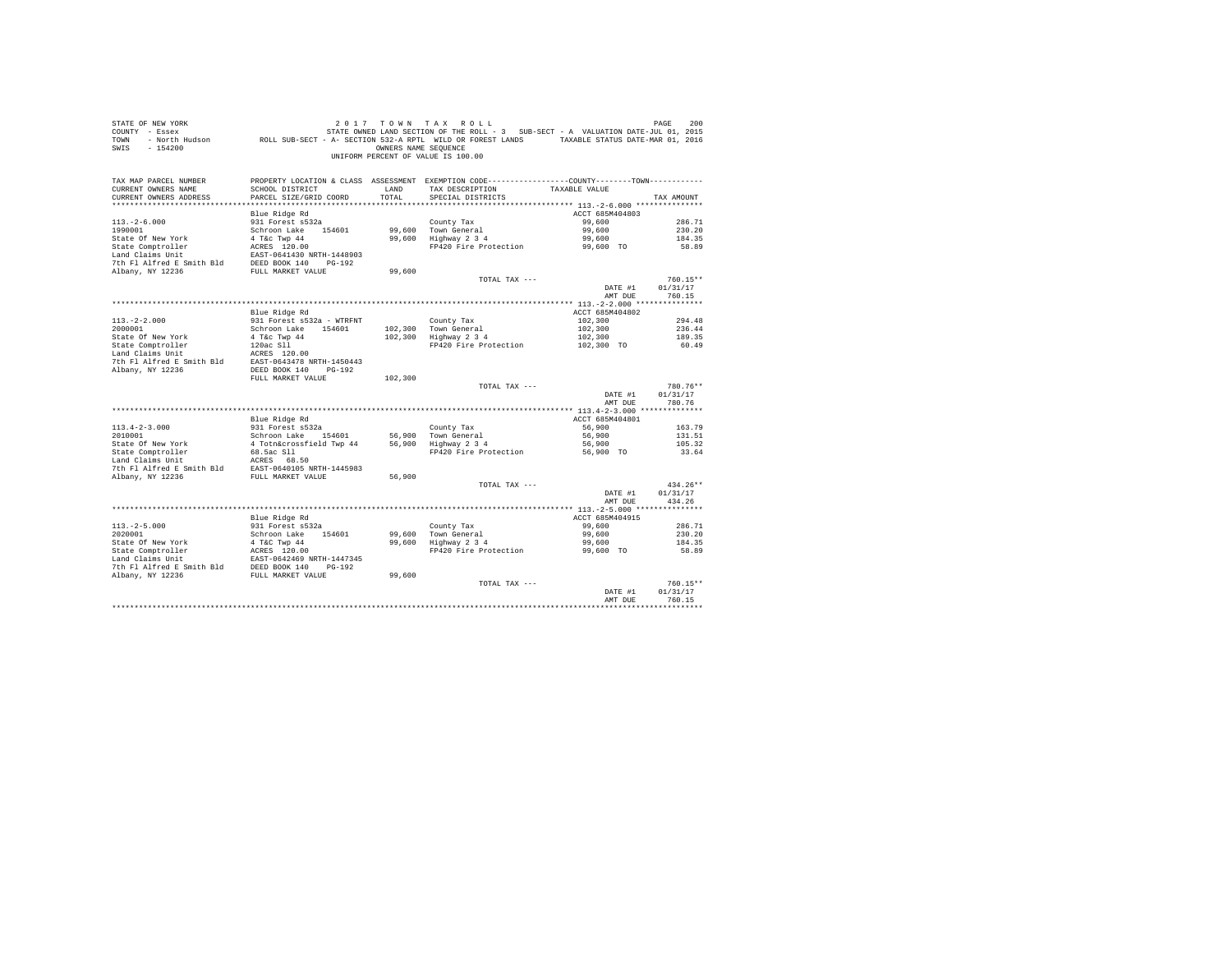| STATE OF NEW YORK<br>COUNTY - Essex<br>TOWN<br>$-154200$<br>SWIS |                                                   | OWNERS NAME SEQUENCE | 2017 TOWN TAX ROLL<br>STATE OWNED LAND SECTION OF THE ROLL - 3 SUB-SECT - A VALUATION DATE-JUL 01, 2015<br>- North Hudson ROLL SUB-SECT - A- SECTION 532-A RPTL WILD OR FOREST LANDS TAXABLE STATUS DATE-MAR 01, 2016<br>UNIFORM PERCENT OF VALUE IS 100.00 |                 | PAGE<br>200 |
|------------------------------------------------------------------|---------------------------------------------------|----------------------|-------------------------------------------------------------------------------------------------------------------------------------------------------------------------------------------------------------------------------------------------------------|-----------------|-------------|
| TAX MAP PARCEL NUMBER<br>CURRENT OWNERS NAME                     | SCHOOL DISTRICT                                   | LAND                 | PROPERTY LOCATION & CLASS ASSESSMENT EXEMPTION CODE---------------COUNTY-------TOWN----------<br>TAX DESCRIPTION                                                                                                                                            | TAXABLE VALUE   |             |
| CURRENT OWNERS ADDRESS                                           | PARCEL SIZE/GRID COORD                            | TOTAL                | SPECIAL DISTRICTS                                                                                                                                                                                                                                           |                 | TAX AMOUNT  |
|                                                                  |                                                   |                      |                                                                                                                                                                                                                                                             |                 |             |
|                                                                  | Blue Ridge Rd                                     |                      |                                                                                                                                                                                                                                                             | ACCT 685M404803 |             |
| $113. - 2 - 6.000$                                               | 931 Forest s532a                                  |                      | County Tax                                                                                                                                                                                                                                                  | 99,600          | 286.71      |
| 1990001                                                          | Schroon Lake 154601                               |                      | 99,600 Town General                                                                                                                                                                                                                                         | 99,600          | 230.20      |
| State Of New York                                                | 4 T&c Twp 44                                      | 99,600               | Highway 2 3 4                                                                                                                                                                                                                                               | 99,600          | 184.35      |
| State Comptroller                                                | ACRES 120.00                                      |                      | FP420 Fire Protection                                                                                                                                                                                                                                       | 99,600 TO       | 58.89       |
| Land Claims Unit                                                 | EAST-0641430 NRTH-1448903                         |                      |                                                                                                                                                                                                                                                             |                 |             |
| 7th Fl Alfred E Smith Bld<br>Albany, NY 12236                    | DEED BOOK 140<br>$PG-192$                         | 99,600               |                                                                                                                                                                                                                                                             |                 |             |
|                                                                  | FULL MARKET VALUE                                 |                      | TOTAL TAX ---                                                                                                                                                                                                                                               |                 | $760.15**$  |
|                                                                  |                                                   |                      |                                                                                                                                                                                                                                                             | DATE #1         | 01/31/17    |
|                                                                  |                                                   |                      |                                                                                                                                                                                                                                                             | AMT DUE         | 760.15      |
|                                                                  |                                                   |                      |                                                                                                                                                                                                                                                             |                 |             |
|                                                                  | Blue Ridge Rd                                     |                      |                                                                                                                                                                                                                                                             | ACCT 685M404802 |             |
| $113. -2 - 2.000$                                                | 931 Forest s532a - WTRFNT                         |                      | County Tax                                                                                                                                                                                                                                                  | 102,300         | 294.48      |
| 2000001                                                          | Schroon Lake 154601                               | 102,300              | Town General                                                                                                                                                                                                                                                | 102,300         | 236.44      |
| State Of New York                                                | 4 T&c Twp 44                                      | 102,300              | Highway 2 3 4                                                                                                                                                                                                                                               | 102,300         | 189.35      |
| State Comptroller                                                | 120ac Sll                                         |                      | FP420 Fire Protection                                                                                                                                                                                                                                       | 102,300 TO      | 60.49       |
| Land Claims Unit                                                 | ACRES 120.00                                      |                      |                                                                                                                                                                                                                                                             |                 |             |
| 7th Fl Alfred E Smith Bld<br>Albany, NY 12236                    | EAST-0643478 NRTH-1450443<br>DEED BOOK 140 PG-192 |                      |                                                                                                                                                                                                                                                             |                 |             |
|                                                                  | FULL MARKET VALUE                                 | 102,300              |                                                                                                                                                                                                                                                             |                 |             |
|                                                                  |                                                   |                      | TOTAL TAX ---                                                                                                                                                                                                                                               |                 | 780.76**    |
|                                                                  |                                                   |                      |                                                                                                                                                                                                                                                             | DATE #1         | 01/31/17    |
|                                                                  |                                                   |                      |                                                                                                                                                                                                                                                             | AMT DUE         | 780.76      |
|                                                                  |                                                   |                      |                                                                                                                                                                                                                                                             |                 |             |
|                                                                  | Blue Ridge Rd                                     |                      |                                                                                                                                                                                                                                                             | ACCT 685M404801 |             |
| $113.4 - 2 - 3.000$                                              | 931 Forest s532a                                  |                      | County Tax                                                                                                                                                                                                                                                  | 56,900          | 163.79      |
| 2010001                                                          | Schroon Lake 154601                               | 56,900               | Town General                                                                                                                                                                                                                                                | 56,900          | 131.51      |
| State Of New York                                                | 4 Totn&crossfield Twp 44                          | 56,900               | Highway 2 3 4                                                                                                                                                                                                                                               | 56,900          | 105.32      |
| State Comptroller<br>Land Claims Unit                            | 68.5ac Sll<br>ACRES 68.50                         |                      | FP420 Fire Protection                                                                                                                                                                                                                                       | 56,900 TO       | 33.64       |
| 7th Fl Alfred E Smith Bld                                        | EAST-0640105 NRTH-1445983                         |                      |                                                                                                                                                                                                                                                             |                 |             |
| Albany, NY 12236                                                 | FULL MARKET VALUE                                 | 56,900               |                                                                                                                                                                                                                                                             |                 |             |
|                                                                  |                                                   |                      | TOTAL TAX ---                                                                                                                                                                                                                                               |                 | $434.26**$  |
|                                                                  |                                                   |                      |                                                                                                                                                                                                                                                             | DATE #1         | 01/31/17    |
|                                                                  |                                                   |                      |                                                                                                                                                                                                                                                             | AMT DUE         | 434.26      |
|                                                                  |                                                   |                      |                                                                                                                                                                                                                                                             |                 |             |
|                                                                  | Blue Ridge Rd                                     |                      |                                                                                                                                                                                                                                                             | ACCT 685M404915 |             |
| $113, -2 - 5, 000$                                               | 931 Forest s532a                                  |                      | County Tax                                                                                                                                                                                                                                                  | 99,600          | 286.71      |
| 2020001                                                          | Schroon Lake<br>154601                            | 99,600               | Town General                                                                                                                                                                                                                                                | 99,600          | 230.20      |
| State Of New York                                                | 4 T&C Twp 44                                      | 99,600               | Highway 2 3 4                                                                                                                                                                                                                                               | 99,600          | 184.35      |
| State Comptroller<br>Land Claims Unit                            | ACRES 120.00<br>EAST-0642469 NRTH-1447345         |                      | FP420 Fire Protection                                                                                                                                                                                                                                       | 99,600 TO       | 58.89       |
| 7th Fl Alfred E Smith Bld                                        | $PG-192$<br>DEED BOOK 140                         |                      |                                                                                                                                                                                                                                                             |                 |             |
| Albany, NY 12236                                                 | FULL MARKET VALUE                                 | 99,600               |                                                                                                                                                                                                                                                             |                 |             |
|                                                                  |                                                   |                      | TOTAL TAX ---                                                                                                                                                                                                                                               |                 | $760.15**$  |
|                                                                  |                                                   |                      |                                                                                                                                                                                                                                                             | DATE #1         | 01/31/17    |
|                                                                  |                                                   |                      |                                                                                                                                                                                                                                                             | AMT DUE         | 760.15      |
|                                                                  |                                                   |                      |                                                                                                                                                                                                                                                             |                 |             |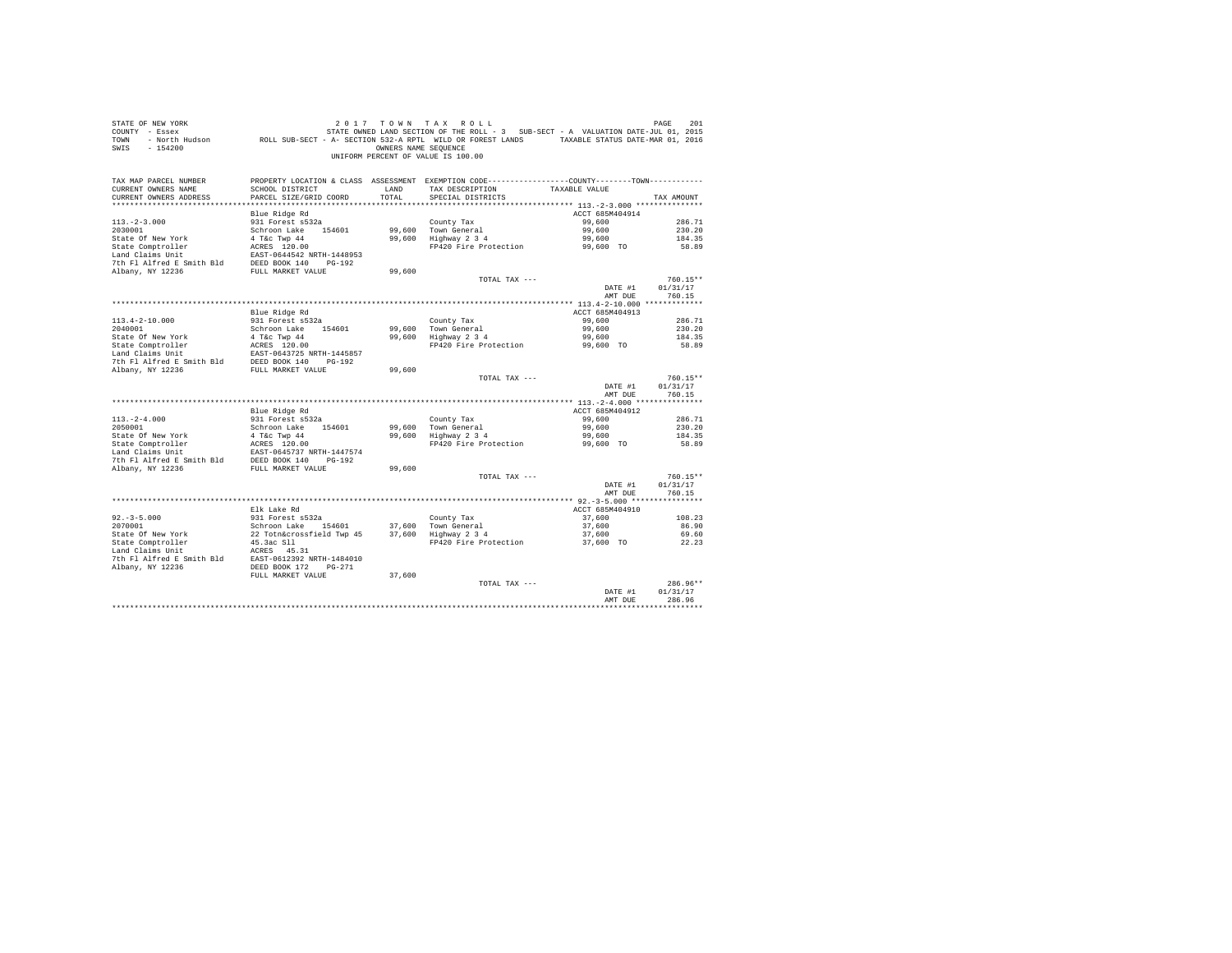| STATE OF NEW YORK<br>COUNTY - Essex<br>TOWN<br>$-154200$<br>SWIS                                                                                                                                            |                                           | OWNERS NAME SEQUENCE | 2017 TOWN TAX ROLL<br>STATE OWNED LAND SECTION OF THE ROLL - 3 SUB-SECT - A VALUATION DATE-JUL 01, 2015<br>- North Hudson ROLL SUB-SECT - A- SECTION 532-A RPTL WILD OR FOREST LANDS TAXABLE STATUS DATE-MAR 01, 2016<br>UNIFORM PERCENT OF VALUE IS 100.00 |                  | PAGE<br>201      |
|-------------------------------------------------------------------------------------------------------------------------------------------------------------------------------------------------------------|-------------------------------------------|----------------------|-------------------------------------------------------------------------------------------------------------------------------------------------------------------------------------------------------------------------------------------------------------|------------------|------------------|
| TAX MAP PARCEL NUMBER                                                                                                                                                                                       |                                           |                      | PROPERTY LOCATION & CLASS ASSESSMENT EXEMPTION CODE---------------COUNTY-------TOWN----------                                                                                                                                                               |                  |                  |
| CURRENT OWNERS NAME<br>CURRENT OWNERS ADDRESS                                                                                                                                                               | SCHOOL DISTRICT<br>PARCEL SIZE/GRID COORD | LAND<br>TOTAL        | TAX DESCRIPTION<br>SPECIAL DISTRICTS                                                                                                                                                                                                                        | TAXABLE VALUE    | TAX AMOUNT       |
|                                                                                                                                                                                                             |                                           |                      |                                                                                                                                                                                                                                                             |                  |                  |
|                                                                                                                                                                                                             | Blue Ridge Rd                             |                      |                                                                                                                                                                                                                                                             | ACCT 685M404914  |                  |
| $113. - 2 - 3.000$                                                                                                                                                                                          | 931 Forest s532a                          |                      | County Tax                                                                                                                                                                                                                                                  | 99,600           | 286.71           |
| 2030001                                                                                                                                                                                                     | Schroon Lake 154601                       |                      | 99,600 Town General<br>99,600 Highway 2 3 4                                                                                                                                                                                                                 | 99,600           | 230.20           |
| State Of New York                                                                                                                                                                                           | 4 T&c Twp 44                              |                      |                                                                                                                                                                                                                                                             | 99,600           | 184.35           |
| State Comptroller                                                                                                                                                                                           | ACRES 120.00                              |                      | FP420 Fire Protection                                                                                                                                                                                                                                       | 99,600 TO        | 58.89            |
| Land Claims Unit                                                                                                                                                                                            | EAST-0644542 NRTH-1448953                 |                      |                                                                                                                                                                                                                                                             |                  |                  |
| 7th Fl Alfred E Smith Bld                                                                                                                                                                                   | DEED BOOK 140 PG-192                      |                      |                                                                                                                                                                                                                                                             |                  |                  |
| Albany, NY 12236                                                                                                                                                                                            | FULL MARKET VALUE                         | 99,600               | TOTAL TAX ---                                                                                                                                                                                                                                               |                  | $760.15**$       |
|                                                                                                                                                                                                             |                                           |                      |                                                                                                                                                                                                                                                             | DATE #1          | 01/31/17         |
|                                                                                                                                                                                                             |                                           |                      |                                                                                                                                                                                                                                                             | AMT DUE          | 760.15           |
|                                                                                                                                                                                                             |                                           |                      |                                                                                                                                                                                                                                                             |                  |                  |
|                                                                                                                                                                                                             | Blue Ridge Rd                             |                      |                                                                                                                                                                                                                                                             | ACCT 685M404913  |                  |
| $113.4 - 2 - 10.000$                                                                                                                                                                                        | 931 Forest s532a                          |                      | County Tax                                                                                                                                                                                                                                                  | 99,600           | 286.71           |
| 2040001                                                                                                                                                                                                     | Schroon Lake 154601                       | 99,600               | Town General                                                                                                                                                                                                                                                | 99,600           | 230.20           |
| State Of New York                                                                                                                                                                                           | 4 T&C Twp 44<br>ACRES 120.00              | 99,600               | $Highway$ 2 3 4                                                                                                                                                                                                                                             | 99,600           | 184.35           |
| State Comptroller                                                                                                                                                                                           |                                           |                      | FP420 Fire Protection                                                                                                                                                                                                                                       | 99,600 TO        | 58.89            |
|                                                                                                                                                                                                             |                                           |                      |                                                                                                                                                                                                                                                             |                  |                  |
| Land Claims Unit<br>$\begin{array}{lll} \texttt{EAST-0643725 NRTH-1445857} \\ \texttt{7th Fl1-free Smith Bld} & \texttt{DEED BOK 140} \\ \texttt{7thr} & \texttt{NY 12216} \end{array}$<br>Albany, NY 12236 | FULL MARKET VALUE                         | 99,600               |                                                                                                                                                                                                                                                             |                  |                  |
|                                                                                                                                                                                                             |                                           |                      | TOTAL TAX ---                                                                                                                                                                                                                                               |                  | $760.15**$       |
|                                                                                                                                                                                                             |                                           |                      |                                                                                                                                                                                                                                                             | DATE #1          | 01/31/17         |
|                                                                                                                                                                                                             |                                           |                      |                                                                                                                                                                                                                                                             | AMT DUE          | 760.15           |
|                                                                                                                                                                                                             |                                           |                      |                                                                                                                                                                                                                                                             |                  |                  |
|                                                                                                                                                                                                             | Blue Ridge Rd                             |                      |                                                                                                                                                                                                                                                             | ACCT 685M404912  |                  |
| $113. - 2 - 4.000$<br>2050001                                                                                                                                                                               | 931 Forest s532a<br>Schroon Lake 154601   |                      | County Tax                                                                                                                                                                                                                                                  | 99,600<br>99,600 | 286.71<br>230.20 |
| State Of New York                                                                                                                                                                                           | 4 T&c Twp 44                              |                      | 99,600 Town General<br>99,600 Highway 2 3 4                                                                                                                                                                                                                 | 99,600           | 184.35           |
| State Comptroller                                                                                                                                                                                           | ACRES 120.00                              |                      | FP420 Fire Protection                                                                                                                                                                                                                                       | 99,600 TO        | 58.89            |
| Land Claims Unit                                                                                                                                                                                            | EAST-0645737 NRTH-1447574                 |                      |                                                                                                                                                                                                                                                             |                  |                  |
| 7th Fl Alfred E Smith Bld DEED BOOK 140 PG-192                                                                                                                                                              |                                           |                      |                                                                                                                                                                                                                                                             |                  |                  |
| Albany, NY 12236                                                                                                                                                                                            | FULL MARKET VALUE                         | 99,600               |                                                                                                                                                                                                                                                             |                  |                  |
|                                                                                                                                                                                                             |                                           |                      | TOTAL TAX ---                                                                                                                                                                                                                                               |                  | $760.15**$       |
|                                                                                                                                                                                                             |                                           |                      |                                                                                                                                                                                                                                                             | DATE #1          | 01/31/17         |
|                                                                                                                                                                                                             |                                           |                      |                                                                                                                                                                                                                                                             | AMT DUE          | 760.15           |
|                                                                                                                                                                                                             | Elk Lake Rd                               |                      |                                                                                                                                                                                                                                                             | ACCT 685M404910  |                  |
| $92 - 3 - 5.000$                                                                                                                                                                                            | 931 Forest s532a                          |                      | County Tax                                                                                                                                                                                                                                                  | 37,600           | 108.23           |
| 2070001                                                                                                                                                                                                     | Schroon Lake 154601                       |                      | 37.600 Town General                                                                                                                                                                                                                                         | 37,600           | 86.90            |
|                                                                                                                                                                                                             | 22 Totn&crossfield Twp 45                 |                      | $37,600$ Highway $2\overline{3}4$                                                                                                                                                                                                                           | 37,600           | 69.60            |
| State Of New York<br>State Comptroller                                                                                                                                                                      | 45.3ac S11                                |                      | FP420 Fire Protection                                                                                                                                                                                                                                       | 37,600 TO        | 22.23            |
| Land Claims Unit                                                                                                                                                                                            | ACRES 45.31                               |                      |                                                                                                                                                                                                                                                             |                  |                  |
| 7th Fl Alfred E Smith Bld                                                                                                                                                                                   | EAST-0612392 NRTH-1484010                 |                      |                                                                                                                                                                                                                                                             |                  |                  |
| Albany, NY 12236                                                                                                                                                                                            | FULL MARKET VALUE                         | 37,600               |                                                                                                                                                                                                                                                             |                  |                  |
|                                                                                                                                                                                                             |                                           |                      | TOTAL TAX ---                                                                                                                                                                                                                                               |                  | 286.96**         |
|                                                                                                                                                                                                             |                                           |                      |                                                                                                                                                                                                                                                             | DATE #1          | 01/31/17         |
|                                                                                                                                                                                                             |                                           |                      |                                                                                                                                                                                                                                                             | AMT DUE          | 286.96           |
|                                                                                                                                                                                                             |                                           |                      |                                                                                                                                                                                                                                                             |                  |                  |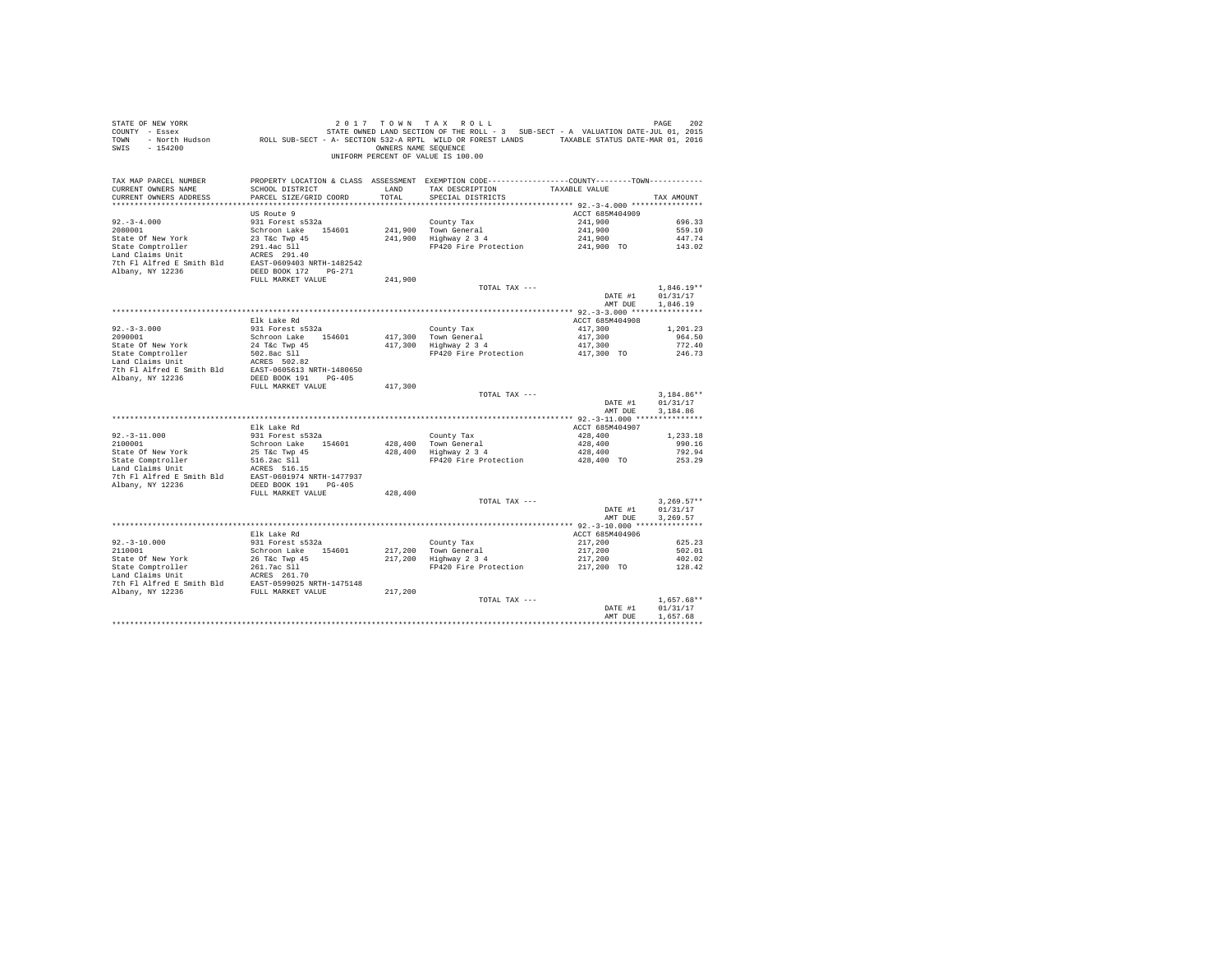| PROPERTY LOCATION & CLASS ASSESSMENT EXEMPTION CODE----------------COUNTY--------TOWN----------<br>TAX MAP PARCEL NUMBER<br>TAX DESCRIPTION<br>CURRENT OWNERS NAME<br>SCHOOL DISTRICT<br>LAND<br>TAXABLE VALUE<br>TOTAL.<br>CURRENT OWNERS ADDRESS<br>PARCEL SIZE/GRID COORD<br>SPECIAL DISTRICTS<br>TAX AMOUNT<br>ACCT 685M404909<br>US Route 9<br>$92. -3 - 4.000$<br>931 Forest s532a<br>County Tax<br>241,900<br>696.33<br>241,900 Town General<br>241,900 Highway 2 3 4<br>2080001<br>Schroon Lake 154601<br>241,900<br>559.10<br>23 T&C Twp 45<br>State Of New York<br>241,900<br>447.74<br>FP420 Fire Protection 241,900 TO 143.02<br>FULL MARKET VALUE<br>241,900<br>$1.846.19**$<br>TOTAL TAX ---<br>DATE #1<br>01/31/17<br>AMT DUE<br>1,846.19<br>Elk Lake Rd<br>ACCT 685M404908<br>$92.-3-3.000$<br>2090001<br>931 Forest s532a<br>417,300<br>1,201.23<br>County Tax<br>417,300 Town General<br>417,300 Highway 2 3 4<br>417,300<br>Schroon Lake 154601<br>417,300<br>964.50<br>417,300<br>State Of New York<br>24 T&c Twp 45<br>772.40<br>State Comptroller<br>502.8ac S11<br>FP420 Fire Protection<br>417,300 TO<br>246.73<br>Cast Computering the MCRES 502.82<br>7th Fl Alfred E Smith Bld<br>2000 EAST-0605613 NRTH-1480650<br>2000 Albany, NY 12236 DEED BOOK 191 PG-405<br>FULL MARKET VALUE<br>417,300<br>$3.184.86**$<br>TOTAL TAX ---<br>01/31/17<br>DATE #1<br>3.184.86<br>AMT DUE<br>Elk Lake Rd<br>ACCT 685M404907<br>$92. - 3 - 11.000$<br>931 Forest s532a<br>428,400<br>County Tax<br>1,233.18<br>428,400 Town General<br>428,400 Highway 2 3 4<br>2100001<br>428,400<br>Schroon Lake 154601<br>990.16<br>State Of New York 25 T&C Twp 45<br>State Comptroller 516.2ac S11<br>Land Claims Unit 516.2ac S16.15<br>428,400<br>792.94<br>FP420 Fire Protection 428,400 TO<br>253.29<br>EXAMPLE 2012 FOR SMITH BLAST 2001974 NRTH-1477937<br>Albany, NY 12236 2008 DEED BOOK 191 PG-405<br>FULL MARKET VALUE<br>428,400<br>TOTAL TAX ---<br>$3,269.57**$<br>DATE #1<br>01/31/17<br>AMT DUE<br>3.269.57<br>ACCT 685M404906<br>Elk Lake Rd<br>931 Forest s532a<br>$92.-3-10.000$<br>2110001<br>County Tax<br>217,200 Town General<br>217,200 Highway 2 3 4<br>217,200<br>625.23<br>217,200<br>Schroon Lake 154601<br>502.01<br>217,200<br>217,200<br>402.02<br>FP420 Fire Protection<br>217,200 TO<br>128.42<br>TOTAL TAX ---<br>$1.657.68**$<br>DATE #1<br>01/31/17<br>AMT DUE<br>1.657.68 | STATE OF NEW YORK<br>SWIS - 154200 | OWNERS NAME SEQUENCE | 2017 TOWN TAX ROLL<br>UNIFORM PERCENT OF VALUE IS 100.00 | 202<br>PAGE |
|------------------------------------------------------------------------------------------------------------------------------------------------------------------------------------------------------------------------------------------------------------------------------------------------------------------------------------------------------------------------------------------------------------------------------------------------------------------------------------------------------------------------------------------------------------------------------------------------------------------------------------------------------------------------------------------------------------------------------------------------------------------------------------------------------------------------------------------------------------------------------------------------------------------------------------------------------------------------------------------------------------------------------------------------------------------------------------------------------------------------------------------------------------------------------------------------------------------------------------------------------------------------------------------------------------------------------------------------------------------------------------------------------------------------------------------------------------------------------------------------------------------------------------------------------------------------------------------------------------------------------------------------------------------------------------------------------------------------------------------------------------------------------------------------------------------------------------------------------------------------------------------------------------------------------------------------------------------------------------------------------------------------------------------------------------------------------------------------------------------------------------------------------------------------------------------------------------------------------------------------------------------------------------------------------------------------------------------------------------------------------------------------------------------|------------------------------------|----------------------|----------------------------------------------------------|-------------|
|                                                                                                                                                                                                                                                                                                                                                                                                                                                                                                                                                                                                                                                                                                                                                                                                                                                                                                                                                                                                                                                                                                                                                                                                                                                                                                                                                                                                                                                                                                                                                                                                                                                                                                                                                                                                                                                                                                                                                                                                                                                                                                                                                                                                                                                                                                                                                                                                                  |                                    |                      |                                                          |             |
|                                                                                                                                                                                                                                                                                                                                                                                                                                                                                                                                                                                                                                                                                                                                                                                                                                                                                                                                                                                                                                                                                                                                                                                                                                                                                                                                                                                                                                                                                                                                                                                                                                                                                                                                                                                                                                                                                                                                                                                                                                                                                                                                                                                                                                                                                                                                                                                                                  |                                    |                      |                                                          |             |
|                                                                                                                                                                                                                                                                                                                                                                                                                                                                                                                                                                                                                                                                                                                                                                                                                                                                                                                                                                                                                                                                                                                                                                                                                                                                                                                                                                                                                                                                                                                                                                                                                                                                                                                                                                                                                                                                                                                                                                                                                                                                                                                                                                                                                                                                                                                                                                                                                  |                                    |                      |                                                          |             |
|                                                                                                                                                                                                                                                                                                                                                                                                                                                                                                                                                                                                                                                                                                                                                                                                                                                                                                                                                                                                                                                                                                                                                                                                                                                                                                                                                                                                                                                                                                                                                                                                                                                                                                                                                                                                                                                                                                                                                                                                                                                                                                                                                                                                                                                                                                                                                                                                                  |                                    |                      |                                                          |             |
|                                                                                                                                                                                                                                                                                                                                                                                                                                                                                                                                                                                                                                                                                                                                                                                                                                                                                                                                                                                                                                                                                                                                                                                                                                                                                                                                                                                                                                                                                                                                                                                                                                                                                                                                                                                                                                                                                                                                                                                                                                                                                                                                                                                                                                                                                                                                                                                                                  |                                    |                      |                                                          |             |
|                                                                                                                                                                                                                                                                                                                                                                                                                                                                                                                                                                                                                                                                                                                                                                                                                                                                                                                                                                                                                                                                                                                                                                                                                                                                                                                                                                                                                                                                                                                                                                                                                                                                                                                                                                                                                                                                                                                                                                                                                                                                                                                                                                                                                                                                                                                                                                                                                  |                                    |                      |                                                          |             |
|                                                                                                                                                                                                                                                                                                                                                                                                                                                                                                                                                                                                                                                                                                                                                                                                                                                                                                                                                                                                                                                                                                                                                                                                                                                                                                                                                                                                                                                                                                                                                                                                                                                                                                                                                                                                                                                                                                                                                                                                                                                                                                                                                                                                                                                                                                                                                                                                                  |                                    |                      |                                                          |             |
|                                                                                                                                                                                                                                                                                                                                                                                                                                                                                                                                                                                                                                                                                                                                                                                                                                                                                                                                                                                                                                                                                                                                                                                                                                                                                                                                                                                                                                                                                                                                                                                                                                                                                                                                                                                                                                                                                                                                                                                                                                                                                                                                                                                                                                                                                                                                                                                                                  |                                    |                      |                                                          |             |
|                                                                                                                                                                                                                                                                                                                                                                                                                                                                                                                                                                                                                                                                                                                                                                                                                                                                                                                                                                                                                                                                                                                                                                                                                                                                                                                                                                                                                                                                                                                                                                                                                                                                                                                                                                                                                                                                                                                                                                                                                                                                                                                                                                                                                                                                                                                                                                                                                  |                                    |                      |                                                          |             |
|                                                                                                                                                                                                                                                                                                                                                                                                                                                                                                                                                                                                                                                                                                                                                                                                                                                                                                                                                                                                                                                                                                                                                                                                                                                                                                                                                                                                                                                                                                                                                                                                                                                                                                                                                                                                                                                                                                                                                                                                                                                                                                                                                                                                                                                                                                                                                                                                                  |                                    |                      |                                                          |             |
|                                                                                                                                                                                                                                                                                                                                                                                                                                                                                                                                                                                                                                                                                                                                                                                                                                                                                                                                                                                                                                                                                                                                                                                                                                                                                                                                                                                                                                                                                                                                                                                                                                                                                                                                                                                                                                                                                                                                                                                                                                                                                                                                                                                                                                                                                                                                                                                                                  |                                    |                      |                                                          |             |
|                                                                                                                                                                                                                                                                                                                                                                                                                                                                                                                                                                                                                                                                                                                                                                                                                                                                                                                                                                                                                                                                                                                                                                                                                                                                                                                                                                                                                                                                                                                                                                                                                                                                                                                                                                                                                                                                                                                                                                                                                                                                                                                                                                                                                                                                                                                                                                                                                  |                                    |                      |                                                          |             |
|                                                                                                                                                                                                                                                                                                                                                                                                                                                                                                                                                                                                                                                                                                                                                                                                                                                                                                                                                                                                                                                                                                                                                                                                                                                                                                                                                                                                                                                                                                                                                                                                                                                                                                                                                                                                                                                                                                                                                                                                                                                                                                                                                                                                                                                                                                                                                                                                                  |                                    |                      |                                                          |             |
|                                                                                                                                                                                                                                                                                                                                                                                                                                                                                                                                                                                                                                                                                                                                                                                                                                                                                                                                                                                                                                                                                                                                                                                                                                                                                                                                                                                                                                                                                                                                                                                                                                                                                                                                                                                                                                                                                                                                                                                                                                                                                                                                                                                                                                                                                                                                                                                                                  |                                    |                      |                                                          |             |
|                                                                                                                                                                                                                                                                                                                                                                                                                                                                                                                                                                                                                                                                                                                                                                                                                                                                                                                                                                                                                                                                                                                                                                                                                                                                                                                                                                                                                                                                                                                                                                                                                                                                                                                                                                                                                                                                                                                                                                                                                                                                                                                                                                                                                                                                                                                                                                                                                  |                                    |                      |                                                          |             |
|                                                                                                                                                                                                                                                                                                                                                                                                                                                                                                                                                                                                                                                                                                                                                                                                                                                                                                                                                                                                                                                                                                                                                                                                                                                                                                                                                                                                                                                                                                                                                                                                                                                                                                                                                                                                                                                                                                                                                                                                                                                                                                                                                                                                                                                                                                                                                                                                                  |                                    |                      |                                                          |             |
|                                                                                                                                                                                                                                                                                                                                                                                                                                                                                                                                                                                                                                                                                                                                                                                                                                                                                                                                                                                                                                                                                                                                                                                                                                                                                                                                                                                                                                                                                                                                                                                                                                                                                                                                                                                                                                                                                                                                                                                                                                                                                                                                                                                                                                                                                                                                                                                                                  |                                    |                      |                                                          |             |
|                                                                                                                                                                                                                                                                                                                                                                                                                                                                                                                                                                                                                                                                                                                                                                                                                                                                                                                                                                                                                                                                                                                                                                                                                                                                                                                                                                                                                                                                                                                                                                                                                                                                                                                                                                                                                                                                                                                                                                                                                                                                                                                                                                                                                                                                                                                                                                                                                  |                                    |                      |                                                          |             |
|                                                                                                                                                                                                                                                                                                                                                                                                                                                                                                                                                                                                                                                                                                                                                                                                                                                                                                                                                                                                                                                                                                                                                                                                                                                                                                                                                                                                                                                                                                                                                                                                                                                                                                                                                                                                                                                                                                                                                                                                                                                                                                                                                                                                                                                                                                                                                                                                                  |                                    |                      |                                                          |             |
|                                                                                                                                                                                                                                                                                                                                                                                                                                                                                                                                                                                                                                                                                                                                                                                                                                                                                                                                                                                                                                                                                                                                                                                                                                                                                                                                                                                                                                                                                                                                                                                                                                                                                                                                                                                                                                                                                                                                                                                                                                                                                                                                                                                                                                                                                                                                                                                                                  |                                    |                      |                                                          |             |
|                                                                                                                                                                                                                                                                                                                                                                                                                                                                                                                                                                                                                                                                                                                                                                                                                                                                                                                                                                                                                                                                                                                                                                                                                                                                                                                                                                                                                                                                                                                                                                                                                                                                                                                                                                                                                                                                                                                                                                                                                                                                                                                                                                                                                                                                                                                                                                                                                  |                                    |                      |                                                          |             |
|                                                                                                                                                                                                                                                                                                                                                                                                                                                                                                                                                                                                                                                                                                                                                                                                                                                                                                                                                                                                                                                                                                                                                                                                                                                                                                                                                                                                                                                                                                                                                                                                                                                                                                                                                                                                                                                                                                                                                                                                                                                                                                                                                                                                                                                                                                                                                                                                                  |                                    |                      |                                                          |             |
|                                                                                                                                                                                                                                                                                                                                                                                                                                                                                                                                                                                                                                                                                                                                                                                                                                                                                                                                                                                                                                                                                                                                                                                                                                                                                                                                                                                                                                                                                                                                                                                                                                                                                                                                                                                                                                                                                                                                                                                                                                                                                                                                                                                                                                                                                                                                                                                                                  |                                    |                      |                                                          |             |
|                                                                                                                                                                                                                                                                                                                                                                                                                                                                                                                                                                                                                                                                                                                                                                                                                                                                                                                                                                                                                                                                                                                                                                                                                                                                                                                                                                                                                                                                                                                                                                                                                                                                                                                                                                                                                                                                                                                                                                                                                                                                                                                                                                                                                                                                                                                                                                                                                  |                                    |                      |                                                          |             |
|                                                                                                                                                                                                                                                                                                                                                                                                                                                                                                                                                                                                                                                                                                                                                                                                                                                                                                                                                                                                                                                                                                                                                                                                                                                                                                                                                                                                                                                                                                                                                                                                                                                                                                                                                                                                                                                                                                                                                                                                                                                                                                                                                                                                                                                                                                                                                                                                                  |                                    |                      |                                                          |             |
|                                                                                                                                                                                                                                                                                                                                                                                                                                                                                                                                                                                                                                                                                                                                                                                                                                                                                                                                                                                                                                                                                                                                                                                                                                                                                                                                                                                                                                                                                                                                                                                                                                                                                                                                                                                                                                                                                                                                                                                                                                                                                                                                                                                                                                                                                                                                                                                                                  |                                    |                      |                                                          |             |
|                                                                                                                                                                                                                                                                                                                                                                                                                                                                                                                                                                                                                                                                                                                                                                                                                                                                                                                                                                                                                                                                                                                                                                                                                                                                                                                                                                                                                                                                                                                                                                                                                                                                                                                                                                                                                                                                                                                                                                                                                                                                                                                                                                                                                                                                                                                                                                                                                  |                                    |                      |                                                          |             |
|                                                                                                                                                                                                                                                                                                                                                                                                                                                                                                                                                                                                                                                                                                                                                                                                                                                                                                                                                                                                                                                                                                                                                                                                                                                                                                                                                                                                                                                                                                                                                                                                                                                                                                                                                                                                                                                                                                                                                                                                                                                                                                                                                                                                                                                                                                                                                                                                                  |                                    |                      |                                                          |             |
|                                                                                                                                                                                                                                                                                                                                                                                                                                                                                                                                                                                                                                                                                                                                                                                                                                                                                                                                                                                                                                                                                                                                                                                                                                                                                                                                                                                                                                                                                                                                                                                                                                                                                                                                                                                                                                                                                                                                                                                                                                                                                                                                                                                                                                                                                                                                                                                                                  |                                    |                      |                                                          |             |
|                                                                                                                                                                                                                                                                                                                                                                                                                                                                                                                                                                                                                                                                                                                                                                                                                                                                                                                                                                                                                                                                                                                                                                                                                                                                                                                                                                                                                                                                                                                                                                                                                                                                                                                                                                                                                                                                                                                                                                                                                                                                                                                                                                                                                                                                                                                                                                                                                  |                                    |                      |                                                          |             |
|                                                                                                                                                                                                                                                                                                                                                                                                                                                                                                                                                                                                                                                                                                                                                                                                                                                                                                                                                                                                                                                                                                                                                                                                                                                                                                                                                                                                                                                                                                                                                                                                                                                                                                                                                                                                                                                                                                                                                                                                                                                                                                                                                                                                                                                                                                                                                                                                                  |                                    |                      |                                                          |             |
|                                                                                                                                                                                                                                                                                                                                                                                                                                                                                                                                                                                                                                                                                                                                                                                                                                                                                                                                                                                                                                                                                                                                                                                                                                                                                                                                                                                                                                                                                                                                                                                                                                                                                                                                                                                                                                                                                                                                                                                                                                                                                                                                                                                                                                                                                                                                                                                                                  |                                    |                      |                                                          |             |
|                                                                                                                                                                                                                                                                                                                                                                                                                                                                                                                                                                                                                                                                                                                                                                                                                                                                                                                                                                                                                                                                                                                                                                                                                                                                                                                                                                                                                                                                                                                                                                                                                                                                                                                                                                                                                                                                                                                                                                                                                                                                                                                                                                                                                                                                                                                                                                                                                  |                                    |                      |                                                          |             |
|                                                                                                                                                                                                                                                                                                                                                                                                                                                                                                                                                                                                                                                                                                                                                                                                                                                                                                                                                                                                                                                                                                                                                                                                                                                                                                                                                                                                                                                                                                                                                                                                                                                                                                                                                                                                                                                                                                                                                                                                                                                                                                                                                                                                                                                                                                                                                                                                                  |                                    |                      |                                                          |             |
|                                                                                                                                                                                                                                                                                                                                                                                                                                                                                                                                                                                                                                                                                                                                                                                                                                                                                                                                                                                                                                                                                                                                                                                                                                                                                                                                                                                                                                                                                                                                                                                                                                                                                                                                                                                                                                                                                                                                                                                                                                                                                                                                                                                                                                                                                                                                                                                                                  |                                    |                      |                                                          |             |
|                                                                                                                                                                                                                                                                                                                                                                                                                                                                                                                                                                                                                                                                                                                                                                                                                                                                                                                                                                                                                                                                                                                                                                                                                                                                                                                                                                                                                                                                                                                                                                                                                                                                                                                                                                                                                                                                                                                                                                                                                                                                                                                                                                                                                                                                                                                                                                                                                  |                                    |                      |                                                          |             |
|                                                                                                                                                                                                                                                                                                                                                                                                                                                                                                                                                                                                                                                                                                                                                                                                                                                                                                                                                                                                                                                                                                                                                                                                                                                                                                                                                                                                                                                                                                                                                                                                                                                                                                                                                                                                                                                                                                                                                                                                                                                                                                                                                                                                                                                                                                                                                                                                                  |                                    |                      |                                                          |             |
|                                                                                                                                                                                                                                                                                                                                                                                                                                                                                                                                                                                                                                                                                                                                                                                                                                                                                                                                                                                                                                                                                                                                                                                                                                                                                                                                                                                                                                                                                                                                                                                                                                                                                                                                                                                                                                                                                                                                                                                                                                                                                                                                                                                                                                                                                                                                                                                                                  |                                    |                      |                                                          |             |
|                                                                                                                                                                                                                                                                                                                                                                                                                                                                                                                                                                                                                                                                                                                                                                                                                                                                                                                                                                                                                                                                                                                                                                                                                                                                                                                                                                                                                                                                                                                                                                                                                                                                                                                                                                                                                                                                                                                                                                                                                                                                                                                                                                                                                                                                                                                                                                                                                  |                                    |                      |                                                          |             |
|                                                                                                                                                                                                                                                                                                                                                                                                                                                                                                                                                                                                                                                                                                                                                                                                                                                                                                                                                                                                                                                                                                                                                                                                                                                                                                                                                                                                                                                                                                                                                                                                                                                                                                                                                                                                                                                                                                                                                                                                                                                                                                                                                                                                                                                                                                                                                                                                                  |                                    |                      |                                                          |             |
|                                                                                                                                                                                                                                                                                                                                                                                                                                                                                                                                                                                                                                                                                                                                                                                                                                                                                                                                                                                                                                                                                                                                                                                                                                                                                                                                                                                                                                                                                                                                                                                                                                                                                                                                                                                                                                                                                                                                                                                                                                                                                                                                                                                                                                                                                                                                                                                                                  |                                    |                      |                                                          |             |
|                                                                                                                                                                                                                                                                                                                                                                                                                                                                                                                                                                                                                                                                                                                                                                                                                                                                                                                                                                                                                                                                                                                                                                                                                                                                                                                                                                                                                                                                                                                                                                                                                                                                                                                                                                                                                                                                                                                                                                                                                                                                                                                                                                                                                                                                                                                                                                                                                  |                                    |                      |                                                          |             |
|                                                                                                                                                                                                                                                                                                                                                                                                                                                                                                                                                                                                                                                                                                                                                                                                                                                                                                                                                                                                                                                                                                                                                                                                                                                                                                                                                                                                                                                                                                                                                                                                                                                                                                                                                                                                                                                                                                                                                                                                                                                                                                                                                                                                                                                                                                                                                                                                                  |                                    |                      |                                                          |             |
|                                                                                                                                                                                                                                                                                                                                                                                                                                                                                                                                                                                                                                                                                                                                                                                                                                                                                                                                                                                                                                                                                                                                                                                                                                                                                                                                                                                                                                                                                                                                                                                                                                                                                                                                                                                                                                                                                                                                                                                                                                                                                                                                                                                                                                                                                                                                                                                                                  |                                    |                      |                                                          |             |
|                                                                                                                                                                                                                                                                                                                                                                                                                                                                                                                                                                                                                                                                                                                                                                                                                                                                                                                                                                                                                                                                                                                                                                                                                                                                                                                                                                                                                                                                                                                                                                                                                                                                                                                                                                                                                                                                                                                                                                                                                                                                                                                                                                                                                                                                                                                                                                                                                  |                                    |                      |                                                          |             |
|                                                                                                                                                                                                                                                                                                                                                                                                                                                                                                                                                                                                                                                                                                                                                                                                                                                                                                                                                                                                                                                                                                                                                                                                                                                                                                                                                                                                                                                                                                                                                                                                                                                                                                                                                                                                                                                                                                                                                                                                                                                                                                                                                                                                                                                                                                                                                                                                                  |                                    |                      |                                                          |             |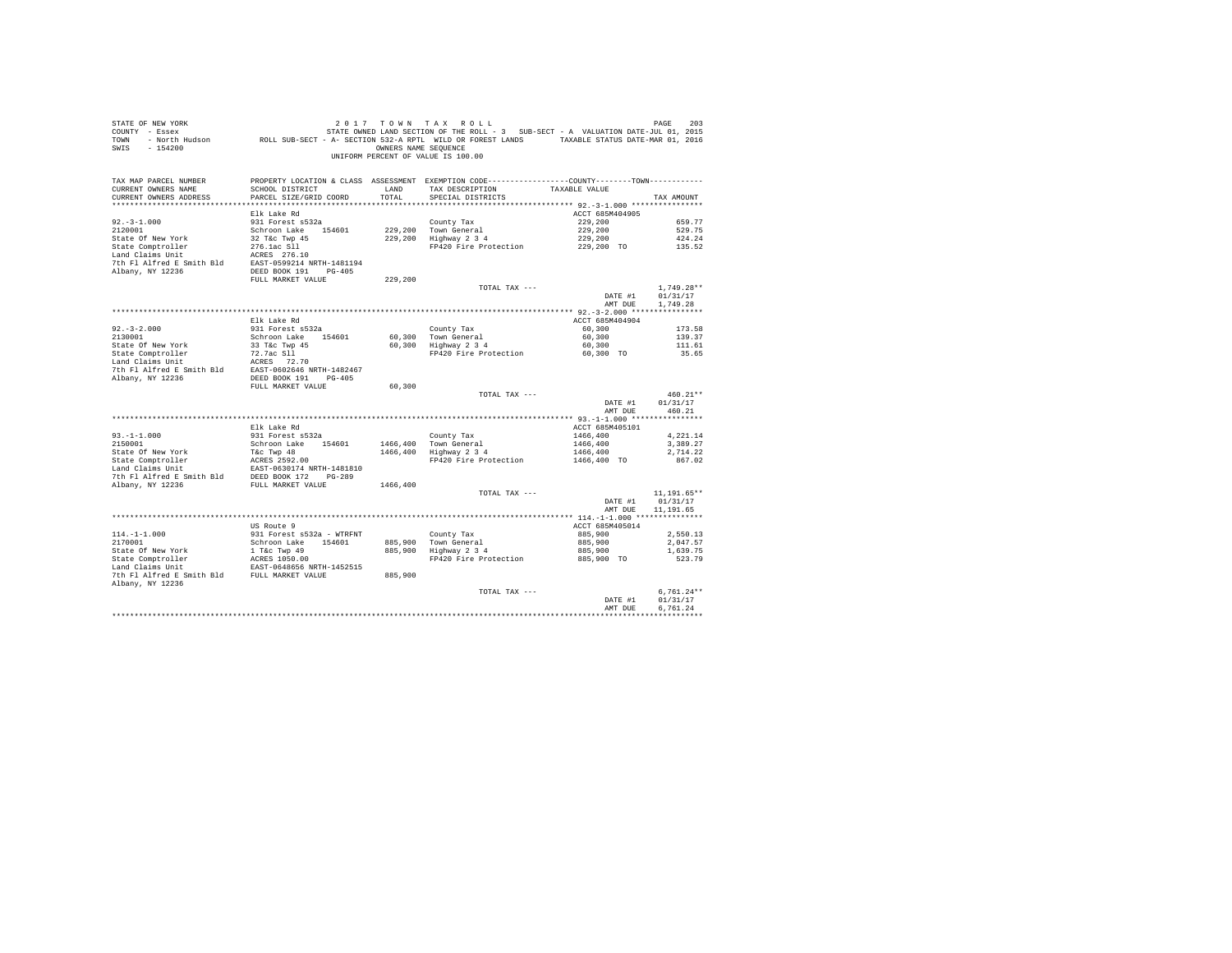| STATE OF NEW YORK<br>SALL OF THE SERIES AND LUIT TAX KULL FOR SERIES AND LOTE TREE ROLL TO THE SERIES 2013<br>COUNTY - Essex - STATE OWNED LAND SECTION OF THE ROLL - 3 SUB-SECT - A VALUATION DATE-JUL 01, 2015<br>TOWN - North Hudson - ROLL SUB-SECT<br>SWIS - 154200 |                                           | OWNERS NAME SEQUENCE | 2017 TOWN TAX ROLL<br>UNIFORM PERCENT OF VALUE IS 100.00                                                                              |                          | PAGE<br>203                |
|--------------------------------------------------------------------------------------------------------------------------------------------------------------------------------------------------------------------------------------------------------------------------|-------------------------------------------|----------------------|---------------------------------------------------------------------------------------------------------------------------------------|--------------------------|----------------------------|
| TAX MAP PARCEL NUMBER<br>CURRENT OWNERS NAME<br>CURRENT OWNERS ADDRESS                                                                                                                                                                                                   | SCHOOL DISTRICT<br>PARCEL SIZE/GRID COORD | LAND<br>TOTAL        | PROPERTY LOCATION & CLASS ASSESSMENT EXEMPTION CODE---------------COUNTY-------TOWN----------<br>TAX DESCRIPTION<br>SPECIAL DISTRICTS | TAXABLE VALUE            | TAX AMOUNT                 |
|                                                                                                                                                                                                                                                                          |                                           |                      |                                                                                                                                       |                          |                            |
|                                                                                                                                                                                                                                                                          | Elk Lake Rd                               |                      |                                                                                                                                       | ACCT 685M404905          |                            |
| $92. -3 - 1.000$                                                                                                                                                                                                                                                         | 931 Forest s532a                          |                      | County Tax                                                                                                                            | 229,200                  | 659.77                     |
| 2120001                                                                                                                                                                                                                                                                  | Schroon Lake 154601                       |                      | 229,200 Town General<br>229,200 Highway 2 3 4                                                                                         | 229,200                  | 529.75                     |
| State Of New York                                                                                                                                                                                                                                                        | 32 T&c Twp 45                             |                      |                                                                                                                                       | 229,200                  | 424.24                     |
| State Comptroller<br>Land Claims Unit                                                                                                                                                                                                                                    | 276.1ac S11<br>ACRES 276.10               |                      | FP420 Fire Protection                                                                                                                 | 229,200 TO               | 135.52                     |
| 7th Fl Alfred E Smith Bld EAST-0599214 NRTH-1481194                                                                                                                                                                                                                      |                                           |                      |                                                                                                                                       |                          |                            |
| Albany, NY 12236                                                                                                                                                                                                                                                         | DEED BOOK 191 PG-405                      |                      |                                                                                                                                       |                          |                            |
|                                                                                                                                                                                                                                                                          | FULL MARKET VALUE                         | 229,200              |                                                                                                                                       |                          |                            |
|                                                                                                                                                                                                                                                                          |                                           |                      | TOTAL TAX ---                                                                                                                         |                          | $1.749.28**$               |
|                                                                                                                                                                                                                                                                          |                                           |                      |                                                                                                                                       | DATE #1                  | 01/31/17                   |
|                                                                                                                                                                                                                                                                          |                                           |                      |                                                                                                                                       | AMT DUE                  | 1,749.28                   |
|                                                                                                                                                                                                                                                                          | Elk Lake Rd                               |                      |                                                                                                                                       | ACCT 685M404904          |                            |
| $92 - 3 - 2.000$                                                                                                                                                                                                                                                         | 931 Forest s532a                          |                      | County Tax                                                                                                                            | 60,300                   | 173.58                     |
| 2130001                                                                                                                                                                                                                                                                  | Schroon Lake 154601                       |                      |                                                                                                                                       | 60,300                   | 139.37                     |
| State Of New York                                                                                                                                                                                                                                                        | $33$ T&C Twp $45$                         |                      | County Tax<br>60,300 Town General<br>60,300 Highway 2 3 4                                                                             | 60,300                   | 111.61                     |
| State Comptroller<br>Land Claims Unit                                                                                                                                                                                                                                    | 72.7ac Sll                                |                      | FP420 Fire Protection                                                                                                                 | 60,300 TO                | 35.65                      |
|                                                                                                                                                                                                                                                                          |                                           |                      |                                                                                                                                       |                          |                            |
| State Comprisorier (12.720 Sil<br>Land Claims Unit (12.72.70<br>The Fl Alfred E Smith Bld (12.827 12.70<br>The Richary, NY 12236 (12.825 DEED BOOK 191 PG-405                                                                                                            |                                           |                      |                                                                                                                                       |                          |                            |
|                                                                                                                                                                                                                                                                          | FULL MARKET VALUE                         | 60,300               |                                                                                                                                       |                          |                            |
|                                                                                                                                                                                                                                                                          |                                           |                      | TOTAL TAX ---                                                                                                                         |                          | $460.21**$                 |
|                                                                                                                                                                                                                                                                          |                                           |                      |                                                                                                                                       | DATE #1                  | 01/31/17                   |
|                                                                                                                                                                                                                                                                          |                                           |                      |                                                                                                                                       | AMT DUE                  | 460.21                     |
|                                                                                                                                                                                                                                                                          |                                           |                      |                                                                                                                                       |                          |                            |
| $93. -1 - 1.000$                                                                                                                                                                                                                                                         | Elk Lake Rd<br>931 Forest s532a           |                      | County Tax                                                                                                                            | ACCT 685M405101          | 4.221.14                   |
| 2150001                                                                                                                                                                                                                                                                  | Schroon Lake 154601                       |                      |                                                                                                                                       | $1466,400$<br>$1466,400$ | 3,389.27                   |
| State Of New York                                                                                                                                                                                                                                                        | T&c Twp 48                                |                      | 1466,400 Town General<br>1466,400 Highway 2 3 4                                                                                       | 1466,400                 | 2.714.22                   |
|                                                                                                                                                                                                                                                                          |                                           |                      | FP420 Fire Protection                                                                                                                 | 1466,400 TO              | 867.02                     |
|                                                                                                                                                                                                                                                                          | EAST-0630174 NRTH-1481810                 |                      |                                                                                                                                       |                          |                            |
| 7th F1 Alfred E Smith Bld BEED BOOK 172 PG-289<br>Albany, NY 12236 FULL MARKET VALUE                                                                                                                                                                                     |                                           |                      |                                                                                                                                       |                          |                            |
|                                                                                                                                                                                                                                                                          |                                           | 1466,400             |                                                                                                                                       |                          |                            |
|                                                                                                                                                                                                                                                                          |                                           |                      | TOTAL TAX ---                                                                                                                         | DATE #1                  | $11, 191.65**$<br>01/31/17 |
|                                                                                                                                                                                                                                                                          |                                           |                      |                                                                                                                                       | AMT DUE                  | 11,191.65                  |
|                                                                                                                                                                                                                                                                          |                                           |                      |                                                                                                                                       |                          |                            |
|                                                                                                                                                                                                                                                                          | US Route 9                                |                      |                                                                                                                                       | ACCT 685M405014          |                            |
| $114.-1-1.000$                                                                                                                                                                                                                                                           | 931 Forest s532a - WTRFNT                 |                      |                                                                                                                                       | 885,900                  | 2,550.13                   |
| 2170001                                                                                                                                                                                                                                                                  | Schroon Lake 154601                       |                      | County Tax<br>885,900 Town General<br>885,900 Highway 2 3 4                                                                           | 885,900                  | 2.047.57                   |
|                                                                                                                                                                                                                                                                          |                                           |                      |                                                                                                                                       | 885,900                  | 1,639.75                   |
|                                                                                                                                                                                                                                                                          | EAST-0648656 NRTH-1452515                 |                      | FP420 Fire Protection                                                                                                                 | 885,900 TO               | 523.79                     |
| 7th F1 Alfred E Smith Bld FULL MARKET VALUE                                                                                                                                                                                                                              |                                           | 885,900              |                                                                                                                                       |                          |                            |
| Albany, NY 12236                                                                                                                                                                                                                                                         |                                           |                      |                                                                                                                                       |                          |                            |
|                                                                                                                                                                                                                                                                          |                                           |                      | TOTAL TAX ---                                                                                                                         |                          | $6.761.24**$               |
|                                                                                                                                                                                                                                                                          |                                           |                      |                                                                                                                                       | DATE #1                  | 01/31/17                   |
|                                                                                                                                                                                                                                                                          |                                           |                      |                                                                                                                                       | AMT DUE                  | 6.761.24<br>************   |
|                                                                                                                                                                                                                                                                          |                                           |                      |                                                                                                                                       |                          |                            |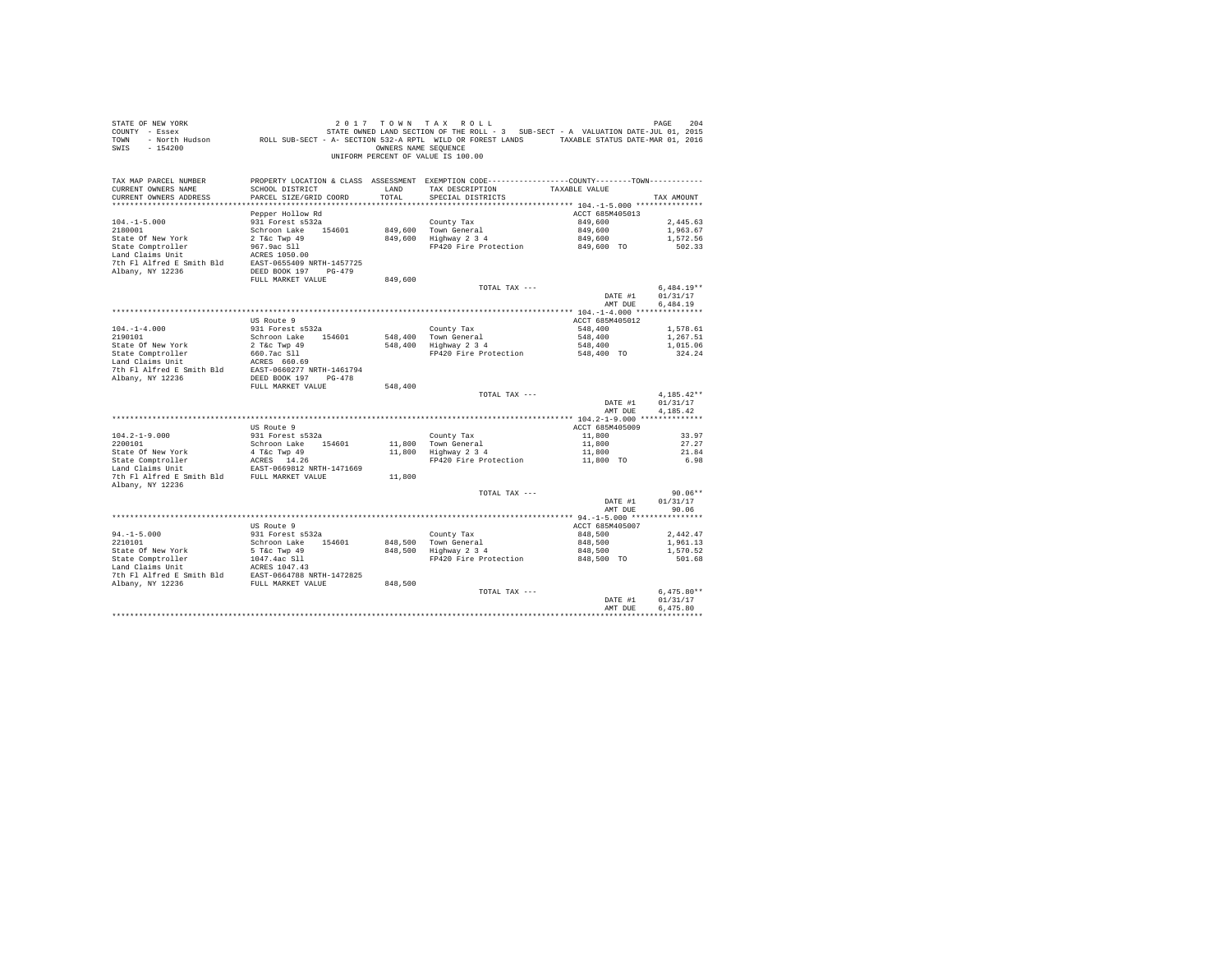| STATE OF NEW YORK<br>SALL OF THE SERIES TO A TAX KULL 7 IN THE SERIES ON THE SERIES TO A TAX A TAX THE SERIES TO A TACK THE 2015 CO<br>COUNTY - Essex STATE OWNED LAND SECTION OF THE ROLL - 3 SUB-SECT - A VALUATION DATE-JUL 01, 2015<br>TOWN - North<br>SWIS - 154200 |                                             |               | 2017 TOWN TAX ROLL<br>OWNERS NAME SEQUENCE<br>UNIFORM PERCENT OF VALUE IS 100.00                                                      |                            | PAGE<br>204              |
|--------------------------------------------------------------------------------------------------------------------------------------------------------------------------------------------------------------------------------------------------------------------------|---------------------------------------------|---------------|---------------------------------------------------------------------------------------------------------------------------------------|----------------------------|--------------------------|
| TAX MAP PARCEL NUMBER<br>CURRENT OWNERS NAME<br>CURRENT OWNERS ADDRESS                                                                                                                                                                                                   | SCHOOL DISTRICT<br>PARCEL SIZE/GRID COORD   | LAND<br>TOTAL | PROPERTY LOCATION & CLASS ASSESSMENT EXEMPTION CODE---------------COUNTY-------TOWN----------<br>TAX DESCRIPTION<br>SPECIAL DISTRICTS | TAXABLE VALUE              | TAX AMOUNT               |
|                                                                                                                                                                                                                                                                          |                                             |               |                                                                                                                                       |                            |                          |
| $104. -1 - 5.000$                                                                                                                                                                                                                                                        | Pepper Hollow Rd<br>931 Forest s532a        |               |                                                                                                                                       | ACCT 685M405013<br>849,600 | 2.445.63                 |
| 2180001                                                                                                                                                                                                                                                                  | Schroon Lake 154601                         |               | County Tax                                                                                                                            | 849,600                    | 1,963.67                 |
| State Of New York                                                                                                                                                                                                                                                        | $2$ T&c Twp $49$                            |               | 849,600 Town General<br>849,600 Highway 2 3 4                                                                                         | 849,600                    | 1,572.56                 |
| State Comptroller                                                                                                                                                                                                                                                        | 967.9ac Sll                                 |               | FP420 Fire Protection                                                                                                                 | 849,600 TO                 | 502.33                   |
| Land Claims Unit                                                                                                                                                                                                                                                         | ACRES 1050.00                               |               |                                                                                                                                       |                            |                          |
| 7th Fl Alfred E Smith Bld EAST-0655409 NRTH-1457725                                                                                                                                                                                                                      |                                             |               |                                                                                                                                       |                            |                          |
| Albany, NY 12236                                                                                                                                                                                                                                                         | DEED BOOK 197 PG-479                        |               |                                                                                                                                       |                            |                          |
|                                                                                                                                                                                                                                                                          | FULL MARKET VALUE                           | 849,600       |                                                                                                                                       |                            |                          |
|                                                                                                                                                                                                                                                                          |                                             |               | TOTAL TAX ---                                                                                                                         | DATE #1                    | $6.484.19**$<br>01/31/17 |
|                                                                                                                                                                                                                                                                          |                                             |               |                                                                                                                                       | AMT DUE                    | 6.484.19                 |
|                                                                                                                                                                                                                                                                          |                                             |               |                                                                                                                                       |                            |                          |
|                                                                                                                                                                                                                                                                          | US Route 9                                  |               |                                                                                                                                       | ACCT 685M405012            |                          |
| $104. - 1 - 4.000$                                                                                                                                                                                                                                                       | 931 Forest s532a                            |               | County Tax                                                                                                                            | 548,400                    | 1,578.61                 |
| 2190101                                                                                                                                                                                                                                                                  | Schroon Lake 154601                         |               | County rax<br>548,400 Town General<br>548,400 Highway 2 3 4                                                                           | 548,400                    | 1,267.51                 |
| State Of New York                                                                                                                                                                                                                                                        |                                             |               |                                                                                                                                       | 548,400                    | 1,015.06                 |
| State Comptroller<br>Land Claims Unit                                                                                                                                                                                                                                    | 2 T&c Twp 49<br>660.7ac S11<br>ACRES 660.69 |               | FP420 Fire Protection                                                                                                                 | $548,400$ TO               | 324.24                   |
|                                                                                                                                                                                                                                                                          |                                             |               |                                                                                                                                       |                            |                          |
| 7th Fl Alfred E Smith Bld EAST-0660277 NRTH-1461794<br>Albany, NY 12236                                                                                                                                                                                                  | DEED BOOK 197 PG-478                        |               |                                                                                                                                       |                            |                          |
|                                                                                                                                                                                                                                                                          | FULL MARKET VALUE                           | 548,400       |                                                                                                                                       |                            |                          |
|                                                                                                                                                                                                                                                                          |                                             |               | TOTAL TAX ---                                                                                                                         |                            | $4.185.42**$             |
|                                                                                                                                                                                                                                                                          |                                             |               |                                                                                                                                       | DATE #1                    | 01/31/17                 |
|                                                                                                                                                                                                                                                                          |                                             |               |                                                                                                                                       | AMT DUE                    | 4.185.42                 |
|                                                                                                                                                                                                                                                                          | US Route 9                                  |               |                                                                                                                                       | ACCT 685M405009            |                          |
| $104.2 - 1 - 9.000$                                                                                                                                                                                                                                                      | 931 Forest s532a                            |               | County Tax                                                                                                                            | 11,800                     | 33.97                    |
| 2200101                                                                                                                                                                                                                                                                  | Schroon Lake 154601                         |               |                                                                                                                                       | 11,800                     | 27.27                    |
| State Of New York                                                                                                                                                                                                                                                        | 4 T&C Twp 49                                |               | 11,800 Town General<br>11,800 Highway 2 3 4                                                                                           | 11,800                     | 21.84                    |
| State Comptroller<br>Land Claims Unit<br>EAST-0669812 N                                                                                                                                                                                                                  |                                             |               | FP420 Fire Protection 11,800 TO                                                                                                       |                            | 6.98                     |
|                                                                                                                                                                                                                                                                          | EAST-0669812 NRTH-1471669                   |               |                                                                                                                                       |                            |                          |
| 7th Fl Alfred E Smith Bld FULL MARKET VALUE                                                                                                                                                                                                                              |                                             | 11,800        |                                                                                                                                       |                            |                          |
| Albany, NY 12236                                                                                                                                                                                                                                                         |                                             |               | TOTAL TAX ---                                                                                                                         |                            | $90.06**$                |
|                                                                                                                                                                                                                                                                          |                                             |               |                                                                                                                                       | DATE #1                    | 01/31/17                 |
|                                                                                                                                                                                                                                                                          |                                             |               |                                                                                                                                       | AMT DUE                    | 90.06                    |
|                                                                                                                                                                                                                                                                          |                                             |               |                                                                                                                                       |                            |                          |
|                                                                                                                                                                                                                                                                          | US Route 9                                  |               |                                                                                                                                       | ACCT 685M405007            |                          |
| $94. -1 - 5.000$                                                                                                                                                                                                                                                         | 931 Forest s532a                            |               |                                                                                                                                       | 848,500                    | 2,442.47                 |
| 2210101                                                                                                                                                                                                                                                                  | Schroon Lake 154601                         |               | County Tax<br>848,500 Town General<br>848,500 Highway 2 3 4                                                                           | 848,500                    | 1,961.13                 |
| State Of New York                                                                                                                                                                                                                                                        | 5 T&c Twp 49                                |               |                                                                                                                                       | 848,500                    | 1,570.52                 |
| State Comptroller<br>Land Claims Unit                                                                                                                                                                                                                                    | 1047.4ac Sll<br>ACRES 1047.43               |               | FP420 Fire Protection                                                                                                                 | 848,500 TO                 | 501.68                   |
| 7th Fl Alfred E Smith Bld EAST-0664788 NRTH-1472825                                                                                                                                                                                                                      |                                             |               |                                                                                                                                       |                            |                          |
| Albany, NY 12236                                                                                                                                                                                                                                                         | FULL MARKET VALUE                           | 848,500       |                                                                                                                                       |                            |                          |
|                                                                                                                                                                                                                                                                          |                                             |               | TOTAL TAX ---                                                                                                                         |                            | $6.475.80**$             |
|                                                                                                                                                                                                                                                                          |                                             |               |                                                                                                                                       | DATE #1                    | 01/31/17                 |
|                                                                                                                                                                                                                                                                          |                                             |               |                                                                                                                                       | AMT DUE                    | 6.475.80                 |
|                                                                                                                                                                                                                                                                          |                                             |               |                                                                                                                                       |                            | ************             |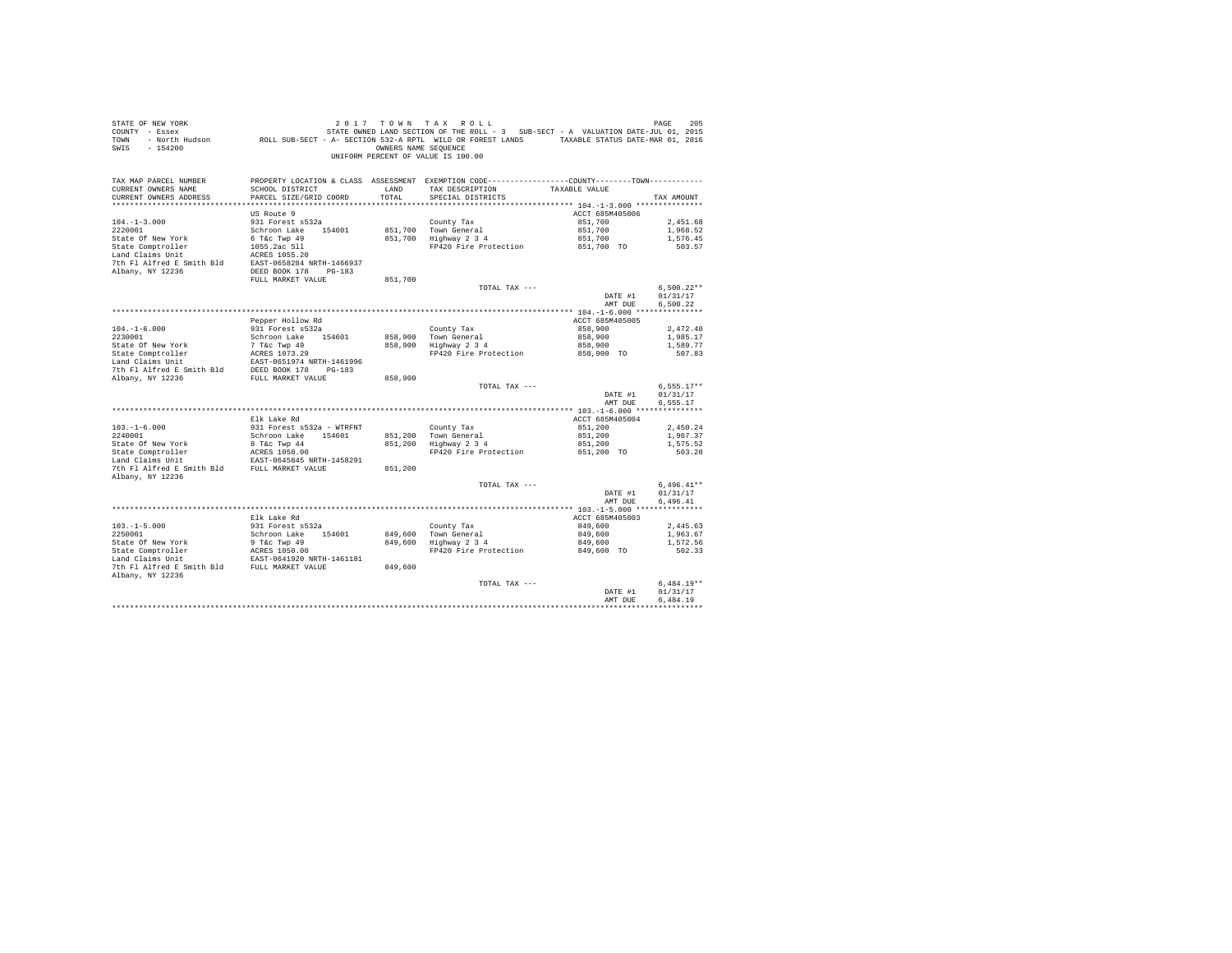| STATE OF NEW YORK<br>SWIS - 154200                                      |                                                               |               | 2017 TOWN TAX ROLL<br>OWNERS NAME SEQUENCE<br>UNIFORM PERCENT OF VALUE IS 100.00                                                                   |                                  | PAGE<br>205          |
|-------------------------------------------------------------------------|---------------------------------------------------------------|---------------|----------------------------------------------------------------------------------------------------------------------------------------------------|----------------------------------|----------------------|
| TAX MAP PARCEL NUMBER<br>CURRENT OWNERS NAME<br>CURRENT OWNERS ADDRESS  | SCHOOL DISTRICT<br>PARCEL SIZE/GRID COORD                     | LAND<br>TOTAL | PROPERTY LOCATION & CLASS ASSESSMENT EXEMPTION CODE---------------COUNTY-------TOWN---------<br>TAX DESCRIPTION TAXABLE VALUE<br>SPECIAL DISTRICTS |                                  | TAX AMOUNT           |
|                                                                         | US Route 9                                                    |               |                                                                                                                                                    | ACCT 685M405006                  |                      |
| $104. -1 - 3.000$                                                       | 931 Forest s532a                                              |               | County Tax                                                                                                                                         | 851,700                          | 2.451.68             |
| 2220001                                                                 | Schroon Lake 154601                                           |               | County Tax<br>851,700 Town General<br>851,700 Highway 2 3 4                                                                                        |                                  | 1,968.52             |
| State Of New York                                                       |                                                               |               |                                                                                                                                                    | 851,700<br>851,700               | 1,576.45             |
| State Comptroller                                                       | 6 T&C Twp 49<br>1055.2ac S11<br>ACRES 1055.20<br>1055.2ac Sll |               | FP420 Fire Protection 851,700 TO                                                                                                                   |                                  | 503.57               |
| Land Claims Unit                                                        |                                                               |               |                                                                                                                                                    |                                  |                      |
| 7th Fl Alfred E Smith Bld EAST-0658284 NRTH-1466937<br>Albany, NY 12236 | DEED BOOK 178 PG-183                                          |               |                                                                                                                                                    |                                  |                      |
|                                                                         | FULL MARKET VALUE                                             | 851,700       |                                                                                                                                                    |                                  |                      |
|                                                                         |                                                               |               | TOTAL TAX ---                                                                                                                                      |                                  | $6.500.22**$         |
|                                                                         |                                                               |               |                                                                                                                                                    | DATE #1                          | 01/31/17             |
|                                                                         |                                                               |               |                                                                                                                                                    | AMT DUE                          | 6,500.22             |
|                                                                         |                                                               |               |                                                                                                                                                    |                                  |                      |
|                                                                         | Pepper Hollow Rd                                              |               |                                                                                                                                                    | ACCT 685M405005                  |                      |
| $104. -1 - 6.000$                                                       | 931 Forest s532a<br>Schroon Lake 154601                       |               | County Tax<br>858,900 Town General<br>858,900 Highway 2 3 4                                                                                        | 858,900<br>858,900               | 2.472.40<br>1,985.17 |
|                                                                         |                                                               |               |                                                                                                                                                    | 858,900                          | 1,589.77             |
|                                                                         |                                                               |               | FP420 Fire Protection                                                                                                                              | 858,900 TO                       | 507.83               |
|                                                                         | EAST-0651974 NRTH-1461996                                     |               |                                                                                                                                                    |                                  |                      |
| 7th Fl Alfred E Smith Bld DEED BOOK 178 PG-183                          |                                                               |               |                                                                                                                                                    |                                  |                      |
| Albany, NY 12236                                                        | FULL MARKET VALUE                                             | 858,900       |                                                                                                                                                    |                                  |                      |
|                                                                         |                                                               |               | TOTAL TAX ---                                                                                                                                      |                                  | $6,555.17**$         |
|                                                                         |                                                               |               |                                                                                                                                                    | DATE #1<br>AMT DUE               | 01/31/17<br>6.555.17 |
|                                                                         |                                                               |               |                                                                                                                                                    |                                  |                      |
|                                                                         | Elk Lake Rd                                                   |               |                                                                                                                                                    | ACCT 685M405004                  |                      |
| $103.-1-6.000$<br>$2240001$                                             | 931 Forest s532a - WTRFNT                                     |               |                                                                                                                                                    | 851,200                          | 2,450.24             |
|                                                                         | Schroon Lake 154601                                           |               | County Tax<br>851,200 Town General<br>851,200 Highway 2 3 4                                                                                        | 851,200                          | 1,967.37             |
| State Of New York                                                       | 8 T&C Twp 44                                                  |               |                                                                                                                                                    | 851,200                          | 1,575.52             |
| State Comptroller<br>Land Claims Unit                                   | ACRES 1050.00<br>EAST-0645845 NRTH-1458291                    |               | FP420 Fire Protection                                                                                                                              | 851,200 TO                       | 503.28               |
| The Fig. of the Market VALUE<br>The Fig. of the Market VALUE            |                                                               | 851,200       |                                                                                                                                                    |                                  |                      |
| Albany, NY 12236                                                        |                                                               |               |                                                                                                                                                    |                                  |                      |
|                                                                         |                                                               |               | TOTAL TAX ---                                                                                                                                      |                                  | $6.496.41**$         |
|                                                                         |                                                               |               |                                                                                                                                                    | DATE #1                          | 01/31/17             |
|                                                                         |                                                               |               |                                                                                                                                                    | AMT DUE                          | 6.496.41             |
|                                                                         | Elk Lake Rd                                                   |               |                                                                                                                                                    | ACCT 685M405003                  |                      |
| $103. -1 - 5.000$                                                       | 931 Forest s532a                                              |               |                                                                                                                                                    | 849,600                          | 2,445.63             |
| 2250001                                                                 | Schroon Lake 154601                                           |               |                                                                                                                                                    |                                  | 1,963.67             |
|                                                                         |                                                               |               | County Tax<br>849,600 Town General<br>849,600 Highway 2 3 4                                                                                        | 849,600<br>849,600<br>849,600 TO | 1,572.56             |
|                                                                         |                                                               |               | FP420 Fire Protection                                                                                                                              |                                  | 502.33               |
|                                                                         |                                                               |               |                                                                                                                                                    |                                  |                      |
| 7th F1 Alfred E Smith Bld FULL MARKET VALUE                             |                                                               | 849,600       |                                                                                                                                                    |                                  |                      |
| Albany, NY 12236                                                        |                                                               |               | TOTAL TAX ---                                                                                                                                      |                                  | $6.484.19**$         |
|                                                                         |                                                               |               |                                                                                                                                                    | DATE #1                          | 01/31/17             |
|                                                                         |                                                               |               |                                                                                                                                                    | AMT DUE                          | 6.484.19             |
|                                                                         |                                                               |               |                                                                                                                                                    |                                  | ************         |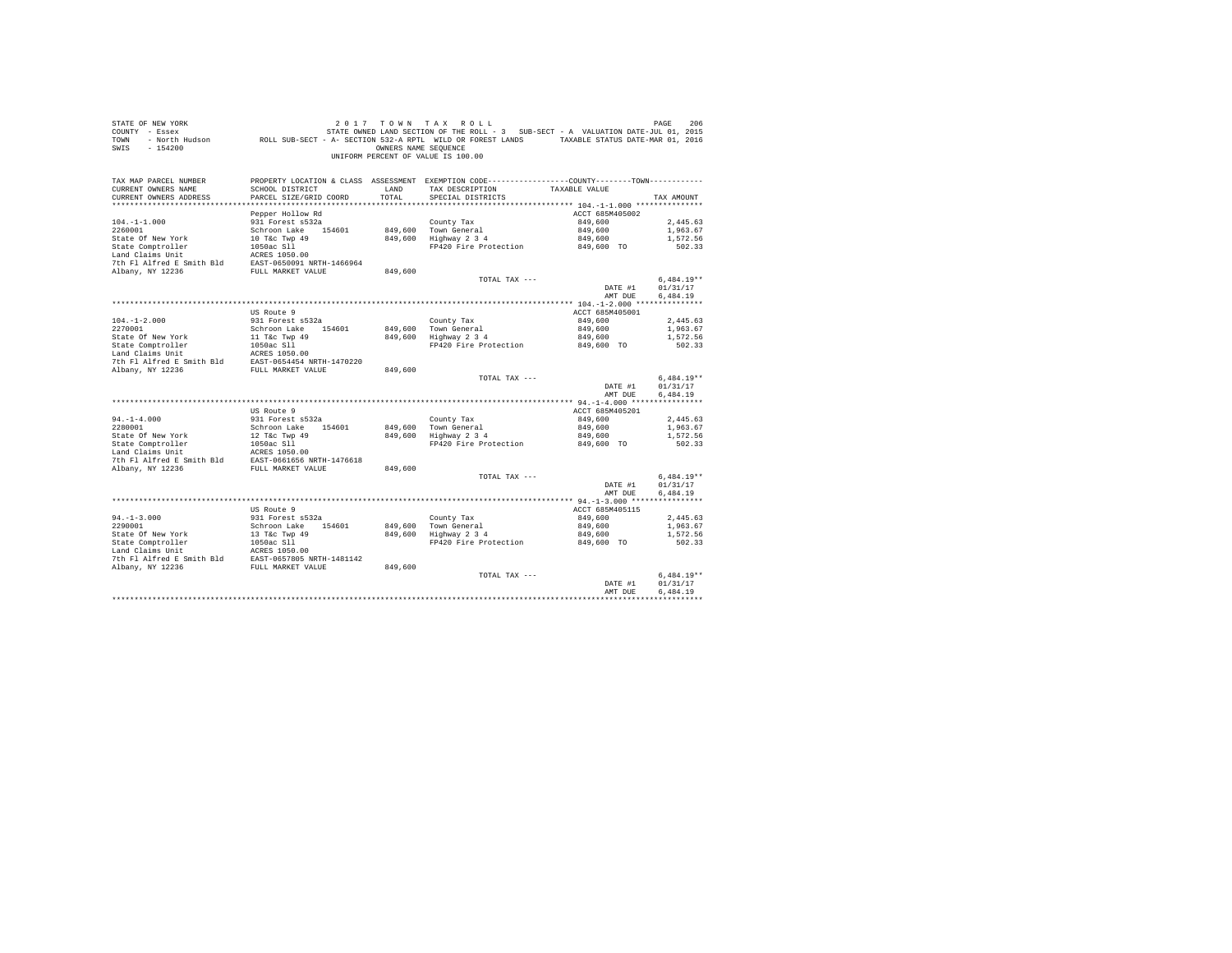| STATE OF NEW YORK<br>COUNTY - Essex<br>TOWN<br>$-154200$<br>SWIS                                                                                                  |                                              | OWNERS NAME SEOUENCE | 2017 TOWN TAX ROLL<br>UNIFORM PERCENT OF VALUE IS 100.00                                                          |                 | PAGE<br>206  |
|-------------------------------------------------------------------------------------------------------------------------------------------------------------------|----------------------------------------------|----------------------|-------------------------------------------------------------------------------------------------------------------|-----------------|--------------|
| TAX MAP PARCEL NUMBER<br>CURRENT OWNERS NAME                                                                                                                      | SCHOOL DISTRICT                              | LAND                 | PROPERTY LOCATION & CLASS ASSESSMENT EXEMPTION CODE----------------COUNTY-------TOWN----------<br>TAX DESCRIPTION | TAXABLE VALUE   |              |
| CURRENT OWNERS ADDRESS                                                                                                                                            | PARCEL SIZE/GRID COORD                       | TOTAL                | SPECIAL DISTRICTS                                                                                                 |                 | TAX AMOUNT   |
|                                                                                                                                                                   |                                              |                      |                                                                                                                   |                 |              |
|                                                                                                                                                                   | Pepper Hollow Rd                             |                      |                                                                                                                   | ACCT 685M405002 |              |
| $104. - 1 - 1.000$                                                                                                                                                | 931 Forest s532a                             |                      | County Tax                                                                                                        | 849,600         | 2.445.63     |
| 2260001                                                                                                                                                           | Schroon Lake 154601                          |                      | 849,600 Town General<br>849,600 Highway 2 3 4                                                                     | 849,600         | 1,963.67     |
| State Of New York                                                                                                                                                 | 10 T&C Twp 49<br>10 T&C Twp 49<br>1050ac Sll |                      |                                                                                                                   | 849,600         | 1,572.56     |
| State Comptroller<br>Land Claims Unit                                                                                                                             | ACRES 1050.00                                |                      | FP420 Fire Protection 849,600 TO                                                                                  |                 | 502.33       |
| 7th Fl Alfred E Smith Bld EAST-0650091 NRTH-1466964                                                                                                               |                                              |                      |                                                                                                                   |                 |              |
| Albany, NY 12236                                                                                                                                                  | FULL MARKET VALUE                            | 849,600              |                                                                                                                   |                 |              |
|                                                                                                                                                                   |                                              |                      | TOTAL TAX ---                                                                                                     |                 | $6.484.19**$ |
|                                                                                                                                                                   |                                              |                      |                                                                                                                   | DATE #1         | 01/31/17     |
|                                                                                                                                                                   |                                              |                      |                                                                                                                   | AMT DUE         | 6,484.19     |
|                                                                                                                                                                   |                                              |                      |                                                                                                                   |                 |              |
|                                                                                                                                                                   | US Route 9                                   |                      |                                                                                                                   | ACCT 685M405001 |              |
| $104. - 1 - 2.000$                                                                                                                                                | 931 Forest s532a                             |                      | County Tax                                                                                                        | 849,600         | 2,445.63     |
| 2270001                                                                                                                                                           | Schroon Lake 154601                          |                      | 849,600 Town General<br>849,600 Highway 2 3 4                                                                     | 849,600         | 1,963.67     |
| State Of New York                                                                                                                                                 | 11 T&C Twp 49<br>1050ac S11                  |                      |                                                                                                                   | 849,600         | 1,572.56     |
| State Comptroller<br>Land Claims Unit                                                                                                                             | ACRES 1050.00                                |                      | FP420 Fire Protection 849,600 TO                                                                                  |                 | 502.33       |
|                                                                                                                                                                   |                                              |                      |                                                                                                                   |                 |              |
| 7th F1 Alfred E Smith Bld<br>RAST-0654454 NRTH-1470220<br>RUbany, NY 12236<br>FULL MARKET VALUE                                                                   |                                              | 849,600              |                                                                                                                   |                 |              |
|                                                                                                                                                                   |                                              |                      | TOTAL TAX ---                                                                                                     |                 | $6,484.19**$ |
|                                                                                                                                                                   |                                              |                      |                                                                                                                   | DATE #1         | 01/31/17     |
|                                                                                                                                                                   |                                              |                      |                                                                                                                   | AMT DUE         | 6,484.19     |
|                                                                                                                                                                   |                                              |                      |                                                                                                                   |                 |              |
|                                                                                                                                                                   | US Route 9                                   |                      |                                                                                                                   | ACCT 685M405201 |              |
| $94. -1 - 4.000$                                                                                                                                                  | 931 Forest s532a                             |                      | County Tax                                                                                                        | 849,600         | 2,445.63     |
| 2280001                                                                                                                                                           | Schroon Lake 154601                          |                      | 849,600 Town General<br>849,600 Highway 2 3 4                                                                     | 849,600         | 1,963.67     |
|                                                                                                                                                                   | 12 T&C Twp 49<br>1050ac Sll                  |                      | FP420 Fire Protection 849,600 TO                                                                                  | 849,600         | 1,572.56     |
| 2280001<br>State Of New York<br>State Comptroller                                                                                                                 |                                              |                      |                                                                                                                   |                 | 502.33       |
| $\begin{tabular}{llll} \texttt{Land Claus Unit} & \texttt{ACRES 1050.00} \\ \texttt{7th Fl Alfred E Smith Bd} & \texttt{EAST-0661656 NRTH-1476618} \end{tabular}$ |                                              |                      |                                                                                                                   |                 |              |
| Albany, NY 12236                                                                                                                                                  | FULL MARKET VALUE                            | 849,600              |                                                                                                                   |                 |              |
|                                                                                                                                                                   |                                              |                      | TOTAL TAX ---                                                                                                     |                 | $6.484.19**$ |
|                                                                                                                                                                   |                                              |                      |                                                                                                                   | DATE #1         | 01/31/17     |
|                                                                                                                                                                   |                                              |                      |                                                                                                                   | AMT DUE         | 6.484.19     |
|                                                                                                                                                                   |                                              |                      |                                                                                                                   |                 |              |
|                                                                                                                                                                   | US Route 9                                   |                      |                                                                                                                   | ACCT 685M405115 |              |
| $94. -1 - 3.000$                                                                                                                                                  | 931 Forest s532a                             |                      | County Tax                                                                                                        | 849,600         | 2,445.63     |
| 2290001<br>State Of New York<br>State Comptroller<br>And Init                                                                                                     | Schroon Lake 154601                          |                      | 849,600 Town General<br>849,600 Highway 2 3 4                                                                     | 849,600         | 1,963.67     |
|                                                                                                                                                                   | 13 T&C Twp 49<br>1050ac S11<br>ACRES 1050.00 |                      |                                                                                                                   | 849,600         | 1,572.56     |
|                                                                                                                                                                   |                                              |                      | FP420 Fire Protection                                                                                             | 849,600 TO      | 502.33       |
|                                                                                                                                                                   |                                              |                      |                                                                                                                   |                 |              |
| 7th F1 Alfred E Smith Bld<br>2. EAST-0657805 NRTH-1481142<br>Ribany, NY 12236<br>FULL MARKET VALUE 849,600                                                        |                                              |                      |                                                                                                                   |                 |              |
|                                                                                                                                                                   |                                              |                      | TOTAL TAX ---                                                                                                     |                 | $6.484.19**$ |
|                                                                                                                                                                   |                                              |                      |                                                                                                                   | DATE #1         | 01/31/17     |
|                                                                                                                                                                   |                                              |                      |                                                                                                                   | AMT DUE         | 6.484.19     |
|                                                                                                                                                                   |                                              |                      |                                                                                                                   |                 |              |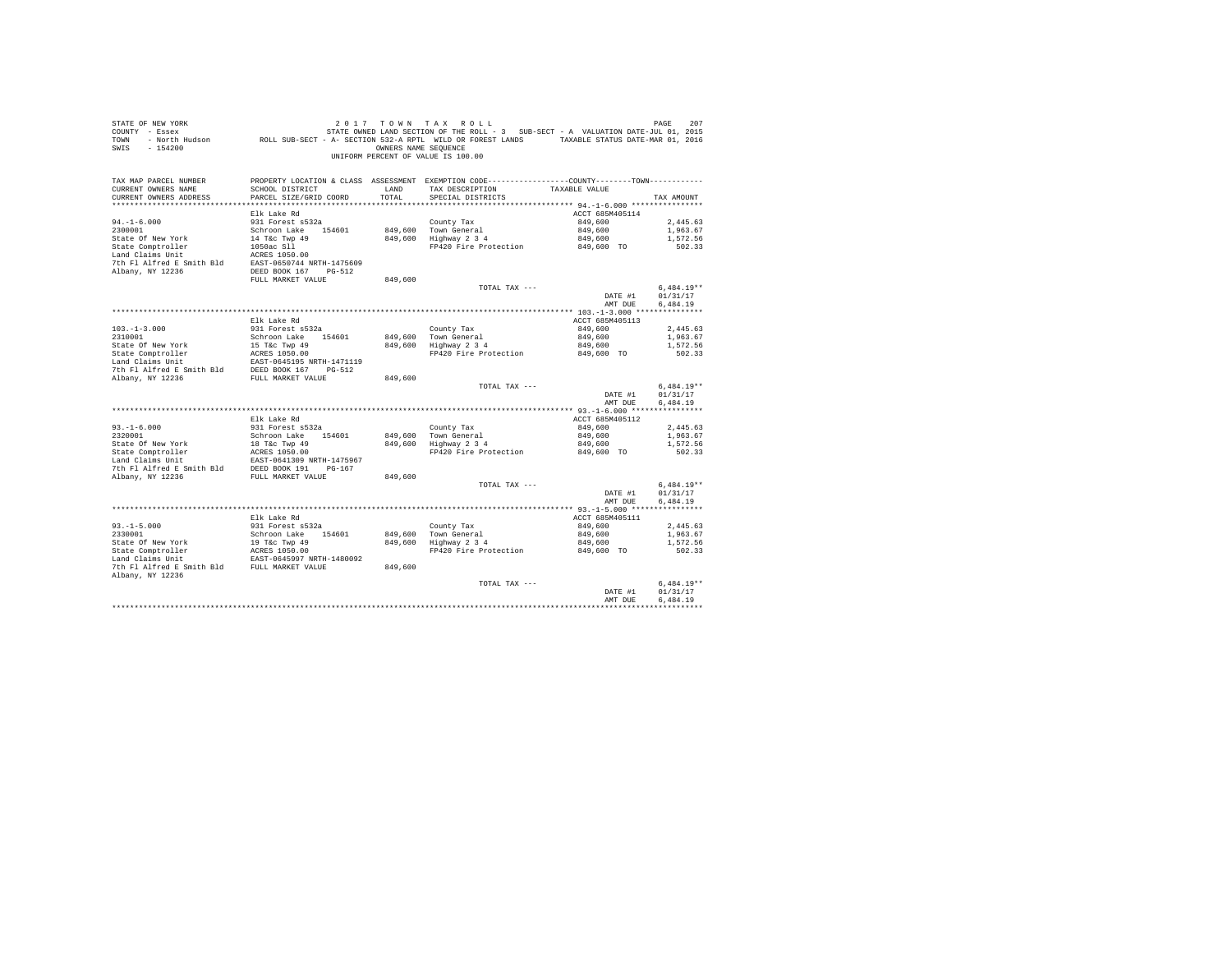| STATE OF NEW YORK<br>SWIS - 154200                                                                                                                                                                                    |                        |         | 2017 TOWN TAX ROLL<br>OWNERS NAME SEOUENCE<br>UNIFORM PERCENT OF VALUE IS 100.00                                              |                    | PAGE<br>207              |
|-----------------------------------------------------------------------------------------------------------------------------------------------------------------------------------------------------------------------|------------------------|---------|-------------------------------------------------------------------------------------------------------------------------------|--------------------|--------------------------|
| TAX MAP PARCEL NUMBER<br>CURRENT OWNERS NAME                                                                                                                                                                          | SCHOOL DISTRICT        | LAND    | PROPERTY LOCATION & CLASS ASSESSMENT EXEMPTION CODE---------------COUNTY-------TOWN---------<br>TAX DESCRIPTION TAXABLE VALUE |                    |                          |
| CURRENT OWNERS ADDRESS                                                                                                                                                                                                | PARCEL SIZE/GRID COORD | TOTAL   | SPECIAL DISTRICTS                                                                                                             |                    | TAX AMOUNT               |
|                                                                                                                                                                                                                       |                        |         |                                                                                                                               |                    |                          |
|                                                                                                                                                                                                                       | Elk Lake Rd            |         |                                                                                                                               | ACCT 685M405114    |                          |
| $94. -1 - 6.000$<br>2300001                                                                                                                                                                                           | 931 Forest s532a       |         | County Tax<br>849,600 Town General<br>849,600 Highway 2 3 4                                                                   | 849,600            | 2.445.63                 |
|                                                                                                                                                                                                                       | Schroon Lake 154601    |         |                                                                                                                               | 849,600            | 1,963.67<br>1,572.56     |
|                                                                                                                                                                                                                       |                        |         |                                                                                                                               | 849,600            |                          |
|                                                                                                                                                                                                                       |                        |         | FP420 Fire Protection 849,600 TO                                                                                              |                    | 502.33                   |
| State of New York<br>14 Tac Twp 49<br>State Comptroller<br>14 Tac Twp 49<br>1650ac Sll<br>14 Tac Twp 49<br>20050744 NRTH-1475609<br>7th Fl Alfred E Smith Bld<br>EAST-0550744 NRTH-1475609                            |                        |         |                                                                                                                               |                    |                          |
| Albany, NY 12236                                                                                                                                                                                                      | DEED BOOK 167 PG-512   |         |                                                                                                                               |                    |                          |
|                                                                                                                                                                                                                       | FULL MARKET VALUE      | 849,600 |                                                                                                                               |                    |                          |
|                                                                                                                                                                                                                       |                        |         | TOTAL TAX ---                                                                                                                 |                    | $6.484.19**$             |
|                                                                                                                                                                                                                       |                        |         |                                                                                                                               | DATE #1            | 01/31/17                 |
|                                                                                                                                                                                                                       |                        |         |                                                                                                                               | AMT DUE            | 6,484.19                 |
|                                                                                                                                                                                                                       |                        |         |                                                                                                                               |                    |                          |
|                                                                                                                                                                                                                       | Elk Lake Rd            |         |                                                                                                                               | ACCT 685M405113    |                          |
| $103.-1-3.000$<br>$2310001$                                                                                                                                                                                           | 931 Forest s532a       |         |                                                                                                                               | 849,600            | 2,445.63                 |
|                                                                                                                                                                                                                       | Schroon Lake 154601    |         | County Tax<br>849,600 Town General<br>849,600 Highway 2 3 4                                                                   | 849,600            | 1,963.67                 |
|                                                                                                                                                                                                                       |                        |         |                                                                                                                               | 849,600            | 1,572.56                 |
|                                                                                                                                                                                                                       |                        |         | FP420 Fire Protection 849,600 TO                                                                                              |                    | 502.33                   |
| State of New York 15 Tac Twp 49<br>State Comptroller 2 ACRES 1050.00<br>Land Claims Unit 2 RAST-0645195 NRTH-1471119<br>Jan Claims Unit 2 RAST-0645195 NRTH-1471119<br>7th Fl Alfred E Smith Bld DEED BOOK 167 PG-512 |                        |         |                                                                                                                               |                    |                          |
|                                                                                                                                                                                                                       |                        |         |                                                                                                                               |                    |                          |
| Albany, NY 12236                                                                                                                                                                                                      | FULL MARKET VALUE      | 849,600 | TOTAL TAX ---                                                                                                                 |                    |                          |
|                                                                                                                                                                                                                       |                        |         |                                                                                                                               | DATE #1            | $6,484.19**$<br>01/31/17 |
|                                                                                                                                                                                                                       |                        |         |                                                                                                                               | AMT DUE            | 6,484.19                 |
|                                                                                                                                                                                                                       |                        |         |                                                                                                                               |                    |                          |
|                                                                                                                                                                                                                       | Elk Lake Rd            |         |                                                                                                                               | ACCT 685M405112    |                          |
|                                                                                                                                                                                                                       | 931 Forest s532a       |         |                                                                                                                               | 849,600            | 2.445.63                 |
| $93. -1 - 6.000$<br>2320001                                                                                                                                                                                           | Schroon Lake 154601    |         | County Tax<br>849,600 Town General<br>849,600 Highway 2 3 4                                                                   | 849,600            | 1,963.67                 |
|                                                                                                                                                                                                                       |                        |         |                                                                                                                               | 849,600            | 1,572.56                 |
|                                                                                                                                                                                                                       |                        |         | FP420 Fire Protection                                                                                                         | 849,600 TO         | 502.33                   |
|                                                                                                                                                                                                                       |                        |         |                                                                                                                               |                    |                          |
|                                                                                                                                                                                                                       |                        |         |                                                                                                                               |                    |                          |
| Albany, NY 12236                                                                                                                                                                                                      | FULL MARKET VALUE      | 849,600 |                                                                                                                               |                    |                          |
|                                                                                                                                                                                                                       |                        |         | TOTAL TAX ---                                                                                                                 |                    | $6.484.19**$             |
|                                                                                                                                                                                                                       |                        |         |                                                                                                                               | DATE #1            | 01/31/17                 |
|                                                                                                                                                                                                                       |                        |         |                                                                                                                               | AMT DUE            | 6.484.19                 |
|                                                                                                                                                                                                                       | Elk Lake Rd            |         |                                                                                                                               | ACCT 685M405111    |                          |
|                                                                                                                                                                                                                       | 931 Forest s532a       |         |                                                                                                                               | 849,600            | 2,445.63                 |
| $93. -1 - 5.000$<br>2330001                                                                                                                                                                                           | Schroon Lake 154601    |         |                                                                                                                               |                    | 1,963.67                 |
| State Of New York                                                                                                                                                                                                     |                        |         | County Tax<br>849,600 Town General<br>849,600 Highway 2 3 4                                                                   | 849,600<br>849,600 | 1,572.56                 |
| State Of New York<br>State Comptroller<br>Land Claims Unit (EAST-0645997 NRTH-1480092)                                                                                                                                |                        |         | FP420 Fire Protection                                                                                                         | 849,600 TO         | 502.33                   |
|                                                                                                                                                                                                                       |                        |         |                                                                                                                               |                    |                          |
| 7th F1 Alfred E Smith Bld FULL MARKET VALUE                                                                                                                                                                           |                        | 849,600 |                                                                                                                               |                    |                          |
| Albany, NY 12236                                                                                                                                                                                                      |                        |         |                                                                                                                               |                    |                          |
|                                                                                                                                                                                                                       |                        |         | TOTAL TAX ---                                                                                                                 |                    | $6.484.19**$             |
|                                                                                                                                                                                                                       |                        |         |                                                                                                                               | DATE #1            | 01/31/17                 |
|                                                                                                                                                                                                                       |                        |         |                                                                                                                               | AMT DUE            | 6.484.19                 |
|                                                                                                                                                                                                                       |                        |         |                                                                                                                               |                    |                          |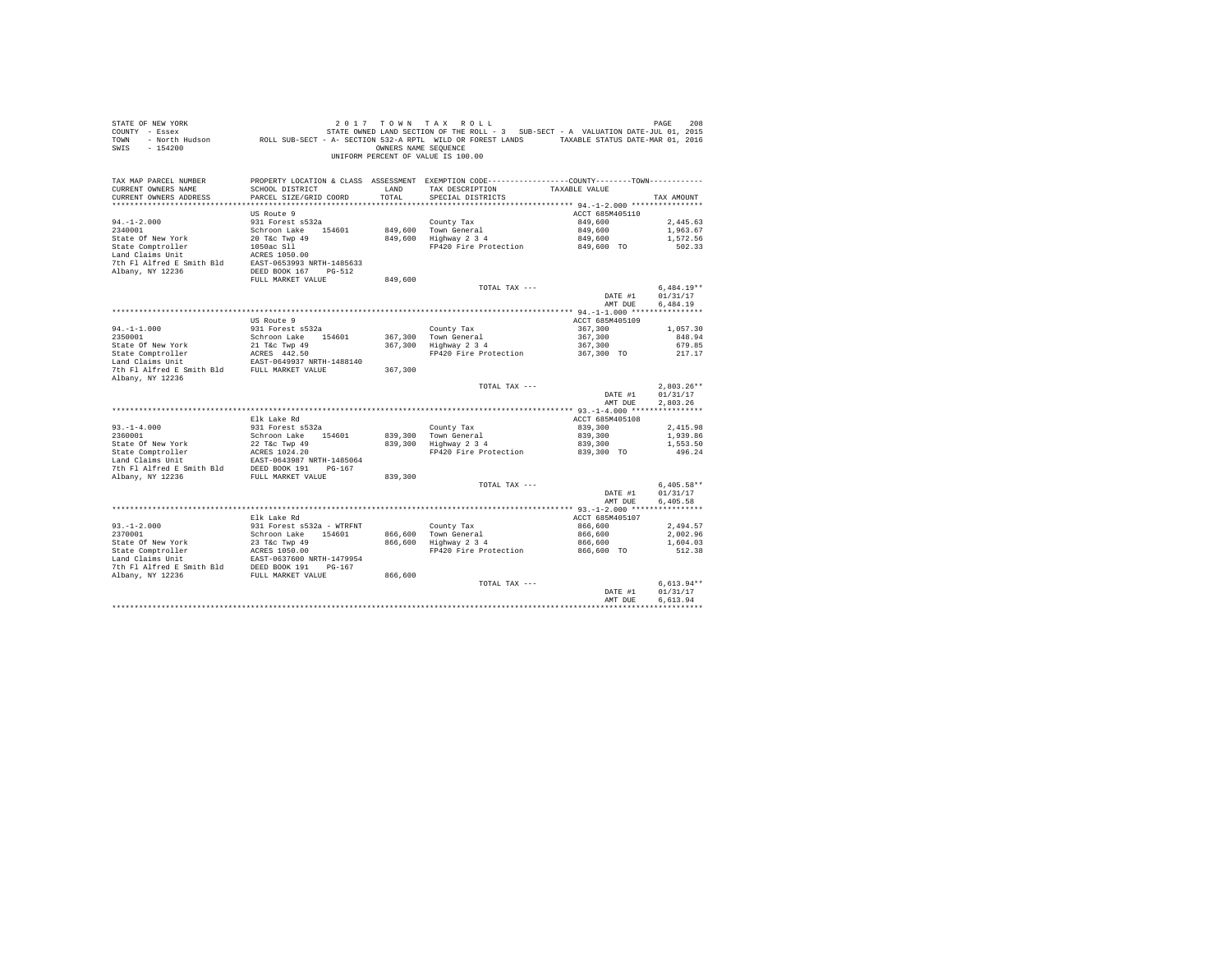| $\begin{array}{ccccccccc} \texttt{STATE OF NEW YORK} & \texttt{ORW} & \texttt{T} & \texttt{A} & \texttt{R} & \texttt{S} & \texttt{L} & \texttt{L} & \texttt{D} & \texttt{R} & \texttt{R} & \texttt{R} & \texttt{S} & \texttt{R} & \texttt{S} & \texttt{R} & \texttt{S} & \texttt{S} & \texttt{S} & \texttt{S} & \texttt{S} & \texttt{S} & \texttt{S} & \texttt{S} & \texttt{S} & \texttt{S} & \texttt{S} & \texttt{S} & \texttt{S} & \texttt$<br>SWIS - 154200 |                                                                                                                 |         | OWNERS NAME SEQUENCE<br>UNIFORM PERCENT OF VALUE IS 100.00 |                       |                      |
|----------------------------------------------------------------------------------------------------------------------------------------------------------------------------------------------------------------------------------------------------------------------------------------------------------------------------------------------------------------------------------------------------------------------------------------------------------------|-----------------------------------------------------------------------------------------------------------------|---------|------------------------------------------------------------|-----------------------|----------------------|
| TAX MAP PARCEL NUMBER<br>CURRENT OWNERS NAME                                                                                                                                                                                                                                                                                                                                                                                                                   | PROPERTY LOCATION & CLASS ASSESSMENT EXEMPTION CODE---------------COUNTY-------TOWN---------<br>SCHOOL DISTRICT | LAND    | TAX DESCRIPTION TAXABLE VALUE                              |                       |                      |
| CURRENT OWNERS ADDRESS                                                                                                                                                                                                                                                                                                                                                                                                                                         | PARCEL SIZE/GRID COORD                                                                                          | TOTAL   | SPECIAL DISTRICTS                                          |                       | TAX AMOUNT           |
|                                                                                                                                                                                                                                                                                                                                                                                                                                                                |                                                                                                                 |         |                                                            |                       |                      |
|                                                                                                                                                                                                                                                                                                                                                                                                                                                                | US Route 9                                                                                                      |         |                                                            | ACCT 685M405110       |                      |
| $94. -1 - 2.000$                                                                                                                                                                                                                                                                                                                                                                                                                                               | 931 Forest s532a                                                                                                |         | County Tax                                                 | 849,600               | 2.445.63             |
| 2340001                                                                                                                                                                                                                                                                                                                                                                                                                                                        | Schroon Lake 154601                                                                                             |         | 849,600 Town General                                       | 849,600               | 1,963.67             |
| State Of New York                                                                                                                                                                                                                                                                                                                                                                                                                                              | 20 T&C Twp 49                                                                                                   |         | 849,600 Highway 2 3 4                                      | 849,600               | 1,572.56             |
|                                                                                                                                                                                                                                                                                                                                                                                                                                                                |                                                                                                                 |         | FP420 Fire Protection                                      | 849,600 TO            | 502.33               |
| 10 T&C Twp 49<br>State Comptroller 1050ac S11<br>Land Claims Unit 1050ac S11                                                                                                                                                                                                                                                                                                                                                                                   |                                                                                                                 |         |                                                            |                       |                      |
| 7th Fl Alfred E Smith Bld EAST-0653993 NRTH-1485633                                                                                                                                                                                                                                                                                                                                                                                                            |                                                                                                                 |         |                                                            |                       |                      |
| Albany, NY 12236                                                                                                                                                                                                                                                                                                                                                                                                                                               | DEED BOOK 167 PG-512                                                                                            |         |                                                            |                       |                      |
|                                                                                                                                                                                                                                                                                                                                                                                                                                                                | FULL MARKET VALUE                                                                                               | 849,600 |                                                            |                       |                      |
|                                                                                                                                                                                                                                                                                                                                                                                                                                                                |                                                                                                                 |         | TOTAL TAX ---                                              |                       | $6.484.19**$         |
|                                                                                                                                                                                                                                                                                                                                                                                                                                                                |                                                                                                                 |         |                                                            | DATE #1<br>AMT DUE    | 01/31/17<br>6.484.19 |
|                                                                                                                                                                                                                                                                                                                                                                                                                                                                |                                                                                                                 |         |                                                            |                       |                      |
|                                                                                                                                                                                                                                                                                                                                                                                                                                                                | US Route 9                                                                                                      |         |                                                            | ACCT 685M405109       |                      |
| $94. -1 - 1.000$                                                                                                                                                                                                                                                                                                                                                                                                                                               | 931 Forest s532a                                                                                                |         | County Tax                                                 | 367,300               | 1,057.30             |
| 2350001                                                                                                                                                                                                                                                                                                                                                                                                                                                        | Schroon Lake 154601                                                                                             |         | 367.300 Town General                                       | 367,300               | 848.94               |
|                                                                                                                                                                                                                                                                                                                                                                                                                                                                |                                                                                                                 |         | 367,300 Highway 2 3 4                                      | 367,300               | 679.85               |
|                                                                                                                                                                                                                                                                                                                                                                                                                                                                |                                                                                                                 |         | FP420 Fire Protection                                      | 367,300 TO            | 217.17               |
| State Of New York 21 T&C Twp 49<br>State Comptroller 21 T&C Twp 49<br>Land Claims Unit EAST-0649937 NRTH-1488140<br>7th Fl Alfred E Smith Bld FULL MARKET VALUE<br>Albany, NY 12236                                                                                                                                                                                                                                                                            |                                                                                                                 | 367,300 |                                                            |                       |                      |
|                                                                                                                                                                                                                                                                                                                                                                                                                                                                |                                                                                                                 |         | TOTAL TAX ---                                              |                       | $2.803.26**$         |
|                                                                                                                                                                                                                                                                                                                                                                                                                                                                |                                                                                                                 |         |                                                            | DATE #1               | 01/31/17             |
|                                                                                                                                                                                                                                                                                                                                                                                                                                                                |                                                                                                                 |         |                                                            | AMT DUE               | 2.803.26             |
|                                                                                                                                                                                                                                                                                                                                                                                                                                                                |                                                                                                                 |         |                                                            |                       |                      |
|                                                                                                                                                                                                                                                                                                                                                                                                                                                                | Elk Lake Rd                                                                                                     |         |                                                            | ACCT 685M405108       |                      |
| $93. -1 - 4.000$                                                                                                                                                                                                                                                                                                                                                                                                                                               | 931 Forest s532a                                                                                                |         | County Tax                                                 | 839,300               | 2,415.98             |
| 2360001                                                                                                                                                                                                                                                                                                                                                                                                                                                        | Schroon Lake 154601                                                                                             |         | 839,300 Town General<br>839,300 Highway 2 3 4              | 839,300               | 1,939.86             |
| State Of New York                                                                                                                                                                                                                                                                                                                                                                                                                                              | 22 T&c Twp 49                                                                                                   |         | FP420 Fire Protection                                      | 839,300<br>839,300 TO | 1,553.50<br>496.24   |
|                                                                                                                                                                                                                                                                                                                                                                                                                                                                |                                                                                                                 |         |                                                            |                       |                      |
|                                                                                                                                                                                                                                                                                                                                                                                                                                                                |                                                                                                                 |         |                                                            |                       |                      |
| Albany, NY 12236                                                                                                                                                                                                                                                                                                                                                                                                                                               | FULL MARKET VALUE                                                                                               | 839,300 |                                                            |                       |                      |
|                                                                                                                                                                                                                                                                                                                                                                                                                                                                |                                                                                                                 |         | TOTAL TAX ---                                              |                       | $6.405.58**$         |
|                                                                                                                                                                                                                                                                                                                                                                                                                                                                |                                                                                                                 |         |                                                            | DATE #1               | 01/31/17             |
|                                                                                                                                                                                                                                                                                                                                                                                                                                                                |                                                                                                                 |         |                                                            | AMT DUE               | 6,405.58             |
|                                                                                                                                                                                                                                                                                                                                                                                                                                                                |                                                                                                                 |         |                                                            |                       |                      |
|                                                                                                                                                                                                                                                                                                                                                                                                                                                                | Elk Lake Rd                                                                                                     |         |                                                            | ACCT 685M405107       |                      |
| $93. - 1 - 2.000$                                                                                                                                                                                                                                                                                                                                                                                                                                              | 931 Forest s532a - WTRFNT                                                                                       |         | County Tax                                                 | 866,600               | 2,494.57             |
| 2370001                                                                                                                                                                                                                                                                                                                                                                                                                                                        | Schroon Lake 154601 866,600 Town General<br>23 T&c Twp 49 866,600 Highway 2 3 4                                 |         |                                                            | 866,600               | 2.002.96             |
| State Of New York                                                                                                                                                                                                                                                                                                                                                                                                                                              | 23 T&c Twp 49                                                                                                   |         |                                                            | 866,600               | 1,604.03             |
|                                                                                                                                                                                                                                                                                                                                                                                                                                                                |                                                                                                                 |         | FP420 Fire Protection                                      | 866,600 TO            | 512.38               |
| 7th Fl Alfred E Smith Bld DEED BOOK 191 PG-167                                                                                                                                                                                                                                                                                                                                                                                                                 | EAST-0637600 NRTH-1479954                                                                                       |         |                                                            |                       |                      |
| Albany, NY 12236                                                                                                                                                                                                                                                                                                                                                                                                                                               | FULL MARKET VALUE                                                                                               | 866,600 |                                                            |                       |                      |
|                                                                                                                                                                                                                                                                                                                                                                                                                                                                |                                                                                                                 |         | TOTAL TAX ---                                              |                       | $6.613.94**$         |
|                                                                                                                                                                                                                                                                                                                                                                                                                                                                |                                                                                                                 |         |                                                            | DATE #1               | 01/31/17             |
|                                                                                                                                                                                                                                                                                                                                                                                                                                                                |                                                                                                                 |         |                                                            | AMT DUE               | 6.613.94             |
|                                                                                                                                                                                                                                                                                                                                                                                                                                                                |                                                                                                                 |         |                                                            |                       |                      |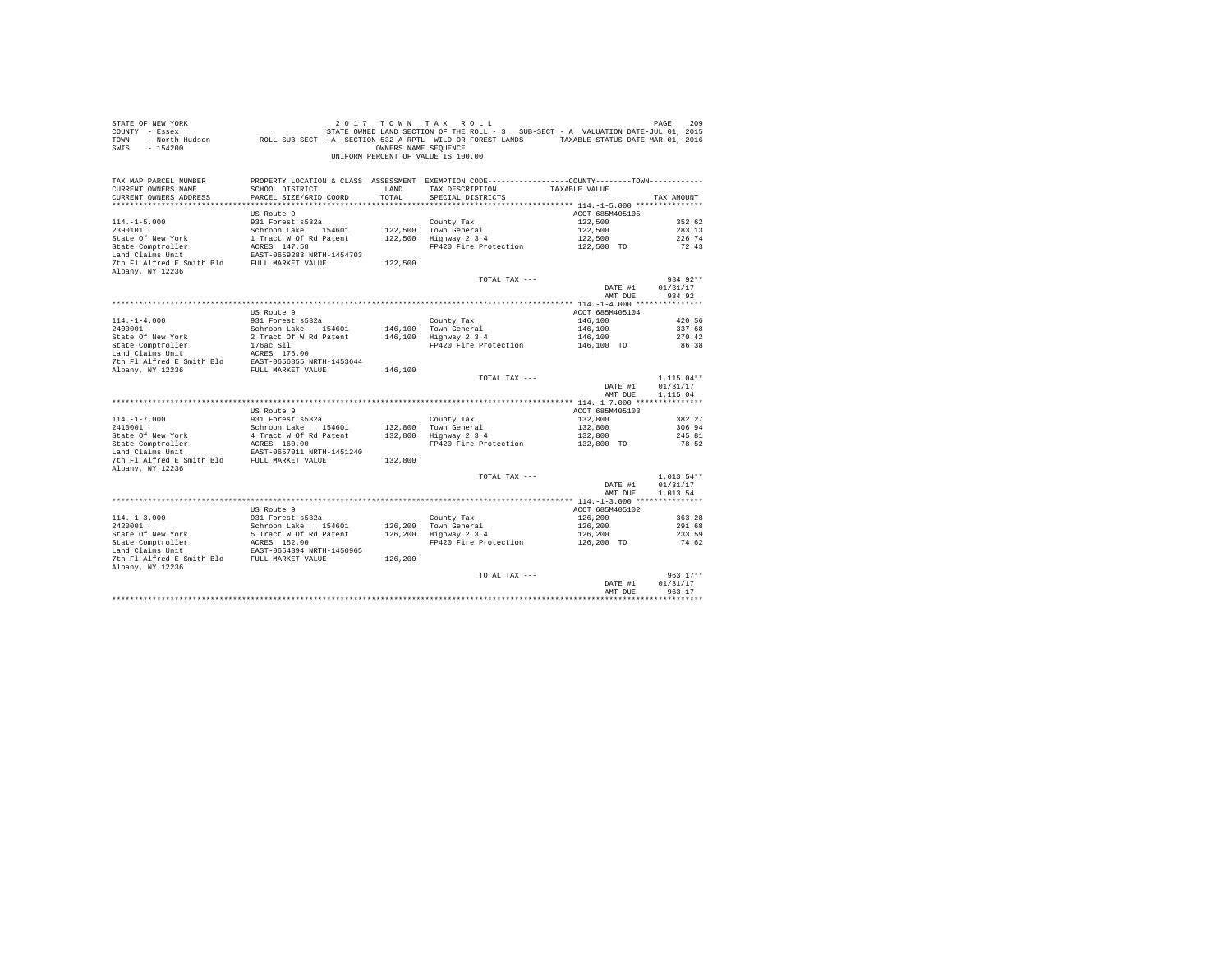| STATE OF NEW YORK<br>COUNTY - Essex<br>TOWN<br>$-154200$<br>SWIS                                                           |                                                                     | OWNERS NAME SEOUENCE | 2017 TOWN TAX ROLL<br>STATE OWNED LAND SECTION OF THE ROLL - 3 SUB-SECT - A VALUATION DATE-JUL 01, 2015<br>- North Hudson ROLL SUB-SECT - A- SECTION 532-A RPTL WILD OR FOREST LANDS TAXABLE STATUS DATE-MAR 01, 2016<br>UNIFORM PERCENT OF VALUE IS 100.00 |                            | PAGE<br>209                          |
|----------------------------------------------------------------------------------------------------------------------------|---------------------------------------------------------------------|----------------------|-------------------------------------------------------------------------------------------------------------------------------------------------------------------------------------------------------------------------------------------------------------|----------------------------|--------------------------------------|
| TAX MAP PARCEL NUMBER<br>CURRENT OWNERS NAME<br>CURRENT OWNERS ADDRESS                                                     | SCHOOL DISTRICT<br>PARCEL SIZE/GRID COORD                           | LAND<br>TOTAL        | PROPERTY LOCATION & CLASS ASSESSMENT EXEMPTION CODE----------------COUNTY-------TOWN----------<br>TAX DESCRIPTION<br>SPECIAL DISTRICTS                                                                                                                      | TAXABLE VALUE              | TAX AMOUNT                           |
|                                                                                                                            | US Route 9                                                          |                      |                                                                                                                                                                                                                                                             | ACCT 685M405105            |                                      |
| $114. -1 - 5.000$                                                                                                          | 931 Forest s532a                                                    |                      | County Tax                                                                                                                                                                                                                                                  | 122,500                    | 352.62                               |
| 2390101                                                                                                                    | Schroon Lake 154601                                                 |                      | 122,500 Town General                                                                                                                                                                                                                                        | 122,500                    | 283.13                               |
| State Of New York                                                                                                          | 1 Tract W Of Rd Patent                                              |                      | 122,500 Highway 2 3 4                                                                                                                                                                                                                                       | 122,500                    | 226.74                               |
| State Comptroller                                                                                                          | ACRES 147.58                                                        |                      | FP420 Fire Protection                                                                                                                                                                                                                                       | 122,500 TO                 | 72.43                                |
| Land Claims Unit                                                                                                           | EAST-0659283 NRTH-1454703                                           |                      |                                                                                                                                                                                                                                                             |                            |                                      |
| 7th Fl Alfred E Smith Bld FULL MARKET VALUE<br>Albany, NY 12236                                                            |                                                                     | 122,500              |                                                                                                                                                                                                                                                             |                            |                                      |
|                                                                                                                            |                                                                     |                      | TOTAL TAX ---                                                                                                                                                                                                                                               |                            | $934.92**$                           |
|                                                                                                                            |                                                                     |                      |                                                                                                                                                                                                                                                             | DATE #1                    | 01/31/17                             |
|                                                                                                                            |                                                                     |                      |                                                                                                                                                                                                                                                             | AMT DUE                    | 934.92                               |
|                                                                                                                            |                                                                     |                      |                                                                                                                                                                                                                                                             |                            |                                      |
| $114. - 1 - 4.000$                                                                                                         | US Route 9<br>931 Forest s532a                                      |                      | County Tax                                                                                                                                                                                                                                                  | ACCT 685M405104<br>146,100 | 420.56                               |
| 2400001                                                                                                                    | Schroon Lake 154601                                                 |                      |                                                                                                                                                                                                                                                             | 146,100                    | 337.68                               |
| State Of New York                                                                                                          | 2 Tract Of W Rd Patent                                              |                      | 146,100 Town General<br>146,100 Highway 2 3 4                                                                                                                                                                                                               | 146,100                    | 270.42                               |
|                                                                                                                            | 176ac Sll                                                           |                      | FP420 Fire Protection                                                                                                                                                                                                                                       | 146,100 TO                 | 86.38                                |
| State Comptroller<br>Land Claims Unit                                                                                      |                                                                     |                      |                                                                                                                                                                                                                                                             |                            |                                      |
| Land Claims Unit MERES 176.00<br>7th F1 Alfred E Smith Bld EAST-0656855 NRTH-1453644<br>Albany, NY 12236 RULL MARKET VALUE |                                                                     |                      |                                                                                                                                                                                                                                                             |                            |                                      |
|                                                                                                                            |                                                                     | 146,100              |                                                                                                                                                                                                                                                             |                            |                                      |
|                                                                                                                            |                                                                     |                      | TOTAL TAX ---                                                                                                                                                                                                                                               | DATE #1<br>AMT DUE         | $1,115.04**$<br>01/31/17<br>1,115.04 |
|                                                                                                                            |                                                                     |                      |                                                                                                                                                                                                                                                             |                            |                                      |
|                                                                                                                            | US Route 9                                                          |                      |                                                                                                                                                                                                                                                             | ACCT 685M405103            |                                      |
| $114. - 1 - 7.000$                                                                                                         | 931 Forest s532a                                                    |                      | County Tax                                                                                                                                                                                                                                                  | 132,800                    | 382.27                               |
| 2410001                                                                                                                    | Schroon Lake 154601                                                 |                      | 132,800 Town General                                                                                                                                                                                                                                        | 132,800                    | 306.94                               |
| State Of New York<br>State Comptroller                                                                                     | 4 Tract W Of Rd Patent<br>ACRES 160.00                              |                      | 132,800 Highway 2 3 4                                                                                                                                                                                                                                       | 132,800                    | 245.81                               |
| Land Claims Unit                                                                                                           | EAST-0657011 NRTH-1451240                                           |                      | FP420 Fire Protection                                                                                                                                                                                                                                       | 132,800 TO                 | 78.52                                |
| 7th Fl Alfred E Smith Bld FULL MARKET VALUE                                                                                |                                                                     | 132,800              |                                                                                                                                                                                                                                                             |                            |                                      |
| Albany, NY 12236                                                                                                           |                                                                     |                      |                                                                                                                                                                                                                                                             |                            |                                      |
|                                                                                                                            |                                                                     |                      | TOTAL TAX ---                                                                                                                                                                                                                                               |                            | $1.013.54**$                         |
|                                                                                                                            |                                                                     |                      |                                                                                                                                                                                                                                                             | DATE #1                    | 01/31/17                             |
|                                                                                                                            |                                                                     |                      |                                                                                                                                                                                                                                                             | AMT DUE                    | 1,013.54                             |
|                                                                                                                            |                                                                     |                      |                                                                                                                                                                                                                                                             |                            |                                      |
| $114. -1 - 3.000$                                                                                                          | US Route 9<br>931 Forest s532a                                      |                      | County Tax                                                                                                                                                                                                                                                  | ACCT 685M405102<br>126,200 | 363.28                               |
|                                                                                                                            | Schroon Lake 154601                                                 |                      |                                                                                                                                                                                                                                                             | 126,200                    | 291.68                               |
|                                                                                                                            |                                                                     |                      | 126,200 Town General<br>126,200 Highway 2 3 4                                                                                                                                                                                                               | 126,200                    | 233.59                               |
|                                                                                                                            | 5 Tract W Of Rd Patent<br>ACRES 152.00<br>EAST-0654394 NRTH-1450965 |                      | FP420 Fire Protection                                                                                                                                                                                                                                       | 126,200 TO                 | 74.62                                |
| 2420001<br>State Of New York<br>State Comptroller<br>This Init                                                             |                                                                     |                      |                                                                                                                                                                                                                                                             |                            |                                      |
| 7th Fl Alfred E Smith Bld FULL MARKET VALUE<br>Albany, NY 12236                                                            |                                                                     | 126,200              |                                                                                                                                                                                                                                                             |                            |                                      |
|                                                                                                                            |                                                                     |                      | TOTAL TAX ---                                                                                                                                                                                                                                               |                            | $963.17**$                           |
|                                                                                                                            |                                                                     |                      |                                                                                                                                                                                                                                                             | DATE #1                    | 01/31/17                             |
|                                                                                                                            |                                                                     |                      |                                                                                                                                                                                                                                                             | AMT DUE                    | 963.17                               |
|                                                                                                                            |                                                                     |                      |                                                                                                                                                                                                                                                             |                            |                                      |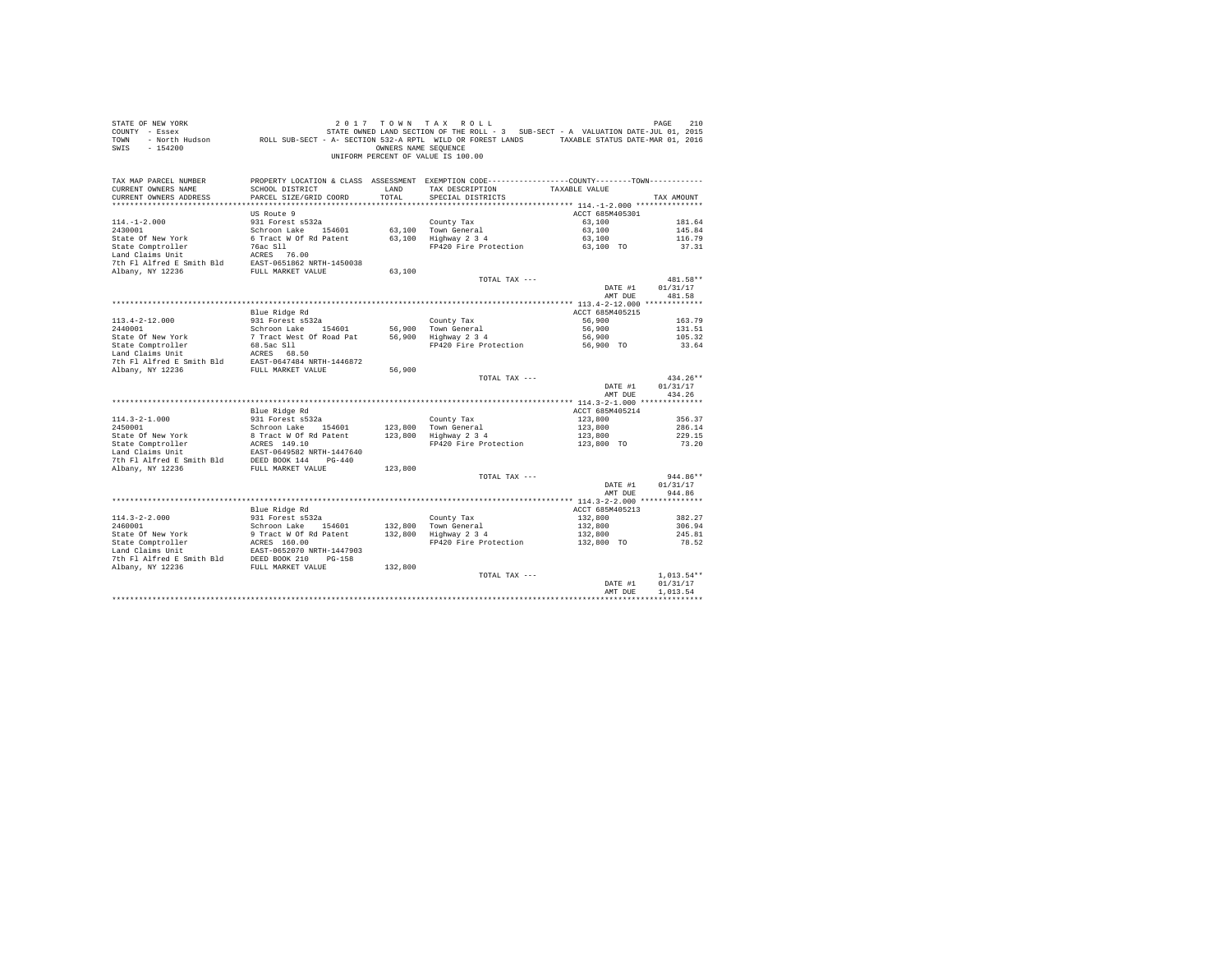| STATE OF NEW YORK<br>COUNTY - Essex<br>TOWN<br>$-154200$<br>SWIS       |                                           | OWNERS NAME SEOUENCE | 2017 TOWN TAX ROLL<br>UNIFORM PERCENT OF VALUE IS 100.00                                                                             |                            | PAGE<br>210          |
|------------------------------------------------------------------------|-------------------------------------------|----------------------|--------------------------------------------------------------------------------------------------------------------------------------|----------------------------|----------------------|
| TAX MAP PARCEL NUMBER<br>CURRENT OWNERS NAME<br>CURRENT OWNERS ADDRESS | SCHOOL DISTRICT<br>PARCEL SIZE/GRID COORD | LAND<br>TOTAL        | PROPERTY LOCATION & CLASS ASSESSMENT EXEMPTION CODE---------------COUNTY-------TOWN---------<br>TAX DESCRIPTION<br>SPECIAL DISTRICTS | TAXABLE VALUE              | TAX AMOUNT           |
|                                                                        | US Route 9                                |                      |                                                                                                                                      | ACCT 685M405301            |                      |
| $114. - 1 - 2.000$                                                     | 931 Forest s532a                          |                      | County Tax                                                                                                                           | 63,100                     | 181.64               |
| 2430001                                                                | Schroon Lake 154601                       |                      | 63,100 Town General                                                                                                                  | 63,100                     | 145.84               |
|                                                                        |                                           |                      | 63,100 Hown General<br>63,100 Highway 2 3 4                                                                                          | 63,100                     | 116.79               |
|                                                                        |                                           |                      | FP420 Fire Protection 63,100 TO                                                                                                      |                            | 37.31                |
|                                                                        |                                           |                      |                                                                                                                                      |                            |                      |
|                                                                        |                                           |                      |                                                                                                                                      |                            |                      |
|                                                                        |                                           | 63,100               | TOTAL TAX ---                                                                                                                        |                            | 481.58**             |
|                                                                        |                                           |                      |                                                                                                                                      | DATE #1                    | 01/31/17             |
|                                                                        |                                           |                      |                                                                                                                                      | AMT DUE                    | 481.58               |
|                                                                        |                                           |                      |                                                                                                                                      |                            |                      |
|                                                                        | Blue Ridge Rd                             |                      |                                                                                                                                      | ACCT 685M405215            |                      |
| $113.4 - 2 - 12.000$                                                   | 931 Forest s532a                          |                      | County Tax                                                                                                                           | 56,900                     | 163.79               |
|                                                                        |                                           |                      | 56,900 Town General<br>56,900 Highway 2 3 4                                                                                          | 56,900                     | 131.51               |
|                                                                        |                                           |                      | FP420 Fire Protection 56,900 TO                                                                                                      | 56,900                     | 105.32<br>33.64      |
|                                                                        |                                           |                      |                                                                                                                                      |                            |                      |
|                                                                        |                                           |                      |                                                                                                                                      |                            |                      |
|                                                                        |                                           | 56,900               |                                                                                                                                      |                            |                      |
|                                                                        |                                           |                      | TOTAL TAX ---                                                                                                                        |                            | $434.26**$           |
|                                                                        |                                           |                      |                                                                                                                                      | DATE #1<br>AMT DUE         | 01/31/17<br>434.26   |
|                                                                        |                                           |                      |                                                                                                                                      |                            |                      |
| $114.3 - 2 - 1.000$                                                    | Blue Ridge Rd<br>931 Forest s532a         |                      | County Tax                                                                                                                           | ACCT 685M405214<br>123,800 | 356.37               |
| 2450001                                                                | Schroon Lake 154601                       |                      |                                                                                                                                      | 123,800                    | 286.14               |
|                                                                        |                                           |                      | 123,800 Town General<br>123,800 Highway 2 3 4                                                                                        | 123,800                    | 229.15               |
|                                                                        |                                           |                      | FP420 Fire Protection 123,800 TO                                                                                                     |                            | 73.20                |
|                                                                        |                                           |                      |                                                                                                                                      |                            |                      |
|                                                                        |                                           |                      |                                                                                                                                      |                            |                      |
|                                                                        |                                           | 123,800              | TOTAL TAX ---                                                                                                                        |                            | 944.86**             |
|                                                                        |                                           |                      |                                                                                                                                      | DATE #1                    | 01/31/17             |
|                                                                        |                                           |                      |                                                                                                                                      | AMT DUE                    | 944.86               |
|                                                                        |                                           |                      |                                                                                                                                      |                            |                      |
|                                                                        | Blue Ridge Rd                             |                      |                                                                                                                                      | ACCT 685M405213            |                      |
| $114.3 - 2 - 2.000$                                                    | 931 Forest s532a<br>Schroon Lake 154601   |                      | County Tax                                                                                                                           | 132,800                    | 382.27               |
|                                                                        |                                           |                      |                                                                                                                                      | 132,800                    | 306.94<br>245.81     |
|                                                                        |                                           |                      | Highway 2 3 4 132,800<br>FP420 Fire Protection 132,800 TO                                                                            |                            | 78.52                |
|                                                                        |                                           |                      |                                                                                                                                      |                            |                      |
|                                                                        |                                           |                      |                                                                                                                                      |                            |                      |
|                                                                        |                                           |                      |                                                                                                                                      |                            |                      |
|                                                                        |                                           |                      | TOTAL TAX ---                                                                                                                        |                            | $1.013.54**$         |
|                                                                        |                                           |                      |                                                                                                                                      | DATE #1<br>AMT DUE         | 01/31/17<br>1,013.54 |
|                                                                        |                                           |                      |                                                                                                                                      |                            |                      |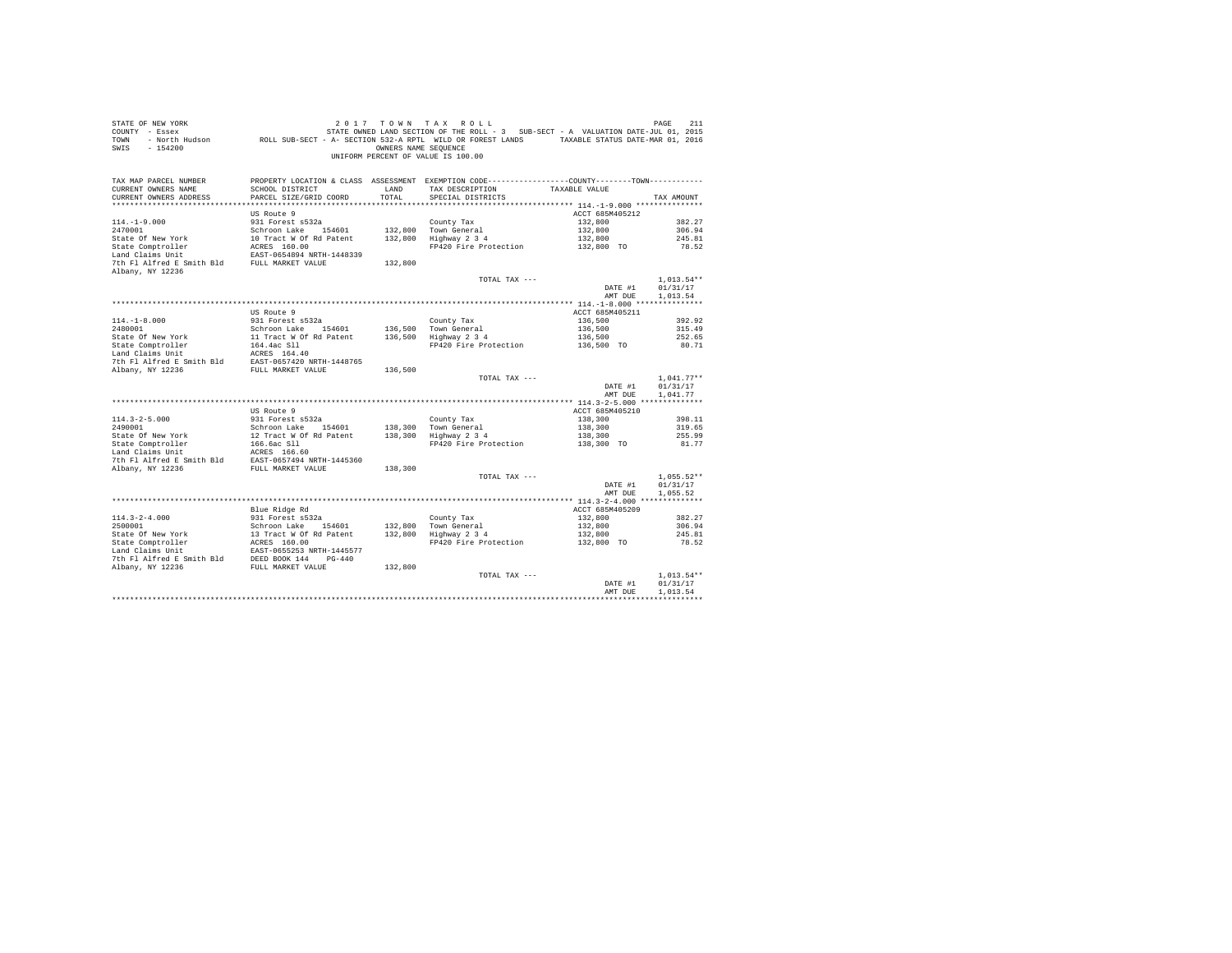| STATE OF NEW YORK<br>COUNTY - Essex<br>TOWN<br>$-154200$<br>SWIS | DF NEW YORK WAS TRIS 2011 7 ON N TAX ROLL<br>- Essex STATE OWNED LAND SECTION OF THE ROLL - 3 SUB-SECT - A VALUATION DATE-JUL 01, 2015<br>- North Hudson     ROLL SUB-SECT - A - SECTION 532-A RPTL WILD OR FOREST LANDS   TAXABLE | OWNERS NAME SEOUENCE | 2017 TOWN TAX ROLL<br>UNIFORM PERCENT OF VALUE IS 100.00                                                           |                            | PAGE<br>211          |
|------------------------------------------------------------------|------------------------------------------------------------------------------------------------------------------------------------------------------------------------------------------------------------------------------------|----------------------|--------------------------------------------------------------------------------------------------------------------|----------------------------|----------------------|
| TAX MAP PARCEL NUMBER                                            |                                                                                                                                                                                                                                    |                      | PROPERTY LOCATION & CLASS ASSESSMENT EXEMPTION CODE----------------COUNTY--------TOWN----------<br>TAX DESCRIPTION |                            |                      |
| CURRENT OWNERS NAME<br>CURRENT OWNERS ADDRESS                    | SCHOOL DISTRICT<br>PARCEL SIZE/GRID COORD                                                                                                                                                                                          | LAND<br>TOTAL        | SPECIAL DISTRICTS                                                                                                  | TAXABLE VALUE              | TAX AMOUNT           |
|                                                                  |                                                                                                                                                                                                                                    |                      |                                                                                                                    |                            |                      |
|                                                                  | US Route 9                                                                                                                                                                                                                         |                      |                                                                                                                    | ACCT 685M405212            |                      |
| $114. -1 - 9.000$                                                | 931 Forest s532a                                                                                                                                                                                                                   |                      | County Tax                                                                                                         | 132,800                    | 382.27               |
| 2470001                                                          |                                                                                                                                                                                                                                    |                      | 132,800 Town General                                                                                               | 132,800                    | 306.94               |
| State Of New York                                                |                                                                                                                                                                                                                                    |                      | 132,800 10WH General<br>132,800 Highway 2 3 4                                                                      | 132,800                    | 245.81               |
| State Comptroller                                                | Schroon Lake 154601<br>10 Tract W Of Rd Patent<br>ACRES 160.00<br>EAST-0654894 NRTH-1448339                                                                                                                                        |                      | FP420 Fire Protection                                                                                              | 132,800 TO                 | 78.52                |
| Land Claims Unit                                                 |                                                                                                                                                                                                                                    |                      |                                                                                                                    |                            |                      |
| 7th Fl Alfred E Smith Bld FULL MARKET VALUE<br>Albany, NY 12236  |                                                                                                                                                                                                                                    | 132,800              |                                                                                                                    |                            |                      |
|                                                                  |                                                                                                                                                                                                                                    |                      | TOTAL TAX ---                                                                                                      |                            | $1,013.54**$         |
|                                                                  |                                                                                                                                                                                                                                    |                      |                                                                                                                    | DATE #1                    | 01/31/17             |
|                                                                  |                                                                                                                                                                                                                                    |                      |                                                                                                                    | AMT DUE                    | 1,013.54             |
|                                                                  |                                                                                                                                                                                                                                    |                      |                                                                                                                    |                            |                      |
|                                                                  | US Route 9                                                                                                                                                                                                                         |                      |                                                                                                                    | ACCT 685M405211            |                      |
| $114. - 1 - 8.000$                                               | 931 Forest s532a                                                                                                                                                                                                                   |                      | County Tax                                                                                                         | 136,500                    | 392.92<br>315.49     |
|                                                                  |                                                                                                                                                                                                                                    |                      | 136,500 Town General<br>136,500 Highway 2 3 4                                                                      | 136,500                    | 252.65               |
|                                                                  |                                                                                                                                                                                                                                    |                      | Highway 2 3 4 136,500<br>FP420 Fire Protection 136,500 TO                                                          |                            | 80.71                |
|                                                                  |                                                                                                                                                                                                                                    |                      |                                                                                                                    |                            |                      |
|                                                                  |                                                                                                                                                                                                                                    |                      |                                                                                                                    |                            |                      |
|                                                                  |                                                                                                                                                                                                                                    | 136,500              |                                                                                                                    |                            |                      |
|                                                                  |                                                                                                                                                                                                                                    |                      | TOTAL TAX ---                                                                                                      |                            | $1,041.77**$         |
|                                                                  |                                                                                                                                                                                                                                    |                      |                                                                                                                    | DATE #1<br>AMT DUE         | 01/31/17<br>1,041.77 |
|                                                                  |                                                                                                                                                                                                                                    |                      |                                                                                                                    |                            |                      |
| $114.3 - 2 - 5.000$                                              | US Route 9<br>931 Forest s532a                                                                                                                                                                                                     |                      | County Tax                                                                                                         | ACCT 685M405210<br>138,300 | 398.11               |
|                                                                  |                                                                                                                                                                                                                                    |                      |                                                                                                                    | 138,300                    | 319.65               |
|                                                                  |                                                                                                                                                                                                                                    |                      |                                                                                                                    | 138,300                    | 255.99               |
|                                                                  |                                                                                                                                                                                                                                    |                      | FP420 Fire Protection                                                                                              | 138,300 TO                 | 81.77                |
|                                                                  |                                                                                                                                                                                                                                    |                      |                                                                                                                    |                            |                      |
|                                                                  |                                                                                                                                                                                                                                    |                      |                                                                                                                    |                            |                      |
|                                                                  |                                                                                                                                                                                                                                    |                      |                                                                                                                    |                            | $1.055.52**$         |
|                                                                  |                                                                                                                                                                                                                                    |                      | TOTAL TAX ---                                                                                                      | DATE #1                    | 01/31/17             |
|                                                                  |                                                                                                                                                                                                                                    |                      |                                                                                                                    | AMT DUE                    | 1.055.52             |
|                                                                  |                                                                                                                                                                                                                                    |                      |                                                                                                                    |                            |                      |
|                                                                  | Blue Ridge Rd                                                                                                                                                                                                                      |                      |                                                                                                                    | ACCT 685M405209            |                      |
|                                                                  |                                                                                                                                                                                                                                    |                      |                                                                                                                    | 132,800                    | 382.27               |
|                                                                  |                                                                                                                                                                                                                                    |                      |                                                                                                                    | 132,800                    | 306.94               |
|                                                                  |                                                                                                                                                                                                                                    |                      |                                                                                                                    | 132,800                    | 245.81               |
|                                                                  |                                                                                                                                                                                                                                    |                      | FP420 Fire Protection                                                                                              | $132,800$ TO               | 78.52                |
|                                                                  |                                                                                                                                                                                                                                    |                      |                                                                                                                    |                            |                      |
|                                                                  |                                                                                                                                                                                                                                    |                      |                                                                                                                    |                            |                      |
|                                                                  |                                                                                                                                                                                                                                    |                      | TOTAL TAX ---                                                                                                      |                            | $1.013.54**$         |
|                                                                  |                                                                                                                                                                                                                                    |                      |                                                                                                                    | DATE #1                    | 01/31/17             |
|                                                                  |                                                                                                                                                                                                                                    |                      |                                                                                                                    | AMT DUE                    | 1,013.54             |
|                                                                  |                                                                                                                                                                                                                                    |                      |                                                                                                                    |                            |                      |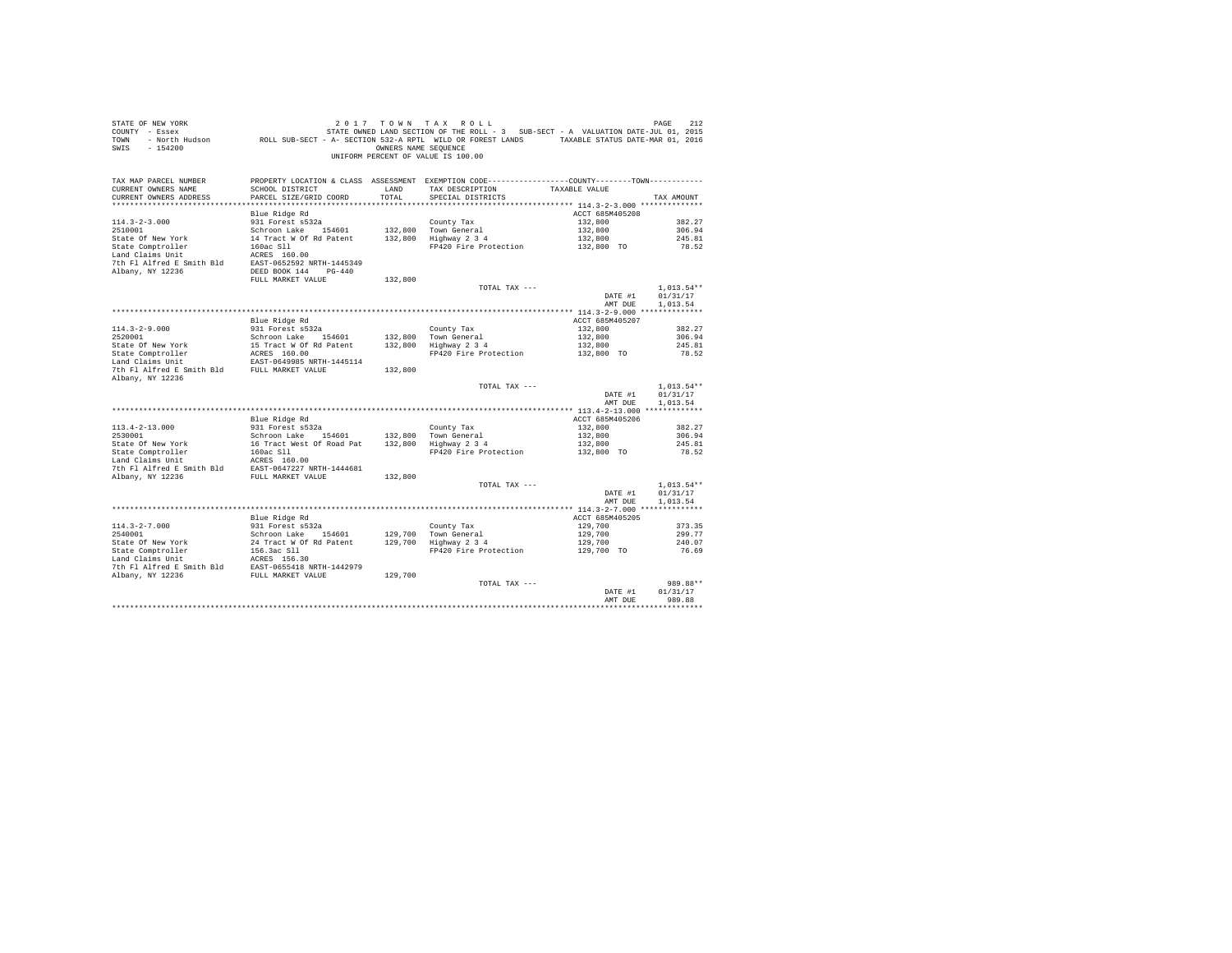| 2012 PAGE 212<br>COUNTY - Essex STATE SON STATE ROLL - 3 SUB-SECT - A VALUATION DATE-JUL 01, 2015<br>TOWN - ROCH HUGO A ROLL SUB-SECT - A - SECTION 532-A RPTL WILD OR FOREST LANDS TRIABLE STATUS DATE-MAR 01, 2016<br>SWIS<br>$-154200$ | UNIFORM PERCENT OF VALUE IS 100.00       | OWNERS NAME SEQUENCE                                                                                                          |                    |                      |
|-------------------------------------------------------------------------------------------------------------------------------------------------------------------------------------------------------------------------------------------|------------------------------------------|-------------------------------------------------------------------------------------------------------------------------------|--------------------|----------------------|
| TAX MAP PARCEL NUMBER<br>CURRENT OWNERS NAME<br>SCHOOL DISTRICT                                                                                                                                                                           | LAND                                     | PROPERTY LOCATION & CLASS ASSESSMENT EXEMPTION CODE---------------COUNTY-------TOWN---------<br>TAX DESCRIPTION TAXABLE VALUE |                    |                      |
| CURRENT OWNERS ADDRESS<br>PARCEL SIZE/GRID COORD                                                                                                                                                                                          | TOTAL                                    | SPECIAL DISTRICTS                                                                                                             |                    | TAX AMOUNT           |
|                                                                                                                                                                                                                                           |                                          |                                                                                                                               |                    |                      |
|                                                                                                                                                                                                                                           |                                          |                                                                                                                               | ACCT 685M405208    |                      |
| $114.3 - 2 - 3.000$                                                                                                                                                                                                                       |                                          |                                                                                                                               | 132,800            | 382.27               |
|                                                                                                                                                                                                                                           |                                          |                                                                                                                               | 132,800            | 306.94               |
|                                                                                                                                                                                                                                           |                                          |                                                                                                                               | 132,800            | 245.81               |
|                                                                                                                                                                                                                                           |                                          | FP420 Fire Protection                                                                                                         | 132,800 TO         | 78.52                |
| 2510001<br>2510001<br>261000 120 132,800 10000 120 132,800 10000 120 132,800 10000 120 14<br>261 262 11 17act W Of Rd Patent<br>260 211 17420 Fire Protection<br>268 160.00 110 122,800 1220 Fire Protection<br>268 160.00 110 1220 Fire  |                                          |                                                                                                                               |                    |                      |
| 7th Fl Alfred E Smith Bld EAST-0652592 NRTH-1445349                                                                                                                                                                                       |                                          |                                                                                                                               |                    |                      |
| DEED BOOK 144 PG-440<br>Albany, NY 12236                                                                                                                                                                                                  |                                          |                                                                                                                               |                    |                      |
| FULL MARKET VALUE                                                                                                                                                                                                                         | 132,800                                  |                                                                                                                               |                    |                      |
|                                                                                                                                                                                                                                           |                                          | TOTAL TAX ---                                                                                                                 |                    | $1.013.54**$         |
|                                                                                                                                                                                                                                           |                                          |                                                                                                                               | DATE #1            | 01/31/17             |
|                                                                                                                                                                                                                                           |                                          |                                                                                                                               | AMT DUE            | 1,013.54             |
|                                                                                                                                                                                                                                           |                                          |                                                                                                                               |                    |                      |
|                                                                                                                                                                                                                                           |                                          |                                                                                                                               | ACCT 685M405207    |                      |
|                                                                                                                                                                                                                                           |                                          |                                                                                                                               | 132,800            | 382.27               |
|                                                                                                                                                                                                                                           |                                          |                                                                                                                               | 132,800            | 306.94               |
|                                                                                                                                                                                                                                           |                                          |                                                                                                                               | 132,800            | 245.81               |
|                                                                                                                                                                                                                                           |                                          | FP420 Fire Protection                                                                                                         | 132,800 TO         | 78.52                |
|                                                                                                                                                                                                                                           |                                          |                                                                                                                               |                    |                      |
|                                                                                                                                                                                                                                           |                                          | TOTAL TAX ---                                                                                                                 |                    | $1.013.54**$         |
|                                                                                                                                                                                                                                           |                                          |                                                                                                                               | DATE #1            | 01/31/17             |
|                                                                                                                                                                                                                                           |                                          |                                                                                                                               | AMT DUE            | 1,013.54             |
|                                                                                                                                                                                                                                           |                                          |                                                                                                                               |                    |                      |
| Blue Ridge Rd                                                                                                                                                                                                                             |                                          |                                                                                                                               | ACCT 685M405206    |                      |
| 931 Forest s532a<br>$113.4 - 2 - 13.000$                                                                                                                                                                                                  |                                          | County Tax                                                                                                                    | 132,800            | 382.27               |
| 2530001                                                                                                                                                                                                                                   | Schroon Lake 154601 132,800 Town General |                                                                                                                               | 132,800            | 306.94               |
|                                                                                                                                                                                                                                           |                                          |                                                                                                                               | 132,800            | 245.81               |
|                                                                                                                                                                                                                                           |                                          | FP420 Fire Protection                                                                                                         | 132,800 TO         | 78.52                |
|                                                                                                                                                                                                                                           |                                          |                                                                                                                               |                    |                      |
|                                                                                                                                                                                                                                           |                                          |                                                                                                                               |                    |                      |
| Albany, NY 12236 FULL MARKET VALUE                                                                                                                                                                                                        | 132,800                                  |                                                                                                                               |                    |                      |
|                                                                                                                                                                                                                                           |                                          | TOTAL TAX ---                                                                                                                 |                    | $1.013.54**$         |
|                                                                                                                                                                                                                                           |                                          |                                                                                                                               | DATE #1            | 01/31/17             |
|                                                                                                                                                                                                                                           |                                          |                                                                                                                               | AMT DUE            | 1.013.54             |
|                                                                                                                                                                                                                                           |                                          |                                                                                                                               |                    |                      |
| Blue Ridge Rd                                                                                                                                                                                                                             |                                          |                                                                                                                               | ACCT 685M405205    |                      |
| 931 Forest s532a<br>$114.3 - 2 - 7.000$                                                                                                                                                                                                   |                                          | County Tax                                                                                                                    | 129,700            | 373.35               |
|                                                                                                                                                                                                                                           |                                          |                                                                                                                               | 129,700            | 299.77               |
|                                                                                                                                                                                                                                           |                                          |                                                                                                                               | 129,700            | 240.07               |
|                                                                                                                                                                                                                                           |                                          | FP420 Fire Protection                                                                                                         | 129,700 TO         | 76.69                |
|                                                                                                                                                                                                                                           |                                          |                                                                                                                               |                    |                      |
|                                                                                                                                                                                                                                           |                                          |                                                                                                                               |                    |                      |
|                                                                                                                                                                                                                                           |                                          |                                                                                                                               |                    |                      |
|                                                                                                                                                                                                                                           |                                          | TOTAL TAX ---                                                                                                                 |                    | 989.88**<br>01/31/17 |
|                                                                                                                                                                                                                                           |                                          |                                                                                                                               | DATE #1<br>AMT DUE | 989.88               |
|                                                                                                                                                                                                                                           |                                          |                                                                                                                               |                    |                      |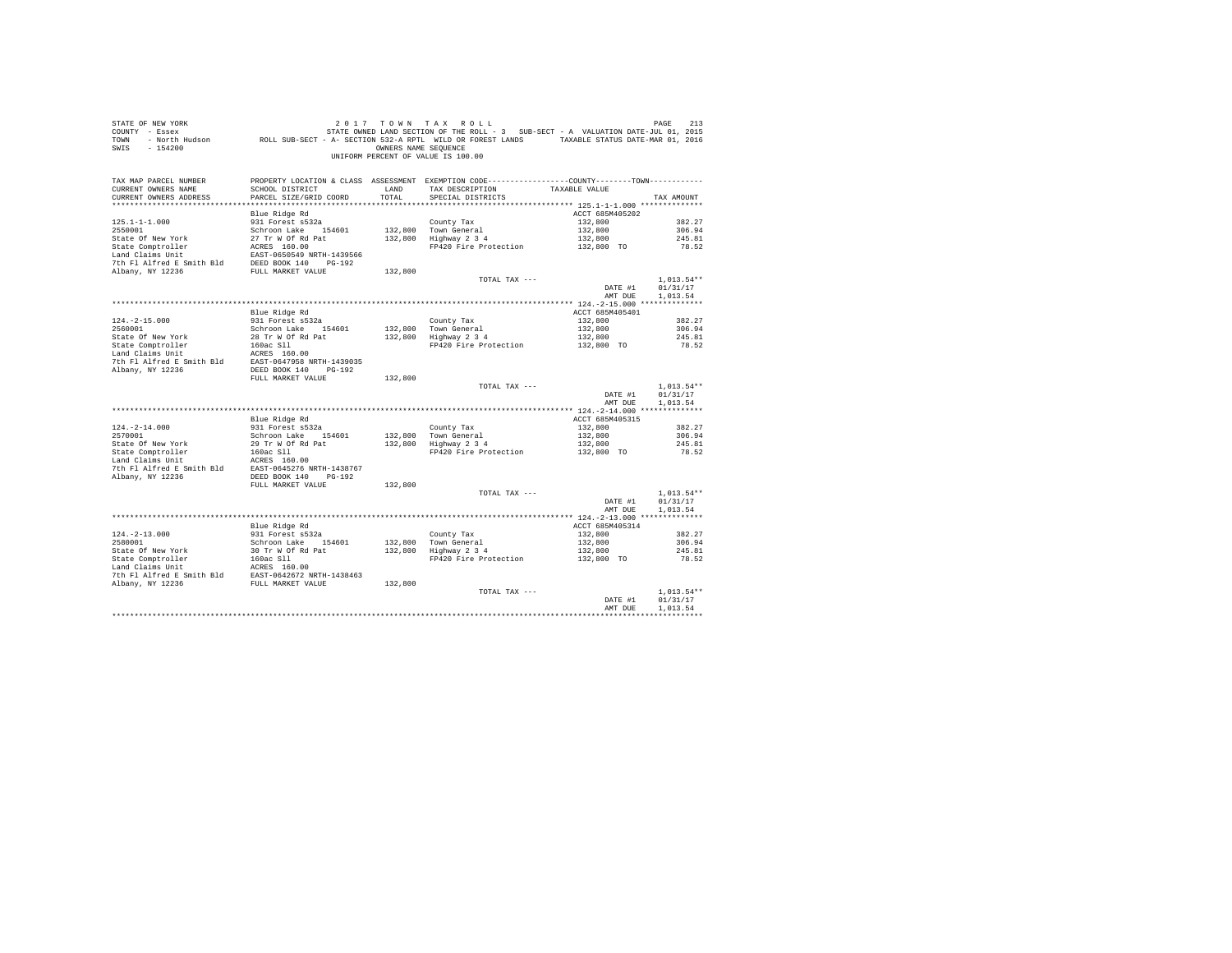| STATE OF NEW YORK<br>COUNTY - Essex<br><b>TOWN</b><br>$-154200$<br>SWIS                                                                                                                                                                            |                                           | OWNERS NAME SEQUENCE      | 2017 TOWN TAX ROLL<br>213 DE RES 213 DE PAGE 213 DE 213 DE 213 DE 213 DE 213 DE 213 DE 213<br>- Essex STATE OWED LAND SECTION OF THE ROLL - 3 SUB-SECT - A VALUATION DATE-JUL 01, 2015<br>- North Hudson     ROLL SUB-SECT - A SECTION 532-A RPTL WILD OR<br>UNIFORM PERCENT OF VALUE IS 100.00 |                                                     |                          |
|----------------------------------------------------------------------------------------------------------------------------------------------------------------------------------------------------------------------------------------------------|-------------------------------------------|---------------------------|-------------------------------------------------------------------------------------------------------------------------------------------------------------------------------------------------------------------------------------------------------------------------------------------------|-----------------------------------------------------|--------------------------|
| TAX MAP PARCEL NUMBER<br>CURRENT OWNERS NAME<br>CURRENT OWNERS ADDRESS                                                                                                                                                                             | SCHOOL DISTRICT<br>PARCEL SIZE/GRID COORD | LAND <b>LAND</b><br>TOTAL | PROPERTY LOCATION & CLASS ASSESSMENT EXEMPTION CODE---------------COUNTY-------TOWN---------<br>TAX DESCRIPTION TAXABLE VALUE<br>SPECIAL DISTRICTS                                                                                                                                              |                                                     | TAX AMOUNT               |
|                                                                                                                                                                                                                                                    | Blue Ridge Rd                             |                           |                                                                                                                                                                                                                                                                                                 | ACCT 685M405202                                     |                          |
| $125.1 - 1 - 1.000$                                                                                                                                                                                                                                | 931 Forest s532a                          |                           |                                                                                                                                                                                                                                                                                                 | 132,800                                             | 382.27                   |
| 2550001                                                                                                                                                                                                                                            | Schroon Lake 154601                       |                           |                                                                                                                                                                                                                                                                                                 |                                                     | 306.94                   |
| State Of New York<br>State Comptroller<br>State Comptonler<br>Land Claims Unit<br>Land Claims Unit<br>Land Claims Unit<br>Land Claims Unit<br>The Plant Party of State Party<br>The Plant Party New York<br>TULL MARKET VALUE<br>New York Plant Pa |                                           |                           | County Tax<br>132,800 Town General<br>132,800 Highway 2 3 4                                                                                                                                                                                                                                     | 132,800<br>132,800<br>132,800 TO                    | 245.81                   |
|                                                                                                                                                                                                                                                    |                                           |                           | FP420 Fire Protection                                                                                                                                                                                                                                                                           |                                                     | 78.52                    |
|                                                                                                                                                                                                                                                    |                                           |                           |                                                                                                                                                                                                                                                                                                 |                                                     |                          |
|                                                                                                                                                                                                                                                    |                                           |                           |                                                                                                                                                                                                                                                                                                 |                                                     |                          |
|                                                                                                                                                                                                                                                    |                                           | 132,800                   |                                                                                                                                                                                                                                                                                                 |                                                     |                          |
|                                                                                                                                                                                                                                                    |                                           |                           | TOTAL TAX ---                                                                                                                                                                                                                                                                                   |                                                     | $1.013.54**$<br>01/31/17 |
|                                                                                                                                                                                                                                                    |                                           |                           |                                                                                                                                                                                                                                                                                                 | DATE #1<br>AMT DUE                                  | 1,013.54                 |
|                                                                                                                                                                                                                                                    |                                           |                           |                                                                                                                                                                                                                                                                                                 |                                                     |                          |
|                                                                                                                                                                                                                                                    | Blue Ridge Rd                             |                           |                                                                                                                                                                                                                                                                                                 | ACCT 685M405401                                     |                          |
| $124. -2 - 15.000$                                                                                                                                                                                                                                 | siue Kiuge Ku<br>931 Forest s532a         |                           | County Tax<br>132,800 Town General<br>132,800 Highway 2 3 4                                                                                                                                                                                                                                     | 132,800                                             | 382.27                   |
|                                                                                                                                                                                                                                                    |                                           |                           |                                                                                                                                                                                                                                                                                                 |                                                     | 306.94                   |
|                                                                                                                                                                                                                                                    |                                           |                           |                                                                                                                                                                                                                                                                                                 |                                                     | 245.81                   |
|                                                                                                                                                                                                                                                    |                                           |                           | Town General 132,800<br>Highway 2 3 4 132,800<br>FP420 Fire Protection 132,800 TO                                                                                                                                                                                                               |                                                     | 78.52                    |
|                                                                                                                                                                                                                                                    |                                           |                           |                                                                                                                                                                                                                                                                                                 |                                                     |                          |
|                                                                                                                                                                                                                                                    |                                           |                           |                                                                                                                                                                                                                                                                                                 |                                                     |                          |
|                                                                                                                                                                                                                                                    | FULL MARKET VALUE                         | 132,800                   |                                                                                                                                                                                                                                                                                                 |                                                     |                          |
|                                                                                                                                                                                                                                                    |                                           |                           | TOTAL TAX ---                                                                                                                                                                                                                                                                                   |                                                     | $1,013.54**$             |
|                                                                                                                                                                                                                                                    |                                           |                           |                                                                                                                                                                                                                                                                                                 | DATE #1<br>AMT DUE                                  | 01/31/17<br>1,013.54     |
|                                                                                                                                                                                                                                                    |                                           |                           |                                                                                                                                                                                                                                                                                                 |                                                     |                          |
|                                                                                                                                                                                                                                                    | Blue Ridge Rd                             |                           |                                                                                                                                                                                                                                                                                                 | ACCT 685M405315                                     |                          |
| $124.-2-14.000$<br>2570001                                                                                                                                                                                                                         | orde ninge nu<br>931 Forest s532a         |                           |                                                                                                                                                                                                                                                                                                 | 132,800                                             | 382.27                   |
|                                                                                                                                                                                                                                                    |                                           |                           | County Tax<br>132,800 Town General<br>132,800 Highway 2 3 4                                                                                                                                                                                                                                     | 132,800<br>132,800                                  | 306.94                   |
|                                                                                                                                                                                                                                                    |                                           |                           |                                                                                                                                                                                                                                                                                                 |                                                     | 245.81                   |
|                                                                                                                                                                                                                                                    |                                           |                           | FP420 Fire Protection 132,800 TO                                                                                                                                                                                                                                                                |                                                     | 78.52                    |
|                                                                                                                                                                                                                                                    |                                           |                           |                                                                                                                                                                                                                                                                                                 |                                                     |                          |
| Albany, NY 12236                                                                                                                                                                                                                                   | DEED BOOK 140 PG-192                      |                           |                                                                                                                                                                                                                                                                                                 |                                                     |                          |
|                                                                                                                                                                                                                                                    | FULL MARKET VALUE                         | 132,800                   |                                                                                                                                                                                                                                                                                                 |                                                     |                          |
|                                                                                                                                                                                                                                                    |                                           |                           | TOTAL TAX ---                                                                                                                                                                                                                                                                                   |                                                     | $1.013.54**$             |
|                                                                                                                                                                                                                                                    |                                           |                           |                                                                                                                                                                                                                                                                                                 | DATE #1                                             | 01/31/17                 |
|                                                                                                                                                                                                                                                    |                                           |                           |                                                                                                                                                                                                                                                                                                 | AMT DUE                                             | 1,013.54                 |
|                                                                                                                                                                                                                                                    |                                           |                           |                                                                                                                                                                                                                                                                                                 |                                                     |                          |
|                                                                                                                                                                                                                                                    | Blue Ridge Rd<br>$931$ Forest $s532a$     |                           |                                                                                                                                                                                                                                                                                                 | ACCT 685M405314                                     |                          |
| $124. -2 - 13.000$                                                                                                                                                                                                                                 |                                           |                           |                                                                                                                                                                                                                                                                                                 |                                                     | 382.27<br>306.94         |
|                                                                                                                                                                                                                                                    |                                           |                           | County Tax<br>132,800 Town General<br>132,800 Highway 2 3 4                                                                                                                                                                                                                                     |                                                     | 245.81                   |
|                                                                                                                                                                                                                                                    |                                           |                           | FP420 Fire Protection                                                                                                                                                                                                                                                                           | $132,800$<br>$132,800$<br>$132,800$<br>$132,800$ TO | 78.52                    |
|                                                                                                                                                                                                                                                    |                                           |                           |                                                                                                                                                                                                                                                                                                 |                                                     |                          |
|                                                                                                                                                                                                                                                    |                                           |                           |                                                                                                                                                                                                                                                                                                 |                                                     |                          |
|                                                                                                                                                                                                                                                    |                                           |                           |                                                                                                                                                                                                                                                                                                 |                                                     |                          |
|                                                                                                                                                                                                                                                    |                                           |                           | TOTAL TAX ---                                                                                                                                                                                                                                                                                   |                                                     | $1.013.54**$             |
|                                                                                                                                                                                                                                                    |                                           |                           |                                                                                                                                                                                                                                                                                                 | DATE #1                                             | 01/31/17                 |
|                                                                                                                                                                                                                                                    |                                           |                           |                                                                                                                                                                                                                                                                                                 | AMT DUE                                             | 1,013.54                 |
|                                                                                                                                                                                                                                                    |                                           |                           |                                                                                                                                                                                                                                                                                                 |                                                     |                          |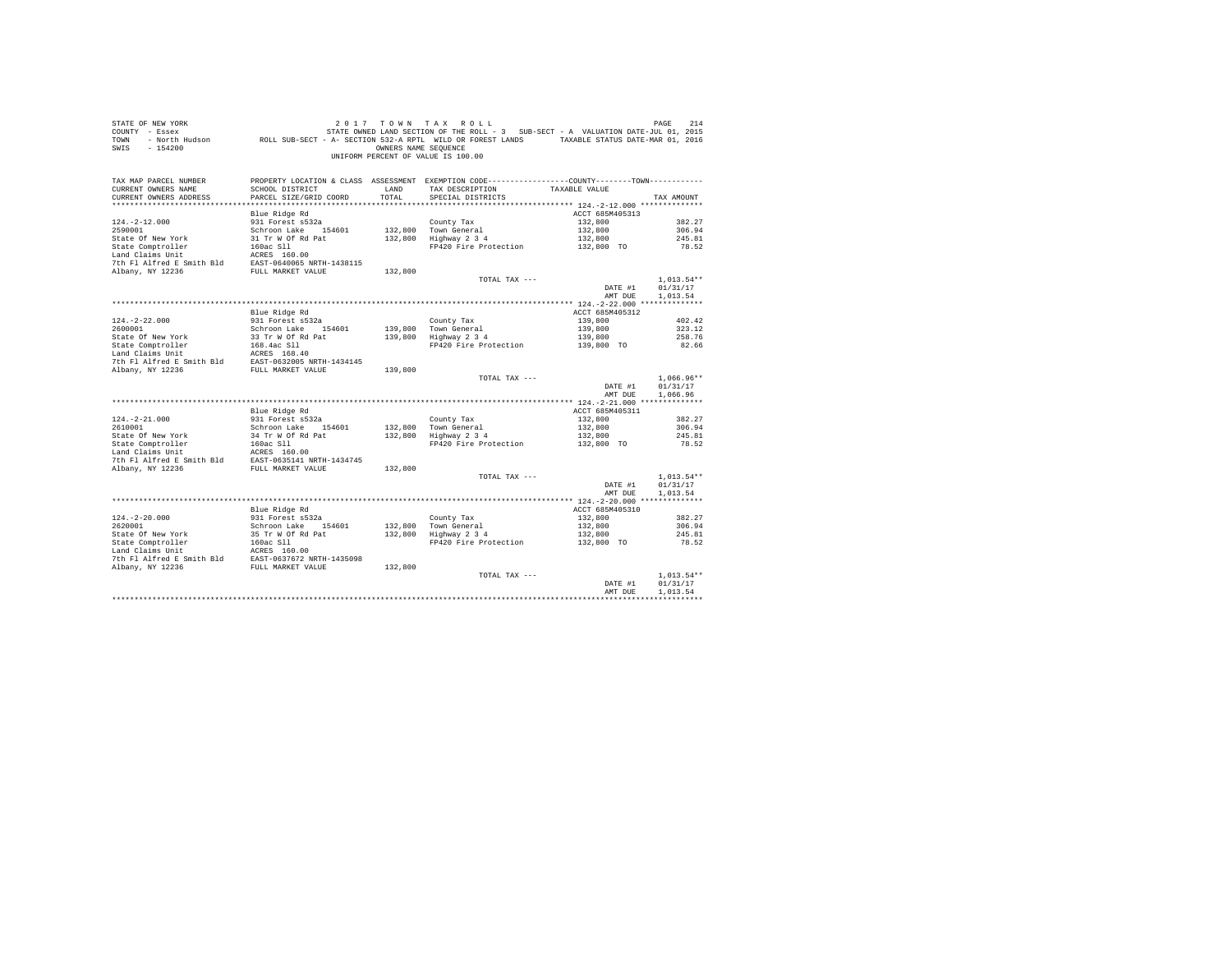| STATE OF NEW YORK<br>COUNTY - Essex<br>TOWN<br>$-154200$<br>SWIS                                                                                                                                                                               |                                           | OWNERS NAME SEOUENCE | 2017 TOWN TAX ROLL<br>OF NEW YORK TREE 214 2017 TO WINT A X ROLL<br>F Essex STATE STATE OWNED LAND SECTION OF THE ROLL - 3 SUB-SECT - A VALUATION DATE-JUL 01, 2015<br>F North Hudson     ROLL SUB-SECT - A - SECTION 532-A RPTL WILD OR FOREST LANDS<br>UNIFORM PERCENT OF VALUE IS 100.00 |                 | PAGE<br>214      |
|------------------------------------------------------------------------------------------------------------------------------------------------------------------------------------------------------------------------------------------------|-------------------------------------------|----------------------|---------------------------------------------------------------------------------------------------------------------------------------------------------------------------------------------------------------------------------------------------------------------------------------------|-----------------|------------------|
| TAX MAP PARCEL NUMBER<br>CURRENT OWNERS NAME<br>CURRENT OWNERS ADDRESS                                                                                                                                                                         | SCHOOL DISTRICT<br>PARCEL SIZE/GRID COORD | LAND<br>TOTAL        | PROPERTY LOCATION & CLASS ASSESSMENT EXEMPTION CODE---------------COUNTY-------TOWN---------<br>TAX DESCRIPTION TAXABLE VALUE<br>SPECIAL DISTRICTS                                                                                                                                          |                 | TAX AMOUNT       |
|                                                                                                                                                                                                                                                |                                           |                      |                                                                                                                                                                                                                                                                                             |                 |                  |
|                                                                                                                                                                                                                                                | Blue Ridge Rd                             |                      |                                                                                                                                                                                                                                                                                             | ACCT 685M405313 |                  |
| $124. -2 - 12.000$                                                                                                                                                                                                                             | 931 Forest s532a                          |                      | County Tax                                                                                                                                                                                                                                                                                  | 132,800         | 382.27           |
| 2590001                                                                                                                                                                                                                                        | Schroon Lake 154601                       |                      | 132,800 Town General<br>132,800 Town General<br>132,800 Highway 2 3 4                                                                                                                                                                                                                       | 132,800         | 306.94           |
|                                                                                                                                                                                                                                                |                                           |                      |                                                                                                                                                                                                                                                                                             | 132,800         | 245.81           |
|                                                                                                                                                                                                                                                |                                           |                      | FP420 Fire Protection 132,800 TO                                                                                                                                                                                                                                                            |                 | 78.52            |
|                                                                                                                                                                                                                                                |                                           |                      |                                                                                                                                                                                                                                                                                             |                 |                  |
|                                                                                                                                                                                                                                                |                                           | 132,800              |                                                                                                                                                                                                                                                                                             |                 |                  |
|                                                                                                                                                                                                                                                |                                           |                      | TOTAL TAX ---                                                                                                                                                                                                                                                                               |                 | $1,013.54**$     |
|                                                                                                                                                                                                                                                |                                           |                      |                                                                                                                                                                                                                                                                                             | DATE #1         | 01/31/17         |
|                                                                                                                                                                                                                                                |                                           |                      |                                                                                                                                                                                                                                                                                             | AMT DUE         | 1,013.54         |
|                                                                                                                                                                                                                                                |                                           |                      |                                                                                                                                                                                                                                                                                             |                 |                  |
|                                                                                                                                                                                                                                                | Blue Ridge Rd                             |                      |                                                                                                                                                                                                                                                                                             | ACCT 685M405312 |                  |
| $124. - 2 - 22.000$<br>2600001                                                                                                                                                                                                                 | 931 Forest s532a<br>Schroon Lake 154601   |                      | County Tax                                                                                                                                                                                                                                                                                  | 139,800         | 402.42<br>323.12 |
|                                                                                                                                                                                                                                                |                                           |                      | 139,800 Town General<br>139,800 Highway 2 3 4                                                                                                                                                                                                                                               |                 | 258.76           |
|                                                                                                                                                                                                                                                |                                           |                      | Town General 139,800<br>Highway 2 3 4 139,800<br>FP420 Fire Protection 139,800 TO                                                                                                                                                                                                           |                 | 82.66            |
|                                                                                                                                                                                                                                                |                                           |                      |                                                                                                                                                                                                                                                                                             |                 |                  |
|                                                                                                                                                                                                                                                |                                           |                      |                                                                                                                                                                                                                                                                                             |                 |                  |
|                                                                                                                                                                                                                                                |                                           | 139,800              |                                                                                                                                                                                                                                                                                             |                 |                  |
|                                                                                                                                                                                                                                                |                                           |                      | TOTAL TAX ---                                                                                                                                                                                                                                                                               |                 | $1,066.96**$     |
|                                                                                                                                                                                                                                                |                                           |                      |                                                                                                                                                                                                                                                                                             | DATE #1         | 01/31/17         |
|                                                                                                                                                                                                                                                |                                           |                      |                                                                                                                                                                                                                                                                                             | AMT DUE         | 1.066.96         |
|                                                                                                                                                                                                                                                | Blue Ridge Rd                             |                      |                                                                                                                                                                                                                                                                                             | ACCT 685M405311 |                  |
| $124. - 2 - 21.000$                                                                                                                                                                                                                            | 931 Forest s532a                          |                      | County Tax                                                                                                                                                                                                                                                                                  | 132,800         | 382.27           |
| 2610001                                                                                                                                                                                                                                        | Schroon Lake 154601                       |                      |                                                                                                                                                                                                                                                                                             | 132,800         | 306.94           |
|                                                                                                                                                                                                                                                |                                           |                      | 132,800 Town General<br>132,800 Highway 2 3 4                                                                                                                                                                                                                                               | 132,800         | 245.81           |
| State Of New York<br>State Comptroller<br>State Compton in the State Comptom of Rd Pat<br>Land Claims Unit<br>Land Claims State of State RASS<br>7th Fl Alfred E Smith Bld<br>RAST-0635141 NRTH-1434745<br>7th Fl Alfred E SMith Bld<br>RAST-0 |                                           |                      | FP420 Fire Protection 132.800 TO                                                                                                                                                                                                                                                            |                 | 78.52            |
|                                                                                                                                                                                                                                                |                                           |                      |                                                                                                                                                                                                                                                                                             |                 |                  |
|                                                                                                                                                                                                                                                |                                           | 132,800              |                                                                                                                                                                                                                                                                                             |                 |                  |
|                                                                                                                                                                                                                                                |                                           |                      | TOTAL TAX ---                                                                                                                                                                                                                                                                               |                 | $1.013.54**$     |
|                                                                                                                                                                                                                                                |                                           |                      |                                                                                                                                                                                                                                                                                             | DATE #1         | 01/31/17         |
|                                                                                                                                                                                                                                                |                                           |                      |                                                                                                                                                                                                                                                                                             | AMT DUE         | 1,013.54         |
|                                                                                                                                                                                                                                                |                                           |                      |                                                                                                                                                                                                                                                                                             |                 |                  |
|                                                                                                                                                                                                                                                | Blue Ridge Rd                             |                      |                                                                                                                                                                                                                                                                                             | ACCT 685M405310 |                  |
| $124. - 2 - 20.000$                                                                                                                                                                                                                            | 931 Forest s532a<br>Schroon Lake 154601   |                      | County Tax                                                                                                                                                                                                                                                                                  | 132,800         | 382.27           |
| 2620001                                                                                                                                                                                                                                        |                                           |                      | County Tax<br>132,800 Town General<br>132,800 Highway 2 3 4                                                                                                                                                                                                                                 |                 | 306.94           |
|                                                                                                                                                                                                                                                |                                           |                      | Town General 132,800<br>Highway 2 3 4 132,800<br>FP420 Fire Protection 132,800 TO                                                                                                                                                                                                           |                 | 245.81           |
|                                                                                                                                                                                                                                                |                                           |                      |                                                                                                                                                                                                                                                                                             |                 | 78.52            |
|                                                                                                                                                                                                                                                |                                           |                      |                                                                                                                                                                                                                                                                                             |                 |                  |
|                                                                                                                                                                                                                                                |                                           |                      |                                                                                                                                                                                                                                                                                             |                 |                  |
|                                                                                                                                                                                                                                                |                                           |                      | TOTAL TAX ---                                                                                                                                                                                                                                                                               |                 | $1.013.54**$     |
|                                                                                                                                                                                                                                                |                                           |                      |                                                                                                                                                                                                                                                                                             | DATE #1         | 01/31/17         |
|                                                                                                                                                                                                                                                |                                           |                      |                                                                                                                                                                                                                                                                                             | AMT DUE         | 1,013.54         |
|                                                                                                                                                                                                                                                |                                           |                      |                                                                                                                                                                                                                                                                                             |                 |                  |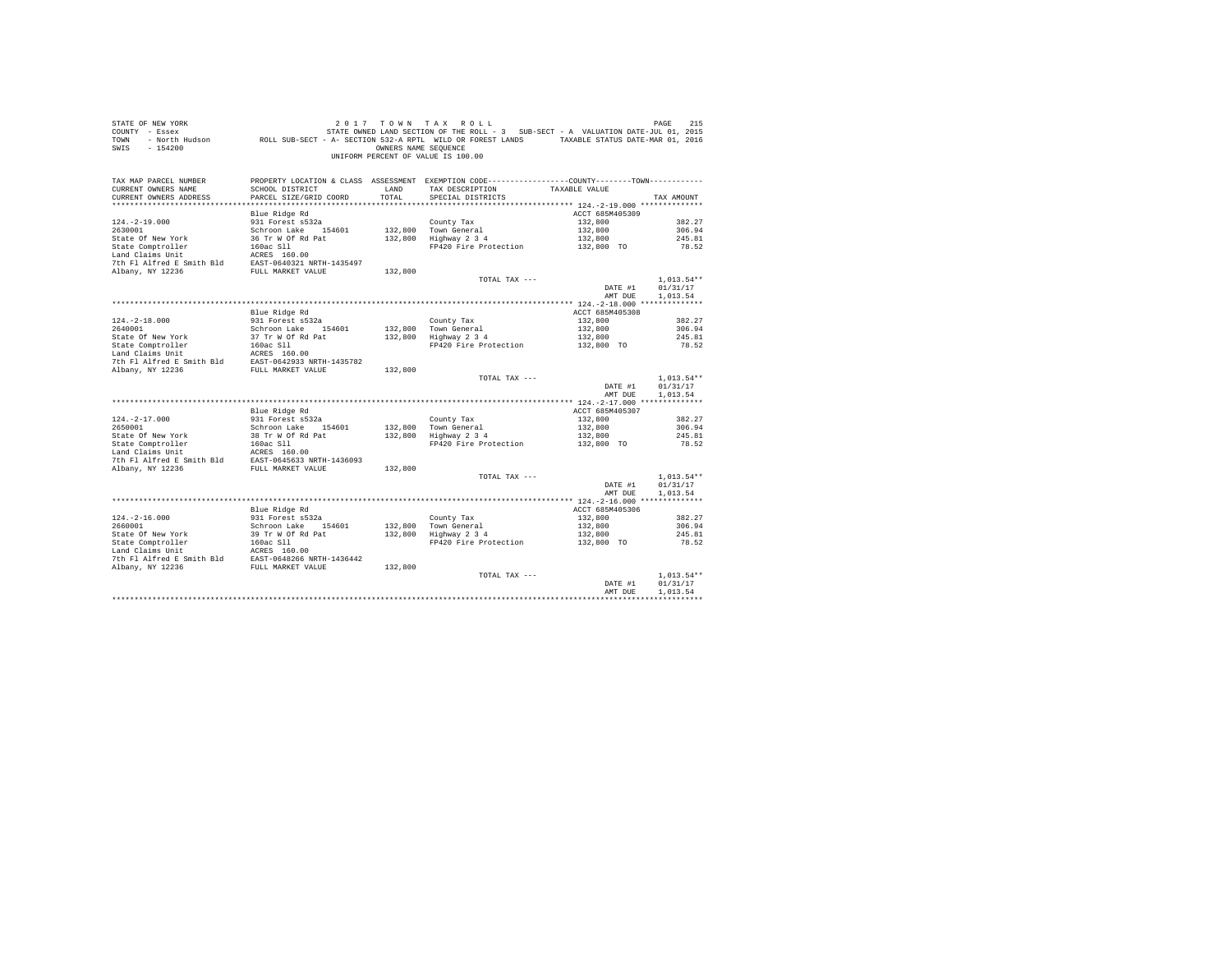| COUNTY - Essex<br>TOWN<br>SWIS<br>$-154200$                                                                                                                                                                                                                                            |                                         | OWNERS NAME SEQUENCE | UNIFORM PERCENT OF VALUE IS 100.00                                                              |                                  |                  |
|----------------------------------------------------------------------------------------------------------------------------------------------------------------------------------------------------------------------------------------------------------------------------------------|-----------------------------------------|----------------------|-------------------------------------------------------------------------------------------------|----------------------------------|------------------|
| TAX MAP PARCEL NUMBER                                                                                                                                                                                                                                                                  |                                         |                      | PROPERTY LOCATION & CLASS ASSESSMENT EXEMPTION CODE----------------COUNTY--------TOWN---------- |                                  |                  |
| CURRENT OWNERS NAME                                                                                                                                                                                                                                                                    | SCHOOL DISTRICT                         | LAND                 | TAX DESCRIPTION TAXABLE VALUE                                                                   |                                  |                  |
| CURRENT OWNERS ADDRESS                                                                                                                                                                                                                                                                 | PARCEL SIZE/GRID COORD                  | TOTAL                | SPECIAL DISTRICTS                                                                               |                                  | TAX AMOUNT       |
|                                                                                                                                                                                                                                                                                        |                                         |                      |                                                                                                 |                                  |                  |
|                                                                                                                                                                                                                                                                                        | Blue Ridge Rd<br>931 Forest s532a       |                      |                                                                                                 | ACCT 685M405309                  |                  |
| $124. -2 - 19.000$<br>2630001                                                                                                                                                                                                                                                          | Schroon Lake 154601                     |                      | County Tax<br>132.800 Town General                                                              | 132,800                          | 382.27<br>306.94 |
|                                                                                                                                                                                                                                                                                        |                                         |                      | 132,800 Highway 2 3 4                                                                           |                                  | 245.81           |
|                                                                                                                                                                                                                                                                                        |                                         |                      | FP420 Fire Protection                                                                           | 132,800<br>132,800<br>132,800 TO | 78.52            |
|                                                                                                                                                                                                                                                                                        |                                         |                      |                                                                                                 |                                  |                  |
|                                                                                                                                                                                                                                                                                        |                                         |                      |                                                                                                 |                                  |                  |
|                                                                                                                                                                                                                                                                                        |                                         | 132,800              |                                                                                                 |                                  |                  |
|                                                                                                                                                                                                                                                                                        |                                         |                      | TOTAL TAX ---                                                                                   |                                  | $1,013.54**$     |
|                                                                                                                                                                                                                                                                                        |                                         |                      |                                                                                                 | DATE #1                          | 01/31/17         |
|                                                                                                                                                                                                                                                                                        |                                         |                      |                                                                                                 | AMT DUE                          | 1,013.54         |
|                                                                                                                                                                                                                                                                                        |                                         |                      |                                                                                                 |                                  |                  |
|                                                                                                                                                                                                                                                                                        | Blue Ridge Rd                           |                      |                                                                                                 | ACCT 685M405308                  |                  |
| $124. - 2 - 18.000$                                                                                                                                                                                                                                                                    | 931 Forest s532a                        |                      | County Tax<br>132,800 Town General<br>132,800 Highway 2 3 4                                     | 132,800                          | 382.27           |
|                                                                                                                                                                                                                                                                                        |                                         |                      |                                                                                                 | 132,800<br>132,800               | 306.94           |
|                                                                                                                                                                                                                                                                                        |                                         |                      | FP420 Fire Protection 132,800 TO                                                                |                                  | 245.81<br>78.52  |
|                                                                                                                                                                                                                                                                                        |                                         |                      |                                                                                                 |                                  |                  |
|                                                                                                                                                                                                                                                                                        |                                         |                      |                                                                                                 |                                  |                  |
|                                                                                                                                                                                                                                                                                        |                                         | 132,800              |                                                                                                 |                                  |                  |
|                                                                                                                                                                                                                                                                                        |                                         |                      | TOTAL TAX ---                                                                                   |                                  | $1,013.54**$     |
|                                                                                                                                                                                                                                                                                        |                                         |                      |                                                                                                 | DATE #1                          | 01/31/17         |
|                                                                                                                                                                                                                                                                                        |                                         |                      |                                                                                                 | AMT DUE                          | 1,013.54         |
|                                                                                                                                                                                                                                                                                        |                                         |                      |                                                                                                 |                                  |                  |
|                                                                                                                                                                                                                                                                                        | Blue Ridge Rd                           |                      |                                                                                                 | ACCT 685M405307                  |                  |
| $124. - 2 - 17.000$                                                                                                                                                                                                                                                                    | 931 Forest s532a<br>Schroon Lake 154601 |                      | County Tax<br>132,800 Town General<br>132,800 Highway 2 3 4                                     | 132,800                          | 382.27           |
| 2650001                                                                                                                                                                                                                                                                                |                                         |                      |                                                                                                 |                                  | 306.94           |
|                                                                                                                                                                                                                                                                                        |                                         |                      | FP420 Fire Protection                                                                           | 132,800<br>132,800<br>132,800 TO | 245.81<br>78.52  |
|                                                                                                                                                                                                                                                                                        |                                         |                      |                                                                                                 |                                  |                  |
|                                                                                                                                                                                                                                                                                        |                                         |                      |                                                                                                 |                                  |                  |
|                                                                                                                                                                                                                                                                                        |                                         |                      |                                                                                                 |                                  |                  |
|                                                                                                                                                                                                                                                                                        |                                         |                      | TOTAL TAX ---                                                                                   |                                  | $1.013.54**$     |
|                                                                                                                                                                                                                                                                                        |                                         |                      |                                                                                                 | DATE #1                          | 01/31/17         |
|                                                                                                                                                                                                                                                                                        |                                         |                      |                                                                                                 | AMT DUE                          | 1,013.54         |
|                                                                                                                                                                                                                                                                                        |                                         |                      |                                                                                                 |                                  |                  |
|                                                                                                                                                                                                                                                                                        | Blue Ridge Rd                           |                      |                                                                                                 | ACCT 685M405306                  |                  |
|                                                                                                                                                                                                                                                                                        |                                         |                      |                                                                                                 | 132,800                          | 382.27           |
|                                                                                                                                                                                                                                                                                        |                                         |                      | County Tax<br>132,800 Town General<br>132,800 Highway 2 3 4                                     |                                  |                  |
|                                                                                                                                                                                                                                                                                        |                                         |                      |                                                                                                 |                                  |                  |
|                                                                                                                                                                                                                                                                                        |                                         |                      |                                                                                                 |                                  |                  |
|                                                                                                                                                                                                                                                                                        |                                         |                      |                                                                                                 |                                  |                  |
| $[124.-2-16.000~~241~{\rm ~kpct~s532a}~~2660001~{\rm ~kpct~s532a}~~251~{\rm ~kpct~s532a}~~2524~{\rm ~kpct~s532a}~~2524~{\rm ~kpct~s532a}~~2524~{\rm ~kpct~s532a}~~2524~{\rm ~kpct~s532a}~~2524~{\rm ~kpct~s532a}~~2524~{\rm ~kpct~s532a}~~2524~{\rm ~kpct~s532a}~~2524~{\rm ~kpct~s53$ |                                         |                      |                                                                                                 |                                  |                  |
|                                                                                                                                                                                                                                                                                        |                                         |                      | TOTAL TAX ---                                                                                   |                                  | $1.013.54**$     |
|                                                                                                                                                                                                                                                                                        |                                         |                      |                                                                                                 | DATE #1                          | 01/31/17         |
|                                                                                                                                                                                                                                                                                        |                                         |                      |                                                                                                 | AMT DUE                          | 1,013.54         |
|                                                                                                                                                                                                                                                                                        |                                         |                      |                                                                                                 |                                  |                  |

STATE OF NEW YORK 2017 TOWN TAX ROLL CHARGE 215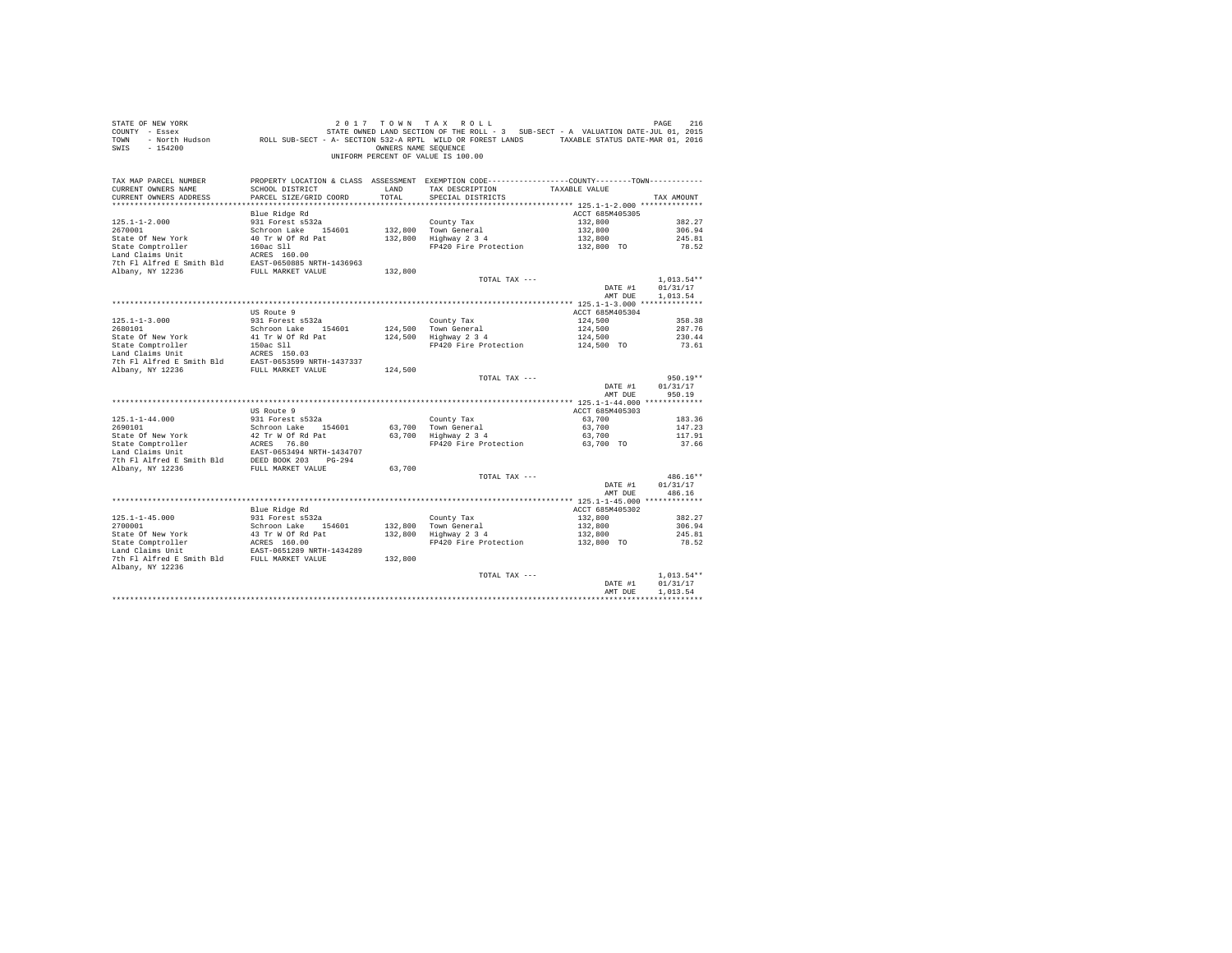| STATE OF NEW YORK<br>COUNTY - Essex<br>TOWN<br>$-154200$<br>SWIS                                                                                     |                                           | OWNERS NAME SEOUENCE | 2017 TOWN TAX ROLL<br>UF NEW YORK SOLU / TUWN TAX RULL SOLU<br>F ESSEX STATE OWNED LAND SECTION OF THE ROLL - 3 SUB-SECT - A VALUATION DATE-JUL 01, 2015<br>F NOT HUGSON - ROLL SUB-SECT - A - SECTION 532-A RPTL WILD OR FOREST LANDS - TAXABLE STATUS DA<br>UNIFORM PERCENT OF VALUE IS 100.00 |                       | PAGE<br>216          |
|------------------------------------------------------------------------------------------------------------------------------------------------------|-------------------------------------------|----------------------|--------------------------------------------------------------------------------------------------------------------------------------------------------------------------------------------------------------------------------------------------------------------------------------------------|-----------------------|----------------------|
| TAX MAP PARCEL NUMBER<br>CURRENT OWNERS NAME<br>CURRENT OWNERS ADDRESS                                                                               | SCHOOL DISTRICT<br>PARCEL SIZE/GRID COORD | LAND<br>TOTAL        | PROPERTY LOCATION & CLASS ASSESSMENT EXEMPTION CODE----------------COUNTY-------TOWN----------<br>TAX DESCRIPTION<br>SPECIAL DISTRICTS                                                                                                                                                           | TAXABLE VALUE         | TAX AMOUNT           |
|                                                                                                                                                      |                                           |                      |                                                                                                                                                                                                                                                                                                  |                       |                      |
|                                                                                                                                                      | Blue Ridge Rd                             |                      |                                                                                                                                                                                                                                                                                                  | ACCT 685M405305       |                      |
| $125.1 - 1 - 2.000$                                                                                                                                  | 931 Forest s532a                          |                      | County Tax                                                                                                                                                                                                                                                                                       | 132,800               | 382.27               |
| 2670001<br>State Of New York                                                                                                                         | Schroon Lake 154601                       |                      | 132,800 Town General<br>132,800 Highway 2 3 4                                                                                                                                                                                                                                                    | 132,800<br>132,800    | 306.94<br>245.81     |
|                                                                                                                                                      | 40 Tr W Of Rd Pat                         |                      | FP420 Fire Protection 132,800 TO                                                                                                                                                                                                                                                                 |                       | 78.52                |
|                                                                                                                                                      |                                           |                      |                                                                                                                                                                                                                                                                                                  |                       |                      |
|                                                                                                                                                      |                                           |                      |                                                                                                                                                                                                                                                                                                  |                       |                      |
| State Comptroller 160ac S11<br>Land Claims Unit<br>Land Claims Unit<br>2020 160ac S11<br>2020 100ac S12<br>2020 100ac S12<br>20236 FULL MARKET VALUE |                                           | 132,800              |                                                                                                                                                                                                                                                                                                  |                       |                      |
|                                                                                                                                                      |                                           |                      | TOTAL TAX ---                                                                                                                                                                                                                                                                                    |                       | $1,013.54**$         |
|                                                                                                                                                      |                                           |                      |                                                                                                                                                                                                                                                                                                  | DATE #1               | 01/31/17             |
|                                                                                                                                                      |                                           |                      |                                                                                                                                                                                                                                                                                                  | AMT DUE               | 1,013.54             |
|                                                                                                                                                      |                                           |                      |                                                                                                                                                                                                                                                                                                  |                       |                      |
|                                                                                                                                                      | US Route 9                                |                      |                                                                                                                                                                                                                                                                                                  | ACCT 685M405304       |                      |
| $125.1 - 1 - 3.000$<br>2680101                                                                                                                       | 931 Forest s532a<br>Schroon Lake 154601   |                      | County Tax                                                                                                                                                                                                                                                                                       | 124,500<br>124,500    | 358.38<br>287.76     |
|                                                                                                                                                      |                                           |                      | 124,500 Town General<br>124,500 Highway 2 3 4                                                                                                                                                                                                                                                    |                       | 230.44               |
|                                                                                                                                                      |                                           |                      | $\frac{3}{2}$ Highway 2 3 4 124,500<br>FP420 Fire Protection 124,500 TO                                                                                                                                                                                                                          |                       | 73.61                |
|                                                                                                                                                      |                                           |                      |                                                                                                                                                                                                                                                                                                  |                       |                      |
|                                                                                                                                                      |                                           |                      |                                                                                                                                                                                                                                                                                                  |                       |                      |
|                                                                                                                                                      |                                           | 124,500              |                                                                                                                                                                                                                                                                                                  |                       |                      |
|                                                                                                                                                      |                                           |                      | TOTAL TAX ---                                                                                                                                                                                                                                                                                    |                       | $950.19**$           |
|                                                                                                                                                      |                                           |                      |                                                                                                                                                                                                                                                                                                  | DATE #1               | 01/31/17             |
|                                                                                                                                                      |                                           |                      |                                                                                                                                                                                                                                                                                                  | AMT DUE               | 950.19               |
|                                                                                                                                                      | US Route 9                                |                      |                                                                                                                                                                                                                                                                                                  | ACCT 685M405303       |                      |
| $125.1 - 1 - 44.000$                                                                                                                                 | 931 Forest s532a                          |                      | County Tax                                                                                                                                                                                                                                                                                       | 63,700                | 183.36               |
| 2690101                                                                                                                                              | Schroon Lake 154601                       |                      |                                                                                                                                                                                                                                                                                                  | 63,700                | 147.23               |
|                                                                                                                                                      |                                           |                      | 63,700 Town General<br>63,700 Highway 2 3 4                                                                                                                                                                                                                                                      | 63,700                | 117.91               |
|                                                                                                                                                      |                                           |                      | FP420 Fire Protection 63,700 TO                                                                                                                                                                                                                                                                  |                       | 37.66                |
|                                                                                                                                                      |                                           |                      |                                                                                                                                                                                                                                                                                                  |                       |                      |
|                                                                                                                                                      |                                           |                      |                                                                                                                                                                                                                                                                                                  |                       |                      |
|                                                                                                                                                      |                                           | 63,700               |                                                                                                                                                                                                                                                                                                  |                       |                      |
|                                                                                                                                                      |                                           |                      | TOTAL TAX ---                                                                                                                                                                                                                                                                                    | DATE #1               | 486.16**<br>01/31/17 |
|                                                                                                                                                      |                                           |                      |                                                                                                                                                                                                                                                                                                  | AMT DUE               | 486.16               |
|                                                                                                                                                      |                                           |                      |                                                                                                                                                                                                                                                                                                  |                       |                      |
|                                                                                                                                                      | Blue Ridge Rd                             |                      |                                                                                                                                                                                                                                                                                                  | ACCT 685M405302       |                      |
| $125.1 - 1 - 45.000$                                                                                                                                 |                                           |                      | County Tax                                                                                                                                                                                                                                                                                       | 132,800               | 382.27               |
| 2700001                                                                                                                                              | 931 Forest s532a<br>Schroon Lake 154601   |                      | County Tax<br>132,800   Town General<br>132,800   Highway 2 3 4                                                                                                                                                                                                                                  | 132,800               | 306.94               |
|                                                                                                                                                      |                                           |                      |                                                                                                                                                                                                                                                                                                  | 132,800<br>132,800 TO | 245.81               |
|                                                                                                                                                      |                                           |                      | FP420 Fire Protection                                                                                                                                                                                                                                                                            |                       | 78.52                |
|                                                                                                                                                      |                                           |                      |                                                                                                                                                                                                                                                                                                  |                       |                      |
| Albany, NY 12236                                                                                                                                     |                                           | 132,800              |                                                                                                                                                                                                                                                                                                  |                       |                      |
|                                                                                                                                                      |                                           |                      | TOTAL TAX ---                                                                                                                                                                                                                                                                                    |                       | $1.013.54**$         |
|                                                                                                                                                      |                                           |                      |                                                                                                                                                                                                                                                                                                  | DATE #1               | 01/31/17             |
|                                                                                                                                                      |                                           |                      |                                                                                                                                                                                                                                                                                                  | AMT DUE               | 1,013.54             |
|                                                                                                                                                      |                                           |                      |                                                                                                                                                                                                                                                                                                  |                       |                      |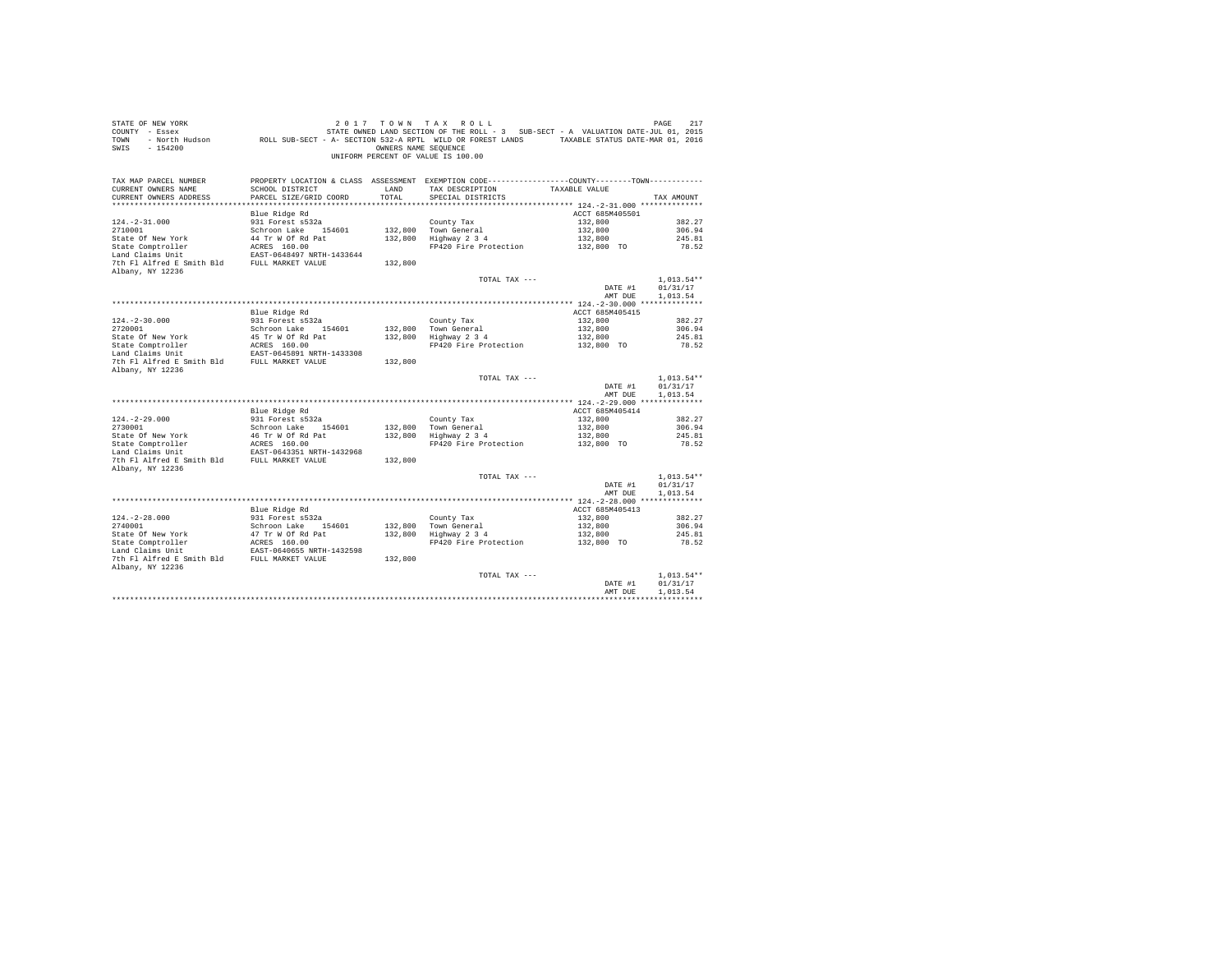| STATE OF NEW YORK<br>COUNTY - Essex<br>TOWN<br>SWIS<br>$-154200$       | - North Hudson ROLL SUB-SECT - A- SECTION 532-A RPTL WILD OR FOREST LANDS TAXABLE STATUS DATE-MAR 01, 2016 | OWNERS NAME SEOUENCE | 2017 TOWN TAX ROLL<br>STATE OWNED LAND SECTION OF THE ROLL - 3 SUB-SECT - A VALUATION DATE-JUL 01, 2015<br>UNIFORM PERCENT OF VALUE IS 100.00 |                       | 217<br>PAGE                          |
|------------------------------------------------------------------------|------------------------------------------------------------------------------------------------------------|----------------------|-----------------------------------------------------------------------------------------------------------------------------------------------|-----------------------|--------------------------------------|
| TAX MAP PARCEL NUMBER<br>CURRENT OWNERS NAME<br>CURRENT OWNERS ADDRESS | SCHOOL DISTRICT<br>PARCEL SIZE/GRID COORD                                                                  | LAND<br>TOTAL        | PROPERTY LOCATION & CLASS ASSESSMENT EXEMPTION CODE----------------COUNTY--------TOWN----------<br>TAX DESCRIPTION<br>SPECIAL DISTRICTS       | TAXABLE VALUE         | TAX AMOUNT                           |
|                                                                        | Blue Ridge Rd                                                                                              |                      |                                                                                                                                               | ACCT 685M405501       |                                      |
| $124. -2 - 31.000$                                                     | 931 Forest s532a                                                                                           |                      | County Tax                                                                                                                                    | 132,800               | 382.27                               |
| 2710001                                                                | Schroon Lake 154601                                                                                        |                      | 132,800 Town General                                                                                                                          | 132,800               | 306.94                               |
| State Of New York                                                      | 44 Tr W Of Rd Pat                                                                                          |                      | 132,800 Highway 2 3 4                                                                                                                         | 132,800               | 245.81                               |
| State Comptroller                                                      | ACRES 160.00                                                                                               |                      | FP420 Fire Protection                                                                                                                         | 132,800 TO            | 78.52                                |
| Land Claims Unit                                                       | EAST-0648497 NRTH-1433644                                                                                  |                      |                                                                                                                                               |                       |                                      |
| 7th Fl Alfred E Smith Bld FULL MARKET VALUE<br>Albany, NY 12236        |                                                                                                            | 132,800              |                                                                                                                                               |                       |                                      |
|                                                                        |                                                                                                            |                      | TOTAL TAX ---                                                                                                                                 |                       | $1,013.54**$                         |
|                                                                        |                                                                                                            |                      |                                                                                                                                               | DATE #1               | 01/31/17                             |
|                                                                        |                                                                                                            |                      |                                                                                                                                               | AMT DUE               | 1,013.54                             |
|                                                                        |                                                                                                            |                      |                                                                                                                                               |                       |                                      |
|                                                                        | Blue Ridge Rd                                                                                              |                      |                                                                                                                                               | ACCT 685M405415       |                                      |
| $124. - 2 - 30.000$<br>2720001                                         | 931 Forest s532a                                                                                           |                      | County Tax<br>132,800 Town General                                                                                                            | 132,800<br>132,800    | 382.27<br>306.94                     |
| State Of New York                                                      | Schroon Lake 154601                                                                                        |                      | 132,800 Town General<br>132,800 Highway 2 3 4                                                                                                 | 132,800               | 245.81                               |
|                                                                        |                                                                                                            |                      | FP420 Fire Protection                                                                                                                         | 132,800 TO            | 78.52                                |
| State Comptroller<br>Land Claims Unit                                  | 45 Tr W Of Rd Pat<br>ACRES 160.00<br>EAST-0645891 NRTH-1433308                                             |                      |                                                                                                                                               |                       |                                      |
| 7th Fl Alfred E Smith Bld FULL MARKET VALUE                            |                                                                                                            | 132,800              |                                                                                                                                               |                       |                                      |
| Albany, NY 12236                                                       |                                                                                                            |                      |                                                                                                                                               |                       |                                      |
|                                                                        |                                                                                                            |                      | TOTAL TAX ---                                                                                                                                 | DATE #1<br>AMT DUE    | $1,013.54**$<br>01/31/17<br>1.013.54 |
|                                                                        |                                                                                                            |                      |                                                                                                                                               |                       |                                      |
|                                                                        | Blue Ridge Rd                                                                                              |                      |                                                                                                                                               | ACCT 685M405414       |                                      |
| $124. -2 - 29.000$                                                     | 931 Forest s532a                                                                                           |                      | County Tax                                                                                                                                    | 132,800               | 382.27                               |
| 2730001                                                                | Schroon Lake 154601                                                                                        |                      | 132,800 Town General<br>132,800 Highway 2 3 4                                                                                                 | 132,800               | 306.94                               |
|                                                                        | 46 Tr W Of Rd Pat<br>ACRES 160.00                                                                          |                      | FP420 Fire Protection                                                                                                                         | 132,800<br>132,800 TO | 245.81<br>78.52                      |
| 2730001<br>State Of New York<br>State Comptroller                      | EAST-0643351 NRTH-1432968                                                                                  |                      |                                                                                                                                               |                       |                                      |
| 7th Fl Alfred E Smith Bld FULL MARKET VALUE                            |                                                                                                            | 132,800              |                                                                                                                                               |                       |                                      |
| Albany, NY 12236                                                       |                                                                                                            |                      |                                                                                                                                               |                       |                                      |
|                                                                        |                                                                                                            |                      | TOTAL TAX ---                                                                                                                                 |                       | $1.013.54**$                         |
|                                                                        |                                                                                                            |                      |                                                                                                                                               | DATE #1               | 01/31/17                             |
|                                                                        |                                                                                                            |                      |                                                                                                                                               | AMT DUE               | 1,013.54                             |
|                                                                        | Blue Ridge Rd                                                                                              |                      |                                                                                                                                               | ACCT 685M405413       |                                      |
| $124. -2 - 28.000$                                                     |                                                                                                            |                      | County Tax                                                                                                                                    | 132,800               | 382.27                               |
| 2740001                                                                | 931 Forest s532a<br>Schroon Lake 154601                                                                    |                      |                                                                                                                                               | 132,800               | 306.94                               |
| State Of New York<br>State Comptroller<br>Land Claims Unit             | 47 Tr W Of Rd Pat<br>ACRES 160.00<br>EAST-0640655 NRTH-1432598                                             |                      | 132,800 Town General<br>132,800 Highway 2 3 4                                                                                                 | 132,800               | 245.81                               |
|                                                                        |                                                                                                            |                      | FP420 Fire Protection                                                                                                                         | 132,800 TO            | 78.52                                |
|                                                                        |                                                                                                            |                      |                                                                                                                                               |                       |                                      |
| 7th Fl Alfred E Smith Bld FULL MARKET VALUE<br>Albany, NY 12236        |                                                                                                            | 132,800              |                                                                                                                                               |                       |                                      |
|                                                                        |                                                                                                            |                      | TOTAL TAX ---                                                                                                                                 |                       | $1.013.54**$                         |
|                                                                        |                                                                                                            |                      |                                                                                                                                               | DATE #1               | 01/31/17                             |
|                                                                        |                                                                                                            |                      |                                                                                                                                               | AMT DUE               | 1,013.54                             |
|                                                                        |                                                                                                            |                      |                                                                                                                                               |                       |                                      |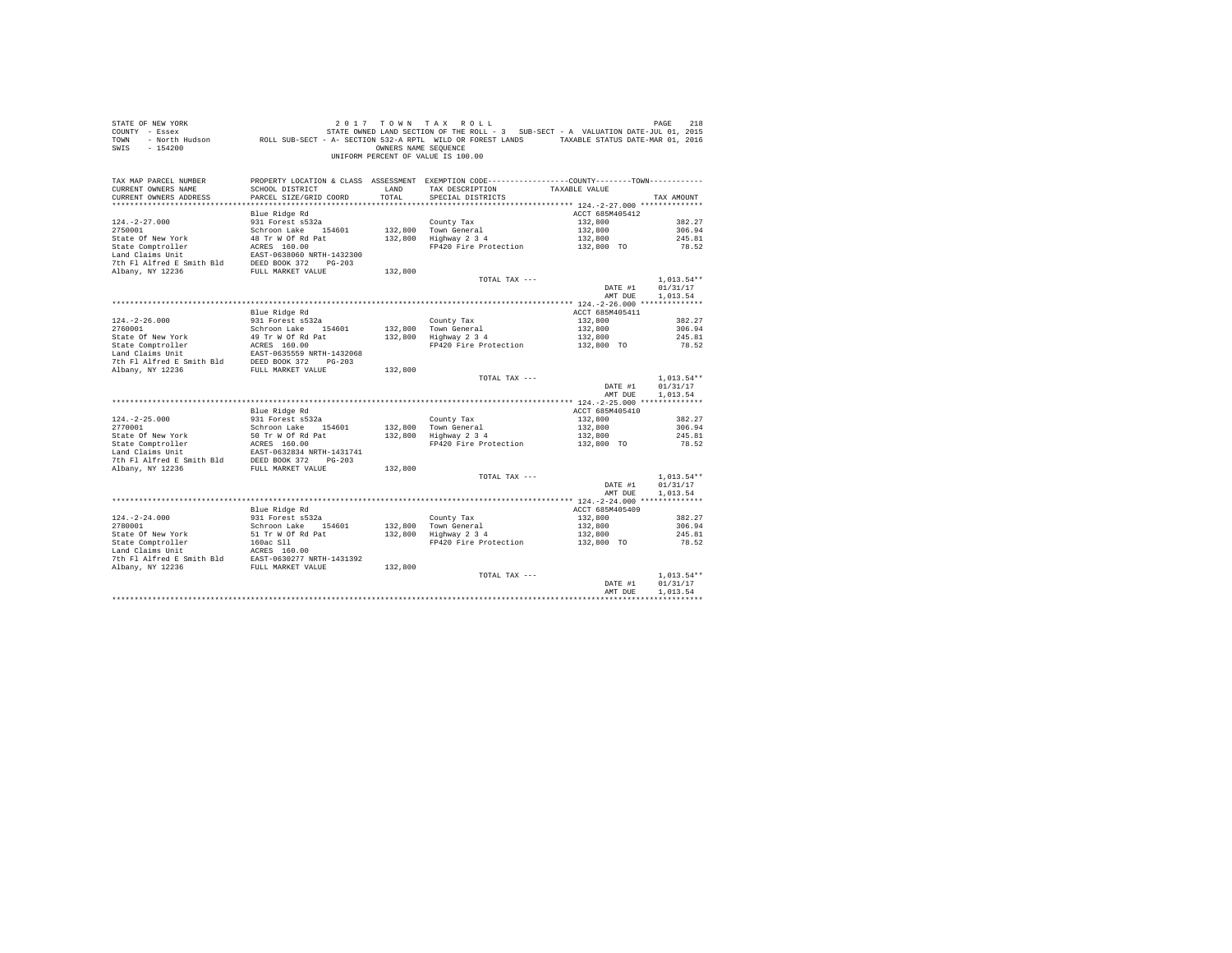| STATE OF NEW YORK<br>COUNTY - Essex<br>TOWN<br>$-154200$<br>SWIS                                                                                                                                                                             |                                           | OWNERS NAME SEOUENCE | 2017 TOWN TAX ROLL<br>OF NEW YORK TREE 218 219 211 7 2 10 N TAX ROLL<br>- Essex STATE-JULO1, 2015 27ATE OWNED LAND SECTION OF THE ROLL - 3 SUB-SECT - A VALUATION DATE-JULO1, 2016<br>- North Hudson     ROLL SUB-SECT - A - SECTION 532-A RPTL WILD OR F<br>UNIFORM PERCENT OF VALUE IS 100.00 |                       | PAGE<br>218                          |
|----------------------------------------------------------------------------------------------------------------------------------------------------------------------------------------------------------------------------------------------|-------------------------------------------|----------------------|-------------------------------------------------------------------------------------------------------------------------------------------------------------------------------------------------------------------------------------------------------------------------------------------------|-----------------------|--------------------------------------|
| TAX MAP PARCEL NUMBER<br>CURRENT OWNERS NAME<br>CURRENT OWNERS ADDRESS                                                                                                                                                                       | SCHOOL DISTRICT<br>PARCEL SIZE/GRID COORD | LAND<br>TOTAL        | PROPERTY LOCATION & CLASS ASSESSMENT EXEMPTION CODE---------------COUNTY-------TOWN---------<br>TAX DESCRIPTION<br>SPECIAL DISTRICTS                                                                                                                                                            | TAXABLE VALUE         | TAX AMOUNT                           |
|                                                                                                                                                                                                                                              |                                           |                      |                                                                                                                                                                                                                                                                                                 |                       |                                      |
|                                                                                                                                                                                                                                              | Blue Ridge Rd                             |                      |                                                                                                                                                                                                                                                                                                 | ACCT 685M405412       |                                      |
| $124. -2 - 27.000$<br>2750001                                                                                                                                                                                                                | 931 Forest s532a                          |                      | County Tax                                                                                                                                                                                                                                                                                      | 132,800<br>132,800    | 382.27<br>306.94                     |
|                                                                                                                                                                                                                                              | Schroon Lake 154601<br>48 Tr W Of Rd Pat  |                      | 132,800 Town General<br>$132,800$ Hown General<br>$132,800$ Highway $2\,3\,4$                                                                                                                                                                                                                   | 132,800               | 245.81                               |
|                                                                                                                                                                                                                                              |                                           |                      | FP420 Fire Protection 132,800 TO                                                                                                                                                                                                                                                                |                       | 78.52                                |
|                                                                                                                                                                                                                                              |                                           |                      |                                                                                                                                                                                                                                                                                                 |                       |                                      |
|                                                                                                                                                                                                                                              |                                           |                      |                                                                                                                                                                                                                                                                                                 |                       |                                      |
|                                                                                                                                                                                                                                              |                                           | 132,800              |                                                                                                                                                                                                                                                                                                 |                       |                                      |
|                                                                                                                                                                                                                                              |                                           |                      | TOTAL TAX ---                                                                                                                                                                                                                                                                                   |                       | $1,013.54**$                         |
|                                                                                                                                                                                                                                              |                                           |                      |                                                                                                                                                                                                                                                                                                 | DATE #1               | 01/31/17                             |
|                                                                                                                                                                                                                                              |                                           |                      |                                                                                                                                                                                                                                                                                                 | AMT DUE               | 1,013.54                             |
|                                                                                                                                                                                                                                              | Blue Ridge Rd                             |                      |                                                                                                                                                                                                                                                                                                 | ACCT 685M405411       |                                      |
| $124. - 2 - 26.000$                                                                                                                                                                                                                          | 931 Forest s532a                          |                      | County Tax                                                                                                                                                                                                                                                                                      | 132,800               | 382.27                               |
| 2760001                                                                                                                                                                                                                                      | Schroon Lake 154601                       |                      |                                                                                                                                                                                                                                                                                                 | 132,800               | 306.94                               |
|                                                                                                                                                                                                                                              |                                           |                      | 132,800 Town General<br>132,800 Highway 2 3 4                                                                                                                                                                                                                                                   |                       | 245.81                               |
|                                                                                                                                                                                                                                              |                                           |                      | rown Generai<br>Highway 234<br>FP420 Fire Protection 132,800 TO                                                                                                                                                                                                                                 |                       | 78.52                                |
|                                                                                                                                                                                                                                              |                                           |                      |                                                                                                                                                                                                                                                                                                 |                       |                                      |
|                                                                                                                                                                                                                                              |                                           |                      |                                                                                                                                                                                                                                                                                                 |                       |                                      |
|                                                                                                                                                                                                                                              |                                           | 132,800              |                                                                                                                                                                                                                                                                                                 |                       |                                      |
|                                                                                                                                                                                                                                              |                                           |                      | TOTAL TAX ---                                                                                                                                                                                                                                                                                   | DATE #1<br>AMT DUE    | $1,013.54**$<br>01/31/17<br>1.013.54 |
|                                                                                                                                                                                                                                              |                                           |                      |                                                                                                                                                                                                                                                                                                 |                       |                                      |
|                                                                                                                                                                                                                                              | Blue Ridge Rd                             |                      |                                                                                                                                                                                                                                                                                                 | ACCT 685M405410       |                                      |
| $124. -2 - 25.000$                                                                                                                                                                                                                           | 931 Forest s532a                          |                      | County Tax                                                                                                                                                                                                                                                                                      | 132,800               | 382.27                               |
| 2770001                                                                                                                                                                                                                                      | Schroon Lake 154601                       |                      | 132,800 Town General<br>132,800 Highway 2 3 4                                                                                                                                                                                                                                                   | 132,800               | 306.94                               |
| State Of New York 50 Tr W Of Rd Pat<br>State Comptroller ACRS 160.00<br>Land Claims Unit<br>Land Claims Unit Patch 2857-0632834 NRTH-1431741<br>7th Fl Aifred E Smith Bld<br>DEED BOOK 372<br>FULL MARKET VALUE<br>7th Fl Aifred E Smith Bld |                                           |                      | FP420 Fire Protection 132,800 TO                                                                                                                                                                                                                                                                | 132,800               | 245.81                               |
|                                                                                                                                                                                                                                              |                                           |                      |                                                                                                                                                                                                                                                                                                 |                       | 78.52                                |
|                                                                                                                                                                                                                                              |                                           |                      |                                                                                                                                                                                                                                                                                                 |                       |                                      |
|                                                                                                                                                                                                                                              |                                           | 132,800              |                                                                                                                                                                                                                                                                                                 |                       |                                      |
|                                                                                                                                                                                                                                              |                                           |                      | TOTAL TAX ---                                                                                                                                                                                                                                                                                   |                       | $1.013.54**$                         |
|                                                                                                                                                                                                                                              |                                           |                      |                                                                                                                                                                                                                                                                                                 | DATE #1               | 01/31/17                             |
|                                                                                                                                                                                                                                              |                                           |                      |                                                                                                                                                                                                                                                                                                 | AMT DUE               | 1,013.54                             |
|                                                                                                                                                                                                                                              |                                           |                      |                                                                                                                                                                                                                                                                                                 |                       |                                      |
|                                                                                                                                                                                                                                              | Blue Ridge Rd                             |                      |                                                                                                                                                                                                                                                                                                 | ACCT 685M405409       |                                      |
| $124. - 2 - 24.000$<br>2780001                                                                                                                                                                                                               | 931 Forest s532a<br>Schroon Lake 154601   |                      | County Tax                                                                                                                                                                                                                                                                                      | 132,800<br>132,800    | 382.27<br>306.94                     |
|                                                                                                                                                                                                                                              |                                           |                      | County Tax<br>132,800 Town General<br>132,800 Highway 2 3 4                                                                                                                                                                                                                                     |                       | 245.81                               |
|                                                                                                                                                                                                                                              |                                           |                      | FP420 Fire Protection                                                                                                                                                                                                                                                                           | 132,800<br>132,800 TO | 78.52                                |
|                                                                                                                                                                                                                                              |                                           |                      |                                                                                                                                                                                                                                                                                                 |                       |                                      |
|                                                                                                                                                                                                                                              |                                           |                      |                                                                                                                                                                                                                                                                                                 |                       |                                      |
|                                                                                                                                                                                                                                              |                                           |                      |                                                                                                                                                                                                                                                                                                 |                       |                                      |
|                                                                                                                                                                                                                                              |                                           |                      | TOTAL TAX ---                                                                                                                                                                                                                                                                                   |                       | $1.013.54**$                         |
|                                                                                                                                                                                                                                              |                                           |                      |                                                                                                                                                                                                                                                                                                 | DATE #1<br>AMT DUE    | 01/31/17<br>1,013.54                 |
|                                                                                                                                                                                                                                              |                                           |                      |                                                                                                                                                                                                                                                                                                 |                       |                                      |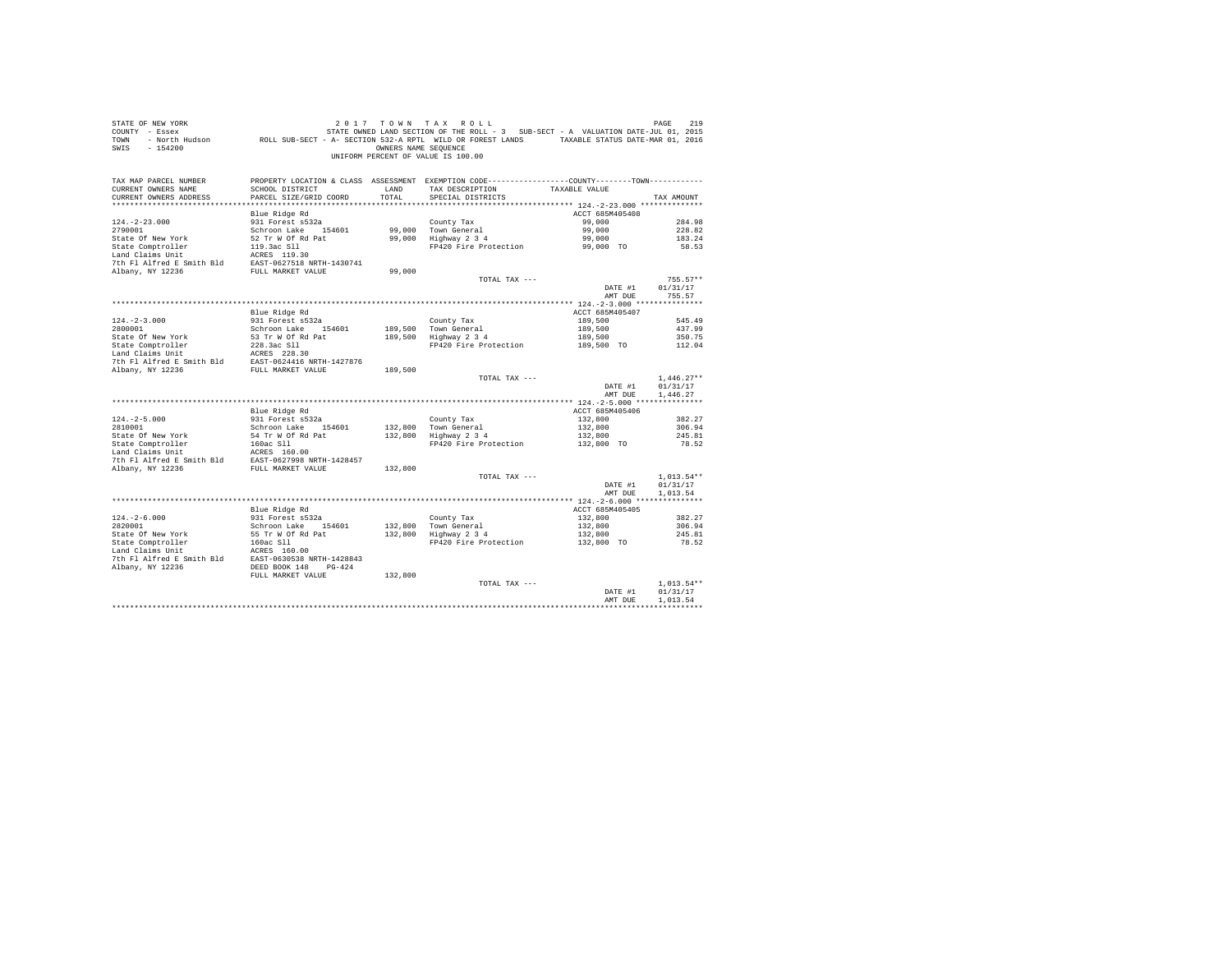| SWIS - 154200                                                                                                                                                             |                                          | OWNERS NAME SEQUENCE | 2017 TOWN TAX ROLL<br>UNIFORM PERCENT OF VALUE IS 100.00                                                                             |                           |                          |
|---------------------------------------------------------------------------------------------------------------------------------------------------------------------------|------------------------------------------|----------------------|--------------------------------------------------------------------------------------------------------------------------------------|---------------------------|--------------------------|
| TAX MAP PARCEL NUMBER<br>CURRENT OWNERS NAME                                                                                                                              | SCHOOL DISTRICT                          |                      | PROPERTY LOCATION & CLASS ASSESSMENT EXEMPTION CODE----------------COUNTY-------TOWN----------<br>LAND TAX DESCRIPTION TAXABLE VALUE |                           |                          |
| CURRENT OWNERS ADDRESS                                                                                                                                                    | PARCEL SIZE/GRID COORD                   | TOTAL                | SPECIAL DISTRICTS                                                                                                                    |                           | TAX AMOUNT               |
|                                                                                                                                                                           |                                          |                      |                                                                                                                                      |                           |                          |
|                                                                                                                                                                           | Blue Ridge Rd                            |                      |                                                                                                                                      | ACCT 685M405408           |                          |
| $124. -2 - 23.000$                                                                                                                                                        | 931 Forest s532a                         |                      | County Tax<br>99,000 Town General<br>99,000 Highway 2 3 4                                                                            | 99,000                    | 284.98                   |
| 2790001                                                                                                                                                                   | Schroon Lake 154601                      |                      |                                                                                                                                      | 99,000                    | 228.82                   |
| State Of New York                                                                                                                                                         | 52 Tr W Of Rd Pat                        |                      |                                                                                                                                      | 99,000                    | 183.24                   |
|                                                                                                                                                                           |                                          |                      | FP420 Fire Protection                                                                                                                | 99,000 TO                 | 58.53                    |
|                                                                                                                                                                           |                                          |                      |                                                                                                                                      |                           |                          |
| Albany, NY 12236                                                                                                                                                          | FULL MARKET VALUE                        | 99,000               |                                                                                                                                      |                           |                          |
|                                                                                                                                                                           |                                          |                      | TOTAL TAX ---                                                                                                                        |                           | $755.57**$               |
|                                                                                                                                                                           |                                          |                      |                                                                                                                                      | DATE #1                   | 01/31/17                 |
|                                                                                                                                                                           |                                          |                      |                                                                                                                                      | AMT DUE                   | 755.57                   |
|                                                                                                                                                                           |                                          |                      |                                                                                                                                      |                           |                          |
|                                                                                                                                                                           | Blue Ridge Rd                            |                      |                                                                                                                                      | ACCT 685M405407           |                          |
| $124. -2 - 3.000$                                                                                                                                                         | 931 Forest s532a                         |                      |                                                                                                                                      | 189,500                   | 545.49                   |
| 2800001                                                                                                                                                                   | Schroon Lake 154601<br>53 Tr W Of Rd Pat | 189,500              | County Tax<br>189,500 Town General<br>189,500 Highway 2 3 4                                                                          | 189,500                   | 437.99                   |
| State Of New York                                                                                                                                                         |                                          |                      | FP420 Fire Protection                                                                                                                | 189,500<br>189,500 TO     | 350.75<br>112.04         |
|                                                                                                                                                                           |                                          |                      |                                                                                                                                      |                           |                          |
|                                                                                                                                                                           |                                          |                      |                                                                                                                                      |                           |                          |
| State Comptroller 228.3ac S11<br>Land Claims Unit 228.3ac S11<br>Land Claims Unit 26RES 228.30<br>7th F1 Alfred E Smith Bld EAST-0624416 NRTH-1427876<br>Albany, NY 12236 |                                          | 189,500              |                                                                                                                                      |                           |                          |
|                                                                                                                                                                           |                                          |                      | TOTAL TAX ---                                                                                                                        |                           | $1,446.27**$             |
|                                                                                                                                                                           |                                          |                      |                                                                                                                                      | DATE #1                   | 01/31/17                 |
|                                                                                                                                                                           |                                          |                      |                                                                                                                                      | AMT DUE                   | 1,446.27                 |
|                                                                                                                                                                           |                                          |                      |                                                                                                                                      | ACCT 685M405406           |                          |
| $124. - 2 - 5.000$                                                                                                                                                        | Blue Ridge Rd<br>931 Forest s532a        |                      |                                                                                                                                      | 132,800                   | 382.27                   |
| 2810001                                                                                                                                                                   | Schroon Lake 154601                      |                      |                                                                                                                                      | 132,800                   | 306.94                   |
|                                                                                                                                                                           |                                          |                      | County Tax<br>132,800 Town General<br>132,800 Highway 2 3 4                                                                          |                           | 245.81                   |
|                                                                                                                                                                           |                                          |                      | FP420 Fire Protection                                                                                                                | $132,800$<br>$132,800$ TO | 78.52                    |
|                                                                                                                                                                           |                                          |                      |                                                                                                                                      |                           |                          |
|                                                                                                                                                                           |                                          |                      |                                                                                                                                      |                           |                          |
|                                                                                                                                                                           |                                          |                      |                                                                                                                                      |                           |                          |
|                                                                                                                                                                           |                                          |                      | TOTAL TAX ---                                                                                                                        |                           | $1.013.54**$<br>01/31/17 |
|                                                                                                                                                                           |                                          |                      |                                                                                                                                      | DATE #1<br>AMT DUE        | 1,013.54                 |
|                                                                                                                                                                           |                                          |                      |                                                                                                                                      |                           |                          |
|                                                                                                                                                                           | Blue Ridge Rd                            |                      |                                                                                                                                      | ACCT 685M405405           |                          |
|                                                                                                                                                                           | 931 Forest s532a                         |                      |                                                                                                                                      | 132,800                   | 382.27                   |
|                                                                                                                                                                           |                                          |                      |                                                                                                                                      | 132,800                   | 306.94                   |
|                                                                                                                                                                           |                                          |                      |                                                                                                                                      | 132,800                   | 245.81                   |
|                                                                                                                                                                           |                                          |                      | FP420 Fire Protection 132,800 TO                                                                                                     |                           | 78.52                    |
|                                                                                                                                                                           |                                          |                      |                                                                                                                                      |                           |                          |
|                                                                                                                                                                           |                                          |                      |                                                                                                                                      |                           |                          |
|                                                                                                                                                                           |                                          |                      |                                                                                                                                      |                           |                          |
|                                                                                                                                                                           |                                          |                      | TOTAL TAX ---                                                                                                                        |                           | $1.013.54**$             |
|                                                                                                                                                                           |                                          |                      |                                                                                                                                      | DATE #1                   | 01/31/17                 |
|                                                                                                                                                                           |                                          |                      |                                                                                                                                      | AMT DUE                   | 1,013.54                 |
|                                                                                                                                                                           |                                          |                      |                                                                                                                                      |                           |                          |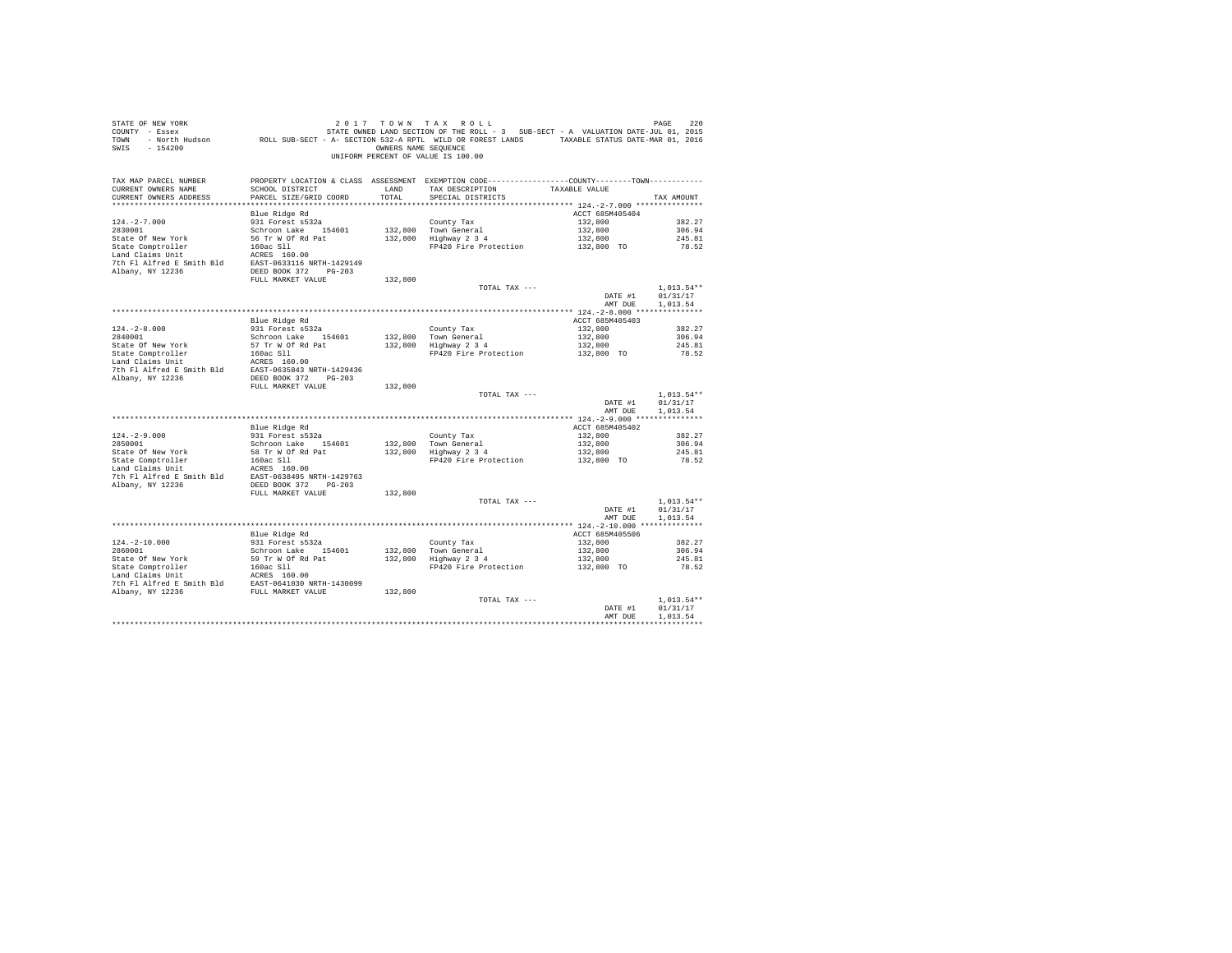| SWIS - 154200                                                                                                                                                                                 |                                                                                               |         | OWNERS NAME SEQUENCE<br>UNIFORM PERCENT OF VALUE IS 100.00                                                            |                                                                  |                          |
|-----------------------------------------------------------------------------------------------------------------------------------------------------------------------------------------------|-----------------------------------------------------------------------------------------------|---------|-----------------------------------------------------------------------------------------------------------------------|------------------------------------------------------------------|--------------------------|
| TAX MAP PARCEL NUMBER                                                                                                                                                                         | PROPERTY LOCATION & CLASS ASSESSMENT EXEMPTION CODE----------------COUNTY-------TOWN--------- |         |                                                                                                                       |                                                                  |                          |
| CURRENT OWNERS NAME<br>CURRENT OWNERS ADDRESS                                                                                                                                                 | PARCEL SIZE/GRID COORD                                                                        | TOTAL   | SCHOOL DISTRICT                       LAND        TAX DESCRIPTION                  TAXABLE VALUE<br>SPECIAL DISTRICTS |                                                                  | TAX AMOUNT               |
|                                                                                                                                                                                               |                                                                                               |         |                                                                                                                       |                                                                  |                          |
|                                                                                                                                                                                               |                                                                                               |         |                                                                                                                       |                                                                  |                          |
|                                                                                                                                                                                               |                                                                                               |         |                                                                                                                       |                                                                  |                          |
|                                                                                                                                                                                               |                                                                                               |         |                                                                                                                       |                                                                  |                          |
|                                                                                                                                                                                               |                                                                                               |         |                                                                                                                       |                                                                  |                          |
|                                                                                                                                                                                               |                                                                                               |         |                                                                                                                       |                                                                  |                          |
|                                                                                                                                                                                               |                                                                                               |         |                                                                                                                       |                                                                  |                          |
|                                                                                                                                                                                               |                                                                                               |         |                                                                                                                       |                                                                  |                          |
|                                                                                                                                                                                               |                                                                                               |         |                                                                                                                       |                                                                  |                          |
|                                                                                                                                                                                               |                                                                                               |         | TOTAL TAX ---                                                                                                         | DATE #1                                                          | $1.013.54**$<br>01/31/17 |
|                                                                                                                                                                                               |                                                                                               |         |                                                                                                                       | AMT DUE                                                          | 1,013.54                 |
|                                                                                                                                                                                               |                                                                                               |         |                                                                                                                       |                                                                  |                          |
|                                                                                                                                                                                               | Blue Ridge Rd                                                                                 |         |                                                                                                                       | ACCT 685M405403                                                  |                          |
| $124. -2 - 8.000$<br>$2840001$                                                                                                                                                                |                                                                                               |         |                                                                                                                       |                                                                  | 382.27                   |
|                                                                                                                                                                                               |                                                                                               |         |                                                                                                                       |                                                                  | 306.94<br>245.81         |
|                                                                                                                                                                                               |                                                                                               |         | County Tax<br>132,800<br>Town General<br>Highway 2 3 4<br>FP420 Fire Protection<br>132,800<br>132,800<br>TO           |                                                                  | 78.52                    |
|                                                                                                                                                                                               |                                                                                               |         |                                                                                                                       |                                                                  |                          |
| 2840001<br>State Of New York 57 Tr W Of Rd Pat<br>Land Claims Unit<br>Land Claims Unit<br>Land Claims Unit<br>Land Claims Unit<br>Note 1 ACRES 160.00<br>Albany, NY 12236<br>Albany, NY 12236 |                                                                                               |         |                                                                                                                       |                                                                  |                          |
|                                                                                                                                                                                               | FULL MARKET VALUE                                                                             | 132,800 |                                                                                                                       |                                                                  |                          |
|                                                                                                                                                                                               |                                                                                               |         | TOTAL TAX $---$                                                                                                       |                                                                  | $1,013.54**$             |
|                                                                                                                                                                                               |                                                                                               |         |                                                                                                                       | DATE #1                                                          | 01/31/17                 |
|                                                                                                                                                                                               |                                                                                               |         |                                                                                                                       | AMT DUE                                                          | 1,013.54                 |
|                                                                                                                                                                                               |                                                                                               |         |                                                                                                                       |                                                                  |                          |
|                                                                                                                                                                                               | Blue Ridge Rd<br>931 Forest s532a                                                             |         |                                                                                                                       | ACCT 685M405402<br>132,800                                       | 382.27                   |
|                                                                                                                                                                                               |                                                                                               |         |                                                                                                                       |                                                                  | 306.94                   |
|                                                                                                                                                                                               |                                                                                               |         | Town General<br>Town General<br>Highway 2 3 4<br>FP420 Fire Protection<br>132,800 TO                                  |                                                                  | 245.81                   |
|                                                                                                                                                                                               |                                                                                               |         |                                                                                                                       |                                                                  | 78.52                    |
|                                                                                                                                                                                               |                                                                                               |         |                                                                                                                       |                                                                  |                          |
| 7th F1 Alfred E Smith Bld BAST-0638495 NRTH-1429763<br>Albany, NY 12236 DEED BOOK 372 PG-203                                                                                                  |                                                                                               |         |                                                                                                                       |                                                                  |                          |
|                                                                                                                                                                                               | FULL MARKET VALUE                                                                             | 132,800 |                                                                                                                       |                                                                  |                          |
|                                                                                                                                                                                               |                                                                                               |         | TOTAL TAX ---                                                                                                         | DATE #1                                                          | $1.013.54**$             |
|                                                                                                                                                                                               |                                                                                               |         |                                                                                                                       |                                                                  | 01/31/17                 |
|                                                                                                                                                                                               |                                                                                               |         |                                                                                                                       | AMT DUE                                                          | 1,013.54                 |
|                                                                                                                                                                                               | Blue Ridge Rd                                                                                 |         |                                                                                                                       | ACCT 685M405506                                                  |                          |
|                                                                                                                                                                                               | 931 Forest s532a                                                                              |         |                                                                                                                       |                                                                  | 382.27                   |
| 124.-2-10.000<br>2860001                                                                                                                                                                      | Schroon Lake 154601                                                                           |         | County Tax<br>132,800 Town General<br>132,800 Highway 2 3 4                                                           |                                                                  | 306.94                   |
|                                                                                                                                                                                               |                                                                                               |         |                                                                                                                       | $132,800$<br>$132,800$<br>$132,800$<br>$132,800$<br>$132,800$ TO | 245.81                   |
|                                                                                                                                                                                               |                                                                                               |         | FP420 Fire Protection                                                                                                 |                                                                  | 78.52                    |
|                                                                                                                                                                                               |                                                                                               |         |                                                                                                                       |                                                                  |                          |
|                                                                                                                                                                                               |                                                                                               |         |                                                                                                                       |                                                                  |                          |
|                                                                                                                                                                                               |                                                                                               |         | TOTAL TAX ---                                                                                                         |                                                                  | $1.013.54**$             |
|                                                                                                                                                                                               |                                                                                               |         |                                                                                                                       | DATE #1                                                          | 01/31/17<br>1,013.54     |
|                                                                                                                                                                                               |                                                                                               |         |                                                                                                                       | AMT DUE                                                          |                          |
|                                                                                                                                                                                               |                                                                                               |         |                                                                                                                       |                                                                  |                          |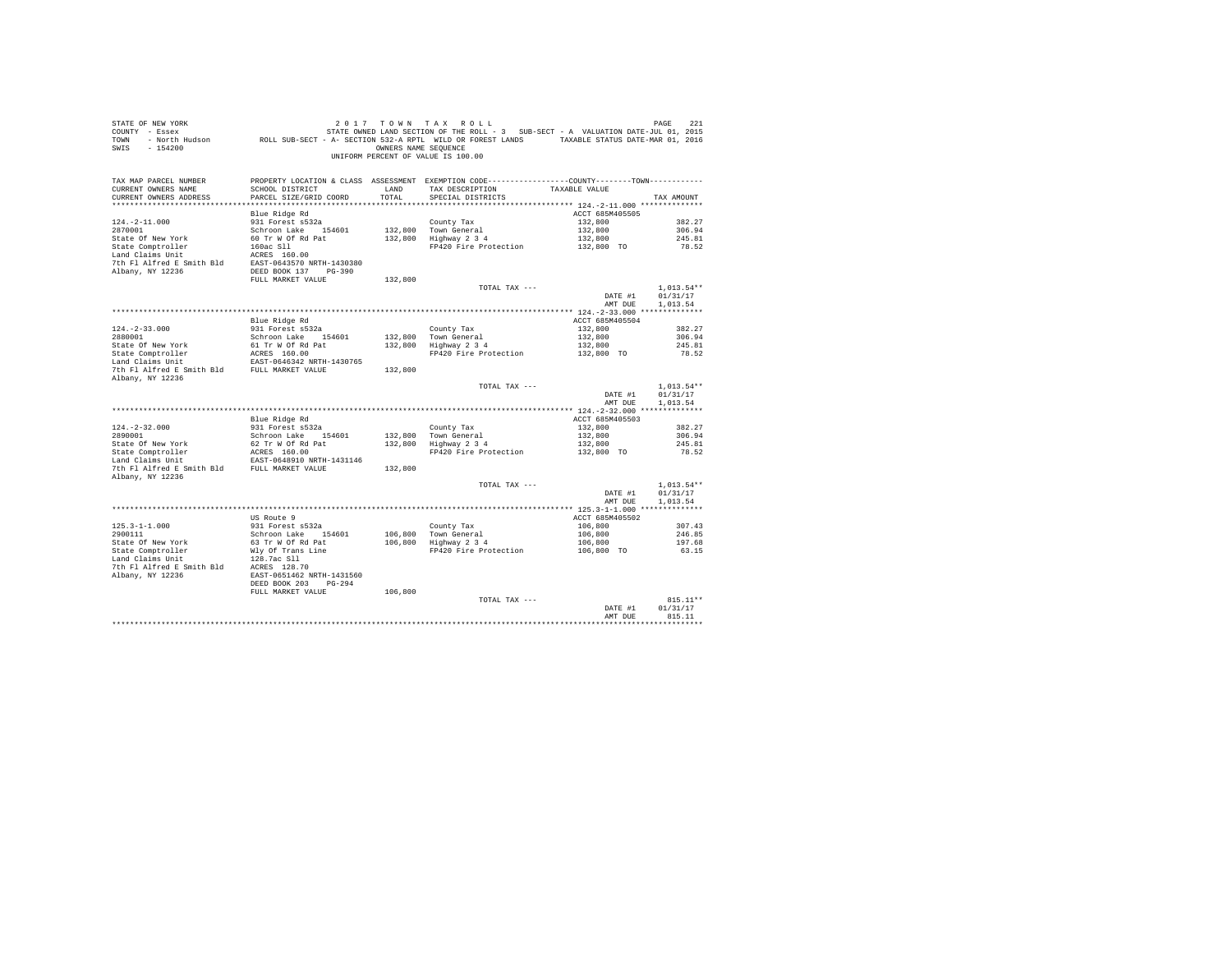| STATE OF NEW YORK                           |                                                                                                                                                                                                                                                    |                      | 2017 TOWN TAX ROLL                                                                |                 | PAGE<br>221  |
|---------------------------------------------|----------------------------------------------------------------------------------------------------------------------------------------------------------------------------------------------------------------------------------------------------|----------------------|-----------------------------------------------------------------------------------|-----------------|--------------|
| COUNTY - Essex                              |                                                                                                                                                                                                                                                    |                      | STATE OWNED LAND SECTION OF THE ROLL - 3 SUB-SECT - A VALUATION DATE-JUL 01, 2015 |                 |              |
| TOWN - North Hudson                         | ROLL SUB-SECT - A- SECTION 532-A RPTL WILD OR FOREST LANDS TAXABLE STATUS DATE-MAR 01, 2016                                                                                                                                                        |                      |                                                                                   |                 |              |
| SWIS<br>$-154200$                           |                                                                                                                                                                                                                                                    | OWNERS NAME SEOUENCE |                                                                                   |                 |              |
|                                             |                                                                                                                                                                                                                                                    |                      | UNIFORM PERCENT OF VALUE IS 100.00                                                |                 |              |
|                                             |                                                                                                                                                                                                                                                    |                      |                                                                                   |                 |              |
|                                             |                                                                                                                                                                                                                                                    |                      |                                                                                   |                 |              |
| TAX MAP PARCEL NUMBER                       | PROPERTY LOCATION & CLASS ASSESSMENT EXEMPTION CODE---------------COUNTY-------TOWN---------                                                                                                                                                       |                      |                                                                                   |                 |              |
| CURRENT OWNERS NAME                         | SCHOOL DISTRICT                                                                                                                                                                                                                                    | LAND                 | TAX DESCRIPTION                                                                   | TAXABLE VALUE   |              |
| CURRENT OWNERS ADDRESS                      | PARCEL SIZE/GRID COORD                                                                                                                                                                                                                             | TOTAL                | SPECIAL DISTRICTS                                                                 |                 | TAX AMOUNT   |
| **************************                  |                                                                                                                                                                                                                                                    |                      |                                                                                   |                 |              |
|                                             | Blue Ridge Rd                                                                                                                                                                                                                                      |                      |                                                                                   | ACCT 685M405505 |              |
| $124. -2 - 11.000$                          | 931 Forest s532a                                                                                                                                                                                                                                   |                      | County Tax                                                                        | 132,800         | 382.27       |
| 2870001                                     | Schroon Lake 154601                                                                                                                                                                                                                                | 132,800              | Town General                                                                      | 132,800         | 306.94       |
|                                             |                                                                                                                                                                                                                                                    |                      | $132,800$ Highway $2\,3\,4$                                                       | 132,800         | 245.81       |
|                                             |                                                                                                                                                                                                                                                    |                      | FP420 Fire Protection                                                             | 132,800 TO      | 78.52        |
|                                             |                                                                                                                                                                                                                                                    |                      |                                                                                   |                 |              |
|                                             | 2010011 2012<br>2010111 2012<br>2012 101 2012 101 2012 101 2012<br>2012 101 2012 101 2012<br>2013 101 2012 101 2013<br>2013 2014 11 2012 101 2013<br>2013 2014 2015 2014 2015<br>2013 2014 2015<br>2013 2014 2015<br>2016 2017 2014 2015<br>2016 2 |                      |                                                                                   |                 |              |
|                                             |                                                                                                                                                                                                                                                    |                      |                                                                                   |                 |              |
|                                             |                                                                                                                                                                                                                                                    |                      |                                                                                   |                 |              |
|                                             | FULL MARKET VALUE                                                                                                                                                                                                                                  | 132,800              |                                                                                   |                 |              |
|                                             |                                                                                                                                                                                                                                                    |                      | TOTAL TAX ---                                                                     |                 | $1.013.54**$ |
|                                             |                                                                                                                                                                                                                                                    |                      |                                                                                   | DATE #1         | 01/31/17     |
|                                             |                                                                                                                                                                                                                                                    |                      |                                                                                   | AMT DUE         | 1,013.54     |
|                                             |                                                                                                                                                                                                                                                    |                      |                                                                                   |                 |              |
|                                             | Blue Ridge Rd                                                                                                                                                                                                                                      |                      |                                                                                   | ACCT 685M405504 |              |
| $124. - 2 - 33.000$                         | 931 Forest s532a                                                                                                                                                                                                                                   |                      | County Tax                                                                        | 132,800         | 382.27       |
| 2880001                                     | Schroon Lake 154601                                                                                                                                                                                                                                |                      | 132,800 Town General<br>132,800 Highway 2 3 4                                     | 132,800         | 306.94       |
| State Of New York                           |                                                                                                                                                                                                                                                    |                      |                                                                                   | 132,800         | 245.81       |
|                                             | 61 Tr W Of Rd Pat<br>ACRES 160.00                                                                                                                                                                                                                  |                      | FP420 Fire Protection                                                             | 132,800 TO      | 78.52        |
| State Comptroller<br>Land Claims Unit       | EAST-0646342 NRTH-1430765                                                                                                                                                                                                                          |                      |                                                                                   |                 |              |
| 7th Fl Alfred E Smith Bld FULL MARKET VALUE |                                                                                                                                                                                                                                                    | 132,800              |                                                                                   |                 |              |
| Albany, NY 12236                            |                                                                                                                                                                                                                                                    |                      |                                                                                   |                 |              |
|                                             |                                                                                                                                                                                                                                                    |                      | TOTAL TAX ---                                                                     |                 | $1.013.54**$ |
|                                             |                                                                                                                                                                                                                                                    |                      |                                                                                   | DATE #1         | 01/31/17     |
|                                             |                                                                                                                                                                                                                                                    |                      |                                                                                   | AMT DUE         | 1,013.54     |
|                                             |                                                                                                                                                                                                                                                    |                      |                                                                                   |                 |              |
|                                             |                                                                                                                                                                                                                                                    |                      |                                                                                   | ACCT 685M405503 |              |
|                                             | Blue Ridge Rd                                                                                                                                                                                                                                      |                      |                                                                                   |                 |              |
| $124. -2 - 32.000$                          | 931 Forest s532a                                                                                                                                                                                                                                   |                      | County Tax<br>132,800 Town General<br>132,800 Highway 2 3 4                       | 132,800         | 382.27       |
| 2890001                                     | Schroon Lake 154601                                                                                                                                                                                                                                |                      |                                                                                   | 132,800         | 306.94       |
| State Of New York                           | 62 Tr W Of Rd Pat                                                                                                                                                                                                                                  |                      |                                                                                   | 132,800         | 245.81       |
|                                             |                                                                                                                                                                                                                                                    |                      | FP420 Fire Protection                                                             | 132,800 TO      | 78.52        |
|                                             |                                                                                                                                                                                                                                                    |                      |                                                                                   |                 |              |
|                                             |                                                                                                                                                                                                                                                    | 132,800              |                                                                                   |                 |              |
| Albany, NY 12236                            |                                                                                                                                                                                                                                                    |                      |                                                                                   |                 |              |
|                                             |                                                                                                                                                                                                                                                    |                      | TOTAL TAX ---                                                                     |                 | $1,013.54**$ |
|                                             |                                                                                                                                                                                                                                                    |                      |                                                                                   | DATE #1         | 01/31/17     |
|                                             |                                                                                                                                                                                                                                                    |                      |                                                                                   | AMT DUE         | 1,013.54     |
|                                             |                                                                                                                                                                                                                                                    |                      |                                                                                   |                 |              |
|                                             | US Route 9                                                                                                                                                                                                                                         |                      |                                                                                   | ACCT 685M405502 |              |
| $125.3 - 1 - 1.000$                         | 931 Forest s532a                                                                                                                                                                                                                                   |                      | County Tax                                                                        | 106,800         | 307.43       |
| 2900111                                     | Schroon Lake 154601                                                                                                                                                                                                                                |                      | 106,800 Town General<br>106,800 Highway 2 3 4                                     | 106,800         | 246.85       |
| State Of New York                           | 63 Tr W Of Rd Pat                                                                                                                                                                                                                                  |                      |                                                                                   | 106,800         | 197.68       |
| State Comptroller                           | Wly Of Trans Line                                                                                                                                                                                                                                  |                      | FP420 Fire Protection                                                             | $106,800$ TO    | 63.15        |
|                                             |                                                                                                                                                                                                                                                    |                      |                                                                                   |                 |              |
|                                             |                                                                                                                                                                                                                                                    |                      |                                                                                   |                 |              |
|                                             |                                                                                                                                                                                                                                                    |                      |                                                                                   |                 |              |
|                                             |                                                                                                                                                                                                                                                    |                      |                                                                                   |                 |              |
|                                             | DEED BOOK 203 PG-294                                                                                                                                                                                                                               |                      |                                                                                   |                 |              |
|                                             | FULL MARKET VALUE                                                                                                                                                                                                                                  | 106,800              |                                                                                   |                 |              |
|                                             |                                                                                                                                                                                                                                                    |                      | TOTAL TAX ---                                                                     |                 | 815.11**     |
|                                             |                                                                                                                                                                                                                                                    |                      |                                                                                   | DATE #1         | 01/31/17     |
|                                             |                                                                                                                                                                                                                                                    |                      |                                                                                   | AMT DUE         | 815.11       |
|                                             |                                                                                                                                                                                                                                                    |                      |                                                                                   |                 | ************ |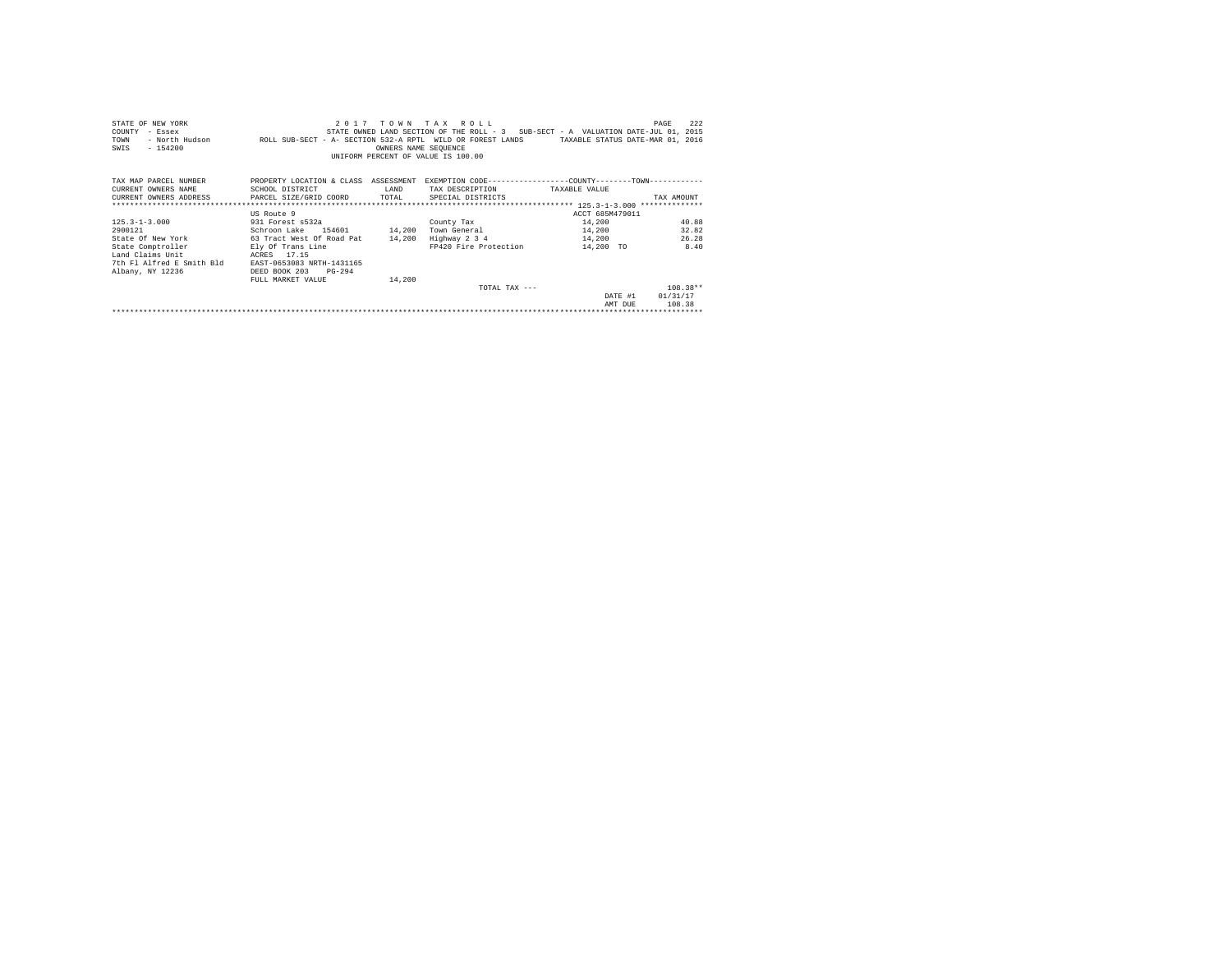| STATE OF NEW YORK<br>COUNTY<br>- Essex<br>- North Hudson<br>TOWN<br>$-154200$<br>SWIS | 2 0 1 7<br>ROLL SUB-SECT - A- SECTION 532-A RPTL WILD OR FOREST LANDS                          | OWNERS NAME SEQUENCE | TOWN TAX ROLL<br>STATE OWNED LAND SECTION OF THE ROLL - 3 SUB-SECT - A VALUATION DATE-JUL 01, 2015<br>UNIFORM PERCENT OF VALUE IS 100.00 | TAXABLE STATUS DATE-MAR 01, 2016 | 222<br>PAGE |
|---------------------------------------------------------------------------------------|------------------------------------------------------------------------------------------------|----------------------|------------------------------------------------------------------------------------------------------------------------------------------|----------------------------------|-------------|
| TAX MAP PARCEL NUMBER                                                                 | PROPERTY LOCATION & CLASS ASSESSMENT EXEMPTION CODE----------------COUNTY-------TOWN---------- |                      |                                                                                                                                          |                                  |             |
| CURRENT OWNERS NAME                                                                   | SCHOOL DISTRICT                                                                                | LAND                 | TAX DESCRIPTION TAXABLE VALUE                                                                                                            |                                  |             |
| CURRENT OWNERS ADDRESS PARCEL SIZE/GRID COORD TOTAL                                   |                                                                                                |                      | SPECIAL DISTRICTS                                                                                                                        |                                  | TAX AMOUNT  |
|                                                                                       |                                                                                                |                      |                                                                                                                                          |                                  |             |
|                                                                                       | US Route 9                                                                                     |                      |                                                                                                                                          | ACCT 685M479011                  |             |
| $125.3 - 1 - 3.000$                                                                   | 931 Forest s532a                                                                               |                      | County Tax                                                                                                                               | 14,200                           | 40.88       |
| 2900121                                                                               | Schroon Lake 154601 14,200                                                                     |                      | Town General                                                                                                                             | 14,200                           | 32.82       |
| State Of New York                                                                     | 63 Tract West Of Road Pat                                                                      | 14,200               | Highway 2 3 4 14,200                                                                                                                     |                                  | 26.28       |
| State Comptroller                                                                     | Ely Of Trans Line                                                                              |                      | FP420 Fire Protection                                                                                                                    | 14,200 TO                        | 8.40        |
| Land Claims Unit                                                                      | ACRES 17.15                                                                                    |                      |                                                                                                                                          |                                  |             |
| 7th Fl Alfred E Smith Bld                                                             | EAST-0653083 NRTH-1431165                                                                      |                      |                                                                                                                                          |                                  |             |
| Albany, NY 12236                                                                      | DEED BOOK 203<br>$PG-294$                                                                      |                      |                                                                                                                                          |                                  |             |
|                                                                                       | FULL MARKET VALUE                                                                              | 14,200               |                                                                                                                                          |                                  |             |
|                                                                                       |                                                                                                |                      | TOTAL TAX $---$                                                                                                                          |                                  | $108.38**$  |
|                                                                                       |                                                                                                |                      |                                                                                                                                          | DATE #1                          | 01/31/17    |
|                                                                                       |                                                                                                |                      |                                                                                                                                          | AMT DUE                          | 108.38      |
|                                                                                       |                                                                                                |                      |                                                                                                                                          |                                  |             |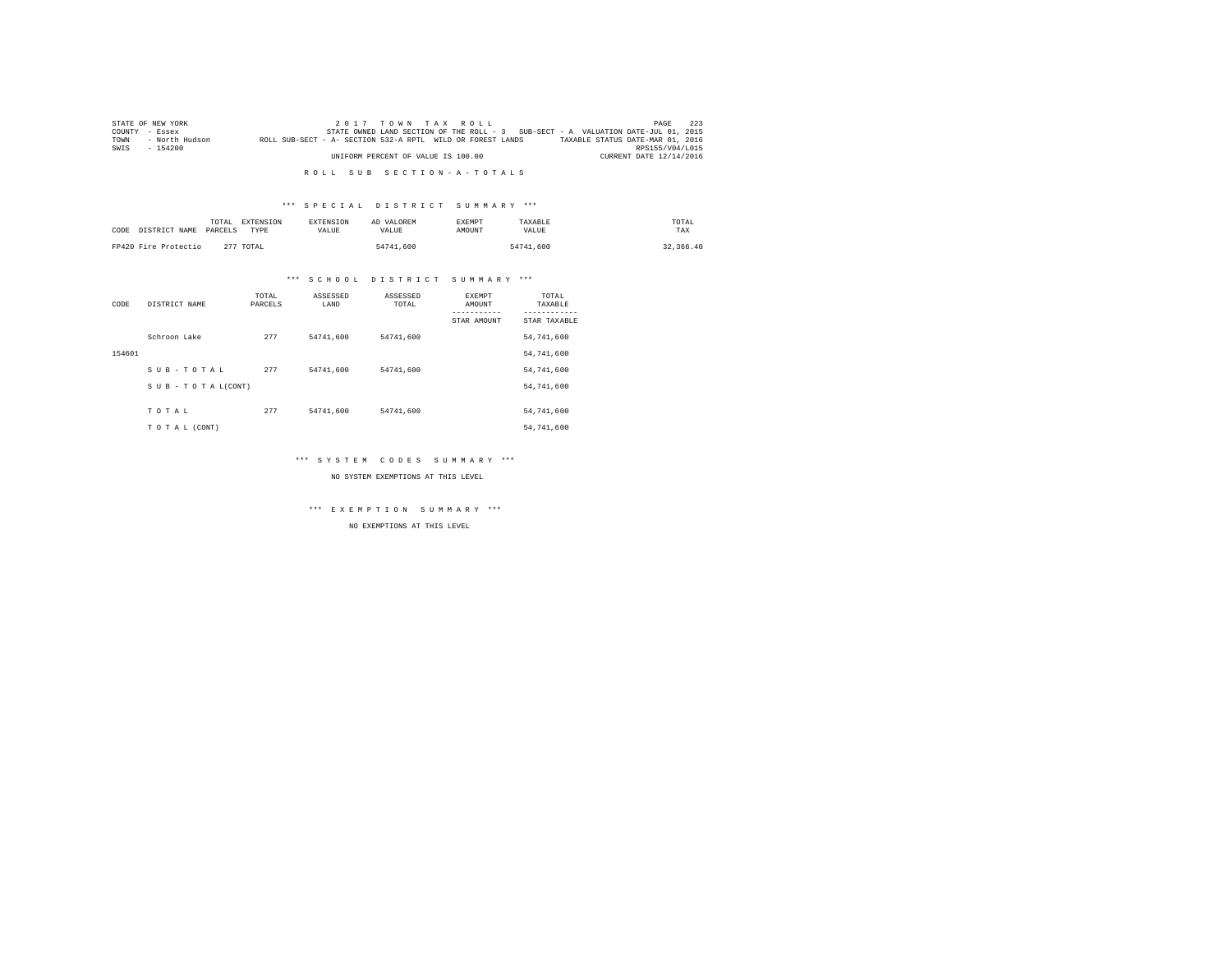|      | STATE OF NEW YORK |                                                            | $2.017$ TOWN TAX ROLL              |                                                                                   |  | PAGE                             | - 2.2.3 |
|------|-------------------|------------------------------------------------------------|------------------------------------|-----------------------------------------------------------------------------------|--|----------------------------------|---------|
|      | COUNTY - Essex    |                                                            |                                    | STATE OWNED LAND SECTION OF THE ROLL - 3 SUB-SECT - A VALUATION DATE-JUL 01, 2015 |  |                                  |         |
| TOWN | - North Hudson    | ROLL SUB-SECT - A- SECTION 532-A RPTL WILD OR FOREST LANDS |                                    |                                                                                   |  | TAXABLE STATUS DATE-MAR 01, 2016 |         |
| SWIS | $-154200$         |                                                            |                                    |                                                                                   |  | RPS155/V04/L015                  |         |
|      |                   |                                                            | UNIFORM PERCENT OF VALUE IS 100.00 |                                                                                   |  | CURRENT DATE 12/14/2016          |         |

# \*\*\* S P E C I A L D I S T R I C T S U M M A R Y \*\*\*

| CODE DISTRICT NAME   | TOTAL<br>PARCELS | <b>EXTENSION</b><br>TYPE | <b>EXTENSION</b><br>VALUE | AD VALOREM<br>VALUE | <b>EXEMPT</b><br>AMOUNT | TAXABLE<br>VALUE | TOTAL<br>TAX |
|----------------------|------------------|--------------------------|---------------------------|---------------------|-------------------------|------------------|--------------|
| FP420 Fire Protectio |                  | 277 TOTAL                |                           | 54741,600           |                         | 54741.600        | 32, 366, 40  |

# \*\*\* S C H O O L D I S T R I C T S U M M A R Y \*\*\*

| CODE   | DISTRICT NAME      | TOTAL<br>PARCELS | ASSESSED<br>LAND | ASSESSED<br>TOTAL | <b>EXEMPT</b><br>AMOUNT | TOTAL<br>TAXABLE |
|--------|--------------------|------------------|------------------|-------------------|-------------------------|------------------|
|        |                    |                  |                  |                   | STAR AMOUNT             | STAR TAXABLE     |
|        | Schroon Lake       | 277              | 54741.600        | 54741.600         |                         | 54,741,600       |
| 154601 |                    |                  |                  |                   |                         | 54,741,600       |
|        | SUB-TOTAL          | 277              | 54741.600        | 54741.600         |                         | 54,741,600       |
|        | SUB - TO TAL(CONT) |                  |                  |                   |                         | 54,741,600       |
|        |                    |                  |                  |                   |                         |                  |
|        | TOTAL              | 277              | 54741.600        | 54741.600         |                         | 54,741,600       |
|        | TO TAL (CONT)      |                  |                  |                   |                         | 54,741,600       |

# \*\*\* S Y S T E M C O D E S S U M M A R Y \*\*\*

NO SYSTEM EXEMPTIONS AT THIS LEVEL

\*\*\* E X E M P T I O N S U M M A R Y \*\*\*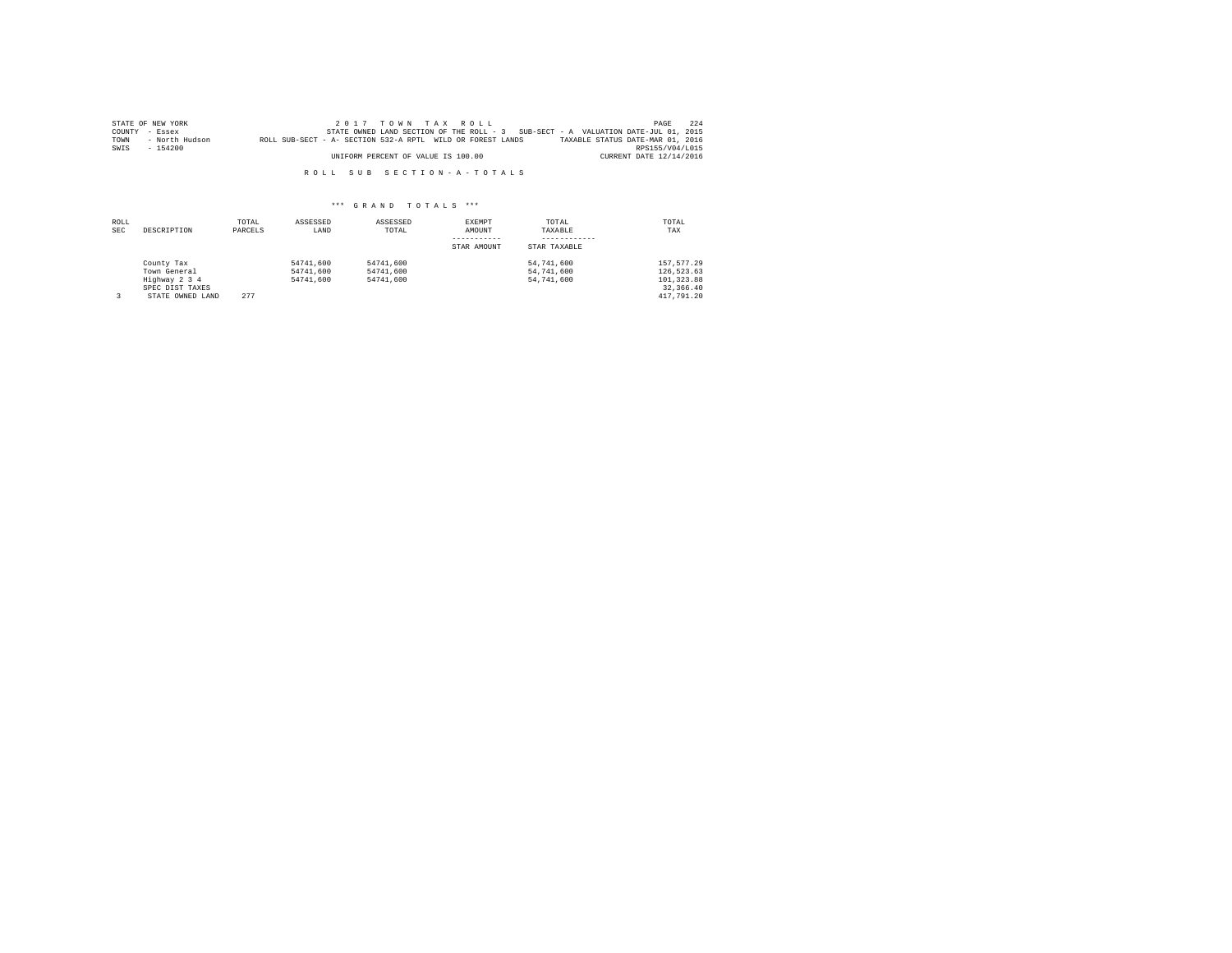|      | STATE OF NEW YORK |                                                            | $2.017$ TOWN TAX ROLL              |  |                                                                                   | PAGE                    | 224 |
|------|-------------------|------------------------------------------------------------|------------------------------------|--|-----------------------------------------------------------------------------------|-------------------------|-----|
|      | COUNTY - Essex    |                                                            |                                    |  | STATE OWNED LAND SECTION OF THE ROLL - 3 SUB-SECT - A VALUATION DATE-JUL 01, 2015 |                         |     |
| TOWN | - North Hudson    | ROLL SUB-SECT - A- SECTION 532-A RPTL WILD OR FOREST LANDS |                                    |  | TAXABLE STATUS DATE-MAR 01, 2016                                                  |                         |     |
| SWIS | $-154200$         |                                                            |                                    |  |                                                                                   | RPS155/V04/L015         |     |
|      |                   |                                                            | UNIFORM PERCENT OF VALUE IS 100.00 |  |                                                                                   | CURRENT DATE 12/14/2016 |     |

| ROLL<br><b>SEC</b> | DESCRIPTION                                                                        | TOTAL<br>PARCELS | ASSESSED<br>LAND                    | ASSESSED<br>TOTAL                   | <b>EXEMPT</b><br>AMOUNT<br>STAR AMOUNT | TOTAL<br>TAXABLE<br>STAR TAXABLE       | TOTAL<br>TAX                                                          |
|--------------------|------------------------------------------------------------------------------------|------------------|-------------------------------------|-------------------------------------|----------------------------------------|----------------------------------------|-----------------------------------------------------------------------|
|                    | County Tax<br>Town General<br>Highway 2 3 4<br>SPEC DIST TAXES<br>STATE OWNED LAND | 277              | 54741.600<br>54741,600<br>54741,600 | 54741.600<br>54741.600<br>54741.600 |                                        | 54,741,600<br>54,741,600<br>54,741,600 | 157.577.29<br>126,523.63<br>101, 323, 88<br>32, 366, 40<br>417,791.20 |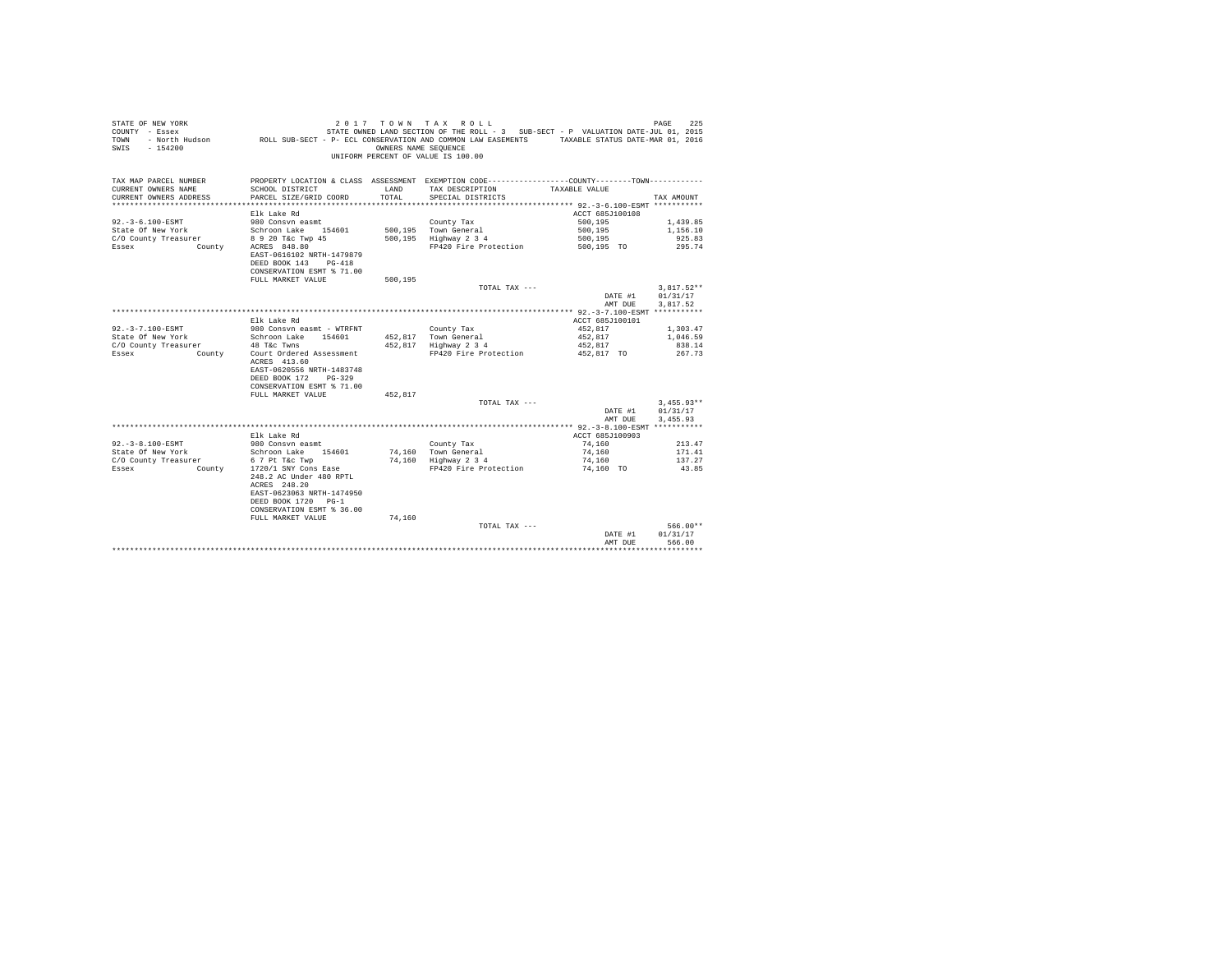| STATE OF NEW YORK<br>COUNTY - Essex<br>TOWN<br>$-154200$<br>SWTS | - North Hudson CROLL SUB-SECT - P- ECL CONSERVATION AND COMMON LAW EASEMENTS TAXABLE STATUS DATE-MAR 01, 2016                                   | OWNERS NAME SEQUENCE | 2017 TOWN TAX ROLL<br>STATE OWNED LAND SECTION OF THE ROLL - 3 SUB-SECT - P VALUATION DATE-JUL 01, 2015<br>UNIFORM PERCENT OF VALUE IS 100.00 |                    | PAGE<br>225                      |
|------------------------------------------------------------------|-------------------------------------------------------------------------------------------------------------------------------------------------|----------------------|-----------------------------------------------------------------------------------------------------------------------------------------------|--------------------|----------------------------------|
| TAX MAP PARCEL NUMBER                                            |                                                                                                                                                 |                      | PROPERTY LOCATION & CLASS ASSESSMENT EXEMPTION CODE---------------COUNTY-------TOWN---------                                                  |                    |                                  |
| CURRENT OWNERS NAME                                              | SCHOOL DISTRICT                                                                                                                                 | LAND                 | TAX DESCRIPTION                                                                                                                               | TAXABLE VALUE      |                                  |
| CURRENT OWNERS ADDRESS                                           | PARCEL SIZE/GRID COORD                                                                                                                          | TOTAL.               | SPECIAL DISTRICTS                                                                                                                             |                    | TAX AMOUNT                       |
|                                                                  |                                                                                                                                                 |                      |                                                                                                                                               |                    |                                  |
|                                                                  | Elk Lake Rd                                                                                                                                     |                      |                                                                                                                                               | ACCT 685J100108    |                                  |
| $92. -3 - 6.100 - ESMT$                                          | 980 Consvn easmt                                                                                                                                |                      | County Tax                                                                                                                                    | 500,195            | 1,439.85                         |
| State Of New York                                                | Schroon Lake 154601                                                                                                                             |                      | 500.195 Town General                                                                                                                          | 500,195            | 1,156.10                         |
| C/O County Treasurer                                             | 8 9 20 T&c Twp 45                                                                                                                               |                      | 500,195 Highway 2 3 4                                                                                                                         | 500,195            | 925.83                           |
| Essex<br><b>County</b>                                           | ACRES 848.80<br>EAST-0616102 NRTH-1479879<br>DEED BOOK 143 PG-418                                                                               |                      | FP420 Fire Protection                                                                                                                         | 500,195 TO         | 295.74                           |
|                                                                  | CONSERVATION ESMT % 71.00                                                                                                                       |                      |                                                                                                                                               |                    |                                  |
|                                                                  | FULL MARKET VALUE                                                                                                                               | 500.195              |                                                                                                                                               |                    |                                  |
|                                                                  |                                                                                                                                                 |                      | TOTAL TAX ---                                                                                                                                 |                    | $3.817.52**$                     |
|                                                                  |                                                                                                                                                 |                      |                                                                                                                                               | DATE #1            | 01/31/17                         |
|                                                                  |                                                                                                                                                 |                      |                                                                                                                                               | AMT DUE            | 3.817.52                         |
|                                                                  |                                                                                                                                                 |                      |                                                                                                                                               |                    |                                  |
|                                                                  | Elk Lake Rd                                                                                                                                     |                      |                                                                                                                                               | ACCT 685J100101    |                                  |
| $92. - 3 - 7.100 - ESMT$                                         | 980 Consvn easmt - WTRFNT                                                                                                                       |                      | County Tax                                                                                                                                    | 452.817            | 1,303.47                         |
| State Of New York                                                | Schroon Lake 154601                                                                                                                             |                      | 452.817 Town General                                                                                                                          | 452.817            | 1,046.59                         |
| C/O County Treasurer                                             | 48 T&c Twns                                                                                                                                     |                      | 452,817 Highway 2 3 4                                                                                                                         | 452,817            | 838.14                           |
| <b>County</b><br>Essex                                           | Court Ordered Assessment<br>ACRES 413.60<br>EAST-0620556 NRTH-1483748<br>DEED BOOK 172 PG-329<br>CONSERVATION ESMT % 71.00<br>FULL MARKET VALUE | 452.817              | FP420 Fire Protection                                                                                                                         | 452,817 TO         | 267.73                           |
|                                                                  |                                                                                                                                                 |                      | TOTAL TAX $---$                                                                                                                               |                    | $3.455.93**$                     |
|                                                                  |                                                                                                                                                 |                      |                                                                                                                                               | DATE #1            | 01/31/17                         |
|                                                                  |                                                                                                                                                 |                      |                                                                                                                                               | AMT DUE            | 3.455.93                         |
|                                                                  |                                                                                                                                                 |                      |                                                                                                                                               |                    |                                  |
|                                                                  | Elk Lake Rd                                                                                                                                     |                      |                                                                                                                                               | ACCT 685J100903    |                                  |
| 92. - 3-8.100-ESMT                                               | 980 Consyn easmt                                                                                                                                |                      | County Tax                                                                                                                                    | 74,160             | 213.47                           |
| State Of New York                                                | Schroon Lake 154601                                                                                                                             |                      | 74.160 Town General                                                                                                                           | 74,160             | 171.41                           |
| C/O County Treasurer                                             | 6 7 Pt T&C Twp                                                                                                                                  |                      | 74,160 Highway 2 3 4                                                                                                                          | 74,160             | 137.27                           |
| Essex<br>County                                                  | 1720/1 SNY Cons Ease                                                                                                                            |                      | FP420 Fire Protection                                                                                                                         | 74,160 TO          | 43.85                            |
|                                                                  | 248.2 AC Under 480 RPTL<br>ACRES 248.20<br>EAST-0623063 NRTH-1474950<br>DEED BOOK 1720 PG-1<br>CONSERVATION ESMT % 36.00                        |                      |                                                                                                                                               |                    |                                  |
|                                                                  | FULL MARKET VALUE                                                                                                                               | 74,160               |                                                                                                                                               |                    |                                  |
|                                                                  |                                                                                                                                                 |                      | TOTAL TAX ---                                                                                                                                 | DATE #1<br>AMT DUE | $566.00**$<br>01/31/17<br>566.00 |
|                                                                  |                                                                                                                                                 |                      |                                                                                                                                               |                    | **************                   |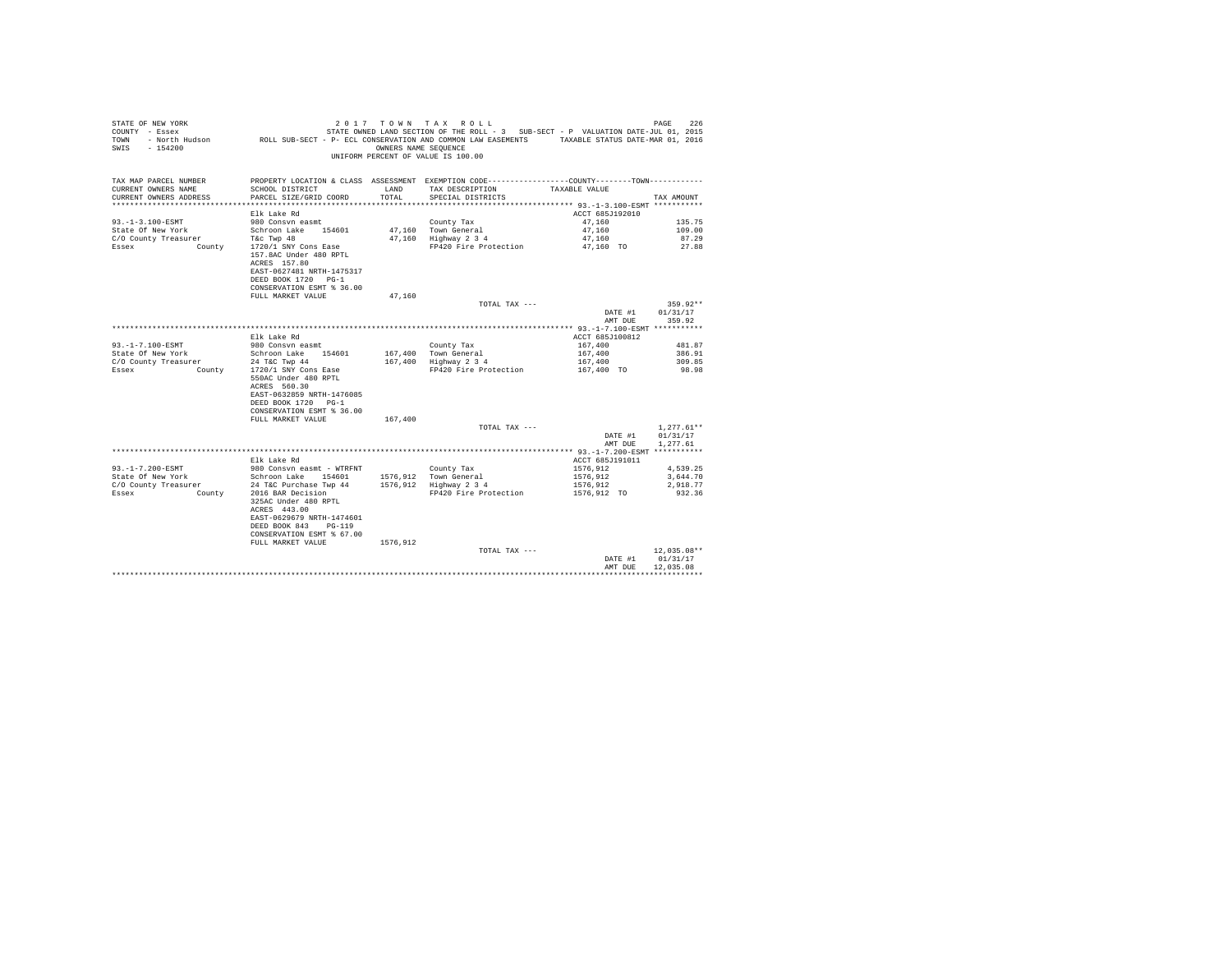| STATE OF NEW YORK<br>COUNTY - Essex<br>TOWN<br>$-154200$<br>SWIS | - North Hudson ROLL SUB-SECT - P- ECL CONSERVATION AND COMMON LAW EASEMENTS TAXABLE STATUS DATE-MAR 01, 2016                                                               | OWNERS NAME SEQUENCE | 2017 TOWN TAX ROLL<br>STATE OWNED LAND SECTION OF THE ROLL - 3 SUB-SECT - P VALUATION DATE-JUL 01, 2015<br>UNIFORM PERCENT OF VALUE IS 100.00 |                         | 226<br>PAGE                            |
|------------------------------------------------------------------|----------------------------------------------------------------------------------------------------------------------------------------------------------------------------|----------------------|-----------------------------------------------------------------------------------------------------------------------------------------------|-------------------------|----------------------------------------|
| TAX MAP PARCEL NUMBER                                            |                                                                                                                                                                            |                      | PROPERTY LOCATION & CLASS ASSESSMENT EXEMPTION CODE---------------COUNTY-------TOWN----------                                                 |                         |                                        |
| CURRENT OWNERS NAME<br>CURRENT OWNERS ADDRESS                    | SCHOOL DISTRICT<br>PARCEL SIZE/GRID COORD                                                                                                                                  | LAND<br>TOTAL.       | TAX DESCRIPTION<br>SPECIAL DISTRICTS                                                                                                          | TAXABLE VALUE           | TAX AMOUNT                             |
|                                                                  |                                                                                                                                                                            |                      |                                                                                                                                               |                         |                                        |
|                                                                  | Elk Lake Rd                                                                                                                                                                |                      |                                                                                                                                               | ACCT 685J192010         |                                        |
| $93. -1 - 3.100 - ESMT$                                          | 980 Consyn easmt                                                                                                                                                           |                      | County Tax                                                                                                                                    | 47.160                  | 135.75                                 |
| State Of New York                                                | Schroon Lake 154601                                                                                                                                                        |                      | 47,160 Town General                                                                                                                           | 47,160                  | 109.00                                 |
| C/O County Treasurer                                             | T&C Twp 48                                                                                                                                                                 |                      | 47.160 Highway 2 3 4                                                                                                                          | 47.160                  | 87.29                                  |
| Essex<br>County                                                  | 1720/1 SNY Cons Ease<br>157.8AC Under 480 RPTL<br>ACRES 157.80<br>EAST-0627481 NRTH-1475317<br>DEED BOOK 1720 PG-1<br>CONSERVATION ESMT % 36.00                            |                      | FP420 Fire Protection                                                                                                                         | 47,160 TO               | 27.88                                  |
|                                                                  | FULL MARKET VALUE                                                                                                                                                          | 47,160               |                                                                                                                                               |                         |                                        |
|                                                                  |                                                                                                                                                                            |                      | TOTAL TAX ---                                                                                                                                 | DATE #1                 | $359.92**$<br>01/31/17                 |
|                                                                  |                                                                                                                                                                            |                      |                                                                                                                                               | AMT DUE                 | 359.92                                 |
|                                                                  |                                                                                                                                                                            |                      |                                                                                                                                               |                         |                                        |
|                                                                  | Elk Lake Rd                                                                                                                                                                |                      |                                                                                                                                               | ACCT 685J100812         |                                        |
| 93. -1-7.100-ESMT<br>State Of New York                           | 980 Consvn easmt<br>Schroon Lake 154601                                                                                                                                    |                      | County Tax                                                                                                                                    | 167,400                 | 481.87<br>386.91                       |
| C/O County Treasurer                                             | 24 T&C Twp 44                                                                                                                                                              |                      | 167,400 Town General<br>167,400 Highway 2 3 4                                                                                                 | 167,400<br>167,400      | 309.85                                 |
| County 1720/1 SNY Cons Ease<br>Essex                             |                                                                                                                                                                            |                      | FP420 Fire Protection                                                                                                                         | 167,400 TO              | 98.98                                  |
|                                                                  | 550AC Under 480 RPTL<br>ACRES 560.30<br>EAST-0632859 NRTH-1476085<br>DEED BOOK 1720 PG-1<br>CONSERVATION ESMT % 36.00                                                      |                      |                                                                                                                                               |                         |                                        |
|                                                                  | FULL MARKET VALUE                                                                                                                                                          | 167,400              | TOTAL TAX ---                                                                                                                                 |                         | $1.277.61**$                           |
|                                                                  |                                                                                                                                                                            |                      |                                                                                                                                               | DATE #1                 | 01/31/17                               |
|                                                                  |                                                                                                                                                                            |                      |                                                                                                                                               | AMT DUE                 | 1,277.61                               |
|                                                                  |                                                                                                                                                                            |                      |                                                                                                                                               |                         |                                        |
|                                                                  | Elk Lake Rd                                                                                                                                                                |                      |                                                                                                                                               | ACCT 685J191011         |                                        |
| 93. -1-7.200-ESMT                                                | 980 Consvn easmt - WTRFNT                                                                                                                                                  |                      | County Tax                                                                                                                                    | 1576,912                | 4,539.25                               |
| State Of New York                                                | Schroon Lake 154601                                                                                                                                                        |                      | 1576.912 Town General                                                                                                                         | 1576.912                | 3.644.70                               |
| C/O County Treasurer<br>Essex<br>County                          | 24 T&C Purchase Twp 44<br>2016 BAR Decision<br>325AC Under 480 RPTL<br>ACRES 443.00<br>EAST-0629679 NRTH-1474601<br>DEED BOOK 843<br>$PG-119$<br>CONSERVATION ESMT % 67.00 |                      | 1576,912 Highway 2 3 4<br>FP420 Fire Protection                                                                                               | 1576,912<br>1576,912 TO | 2,918.77<br>932.36                     |
|                                                                  | FULL MARKET VALUE                                                                                                                                                          | 1576,912             |                                                                                                                                               |                         |                                        |
|                                                                  |                                                                                                                                                                            |                      | TOTAL TAX ---                                                                                                                                 | DATE #1<br>AMT DUE      | $12,035.08**$<br>01/31/17<br>12,035.08 |
|                                                                  |                                                                                                                                                                            |                      |                                                                                                                                               |                         |                                        |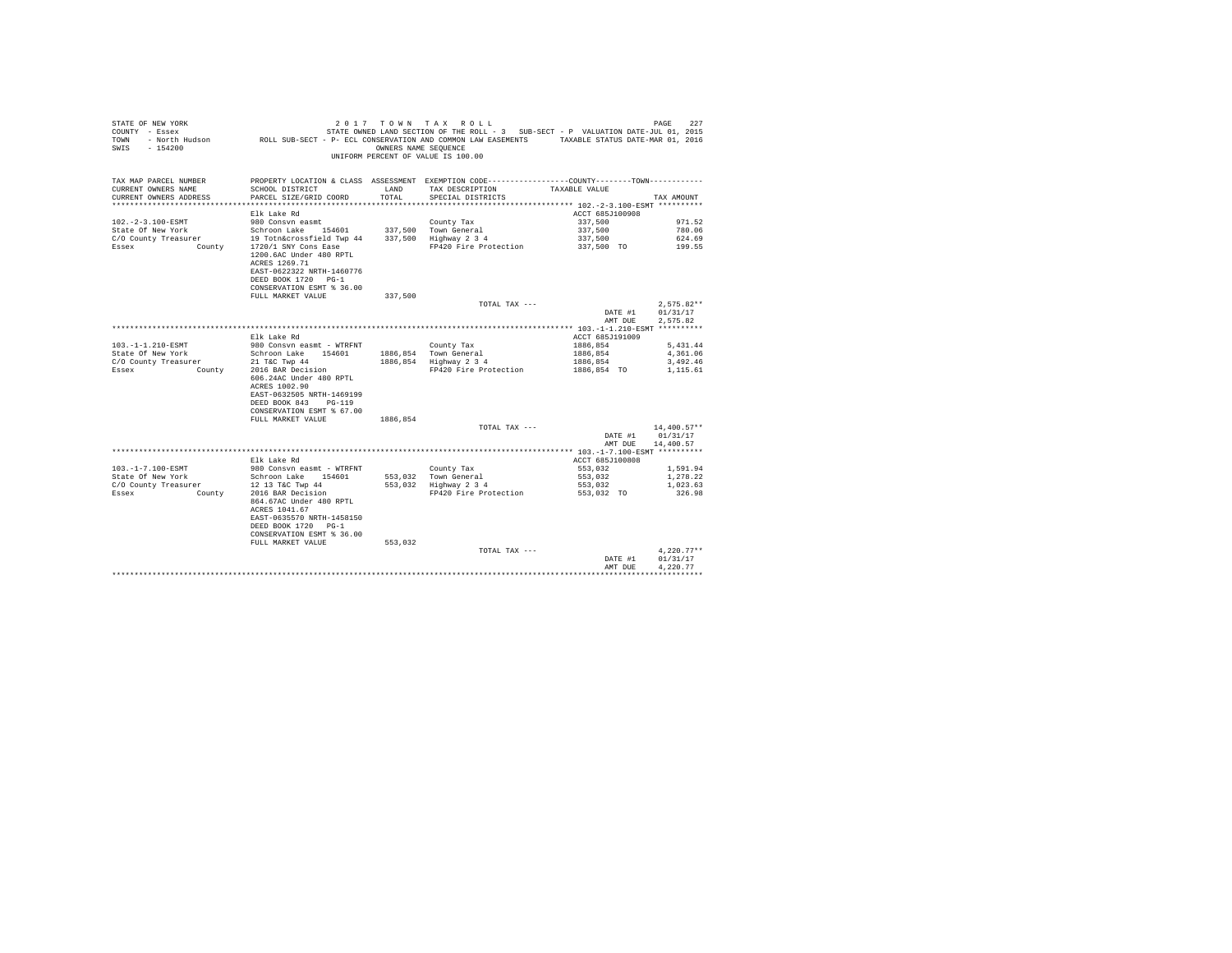| STATE OF NEW YORK<br>COUNTY - Essex<br>TOWN<br>$-154200$<br>SWIS |                                                                                                                                                                        | OWNERS NAME SEQUENCE | 2017 TOWN TAX ROLL<br>STATE OWNED LAND SECTION OF THE ROLL - 3 SUB-SECT - P VALUATION DATE-JUL 01, 2015<br>- North Hudson ROLL SUB-SECT - P- ECL CONSERVATION AND COMMON LAW EASEMENTS TAXABLE STATUS DATE-MAR 01, 2016<br>UNIFORM PERCENT OF VALUE IS 100.00 |                    | 227<br>PAGE                          |
|------------------------------------------------------------------|------------------------------------------------------------------------------------------------------------------------------------------------------------------------|----------------------|---------------------------------------------------------------------------------------------------------------------------------------------------------------------------------------------------------------------------------------------------------------|--------------------|--------------------------------------|
| TAX MAP PARCEL NUMBER<br>CURRENT OWNERS NAME                     | SCHOOL DISTRICT                                                                                                                                                        | LAND                 | PROPERTY LOCATION & CLASS ASSESSMENT EXEMPTION CODE---------------COUNTY-------TOWN----------<br>TAX DESCRIPTION                                                                                                                                              | TAXABLE VALUE      |                                      |
| CURRENT OWNERS ADDRESS                                           | PARCEL SIZE/GRID COORD                                                                                                                                                 | TOTAL.               | SPECIAL DISTRICTS                                                                                                                                                                                                                                             |                    | TAX AMOUNT                           |
|                                                                  |                                                                                                                                                                        |                      |                                                                                                                                                                                                                                                               |                    |                                      |
|                                                                  | Elk Lake Rd                                                                                                                                                            |                      |                                                                                                                                                                                                                                                               | ACCT 685J100908    |                                      |
| $102. - 2 - 3.100 - ESMT$                                        | 980 Consvn easmt                                                                                                                                                       |                      | County Tax                                                                                                                                                                                                                                                    | 337,500            | 971.52                               |
| State Of New York                                                | Schroon Lake 154601                                                                                                                                                    |                      | 337,500 Town General                                                                                                                                                                                                                                          | 337,500            | 780.06                               |
| C/O County Treasurer                                             | 19 Totn&crossfield Twp 44                                                                                                                                              |                      | 337.500 Highway 2 3 4                                                                                                                                                                                                                                         | 337,500            | 624.69                               |
| Essex<br>County                                                  | 1720/1 SNY Cons Ease<br>1200.6AC Under 480 RPTL<br>ACRES 1269.71<br>EAST-0622322 NRTH-1460776<br>DEED BOOK 1720 PG-1<br>CONSERVATION ESMT % 36.00<br>FULL MARKET VALUE | 337,500              | FP420 Fire Protection                                                                                                                                                                                                                                         | 337,500 TO         | 199.55                               |
|                                                                  |                                                                                                                                                                        |                      | TOTAL TAX ---                                                                                                                                                                                                                                                 |                    | $2,575.82**$                         |
|                                                                  |                                                                                                                                                                        |                      |                                                                                                                                                                                                                                                               | DATE #1<br>AMT DUE | 01/31/17<br>2.575.82                 |
|                                                                  |                                                                                                                                                                        |                      |                                                                                                                                                                                                                                                               |                    |                                      |
|                                                                  | Elk Lake Rd                                                                                                                                                            |                      |                                                                                                                                                                                                                                                               | ACCT 685J191009    |                                      |
| $103.-1-1.210-ESMT$                                              | 980 Consyn easmt - WTRFNT                                                                                                                                              |                      | County Tax                                                                                                                                                                                                                                                    | 1886.854           | 5.431.44                             |
| State Of New York                                                | Schroon Lake 154601                                                                                                                                                    |                      | 1886,854 Town General                                                                                                                                                                                                                                         | 1886,854           | 4,361.06                             |
| C/O County Treasurer                                             | 21 T&C Twp 44                                                                                                                                                          |                      | 1886,854 Highway 2 3 4                                                                                                                                                                                                                                        | 1886,854           | 3,492.46                             |
| County<br>Essex                                                  | 2016 BAR Decision<br>606.24AC Under 480 RPTL<br>ACRES 1002.90<br>EAST-0632505 NRTH-1469199<br>DEED BOOK 843<br>PG-119<br>CONSERVATION ESMT % 67.00                     |                      | FP420 Fire Protection                                                                                                                                                                                                                                         | 1886,854 TO        | 1,115.61                             |
|                                                                  | FULL MARKET VALUE                                                                                                                                                      | 1886,854             | TOTAL TAX ---                                                                                                                                                                                                                                                 |                    | $14.400.57**$                        |
|                                                                  |                                                                                                                                                                        |                      |                                                                                                                                                                                                                                                               | DATE #1<br>AMT DUE | 01/31/17<br>14,400.57                |
|                                                                  |                                                                                                                                                                        |                      |                                                                                                                                                                                                                                                               |                    |                                      |
|                                                                  | Elk Lake Rd                                                                                                                                                            |                      |                                                                                                                                                                                                                                                               | ACCT 685J100808    |                                      |
| 103. -1-7.100-ESMT                                               | 980 Consvn easmt - WTRFNT                                                                                                                                              |                      | County Tax                                                                                                                                                                                                                                                    | 553,032            | 1,591.94                             |
| State Of New York                                                | Schroon Lake 154601                                                                                                                                                    |                      | 553.032 Town General                                                                                                                                                                                                                                          | 553,032            | 1,278.22                             |
| C/O County Treasurer                                             | 12 13 T&C Twp 44                                                                                                                                                       |                      | 553,032 Highway 2 3 4                                                                                                                                                                                                                                         | 553,032            | 1,023.63                             |
| Essex<br>County                                                  | 2016 BAR Decision<br>864.67AC Under 480 RPTL<br>ACRES 1041.67<br>EAST-0635570 NRTH-1458150<br>DEED BOOK 1720 PG-1<br>CONSERVATION ESMT % 36.00                         |                      | FP420 Fire Protection                                                                                                                                                                                                                                         | 553,032 TO         | 326.98                               |
|                                                                  | FULL MARKET VALUE                                                                                                                                                      | 553,032              |                                                                                                                                                                                                                                                               |                    |                                      |
|                                                                  |                                                                                                                                                                        |                      | TOTAL TAX ---                                                                                                                                                                                                                                                 | DATE #1<br>AMT DUE | $4,220.77**$<br>01/31/17<br>4.220.77 |
|                                                                  |                                                                                                                                                                        |                      |                                                                                                                                                                                                                                                               |                    |                                      |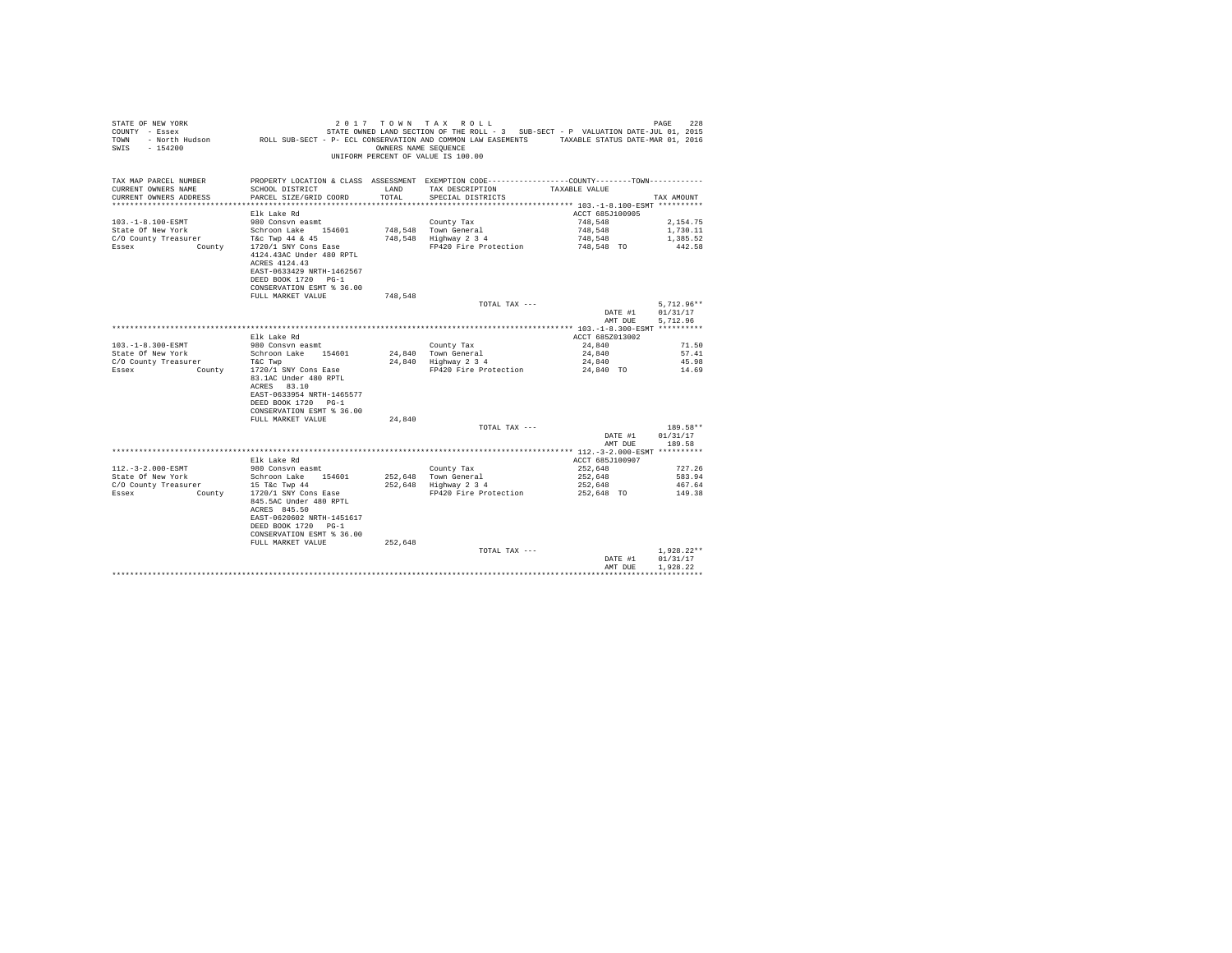| STATE OF NEW YORK<br>COUNTY - Essex<br>TOWN<br>$-154200$<br>SWIS |                                                                                                                                                                    | OWNERS NAME SEQUENCE | 2017 TOWN TAX ROLL<br>STATE OWNED LAND SECTION OF THE ROLL - 3 SUB-SECT - P VALUATION DATE-JUL 01, 2015<br>- North Hudson MOLL SUB-SECT - P- ECL CONSERVATION AND COMMON LAW EASEMENTS TAXABLE STATUS DATE-MAR 01, 2016<br>UNIFORM PERCENT OF VALUE IS 100.00 |                            | 228<br>PAGE          |
|------------------------------------------------------------------|--------------------------------------------------------------------------------------------------------------------------------------------------------------------|----------------------|---------------------------------------------------------------------------------------------------------------------------------------------------------------------------------------------------------------------------------------------------------------|----------------------------|----------------------|
| TAX MAP PARCEL NUMBER<br>CURRENT OWNERS NAME                     | SCHOOL DISTRICT                                                                                                                                                    | T.AND                | PROPERTY LOCATION & CLASS ASSESSMENT EXEMPTION CODE---------------COUNTY-------TOWN----------<br>TAX DESCRIPTION                                                                                                                                              | TAXABLE VALUE              |                      |
| CURRENT OWNERS ADDRESS                                           | PARCEL SIZE/GRID COORD                                                                                                                                             | TOTAL.               | SPECIAL DISTRICTS                                                                                                                                                                                                                                             |                            | TAX AMOUNT           |
|                                                                  |                                                                                                                                                                    |                      |                                                                                                                                                                                                                                                               |                            |                      |
| $103. - 1 - 8.100 - ESMT$                                        | Elk Lake Rd<br>980 Consyn easmt                                                                                                                                    |                      | County Tax                                                                                                                                                                                                                                                    | ACCT 685J100905<br>748.548 | 2.154.75             |
| State Of New York                                                | Schroon Lake 154601                                                                                                                                                |                      | 748.548 Town General                                                                                                                                                                                                                                          | 748,548                    | 1,730.11             |
| C/O County Treasurer                                             | T&C Twp 44 & 45                                                                                                                                                    |                      | 748.548 Highway 2 3 4                                                                                                                                                                                                                                         | 748.548                    | 1,385.52             |
| Essex<br>County                                                  | 1720/1 SNY Cons Ease                                                                                                                                               |                      | FP420 Fire Protection                                                                                                                                                                                                                                         | 748,548 TO                 | 442.58               |
|                                                                  | 4124.43AC Under 480 RPTL<br>ACRES 4124.43<br>EAST-0633429 NRTH-1462567<br>DEED BOOK 1720 PG-1<br>CONSERVATION ESMT % 36.00                                         |                      |                                                                                                                                                                                                                                                               |                            |                      |
|                                                                  | FULL MARKET VALUE                                                                                                                                                  | 748.548              |                                                                                                                                                                                                                                                               |                            |                      |
|                                                                  |                                                                                                                                                                    |                      | TOTAL TAX ---                                                                                                                                                                                                                                                 |                            | $5,712.96**$         |
|                                                                  |                                                                                                                                                                    |                      |                                                                                                                                                                                                                                                               | DATE #1<br>AMT DUE         | 01/31/17<br>5.712.96 |
|                                                                  |                                                                                                                                                                    |                      |                                                                                                                                                                                                                                                               |                            |                      |
| 103. -1-8.300-ESMT                                               | Elk Lake Rd<br>980 Consvn easmt                                                                                                                                    |                      | County Tax                                                                                                                                                                                                                                                    | ACCT 685Z013002<br>24,840  | 71.50                |
| State Of New York                                                | Schroon Lake 154601                                                                                                                                                |                      | 24.840 Town General                                                                                                                                                                                                                                           | 24,840                     | 57.41                |
| C/O County Treasurer                                             | T&C Twp                                                                                                                                                            |                      | 24,840 Highway 2 3 4                                                                                                                                                                                                                                          | 24,840                     | 45.98                |
| Essex<br><b>County</b>                                           | 1720/1 SNY Cons Ease<br>83.1AC Under 480 RPTL<br>ACRES 83.10<br>EAST-0633954 NRTH-1465577<br>DEED BOOK 1720 PG-1<br>CONSERVATION ESMT % 36.00<br>FULL MARKET VALUE |                      | FP420 Fire Protection                                                                                                                                                                                                                                         | 24,840 TO                  | 14.69                |
|                                                                  |                                                                                                                                                                    | 24,840               | TOTAL TAX ---                                                                                                                                                                                                                                                 |                            | 189.58**             |
|                                                                  |                                                                                                                                                                    |                      |                                                                                                                                                                                                                                                               | DATE #1                    | 01/31/17             |
|                                                                  |                                                                                                                                                                    |                      |                                                                                                                                                                                                                                                               | AMT DUE                    | 189.58               |
|                                                                  |                                                                                                                                                                    |                      |                                                                                                                                                                                                                                                               |                            |                      |
|                                                                  | Elk Lake Rd                                                                                                                                                        |                      |                                                                                                                                                                                                                                                               | ACCT 685J100907            |                      |
| $112.-3-2.000-ESMT$                                              | 980 Consvn easmt                                                                                                                                                   |                      | County Tax                                                                                                                                                                                                                                                    | 252,648                    | 727.26               |
| State Of New York                                                | Schroon Lake 154601                                                                                                                                                |                      | 252.648 Town General                                                                                                                                                                                                                                          | 252.648                    | 583.94               |
| C/O County Treasurer<br>Essex<br>County                          | 15 T&c Twp 44<br>1720/1 SNY Cons Ease<br>845.5AC Under 480 RPTL<br>ACRES 845.50<br>EAST-0620602 NRTH-1451617<br>DEED BOOK 1720 PG-1<br>CONSERVATION ESMT % 36.00   |                      | 252,648 Highway 2 3 4<br>FP420 Fire Protection                                                                                                                                                                                                                | 252,648<br>252,648 TO      | 467.64<br>149.38     |
|                                                                  | FULL MARKET VALUE                                                                                                                                                  | 252.648              | TOTAL TAX ---                                                                                                                                                                                                                                                 |                            | $1,928.22**$         |
|                                                                  |                                                                                                                                                                    |                      |                                                                                                                                                                                                                                                               | DATE #1                    | 01/31/17             |
|                                                                  |                                                                                                                                                                    |                      |                                                                                                                                                                                                                                                               | AMT DHE                    | 1.928.22             |
|                                                                  |                                                                                                                                                                    |                      |                                                                                                                                                                                                                                                               |                            |                      |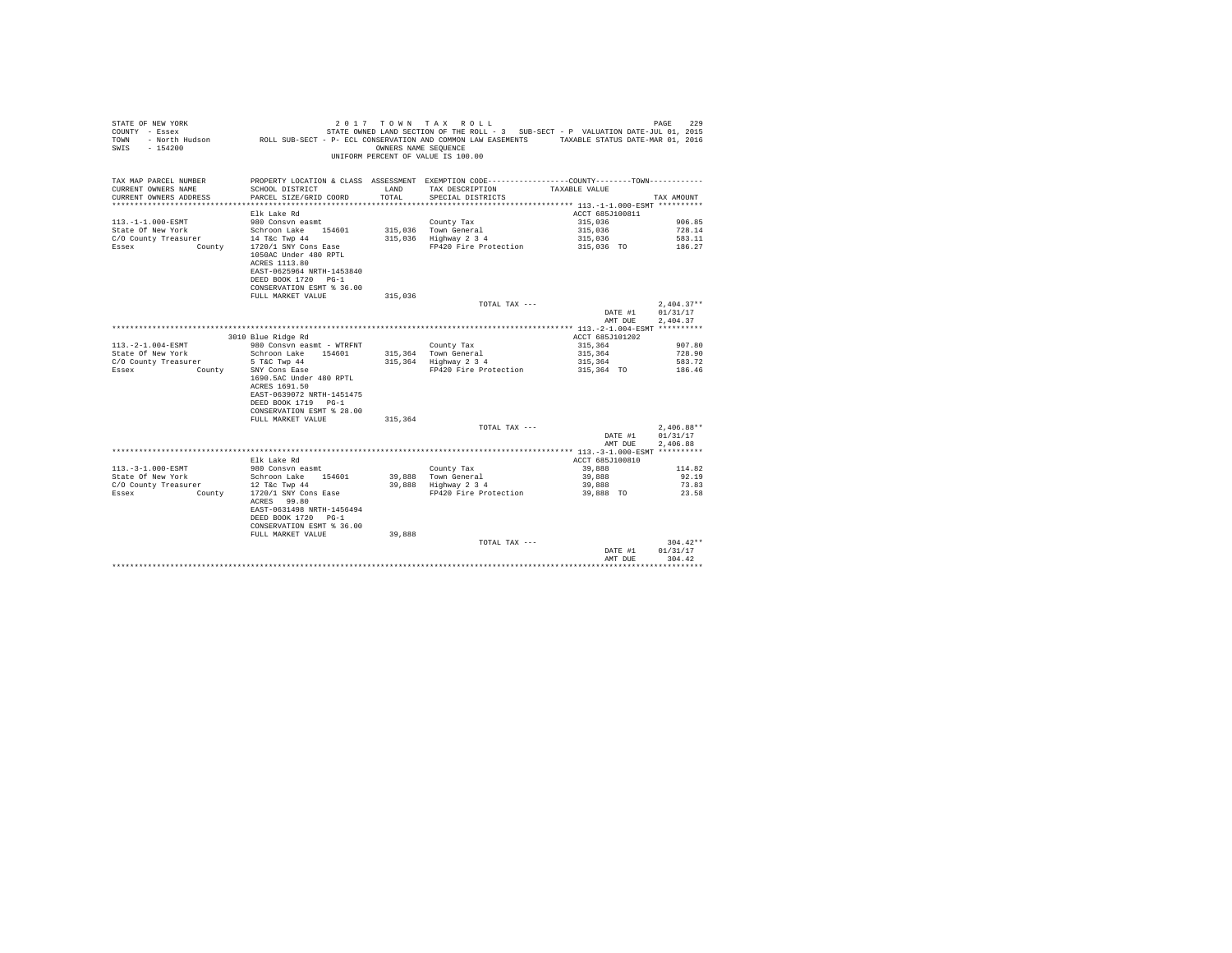| STATE OF NEW YORK<br>COUNTY - Essex           |                                                                                                              |                      | 2017 TOWN TAX ROLL<br>STATE OWNED LAND SECTION OF THE ROLL - 3 SUB-SECT - P VALUATION DATE-JUL 01, 2015 |                    | 229<br>PAGE      |
|-----------------------------------------------|--------------------------------------------------------------------------------------------------------------|----------------------|---------------------------------------------------------------------------------------------------------|--------------------|------------------|
| TOWN                                          | - North Hudson ROLL SUB-SECT - P- ECL CONSERVATION AND COMMON LAW EASEMENTS TAXABLE STATUS DATE-MAR 01, 2016 |                      |                                                                                                         |                    |                  |
| $-154200$<br>SWIS                             |                                                                                                              | OWNERS NAME SEOUENCE |                                                                                                         |                    |                  |
|                                               |                                                                                                              |                      | UNIFORM PERCENT OF VALUE IS 100.00                                                                      |                    |                  |
|                                               |                                                                                                              |                      |                                                                                                         |                    |                  |
|                                               |                                                                                                              |                      |                                                                                                         |                    |                  |
| TAX MAP PARCEL NUMBER                         | PROPERTY LOCATION & CLASS ASSESSMENT EXEMPTION CODE----------------COUNTY--------TOWN----------              |                      |                                                                                                         |                    |                  |
| CURRENT OWNERS NAME                           | SCHOOL DISTRICT                                                                                              | LAND                 | TAX DESCRIPTION TAXABLE VALUE                                                                           |                    |                  |
| CURRENT OWNERS ADDRESS                        | PARCEL SIZE/GRID COORD                                                                                       | TOTAL.               | SPECIAL DISTRICTS                                                                                       |                    | TAX AMOUNT       |
|                                               |                                                                                                              |                      |                                                                                                         |                    |                  |
|                                               | Elk Lake Rd                                                                                                  |                      |                                                                                                         | ACCT 685J100811    |                  |
| $113. -1 - 1.000 - ESMT$<br>State Of New York | 980 Consyn easmt<br>Schroon Lake 154601                                                                      | 315,036              | County Tax<br>Town General                                                                              | 315,036<br>315,036 | 906.85<br>728.14 |
| C/O County Treasurer                          | 14 T&c Twp 44                                                                                                |                      | 315,036 Highway 2 3 4                                                                                   | 315,036            | 583.11           |
| <b>County</b><br>Essex                        | 1720/1 SNY Cons Ease                                                                                         |                      | FP420 Fire Protection                                                                                   | 315,036 TO         | 186.27           |
|                                               | 1050AC Under 480 RPTL                                                                                        |                      |                                                                                                         |                    |                  |
|                                               | ACRES 1113.80                                                                                                |                      |                                                                                                         |                    |                  |
|                                               | EAST-0625964 NRTH-1453840                                                                                    |                      |                                                                                                         |                    |                  |
|                                               | DEED BOOK 1720 PG-1                                                                                          |                      |                                                                                                         |                    |                  |
|                                               | CONSERVATION ESMT % 36.00                                                                                    |                      |                                                                                                         |                    |                  |
|                                               | FULL MARKET VALUE                                                                                            | 315,036              |                                                                                                         |                    |                  |
|                                               |                                                                                                              |                      | TOTAL TAX ---                                                                                           |                    | $2,404.37**$     |
|                                               |                                                                                                              |                      |                                                                                                         | DATE #1            | 01/31/17         |
|                                               |                                                                                                              |                      |                                                                                                         | AMT DUE            | 2,404.37         |
|                                               |                                                                                                              |                      |                                                                                                         |                    |                  |
|                                               | 3010 Blue Ridge Rd                                                                                           |                      |                                                                                                         | ACCT 685J101202    |                  |
| $113. -2 - 1.004 - ESMT$                      | 980 Consyn easmt - WTRFNT                                                                                    |                      | County Tax                                                                                              | 315,364            | 907.80           |
| State Of New York                             | Schroon Lake 154601                                                                                          |                      | 315,364 Town General                                                                                    | 315,364            | 728.90           |
| C/O County Treasurer                          | 5 T&C Twp 44                                                                                                 |                      | 315,364 Highway 2 3 4                                                                                   | 315,364            | 583.72           |
| Essex<br>County                               | SNY Cons Ease                                                                                                |                      | FP420 Fire Protection                                                                                   | 315,364 TO         | 186.46           |
|                                               | 1690.5AC Under 480 RPTL                                                                                      |                      |                                                                                                         |                    |                  |
|                                               | ACRES 1691.50                                                                                                |                      |                                                                                                         |                    |                  |
|                                               | EAST-0639072 NRTH-1451475                                                                                    |                      |                                                                                                         |                    |                  |
|                                               | DEED BOOK 1719 PG-1                                                                                          |                      |                                                                                                         |                    |                  |
|                                               | CONSERVATION ESMT % 28.00                                                                                    |                      |                                                                                                         |                    |                  |
|                                               | FULL MARKET VALUE                                                                                            | 315,364              |                                                                                                         |                    |                  |
|                                               |                                                                                                              |                      | TOTAL TAX ---                                                                                           |                    | $2.406.88**$     |
|                                               |                                                                                                              |                      |                                                                                                         | DATE #1            | 01/31/17         |
|                                               |                                                                                                              |                      |                                                                                                         | AMT DUE            | 2.406.88         |
|                                               | Elk Lake Rd                                                                                                  |                      |                                                                                                         | ACCT 685J100810    |                  |
| $113. - 3 - 1.000 - ESMT$                     | 980 Consyn easmt                                                                                             |                      | County Tax                                                                                              | 39,888             | 114.82           |
| State Of New York                             | Schroon Lake 154601                                                                                          |                      |                                                                                                         | 39,888             | 92.19            |
| C/O County Treasurer                          | 12 T&c Twp 44                                                                                                |                      | 39,888 Town General<br>39,888 Highway 2 3 4                                                             | 39,888             | 73.83            |
| Essex<br>County                               | 1720/1 SNY Cons Ease                                                                                         |                      | FP420 Fire Protection                                                                                   | 39,888 TO          | 23.58            |
|                                               | ACRES 99.80                                                                                                  |                      |                                                                                                         |                    |                  |
|                                               | EAST-0631498 NRTH-1456494                                                                                    |                      |                                                                                                         |                    |                  |
|                                               | DEED BOOK 1720 PG-1                                                                                          |                      |                                                                                                         |                    |                  |
|                                               | CONSERVATION ESMT % 36.00                                                                                    |                      |                                                                                                         |                    |                  |
|                                               | FULL MARKET VALUE                                                                                            | 39,888               |                                                                                                         |                    |                  |
|                                               |                                                                                                              |                      | TOTAL TAX ---                                                                                           |                    | $304.42**$       |
|                                               |                                                                                                              |                      |                                                                                                         | DATE #1            | 01/31/17         |
|                                               |                                                                                                              |                      |                                                                                                         | AMT DUE            | 304.42           |
|                                               |                                                                                                              |                      |                                                                                                         |                    |                  |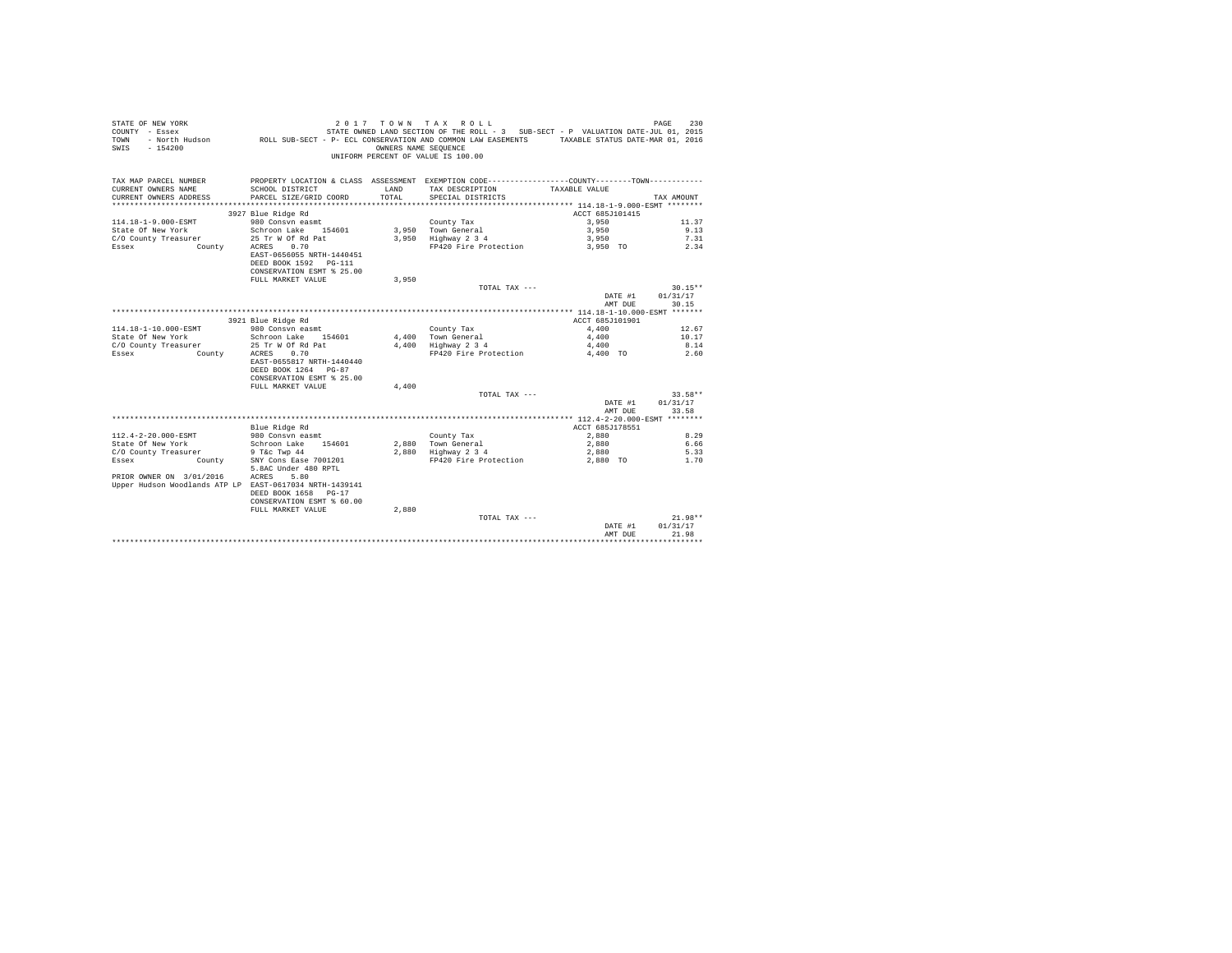| STATE OF NEW YORK<br>$CONTINTY - Resex$<br>TOWN<br>$-154200$<br>SWTS                | - North Hudson ROLL SUB-SECT - P- ECL CONSERVATION AND COMMON LAW EASEMENTS             | OWNERS NAME SEQUENCE | 2017 TOWN TAX ROLL<br>STATE OWNED LAND SECTION OF THE ROLL - 3 SUB-SECT - P VALUATION DATE-JUL 01, 2015<br>UNIFORM PERCENT OF VALUE IS 100.00 | TAXABLE STATUS DATE-MAR 01, 2016 | 230<br>PAGE           |
|-------------------------------------------------------------------------------------|-----------------------------------------------------------------------------------------|----------------------|-----------------------------------------------------------------------------------------------------------------------------------------------|----------------------------------|-----------------------|
| TAX MAP PARCEL NUMBER                                                               |                                                                                         |                      | PROPERTY LOCATION & CLASS ASSESSMENT EXEMPTION CODE---------------COUNTY-------TOWN----------                                                 |                                  |                       |
| CURRENT OWNERS NAME                                                                 | SCHOOL DISTRICT                                                                         | LAND                 | TAX DESCRIPTION                                                                                                                               | TAXABLE VALUE                    |                       |
| CURRENT OWNERS ADDRESS                                                              | PARCEL SIZE/GRID COORD                                                                  | TOTAL.               | SPECIAL DISTRICTS                                                                                                                             |                                  | TAX AMOUNT            |
|                                                                                     |                                                                                         |                      |                                                                                                                                               |                                  |                       |
|                                                                                     | 3927 Blue Ridge Rd                                                                      |                      |                                                                                                                                               | ACCT 685J101415                  |                       |
| 114.18-1-9.000-ESMT                                                                 | 980 Consyn easmt                                                                        |                      | County Tax                                                                                                                                    | 3,950                            | 11.37                 |
| State Of New York                                                                   | Schroon Lake 154601                                                                     |                      | 3.950 Town General                                                                                                                            | 3,950                            | 9.13                  |
| C/O County Treasurer                                                                | 25 Tr W Of Rd Pat                                                                       |                      | 3,950 Highway 2 3 4                                                                                                                           | 3,950                            | 7.31                  |
| Essex<br>County                                                                     | ACRES 0.70                                                                              |                      | FP420 Fire Protection                                                                                                                         | 3,950 TO                         | 2.34                  |
|                                                                                     | EAST-0656055 NRTH-1440451                                                               |                      |                                                                                                                                               |                                  |                       |
|                                                                                     | DEED BOOK 1592 PG-111                                                                   |                      |                                                                                                                                               |                                  |                       |
|                                                                                     | CONSERVATION ESMT % 25.00                                                               |                      |                                                                                                                                               |                                  |                       |
|                                                                                     | FULL MARKET VALUE                                                                       | 3,950                |                                                                                                                                               |                                  |                       |
|                                                                                     |                                                                                         |                      | TOTAL TAX ---                                                                                                                                 | DATE #1                          | $30.15**$<br>01/31/17 |
|                                                                                     |                                                                                         |                      |                                                                                                                                               | AMT DUE                          | 30.15                 |
|                                                                                     |                                                                                         |                      |                                                                                                                                               |                                  |                       |
|                                                                                     | 3921 Blue Ridge Rd                                                                      |                      |                                                                                                                                               | ACCT 685J101901                  |                       |
| $114.18 - 1 - 10.000 -$ ESMT                                                        | 980 Consyn easmt                                                                        |                      | County Tax                                                                                                                                    | 4,400                            | 12.67                 |
| State Of New York                                                                   | Schroon Lake 154601                                                                     |                      | 4.400 Town General                                                                                                                            | 4,400                            | 10.17                 |
| C/O County Treasurer                                                                | 25 Tr W Of Rd Pat                                                                       | 4.400                | Highway 2 3 4                                                                                                                                 | 4,400                            | 8.14                  |
| Essex<br>County                                                                     | 0.70<br>ACRES                                                                           |                      | FP420 Fire Protection                                                                                                                         | 4,400 TO                         | 2.60                  |
|                                                                                     | EAST-0655817 NRTH-1440440<br>DEED BOOK 1264 PG-87<br>CONSERVATION ESMT % 25.00          |                      |                                                                                                                                               |                                  |                       |
|                                                                                     | FULL MARKET VALUE                                                                       | 4,400                |                                                                                                                                               |                                  |                       |
|                                                                                     |                                                                                         |                      | TOTAL TAX ---                                                                                                                                 |                                  | $33.58**$             |
|                                                                                     |                                                                                         |                      |                                                                                                                                               | DATE #1<br>AMT DUE               | 01/31/17<br>33.58     |
|                                                                                     |                                                                                         |                      |                                                                                                                                               |                                  |                       |
|                                                                                     | Blue Ridge Rd                                                                           |                      |                                                                                                                                               | ACCT 685J178551                  |                       |
| 112.4-2-20.000-ESMT                                                                 | 980 Consyn easmt                                                                        |                      | County Tax                                                                                                                                    | 2,880                            | 8.29                  |
| State Of New York                                                                   | Schroon Lake 154601                                                                     |                      | $2,880$ Town General<br>$2,880$ Highway $2\,3\,4$                                                                                             | 2,880                            | 6.66                  |
| C/O County Treasurer                                                                | 9 T&c Twp 44                                                                            |                      |                                                                                                                                               | 2,880                            | 5.33                  |
| Essex<br>County                                                                     | SNY Cons Ease 7001201<br>5.8AC Under 480 RPTL                                           |                      | FP420 Fire Protection                                                                                                                         | 2,880 TO                         | 1.70                  |
| PRIOR OWNER ON 3/01/2016<br>Upper Hudson Woodlands ATP LP EAST-0617034 NRTH-1439141 | 5.80<br>ACRES<br>DEED BOOK 1658 PG-17<br>CONSERVATION ESMT % 60.00<br>FULL MARKET VALUE | 2.880                |                                                                                                                                               |                                  |                       |
|                                                                                     |                                                                                         |                      | TOTAL TAX ---                                                                                                                                 |                                  | $21.98**$             |
|                                                                                     |                                                                                         |                      |                                                                                                                                               | DATE #1<br>AMT DUE               | 01/31/17<br>21.98     |
|                                                                                     |                                                                                         |                      |                                                                                                                                               |                                  | *******               |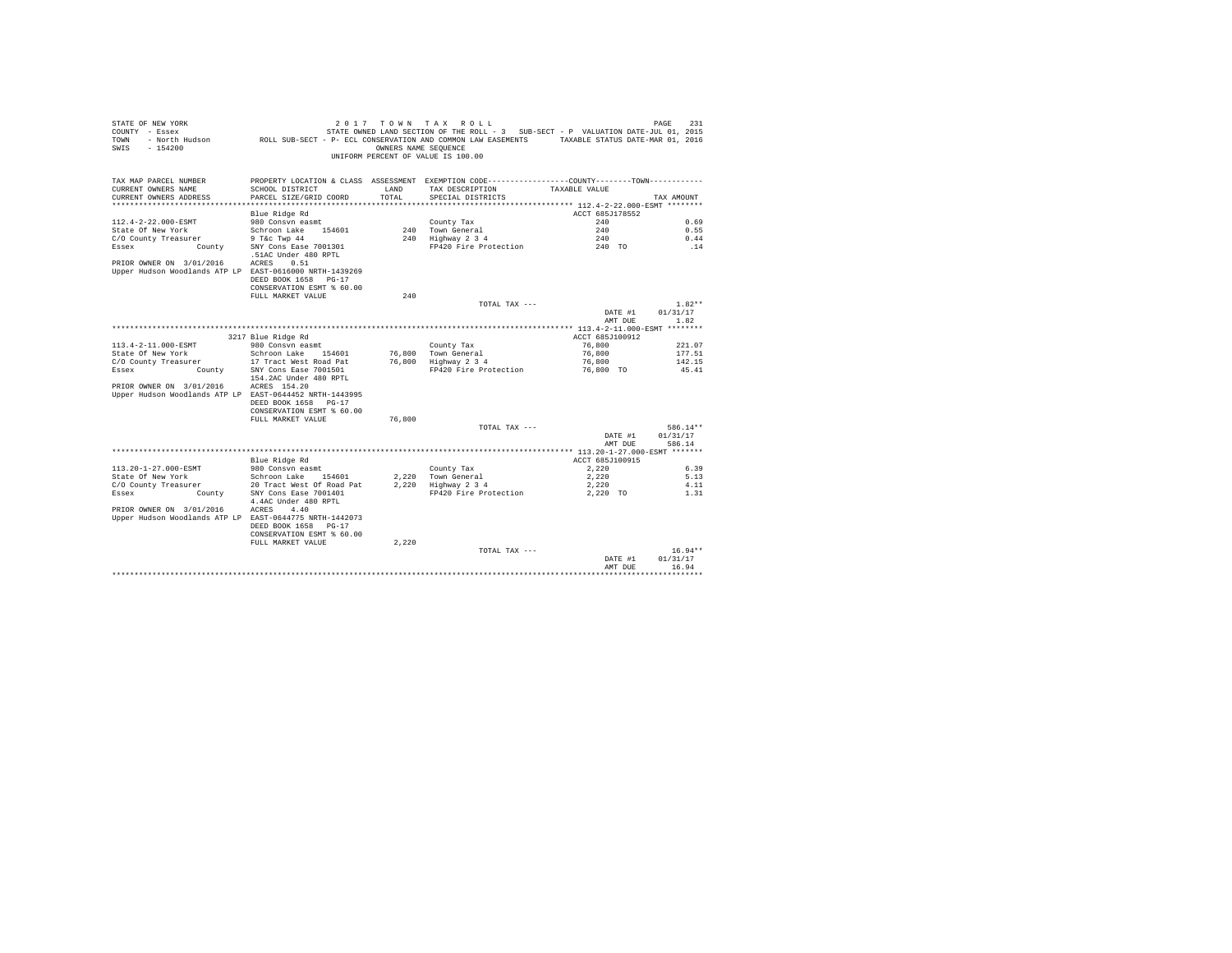| STATE OF NEW YORK<br>COUNTY - Essex<br>TOWN<br>$-154200$<br>SWIS | - North Hudson ROLL SUB-SECT - P- ECL CONSERVATION AND COMMON LAW EASEMENTS TAXABLE STATUS DATE-MAR 01, 2016 | 2017 TOWN TAX<br>OWNERS NAME SEQUENCE | ROLL<br>STATE OWNED LAND SECTION OF THE ROLL - 3 SUB-SECT - P VALUATION DATE-JUL 01, 2015<br>UNIFORM PERCENT OF VALUE IS 100.00 |                           | 231<br>PAGE  |
|------------------------------------------------------------------|--------------------------------------------------------------------------------------------------------------|---------------------------------------|---------------------------------------------------------------------------------------------------------------------------------|---------------------------|--------------|
| TAX MAP PARCEL NUMBER<br>CURRENT OWNERS NAME                     | SCHOOL DISTRICT                                                                                              | LAND                                  | PROPERTY LOCATION & CLASS ASSESSMENT EXEMPTION CODE---------------COUNTY-------TOWN----------<br>TAX DESCRIPTION                | TAXABLE VALUE             |              |
| CURRENT OWNERS ADDRESS                                           | PARCEL SIZE/GRID COORD                                                                                       | TOTAL                                 | SPECIAL DISTRICTS                                                                                                               |                           | TAX AMOUNT   |
|                                                                  |                                                                                                              |                                       |                                                                                                                                 |                           |              |
|                                                                  | Blue Ridge Rd                                                                                                |                                       |                                                                                                                                 | ACCT 685J178552           |              |
| 112.4-2-22.000-ESMT<br>State Of New York                         | 980 Consyn easmt                                                                                             |                                       | County Tax<br>240 Town General                                                                                                  | 240<br>240                | 0.69<br>0.55 |
| C/O County Treasurer                                             | Schroon Lake 154601<br>9 T&c Twp 44                                                                          |                                       | 240 Highway 2 3 4                                                                                                               | 240                       | 0.44         |
| County<br>Essex                                                  | SNY Cons Ease 7001301                                                                                        |                                       | FP420 Fire Protection                                                                                                           | 240 TO                    | .14          |
|                                                                  | .51AC Under 480 RPTL                                                                                         |                                       |                                                                                                                                 |                           |              |
| PRIOR OWNER ON 3/01/2016                                         | ACRES<br>0.51                                                                                                |                                       |                                                                                                                                 |                           |              |
| Upper Hudson Woodlands ATP LP EAST-0616000 NRTH-1439269          |                                                                                                              |                                       |                                                                                                                                 |                           |              |
|                                                                  | DEED BOOK 1658 PG-17                                                                                         |                                       |                                                                                                                                 |                           |              |
|                                                                  | CONSERVATION ESMT % 60.00                                                                                    |                                       |                                                                                                                                 |                           |              |
|                                                                  | FULL MARKET VALUE                                                                                            | 240                                   |                                                                                                                                 |                           |              |
|                                                                  |                                                                                                              |                                       | TOTAL TAX ---                                                                                                                   |                           | $1.82**$     |
|                                                                  |                                                                                                              |                                       |                                                                                                                                 | DATE #1                   | 01/31/17     |
|                                                                  |                                                                                                              |                                       |                                                                                                                                 | AMT DUE                   | 1.82         |
|                                                                  |                                                                                                              |                                       |                                                                                                                                 |                           |              |
| 113.4-2-11.000-ESMT                                              | 3217 Blue Ridge Rd<br>980 Consvn easmt                                                                       |                                       | County Tax                                                                                                                      | ACCT 685J100912<br>76,800 | 221.07       |
| State Of New York                                                | Schroon Lake 154601                                                                                          | 76,800                                | Town General                                                                                                                    | 76,800                    | 177.51       |
| C/O County Treasurer                                             | 17 Tract West Road Pat                                                                                       | 76,800                                | Highway 2 3 4                                                                                                                   | 76,800                    | 142.15       |
| Essex<br>County                                                  | SNY Cons Ease 7001501                                                                                        |                                       | FP420 Fire Protection                                                                                                           | 76,800 TO                 | 45.41        |
|                                                                  | 154.2AC Under 480 RPTL                                                                                       |                                       |                                                                                                                                 |                           |              |
| PRIOR OWNER ON 3/01/2016                                         | ACRES 154.20                                                                                                 |                                       |                                                                                                                                 |                           |              |
| Upper Hudson Woodlands ATP LP EAST-0644452 NRTH-1443995          |                                                                                                              |                                       |                                                                                                                                 |                           |              |
|                                                                  | DEED BOOK 1658 PG-17                                                                                         |                                       |                                                                                                                                 |                           |              |
|                                                                  | CONSERVATION ESMT % 60.00                                                                                    |                                       |                                                                                                                                 |                           |              |
|                                                                  | FULL MARKET VALUE                                                                                            | 76,800                                |                                                                                                                                 |                           |              |
|                                                                  |                                                                                                              |                                       | TOTAL TAX ---                                                                                                                   |                           | 586.14**     |
|                                                                  |                                                                                                              |                                       |                                                                                                                                 | DATE #1                   | 01/31/17     |
|                                                                  |                                                                                                              |                                       |                                                                                                                                 | AMT DUE                   | 586.14       |
|                                                                  | Blue Ridge Rd                                                                                                |                                       |                                                                                                                                 | ACCT 685J100915           |              |
| 113.20-1-27.000-ESMT                                             | 980 Consvn easmt                                                                                             |                                       | County Tax                                                                                                                      | 2,220                     | 6.39         |
| State Of New York                                                | Schroon Lake 154601                                                                                          | 2.220                                 | Town General                                                                                                                    | 2,220                     | 5.13         |
| C/O County Treasurer                                             | 20 Tract West Of Road Pat                                                                                    |                                       | 2,220 Highway 2 3 4                                                                                                             | 2,220                     | 4.11         |
| Essex<br>County                                                  | SNY Cons Ease 7001401                                                                                        |                                       | FP420 Fire Protection                                                                                                           | 2,220 TO                  | 1.31         |
|                                                                  | 4.4AC Under 480 RPTL                                                                                         |                                       |                                                                                                                                 |                           |              |
| PRIOR OWNER ON 3/01/2016                                         | 4.40<br>ACRES                                                                                                |                                       |                                                                                                                                 |                           |              |
| Upper Hudson Woodlands ATP LP EAST-0644775 NRTH-1442073          |                                                                                                              |                                       |                                                                                                                                 |                           |              |
|                                                                  | DEED BOOK 1658 PG-17                                                                                         |                                       |                                                                                                                                 |                           |              |
|                                                                  | CONSERVATION ESMT % 60.00                                                                                    |                                       |                                                                                                                                 |                           |              |
|                                                                  | FULL MARKET VALUE                                                                                            | 2,220                                 | TOTAL TAX ---                                                                                                                   |                           | $16.94**$    |
|                                                                  |                                                                                                              |                                       |                                                                                                                                 | DATE #1                   | 01/31/17     |
|                                                                  |                                                                                                              |                                       |                                                                                                                                 | AMT DUR                   | 16.94        |
|                                                                  |                                                                                                              |                                       |                                                                                                                                 |                           |              |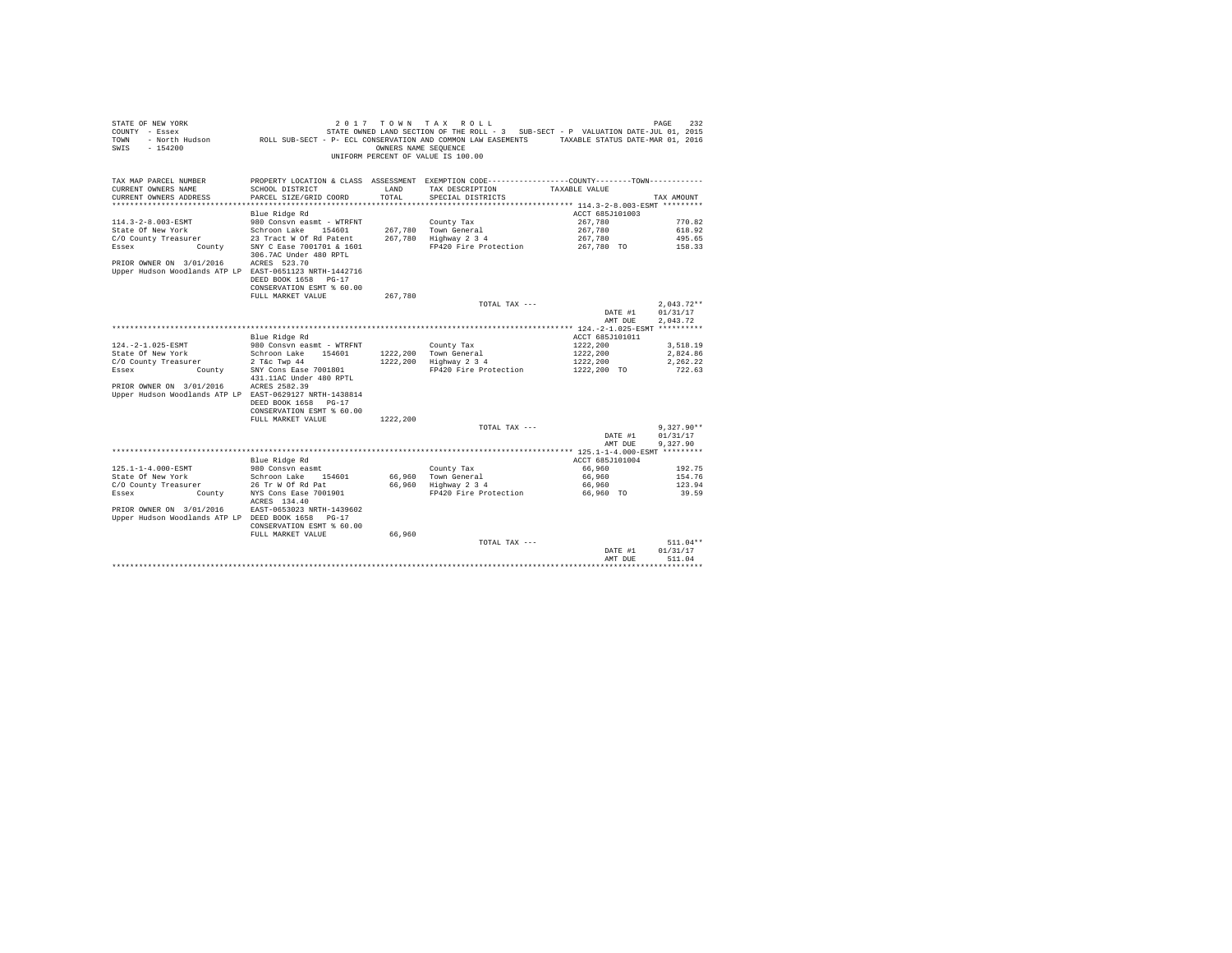| STATE OF NEW YORK<br>COUNTY - Essex<br>- North Hudson<br>TOWN<br>SWIS<br>$-154200$ | ROLL SUB-SECT - P- ECL CONSERVATION AND COMMON LAW EASEMENTS TAXABLE STATUS DATE-MAR 01, 2016 | OWNERS NAME SEQUENCE | 2017 TOWN TAX ROLL<br>STATE OWNED LAND SECTION OF THE ROLL - 3 SUB-SECT - P VALUATION DATE-JUL 01, 2015<br>UNIFORM PERCENT OF VALUE IS 100.00 |                                                               | 232<br>PAGE  |
|------------------------------------------------------------------------------------|-----------------------------------------------------------------------------------------------|----------------------|-----------------------------------------------------------------------------------------------------------------------------------------------|---------------------------------------------------------------|--------------|
| TAX MAP PARCEL NUMBER                                                              | PROPERTY LOCATION & CLASS ASSESSMENT EXEMPTION CODE---------------COUNTY-------TOWN---------  |                      |                                                                                                                                               |                                                               |              |
| CURRENT OWNERS NAME                                                                | SCHOOL DISTRICT                                                                               | LAND                 | TAX DESCRIPTION                                                                                                                               | TAXABLE VALUE                                                 |              |
| CURRENT OWNERS ADDRESS                                                             | PARCEL SIZE/GRID COORD                                                                        | TOTAL                | SPECIAL DISTRICTS                                                                                                                             |                                                               | TAX AMOUNT   |
| *********************                                                              |                                                                                               |                      |                                                                                                                                               | ******************************** 114.3-2-8.003-ESMT ********* |              |
|                                                                                    | Blue Ridge Rd                                                                                 |                      |                                                                                                                                               | ACCT 685J101003                                               |              |
| 114.3-2-8.003-ESMT                                                                 | 980 Consvn easmt - WTRFNT                                                                     |                      | County Tax                                                                                                                                    | 267.780                                                       | 770.82       |
| State Of New York                                                                  | Schroon Lake 154601                                                                           |                      | 267,780 Town General                                                                                                                          | 267.780                                                       | 618.92       |
| C/O County Treasurer                                                               | 23 Tract W Of Rd Patent                                                                       |                      | 267,780 Highway 2 3 4                                                                                                                         | 267,780                                                       | 495.65       |
| Essex<br>County                                                                    | SNY C Ease 7001701 & 1601                                                                     |                      | FP420 Fire Protection                                                                                                                         | 267.780 TO                                                    | 158.33       |
|                                                                                    | 306.7AC Under 480 RPTL                                                                        |                      |                                                                                                                                               |                                                               |              |
| PRIOR OWNER ON 3/01/2016                                                           | ACRES 523.70                                                                                  |                      |                                                                                                                                               |                                                               |              |
| Upper Hudson Woodlands ATP LP EAST-0651123 NRTH-1442716                            |                                                                                               |                      |                                                                                                                                               |                                                               |              |
|                                                                                    | DEED BOOK 1658 PG-17                                                                          |                      |                                                                                                                                               |                                                               |              |
|                                                                                    | CONSERVATION ESMT % 60.00                                                                     | 267.780              |                                                                                                                                               |                                                               |              |
|                                                                                    | FULL MARKET VALUE                                                                             |                      | TOTAL TAX ---                                                                                                                                 |                                                               | $2.043.72**$ |
|                                                                                    |                                                                                               |                      |                                                                                                                                               | DATE #1                                                       | 01/31/17     |
|                                                                                    |                                                                                               |                      |                                                                                                                                               | AMT DUE                                                       | 2.043.72     |
|                                                                                    |                                                                                               |                      |                                                                                                                                               |                                                               |              |
|                                                                                    | Blue Ridge Rd                                                                                 |                      |                                                                                                                                               | ACCT 685J101011                                               |              |
| 124. - 2-1.025-ESMT                                                                | 980 Consyn easmt - WTRFNT                                                                     |                      | County Tax                                                                                                                                    | 1222.200                                                      | 3,518.19     |
| State Of New York                                                                  | Schroon Lake 154601                                                                           |                      | 1222,200 Town General                                                                                                                         | 1222,200                                                      | 2.824.86     |
| C/O County Treasurer                                                               | $2$ T&c Twp $44$                                                                              |                      | 1222,200 Highway 2 3 4                                                                                                                        | 1222,200                                                      | 2,262.22     |
| Essex<br>County                                                                    | SNY Cons Ease 7001801                                                                         |                      | FP420 Fire Protection                                                                                                                         | 1222,200 TO                                                   | 722.63       |
|                                                                                    | 431.11AC Under 480 RPTL                                                                       |                      |                                                                                                                                               |                                                               |              |
| PRIOR OWNER ON 3/01/2016                                                           | ACRES 2582.39                                                                                 |                      |                                                                                                                                               |                                                               |              |
| Upper Hudson Woodlands ATP LP EAST-0629127 NRTH-1438814                            |                                                                                               |                      |                                                                                                                                               |                                                               |              |
|                                                                                    | DEED BOOK 1658 PG-17                                                                          |                      |                                                                                                                                               |                                                               |              |
|                                                                                    | CONSERVATION ESMT % 60.00                                                                     |                      |                                                                                                                                               |                                                               |              |
|                                                                                    | FULL MARKET VALUE                                                                             | 1222,200             |                                                                                                                                               |                                                               |              |
|                                                                                    |                                                                                               |                      | TOTAL TAX ---                                                                                                                                 |                                                               | $9.327.90**$ |
|                                                                                    |                                                                                               |                      |                                                                                                                                               | DATE #1                                                       | 01/31/17     |
|                                                                                    |                                                                                               |                      |                                                                                                                                               | AMT DUE                                                       | 9.327.90     |
|                                                                                    |                                                                                               |                      |                                                                                                                                               |                                                               |              |
|                                                                                    | Blue Ridge Rd                                                                                 |                      |                                                                                                                                               | ACCT 685J101004                                               |              |
| 125.1-1-4.000-ESMT                                                                 | 980 Consyn easmt                                                                              |                      | County Tax                                                                                                                                    | 66,960                                                        | 192.75       |
| State Of New York                                                                  | Schroon Lake 154601                                                                           |                      | 66,960 Town General                                                                                                                           | 66,960                                                        | 154.76       |
| C/O County Treasurer                                                               | 26 Tr W Of Rd Pat                                                                             |                      | 66,960 Highway 2 3 4                                                                                                                          | 66,960                                                        | 123.94       |
| County<br>Essex                                                                    | NYS Cons Ease 7001901                                                                         |                      | FP420 Fire Protection                                                                                                                         | 66.960 TO                                                     | 39.59        |
|                                                                                    | ACRES 134.40                                                                                  |                      |                                                                                                                                               |                                                               |              |
| PRIOR OWNER ON 3/01/2016                                                           | EAST-0653023 NRTH-1439602                                                                     |                      |                                                                                                                                               |                                                               |              |
| Upper Hudson Woodlands ATP LP DEED BOOK 1658 PG-17                                 |                                                                                               |                      |                                                                                                                                               |                                                               |              |
|                                                                                    | CONSERVATION ESMT % 60.00                                                                     |                      |                                                                                                                                               |                                                               |              |
|                                                                                    | FULL MARKET VALUE                                                                             | 66.960               |                                                                                                                                               |                                                               | $511.04**$   |
|                                                                                    |                                                                                               |                      | TOTAL TAX ---                                                                                                                                 | DATE #1                                                       | 01/31/17     |
|                                                                                    |                                                                                               |                      |                                                                                                                                               | AMT DUE                                                       | 511.04       |
|                                                                                    |                                                                                               |                      |                                                                                                                                               |                                                               |              |
|                                                                                    |                                                                                               |                      |                                                                                                                                               |                                                               |              |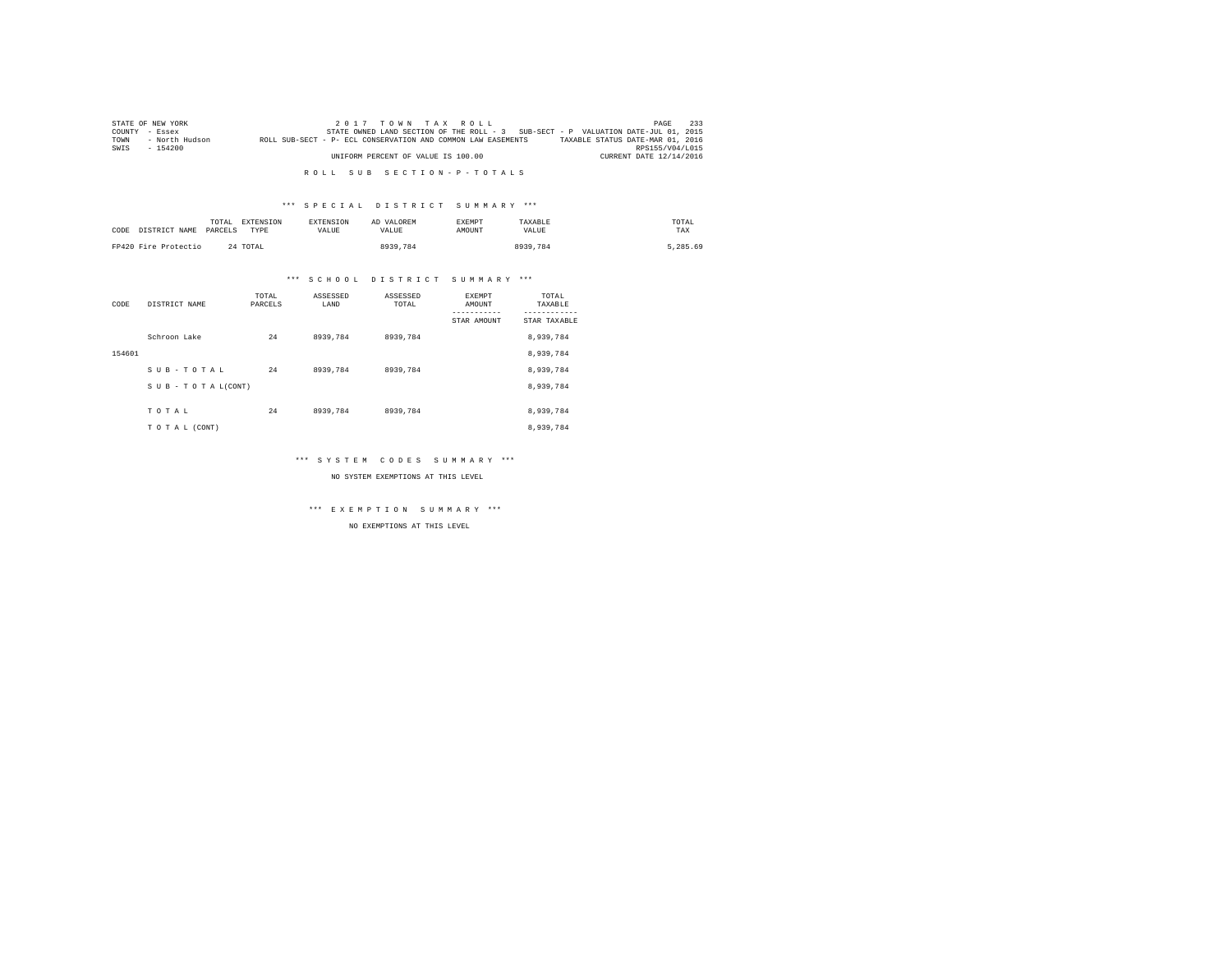|      | STATE OF NEW YORK |                                                              | $2.017$ TOWN TAX ROLL                                                             | 233<br>PAGE                      |
|------|-------------------|--------------------------------------------------------------|-----------------------------------------------------------------------------------|----------------------------------|
|      | COUNTY - Essex    |                                                              | STATE OWNED LAND SECTION OF THE ROLL - 3 SUB-SECT - P VALUATION DATE-JUL 01, 2015 |                                  |
| TOWN | - North Hudson    | ROLL SUB-SECT - P- ECL CONSERVATION AND COMMON LAW EASEMENTS |                                                                                   | TAXABLE STATUS DATE-MAR 01, 2016 |
| SWIS | $-154200$         |                                                              |                                                                                   | RPS155/V04/L015                  |
|      |                   | UNIFORM PERCENT OF VALUE IS 100.00                           |                                                                                   | CURRENT DATE 12/14/2016          |

# \*\*\* S P E C I A L D I S T R I C T S U M M A R Y \*\*\*

| CODE | DISTRICT NAME        | TOTAL<br>PARCELS | <b>EXTENSION</b><br>TYPE | <b>EXTENSION</b><br>VALUE | AD VALOREM<br>VALUE | <b>EXEMPT</b><br>AMOUNT | TAXABLE<br>VALUE | TOTAL<br>TAX |
|------|----------------------|------------------|--------------------------|---------------------------|---------------------|-------------------------|------------------|--------------|
|      | FP420 Fire Protectio |                  | 24 TOTAL                 |                           | 8939.784            |                         | 8939,784         | 5.285.69     |

# \*\*\* S C H O O L D I S T R I C T S U M M A R Y \*\*\*

| CODE   | DISTRICT NAME      | TOTAL<br>PARCELS | ASSESSED<br>LAND | ASSESSED<br>TOTAL | <b>EXEMPT</b><br>AMOUNT | TOTAL<br>TAXABLE |
|--------|--------------------|------------------|------------------|-------------------|-------------------------|------------------|
|        |                    |                  |                  |                   | STAR AMOUNT             | STAR TAXABLE     |
|        | Schroon Lake       | 24               | 8939.784         | 8939,784          |                         | 8,939,784        |
| 154601 |                    |                  |                  |                   |                         | 8,939,784        |
|        | SUB-TOTAL          | 24               | 8939.784         | 8939,784          |                         | 8,939,784        |
|        | SUB - TO TAL(CONT) |                  |                  |                   |                         | 8,939,784        |
|        | TOTAL              | 24               | 8939.784         | 8939,784          |                         | 8,939,784        |
|        |                    |                  |                  |                   |                         |                  |
|        | TO TAL (CONT)      |                  |                  |                   |                         | 8,939,784        |

# \*\*\* S Y S T E M C O D E S S U M M A R Y \*\*\*

NO SYSTEM EXEMPTIONS AT THIS LEVEL

\*\*\* E X E M P T I O N S U M M A R Y \*\*\*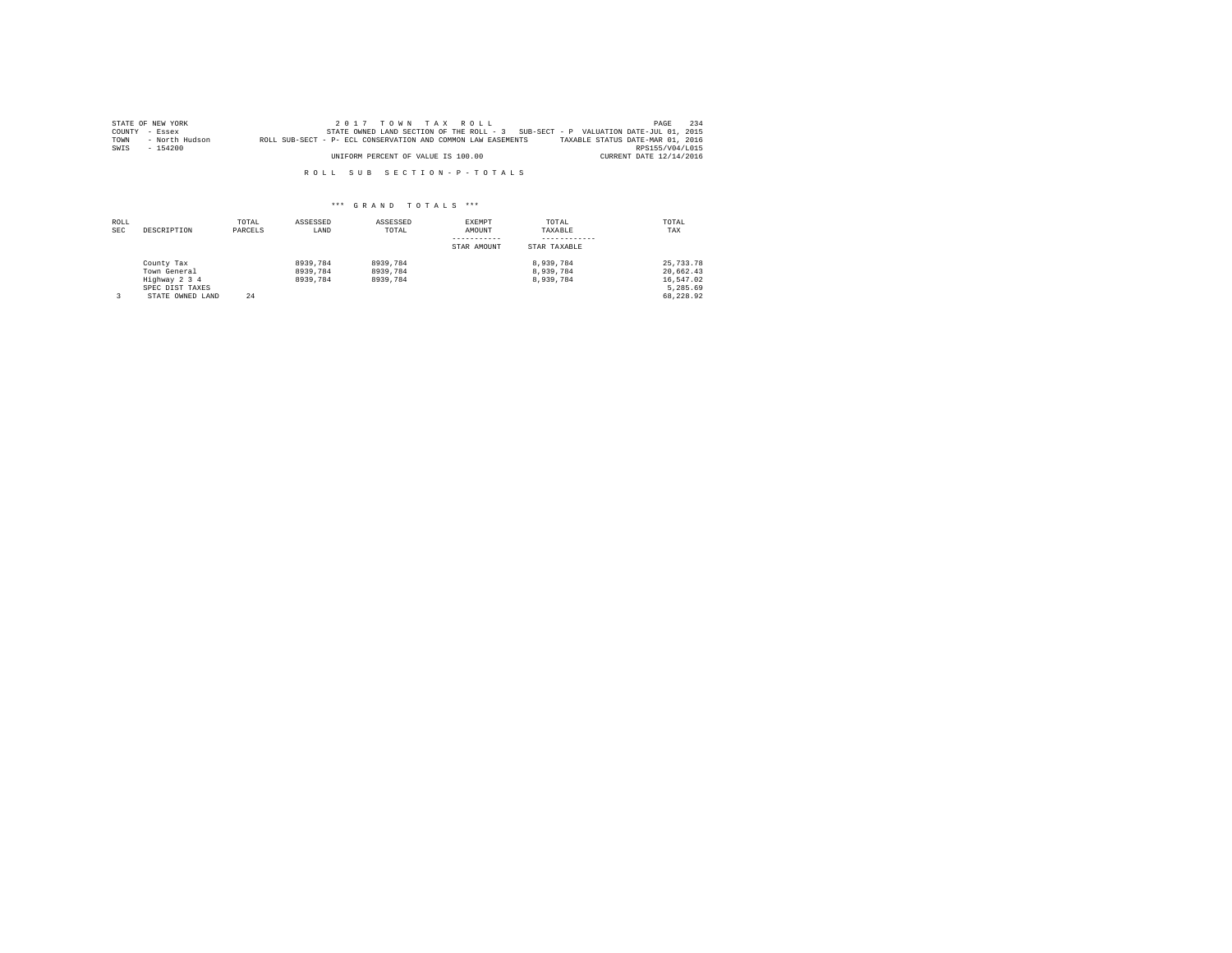|      | STATE OF NEW YORK | 2017 TOWN TAX ROLL                                                                               | PAGE            | 234 |
|------|-------------------|--------------------------------------------------------------------------------------------------|-----------------|-----|
|      | COUNTY - Essex    | STATE OWNED LAND SECTION OF THE ROLL - 3 SUB-SECT - P VALUATION DATE-JUL 01, 2015                |                 |     |
| TOWN | - North Hudson    | TAXABLE STATUS DATE-MAR 01, 2016<br>ROLL SUB-SECT - P- ECL CONSERVATION AND COMMON LAW EASEMENTS |                 |     |
| SWIS | $-154200$         |                                                                                                  | RPS155/V04/L015 |     |
|      |                   | CURRENT DATE 12/14/2016<br>UNIFORM PERCENT OF VALUE IS 100.00                                    |                 |     |

| ROLL<br><b>SEC</b> | DESCRIPTION                                                                        | TOTAL<br>PARCELS | ASSESSED<br>LAND                 | ASSESSED<br>TOTAL                | EXEMPT<br>AMOUNT<br>STAR AMOUNT | TOTAL<br>TAXABLE<br>STAR TAXABLE    | TOTAL<br>TAX                                                   |
|--------------------|------------------------------------------------------------------------------------|------------------|----------------------------------|----------------------------------|---------------------------------|-------------------------------------|----------------------------------------------------------------|
|                    | County Tax<br>Town General<br>Highway 2 3 4<br>SPEC DIST TAXES<br>STATE OWNED LAND | 24               | 8939,784<br>8939.784<br>8939,784 | 8939.784<br>8939.784<br>8939.784 |                                 | 8.939.784<br>8.939.784<br>8.939.784 | 25, 733, 78<br>20.662.43<br>16.547.02<br>5.285.69<br>68.228.92 |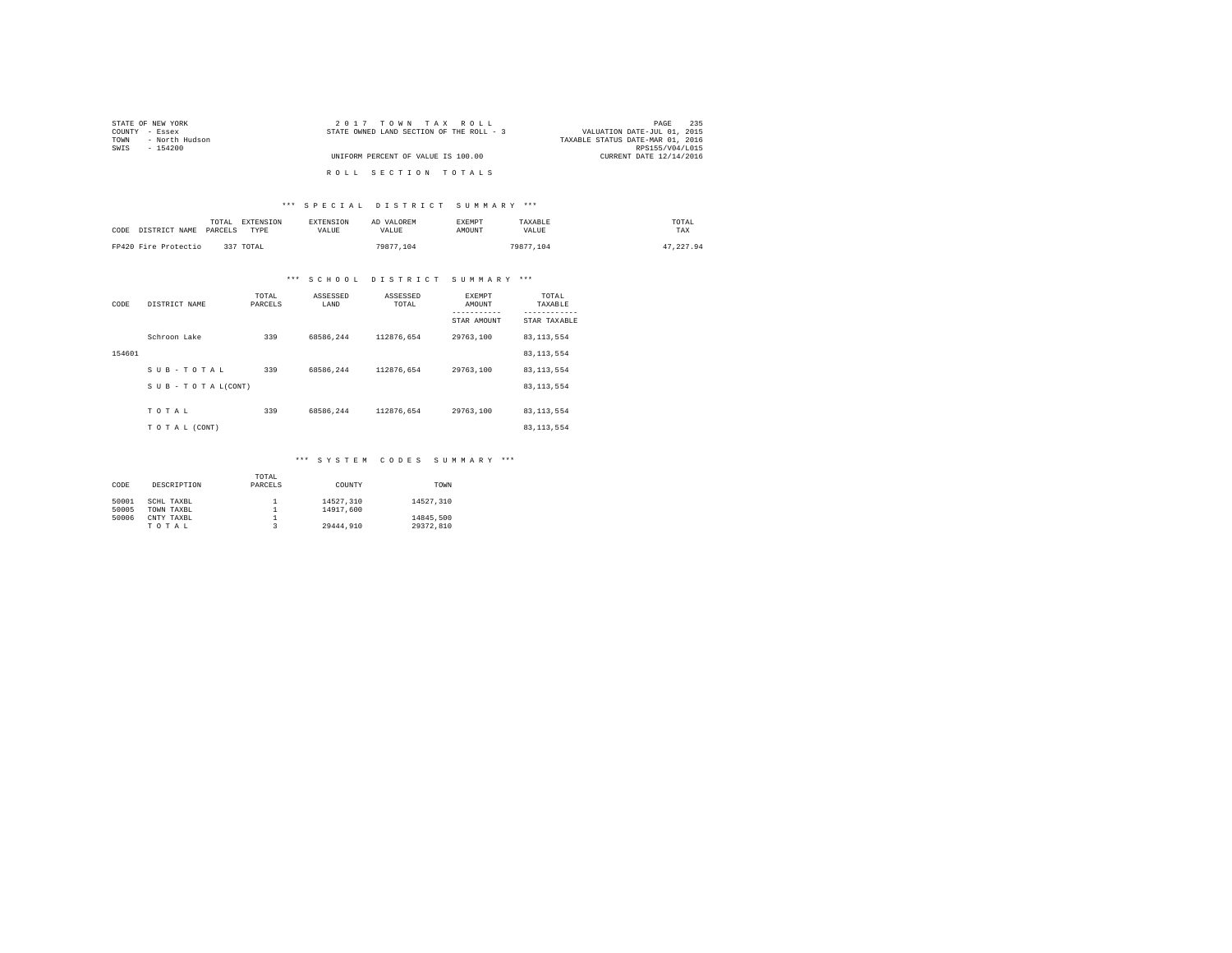| STATE OF NEW YORK      | 2017 TOWN TAX ROLL                       | 235<br>PAGE                      |  |
|------------------------|------------------------------------------|----------------------------------|--|
| COUNTY - Essex         | STATE OWNED LAND SECTION OF THE ROLL - 3 | VALUATION DATE-JUL 01, 2015      |  |
| - North Hudson<br>TOWN |                                          | TAXABLE STATUS DATE-MAR 01, 2016 |  |
| SWIS<br>$-154200$      |                                          | RPS155/V04/L015                  |  |
|                        | UNIFORM PERCENT OF VALUE IS 100.00       | CURRENT DATE 12/14/2016          |  |
|                        |                                          |                                  |  |
|                        | ROLL SECTION TOTALS                      |                                  |  |

# \*\*\* S P E C I A L D I S T R I C T S U M M A R Y \*\*\*

| CODE DISTRICT NAME PARCELS | TOTAL | EXTENSION<br>TYPE | <b>EXTENSION</b><br><b>VALUE</b> | AD VALOREM<br><b>VALUE</b> | <b>EXEMPT</b><br>AMOUNT | TAXARLE<br>VALUE | TOTAL<br>TAX |
|----------------------------|-------|-------------------|----------------------------------|----------------------------|-------------------------|------------------|--------------|
| FP420 Fire Protectio       |       | 337 TOTAL         |                                  | 79877.104                  |                         | 79877.104        | 47.227.94    |

# \*\*\* S C H O O L D I S T R I C T S U M M A R Y \*\*\*

| CODE   | DISTRICT NAME   | TOTAL<br>PARCELS | ASSESSED<br>LAND | ASSESSED<br>TOTAL | <b>EXEMPT</b><br>AMOUNT | TOTAL<br>TAXABLE          |
|--------|-----------------|------------------|------------------|-------------------|-------------------------|---------------------------|
|        |                 |                  |                  |                   | STAR AMOUNT             | ---------<br>STAR TAXABLE |
|        | Schroon Lake    | 339              | 68586.244        | 112876.654        | 29763.100               | 83, 113, 554              |
| 154601 |                 |                  |                  |                   |                         | 83, 113, 554              |
|        | SUB-TOTAL       | 339              | 68586.244        | 112876.654        | 29763.100               | 83, 113, 554              |
|        | SUB-TOTAL(CONT) |                  |                  |                   |                         | 83, 113, 554              |
|        | TOTAL           | 339              | 68586.244        | 112876.654        | 29763.100               | 83, 113, 554              |
|        | TO TAL (CONT)   |                  |                  |                   |                         | 83, 113, 554              |

# \*\*\* S Y S T E M C O D E S S U M M A R Y \*\*\*

| CODE           | DESCRIPTION              | TOTAL<br>PARCELS | COUNTY                 | TOWN                   |
|----------------|--------------------------|------------------|------------------------|------------------------|
| 50001<br>50005 | SCHL TAXBL<br>TOWN TAXBL |                  | 14527.310<br>14917,600 | 14527.310              |
| 50006          | CNTY TAXBL<br>TOTAL      |                  | 29444.910              | 14845.500<br>29372.810 |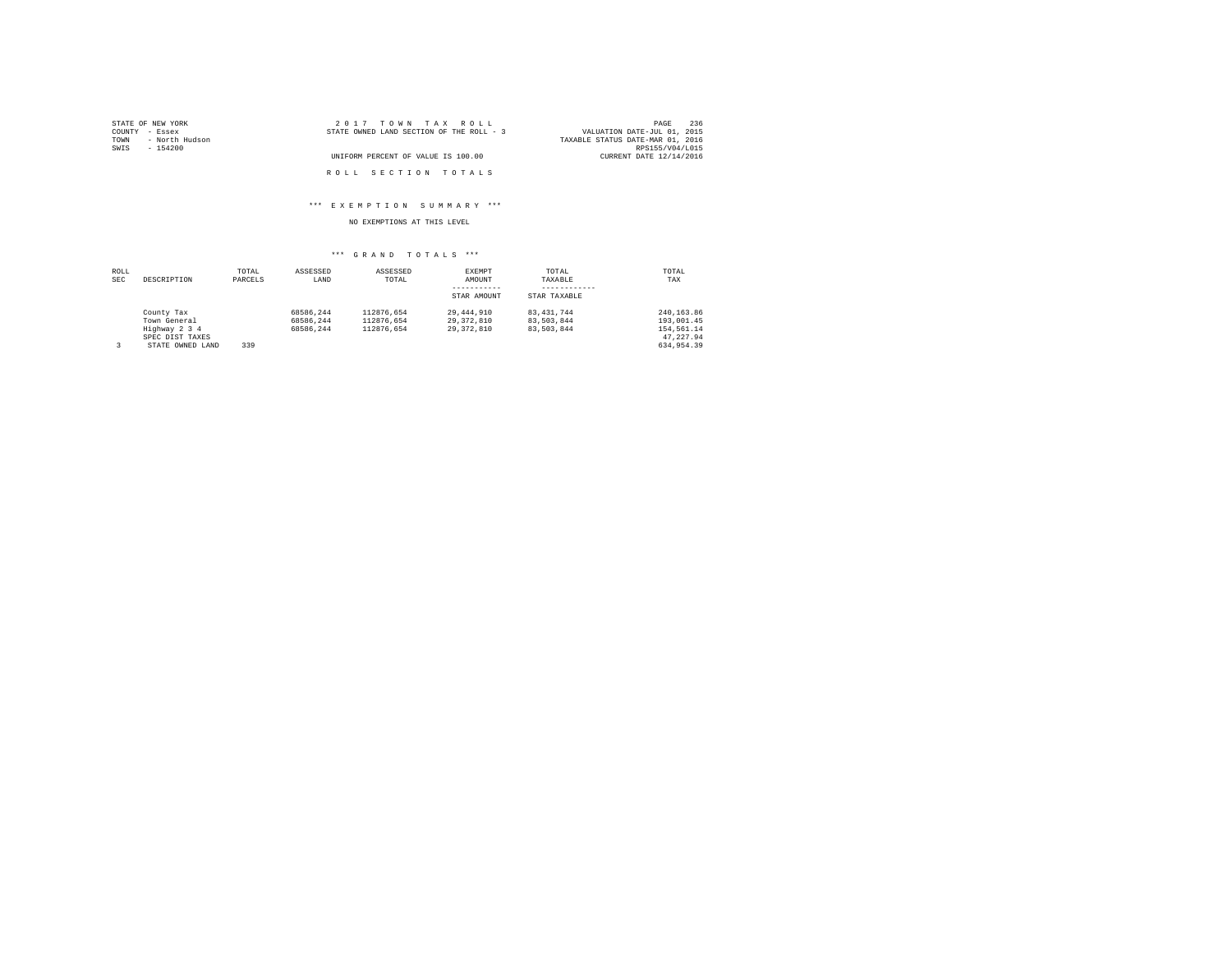| STATE OF NEW YORK      | 2017 TOWN TAX ROLL                       | 236<br>PAGE                      |
|------------------------|------------------------------------------|----------------------------------|
| COUNTY - Essex         | STATE OWNED LAND SECTION OF THE ROLL - 3 | VALUATION DATE-JUL 01, 2015      |
| - North Hudson<br>TOWN |                                          | TAXABLE STATUS DATE-MAR 01, 2016 |
| SWIS<br>- 154200       |                                          | RPS155/V04/L015                  |
|                        | UNIFORM PERCENT OF VALUE IS 100.00       | CURRENT DATE 12/14/2016          |
|                        |                                          |                                  |
|                        | ROLL SECTION TOTALS                      |                                  |

# \*\*\* E X E M P T I O N S U M M A R Y \*\*\*

NO EXEMPTIONS AT THIS LEVEL

| ROLL<br>SEC | DESCRIPTION      | TOTAL<br>PARCELS | ASSESSED<br>LAND | ASSESSED<br>TOTAL | EXEMPT<br>AMOUNT | TOTAL<br>TAXABLE | TOTAL<br>TAX |
|-------------|------------------|------------------|------------------|-------------------|------------------|------------------|--------------|
|             |                  |                  |                  |                   | STAR AMOUNT      | STAR TAXABLE     |              |
|             | County Tax       |                  | 68586.244        | 112876.654        | 29,444,910       | 83.431.744       | 240.163.86   |
|             | Town General     |                  | 68586.244        | 112876.654        | 29, 372, 810     | 83.503.844       | 193,001.45   |
|             | Highway 2 3 4    |                  | 68586.244        | 112876.654        | 29, 372, 810     | 83,503,844       | 154,561.14   |
|             | SPEC DIST TAXES  |                  |                  |                   |                  |                  | 47.227.94    |
| 3           | STATE OWNED LAND | 339              |                  |                   |                  |                  | 634,954.39   |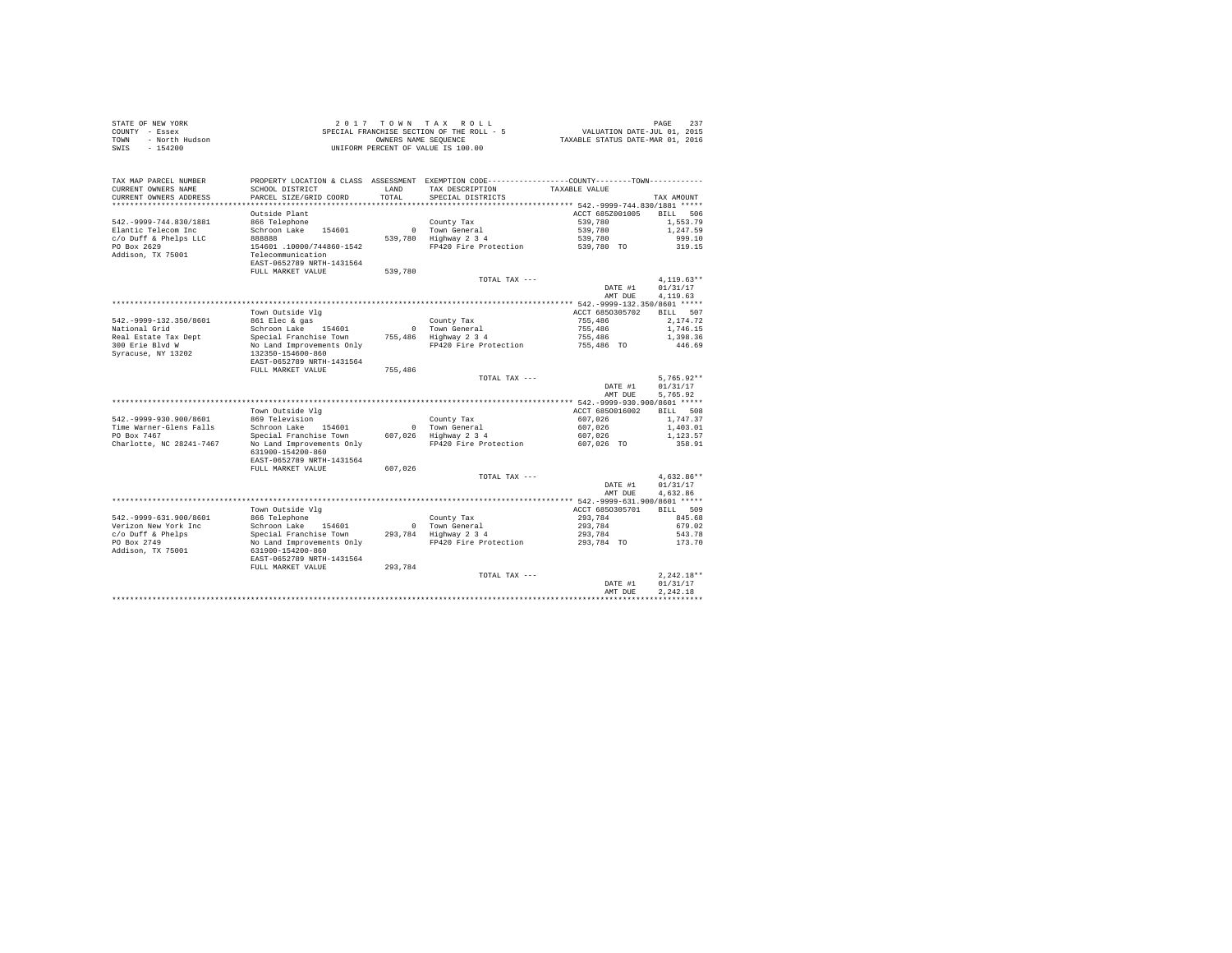|      | STATE OF NEW YORK | 2017 TOWN TAX ROLL                        | 237<br>PAGE                      |
|------|-------------------|-------------------------------------------|----------------------------------|
|      | COUNTY - Essex    | SPECIAL FRANCHISE SECTION OF THE ROLL - 5 | VALUATION DATE-JUL 01, 2015      |
| TOWN | - North Hudson    | OWNERS NAME SEOUENCE                      | TAXABLE STATUS DATE-MAR 01, 2016 |
| SWIS | - 154200          | UNIFORM PERCENT OF VALUE IS 100.00        |                                  |

| TAX MAP PARCEL NUMBER                             |                           |               | PROPERTY LOCATION & CLASS ASSESSMENT EXEMPTION CODE---------------COUNTY-------TOWN--------- |                    |                          |
|---------------------------------------------------|---------------------------|---------------|----------------------------------------------------------------------------------------------|--------------------|--------------------------|
| CURRENT OWNERS NAME                               | SCHOOL DISTRICT           | LAND<br>TOTAL | TAX DESCRIPTION<br>SPECIAL DISTRICTS                                                         | TAXABLE VALUE      |                          |
| CURRENT OWNERS ADDRESS<br>*********************** | PARCEL SIZE/GRID COORD    |               |                                                                                              |                    | TAX AMOUNT               |
|                                                   | Outside Plant             |               |                                                                                              | ACCT 685Z001005    | <b>BILL</b><br>506       |
| 542. - 9999 - 744.830/1881                        | 866 Telephone             |               | County Tax                                                                                   | 539,780            | 1.553.79                 |
| Elantic Telecom Inc                               | Schroon Lake<br>154601    | $\Omega$      | Town General                                                                                 | 539,780            | 1,247.59                 |
| c/o Duff & Phelps LLC                             | 888888                    | 539,780       | Highway 2 3 4                                                                                | 539,780            | 999.10                   |
| PO Box 2629                                       | 154601 .10000/744860-1542 |               | FP420 Fire Protection                                                                        | 539,780 TO         | 319.15                   |
| Addison, TX 75001                                 | Telecommunication         |               |                                                                                              |                    |                          |
|                                                   | EAST-0652789 NRTH-1431564 |               |                                                                                              |                    |                          |
|                                                   | FULL MARKET VALUE         | 539,780       |                                                                                              |                    |                          |
|                                                   |                           |               | TOTAL TAX ---                                                                                |                    | $4,119.63**$             |
|                                                   |                           |               |                                                                                              | DATE #1<br>AMT DUE | 01/31/17<br>4,119.63     |
|                                                   |                           |               |                                                                                              |                    |                          |
|                                                   | Town Outside Vlg          |               |                                                                                              | ACCT 6850305702    | <b>BILL</b><br>507       |
| 542. - 9999-132. 350/8601                         | 861 Elec & gas            |               | County Tax                                                                                   | 755,486            | 2.174.72                 |
| National Grid                                     | Schroon Lake<br>154601    | $\Omega$      | Town General                                                                                 | 755,486            | 1,746.15                 |
| Real Estate Tax Dept                              | Special Franchise Town    | 755,486       | Highway 2 3 4                                                                                | 755,486            | 1,398.36                 |
| 300 Erie Blvd W                                   | No Land Improvements Only |               | FP420 Fire Protection                                                                        | 755,486 TO         | 446.69                   |
| Syracuse, NY 13202                                | 132350-154600-860         |               |                                                                                              |                    |                          |
|                                                   | EAST-0652789 NRTH-1431564 |               |                                                                                              |                    |                          |
|                                                   | FULL MARKET VALUE         | 755,486       |                                                                                              |                    |                          |
|                                                   |                           |               | TOTAL TAX ---                                                                                | DATE #1            | $5,765.92**$<br>01/31/17 |
|                                                   |                           |               |                                                                                              | AMT DUE            | 5,765.92                 |
|                                                   |                           |               |                                                                                              |                    |                          |
|                                                   | Town Outside Vlg          |               |                                                                                              | ACCT 6850016002    | <b>BILL</b><br>508       |
| 542. - 9999 - 930. 900/8601                       | 869 Television            |               | County Tax                                                                                   | 607.026            | 1.747.37                 |
| Time Warner-Glens Falls                           | Schroon Lake<br>154601    | $\mathbf{0}$  | Town General                                                                                 | 607.026            | 1,403.01                 |
| PO Box 7467                                       | Special Franchise Town    |               | 607.026 Highway 2 3 4                                                                        | 607.026            | 1,123.57                 |
| Charlotte, NC 28241-7467                          | No Land Improvements Only |               | FP420 Fire Protection                                                                        | 607,026 TO         | 358.91                   |
|                                                   | 631900-154200-860         |               |                                                                                              |                    |                          |
|                                                   | EAST-0652789 NRTH-1431564 |               |                                                                                              |                    |                          |
|                                                   | FULL MARKET VALUE         | 607,026       |                                                                                              |                    |                          |
|                                                   |                           |               | TOTAL TAX ---                                                                                | DATE #1            | $4.632.86**$<br>01/31/17 |
|                                                   |                           |               |                                                                                              | AMT DUE            | 4,632.86                 |
|                                                   |                           |               |                                                                                              |                    |                          |
|                                                   | Town Outside Vlg          |               |                                                                                              | ACCT 6850305701    | 509<br>BILL              |
| 542. - 9999-631.900/8601                          | 866 Telephone             |               | County Tax                                                                                   | 293.784            | 845.68                   |
| Verizon New York Inc                              | Schroon Lake<br>154601    | $\Omega$      | Town General                                                                                 | 293.784            | 679.02                   |
| c/o Duff & Phelps                                 | Special Franchise Town    |               | 293.784 Highway 2 3 4                                                                        | 293.784            | 543.78                   |
| PO Box 2749                                       | No Land Improvements Only |               | FP420 Fire Protection                                                                        | 293,784 TO         | 173.70                   |
| Addison, TX 75001                                 | 631900-154200-860         |               |                                                                                              |                    |                          |
|                                                   | EAST-0652789 NRTH-1431564 |               |                                                                                              |                    |                          |
|                                                   | FULL MARKET VALUE         | 293,784       | TOTAL TAX ---                                                                                |                    | $2,242.18**$             |
|                                                   |                           |               |                                                                                              | DATE #1            | 01/31/17                 |
|                                                   |                           |               |                                                                                              | AMT DUE            | 2.242.18                 |
|                                                   |                           |               |                                                                                              |                    |                          |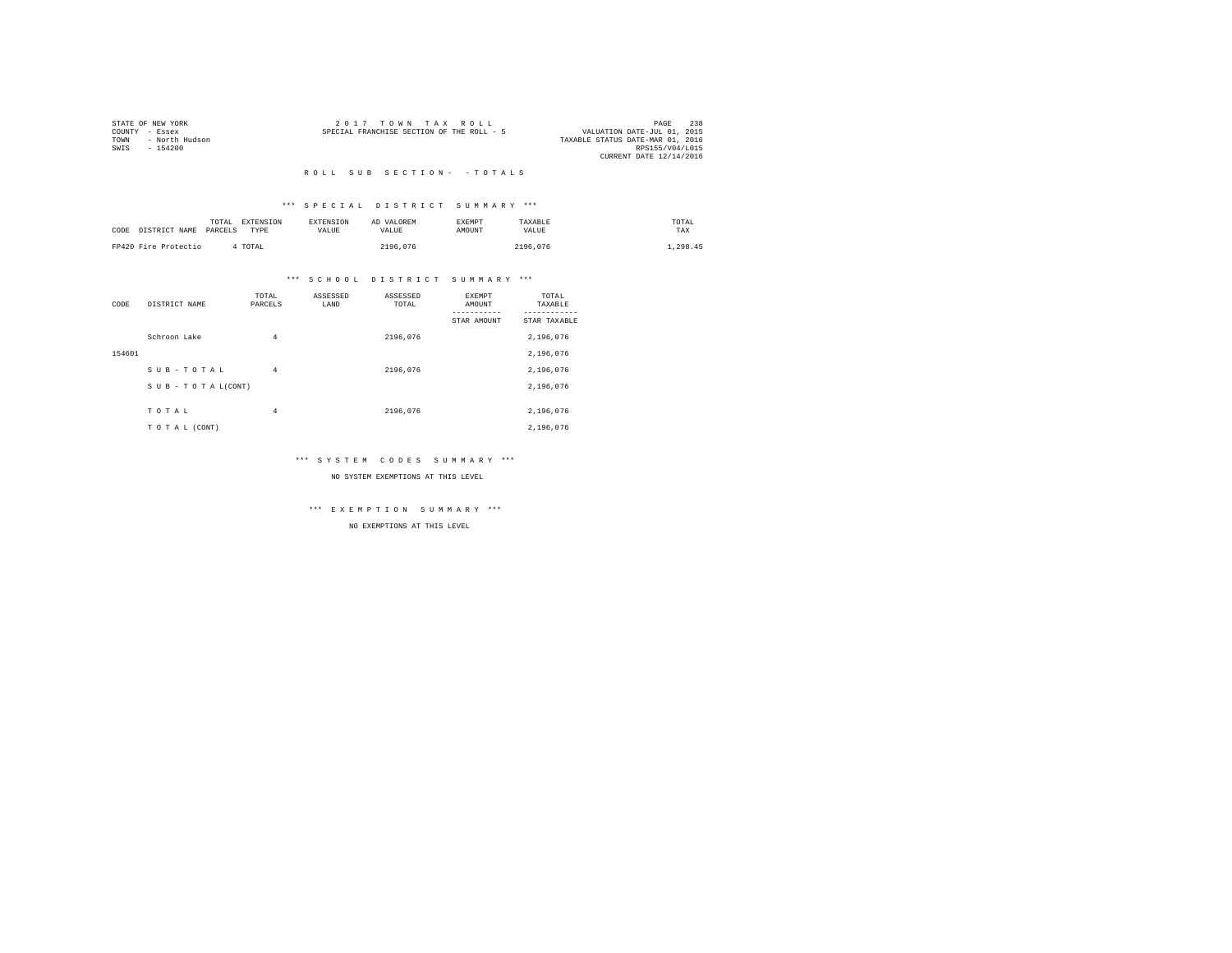|      | STATE OF NEW YORK | $2.017$ TOWN TAX ROLL                                                    | PAGE            | 238 |
|------|-------------------|--------------------------------------------------------------------------|-----------------|-----|
|      | COUNTY - Essex    | VALUATION DATE-JUL 01, 2015<br>SPECIAL FRANCHISE SECTION OF THE ROLL - 5 |                 |     |
| TOWN | - North Hudson    | TAXABLE STATUS DATE-MAR 01, 2016                                         |                 |     |
| SWIS | $-154200$         |                                                                          | RPS155/V04/L015 |     |
|      |                   | CURRENT DATE 12/14/2016                                                  |                 |     |
|      |                   |                                                                          |                 |     |

# \*\*\* S P E C I A L D I S T R I C T S U M M A R Y \*\*\*

| CODE DISTRICT NAME   | TOTAL<br>PARCELS | <b>EXTENSION</b><br>TYPE | <b>EXTENSION</b><br>VALUE | AD VALOREM<br>VALUE | EXEMPT<br>AMOUNT | TAXABLE<br>VALUE | TOTAL<br>TAX |
|----------------------|------------------|--------------------------|---------------------------|---------------------|------------------|------------------|--------------|
| FP420 Fire Protectio |                  | 4 TOTAL                  |                           | 2196.076            |                  | 2196.076         | .298.45      |

# \*\*\* S C H O O L D I S T R I C T S U M M A R Y \*\*\*

| CODE   | DISTRICT NAME      | TOTAL<br>PARCELS | ASSESSED<br>LAND | ASSESSED<br>TOTAL | <b>EXEMPT</b><br>AMOUNT | TOTAL<br>TAXABLE |
|--------|--------------------|------------------|------------------|-------------------|-------------------------|------------------|
|        |                    |                  |                  |                   | STAR AMOUNT             | STAR TAXABLE     |
|        | Schroon Lake       | $\overline{4}$   |                  | 2196.076          |                         | 2,196,076        |
| 154601 |                    |                  |                  |                   |                         | 2,196,076        |
|        | SUB-TOTAL          | $\overline{4}$   |                  | 2196.076          |                         | 2,196,076        |
|        | SUB - TO TAL(CONT) |                  |                  |                   |                         | 2,196,076        |
|        | TOTAL              | $\overline{4}$   |                  | 2196.076          |                         | 2,196,076        |
|        | TO TAL (CONT)      |                  |                  |                   |                         | 2.196.076        |

# \*\*\* S Y S T E M C O D E S S U M M A R Y \*\*\*

### NO SYSTEM EXEMPTIONS AT THIS LEVEL

\*\*\* E X E M P T I O N S U M M A R Y \*\*\*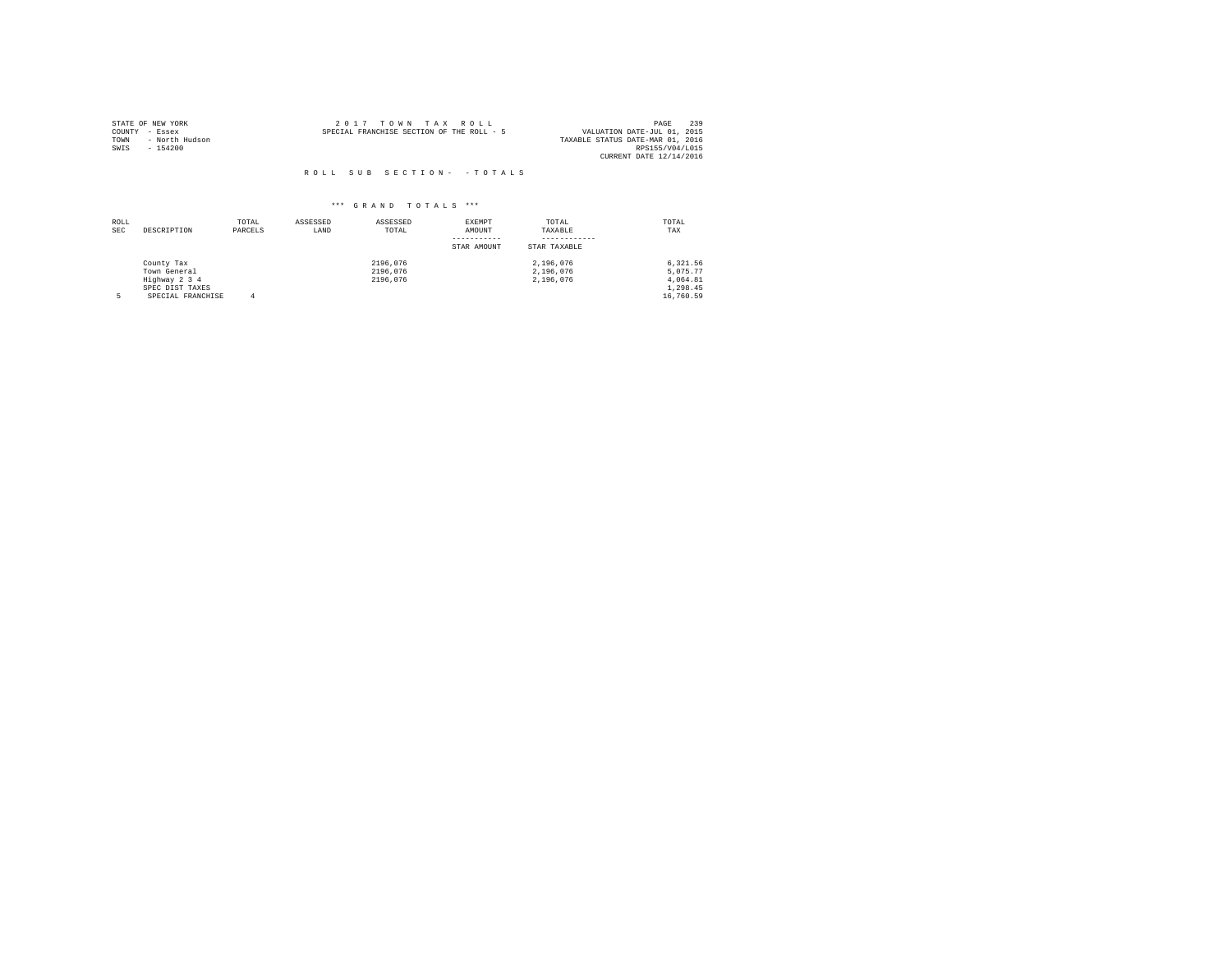|                | STATE OF NEW YORK | 2017 TOWN TAX ROLL                                                       | PAGE            | 239 |
|----------------|-------------------|--------------------------------------------------------------------------|-----------------|-----|
| COUNTY - Essex |                   | VALUATION DATE-JUL 01, 2015<br>SPECIAL FRANCHISE SECTION OF THE ROLL - 5 |                 |     |
| TOWN           | - North Hudson    | TAXABLE STATUS DATE-MAR 01, 2016                                         |                 |     |
| SWTS           | $-154200$         |                                                                          | RPS155/V04/L015 |     |
|                |                   | CURRENT DATE 12/14/2016                                                  |                 |     |

| ROLL<br><b>SEC</b> | DESCRIPTION       | TOTAL<br>PARCELS | ASSESSED<br>LAND | ASSESSED<br>TOTAL | <b>EXEMPT</b><br>AMOUNT | TOTAL<br>TAXABLE | TOTAL<br>TAX |
|--------------------|-------------------|------------------|------------------|-------------------|-------------------------|------------------|--------------|
|                    |                   |                  |                  |                   | STAR AMOUNT             | STAR TAXABLE     |              |
|                    | County Tax        |                  |                  | 2196.076          |                         | 2.196.076        | 6.321.56     |
|                    | Town General      |                  |                  | 2196.076          |                         | 2.196.076        | 5.075.77     |
|                    | Highway 2 3 4     |                  |                  | 2196.076          |                         | 2.196.076        | 4.064.81     |
|                    | SPEC DIST TAXES   |                  |                  |                   |                         |                  | 1,298.45     |
|                    | SPECIAL FRANCHISE | 4                |                  |                   |                         |                  | 16,760.59    |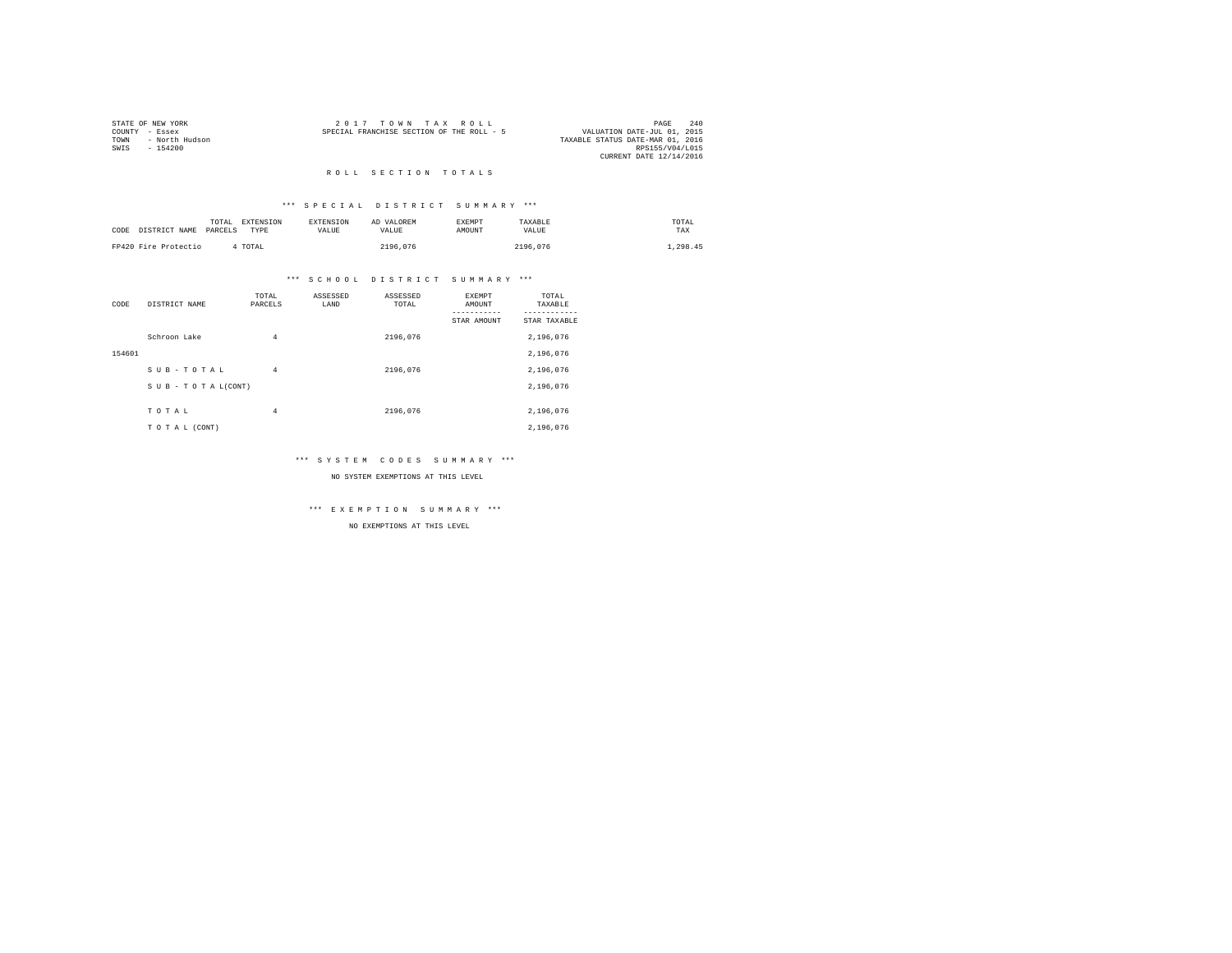|      | STATE OF NEW YORK | $2.017$ TOWN TAX ROLL                                                    | PAGE            | 2.40 |
|------|-------------------|--------------------------------------------------------------------------|-----------------|------|
|      | COUNTY - Essex    | VALUATION DATE-JUL 01, 2015<br>SPECIAL FRANCHISE SECTION OF THE ROLL - 5 |                 |      |
| TOWN | - North Hudson    | TAXABLE STATUS DATE-MAR 01, 2016                                         |                 |      |
| SWIS | $-154200$         |                                                                          | RPS155/V04/L015 |      |
|      |                   | CURRENT DATE 12/14/2016                                                  |                 |      |
|      |                   |                                                                          |                 |      |

### ROLL SECTION TOTALS

# \*\*\* S P E C I A L D I S T R I C T S U M M A R Y \*\*\*

| CODE | DISTRICT NAME        | TOTAL<br>PARCELS | <b>EXTENSION</b><br>TYPR | <b>EXTENSION</b><br><b>VALUE</b> | AD VALOREM<br>VALUE | <b>EXEMPT</b><br><b>AMOUNT</b> | TAXABLE<br>VALUE | TOTAL<br>TAX |
|------|----------------------|------------------|--------------------------|----------------------------------|---------------------|--------------------------------|------------------|--------------|
|      | FP420 Fire Protectio |                  | 4 TOTAL                  |                                  | 2196.076            |                                | 2196.076         | .298.45      |

# \*\*\* S C H O O L D I S T R I C T S U M M A R Y \*\*\*

| CODE   | DISTRICT NAME      | TOTAL<br>PARCELS | ASSESSED<br>LAND | ASSESSED<br>TOTAL | <b>EXEMPT</b><br>AMOUNT | TOTAL<br>TAXABLE |
|--------|--------------------|------------------|------------------|-------------------|-------------------------|------------------|
|        |                    |                  |                  |                   | STAR AMOUNT             | STAR TAXABLE     |
|        | Schroon Lake       | $\overline{4}$   |                  | 2196.076          |                         | 2,196,076        |
| 154601 |                    |                  |                  |                   |                         | 2,196,076        |
|        | SUB-TOTAL          | $\overline{4}$   |                  | 2196.076          |                         | 2,196,076        |
|        | SUB - TO TAL(CONT) |                  |                  |                   |                         | 2,196,076        |
|        | TOTAL              | $\overline{4}$   |                  | 2196.076          |                         | 2,196,076        |
|        | TO TAL (CONT)      |                  |                  |                   |                         | 2,196,076        |

# \*\*\* S Y S T E M C O D E S S U M M A R Y \*\*\*

### NO SYSTEM EXEMPTIONS AT THIS LEVEL

\*\*\* E X E M P T I O N S U M M A R Y \*\*\*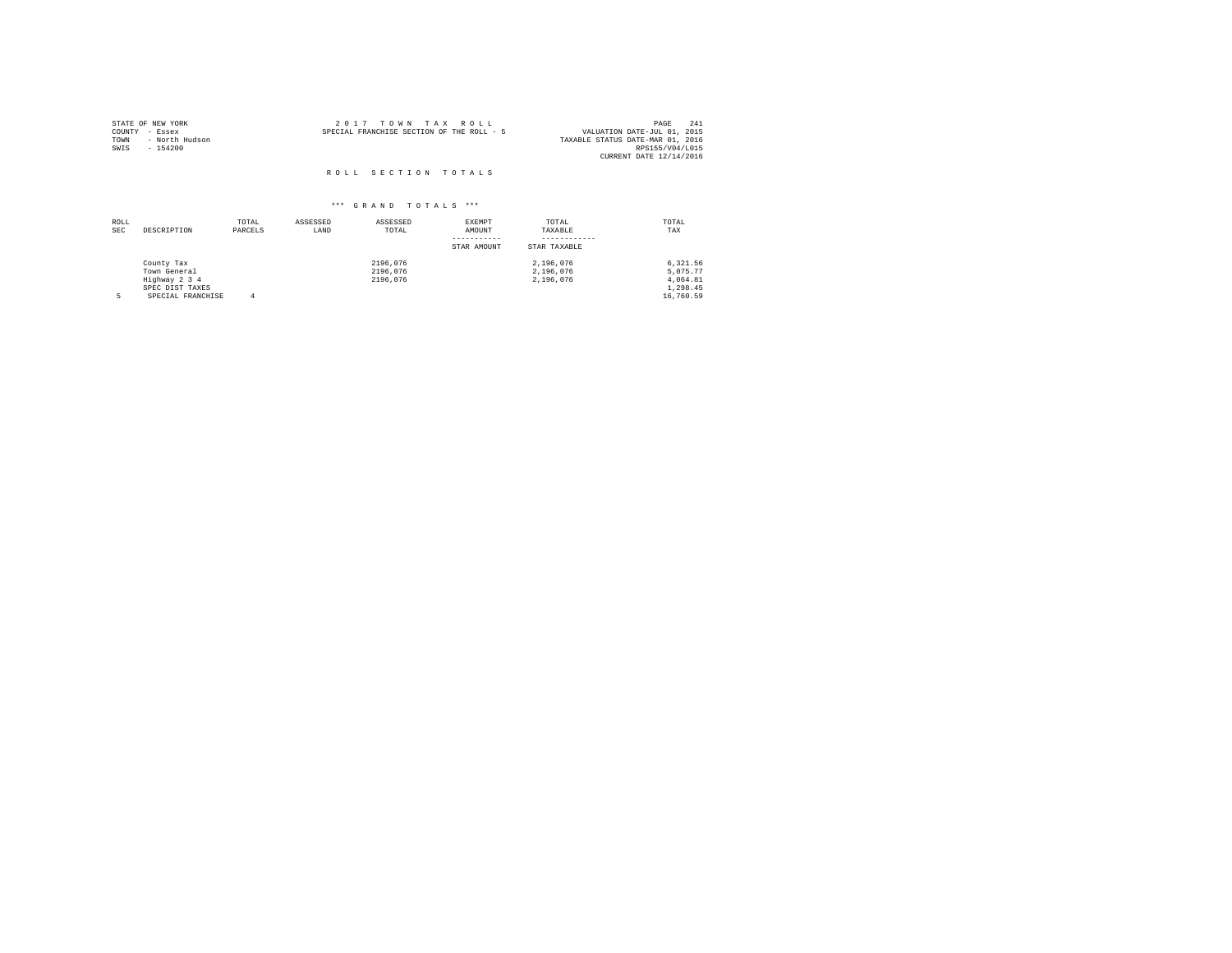| STATE OF NEW YORK<br>COUNTY<br>- Essex<br>- North Hudson<br>TOWN<br>SWIS<br>$-154200$ | 2017 TOWN TAX ROLL<br>SPECIAL FRANCHISE SECTION OF THE ROLL - 5 | 241<br>PAGE<br>VALUATION DATE-JUL 01, 2015<br>TAXABLE STATUS DATE-MAR 01, 2016<br>RPS155/V04/L015<br>CURRENT DATE 12/14/2016 |
|---------------------------------------------------------------------------------------|-----------------------------------------------------------------|------------------------------------------------------------------------------------------------------------------------------|
|                                                                                       | ROLL SECTION TOTALS                                             |                                                                                                                              |

| ROLL<br>SEC | DESCRIPTION                                                                         | TOTAL<br>PARCELS | ASSESSED<br>LAND | ASSESSED<br>TOTAL                | EXEMPT<br>AMOUNT<br>STAR AMOUNT | TOTAL<br>TAXABLE<br>STAR TAXABLE    | TOTAL<br>TAX                                              |
|-------------|-------------------------------------------------------------------------------------|------------------|------------------|----------------------------------|---------------------------------|-------------------------------------|-----------------------------------------------------------|
|             | County Tax<br>Town General<br>Highway 2 3 4<br>SPEC DIST TAXES<br>SPECIAL FRANCHISE |                  |                  | 2196.076<br>2196.076<br>2196.076 |                                 | 2.196.076<br>2.196.076<br>2.196.076 | 6.321.56<br>5.075.77<br>4.064.81<br>1,298.45<br>16,760.59 |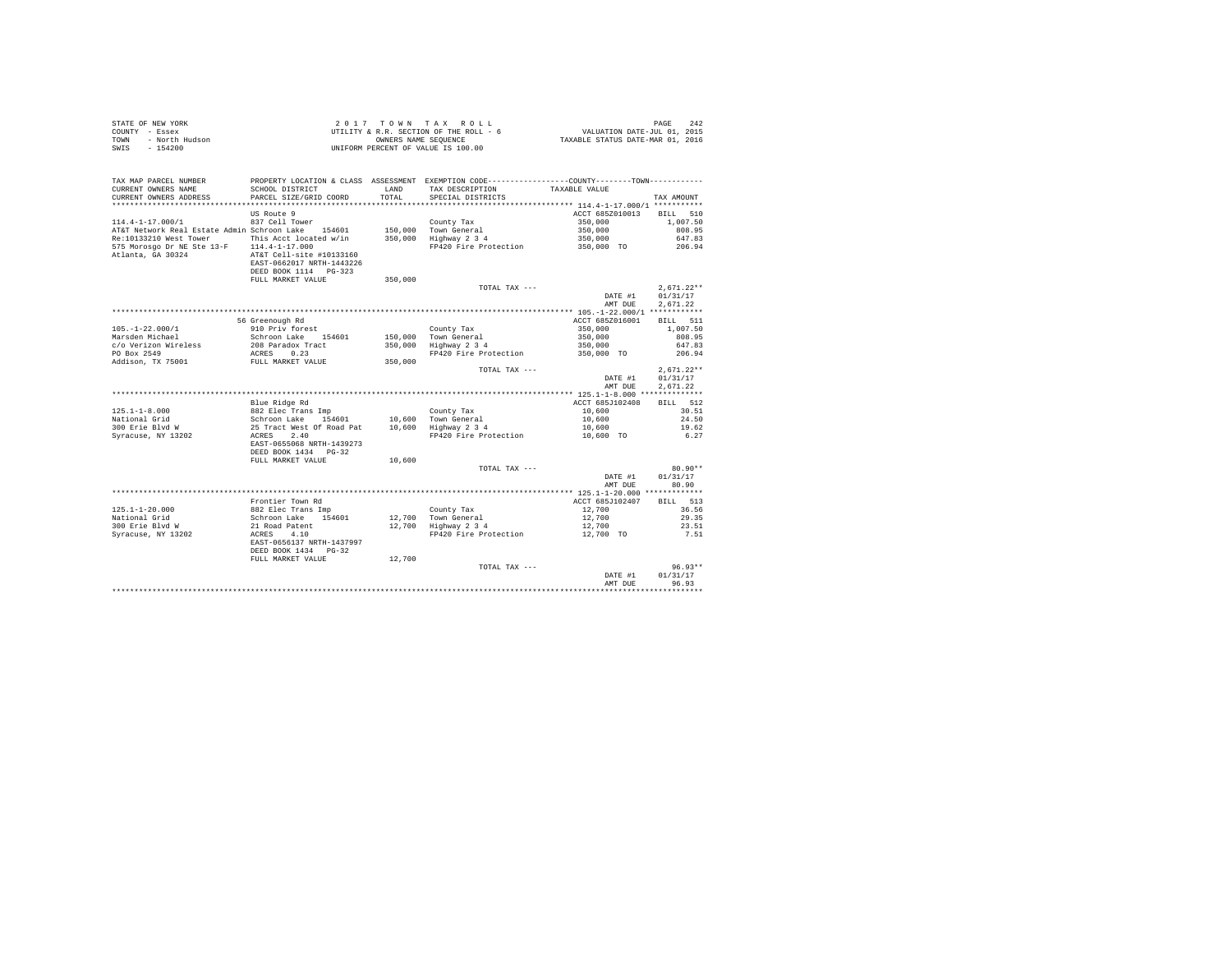|      | STATE OF NEW YORK | 2017 TOWN TAX ROLL                     | - 242<br>PAGE                    |
|------|-------------------|----------------------------------------|----------------------------------|
|      | COUNTY - Essex    | UTILITY & R.R. SECTION OF THE ROLL - 6 | VALUATION DATE-JUL 01, 2015      |
| TOWN | - North Hudson    | OWNERS NAME SEOUENCE                   | TAXABLE STATUS DATE-MAR 01, 2016 |
| SWIS | - 154200          | UNIFORM PERCENT OF VALUE IS 100.00     |                                  |

| TAX MAP PARCEL NUMBER<br>CURRENT OWNERS NAME<br>CURRENT OWNERS ADDRESS | SCHOOL DISTRICT<br>PARCEL SIZE/GRID COORD                                                           | LAND<br>TOTAL | PROPERTY LOCATION & CLASS ASSESSMENT EXEMPTION CODE---------------COUNTY-------TOWN----------<br>TAX DESCRIPTION<br>SPECIAL DISTRICTS | TAXABLE VALUE                           | TAX AMOUNT                  |
|------------------------------------------------------------------------|-----------------------------------------------------------------------------------------------------|---------------|---------------------------------------------------------------------------------------------------------------------------------------|-----------------------------------------|-----------------------------|
| *********************                                                  | **********************                                                                              |               |                                                                                                                                       |                                         |                             |
|                                                                        | US Route 9                                                                                          |               |                                                                                                                                       | ACCT 685Z010013                         | 510<br><b>BILL</b>          |
| $114.4 - 1 - 17.000 / 1$                                               | 837 Cell Tower                                                                                      |               | County Tax                                                                                                                            | 350,000                                 | 1,007.50                    |
| AT&T Network Real Estate Admin Schroon Lake 154601                     |                                                                                                     | 150,000       | Town General                                                                                                                          | 350,000                                 | 808.95                      |
| Re:10133210 West Tower                                                 | This Acct located w/in                                                                              | 350,000       | Highway 2 3 4                                                                                                                         | 350,000                                 | 647.83                      |
| 575 Morosgo Dr NE Ste 13-F 114.4-1-17.000<br>Atlanta, GA 30324         | AT&T Cell-site #10133160<br>EAST-0662017 NRTH-1443226<br>DEED BOOK 1114 PG-323<br>FULL MARKET VALUE | 350,000       | FP420 Fire Protection                                                                                                                 | 350,000 TO                              | 206.94                      |
|                                                                        |                                                                                                     |               | TOTAL TAX ---                                                                                                                         |                                         | $2.671.22**$                |
|                                                                        |                                                                                                     |               |                                                                                                                                       | DATE #1<br>AMT DUE                      | 01/31/17<br>2,671.22        |
|                                                                        |                                                                                                     |               |                                                                                                                                       | ********* 105.-1-22.000/1 ************  |                             |
|                                                                        | 56 Greenough Rd                                                                                     |               |                                                                                                                                       | ACCT 685Z016001                         | BILL 511                    |
| $105. - 1 - 22.000/1$                                                  | 910 Priv forest                                                                                     |               | County Tax                                                                                                                            | 350,000                                 | 1,007.50                    |
| Marsden Michael                                                        | Schroon Lake<br>154601                                                                              |               | 150.000 Town General                                                                                                                  | 350,000                                 | 808.95                      |
| c/o Verizon Wireless                                                   | 208 Paradox Tract                                                                                   | 350,000       | Highway 2 3 4                                                                                                                         | 350,000                                 | 647.83                      |
| PO Box 2549                                                            | ACRES<br>0.23                                                                                       |               | FP420 Fire Protection                                                                                                                 | 350,000 TO                              | 206.94                      |
| Addison, TX 75001                                                      | FULL MARKET VALUE                                                                                   | 350,000       |                                                                                                                                       |                                         |                             |
|                                                                        |                                                                                                     |               | TOTAL TAX ---                                                                                                                         |                                         | $2,671.22**$                |
|                                                                        |                                                                                                     |               |                                                                                                                                       | DATE #1                                 | 01/31/17                    |
|                                                                        |                                                                                                     |               |                                                                                                                                       | AMT DUE                                 | 2.671.22                    |
|                                                                        |                                                                                                     |               |                                                                                                                                       | ********** 125.1-1-8.000 ************** |                             |
|                                                                        | Blue Ridge Rd                                                                                       |               |                                                                                                                                       | ACCT 685J102408                         | <b>BILL</b><br>512<br>30.51 |
| $125.1 - 1 - 8.000$                                                    | 882 Elec Trans Imp                                                                                  |               | County Tax                                                                                                                            | 10,600                                  |                             |
| National Grid<br>300 Erie Blvd W                                       | Schroon Lake<br>154601<br>25 Tract West Of Road Pat                                                 | 10,600        | 10,600 Town General<br>Highway 2 3 4                                                                                                  | 10,600<br>10,600                        | 24.50<br>19.62              |
| Syracuse, NY 13202                                                     | ACRES<br>2.40                                                                                       |               | FP420 Fire Protection                                                                                                                 | 10,600 TO                               | 6.27                        |
|                                                                        | EAST-0655068 NRTH-1439273<br>DEED BOOK 1434 PG-32                                                   |               |                                                                                                                                       |                                         |                             |
|                                                                        | FULL MARKET VALUE                                                                                   | 10,600        |                                                                                                                                       |                                         |                             |
|                                                                        |                                                                                                     |               | TOTAL TAX ---                                                                                                                         |                                         | $80.90**$                   |
|                                                                        |                                                                                                     |               |                                                                                                                                       | DATE #1<br>AMT DUE                      | 01/31/17<br>80.90           |
|                                                                        |                                                                                                     |               |                                                                                                                                       |                                         |                             |
|                                                                        | Frontier Town Rd                                                                                    |               |                                                                                                                                       | ACCT 685J102407                         | BILL 513                    |
| $125.1 - 1 - 20.000$                                                   | 882 Elec Trans Imp                                                                                  |               | County Tax                                                                                                                            | 12,700                                  | 36.56                       |
| National Grid                                                          | Schroon Lake<br>154601                                                                              | 12,700        | Town General                                                                                                                          | 12,700                                  | 29.35                       |
| 300 Erie Blvd W                                                        | 21 Road Patent                                                                                      | 12,700        | Highway 2 3 4                                                                                                                         | 12,700                                  | 23.51                       |
| Syracuse, NY 13202                                                     | 4.10<br>ACRES<br>EAST-0656137 NRTH-1437997<br>DEED BOOK 1434 PG-32                                  |               | FP420 Fire Protection                                                                                                                 | 12,700 TO                               | 7.51                        |
|                                                                        | FULL MARKET VALUE                                                                                   | 12,700        |                                                                                                                                       |                                         |                             |
|                                                                        |                                                                                                     |               | TOTAL TAX ---                                                                                                                         |                                         | $96.93**$                   |
|                                                                        |                                                                                                     |               |                                                                                                                                       | DATE #1                                 | 01/31/17                    |
|                                                                        |                                                                                                     |               |                                                                                                                                       | AMT DUE                                 | 96.93                       |
|                                                                        |                                                                                                     |               |                                                                                                                                       |                                         |                             |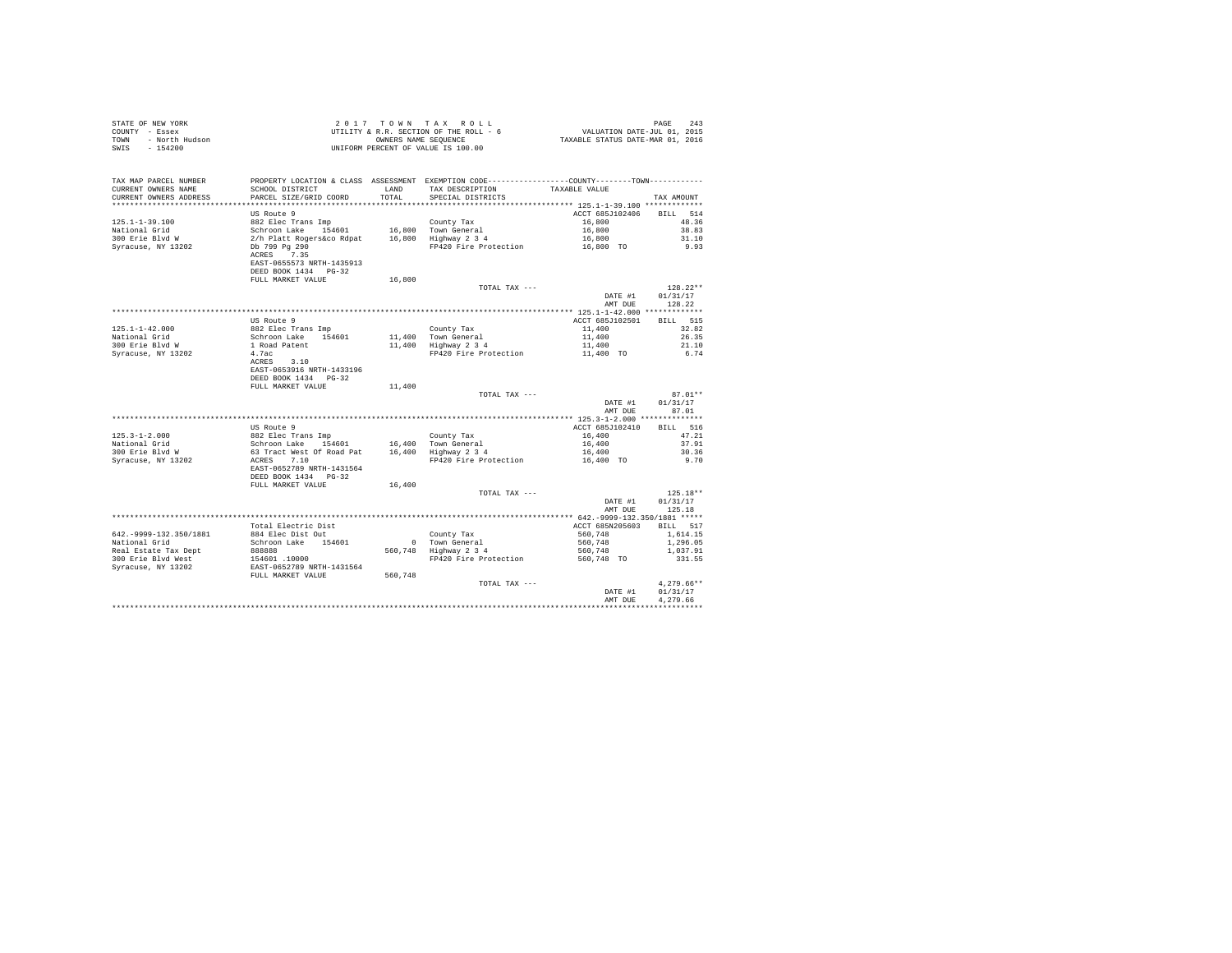| COUNTY - Essex<br>TOWN - North Hudson |                                                                                                                                                                                                            |        | UTILITY & R.R. SECTION OF THE ROLL - 6 WALUATION DATE-JUL 01, 2015 OWNERS NAME SEQUENCE - 6 TAXABLE STATUS DATE-MAR 01, 2016 |                          |                 |
|---------------------------------------|------------------------------------------------------------------------------------------------------------------------------------------------------------------------------------------------------------|--------|------------------------------------------------------------------------------------------------------------------------------|--------------------------|-----------------|
| SWIS - 154200                         |                                                                                                                                                                                                            |        | UNIFORM PERCENT OF VALUE IS 100.00                                                                                           |                          |                 |
|                                       |                                                                                                                                                                                                            |        |                                                                                                                              |                          |                 |
| TAX MAP PARCEL NUMBER                 |                                                                                                                                                                                                            |        | PROPERTY LOCATION & CLASS ASSESSMENT EXEMPTION CODE---------------COUNTY-------TOWN---------                                 |                          |                 |
| CURRENT OWNERS NAME                   | SCHOOL DISTRICT                                                                                                                                                                                            | LAND   | TAX DESCRIPTION TAXABLE VALUE                                                                                                |                          |                 |
| CURRENT OWNERS ADDRESS                | PARCEL SIZE/GRID COORD                                                                                                                                                                                     | TOTAL  | SPECIAL DISTRICTS                                                                                                            |                          | TAX AMOUNT      |
|                                       |                                                                                                                                                                                                            |        |                                                                                                                              |                          |                 |
|                                       | US Route 9                                                                                                                                                                                                 |        |                                                                                                                              | ACCT 685J102406          | BILL 514        |
| $125.1 - 1 - 39.100$                  | 882 Elec Trans Imp                                                                                                                                                                                         |        | County Tax                                                                                                                   | 16,800                   | 48.36           |
| National Grid                         |                                                                                                                                                                                                            |        |                                                                                                                              | 16,800                   | 38.83           |
| 300 Erie Blvd W                       | Schroon Lake 154601 16,800 Town General<br>2/h Platt Rogerskoo Rdpat 16,800 Highway 234<br>Db 799 Pg 290                                                                                                   |        |                                                                                                                              | 16,800                   | 31.10           |
| Syracuse, NY 13202                    | ACRES 7.35                                                                                                                                                                                                 |        | FP420 Fire Protection 16,800 TO                                                                                              |                          | 9.93            |
|                                       | EAST-0655573 NRTH-1435913                                                                                                                                                                                  |        |                                                                                                                              |                          |                 |
|                                       | DEED BOOK 1434 PG-32                                                                                                                                                                                       |        |                                                                                                                              |                          |                 |
|                                       | FULL MARKET VALUE                                                                                                                                                                                          | 16,800 |                                                                                                                              |                          |                 |
|                                       |                                                                                                                                                                                                            |        | TOTAL TAX ---                                                                                                                |                          | $128.22**$      |
|                                       |                                                                                                                                                                                                            |        |                                                                                                                              | DATE #1                  | 01/31/17        |
|                                       |                                                                                                                                                                                                            |        |                                                                                                                              |                          | AMT DUE 128.22  |
|                                       |                                                                                                                                                                                                            |        |                                                                                                                              |                          |                 |
|                                       | US Route 9                                                                                                                                                                                                 |        |                                                                                                                              | ACCT 685J102501          | BILL 515        |
|                                       |                                                                                                                                                                                                            |        | County Tax                                                                                                                   | 11,400                   | 32.82           |
|                                       |                                                                                                                                                                                                            |        | 11,400 Town General<br>11,400 Highway 2 3 4                                                                                  | 11,400                   | 26.35           |
|                                       |                                                                                                                                                                                                            |        |                                                                                                                              | 11,400                   | 21.10           |
| Syracuse, NY 13202                    | 4.7ac                                                                                                                                                                                                      |        | FP420 Fire Protection                                                                                                        | 11,400 TO                | 6.74            |
|                                       | ACRES 3.10<br>EAST-0653916 NRTH-1433196                                                                                                                                                                    |        |                                                                                                                              |                          |                 |
|                                       | DEED BOOK 1434 PG-32                                                                                                                                                                                       |        |                                                                                                                              |                          |                 |
|                                       | FULL MARKET VALUE                                                                                                                                                                                          | 11,400 |                                                                                                                              |                          |                 |
|                                       |                                                                                                                                                                                                            |        | TOTAL TAX ---                                                                                                                |                          | $87.01**$       |
|                                       |                                                                                                                                                                                                            |        |                                                                                                                              | DATE #1                  | 01/31/17        |
|                                       |                                                                                                                                                                                                            |        |                                                                                                                              | AMT DUE                  | 87.01           |
|                                       |                                                                                                                                                                                                            |        |                                                                                                                              |                          |                 |
|                                       | US Route 9                                                                                                                                                                                                 |        |                                                                                                                              | ACCT 685J102410          | <b>BILL</b> 516 |
| $125.3 - 1 - 2.000$                   | 882 Elec Trans Imp<br>Schroon Lake 154601                                                                                                                                                                  |        | County Tax                                                                                                                   | 16,400                   | 47.21           |
| National Grid                         |                                                                                                                                                                                                            |        |                                                                                                                              | 16,400                   | 37.91           |
| 300 Erie Blvd W                       |                                                                                                                                                                                                            |        |                                                                                                                              | 16,400                   | 30.36           |
| Syracuse, NY 13202                    | Schroon Lake 154601 16,400 The 1828<br>16,400 Tract West Of Road Pat 16,400 Highway 2 3 4<br>ACRES 7.10 The 1900 The 1900 The 1900 The 1900 The 1900 The 1900 The 1900 The 1900 The 1900 The 1900 The 1900 |        | FP420 Fire Protection 16,400 TO                                                                                              |                          | 9.70            |
|                                       | EAST-0652789 NRTH-1431564<br>DEED BOOK 1434 PG-32                                                                                                                                                          |        |                                                                                                                              |                          |                 |
|                                       | FULL MARKET VALUE                                                                                                                                                                                          | 16,400 |                                                                                                                              |                          |                 |
|                                       |                                                                                                                                                                                                            |        | TOTAL TAX ---                                                                                                                |                          | $125.18**$      |
|                                       |                                                                                                                                                                                                            |        |                                                                                                                              | DATE #1                  | 01/31/17        |
|                                       |                                                                                                                                                                                                            |        |                                                                                                                              | AMT DUE                  | 125.18          |
|                                       |                                                                                                                                                                                                            |        |                                                                                                                              |                          |                 |
|                                       | Total Electric Dist                                                                                                                                                                                        |        |                                                                                                                              | ACCT 685N205603 BILL 517 |                 |
| 642. - 9999-132.350/1881              | 884 Elec Dist Out                                                                                                                                                                                          |        |                                                                                                                              | 560,748                  | 1,614.15        |
| National Grid                         | Schroon Lake 154601                                                                                                                                                                                        |        | County Tax<br>0 Town General<br>560,748 Highway 2 3 4                                                                        | 560,748                  | 1,296.05        |
| Real Estate Tax Dept                  | 988888<br>154601 10000<br>EAST-0652789 NRTH-1431564<br>ENST-0652789 NRTH-1431564<br>FULL MARKET VALUE 560,748                                                                                              |        |                                                                                                                              | 560,748                  | 1,037.91        |
| 300 Erie Blvd West                    |                                                                                                                                                                                                            |        | FP420 Fire Protection                                                                                                        | 560,748 TO               | 331.55          |
| Syracuse, NY 13202                    |                                                                                                                                                                                                            |        |                                                                                                                              |                          |                 |
|                                       |                                                                                                                                                                                                            |        | TOTAL TAX ---                                                                                                                |                          | $4.279.66**$    |
|                                       |                                                                                                                                                                                                            |        |                                                                                                                              | DATE #1                  | 01/31/17        |
|                                       |                                                                                                                                                                                                            |        |                                                                                                                              | AMT DUE                  | 4.279.66        |
|                                       |                                                                                                                                                                                                            |        |                                                                                                                              |                          |                 |

STATE OF NEW YORK 243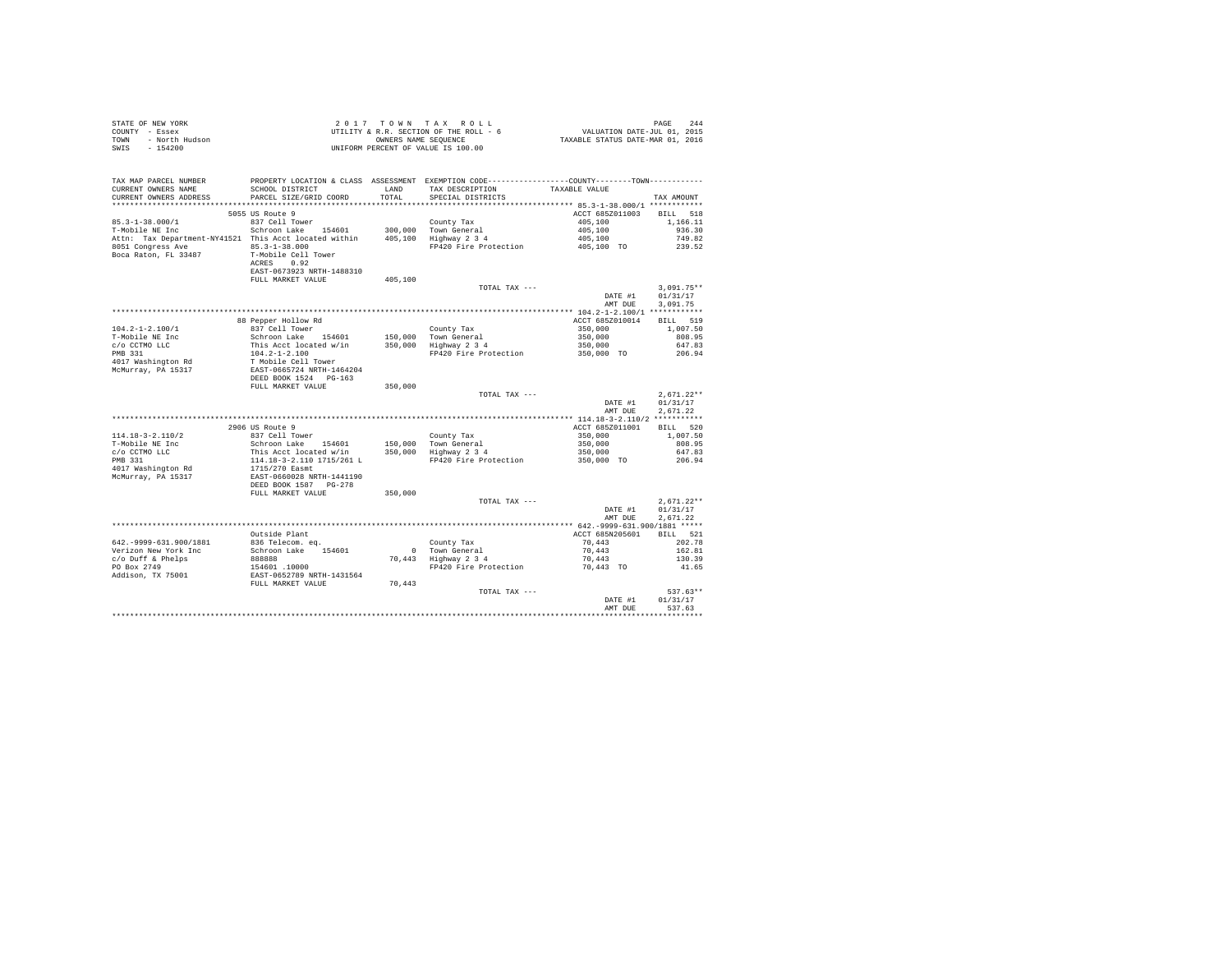|      | STATE OF NEW YORK | 2017 TOWN TAX ROLL                     | PAGE 244                         |
|------|-------------------|----------------------------------------|----------------------------------|
|      | COUNTY - Essex    | UTILITY & R.R. SECTION OF THE ROLL - 6 | VALUATION DATE-JUL 01, 2015      |
| TOWN | - North Hudson    | OWNERS NAME SEOUENCE                   | TAXABLE STATUS DATE-MAR 01, 2016 |
| SWIS | - 154200          | UNIFORM PERCENT OF VALUE IS 100.00     |                                  |

| TAX MAP PARCEL NUMBER<br>CURRENT OWNERS NAME                                                                                                                                                                           | SCHOOL DISTRICT                                                                                                                                                                                                                                    | LAND    | PROPERTY LOCATION & CLASS ASSESSMENT EXEMPTION CODE----------------COUNTY--------TOWN----------<br>TAX DESCRIPTION | TAXABLE VALUE                 |                  |
|------------------------------------------------------------------------------------------------------------------------------------------------------------------------------------------------------------------------|----------------------------------------------------------------------------------------------------------------------------------------------------------------------------------------------------------------------------------------------------|---------|--------------------------------------------------------------------------------------------------------------------|-------------------------------|------------------|
| CURRENT OWNERS ADDRESS                                                                                                                                                                                                 | PARCEL SIZE/GRID COORD                                                                                                                                                                                                                             | TOTAL   | SPECIAL DISTRICTS                                                                                                  |                               | TAX AMOUNT       |
|                                                                                                                                                                                                                        | 5055 US Route 9                                                                                                                                                                                                                                    |         |                                                                                                                    | ACCT 685Z011003 BILL 518      |                  |
|                                                                                                                                                                                                                        |                                                                                                                                                                                                                                                    |         |                                                                                                                    |                               |                  |
| ${\small 85.3\text{--}1\text{--}38.000/1} \begin{tabular}{lcccc} \multicolumn{2}{c}{\text{837 Cell Tower}} \end{tabular} \begin{tabular}{lcccc} \multicolumn{2}{c}{\text{437 Cell Tower}} \end{tabular} \end{tabular}$ |                                                                                                                                                                                                                                                    |         |                                                                                                                    |                               | 1,166.11         |
| 85.3-1-38.000/1<br>T-Mobile NE Inc = 837 Cell Tower 154601 300,000 Town General<br>Attn: Tax Department-NY41521 This Acct located within 405,100 Highway 2 3 4                                                         |                                                                                                                                                                                                                                                    |         |                                                                                                                    | 405,100<br>405,100<br>405,100 | 936.30           |
|                                                                                                                                                                                                                        |                                                                                                                                                                                                                                                    |         | FP420 Fire Protection 405,100 TO 239.52                                                                            |                               | 749.82           |
| Attn: Tax Department<br>8051 Congress Ave 85.3-1-38.000<br>---- FL 33487 T-Mobile Cell Tower<br>----- 0.92                                                                                                             |                                                                                                                                                                                                                                                    |         |                                                                                                                    |                               |                  |
|                                                                                                                                                                                                                        |                                                                                                                                                                                                                                                    |         |                                                                                                                    |                               |                  |
|                                                                                                                                                                                                                        | EAST-0673923 NRTH-1488310                                                                                                                                                                                                                          |         |                                                                                                                    |                               |                  |
|                                                                                                                                                                                                                        | FULL MARKET VALUE                                                                                                                                                                                                                                  | 405,100 |                                                                                                                    |                               |                  |
|                                                                                                                                                                                                                        |                                                                                                                                                                                                                                                    |         | TOTAL TAX ---                                                                                                      |                               | $3.091.75**$     |
|                                                                                                                                                                                                                        |                                                                                                                                                                                                                                                    |         |                                                                                                                    |                               | DATE #1 01/31/17 |
|                                                                                                                                                                                                                        |                                                                                                                                                                                                                                                    |         |                                                                                                                    | AMT DUE                       | 3,091.75         |
|                                                                                                                                                                                                                        |                                                                                                                                                                                                                                                    |         |                                                                                                                    |                               |                  |
|                                                                                                                                                                                                                        | 88 Pepper Hollow Rd                                                                                                                                                                                                                                |         |                                                                                                                    | ACCT 685Z010014 BILL 519      |                  |
| $104.2 - 1 - 2.100/1$                                                                                                                                                                                                  |                                                                                                                                                                                                                                                    |         |                                                                                                                    |                               | 1,007.50         |
| T-Mobile NE Inc                                                                                                                                                                                                        | % Pepper noulow May County Tax<br>837 Cell Tower<br>This Acct located w/in<br>150,000 Town General<br>This Acct located w/in<br>104.2-1-2.100<br>T Mobile Cell Tower<br>EXST-0665724 NRTH-1464204<br>DEED BOOK 1524<br>DEED BOOK 1524<br>DEED BOOK |         |                                                                                                                    | $350,000$<br>$350,000$        | 808.95           |
|                                                                                                                                                                                                                        |                                                                                                                                                                                                                                                    |         |                                                                                                                    | 350,000                       | 647.83           |
|                                                                                                                                                                                                                        |                                                                                                                                                                                                                                                    |         | FP420 Fire Protection 350,000 TO 206.94                                                                            |                               |                  |
| c/o CCTMO LLC<br>PMB 331<br>4017 Washington Rd                                                                                                                                                                         |                                                                                                                                                                                                                                                    |         |                                                                                                                    |                               |                  |
| McMurray, PA 15317                                                                                                                                                                                                     |                                                                                                                                                                                                                                                    |         |                                                                                                                    |                               |                  |
|                                                                                                                                                                                                                        |                                                                                                                                                                                                                                                    |         |                                                                                                                    |                               |                  |
|                                                                                                                                                                                                                        | FULL MARKET VALUE                                                                                                                                                                                                                                  | 350,000 |                                                                                                                    |                               |                  |
|                                                                                                                                                                                                                        |                                                                                                                                                                                                                                                    |         | TOTAL TAX ---                                                                                                      |                               | $2.671.22**$     |
|                                                                                                                                                                                                                        |                                                                                                                                                                                                                                                    |         |                                                                                                                    | DATE #1                       | 01/31/17         |
|                                                                                                                                                                                                                        |                                                                                                                                                                                                                                                    |         |                                                                                                                    | AMT DUE                       | 2.671.22         |
|                                                                                                                                                                                                                        |                                                                                                                                                                                                                                                    |         |                                                                                                                    |                               |                  |
|                                                                                                                                                                                                                        | 2906 US Route 9                                                                                                                                                                                                                                    |         |                                                                                                                    | ACCT 685Z011001 BILL 520      |                  |
|                                                                                                                                                                                                                        |                                                                                                                                                                                                                                                    |         |                                                                                                                    |                               | 1,007.50         |
|                                                                                                                                                                                                                        |                                                                                                                                                                                                                                                    |         |                                                                                                                    |                               | 808.95           |
|                                                                                                                                                                                                                        |                                                                                                                                                                                                                                                    |         |                                                                                                                    | 350,000<br>350,000<br>350,000 | 647.83           |
|                                                                                                                                                                                                                        |                                                                                                                                                                                                                                                    |         |                                                                                                                    | 350,000 TO                    | 206.94           |
|                                                                                                                                                                                                                        |                                                                                                                                                                                                                                                    |         |                                                                                                                    |                               |                  |
|                                                                                                                                                                                                                        |                                                                                                                                                                                                                                                    |         |                                                                                                                    |                               |                  |
|                                                                                                                                                                                                                        |                                                                                                                                                                                                                                                    |         |                                                                                                                    |                               |                  |
|                                                                                                                                                                                                                        | FULL MARKET VALUE                                                                                                                                                                                                                                  | 350,000 |                                                                                                                    |                               |                  |
|                                                                                                                                                                                                                        |                                                                                                                                                                                                                                                    |         | TOTAL TAX ---                                                                                                      |                               | $2.671.22**$     |
|                                                                                                                                                                                                                        |                                                                                                                                                                                                                                                    |         |                                                                                                                    | DATE #1 01/31/17              |                  |
|                                                                                                                                                                                                                        |                                                                                                                                                                                                                                                    |         |                                                                                                                    | AMT DUE                       | 2.671.22         |
|                                                                                                                                                                                                                        |                                                                                                                                                                                                                                                    |         |                                                                                                                    |                               |                  |
|                                                                                                                                                                                                                        | Outside Plant                                                                                                                                                                                                                                      |         |                                                                                                                    | ACCT 685N205601 BILL 521      | 202.78           |
| 642. - 9999 - 631. 900/1881                                                                                                                                                                                            | 836 Telecom. eq.                                                                                                                                                                                                                                   |         | County Tax                                                                                                         | 70,443                        | 162.81           |
|                                                                                                                                                                                                                        |                                                                                                                                                                                                                                                    |         | 0 Town General<br>70,443 Highway 2 3 4                                                                             | 70,443<br>70,443              | 130.39           |
|                                                                                                                                                                                                                        |                                                                                                                                                                                                                                                    |         | FP420 Fire Protection                                                                                              | 70,443 TO                     | 41.65            |
|                                                                                                                                                                                                                        |                                                                                                                                                                                                                                                    |         |                                                                                                                    |                               |                  |
|                                                                                                                                                                                                                        | FULL MARKET VALUE                                                                                                                                                                                                                                  | 70,443  |                                                                                                                    |                               |                  |
|                                                                                                                                                                                                                        |                                                                                                                                                                                                                                                    |         | TOTAL TAX ---                                                                                                      |                               | 537.63**         |
|                                                                                                                                                                                                                        |                                                                                                                                                                                                                                                    |         |                                                                                                                    |                               | DATE #1 01/31/17 |
|                                                                                                                                                                                                                        |                                                                                                                                                                                                                                                    |         |                                                                                                                    | AMT DUE                       | 537.63           |
|                                                                                                                                                                                                                        |                                                                                                                                                                                                                                                    |         |                                                                                                                    |                               |                  |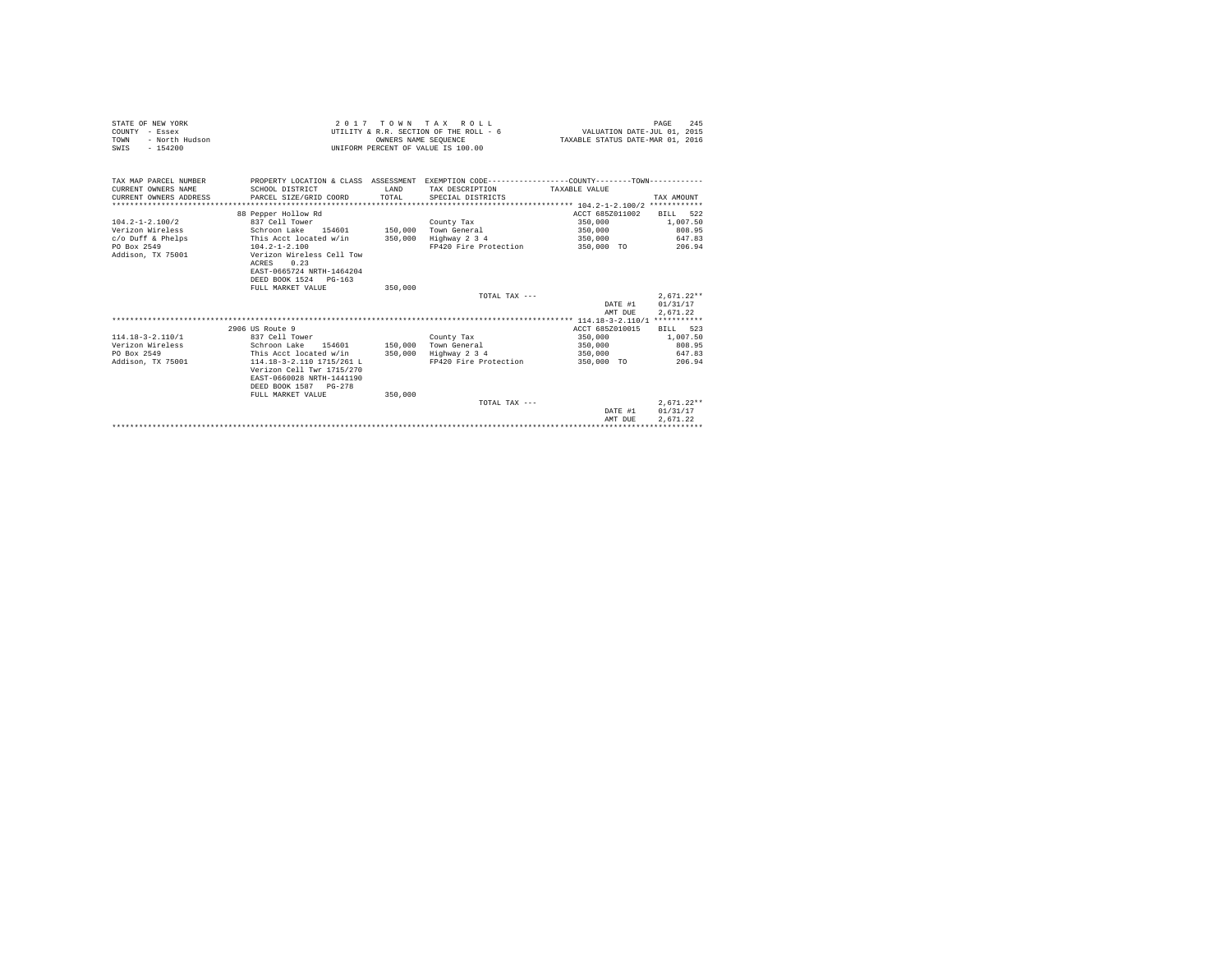| STATE OF NEW YORK<br>COUNTY - Essex<br>- North Hudson<br>TOWN<br>$-154200$<br>SWIS |                                                                                                  |         | 2017 TOWN TAX ROLL<br>UTILITY & R.R. SECTION OF THE ROLL - 6<br>OWNERS NAME SEQUENCE<br>UNIFORM PERCENT OF VALUE IS 100.00 | VALUATION DATE-JUL 01, 2015<br>TAXABLE STATUS DATE-MAR 01, 2016 | 245<br>PAGE                          |
|------------------------------------------------------------------------------------|--------------------------------------------------------------------------------------------------|---------|----------------------------------------------------------------------------------------------------------------------------|-----------------------------------------------------------------|--------------------------------------|
| TAX MAP PARCEL NUMBER<br>CURRENT OWNERS NAME                                       | SCHOOL DISTRICT                                                                                  | T.AND   | PROPERTY LOCATION & CLASS ASSESSMENT EXEMPTION CODE---------------COUNTY-------TOWN---------<br>TAX DESCRIPTION            | TAXABLE VALUE                                                   |                                      |
| CURRENT OWNERS ADDRESS                                                             | PARCEL SIZE/GRID COORD                                                                           | TOTAL   | SPECIAL DISTRICTS                                                                                                          |                                                                 | TAX AMOUNT                           |
|                                                                                    |                                                                                                  |         |                                                                                                                            |                                                                 |                                      |
|                                                                                    | 88 Pepper Hollow Rd                                                                              |         |                                                                                                                            | ACCT 685Z011002                                                 | BILL 522                             |
| $104.2 - 1 - 2.100/2$                                                              | 837 Cell Tower                                                                                   |         | County Tax                                                                                                                 | 350,000                                                         | 1,007.50                             |
| Verizon Wireless                                                                   | Schroon Lake 154601                                                                              |         | 150,000 Town General                                                                                                       | 350,000                                                         | 808.95                               |
| $c$ /o Duff & Phelps                                                               | This Acct located w/in                                                                           |         | 350,000 Highway 2 3 4                                                                                                      | 350,000                                                         | 647.83                               |
| PO Box 2549                                                                        | $104.2 - 1 - 2.100$                                                                              |         | FP420 Fire Protection                                                                                                      | 350,000 TO                                                      | 206.94                               |
| Addison, TX 75001                                                                  | Verizon Wireless Cell Tow<br>0.23<br>ACRES<br>EAST-0665724 NRTH-1464204<br>DEED BOOK 1524 PG-163 |         |                                                                                                                            |                                                                 |                                      |
|                                                                                    | FULL MARKET VALUE                                                                                | 350,000 |                                                                                                                            |                                                                 |                                      |
|                                                                                    |                                                                                                  |         | TOTAL TAX ---                                                                                                              | DATE #1<br>AMT DUE                                              | $2,671.22**$<br>01/31/17<br>2,671.22 |
|                                                                                    |                                                                                                  |         |                                                                                                                            |                                                                 |                                      |
|                                                                                    | 2906 US Route 9                                                                                  |         |                                                                                                                            | ACCT 685Z010015                                                 | BILL 523                             |
| $114.18 - 3 - 2.110/1$<br>Verizon Wireless                                         | 837 Cell Tower<br>Schroon Lake 154601 150,000 Town General                                       |         | County Tax                                                                                                                 | 350,000<br>350,000                                              | 1,007.50<br>808.95                   |
| PO Box 2549                                                                        | This Acct located w/in                                                                           | 350,000 | Highway 2 3 4                                                                                                              | 350,000                                                         | 647.83                               |
| Addison, TX 75001                                                                  | 114.18-3-2.110 1715/261 L                                                                        |         | FP420 Fire Protection                                                                                                      | 350,000 TO                                                      | 206.94                               |
|                                                                                    | Verizon Cell Twr 1715/270<br>EAST-0660028 NRTH-1441190<br>DEED BOOK 1587 PG-278                  |         |                                                                                                                            |                                                                 |                                      |
|                                                                                    | FULL MARKET VALUE                                                                                | 350,000 |                                                                                                                            |                                                                 |                                      |
|                                                                                    |                                                                                                  |         | TOTAL TAX ---                                                                                                              |                                                                 | $2.671.22**$                         |
|                                                                                    |                                                                                                  |         |                                                                                                                            | DATE #1                                                         | 01/31/17                             |
|                                                                                    |                                                                                                  |         |                                                                                                                            | AMT DUE                                                         | 2.671.22                             |
|                                                                                    |                                                                                                  |         |                                                                                                                            | ***************************                                     |                                      |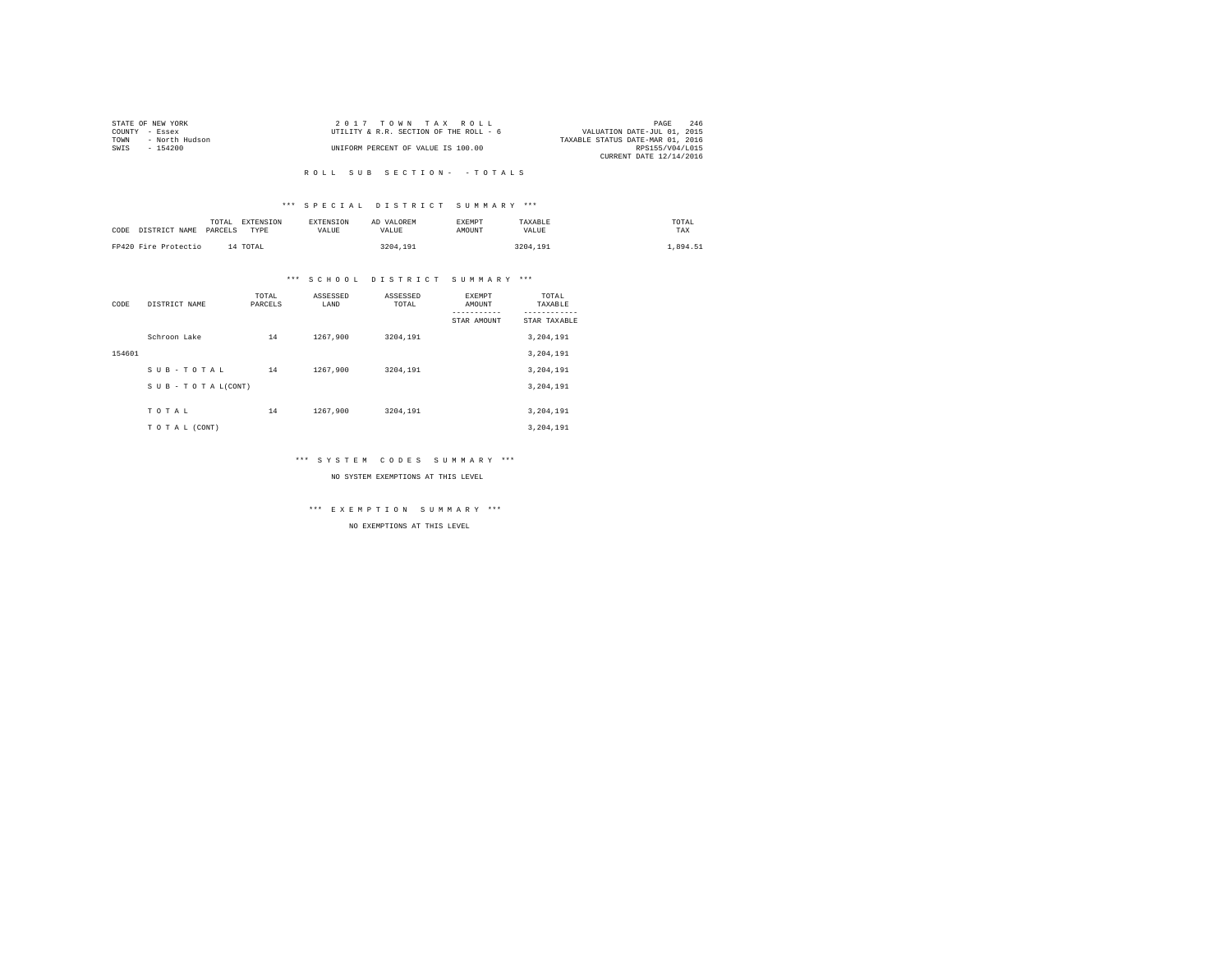|                | STATE OF NEW YORK | $2.017$ TOWN TAX ROLL                  | PAGE                             | 246 |
|----------------|-------------------|----------------------------------------|----------------------------------|-----|
| COUNTY - Essex |                   | UTILITY & R.R. SECTION OF THE ROLL - 6 | VALUATION DATE-JUL 01, 2015      |     |
| TOWN           | - North Hudson    |                                        | TAXABLE STATUS DATE-MAR 01, 2016 |     |
| SWTS           | $-154200$         | UNIFORM PERCENT OF VALUE IS 100.00     | RPS155/V04/L015                  |     |
|                |                   |                                        | CURRENT DATE 12/14/2016          |     |

# \*\*\* S P E C I A L D I S T R I C T S U M M A R Y \*\*\*

| CODE DISTRICT NAME   | TOTAL<br>PARCELS | EXTENSION<br>TYPE | <b>EXTENSION</b><br><b>VALUE</b> | AD VALOREM<br>VALUE | EXEMPT<br>AMOUNT | TAXABLE<br>VALUE | TOTAL<br>TAX |
|----------------------|------------------|-------------------|----------------------------------|---------------------|------------------|------------------|--------------|
| FP420 Fire Protectio |                  | 14 TOTAL          |                                  | 3204.191            |                  | 3204.191         | .,894.51     |

# \*\*\* S C H O O L D I S T R I C T S U M M A R Y \*\*\*

| CODE   | DISTRICT NAME      | TOTAL<br>PARCELS | ASSESSED<br>LAND | ASSESSED<br>TOTAL | <b>EXEMPT</b><br>AMOUNT | TOTAL<br>TAXABLE          |
|--------|--------------------|------------------|------------------|-------------------|-------------------------|---------------------------|
|        |                    |                  |                  |                   | STAR AMOUNT             | ---------<br>STAR TAXABLE |
|        | Schroon Lake       | 14               | 1267.900         | 3204.191          |                         | 3,204,191                 |
| 154601 |                    |                  |                  |                   |                         | 3,204,191                 |
|        | SUB-TOTAL          | 14               | 1267.900         | 3204.191          |                         | 3,204,191                 |
|        | SUB - TO TAL(CONT) |                  |                  |                   |                         | 3,204,191                 |
|        |                    |                  |                  |                   |                         |                           |
|        | TOTAL              | 14               | 1267.900         | 3204.191          |                         | 3,204,191                 |
|        | TO TAL (CONT)      |                  |                  |                   |                         | 3,204,191                 |

# \*\*\* S Y S T E M C O D E S S U M M A R Y \*\*\*

NO SYSTEM EXEMPTIONS AT THIS LEVEL

\*\*\* E X E M P T I O N S U M M A R Y \*\*\*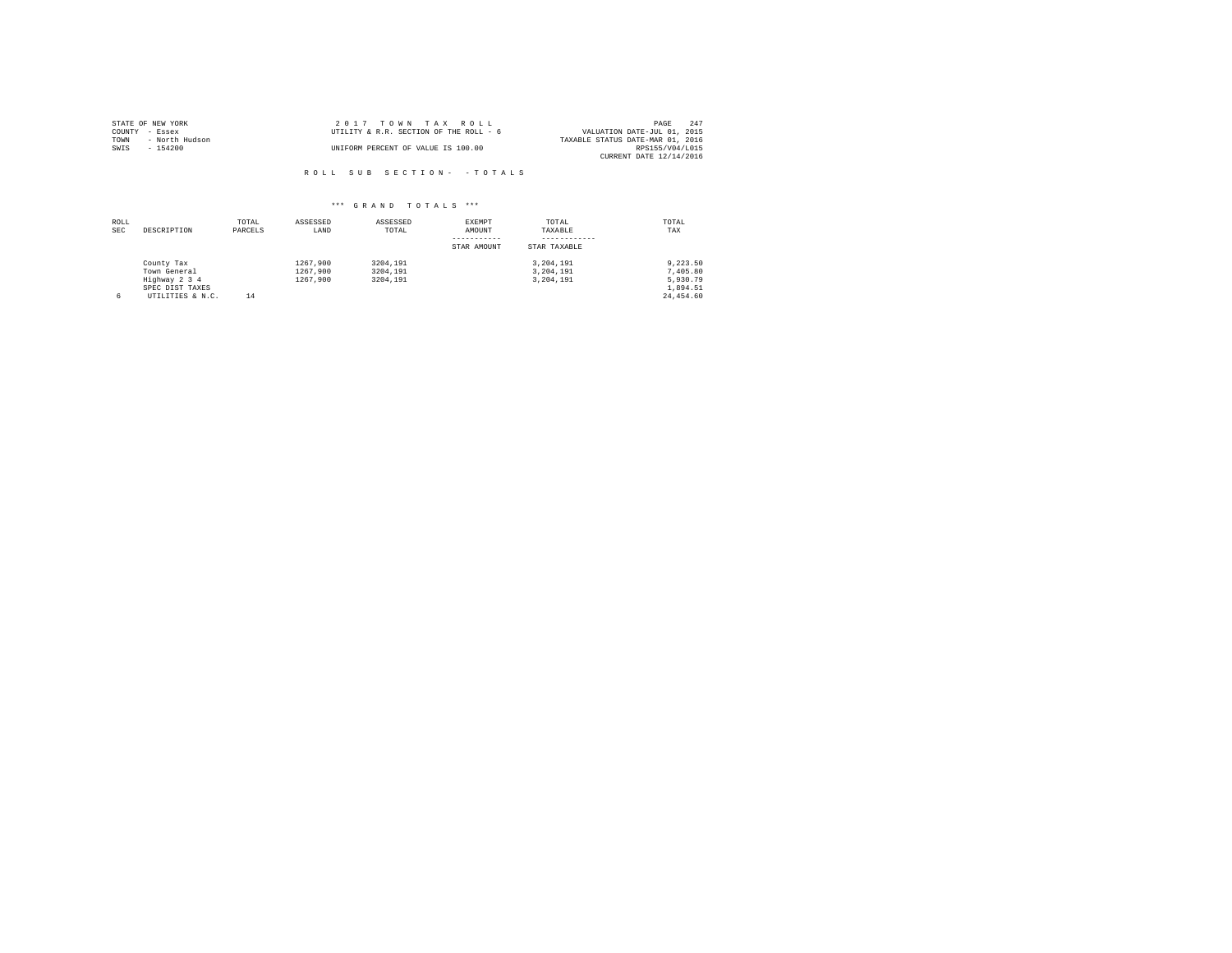|                | STATE OF NEW YORK | 2017 TOWN TAX ROLL                     | PAGE                             | 247 |
|----------------|-------------------|----------------------------------------|----------------------------------|-----|
| COUNTY - Essex |                   | UTILITY & R.R. SECTION OF THE ROLL - 6 | VALUATION DATE-JUL 01, 2015      |     |
| TOWN           | - North Hudson    |                                        | TAXABLE STATUS DATE-MAR 01, 2016 |     |
| SWIS           | $-154200$         | UNIFORM PERCENT OF VALUE IS 100.00     | RPS155/V04/L015                  |     |
|                |                   |                                        | CURRENT DATE 12/14/2016          |     |

| ROLL<br><b>SEC</b> | DESCRIPTION                                                                        | TOTAL<br>PARCELS | ASSESSED<br>LAND                 | ASSESSED<br>TOTAL                | <b>EXEMPT</b><br>AMOUNT<br>STAR AMOUNT | TOTAL<br>TAXABLE<br>STAR TAXABLE    | TOTAL<br>TAX                                              |
|--------------------|------------------------------------------------------------------------------------|------------------|----------------------------------|----------------------------------|----------------------------------------|-------------------------------------|-----------------------------------------------------------|
| 6                  | County Tax<br>Town General<br>Highway 2 3 4<br>SPEC DIST TAXES<br>UTILITIES & N.C. | 14               | 1267.900<br>1267.900<br>1267.900 | 3204.191<br>3204.191<br>3204,191 |                                        | 3.204.191<br>3.204.191<br>3.204.191 | 9.223.50<br>7,405.80<br>5.930.79<br>1.894.51<br>24,454.60 |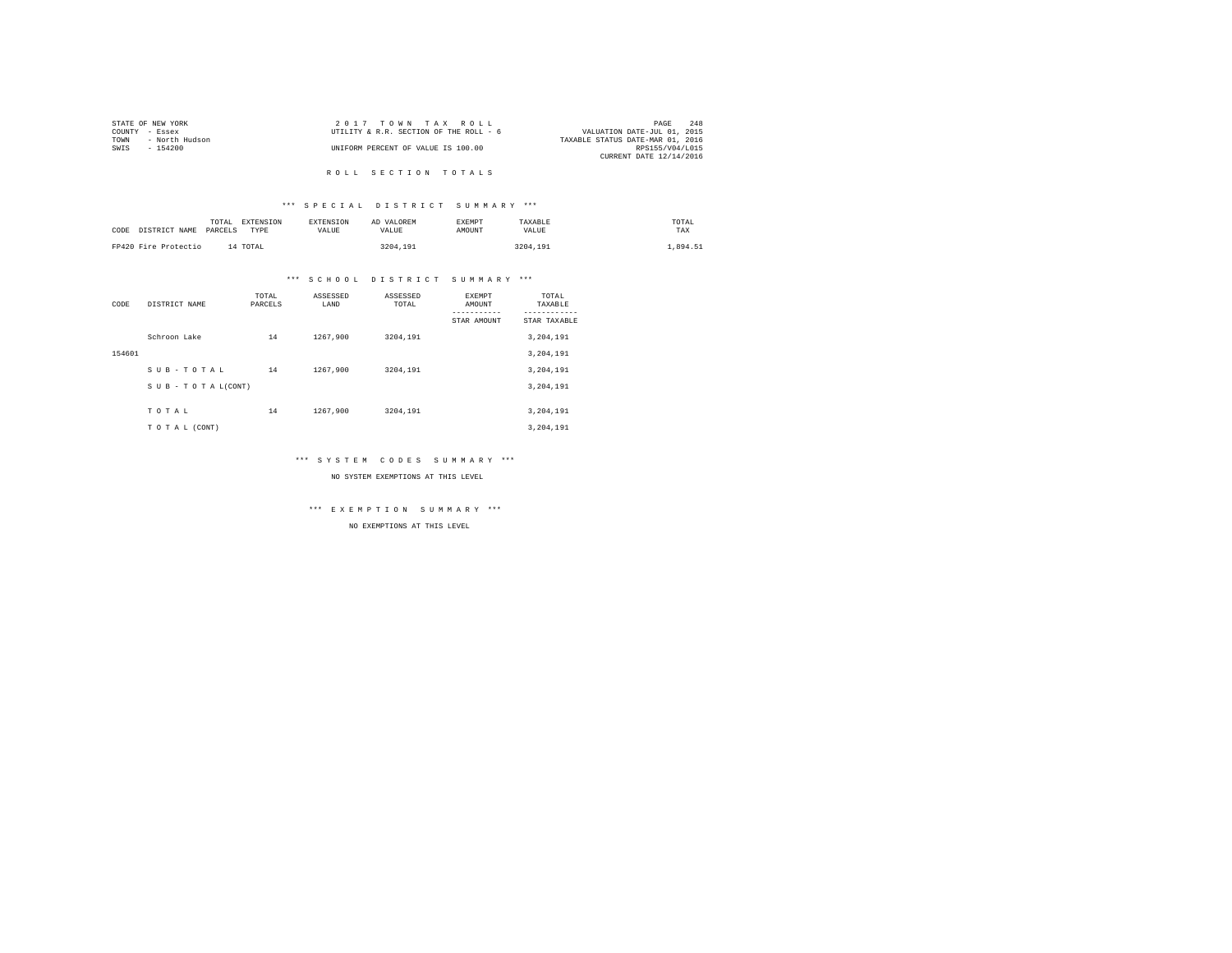| STATE OF NEW YORK      | 2017 TOWN TAX ROLL                     | 248<br>PAGE                      |
|------------------------|----------------------------------------|----------------------------------|
| COUNTY - Essex         | UTILITY & R.R. SECTION OF THE ROLL - 6 | VALUATION DATE-JUL 01, 2015      |
| - North Hudson<br>TOWN |                                        | TAXABLE STATUS DATE-MAR 01, 2016 |
| SWIS<br>- 154200       | UNIFORM PERCENT OF VALUE IS 100.00     | RPS155/V04/L015                  |
|                        |                                        | CURRENT DATE 12/14/2016          |
|                        |                                        |                                  |

# R O L L S E C T I O N T O T A L S

# \*\*\* S P E C I A L D I S T R I C T S U M M A R Y \*\*\*

| CODE | DISTRICT NAME        | TOTAL<br>PARCELS | EXTENSION<br>TYPE | EXTENSION<br>VALUE | AD VALOREM<br>VALUE | <b>EXEMPT</b><br><b>AMOUNT</b> | TAXABLE<br>VALUE | TOTAL<br>TAX |
|------|----------------------|------------------|-------------------|--------------------|---------------------|--------------------------------|------------------|--------------|
|      | FP420 Fire Protectio | 14 TOTAL         |                   |                    | 3204.191            |                                | 3204.191         | .894.51      |

# \*\*\* S C H O O L D I S T R I C T S U M M A R Y \*\*\*

| CODE   | DISTRICT NAME      | TOTAL<br>PARCELS | ASSESSED<br>LAND | ASSESSED<br>TOTAL | <b>EXEMPT</b><br>AMOUNT | TOTAL<br>TAXABLE<br>--------- |
|--------|--------------------|------------------|------------------|-------------------|-------------------------|-------------------------------|
|        |                    |                  |                  |                   | STAR AMOUNT             | STAR TAXABLE                  |
|        | Schroon Lake       | 14               | 1267.900         | 3204,191          |                         | 3,204,191                     |
| 154601 |                    |                  |                  |                   |                         | 3,204,191                     |
|        | SUB-TOTAL          | 14               | 1267.900         | 3204.191          |                         | 3,204,191                     |
|        | SUB - TO TAL(CONT) |                  |                  |                   |                         | 3,204,191                     |
|        |                    |                  |                  |                   |                         |                               |
|        | TOTAL              | 14               | 1267.900         | 3204,191          |                         | 3,204,191                     |
|        | TO TAL (CONT)      |                  |                  |                   |                         | 3.204.191                     |

# \*\*\* S Y S T E M C O D E S S U M M A R Y \*\*\*

NO SYSTEM EXEMPTIONS AT THIS LEVEL

\*\*\* E X E M P T I O N S U M M A R Y \*\*\*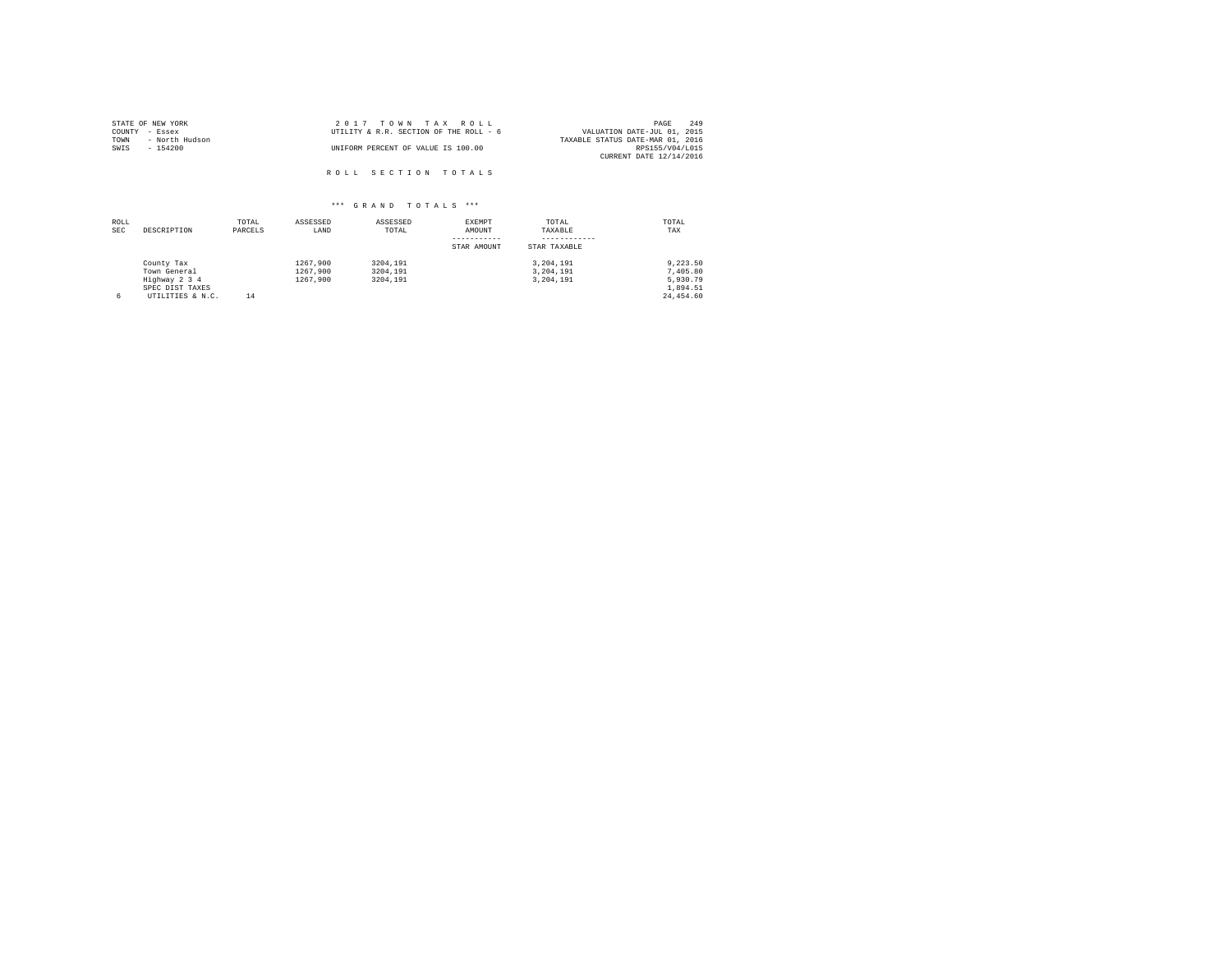| STATE OF NEW YORK      | 2017 TOWN TAX ROLL                     | 249<br>PAGE                      |
|------------------------|----------------------------------------|----------------------------------|
| COUNTY - Essex         | UTILITY & R.R. SECTION OF THE ROLL - 6 | VALUATION DATE-JUL 01, 2015      |
| TOWN<br>- North Hudson |                                        | TAXABLE STATUS DATE-MAR 01, 2016 |
| SWIS<br>- 154200       | UNIFORM PERCENT OF VALUE IS 100.00     | RPS155/V04/L015                  |
|                        |                                        | CURRENT DATE 12/14/2016          |
|                        |                                        |                                  |
|                        | ROLL SECTION TOTALS                    |                                  |

| ROLL<br><b>SEC</b> | DESCRIPTION                                                                        | TOTAL<br>PARCELS | ASSESSED<br>LAND                 | ASSESSED<br>TOTAL                | EXEMPT<br>AMOUNT<br>STAR AMOUNT | TOTAL<br>TAXABLE<br>STAR TAXABLE    | TOTAL<br>TAX                                              |
|--------------------|------------------------------------------------------------------------------------|------------------|----------------------------------|----------------------------------|---------------------------------|-------------------------------------|-----------------------------------------------------------|
| 6                  | County Tax<br>Town General<br>Highway 2 3 4<br>SPEC DIST TAXES<br>UTILITIES & N.C. | 14               | 1267.900<br>1267.900<br>1267.900 | 3204,191<br>3204,191<br>3204,191 |                                 | 3,204,191<br>3,204,191<br>3,204,191 | 9.223.50<br>7,405.80<br>5.930.79<br>1.894.51<br>24,454.60 |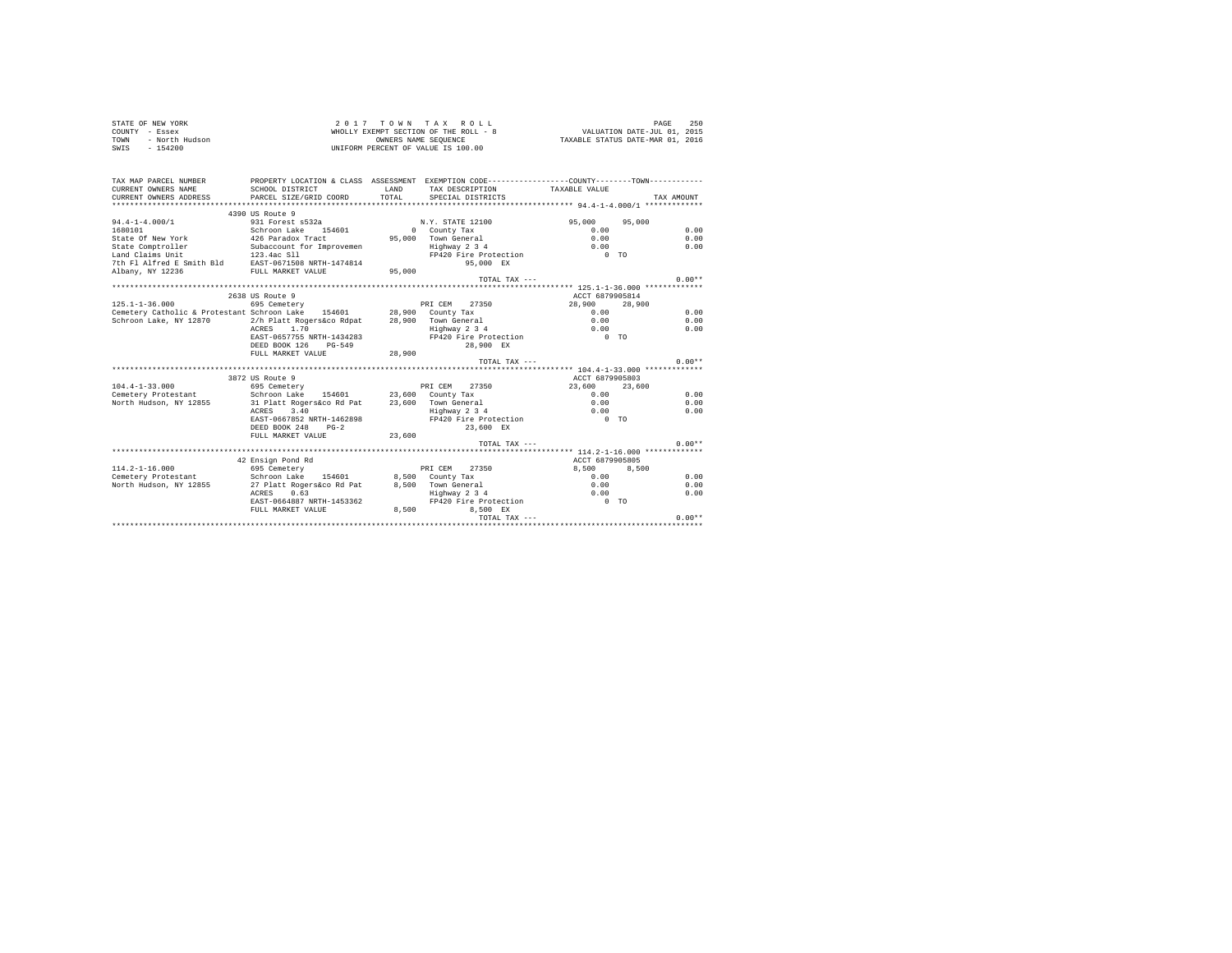|                | STATE OF NEW YORK |  |  | 2017 TOWN TAX ROLL                    |  |  |  | 250<br>PAGE                      |  |
|----------------|-------------------|--|--|---------------------------------------|--|--|--|----------------------------------|--|
| COUNTY - Essex |                   |  |  | WHOLLY EXEMPT SECTION OF THE ROLL - 8 |  |  |  | VALUATION DATE-JUL 01, 2015      |  |
| TOWN           | - North Hudson    |  |  | OWNERS NAME SEOUENCE                  |  |  |  | TAXABLE STATUS DATE-MAR 01, 2016 |  |
| SWIS           | $-154200$         |  |  | UNIFORM PERCENT OF VALUE IS 100.00    |  |  |  |                                  |  |

| CURRENT OWNERS NAME<br>CURRENT OWNERS ADDRESS                        | SCHOOL DISTRICT<br>PARCEL SIZE/GRID COORD                   | TOTAL   | PROPERTY LOCATION & CLASS ASSESSMENT EXEMPTION CODE---------------COUNTY-------TOWN----------<br>LAND TAX DESCRIPTION<br>SPECIAL DISTRICTS | TAXABLE VALUE    | TAX AMOUNT   |
|----------------------------------------------------------------------|-------------------------------------------------------------|---------|--------------------------------------------------------------------------------------------------------------------------------------------|------------------|--------------|
|                                                                      | 4390 US Route 9                                             |         |                                                                                                                                            |                  |              |
| $94.4 - 1 - 4.000/1$                                                 | 931 Forest s532a                                            |         | N.Y. STATE 12100                                                                                                                           | 95,000<br>95,000 |              |
| 1680101                                                              | Schroon Lake<br>154601                                      |         | 0 County Tax                                                                                                                               | 0.00             | 0.00         |
| State Of New York                                                    | 426 Paradox Tract                                           |         | 95,000 Town General                                                                                                                        | 0.00             | 0.00         |
| State Comptroller                                                    | Subaccount for Improvemen                                   |         | Highway 2 3 4                                                                                                                              | 0.00             | 0.00         |
| Land Claims Unit 123.4ac S11                                         |                                                             |         | FP420 Fire Protection                                                                                                                      | $0$ TO           |              |
| 7th Fl Alfred E Smith Bld EAST-0671508 NRTH-1474814                  |                                                             |         | 95,000 EX                                                                                                                                  |                  |              |
| Albany, NY 12236                                                     | FULL MARKET VALUE                                           | 95,000  |                                                                                                                                            |                  |              |
|                                                                      |                                                             |         | TOTAL TAX ---                                                                                                                              |                  | $0.00**$     |
|                                                                      | 2638 US Route 9                                             |         |                                                                                                                                            | ACCT 6879905814  |              |
| $125.1 - 1 - 36.000$                                                 | 695 Cemetery                                                | PRI CEM | 27350                                                                                                                                      | 28,900<br>28,900 |              |
| Cemetery Catholic & Protestant Schroon Lake 154601 28,900 County Tax |                                                             |         |                                                                                                                                            | 0.00             | 0.00         |
| Schroon Lake, NY 12870                                               | 2/h Platt Rogers&co Rdpat 28,900 Town General               |         |                                                                                                                                            | 0.00             | 0.00         |
|                                                                      | ACRES 1.70                                                  |         | Highway 2 3 4                                                                                                                              | 0.00             | 0.00         |
|                                                                      | EAST-0657755 NRTH-1434283                                   |         | FP420 Fire Protection                                                                                                                      | $0$ TO           |              |
|                                                                      | DEED BOOK 126<br>PG-549                                     |         | 28,900 EX                                                                                                                                  |                  |              |
|                                                                      | FULL MARKET VALUE                                           | 28,900  |                                                                                                                                            |                  |              |
|                                                                      |                                                             |         | TOTAL TAX ---                                                                                                                              |                  | $0.00**$     |
|                                                                      |                                                             |         |                                                                                                                                            |                  |              |
|                                                                      | 3872 US Route 9                                             |         |                                                                                                                                            | ACCT 6879905803  |              |
| $104.4 - 1 - 33.000$                                                 | 695 Cemetery                                                |         | PRI CEM 27350                                                                                                                              | 23,600<br>23,600 |              |
| Cemetery Protestant                                                  | Schroon Lake 154601 23,600 County Tax                       |         |                                                                                                                                            | 0.00             | 0.00         |
| North Hudson, NY 12855                                               | 31 Platt Rogers&co Rd Pat 23,600 Town General<br>ACRES 3.40 |         | Highway 2 3 4                                                                                                                              | 0.00<br>0.00     | 0.00<br>0.00 |
|                                                                      | EAST-0667852 NRTH-1462898                                   |         | FP420 Fire Protection                                                                                                                      | $0$ TO           |              |
|                                                                      | DEED BOOK 248 PG-2                                          |         | 23.600 EX                                                                                                                                  |                  |              |
|                                                                      | FULL MARKET VALUE                                           | 23,600  |                                                                                                                                            |                  |              |
|                                                                      |                                                             |         | TOTAL TAX ---                                                                                                                              |                  | $0.00**$     |
|                                                                      |                                                             |         |                                                                                                                                            |                  |              |
|                                                                      | 42 Ensign Pond Rd                                           |         |                                                                                                                                            | ACCT 6879905805  |              |
| $114.2 - 1 - 16.000$                                                 | 695 Cemetery                                                |         | PRI CEM<br>27350                                                                                                                           | 8,500<br>8,500   |              |
| Cemetery Protestant                                                  | Schroon Lake 154601 8.500 County Tax                        |         |                                                                                                                                            | 0.00             | 0.00         |
| North Hudson, NY 12855                                               | 27 Platt Rogers&co Rd Pat                                   |         | 8.500 Town General                                                                                                                         | 0.00             | 0.00         |
|                                                                      | 0.63<br>ACRES                                               |         | Highway 2 3 4                                                                                                                              | 0.00             | 0.00         |
|                                                                      |                                                             |         | FP420 Fire Protection                                                                                                                      | $0$ TO           |              |
|                                                                      | EAST-0664887 NRTH-1453362                                   |         |                                                                                                                                            |                  |              |
|                                                                      | FULL MARKET VALUE                                           | 8,500   | 8.500 EX<br>TOTAL TAX ---                                                                                                                  |                  | $0.00**$     |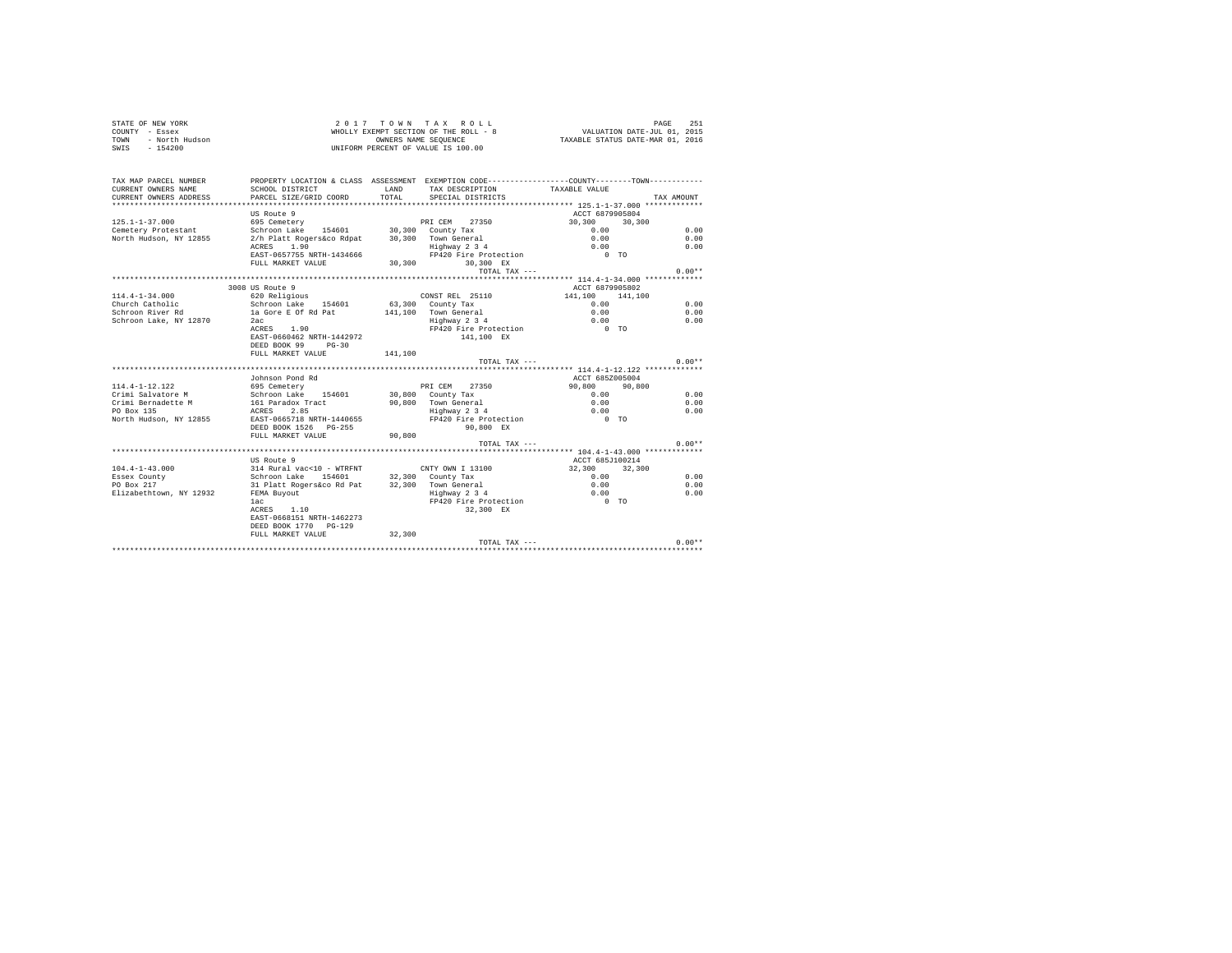|      | STATE OF NEW YORK | 2017 TOWN TAX ROLL                    | 251<br>PAGE                      |
|------|-------------------|---------------------------------------|----------------------------------|
|      | COUNTY - Essex    | WHOLLY EXEMPT SECTION OF THE ROLL - 8 | VALUATION DATE-JUL 01, 2015      |
| TOWN | - North Hudson    | OWNERS NAME SEOUENCE                  | TAXABLE STATUS DATE-MAR 01, 2016 |
| SWIS | $-154200$         | UNIFORM PERCENT OF VALUE IS 100.00    |                                  |

| TAX MAP PARCEL NUMBER<br>CURRENT OWNERS NAME  | PROPERTY LOCATION & CLASS ASSESSMENT EXEMPTION CODE---------------COUNTY--------TOWN----------<br>SCHOOL DISTRICT                                                                                                             |       | LAND TAX DESCRIPTION                 | TAXABLE VALUE                             |            |  |
|-----------------------------------------------|-------------------------------------------------------------------------------------------------------------------------------------------------------------------------------------------------------------------------------|-------|--------------------------------------|-------------------------------------------|------------|--|
| CURRENT OWNERS ADDRESS PARCEL SIZE/GRID COORD |                                                                                                                                                                                                                               | TOTAL | SPECIAL DISTRICTS                    |                                           | TAX AMOUNT |  |
|                                               |                                                                                                                                                                                                                               |       |                                      |                                           |            |  |
|                                               | US Route 9                                                                                                                                                                                                                    |       |                                      | ACCT 6879905804                           |            |  |
| $125.1 - 1 - 37.000$                          | FRICEM 27350<br>Schroon Lake 154601 30,300 County Tax                                                                                                                                                                         |       |                                      | 30,300 30,300                             |            |  |
| Cemetery Protestant                           |                                                                                                                                                                                                                               |       |                                      | $0.00$<br>0.00                            | 0.00       |  |
|                                               | North Hudson, NY 12855 2/h Platt Rogers&co Rdpat 30,300 Town General                                                                                                                                                          |       |                                      |                                           | 0.00       |  |
|                                               | $ACRES$ $1.90$ $Highway$ 2 3 4<br>$EAST-0657755 NRTH-1434666$ $FP420 Fire Protection$                                                                                                                                         |       |                                      | 0.00                                      | 0.00       |  |
|                                               |                                                                                                                                                                                                                               |       |                                      | $\begin{array}{cc} 0 & T & 0 \end{array}$ |            |  |
|                                               | FULL MARKET VALUE                                                                                                                                                                                                             |       | 30,300 30,300 EX                     |                                           |            |  |
|                                               |                                                                                                                                                                                                                               |       | TOTAL TAX ---                        |                                           | $0.00**$   |  |
|                                               |                                                                                                                                                                                                                               |       |                                      |                                           |            |  |
|                                               | 3008 US Route 9                                                                                                                                                                                                               |       |                                      | ACCT 6879905802                           |            |  |
| $114.4 - 1 - 34.000$                          | 620 Religious                                                                                                                                                                                                                 |       | CONST REL 25110                      | 141,100 141,100                           |            |  |
|                                               | Church Catholic Schroon Lake 154601 63,300 County Tax                                                                                                                                                                         |       |                                      | 0.00                                      | 0.00       |  |
| Schroon River Rd                              |                                                                                                                                                                                                                               |       |                                      |                                           | 0.00       |  |
| Schroon Lake, NY 12870                        |                                                                                                                                                                                                                               |       |                                      |                                           | 0.00       |  |
|                                               | Control control of the control of the control of the case of Rd Pat and the control of the control of the control of the control of the control of the control of the control of the control of the control of the control of |       |                                      |                                           |            |  |
|                                               | EAST-0660462 NRTH-1442972                                                                                                                                                                                                     |       | 141,100 EX                           |                                           |            |  |
|                                               | DEED BOOK 99 PG-30                                                                                                                                                                                                            |       |                                      |                                           |            |  |
|                                               | FULL MARKET VALUE 141,100                                                                                                                                                                                                     |       |                                      |                                           |            |  |
|                                               |                                                                                                                                                                                                                               |       | TOTAL TAX ---                        |                                           | $0.00**$   |  |
|                                               |                                                                                                                                                                                                                               |       |                                      |                                           |            |  |
|                                               | Johnson Pond Rd                                                                                                                                                                                                               |       |                                      | ACCT 685Z005004                           |            |  |
| 114.4-1-12.122                                | 695 Cemetery                                                                                                                                                                                                                  |       | PRI CEM 27350                        | 90.800 90.800                             |            |  |
|                                               |                                                                                                                                                                                                                               |       |                                      | 0.00                                      | 0.00       |  |
|                                               |                                                                                                                                                                                                                               |       | 90,800 Town General<br>Highway 2 3 4 | 0.00                                      | 0.00       |  |
|                                               |                                                                                                                                                                                                                               |       |                                      | 0.00                                      | 0.00       |  |
|                                               | North Hudson, NY 12855 EAST-0665718 NRTH-1440655 FP420 Fire Protection 0 TO                                                                                                                                                   |       |                                      |                                           |            |  |
|                                               | DEED BOOK 1526 PG-255                                                                                                                                                                                                         |       | 90,800 EX                            |                                           |            |  |
|                                               | FULL MARKET VALUE 90,800                                                                                                                                                                                                      |       |                                      |                                           |            |  |
|                                               |                                                                                                                                                                                                                               |       | TOTAL TAX $---$                      |                                           | $0.00**$   |  |
|                                               |                                                                                                                                                                                                                               |       |                                      |                                           |            |  |
|                                               | US Route 9                                                                                                                                                                                                                    |       |                                      | ACCT 685J100214                           |            |  |
| $104.4 - 1 - 43.000$                          | 314 Rural vac<10 - WTRFNT                                                                                                                                                                                                     |       | CNTY OWN I 13100                     | 32,300 32,300                             |            |  |
| Essex County                                  | Schroon Lake 154601 32,300 County Tax                                                                                                                                                                                         |       |                                      | 0.00                                      | 0.00       |  |
| PO Box 217                                    |                                                                                                                                                                                                                               |       |                                      | 0.00                                      | 0.00       |  |
| Elizabethtown, NY 12932                       | 31 Platt Rogers&co Rd Pat 32,300 Town General<br>FEMA Buyout the Highway 2 3 4                                                                                                                                                |       |                                      | 0.00                                      | 0.00       |  |
|                                               | lac                                                                                                                                                                                                                           |       | FP420 Fire Protection 0 TO           |                                           |            |  |
|                                               | ACRES 1.10                                                                                                                                                                                                                    |       | 32,300 EX                            |                                           |            |  |
|                                               | EAST-0668151 NRTH-1462273                                                                                                                                                                                                     |       |                                      |                                           |            |  |
|                                               | DEED BOOK 1770 PG-129                                                                                                                                                                                                         |       |                                      |                                           |            |  |
|                                               | FULL MARKET VALUE 32,300                                                                                                                                                                                                      |       |                                      |                                           |            |  |
|                                               |                                                                                                                                                                                                                               |       |                                      | TOTAL TAX ---                             | $0.00**$   |  |
|                                               |                                                                                                                                                                                                                               |       |                                      |                                           |            |  |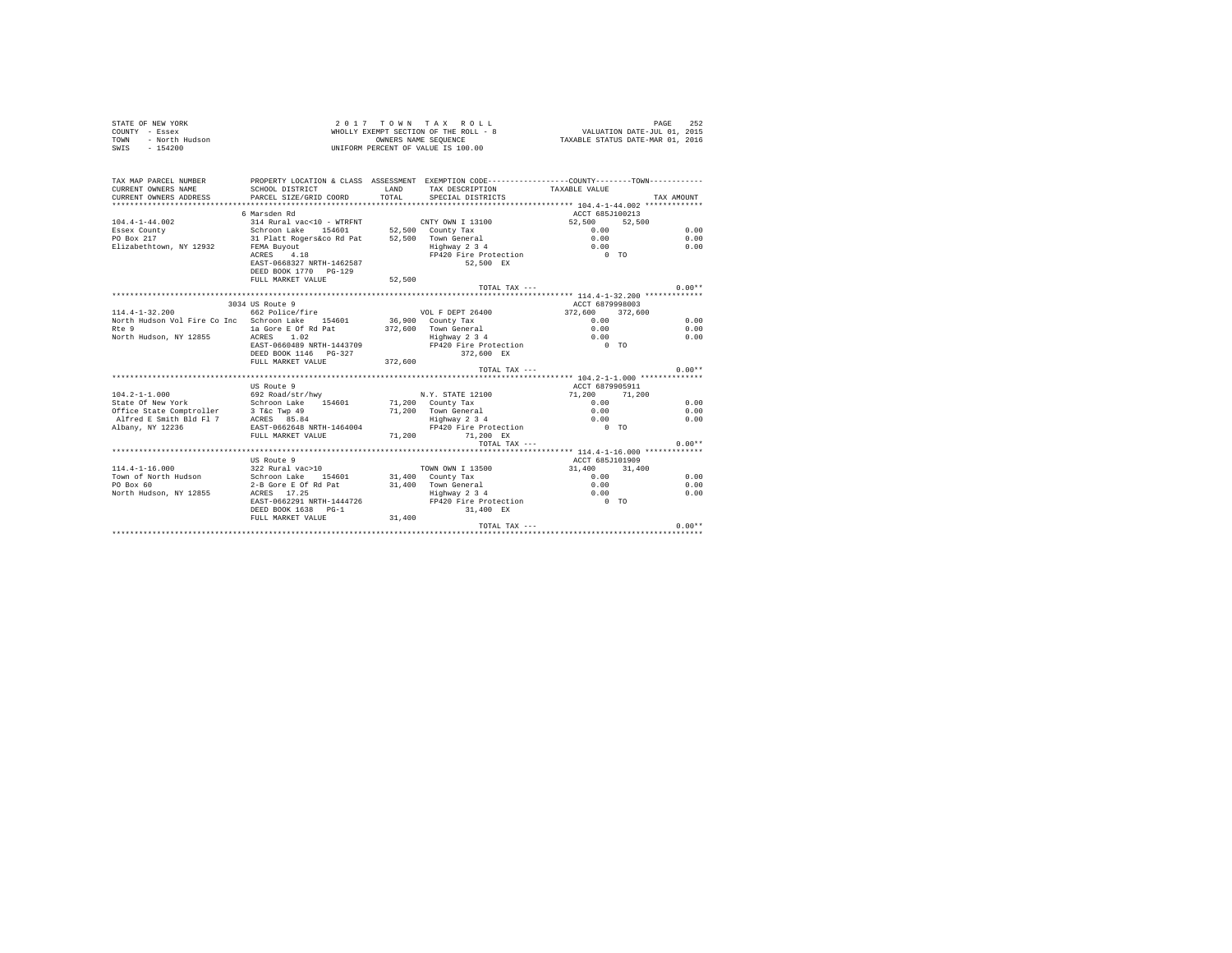| STATE OF NEW YORK      | 2017 TOWN TAX ROLL                    | 252<br>PAGE                      |
|------------------------|---------------------------------------|----------------------------------|
| COUNTY - Essex         | WHOLLY EXEMPT SECTION OF THE ROLL - 8 | VALUATION DATE-JUL 01, 2015      |
| TOWN<br>- North Hudson | OWNERS NAME SEOUENCE                  | TAXABLE STATUS DATE-MAR 01, 2016 |
| $-154200$<br>SWIS      | UNIFORM PERCENT OF VALUE IS 100.00    |                                  |

| TAX MAP PARCEL NUMBER<br>CURRENT OWNERS NAME     | PROPERTY LOCATION & CLASS ASSESSMENT EXEMPTION CODE---------------COUNTY-------TOWN----------<br>SCHOOL DISTRICT | <b>T.AND</b> | TAX DESCRIPTION TAXABLE VALUE             |                                  |            |
|--------------------------------------------------|------------------------------------------------------------------------------------------------------------------|--------------|-------------------------------------------|----------------------------------|------------|
| CURRENT OWNERS ADDRESS PARCEL SIZE/GRID COORD    |                                                                                                                  | TOTAL        | SPECIAL DISTRICTS                         |                                  | TAX AMOUNT |
|                                                  |                                                                                                                  |              |                                           |                                  |            |
|                                                  | 6 Marsden Rd                                                                                                     |              |                                           | ACCT 685J100213                  |            |
| $104.4 - 1 - 44.002$                             | 314 Rural vac<10 - WTRFNT CNTY OWN I 13100                                                                       |              |                                           | 52.500 52.500                    |            |
| Essex County                                     | Schroon Lake                                                                                                     |              | 154601 52,500 County Tax                  | 0.00                             | 0.00       |
| PO Box 217                                       |                                                                                                                  |              |                                           | 0.00                             | 0.00       |
| Elizabethtown, NY 12932                          | FEMA Buyout                                                                                                      |              |                                           | 0.00                             | 0.00       |
|                                                  | ACRES 4.18                                                                                                       |              | FP420 Fire Protection 0 TO                |                                  |            |
|                                                  | EAST-0668327 NRTH-1462587                                                                                        |              | 52,500 EX                                 |                                  |            |
|                                                  | DEED BOOK 1770 PG-129                                                                                            |              |                                           |                                  |            |
|                                                  | FULL MARKET VALUE                                                                                                | 52,500       |                                           |                                  |            |
|                                                  |                                                                                                                  |              | TOTAL TAX ---                             |                                  | $0.00**$   |
|                                                  |                                                                                                                  |              |                                           |                                  |            |
|                                                  | 3034 US Route 9                                                                                                  |              |                                           | ACCT 6879998003                  |            |
| $114.4 - 1 - 32.200$                             | 662 Police/fire                                                                                                  |              | VOL F DEPT 26400 372,600 372,600          |                                  |            |
| North Hudson Vol Fire Co Inc Schroon Lake 154601 |                                                                                                                  |              | 36,900 County Tax<br>372,600 Town General | 0.00                             | 0.00       |
| Rte 9                                            | la Gore E Of Rd Pat                                                                                              |              |                                           | 0.00                             | 0.00       |
| North Hudson, NY 12855 ACRES                     | 1.02                                                                                                             |              | Highway 2 3 4                             | 0.00                             | 0.00       |
|                                                  | EAST-0660489 NRTH-1443709                                                                                        |              | FP420 Fire Protection 0 TO                |                                  |            |
|                                                  |                                                                                                                  |              | 372.600 EX                                |                                  |            |
|                                                  | FULL MARKET VALUE                                                                                                | 372,600      |                                           |                                  |            |
|                                                  |                                                                                                                  |              | TOTAL TAX $---$                           |                                  | $0.00**$   |
|                                                  |                                                                                                                  |              |                                           |                                  |            |
| $104.2 - 1 - 1.000$                              | US Route 9                                                                                                       |              | N.Y. STATE 12100                          | ACCT 6879905911<br>71,200 71,200 |            |
| State Of New York                                | 692 Road/str/hwy<br>Schroon Lake 154601                                                                          |              | 71,200 County Tax                         | 0.00                             | 0.00       |
| office State Comptroller 3 T&C Twp 49            |                                                                                                                  |              | 71,200 Town General                       | 0.00                             | 0.00       |
| Alfred E Smith Bld Fl 7 ACRES 85.84              |                                                                                                                  |              |                                           | 0.00                             | 0.00       |
| Albany, NY 12236                                 | EAST-0662648 NRTH-1464004                                                                                        |              | Highway 2 3 4<br>FP420 Fire Protection    | $0$ TO                           |            |
|                                                  | FULL MARKET VALUE                                                                                                |              | 71,200 71,200 EX                          |                                  |            |
|                                                  |                                                                                                                  |              | $TOTAI. TAX ---$                          |                                  | $0.00**$   |
|                                                  |                                                                                                                  |              |                                           |                                  |            |
|                                                  | US Route 9                                                                                                       |              |                                           | ACCT 685J101909                  |            |
| $114.4 - 1 - 16.000$                             | 322 Rural vac>10 70WN OWN I 13500                                                                                |              |                                           | 31,400 31,400                    |            |
| Town of North Hudson bahroon Lake 154601         |                                                                                                                  |              | 31,400 County Tax                         | 0.00                             | 0.00       |
| PO Box 60                                        | 2-B Gore E Of Rd Pat                                                                                             |              | 31,400 Town General                       | 0.00                             | 0.00       |
| North Hudson, NY 12855                           | ACRES 17.25                                                                                                      |              | TOWN General<br>Highway 2 3 4             | 0.00                             | 0.00       |
|                                                  | EAST-0662291 NRTH-1444726                                                                                        |              | FP420 Fire Protection 0 TO                |                                  |            |
|                                                  | DEED BOOK 1638 PG-1                                                                                              |              | 31,400 EX                                 |                                  |            |
|                                                  | FULL MARKET VALUE 31,400                                                                                         |              |                                           |                                  |            |
|                                                  |                                                                                                                  |              | $TOTAI$ , $TAX$ ---                       |                                  | $0.00**$   |
|                                                  |                                                                                                                  |              |                                           |                                  |            |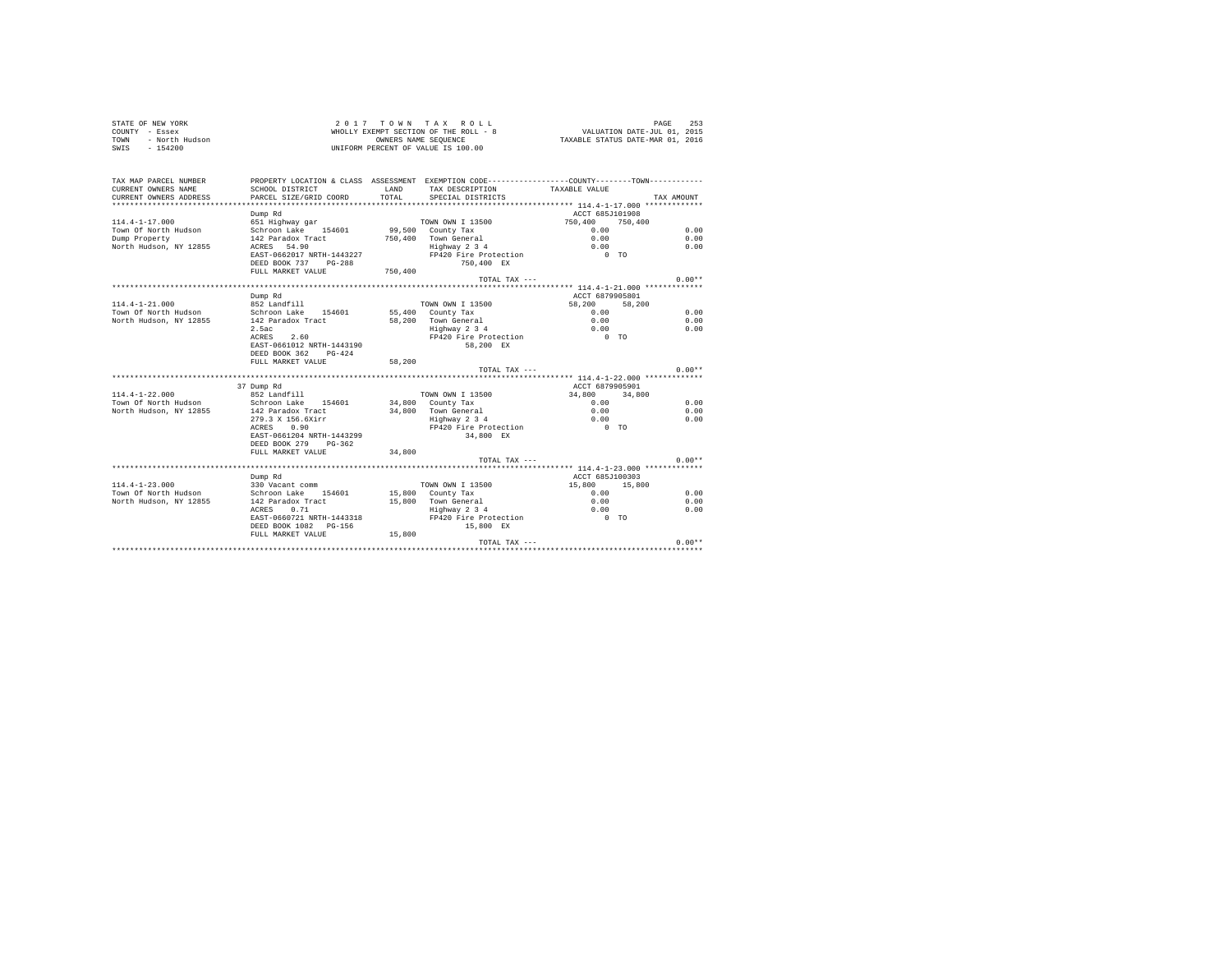| COUNTY - Essex<br>TOWN<br>- North Hudson<br>SWIS<br>$-154200$          |                                                   |                       | WHOLLY EXEMPT SECTION OF THE ROLL - 8<br>OWNERS NAME SEOUENCE<br>UNIFORM PERCENT OF VALUE IS 100.00                                  | VALUATION DATE-JUL 01, 2015<br>TAXABLE STATUS DATE-MAR 01, 2016 |         |            |
|------------------------------------------------------------------------|---------------------------------------------------|-----------------------|--------------------------------------------------------------------------------------------------------------------------------------|-----------------------------------------------------------------|---------|------------|
| TAX MAP PARCEL NUMBER<br>CURRENT OWNERS NAME<br>CURRENT OWNERS ADDRESS | SCHOOL DISTRICT<br>PARCEL SIZE/GRID COORD         | <b>T.AND</b><br>TOTAL | PROPERTY LOCATION & CLASS ASSESSMENT EXEMPTION CODE---------------COUNTY-------TOWN---------<br>TAX DESCRIPTION<br>SPECIAL DISTRICTS | TAXABLE VALUE                                                   |         | TAX AMOUNT |
| **************************                                             |                                                   |                       |                                                                                                                                      |                                                                 |         |            |
|                                                                        | Dump Rd                                           |                       |                                                                                                                                      | ACCT 685J101908                                                 |         |            |
| $114.4 - 1 - 17.000$                                                   | 651 Highway gar                                   |                       | TOWN OWN I 13500                                                                                                                     | 750,400                                                         | 750,400 |            |
| Town Of North Hudson                                                   | Schroon Lake 154601                               |                       | 99,500 County Tax                                                                                                                    | 0.00                                                            |         | 0.00       |
| Dump Property                                                          | 142 Paradox Tract                                 |                       | 750.400 Town General<br>Town General<br>Highway 2 3 4                                                                                | 0.00                                                            |         | 0.00       |
| North Hudson, NY 12855                                                 | ACRES 54.90                                       |                       |                                                                                                                                      | 0.00                                                            |         | 0.00       |
|                                                                        | EAST-0662017 NRTH-1443227                         |                       | FP420 Fire Protection                                                                                                                | $0$ TO                                                          |         |            |
|                                                                        | DEED BOOK 737 PG-288                              |                       | 750,400 EX                                                                                                                           |                                                                 |         |            |
|                                                                        | FULL MARKET VALUE                                 | 750,400               |                                                                                                                                      |                                                                 |         | $0.00**$   |
|                                                                        |                                                   |                       | TOTAL TAX ---                                                                                                                        |                                                                 |         |            |
|                                                                        | Dump Rd                                           |                       |                                                                                                                                      | ACCT 6879905801                                                 |         |            |
| $114.4 - 1 - 21.000$                                                   | 852 Landfill                                      |                       | TOWN OWN I 13500                                                                                                                     | 58,200                                                          | 58,200  |            |
| Town Of North Hudson                                                   | Schroon Lake 154601                               |                       | 55,400 County Tax                                                                                                                    | 0.00                                                            |         | 0.00       |
| North Hudson, NY 12855                                                 | 142 Paradox Tract                                 |                       | 58,200 Town General                                                                                                                  | 0.00                                                            |         | 0.00       |
|                                                                        | 2.5ac                                             |                       | Highway 2 3 4                                                                                                                        | 0.00                                                            |         | 0.00       |
|                                                                        | 2.60<br>ACRES                                     |                       | FP420 Fire Protection                                                                                                                | $0$ TO                                                          |         |            |
|                                                                        | EAST-0661012 NRTH-1443190                         |                       | 58.200 EX                                                                                                                            |                                                                 |         |            |
|                                                                        | DEED BOOK 362 PG-424                              |                       |                                                                                                                                      |                                                                 |         |            |
|                                                                        | FULL MARKET VALUE                                 | 58,200                |                                                                                                                                      |                                                                 |         |            |
|                                                                        |                                                   |                       | TOTAL TAX ---                                                                                                                        |                                                                 |         | $0.00**$   |
|                                                                        |                                                   |                       |                                                                                                                                      |                                                                 |         |            |
|                                                                        | 37 Dump Rd                                        |                       |                                                                                                                                      | ACCT 6879905901                                                 |         |            |
| $114.4 - 1 - 22.000$                                                   | $852$ Landfill                                    |                       | TOWN OWN I 13500                                                                                                                     | 34,800                                                          | 34,800  |            |
| Town Of North Hudson                                                   | Schroon Lake 154601                               |                       | 34,800 County Tax                                                                                                                    | 0.00                                                            |         | 0.00       |
| North Hudson, NY 12855                                                 | 142 Paradox Tract                                 |                       | 34.800 Town General                                                                                                                  | 0.00                                                            |         | 0.00       |
|                                                                        | 279.3 X 156.6Xirr                                 |                       | Highway 2 3 4<br>FP420 Fire Protection                                                                                               | 0.00                                                            |         | 0.00       |
|                                                                        | ACRES 0.90                                        |                       |                                                                                                                                      | $0$ TO                                                          |         |            |
|                                                                        | EAST-0661204 NRTH-1443299<br>DEED BOOK 279 PG-362 |                       | 34,800 EX                                                                                                                            |                                                                 |         |            |
|                                                                        | FULL MARKET VALUE                                 | 34,800                |                                                                                                                                      |                                                                 |         |            |
|                                                                        |                                                   |                       | TOTAL TAX ---                                                                                                                        |                                                                 |         | $0.00**$   |
|                                                                        |                                                   |                       |                                                                                                                                      | ********** 114.4-1-23.000 ******                                |         |            |
|                                                                        | Dump Rd                                           |                       |                                                                                                                                      | ACCT 685J100303                                                 |         |            |
| $114.4 - 1 - 23.000$                                                   | 330 Vacant comm                                   |                       | TOWN OWN I 13500                                                                                                                     | 15,800 15,800                                                   |         |            |
| Town Of North Hudson                                                   | Schroon Lake 154601                               |                       | 15,800 County Tax                                                                                                                    | 0.00                                                            |         | 0.00       |
| North Hudson, NY 12855                                                 | 142 Paradox Tract                                 |                       | 15,800 Town General                                                                                                                  | 0.00                                                            |         | 0.00       |
|                                                                        | 0.71<br>ACRES                                     |                       | Highway 2 3 4                                                                                                                        | 0.00                                                            |         | 0.00       |
|                                                                        | EAST-0660721 NRTH-1443318                         |                       | FP420 Fire Protection                                                                                                                | $0$ TO                                                          |         |            |
|                                                                        | DEED BOOK 1082    PG-156                          |                       | 15,800 EX                                                                                                                            |                                                                 |         |            |
|                                                                        | FULL MARKET VALUE                                 | 15,800                |                                                                                                                                      |                                                                 |         |            |
|                                                                        |                                                   |                       | TOTAL TAX ---                                                                                                                        |                                                                 |         | $0.00**$   |
|                                                                        |                                                   |                       |                                                                                                                                      |                                                                 |         |            |

STATE OF NEW YORK 2 0 1 7 T O W N T A X R O L L PAGE 253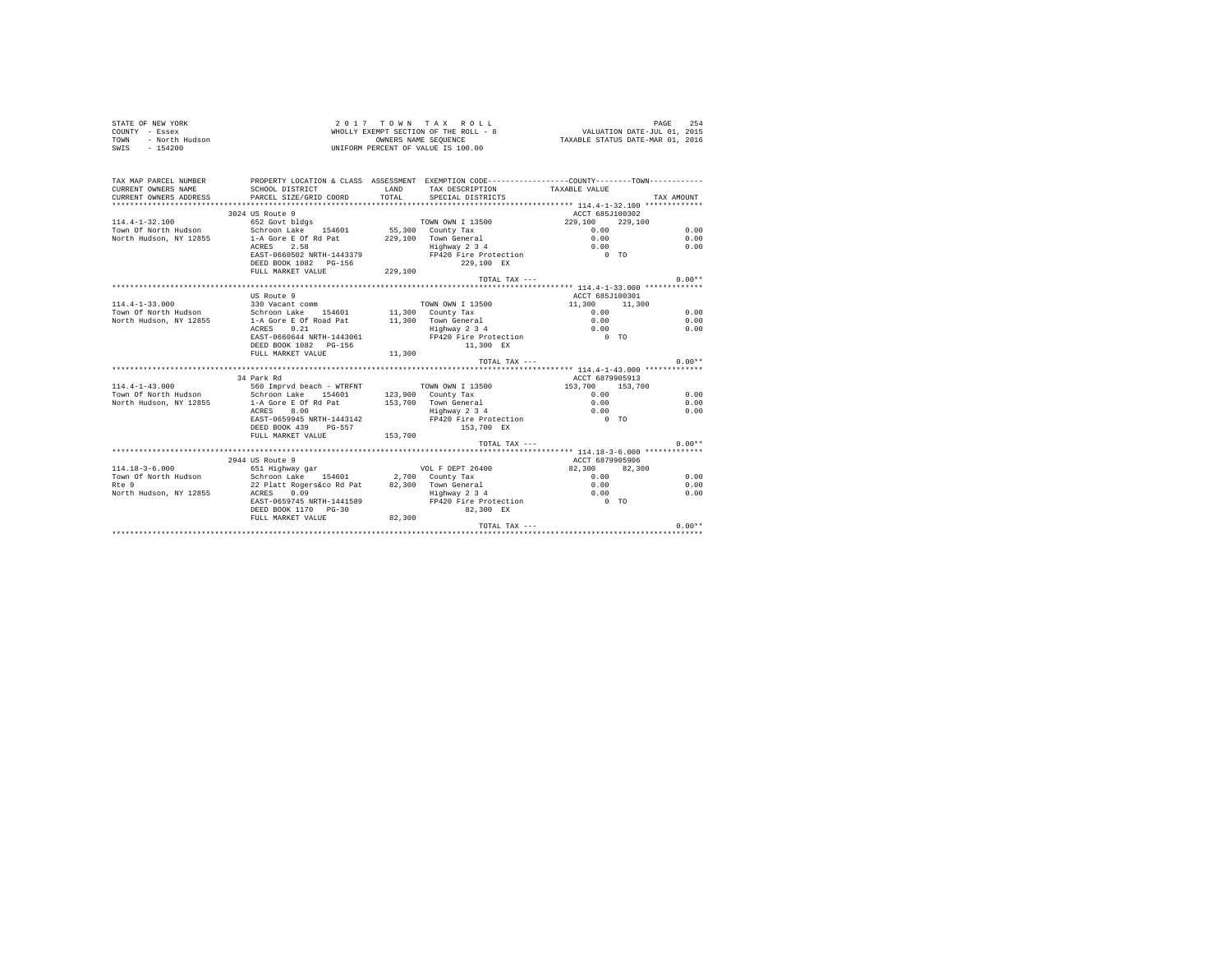| STATE OF NEW YORK<br>COUNTY - Essex<br>- North Hudson<br><b>TOWN</b><br>$SWTS = 154200$ |                                                                                                                   |         | 2017 TOWN TAX ROLL<br>$\begin{array}{ccccccccc} 2&0&1&7&\text{ }T&0&\text{ }W&\text{ }N&\text{ }T&\text{ }A&X&\text{ }K&0\text{ }L&L\\ \text{WHOLLY EXEMPTS ESETION} &0&\text{ }T\text{HIS} &\text{ }N\text{HIS} &\text{ }T\text{MIS} &\text{ }T\text{MIS} &\text{ }T\text{MIS} &\text{ }T\text{MIS} &\text{ }T\text{MIS} &\text{ }T\text{MIS} &\text{ }T\text{MIS} &\text{ }T\text{MIS} &\text{ }T\text{MIS} &\text{$<br>UNIFORM PERCENT OF VALUE IS 100.00 |                 | 254<br>PAGE |
|-----------------------------------------------------------------------------------------|-------------------------------------------------------------------------------------------------------------------|---------|--------------------------------------------------------------------------------------------------------------------------------------------------------------------------------------------------------------------------------------------------------------------------------------------------------------------------------------------------------------------------------------------------------------------------------------------------------------|-----------------|-------------|
| TAX MAP PARCEL NUMBER<br>CURRENT OWNERS NAME                                            | PROPERTY LOCATION & CLASS ASSESSMENT EXEMPTION CODE---------------COUNTY--------TOWN----------<br>SCHOOL DISTRICT | LAND    |                                                                                                                                                                                                                                                                                                                                                                                                                                                              |                 |             |
| CURRENT OWNERS ADDRESS                                                                  | PARCEL SIZE/GRID COORD                                                                                            | TOTAL   | TAX DESCRIPTION TAXABLE VALUE<br>SPECIAL DISTRICTS                                                                                                                                                                                                                                                                                                                                                                                                           |                 | TAX AMOUNT  |
|                                                                                         |                                                                                                                   |         |                                                                                                                                                                                                                                                                                                                                                                                                                                                              |                 |             |
|                                                                                         | 3024 US Route 9                                                                                                   |         |                                                                                                                                                                                                                                                                                                                                                                                                                                                              | ACCT 685J100302 |             |
| $114.4 - 1 - 32.100$                                                                    | 652 Govt bldgs                                                                                                    |         | TOWN OWN I 13500                                                                                                                                                                                                                                                                                                                                                                                                                                             | 229,100         | 229,100     |
| Town Of North Hudson                                                                    | Schroon Lake 154601 55,300 County Tax                                                                             |         |                                                                                                                                                                                                                                                                                                                                                                                                                                                              | 0.00            | 0.00        |
| North Hudson, NY 12855                                                                  | 1-A Gore E Of Rd Pat                                                                                              |         | 229,100 Town General                                                                                                                                                                                                                                                                                                                                                                                                                                         | 0.00            | 0.00        |
|                                                                                         | ACRES 2.58                                                                                                        |         | nown Generar<br>Highway 2 3 4<br>FP420 Fire Protection                                                                                                                                                                                                                                                                                                                                                                                                       | 0.00            | 0.00        |
|                                                                                         | EAST-0660502 NRTH-1443379                                                                                         |         |                                                                                                                                                                                                                                                                                                                                                                                                                                                              | $0$ TO          |             |
|                                                                                         | DEED BOOK 1082 PG-156                                                                                             | 229,100 | 229.100 EX                                                                                                                                                                                                                                                                                                                                                                                                                                                   |                 |             |
|                                                                                         | FULL MARKET VALUE                                                                                                 |         | TOTAL TAX ---                                                                                                                                                                                                                                                                                                                                                                                                                                                |                 | $0.00**$    |
|                                                                                         |                                                                                                                   |         |                                                                                                                                                                                                                                                                                                                                                                                                                                                              |                 |             |
|                                                                                         | US Route 9                                                                                                        |         |                                                                                                                                                                                                                                                                                                                                                                                                                                                              | ACCT 685J100301 |             |
| $114.4 - 1 - 33.000$                                                                    | 330 Vacant comm                                                                                                   |         | TOWN OWN I 13500                                                                                                                                                                                                                                                                                                                                                                                                                                             | 11,300          | 11,300      |
| Town Of North Hudson                                                                    | Schroon Lake 154601                                                                                               |         | 11,300 County Tax                                                                                                                                                                                                                                                                                                                                                                                                                                            | 0.00            | 0.00        |
| North Hudson, NY 12855                                                                  | 1-A Gore E Of Road Pat 11,300 Town General                                                                        |         |                                                                                                                                                                                                                                                                                                                                                                                                                                                              | 0.00            | 0.00        |
|                                                                                         | ACRES 0.21                                                                                                        |         |                                                                                                                                                                                                                                                                                                                                                                                                                                                              |                 | 0.00        |
|                                                                                         | EAST-0660644 NRTH-1443061                                                                                         |         | Fighway 2 3 4 0.00<br>FP420 Fire Protection 0 TO                                                                                                                                                                                                                                                                                                                                                                                                             |                 |             |
|                                                                                         | DEED BOOK 1082 PG-156                                                                                             |         | 11,300 EX                                                                                                                                                                                                                                                                                                                                                                                                                                                    |                 |             |
|                                                                                         | FULL MARKET VALUE                                                                                                 | 11,300  |                                                                                                                                                                                                                                                                                                                                                                                                                                                              |                 |             |
|                                                                                         |                                                                                                                   |         | TOTAL TAX $---$                                                                                                                                                                                                                                                                                                                                                                                                                                              |                 | $0.00**$    |
|                                                                                         |                                                                                                                   |         |                                                                                                                                                                                                                                                                                                                                                                                                                                                              |                 |             |
|                                                                                         | 34 Park Rd                                                                                                        |         |                                                                                                                                                                                                                                                                                                                                                                                                                                                              | ACCT 6879905913 |             |
| $114.4 - 1 - 43.000$                                                                    | 560 Impryd beach - WTRFNT                                                                                         |         | TOWN OWN I 13500                                                                                                                                                                                                                                                                                                                                                                                                                                             | 153,700 153,700 |             |
| Town Of North Hudson                                                                    | Schroon Lake 154601                                                                                               |         | 123,900 County Tax                                                                                                                                                                                                                                                                                                                                                                                                                                           | 0.00            | 0.00        |
| North Hudson, NY 12855                                                                  | 1-A Gore E Of Rd Pat                                                                                              |         | 153,700 Town General<br>Highway 2 3 4                                                                                                                                                                                                                                                                                                                                                                                                                        | 0.00            | 0.00        |
|                                                                                         | ACRES 8.00                                                                                                        |         |                                                                                                                                                                                                                                                                                                                                                                                                                                                              | 0.00            | 0.00        |
|                                                                                         | EAST-0659945 NRTH-1443142                                                                                         |         | FP420 Fire Protection                                                                                                                                                                                                                                                                                                                                                                                                                                        | $0$ TO          |             |
|                                                                                         | DEED BOOK 439 PG-557                                                                                              |         | 153,700 EX                                                                                                                                                                                                                                                                                                                                                                                                                                                   |                 |             |
|                                                                                         | FULL MARKET VALUE                                                                                                 | 153,700 |                                                                                                                                                                                                                                                                                                                                                                                                                                                              |                 |             |
|                                                                                         |                                                                                                                   |         | TOTAL TAX $---$                                                                                                                                                                                                                                                                                                                                                                                                                                              |                 | $0.00**$    |
|                                                                                         | 2944 US Route 9                                                                                                   |         |                                                                                                                                                                                                                                                                                                                                                                                                                                                              | ACCT 6879905906 |             |
| $114.18 - 3 - 6.000$                                                                    |                                                                                                                   |         |                                                                                                                                                                                                                                                                                                                                                                                                                                                              | 82,300          | 82,300      |
| Town Of North Hudson                                                                    | Schroon Lake 154601                                                                                               |         | 2.700 County Tax                                                                                                                                                                                                                                                                                                                                                                                                                                             | 0.00            | 0.00        |
| $R \uparrow \varphi$ 9                                                                  | 22 Platt Rogers&co Rd Pat                                                                                         |         | 82,300 Town General<br>Highway 2 3 4                                                                                                                                                                                                                                                                                                                                                                                                                         | 0.00            | 0.00        |
| North Hudson, NY 12855                                                                  | ACRES 0.09                                                                                                        |         |                                                                                                                                                                                                                                                                                                                                                                                                                                                              | 0.00            | 0.00        |
|                                                                                         | EAST-0659745 NRTH-1441589                                                                                         |         | FP420 Fire Protection                                                                                                                                                                                                                                                                                                                                                                                                                                        | $0$ TO          |             |
|                                                                                         | DEED BOOK 1170 PG-30                                                                                              |         | 82,300 EX                                                                                                                                                                                                                                                                                                                                                                                                                                                    |                 |             |
|                                                                                         | FULL MARKET VALUE 82,300                                                                                          |         |                                                                                                                                                                                                                                                                                                                                                                                                                                                              |                 |             |
|                                                                                         |                                                                                                                   |         | TOTAL TAX ---                                                                                                                                                                                                                                                                                                                                                                                                                                                |                 | $0.00**$    |
|                                                                                         |                                                                                                                   |         |                                                                                                                                                                                                                                                                                                                                                                                                                                                              |                 |             |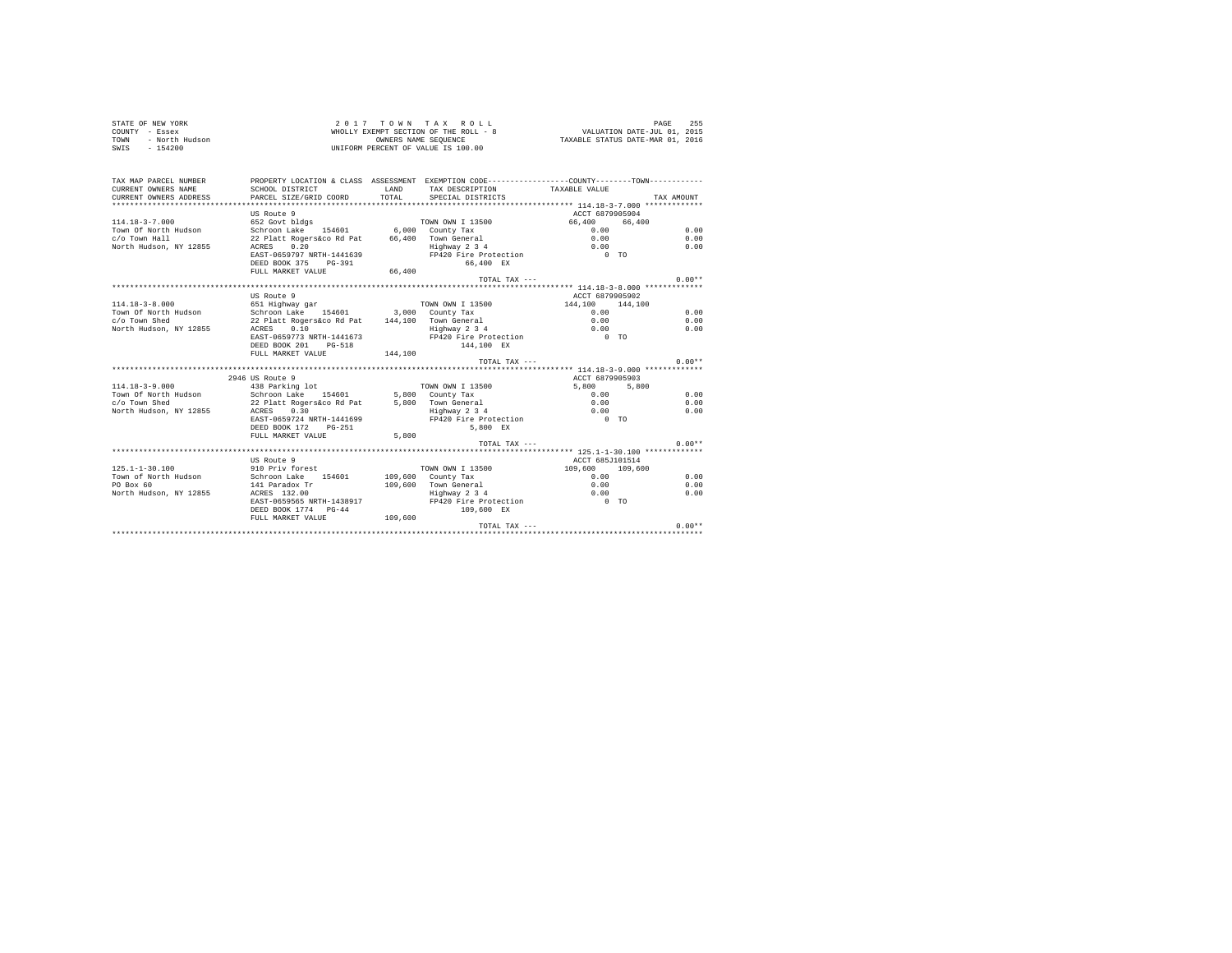| STATE OF NEW YORK<br>COUNTY - Essex<br>- North Hudson<br>TOWN<br>$SWTS = 154200$ |                                                                                               |               | 2017 TOWN TAX ROLL<br>WHOLLY EXEMPT SECTION OF THE ROLL - 8<br>OWNERS NAME SEQUENCE<br>UNIFORM PERCENT OF VALUE IS 100.00 | VALUATION DATE-JUL 01, 2015<br>TAXABLE STATUS DATE-MAR 01, 2016 | PAGE<br>255 |
|----------------------------------------------------------------------------------|-----------------------------------------------------------------------------------------------|---------------|---------------------------------------------------------------------------------------------------------------------------|-----------------------------------------------------------------|-------------|
| TAX MAP PARCEL NUMBER                                                            | PROPERTY LOCATION & CLASS ASSESSMENT EXEMPTION CODE---------------COUNTY-------TOWN---------- |               |                                                                                                                           |                                                                 |             |
| CURRENT OWNERS NAME<br>CURRENT OWNERS ADDRESS                                    | SCHOOL DISTRICT<br>PARCEL SIZE/GRID COORD                                                     | LAND<br>TOTAL | TAX DESCRIPTION<br>SPECIAL DISTRICTS                                                                                      | TAXABLE VALUE                                                   | TAX AMOUNT  |
|                                                                                  |                                                                                               |               |                                                                                                                           |                                                                 |             |
|                                                                                  | US Route 9                                                                                    |               |                                                                                                                           | ACCT 6879905904                                                 |             |
| $114.18 - 3 - 7.000$                                                             | 652 Govt bldgs                                                                                |               | TOWN OWN I 13500                                                                                                          | 66,400<br>66,400                                                |             |
| Town Of North Hudson                                                             | Schroon Lake 154601 6,000 County Tax                                                          |               |                                                                                                                           | 0.00                                                            | 0.00        |
| c/o Town Hall                                                                    | 22 Platt Rogers&co Rd Pat                                                                     |               | 66,400 Town General                                                                                                       | 0.00                                                            | 0.00        |
| North Hudson, NY 12855                                                           | 0.20<br>ACRES                                                                                 |               | Highway 2 3 4                                                                                                             | 0.00                                                            | 0.00        |
|                                                                                  | EAST-0659797 NRTH-1441639                                                                     |               | FP420 Fire Protection                                                                                                     | $0$ TO                                                          |             |
|                                                                                  | DEED BOOK 375 PG-391                                                                          |               | 66.400 EX                                                                                                                 |                                                                 |             |
|                                                                                  | FULL MARKET VALUE                                                                             | 66,400        | TOTAL TAX ---                                                                                                             |                                                                 | $0.00**$    |
|                                                                                  |                                                                                               |               |                                                                                                                           | **************** 114.18-3-8.000 *************                   |             |
|                                                                                  | US Route 9                                                                                    |               |                                                                                                                           | ACCT 6879905902                                                 |             |
| $114.18 - 3 - 8.000$                                                             | 651 Highway gar                                                                               |               | TOWN OWN I 13500                                                                                                          | 144,100 144,100                                                 |             |
| Town Of North Hudson                                                             | Schroon Lake 154601                                                                           |               | 3,000 County Tax                                                                                                          | 0.00                                                            | 0.00        |
| c/o Town Shed                                                                    | 22 Platt Rogers&co Rd Pat                                                                     |               | 144.100 Town General                                                                                                      | 0.00                                                            | 0.00        |
| North Hudson, NY 12855                                                           | ACRES 0.10                                                                                    |               | Highway 2 3 4                                                                                                             | 0.00                                                            | 0.00        |
|                                                                                  | EAST-0659773 NRTH-1441673                                                                     |               | FP420 Fire Protection                                                                                                     | $0$ TO                                                          |             |
|                                                                                  | DEED BOOK 201 PG-518<br>FULL MARKET VALUE                                                     | 144,100       | 144,100 EX                                                                                                                |                                                                 |             |
|                                                                                  |                                                                                               |               | TOTAL TAX $---$                                                                                                           |                                                                 | $0.00**$    |
|                                                                                  |                                                                                               |               |                                                                                                                           |                                                                 |             |
|                                                                                  | 2946 US Route 9                                                                               |               |                                                                                                                           | ACCT 6879905903                                                 |             |
| $114.18 - 3 - 9.000$                                                             | 438 Parking lot                                                                               |               | TOWN OWN I 13500                                                                                                          | 5,800<br>5,800                                                  |             |
| Town Of North Hudson                                                             | Schroon Lake 154601                                                                           |               | 5,800 County Tax                                                                                                          | 0.00                                                            | 0.00        |
| c/o Town Shed                                                                    | 22 Platt Rogers&co Rd Pat                                                                     |               | 5,800 Town General<br>Highway 2 3 4                                                                                       | 0.00                                                            | 0.00        |
| North Hudson, NY 12855                                                           | ACRES<br>0.30                                                                                 |               |                                                                                                                           | 0.00                                                            | 0.00        |
|                                                                                  | EAST-0659724 NRTH-1441699                                                                     |               | FP420 Fire Protection                                                                                                     | $0$ TO                                                          |             |
|                                                                                  | DEED BOOK 172 PG-251<br>FULL MARKET VALUE                                                     | 5,800         | 5.800 EX                                                                                                                  |                                                                 |             |
|                                                                                  |                                                                                               |               | TOTAL TAX $---$                                                                                                           |                                                                 | $0.00**$    |
|                                                                                  |                                                                                               |               |                                                                                                                           |                                                                 |             |
|                                                                                  | US Route 9                                                                                    |               |                                                                                                                           | ACCT 685J101514                                                 |             |
| $125.1 - 1 - 30.100$                                                             | 910 Priv forest                                                                               |               | TOWN OWN I 13500                                                                                                          | 109,600 109,600                                                 |             |
| Town of North Hudson                                                             | Schroon Lake 154601                                                                           |               | $109.600$ County Tax                                                                                                      | 0.00                                                            | 0.00        |
| PO Box 60                                                                        | 141 Paradox Tr                                                                                |               | 109,600 Town General                                                                                                      | 0.00                                                            | 0.00        |
| North Hudson, NY 12855                                                           | ACRES 132.00                                                                                  |               | Highway 2 3 4                                                                                                             | 0.00<br>$0$ TO                                                  | 0.00        |
|                                                                                  | EAST-0659565 NRTH-1438917<br>DEED BOOK 1774 PG-44                                             |               | FP420 Fire Protection<br>109,600 EX                                                                                       |                                                                 |             |
|                                                                                  | FULL MARKET VALUE 109,600                                                                     |               |                                                                                                                           |                                                                 |             |
|                                                                                  |                                                                                               |               | TOTAL TAX ---                                                                                                             |                                                                 | $0.00**$    |
|                                                                                  |                                                                                               |               |                                                                                                                           |                                                                 |             |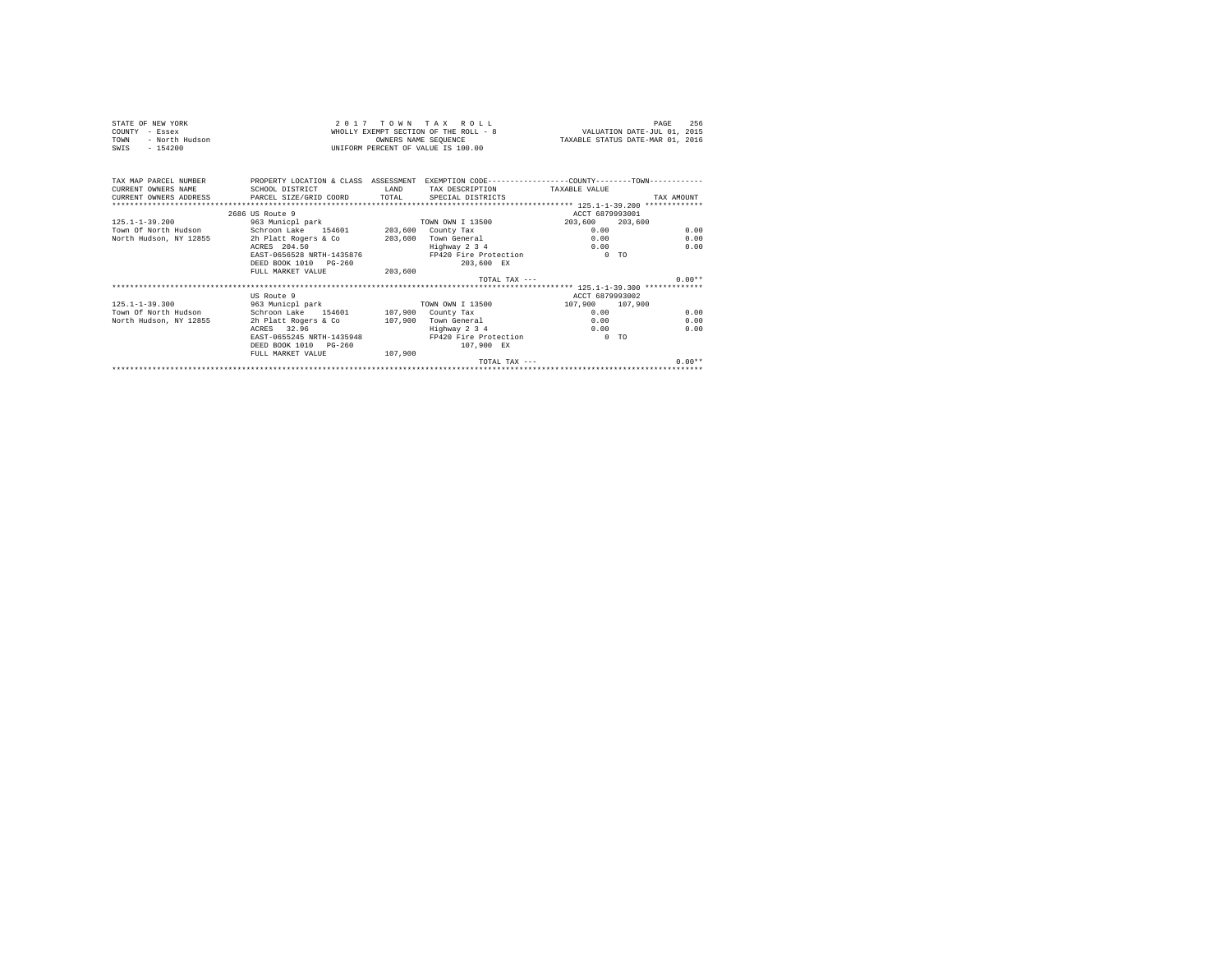| STATE OF NEW YORK<br>COUNTY - Essex<br>- North Hudson<br>TOWN<br>SWIS - 154200 |                                                                                                                                                                         | OWNERS NAME SEQUENCE | 2017 TOWN TAX ROLL<br>WHOLLY EXEMPT SECTION OF THE ROLL - 8<br>UNIFORM PERCENT OF VALUE IS 100.00 |                 | 256<br>PAGE<br>VALUATION DATE-JUL 01, 2015<br>TAXABLE STATUS DATE-MAR 01, 2016 |  |  |  |
|--------------------------------------------------------------------------------|-------------------------------------------------------------------------------------------------------------------------------------------------------------------------|----------------------|---------------------------------------------------------------------------------------------------|-----------------|--------------------------------------------------------------------------------|--|--|--|
| CURRENT OWNERS NAME<br>CURRENT OWNERS ADDRESS                                  | TAX MAP PARCEL NUMBER PROPERTY LOCATION & CLASS ASSESSMENT EXEMPTION CODE---------------COUNTY--------TOWN----------<br>SCHOOL DISTRICT<br>PARCEL SIZE/GRID COORD TOTAL | <b>T.AND</b>         | TAX DESCRIPTION TAXABLE VALUE<br>SPECIAL DISTRICTS                                                |                 | TAX AMOUNT                                                                     |  |  |  |
|                                                                                | 2686 US Route 9                                                                                                                                                         |                      |                                                                                                   | ACCT 6879993001 |                                                                                |  |  |  |
| $125.1 - 1 - 39.200$                                                           | 963 Municpl park                                                                                                                                                        |                      | TOWN OWN I 13500                                                                                  | 203,600         | 203,600                                                                        |  |  |  |
|                                                                                | Town Of North Hudson Schroon Lake 154601 203,600 County Tax                                                                                                             |                      |                                                                                                   | 0.00            | 0.00                                                                           |  |  |  |
| North Hudson, NY 12855                                                         | 2h Platt Rogers & Co                                                                                                                                                    | 203,600              | Town General                                                                                      | 0.00            | 0.00                                                                           |  |  |  |
|                                                                                | ACRES 204.50                                                                                                                                                            |                      | Highway 2 3 4                                                                                     | 0.00            | 0.00                                                                           |  |  |  |
|                                                                                | EAST-0656528 NRTH-1435876                                                                                                                                               |                      | FP420 Fire Protection                                                                             | $0$ TO          |                                                                                |  |  |  |
|                                                                                | DEED BOOK 1010 PG-260                                                                                                                                                   |                      | 203.600 EX                                                                                        |                 |                                                                                |  |  |  |
|                                                                                | FULL MARKET VALUE                                                                                                                                                       | 203,600              |                                                                                                   |                 |                                                                                |  |  |  |
|                                                                                |                                                                                                                                                                         |                      | TOTAL TAX $---$                                                                                   |                 | $0.00**$                                                                       |  |  |  |
|                                                                                |                                                                                                                                                                         |                      |                                                                                                   |                 |                                                                                |  |  |  |
|                                                                                | US Route 9                                                                                                                                                              |                      |                                                                                                   | ACCT 6879993002 |                                                                                |  |  |  |
| $125.1 - 1 - 39.300$                                                           | 963 Municpl park                                                                                                                                                        |                      | TOWN OWN I 13500                                                                                  | 107,900 107,900 |                                                                                |  |  |  |
| Town Of North Hudson                                                           | Schroon Lake 154601 107,900 County Tax                                                                                                                                  |                      |                                                                                                   | 0.00            | 0.00                                                                           |  |  |  |
| North Hudson, NY 12855                                                         | 2h Platt Rogers & Co                                                                                                                                                    |                      | 107.900 Town General                                                                              | 0.00            | 0.00                                                                           |  |  |  |
|                                                                                | ACRES 32.96                                                                                                                                                             |                      | Highway 2 3 4                                                                                     | $0.00 -$        | 0.00                                                                           |  |  |  |
|                                                                                | EAST-0655245 NRTH-1435948<br>DEED BOOK 1010 PG-260                                                                                                                      |                      | FP420 Fire Protection                                                                             | $0$ TO          |                                                                                |  |  |  |
|                                                                                | FULL MARKET VALUE                                                                                                                                                       | 107,900              | 107,900 EX                                                                                        |                 |                                                                                |  |  |  |
|                                                                                |                                                                                                                                                                         |                      | TOTAL TAX $---$                                                                                   |                 | $0.00**$                                                                       |  |  |  |
|                                                                                |                                                                                                                                                                         |                      |                                                                                                   |                 |                                                                                |  |  |  |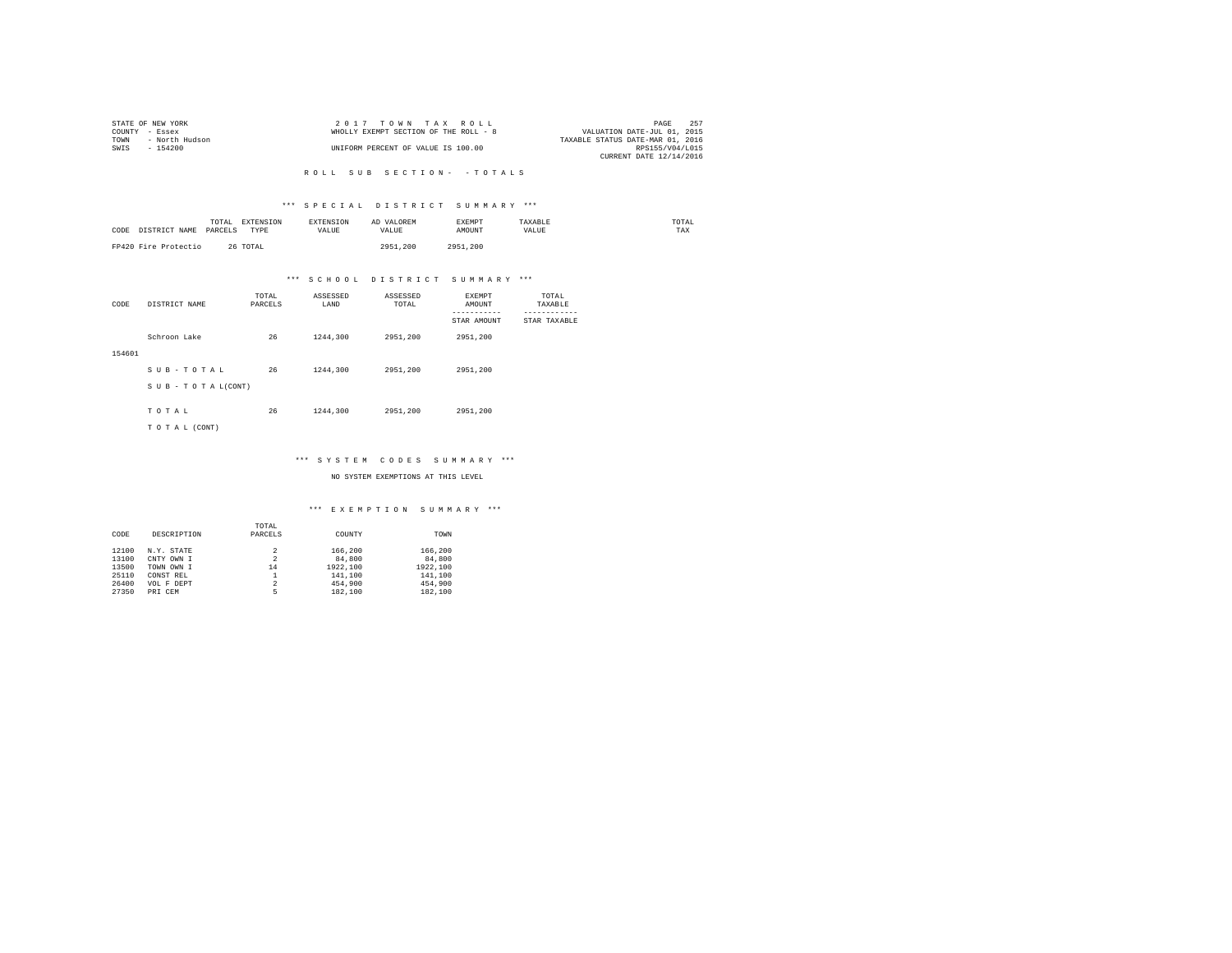|                | STATE OF NEW YORK | 2017 TOWN TAX ROLL                    |                                  | PAGE            | 257 |
|----------------|-------------------|---------------------------------------|----------------------------------|-----------------|-----|
| COUNTY - Essex |                   | WHOLLY EXEMPT SECTION OF THE ROLL - 8 | VALUATION DATE-JUL 01, 2015      |                 |     |
| TOWN           | - North Hudson    |                                       | TAXABLE STATUS DATE-MAR 01, 2016 |                 |     |
| SWIS           | - 154200          | UNIFORM PERCENT OF VALUE IS 100.00    |                                  | RPS155/V04/L015 |     |
|                |                   |                                       | CURRENT DATE 12/14/2016          |                 |     |

#### R O L L S U B S E C T I O N - - T O T A L S

### \*\*\* S P E C I A L D I S T R I C T S U M M A R Y \*\*\*

| CODE<br>DISTRICT NAME | TOTAL<br>EXTENSION<br>PARCELS<br><b>TYPE</b> | <b>EXTENSION</b><br><b>VALUE</b> | AD VALOREM<br>VALUE | <b>EXEMPT</b><br>AMOUNT | TAXARLE<br>VALUE | TOTAL<br>TAX |
|-----------------------|----------------------------------------------|----------------------------------|---------------------|-------------------------|------------------|--------------|
| FP420 Fire Protectio  | 26 TOTAL                                     |                                  | 2951.200            | 2951.200                |                  |              |

# \*\*\* S C H O O L D I S T R I C T S U M M A R Y \*\*\*

| CODE   | DISTRICT NAME      | TOTAL<br>PARCELS | ASSESSED<br>LAND | ASSESSED<br>TOTAL | <b>EXEMPT</b><br>AMOUNT | TOTAL<br>TAXABLE |
|--------|--------------------|------------------|------------------|-------------------|-------------------------|------------------|
|        |                    |                  |                  |                   | STAR AMOUNT             | STAR TAXABLE     |
|        | Schroon Lake       | 26               | 1244,300         | 2951,200          | 2951,200                |                  |
| 154601 |                    |                  |                  |                   |                         |                  |
|        | SUB-TOTAL          | 26               | 1244,300         | 2951,200          | 2951.200                |                  |
|        | SUB - TO TAL(CONT) |                  |                  |                   |                         |                  |
|        |                    |                  |                  |                   |                         |                  |
|        | TOTAL              | 26               | 1244,300         | 2951,200          | 2951,200                |                  |
|        | TO TAL (CONT)      |                  |                  |                   |                         |                  |

### \*\*\* S Y S T E M C O D E S S U M M A R Y \*\*\*

NO SYSTEM EXEMPTIONS AT THIS LEVEL

#### \*\*\* E X E M P T I O N S U M M A R Y \*\*\*

|       |             | TOTAL   |          |          |
|-------|-------------|---------|----------|----------|
| CODE  | DESCRIPTION | PARCELS | COUNTY   | TOWN     |
| 12100 | N.Y. STATE  | 2       | 166,200  | 166,200  |
| 13100 | CNTY OWN I  | 2       | 84,800   | 84,800   |
| 13500 | TOWN OWN I  | 14      | 1922.100 | 1922.100 |
| 25110 | CONST REL   |         | 141,100  | 141,100  |
| 26400 | VOL F DEPT  | 2       | 454,900  | 454,900  |
| 27350 | PRI CEM     | 5       | 182,100  | 182,100  |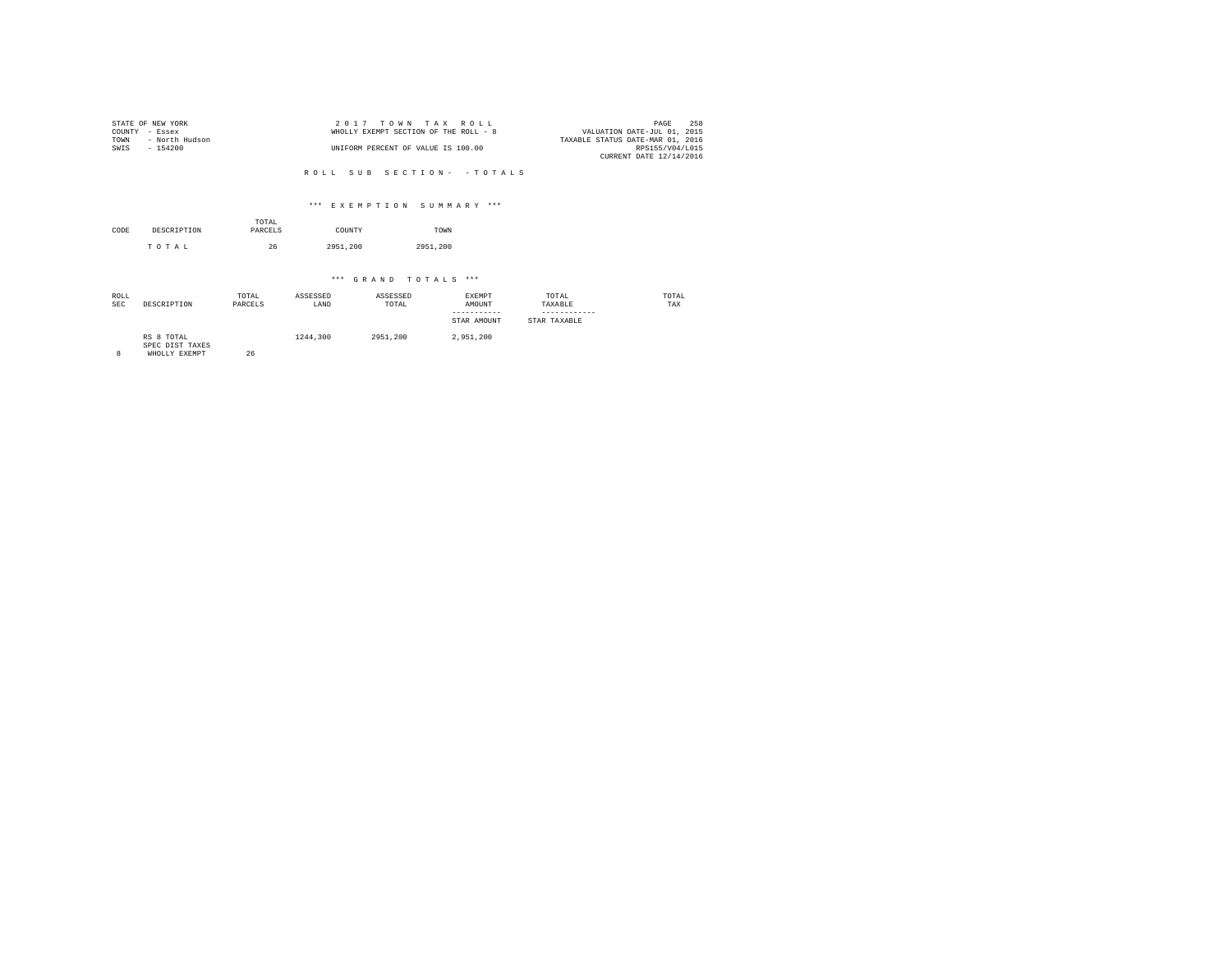|                | STATE OF NEW YORK | $2.017$ TOWN TAX ROLL                 | PAGE                             | 258 |
|----------------|-------------------|---------------------------------------|----------------------------------|-----|
| COUNTY - Essex |                   | WHOLLY EXEMPT SECTION OF THE ROLL - 8 | VALUATION DATE-JUL 01, 2015      |     |
| TOWN           | - North Hudson    |                                       | TAXABLE STATUS DATE-MAR 01, 2016 |     |
| SWIS           | - 154200          | UNIFORM PERCENT OF VALUE IS 100.00    | RPS155/V04/L015                  |     |
|                |                   |                                       | CURRENT DATE 12/14/2016          |     |

#### R O L L S U B S E C T I O N - - T O T A L S

### \*\*\* E X E M P T I O N S U M M A R Y \*\*\*

| CODE | DESCRIPTION | TOTAL<br>PARCELS | COUNTY   | TOWN     |
|------|-------------|------------------|----------|----------|
|      | TOTAL       | 26               | 2951,200 | 2951.200 |

# \*\*\* G R A N D T O T A L S \*\*\*

| ROLL<br><b>SEC</b> | DESCRIPTION                   | TOTAL<br>PARCELS | ASSESSED<br>LAND | ASSESSED<br>TOTAL | EXEMPT<br>AMOUNT<br>-----------<br>STAR AMOUNT | TOTAL<br>TAXABLE<br>STAR TAXABLE | TOTAL<br>TAX |
|--------------------|-------------------------------|------------------|------------------|-------------------|------------------------------------------------|----------------------------------|--------------|
|                    | RS 8 TOTAL<br>GREG BEGG MANDS |                  | 1244,300         | 2951,200          | 2.951.200                                      |                                  |              |

SPEC DIST TAXES 8 WHOLLY EXEMPT 26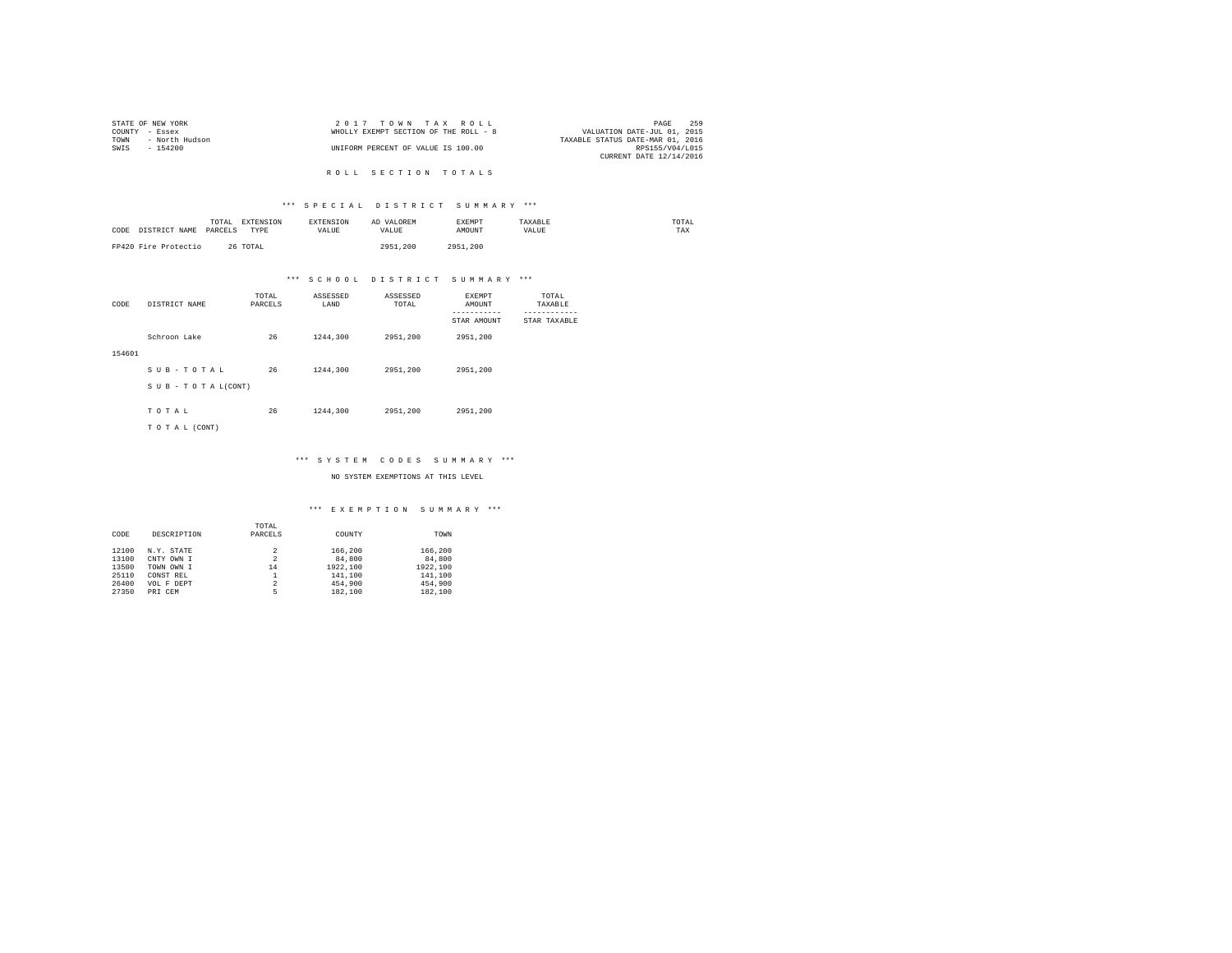|                | STATE OF NEW YORK | $2.017$ TOWN TAX ROLL                 |                                  | PAGE            | 259 |
|----------------|-------------------|---------------------------------------|----------------------------------|-----------------|-----|
| COUNTY - Essex |                   | WHOLLY EXEMPT SECTION OF THE ROLL - 8 | VALUATION DATE-JUL 01, 2015      |                 |     |
| TOWN           | - North Hudson    |                                       | TAXABLE STATUS DATE-MAR 01, 2016 |                 |     |
| SWTS           | - 154200          | UNIFORM PERCENT OF VALUE IS 100.00    |                                  | RPS155/V04/L015 |     |
|                |                   |                                       | CURRENT DATE 12/14/2016          |                 |     |

R O L L S E C T I O N T O T A L S

### \*\*\* S P E C I A L D I S T R I C T S U M M A R Y \*\*\*

| CODE<br>DISTRICT NAME | TOTAL<br>EXTENSION<br>PARCELS<br>TYPE | <b>EXTENSION</b><br>VALUE | AD VALOREM<br>VALUE | EXEMPT<br>AMOUNT | TAXABLE<br>VALUE | TOTAL<br>TAX |
|-----------------------|---------------------------------------|---------------------------|---------------------|------------------|------------------|--------------|
| FP420 Fire Protectio  | 26 TOTAL                              |                           | 2951,200            | 2951.200         |                  |              |

# \*\*\* S C H O O L D I S T R I C T S U M M A R Y \*\*\*

| CODE   | DISTRICT NAME      | TOTAL<br>PARCELS | ASSESSED<br>LAND | ASSESSED<br>TOTAL | <b>EXEMPT</b><br>AMOUNT | TOTAL<br>TAXABLE |
|--------|--------------------|------------------|------------------|-------------------|-------------------------|------------------|
|        |                    |                  |                  |                   | STAR AMOUNT             | STAR TAXABLE     |
|        | Schroon Lake       | 26               | 1244,300         | 2951,200          | 2951,200                |                  |
| 154601 |                    |                  |                  |                   |                         |                  |
|        | SUB-TOTAL          | 26               | 1244,300         | 2951,200          | 2951.200                |                  |
|        | SUB - TO TAL(CONT) |                  |                  |                   |                         |                  |
|        | TOTAL              | 26               | 1244,300         | 2951,200          | 2951,200                |                  |
|        | TO TAL (CONT)      |                  |                  |                   |                         |                  |

### \*\*\* S Y S T E M C O D E S S U M M A R Y \*\*\*

NO SYSTEM EXEMPTIONS AT THIS LEVEL

### \*\*\* E X E M P T I O N S U M M A R Y \*\*\*

|       |             | TOTAL   |          |          |
|-------|-------------|---------|----------|----------|
| CODE  | DESCRIPTION | PARCELS | COUNTY   | TOWN     |
| 12100 | N.Y. STATE  | 2       | 166,200  | 166,200  |
| 13100 | CNTY OWN I  | 2       | 84,800   | 84,800   |
| 13500 | TOWN OWN I  | 14      | 1922.100 | 1922.100 |
| 25110 | CONST REL   |         | 141,100  | 141,100  |
| 26400 | VOL F DEPT  | 2       | 454,900  | 454,900  |
| 27350 | PRI CEM     | 5       | 182,100  | 182,100  |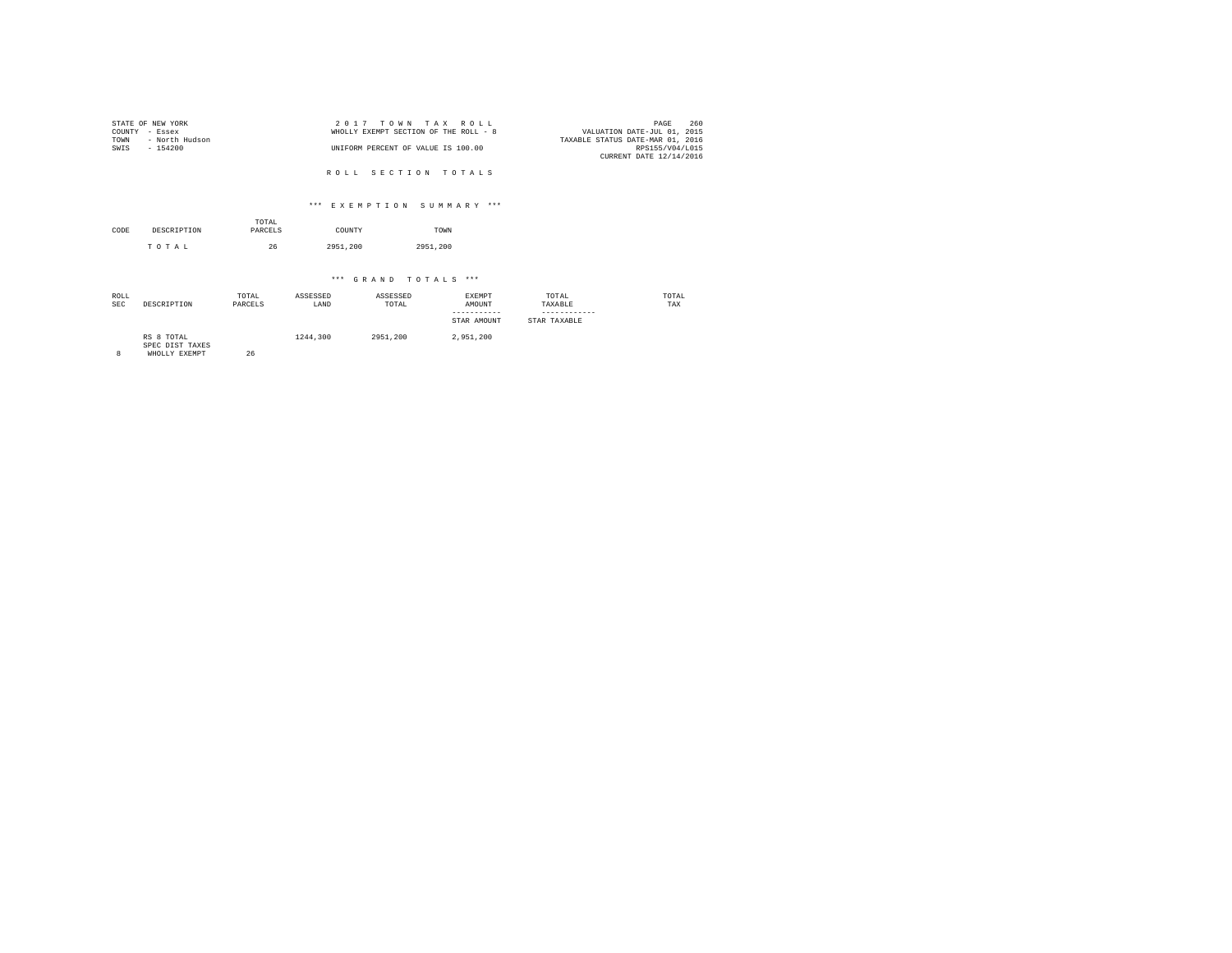| STATE OF NEW YORK |                | 2017 TOWN TAX ROLL                    |                                  | PAGE            | 260 |
|-------------------|----------------|---------------------------------------|----------------------------------|-----------------|-----|
| COUNTY - Essex    |                | WHOLLY EXEMPT SECTION OF THE ROLL - 8 | VALUATION DATE-JUL 01, 2015      |                 |     |
| TOWN              | - North Hudson |                                       | TAXABLE STATUS DATE-MAR 01, 2016 |                 |     |
| SWIS              | $-154200$      | UNIFORM PERCENT OF VALUE IS 100.00    |                                  | RPS155/V04/L015 |     |
|                   |                |                                       | CURRENT DATE 12/14/2016          |                 |     |

ROLL SECTION TOTALS

### \*\*\* E X E M P T I O N S U M M A R Y \*\*\*

| CODE | DESCRIPTION | TOTAL<br>PARCELS | COUNTY   | TOWN     |  |
|------|-------------|------------------|----------|----------|--|
|      | TOTAL       | 26               | 2951,200 | 2951.200 |  |

| ROLL<br><b>SEC</b> | DESCRIPTION                                    | TOTAL<br>PARCELS | ASSESSED<br>LAND | ASSESSED<br>TOTAL | <b>EXEMPT</b><br>AMOUNT<br>STAR AMOUNT | TOTAL<br>TAXABLE<br>STAR TAXABLE | TOTAL<br>TAX |
|--------------------|------------------------------------------------|------------------|------------------|-------------------|----------------------------------------|----------------------------------|--------------|
|                    | RS 8 TOTAL<br>SPEC DIST TAXES<br>WHOLLY EXEMPT | 26               | 1244,300         | 2951,200          | 2.951.200                              |                                  |              |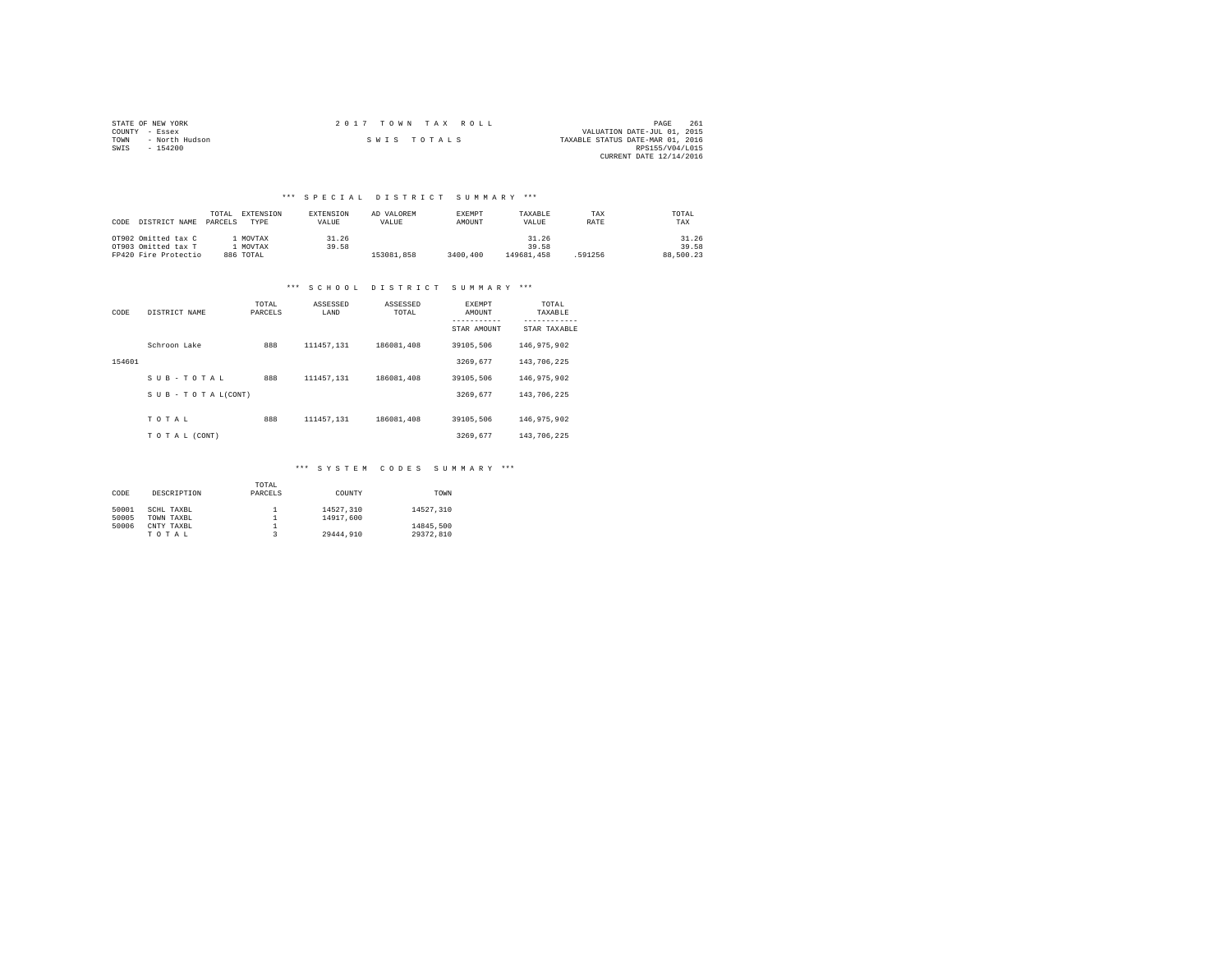| STATE OF NEW YORK |                | 2017 TOWN TAX ROLL |  |  |                                  | PAGE                        | 261 |
|-------------------|----------------|--------------------|--|--|----------------------------------|-----------------------------|-----|
| COUNTY - Essex    |                |                    |  |  |                                  | VALUATION DATE-JUL 01, 2015 |     |
| TOWN              | - North Hudson | SWIS TOTALS        |  |  | TAXABLE STATUS DATE-MAR 01, 2016 |                             |     |
| SWIS<br>$-154200$ |                |                    |  |  |                                  | RPS155/V04/L015             |     |
|                   |                |                    |  |  |                                  | CURRENT DATE 12/14/2016     |     |

## \*\*\* S P E C I A L D I S T R I C T S U M M A R Y \*\*\*

| CODE | DISTRICT NAME        | TOTAL.<br>PARCELS | EXTENSION<br>TYPE | EXTENSION<br>VALUE | AD VALOREM<br>VALUE | <b>EXEMPT</b><br>AMOUNT | TAXABLE<br>VALUE | TAX<br>RATE | TOTAL<br>TAX |
|------|----------------------|-------------------|-------------------|--------------------|---------------------|-------------------------|------------------|-------------|--------------|
|      | OT902 Omitted tax C  |                   | MOVTAX            | 31.26              |                     |                         | 31.26            |             | 31.26        |
|      | OT903 Omitted tax T  |                   | MOVTAX            | 39.58              |                     |                         | 39.58            |             | 39.58        |
|      | FP420 Fire Protectio |                   | 886 TOTAL         |                    | 153081.858          | 3400,400                | 149681.458       | 591256      | 88,500.23    |

# \*\*\* S C H O O L D I S T R I C T S U M M A R Y \*\*\*

| CODE   | DISTRICT NAME   | TOTAL<br>PARCELS | ASSESSED<br>LAND | ASSESSED<br>TOTAL | <b>EXEMPT</b><br>AMOUNT | TOTAL<br>TAXABLE |
|--------|-----------------|------------------|------------------|-------------------|-------------------------|------------------|
|        |                 |                  |                  |                   | STAR AMOUNT             | STAR TAXABLE     |
|        | Schroon Lake    | 888              | 111457.131       | 186081,408        | 39105.506               | 146, 975, 902    |
| 154601 |                 |                  |                  |                   | 3269.677                | 143,706,225      |
|        | SUB-TOTAL       | 888              | 111457.131       | 186081,408        | 39105.506               | 146, 975, 902    |
|        | SUB-TOTAL(CONT) |                  |                  |                   | 3269.677                | 143,706,225      |
|        |                 |                  |                  |                   |                         |                  |
|        | TOTAL           | 888              | 111457.131       | 186081,408        | 39105.506               | 146, 975, 902    |
|        | TO TAL (CONT)   |                  |                  |                   | 3269.677                | 143,706,225      |

### \*\*\* S Y S T E M C O D E S S U M M A R Y \*\*\*

|       |             | TOTAL   |           |           |
|-------|-------------|---------|-----------|-----------|
| CODE  | DESCRIPTION | PARCELS | COUNTY    | TOWN      |
|       |             |         |           |           |
| 50001 | SCHL TAXBL  |         | 14527,310 | 14527.310 |
| 50005 | TOWN TAXBL  |         | 14917,600 |           |
| 50006 | CNTY TAXBL  |         |           | 14845.500 |
|       | TOTAL       |         | 29444.910 | 29372.810 |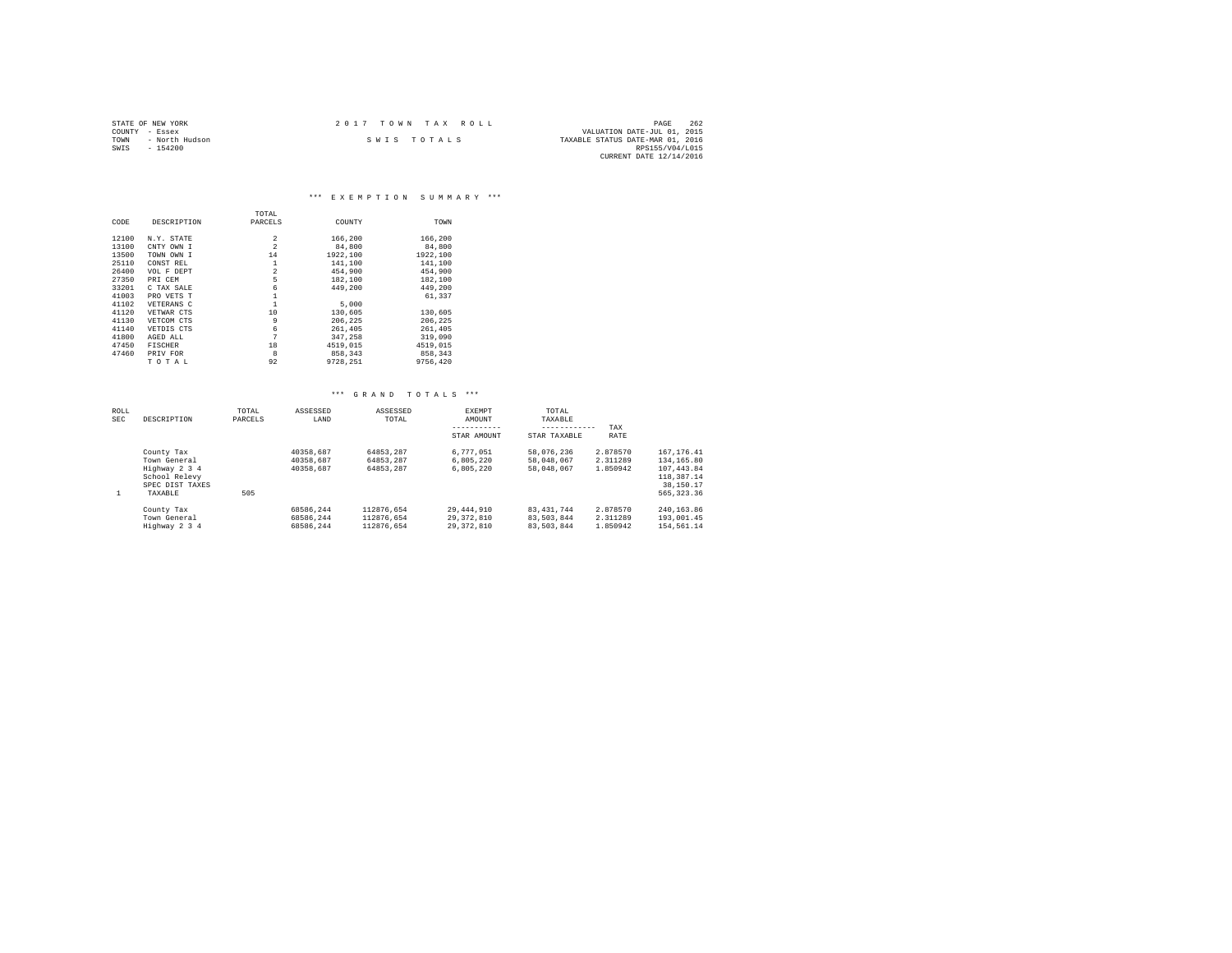|                | STATE OF NEW YORK | 2017 TOWN TAX ROLL |                                  | PAGE                        | 262 |
|----------------|-------------------|--------------------|----------------------------------|-----------------------------|-----|
| COUNTY - Essex |                   |                    |                                  | VALUATION DATE-JUL 01, 2015 |     |
| TOWN           | - North Hudson    | SWIS TOTALS        | TAXABLE STATUS DATE-MAR 01, 2016 |                             |     |
| SWIS           | $-154200$         |                    |                                  | RPS155/V04/L015             |     |
|                |                   |                    |                                  | CURRENT DATE 12/14/2016     |     |

#### \*\*\* E X E M P T I O N S U M M A R Y \*\*\*

|       |                | TOTAL          |          |          |
|-------|----------------|----------------|----------|----------|
| CODE  | DESCRIPTION    | PARCELS        | COUNTY   | TOWN     |
| 12100 | N.Y. STATE     | $\overline{2}$ | 166,200  | 166,200  |
| 13100 | CNTY OWN I     | $\overline{2}$ | 84,800   | 84,800   |
| 13500 | TOWN OWN I     | 14             | 1922,100 | 1922.100 |
| 25110 | CONST REL      | $\mathbf{1}$   | 141,100  | 141,100  |
| 26400 | VOL F DEPT     | $\overline{2}$ | 454,900  | 454.900  |
| 27350 | PRI CEM        | 5              | 182,100  | 182,100  |
| 33201 | C TAX SALE     | 6              | 449,200  | 449.200  |
| 41003 | PRO VETS T     |                |          | 61,337   |
| 41102 | VETERANS C     |                | 5,000    |          |
| 41120 | VETWAR CTS     | 10             | 130,605  | 130,605  |
| 41130 | VETCOM CTS     | 9              | 206.225  | 206.225  |
| 41140 | VETDIS CTS     | 6              | 261,405  | 261,405  |
| 41800 | AGED ALL       | 7              | 347.258  | 319,090  |
| 47450 | <b>FISCHER</b> | 18             | 4519,015 | 4519,015 |
| 47460 | PRIV FOR       | 8              | 858,343  | 858,343  |
|       | TOTAL          | 92             | 9728.251 | 9756.420 |

| ROLL<br><b>SEC</b> | DESCRIPTION                                                                                | TOTAL<br>PARCELS | ASSESSED<br>LAND                    | ASSESSED<br>TOTAL                      | <b>EXEMPT</b><br>AMOUNT<br>STAR AMOUNT | TOTAL<br>TAXABLE<br>------------<br>STAR TAXABLE | TAX<br>RATE                      |                                                                                     |
|--------------------|--------------------------------------------------------------------------------------------|------------------|-------------------------------------|----------------------------------------|----------------------------------------|--------------------------------------------------|----------------------------------|-------------------------------------------------------------------------------------|
| 1                  | County Tax<br>Town General<br>Highway 2 3 4<br>School Relevy<br>SPEC DIST TAXES<br>TAXABLE | 505              | 40358.687<br>40358.687<br>40358.687 | 64853.287<br>64853.287<br>64853.287    | 6.777.051<br>6.805.220<br>6.805.220    | 58,076,236<br>58.048.067<br>58.048.067           | 2.878570<br>2.311289<br>1.850942 | 167.176.41<br>134, 165, 80<br>107.443.84<br>118,387.14<br>38,150.17<br>565, 323, 36 |
|                    | County Tax<br>Town General<br>Highway 2 3 4                                                |                  | 68586.244<br>68586.244<br>68586.244 | 112876.654<br>112876.654<br>112876.654 | 29,444,910<br>29.372.810<br>29.372.810 | 83.431.744<br>83,503,844<br>83.503.844           | 2.878570<br>2.311289<br>1.850942 | 240.163.86<br>193,001.45<br>154,561.14                                              |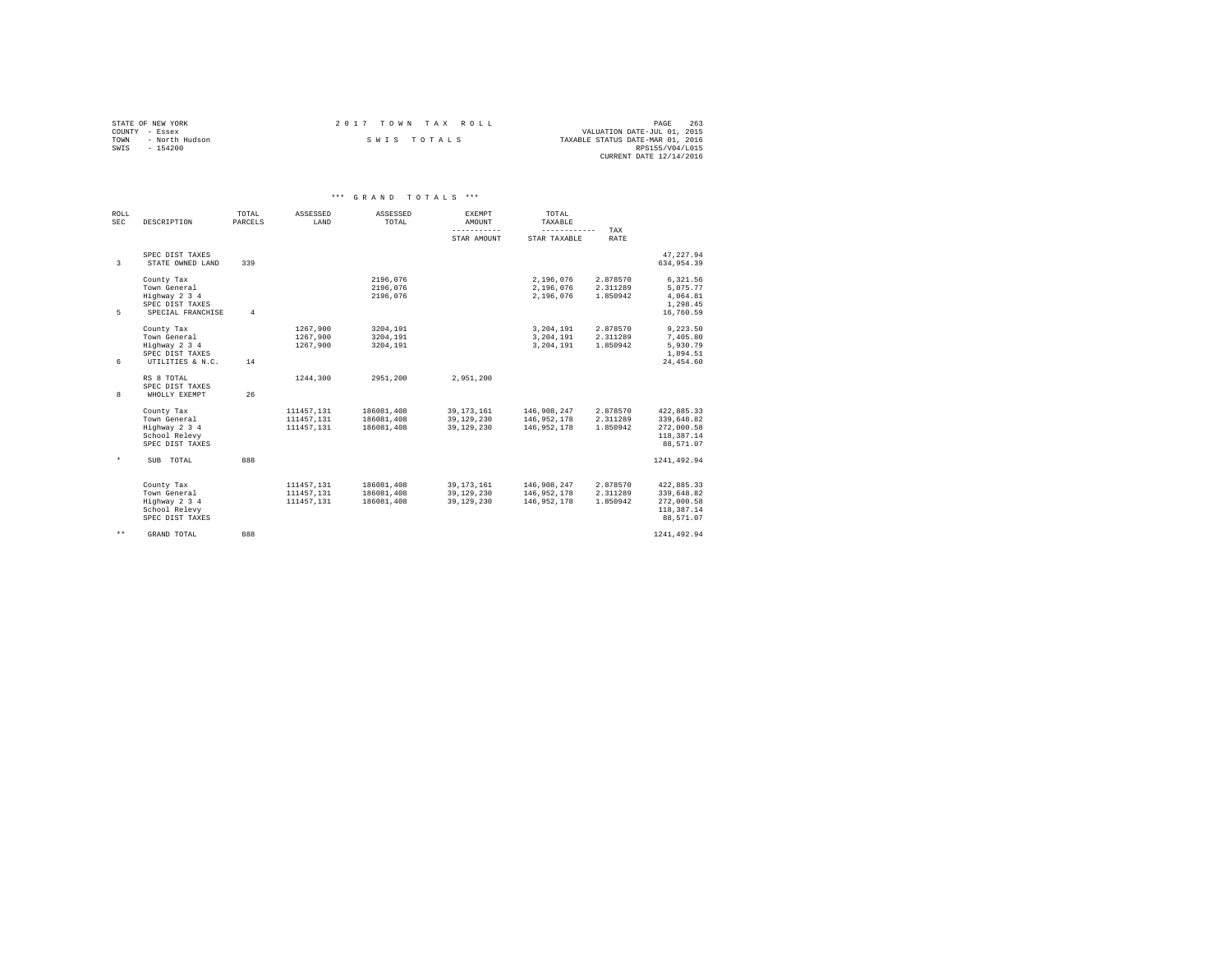|                | STATE OF NEW YORK | 2017 TOWN TAX ROLL | PAGE                             | 263 |
|----------------|-------------------|--------------------|----------------------------------|-----|
| COUNTY - Essex |                   |                    | VALUATION DATE-JUL 01, 2015      |     |
| TOWN           | - North Hudson    | SWIS TOTALS        | TAXABLE STATUS DATE-MAR 01, 2016 |     |
| SWTS           | - 154200          |                    | RPS155/V04/L015                  |     |
|                |                   |                    | CURRENT DATE 12/14/2016          |     |

| ROLL<br><b>SEC</b> | DESCRIPTION                                                                         | TOTAL<br>PARCELS | ASSESSED<br>LAND                       | ASSESSED<br>TOTAL                      | <b>EXEMPT</b><br>AMOUNT                  | TOTAL<br>TAXABLE                          |                                  |                                                                   |  |
|--------------------|-------------------------------------------------------------------------------------|------------------|----------------------------------------|----------------------------------------|------------------------------------------|-------------------------------------------|----------------------------------|-------------------------------------------------------------------|--|
|                    |                                                                                     |                  |                                        |                                        | -----------                              | ------------                              | TAX                              |                                                                   |  |
|                    |                                                                                     |                  |                                        |                                        | STAR AMOUNT                              | STAR TAXABLE                              | RATE                             |                                                                   |  |
| 3                  | SPEC DIST TAXES<br>STATE OWNED LAND                                                 | 339              |                                        |                                        |                                          |                                           |                                  | 47.227.94<br>634.954.39                                           |  |
| 5.                 | County Tax<br>Town General<br>Highway 2 3 4<br>SPEC DIST TAXES<br>SPECIAL FRANCHISE | $\overline{a}$   |                                        | 2196.076<br>2196.076<br>2196.076       |                                          | 2.196.076<br>2,196,076<br>2.196.076       | 2.878570<br>2.311289<br>1.850942 | 6,321.56<br>5.075.77<br>4.064.81<br>1,298.45<br>16,760.59         |  |
| 6                  | County Tax<br>Town General<br>Highway 2 3 4<br>SPEC DIST TAXES<br>UTILITIES & N.C.  | 14               | 1267.900<br>1267.900<br>1267.900       | 3204.191<br>3204.191<br>3204,191       |                                          | 3,204,191<br>3.204.191<br>3,204,191       | 2.878570<br>2.311289<br>1.850942 | 9,223.50<br>7,405.80<br>5,930.79<br>1,894.51<br>24,454.60         |  |
| 8                  | RS 8 TOTAL<br>SPEC DIST TAXES<br>WHOLLY EXEMPT                                      | 26               | 1244.300                               | 2951.200                               | 2.951.200                                |                                           |                                  |                                                                   |  |
|                    | County Tax<br>Town General<br>Highway 2 3 4<br>School Relevy<br>SPEC DIST TAXES     |                  | 111457.131<br>111457.131<br>111457,131 | 186081,408<br>186081,408<br>186081,408 | 39, 173, 161<br>39.129.230<br>39,129,230 | 146,908,247<br>146.952.178<br>146,952,178 | 2.878570<br>2.311289<br>1.850942 | 422,885.33<br>339,648.82<br>272,000.58<br>118,387.14<br>88,571.07 |  |
| $\star$            | SUB TOTAL                                                                           | 888              |                                        |                                        |                                          |                                           |                                  | 1241.492.94                                                       |  |
|                    | County Tax<br>Town General<br>Highway 2 3 4<br>School Relevy<br>SPEC DIST TAXES     |                  | 111457.131<br>111457.131<br>111457.131 | 186081.408<br>186081,408<br>186081.408 | 39.173.161<br>39.129.230<br>39.129.230   | 146,908,247<br>146,952,178<br>146.952.178 | 2.878570<br>2.311289<br>1.850942 | 422.885.33<br>339,648.82<br>272,000.58<br>118,387.14<br>88.571.07 |  |
| $***$              | GRAND TOTAL                                                                         | 888              |                                        |                                        |                                          |                                           |                                  | 1241.492.94                                                       |  |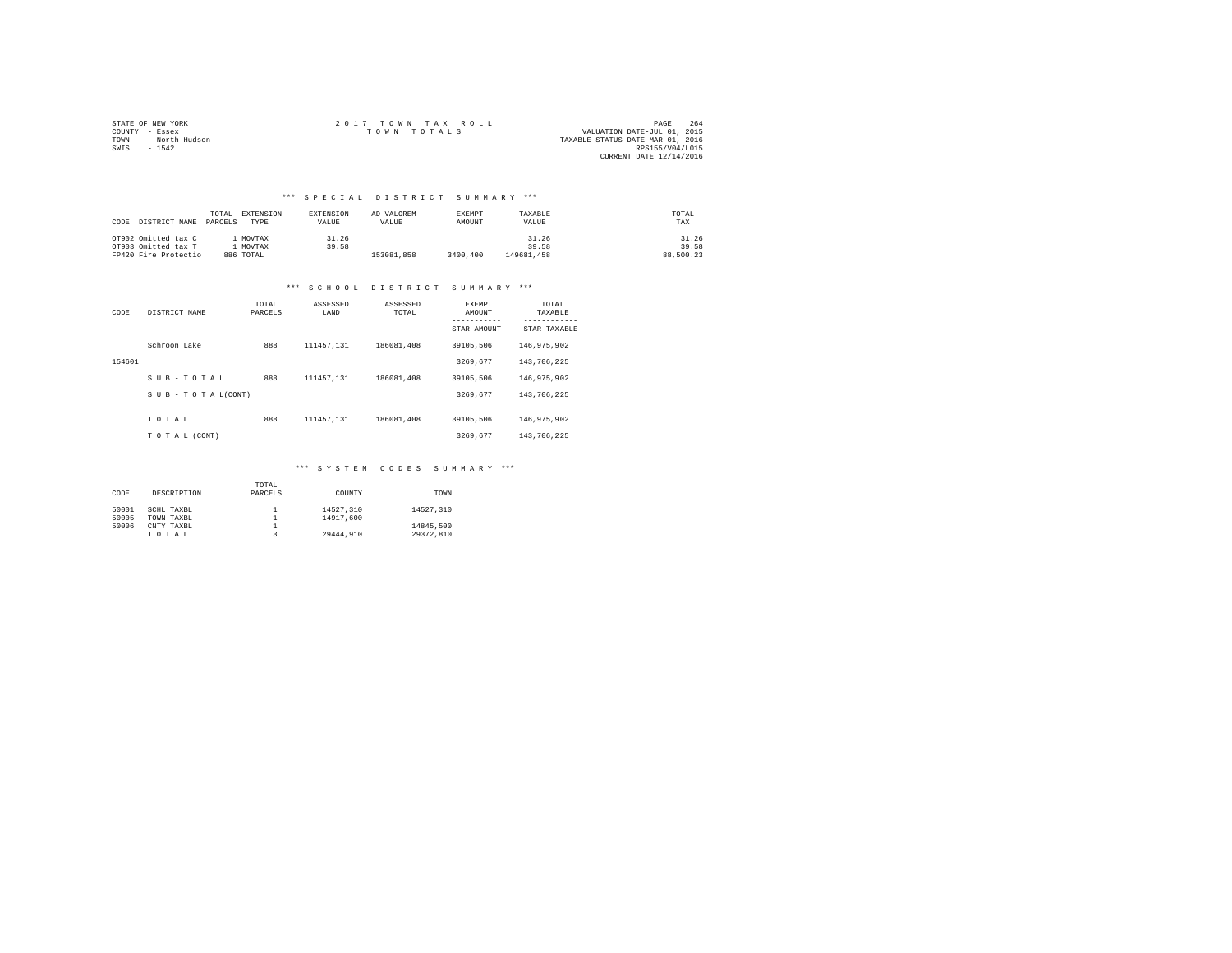|                | STATE OF NEW YORK | $2.017$ TOWN TAX ROLL | PAGE                             | 264 |
|----------------|-------------------|-----------------------|----------------------------------|-----|
| COUNTY - Essex |                   | TOWN TOTALS           | VALUATION DATE-JUL 01, 2015      |     |
| TOWN           | - North Hudson    |                       | TAXABLE STATUS DATE-MAR 01, 2016 |     |
| SWIS           | $-1542$           |                       | RPS155/V04/L015                  |     |
|                |                   |                       | CURRENT DATE 12/14/2016          |     |

## \*\*\* S P E C I A L D I S T R I C T S U M M A R Y \*\*\*

| CODE DISTRICT NAME   | TOTAL<br>PARCELS | EXTENSION<br>TYPE | <b>EXTENSION</b><br>VALUE | AD VALOREM<br>VALUE | <b>EXEMPT</b><br>AMOUNT | TAXABLE<br>VALUE | TOTAL<br>TAX |
|----------------------|------------------|-------------------|---------------------------|---------------------|-------------------------|------------------|--------------|
| OT902 Omitted tax C  |                  | MOVTAX            | 31.26                     |                     |                         | 31.26            | 31.26        |
| OT903 Omitted tax T  |                  | MOVTAX            | 39.58                     |                     |                         | 39.58            | 39.58        |
| FP420 Fire Protectio |                  | 886 TOTAL         |                           | 153081.858          | 3400,400                | 149681.458       | 88,500.23    |

### \*\*\* S C H O O L D I S T R I C T S U M M A R Y \*\*\*

| CODE   | DISTRICT NAME                 | TOTAL<br>PARCELS | ASSESSED<br>LAND | ASSESSED<br>TOTAL | <b>EXEMPT</b><br>AMOUNT<br>STAR AMOUNT | TOTAL<br>TAXABLE<br>---------<br>STAR TAXABLE |
|--------|-------------------------------|------------------|------------------|-------------------|----------------------------------------|-----------------------------------------------|
|        | Schroon Lake                  | 888              | 111457.131       | 186081,408        | 39105.506                              | 146, 975, 902                                 |
| 154601 |                               |                  |                  |                   | 3269.677                               | 143,706,225                                   |
|        | SUB-TOTAL                     | 888              | 111457.131       | 186081,408        | 39105.506                              | 146, 975, 902                                 |
|        | $S \cup B - T O T A L (CONT)$ |                  |                  |                   | 3269.677                               | 143,706,225                                   |
|        | TOTAL                         | 888              | 111457.131       | 186081,408        | 39105.506                              | 146, 975, 902                                 |
|        | TO TAL (CONT)                 |                  |                  |                   | 3269.677                               | 143,706,225                                   |

### \*\*\* S Y S T E M C O D E S S U M M A R Y \*\*\*

| CODE           | DESCRIPTION              | TOTAL<br>PARCELS | COUNTY                 | TOWN                   |
|----------------|--------------------------|------------------|------------------------|------------------------|
| 50001<br>50005 | SCHL TAXBL<br>TOWN TAXBL |                  | 14527.310<br>14917.600 | 14527.310              |
| 50006          | CNTY TAXBL<br>TOTAL      |                  | 29444.910              | 14845.500<br>29372.810 |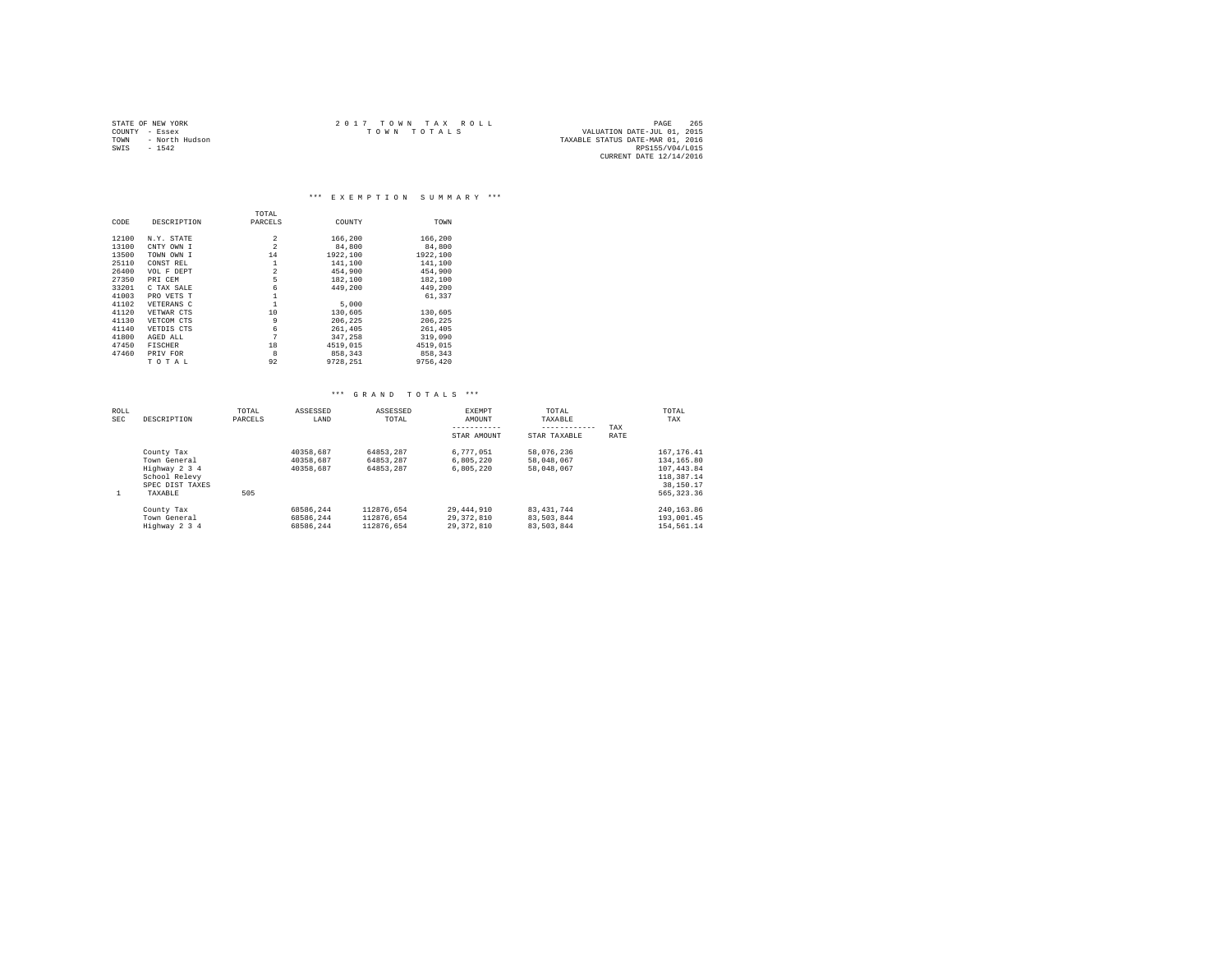| STATE OF NEW YORK |                | 2017 TOWN TAX ROLL |  |                                  | PAGE                    | 265 |  |
|-------------------|----------------|--------------------|--|----------------------------------|-------------------------|-----|--|
| COUNTY - Essex    |                | TOWN TOTALS        |  | VALUATION DATE-JUL 01, 2015      |                         |     |  |
| TOWN              | - North Hudson |                    |  | TAXABLE STATUS DATE-MAR 01, 2016 |                         |     |  |
| SWIS              | $-1542$        |                    |  |                                  | RPS155/V04/L015         |     |  |
|                   |                |                    |  |                                  | CURRENT DATE 12/14/2016 |     |  |

\*\*\* E X E M P T I O N S U M M A R Y \*\*\*

|       |                | TOTAL          |          |          |
|-------|----------------|----------------|----------|----------|
| CODE  | DESCRIPTION    | PARCELS        | COUNTY   | TOWN     |
|       |                |                |          |          |
| 12100 | N.Y. STATE     | $\overline{2}$ | 166,200  | 166,200  |
| 13100 | CNTY OWN I     | $\overline{2}$ | 84,800   | 84,800   |
| 13500 | TOWN OWN I     | 14             | 1922.100 | 1922,100 |
| 25110 | CONST REL      | $\mathbf{1}$   | 141,100  | 141,100  |
| 26400 | VOL F DEPT     | $\overline{2}$ | 454,900  | 454,900  |
| 27350 | PRI CEM        | 5              | 182,100  | 182,100  |
| 33201 | C TAX SALE     | 6              | 449,200  | 449,200  |
| 41003 | PRO VETS T     |                |          | 61,337   |
| 41102 | VETERANS C     |                | 5,000    |          |
| 41120 | VETWAR CTS     | 10             | 130,605  | 130,605  |
| 41130 | VETCOM CTS     | 9              | 206.225  | 206,225  |
| 41140 | VETDIS CTS     | 6              | 261,405  | 261,405  |
| 41800 | AGED ALL       | 7              | 347.258  | 319,090  |
| 47450 | <b>FISCHER</b> | 18             | 4519,015 | 4519,015 |
| 47460 | PRIV FOR       | 8              | 858,343  | 858.343  |
|       | TOTAL          | 92             | 9728.251 | 9756.420 |

| ROLL<br><b>SEC</b> | DESCRIPTION                                                                                | TOTAL<br>PARCELS | ASSESSED<br>LAND                    | ASSESSED<br>TOTAL                      | <b>EXEMPT</b><br>AMOUNT<br>STAR AMOUNT     | TOTAL<br>TAXABLE<br>---------<br>STAR TAXABLE | TAX<br>RATE | TOTAL<br>TAX                                                                        |
|--------------------|--------------------------------------------------------------------------------------------|------------------|-------------------------------------|----------------------------------------|--------------------------------------------|-----------------------------------------------|-------------|-------------------------------------------------------------------------------------|
| 1                  | County Tax<br>Town General<br>Highway 2 3 4<br>School Relevy<br>SPEC DIST TAXES<br>TAXABLE | 505              | 40358.687<br>40358.687<br>40358.687 | 64853.287<br>64853.287<br>64853.287    | 6.777.051<br>6.805.220<br>6.805.220        | 58,076,236<br>58,048,067<br>58,048,067        |             | 167.176.41<br>134, 165, 80<br>107.443.84<br>118,387.14<br>38,150.17<br>565, 323, 36 |
|                    | County Tax<br>Town General<br>Highway 2 3 4                                                |                  | 68586.244<br>68586.244<br>68586.244 | 112876.654<br>112876.654<br>112876.654 | 29,444,910<br>29, 372, 810<br>29, 372, 810 | 83.431.744<br>83.503.844<br>83,503,844        |             | 240, 163, 86<br>193,001.45<br>154,561.14                                            |